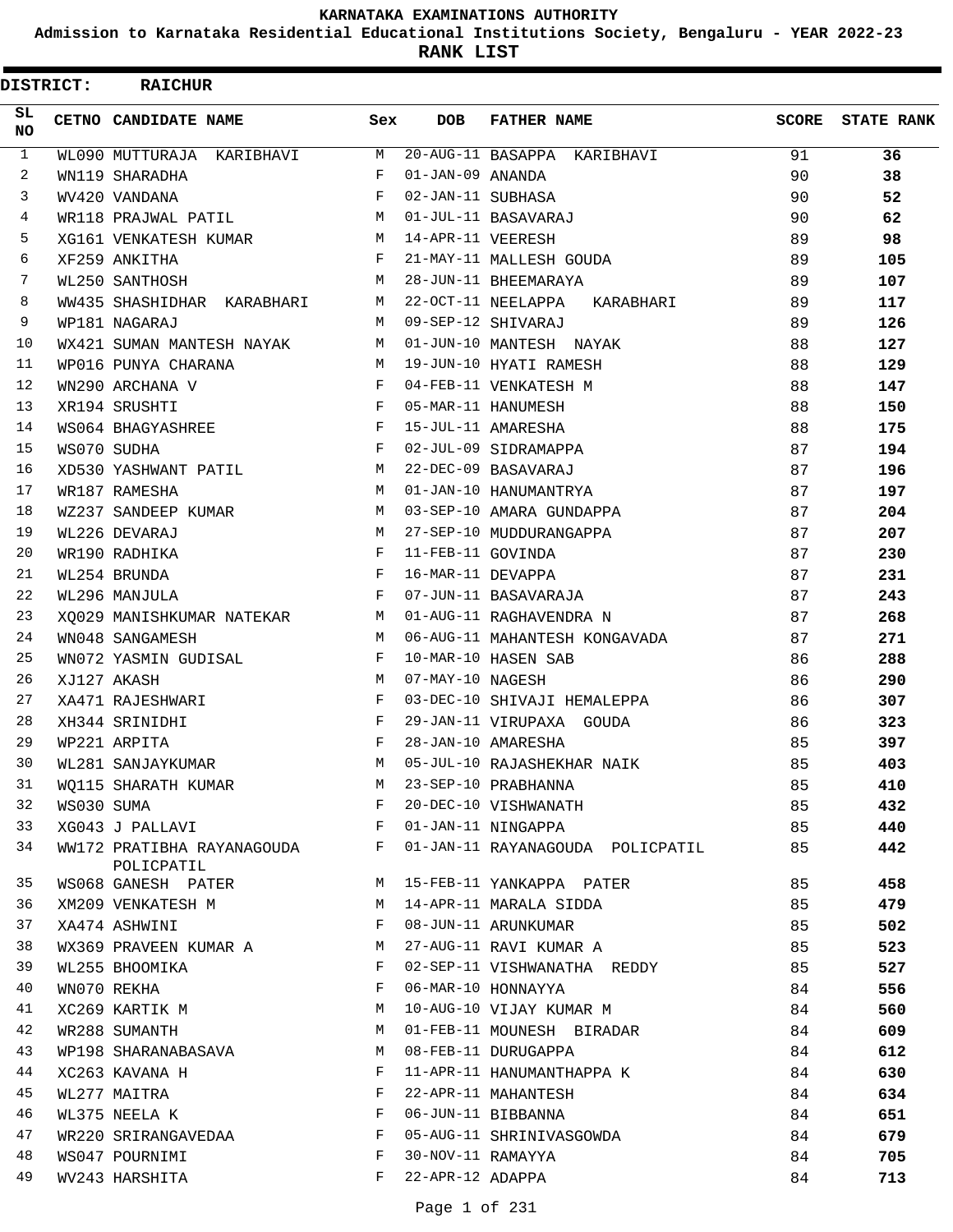**Admission to Karnataka Residential Educational Institutions Society, Bengaluru - YEAR 2022-23**

**RANK LIST**

| <b>DISTRICT:</b> |            | <b>RAICHUR</b>                                                 |                                                                 |                     |                                                               |    |                         |
|------------------|------------|----------------------------------------------------------------|-----------------------------------------------------------------|---------------------|---------------------------------------------------------------|----|-------------------------|
| SL.<br><b>NO</b> |            | CETNO CANDIDATE NAME                                           | Sex                                                             | <b>DOB</b>          | <b>FATHER NAME</b>                                            |    | <b>SCORE</b> STATE RANK |
| $\mathbf{1}$     |            | WL090 MUTTURAJA KARIBHAVI M                                    |                                                                 |                     | $20 - AUG - 11$ BASAPPA KARIBHAVI                             | 91 | 36                      |
| 2                |            | WN119 SHARADHA                                                 | F                                                               | 01-JAN-09 ANANDA    |                                                               | 90 | 38                      |
| 3                |            | WV420 VANDANA                                                  | F                                                               | 02-JAN-11 SUBHASA   |                                                               | 90 | 52                      |
| 4                |            | WR118 PRAJWAL PATIL                                            |                                                                 |                     | M 01-JUL-11 BASAVARAJ                                         | 90 | 62                      |
| 5                |            | XG161 VENKATESH KUMAR                                          |                                                                 | M 14-APR-11 VEERESH |                                                               | 89 | 98                      |
| 6                |            | XF259 ANKITHA                                                  | F                                                               |                     | 21-MAY-11 MALLESH GOUDA                                       | 89 | 105                     |
| 7                |            | WL250 SANTHOSH                                                 | M                                                               |                     | 28-JUN-11 BHEEMARAYA                                          | 89 | 107                     |
| 8                |            | WW435 SHASHIDHAR KARABHARI                                     |                                                                 |                     | M 22-OCT-11 NEELAPPA KARABHARI                                | 89 | 117                     |
| 9                |            | WP181 NAGARAJ                                                  | M                                                               |                     | 09-SEP-12 SHIVARAJ                                            | 89 | 126                     |
| 10               |            | WX421 SUMAN MANTESH NAYAK M 01-JUN-10 MANTESH NAYAK            |                                                                 |                     |                                                               | 88 | 127                     |
| 11               |            | WP016 PUNYA CHARANA                                            |                                                                 |                     | M 19-JUN-10 HYATI RAMESH                                      | 88 | 129                     |
| 12               |            | WN290 ARCHANA V                                                | $F$ and                                                         |                     | 04-FEB-11 VENKATESH M                                         | 88 | 147                     |
| 13               |            | XR194 SRUSHTI                                                  | <b>Example 2</b>                                                |                     | 05-MAR-11 HANUMESH                                            | 88 | 150                     |
| 14               |            | WS064 BHAGYASHREE                                              | $\mathbf{F}$                                                    |                     | 15-JUL-11 AMARESHA                                            | 88 | 175                     |
| 15               |            | WS070 SUDHA                                                    | $\mathbf{F}$                                                    |                     | 02-JUL-09 SIDRAMAPPA                                          | 87 | 194                     |
| 16               |            | XD530 YASHWANT PATIL<br>$M_{\odot}$                            |                                                                 |                     | 22-DEC-09 BASAVARAJ                                           | 87 | 196                     |
| 17               |            | WR187 RAMESHA                                                  | $\mathbf{M}$                                                    |                     | 01-JAN-10 HANUMANTRYA                                         | 87 | 197                     |
| 18               |            | WZ237 SANDEEP KUMAR                                            |                                                                 |                     | M 03-SEP-10 AMARA GUNDAPPA                                    | 87 | 204                     |
| 19               |            | WL226 DEVARAJ                                                  |                                                                 |                     | M 27-SEP-10 MUDDURANGAPPA                                     | 87 | 207                     |
| 20               |            | WR190 RADHIKA                                                  | $\mathbf{F}$ and $\mathbf{F}$ and $\mathbf{F}$ and $\mathbf{F}$ | 11-FEB-11 GOVINDA   |                                                               | 87 | 230                     |
| 21               |            | $\mathbf{F}$ and $\mathbf{F}$ and $\mathbf{F}$<br>WL254 BRUNDA |                                                                 | 16-MAR-11 DEVAPPA   |                                                               | 87 | 231                     |
| 22               |            | WL296 MANJULA                                                  | $\mathbf{F}$                                                    |                     | 07-JUN-11 BASAVARAJA                                          | 87 | 243                     |
| 23               |            | XQ029 MANISHKUMAR NATEKAR M 01-AUG-11 RAGHAVENDRA N            |                                                                 |                     |                                                               | 87 | 268                     |
| 24               |            | WN048 SANGAMESH                                                | M                                                               |                     | 06-AUG-11 MAHANTESH KONGAVADA                                 | 87 | 271                     |
| 25               |            | WN072 YASMIN GUDISAL                                           | $\mathbf{F}$                                                    |                     | 10-MAR-10 HASEN SAB                                           | 86 | 288                     |
| 26               |            | XJ127 AKASH                                                    | M                                                               | 07-MAY-10 NAGESH    |                                                               | 86 | 290                     |
| 27               |            | XA471 RAJESHWARI                                               | F                                                               |                     | 03-DEC-10 SHIVAJI HEMALEPPA                                   | 86 | 307                     |
| 28               |            | XH344 SRINIDHI                                                 | F                                                               |                     | 29-JAN-11 VIRUPAXA GOUDA                                      | 86 | 323                     |
| 29               |            | WP221 ARPITA                                                   | $\mathbf{F}$                                                    |                     | 28-JAN-10 AMARESHA                                            | 85 | 397                     |
| 30               |            | WL281 SANJAYKUMAR                                              | M                                                               |                     | 05-JUL-10 RAJASHEKHAR NAIK                                    | 85 | 403                     |
| 31               |            | WQ115 SHARATH KUMAR                                            | M                                                               |                     | 23-SEP-10 PRABHANNA                                           | 85 | 410                     |
| 32               | WS030 SUMA | $\mathbf{F}$ and $\mathbf{F}$ and $\mathbf{F}$                 |                                                                 |                     | 20-DEC-10 VISHWANATH                                          | 85 | 432                     |
| 33               |            | XG043 J PALLAVI F                                              |                                                                 |                     | 01-JAN-11 NINGAPPA                                            | 85 | 440                     |
| 34               |            | POLICPATIL                                                     |                                                                 |                     | WW172 PRATIBHA RAYANAGOUDA F 01-JAN-11 RAYANAGOUDA POLICPATIL | 85 | 442                     |
| 35               |            | WS068 GANESH PATER                                             |                                                                 |                     | M 15-FEB-11 YANKAPPA PATER                                    | 85 | 458                     |
| 36               |            | XM209 VENKATESH M                                              | M                                                               |                     | 14-APR-11 MARALA SIDDA                                        | 85 | 479                     |
| 37               |            | XA474 ASHWINI                                                  | $\mathbf{F}$                                                    |                     | 08-JUN-11 ARUNKUMAR                                           | 85 | 502                     |
| 38               |            | WX369 PRAVEEN KUMAR A M                                        |                                                                 |                     | 27-AUG-11 RAVI KUMAR A                                        | 85 | 523                     |
| 39               |            | WL255 BHOOMIKA                                                 | $\mathbf{F}$                                                    |                     | 02-SEP-11 VISHWANATHA REDDY                                   | 85 | 527                     |
| 40               |            | WN070 REKHA                                                    | F                                                               |                     | 06-MAR-10 HONNAYYA                                            | 84 | 556                     |
| 41               |            | XC269 KARTIK M                                                 | М                                                               |                     | 10-AUG-10 VIJAY KUMAR M                                       | 84 | 560                     |
| 42               |            | WR288 SUMANTH                                                  | M                                                               |                     | 01-FEB-11 MOUNESH BIRADAR                                     | 84 | 609                     |
| 43               |            | WP198 SHARANABASAVA                                            | M                                                               |                     | 08-FEB-11 DURUGAPPA                                           | 84 | 612                     |
| 44               |            | XC263 KAVANA H                                                 | $\mathbf{F}$                                                    |                     | 11-APR-11 HANUMANTHAPPA K                                     | 84 | 630                     |
| 45               |            | WL277 MAITRA                                                   | F                                                               |                     | 22-APR-11 MAHANTESH                                           | 84 | 634                     |
| 46               |            | WL375 NEELA K                                                  | F                                                               |                     | 06-JUN-11 BIBBANNA                                            | 84 | 651                     |
| 47               |            | WR220 SRIRANGAVEDAA                                            | $\mathbf{F}$                                                    |                     | 05-AUG-11 SHRINIVASGOWDA                                      | 84 | 679                     |
| 48               |            | WS047 POURNIMI                                                 | F                                                               | 30-NOV-11 RAMAYYA   |                                                               | 84 | 705                     |
| 49               |            | WV243 HARSHITA                                                 | F                                                               | 22-APR-12 ADAPPA    |                                                               | 84 | 713                     |
|                  |            |                                                                |                                                                 |                     |                                                               |    |                         |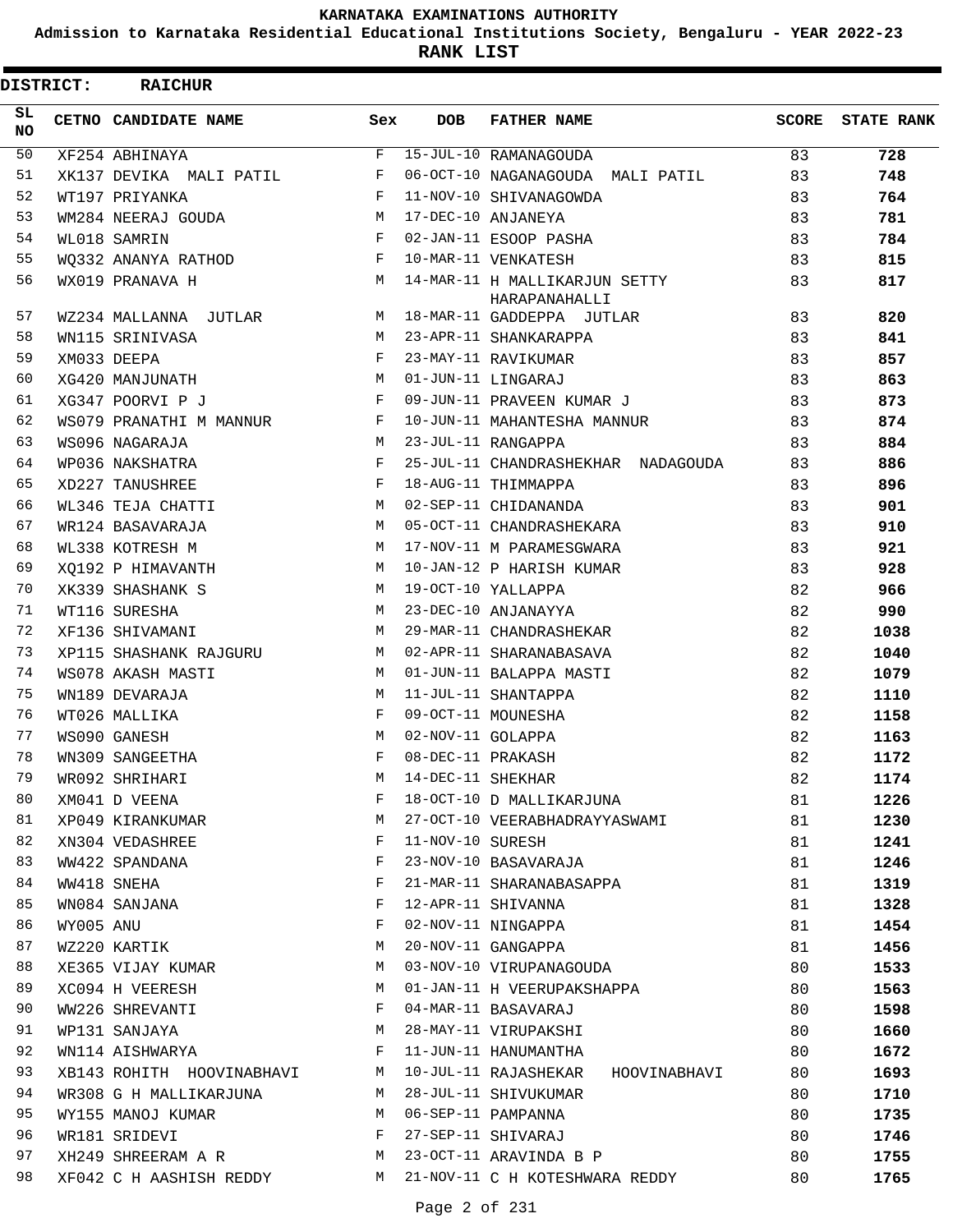**Admission to Karnataka Residential Educational Institutions Society, Bengaluru - YEAR 2022-23**

**RANK LIST**

| <b>DISTRICT:</b> |           | <b>RAICHUR</b>            |              |                   |                                                |       |                   |
|------------------|-----------|---------------------------|--------------|-------------------|------------------------------------------------|-------|-------------------|
| SL.<br><b>NO</b> |           | CETNO CANDIDATE NAME      | Sex          | <b>DOB</b>        | <b>FATHER NAME</b>                             | SCORE | <b>STATE RANK</b> |
| 50               |           | XF254 ABHINAYA            | F            |                   | 15-JUL-10 RAMANAGOUDA                          | 83    | 728               |
| 51               |           | XK137 DEVIKA MALI PATIL   | F            |                   | 06-OCT-10 NAGANAGOUDA MALI PATIL               | 83    | 748               |
| 52               |           | WT197 PRIYANKA            | F            |                   | 11-NOV-10 SHIVANAGOWDA                         | 83    | 764               |
| 53               |           | WM284 NEERAJ GOUDA        | M            |                   | 17-DEC-10 ANJANEYA                             | 83    | 781               |
| 54               |           | WL018 SAMRIN              | F            |                   | 02-JAN-11 ESOOP PASHA                          | 83    | 784               |
| 55               |           | WQ332 ANANYA RATHOD       | F            |                   | 10-MAR-11 VENKATESH                            | 83    | 815               |
| 56               |           | WX019 PRANAVA H           | M            |                   | 14-MAR-11 H MALLIKARJUN SETTY<br>HARAPANAHALLI | 83    | 817               |
| 57               |           | WZ234 MALLANNA JUTLAR     |              |                   | M 18-MAR-11 GADDEPPA JUTLAR                    | 83    | 820               |
| 58               |           | WN115 SRINIVASA           | M            |                   | 23-APR-11 SHANKARAPPA                          | 83    | 841               |
| 59               |           | XM033 DEEPA               | F            |                   | 23-MAY-11 RAVIKUMAR                            | 83    | 857               |
| 60               |           | XG420 MANJUNATH           | M            |                   | 01-JUN-11 LINGARAJ                             | 83    | 863               |
| 61               |           | XG347 POORVI P J          | F            |                   | 09-JUN-11 PRAVEEN KUMAR J                      | 83    | 873               |
| 62               |           | WS079 PRANATHI M MANNUR   | $\mathbf{F}$ |                   | 10-JUN-11 MAHANTESHA MANNUR                    | 83    | 874               |
| 63               |           | WS096 NAGARAJA            | M            |                   | 23-JUL-11 RANGAPPA                             | 83    | 884               |
| 64               |           | WP036 NAKSHATRA           | F            |                   | 25-JUL-11 CHANDRASHEKHAR NADAGOUDA             | 83    | 886               |
| 65               |           | XD227 TANUSHREE           | F            |                   | 18-AUG-11 THIMMAPPA                            | 83    | 896               |
| 66               |           | WL346 TEJA CHATTI         | M            |                   | 02-SEP-11 CHIDANANDA                           | 83    | 901               |
| 67               |           | WR124 BASAVARAJA          | M            |                   | 05-OCT-11 CHANDRASHEKARA                       | 83    | 910               |
| 68               |           | WL338 KOTRESH M           | M            |                   | 17-NOV-11 M PARAMESGWARA                       | 83    | 921               |
| 69               |           | XO192 P HIMAVANTH         | M            |                   | 10-JAN-12 P HARISH KUMAR                       | 83    | 928               |
| 70               |           | XK339 SHASHANK S          | M            |                   | 19-OCT-10 YALLAPPA                             | 82    | 966               |
| 71               |           | WT116 SURESHA             | M            |                   | 23-DEC-10 ANJANAYYA                            | 82    | 990               |
| 72               |           | XF136 SHIVAMANI           | M            |                   | 29-MAR-11 CHANDRASHEKAR                        | 82    | 1038              |
| 73               |           | XP115 SHASHANK RAJGURU    | M            |                   | 02-APR-11 SHARANABASAVA                        | 82    | 1040              |
| 74               |           | WS078 AKASH MASTI         | M            |                   | 01-JUN-11 BALAPPA MASTI                        | 82    | 1079              |
| 75               |           | WN189 DEVARAJA            | M            |                   | 11-JUL-11 SHANTAPPA                            | 82    | 1110              |
| 76               |           | WT026 MALLIKA             | F            |                   | 09-OCT-11 MOUNESHA                             | 82    | 1158              |
| 77               |           | WS090 GANESH              | M            | 02-NOV-11 GOLAPPA |                                                | 82    | 1163              |
| 78               |           | WN309 SANGEETHA           | F            | 08-DEC-11 PRAKASH |                                                | 82    | 1172              |
| 79               |           | WR092 SHRIHARI            | М            | 14-DEC-11 SHEKHAR |                                                | 82    | 1174              |
| 80               |           | XM041 D VEENA             | F            |                   | 18-OCT-10 D MALLIKARJUNA                       | 81    | 1226              |
| 81               |           | XP049 KIRANKUMAR          | M            |                   | 27-OCT-10 VEERABHADRAYYASWAMI                  | 81    | 1230              |
| 82               |           | XN304 VEDASHREE           | F            | 11-NOV-10 SURESH  |                                                | 81    | 1241              |
| 83               |           | WW422 SPANDANA            | F            |                   | 23-NOV-10 BASAVARAJA                           | 81    | 1246              |
| 84               |           | WW418 SNEHA               | F            |                   | 21-MAR-11 SHARANABASAPPA                       | 81    | 1319              |
| 85               |           | WN084 SANJANA             | F            |                   | 12-APR-11 SHIVANNA                             | 81    | 1328              |
| 86               | WY005 ANU |                           | F            |                   | 02-NOV-11 NINGAPPA                             | 81    | 1454              |
| 87               |           | WZ220 KARTIK              | M            |                   | 20-NOV-11 GANGAPPA                             | 81    | 1456              |
| 88               |           | XE365 VIJAY KUMAR         | М            |                   | 03-NOV-10 VIRUPANAGOUDA                        | 80    | 1533              |
| 89               |           | XC094 H VEERESH           | M            |                   | 01-JAN-11 H VEERUPAKSHAPPA                     | 80    | 1563              |
| 90               |           | WW226 SHREVANTI           | F            |                   | 04-MAR-11 BASAVARAJ                            | 80    | 1598              |
| 91               |           | WP131 SANJAYA             | M            |                   | 28-MAY-11 VIRUPAKSHI                           | 80    | 1660              |
| 92               |           | WN114 AISHWARYA           | F            |                   | 11-JUN-11 HANUMANTHA                           | 80    | 1672              |
| 93               |           | XB143 ROHITH HOOVINABHAVI | M            |                   | 10-JUL-11 RAJASHEKAR<br>HOOVINABHAVI           | 80    | 1693              |
| 94               |           | WR308 G H MALLIKARJUNA    | M            |                   | 28-JUL-11 SHIVUKUMAR                           | 80    | 1710              |
| 95               |           | WY155 MANOJ KUMAR         | M            |                   | 06-SEP-11 PAMPANNA                             | 80    | 1735              |
| 96               |           | WR181 SRIDEVI             | F            |                   | 27-SEP-11 SHIVARAJ                             | 80    | 1746              |
| 97               |           | XH249 SHREERAM A R        | М            |                   | 23-OCT-11 ARAVINDA B P                         | 80    | 1755              |
| 98               |           | XF042 C H AASHISH REDDY   |              |                   | M 21-NOV-11 C H KOTESHWARA REDDY               | 80    | 1765              |
|                  |           |                           |              |                   |                                                |       |                   |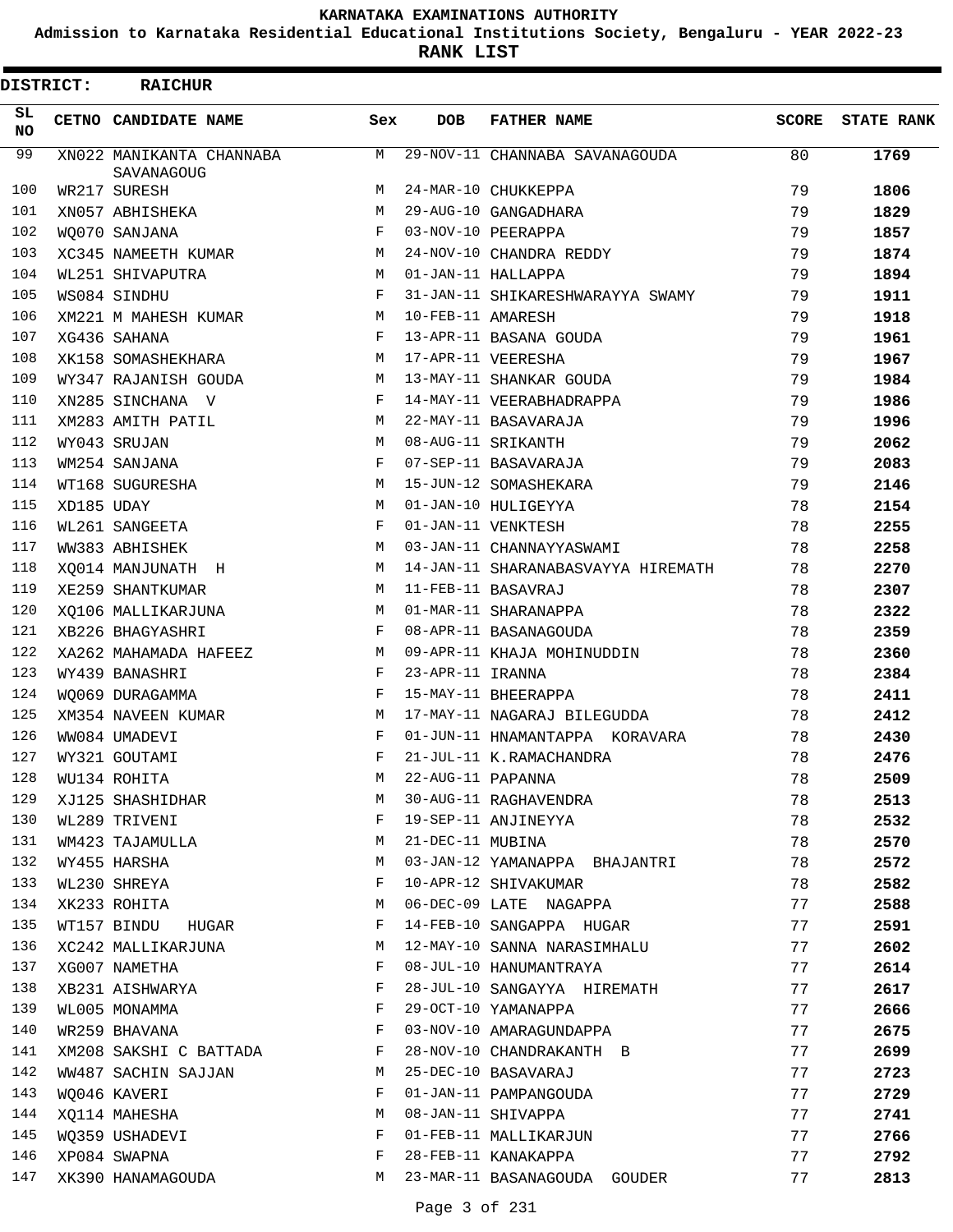**Admission to Karnataka Residential Educational Institutions Society, Bengaluru - YEAR 2022-23**

**RANK LIST**

| <b>DISTRICT:</b> |            | <b>RAICHUR</b>                         |            |                   |                                    |       |                   |
|------------------|------------|----------------------------------------|------------|-------------------|------------------------------------|-------|-------------------|
| SL.<br><b>NO</b> |            | CETNO CANDIDATE NAME                   | Sex        | <b>DOB</b>        | <b>FATHER NAME</b>                 | SCORE | <b>STATE RANK</b> |
| 99               |            | XN022 MANIKANTA CHANNABA<br>SAVANAGOUG | M          |                   | 29-NOV-11 CHANNABA SAVANAGOUDA     | 80    | 1769              |
| 100              |            | WR217 SURESH                           | M          |                   | 24-MAR-10 CHUKKEPPA                | 79    | 1806              |
| 101              |            | XN057 ABHISHEKA                        | M          |                   | 29-AUG-10 GANGADHARA               | 79    | 1829              |
| 102              |            | WO070 SANJANA                          | F          |                   | 03-NOV-10 PEERAPPA                 | 79    | 1857              |
| 103              |            | XC345 NAMEETH KUMAR                    | М          |                   | 24-NOV-10 CHANDRA REDDY            | 79    | 1874              |
| 104              |            | WL251 SHIVAPUTRA                       | м          |                   | 01-JAN-11 HALLAPPA                 | 79    | 1894              |
| 105              |            | WS084 SINDHU                           | F          |                   | 31-JAN-11 SHIKARESHWARAYYA SWAMY   | 79    | 1911              |
| 106              |            | XM221 M MAHESH KUMAR                   | M          | 10-FEB-11 AMARESH |                                    | 79    | 1918              |
| 107              |            | XG436 SAHANA                           | F          |                   | 13-APR-11 BASANA GOUDA             | 79    | 1961              |
| 108              |            | XK158 SOMASHEKHARA                     | M          |                   | 17-APR-11 VEERESHA                 | 79    | 1967              |
| 109              |            | WY347 RAJANISH GOUDA                   | М          |                   | 13-MAY-11 SHANKAR GOUDA            | 79    | 1984              |
| 110              |            | XN285 SINCHANA V                       | F          |                   | 14-MAY-11 VEERABHADRAPPA           | 79    | 1986              |
| 111              |            | XM283 AMITH PATIL                      | M          |                   | 22-MAY-11 BASAVARAJA               | 79    | 1996              |
| 112              |            | WY043 SRUJAN                           | м          |                   | 08-AUG-11 SRIKANTH                 | 79    | 2062              |
| 113              |            | WM254 SANJANA                          | F          |                   | 07-SEP-11 BASAVARAJA               | 79    | 2083              |
| 114              |            | WT168 SUGURESHA                        | M          |                   | 15-JUN-12 SOMASHEKARA              | 79    | 2146              |
| 115              | XD185 UDAY |                                        | M          |                   | 01-JAN-10 HULIGEYYA                | 78    | 2154              |
| 116              |            | WL261 SANGEETA                         | F          |                   | 01-JAN-11 VENKTESH                 | 78    | 2255              |
| 117              |            | WW383 ABHISHEK                         | M          |                   | 03-JAN-11 CHANNAYYASWAMI           | 78    | 2258              |
| 118              |            | XO014 MANJUNATH H                      | M          |                   | 14-JAN-11 SHARANABASVAYYA HIREMATH | 78    | 2270              |
| 119              |            | XE259 SHANTKUMAR                       | М          |                   | 11-FEB-11 BASAVRAJ                 | 78    | 2307              |
| 120              |            | XQ106 MALLIKARJUNA                     | M          |                   | 01-MAR-11 SHARANAPPA               | 78    | 2322              |
| 121              |            | XB226 BHAGYASHRI                       | F          |                   | 08-APR-11 BASANAGOUDA              | 78    | 2359              |
| 122              |            | XA262 MAHAMADA HAFEEZ                  | M          |                   | 09-APR-11 KHAJA MOHINUDDIN         | 78    | 2360              |
| 123              |            | WY439 BANASHRI                         | F          | 23-APR-11 IRANNA  |                                    | 78    | 2384              |
| 124              |            | WO069 DURAGAMMA                        | F          |                   | 15-MAY-11 BHEERAPPA                | 78    | 2411              |
| 125              |            | XM354 NAVEEN KUMAR                     | М          |                   | 17-MAY-11 NAGARAJ BILEGUDDA        | 78    | 2412              |
| 126              |            | WW084 UMADEVI                          | $_{\rm F}$ |                   | 01-JUN-11 HNAMANTAPPA KORAVARA     | 78    | 2430              |
| 127              |            | WY321 GOUTAMI                          | F          |                   | 21-JUL-11 K.RAMACHANDRA            | 78    | 2476              |
| 128              |            | WU134 ROHITA                           | M          | 22-AUG-11 PAPANNA |                                    | 78    | 2509              |
| 129              |            | XJ125 SHASHIDHAR                       | М          |                   | 30-AUG-11 RAGHAVENDRA              | 78    | 2513              |
| 130              |            | WL289 TRIVENI                          | F          |                   | 19-SEP-11 ANJINEYYA                | 78    | 2532              |
| 131              |            | WM423 TAJAMULLA                        | M          | 21-DEC-11 MUBINA  |                                    | 78    | 2570              |
| 132              |            | WY455 HARSHA                           | М          |                   | 03-JAN-12 YAMANAPPA BHAJANTRI      | 78    | 2572              |
| 133              |            |                                        | F          |                   | 10-APR-12 SHIVAKUMAR               |       |                   |
| 134              |            | WL230 SHREYA<br>XK233 ROHITA           | M          |                   |                                    | 78    | 2582              |
|                  |            |                                        |            |                   | 06-DEC-09 LATE NAGAPPA             | 77    | 2588              |
| 135              |            | WT157 BINDU<br>HUGAR                   | F          |                   | 14-FEB-10 SANGAPPA HUGAR           | 77    | 2591              |
| 136              |            | XC242 MALLIKARJUNA                     | М          |                   | 12-MAY-10 SANNA NARASIMHALU        | 77    | 2602              |
| 137              |            | XG007 NAMETHA                          | F          |                   | 08-JUL-10 HANUMANTRAYA             | 77    | 2614              |
| 138              |            | XB231 AISHWARYA                        | F          |                   | 28-JUL-10 SANGAYYA HIREMATH        | 77    | 2617              |
| 139              |            | WL005 MONAMMA                          | F          |                   | 29-OCT-10 YAMANAPPA                | 77    | 2666              |
| 140              |            | WR259 BHAVANA                          | F          |                   | 03-NOV-10 AMARAGUNDAPPA            | 77    | 2675              |
| 141              |            | XM208 SAKSHI C BATTADA                 | F          |                   | 28-NOV-10 CHANDRAKANTH B           | 77    | 2699              |
| 142              |            | WW487 SACHIN SAJJAN                    | M          |                   | 25-DEC-10 BASAVARAJ                | 77    | 2723              |
| 143              |            | WQ046 KAVERI                           | F          |                   | 01-JAN-11 PAMPANGOUDA              | 77    | 2729              |
| 144              |            | XQ114 MAHESHA                          | М          |                   | 08-JAN-11 SHIVAPPA                 | 77    | 2741              |
| 145              |            | WQ359 USHADEVI                         | F          |                   | 01-FEB-11 MALLIKARJUN              | 77    | 2766              |
| 146              |            | XP084 SWAPNA                           | F          |                   | 28-FEB-11 KANAKAPPA                | 77    | 2792              |
| 147              |            | XK390 HANAMAGOUDA                      | М          |                   | 23-MAR-11 BASANAGOUDA GOUDER       | 77    | 2813              |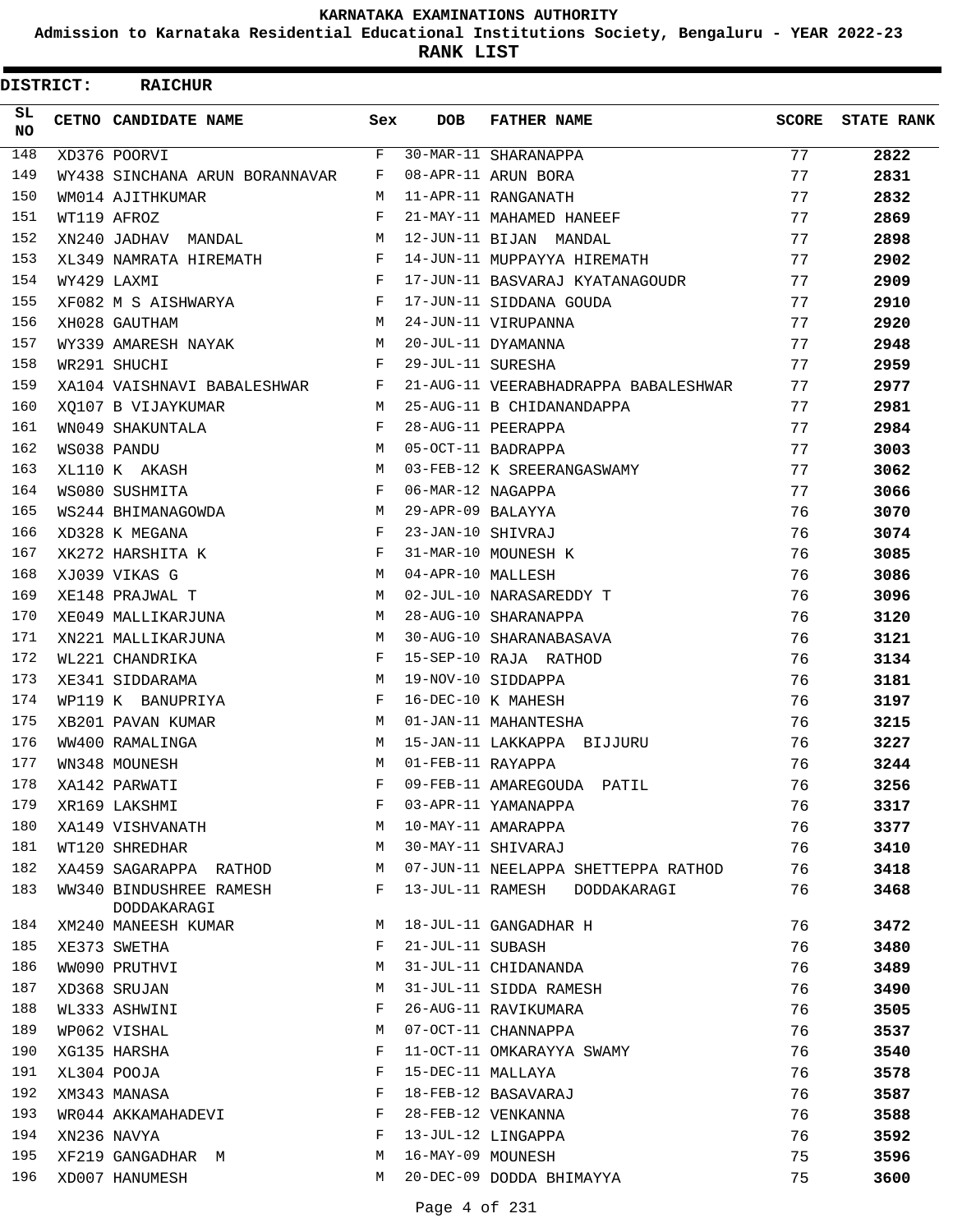**Admission to Karnataka Residential Educational Institutions Society, Bengaluru - YEAR 2022-23**

| <b>DISTRICT:</b> | <b>RAICHUR</b>                         |     |                   |                                      |              |                   |
|------------------|----------------------------------------|-----|-------------------|--------------------------------------|--------------|-------------------|
| SL<br><b>NO</b>  | CETNO CANDIDATE NAME                   | Sex | <b>DOB</b>        | <b>FATHER NAME</b>                   | <b>SCORE</b> | <b>STATE RANK</b> |
| 148              | XD376 POORVI                           | F   |                   | 30-MAR-11 SHARANAPPA                 | 77           | 2822              |
| 149              | WY438 SINCHANA ARUN BORANNAVAR         | F   |                   | 08-APR-11 ARUN BORA                  | 77           | 2831              |
| 150              | WM014 AJITHKUMAR                       | М   |                   | 11-APR-11 RANGANATH                  | 77           | 2832              |
| 151              | WT119 AFROZ                            | F   |                   | 21-MAY-11 MAHAMED HANEEF             | 77           | 2869              |
| 152              | XN240 JADHAV MANDAL                    | M   |                   | 12-JUN-11 BIJAN MANDAL               | 77           | 2898              |
| 153              | XL349 NAMRATA HIREMATH                 | F   |                   | 14-JUN-11 MUPPAYYA HIREMATH          | 77           | 2902              |
| 154              | WY429 LAXMI                            | F   |                   | 17-JUN-11 BASVARAJ KYATANAGOUDR      | 77           | 2909              |
| 155              | XF082 M S AISHWARYA                    | F   |                   | 17-JUN-11 SIDDANA GOUDA              | 77           | 2910              |
| 156              | XH028 GAUTHAM                          | M   |                   | 24-JUN-11 VIRUPANNA                  | 77           | 2920              |
| 157              | WY339 AMARESH NAYAK                    | M   |                   | 20-JUL-11 DYAMANNA                   | 77           | 2948              |
| 158              | WR291 SHUCHI                           | F   | 29-JUL-11 SURESHA |                                      | 77           | 2959              |
| 159              | XA104 VAISHNAVI BABALESHWAR            | F   |                   | 21-AUG-11 VEERABHADRAPPA BABALESHWAR | 77           | 2977              |
| 160              | XO107 B VIJAYKUMAR                     | M   |                   | 25-AUG-11 B CHIDANANDAPPA            | 77           | 2981              |
| 161              | WN049 SHAKUNTALA                       | F   |                   | 28-AUG-11 PEERAPPA                   | 77           | 2984              |
| 162              | WS038 PANDU                            | M   |                   | 05-OCT-11 BADRAPPA                   | 77           | 3003              |
| 163              | XL110 K AKASH                          | M   |                   | 03-FEB-12 K SREERANGASWAMY           | 77           | 3062              |
| 164              | WS080 SUSHMITA                         | F   | 06-MAR-12 NAGAPPA |                                      | 77           | 3066              |
| 165              | WS244 BHIMANAGOWDA                     | M   | 29-APR-09 BALAYYA |                                      | 76           | 3070              |
| 166              | XD328 K MEGANA                         | F   | 23-JAN-10 SHIVRAJ |                                      | 76           | 3074              |
| 167              | XK272 HARSHITA K                       | F   |                   | 31-MAR-10 MOUNESH K                  | 76           | 3085              |
| 168              | XJ039 VIKAS G                          | M   | 04-APR-10 MALLESH |                                      | 76           | 3086              |
| 169              | XE148 PRAJWAL T                        | M   |                   | 02-JUL-10 NARASAREDDY T              | 76           | 3096              |
| 170              | XE049 MALLIKARJUNA                     | M   |                   | 28-AUG-10 SHARANAPPA                 | 76           | 3120              |
| 171              | XN221 MALLIKARJUNA                     | M   |                   | 30-AUG-10 SHARANABASAVA              | 76           | 3121              |
| 172              | WL221 CHANDRIKA                        | F   |                   | 15-SEP-10 RAJA RATHOD                | 76           | 3134              |
| 173              | XE341 SIDDARAMA                        | M   |                   | 19-NOV-10 SIDDAPPA                   | 76           | 3181              |
| 174              | WP119 K BANUPRIYA                      | F   |                   | 16-DEC-10 K MAHESH                   | 76           | 3197              |
| 175              | XB201 PAVAN KUMAR                      | M   |                   | 01-JAN-11 MAHANTESHA                 | 76           | 3215              |
| 176              | WW400 RAMALINGA                        | M   |                   | 15-JAN-11 LAKKAPPA BIJJURU           | 76           | 3227              |
| 177              | WN348 MOUNESH                          | M   | 01-FEB-11 RAYAPPA |                                      | 76           | 3244              |
| 178              | XA142 PARWATI                          | F   |                   | 09-FEB-11 AMAREGOUDA PATIL           | 76           | 3256              |
| 179              | XR169 LAKSHMI                          | F   |                   | 03-APR-11 YAMANAPPA                  | 76           | 3317              |
| 180              | XA149 VISHVANATH                       | М   |                   | 10-MAY-11 AMARAPPA                   | 76           | 3377              |
| 181              | WT120 SHREDHAR                         | М   |                   | 30-MAY-11 SHIVARAJ                   | 76           | 3410              |
| 182              | XA459 SAGARAPPA RATHOD                 | М   |                   | 07-JUN-11 NEELAPPA SHETTEPPA RATHOD  | 76           | 3418              |
| 183              | WW340 BINDUSHREE RAMESH<br>DODDAKARAGI | F   |                   | 13-JUL-11 RAMESH DODDAKARAGI         | 76           | 3468              |
| 184              | XM240 MANEESH KUMAR                    | М   |                   | 18-JUL-11 GANGADHAR H                | 76           | 3472              |
| 185              | XE373 SWETHA                           | F   | 21-JUL-11 SUBASH  |                                      | 76           | 3480              |
| 186              | WW090 PRUTHVI                          | М   |                   | 31-JUL-11 CHIDANANDA                 | 76           | 3489              |
| 187              | XD368 SRUJAN                           | М   |                   | 31-JUL-11 SIDDA RAMESH               | 76           | 3490              |
| 188              | WL333 ASHWINI                          | F   |                   | 26-AUG-11 RAVIKUMARA                 | 76           | 3505              |
| 189              | WP062 VISHAL                           | М   |                   | 07-OCT-11 CHANNAPPA                  | 76           | 3537              |
| 190              | XG135 HARSHA                           | F   |                   | 11-OCT-11 OMKARAYYA SWAMY            | 76           | 3540              |
| 191              | XL304 POOJA                            | F   | 15-DEC-11 MALLAYA |                                      | 76           | 3578              |
| 192              | XM343 MANASA                           | F   |                   | 18-FEB-12 BASAVARAJ                  | 76           | 3587              |
| 193              | WR044 AKKAMAHADEVI                     | F   |                   | 28-FEB-12 VENKANNA                   | 76           | 3588              |
| 194              | XN236 NAVYA                            | F   |                   | 13-JUL-12 LINGAPPA                   | 76           | 3592              |
| 195              | XF219 GANGADHAR M                      | М   | 16-MAY-09 MOUNESH |                                      | 75           | 3596              |
| 196              | XD007 HANUMESH                         | M   |                   | 20-DEC-09 DODDA BHIMAYYA             | 75           | 3600              |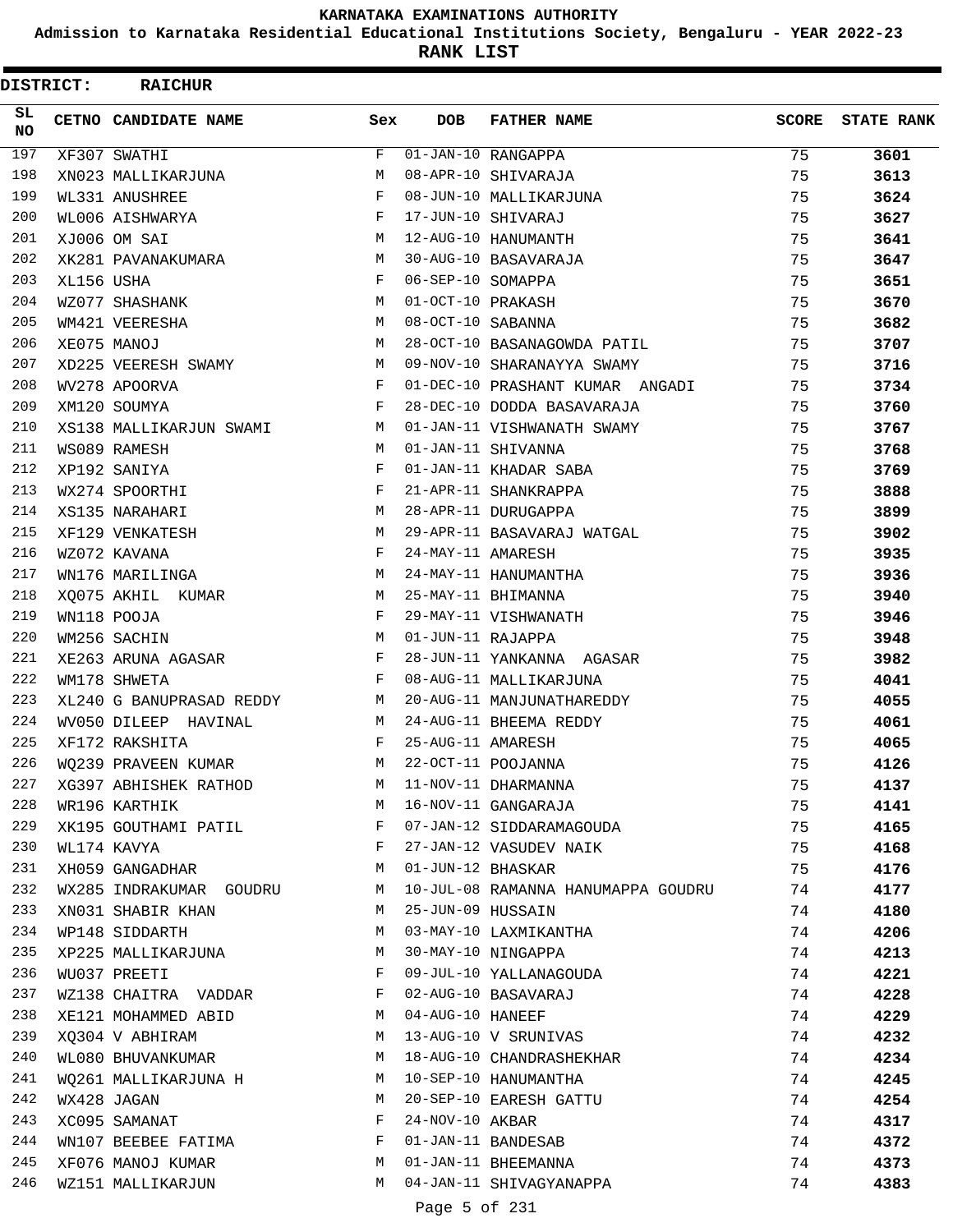**Admission to Karnataka Residential Educational Institutions Society, Bengaluru - YEAR 2022-23**

**RANK LIST**

 $\blacksquare$ 

| <b>DISTRICT:</b> |            | <b>RAICHUR</b>           |     |                   |                                    |              |                   |
|------------------|------------|--------------------------|-----|-------------------|------------------------------------|--------------|-------------------|
| SL.<br>NO        |            | CETNO CANDIDATE NAME     | Sex | <b>DOB</b>        | <b>FATHER NAME</b>                 | <b>SCORE</b> | <b>STATE RANK</b> |
| 197              |            | XF307 SWATHI             | F   |                   | $\overline{01}$ -JAN-10 RANGAPPA   | 75           | 3601              |
| 198              |            | XN023 MALLIKARJUNA       | M   |                   | 08-APR-10 SHIVARAJA                | 75           | 3613              |
| 199              |            | WL331 ANUSHREE           | F   |                   | 08-JUN-10 MALLIKARJUNA             | 75           | 3624              |
| 200              |            | WL006 AISHWARYA          | F   |                   | 17-JUN-10 SHIVARAJ                 | 75           | 3627              |
| 201              |            | XJ006 OM SAI             | M   |                   | 12-AUG-10 HANUMANTH                | 75           | 3641              |
| 202              |            | XK281 PAVANAKUMARA       | M   |                   | 30-AUG-10 BASAVARAJA               | 75           | 3647              |
| 203              | XL156 USHA |                          | F   | 06-SEP-10 SOMAPPA |                                    | 75           | 3651              |
| 204              |            | WZ077 SHASHANK           | M   | 01-OCT-10 PRAKASH |                                    | 75           | 3670              |
| 205              |            | WM421 VEERESHA           | M   | 08-OCT-10 SABANNA |                                    | 75           | 3682              |
| 206              |            | XE075 MANOJ              | M   |                   | 28-OCT-10 BASANAGOWDA PATIL        | 75           | 3707              |
| 207              |            | XD225 VEERESH SWAMY      | M   |                   | 09-NOV-10 SHARANAYYA SWAMY         | 75           | 3716              |
| 208              |            | WV278 APOORVA            | F   |                   | 01-DEC-10 PRASHANT KUMAR ANGADI    | 75           | 3734              |
| 209              |            | XM120 SOUMYA             | F   |                   | 28-DEC-10 DODDA BASAVARAJA         | 75           | 3760              |
| 210              |            | XS138 MALLIKARJUN SWAMI  | M   |                   | 01-JAN-11 VISHWANATH SWAMY         | 75           | 3767              |
| 211              |            | WS089 RAMESH             | M   |                   | 01-JAN-11 SHIVANNA                 | 75           | 3768              |
| 212              |            | XP192 SANIYA             | F   |                   | 01-JAN-11 KHADAR SABA              | 75           | 3769              |
| 213              |            | WX274 SPOORTHI           | F   |                   | 21-APR-11 SHANKRAPPA               | 75           | 3888              |
| 214              |            | XS135 NARAHARI           | М   |                   | 28-APR-11 DURUGAPPA                | 75           | 3899              |
| 215              |            | XF129 VENKATESH          | M   |                   | 29-APR-11 BASAVARAJ WATGAL         | 75           | 3902              |
| 216              |            | WZ072 KAVANA             | F   | 24-MAY-11 AMARESH |                                    | 75           | 3935              |
| 217              |            | WN176 MARILINGA          | M   |                   | 24-MAY-11 HANUMANTHA               | 75           | 3936              |
| 218              |            | XQ075 AKHIL KUMAR        | M   |                   | 25-MAY-11 BHIMANNA                 | 75           | 3940              |
| 219              |            | WN118 POOJA              | F   |                   | 29-MAY-11 VISHWANATH               | 75           | 3946              |
| 220              |            | WM256 SACHIN             | M   | 01-JUN-11 RAJAPPA |                                    | 75           | 3948              |
| 221              |            | XE263 ARUNA AGASAR       | F   |                   | 28-JUN-11 YANKANNA AGASAR          | 75           | 3982              |
| 222              |            | WM178 SHWETA             | F   |                   | 08-AUG-11 MALLIKARJUNA             | 75           | 4041              |
| 223              |            | XL240 G BANUPRASAD REDDY | M   |                   | 20-AUG-11 MANJUNATHAREDDY          | 75           | 4055              |
| 224              |            | WV050 DILEEP HAVINAL     | M   |                   | 24-AUG-11 BHEEMA REDDY             | 75           | 4061              |
| 225              |            | XF172 RAKSHITA           | F   | 25-AUG-11 AMARESH |                                    | 75           | 4065              |
| 226              |            | WO239 PRAVEEN KUMAR      | М   |                   | 22-OCT-11 POOJANNA                 | 75           | 4126              |
| 227              |            | XG397 ABHISHEK RATHOD    | M   |                   | 11-NOV-11 DHARMANNA                | 75           | 4137              |
| 228              |            | WR196 KARTHIK            | M   |                   | 16-NOV-11 GANGARAJA                | 75           | 4141              |
| 229              |            | XK195 GOUTHAMI PATIL     | F   |                   | 07-JAN-12 SIDDARAMAGOUDA           | 75           | 4165              |
| 230              |            | WL174 KAVYA              | F   |                   | 27-JAN-12 VASUDEV NAIK             | 75           | 4168              |
| 231              |            | XH059 GANGADHAR          | M   | 01-JUN-12 BHASKAR |                                    | 75           | 4176              |
| 232              |            | WX285 INDRAKUMAR GOUDRU  | M   |                   | 10-JUL-08 RAMANNA HANUMAPPA GOUDRU | 74           | 4177              |
| 233              |            | XN031 SHABIR KHAN        | M   | 25-JUN-09 HUSSAIN |                                    | 74           | 4180              |
| 234              |            | WP148 SIDDARTH           | M   |                   | 03-MAY-10 LAXMIKANTHA              | 74           | 4206              |
| 235              |            | XP225 MALLIKARJUNA       | M   |                   | 30-MAY-10 NINGAPPA                 | 74           | 4213              |
| 236              |            | WU037 PREETI             | F   |                   | 09-JUL-10 YALLANAGOUDA             | 74           | 4221              |
| 237              |            | WZ138 CHAITRA VADDAR     | F   |                   | 02-AUG-10 BASAVARAJ                | 74           | 4228              |
| 238              |            | XE121 MOHAMMED ABID      | M   | 04-AUG-10 HANEEF  |                                    | 74           | 4229              |
| 239              |            | XQ304 V ABHIRAM          | M   |                   | 13-AUG-10 V SRUNIVAS               | 74           | 4232              |
| 240              |            | WL080 BHUVANKUMAR        | M   |                   | 18-AUG-10 CHANDRASHEKHAR           | 74           | 4234              |
| 241              |            | WQ261 MALLIKARJUNA H     | M   |                   | 10-SEP-10 HANUMANTHA               | 74           | 4245              |
| 242              |            | WX428 JAGAN              | M   |                   | 20-SEP-10 EARESH GATTU             | 74           | 4254              |
| 243              |            | XC095 SAMANAT            | F   | 24-NOV-10 AKBAR   |                                    | 74           | 4317              |
| 244              |            | WN107 BEEBEE FATIMA      | F   |                   | 01-JAN-11 BANDESAB                 | 74           | 4372              |
| 245              |            | XF076 MANOJ KUMAR        | M   |                   | 01-JAN-11 BHEEMANNA                | 74           | 4373              |
| 246              |            | WZ151 MALLIKARJUN        | M   |                   | 04-JAN-11 SHIVAGYANAPPA            | 74           | 4383              |

Page 5 of 231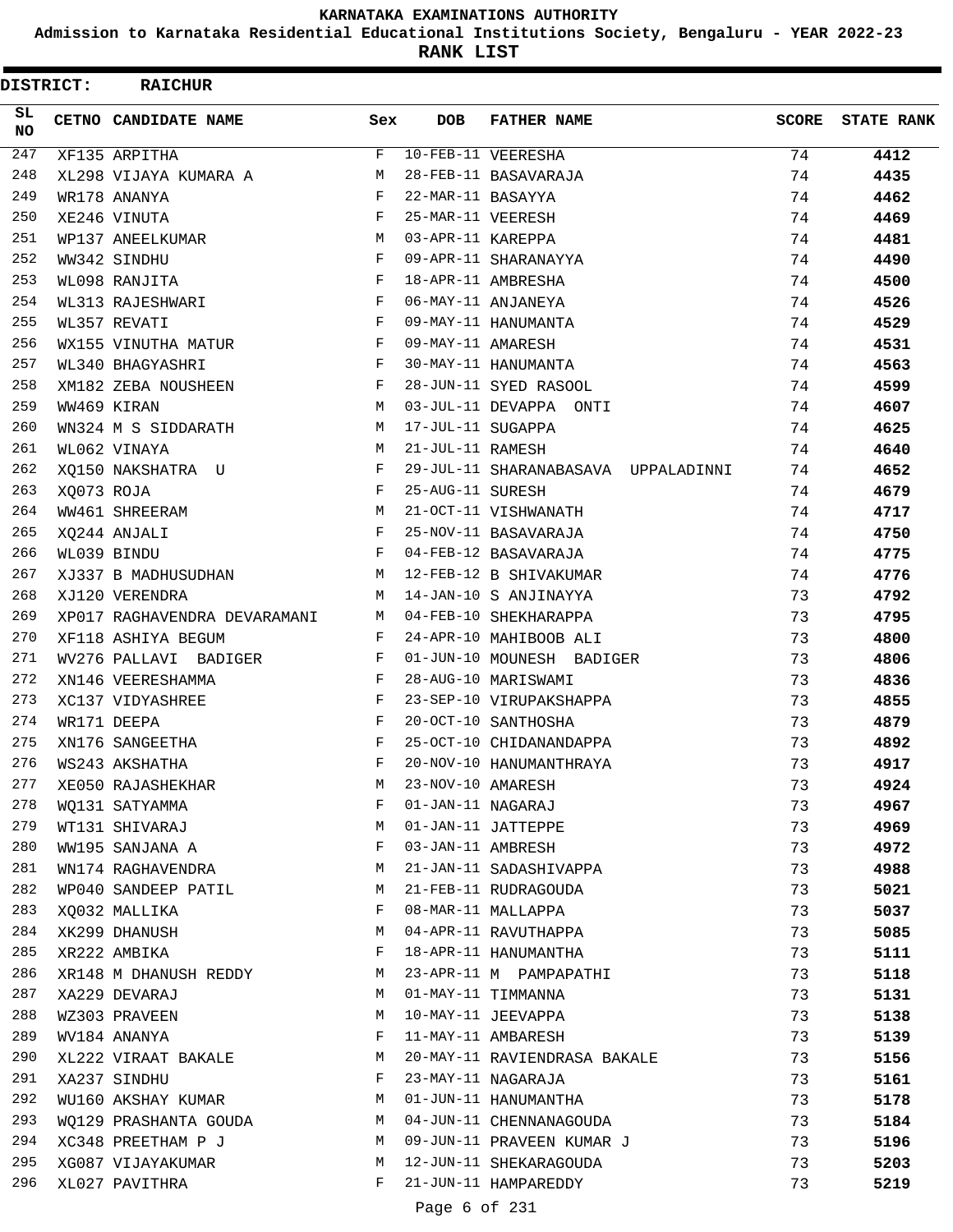**Admission to Karnataka Residential Educational Institutions Society, Bengaluru - YEAR 2022-23**

**RANK LIST**

| <b>DISTRICT:</b> |            | <b>RAICHUR</b>               |              |                   |                                     |       |                   |
|------------------|------------|------------------------------|--------------|-------------------|-------------------------------------|-------|-------------------|
| SL.<br>NO.       |            | CETNO CANDIDATE NAME         | Sex          | <b>DOB</b>        | <b>FATHER NAME</b>                  | SCORE | <b>STATE RANK</b> |
| 247              |            | XF135 ARPITHA                | F            |                   | 10-FEB-11 VEERESHA                  | 74    | 4412              |
| 248              |            | XL298 VIJAYA KUMARA A        | M            |                   | 28-FEB-11 BASAVARAJA                | 74    | 4435              |
| 249              |            | WR178 ANANYA                 | F            | 22-MAR-11 BASAYYA |                                     | 74    | 4462              |
| 250              |            | XE246 VINUTA                 | F            | 25-MAR-11 VEERESH |                                     | 74    | 4469              |
| 251              |            | WP137 ANEELKUMAR             | M            | 03-APR-11 KAREPPA |                                     | 74    | 4481              |
| 252              |            | WW342 SINDHU                 | F            |                   | 09-APR-11 SHARANAYYA                | 74    | 4490              |
| 253              |            | WL098 RANJITA                | F            |                   | 18-APR-11 AMBRESHA                  | 74    | 4500              |
| 254              |            | WL313 RAJESHWARI             | F            |                   | 06-MAY-11 ANJANEYA                  | 74    | 4526              |
| 255              |            | WL357 REVATI                 | $\mathbf{F}$ |                   | 09-MAY-11 HANUMANTA                 | 74    | 4529              |
| 256              |            | WX155 VINUTHA MATUR          | F            | 09-MAY-11 AMARESH |                                     | 74    | 4531              |
| 257              |            | WL340 BHAGYASHRI             | F            |                   | 30-MAY-11 HANUMANTA                 | 74    | 4563              |
| 258              |            | XM182 ZEBA NOUSHEEN          | F            |                   | 28-JUN-11 SYED RASOOL               | 74    | 4599              |
| 259              |            | WW469 KIRAN                  | M            |                   | 03-JUL-11 DEVAPPA ONTI              | 74    | 4607              |
| 260              |            | WN324 M S SIDDARATH          | M            | 17-JUL-11 SUGAPPA |                                     | 74    | 4625              |
| 261              |            | WL062 VINAYA                 | M            | 21-JUL-11 RAMESH  |                                     | 74    | 4640              |
| 262              |            | XQ150 NAKSHATRA U            | F            |                   | 29-JUL-11 SHARANABASAVA UPPALADINNI | 74    | 4652              |
| 263              | XQ073 ROJA |                              | F            | 25-AUG-11 SURESH  |                                     | 74    | 4679              |
| 264              |            | WW461 SHREERAM               | M            |                   | 21-OCT-11 VISHWANATH                | 74    | 4717              |
| 265              |            | XQ244 ANJALI                 | F            |                   | 25-NOV-11 BASAVARAJA                | 74    | 4750              |
| 266              |            | WL039 BINDU                  | F            |                   | 04-FEB-12 BASAVARAJA                | 74    | 4775              |
| 267              |            | XJ337 B MADHUSUDHAN          | M            |                   | 12-FEB-12 B SHIVAKUMAR              | 74    | 4776              |
| 268              |            | XJ120 VERENDRA               | M            |                   | 14-JAN-10 S ANJINAYYA               | 73    | 4792              |
| 269              |            | XP017 RAGHAVENDRA DEVARAMANI | M            |                   | 04-FEB-10 SHEKHARAPPA               | 73    | 4795              |
| 270              |            | XF118 ASHIYA BEGUM           | F            |                   | 24-APR-10 MAHIBOOB ALI              | 73    | 4800              |
| 271              |            | WV276 PALLAVI BADIGER        | F            |                   | 01-JUN-10 MOUNESH BADIGER           | 73    | 4806              |
| 272              |            | XN146 VEERESHAMMA            | F            |                   | 28-AUG-10 MARISWAMI                 | 73    | 4836              |
| 273              |            | XC137 VIDYASHREE             | F            |                   | 23-SEP-10 VIRUPAKSHAPPA             | 73    | 4855              |
| 274              |            | WR171 DEEPA                  | F            |                   | 20-OCT-10 SANTHOSHA                 | 73    | 4879              |
| 275              |            | XN176 SANGEETHA              | F            |                   | 25-OCT-10 CHIDANANDAPPA             | 73    | 4892              |
| 276              |            | WS243 AKSHATHA               | $_{\rm F}$   |                   | 20-NOV-10 HANUMANTHRAYA             | 73    | 4917              |
| 277              |            | XE050 RAJASHEKHAR            | M            | 23-NOV-10 AMARESH |                                     | 73    | 4924              |
| 278              |            | WO131 SATYAMMA               | F            | 01-JAN-11 NAGARAJ |                                     | 73    | 4967              |
| 279              |            | WT131 SHIVARAJ               | М            |                   | 01-JAN-11 JATTEPPE                  | 73    | 4969              |
| 280              |            | WW195 SANJANA A              | F            | 03-JAN-11 AMBRESH |                                     | 73    | 4972              |
| 281              |            | WN174 RAGHAVENDRA            | М            |                   | 21-JAN-11 SADASHIVAPPA              | 73    | 4988              |
| 282              |            | WP040 SANDEEP PATIL          | M            |                   | 21-FEB-11 RUDRAGOUDA                | 73    | 5021              |
| 283              |            | XQ032 MALLIKA                | F            |                   | 08-MAR-11 MALLAPPA                  | 73    | 5037              |
| 284              |            | XK299 DHANUSH                | М            |                   | 04-APR-11 RAVUTHAPPA                | 73    | 5085              |
| 285              |            | XR222 AMBIKA                 | F            |                   | 18-APR-11 HANUMANTHA                | 73    | 5111              |
| 286              |            | XR148 M DHANUSH REDDY        | M            |                   | 23-APR-11 M PAMPAPATHI              | 73    | 5118              |
| 287              |            | XA229 DEVARAJ                | M            |                   | 01-MAY-11 TIMMANNA                  | 73    | 5131              |
| 288              |            | WZ303 PRAVEEN                | М            |                   | 10-MAY-11 JEEVAPPA                  | 73    | 5138              |
| 289              |            | WV184 ANANYA                 | F            |                   | 11-MAY-11 AMBARESH                  | 73    | 5139              |
| 290              |            | XL222 VIRAAT BAKALE          | М            |                   | 20-MAY-11 RAVIENDRASA BAKALE        | 73    | 5156              |
| 291              |            | XA237 SINDHU                 | F            |                   | 23-MAY-11 NAGARAJA                  | 73    | 5161              |
| 292              |            | WU160 AKSHAY KUMAR           | М            |                   | 01-JUN-11 HANUMANTHA                | 73    | 5178              |
| 293              |            | WQ129 PRASHANTA GOUDA        | M            |                   | 04-JUN-11 CHENNANAGOUDA             | 73    | 5184              |
| 294              |            | XC348 PREETHAM P J           | M            |                   | 09-JUN-11 PRAVEEN KUMAR J           | 73    | 5196              |
| 295              |            | XG087 VIJAYAKUMAR            | М            |                   | 12-JUN-11 SHEKARAGOUDA              | 73    | 5203              |
| 296              |            | XL027 PAVITHRA               | F            |                   | 21-JUN-11 HAMPAREDDY                | 73    | 5219              |
|                  |            |                              |              |                   |                                     |       |                   |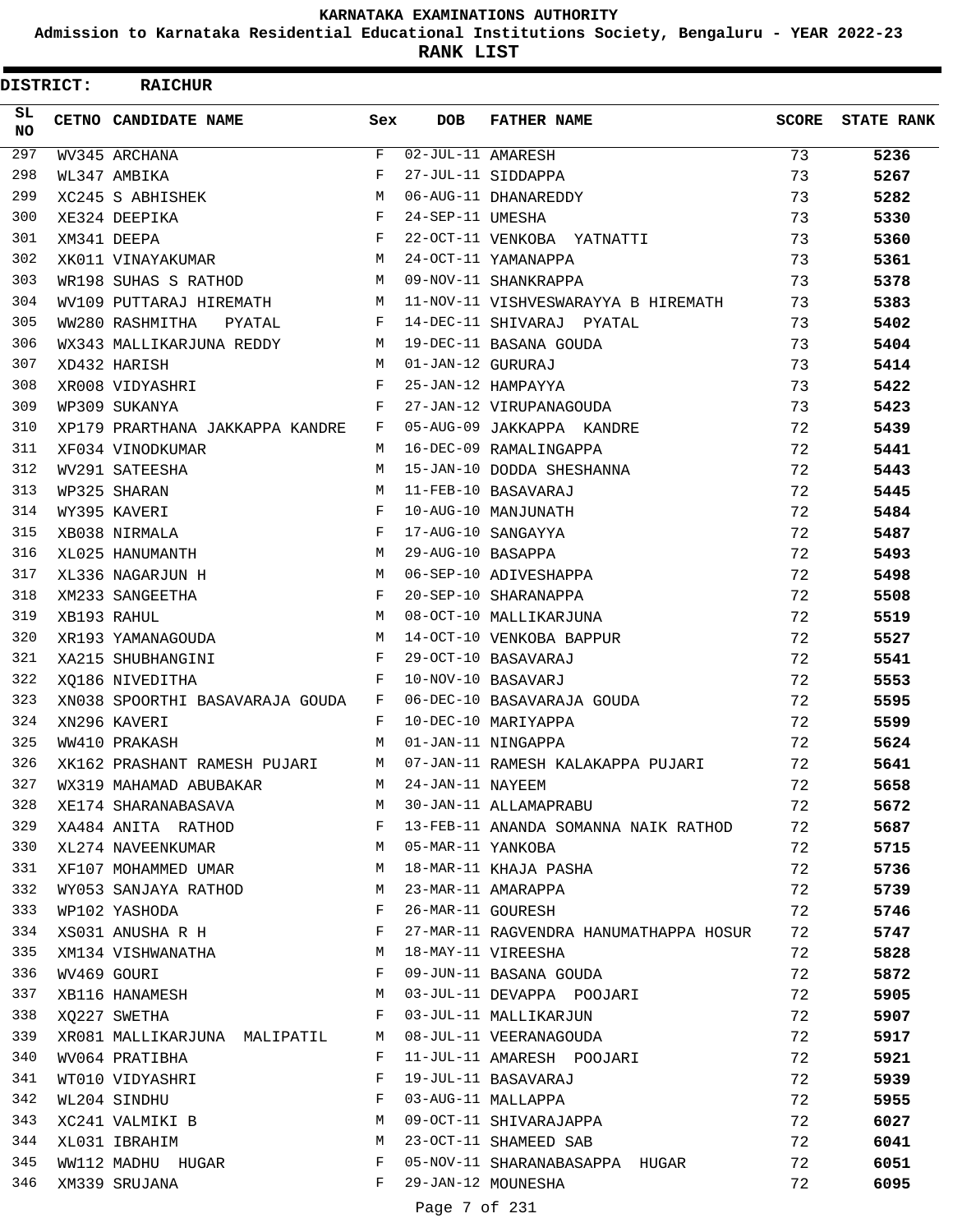**Admission to Karnataka Residential Educational Institutions Society, Bengaluru - YEAR 2022-23**

| DISTRICT:        | <b>RAICHUR</b>                  |              |                   |                                        |              |                   |
|------------------|---------------------------------|--------------|-------------------|----------------------------------------|--------------|-------------------|
| SL.<br><b>NO</b> | CETNO CANDIDATE NAME            | Sex          | <b>DOB</b>        | <b>FATHER NAME</b>                     | <b>SCORE</b> | <b>STATE RANK</b> |
| 297              | WV345 ARCHANA                   | F            | 02-JUL-11 AMARESH |                                        | 73           | 5236              |
| 298              | WL347 AMBIKA                    | F            |                   | 27-JUL-11 SIDDAPPA                     | 73           | 5267              |
| 299              | XC245 S ABHISHEK                | M            |                   | 06-AUG-11 DHANAREDDY                   | 73           | 5282              |
| 300              | XE324 DEEPIKA                   | F            | 24-SEP-11 UMESHA  |                                        | 73           | 5330              |
| 301              | XM341 DEEPA                     | F            |                   | 22-OCT-11 VENKOBA YATNATTI             | 73           | 5360              |
| 302              | XK011 VINAYAKUMAR               | M            |                   | 24-OCT-11 YAMANAPPA                    | 73           | 5361              |
| 303              | WR198 SUHAS S RATHOD            | M            |                   | 09-NOV-11 SHANKRAPPA                   | 73           | 5378              |
| 304              | WV109 PUTTARAJ HIREMATH         | M            |                   | 11-NOV-11 VISHVESWARAYYA B HIREMATH    | 73           | 5383              |
| 305              | WW280 RASHMITHA<br>PYATAL       | F            |                   | 14-DEC-11 SHIVARAJ PYATAL              | 73           | 5402              |
| 306              | WX343 MALLIKARJUNA REDDY        | M            |                   | 19-DEC-11 BASANA GOUDA                 | 73           | 5404              |
| 307              | XD432 HARISH                    | M            | 01-JAN-12 GURURAJ |                                        | 73           | 5414              |
| 308              | XR008 VIDYASHRI                 | F            |                   | 25-JAN-12 HAMPAYYA                     | 73           | 5422              |
| 309              | WP309 SUKANYA                   | F            |                   | 27-JAN-12 VIRUPANAGOUDA                | 73           | 5423              |
| 310              | XP179 PRARTHANA JAKKAPPA KANDRE | F            |                   | 05-AUG-09 JAKKAPPA KANDRE              | 72           | 5439              |
| 311              | XF034 VINODKUMAR                | M            |                   | 16-DEC-09 RAMALINGAPPA                 | 72           | 5441              |
| 312              | WV291 SATEESHA                  | M            |                   | 15-JAN-10 DODDA SHESHANNA              | 72           | 5443              |
| 313              | WP325 SHARAN                    | M            |                   | 11-FEB-10 BASAVARAJ                    | 72           | 5445              |
| 314              | WY395 KAVERI                    | F            |                   | 10-AUG-10 MANJUNATH                    | 72           | 5484              |
| 315              | XB038 NIRMALA                   | F            |                   | 17-AUG-10 SANGAYYA                     | 72           | 5487              |
| 316              | XL025 HANUMANTH                 | M            | 29-AUG-10 BASAPPA |                                        | 72           | 5493              |
| 317              | XL336 NAGARJUN H                | M            |                   | 06-SEP-10 ADIVESHAPPA                  | 72           | 5498              |
| 318              | XM233 SANGEETHA                 | F            |                   | 20-SEP-10 SHARANAPPA                   | 72           | 5508              |
| 319              | XB193 RAHUL                     | M            |                   | 08-OCT-10 MALLIKARJUNA                 | 72           | 5519              |
| 320              | XR193 YAMANAGOUDA               | M            |                   | 14-OCT-10 VENKOBA BAPPUR               | 72           | 5527              |
| 321              | XA215 SHUBHANGINI               | F            |                   | 29-OCT-10 BASAVARAJ                    | 72           | 5541              |
| 322              | XQ186 NIVEDITHA                 | F            |                   | 10-NOV-10 BASAVARJ                     | 72           | 5553              |
| 323              | XN038 SPOORTHI BASAVARAJA GOUDA | $\mathbf{F}$ |                   | 06-DEC-10 BASAVARAJA GOUDA             | 72           | 5595              |
| 324              | XN296 KAVERI                    | F            |                   | 10-DEC-10 MARIYAPPA                    | 72           | 5599              |
| 325              | WW410 PRAKASH                   | M            |                   | 01-JAN-11 NINGAPPA                     | 72           | 5624              |
| 326              | XK162 PRASHANT RAMESH PUJARI    | M            |                   | 07-JAN-11 RAMESH KALAKAPPA PUJARI      | 72           | 5641              |
| 327              | WX319 MAHAMAD ABUBAKAR          | M            | 24-JAN-11 NAYEEM  |                                        | 72           | 5658              |
| 328              | XE174 SHARANABASAVA             | M            |                   | 30-JAN-11 ALLAMAPRABU                  | 72           | 5672              |
| 329              | XA484 ANITA RATHOD              | $\mathbf{F}$ |                   | 13-FEB-11 ANANDA SOMANNA NAIK RATHOD   | 72           | 5687              |
| 330              | XL274 NAVEENKUMAR               | M            | 05-MAR-11 YANKOBA |                                        | 72           | 5715              |
| 331              | XF107 MOHAMMED UMAR             | М            |                   | 18-MAR-11 KHAJA PASHA                  | 72           | 5736              |
| 332              | WY053 SANJAYA RATHOD            | M            |                   | 23-MAR-11 AMARAPPA                     | 72           | 5739              |
| 333              | WP102 YASHODA                   | F            | 26-MAR-11 GOURESH |                                        | 72           | 5746              |
| 334              | XS031 ANUSHA R H                | F            |                   | 27-MAR-11 RAGVENDRA HANUMATHAPPA HOSUR | 72           | 5747              |
| 335              | XM134 VISHWANATHA               | M            |                   | 18-MAY-11 VIREESHA                     | 72           | 5828              |
| 336              | WV469 GOURI                     | F            |                   | 09-JUN-11 BASANA GOUDA                 | 72           | 5872              |
| 337              | XB116 HANAMESH                  | M            |                   | 03-JUL-11 DEVAPPA POOJARI              | 72           | 5905              |
| 338              | XQ227 SWETHA                    | F            |                   | 03-JUL-11 MALLIKARJUN                  | 72           | 5907              |
| 339              | XR081 MALLIKARJUNA MALIPATIL    | M            |                   | 08-JUL-11 VEERANAGOUDA                 | 72           | 5917              |
| 340              | WV064 PRATIBHA                  | F            |                   | 11-JUL-11 AMARESH POOJARI              | 72           | 5921              |
| 341              | WT010 VIDYASHRI                 | F            |                   | 19-JUL-11 BASAVARAJ                    | 72           | 5939              |
| 342              | WL204 SINDHU                    | F            |                   | 03-AUG-11 MALLAPPA                     | 72           | 5955              |
| 343              | XC241 VALMIKI B                 | М            |                   | 09-OCT-11 SHIVARAJAPPA                 | 72           | 6027              |
| 344              | XL031 IBRAHIM                   | М            |                   | 23-OCT-11 SHAMEED SAB                  | 72           | 6041              |
| 345              | WW112 MADHU HUGAR               | F            |                   | 05-NOV-11 SHARANABASAPPA HUGAR         | 72           | 6051              |
| 346              | XM339 SRUJANA                   | F            |                   | 29-JAN-12 MOUNESHA                     | 72           | 6095              |
|                  |                                 |              |                   |                                        |              |                   |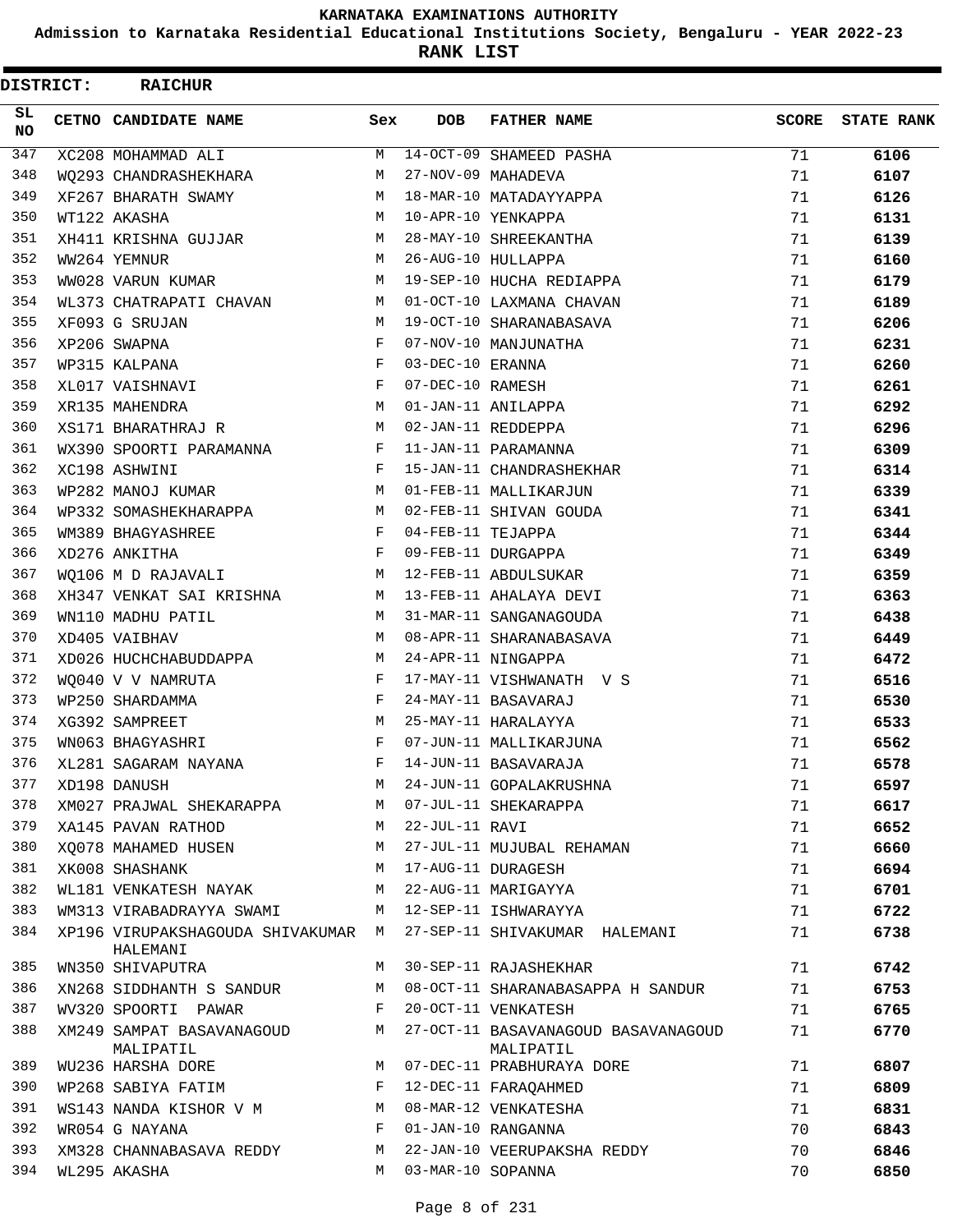**Admission to Karnataka Residential Educational Institutions Society, Bengaluru - YEAR 2022-23**

**RANK LIST**

| <b>DISTRICT:</b> | <b>RAICHUR</b>                                 |     |                   |                                                  |              |                   |
|------------------|------------------------------------------------|-----|-------------------|--------------------------------------------------|--------------|-------------------|
| SL.<br>NO.       | CETNO CANDIDATE NAME                           | Sex | <b>DOB</b>        | <b>FATHER NAME</b>                               | <b>SCORE</b> | <b>STATE RANK</b> |
| 347              | XC208 MOHAMMAD ALI                             | М   |                   | 14-OCT-09 SHAMEED PASHA                          | 71           | 6106              |
| 348              | WO293 CHANDRASHEKHARA                          | М   |                   | 27-NOV-09 MAHADEVA                               | 71           | 6107              |
| 349              | XF267 BHARATH SWAMY                            | M   |                   | 18-MAR-10 MATADAYYAPPA                           | 71           | 6126              |
| 350              | WT122 AKASHA                                   | M   |                   | 10-APR-10 YENKAPPA                               | 71           | 6131              |
| 351              | XH411 KRISHNA GUJJAR                           | M   |                   | 28-MAY-10 SHREEKANTHA                            | 71           | 6139              |
| 352              | WW264 YEMNUR                                   | M   |                   | 26-AUG-10 HULLAPPA                               | 71           | 6160              |
| 353              | WW028 VARUN KUMAR                              | M   |                   | 19-SEP-10 HUCHA REDIAPPA                         | 71           | 6179              |
| 354              | WL373 CHATRAPATI CHAVAN                        | M   |                   | 01-OCT-10 LAXMANA CHAVAN                         | 71           | 6189              |
| 355              | XF093 G SRUJAN                                 | M   |                   | 19-OCT-10 SHARANABASAVA                          | 71           | 6206              |
| 356              | XP206 SWAPNA                                   | F   |                   | 07-NOV-10 MANJUNATHA                             | 71           | 6231              |
| 357              | WP315 KALPANA                                  | F   | 03-DEC-10 ERANNA  |                                                  | 71           | 6260              |
| 358              | XL017 VAISHNAVI                                | F   | 07-DEC-10 RAMESH  |                                                  | 71           | 6261              |
| 359              | XR135 MAHENDRA                                 | M   |                   | 01-JAN-11 ANILAPPA                               | 71           | 6292              |
| 360              | XS171 BHARATHRAJ R                             | M   |                   | 02-JAN-11 REDDEPPA                               | 71           | 6296              |
| 361              | WX390 SPOORTI PARAMANNA                        | F   |                   | 11-JAN-11 PARAMANNA                              | 71           | 6309              |
| 362              | XC198 ASHWINI                                  | F   |                   | 15-JAN-11 CHANDRASHEKHAR                         | 71           | 6314              |
| 363              | WP282 MANOJ KUMAR                              | M   |                   | 01-FEB-11 MALLIKARJUN                            | 71           | 6339              |
| 364              | WP332 SOMASHEKHARAPPA                          | M   |                   | 02-FEB-11 SHIVAN GOUDA                           | 71           | 6341              |
| 365              | WM389 BHAGYASHREE                              | F   | 04-FEB-11 TEJAPPA |                                                  | 71           | 6344              |
| 366              | XD276 ANKITHA                                  | F   |                   | 09-FEB-11 DURGAPPA                               | 71           | 6349              |
| 367              | WO106 M D RAJAVALI                             | М   |                   | 12-FEB-11 ABDULSUKAR                             | 71           | 6359              |
| 368              | XH347 VENKAT SAI KRISHNA                       | M   |                   | 13-FEB-11 AHALAYA DEVI                           | 71           | 6363              |
| 369              | WN110 MADHU PATIL                              | M   |                   | 31-MAR-11 SANGANAGOUDA                           | 71           | 6438              |
| 370              | XD405 VAIBHAV                                  | M   |                   | 08-APR-11 SHARANABASAVA                          | 71           | 6449              |
| 371              | XD026 HUCHCHABUDDAPPA                          | M   |                   | 24-APR-11 NINGAPPA                               | 71           | 6472              |
| 372              | WO040 V V NAMRUTA                              | F   |                   | 17-MAY-11 VISHWANATH V S                         | 71           | 6516              |
| 373              | WP250 SHARDAMMA                                | F   |                   | 24-MAY-11 BASAVARAJ                              | 71           | 6530              |
| 374              | XG392 SAMPREET                                 | M   |                   | 25-MAY-11 HARALAYYA                              | 71           | 6533              |
| 375              | WN063 BHAGYASHRI                               | F   |                   | 07-JUN-11 MALLIKARJUNA                           | 71           | 6562              |
| 376              | XL281 SAGARAM NAYANA                           | F   |                   | 14-JUN-11 BASAVARAJA                             | 71           | 6578              |
| 377              | XD198 DANUSH                                   | М   |                   | 24-JUN-11 GOPALAKRUSHNA                          | 71           | 6597              |
| 378              | XM027 PRAJWAL SHEKARAPPA                       | М   |                   | 07-JUL-11 SHEKARAPPA                             | 71           | 6617              |
| 379              | XA145 PAVAN RATHOD                             | М   | 22-JUL-11 RAVI    |                                                  | 71           | 6652              |
| 380              | XO078 MAHAMED HUSEN                            | М   |                   | 27-JUL-11 MUJUBAL REHAMAN                        | 71           | 6660              |
| 381              | XK008 SHASHANK                                 | M   |                   | 17-AUG-11 DURAGESH                               | 71           | 6694              |
| 382              | WL181 VENKATESH NAYAK                          | М   |                   | 22-AUG-11 MARIGAYYA                              | 71           | 6701              |
| 383              | WM313 VIRABADRAYYA SWAMI                       | М   |                   | 12-SEP-11 ISHWARAYYA                             | 71           | 6722              |
| 384              | XP196 VIRUPAKSHAGOUDA SHIVAKUMAR M<br>HALEMANI |     |                   | 27-SEP-11 SHIVAKUMAR HALEMANI                    | 71           | 6738              |
| 385              | WN350 SHIVAPUTRA                               | M   |                   | 30-SEP-11 RAJASHEKHAR                            | 71           | 6742              |
| 386              | XN268 SIDDHANTH S SANDUR                       | М   |                   | 08-OCT-11 SHARANABASAPPA H SANDUR                | 71           | 6753              |
| 387              | WV320 SPOORTI PAWAR                            | F   |                   | 20-OCT-11 VENKATESH                              | 71           | 6765              |
| 388              | XM249 SAMPAT BASAVANAGOUD<br>MALIPATIL         | М   |                   | 27-OCT-11 BASAVANAGOUD BASAVANAGOUD<br>MALIPATIL | 71           | 6770              |
| 389              | WU236 HARSHA DORE                              | M   |                   | 07-DEC-11 PRABHURAYA DORE                        | 71           | 6807              |
| 390              | WP268 SABIYA FATIM                             | F   |                   | 12-DEC-11 FARAQAHMED                             | 71           | 6809              |
| 391              | WS143 NANDA KISHOR V M                         | М   |                   | 08-MAR-12 VENKATESHA                             | 71           | 6831              |
| 392              | WR054 G NAYANA                                 | F   |                   | 01-JAN-10 RANGANNA                               | 70           | 6843              |
| 393              | XM328 CHANNABASAVA REDDY                       | М   |                   | 22-JAN-10 VEERUPAKSHA REDDY                      | 70           | 6846              |
| 394              | WL295 AKASHA                                   | М   | 03-MAR-10 SOPANNA |                                                  | 70           | 6850              |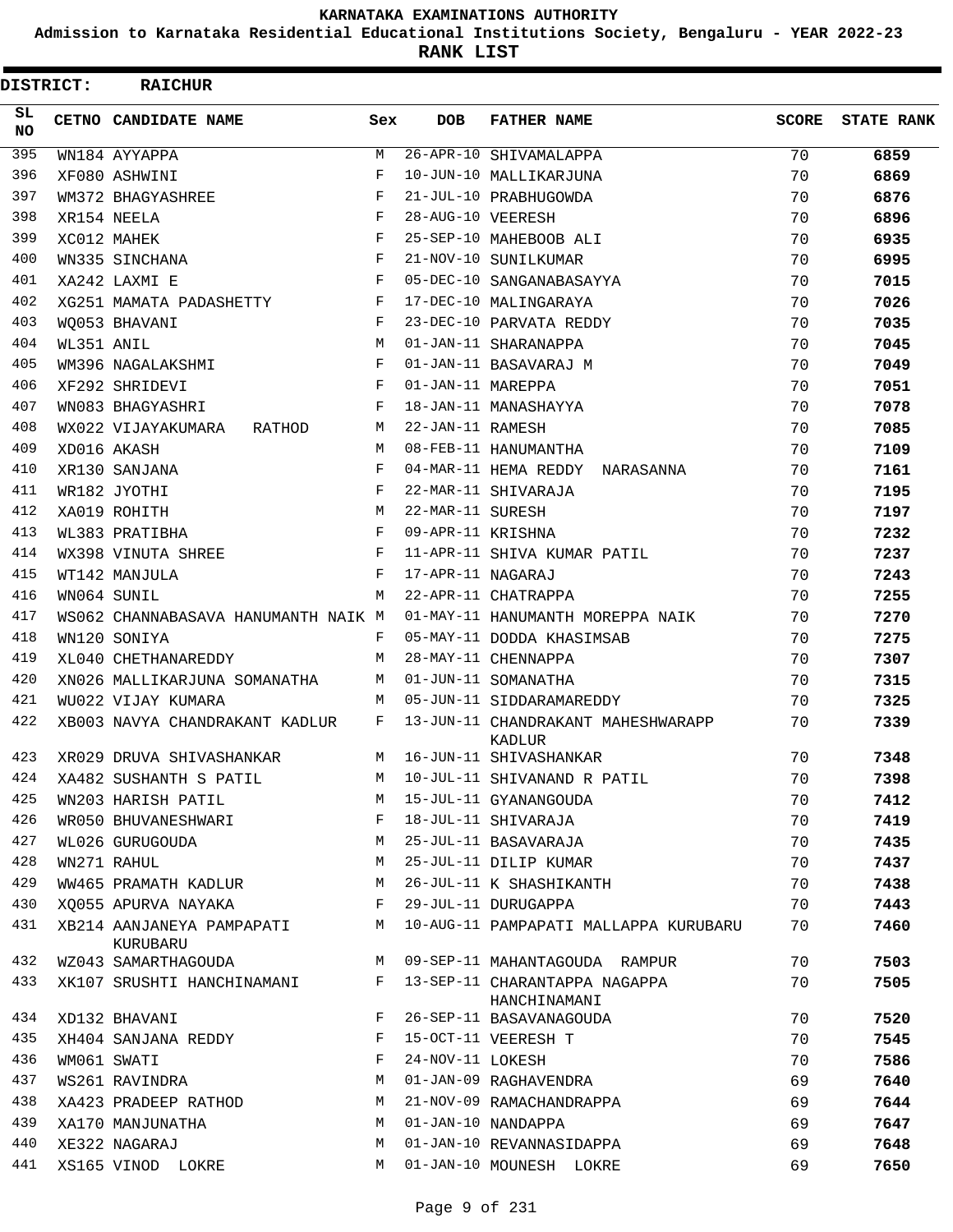**Admission to Karnataka Residential Educational Institutions Society, Bengaluru - YEAR 2022-23**

| <b>DISTRICT:</b> |            | <b>RAICHUR</b>                        |            |                   |                                               |       |                   |
|------------------|------------|---------------------------------------|------------|-------------------|-----------------------------------------------|-------|-------------------|
| SL.<br><b>NO</b> |            | CETNO CANDIDATE NAME                  | Sex        | <b>DOB</b>        | <b>FATHER NAME</b>                            | SCORE | <b>STATE RANK</b> |
| 395              |            | WN184 AYYAPPA                         | M          |                   | 26-APR-10 SHIVAMALAPPA                        | 70    | 6859              |
| 396              |            | XF080 ASHWINI                         | F          |                   | 10-JUN-10 MALLIKARJUNA                        | 70    | 6869              |
| 397              |            | WM372 BHAGYASHREE                     | F          |                   | 21-JUL-10 PRABHUGOWDA                         | 70    | 6876              |
| 398              |            | XR154 NEELA                           | F          | 28-AUG-10 VEERESH |                                               | 70    | 6896              |
| 399              |            | XC012 MAHEK                           | F          |                   | 25-SEP-10 MAHEBOOB ALI                        | 70    | 6935              |
| 400              |            | WN335 SINCHANA                        | $_{\rm F}$ |                   | 21-NOV-10 SUNILKUMAR                          | 70    | 6995              |
| 401              |            | XA242 LAXMI E                         | F          |                   | 05-DEC-10 SANGANABASAYYA                      | 70    | 7015              |
| 402              |            | XG251 MAMATA PADASHETTY               | F          |                   | 17-DEC-10 MALINGARAYA                         | 70    | 7026              |
| 403              |            | WO053 BHAVANI                         | F          |                   | 23-DEC-10 PARVATA REDDY                       | 70    | 7035              |
| 404              | WL351 ANIL |                                       | M          |                   | 01-JAN-11 SHARANAPPA                          | 70    | 7045              |
| 405              |            | WM396 NAGALAKSHMI                     | $_{\rm F}$ |                   | 01-JAN-11 BASAVARAJ M                         | 70    | 7049              |
| 406              |            | XF292 SHRIDEVI                        | F          | 01-JAN-11 MAREPPA |                                               | 70    | 7051              |
| 407              |            | WN083 BHAGYASHRI                      | F          |                   | 18-JAN-11 MANASHAYYA                          | 70    | 7078              |
| 408              |            | WX022 VIJAYAKUMARA<br>RATHOD          | М          | 22-JAN-11 RAMESH  |                                               | 70    | 7085              |
| 409              |            | XD016 AKASH                           | M          |                   | 08-FEB-11 HANUMANTHA                          | 70    | 7109              |
| 410              |            | XR130 SANJANA                         | F          |                   | 04-MAR-11 HEMA REDDY NARASANNA                | 70    | 7161              |
| 411              |            | WR182 JYOTHI                          | F          |                   | 22-MAR-11 SHIVARAJA                           | 70    | 7195              |
| 412              |            | XA019 ROHITH                          | M          | 22-MAR-11 SURESH  |                                               | 70    | 7197              |
| 413              |            | WL383 PRATIBHA                        | $_{\rm F}$ | 09-APR-11 KRISHNA |                                               | 70    | 7232              |
| 414              |            | WX398 VINUTA SHREE                    | F          |                   | 11-APR-11 SHIVA KUMAR PATIL                   | 70    | 7237              |
| 415              |            | WT142 MANJULA                         | F          | 17-APR-11 NAGARAJ |                                               | 70    | 7243              |
| 416              |            | WN064 SUNIL                           | M          |                   | 22-APR-11 CHATRAPPA                           | 70    | 7255              |
| 417              |            | WS062 CHANNABASAVA HANUMANTH NAIK M   |            |                   | 01-MAY-11 HANUMANTH MOREPPA NAIK              | 70    | 7270              |
| 418              |            | WN120 SONIYA                          | F          |                   | 05-MAY-11 DODDA KHASIMSAB                     | 70    | 7275              |
| 419              |            | XL040 CHETHANAREDDY                   | M          |                   | 28-MAY-11 CHENNAPPA                           | 70    | 7307              |
| 420              |            | XN026 MALLIKARJUNA SOMANATHA          | М          |                   | 01-JUN-11 SOMANATHA                           | 70    | 7315              |
| 421              |            | WU022 VIJAY KUMARA                    | м          |                   | 05-JUN-11 SIDDARAMAREDDY                      | 70    | 7325              |
| 422              |            | XB003 NAVYA CHANDRAKANT KADLUR        | F          |                   | 13-JUN-11 CHANDRAKANT MAHESHWARAPP<br>KADLUR  | 70    | 7339              |
| 423              |            | XR029 DRUVA SHIVASHANKAR              | M          |                   | 16-JUN-11 SHIVASHANKAR                        | 70    | 7348              |
| 424              |            | XA482 SUSHANTH S PATIL                | М          |                   | 10-JUL-11 SHIVANAND R PATIL                   | 70    | 7398              |
| 425              |            | WN203 HARISH PATIL                    | M          |                   | 15-JUL-11 GYANANGOUDA                         | 70    | 7412              |
| 426              |            | WR050 BHUVANESHWARI                   | F          |                   | 18-JUL-11 SHIVARAJA                           | 70    | 7419              |
| 427              |            | WL026 GURUGOUDA                       | M          |                   | 25-JUL-11 BASAVARAJA                          | 70    | 7435              |
| 428              |            | WN271 RAHUL                           | М          |                   | 25-JUL-11 DILIP KUMAR                         | 70    | 7437              |
| 429              |            | WW465 PRAMATH KADLUR                  | М          |                   | 26-JUL-11 K SHASHIKANTH                       | 70    | 7438              |
| 430              |            | XO055 APURVA NAYAKA                   | F          |                   | 29-JUL-11 DURUGAPPA                           | 70    | 7443              |
| 431              |            | XB214 AANJANEYA PAMPAPATI<br>KURUBARU | M          |                   | 10-AUG-11 PAMPAPATI MALLAPPA KURUBARU         | 70    | 7460              |
| 432              |            | WZ043 SAMARTHAGOUDA                   | M          |                   | 09-SEP-11 MAHANTAGOUDA RAMPUR                 | 70    | 7503              |
| 433              |            | XK107 SRUSHTI HANCHINAMANI            | F          |                   | 13-SEP-11 CHARANTAPPA NAGAPPA<br>HANCHINAMANI | 70    | 7505              |
| 434              |            | XD132 BHAVANI                         | F          |                   | 26-SEP-11 BASAVANAGOUDA                       | 70    | 7520              |
| 435              |            | XH404 SANJANA REDDY                   | F          |                   | 15-OCT-11 VEERESH T                           | 70    | 7545              |
| 436              |            | WM061 SWATI                           | F          | 24-NOV-11 LOKESH  |                                               | 70    | 7586              |
| 437              |            | WS261 RAVINDRA                        | M          |                   | 01-JAN-09 RAGHAVENDRA                         | 69    | 7640              |
| 438              |            | XA423 PRADEEP RATHOD                  | M          |                   | 21-NOV-09 RAMACHANDRAPPA                      | 69    | 7644              |
| 439              |            | XA170 MANJUNATHA                      | M          |                   | 01-JAN-10 NANDAPPA                            | 69    | 7647              |
| 440              |            | XE322 NAGARAJ                         | M          |                   | 01-JAN-10 REVANNASIDAPPA                      | 69    | 7648              |
| 441              |            | XS165 VINOD LOKRE                     | M          |                   | 01-JAN-10 MOUNESH LOKRE                       | 69    | 7650              |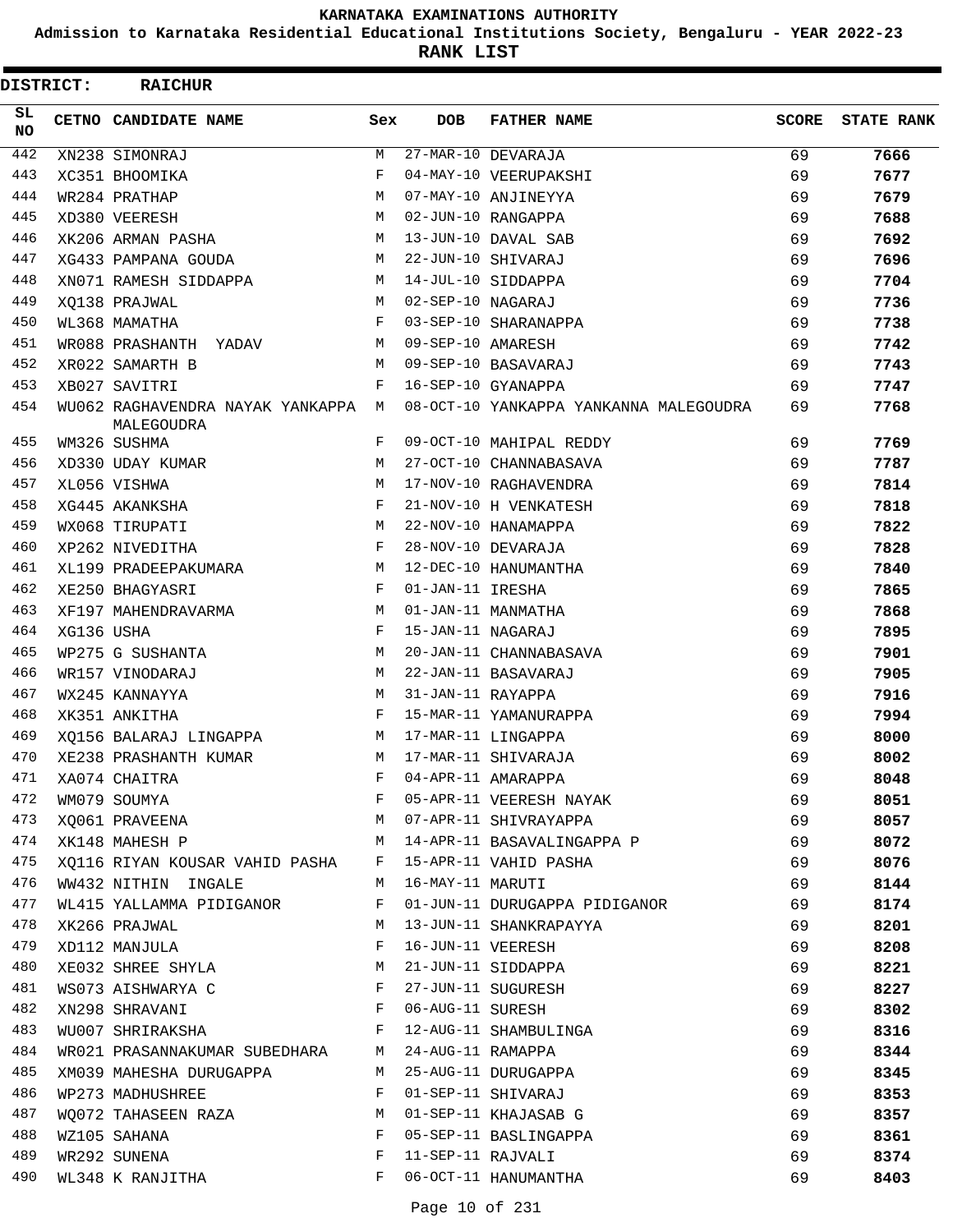**Admission to Karnataka Residential Educational Institutions Society, Bengaluru - YEAR 2022-23**

**RANK LIST**

| <b>DISTRICT:</b> |            | <b>RAICHUR</b>                                   |     |                   |                                        |              |                   |
|------------------|------------|--------------------------------------------------|-----|-------------------|----------------------------------------|--------------|-------------------|
| SL.<br>NO.       |            | CETNO CANDIDATE NAME                             | Sex | <b>DOB</b>        | <b>FATHER NAME</b>                     | <b>SCORE</b> | <b>STATE RANK</b> |
| 442              |            | XN238 SIMONRAJ                                   | М   |                   | 27-MAR-10 DEVARAJA                     | 69           | 7666              |
| 443              |            | XC351 BHOOMIKA                                   | F   |                   | 04-MAY-10 VEERUPAKSHI                  | 69           | 7677              |
| 444              |            | WR284 PRATHAP                                    | M   |                   | 07-MAY-10 ANJINEYYA                    | 69           | 7679              |
| 445              |            | XD380 VEERESH                                    | M   |                   | 02-JUN-10 RANGAPPA                     | 69           | 7688              |
| 446              |            | XK206 ARMAN PASHA                                | M   |                   | 13-JUN-10 DAVAL SAB                    | 69           | 7692              |
| 447              |            | XG433 PAMPANA GOUDA                              | М   |                   | 22-JUN-10 SHIVARAJ                     | 69           | 7696              |
| 448              |            | XN071 RAMESH SIDDAPPA                            | M   |                   | 14-JUL-10 SIDDAPPA                     | 69           | 7704              |
| 449              |            | XQ138 PRAJWAL                                    | M   | 02-SEP-10 NAGARAJ |                                        | 69           | 7736              |
| 450              |            | WL368 MAMATHA                                    | F   |                   | 03-SEP-10 SHARANAPPA                   | 69           | 7738              |
| 451              |            | WR088 PRASHANTH YADAV                            | М   | 09-SEP-10 AMARESH |                                        | 69           | 7742              |
| 452              |            | XR022 SAMARTH B                                  | M   |                   | 09-SEP-10 BASAVARAJ                    | 69           | 7743              |
| 453              |            | XB027 SAVITRI                                    | F   |                   | 16-SEP-10 GYANAPPA                     | 69           | 7747              |
| 454              |            | WU062 RAGHAVENDRA NAYAK YANKAPPA M<br>MALEGOUDRA |     |                   | 08-OCT-10 YANKAPPA YANKANNA MALEGOUDRA | 69           | 7768              |
| 455              |            | WM326 SUSHMA                                     | F   |                   | 09-OCT-10 MAHIPAL REDDY                | 69           | 7769              |
| 456              |            | XD330 UDAY KUMAR                                 | М   |                   | 27-OCT-10 CHANNABASAVA                 | 69           | 7787              |
| 457              |            | XL056 VISHWA                                     | M   |                   | 17-NOV-10 RAGHAVENDRA                  | 69           | 7814              |
| 458              |            | XG445 AKANKSHA                                   | F   |                   | 21-NOV-10 H VENKATESH                  | 69           | 7818              |
| 459              |            | WX068 TIRUPATI                                   | M   |                   | 22-NOV-10 HANAMAPPA                    | 69           | 7822              |
| 460              |            | XP262 NIVEDITHA                                  | F   |                   | 28-NOV-10 DEVARAJA                     | 69           | 7828              |
| 461              |            | XL199 PRADEEPAKUMARA                             | М   |                   | 12-DEC-10 HANUMANTHA                   | 69           | 7840              |
| 462              |            | XE250 BHAGYASRI                                  | F   | 01-JAN-11 IRESHA  |                                        | 69           | 7865              |
| 463              |            | XF197 MAHENDRAVARMA                              | М   |                   | 01-JAN-11 MANMATHA                     | 69           | 7868              |
| 464              | XG136 USHA |                                                  | F   | 15-JAN-11 NAGARAJ |                                        | 69           | 7895              |
| 465              |            | WP275 G SUSHANTA                                 | М   |                   | 20-JAN-11 CHANNABASAVA                 | 69           | 7901              |
| 466              |            | WR157 VINODARAJ                                  | М   |                   | 22-JAN-11 BASAVARAJ                    | 69           | 7905              |
| 467              |            | WX245 KANNAYYA                                   | М   | 31-JAN-11 RAYAPPA |                                        | 69           | 7916              |
| 468              |            | XK351 ANKITHA                                    | F   |                   | 15-MAR-11 YAMANURAPPA                  | 69           | 7994              |
| 469              |            | XQ156 BALARAJ LINGAPPA                           | М   |                   | 17-MAR-11 LINGAPPA                     | 69           | 8000              |
| 470              |            | XE238 PRASHANTH KUMAR                            | М   |                   | 17-MAR-11 SHIVARAJA                    | 69           | 8002              |
| 471              |            | XA074 CHAITRA                                    |     |                   | 04-APR-11 AMARAPPA                     | 69           | 8048              |
| 472              |            | WM079 SOUMYA                                     | F   |                   | 05-APR-11 VEERESH NAYAK                | 69           | 8051              |
| 473              |            | XO061 PRAVEENA                                   | М   |                   | 07-APR-11 SHIVRAYAPPA                  | 69           | 8057              |
| 474              |            | XK148 MAHESH P                                   | M   |                   | 14-APR-11 BASAVALINGAPPA P             | 69           | 8072              |
| 475              |            | XQ116 RIYAN KOUSAR VAHID PASHA F                 |     |                   | 15-APR-11 VAHID PASHA                  | 69           | 8076              |
| 476              |            | WW432 NITHIN INGALE                              | M   | 16-MAY-11 MARUTI  |                                        | 69           | 8144              |
| 477              |            | WL415 YALLAMMA PIDIGANOR                         | F   |                   | 01-JUN-11 DURUGAPPA PIDIGANOR          | 69           | 8174              |
| 478              |            | XK266 PRAJWAL                                    | М   |                   | 13-JUN-11 SHANKRAPAYYA                 | 69           | 8201              |
| 479              |            | XD112 MANJULA                                    | F   | 16-JUN-11 VEERESH |                                        | 69           | 8208              |
| 480              |            | XE032 SHREE SHYLA                                | M   |                   | 21-JUN-11 SIDDAPPA                     | 69           | 8221              |
| 481              |            | WS073 AISHWARYA C                                | F   |                   | 27-JUN-11 SUGURESH                     | 69           | 8227              |
| 482              |            | XN298 SHRAVANI                                   | F   | 06-AUG-11 SURESH  |                                        | 69           | 8302              |
| 483              |            | WU007 SHRIRAKSHA                                 | F   |                   | 12-AUG-11 SHAMBULINGA                  | 69           | 8316              |
| 484              |            | WR021 PRASANNAKUMAR SUBEDHARA M                  |     | 24-AUG-11 RAMAPPA |                                        | 69           | 8344              |
| 485              |            | XM039 MAHESHA DURUGAPPA                          | M   |                   | 25-AUG-11 DURUGAPPA                    | 69           | 8345              |
| 486              |            | WP273 MADHUSHREE                                 | F   |                   | 01-SEP-11 SHIVARAJ                     | 69           | 8353              |
| 487              |            | WO072 TAHASEEN RAZA                              | M   |                   | 01-SEP-11 KHAJASAB G                   | 69           | 8357              |
| 488              |            | WZ105 SAHANA                                     | F   |                   | 05-SEP-11 BASLINGAPPA                  | 69           | 8361              |
| 489              |            | WR292 SUNENA                                     | F   | 11-SEP-11 RAJVALI |                                        | 69           | 8374              |
| 490              |            | WL348 K RANJITHA                                 | F   |                   | 06-OCT-11 HANUMANTHA                   | 69           | 8403              |
|                  |            |                                                  |     |                   |                                        |              |                   |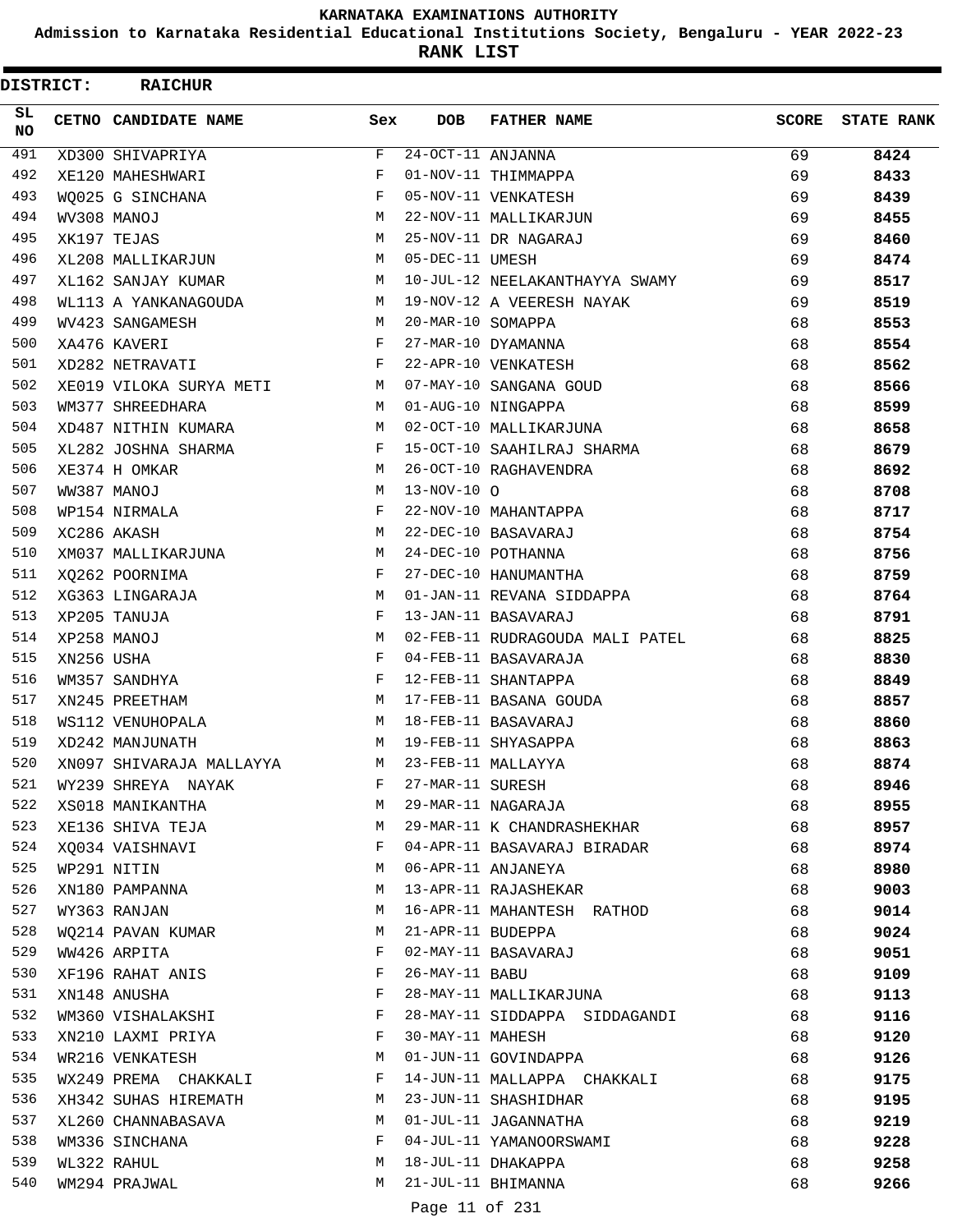**Admission to Karnataka Residential Educational Institutions Society, Bengaluru - YEAR 2022-23**

ı

**RANK LIST**

 $\blacksquare$ 

| <b>DISTRICT:</b> |            | <b>RAICHUR</b>           |              |                                        |                                 |       |                   |
|------------------|------------|--------------------------|--------------|----------------------------------------|---------------------------------|-------|-------------------|
| SL.<br>NO.       |            | CETNO CANDIDATE NAME     | Sex          | <b>DOB</b>                             | <b>FATHER NAME</b>              | SCORE | <b>STATE RANK</b> |
| 491              |            | XD300 SHIVAPRIYA         | F            | $\overline{24-\text{OCT}}$ -11 ANJANNA |                                 | 69    | 8424              |
| 492              |            | XE120 MAHESHWARI         | F            |                                        | 01-NOV-11 THIMMAPPA             | 69    | 8433              |
| 493              |            | WO025 G SINCHANA         | F            |                                        | 05-NOV-11 VENKATESH             | 69    | 8439              |
| 494              |            | WV308 MANOJ              | М            |                                        | 22-NOV-11 MALLIKARJUN           | 69    | 8455              |
| 495              |            | XK197 TEJAS              | M            |                                        | 25-NOV-11 DR NAGARAJ            | 69    | 8460              |
| 496              |            | XL208 MALLIKARJUN        | M            | 05-DEC-11 UMESH                        |                                 | 69    | 8474              |
| 497              |            | XL162 SANJAY KUMAR       | M            |                                        | 10-JUL-12 NEELAKANTHAYYA SWAMY  | 69    | 8517              |
| 498              |            | WL113 A YANKANAGOUDA     | М            |                                        | 19-NOV-12 A VEERESH NAYAK       | 69    | 8519              |
| 499              |            | WV423 SANGAMESH          | M            | 20-MAR-10 SOMAPPA                      |                                 | 68    | 8553              |
| 500              |            | XA476 KAVERI             | F            |                                        | 27-MAR-10 DYAMANNA              | 68    | 8554              |
| 501              |            | XD282 NETRAVATI          | F            |                                        | 22-APR-10 VENKATESH             | 68    | 8562              |
| 502              |            | XE019 VILOKA SURYA METI  | M            |                                        | 07-MAY-10 SANGANA GOUD          | 68    | 8566              |
| 503              |            | WM377 SHREEDHARA         | M            |                                        | 01-AUG-10 NINGAPPA              | 68    | 8599              |
| 504              |            | XD487 NITHIN KUMARA      | M            |                                        | 02-OCT-10 MALLIKARJUNA          | 68    | 8658              |
| 505              |            | XL282 JOSHNA SHARMA      | F            |                                        | 15-OCT-10 SAAHILRAJ SHARMA      | 68    | 8679              |
| 506              |            | XE374 H OMKAR            | M            |                                        | 26-OCT-10 RAGHAVENDRA           | 68    | 8692              |
| 507              |            | WW387 MANOJ              | M            | $13 - NOV - 10$ $O$                    |                                 | 68    | 8708              |
| 508              |            | WP154 NIRMALA            | F            |                                        | 22-NOV-10 MAHANTAPPA            | 68    | 8717              |
| 509              |            | XC286 AKASH              | M            |                                        | 22-DEC-10 BASAVARAJ             | 68    | 8754              |
| 510              |            | XM037 MALLIKARJUNA       | M            |                                        | 24-DEC-10 POTHANNA              | 68    | 8756              |
| 511              |            | XQ262 POORNIMA           | F            |                                        | 27-DEC-10 HANUMANTHA            | 68    | 8759              |
| 512              |            | XG363 LINGARAJA          | M            |                                        | 01-JAN-11 REVANA SIDDAPPA       | 68    | 8764              |
| 513              |            | XP205 TANUJA             | F            |                                        | 13-JAN-11 BASAVARAJ             | 68    | 8791              |
| 514              |            | XP258 MANOJ              | M            |                                        | 02-FEB-11 RUDRAGOUDA MALI PATEL | 68    | 8825              |
| 515              | XN256 USHA |                          | F            |                                        | 04-FEB-11 BASAVARAJA            | 68    | 8830              |
| 516              |            | WM357 SANDHYA            | F            |                                        | 12-FEB-11 SHANTAPPA             | 68    | 8849              |
| 517              |            | XN245 PREETHAM           | M            |                                        | 17-FEB-11 BASANA GOUDA          | 68    | 8857              |
| 518              |            | WS112 VENUHOPALA         | M            |                                        | 18-FEB-11 BASAVARAJ             | 68    | 8860              |
| 519              |            | XD242 MANJUNATH          | M            |                                        | 19-FEB-11 SHYASAPPA             | 68    | 8863              |
| 520              |            | XN097 SHIVARAJA MALLAYYA | M            |                                        | 23-FEB-11 MALLAYYA              | 68    | 8874              |
| 521              |            | WY239 SHREYA NAYAK       | F            | 27-MAR-11 SURESH                       |                                 | 68    | 8946              |
| 522              |            | XS018 MANIKANTHA         | M            |                                        | 29-MAR-11 NAGARAJA              | 68    | 8955              |
| 523              |            | XE136 SHIVA TEJA         | M            |                                        | 29-MAR-11 K CHANDRASHEKHAR      | 68    | 8957              |
| 524              |            | XO034 VAISHNAVI          | $\mathbf{F}$ |                                        | 04-APR-11 BASAVARAJ BIRADAR     | 68    | 8974              |
| 525              |            | WP291 NITIN              | M            |                                        | 06-APR-11 ANJANEYA              | 68    | 8980              |
| 526              |            | XN180 PAMPANNA           | М            |                                        | 13-APR-11 RAJASHEKAR            | 68    | 9003              |
| 527              |            | WY363 RANJAN             | M            |                                        | 16-APR-11 MAHANTESH RATHOD      | 68    | 9014              |
| 528              |            | WQ214 PAVAN KUMAR        | M            | 21-APR-11 BUDEPPA                      |                                 | 68    | 9024              |
| 529              |            | WW426 ARPITA             | F            |                                        | 02-MAY-11 BASAVARAJ             | 68    | 9051              |
| 530              |            | XF196 RAHAT ANIS         | F            | 26-MAY-11 BABU                         |                                 | 68    | 9109              |
| 531              |            | XN148 ANUSHA             | F            |                                        | 28-MAY-11 MALLIKARJUNA          | 68    | 9113              |
| 532              |            | WM360 VISHALAKSHI        | $-F$         |                                        | 28-MAY-11 SIDDAPPA SIDDAGANDI   | 68    | 9116              |
| 533              |            | XN210 LAXMI PRIYA        | $\mathbf{F}$ | 30-MAY-11 MAHESH                       |                                 | 68    | 9120              |
| 534              |            | WR216 VENKATESH          | M            |                                        | 01-JUN-11 GOVINDAPPA            | 68    | 9126              |
| 535              |            | WX249 PREMA CHAKKALI     | F            |                                        | 14-JUN-11 MALLAPPA CHAKKALI     | 68    | 9175              |
| 536              |            | XH342 SUHAS HIREMATH     | M            |                                        | 23-JUN-11 SHASHIDHAR            | 68    | 9195              |
| 537              |            | XL260 CHANNABASAVA       | M            |                                        | 01-JUL-11 JAGANNATHA            | 68    | 9219              |
| 538              |            | WM336 SINCHANA           | F            |                                        | 04-JUL-11 YAMANOORSWAMI         | 68    | 9228              |
| 539              |            | WL322 RAHUL              | M            |                                        | 18-JUL-11 DHAKAPPA              | 68    | 9258              |
| 540              |            | WM294 PRAJWAL            | M            |                                        | 21-JUL-11 BHIMANNA              | 68    | 9266              |
|                  |            |                          |              |                                        | $11$ $0.21$                     |       |                   |

Page 11 of 231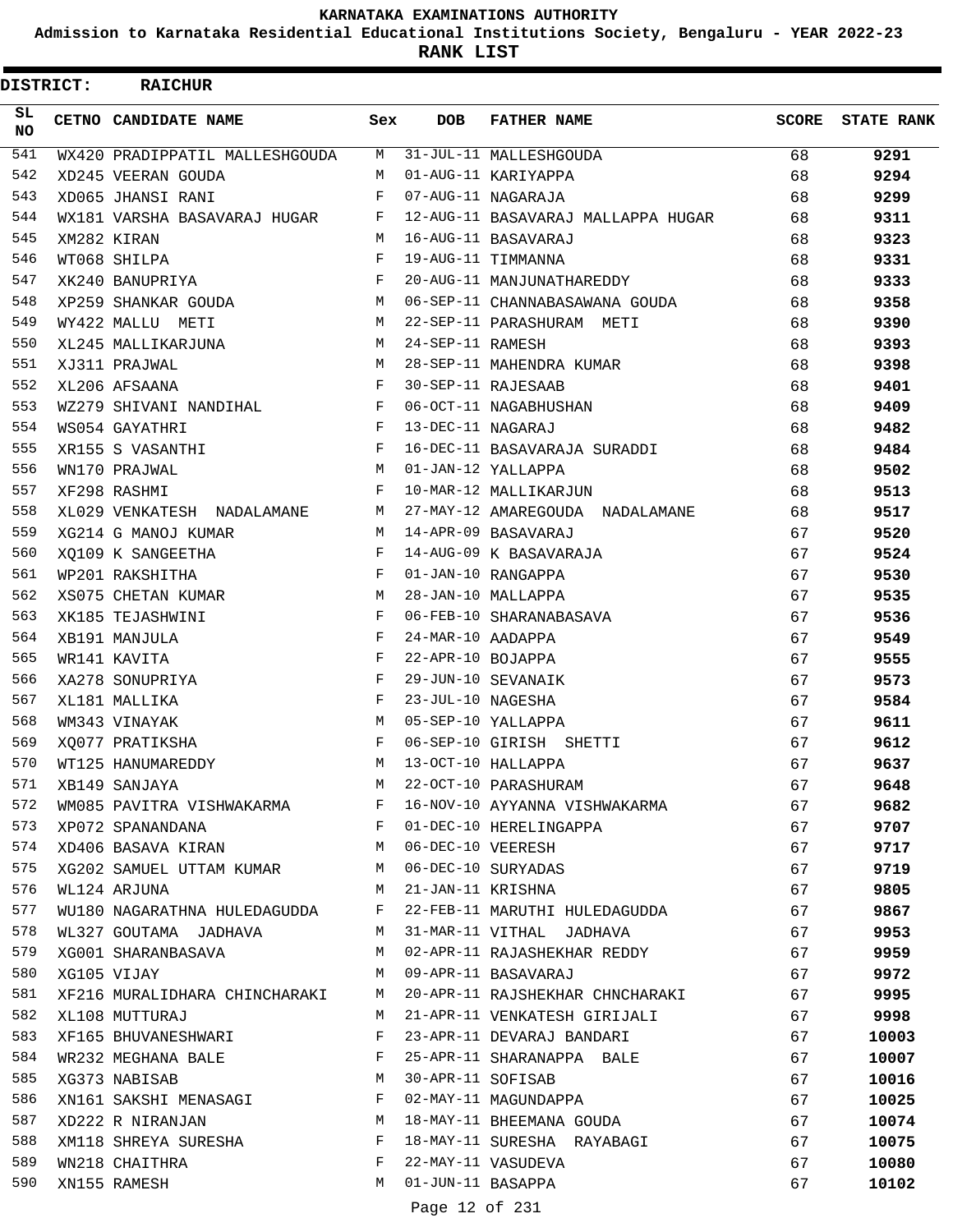**Admission to Karnataka Residential Educational Institutions Society, Bengaluru - YEAR 2022-23**

|                 | <b>DISTRICT:</b> | <b>RAICHUR</b>                                                     |                   |                   |                                    |    |                         |
|-----------------|------------------|--------------------------------------------------------------------|-------------------|-------------------|------------------------------------|----|-------------------------|
| SL<br><b>NO</b> |                  | CETNO CANDIDATE NAME                                               | Sex               | <b>DOB</b>        | <b>FATHER NAME</b>                 |    | <b>SCORE</b> STATE RANK |
| 541             |                  | WX420 PRADIPPATIL MALLESHGOUDA M                                   |                   |                   | 31-JUL-11 MALLESHGOUDA             | 68 | 9291                    |
| 542             |                  | XD245 VEERAN GOUDA                                                 | M                 |                   | 01-AUG-11 KARIYAPPA                | 68 | 9294                    |
| 543             |                  | XD065 JHANSI RANI                                                  | F                 |                   | 07-AUG-11 NAGARAJA                 | 68 | 9299                    |
| 544             |                  | WX181 VARSHA BASAVARAJ HUGAR F                                     |                   |                   | 12-AUG-11 BASAVARAJ MALLAPPA HUGAR | 68 | 9311                    |
| 545             |                  | XM282 KIRAN                                                        | M                 |                   | 16-AUG-11 BASAVARAJ                | 68 | 9323                    |
| 546             |                  | WT068 SHILPA                                                       | F                 |                   | 19-AUG-11 TIMMANNA                 | 68 | 9331                    |
| 547             |                  | XK240 BANUPRIYA                                                    | F                 |                   | 20-AUG-11 MANJUNATHAREDDY          | 68 | 9333                    |
| 548             |                  | M<br>XP259 SHANKAR GOUDA                                           |                   |                   | 06-SEP-11 CHANNABASAWANA GOUDA     | 68 | 9358                    |
| 549             |                  | WY422 MALLU METI                                                   |                   |                   | M 22-SEP-11 PARASHURAM METI        | 68 | 9390                    |
| 550             |                  | XL245 MALLIKARJUNA<br><b>M</b>                                     |                   | 24-SEP-11 RAMESH  |                                    | 68 | 9393                    |
| 551             |                  | XJ311 PRAJWAL                                                      | M                 |                   | 28-SEP-11 MAHENDRA KUMAR           | 68 | 9398                    |
| 552             |                  | XL206 AFSAANA                                                      | F                 |                   | 30-SEP-11 RAJESAAB                 | 68 | 9401                    |
| 553             |                  | WZ279 SHIVANI NANDIHAL                                             | $\mathbb F$       |                   | 06-OCT-11 NAGABHUSHAN              | 68 | 9409                    |
| 554             |                  | WS054 GAYATHRI                                                     | $\mathbf{F}$      | 13-DEC-11 NAGARAJ |                                    | 68 | 9482                    |
| 555             |                  | $\mathbf{F}$ and $\mathbf{F}$ and $\mathbf{F}$<br>XR155 S VASANTHI |                   |                   | 16-DEC-11 BASAVARAJA SURADDI       | 68 | 9484                    |
| 556             |                  | WN170 PRAJWAL                                                      | $M_{\odot}$       |                   | 01-JAN-12 YALLAPPA                 | 68 | 9502                    |
| 557             |                  | XF298 RASHMI                                                       | F                 |                   | 10-MAR-12 MALLIKARJUN              | 68 | 9513                    |
| 558             |                  | XL029 VENKATESH NADALAMANE                                         |                   |                   | M 27-MAY-12 AMAREGOUDA NADALAMANE  | 68 | 9517                    |
| 559             |                  | XG214 G MANOJ KUMAR                                                |                   |                   | M 14-APR-09 BASAVARAJ              | 67 | 9520                    |
| 560             |                  | XQ109 K SANGEETHA                                                  | $\mathbf{F}$      |                   | 14-AUG-09 K BASAVARAJA             | 67 | 9524                    |
| 561             |                  | WP201 RAKSHITHA                                                    | $\mathbf{F}$      |                   | 01-JAN-10 RANGAPPA                 | 67 | 9530                    |
| 562             |                  | XS075 CHETAN KUMAR                                                 | M                 |                   | 28-JAN-10 MALLAPPA                 | 67 | 9535                    |
| 563             |                  | XK185 TEJASHWINI                                                   | F                 |                   | 06-FEB-10 SHARANABASAVA            | 67 | 9536                    |
| 564             |                  | XB191 MANJULA                                                      | $\mathbf{F}$      | 24-MAR-10 AADAPPA |                                    | 67 | 9549                    |
| 565             |                  | WR141 KAVITA                                                       | F                 | 22-APR-10 BOJAPPA |                                    | 67 | 9555                    |
| 566             |                  | XA278 SONUPRIYA                                                    | F                 |                   | 29-JUN-10 SEVANAIK                 | 67 | 9573                    |
| 567             |                  | XL181 MALLIKA                                                      | F                 | 23-JUL-10 NAGESHA |                                    | 67 | 9584                    |
| 568             |                  | WM343 VINAYAK                                                      | M                 |                   | 05-SEP-10 YALLAPPA                 | 67 | 9611                    |
| 569             |                  | XQ077 PRATIKSHA                                                    | F                 |                   | 06-SEP-10 GIRISH SHETTI            | 67 | 9612                    |
|                 |                  | 570 WT125 HANUMAREDDY                                              |                   |                   | M 13-OCT-10 HALLAPPA               | 67 | 9637                    |
| 571             |                  | XB149 SANJAYA                                                      | М                 |                   | 22-OCT-10 PARASHURAM               | 67 | 9648                    |
| 572             |                  | WM085 PAVITRA VISHWAKARMA F                                        |                   |                   | 16-NOV-10 AYYANNA VISHWAKARMA      | 67 | 9682                    |
| 573             |                  | XP072 SPANANDANA                                                   | F                 |                   | 01-DEC-10 HERELINGAPPA             | 67 | 9707                    |
| 574             |                  | XD406 BASAVA KIRAN                                                 | M                 | 06-DEC-10 VEERESH |                                    | 67 | 9717                    |
| 575             |                  | XG202 SAMUEL UTTAM KUMAR M                                         |                   |                   | 06-DEC-10 SURYADAS                 | 67 | 9719                    |
| 576             |                  | WL124 ARJUNA                                                       | M                 | 21-JAN-11 KRISHNA |                                    | 67 | 9805                    |
| 577             |                  | WU180 NAGARATHNA HULEDAGUDDA F                                     |                   |                   | 22-FEB-11 MARUTHI HULEDAGUDDA      | 67 | 9867                    |
| 578             |                  | WL327 GOUTAMA JADHAVA                                              | M                 |                   | 31-MAR-11 VITHAL JADHAVA           | 67 | 9953                    |
| 579             |                  | XG001 SHARANBASAVA                                                 | M                 |                   | 02-APR-11 RAJASHEKHAR REDDY        | 67 | 9959                    |
| 580             |                  | XG105 VIJAY                                                        | M                 |                   | 09-APR-11 BASAVARAJ                | 67 | 9972                    |
| 581             |                  |                                                                    | M                 |                   |                                    | 67 |                         |
| 582             |                  | XF216 MURALIDHARA CHINCHARAKI                                      | M                 |                   | 20-APR-11 RAJSHEKHAR CHNCHARAKI    |    | 9995                    |
|                 |                  | XL108 MUTTURAJ                                                     |                   |                   | 21-APR-11 VENKATESH GIRIJALI       | 67 | 9998                    |
| 583<br>584      |                  | XF165 BHUVANESHWARI                                                | F<br>$\mathbf{F}$ |                   | 23-APR-11 DEVARAJ BANDARI          | 67 | 10003                   |
| 585             |                  | WR232 MEGHANA BALE                                                 | м                 |                   | 25-APR-11 SHARANAPPA BALE          | 67 | 10007                   |
|                 |                  | XG373 NABISAB                                                      |                   |                   | 30-APR-11 SOFISAB                  | 67 | 10016                   |
| 586             |                  | XN161 SAKSHI MENASAGI                                              | $\mathbf{F}$      |                   | 02-MAY-11 MAGUNDAPPA               | 67 | 10025                   |
| 587             |                  | XD222 R NIRANJAN                                                   | М                 |                   | 18-MAY-11 BHEEMANA GOUDA           | 67 | 10074                   |
| 588             |                  | XM118 SHREYA SURESHA                                               | F                 |                   | 18-MAY-11 SURESHA RAYABAGI         | 67 | 10075                   |
| 589             |                  | WN218 CHAITHRA                                                     | F                 |                   | 22-MAY-11 VASUDEVA                 | 67 | 10080                   |
| 590             |                  | XN155 RAMESH                                                       | M                 | 01-JUN-11 BASAPPA |                                    | 67 | 10102                   |
|                 |                  |                                                                    |                   | Page 12 of 231    |                                    |    |                         |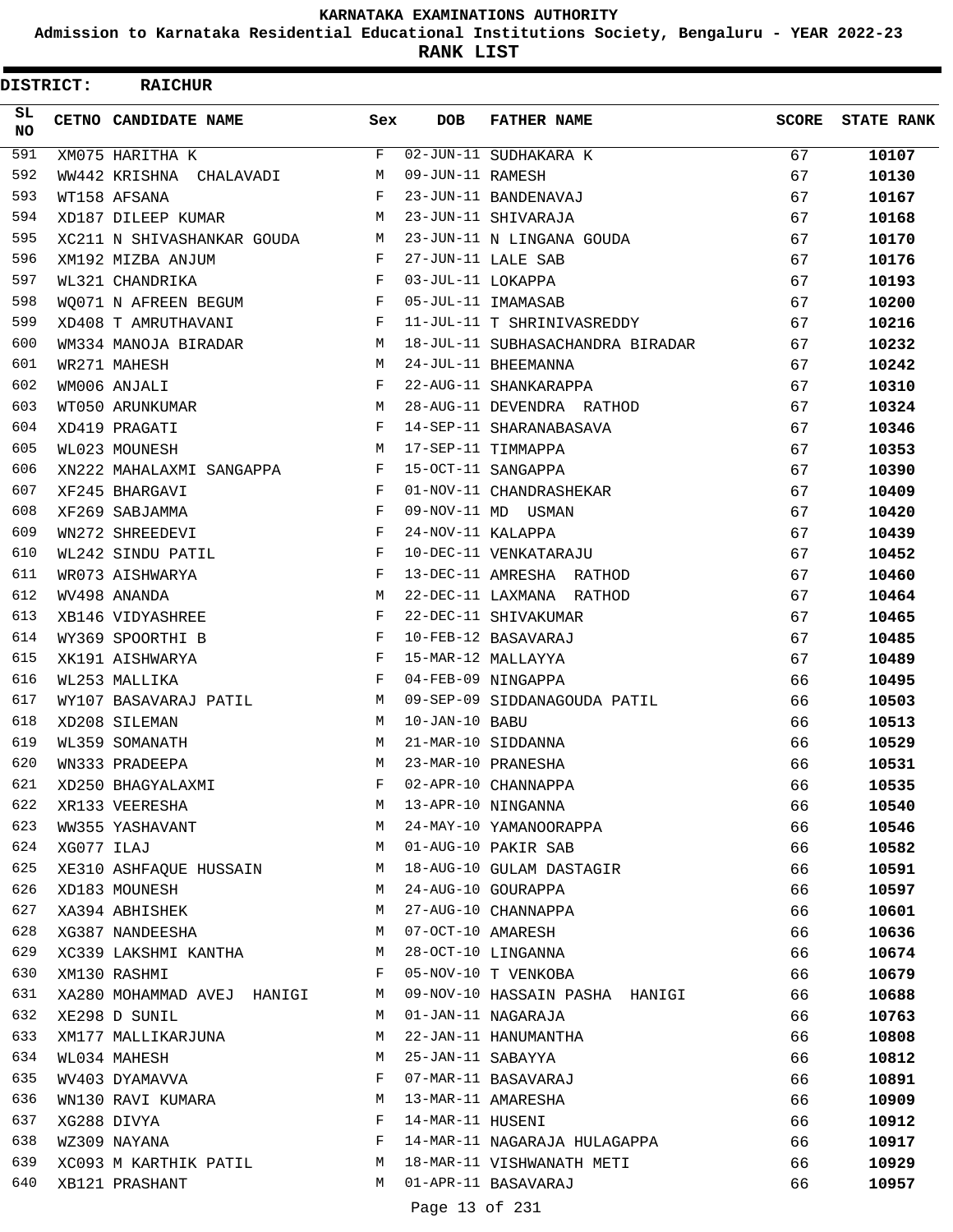**Admission to Karnataka Residential Educational Institutions Society, Bengaluru - YEAR 2022-23**

**RANK LIST**

| <b>DISTRICT:</b> |            | <b>RAICHUR</b>             |     |                   |                                  |              |                   |
|------------------|------------|----------------------------|-----|-------------------|----------------------------------|--------------|-------------------|
| SL<br><b>NO</b>  |            | CETNO CANDIDATE NAME       | Sex | <b>DOB</b>        | <b>FATHER NAME</b>               | <b>SCORE</b> | <b>STATE RANK</b> |
| 591              |            | XM075 HARITHA K            | F   |                   | 02-JUN-11 SUDHAKARA K            | 67           | 10107             |
| 592              |            | WW442 KRISHNA CHALAVADI    | М   | 09-JUN-11 RAMESH  |                                  | 67           | 10130             |
| 593              |            | WT158 AFSANA               | F   |                   | 23-JUN-11 BANDENAVAJ             | 67           | 10167             |
| 594              |            | XD187 DILEEP KUMAR         | М   |                   | 23-JUN-11 SHIVARAJA              | 67           | 10168             |
| 595              |            | XC211 N SHIVASHANKAR GOUDA | M   |                   | 23-JUN-11 N LINGANA GOUDA        | 67           | 10170             |
| 596              |            | XM192 MIZBA ANJUM          | F   |                   | 27-JUN-11 LALE SAB               | 67           | 10176             |
| 597              |            | WL321 CHANDRIKA            | F   | 03-JUL-11 LOKAPPA |                                  | 67           | 10193             |
| 598              |            | WO071 N AFREEN BEGUM       | F   |                   | 05-JUL-11 IMAMASAB               | 67           | 10200             |
| 599              |            | XD408 T AMRUTHAVANI        | F   |                   | 11-JUL-11 T SHRINIVASREDDY       | 67           | 10216             |
| 600              |            | WM334 MANOJA BIRADAR       | М   |                   | 18-JUL-11 SUBHASACHANDRA BIRADAR | 67           | 10232             |
| 601              |            | WR271 MAHESH               | М   |                   | 24-JUL-11 BHEEMANNA              | 67           | 10242             |
| 602              |            | WM006 ANJALI               | F   |                   | 22-AUG-11 SHANKARAPPA            | 67           | 10310             |
| 603              |            | WT050 ARUNKUMAR            | M   |                   | 28-AUG-11 DEVENDRA RATHOD        | 67           | 10324             |
| 604              |            | XD419 PRAGATI              | F   |                   | 14-SEP-11 SHARANABASAVA          | 67           | 10346             |
| 605              |            | WL023 MOUNESH              | М   |                   | 17-SEP-11 TIMMAPPA               | 67           | 10353             |
| 606              |            | XN222 MAHALAXMI SANGAPPA   | F   |                   | 15-OCT-11 SANGAPPA               | 67           | 10390             |
| 607              |            | XF245 BHARGAVI             | F   |                   | 01-NOV-11 CHANDRASHEKAR          | 67           | 10409             |
| 608              |            | XF269 SABJAMMA             | F   |                   | 09-NOV-11 MD USMAN               | 67           | 10420             |
| 609              |            | WN272 SHREEDEVI            | F   | 24-NOV-11 KALAPPA |                                  | 67           | 10439             |
| 610              |            | WL242 SINDU PATIL          | F   |                   | 10-DEC-11 VENKATARAJU            | 67           | 10452             |
| 611              |            | WR073 AISHWARYA            | F   |                   | 13-DEC-11 AMRESHA RATHOD         | 67           | 10460             |
| 612              |            | WV498 ANANDA               | М   |                   | 22-DEC-11 LAXMANA RATHOD         | 67           | 10464             |
| 613              |            | XB146 VIDYASHREE           | F   |                   | 22-DEC-11 SHIVAKUMAR             | 67           | 10465             |
| 614              |            | WY369 SPOORTHI B           | F   |                   | 10-FEB-12 BASAVARAJ              | 67           | 10485             |
| 615              |            | XK191 AISHWARYA            | F   |                   | 15-MAR-12 MALLAYYA               | 67           | 10489             |
| 616              |            | WL253 MALLIKA              | F   |                   | 04-FEB-09 NINGAPPA               | 66           | 10495             |
| 617              |            | WY107 BASAVARAJ PATIL      | M   |                   | 09-SEP-09 SIDDANAGOUDA PATIL     | 66           | 10503             |
| 618              |            | XD208 SILEMAN              | M   | 10-JAN-10 BABU    |                                  | 66           | 10513             |
| 619              |            | WL359 SOMANATH             | M   |                   | 21-MAR-10 SIDDANNA               | 66           | 10529             |
| 620              |            | WN333 PRADEEPA             | M   |                   | 23-MAR-10 PRANESHA               | 66           | 10531             |
| 621              |            | XD250 BHAGYALAXMI          | F   |                   | 02-APR-10 CHANNAPPA              | 66           | 10535             |
| 622              |            | XR133 VEERESHA             | М   |                   | 13-APR-10 NINGANNA               | 66           | 10540             |
| 623              |            | WW355 YASHAVANT            | М   |                   | 24-MAY-10 YAMANOORAPPA           | 66           | 10546             |
| 624              | XG077 ILAJ |                            | M   |                   | 01-AUG-10 PAKIR SAB              | 66           | 10582             |
| 625              |            | XE310 ASHFAQUE HUSSAIN     | М   |                   | 18-AUG-10 GULAM DASTAGIR         | 66           | 10591             |
| 626              |            | XD183 MOUNESH              | М   |                   | 24-AUG-10 GOURAPPA               | 66           | 10597             |
| 627              |            | XA394 ABHISHEK             | М   |                   | 27-AUG-10 CHANNAPPA              | 66           | 10601             |
| 628              |            | XG387 NANDEESHA            | М   | 07-OCT-10 AMARESH |                                  | 66           | 10636             |
| 629              |            | XC339 LAKSHMI KANTHA       | М   |                   | 28-OCT-10 LINGANNA               | 66           | 10674             |
| 630              |            | XM130 RASHMI               | F   |                   | 05-NOV-10 T VENKOBA              | 66           | 10679             |
| 631              |            | XA280 MOHAMMAD AVEJ HANIGI | М   |                   | 09-NOV-10 HASSAIN PASHA HANIGI   | 66           | 10688             |
| 632              |            | XE298 D SUNIL              | М   |                   | 01-JAN-11 NAGARAJA               | 66           | 10763             |
| 633              |            | XM177 MALLIKARJUNA         | М   |                   | 22-JAN-11 HANUMANTHA             | 66           | 10808             |
| 634              |            | WL034 MAHESH               | М   | 25-JAN-11 SABAYYA |                                  | 66           | 10812             |
| 635              |            | WV403 DYAMAVVA             | F   |                   | 07-MAR-11 BASAVARAJ              | 66           | 10891             |
| 636              |            | WN130 RAVI KUMARA          | М   |                   | 13-MAR-11 AMARESHA               | 66           | 10909             |
| 637              |            | XG288 DIVYA                | F   | 14-MAR-11 HUSENI  |                                  | 66           | 10912             |
| 638              |            | WZ309 NAYANA               | F   |                   | 14-MAR-11 NAGARAJA HULAGAPPA     | 66           | 10917             |
| 639              |            | XC093 M KARTHIK PATIL      | М   |                   | 18-MAR-11 VISHWANATH METI        | 66           | 10929             |
| 640              |            | XB121 PRASHANT             | M   |                   | 01-APR-11 BASAVARAJ              | 66           | 10957             |
|                  |            |                            |     |                   |                                  |              |                   |

Page 13 of 231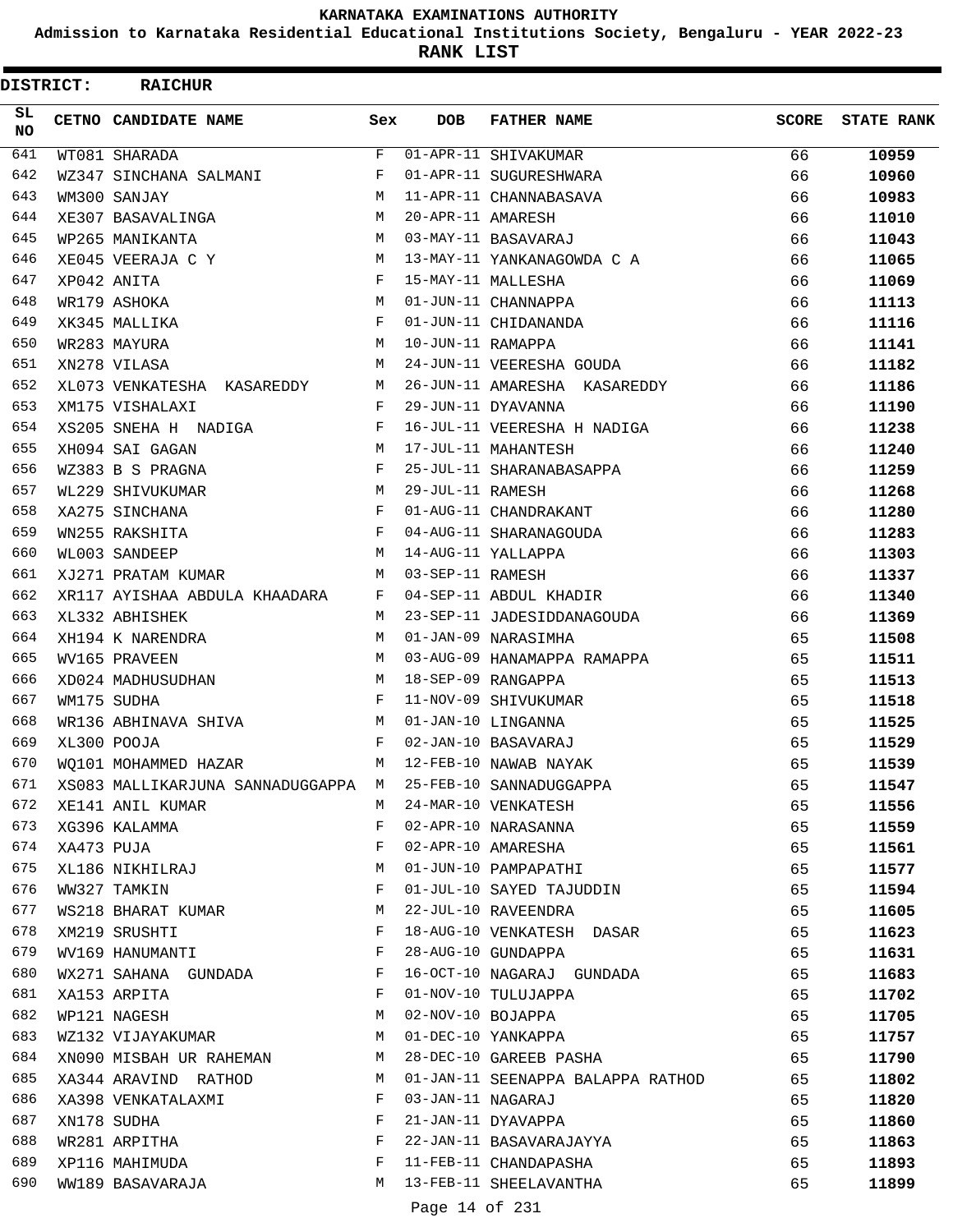**Admission to Karnataka Residential Educational Institutions Society, Bengaluru - YEAR 2022-23**

**RANK LIST**

 $\blacksquare$ 

| <b>DISTRICT:</b> |            | <b>RAICHUR</b>                     |              |                   |                                   |              |                   |
|------------------|------------|------------------------------------|--------------|-------------------|-----------------------------------|--------------|-------------------|
| SL.<br>NO.       |            | CETNO CANDIDATE NAME               | Sex          | <b>DOB</b>        | <b>FATHER NAME</b>                | <b>SCORE</b> | <b>STATE RANK</b> |
| 641              |            | WT081 SHARADA                      | F            |                   | 01-APR-11 SHIVAKUMAR              | 66           | 10959             |
| 642              |            | WZ347 SINCHANA SALMANI             | F            |                   | 01-APR-11 SUGURESHWARA            | 66           | 10960             |
| 643              |            | WM300 SANJAY                       | M            |                   | 11-APR-11 CHANNABASAVA            | 66           | 10983             |
| 644              |            | XE307 BASAVALINGA                  | М            | 20-APR-11 AMARESH |                                   | 66           | 11010             |
| 645              |            | WP265 MANIKANTA                    | м            |                   | 03-MAY-11 BASAVARAJ               | 66           | 11043             |
| 646              |            | XE045 VEERAJA C Y                  | M            |                   | 13-MAY-11 YANKANAGOWDA C A        | 66           | 11065             |
| 647              |            | XP042 ANITA                        | $\mathbf{F}$ |                   | 15-MAY-11 MALLESHA                | 66           | 11069             |
| 648              |            | WR179 ASHOKA                       | М            |                   | 01-JUN-11 CHANNAPPA               | 66           | 11113             |
| 649              |            | XK345 MALLIKA                      | F            |                   | 01-JUN-11 CHIDANANDA              | 66           | 11116             |
| 650              |            | WR283 MAYURA                       | М            | 10-JUN-11 RAMAPPA |                                   | 66           | 11141             |
| 651              |            | XN278 VILASA                       | M            |                   | 24-JUN-11 VEERESHA GOUDA          | 66           | 11182             |
| 652              |            | XL073 VENKATESHA KASAREDDY         | М            |                   | 26-JUN-11 AMARESHA KASAREDDY      | 66           | 11186             |
| 653              |            | XM175 VISHALAXI                    | F            |                   | 29-JUN-11 DYAVANNA                | 66           | 11190             |
| 654              |            | XS205 SNEHA H NADIGA               | F            |                   | 16-JUL-11 VEERESHA H NADIGA       | 66           | 11238             |
| 655              |            | XH094 SAI GAGAN                    | M            |                   | 17-JUL-11 MAHANTESH               | 66           | 11240             |
| 656              |            | WZ383 B S PRAGNA                   | F            |                   | 25-JUL-11 SHARANABASAPPA          | 66           | 11259             |
| 657              |            | WL229 SHIVUKUMAR                   | М            | 29-JUL-11 RAMESH  |                                   | 66           | 11268             |
| 658              |            | XA275 SINCHANA                     | F            |                   | 01-AUG-11 CHANDRAKANT             | 66           | 11280             |
| 659              |            | WN255 RAKSHITA                     | F            |                   | 04-AUG-11 SHARANAGOUDA            | 66           | 11283             |
| 660              |            | WL003 SANDEEP                      | M            |                   | 14-AUG-11 YALLAPPA                | 66           | 11303             |
| 661              |            | XJ271 PRATAM KUMAR                 | M            | 03-SEP-11 RAMESH  |                                   | 66           | 11337             |
| 662              |            | XR117 AYISHAA ABDULA KHAADARA      | F            |                   | 04-SEP-11 ABDUL KHADIR            | 66           | 11340             |
| 663              |            | XL332 ABHISHEK                     | M            |                   | 23-SEP-11 JADESIDDANAGOUDA        | 66           | 11369             |
| 664              |            | XH194 K NARENDRA                   | М            |                   | 01-JAN-09 NARASIMHA               | 65           | 11508             |
| 665              |            | WV165 PRAVEEN                      | М            |                   | 03-AUG-09 HANAMAPPA RAMAPPA       | 65           | 11511             |
| 666              |            | XD024 MADHUSUDHAN                  | М            |                   | 18-SEP-09 RANGAPPA                | 65           | 11513             |
| 667              |            | WM175 SUDHA                        | $_{\rm F}$   |                   | 11-NOV-09 SHIVUKUMAR              | 65           | 11518             |
| 668              |            | WR136 ABHINAVA SHIVA               | М            |                   | 01-JAN-10 LINGANNA                | 65           | 11525             |
| 669              |            | XL300 POOJA                        | F            |                   | 02-JAN-10 BASAVARAJ               | 65           | 11529             |
| 670              |            | WO101 MOHAMMED HAZAR               | М            |                   | 12-FEB-10 NAWAB NAYAK             | 65           | 11539             |
| 671              |            | XS083 MALLIKARJUNA SANNADUGGAPPA M |              |                   | 25-FEB-10 SANNADUGGAPPA           | 65           | 11547             |
| 672              |            | XE141 ANIL KUMAR                   | M            |                   | 24-MAR-10 VENKATESH               | 65           | 11556             |
| 673              |            | XG396 KALAMMA                      | F            |                   | 02-APR-10 NARASANNA               | 65           | 11559             |
| 674              | XA473 PUJA |                                    | F            |                   | 02-APR-10 AMARESHA                | 65           | 11561             |
| 675              |            | XL186 NIKHILRAJ                    | М            |                   | 01-JUN-10 PAMPAPATHI              | 65           | 11577             |
| 676              |            | WW327 TAMKIN                       | F            |                   | 01-JUL-10 SAYED TAJUDDIN          | 65           | 11594             |
| 677              |            | WS218 BHARAT KUMAR                 | М            |                   | 22-JUL-10 RAVEENDRA               | 65           | 11605             |
| 678              |            | XM219 SRUSHTI                      | F            |                   | 18-AUG-10 VENKATESH DASAR         | 65           | 11623             |
| 679              |            | WV169 HANUMANTI                    | F            |                   | 28-AUG-10 GUNDAPPA                | 65           | 11631             |
| 680              |            | WX271 SAHANA GUNDADA               | F            |                   | 16-OCT-10 NAGARAJ GUNDADA         | 65           | 11683             |
| 681              |            | XA153 ARPITA                       | F            |                   | 01-NOV-10 TULUJAPPA               | 65           | 11702             |
| 682              |            | WP121 NAGESH                       | М            | 02-NOV-10 BOJAPPA |                                   | 65           | 11705             |
| 683              |            | WZ132 VIJAYAKUMAR                  | М            |                   | 01-DEC-10 YANKAPPA                | 65           | 11757             |
| 684              |            | XN090 MISBAH UR RAHEMAN            | М            |                   | 28-DEC-10 GAREEB PASHA            | 65           | 11790             |
| 685              |            | XA344 ARAVIND RATHOD               | M            |                   | 01-JAN-11 SEENAPPA BALAPPA RATHOD | 65           | 11802             |
| 686              |            | XA398 VENKATALAXMI                 | F            | 03-JAN-11 NAGARAJ |                                   | 65           | 11820             |
| 687              |            | XN178 SUDHA                        | F            |                   | 21-JAN-11 DYAVAPPA                | 65           | 11860             |
| 688              |            | WR281 ARPITHA                      | F            |                   | 22-JAN-11 BASAVARAJAYYA           | 65           | 11863             |
| 689              |            | XP116 MAHIMUDA                     | F            |                   | 11-FEB-11 CHANDAPASHA             | 65           | 11893             |
| 690              |            | WW189 BASAVARAJA                   | М            |                   | 13-FEB-11 SHEELAVANTHA            | 65           | 11899             |
|                  |            |                                    |              |                   |                                   |              |                   |

Page 14 of 231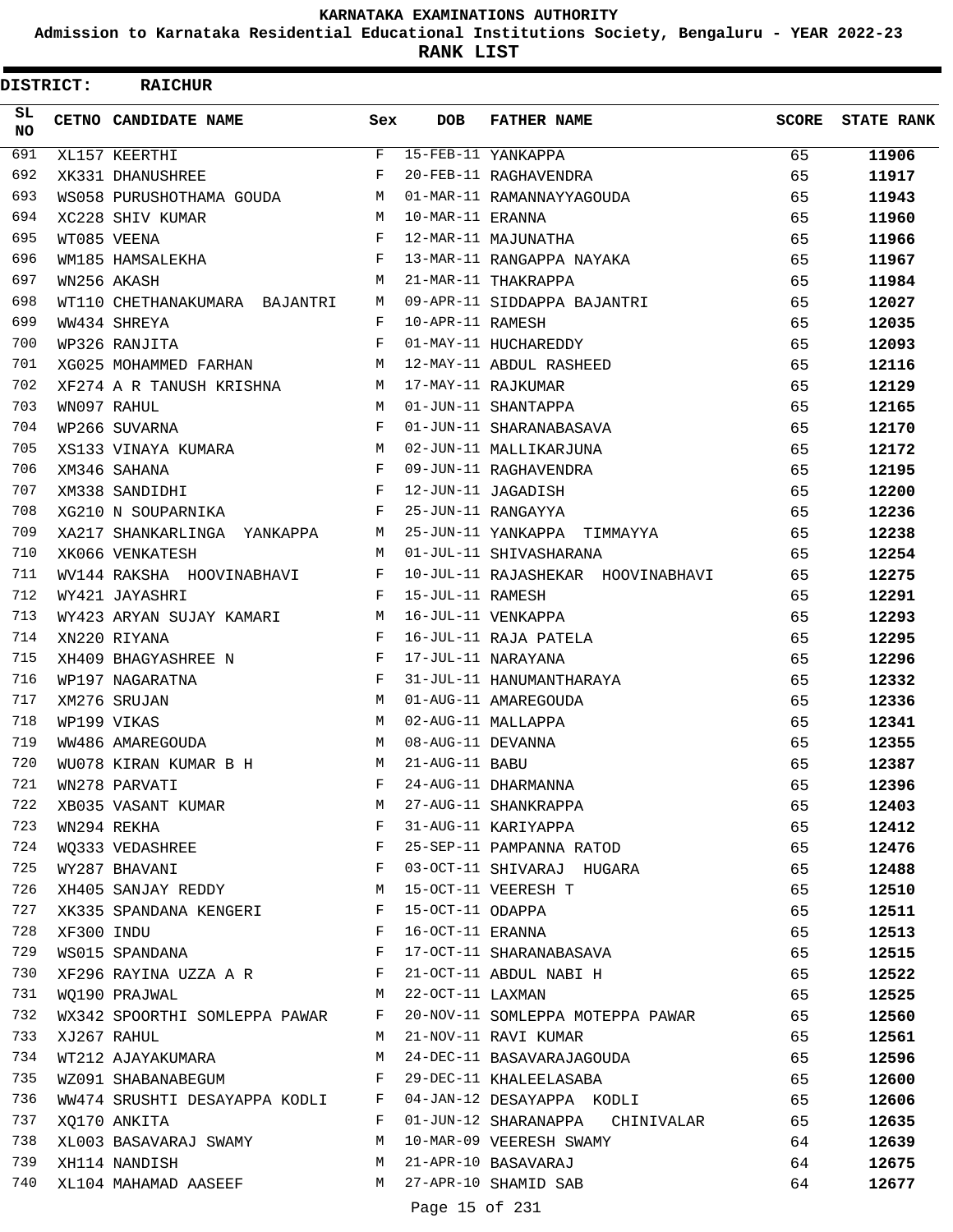**Admission to Karnataka Residential Educational Institutions Society, Bengaluru - YEAR 2022-23**

**RANK LIST**

ı

| <b>DISTRICT:</b> |            | <b>RAICHUR</b>                                         |              |                   |                                   |       |                   |
|------------------|------------|--------------------------------------------------------|--------------|-------------------|-----------------------------------|-------|-------------------|
| SL.<br>NO.       |            | CETNO CANDIDATE NAME                                   | Sex          | <b>DOB</b>        | <b>FATHER NAME</b>                | SCORE | <b>STATE RANK</b> |
| 691              |            | XL157 KEERTHI                                          | F            |                   | 15-FEB-11 YANKAPPA                | 65    | 11906             |
| 692              |            | XK331 DHANUSHREE                                       | F            |                   | 20-FEB-11 RAGHAVENDRA             | 65    | 11917             |
| 693              |            | WS058 PURUSHOTHAMA GOUDA                               | М            |                   | 01-MAR-11 RAMANNAYYAGOUDA         | 65    | 11943             |
| 694              |            | XC228 SHIV KUMAR                                       | М            | 10-MAR-11 ERANNA  |                                   | 65    | 11960             |
| 695              |            | WT085 VEENA                                            | $_{\rm F}$   |                   | 12-MAR-11 MAJUNATHA               | 65    | 11966             |
| 696              |            | WM185 HAMSALEKHA                                       | F            |                   | 13-MAR-11 RANGAPPA NAYAKA         | 65    | 11967             |
| 697              |            | WN256 AKASH                                            | M            |                   | 21-MAR-11 THAKRAPPA               | 65    | 11984             |
| 698              |            | WT110 CHETHANAKUMARA BAJANTRI                          | М            |                   | 09-APR-11 SIDDAPPA BAJANTRI       | 65    | 12027             |
| 699              |            | WW434 SHREYA                                           | F            | 10-APR-11 RAMESH  |                                   | 65    | 12035             |
| 700              |            | WP326 RANJITA                                          | F            |                   | 01-MAY-11 HUCHAREDDY              | 65    | 12093             |
| 701              |            | XG025 MOHAMMED FARHAN                                  | M            |                   | 12-MAY-11 ABDUL RASHEED           | 65    | 12116             |
| 702              |            | XF274 A R TANUSH KRISHNA                               | М            |                   | 17-MAY-11 RAJKUMAR                | 65    | 12129             |
| 703              |            | WN097 RAHUL                                            | M            |                   | 01-JUN-11 SHANTAPPA               | 65    | 12165             |
| 704              |            | WP266 SUVARNA                                          | F            |                   | 01-JUN-11 SHARANABASAVA           | 65    | 12170             |
| 705              |            | XS133 VINAYA KUMARA                                    | M            |                   | 02-JUN-11 MALLIKARJUNA            | 65    | 12172             |
| 706              |            | XM346 SAHANA                                           | $_{\rm F}$   |                   | 09-JUN-11 RAGHAVENDRA             | 65    | 12195             |
| 707              |            | XM338 SANDIDHI                                         | F            |                   | 12-JUN-11 JAGADISH                | 65    | 12200             |
| 708              |            | XG210 N SOUPARNIKA                                     | F            |                   | 25-JUN-11 RANGAYYA                | 65    | 12236             |
| 709              |            | XA217 SHANKARLINGA YANKAPPA                            | М            |                   | 25-JUN-11 YANKAPPA TIMMAYYA       | 65    | 12238             |
| 710              |            | XK066 VENKATESH                                        | М            |                   | 01-JUL-11 SHIVASHARANA            | 65    | 12254             |
| 711              |            | WV144 RAKSHA HOOVINABHAVI                              | F            |                   | 10-JUL-11 RAJASHEKAR HOOVINABHAVI | 65    | 12275             |
| 712              |            | WY421 JAYASHRI                                         | F            | 15-JUL-11 RAMESH  |                                   | 65    | 12291             |
| 713              |            | WY423 ARYAN SUJAY KAMARI                               | M            |                   | 16-JUL-11 VENKAPPA                | 65    | 12293             |
| 714              |            | XN220 RIYANA                                           | $_{\rm F}$   |                   | 16-JUL-11 RAJA PATELA             | 65    | 12295             |
| 715              |            | XH409 BHAGYASHREE N                                    | F            |                   | 17-JUL-11 NARAYANA                | 65    | 12296             |
| 716              |            | WP197 NAGARATNA                                        | F            |                   | 31-JUL-11 HANUMANTHARAYA          | 65    | 12332             |
| 717              |            | XM276 SRUJAN                                           | M            |                   | 01-AUG-11 AMAREGOUDA              | 65    | 12336             |
| 718              |            | WP199 VIKAS                                            | M            |                   | 02-AUG-11 MALLAPPA                | 65    | 12341             |
| 719              |            | WW486 AMAREGOUDA                                       | M            | 08-AUG-11 DEVANNA |                                   | 65    | 12355             |
| 720              |            | WU078 KIRAN KUMAR B H                                  | M            | 21-AUG-11 BABU    |                                   | 65    | 12387             |
| 721              |            | WN278 PARVATI                                          | F            |                   | 24-AUG-11 DHARMANNA               | 65    | 12396             |
| 722              |            | XB035 VASANT KUMAR                                     | M            |                   | 27-AUG-11 SHANKRAPPA              | 65    | 12403             |
| 723              |            | WN294 REKHA                                            | $\mathbf{F}$ |                   | 31-AUG-11 KARIYAPPA               | 65    | 12412             |
| 724              |            | <b>Experimental Service Service</b><br>WQ333 VEDASHREE |              |                   | 25-SEP-11 PAMPANNA RATOD          | 65    | 12476             |
| 725              |            | WY287 BHAVANI                                          | $\mathbf{F}$ |                   | 03-OCT-11 SHIVARAJ HUGARA         | 65    | 12488             |
| 726              |            | XH405 SANJAY REDDY M                                   |              |                   | 15-OCT-11 VEERESH T               | 65    | 12510             |
| 727              |            | XK335 SPANDANA KENGERI F                               |              | 15-OCT-11 ODAPPA  |                                   | 65    | 12511             |
| 728              | XF300 INDU |                                                        | $\mathbf{F}$ | 16-OCT-11 ERANNA  |                                   | 65    | 12513             |
| 729              |            |                                                        | $\mathbf{F}$ |                   | 17-OCT-11 SHARANABASAVA           | 65    |                   |
| 730              |            | WS015 SPANDANA                                         |              |                   | 21-OCT-11 ABDUL NABI H            | 65    | 12515             |
| 731              |            | XF296 RAYINA UZZA A R<br>$M_{\rm{max}}$                |              | 22-OCT-11 LAXMAN  |                                   |       | 12522             |
| 732              |            | WQ190 PRAJWAL                                          |              |                   |                                   | 65    | 12525             |
|                  |            | WX342 SPOORTHI SOMLEPPA PAWAR F                        |              |                   | 20-NOV-11 SOMLEPPA MOTEPPA PAWAR  | 65    | 12560             |
| 733              |            | XJ267 RAHUL                                            | M            |                   | 21-NOV-11 RAVI KUMAR              | 65    | 12561             |
| 734              |            | WT212 AJAYAKUMARA                                      | М            |                   | 24-DEC-11 BASAVARAJAGOUDA         | 65    | 12596             |
| 735              |            | WZ091 SHABANABEGUM                                     | F            |                   | 29-DEC-11 KHALEELASABA            | 65    | 12600             |
| 736              |            | WW474 SRUSHTI DESAYAPPA KODLI F                        |              |                   | 04-JAN-12 DESAYAPPA KODLI         | 65    | 12606             |
| 737              |            | XQ170 ANKITA                                           | $\mathbf{F}$ |                   | 01-JUN-12 SHARANAPPA CHINIVALAR   | 65    | 12635             |
| 738              |            | XL003 BASAVARAJ SWAMY                                  | M            |                   | 10-MAR-09 VEERESH SWAMY           | 64    | 12639             |
| 739              |            | XH114 NANDISH                                          | M            |                   | 21-APR-10 BASAVARAJ               | 64    | 12675             |
| 740              |            | XL104 MAHAMAD AASEEF                                   | M            |                   | 27-APR-10 SHAMID SAB              | 64    | 12677             |
|                  |            |                                                        |              | Page 15 of 231    |                                   |       |                   |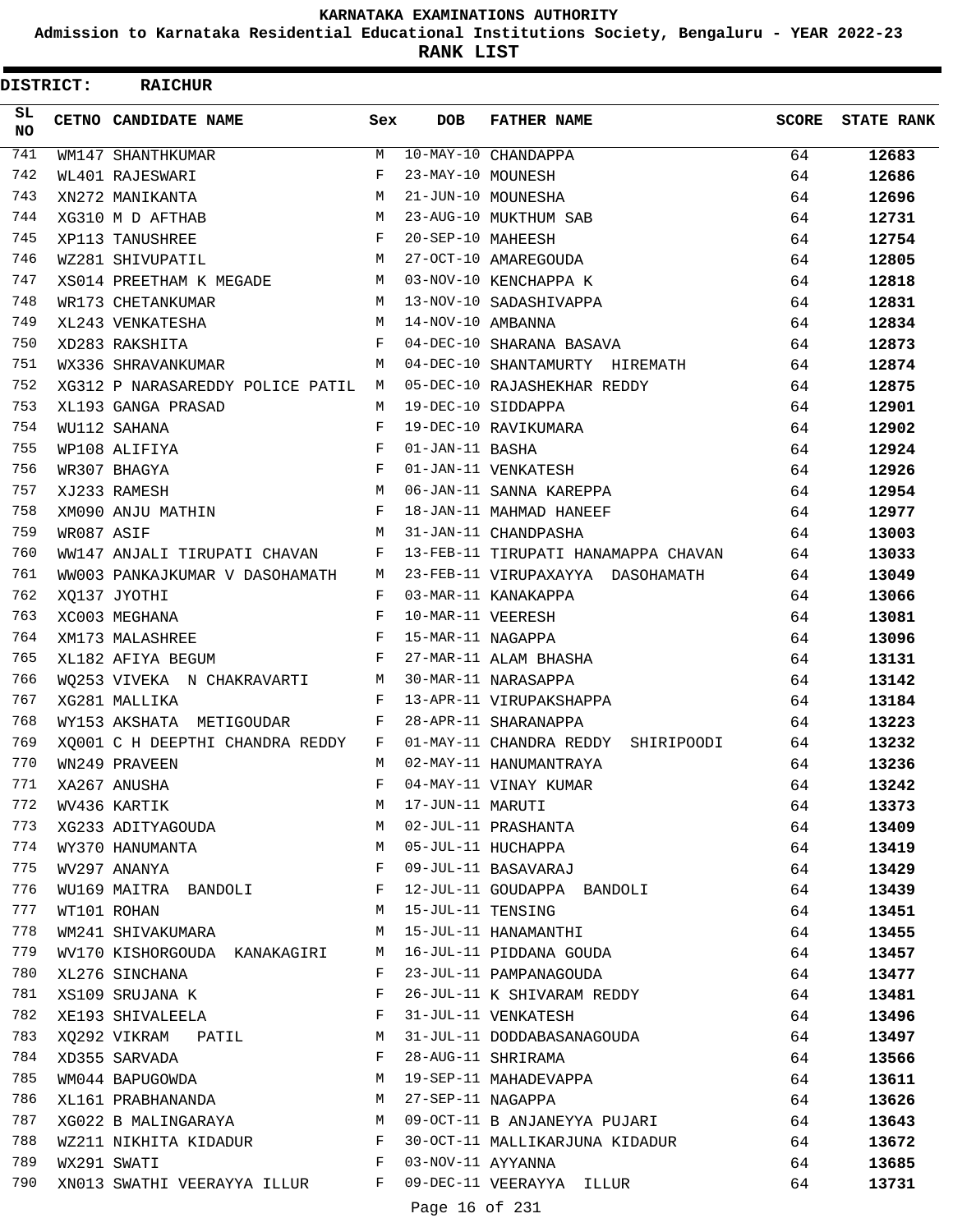**Admission to Karnataka Residential Educational Institutions Society, Bengaluru - YEAR 2022-23**

ı

**RANK LIST**

| <b>DISTRICT:</b> |            | <b>RAICHUR</b>                   |              |                   |                                       |       |                   |
|------------------|------------|----------------------------------|--------------|-------------------|---------------------------------------|-------|-------------------|
| SL.<br><b>NO</b> |            | CETNO CANDIDATE NAME             | Sex          | <b>DOB</b>        | <b>FATHER NAME</b>                    | SCORE | <b>STATE RANK</b> |
| 741              |            | WM147 SHANTHKUMAR                | М            |                   | 10-MAY-10 CHANDAPPA                   | 64    | 12683             |
| 742              |            | WL401 RAJESWARI                  | F            | 23-MAY-10 MOUNESH |                                       | 64    | 12686             |
| 743              |            | XN272 MANIKANTA                  | M            |                   | 21-JUN-10 MOUNESHA                    | 64    | 12696             |
| 744              |            | XG310 M D AFTHAB                 | М            |                   | 23-AUG-10 MUKTHUM SAB                 | 64    | 12731             |
| 745              |            | XP113 TANUSHREE                  | F            | 20-SEP-10 MAHEESH |                                       | 64    | 12754             |
| 746              |            | WZ281 SHIVUPATIL                 | М            |                   | 27-OCT-10 AMAREGOUDA                  | 64    | 12805             |
| 747              |            | XS014 PREETHAM K MEGADE          | M            |                   | 03-NOV-10 KENCHAPPA K                 | 64    | 12818             |
| 748              |            | WR173 CHETANKUMAR                | M            |                   | 13-NOV-10 SADASHIVAPPA                | 64    | 12831             |
| 749              |            | XL243 VENKATESHA                 | M            | 14-NOV-10 AMBANNA |                                       | 64    | 12834             |
| 750              |            | XD283 RAKSHITA                   | F            |                   | 04-DEC-10 SHARANA BASAVA              | 64    | 12873             |
| 751              |            | WX336 SHRAVANKUMAR               | M            |                   | 04-DEC-10 SHANTAMURTY HIREMATH        | 64    | 12874             |
| 752              |            | XG312 P NARASAREDDY POLICE PATIL | М            |                   | 05-DEC-10 RAJASHEKHAR REDDY           | 64    | 12875             |
| 753              |            | XL193 GANGA PRASAD               | M            |                   | 19-DEC-10 SIDDAPPA                    | 64    | 12901             |
| 754              |            | WU112 SAHANA                     | F            |                   | 19-DEC-10 RAVIKUMARA                  | 64    | 12902             |
| 755              |            | WP108 ALIFIYA                    | F            | 01-JAN-11 BASHA   |                                       | 64    | 12924             |
| 756              |            | WR307 BHAGYA                     | F            |                   | 01-JAN-11 VENKATESH                   | 64    | 12926             |
| 757              |            | XJ233 RAMESH                     | M            |                   | 06-JAN-11 SANNA KAREPPA               | 64    | 12954             |
| 758              |            | XM090 ANJU MATHIN                | F            |                   | 18-JAN-11 MAHMAD HANEEF               | 64    | 12977             |
| 759              | WR087 ASIF |                                  | M            |                   | 31-JAN-11 CHANDPASHA                  | 64    | 13003             |
| 760              |            | WW147 ANJALI TIRUPATI CHAVAN     | F            |                   | 13-FEB-11 TIRUPATI HANAMAPPA CHAVAN   | 64    | 13033             |
| 761              |            | WW003 PANKAJKUMAR V DASOHAMATH   | М            |                   | 23-FEB-11 VIRUPAXAYYA DASOHAMATH      | 64    | 13049             |
| 762              |            | XO137 JYOTHI                     | F            |                   | 03-MAR-11 KANAKAPPA                   | 64    | 13066             |
| 763              |            | XC003 MEGHANA                    | F            | 10-MAR-11 VEERESH |                                       | 64    | 13081             |
| 764              |            | XM173 MALASHREE                  | F            | 15-MAR-11 NAGAPPA |                                       | 64    | 13096             |
| 765              |            | XL182 AFIYA BEGUM                | F            |                   | 27-MAR-11 ALAM BHASHA                 | 64    | 13131             |
| 766              |            | WQ253 VIVEKA N CHAKRAVARTI       | М            |                   | 30-MAR-11 NARASAPPA                   | 64    | 13142             |
| 767              |            | XG281 MALLIKA                    | F            |                   | 13-APR-11 VIRUPAKSHAPPA               | 64    | 13184             |
| 768              |            | WY153 AKSHATA METIGOUDAR         | F            |                   | 28-APR-11 SHARANAPPA                  | 64    | 13223             |
| 769              |            | XO001 C H DEEPTHI CHANDRA REDDY  | F            |                   | 01-MAY-11 CHANDRA REDDY<br>SHIRIPOODI | 64    | 13232             |
| 770              |            | WN249 PRAVEEN                    | M            |                   | 02-MAY-11 HANUMANTRAYA                | 64    | 13236             |
| 771              |            | XA267 ANUSHA                     | F            |                   | 04-MAY-11 VINAY KUMAR                 | 64    | 13242             |
| 772              |            | WV436 KARTIK                     | M            | 17-JUN-11 MARUTI  |                                       | 64    | 13373             |
| 773              |            | XG233 ADITYAGOUDA                | M            |                   | 02-JUL-11 PRASHANTA                   | 64    | 13409             |
| 774              |            | WY370 HANUMANTA                  | M            |                   | 05-JUL-11 HUCHAPPA                    | 64    | 13419             |
| 775              |            | WV297 ANANYA                     | $\mathbf{F}$ |                   | 09-JUL-11 BASAVARAJ                   | 64    | 13429             |
| 776              |            | WU169 MAITRA BANDOLI             | F            |                   | 12-JUL-11 GOUDAPPA BANDOLI            | 64    | 13439             |
| 777              |            | WT101 ROHAN                      | M            | 15-JUL-11 TENSING |                                       | 64    | 13451             |
| 778              |            | WM241 SHIVAKUMARA                | M            |                   | 15-JUL-11 HANAMANTHI                  | 64    | 13455             |
| 779              |            | WV170 KISHORGOUDA KANAKAGIRI     | M            |                   | 16-JUL-11 PIDDANA GOUDA               | 64    | 13457             |
| 780              |            | XL276 SINCHANA                   | F            |                   | 23-JUL-11 PAMPANAGOUDA                | 64    | 13477             |
| 781              |            | XS109 SRUJANA K                  | F            |                   | 26-JUL-11 K SHIVARAM REDDY            | 64    | 13481             |
| 782              |            | XE193 SHIVALEELA                 | F            |                   | 31-JUL-11 VENKATESH                   | 64    | 13496             |
| 783              |            | XQ292 VIKRAM PATIL               | М            |                   | 31-JUL-11 DODDABASANAGOUDA            | 64    | 13497             |
| 784              |            | XD355 SARVADA                    | F            |                   | 28-AUG-11 SHRIRAMA                    | 64    | 13566             |
| 785              |            | WM044 BAPUGOWDA                  | М            |                   | 19-SEP-11 MAHADEVAPPA                 | 64    | 13611             |
| 786              |            | XL161 PRABHANANDA                | М            | 27-SEP-11 NAGAPPA |                                       | 64    | 13626             |
| 787              |            | XG022 B MALINGARAYA              | M            |                   | 09-OCT-11 B ANJANEYYA PUJARI          | 64    | 13643             |
| 788              |            | WZ211 NIKHITA KIDADUR            | F            |                   | 30-OCT-11 MALLIKARJUNA KIDADUR        | 64    | 13672             |
| 789              |            | WX291 SWATI                      | $\mathbf{F}$ | 03-NOV-11 AYYANNA |                                       | 64    | 13685             |
| 790              |            | XN013 SWATHI VEERAYYA ILLUR F    |              |                   | 09-DEC-11 VEERAYYA ILLUR              | 64    | 13731             |
|                  |            |                                  |              | Page 16 of 231    |                                       |       |                   |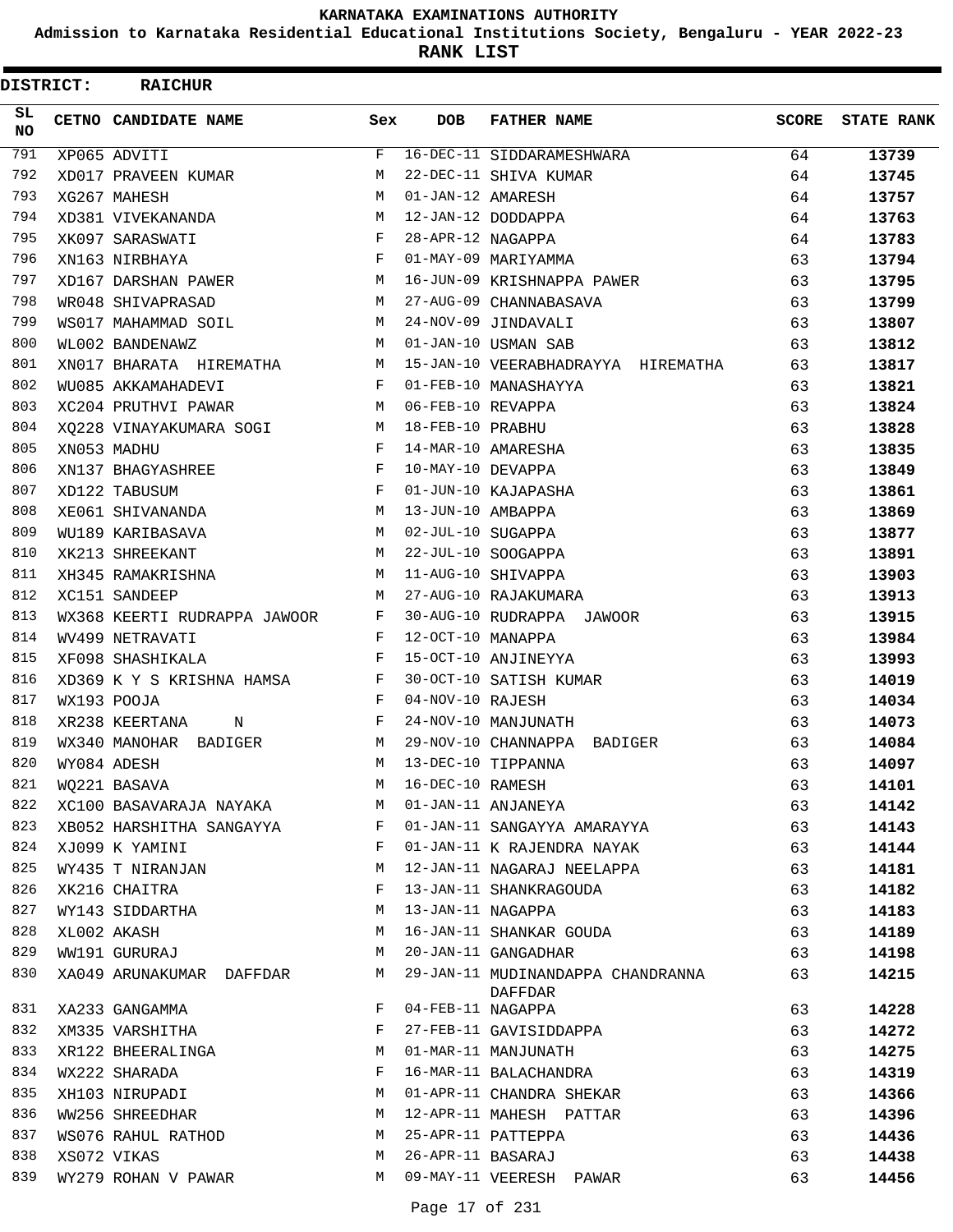**Admission to Karnataka Residential Educational Institutions Society, Bengaluru - YEAR 2022-23**

**RANK LIST**

| <b>DISTRICT:</b> | <b>RAICHUR</b>               |     |                   |                                              |              |                   |
|------------------|------------------------------|-----|-------------------|----------------------------------------------|--------------|-------------------|
| SL.<br><b>NO</b> | CETNO CANDIDATE NAME         | Sex | <b>DOB</b>        | <b>FATHER NAME</b>                           | <b>SCORE</b> | <b>STATE RANK</b> |
| 791              | XP065 ADVITI                 | F   |                   | 16-DEC-11 SIDDARAMESHWARA                    | 64           | 13739             |
| 792              | XD017 PRAVEEN KUMAR          | М   |                   | 22-DEC-11 SHIVA KUMAR                        | 64           | 13745             |
| 793              | XG267 MAHESH                 | M   | 01-JAN-12 AMARESH |                                              | 64           | 13757             |
| 794              | XD381 VIVEKANANDA            | M   |                   | 12-JAN-12 DODDAPPA                           | 64           | 13763             |
| 795              | XK097 SARASWATI              | F   | 28-APR-12 NAGAPPA |                                              | 64           | 13783             |
| 796              | XN163 NIRBHAYA               | F   |                   | 01-MAY-09 MARIYAMMA                          | 63           | 13794             |
| 797              | XD167 DARSHAN PAWER          | M   |                   | 16-JUN-09 KRISHNAPPA PAWER                   | 63           | 13795             |
| 798              | WR048 SHIVAPRASAD            | M   |                   | 27-AUG-09 CHANNABASAVA                       | 63           | 13799             |
| 799              | WS017 MAHAMMAD SOIL          | М   |                   | 24-NOV-09 JINDAVALI                          | 63           | 13807             |
| 800              | WL002 BANDENAWZ              | M   |                   | 01-JAN-10 USMAN SAB                          | 63           | 13812             |
| 801              | XN017 BHARATA HIREMATHA      | М   |                   | 15-JAN-10 VEERABHADRAYYA HIREMATHA           | 63           | 13817             |
| 802              | WU085 AKKAMAHADEVI           | F   |                   | 01-FEB-10 MANASHAYYA                         | 63           | 13821             |
| 803              | XC204 PRUTHVI PAWAR          | M   | 06-FEB-10 REVAPPA |                                              | 63           | 13824             |
| 804              | XO228 VINAYAKUMARA SOGI      | M   | 18-FEB-10 PRABHU  |                                              | 63           | 13828             |
| 805              | XN053 MADHU                  | F   |                   | 14-MAR-10 AMARESHA                           | 63           | 13835             |
| 806              | XN137 BHAGYASHREE            | F   | 10-MAY-10 DEVAPPA |                                              | 63           | 13849             |
| 807              | XD122 TABUSUM                | F   |                   | 01-JUN-10 KAJAPASHA                          | 63           | 13861             |
| 808              | XE061 SHIVANANDA             | M   | 13-JUN-10 AMBAPPA |                                              | 63           | 13869             |
| 809              | WU189 KARIBASAVA             | M   | 02-JUL-10 SUGAPPA |                                              | 63           | 13877             |
| 810              | XK213 SHREEKANT              | M   |                   | 22-JUL-10 SOOGAPPA                           | 63           | 13891             |
| 811              | XH345 RAMAKRISHNA            | М   |                   | 11-AUG-10 SHIVAPPA                           | 63           | 13903             |
| 812              | XC151 SANDEEP                | M   |                   | 27-AUG-10 RAJAKUMARA                         | 63           | 13913             |
| 813              | WX368 KEERTI RUDRAPPA JAWOOR | F   |                   | 30-AUG-10 RUDRAPPA JAWOOR                    | 63           | 13915             |
| 814              | WV499 NETRAVATI              | F   | 12-OCT-10 MANAPPA |                                              | 63           | 13984             |
| 815              | XF098 SHASHIKALA             | F   |                   | 15-OCT-10 ANJINEYYA                          | 63           | 13993             |
| 816              | XD369 K Y S KRISHNA HAMSA    | F   |                   | 30-OCT-10 SATISH KUMAR                       | 63           | 14019             |
| 817              | WX193 POOJA                  | F   | 04-NOV-10 RAJESH  |                                              | 63           | 14034             |
| 818              | XR238 KEERTANA<br>N          | F   |                   | 24-NOV-10 MANJUNATH                          | 63           | 14073             |
| 819              | WX340 MANOHAR BADIGER        | М   |                   | 29-NOV-10 CHANNAPPA BADIGER                  | 63           | 14084             |
| 820              | WY084 ADESH                  | М   |                   | 13-DEC-10 TIPPANNA                           | 63           | 14097             |
| 821              | WQ221 BASAVA                 | М   | 16-DEC-10 RAMESH  |                                              | 63           | 14101             |
| 822              | XC100 BASAVARAJA NAYAKA      | M   |                   | 01-JAN-11 ANJANEYA                           | 63           | 14142             |
| 823              | XB052 HARSHITHA SANGAYYA     | F   |                   | 01-JAN-11 SANGAYYA AMARAYYA                  | 63           | 14143             |
| 824              | XJ099 K YAMINI               | F   |                   | 01-JAN-11 K RAJENDRA NAYAK                   | 63           | 14144             |
| 825              | WY435 T NIRANJAN             | М   |                   | 12-JAN-11 NAGARAJ NEELAPPA                   | 63           | 14181             |
| 826              | XK216 CHAITRA                | F   |                   | 13-JAN-11 SHANKRAGOUDA                       | 63           | 14182             |
| 827              | WY143 SIDDARTHA              | М   |                   | 13-JAN-11 NAGAPPA                            | 63           | 14183             |
| 828              | XL002 AKASH                  | М   |                   | 16-JAN-11 SHANKAR GOUDA                      | 63           | 14189             |
| 829              | WW191 GURURAJ                | M   |                   | 20-JAN-11 GANGADHAR                          | 63           | 14198             |
| 830              | XA049 ARUNAKUMAR DAFFDAR     | M   |                   | 29-JAN-11 MUDINANDAPPA CHANDRANNA<br>DAFFDAR | 63           | 14215             |
| 831              | XA233 GANGAMMA               | F   | 04-FEB-11 NAGAPPA |                                              | 63           | 14228             |
| 832              | XM335 VARSHITHA              | F   |                   | 27-FEB-11 GAVISIDDAPPA                       | 63           | 14272             |
| 833              | XR122 BHEERALINGA            | M   |                   | 01-MAR-11 MANJUNATH                          | 63           | 14275             |
| 834              | WX222 SHARADA                | F   |                   | 16-MAR-11 BALACHANDRA                        | 63           | 14319             |
| 835              | XH103 NIRUPADI               | M   |                   | 01-APR-11 CHANDRA SHEKAR                     | 63           | 14366             |
| 836              | WW256 SHREEDHAR              | M   |                   | 12-APR-11 MAHESH PATTAR                      | 63           | 14396             |
| 837              | WS076 RAHUL RATHOD           | M   |                   | 25-APR-11 PATTEPPA                           | 63           | 14436             |
| 838              | XS072 VIKAS                  | M   | 26-APR-11 BASARAJ |                                              | 63           | 14438             |
| 839              | WY279 ROHAN V PAWAR          | M   |                   | 09-MAY-11 VEERESH PAWAR                      | 63           | 14456             |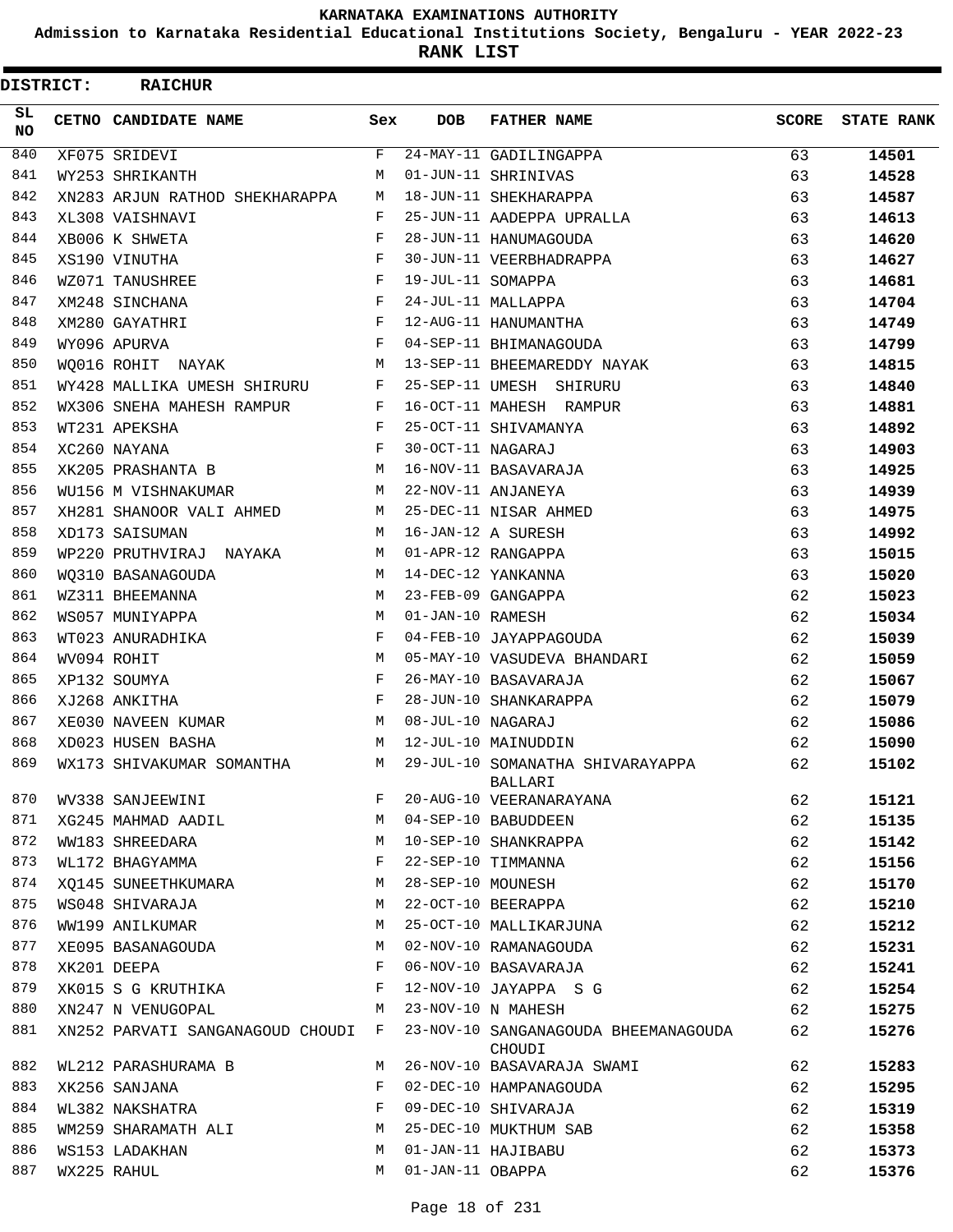**Admission to Karnataka Residential Educational Institutions Society, Bengaluru - YEAR 2022-23**

**RANK LIST**

| <b>DISTRICT:</b> | <b>RAICHUR</b>                   |     |                   |                                                    |              |                   |
|------------------|----------------------------------|-----|-------------------|----------------------------------------------------|--------------|-------------------|
| SL<br>NO.        | CETNO CANDIDATE NAME             | Sex | <b>DOB</b>        | <b>FATHER NAME</b>                                 | <b>SCORE</b> | <b>STATE RANK</b> |
| 840              | XF075 SRIDEVI                    | F   |                   | 24-MAY-11 GADILINGAPPA                             | 63           | 14501             |
| 841              | WY253 SHRIKANTH                  | М   |                   | 01-JUN-11 SHRINIVAS                                | 63           | 14528             |
| 842              | XN283 ARJUN RATHOD SHEKHARAPPA   | М   |                   | 18-JUN-11 SHEKHARAPPA                              | 63           | 14587             |
| 843              | XL308 VAISHNAVI                  | F   |                   | 25-JUN-11 AADEPPA UPRALLA                          | 63           | 14613             |
| 844              | XB006 K SHWETA                   | F   |                   | 28-JUN-11 HANUMAGOUDA                              | 63           | 14620             |
| 845              | XS190 VINUTHA                    | F   |                   | 30-JUN-11 VEERBHADRAPPA                            | 63           | 14627             |
| 846              | WZ071 TANUSHREE                  | F   | 19-JUL-11 SOMAPPA |                                                    | 63           | 14681             |
| 847              | XM248 SINCHANA                   | F   |                   | 24-JUL-11 MALLAPPA                                 | 63           | 14704             |
| 848              | XM280 GAYATHRI                   | F   |                   | 12-AUG-11 HANUMANTHA                               | 63           | 14749             |
| 849              | WY096 APURVA                     | F   |                   | 04-SEP-11 BHIMANAGOUDA                             | 63           | 14799             |
| 850              | WO016 ROHIT NAYAK                | M   |                   | 13-SEP-11 BHEEMAREDDY NAYAK                        | 63           | 14815             |
| 851              | WY428 MALLIKA UMESH SHIRURU      | F   |                   | 25-SEP-11 UMESH SHIRURU                            | 63           | 14840             |
| 852              | WX306 SNEHA MAHESH RAMPUR        | F   |                   | 16-OCT-11 MAHESH RAMPUR                            | 63           | 14881             |
| 853              | WT231 APEKSHA                    | F   |                   | 25-OCT-11 SHIVAMANYA                               | 63           | 14892             |
| 854              | XC260 NAYANA                     | F   | 30-OCT-11 NAGARAJ |                                                    | 63           | 14903             |
| 855              | XK205 PRASHANTA B                | M   |                   | 16-NOV-11 BASAVARAJA                               | 63           | 14925             |
| 856              | WU156 M VISHNAKUMAR              | M   |                   | 22-NOV-11 ANJANEYA                                 | 63           | 14939             |
| 857              | XH281 SHANOOR VALI AHMED         | М   |                   | 25-DEC-11 NISAR AHMED                              | 63           | 14975             |
| 858              | XD173 SAISUMAN                   | M   |                   | 16-JAN-12 A SURESH                                 | 63           | 14992             |
| 859              | WP220 PRUTHVIRAJ NAYAKA          | M   |                   | 01-APR-12 RANGAPPA                                 | 63           | 15015             |
| 860              | WO310 BASANAGOUDA                | M   |                   | 14-DEC-12 YANKANNA                                 | 63           | 15020             |
| 861              | WZ311 BHEEMANNA                  | M   |                   | 23-FEB-09 GANGAPPA                                 | 62           | 15023             |
| 862              | WS057 MUNIYAPPA                  | M   | 01-JAN-10 RAMESH  |                                                    | 62           | 15034             |
| 863              | WT023 ANURADHIKA                 | F   |                   | 04-FEB-10 JAYAPPAGOUDA                             | 62           | 15039             |
| 864              | WV094 ROHIT                      | М   |                   | 05-MAY-10 VASUDEVA BHANDARI                        | 62           | 15059             |
| 865              | XP132 SOUMYA                     | F   |                   | 26-MAY-10 BASAVARAJA                               | 62           | 15067             |
| 866              | XJ268 ANKITHA                    | F   |                   | 28-JUN-10 SHANKARAPPA                              | 62           | 15079             |
| 867              | XE030 NAVEEN KUMAR               | М   | 08-JUL-10 NAGARAJ |                                                    | 62           | 15086             |
| 868              | XD023 HUSEN BASHA                | M   |                   | 12-JUL-10 MAINUDDIN                                | 62           | 15090             |
| 869              | WX173 SHIVAKUMAR SOMANTHA        | М   |                   | 29-JUL-10 SOMANATHA SHIVARAYAPPA<br><b>BALLARI</b> | 62           | 15102             |
| 870              | WV338 SANJEEWINI                 | F   |                   | 20-AUG-10 VEERANARAYANA                            | 62           | 15121             |
| 871              | XG245 MAHMAD AADIL               | М   |                   | 04-SEP-10 BABUDDEEN                                | 62           | 15135             |
| 872              | WW183 SHREEDARA                  | М   |                   | 10-SEP-10 SHANKRAPPA                               | 62           | 15142             |
| 873              | WL172 BHAGYAMMA                  | F   |                   | 22-SEP-10 TIMMANNA                                 | 62           | 15156             |
| 874              | XO145 SUNEETHKUMARA              | М   | 28-SEP-10 MOUNESH |                                                    | 62           | 15170             |
| 875              | WS048 SHIVARAJA                  | М   |                   | 22-OCT-10 BEERAPPA                                 | 62           | 15210             |
| 876              | WW199 ANILKUMAR                  | М   |                   | 25-OCT-10 MALLIKARJUNA                             | 62           | 15212             |
| 877              | XE095 BASANAGOUDA                | М   |                   | 02-NOV-10 RAMANAGOUDA                              | 62           | 15231             |
| 878              | XK201 DEEPA                      | F   |                   | 06-NOV-10 BASAVARAJA                               | 62           | 15241             |
| 879              | XK015 S G KRUTHIKA               | F   |                   | 12-NOV-10 JAYAPPA S G                              | 62           | 15254             |
| 880              | XN247 N VENUGOPAL                | М   |                   | 23-NOV-10 N MAHESH                                 | 62           | 15275             |
| 881              | XN252 PARVATI SANGANAGOUD CHOUDI | F   |                   | 23-NOV-10 SANGANAGOUDA BHEEMANAGOUDA<br>CHOUDI     | 62           | 15276             |
| 882              | WL212 PARASHURAMA B              | M   |                   | 26-NOV-10 BASAVARAJA SWAMI                         | 62           | 15283             |
| 883              | XK256 SANJANA                    | F   |                   | 02-DEC-10 HAMPANAGOUDA                             | 62           | 15295             |
| 884              | WL382 NAKSHATRA                  | F   |                   | 09-DEC-10 SHIVARAJA                                | 62           | 15319             |
| 885              | WM259 SHARAMATH ALI              | M   |                   | 25-DEC-10 MUKTHUM SAB                              | 62           | 15358             |
| 886              | WS153 LADAKHAN                   | M   |                   | 01-JAN-11 HAJIBABU                                 | 62           | 15373             |
| 887              | WX225 RAHUL                      | M   | 01-JAN-11 OBAPPA  |                                                    | 62           | 15376             |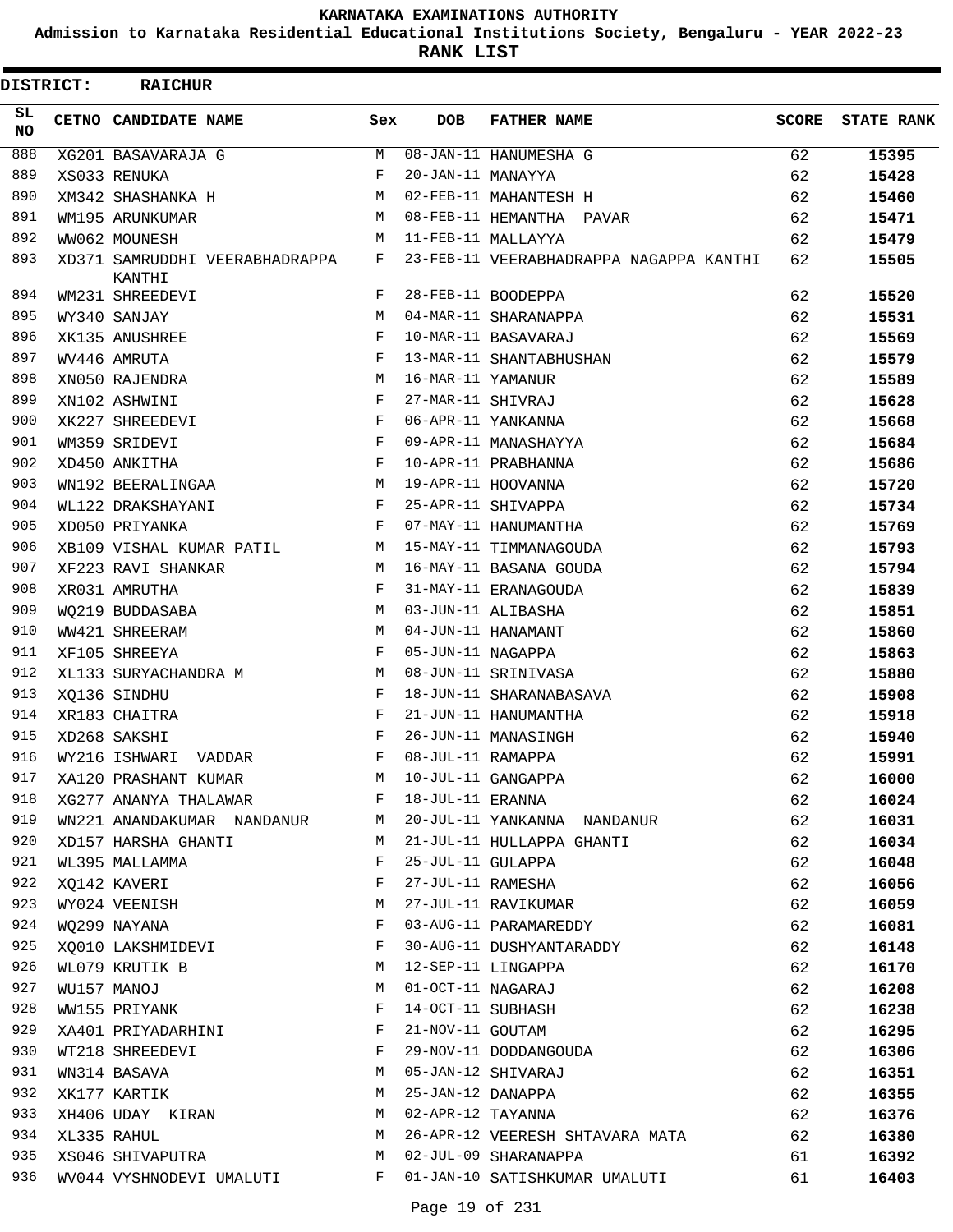**Admission to Karnataka Residential Educational Institutions Society, Bengaluru - YEAR 2022-23**

**RANK LIST**

| <b>DISTRICT:</b> | <b>RAICHUR</b>                           |            |                   |                                         |              |                   |
|------------------|------------------------------------------|------------|-------------------|-----------------------------------------|--------------|-------------------|
| SL.<br>NO.       | CETNO CANDIDATE NAME                     | Sex        | <b>DOB</b>        | <b>FATHER NAME</b>                      | <b>SCORE</b> | <b>STATE RANK</b> |
| 888              | XG201 BASAVARAJA G                       | M          |                   | 08-JAN-11 HANUMESHA G                   | 62           | 15395             |
| 889              | XS033 RENUKA                             | $_{\rm F}$ | 20-JAN-11 MANAYYA |                                         | 62           | 15428             |
| 890              | XM342 SHASHANKA H                        | M          |                   | 02-FEB-11 MAHANTESH H                   | 62           | 15460             |
| 891              | WM195 ARUNKUMAR                          | М          |                   | 08-FEB-11 HEMANTHA PAVAR                | 62           | 15471             |
| 892              | WW062 MOUNESH                            | M          |                   | 11-FEB-11 MALLAYYA                      | 62           | 15479             |
| 893              | XD371 SAMRUDDHI VEERABHADRAPPA<br>KANTHI | F          |                   | 23-FEB-11 VEERABHADRAPPA NAGAPPA KANTHI | 62           | 15505             |
| 894              | WM231 SHREEDEVI                          | F          |                   | 28-FEB-11 BOODEPPA                      | 62           | 15520             |
| 895              | WY340 SANJAY                             | M          |                   | 04-MAR-11 SHARANAPPA                    | 62           | 15531             |
| 896              | XK135 ANUSHREE                           | F          |                   | 10-MAR-11 BASAVARAJ                     | 62           | 15569             |
| 897              | WV446 AMRUTA                             | F          |                   | 13-MAR-11 SHANTABHUSHAN                 | 62           | 15579             |
| 898              | XN050 RAJENDRA                           | М          | 16-MAR-11 YAMANUR |                                         | 62           | 15589             |
| 899              | XN102 ASHWINI                            | F          | 27-MAR-11 SHIVRAJ |                                         | 62           | 15628             |
| 900              | XK227 SHREEDEVI                          | F          |                   | 06-APR-11 YANKANNA                      | 62           | 15668             |
| 901              | WM359 SRIDEVI                            | F          |                   | 09-APR-11 MANASHAYYA                    | 62           | 15684             |
| 902              | XD450 ANKITHA                            | F          |                   | 10-APR-11 PRABHANNA                     | 62           | 15686             |
| 903              | WN192 BEERALINGAA                        | М          |                   | 19-APR-11 HOOVANNA                      | 62           | 15720             |
| 904              | WL122 DRAKSHAYANI                        | F          |                   | 25-APR-11 SHIVAPPA                      | 62           | 15734             |
| 905              | XD050 PRIYANKA                           | F          |                   | 07-MAY-11 HANUMANTHA                    | 62           | 15769             |
| 906              | XB109 VISHAL KUMAR PATIL                 | M          |                   | 15-MAY-11 TIMMANAGOUDA                  | 62           | 15793             |
| 907              | XF223 RAVI SHANKAR                       | М          |                   | 16-MAY-11 BASANA GOUDA                  | 62           | 15794             |
| 908              | XR031 AMRUTHA                            | F          |                   | 31-MAY-11 ERANAGOUDA                    | 62           | 15839             |
| 909              | WQ219 BUDDASABA                          | М          |                   | 03-JUN-11 ALIBASHA                      | 62           | 15851             |
| 910              | WW421 SHREERAM                           | M          |                   | 04-JUN-11 HANAMANT                      | 62           | 15860             |
| 911              | XF105 SHREEYA                            | F          | 05-JUN-11 NAGAPPA |                                         | 62           | 15863             |
| 912              | XL133 SURYACHANDRA M                     | М          |                   | 08-JUN-11 SRINIVASA                     | 62           | 15880             |
| 913              | XQ136 SINDHU                             | F          |                   | 18-JUN-11 SHARANABASAVA                 | 62           | 15908             |
| 914              | XR183 CHAITRA                            | F          |                   | 21-JUN-11 HANUMANTHA                    | 62           | 15918             |
| 915              | XD268 SAKSHI                             | F          |                   | 26-JUN-11 MANASINGH                     | 62           | 15940             |
| 916              | WY216 ISHWARI VADDAR                     | F          | 08-JUL-11 RAMAPPA |                                         | 62           | 15991             |
| 917              | XA120 PRASHANT KUMAR                     | М          |                   | 10-JUL-11 GANGAPPA                      | 62           | 16000             |
| 918              | XG277 ANANYA THALAWAR                    | F          | 18-JUL-11 ERANNA  |                                         | 62           | 16024             |
| 919              | WN221 ANANDAKUMAR NANDANUR               | М          |                   | 20-JUL-11 YANKANNA NANDANUR             | 62           | 16031             |
| 920              | XD157 HARSHA GHANTI                      | М          |                   | 21-JUL-11 HULLAPPA GHANTI               | 62           | 16034             |
| 921              | WL395 MALLAMMA                           | F          | 25-JUL-11 GULAPPA |                                         | 62           | 16048             |
| 922              | XQ142 KAVERI                             | F          | 27-JUL-11 RAMESHA |                                         | 62           | 16056             |
| 923              | WY024 VEENISH                            | М          |                   | 27-JUL-11 RAVIKUMAR                     | 62           | 16059             |
| 924              | WQ299 NAYANA                             | F          |                   | 03-AUG-11 PARAMAREDDY                   | 62           | 16081             |
| 925              | XQ010 LAKSHMIDEVI                        | F          |                   | 30-AUG-11 DUSHYANTARADDY                | 62           | 16148             |
| 926              | WL079 KRUTIK B                           | М          |                   | 12-SEP-11 LINGAPPA                      | 62           | 16170             |
| 927              | WU157 MANOJ                              | М          | 01-OCT-11 NAGARAJ |                                         | 62           | 16208             |
| 928              | WW155 PRIYANK                            | F          | 14-OCT-11 SUBHASH |                                         | 62           | 16238             |
| 929              | XA401 PRIYADARHINI                       | F          | 21-NOV-11 GOUTAM  |                                         | 62           | 16295             |
| 930              | WT218 SHREEDEVI                          | F          |                   | 29-NOV-11 DODDANGOUDA                   | 62           | 16306             |
| 931              | WN314 BASAVA                             | М          |                   | 05-JAN-12 SHIVARAJ                      | 62           | 16351             |
| 932              | XK177 KARTIK                             | М          | 25-JAN-12 DANAPPA |                                         | 62           | 16355             |
| 933              | XH406 UDAY KIRAN                         | М          | 02-APR-12 TAYANNA |                                         | 62           | 16376             |
| 934              | XL335 RAHUL                              | М          |                   | 26-APR-12 VEERESH SHTAVARA MATA         | 62           | 16380             |
| 935              | XS046 SHIVAPUTRA                         | М          |                   | 02-JUL-09 SHARANAPPA                    | 61           | 16392             |
| 936              | WV044 VYSHNODEVI UMALUTI                 | F          |                   | 01-JAN-10 SATISHKUMAR UMALUTI           | 61           | 16403             |
|                  |                                          |            |                   |                                         |              |                   |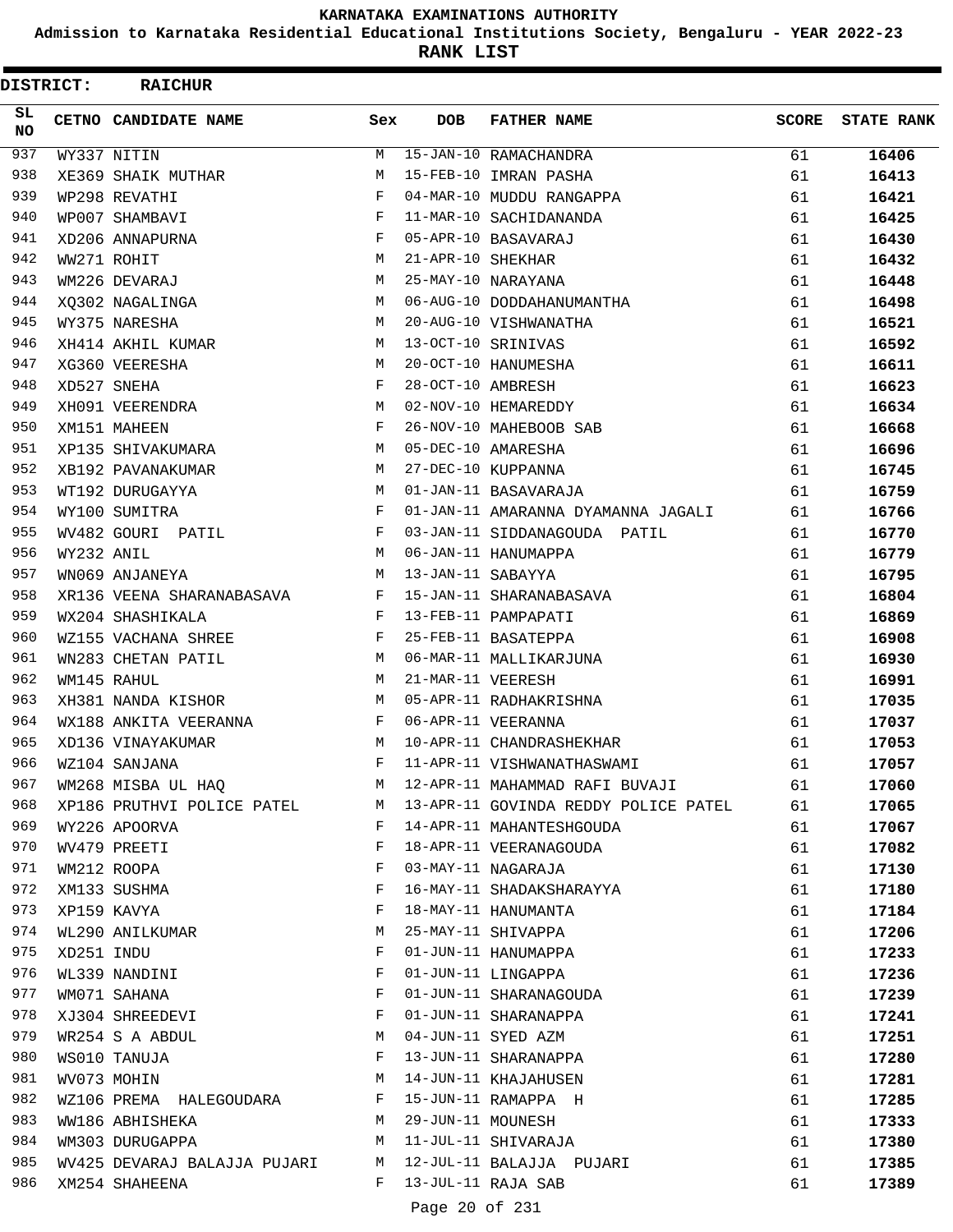**Admission to Karnataka Residential Educational Institutions Society, Bengaluru - YEAR 2022-23**

**RANK LIST**

 $\blacksquare$ 

| <b>DISTRICT:</b> |            | <b>RAICHUR</b>                 |              |                   |                                      |              |                   |
|------------------|------------|--------------------------------|--------------|-------------------|--------------------------------------|--------------|-------------------|
| SL<br>NO.        |            | CETNO CANDIDATE NAME           | Sex          | <b>DOB</b>        | <b>FATHER NAME</b>                   | <b>SCORE</b> | <b>STATE RANK</b> |
| 937              |            | WY337 NITIN                    | М            |                   | 15-JAN-10 RAMACHANDRA                | 61           | 16406             |
| 938              |            | XE369 SHAIK MUTHAR             | M            |                   | 15-FEB-10 IMRAN PASHA                | 61           | 16413             |
| 939              |            | WP298 REVATHI                  | F            |                   | 04-MAR-10 MUDDU RANGAPPA             | 61           | 16421             |
| 940              |            | WP007 SHAMBAVI                 | F            |                   | 11-MAR-10 SACHIDANANDA               | 61           | 16425             |
| 941              |            | XD206 ANNAPURNA                | $_{\rm F}$   |                   | 05-APR-10 BASAVARAJ                  | 61           | 16430             |
| 942              |            | WW271 ROHIT                    | M            | 21-APR-10 SHEKHAR |                                      | 61           | 16432             |
| 943              |            | WM226 DEVARAJ                  | M            |                   | 25-MAY-10 NARAYANA                   | 61           | 16448             |
| 944              |            | XO302 NAGALINGA                | M            |                   | 06-AUG-10 DODDAHANUMANTHA            | 61           | 16498             |
| 945              |            | WY375 NARESHA                  | M            |                   | 20-AUG-10 VISHWANATHA                | 61           | 16521             |
| 946              |            | XH414 AKHIL KUMAR              | M            |                   | 13-OCT-10 SRINIVAS                   | 61           | 16592             |
| 947              |            | XG360 VEERESHA                 | M            |                   | 20-OCT-10 HANUMESHA                  | 61           | 16611             |
| 948              |            | XD527 SNEHA                    | F            | 28-OCT-10 AMBRESH |                                      | 61           | 16623             |
| 949              |            | XH091 VEERENDRA                | M            |                   | 02-NOV-10 HEMAREDDY                  | 61           | 16634             |
| 950              |            | XM151 MAHEEN                   | F            |                   | 26-NOV-10 MAHEBOOB SAB               | 61           | 16668             |
| 951              |            | XP135 SHIVAKUMARA              | M            |                   | 05-DEC-10 AMARESHA                   | 61           | 16696             |
| 952              |            | XB192 PAVANAKUMAR              | M            |                   | 27-DEC-10 KUPPANNA                   | 61           | 16745             |
| 953              |            | WT192 DURUGAYYA                | M            |                   | 01-JAN-11 BASAVARAJA                 | 61           | 16759             |
| 954              |            | WY100 SUMITRA                  | F            |                   | 01-JAN-11 AMARANNA DYAMANNA JAGALI   | 61           | 16766             |
| 955              |            | WV482 GOURI PATIL              | F            |                   | 03-JAN-11 SIDDANAGOUDA PATIL         | 61           | 16770             |
| 956              | WY232 ANIL |                                | M            |                   | 06-JAN-11 HANUMAPPA                  | 61           | 16779             |
| 957              |            | WN069 ANJANEYA                 | M            | 13-JAN-11 SABAYYA |                                      | 61           | 16795             |
| 958              |            | XR136 VEENA SHARANABASAVA      | F            |                   | 15-JAN-11 SHARANABASAVA              | 61           | 16804             |
| 959              |            | WX204 SHASHIKALA               | $\mathbf{F}$ |                   | 13-FEB-11 PAMPAPATI                  | 61           | 16869             |
| 960              |            | WZ155 VACHANA SHREE            | F            |                   | 25-FEB-11 BASATEPPA                  | 61           | 16908             |
| 961              |            | WN283 CHETAN PATIL             | M            |                   | 06-MAR-11 MALLIKARJUNA               | 61           | 16930             |
| 962              |            | WM145 RAHUL                    | M            | 21-MAR-11 VEERESH |                                      | 61           | 16991             |
| 963              |            | XH381 NANDA KISHOR             | M            |                   | 05-APR-11 RADHAKRISHNA               | 61           | 17035             |
| 964              |            | WX188 ANKITA VEERANNA          | F            |                   | 06-APR-11 VEERANNA                   | 61           | 17037             |
| 965              |            | XD136 VINAYAKUMAR              | M            |                   | 10-APR-11 CHANDRASHEKHAR             | 61           | 17053             |
| 966              |            | WZ104 SANJANA                  | F            |                   | 11-APR-11 VISHWANATHASWAMI           | 61           | 17057             |
| 967              |            | WM268 MISBA UL HAQ             | M            |                   | 12-APR-11 MAHAMMAD RAFI BUVAJI       | 61           | 17060             |
| 968              |            | XP186 PRUTHVI POLICE PATEL M   |              |                   | 13-APR-11 GOVINDA REDDY POLICE PATEL | 61           | 17065             |
| 969              |            | WY226 APOORVA                  | F            |                   | 14-APR-11 MAHANTESHGOUDA             | 61           | 17067             |
| 970              |            | WV479 PREETI                   | F            |                   | 18-APR-11 VEERANAGOUDA               | 61           | 17082             |
| 971              |            | WM212 ROOPA                    | F            |                   | 03-MAY-11 NAGARAJA                   | 61           | 17130             |
| 972              |            | XM133 SUSHMA                   | F            |                   | 16-MAY-11 SHADAKSHARAYYA             | 61           | 17180             |
| 973              |            | XP159 KAVYA                    | F            |                   | 18-MAY-11 HANUMANTA                  | 61           | 17184             |
| 974              |            | WL290 ANILKUMAR                | М            |                   | 25-MAY-11 SHIVAPPA                   | 61           | 17206             |
| 975              | XD251 INDU |                                | F            |                   | 01-JUN-11 HANUMAPPA                  | 61           | 17233             |
| 976              |            | WL339 NANDINI                  | F            |                   | 01-JUN-11 LINGAPPA                   | 61           | 17236             |
| 977              |            | WM071 SAHANA                   | F            |                   | 01-JUN-11 SHARANAGOUDA               | 61           | 17239             |
| 978              |            | XJ304 SHREEDEVI                | F            |                   | 01-JUN-11 SHARANAPPA                 | 61           | 17241             |
| 979              |            | WR254 S A ABDUL                | M            |                   | 04-JUN-11 SYED AZM                   | 61           | 17251             |
| 980              |            | WS010 TANUJA                   | F            |                   | 13-JUN-11 SHARANAPPA                 | 61           | 17280             |
| 981              |            | WV073 MOHIN                    | M            |                   | 14-JUN-11 KHAJAHUSEN                 | 61           | 17281             |
| 982              |            | WZ106 PREMA HALEGOUDARA        | $\mathbf{F}$ |                   | 15-JUN-11 RAMAPPA H                  | 61           | 17285             |
| 983              |            | WW186 ABHISHEKA                | M            | 29-JUN-11 MOUNESH |                                      | 61           | 17333             |
| 984              |            | WM303 DURUGAPPA                | M            |                   | 11-JUL-11 SHIVARAJA                  | 61           | 17380             |
| 985              |            | WV425 DEVARAJ BALAJJA PUJARI M |              |                   | 12-JUL-11 BALAJJA PUJARI             | 61           | 17385             |
| 986              |            | XM254 SHAHEENA                 | F            |                   | 13-JUL-11 RAJA SAB                   | 61           | 17389             |
|                  |            |                                |              |                   |                                      |              |                   |

Page 20 of 231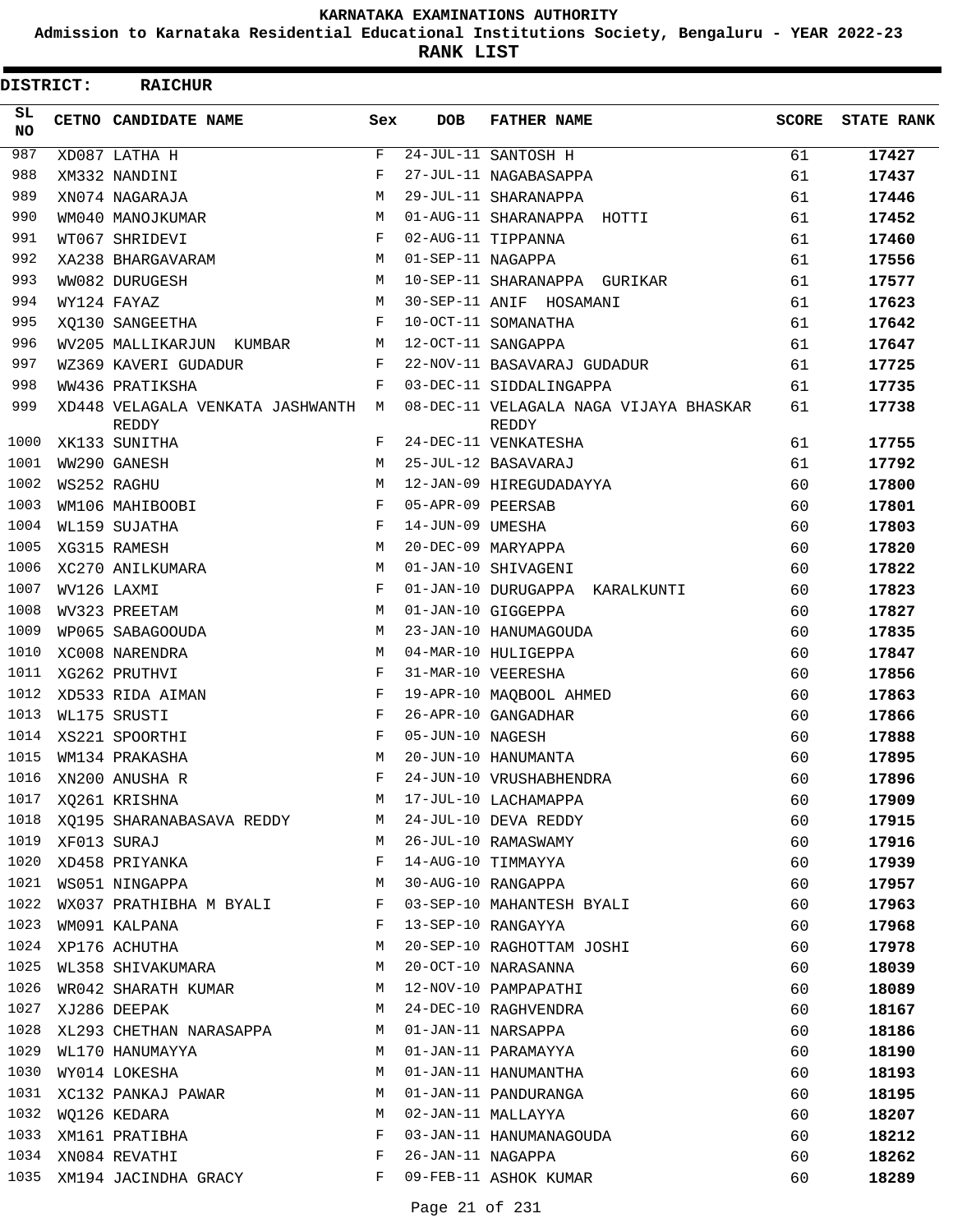**Admission to Karnataka Residential Educational Institutions Society, Bengaluru - YEAR 2022-23**

**RANK LIST**

| DISTRICT:        | <b>RAICHUR</b>                            |     |                   |                                                 |              |                   |
|------------------|-------------------------------------------|-----|-------------------|-------------------------------------------------|--------------|-------------------|
| SL.<br><b>NO</b> | CETNO CANDIDATE NAME                      | Sex | <b>DOB</b>        | <b>FATHER NAME</b>                              | <b>SCORE</b> | <b>STATE RANK</b> |
| 987              | XD087 LATHA H                             | F   |                   | 24-JUL-11 SANTOSH H                             | 61           | 17427             |
| 988              | XM332 NANDINI                             | F   |                   | 27-JUL-11 NAGABASAPPA                           | 61           | 17437             |
| 989              | XN074 NAGARAJA                            | M   |                   | 29-JUL-11 SHARANAPPA                            | 61           | 17446             |
| 990              | WM040 MANOJKUMAR                          | М   |                   | 01-AUG-11 SHARANAPPA HOTTI                      | 61           | 17452             |
| 991              | WT067 SHRIDEVI                            | F   |                   | 02-AUG-11 TIPPANNA                              | 61           | 17460             |
| 992              | XA238 BHARGAVARAM                         | М   | 01-SEP-11 NAGAPPA |                                                 | 61           | 17556             |
| 993              | WW082 DURUGESH                            | M   |                   | 10-SEP-11 SHARANAPPA GURIKAR                    | 61           | 17577             |
| 994              | WY124 FAYAZ                               | М   |                   | 30-SEP-11 ANIF HOSAMANI                         | 61           | 17623             |
| 995              | XO130 SANGEETHA                           | F   |                   | 10-OCT-11 SOMANATHA                             | 61           | 17642             |
| 996              | WV205 MALLIKARJUN KUMBAR                  | М   |                   | 12-OCT-11 SANGAPPA                              | 61           | 17647             |
| 997              | WZ369 KAVERI GUDADUR                      | F   |                   | 22-NOV-11 BASAVARAJ GUDADUR                     | 61           | 17725             |
| 998              | WW436 PRATIKSHA                           | F   |                   | 03-DEC-11 SIDDALINGAPPA                         | 61           | 17735             |
| 999              | XD448 VELAGALA VENKATA JASHWANTH<br>REDDY | M   |                   | 08-DEC-11 VELAGALA NAGA VIJAYA BHASKAR<br>REDDY | 61           | 17738             |
| 1000             | XK133 SUNITHA                             | F   |                   | 24-DEC-11 VENKATESHA                            | 61           | 17755             |
| 1001             | WW290 GANESH                              | М   |                   | 25-JUL-12 BASAVARAJ                             | 61           | 17792             |
| 1002             | WS252 RAGHU                               | M   |                   | 12-JAN-09 HIREGUDADAYYA                         | 60           | 17800             |
| 1003             | WM106 MAHIBOOBI                           | F   | 05-APR-09 PEERSAB |                                                 | 60           | 17801             |
| 1004             | WL159 SUJATHA                             | F   | 14-JUN-09 UMESHA  |                                                 | 60           | 17803             |
| 1005             | XG315 RAMESH                              | М   |                   | 20-DEC-09 MARYAPPA                              | 60           | 17820             |
| 1006             | XC270 ANILKUMARA                          | М   |                   | 01-JAN-10 SHIVAGENI                             | 60           | 17822             |
| 1007             | WV126 LAXMI                               | F   |                   | 01-JAN-10 DURUGAPPA KARALKUNTI                  | 60           | 17823             |
| 1008             | WV323 PREETAM                             | М   |                   | 01-JAN-10 GIGGEPPA                              | 60           | 17827             |
| 1009             | WP065 SABAGOOUDA                          | М   |                   | 23-JAN-10 HANUMAGOUDA                           | 60           | 17835             |
| 1010             | XC008 NARENDRA                            | M   |                   | 04-MAR-10 HULIGEPPA                             | 60           | 17847             |
| 1011             | XG262 PRUTHVI                             | F   |                   | 31-MAR-10 VEERESHA                              | 60           | 17856             |
| 1012             | XD533 RIDA AIMAN                          | F   |                   | 19-APR-10 MAQBOOL AHMED                         | 60           | 17863             |
| 1013             | WL175 SRUSTI                              | F   |                   | 26-APR-10 GANGADHAR                             | 60           | 17866             |
| 1014             | XS221 SPOORTHI                            | F   | 05-JUN-10 NAGESH  |                                                 | 60           | 17888             |
| 1015             | WM134 PRAKASHA                            | M   |                   | 20-JUN-10 HANUMANTA                             | 60           | 17895             |
| 1016             | XN200 ANUSHA R                            |     |                   | 24-JUN-10 VRUSHABHENDRA                         | 60           | 17896             |
| 1017             | XQ261 KRISHNA                             | М   |                   | 17-JUL-10 LACHAMAPPA                            | 60           | 17909             |
| 1018             | XQ195 SHARANABASAVA REDDY                 | М   |                   | 24-JUL-10 DEVA REDDY                            | 60           | 17915             |
| 1019             | XF013 SURAJ                               | M   |                   | 26-JUL-10 RAMASWAMY                             | 60           | 17916             |
| 1020             | XD458 PRIYANKA                            | F   |                   | 14-AUG-10 TIMMAYYA                              | 60           | 17939             |
| 1021             |                                           | М   |                   | 30-AUG-10 RANGAPPA                              | 60           |                   |
| 1022             | WS051 NINGAPPA                            | F   |                   | 03-SEP-10 MAHANTESH BYALI                       | 60           | 17957             |
| 1023             | WX037 PRATHIBHA M BYALI<br>WM091 KALPANA  | F   |                   | 13-SEP-10 RANGAYYA                              |              | 17963             |
| 1024             |                                           | М   |                   |                                                 | 60           | 17968<br>17978    |
|                  | XP176 ACHUTHA                             |     |                   | 20-SEP-10 RAGHOTTAM JOSHI                       | 60           |                   |
| 1025<br>1026     | WL358 SHIVAKUMARA                         | М   |                   | 20-OCT-10 NARASANNA                             | 60           | 18039             |
|                  | WR042 SHARATH KUMAR                       | М   |                   | 12-NOV-10 PAMPAPATHI                            | 60           | 18089             |
| 1027             | XJ286 DEEPAK                              | М   |                   | 24-DEC-10 RAGHVENDRA                            | 60           | 18167             |
| 1028             | XL293 CHETHAN NARASAPPA                   | М   |                   | 01-JAN-11 NARSAPPA                              | 60           | 18186             |
| 1029             | WL170 HANUMAYYA                           | M   |                   | 01-JAN-11 PARAMAYYA                             | 60           | 18190             |
| 1030             | WY014 LOKESHA                             | М   |                   | 01-JAN-11 HANUMANTHA                            | 60           | 18193             |
| 1031             | XC132 PANKAJ PAWAR                        | М   |                   | 01-JAN-11 PANDURANGA                            | 60           | 18195             |
| 1032             | WQ126 KEDARA                              | М   |                   | 02-JAN-11 MALLAYYA                              | 60           | 18207             |
| 1033             | XM161 PRATIBHA                            | F   |                   | 03-JAN-11 HANUMANAGOUDA                         | 60           | 18212             |
| 1034             | XN084 REVATHI                             | F   | 26-JAN-11 NAGAPPA |                                                 | 60           | 18262             |
| 1035             | XM194 JACINDHA GRACY                      | F   |                   | 09-FEB-11 ASHOK KUMAR                           | 60           | 18289             |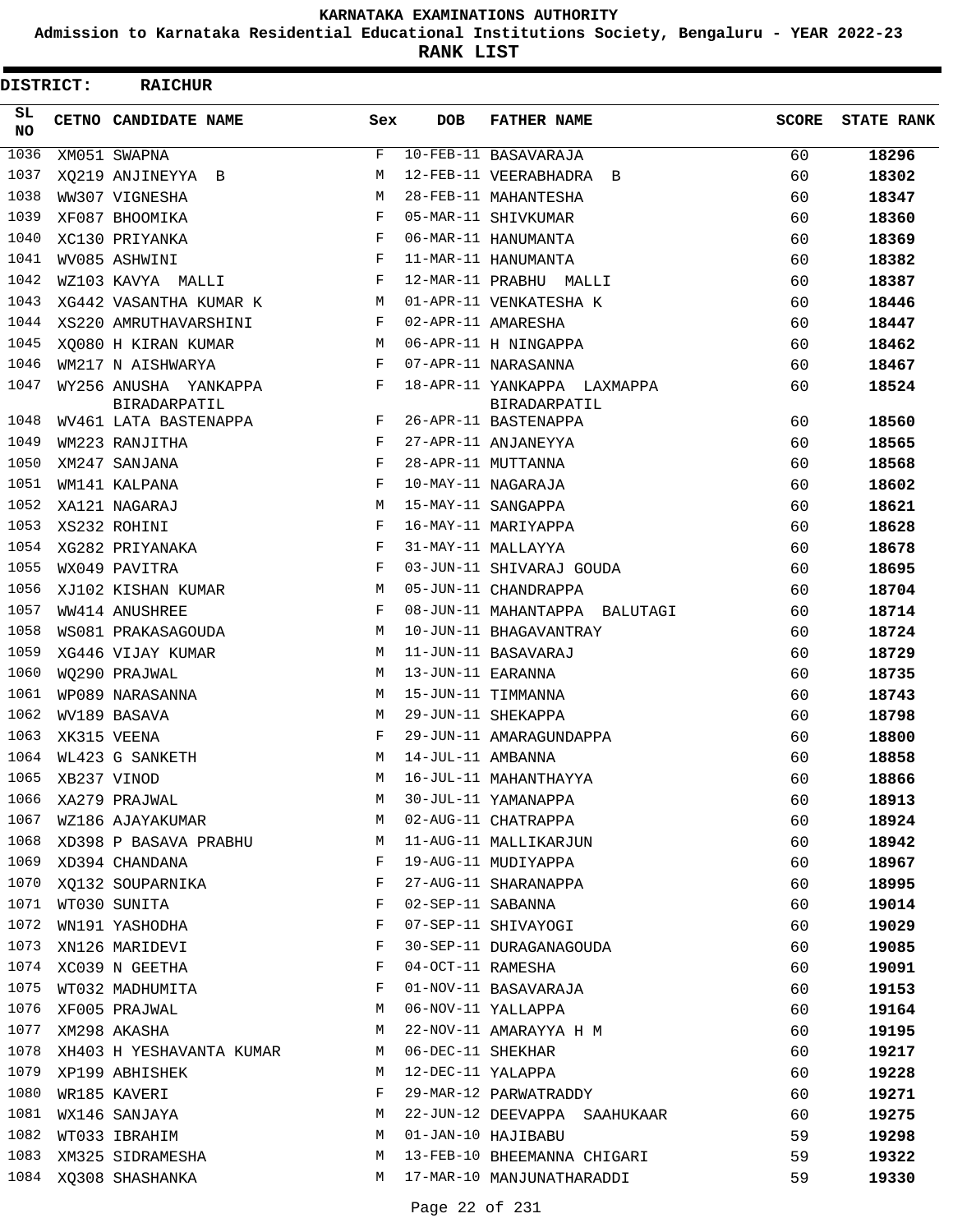**Admission to Karnataka Residential Educational Institutions Society, Bengaluru - YEAR 2022-23**

| DISTRICT:        | <b>RAICHUR</b>                        |              |                   |                                             |              |                   |
|------------------|---------------------------------------|--------------|-------------------|---------------------------------------------|--------------|-------------------|
| SL.<br><b>NO</b> | <b>CETNO CANDIDATE NAME</b>           | Sex          | <b>DOB</b>        | <b>FATHER NAME</b>                          | <b>SCORE</b> | <b>STATE RANK</b> |
| 1036             | XM051 SWAPNA                          | $\mathbf{F}$ |                   | $10-FEB-11$ BASAVARAJA                      | 60           | 18296             |
| 1037             | XO219 ANJINEYYA B                     | M            |                   | 12-FEB-11 VEERABHADRA B                     | 60           | 18302             |
| 1038             | WW307 VIGNESHA                        | M            |                   | 28-FEB-11 MAHANTESHA                        | 60           | 18347             |
| 1039             | XF087 BHOOMIKA                        | F            |                   | 05-MAR-11 SHIVKUMAR                         | 60           | 18360             |
| 1040             | XC130 PRIYANKA                        | $_{\rm F}$   |                   | 06-MAR-11 HANUMANTA                         | 60           | 18369             |
| 1041             | WV085 ASHWINI                         | F            |                   | 11-MAR-11 HANUMANTA                         | 60           | 18382             |
| 1042             | WZ103 KAVYA MALLI                     | F            |                   | 12-MAR-11 PRABHU MALLI                      | 60           | 18387             |
| 1043             | XG442 VASANTHA KUMAR K                | М            |                   | 01-APR-11 VENKATESHA K                      | 60           | 18446             |
| 1044             | XS220 AMRUTHAVARSHINI                 | F            |                   | 02-APR-11 AMARESHA                          | 60           | 18447             |
| 1045             | XO080 H KIRAN KUMAR                   | M            |                   | 06-APR-11 H NINGAPPA                        | 60           | 18462             |
| 1046             | WM217 N AISHWARYA                     | $_{\rm F}$   |                   | 07-APR-11 NARASANNA                         | 60           | 18467             |
| 1047             | WY256 ANUSHA YANKAPPA<br>BIRADARPATIL | F            |                   | 18-APR-11 YANKAPPA LAXMAPPA<br>BIRADARPATIL | 60           | 18524             |
| 1048             | WV461 LATA BASTENAPPA                 | F            |                   | 26-APR-11 BASTENAPPA                        | 60           | 18560             |
| 1049             | WM223 RANJITHA                        | F            |                   | 27-APR-11 ANJANEYYA                         | 60           | 18565             |
| 1050             | XM247 SANJANA                         | F            |                   | 28-APR-11 MUTTANNA                          | 60           | 18568             |
| 1051             | WM141 KALPANA                         | $_{\rm F}$   |                   | 10-MAY-11 NAGARAJA                          | 60           | 18602             |
| 1052             | XA121 NAGARAJ                         | M            |                   | 15-MAY-11 SANGAPPA                          | 60           | 18621             |
| 1053             | XS232 ROHINI                          | F            |                   | 16-MAY-11 MARIYAPPA                         | 60           | 18628             |
| 1054             | XG282 PRIYANAKA                       | F            |                   | 31-MAY-11 MALLAYYA                          | 60           | 18678             |
| 1055             | WX049 PAVITRA                         | $_{\rm F}$   |                   | 03-JUN-11 SHIVARAJ GOUDA                    | 60           | 18695             |
| 1056             | XJ102 KISHAN KUMAR                    | M            |                   | 05-JUN-11 CHANDRAPPA                        | 60           | 18704             |
| 1057             | WW414 ANUSHREE                        | F            |                   | 08-JUN-11 MAHANTAPPA BALUTAGI               | 60           | 18714             |
| 1058             | WS081 PRAKASAGOUDA                    | M            |                   | 10-JUN-11 BHAGAVANTRAY                      | 60           | 18724             |
| 1059             | XG446 VIJAY KUMAR                     | М            |                   | 11-JUN-11 BASAVARAJ                         | 60           | 18729             |
| 1060             | WO290 PRAJWAL                         | M            | 13-JUN-11 EARANNA |                                             | 60           | 18735             |
| 1061             | WP089 NARASANNA                       | M            |                   | 15-JUN-11 TIMMANNA                          | 60           | 18743             |
| 1062             | WV189 BASAVA                          | M            |                   | 29-JUN-11 SHEKAPPA                          | 60           | 18798             |
| 1063             | XK315 VEENA                           | F            |                   | 29-JUN-11 AMARAGUNDAPPA                     | 60           | 18800             |
|                  | 1064 WL423 G SANKETH                  | M            | 14-JUL-11 AMBANNA |                                             | 60           | 18858             |
| 1065             | XB237 VINOD                           | $M_{\odot}$  |                   | 16-JUL-11 MAHANTHAYYA                       | 60           | 18866             |
| 1066             | XA279 PRAJWAL                         | M            |                   | 30-JUL-11 YAMANAPPA                         | 60           | 18913             |
| 1067             | WZ186 AJAYAKUMAR                      | М            |                   | 02-AUG-11 CHATRAPPA                         | 60           | 18924             |
| 1068             | XD398 P BASAVA PRABHU                 | М            |                   | 11-AUG-11 MALLIKARJUN                       | 60           | 18942             |
| 1069             | XD394 CHANDANA                        | F            |                   | 19-AUG-11 MUDIYAPPA                         | 60           | 18967             |
| 1070             | XQ132 SOUPARNIKA                      | F            |                   | 27-AUG-11 SHARANAPPA                        | 60           | 18995             |
|                  | 1071 WT030 SUNITA                     | F            | 02-SEP-11 SABANNA |                                             | 60           | 19014             |
|                  | 1072 WN191 YASHODHA                   | F            |                   | 07-SEP-11 SHIVAYOGI                         | 60           | 19029             |
| 1073             | XN126 MARIDEVI                        | F            |                   | 30-SEP-11 DURAGANAGOUDA                     | 60           | 19085             |
| 1074             | XC039 N GEETHA                        | F            |                   | 04-OCT-11 RAMESHA                           | 60           | 19091             |
| 1075             | WT032 MADHUMITA                       | F            |                   | 01-NOV-11 BASAVARAJA                        | 60           | 19153             |
| 1076             | XF005 PRAJWAL                         | М            |                   | 06-NOV-11 YALLAPPA                          | 60           | 19164             |
| 1077             | XM298 AKASHA                          | М            |                   | 22-NOV-11 AMARAYYA H M                      | 60           | 19195             |
| 1078             | XH403 H YESHAVANTA KUMAR              | M            | 06-DEC-11 SHEKHAR |                                             | 60           | 19217             |
| 1079             | XP199 ABHISHEK                        | M            | 12-DEC-11 YALAPPA |                                             | 60           | 19228             |
| 1080             | WR185 KAVERI                          | F            |                   | 29-MAR-12 PARWATRADDY                       | 60           | 19271             |
| 1081             | WX146 SANJAYA                         | М            |                   | 22-JUN-12 DEEVAPPA SAAHUKAAR                | 60           | 19275             |
| 1082             | WT033 IBRAHIM                         | М            |                   | 01-JAN-10 HAJIBABU                          | 59           | 19298             |
| 1083             | XM325 SIDRAMESHA                      | М            |                   | 13-FEB-10 BHEEMANNA CHIGARI                 | 59           | 19322             |
| 1084             | XQ308 SHASHANKA                       | M            |                   | 17-MAR-10 MANJUNATHARADDI                   | 59           | 19330             |
|                  |                                       |              |                   |                                             |              |                   |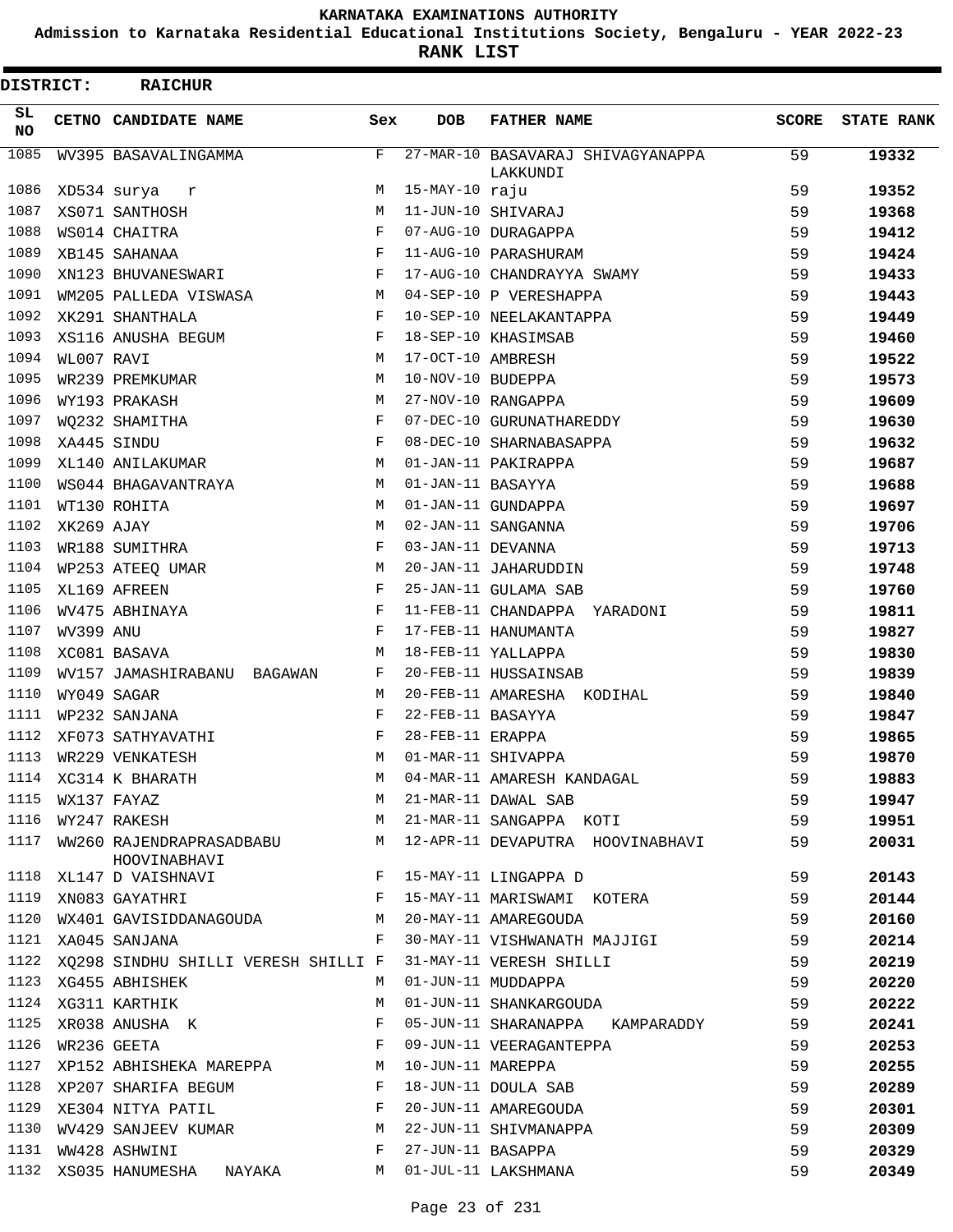**Admission to Karnataka Residential Educational Institutions Society, Bengaluru - YEAR 2022-23**

**RANK LIST**

| <b>DISTRICT:</b> |                  | <b>RAICHUR</b>                                                  |            |                   |                                                                                           |              |                   |
|------------------|------------------|-----------------------------------------------------------------|------------|-------------------|-------------------------------------------------------------------------------------------|--------------|-------------------|
| SL.<br><b>NO</b> |                  | CETNO CANDIDATE NAME                                            | Sex        | <b>DOB</b>        | <b>FATHER NAME</b>                                                                        | <b>SCORE</b> | <b>STATE RANK</b> |
| 1085             |                  | WV395 BASAVALINGAMMA                                            | F          |                   | 27-MAR-10 BASAVARAJ SHIVAGYANAPPA<br>LAKKUNDI                                             | 59           | 19332             |
| 1086             |                  | XD534 surya<br>r                                                | М          | 15-MAY-10 raju    |                                                                                           | 59           | 19352             |
| 1087             |                  | XS071 SANTHOSH                                                  | M          |                   | 11-JUN-10 SHIVARAJ                                                                        | 59           | 19368             |
| 1088             |                  | WS014 CHAITRA                                                   | F          |                   | 07-AUG-10 DURAGAPPA                                                                       | 59           | 19412             |
| 1089             |                  | XB145 SAHANAA                                                   | F          |                   | 11-AUG-10 PARASHURAM                                                                      | 59           | 19424             |
| 1090             |                  | XN123 BHUVANESWARI                                              | $_{\rm F}$ |                   | 17-AUG-10 CHANDRAYYA SWAMY                                                                | 59           | 19433             |
| 1091             |                  | WM205 PALLEDA VISWASA                                           | M          |                   | 04-SEP-10 P VERESHAPPA                                                                    | 59           | 19443             |
| 1092             |                  | XK291 SHANTHALA                                                 | F          |                   | 10-SEP-10 NEELAKANTAPPA                                                                   | 59           | 19449             |
| 1093             |                  | XS116 ANUSHA BEGUM                                              | $_{\rm F}$ |                   | 18-SEP-10 KHASIMSAB                                                                       | 59           | 19460             |
| 1094             | WL007 RAVI       |                                                                 | M          | 17-OCT-10 AMBRESH |                                                                                           | 59           | 19522             |
| 1095             |                  | WR239 PREMKUMAR                                                 | M          | 10-NOV-10 BUDEPPA |                                                                                           | 59           | 19573             |
| 1096             |                  | WY193 PRAKASH                                                   | М          |                   | 27-NOV-10 RANGAPPA                                                                        | 59           | 19609             |
| 1097             |                  | WO232 SHAMITHA                                                  | F          |                   | 07-DEC-10 GURUNATHAREDDY                                                                  | 59           | 19630             |
| 1098             | XA445 SINDU      |                                                                 | F          |                   | 08-DEC-10 SHARNABASAPPA                                                                   | 59           | 19632             |
| 1099             |                  | XL140 ANILAKUMAR                                                | M          |                   | 01-JAN-11 PAKIRAPPA                                                                       | 59           | 19687             |
| 1100             |                  | WS044 BHAGAVANTRAYA                                             | M          | 01-JAN-11 BASAYYA |                                                                                           | 59           | 19688             |
| 1101             |                  | WT130 ROHITA                                                    | M          |                   | 01-JAN-11 GUNDAPPA                                                                        | 59           | 19697             |
| 1102             | XK269 AJAY       |                                                                 | M          |                   | 02-JAN-11 SANGANNA                                                                        | 59           | 19706             |
| 1103             |                  | WR188 SUMITHRA                                                  | F          | 03-JAN-11 DEVANNA |                                                                                           | 59           | 19713             |
| 1104             |                  | WP253 ATEEQ UMAR                                                | М          |                   | 20-JAN-11 JAHARUDDIN                                                                      | 59           | 19748             |
| 1105             |                  | XL169 AFREEN                                                    | F          |                   | 25-JAN-11 GULAMA SAB                                                                      | 59           | 19760             |
| 1106             |                  | WV475 ABHINAYA                                                  | F          |                   | 11-FEB-11 CHANDAPPA YARADONI                                                              | 59           | 19811             |
| 1107             | WV399 ANU        |                                                                 | F          |                   | 17-FEB-11 HANUMANTA                                                                       | 59           | 19827             |
| 1108             |                  | XC081 BASAVA                                                    | M          |                   | 18-FEB-11 YALLAPPA                                                                        | 59           | 19830             |
| 1109             |                  | WV157 JAMASHIRABANU BAGAWAN                                     | F          |                   | 20-FEB-11 HUSSAINSAB                                                                      | 59           | 19839             |
| 1110             |                  | WY049 SAGAR                                                     | M          |                   | 20-FEB-11 AMARESHA KODIHAL                                                                | 59           | 19840             |
| 1111             |                  | WP232 SANJANA                                                   | F          | 22-FEB-11 BASAYYA |                                                                                           | 59           | 19847             |
| 1112             |                  | XF073 SATHYAVATHI                                               | F          | 28-FEB-11 ERAPPA  |                                                                                           | 59           | 19865             |
| 1113             |                  | WR229 VENKATESH                                                 | M          |                   | 01-MAR-11 SHIVAPPA                                                                        | 59           | 19870             |
|                  |                  | 1114 XC314 K BHARATH                                            | M          |                   |                                                                                           |              |                   |
|                  |                  |                                                                 | M          |                   | 04-MAR-11 AMARESH KANDAGAL<br>21-MAR-11 DAWAL SAB                                         | 59           | 19883             |
|                  | 1115 WX137 FAYAZ |                                                                 |            |                   | 21-MAR-11 SANGAPPA KOTI                                                                   | 59           | 19947             |
| 1116             |                  | WY247 RAKESH                                                    | M          |                   |                                                                                           | 59           | 19951             |
| 1117             |                  | WW260 RAJENDRAPRASADBABU<br>HOOVINABHAVI                        | M          |                   | 12-APR-11 DEVAPUTRA HOOVINABHAVI                                                          | 59           | 20031             |
| 1118             |                  | XL147 D VAISHNAVI                                               | F          |                   | 15-MAY-11 LINGAPPA D                                                                      | 59           | 20143             |
| 1119             |                  | $\mathbf{F}$ and the contract of $\mathbf{F}$<br>XN083 GAYATHRI |            |                   | 15-MAY-11 MARISWAMI KOTERA                                                                | 59           | 20144             |
|                  |                  | 1120 WX401 GAVISIDDANAGOUDA M                                   |            |                   | 20-MAY-11 AMAREGOUDA                                                                      | 59           | 20160             |
|                  |                  | 1121 XA045 SANJANA                                              | F          |                   | 30-MAY-11 VISHWANATH MAJJIGI                                                              | 59           | 20214             |
|                  |                  | 1122 XQ298 SINDHU SHILLI VERESH SHILLI F                        |            |                   | 31-MAY-11 VERESH SHILLI                                                                   | 59           | 20219             |
|                  |                  | 1123 XG455 ABHISHEK                                             | M          |                   | 01-JUN-11 MUDDAPPA                                                                        | 59           | 20220             |
|                  |                  | 1124 XG311 KARTHIK                                              | М          |                   | 01-JUN-11 SHANKARGOUDA                                                                    | 59           | 20222             |
| 1125             |                  | XR038 ANUSHA K                                                  | F          |                   | 05-JUN-11 SHARANAPPA KAMPARADDY                                                           | 59           | 20241             |
| 1126             |                  | WR236 GEETA                                                     | F          |                   | 09-JUN-11 VEERAGANTEPPA                                                                   | 59           | 20253             |
| 1127             |                  | XP152 ABHISHEKA MAREPPA M                                       |            | 10-JUN-11 MAREPPA |                                                                                           | 59           | 20255             |
|                  |                  | 1128 XP207 SHARIFA BEGUM                                        | $-F$       |                   |                                                                                           | 59           | 20289             |
| 1129             |                  | XE304 NITYA PATIL<br>$\mathbf{F}$                               |            |                   | 10-JUN-11 MAREPPA<br>18-JUN-11 DOULA SAB<br>20-JUN-11 AMAREGOUDA<br>22-JUN-11 SHIVMANAPPA | 59           | 20301             |
| 1130             |                  | WV429 SANJEEV KUMAR                                             | М          |                   |                                                                                           | 59           | 20309             |
| 1131             |                  | WW428 ASHWINI                                                   | F          | 27-JUN-11 BASAPPA |                                                                                           | 59           | 20329             |
|                  |                  | 1132 XS035 HANUMESHA NAYAKA                                     | M          |                   | 01-JUL-11 LAKSHMANA                                                                       | 59           | 20349             |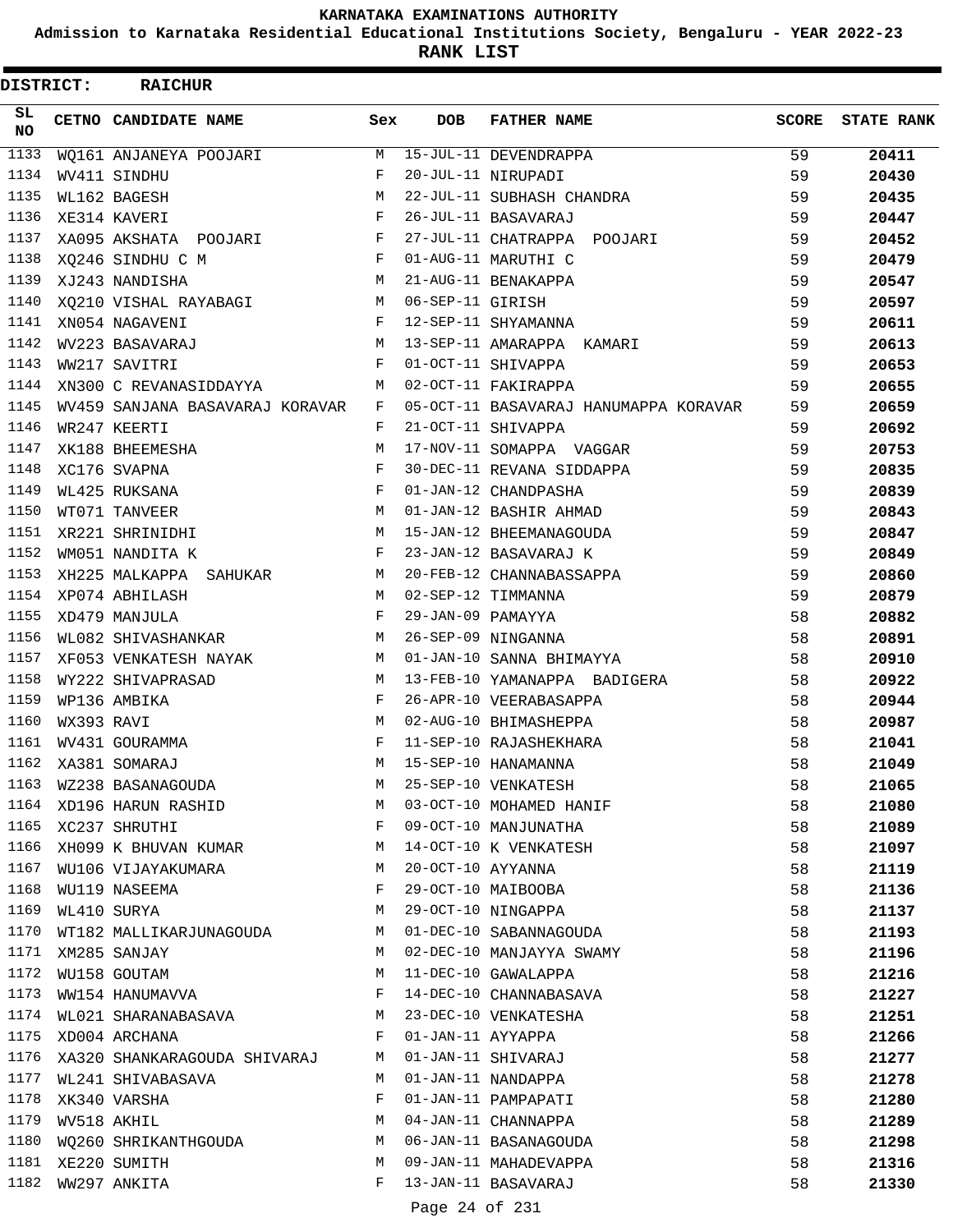**Admission to Karnataka Residential Educational Institutions Society, Bengaluru - YEAR 2022-23**

**RANK LIST**

| <b>DISTRICT:</b> |            | <b>RAICHUR</b>                    |              |                   |                                         |              |                   |
|------------------|------------|-----------------------------------|--------------|-------------------|-----------------------------------------|--------------|-------------------|
| SL.<br>NO        |            | CETNO CANDIDATE NAME              | Sex          | <b>DOB</b>        | <b>FATHER NAME</b>                      | <b>SCORE</b> | <b>STATE RANK</b> |
| 1133             |            | WQ161 ANJANEYA POOJARI            | M            |                   | 15-JUL-11 DEVENDRAPPA                   | 59           | 20411             |
| 1134             |            | WV411 SINDHU                      | F            |                   | 20-JUL-11 NIRUPADI                      | 59           | 20430             |
| 1135             |            | WL162 BAGESH                      | M            |                   | 22-JUL-11 SUBHASH CHANDRA               | 59           | 20435             |
| 1136             |            | XE314 KAVERI                      | F            |                   | 26-JUL-11 BASAVARAJ                     | 59           | 20447             |
| 1137             |            | XA095 AKSHATA POOJARI             | $$\rm F$$    |                   | 27-JUL-11 CHATRAPPA POOJARI             | 59           | 20452             |
| 1138             |            | XQ246 SINDHU C M                  | $\mathbf{F}$ |                   | 01-AUG-11 MARUTHI C                     | 59           | 20479             |
| 1139             |            | XJ243 NANDISHA                    | M            |                   | 21-AUG-11 BENAKAPPA                     | 59           | 20547             |
| 1140             |            | XQ210 VISHAL RAYABAGI M           |              | 06-SEP-11 GIRISH  |                                         | 59           | 20597             |
| 1141             |            | XN054 NAGAVENI                    | $\mathbf{F}$ |                   | 12-SEP-11 SHYAMANNA                     | 59           | 20611             |
| 1142             |            | M <sub>N</sub><br>WV223 BASAVARAJ |              |                   | 13-SEP-11 AMARAPPA KAMARI               | 59           | 20613             |
| 1143             |            | WW217 SAVITRI                     | F            |                   | 01-OCT-11 SHIVAPPA                      | 59           | 20653             |
| 1144             |            | XN300 C REVANASIDDAYYA            | M            |                   | 02-OCT-11 FAKIRAPPA                     | 59           | 20655             |
| 1145             |            | WV459 SANJANA BASAVARAJ KORAVAR   |              |                   | F 05-OCT-11 BASAVARAJ HANUMAPPA KORAVAR | 59           | 20659             |
| 1146             |            | WR247 KEERTI                      | F            |                   | 21-OCT-11 SHIVAPPA                      | 59           | 20692             |
| 1147             |            | XK188 BHEEMESHA                   | M            |                   | 17-NOV-11 SOMAPPA VAGGAR                | 59           | 20753             |
| 1148             |            | XC176 SVAPNA                      | F            |                   | 30-DEC-11 REVANA SIDDAPPA               | 59           | 20835             |
| 1149             |            | WL425 RUKSANA                     | F            |                   | 01-JAN-12 CHANDPASHA                    | 59           | 20839             |
| 1150             |            | WT071 TANVEER                     | M            |                   | 01-JAN-12 BASHIR AHMAD                  | 59           | 20843             |
| 1151             |            | XR221 SHRINIDHI                   |              |                   | M 15-JAN-12 BHEEMANAGOUDA               | 59           | 20847             |
| 1152             |            | WM051 NANDITA K                   | $\mathbf{F}$ |                   | 23-JAN-12 BASAVARAJ K                   | 59           | 20849             |
| 1153             |            | XH225 MALKAPPA SAHUKAR            |              |                   | M 20-FEB-12 CHANNABASSAPPA              | 59           | 20860             |
| 1154             |            | XP074 ABHILASH                    | M            |                   | 02-SEP-12 TIMMANNA                      | 59           | 20879             |
| 1155             |            | XD479 MANJULA                     | F            | 29-JAN-09 PAMAYYA |                                         | 58           | 20882             |
| 1156             |            | <b>M</b><br>WL082 SHIVASHANKAR    |              |                   | 26-SEP-09 NINGANNA                      | 58           | 20891             |
| 1157             |            | XF053 VENKATESH NAYAK             |              |                   | M 01-JAN-10 SANNA BHIMAYYA              | 58           | 20910             |
| 1158             |            | WY222 SHIVAPRASAD                 | M            |                   | 13-FEB-10 YAMANAPPA BADIGERA            | 58           | 20922             |
| 1159             |            | WP136 AMBIKA                      | F            |                   | 26-APR-10 VEERABASAPPA                  | 58           | 20944             |
| 1160             | WX393 RAVI |                                   | M            |                   | 02-AUG-10 BHIMASHEPPA                   | 58           | 20987             |
| 1161             |            | WV431 GOURAMMA                    | F            |                   | 11-SEP-10 RAJASHEKHARA                  | 58           | 21041             |
| 1162             |            | XA381 SOMARAJ                     | M            |                   | 15-SEP-10 HANAMANNA                     | 58           | 21049             |
| 1163             |            | WZ238 BASANAGOUDA                 | M            |                   | 25-SEP-10 VENKATESH                     | 58           | 21065             |
| 1164             |            | XD196 HARUN RASHID                | М            |                   | 03-OCT-10 MOHAMED HANIF                 | 58           | 21080             |
|                  |            | 1165 XC237 SHRUTHI                | F            |                   | 09-OCT-10 MANJUNATHA                    | 58           | 21089             |
| 1166             |            | XH099 K BHUVAN KUMAR              | М            |                   | 14-OCT-10 K VENKATESH                   | 58           | 21097             |
| 1167             |            | WU106 VIJAYAKUMARA                | М            | 20-OCT-10 AYYANNA |                                         | 58           | 21119             |
| 1168             |            | WU119 NASEEMA                     | F            |                   | 29-OCT-10 MAIBOOBA                      | 58           | 21136             |
| 1169             |            | WL410 SURYA                       | М            |                   | 29-OCT-10 NINGAPPA                      | 58           | 21137             |
| 1170             |            | WT182 MALLIKARJUNAGOUDA           | М            |                   | 01-DEC-10 SABANNAGOUDA                  | 58           | 21193             |
| 1171             |            | XM285 SANJAY                      | М            |                   | 02-DEC-10 MANJAYYA SWAMY                | 58           | 21196             |
| 1172             |            | WU158 GOUTAM                      | М            |                   | 11-DEC-10 GAWALAPPA                     | 58           | 21216             |
| 1173             |            | WW154 HANUMAVVA                   | F            |                   | 14-DEC-10 CHANNABASAVA                  | 58           | 21227             |
| 1174             |            | WL021 SHARANABASAVA               | М            |                   | 23-DEC-10 VENKATESHA                    | 58           | 21251             |
| 1175             |            | XD004 ARCHANA                     | F            | 01-JAN-11 AYYAPPA |                                         | 58           | 21266             |
| 1176             |            | XA320 SHANKARAGOUDA SHIVARAJ      | М            |                   | 01-JAN-11 SHIVARAJ                      | 58           | 21277             |
| 1177             |            | WL241 SHIVABASAVA                 | M            |                   | 01-JAN-11 NANDAPPA                      | 58           | 21278             |
| 1178             |            | XK340 VARSHA                      | F            |                   | 01-JAN-11 PAMPAPATI                     | 58           | 21280             |
| 1179             |            | WV518 AKHIL                       | М            |                   | 04-JAN-11 CHANNAPPA                     | 58           | 21289             |
| 1180             |            | WQ260 SHRIKANTHGOUDA              | M            |                   | 06-JAN-11 BASANAGOUDA                   | 58           | 21298             |
| 1181             |            | XE220 SUMITH                      | M            |                   | 09-JAN-11 MAHADEVAPPA                   | 58           | 21316             |
| 1182             |            | WW297 ANKITA                      | F            |                   | 13-JAN-11 BASAVARAJ                     | 58           | 21330             |
|                  |            |                                   |              |                   |                                         |              |                   |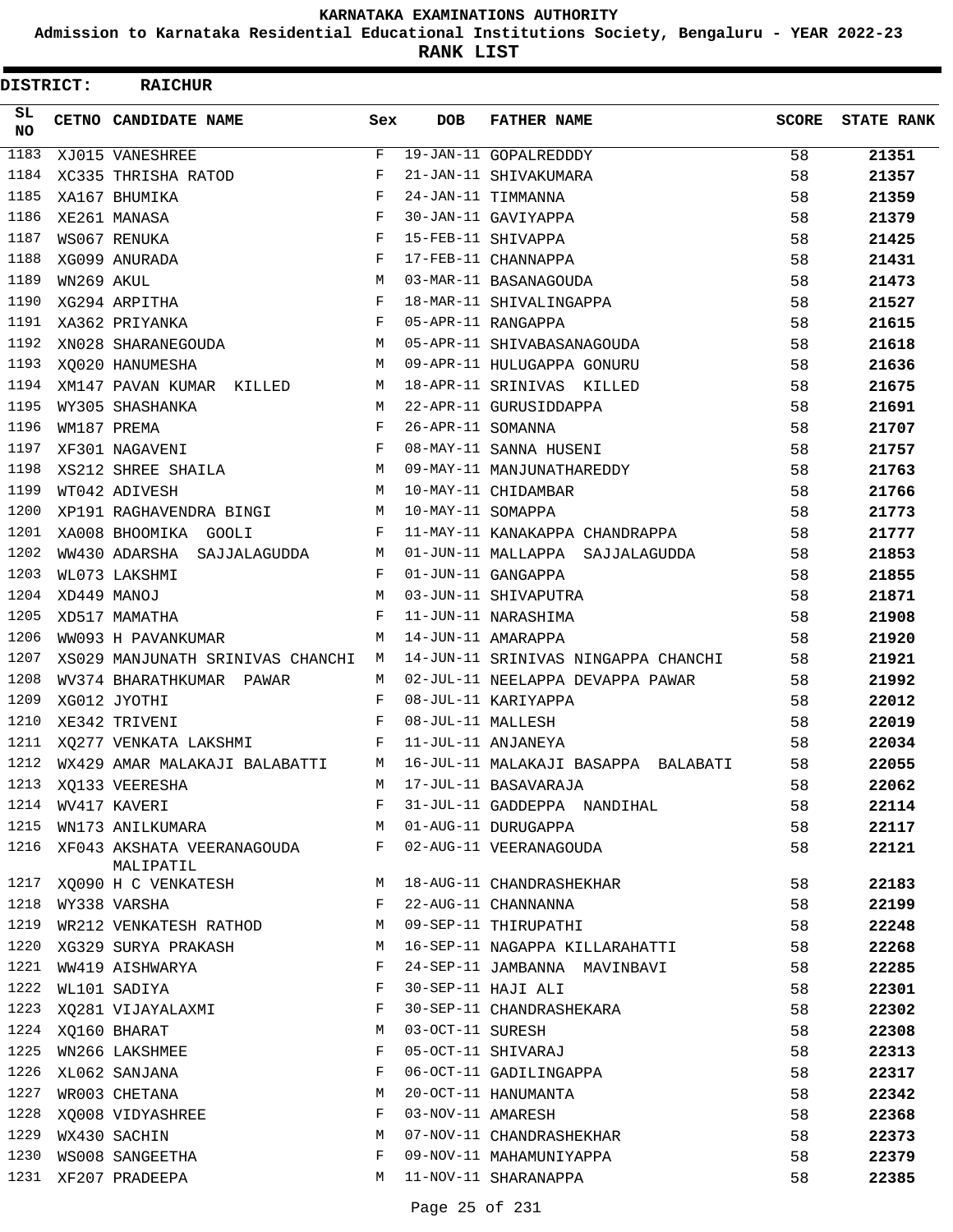**Admission to Karnataka Residential Educational Institutions Society, Bengaluru - YEAR 2022-23**

| <b>DISTRICT:</b> |            | <b>RAICHUR</b>                     |              |                   |                                     |              |                   |
|------------------|------------|------------------------------------|--------------|-------------------|-------------------------------------|--------------|-------------------|
| SL.<br><b>NO</b> |            | CETNO CANDIDATE NAME               | Sex          | <b>DOB</b>        | <b>FATHER NAME</b>                  | <b>SCORE</b> | <b>STATE RANK</b> |
| 1183             |            | XJ015 VANESHREE                    | F            |                   | 19-JAN-11 GOPALREDDDY               | 58           | 21351             |
| 1184             |            | XC335 THRISHA RATOD                | F            |                   | 21-JAN-11 SHIVAKUMARA               | 58           | 21357             |
| 1185             |            | XA167 BHUMIKA                      | F            |                   | 24-JAN-11 TIMMANNA                  | 58           | 21359             |
| 1186             |            | XE261 MANASA                       | $_{\rm F}$   |                   | 30-JAN-11 GAVIYAPPA                 | 58           | 21379             |
| 1187             |            | WS067 RENUKA                       | $_{\rm F}$   |                   | 15-FEB-11 SHIVAPPA                  | 58           | 21425             |
| 1188             |            | XG099 ANURADA                      | $_{\rm F}$   |                   | 17-FEB-11 CHANNAPPA                 | 58           | 21431             |
| 1189             | WN269 AKUL |                                    | M            |                   | 03-MAR-11 BASANAGOUDA               | 58           | 21473             |
| 1190             |            | XG294 ARPITHA                      | F            |                   | 18-MAR-11 SHIVALINGAPPA             | 58           | 21527             |
| 1191             |            | XA362 PRIYANKA                     | $_{\rm F}$   |                   | 05-APR-11 RANGAPPA                  | 58           | 21615             |
| 1192             |            | $\mathbf{M}$<br>XN028 SHARANEGOUDA |              |                   | 05-APR-11 SHIVABASANAGOUDA          | 58           | 21618             |
| 1193             |            | XO020 HANUMESHA                    | M            |                   | 09-APR-11 HULUGAPPA GONURU          | 58           | 21636             |
| 1194             |            | XM147 PAVAN KUMAR KILLED           | M            |                   | 18-APR-11 SRINIVAS KILLED           | 58           | 21675             |
| 1195             |            | WY305 SHASHANKA                    | M            |                   | 22-APR-11 GURUSIDDAPPA              | 58           | 21691             |
| 1196             |            | WM187 PREMA                        | F            | 26-APR-11 SOMANNA |                                     | 58           | 21707             |
| 1197             |            | XF301 NAGAVENI                     | $_{\rm F}$   |                   | 08-MAY-11 SANNA HUSENI              | 58           | 21757             |
| 1198             |            | XS212 SHREE SHAILA                 | М            |                   | 09-MAY-11 MANJUNATHAREDDY           | 58           | 21763             |
| 1199             |            | WT042 ADIVESH                      | M            |                   | 10-MAY-11 CHIDAMBAR                 | 58           | 21766             |
| 1200             |            | XP191 RAGHAVENDRA BINGI            | M            | 10-MAY-11 SOMAPPA |                                     | 58           | 21773             |
| 1201             |            | XA008 BHOOMIKA GOOLI               | F            |                   | 11-MAY-11 KANAKAPPA CHANDRAPPA      | 58           | 21777             |
| 1202             |            | WW430 ADARSHA SAJJALAGUDDA         | М            |                   | 01-JUN-11 MALLAPPA SAJJALAGUDDA     | 58           | 21853             |
| 1203             |            | WL073 LAKSHMI                      | F            |                   | 01-JUN-11 GANGAPPA                  | 58           | 21855             |
| 1204             |            | XD449 MANOJ                        | M            |                   | 03-JUN-11 SHIVAPUTRA                | 58           | 21871             |
| 1205             |            | XD517 MAMATHA                      | F            |                   | 11-JUN-11 NARASHIMA                 | 58           | 21908             |
| 1206             |            | WW093 H PAVANKUMAR                 | M            |                   | 14-JUN-11 AMARAPPA                  | 58           | 21920             |
| 1207             |            | XS029 MANJUNATH SRINIVAS CHANCHI   | M            |                   | 14-JUN-11 SRINIVAS NINGAPPA CHANCHI | 58           | 21921             |
| 1208             |            | WV374 BHARATHKUMAR PAWAR           | M            |                   | 02-JUL-11 NEELAPPA DEVAPPA PAWAR    | 58           | 21992             |
| 1209             |            | XG012 JYOTHI                       | F            |                   | 08-JUL-11 KARIYAPPA                 | 58           | 22012             |
| 1210             |            | XE342 TRIVENI                      | F            | 08-JUL-11 MALLESH |                                     | 58           | 22019             |
| 1211             |            | XQ277 VENKATA LAKSHMI              | $\mathbf{F}$ |                   | 11-JUL-11 ANJANEYA                  | 58           | 22034             |
| 1212             |            | WX429 AMAR MALAKAJI BALABATTI      | М            |                   | 16-JUL-11 MALAKAJI BASAPPA BALABATI | 58           | 22055             |
|                  |            | 1213 XQ133 VEERESHA                | M            |                   | 17-JUL-11 BASAVARAJA                | 58           | 22062             |
|                  |            | 1214 WV417 KAVERI                  | F            |                   | 31-JUL-11 GADDEPPA NANDIHAL         | 58           | 22114             |
| 1215             |            | WN173 ANILKUMARA                   | M            |                   | 01-AUG-11 DURUGAPPA                 | 58           | 22117             |
| 1216             |            | XF043 AKSHATA VEERANAGOUDA         | F            |                   | 02-AUG-11 VEERANAGOUDA              | 58           | 22121             |
|                  |            | MALIPATIL                          |              |                   |                                     |              |                   |
| 1217             |            | XQ090 H C VENKATESH                | M            |                   | 18-AUG-11 CHANDRASHEKHAR            | 58           | 22183             |
| 1218             |            | WY338 VARSHA                       | F            |                   | 22-AUG-11 CHANNANNA                 | 58           | 22199             |
|                  |            | 1219 WR212 VENKATESH RATHOD        | M            |                   | 09-SEP-11 THIRUPATHI                | 58           | 22248             |
| 1220             |            | XG329 SURYA PRAKASH                | M            |                   | 16-SEP-11 NAGAPPA KILLARAHATTI      | 58           | 22268             |
| 1221             |            | WW419 AISHWARYA                    | F            |                   | 24-SEP-11 JAMBANNA MAVINBAVI        | 58           | 22285             |
| 1222             |            | WL101 SADIYA                       | F            |                   | 30-SEP-11 HAJI ALI                  | 58           | 22301             |
| 1223             |            | XQ281 VIJAYALAXMI                  | F            |                   | 30-SEP-11 CHANDRASHEKARA            | 58           | 22302             |
| 1224             |            | XQ160 BHARAT                       | M            | 03-OCT-11 SURESH  |                                     | 58           | 22308             |
| 1225             |            | WN266 LAKSHMEE                     | F            |                   | 05-OCT-11 SHIVARAJ                  | 58           | 22313             |
| 1226             |            | XL062 SANJANA                      | F            |                   | 06-OCT-11 GADILINGAPPA              | 58           | 22317             |
| 1227             |            | WR003 CHETANA                      | M            |                   | 20-OCT-11 HANUMANTA                 | 58           | 22342             |
| 1228             |            | XQ008 VIDYASHREE                   | F            |                   | 03-NOV-11 AMARESH                   | 58           | 22368             |
| 1229             |            | WX430 SACHIN                       | M            |                   | 07-NOV-11 CHANDRASHEKHAR            | 58           | 22373             |
| 1230             |            | WS008 SANGEETHA                    | F            |                   | 09-NOV-11 MAHAMUNIYAPPA             | 58           | 22379             |
| 1231             |            | XF207 PRADEEPA                     | М            |                   | 11-NOV-11 SHARANAPPA                | 58           | 22385             |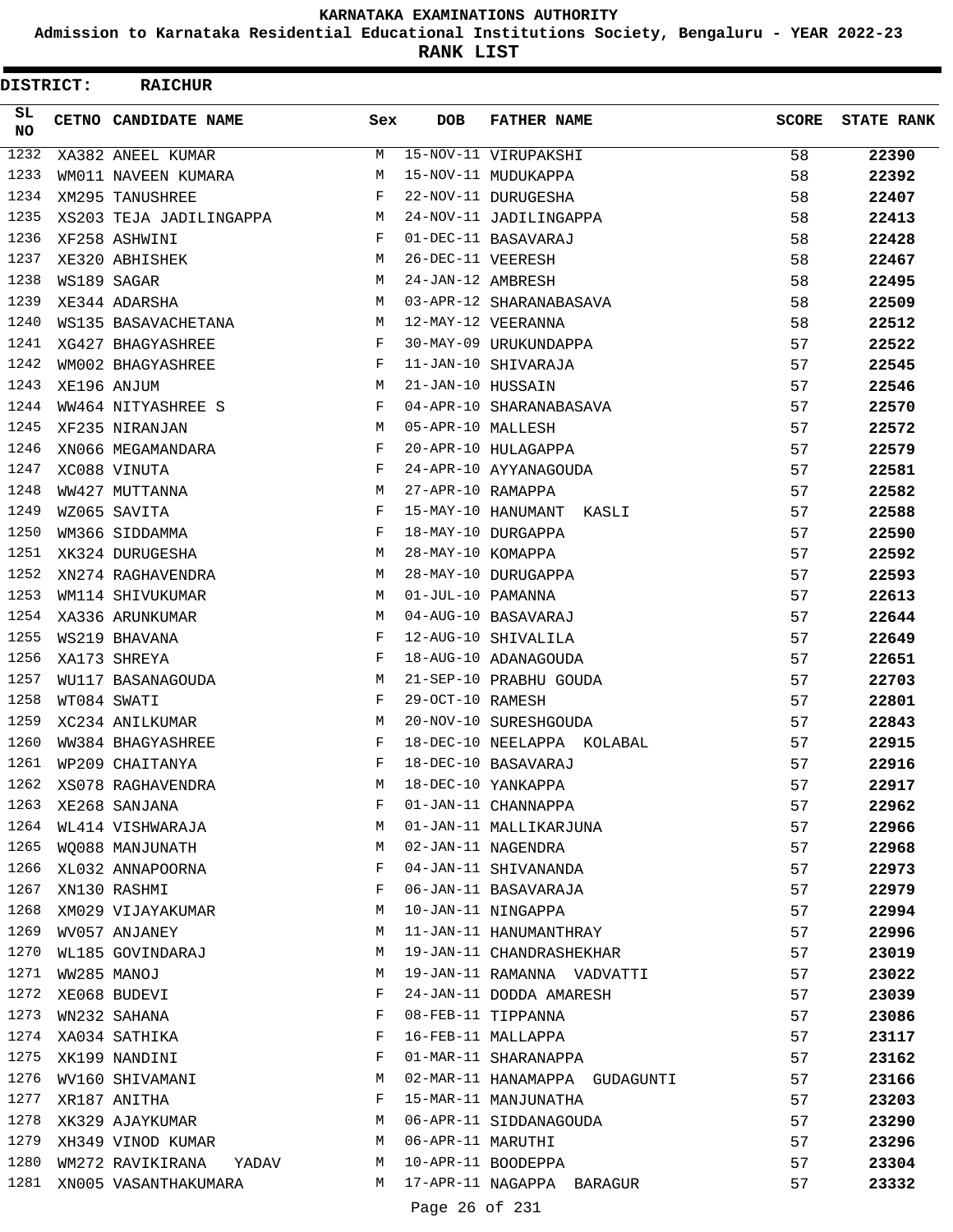**Admission to Karnataka Residential Educational Institutions Society, Bengaluru - YEAR 2022-23**

| DISTRICT:        | <b>RAICHUR</b>            |     |                   |                               |              |                   |
|------------------|---------------------------|-----|-------------------|-------------------------------|--------------|-------------------|
| SL.<br><b>NO</b> | CETNO CANDIDATE NAME      | Sex | <b>DOB</b>        | <b>FATHER NAME</b>            | <b>SCORE</b> | <b>STATE RANK</b> |
| 1232             | XA382 ANEEL KUMAR         | М   |                   | 15-NOV-11 VIRUPAKSHI          | 58           | 22390             |
| 1233             | WM011 NAVEEN KUMARA       | М   |                   | 15-NOV-11 MUDUKAPPA           | 58           | 22392             |
| 1234             | XM295 TANUSHREE           | F   |                   | 22-NOV-11 DURUGESHA           | 58           | 22407             |
| 1235             | XS203 TEJA JADILINGAPPA   | М   |                   | 24-NOV-11 JADILINGAPPA        | 58           | 22413             |
| 1236             | XF258 ASHWINI             | F   |                   | 01-DEC-11 BASAVARAJ           | 58           | 22428             |
| 1237             | XE320 ABHISHEK            | М   | 26-DEC-11 VEERESH |                               | 58           | 22467             |
| 1238             | WS189 SAGAR               | М   | 24-JAN-12 AMBRESH |                               | 58           | 22495             |
| 1239             | XE344 ADARSHA             | M   |                   | 03-APR-12 SHARANABASAVA       | 58           | 22509             |
| 1240             | WS135 BASAVACHETANA       | M   |                   | 12-MAY-12 VEERANNA            | 58           | 22512             |
| 1241             | XG427 BHAGYASHREE         | F   |                   | 30-MAY-09 URUKUNDAPPA         | 57           | 22522             |
| 1242             | WM002 BHAGYASHREE         | F   |                   | 11-JAN-10 SHIVARAJA           | 57           | 22545             |
| 1243             | XE196 ANJUM               | М   | 21-JAN-10 HUSSAIN |                               | 57           | 22546             |
| 1244             | WW464 NITYASHREE S        | F   |                   | 04-APR-10 SHARANABASAVA       | 57           | 22570             |
| 1245             | XF235 NIRANJAN            | М   | 05-APR-10 MALLESH |                               | 57           | 22572             |
| 1246             | XN066 MEGAMANDARA         | F   |                   | 20-APR-10 HULAGAPPA           | 57           | 22579             |
| 1247             | XC088 VINUTA              | F   |                   | 24-APR-10 AYYANAGOUDA         | 57           | 22581             |
| 1248             | WW427 MUTTANNA            | M   | 27-APR-10 RAMAPPA |                               | 57           | 22582             |
| 1249             | WZ065 SAVITA              | F   |                   | 15-MAY-10 HANUMANT<br>KASLI   | 57           | 22588             |
| 1250             | WM366 SIDDAMMA            | F   |                   | 18-MAY-10 DURGAPPA            | 57           | 22590             |
| 1251             | XK324 DURUGESHA           | М   | 28-MAY-10 KOMAPPA |                               | 57           | 22592             |
| 1252             | XN274 RAGHAVENDRA         | M   |                   | 28-MAY-10 DURUGAPPA           | 57           | 22593             |
| 1253             | WM114 SHIVUKUMAR          | М   | 01-JUL-10 PAMANNA |                               | 57           | 22613             |
| 1254             | XA336 ARUNKUMAR           | M   |                   | 04-AUG-10 BASAVARAJ           | 57           | 22644             |
| 1255             | WS219 BHAVANA             | F   |                   | 12-AUG-10 SHIVALILA           | 57           | 22649             |
| 1256             | XA173 SHREYA              | F   |                   | 18-AUG-10 ADANAGOUDA          | 57           | 22651             |
| 1257             | WU117 BASANAGOUDA         | М   |                   | 21-SEP-10 PRABHU GOUDA        | 57           | 22703             |
| 1258             | WT084 SWATI               | F   | 29-OCT-10 RAMESH  |                               | 57           | 22801             |
| 1259             | XC234 ANILKUMAR           | М   |                   | 20-NOV-10 SURESHGOUDA         | 57           | 22843             |
| 1260             | WW384 BHAGYASHREE         | F   |                   | 18-DEC-10 NEELAPPA KOLABAL    | 57           | 22915             |
| 1261             | WP209 CHAITANYA           |     |                   | 18-DEC-10 BASAVARAJ           | 57           | 22916             |
| 1262             | XS078 RAGHAVENDRA         | М   |                   | 18-DEC-10 YANKAPPA            | 57           | 22917             |
| 1263             | XE268 SANJANA             | F   |                   | 01-JAN-11 CHANNAPPA           | 57           | 22962             |
| 1264             | WL414 VISHWARAJA          | М   |                   |                               | 57           |                   |
| 1265             |                           | М   |                   | 01-JAN-11 MALLIKARJUNA        |              | 22966             |
| 1266             | WO088 MANJUNATH           | F   |                   | 02-JAN-11 NAGENDRA            | 57           | 22968             |
| 1267             | XL032 ANNAPOORNA          |     |                   | 04-JAN-11 SHIVANANDA          | 57           | 22973             |
| 1268             | XN130 RASHMI              | F   |                   | 06-JAN-11 BASAVARAJA          | 57           | 22979             |
| 1269             | XM029 VIJAYAKUMAR         | М   |                   | 10-JAN-11 NINGAPPA            | 57           | 22994             |
|                  | WV057 ANJANEY             | М   |                   | 11-JAN-11 HANUMANTHRAY        | 57           | 22996             |
| 1270             | WL185 GOVINDARAJ          | М   |                   | 19-JAN-11 CHANDRASHEKHAR      | 57           | 23019             |
| 1271             | WW285 MANOJ               | М   |                   | 19-JAN-11 RAMANNA VADVATTI    | 57           | 23022             |
| 1272             | XE068 BUDEVI              | F   |                   | 24-JAN-11 DODDA AMARESH       | 57           | 23039             |
| 1273             | WN232 SAHANA              | F   |                   | 08-FEB-11 TIPPANNA            | 57           | 23086             |
| 1274             | XA034 SATHIKA             | F   |                   | 16-FEB-11 MALLAPPA            | 57           | 23117             |
| 1275             | XK199 NANDINI             | F   |                   | 01-MAR-11 SHARANAPPA          | 57           | 23162             |
| 1276             | WV160 SHIVAMANI           | М   |                   | 02-MAR-11 HANAMAPPA GUDAGUNTI | 57           | 23166             |
| 1277             | XR187 ANITHA              | F   |                   | 15-MAR-11 MANJUNATHA          | 57           | 23203             |
| 1278             | XK329 AJAYKUMAR           | М   |                   | 06-APR-11 SIDDANAGOUDA        | 57           | 23290             |
| 1279             | XH349 VINOD KUMAR         | M   | 06-APR-11 MARUTHI |                               | 57           | 23296             |
| 1280             | WM272 RAVIKIRANA<br>YADAV | M   |                   | 10-APR-11 BOODEPPA            | 57           | 23304             |
| 1281             | XN005 VASANTHAKUMARA      | M   |                   | 17-APR-11 NAGAPPA BARAGUR     | 57           | 23332             |
|                  |                           |     | Page 26 of 231    |                               |              |                   |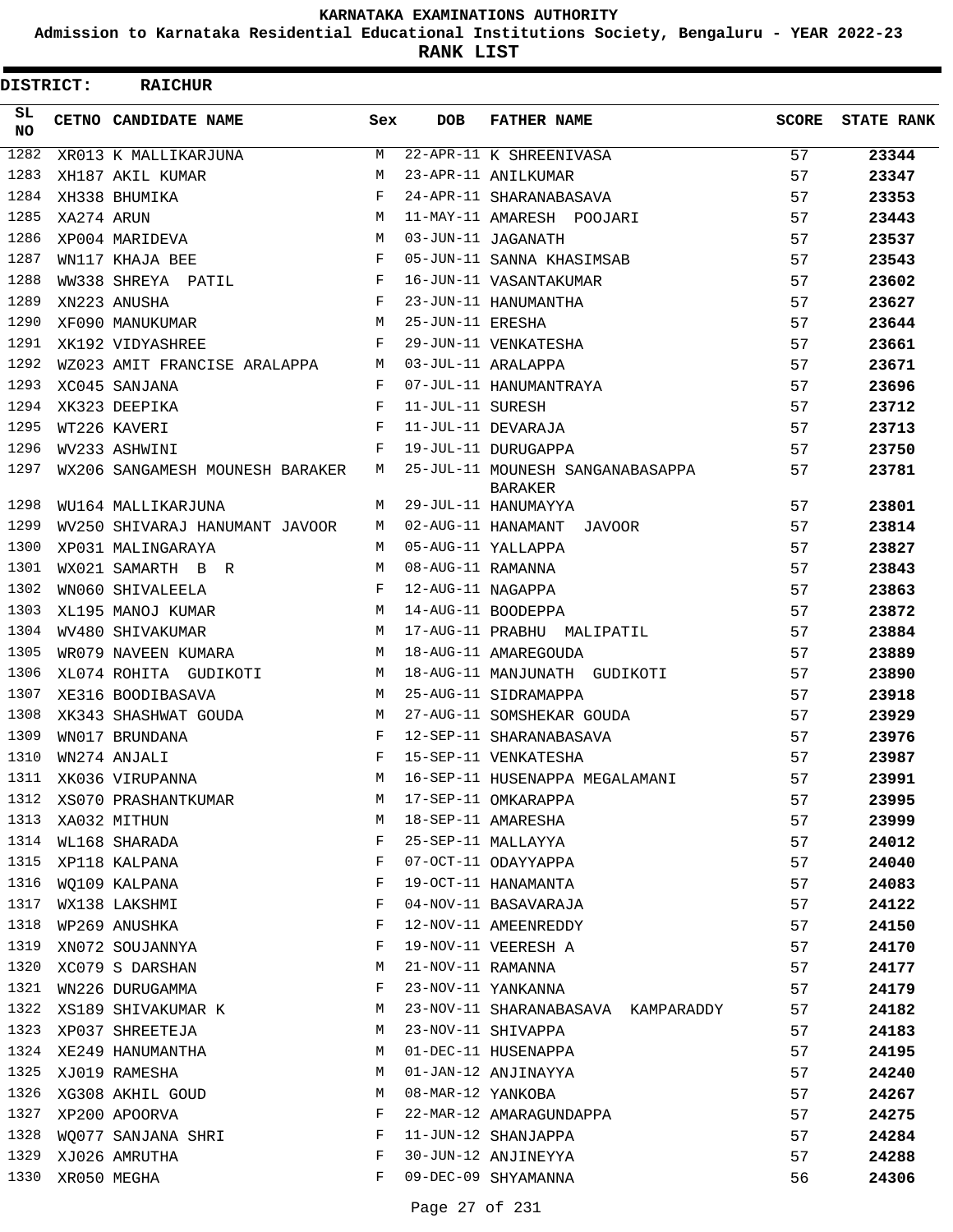**Admission to Karnataka Residential Educational Institutions Society, Bengaluru - YEAR 2022-23**

**RANK LIST**

| DISTRICT:  |            | <b>RAICHUR</b>                  |            |                   |                                                    |              |                   |
|------------|------------|---------------------------------|------------|-------------------|----------------------------------------------------|--------------|-------------------|
| SL.<br>NO. |            | CETNO CANDIDATE NAME            | Sex        | <b>DOB</b>        | <b>FATHER NAME</b>                                 | <b>SCORE</b> | <b>STATE RANK</b> |
| 1282       |            | XR013 K MALLIKARJUNA            | M          |                   | 22-APR-11 K SHREENIVASA                            | 57           | 23344             |
| 1283       |            | XH187 AKIL KUMAR                | M          |                   | 23-APR-11 ANILKUMAR                                | 57           | 23347             |
| 1284       |            | XH338 BHUMIKA                   | F          |                   | 24-APR-11 SHARANABASAVA                            | 57           | 23353             |
| 1285       | XA274 ARUN |                                 | M          |                   | 11-MAY-11 AMARESH POOJARI                          | 57           | 23443             |
| 1286       |            | XP004 MARIDEVA                  | M          |                   | 03-JUN-11 JAGANATH                                 | 57           | 23537             |
| 1287       |            | WN117 KHAJA BEE                 | $_{\rm F}$ |                   | 05-JUN-11 SANNA KHASIMSAB                          | 57           | 23543             |
| 1288       |            | WW338 SHREYA PATIL              | F          |                   | 16-JUN-11 VASANTAKUMAR                             | 57           | 23602             |
| 1289       |            | XN223 ANUSHA                    | F          |                   | 23-JUN-11 HANUMANTHA                               | 57           | 23627             |
| 1290       |            | XF090 MANUKUMAR                 | M          | 25-JUN-11 ERESHA  |                                                    | 57           | 23644             |
| 1291       |            | XK192 VIDYASHREE                | F          |                   | 29-JUN-11 VENKATESHA                               | 57           | 23661             |
| 1292       |            | WZ023 AMIT FRANCISE ARALAPPA    | M          |                   | 03-JUL-11 ARALAPPA                                 | 57           | 23671             |
| 1293       |            | XC045 SANJANA                   | F          |                   | 07-JUL-11 HANUMANTRAYA                             | 57           | 23696             |
| 1294       |            | XK323 DEEPIKA                   | F          | 11-JUL-11 SURESH  |                                                    | 57           | 23712             |
| 1295       |            | WT226 KAVERI                    | F          |                   | 11-JUL-11 DEVARAJA                                 | 57           | 23713             |
| 1296       |            | WV233 ASHWINI                   | F          |                   | 19-JUL-11 DURUGAPPA                                | 57           | 23750             |
| 1297       |            | WX206 SANGAMESH MOUNESH BARAKER | M          |                   | 25-JUL-11 MOUNESH SANGANABASAPPA<br><b>BARAKER</b> | 57           | 23781             |
| 1298       |            | WU164 MALLIKARJUNA              | M          |                   | 29-JUL-11 HANUMAYYA                                | 57           | 23801             |
| 1299       |            | WV250 SHIVARAJ HANUMANT JAVOOR  | M          |                   | 02-AUG-11 HANAMANT JAVOOR                          | 57           | 23814             |
| 1300       |            | XP031 MALINGARAYA               | M          |                   | 05-AUG-11 YALLAPPA                                 | 57           | 23827             |
| 1301       |            | WX021 SAMARTH B R               | M          | 08-AUG-11 RAMANNA |                                                    | 57           | 23843             |
| 1302       |            | WN060 SHIVALEELA                | F          | 12-AUG-11 NAGAPPA |                                                    | 57           | 23863             |
| 1303       |            | XL195 MANOJ KUMAR               | M          |                   | 14-AUG-11 BOODEPPA                                 | 57           | 23872             |
| 1304       |            | WV480 SHIVAKUMAR                | M          |                   | 17-AUG-11 PRABHU MALIPATIL                         | 57           | 23884             |
| 1305       |            | WR079 NAVEEN KUMARA             | M          |                   | 18-AUG-11 AMAREGOUDA                               | 57           | 23889             |
| 1306       |            | XL074 ROHITA GUDIKOTI           | M          |                   | 18-AUG-11 MANJUNATH GUDIKOTI                       | 57           | 23890             |
| 1307       |            | XE316 BOODIBASAVA               | M          |                   | 25-AUG-11 SIDRAMAPPA                               | 57           | 23918             |
| 1308       |            | XK343 SHASHWAT GOUDA            | M          |                   | 27-AUG-11 SOMSHEKAR GOUDA                          | 57           | 23929             |
| 1309       |            | WN017 BRUNDANA                  | $_{\rm F}$ |                   | 12-SEP-11 SHARANABASAVA                            | 57           | 23976             |
| 1310       |            | WN274 ANJALI                    | F          |                   | 15-SEP-11 VENKATESHA                               | 57           | 23987             |
| 1311       |            | XK036 VIRUPANNA                 | М          |                   | 16-SEP-11 HUSENAPPA MEGALAMANI                     | 57           | 23991             |
| 1312       |            | XS070 PRASHANTKUMAR             | М          |                   | 17-SEP-11 OMKARAPPA                                | 57           | 23995             |
| 1313       |            | XA032 MITHUN                    | M          |                   | 18-SEP-11 AMARESHA                                 | 57           | 23999             |
| 1314       |            | WL168 SHARADA                   | F          |                   | 25-SEP-11 MALLAYYA                                 | 57           | 24012             |
| 1315       |            | XP118 KALPANA                   | F          |                   | 07-OCT-11 ODAYYAPPA                                | 57           | 24040             |
| 1316       |            | WQ109 KALPANA                   | F          |                   | 19-OCT-11 HANAMANTA                                | 57           | 24083             |
| 1317       |            | WX138 LAKSHMI                   | F          |                   | 04-NOV-11 BASAVARAJA                               | 57           | 24122             |
| 1318       |            | WP269 ANUSHKA                   | F          |                   | 12-NOV-11 AMEENREDDY                               | 57           | 24150             |
| 1319       |            | XN072 SOUJANNYA                 | F          |                   | 19-NOV-11 VEERESH A                                | 57           | 24170             |
| 1320       |            | XC079 S DARSHAN                 | М          | 21-NOV-11 RAMANNA |                                                    | 57           | 24177             |
| 1321       |            | WN226 DURUGAMMA                 | F          |                   | 23-NOV-11 YANKANNA                                 | 57           | 24179             |
| 1322       |            | XS189 SHIVAKUMAR K              | M          |                   | 23-NOV-11 SHARANABASAVA KAMPARADDY                 | 57           | 24182             |
| 1323       |            | XP037 SHREETEJA                 | M          |                   | 23-NOV-11 SHIVAPPA                                 | 57           | 24183             |
| 1324       |            | XE249 HANUMANTHA                | M          |                   | 01-DEC-11 HUSENAPPA                                | 57           | 24195             |
| 1325       |            | XJ019 RAMESHA                   | M          |                   | 01-JAN-12 ANJINAYYA                                | 57           | 24240             |
| 1326       |            | XG308 AKHIL GOUD                | М          | 08-MAR-12 YANKOBA |                                                    | 57           | 24267             |
| 1327       |            | XP200 APOORVA                   | F          |                   | 22-MAR-12 AMARAGUNDAPPA                            | 57           | 24275             |
| 1328       |            | WO077 SANJANA SHRI              | F          |                   | 11-JUN-12 SHANJAPPA                                | 57           | 24284             |
| 1329       |            | XJ026 AMRUTHA                   | F          |                   | 30-JUN-12 ANJINEYYA                                | 57           | 24288             |
| 1330       |            | XR050 MEGHA                     | F          |                   | 09-DEC-09 SHYAMANNA                                | 56           | 24306             |
|            |            |                                 |            |                   |                                                    |              |                   |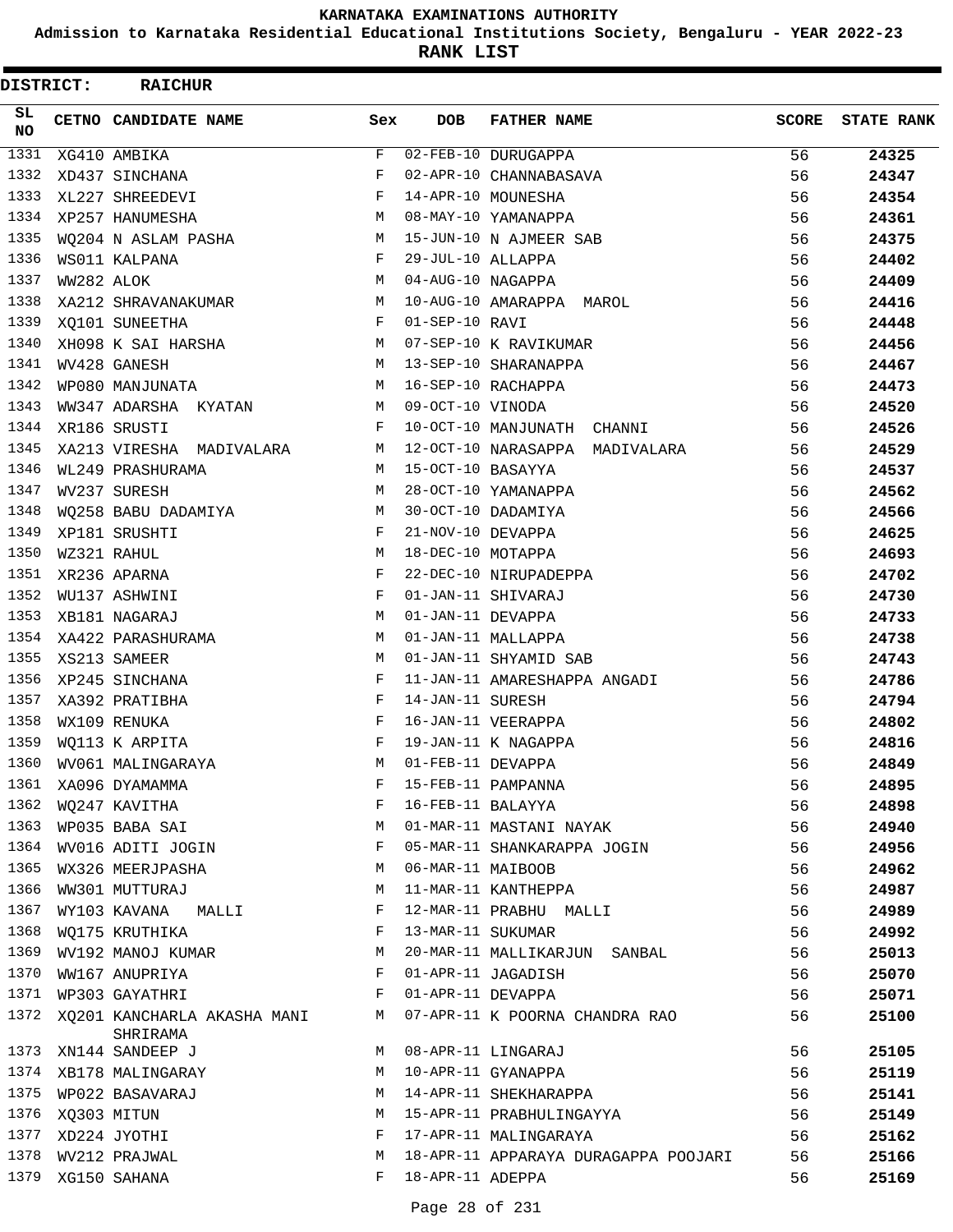**Admission to Karnataka Residential Educational Institutions Society, Bengaluru - YEAR 2022-23**

| DISTRICT:        |            | <b>RAICHUR</b>                            |     |                    |                                                      |              |                   |
|------------------|------------|-------------------------------------------|-----|--------------------|------------------------------------------------------|--------------|-------------------|
| SL.<br><b>NO</b> |            | CETNO CANDIDATE NAME                      | Sex | <b>DOB</b>         | <b>FATHER NAME</b>                                   | <b>SCORE</b> | <b>STATE RANK</b> |
| 1331             |            | XG410 AMBIKA                              | F   |                    | 02-FEB-10 DURUGAPPA                                  | 56           | 24325             |
| 1332             |            | XD437 SINCHANA                            | F   |                    | 02-APR-10 CHANNABASAVA                               | 56           | 24347             |
| 1333             |            | XL227 SHREEDEVI                           | F   |                    | 14-APR-10 MOUNESHA                                   | 56           | 24354             |
| 1334             |            | XP257 HANUMESHA                           | M   |                    | 08-MAY-10 YAMANAPPA                                  | 56           | 24361             |
| 1335             |            | WQ204 N ASLAM PASHA                       | M   |                    | 15-JUN-10 N AJMEER SAB                               | 56           | 24375             |
| 1336             |            | WS011 KALPANA                             | F   | 29-JUL-10 ALLAPPA  |                                                      | 56           | 24402             |
| 1337             | WW282 ALOK |                                           | M   | 04-AUG-10 NAGAPPA  |                                                      | 56           | 24409             |
| 1338             |            | XA212 SHRAVANAKUMAR                       | М   |                    | 10-AUG-10 AMARAPPA MAROL                             | 56           | 24416             |
| 1339             |            | XQ101 SUNEETHA                            | F   | 01-SEP-10 RAVI     |                                                      | 56           | 24448             |
| 1340             |            | XH098 K SAI HARSHA                        | M   |                    | 07-SEP-10 K RAVIKUMAR                                | 56           | 24456             |
| 1341             |            | WV428 GANESH                              | M   |                    | 13-SEP-10 SHARANAPPA                                 | 56           | 24467             |
| 1342             |            | WP080 MANJUNATA                           | M   | 16-SEP-10 RACHAPPA |                                                      | 56           | 24473             |
| 1343             |            | WW347 ADARSHA KYATAN                      | M   | 09-OCT-10 VINODA   |                                                      | 56           | 24520             |
| 1344             |            | XR186 SRUSTI                              | F   |                    | 10-OCT-10 MANJUNATH CHANNI                           | 56           | 24526             |
| 1345             |            | XA213 VIRESHA MADIVALARA                  | M   |                    | 12-OCT-10 NARASAPPA MADIVALARA                       | 56           | 24529             |
| 1346             |            | WL249 PRASHURAMA                          | M   | 15-OCT-10 BASAYYA  |                                                      | 56           | 24537             |
| 1347             |            | WV237 SURESH                              | M   |                    | 28-OCT-10 YAMANAPPA                                  | 56           | 24562             |
| 1348             |            | WQ258 BABU DADAMIYA                       | M   |                    | 30-OCT-10 DADAMIYA                                   | 56           | 24566             |
| 1349             |            | XP181 SRUSHTI                             | F   | 21-NOV-10 DEVAPPA  |                                                      | 56           | 24625             |
| 1350             |            | WZ321 RAHUL                               | M   | 18-DEC-10 MOTAPPA  |                                                      | 56           | 24693             |
| 1351             |            | XR236 APARNA                              | F   |                    | 22-DEC-10 NIRUPADEPPA                                | 56           | 24702             |
| 1352             |            | WU137 ASHWINI                             | F   |                    | 01-JAN-11 SHIVARAJ                                   | 56           | 24730             |
| 1353             |            | XB181 NAGARAJ                             | M   | 01-JAN-11 DEVAPPA  |                                                      | 56           | 24733             |
| 1354             |            | XA422 PARASHURAMA                         | M   |                    | 01-JAN-11 MALLAPPA                                   | 56           | 24738             |
| 1355             |            | XS213 SAMEER                              | M   |                    | 01-JAN-11 SHYAMID SAB                                | 56           | 24743             |
| 1356             |            | XP245 SINCHANA                            | F   |                    | 11-JAN-11 AMARESHAPPA ANGADI                         | 56           | 24786             |
| 1357             |            | XA392 PRATIBHA                            | F   | 14-JAN-11 SURESH   |                                                      | 56           | 24794             |
| 1358             |            | WX109 RENUKA                              | F   |                    | 16-JAN-11 VEERAPPA                                   | 56           | 24802             |
| 1359             |            | WQ113 K ARPITA                            | F   |                    | 19-JAN-11 K NAGAPPA                                  | 56           | 24816             |
| 1360             |            | WV061 MALINGARAYA                         | М   | 01-FEB-11 DEVAPPA  |                                                      | 56           | 24849             |
| 1361             |            | XA096 DYAMAMMA                            | F   |                    | 15-FEB-11 PAMPANNA                                   | 56           | 24895             |
| 1362             |            | WQ247 KAVITHA                             | F   | 16-FEB-11 BALAYYA  |                                                      | 56           | 24898             |
| 1363             |            | WP035 BABA SAI                            | М   |                    | 01-MAR-11 MASTANI NAYAK                              | 56           | 24940             |
| 1364             |            | WV016 ADITI JOGIN                         | F   |                    | 05-MAR-11 SHANKARAPPA JOGIN                          | 56           | 24956             |
| 1365             |            | WX326 MEERJPASHA                          | M   | 06-MAR-11 MAIBOOB  |                                                      | 56           | 24962             |
| 1366             |            | WW301 MUTTURAJ                            | M   |                    | 11-MAR-11 KANTHEPPA                                  | 56           | 24987             |
| 1367             |            | WY103 KAVANA<br><b>MALLI</b>              | F   |                    | 12-MAR-11 PRABHU MALLI                               | 56           | 24989             |
| 1368             |            | WQ175 KRUTHIKA                            | F   | 13-MAR-11 SUKUMAR  |                                                      | 56           | 24992             |
| 1369             |            |                                           | М   |                    | 20-MAR-11 MALLIKARJUN SANBAL                         | 56           | 25013             |
| 1370             |            | WV192 MANOJ KUMAR<br>WW167 ANUPRIYA       | F   |                    | 01-APR-11 JAGADISH                                   | 56           |                   |
| 1371             |            | WP303 GAYATHRI                            | F   | 01-APR-11 DEVAPPA  |                                                      |              | 25070             |
| 1372             |            |                                           |     |                    |                                                      | 56           | 25071             |
| 1373             |            | XQ201 KANCHARLA AKASHA MANI M<br>SHRIRAMA | M   |                    | 07-APR-11 K POORNA CHANDRA RAO<br>08-APR-11 LINGARAJ | 56           | 25100             |
| 1374             |            | XN144 SANDEEP J                           |     |                    |                                                      | 56           | 25105             |
|                  |            | XB178 MALINGARAY                          | M   |                    | 10-APR-11 GYANAPPA                                   | 56           | 25119             |
|                  |            | 1375 WP022 BASAVARAJ                      | M   |                    | 14-APR-11 SHEKHARAPPA                                | 56           | 25141             |
| 1376             |            | XQ303 MITUN                               | M   |                    | 15-APR-11 PRABHULINGAYYA                             | 56           | 25149             |
| 1377             |            | XD224 JYOTHI                              | F   |                    | 17-APR-11 MALINGARAYA                                | 56           | 25162             |
| 1378             |            | WV212 PRAJWAL                             | М   |                    | 18-APR-11 APPARAYA DURAGAPPA POOJARI                 | 56           | 25166             |
| 1379             |            | XG150 SAHANA                              | F   | 18-APR-11 ADEPPA   |                                                      | 56           | 25169             |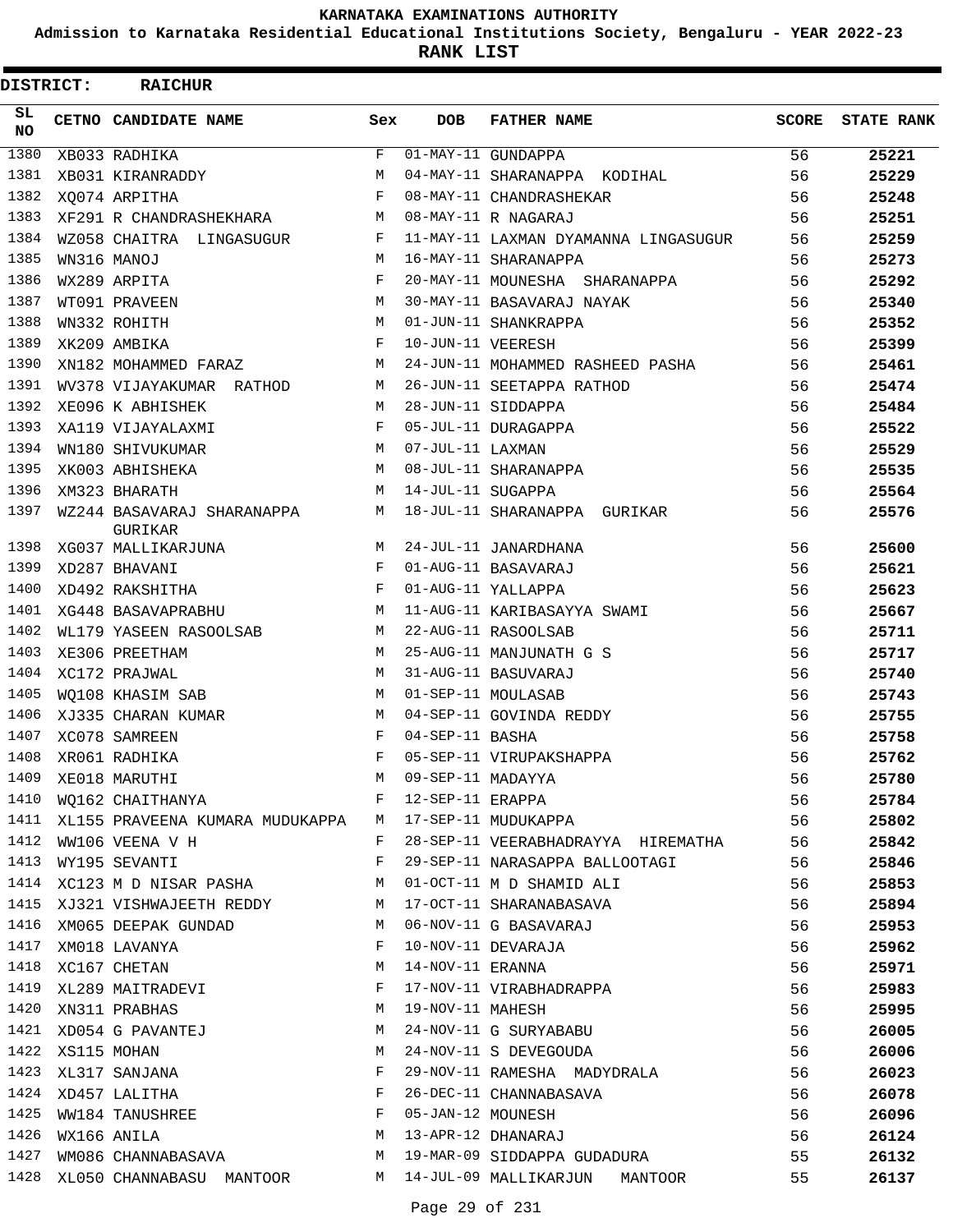**Admission to Karnataka Residential Educational Institutions Society, Bengaluru - YEAR 2022-23**

**RANK LIST**

| DISTRICT: | <b>RAICHUR</b>                                                   |     |                   |                                                              |       |                   |
|-----------|------------------------------------------------------------------|-----|-------------------|--------------------------------------------------------------|-------|-------------------|
| SL<br>NO. | CETNO CANDIDATE NAME                                             | Sex | <b>DOB</b>        | <b>FATHER NAME</b>                                           | SCORE | <b>STATE RANK</b> |
| 1380      | XB033 RADHIKA                                                    | F   |                   | 01-MAY-11 GUNDAPPA                                           | 56    | 25221             |
| 1381      | XB031 KIRANRADDY                                                 | M   |                   | 04-MAY-11 SHARANAPPA KODIHAL                                 | 56    | 25229             |
| 1382      | XO074 ARPITHA                                                    | F   |                   | 08-MAY-11 CHANDRASHEKAR                                      | 56    | 25248             |
| 1383      | XF291 R CHANDRASHEKHARA                                          | М   |                   | 08-MAY-11 R NAGARAJ                                          | 56    | 25251             |
| 1384      | WZ058 CHAITRA LINGASUGUR                                         | F   |                   | 11-MAY-11 LAXMAN DYAMANNA LINGASUGUR                         | 56    | 25259             |
| 1385      | WN316 MANOJ                                                      | M   |                   | 16-MAY-11 SHARANAPPA                                         | 56    | 25273             |
| 1386      | WX289 ARPITA                                                     | F   |                   | 20-MAY-11 MOUNESHA SHARANAPPA                                | 56    | 25292             |
| 1387      | WT091 PRAVEEN                                                    | M   |                   | 30-MAY-11 BASAVARAJ NAYAK                                    | 56    | 25340             |
| 1388      | WN332 ROHITH                                                     | M   |                   | 01-JUN-11 SHANKRAPPA                                         | 56    | 25352             |
| 1389      | XK209 AMBIKA                                                     | F   | 10-JUN-11 VEERESH |                                                              | 56    | 25399             |
| 1390      | XN182 MOHAMMED FARAZ                                             | M   |                   | 24-JUN-11 MOHAMMED RASHEED PASHA                             | 56    | 25461             |
| 1391      | WV378 VIJAYAKUMAR RATHOD                                         | М   |                   | 26-JUN-11 SEETAPPA RATHOD                                    | 56    | 25474             |
| 1392      | XE096 K ABHISHEK                                                 | M   |                   | 28-JUN-11 SIDDAPPA                                           | 56    | 25484             |
| 1393      | XA119 VIJAYALAXMI                                                | F   |                   | 05-JUL-11 DURAGAPPA                                          | 56    | 25522             |
| 1394      | WN180 SHIVUKUMAR                                                 | M   | 07-JUL-11 LAXMAN  |                                                              | 56    | 25529             |
| 1395      | XK003 ABHISHEKA                                                  | M   |                   | 08-JUL-11 SHARANAPPA                                         | 56    | 25535             |
| 1396      | XM323 BHARATH                                                    | M   | 14-JUL-11 SUGAPPA |                                                              | 56    | 25564             |
| 1397      | WZ244 BASAVARAJ SHARANAPPA<br>GURIKAR                            | М   |                   | 18-JUL-11 SHARANAPPA GURIKAR                                 | 56    | 25576             |
| 1398      | XG037 MALLIKARJUNA                                               | М   |                   | 24-JUL-11 JANARDHANA                                         | 56    | 25600             |
| 1399      | XD287 BHAVANI                                                    | F   |                   | 01-AUG-11 BASAVARAJ                                          | 56    | 25621             |
| 1400      | XD492 RAKSHITHA                                                  | F   |                   | 01-AUG-11 YALLAPPA                                           | 56    | 25623             |
| 1401      | XG448 BASAVAPRABHU                                               | M   |                   | 11-AUG-11 KARIBASAYYA SWAMI                                  | 56    | 25667             |
| 1402      | WL179 YASEEN RASOOLSAB                                           | М   |                   | 22-AUG-11 RASOOLSAB                                          | 56    | 25711             |
| 1403      | XE306 PREETHAM                                                   | M   |                   | 25-AUG-11 MANJUNATH G S                                      | 56    | 25717             |
| 1404      | XC172 PRAJWAL                                                    | M   |                   | 31-AUG-11 BASUVARAJ                                          | 56    | 25740             |
| 1405      | WO108 KHASIM SAB                                                 | М   |                   | 01-SEP-11 MOULASAB                                           | 56    | 25743             |
| 1406      | XJ335 CHARAN KUMAR                                               | М   |                   | 04-SEP-11 GOVINDA REDDY                                      | 56    | 25755             |
| 1407      | XC078 SAMREEN                                                    | F   | 04-SEP-11 BASHA   |                                                              | 56    | 25758             |
| 1408      | XR061 RADHIKA                                                    | F   |                   | 05-SEP-11 VIRUPAKSHAPPA                                      | 56    | 25762             |
| 1409      | XE018 MARUTHI                                                    | М   |                   |                                                              | 56    | 25780             |
| 1410      | WQ162 CHAITHANYA                                                 | F   |                   | 09-SEP-11 MADAYYA<br>12-SEP-11 ERAPPA<br>17-SEP-11 MUDUKAPPA | 56    | 25784             |
| 1411      | XL155 PRAVEENA KUMARA MUDUKAPPA M                                |     |                   |                                                              | 56    | 25802             |
| 1412      | WW106 VEENA V H                                                  | F   |                   | 28-SEP-11 VEERABHADRAYYA HIREMATHA                           | 56    | 25842             |
| 1413      | WY195 SEVANTI                                                    | F   |                   | 29-SEP-11 NARASAPPA BALLOOTAGI                               | 56    | 25846             |
| 1414      | XC123 M D NISAR PASHA M                                          |     |                   | 01-OCT-11 M D SHAMID ALI                                     | 56    | 25853             |
|           | 1415 XJ321 VISHWAJEETH REDDY M                                   |     |                   | 17-OCT-11 SHARANABASAVA<br>06-NOV-11 G BASAVARAJ             | 56    | 25894             |
| 1416      | XM065 DEEPAK GUNDAD                                              | M   |                   |                                                              | 56    | 25953             |
| 1417      | XM018 LAVANYA                                                    | F   |                   | 10-NOV-11 DEVARAJA                                           | 56    | 25962             |
| 1418      | XC167 CHETAN                                                     | М   |                   | 14-NOV-11 ERANNA                                             | 56    | 25971             |
| 1419      | XL289 MAITRADEVI                                                 | F   |                   | 17-NOV-11 VIRABHADRAPPA                                      | 56    | 25983             |
| 1420      | XN311 PRABHAS                                                    | М   | 19-NOV-11 MAHESH  |                                                              | 56    | 25995             |
| 1421      | XD054 G PAVANTEJ                                                 | М   |                   | 24-NOV-11 G SURYABABU                                        | 56    | 26005             |
| 1422      | XS115 MOHAN                                                      | М   |                   | 24-NOV-11 S DEVEGOUDA                                        | 56    | 26006             |
|           | 1423 XL317 SANJANA                                               | F   |                   | 29-NOV-11 RAMESHA MADYDRALA                                  | 56    | 26023             |
|           | 1424 XD457 LALITHA                                               | F   |                   | 26-DEC-11 CHANNABASAVA                                       | 56    | 26078             |
| 1425      | XLIIS MOMEN<br>XL317 SANJANA<br>XD457 LALITHA<br>WW184 TANUSHREE | F   |                   | 05-JAN-12 MOUNESH                                            | 56    | 26096             |
| 1426      | WX166 ANILA                                                      | М   |                   | 13-APR-12 DHANARAJ                                           | 56    | 26124             |
| 1427      | WM086 CHANNABASAVA M                                             |     |                   | 19-MAR-09 SIDDAPPA GUDADURA                                  | 55    | 26132             |
| 1428      |                                                                  |     |                   | XL050 CHANNABASU MANTOOR M 14-JUL-09 MALLIKARJUN MANTOOR     | 55    | 26137             |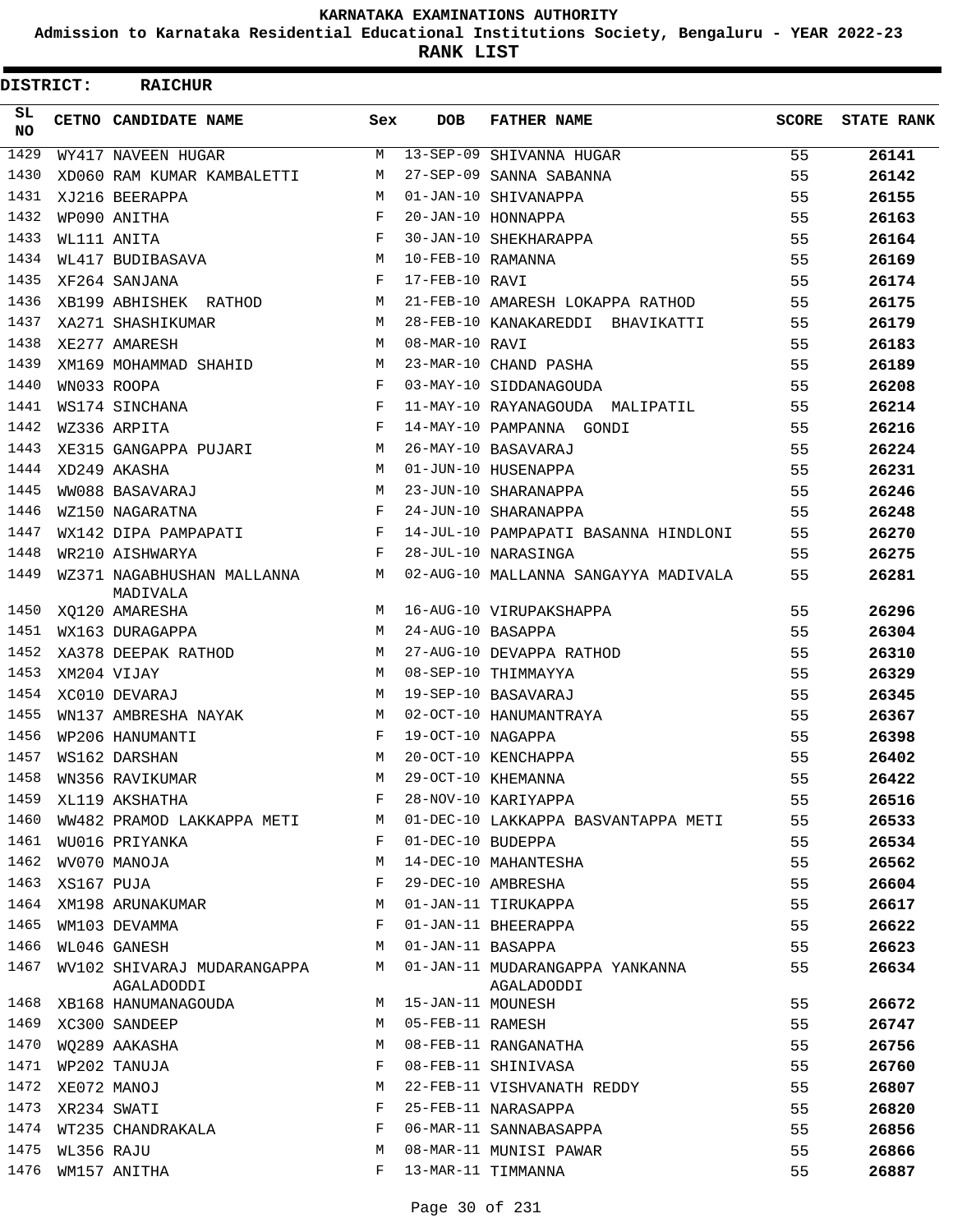**Admission to Karnataka Residential Educational Institutions Society, Bengaluru - YEAR 2022-23**

**RANK LIST**

| DISTRICT:  |            | <b>RAICHUR</b>                            |            |                   |                                               |              |                   |
|------------|------------|-------------------------------------------|------------|-------------------|-----------------------------------------------|--------------|-------------------|
| SL.<br>NO. |            | CETNO CANDIDATE NAME                      | Sex        | <b>DOB</b>        | <b>FATHER NAME</b>                            | <b>SCORE</b> | <b>STATE RANK</b> |
| 1429       |            | WY417 NAVEEN HUGAR                        | М          |                   | 13-SEP-09 SHIVANNA HUGAR                      | 55           | 26141             |
| 1430       |            | XD060 RAM KUMAR KAMBALETTI                | М          |                   | 27-SEP-09 SANNA SABANNA                       | 55           | 26142             |
| 1431       |            | XJ216 BEERAPPA                            | M          |                   | 01-JAN-10 SHIVANAPPA                          | 55           | 26155             |
| 1432       |            | WP090 ANITHA                              | F          |                   | 20-JAN-10 HONNAPPA                            | 55           | 26163             |
| 1433       |            | WL111 ANITA                               | F          |                   | 30-JAN-10 SHEKHARAPPA                         | 55           | 26164             |
| 1434       |            | WL417 BUDIBASAVA                          | М          | 10-FEB-10 RAMANNA |                                               | 55           | 26169             |
| 1435       |            | XF264 SANJANA                             | $_{\rm F}$ | 17-FEB-10 RAVI    |                                               | 55           | 26174             |
| 1436       |            | XB199 ABHISHEK RATHOD                     | М          |                   | 21-FEB-10 AMARESH LOKAPPA RATHOD              | 55           | 26175             |
| 1437       |            | XA271 SHASHIKUMAR                         | M          |                   | 28-FEB-10 KANAKAREDDI BHAVIKATTI              | 55           | 26179             |
| 1438       |            | XE277 AMARESH                             | М          | 08-MAR-10 RAVI    |                                               | 55           | 26183             |
| 1439       |            | XM169 MOHAMMAD SHAHID                     | M          |                   | 23-MAR-10 CHAND PASHA                         | 55           | 26189             |
| 1440       |            | WN033 ROOPA                               | F          |                   | 03-MAY-10 SIDDANAGOUDA                        | 55           | 26208             |
| 1441       |            | WS174 SINCHANA                            | F          |                   | 11-MAY-10 RAYANAGOUDA MALIPATIL               | 55           | 26214             |
| 1442       |            | WZ336 ARPITA                              | F          |                   | 14-MAY-10 PAMPANNA GONDI                      | 55           | 26216             |
| 1443       |            | XE315 GANGAPPA PUJARI                     | M          |                   | 26-MAY-10 BASAVARAJ                           | 55           | 26224             |
| 1444       |            | XD249 AKASHA                              | M          |                   | 01-JUN-10 HUSENAPPA                           | 55           | 26231             |
| 1445       |            | WW088 BASAVARAJ                           | М          |                   | 23-JUN-10 SHARANAPPA                          | 55           | 26246             |
| 1446       |            | WZ150 NAGARATNA                           | $_{\rm F}$ |                   | 24-JUN-10 SHARANAPPA                          | 55           | 26248             |
| 1447       |            | WX142 DIPA PAMPAPATI                      | F          |                   | 14-JUL-10 PAMPAPATI BASANNA HINDLONI          | 55           | 26270             |
| 1448       |            | WR210 AISHWARYA                           | F          |                   | 28-JUL-10 NARASINGA                           | 55           | 26275             |
| 1449       |            | WZ371 NAGABHUSHAN MALLANNA<br>MADIVALA    | М          |                   | 02-AUG-10 MALLANNA SANGAYYA MADIVALA          | 55           | 26281             |
| 1450       |            | XQ120 AMARESHA                            | M          |                   | 16-AUG-10 VIRUPAKSHAPPA                       | 55           | 26296             |
| 1451       |            | WX163 DURAGAPPA                           | М          | 24-AUG-10 BASAPPA |                                               | 55           | 26304             |
| 1452       |            | XA378 DEEPAK RATHOD                       | М          |                   | 27-AUG-10 DEVAPPA RATHOD                      | 55           | 26310             |
| 1453       |            | XM204 VIJAY                               | M          |                   | 08-SEP-10 THIMMAYYA                           | 55           | 26329             |
| 1454       |            | XC010 DEVARAJ                             | M          |                   | 19-SEP-10 BASAVARAJ                           | 55           | 26345             |
| 1455       |            | WN137 AMBRESHA NAYAK                      | М          |                   | 02-OCT-10 HANUMANTRAYA                        | 55           | 26367             |
| 1456       |            | WP206 HANUMANTI                           | F          | 19-OCT-10 NAGAPPA |                                               | 55           | 26398             |
| 1457       |            | WS162 DARSHAN                             | M          |                   | 20-OCT-10 KENCHAPPA                           | 55           | 26402             |
| 1458       |            | WN356 RAVIKUMAR                           | М          |                   | 29-OCT-10 KHEMANNA                            | 55           | 26422             |
| 1459       |            | XL119 AKSHATHA                            | F          |                   | 28-NOV-10 KARIYAPPA                           | 55           | 26516             |
| 1460       |            | WW482 PRAMOD LAKKAPPA METI                | М          |                   | 01-DEC-10 LAKKAPPA BASVANTAPPA METI           | 55           | 26533             |
| 1461       |            | WU016 PRIYANKA                            | F          | 01-DEC-10 BUDEPPA |                                               | 55           | 26534             |
| 1462       |            | WV070 MANOJA                              | М          |                   | 14-DEC-10 MAHANTESHA                          | 55           | 26562             |
| 1463       | XS167 PUJA |                                           | F          |                   | 29-DEC-10 AMBRESHA                            | 55           | 26604             |
| 1464       |            | XM198 ARUNAKUMAR                          | М          |                   | 01-JAN-11 TIRUKAPPA                           | 55           | 26617             |
| 1465       |            | WM103 DEVAMMA                             | F          |                   | 01-JAN-11 BHEERAPPA                           | 55           | 26622             |
| 1466       |            | WL046 GANESH                              | М          | 01-JAN-11 BASAPPA |                                               | 55           | 26623             |
| 1467       |            | WV102 SHIVARAJ MUDARANGAPPA<br>AGALADODDI | M          |                   | 01-JAN-11 MUDARANGAPPA YANKANNA<br>AGALADODDI | 55           | 26634             |
| 1468       |            | XB168 HANUMANAGOUDA                       | М          | 15-JAN-11 MOUNESH |                                               | 55           | 26672             |
| 1469       |            | XC300 SANDEEP                             | М          | 05-FEB-11 RAMESH  |                                               | 55           | 26747             |
| 1470       |            | WO289 AAKASHA                             | M          |                   | 08-FEB-11 RANGANATHA                          | 55           | 26756             |
| 1471       |            | WP202 TANUJA                              | F          |                   | 08-FEB-11 SHINIVASA                           | 55           | 26760             |
| 1472       |            | XE072 MANOJ                               | M          |                   | 22-FEB-11 VISHVANATH REDDY                    | 55           | 26807             |
| 1473       |            | XR234 SWATI                               | F          |                   | 25-FEB-11 NARASAPPA                           | 55           | 26820             |
| 1474       |            | WT235 CHANDRAKALA                         | F          |                   | 06-MAR-11 SANNABASAPPA                        | 55           | 26856             |
| 1475       | WL356 RAJU |                                           | M          |                   | 08-MAR-11 MUNISI PAWAR                        | 55           | 26866             |
| 1476       |            | WM157 ANITHA                              | F          |                   | 13-MAR-11 TIMMANNA                            | 55           | 26887             |
|            |            |                                           |            |                   |                                               |              |                   |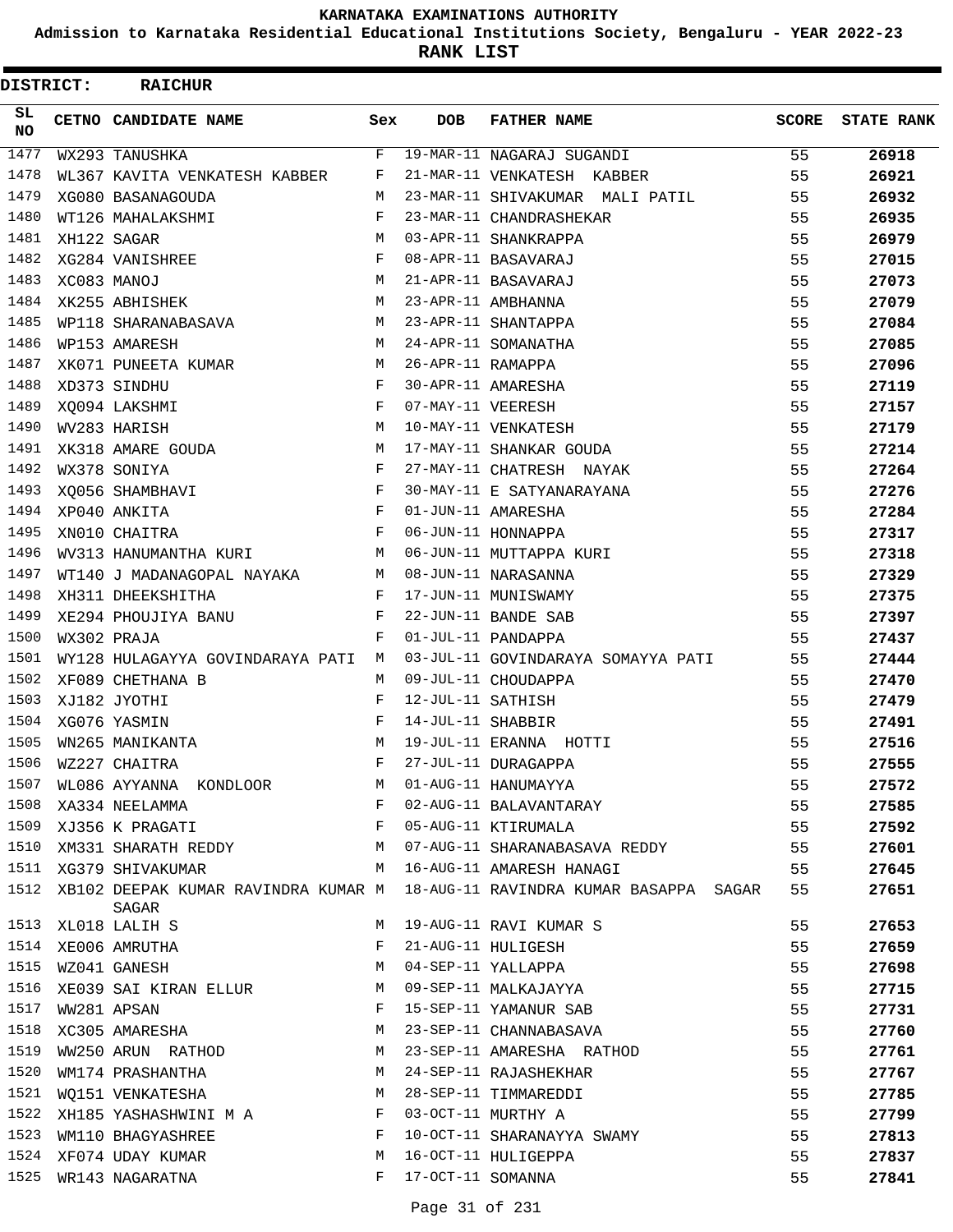**Admission to Karnataka Residential Educational Institutions Society, Bengaluru - YEAR 2022-23**

**RANK LIST**

| DISTRICT:        |             | <b>RAICHUR</b>                                      |              |                   |                                                                            |       |                   |
|------------------|-------------|-----------------------------------------------------|--------------|-------------------|----------------------------------------------------------------------------|-------|-------------------|
| SL.<br><b>NO</b> |             | CETNO CANDIDATE NAME                                | Sex          | <b>DOB</b>        | <b>FATHER NAME</b>                                                         | SCORE | <b>STATE RANK</b> |
| 1477             |             | WX293 TANUSHKA                                      | F            |                   | 19-MAR-11 NAGARAJ SUGANDI                                                  | 55    | 26918             |
| 1478             |             | WL367 KAVITA VENKATESH KABBER                       | F            |                   | 21-MAR-11 VENKATESH KABBER                                                 | 55    | 26921             |
| 1479             |             | XG080 BASANAGOUDA                                   | M            |                   | 23-MAR-11 SHIVAKUMAR MALI PATIL                                            | 55    | 26932             |
| 1480             |             | WT126 MAHALAKSHMI                                   | F            |                   | 23-MAR-11 CHANDRASHEKAR                                                    | 55    | 26935             |
| 1481             |             | XH122 SAGAR                                         | М            |                   | 03-APR-11 SHANKRAPPA                                                       | 55    | 26979             |
| 1482             |             | XG284 VANISHREE                                     | F            |                   | 08-APR-11 BASAVARAJ                                                        | 55    | 27015             |
| 1483             | XC083 MANOJ |                                                     | M            |                   | 21-APR-11 BASAVARAJ                                                        | 55    | 27073             |
| 1484             |             | XK255 ABHISHEK                                      | М            |                   | 23-APR-11 AMBHANNA                                                         | 55    | 27079             |
| 1485             |             | WP118 SHARANABASAVA                                 | M            |                   | 23-APR-11 SHANTAPPA                                                        | 55    | 27084             |
| 1486             |             | WP153 AMARESH                                       | M            |                   | 24-APR-11 SOMANATHA                                                        | 55    | 27085             |
| 1487             |             | XK071 PUNEETA KUMAR                                 | М            | 26-APR-11 RAMAPPA |                                                                            | 55    | 27096             |
| 1488             |             | XD373 SINDHU                                        | F            |                   | 30-APR-11 AMARESHA                                                         | 55    | 27119             |
| 1489             |             | XQ094 LAKSHMI                                       | F            | 07-MAY-11 VEERESH |                                                                            | 55    | 27157             |
| 1490             |             | WV283 HARISH                                        | М            |                   | 10-MAY-11 VENKATESH                                                        | 55    | 27179             |
| 1491             |             | XK318 AMARE GOUDA                                   | М            |                   | 17-MAY-11 SHANKAR GOUDA                                                    | 55    | 27214             |
| 1492             |             | WX378 SONIYA                                        | F            |                   | 27-MAY-11 CHATRESH NAYAK                                                   | 55    | 27264             |
| 1493             |             | XQ056 SHAMBHAVI                                     | F            |                   | 30-MAY-11 E SATYANARAYANA                                                  | 55    | 27276             |
| 1494             |             | XP040 ANKITA                                        | $\mathbf{F}$ |                   | 01-JUN-11 AMARESHA                                                         | 55    | 27284             |
| 1495             |             | XN010 CHAITRA                                       | $\mathbf{F}$ |                   | 06-JUN-11 HONNAPPA                                                         | 55    | 27317             |
| 1496             |             | WV313 HANUMANTHA KURI                               | M            |                   | 06-JUN-11 MUTTAPPA KURI                                                    | 55    | 27318             |
| 1497             |             | WT140 J MADANAGOPAL NAYAKA                          | M            |                   | 08-JUN-11 NARASANNA                                                        | 55    | 27329             |
| 1498             |             | XH311 DHEEKSHITHA                                   | $\mathbf{F}$ |                   | 17-JUN-11 MUNISWAMY                                                        | 55    | 27375             |
| 1499             |             | XE294 PHOUJIYA BANU                                 | F            |                   | 22-JUN-11 BANDE SAB                                                        | 55    | 27397             |
| 1500             |             | WX302 PRAJA                                         | F            |                   | 01-JUL-11 PANDAPPA                                                         | 55    | 27437             |
| 1501             |             | WY128 HULAGAYYA GOVINDARAYA PATI M                  |              |                   | 03-JUL-11 GOVINDARAYA SOMAYYA PATI                                         | 55    | 27444             |
| 1502             |             | XF089 CHETHANA B                                    | M            |                   | 09-JUL-11 CHOUDAPPA                                                        | 55    | 27470             |
| 1503             |             | XJ182 JYOTHI                                        | F            | 12-JUL-11 SATHISH |                                                                            | 55    | 27479             |
| 1504             |             | XG076 YASMIN                                        | F            | 14-JUL-11 SHABBIR |                                                                            | 55    | 27491             |
| 1505             |             | WN265 MANIKANTA                                     | M            |                   | 19-JUL-11 ERANNA HOTTI                                                     | 55    | 27516             |
| 1506             |             | WZ227 CHAITRA                                       | F            |                   | 27-JUL-11 DURAGAPPA                                                        | 55    | 27555             |
| 1507             |             | WL086 AYYANNA KONDLOOR                              | M            |                   | 01-AUG-11 HANUMAYYA                                                        | 55    | 27572             |
| 1508             |             | XA334 NEELAMMA                                      | F            |                   | 02-AUG-11 BALAVANTARAY                                                     | 55    | 27585             |
| 1509             |             | XJ356 K PRAGATI F                                   |              |                   | 05-AUG-11 KTIRUMALA                                                        | 55    | 27592             |
|                  |             | 1510 XM331 SHARATH REDDY M                          |              |                   | 07-AUG-11 SHARANABASAVA REDDY                                              | 55    | 27601             |
|                  |             | 1511 XG379 SHIVAKUMAR<br>M 16-AUG-11 AMARESH HANAGI |              |                   |                                                                            | 55    | 27645             |
| 1512             |             | SAGAR                                               |              |                   | XB102 DEEPAK KUMAR RAVINDRA KUMAR M 18-AUG-11 RAVINDRA KUMAR BASAPPA SAGAR | 55    | 27651             |
| 1513             |             | XL018 LALIH S                                       | M            |                   | 19-AUG-11 RAVI KUMAR S                                                     | 55    | 27653             |
| 1514             |             | XE006 AMRUTHA                                       | F            |                   | 21-AUG-11 HULIGESH                                                         | 55    | 27659             |
| 1515             |             | WZ041 GANESH                                        | М            |                   | 04-SEP-11 YALLAPPA                                                         | 55    | 27698             |
| 1516             |             | XE039 SAI KIRAN ELLUR                               | М            |                   | 09-SEP-11 MALKAJAYYA                                                       | 55    | 27715             |
| 1517             |             | WW281 APSAN                                         | F            |                   | 15-SEP-11 YAMANUR SAB                                                      | 55    | 27731             |
| 1518             |             | XC305 AMARESHA                                      | М            |                   | 23-SEP-11 CHANNABASAVA                                                     | 55    | 27760             |
| 1519             |             | WW250 ARUN RATHOD                                   | M            |                   | 23-SEP-11 AMARESHA RATHOD                                                  | 55    | 27761             |
| 1520             |             | WM174 PRASHANTHA                                    | M            |                   | 24-SEP-11 RAJASHEKHAR                                                      | 55    | 27767             |
| 1521             |             | WQ151 VENKATESHA                                    | M            |                   | 28-SEP-11 TIMMAREDDI                                                       | 55    | 27785             |
| 1522             |             | XH185 YASHASHWINI M A                               | F            |                   | 03-OCT-11 MURTHY A                                                         | 55    | 27799             |
| 1523             |             | WM110 BHAGYASHREE                                   | F            |                   | 10-OCT-11 SHARANAYYA SWAMY                                                 | 55    | 27813             |
| 1524             |             | XF074 UDAY KUMAR                                    | М            |                   | 16-OCT-11 HULIGEPPA                                                        | 55    | 27837             |
| 1525             |             | WR143 NAGARATNA                                     | F            | 17-OCT-11 SOMANNA |                                                                            | 55    | 27841             |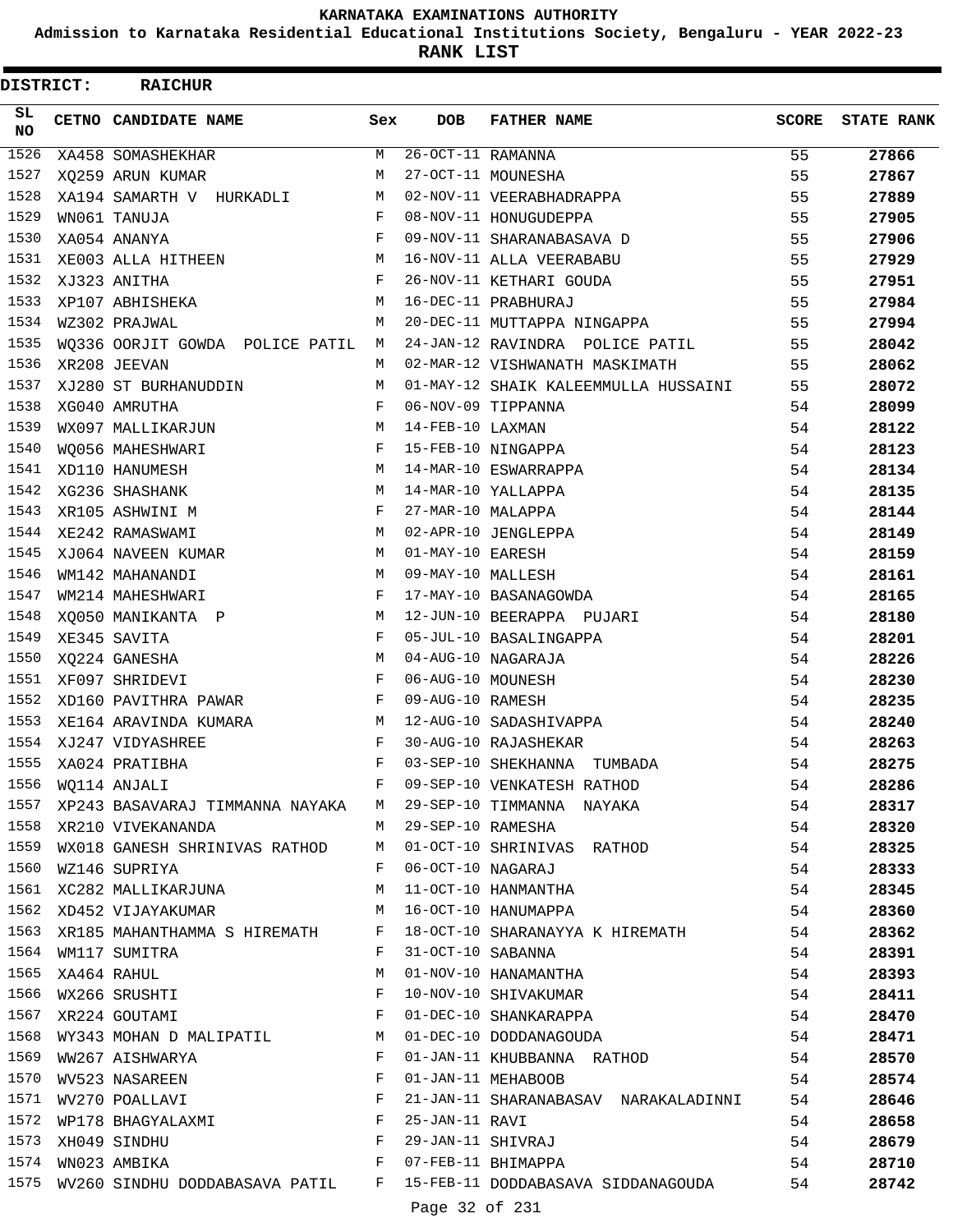**Admission to Karnataka Residential Educational Institutions Society, Bengaluru - YEAR 2022-23**

**RANK LIST**

| DISTRICT: | <b>RAICHUR</b>                                                                 |              |                     |                                                                             |       |                   |
|-----------|--------------------------------------------------------------------------------|--------------|---------------------|-----------------------------------------------------------------------------|-------|-------------------|
| SL<br>NO. | <b>CETNO CANDIDATE NAME</b>                                                    | Sex          | <b>DOB</b>          | <b>FATHER NAME</b>                                                          | SCORE | <b>STATE RANK</b> |
| 1526      | XA458 SOMASHEKHAR                                                              | M            | $26-0CT-11$ RAMANNA |                                                                             | 55    | 27866             |
| 1527      | XO259 ARUN KUMAR                                                               | M            |                     | 27-OCT-11 MOUNESHA                                                          | 55    | 27867             |
| 1528      | XA194 SAMARTH V HURKADLI                                                       | M            |                     | 02-NOV-11 VEERABHADRAPPA                                                    | 55    | 27889             |
| 1529      | WN061 TANUJA                                                                   | F            |                     | 08-NOV-11 HONUGUDEPPA                                                       | 55    | 27905             |
| 1530      | XA054 ANANYA                                                                   | F            |                     | 09-NOV-11 SHARANABASAVA D                                                   | 55    | 27906             |
| 1531      | XE003 ALLA HITHEEN                                                             | M            |                     | 16-NOV-11 ALLA VEERABABU                                                    | 55    | 27929             |
| 1532      | XJ323 ANITHA                                                                   | F            |                     | 26-NOV-11 KETHARI GOUDA                                                     | 55    | 27951             |
| 1533      | XP107 ABHISHEKA                                                                | M            |                     | 16-DEC-11 PRABHURAJ                                                         | 55    | 27984             |
| 1534      | WZ302 PRAJWAL                                                                  | M            |                     | 20-DEC-11 MUTTAPPA NINGAPPA                                                 | 55    | 27994             |
| 1535      | WQ336 OORJIT GOWDA POLICE PATIL M                                              |              |                     | 24-JAN-12 RAVINDRA POLICE PATIL                                             | 55    | 28042             |
| 1536      | XR208 JEEVAN                                                                   | M            |                     | 02-MAR-12 VISHWANATH MASKIMATH                                              | 55    | 28062             |
| 1537      | XJ280 ST BURHANUDDIN                                                           | M            |                     | 01-MAY-12 SHAIK KALEEMMULLA HUSSAINI                                        | 55    | 28072             |
| 1538      | XG040 AMRUTHA                                                                  | F            |                     | 06-NOV-09 TIPPANNA                                                          | 54    | 28099             |
| 1539      | WX097 MALLIKARJUN                                                              | M            | 14-FEB-10 LAXMAN    |                                                                             | 54    | 28122             |
| 1540      | WO056 MAHESHWARI                                                               | F            |                     | 15-FEB-10 NINGAPPA                                                          | 54    | 28123             |
| 1541      | XD110 HANUMESH                                                                 | M            |                     | 14-MAR-10 ESWARRAPPA                                                        | 54    | 28134             |
| 1542      | XG236 SHASHANK                                                                 | M            |                     | 14-MAR-10 YALLAPPA                                                          | 54    | 28135             |
| 1543      | XR105 ASHWINI M                                                                | F            | 27-MAR-10 MALAPPA   |                                                                             | 54    | 28144             |
| 1544      | XE242 RAMASWAMI                                                                | М            |                     | 02-APR-10 JENGLEPPA                                                         | 54    | 28149             |
| 1545      | XJ064 NAVEEN KUMAR                                                             | M            | 01-MAY-10 EARESH    |                                                                             | 54    | 28159             |
| 1546      | WM142 MAHANANDI                                                                | M            | 09-MAY-10 MALLESH   |                                                                             | 54    | 28161             |
| 1547      | WM214 MAHESHWARI                                                               | $_{\rm F}$   |                     | 17-MAY-10 BASANAGOWDA                                                       | 54    | 28165             |
| 1548      | XQ050 MANIKANTA P                                                              | М            |                     | 12-JUN-10 BEERAPPA PUJARI                                                   | 54    | 28180             |
| 1549      | XE345 SAVITA                                                                   | F            |                     | 05-JUL-10 BASALINGAPPA                                                      | 54    | 28201             |
| 1550      | XQ224 GANESHA                                                                  | M            |                     | 04-AUG-10 NAGARAJA                                                          | 54    | 28226             |
| 1551      | XF097 SHRIDEVI                                                                 | $_{\rm F}$   | 06-AUG-10 MOUNESH   |                                                                             | 54    | 28230             |
| 1552      | XD160 PAVITHRA PAWAR                                                           | F            | 09-AUG-10 RAMESH    |                                                                             | 54    | 28235             |
| 1553      | XE164 ARAVINDA KUMARA                                                          | М            |                     | 12-AUG-10 SADASHIVAPPA                                                      | 54    | 28240             |
| 1554      | XJ247 VIDYASHREE                                                               | $_{\rm F}$   |                     | 30-AUG-10 RAJASHEKAR                                                        | 54    | 28263             |
| 1555      | XA024 PRATIBHA                                                                 | $\mathbf{F}$ |                     | 03-SEP-10 SHEKHANNA TUMBADA                                                 | 54    | 28275             |
| 1556      | WO114 ANJALI                                                                   | F            |                     | 09-SEP-10 VENKATESH RATHOD                                                  | 54    | 28286             |
| 1557      |                                                                                |              |                     | XP243 BASAVARAJ TIMMANNA NAYAKA M 29-SEP-10 TIMMANNA NAYAKA                 | 54    | 28317             |
|           | 1558 XR210 VIVEKANANDA                                                         |              |                     | M 29-SEP-10 RAMESHA                                                         | 54    |                   |
|           |                                                                                |              |                     |                                                                             | 54    | 28320             |
| 1560      | WZ146 SUPRIYA                                                                  | F            |                     | 1559 WX018 GANESH SHRINIVAS RATHOD M 01-OCT-10 SHRINIVAS RATHOD             | 54    | 28325             |
|           | XC282 MALLIKARJUNA M                                                           |              |                     | 06-OCT-10 NAGARAJ<br>11-OCT-10 HANMANTHA                                    |       | 28333             |
| 1561      | XD452 VIJAYAKUMAR M                                                            |              |                     |                                                                             | 54    | 28345             |
| 1562      |                                                                                |              |                     | 16-OCT-10 HANUMAPPA                                                         | 54    | 28360             |
|           | 1563 XR185 MAHANTHAMMA S HIREMATH F                                            |              |                     | 18-OCT-10 SHARANAYYA K HIREMATH                                             | 54    | 28362             |
| 1564      | WM117 SUMITRA                                                                  | $\mathbf{F}$ | 31-OCT-10 SABANNA   |                                                                             | 54    | 28391             |
| 1565      | XA464 RAHUL<br>$\mathbf{F}$                                                    | M            |                     | 01-NOV-10 HANAMANTHA                                                        | 54    | 28393             |
| 1566      | WX266 SRUSHTI                                                                  |              |                     | 10-NOV-10 SHIVAKUMAR<br>10-NOV-10 SHANKARAPPA<br>01-DEC-10 SHANKARAPPA      | 54    | 28411             |
|           | $\mathbf{F}$ . The set of $\mathbf{F}$<br>1567 XR224 GOUTAMI                   |              |                     |                                                                             | 54    | 28470             |
| 1568      | WY343 MOHAN D MALIPATIL M                                                      |              |                     | 01-DEC-10 DODDANAGOUDA                                                      | 54    | 28471             |
| 1569      | WW267 AISHWARYA                                                                | F            |                     | 01-JAN-11 KHUBBANNA RATHOD                                                  | 54    | 28570             |
| 1570      | WV523 NASAREEN                                                                 | F            |                     | 01-JAN-11 MEHABOOB                                                          | 54    | 28574             |
|           | 1571 WV270 POALLAVI                                                            | $_{\rm F}$   |                     | 21-JAN-11 SHARANABASAV NARAKALADINNI                                        | 54    | 28646             |
| 1572      | WP178 BHAGYALAXMI F                                                            |              | 25-JAN-11 RAVI      |                                                                             | 54    | 28658             |
|           | $\mathbf{F}$ and $\mathbf{F}$ are the set of $\mathbf{F}$<br>1573 XH049 SINDHU |              |                     | 29-JAN-11 SHIVRAJ                                                           | 54    | 28679             |
| 1574      | $\mathbf{F} = \mathbf{F} \times \mathbf{F}$<br>WN023 AMBIKA                    |              |                     | 07-FEB-11 BHIMAPPA                                                          | 54    | 28710             |
|           |                                                                                |              |                     | 1575 WV260 SINDHU DODDABASAVA PATIL F 15-FEB-11 DODDABASAVA SIDDANAGOUDA 54 |       | 28742             |
|           |                                                                                |              | Page 32 of 231      |                                                                             |       |                   |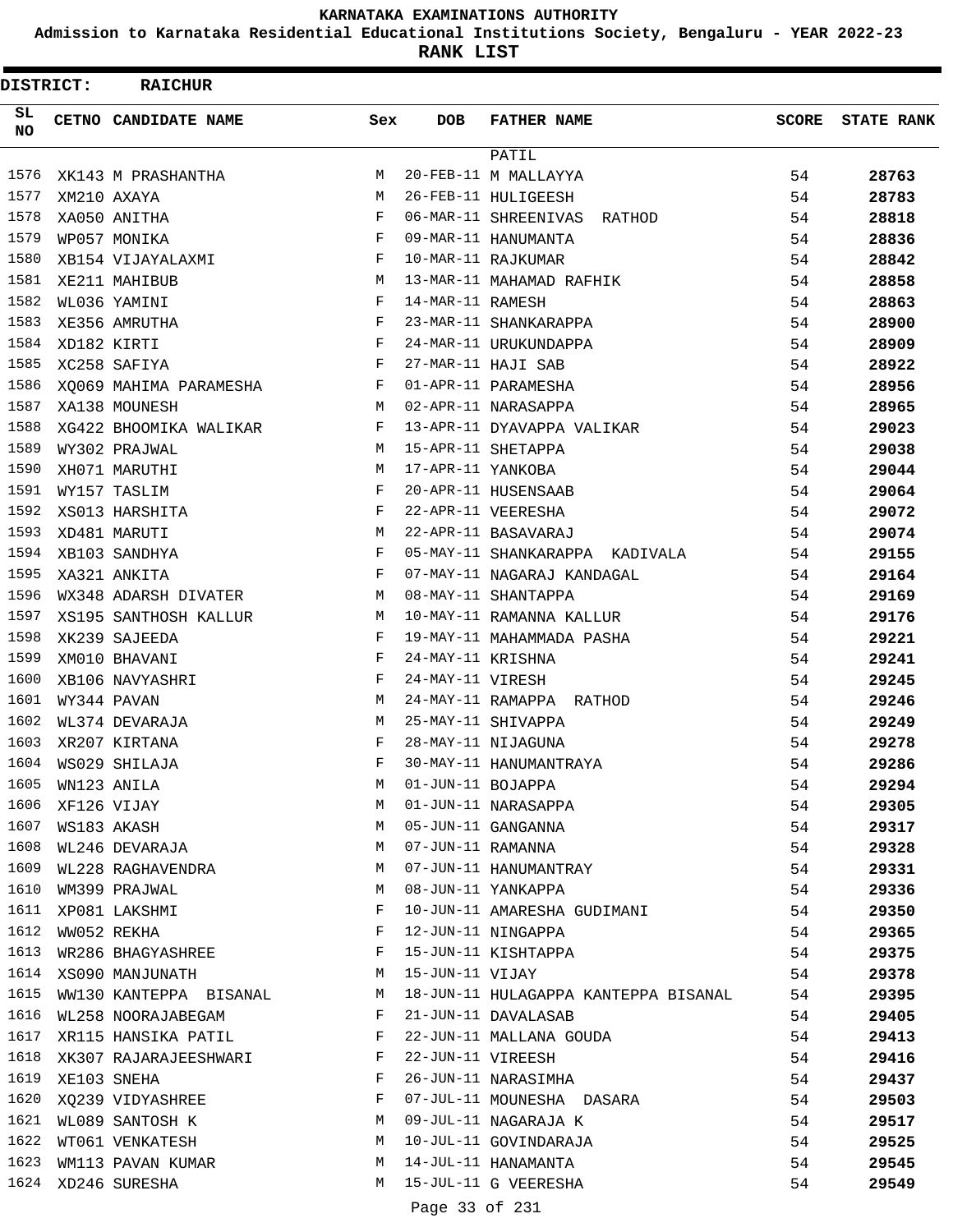**Admission to Karnataka Residential Educational Institutions Society, Bengaluru - YEAR 2022-23**

**RANK LIST**

 $\blacksquare$ 

| <b>DISTRICT:</b> |             | <b>RAICHUR</b>                                                                             |              |                   |                                      |              |                   |
|------------------|-------------|--------------------------------------------------------------------------------------------|--------------|-------------------|--------------------------------------|--------------|-------------------|
| SL.<br>NO        |             | CETNO CANDIDATE NAME                                                                       | Sex          | DOB               | <b>FATHER NAME</b>                   | <b>SCORE</b> | <b>STATE RANK</b> |
|                  |             |                                                                                            |              |                   | PATIL                                |              |                   |
| 1576             |             | <b>M</b><br>XK143 M PRASHANTHA                                                             |              |                   | 20-FEB-11 M MALLAYYA                 | 54           | 28763             |
| 1577             |             | $M_{\rm H}$ and $M_{\rm H}$<br>XM210 AXAYA                                                 |              |                   | 26-FEB-11 HULIGEESH                  | 54           | 28783             |
| 1578             |             | XA050 ANITHA                                                                               | $\mathbf{F}$ |                   | 06-MAR-11 SHREENIVAS RATHOD          | 54           | 28818             |
| 1579             |             | WP057 MONIKA                                                                               | F            |                   | 09-MAR-11 HANUMANTA                  | 54           | 28836             |
| 1580             |             | XB154 VIJAYALAXMI                                                                          | F            |                   | 10-MAR-11 RAJKUMAR                   | 54           | 28842             |
| 1581             |             | XE211 MAHIBUB                                                                              | M            |                   | 13-MAR-11 MAHAMAD RAFHIK             | 54           | 28858             |
| 1582             |             | WL036 YAMINI                                                                               | F            | 14-MAR-11 RAMESH  |                                      | 54           | 28863             |
| 1583             |             | XE356 AMRUTHA                                                                              | F            |                   | 23-MAR-11 SHANKARAPPA                | 54           | 28900             |
| 1584             | XD182 KIRTI |                                                                                            | F            |                   | 24-MAR-11 URUKUNDAPPA                | 54           | 28909             |
| 1585             |             | XC258 SAFIYA<br>$\mathbf{F}$ . The set of the set of $\mathbf{F}$ is a set of $\mathbf{F}$ |              |                   | 27-MAR-11 HAJI SAB                   | 54           | 28922             |
| 1586             |             | XQ069 MAHIMA PARAMESHA F                                                                   |              |                   | 01-APR-11 PARAMESHA                  | 54           | 28956             |
| 1587             |             | XA138 MOUNESH                                                                              | M            |                   | 02-APR-11 NARASAPPA                  | 54           | 28965             |
| 1588             |             | XG422 BHOOMIKA WALIKAR                                                                     | F            |                   | 13-APR-11 DYAVAPPA VALIKAR           | 54           | 29023             |
| 1589             |             | WY302 PRAJWAL                                                                              | М            |                   | 15-APR-11 SHETAPPA                   | 54           | 29038             |
| 1590             |             | XH071 MARUTHI                                                                              | М            | 17-APR-11 YANKOBA |                                      | 54           | 29044             |
| 1591             |             | WY157 TASLIM                                                                               | F            |                   | 20-APR-11 HUSENSAAB                  | 54           | 29064             |
| 1592             |             | XS013 HARSHITA                                                                             | F            |                   | 22-APR-11 VEERESHA                   | 54           | 29072             |
| 1593             |             | M <sub>1</sub><br>XD481 MARUTI                                                             |              |                   | 22-APR-11 BASAVARAJ                  | 54           | 29074             |
| 1594             |             | $\mathbf{F}$<br>XB103 SANDHYA                                                              |              |                   | 05-MAY-11 SHANKARAPPA KADIVALA       | 54           | 29155             |
| 1595             |             | XA321 ANKITA                                                                               | F            |                   | 07-MAY-11 NAGARAJ KANDAGAL           | 54           | 29164             |
| 1596             |             | WX348 ADARSH DIVATER                                                                       | M            |                   | 08-MAY-11 SHANTAPPA                  | 54           | 29169             |
| 1597             |             | XS195 SANTHOSH KALLUR                                                                      | M            |                   | 10-MAY-11 RAMANNA KALLUR             | 54           | 29176             |
| 1598             |             | XK239 SAJEEDA                                                                              | F            |                   | 19-MAY-11 MAHAMMADA PASHA            | 54           | 29221             |
| 1599             |             | XM010 BHAVANI                                                                              | F            | 24-MAY-11 KRISHNA |                                      | 54           | 29241             |
| 1600             |             | XB106 NAVYASHRI                                                                            | F            | 24-MAY-11 VIRESH  |                                      | 54           | 29245             |
| 1601             |             | WY344 PAVAN                                                                                | M            |                   | 24-MAY-11 RAMAPPA RATHOD             | 54           | 29246             |
| 1602             |             | WL374 DEVARAJA                                                                             | M            |                   | 25-MAY-11 SHIVAPPA                   | 54           | 29249             |
| 1603             |             | XR207 KIRTANA                                                                              | F            |                   | 28-MAY-11 NIJAGUNA                   | 54           | 29278             |
| 1604             |             | WS029 SHILAJA                                                                              | F            |                   | 30-MAY-11 HANUMANTRAYA               | 54           | 29286             |
| 1605             |             | WN123 ANILA                                                                                | M            | 01-JUN-11 BOJAPPA |                                      | 54           | 29294             |
| 1606             |             | XF126 VIJAY                                                                                | M            |                   | 01-JUN-11 NARASAPPA                  | 54           | 29305             |
| 1607             |             | WS183 AKASH                                                                                | M            |                   | 05-JUN-11 GANGANNA                   | 54           | 29317             |
| 1608             |             | WL246 DEVARAJA                                                                             | M            | 07-JUN-11 RAMANNA |                                      | 54           | 29328             |
| 1609             |             | WL228 RAGHAVENDRA                                                                          | M            |                   | 07-JUN-11 HANUMANTRAY                | 54           | 29331             |
| 1610             |             | WM399 PRAJWAL                                                                              | М            |                   | 08-JUN-11 YANKAPPA                   | 54           | 29336             |
| 1611             |             | XP081 LAKSHMI                                                                              | F            |                   | 10-JUN-11 AMARESHA GUDIMANI          | 54           | 29350             |
| 1612             |             | WW052 REKHA                                                                                | F            |                   | 12-JUN-11 NINGAPPA                   | 54           | 29365             |
| 1613             |             | WR286 BHAGYASHREE                                                                          | F            |                   | 15-JUN-11 KISHTAPPA                  | 54           | 29375             |
|                  |             | 1614 XS090 MANJUNATH<br><b>M</b>                                                           |              | 15-JUN-11 VIJAY   |                                      | 54           | 29378             |
|                  |             | 1615 WW130 KANTEPPA BISANAL M                                                              |              |                   | 18-JUN-11 HULAGAPPA KANTEPPA BISANAL | 54           | 29395             |
| 1616             |             | WL258 NOORAJABEGAM                                                                         | F            |                   | 21-JUN-11 DAVALASAB                  | 54           | 29405             |
| 1617             |             | XR115 HANSIKA PATIL                                                                        | F            |                   | 22-JUN-11 MALLANA GOUDA              | 54           | 29413             |
| 1618             |             | XK307 RAJARAJEESHWARI                                                                      | F            |                   | 22-JUN-11 VIREESH                    | 54           | 29416             |
| 1619             |             | XE103 SNEHA                                                                                | F            |                   | 26-JUN-11 NARASIMHA                  | 54           | 29437             |
| 1620             |             | XQ239 VIDYASHREE                                                                           | F            |                   | 07-JUL-11 MOUNESHA DASARA            | 54           | 29503             |
| 1621             |             | WL089 SANTOSH K                                                                            | M            |                   | 09-JUL-11 NAGARAJA K                 | 54           | 29517             |
| 1622             |             | WT061 VENKATESH                                                                            | M            |                   | 10-JUL-11 GOVINDARAJA                | 54           | 29525             |
| 1623             |             | WM113 PAVAN KUMAR                                                                          | M            |                   | 14-JUL-11 HANAMANTA                  | 54           | 29545             |
| 1624             |             | XD246 SURESHA                                                                              |              |                   | M 15-JUL-11 G VEERESHA               | 54           | 29549             |
|                  |             |                                                                                            |              |                   |                                      |              |                   |

Page 33 of 231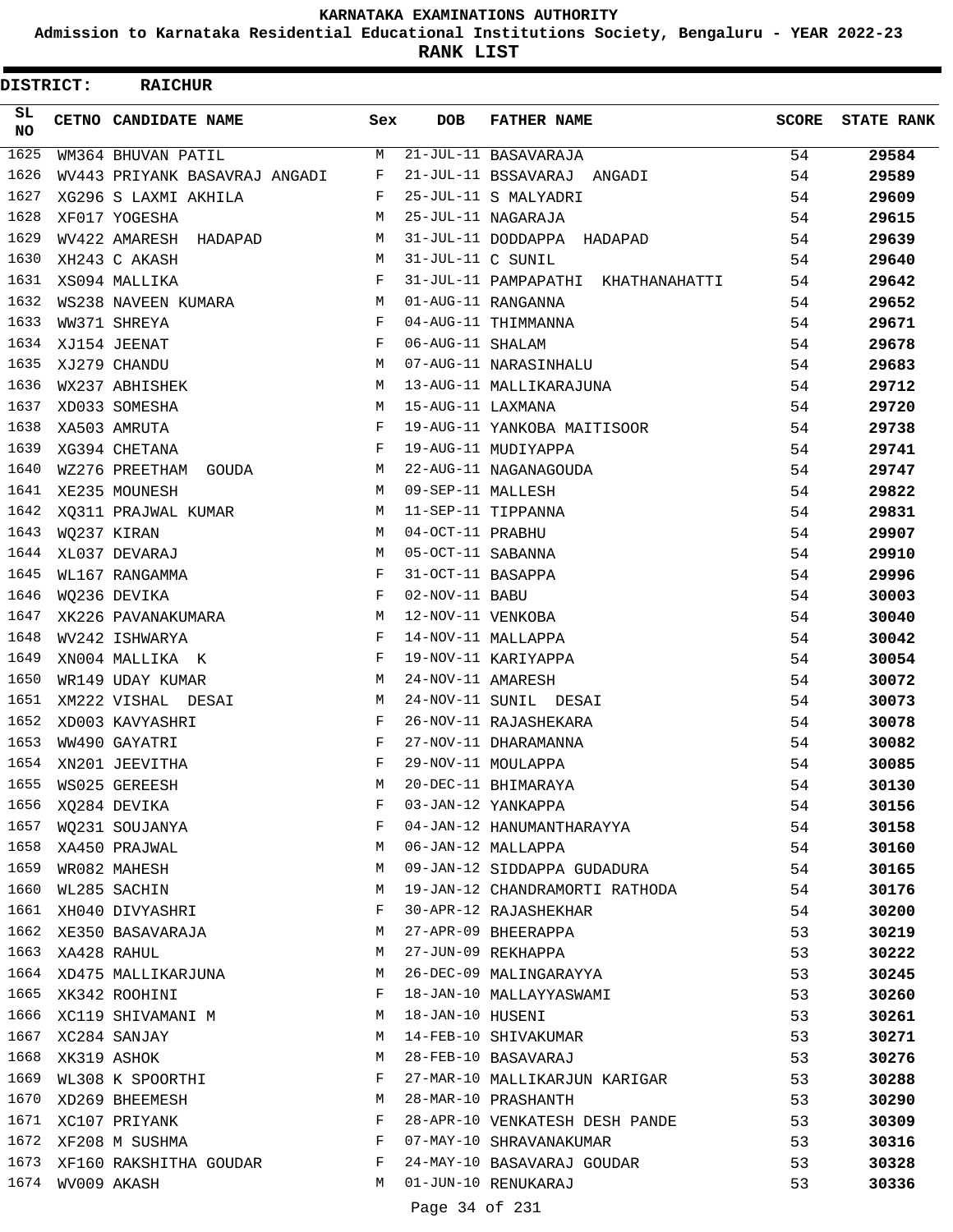**Admission to Karnataka Residential Educational Institutions Society, Bengaluru - YEAR 2022-23**

**RANK LIST**

| DISTRICT: | <b>RAICHUR</b>                |     |                   |                                                   |              |                   |
|-----------|-------------------------------|-----|-------------------|---------------------------------------------------|--------------|-------------------|
| SL<br>NO  | CETNO CANDIDATE NAME          | Sex | <b>DOB</b>        | <b>FATHER NAME</b>                                | <b>SCORE</b> | <b>STATE RANK</b> |
| 1625      | WM364 BHUVAN PATIL            | M   |                   | $21$ -JUL-11 BASAVARAJA                           | 54           | 29584             |
| 1626      | WV443 PRIYANK BASAVRAJ ANGADI | F   |                   | 21-JUL-11 BSSAVARAJ ANGADI                        | 54           | 29589             |
| 1627      | XG296 S LAXMI AKHILA          | F   |                   | 25-JUL-11 S MALYADRI                              | 54           | 29609             |
| 1628      | XF017 YOGESHA                 | М   |                   | 25-JUL-11 NAGARAJA                                | 54           | 29615             |
| 1629      | WV422 AMARESH HADAPAD         | M   |                   | 31-JUL-11 DODDAPPA HADAPAD                        | 54           | 29639             |
| 1630      | XH243 C AKASH                 | M   | 31-JUL-11 C SUNIL |                                                   | 54           | 29640             |
| 1631      | XS094 MALLIKA                 | F   |                   | 31-JUL-11 PAMPAPATHI KHATHANAHATTI                | 54           | 29642             |
| 1632      | WS238 NAVEEN KUMARA           | M   |                   | 01-AUG-11 RANGANNA                                | 54           | 29652             |
| 1633      | WW371 SHREYA                  | F   |                   | 04-AUG-11 THIMMANNA                               | 54           | 29671             |
| 1634      | XJ154 JEENAT                  | F   | 06-AUG-11 SHALAM  |                                                   | 54           | 29678             |
| 1635      | XJ279 CHANDU                  | M   |                   | 07-AUG-11 NARASINHALU                             | 54           | 29683             |
| 1636      | WX237 ABHISHEK                | M   |                   | 13-AUG-11 MALLIKARAJUNA                           | 54           | 29712             |
| 1637      | XD033 SOMESHA                 | M   | 15-AUG-11 LAXMANA |                                                   | 54           | 29720             |
| 1638      | XA503 AMRUTA                  | F   |                   | 19-AUG-11 YANKOBA MAITISOOR                       | 54           | 29738             |
| 1639      | XG394 CHETANA                 | F   |                   | 19-AUG-11 MUDIYAPPA                               | 54           | 29741             |
| 1640      | WZ276 PREETHAM<br>GOUDA       | M   |                   | 22-AUG-11 NAGANAGOUDA                             | 54           | 29747             |
| 1641      | XE235 MOUNESH                 | M   | 09-SEP-11 MALLESH |                                                   | 54           | 29822             |
| 1642      | XO311 PRAJWAL KUMAR           | М   |                   | 11-SEP-11 TIPPANNA                                | 54           | 29831             |
| 1643      | WQ237 KIRAN                   | M   | 04-OCT-11 PRABHU  |                                                   | 54           | 29907             |
| 1644      | XL037 DEVARAJ                 | M   | 05-OCT-11 SABANNA |                                                   | 54           | 29910             |
| 1645      | WL167 RANGAMMA                | F   | 31-OCT-11 BASAPPA |                                                   | 54           | 29996             |
| 1646      | WQ236 DEVIKA                  | F   | 02-NOV-11 BABU    |                                                   | 54           | 30003             |
| 1647      | XK226 PAVANAKUMARA            | M   | 12-NOV-11 VENKOBA |                                                   | 54           | 30040             |
| 1648      | WV242 ISHWARYA                | F   |                   | 14-NOV-11 MALLAPPA                                | 54           | 30042             |
| 1649      | XN004 MALLIKA K               | F   |                   | 19-NOV-11 KARIYAPPA                               | 54           | 30054             |
| 1650      | WR149 UDAY KUMAR              | М   | 24-NOV-11 AMARESH |                                                   | 54           | 30072             |
| 1651      | XM222 VISHAL DESAI            | M   |                   | 24-NOV-11 SUNIL DESAI                             | 54           | 30073             |
| 1652      | XD003 KAVYASHRI               | F   |                   | 26-NOV-11 RAJASHEKARA                             | 54           | 30078             |
| 1653      | WW490 GAYATRI                 | F   |                   | 27-NOV-11 DHARAMANNA                              | 54           | 30082             |
| 1654      | XN201 JEEVITHA                | F   |                   | 29-NOV-11 MOULAPPA                                | 54           | 30085             |
| 1655      | WS025 GEREESH                 | М   |                   | 20-DEC-11 BHIMARAYA                               | 54           | 30130             |
| 1656      | XQ284 DEVIKA                  | F   |                   | 03-JAN-12 YANKAPPA                                | 54           | 30156             |
| 1657      | WQ231 SOUJANYA                | F   |                   | 04-JAN-12 HANUMANTHARAYYA                         | 54           | 30158             |
| 1658      | XA450 PRAJWAL                 | М   |                   | 06-JAN-12 MALLAPPA                                | 54           | 30160             |
| 1659      | WR082 MAHESH                  | M   |                   | 09-JAN-12 SIDDAPPA GUDADURA                       | 54           | 30165             |
| 1660      | WL285 SACHIN                  | M   |                   | 19-JAN-12 CHANDRAMORTI RATHODA                    | 54           | 30176             |
| 1661      | XH040 DIVYASHRI               | F   |                   | 30-APR-12 RAJASHEKHAR                             | 54           | 30200             |
| 1662      | XE350 BASAVARAJA              | М   |                   | 27-APR-09 BHEERAPPA                               | 53           | 30219             |
| 1663      | XA428 RAHUL                   | М   |                   | 27-JUN-09 REKHAPPA                                | 53           | 30222             |
| 1664      | XD475 MALLIKARJUNA            | М   |                   | 26-DEC-09 MALINGARAYYA                            | 53           | 30245             |
| 1665      | XK342 ROOHINI                 | F   |                   | 18-JAN-10 MALLAYYASWAMI                           | 53           | 30260             |
| 1666      | XC119 SHIVAMANI M             | М   | 18-JAN-10 HUSENI  |                                                   | 53           | 30261             |
| 1667      | XC284 SANJAY                  | M   |                   | 14-FEB-10 SHIVAKUMAR                              | 53           |                   |
| 1668      | XK319 ASHOK                   | М   |                   | 28-FEB-10 BASAVARAJ                               | 53           | 30271<br>30276    |
| 1669      | WL308 K SPOORTHI              | F   |                   | 27-MAR-10 MALLIKARJUN KARIGAR                     | 53           | 30288             |
| 1670      | XD269 BHEEMESH                | М   |                   | 28-MAR-10 PRASHANTH                               | 53           | 30290             |
|           | 1671 XC107 PRIYANK            | F   |                   | 28-APR-10 VENKATESH DESH PANDE                    | 53           |                   |
| 1672      |                               | F   |                   | 07-MAY-10 SHRAVANAKUMAR                           |              | 30309             |
| 1673      | XF208 M SUSHMA                | F   |                   |                                                   | 53           | 30316             |
| 1674      | XF160 RAKSHITHA GOUDAR        | M   |                   | 24-MAY-10 BASAVARAJ GOUDAR<br>01-JUN-10 RENUKARAJ | 53           | 30328             |
|           | WV009 AKASH                   |     |                   |                                                   | 53           | 30336             |
|           |                               |     | Page 34 of 231    |                                                   |              |                   |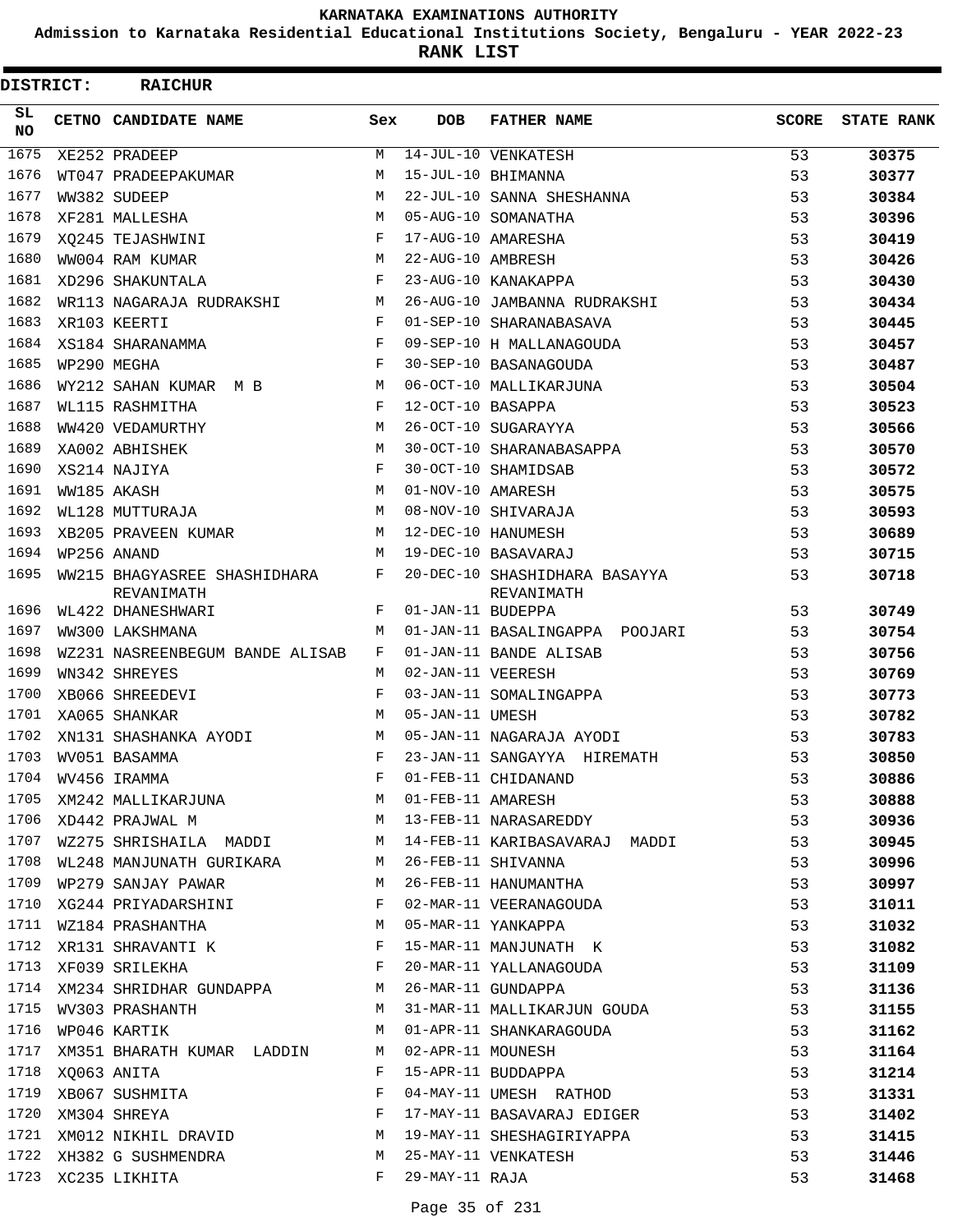**Admission to Karnataka Residential Educational Institutions Society, Bengaluru - YEAR 2022-23**

**RANK LIST**

| <b>DISTRICT:</b> | <b>RAICHUR</b>                             |     |                   |                                             |              |                   |
|------------------|--------------------------------------------|-----|-------------------|---------------------------------------------|--------------|-------------------|
| SL<br><b>NO</b>  | CETNO CANDIDATE NAME                       | Sex | <b>DOB</b>        | <b>FATHER NAME</b>                          | <b>SCORE</b> | <b>STATE RANK</b> |
| 1675             | XE252 PRADEEP                              | M   |                   | 14-JUL-10 VENKATESH                         | 53           | 30375             |
| 1676             | WT047 PRADEEPAKUMAR                        | M   |                   | 15-JUL-10 BHIMANNA                          | 53           | 30377             |
| 1677             | WW382 SUDEEP                               | M   |                   | 22-JUL-10 SANNA SHESHANNA                   | 53           | 30384             |
| 1678             | XF281 MALLESHA                             | M   |                   | 05-AUG-10 SOMANATHA                         | 53           | 30396             |
| 1679             | XO245 TEJASHWINI                           | F   |                   | 17-AUG-10 AMARESHA                          | 53           | 30419             |
| 1680             | WW004 RAM KUMAR                            | M   | 22-AUG-10 AMBRESH |                                             | 53           | 30426             |
| 1681             | XD296 SHAKUNTALA                           | F   |                   | 23-AUG-10 KANAKAPPA                         | 53           | 30430             |
| 1682             | WR113 NAGARAJA RUDRAKSHI                   | M   |                   | 26-AUG-10 JAMBANNA RUDRAKSHI                | 53           | 30434             |
| 1683             | XR103 KEERTI                               | F   |                   | 01-SEP-10 SHARANABASAVA                     | 53           | 30445             |
| 1684             | XS184 SHARANAMMA                           | F   |                   | 09-SEP-10 H MALLANAGOUDA                    | 53           | 30457             |
| 1685             | WP290 MEGHA                                | F   |                   | 30-SEP-10 BASANAGOUDA                       | 53           | 30487             |
| 1686             | WY212 SAHAN KUMAR M B                      | M   |                   | 06-OCT-10 MALLIKARJUNA                      | 53           | 30504             |
| 1687             | WL115 RASHMITHA                            | F   | 12-OCT-10 BASAPPA |                                             | 53           | 30523             |
| 1688             | WW420 VEDAMURTHY                           | M   |                   | 26-OCT-10 SUGARAYYA                         | 53           | 30566             |
| 1689             | XA002 ABHISHEK                             | M   |                   | 30-OCT-10 SHARANABASAPPA                    | 53           | 30570             |
| 1690             | XS214 NAJIYA                               | F   |                   | 30-OCT-10 SHAMIDSAB                         | 53           | 30572             |
| 1691             | WW185 AKASH                                | M   | 01-NOV-10 AMARESH |                                             | 53           | 30575             |
| 1692             | WL128 MUTTURAJA                            | M   |                   | 08-NOV-10 SHIVARAJA                         | 53           | 30593             |
| 1693             | XB205 PRAVEEN KUMAR                        | M   |                   | 12-DEC-10 HANUMESH                          | 53           | 30689             |
| 1694             | WP256 ANAND                                | M   |                   | 19-DEC-10 BASAVARAJ                         | 53           | 30715             |
| 1695             | WW215 BHAGYASREE SHASHIDHARA<br>REVANIMATH | F   |                   | 20-DEC-10 SHASHIDHARA BASAYYA<br>REVANIMATH | 53           | 30718             |
| 1696             | WL422 DHANESHWARI                          | F   | 01-JAN-11 BUDEPPA |                                             | 53           | 30749             |
| 1697             | WW300 LAKSHMANA                            | M   |                   | 01-JAN-11 BASALINGAPPA POOJARI              | 53           | 30754             |
| 1698             | WZ231 NASREENBEGUM BANDE ALISAB            | F   |                   | 01-JAN-11 BANDE ALISAB                      | 53           | 30756             |
| 1699             | WN342 SHREYES                              | M   | 02-JAN-11 VEERESH |                                             | 53           | 30769             |
| 1700             | XB066 SHREEDEVI                            | F   |                   | 03-JAN-11 SOMALINGAPPA                      | 53           | 30773             |
| 1701             | XA065 SHANKAR                              | М   | 05-JAN-11 UMESH   |                                             | 53           | 30782             |
| 1702             | XN131 SHASHANKA AYODI                      | M   |                   | 05-JAN-11 NAGARAJA AYODI                    | 53           | 30783             |
| 1703             | WV051 BASAMMA                              | F   |                   | 23-JAN-11 SANGAYYA HIREMATH                 | 53           | 30850             |
| 1704             | WV456 IRAMMA                               | F   |                   | 01-FEB-11 CHIDANAND                         | 53           | 30886             |
| 1705             | XM242 MALLIKARJUNA                         | M   | 01-FEB-11 AMARESH |                                             | 53           | 30888             |
| 1706             | XD442 PRAJWAL M                            | М   |                   | 13-FEB-11 NARASAREDDY                       | 53           | 30936             |
| 1707             | WZ275 SHRISHAILA MADDI                     | M   |                   | 14-FEB-11 KARIBASAVARAJ MADDI               | 53           | 30945             |
| 1708             | WL248 MANJUNATH GURIKARA                   | M   |                   | 26-FEB-11 SHIVANNA                          | 53           | 30996             |
| 1709             | WP279 SANJAY PAWAR                         | M   |                   | 26-FEB-11 HANUMANTHA                        | 53           | 30997             |
| 1710             | XG244 PRIYADARSHINI                        | F   |                   | 02-MAR-11 VEERANAGOUDA                      | 53           | 31011             |
| 1711             | WZ184 PRASHANTHA                           | M   |                   | 05-MAR-11 YANKAPPA                          | 53           | 31032             |
| 1712             | XR131 SHRAVANTI K                          | F   |                   | 15-MAR-11 MANJUNATH K                       | 53           | 31082             |
| 1713             | XF039 SRILEKHA                             | F   |                   | 20-MAR-11 YALLANAGOUDA                      | 53           | 31109             |
| 1714             | XM234 SHRIDHAR GUNDAPPA                    | М   |                   | 26-MAR-11 GUNDAPPA                          | 53           | 31136             |
| 1715             | WV303 PRASHANTH                            | M   |                   | 31-MAR-11 MALLIKARJUN GOUDA                 | 53           | 31155             |
| 1716             | WP046 KARTIK                               | M   |                   | 01-APR-11 SHANKARAGOUDA                     | 53           | 31162             |
| 1717             | XM351 BHARATH KUMAR LADDIN                 | M   | 02-APR-11 MOUNESH |                                             | 53           | 31164             |
| 1718             | XQ063 ANITA                                | F   |                   | 15-APR-11 BUDDAPPA                          | 53           | 31214             |
| 1719             | XB067 SUSHMITA                             | F   |                   | 04-MAY-11 UMESH RATHOD                      | 53           | 31331             |
| 1720             | XM304 SHREYA                               | F   |                   | 17-MAY-11 BASAVARAJ EDIGER                  | 53           | 31402             |
| 1721             | XM012 NIKHIL DRAVID                        | M   |                   | 19-MAY-11 SHESHAGIRIYAPPA                   | 53           | 31415             |
| 1722             | XH382 G SUSHMENDRA                         | М   |                   | 25-MAY-11 VENKATESH                         | 53           | 31446             |
|                  | 1723 XC235 LIKHITA                         | F   | 29-MAY-11 RAJA    |                                             | 53           | 31468             |
|                  |                                            |     |                   |                                             |              |                   |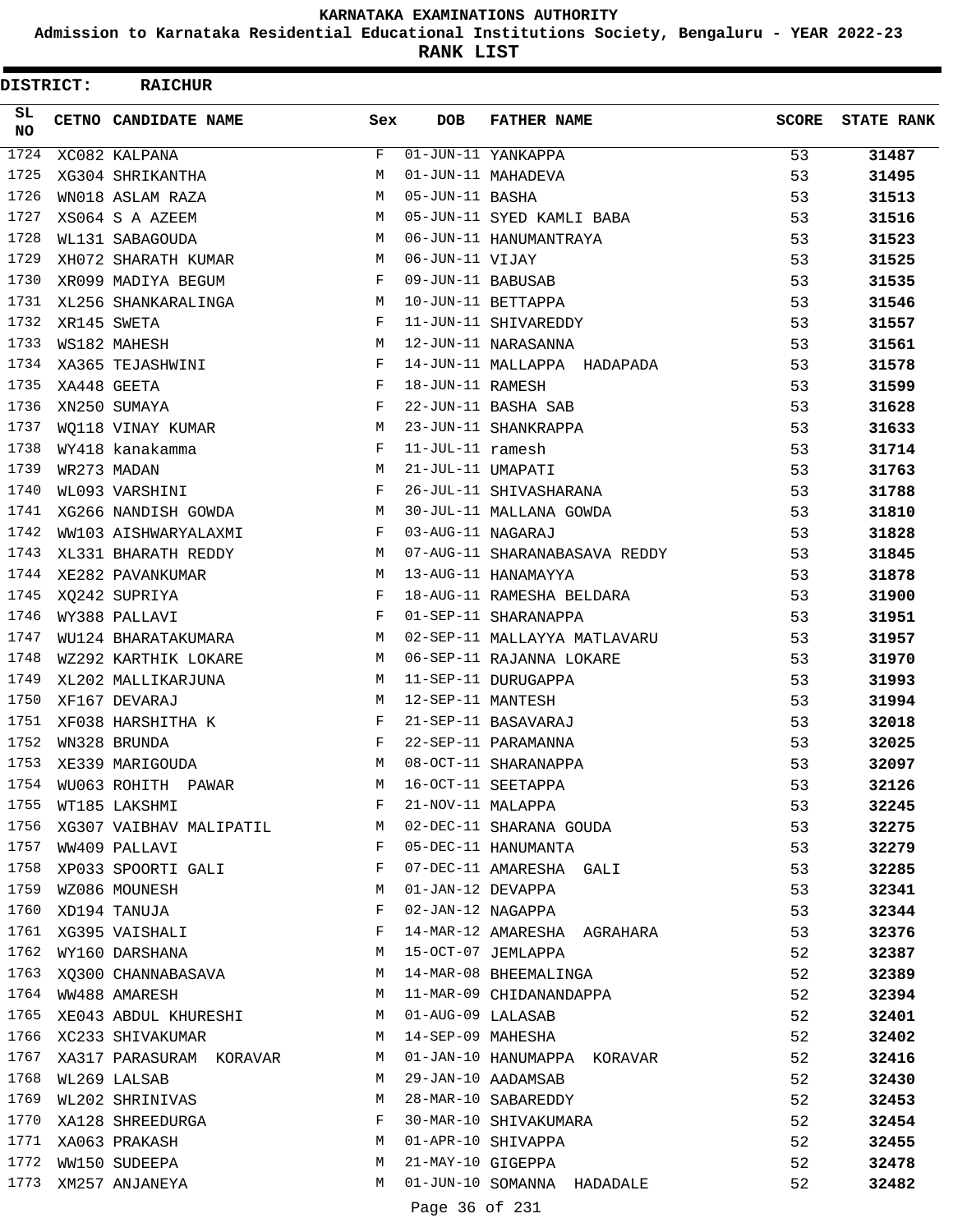**Admission to Karnataka Residential Educational Institutions Society, Bengaluru - YEAR 2022-23**

**RANK LIST**

| DISTRICT:        | <b>RAICHUR</b>                                                      |                                                |                     |                                                        |              |                   |
|------------------|---------------------------------------------------------------------|------------------------------------------------|---------------------|--------------------------------------------------------|--------------|-------------------|
| SL.<br><b>NO</b> | CETNO CANDIDATE NAME                                                | Sex                                            | <b>DOB</b>          | <b>FATHER NAME</b>                                     | <b>SCORE</b> | <b>STATE RANK</b> |
| 1724             | XC082 KALPANA                                                       | $\mathbf{F}$                                   |                     | 01-JUN-11 YANKAPPA                                     | 53           | 31487             |
| 1725             | XG304 SHRIKANTHA                                                    | M                                              |                     | 01-JUN-11 MAHADEVA                                     | 53           | 31495             |
| 1726             | WN018 ASLAM RAZA                                                    | M                                              | 05-JUN-11 BASHA     |                                                        | 53           | 31513             |
| 1727             | XS064 S A AZEEM                                                     | М                                              |                     | 05-JUN-11 SYED KAMLI BABA                              | 53           | 31516             |
| 1728             | WL131 SABAGOUDA                                                     | М                                              |                     | 06-JUN-11 HANUMANTRAYA                                 | 53           | 31523             |
| 1729             | XH072 SHARATH KUMAR                                                 | M                                              | 06-JUN-11 VIJAY     |                                                        | 53           | 31525             |
| 1730             | XR099 MADIYA BEGUM                                                  | F                                              | 09-JUN-11 BABUSAB   |                                                        | 53           | 31535             |
| 1731             | XL256 SHANKARALINGA                                                 | М                                              |                     | 10-JUN-11 BETTAPPA                                     | 53           | 31546             |
| 1732             | XR145 SWETA                                                         | F                                              |                     | 11-JUN-11 SHIVAREDDY                                   | 53           | 31557             |
| 1733             | WS182 MAHESH                                                        | M                                              |                     | 12-JUN-11 NARASANNA                                    | 53           | 31561             |
| 1734             | XA365 TEJASHWINI                                                    | F                                              |                     | 14-JUN-11 MALLAPPA HADAPADA                            | 53           | 31578             |
| 1735             | XA448 GEETA                                                         | F                                              | 18-JUN-11 RAMESH    |                                                        | 53           | 31599             |
| 1736             | XN250 SUMAYA                                                        | F                                              |                     | 22-JUN-11 BASHA SAB                                    | 53           | 31628             |
| 1737             | WO118 VINAY KUMAR                                                   | M                                              |                     | 23-JUN-11 SHANKRAPPA                                   | 53           | 31633             |
| 1738             | WY418 kanakamma                                                     | F                                              | $11$ -JUL-11 ramesh |                                                        | 53           | 31714             |
| 1739             | WR273 MADAN                                                         | M                                              | 21-JUL-11 UMAPATI   |                                                        | 53           | 31763             |
| 1740             | WL093 VARSHINI                                                      | F                                              |                     | 26-JUL-11 SHIVASHARANA                                 | 53           | 31788             |
| 1741             | XG266 NANDISH GOWDA                                                 | M                                              |                     | 30-JUL-11 MALLANA GOWDA                                | 53           | 31810             |
| 1742             | WW103 AISHWARYALAXMI                                                | F                                              | 03-AUG-11 NAGARAJ   |                                                        | 53           | 31828             |
| 1743             | XL331 BHARATH REDDY                                                 | M                                              |                     | 07-AUG-11 SHARANABASAVA REDDY                          | 53           | 31845             |
| 1744             | XE282 PAVANKUMAR                                                    | М                                              |                     | 13-AUG-11 HANAMAYYA                                    | 53           | 31878             |
| 1745             | XQ242 SUPRIYA                                                       | F                                              |                     | 18-AUG-11 RAMESHA BELDARA                              | 53           | 31900             |
| 1746             | WY388 PALLAVI                                                       | F                                              |                     | 01-SEP-11 SHARANAPPA                                   | 53           | 31951             |
| 1747             | WU124 BHARATAKUMARA                                                 | М                                              |                     | 02-SEP-11 MALLAYYA MATLAVARU                           | 53           | 31957             |
| 1748             | WZ292 KARTHIK LOKARE                                                | M                                              |                     | 06-SEP-11 RAJANNA LOKARE                               | 53           | 31970             |
| 1749             | XL202 MALLIKARJUNA                                                  | М                                              |                     | 11-SEP-11 DURUGAPPA                                    | 53           | 31993             |
| 1750             | XF167 DEVARAJ                                                       | M                                              | 12-SEP-11 MANTESH   |                                                        | 53           | 31994             |
| 1751             | XF038 HARSHITHA K                                                   | F                                              |                     | 21-SEP-11 BASAVARAJ                                    | 53           | 32018             |
| 1752             | WN328 BRUNDA                                                        | F                                              |                     | 22-SEP-11 PARAMANNA                                    | 53           | 32025             |
| 1753             | XE339 MARIGOUDA                                                     | M                                              |                     | 08-OCT-11 SHARANAPPA                                   | 53           | 32097             |
| 1754             | WU063 ROHITH PAWAR M                                                |                                                |                     | 16-OCT-11 SEETAPPA                                     | 53           | 32126             |
| 1755             | WT185 LAKSHMI                                                       | $\mathbf{F}$ and $\mathbf{F}$ and $\mathbf{F}$ |                     | 21-NOV-11 MALAPPA                                      | 53           | 32245             |
|                  |                                                                     |                                                |                     | 1756 XG307 VAIBHAV MALIPATIL M 02-DEC-11 SHARANA GOUDA | 53           | 32275             |
|                  | 1757 WW409 PALLAVI                                                  | $\mathbf{F}$ . The $\mathbf{F}$                |                     | 05-DEC-11 HANUMANTA                                    | 53           | 32279             |
|                  | 1758 XP033 SPOORTI GALI                                             | $\mathbb{F}$                                   |                     |                                                        | 53           |                   |
| 1759             | WZ086 MOUNESH<br>M <sub>N</sub>                                     |                                                |                     | 07-DEC-11 AMARESHA GALI<br>01-JAN-12 DEVAPPA           | 53           | 32285             |
| 1760             | XD194 TANUJA                                                        | F                                              |                     | 02-JAN-12 NAGAPPA                                      | 53           | 32341             |
|                  | 1761 XG395 VAISHALI                                                 | F                                              |                     | 14-MAR-12 AMARESHA AGRAHARA                            |              | 32344             |
|                  |                                                                     | M                                              |                     | 15-OCT-07 JEMLAPPA                                     | 53           | 32376             |
|                  | 1762 WY160 DARSHANA                                                 |                                                |                     |                                                        | 52           | 32387             |
|                  |                                                                     |                                                |                     | 1763 XQ300 CHANNABASAVA M 14-MAR-08 BHEEMALINGA        | 52           | 32389             |
|                  | 1764 WW488 AMARESH<br>1765 XE043 ABDUL KHURESHI M 01-AUG-09 LALASAB |                                                |                     | M 11-MAR-09 CHIDANANDAPPA                              | 52           | 32394             |
|                  |                                                                     |                                                |                     |                                                        | 52           | 32401             |
|                  | 1766 XC233 SHIVAKUMAR                                               |                                                |                     | M 14-SEP-09 MAHESHA                                    | 52           | 32402             |
| 1767             |                                                                     |                                                |                     | XA317 PARASURAM KORAVAR MO1-JAN-10 HANUMAPPA KORAVAR   | 52           | 32416             |
| 1768             | WL269 LALSAB                                                        | M                                              |                     | 29-JAN-10 AADAMSAB                                     | 52           | 32430             |
| 1769             | WL202 SHRINIVAS                                                     | M                                              |                     | 28-MAR-10 SABAREDDY                                    | 52           | 32453             |
|                  | 1770 XA128 SHREEDURGA                                               | F                                              |                     | 30-MAR-10 SHIVAKUMARA                                  | 52           | 32454             |
|                  | M 01-APR-10 SHIVAPPA<br>1771 XA063 PRAKASH                          |                                                |                     |                                                        | 52           | 32455             |
|                  | 1772 WW150 SUDEEPA                                                  | M                                              |                     | 21-MAY-10 GIGEPPA                                      | 52           | 32478             |
|                  | 1773 XM257 ANJANEYA                                                 | M                                              |                     | 01-JUN-10 SOMANNA HADADALE                             | 52           | 32482             |
|                  |                                                                     |                                                | Page 36 of 231      |                                                        |              |                   |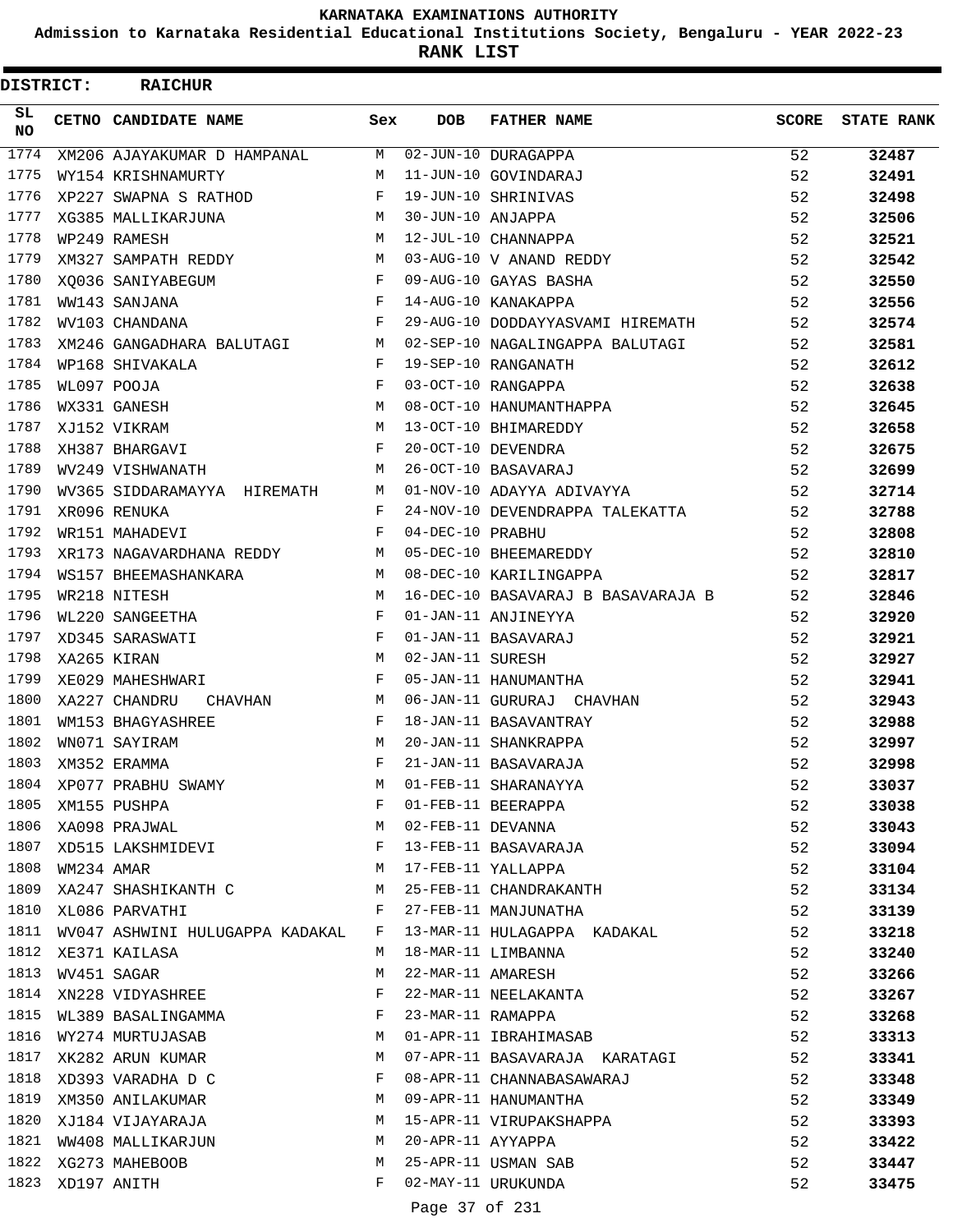**Admission to Karnataka Residential Educational Institutions Society, Bengaluru - YEAR 2022-23**

**RANK LIST**

| DISTRICT: |                  | <b>RAICHUR</b>                  |              |                   |                                    |              |                   |
|-----------|------------------|---------------------------------|--------------|-------------------|------------------------------------|--------------|-------------------|
| SL<br>NO. |                  | CETNO CANDIDATE NAME            | Sex          | <b>DOB</b>        | <b>FATHER NAME</b>                 | <b>SCORE</b> | <b>STATE RANK</b> |
| 1774      |                  | XM206 AJAYAKUMAR D HAMPANAL     | M            |                   | 02-JUN-10 DURAGAPPA                | 52           | 32487             |
| 1775      |                  | WY154 KRISHNAMURTY              | M            |                   | 11-JUN-10 GOVINDARAJ               | 52           | 32491             |
| 1776      |                  | XP227 SWAPNA S RATHOD           | F            |                   | 19-JUN-10 SHRINIVAS                | 52           | 32498             |
| 1777      |                  | XG385 MALLIKARJUNA              | М            | 30-JUN-10 ANJAPPA |                                    | 52           | 32506             |
| 1778      |                  | WP249 RAMESH                    | M            |                   | 12-JUL-10 CHANNAPPA                | 52           | 32521             |
| 1779      |                  | XM327 SAMPATH REDDY             | М            |                   | 03-AUG-10 V ANAND REDDY            | 52           | 32542             |
| 1780      |                  | XO036 SANIYABEGUM               | F            |                   | 09-AUG-10 GAYAS BASHA              | 52           | 32550             |
| 1781      |                  | WW143 SANJANA                   | F            |                   | 14-AUG-10 KANAKAPPA                | 52           | 32556             |
| 1782      |                  | WV103 CHANDANA                  | F            |                   | 29-AUG-10 DODDAYYASVAMI HIREMATH   | 52           | 32574             |
| 1783      |                  | XM246 GANGADHARA BALUTAGI       | М            |                   | 02-SEP-10 NAGALINGAPPA BALUTAGI    | 52           | 32581             |
| 1784      |                  | WP168 SHIVAKALA                 | $_{\rm F}$   |                   | 19-SEP-10 RANGANATH                | 52           | 32612             |
| 1785      |                  | WL097 POOJA                     | F            |                   | 03-OCT-10 RANGAPPA                 | 52           | 32638             |
| 1786      |                  | WX331 GANESH                    | M            |                   | 08-OCT-10 HANUMANTHAPPA            | 52           | 32645             |
| 1787      |                  | XJ152 VIKRAM                    | M            |                   | 13-OCT-10 BHIMAREDDY               | 52           | 32658             |
| 1788      |                  | XH387 BHARGAVI                  | F            |                   | 20-OCT-10 DEVENDRA                 | 52           | 32675             |
| 1789      |                  | WV249 VISHWANATH                | M            |                   | 26-OCT-10 BASAVARAJ                | 52           | 32699             |
| 1790      |                  | WV365 SIDDARAMAYYA HIREMATH     | М            |                   | 01-NOV-10 ADAYYA ADIVAYYA          | 52           | 32714             |
| 1791      |                  | XR096 RENUKA                    | F            |                   | 24-NOV-10 DEVENDRAPPA TALEKATTA    | 52           | 32788             |
| 1792      |                  | WR151 MAHADEVI                  | F            | 04-DEC-10 PRABHU  |                                    | 52           | 32808             |
| 1793      |                  | XR173 NAGAVARDHANA REDDY        | М            |                   | 05-DEC-10 BHEEMAREDDY              | 52           | 32810             |
| 1794      |                  | WS157 BHEEMASHANKARA            | M            |                   | 08-DEC-10 KARILINGAPPA             | 52           | 32817             |
| 1795      |                  | WR218 NITESH                    | M            |                   | 16-DEC-10 BASAVARAJ B BASAVARAJA B | 52           | 32846             |
| 1796      |                  | WL220 SANGEETHA                 | F            |                   | 01-JAN-11 ANJINEYYA                | 52           | 32920             |
| 1797      |                  | XD345 SARASWATI                 | F            |                   | 01-JAN-11 BASAVARAJ                | 52           | 32921             |
| 1798      |                  | XA265 KIRAN                     | M            | 02-JAN-11 SURESH  |                                    | 52           | 32927             |
| 1799      |                  | XE029 MAHESHWARI                | F            |                   | 05-JAN-11 HANUMANTHA               | 52           | 32941             |
| 1800      |                  | XA227 CHANDRU<br>CHAVHAN        | M            |                   | 06-JAN-11 GURURAJ CHAVHAN          | 52           | 32943             |
| 1801      |                  | WM153 BHAGYASHREE               | F            |                   | 18-JAN-11 BASAVANTRAY              | 52           | 32988             |
| 1802      |                  | WN071 SAYIRAM                   | M            |                   | 20-JAN-11 SHANKRAPPA               | 52           | 32997             |
| 1803      |                  | XM352 ERAMMA                    | F            |                   | 21-JAN-11 BASAVARAJA               | 52           | 32998             |
|           |                  | 1804 XP077 PRABHU SWAMY         | M            |                   | 01-FEB-11 SHARANAYYA               | 52           | 33037             |
| 1805      |                  | XM155 PUSHPA                    | F            |                   | 01-FEB-11 BEERAPPA                 | 52           |                   |
| 1806      |                  |                                 | M            | 02-FEB-11 DEVANNA |                                    |              | 33038             |
|           |                  | XA098 PRAJWAL                   |              |                   |                                    | 52           | 33043             |
| 1808      |                  | 1807 XD515 LAKSHMIDEVI F        |              |                   | 13-FEB-11 BASAVARAJA               | 52           | 33094             |
|           | WM234 AMAR       |                                 | М            |                   | 17-FEB-11 YALLAPPA                 | 52           | 33104             |
| 1809      |                  | XA247 SHASHIKANTH C             | М            |                   | 25-FEB-11 CHANDRAKANTH             | 52           | 33134             |
| 1810      |                  | XL086 PARVATHI                  | F            |                   | 27-FEB-11 MANJUNATHA               | 52           | 33139             |
| 1811      |                  | WV047 ASHWINI HULUGAPPA KADAKAL | F            |                   | 13-MAR-11 HULAGAPPA KADAKAL        | 52           | 33218             |
| 1812      |                  | XE371 KAILASA                   | М            |                   | 18-MAR-11 LIMBANNA                 | 52           | 33240             |
| 1813      |                  | WV451 SAGAR                     | М            | 22-MAR-11 AMARESH |                                    | 52           | 33266             |
| 1814      |                  | XN228 VIDYASHREE                | $\mathbf{F}$ |                   | 22-MAR-11 NEELAKANTA               | 52           | 33267             |
|           |                  | 1815 WL389 BASALINGAMMA         | F            | 23-MAR-11 RAMAPPA |                                    | 52           | 33268             |
|           |                  | 1816 WY274 MURTUJASAB           | М            |                   | 01-APR-11 IBRAHIMASAB              | 52           | 33313             |
| 1817      |                  | XK282 ARUN KUMAR                | М            |                   | 07-APR-11 BASAVARAJA KARATAGI      | 52           | 33341             |
| 1818      |                  | XD393 VARADHA D C               | F            |                   | 08-APR-11 CHANNABASAWARAJ          | 52           | 33348             |
| 1819      |                  | XM350 ANILAKUMAR                | М            |                   | 09-APR-11 HANUMANTHA               | 52           | 33349             |
|           |                  | 1820 XJ184 VIJAYARAJA           | M            |                   | 15-APR-11 VIRUPAKSHAPPA            | 52           | 33393             |
| 1821      |                  | WW408 MALLIKARJUN               | М            | 20-APR-11 AYYAPPA |                                    | 52           | 33422             |
|           |                  | 1822 XG273 MAHEBOOB             | М            |                   | 25-APR-11 USMAN SAB                | 52           | 33447             |
|           | 1823 XD197 ANITH |                                 | F            |                   | 02-MAY-11 URUKUNDA                 | 52           | 33475             |
|           |                  |                                 |              | Page 37 of 231    |                                    |              |                   |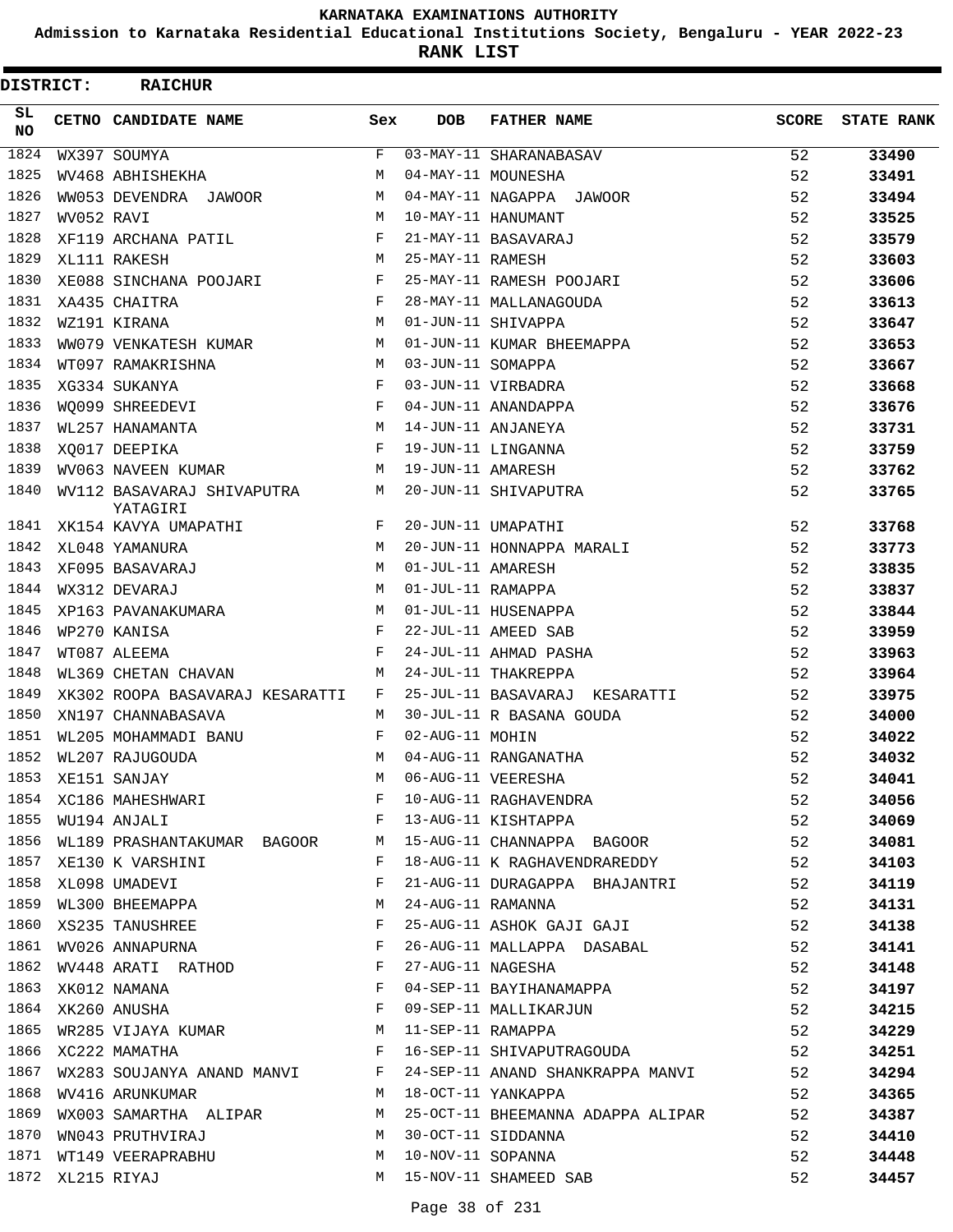**Admission to Karnataka Residential Educational Institutions Society, Bengaluru - YEAR 2022-23**

**RANK LIST**

| DISTRICT:        |                  | <b>RAICHUR</b>                                                                                                                             |     |                   |                                                                   |       |                   |
|------------------|------------------|--------------------------------------------------------------------------------------------------------------------------------------------|-----|-------------------|-------------------------------------------------------------------|-------|-------------------|
| SL.<br><b>NO</b> |                  | CETNO CANDIDATE NAME                                                                                                                       | Sex | <b>DOB</b>        | <b>FATHER NAME</b>                                                | SCORE | <b>STATE RANK</b> |
| 1824             |                  | WX397 SOUMYA                                                                                                                               | F   |                   | 03-MAY-11 SHARANABASAV                                            | 52    | 33490             |
| 1825             |                  | WV468 ABHISHEKHA                                                                                                                           | M   |                   | 04-MAY-11 MOUNESHA                                                | 52    | 33491             |
| 1826             |                  | WW053 DEVENDRA JAWOOR                                                                                                                      | M   |                   | 04-MAY-11 NAGAPPA JAWOOR                                          | 52    | 33494             |
| 1827             | WV052 RAVI       |                                                                                                                                            | М   |                   | 10-MAY-11 HANUMANT                                                | 52    | 33525             |
| 1828             |                  | XF119 ARCHANA PATIL                                                                                                                        | F   |                   | 21-MAY-11 BASAVARAJ                                               | 52    | 33579             |
| 1829             |                  | XL111 RAKESH                                                                                                                               | M   | 25-MAY-11 RAMESH  |                                                                   | 52    | 33603             |
| 1830             |                  | XE088 SINCHANA POOJARI                                                                                                                     | F   |                   | 25-MAY-11 RAMESH POOJARI                                          | 52    | 33606             |
| 1831             |                  | XA435 CHAITRA                                                                                                                              | F   |                   | 28-MAY-11 MALLANAGOUDA                                            | 52    | 33613             |
| 1832             |                  | WZ191 KIRANA                                                                                                                               | M   |                   | 01-JUN-11 SHIVAPPA                                                | 52    | 33647             |
| 1833             |                  | WW079 VENKATESH KUMAR                                                                                                                      | М   |                   | 01-JUN-11 KUMAR BHEEMAPPA                                         | 52    | 33653             |
| 1834             |                  | WT097 RAMAKRISHNA                                                                                                                          | M   | 03-JUN-11 SOMAPPA |                                                                   | 52    | 33667             |
| 1835             |                  | XG334 SUKANYA                                                                                                                              | F   |                   | 03-JUN-11 VIRBADRA                                                | 52    | 33668             |
| 1836             |                  | WO099 SHREEDEVI                                                                                                                            | F   |                   | 04-JUN-11 ANANDAPPA                                               | 52    | 33676             |
| 1837             |                  | WL257 HANAMANTA                                                                                                                            | M   |                   | 14-JUN-11 ANJANEYA                                                | 52    | 33731             |
| 1838             |                  | XQ017 DEEPIKA                                                                                                                              | F   |                   | 19-JUN-11 LINGANNA                                                | 52    | 33759             |
| 1839             |                  | WV063 NAVEEN KUMAR                                                                                                                         | М   | 19-JUN-11 AMARESH |                                                                   | 52    | 33762             |
| 1840             |                  | WV112 BASAVARAJ SHIVAPUTRA<br>YATAGIRI                                                                                                     | M   |                   | 20-JUN-11 SHIVAPUTRA                                              | 52    | 33765             |
| 1841             |                  | XK154 KAVYA UMAPATHI                                                                                                                       | F   |                   | 20-JUN-11 UMAPATHI                                                | 52    | 33768             |
| 1842             |                  | XL048 YAMANURA                                                                                                                             | M   |                   | 20-JUN-11 HONNAPPA MARALI                                         | 52    | 33773             |
| 1843             |                  | XF095 BASAVARAJ                                                                                                                            | М   | 01-JUL-11 AMARESH |                                                                   | 52    | 33835             |
| 1844             |                  | WX312 DEVARAJ                                                                                                                              | M   | 01-JUL-11 RAMAPPA |                                                                   | 52    | 33837             |
| 1845             |                  | XP163 PAVANAKUMARA                                                                                                                         | М   |                   | 01-JUL-11 HUSENAPPA                                               | 52    | 33844             |
| 1846             |                  | WP270 KANISA                                                                                                                               | F   |                   | 22-JUL-11 AMEED SAB                                               | 52    | 33959             |
| 1847             |                  | WT087 ALEEMA                                                                                                                               | F   |                   | 24-JUL-11 AHMAD PASHA                                             | 52    | 33963             |
| 1848             |                  | WL369 CHETAN CHAVAN                                                                                                                        | M   |                   | 24-JUL-11 THAKREPPA                                               | 52    | 33964             |
| 1849             |                  | XK302 ROOPA BASAVARAJ KESARATTI                                                                                                            | F   |                   | 25-JUL-11 BASAVARAJ KESARATTI                                     | 52    | 33975             |
| 1850             |                  | XN197 CHANNABASAVA                                                                                                                         | M   |                   | 30-JUL-11 R BASANA GOUDA                                          | 52    | 34000             |
| 1851             |                  | WL205 MOHAMMADI BANU                                                                                                                       | F   | 02-AUG-11 MOHIN   |                                                                   | 52    | 34022             |
| 1852             |                  | WL207 RAJUGOUDA                                                                                                                            | M   |                   | 04-AUG-11 RANGANATHA                                              | 52    | 34032             |
| 1853             |                  | XE151 SANJAY M<br>XC186 MAHESHWARI F                                                                                                       |     |                   | 06-AUG-11 VEERESHA<br>06-AUG-11 VEERESHA<br>10-AUG-11 RAGHAVENDRA | 52    | 34041             |
| 1854             |                  |                                                                                                                                            |     |                   |                                                                   | 52    | 34056             |
| 1855             |                  | WU194 ANJALI F                                                                                                                             |     |                   | 13-AUG-11 KISHTAPPA                                               | 52    | 34069             |
|                  |                  | 1856 WL189 PRASHANTAKUMAR BAGOOR M                                                                                                         |     |                   | 15-AUG-11 CHANNAPPA BAGOOR                                        | 52    | 34081             |
| 1857             |                  | XE130 K VARSHINI                                                                                                                           | F   |                   | 18-AUG-11 K RAGHAVENDRAREDDY                                      | 52    | 34103             |
|                  |                  | 1858 XL098 UMADEVI                                                                                                                         | F   |                   | 21-AUG-11 DURAGAPPA BHAJANTRI                                     | 52    | 34119             |
|                  |                  | 1859 WL300 BHEEMAPPA M                                                                                                                     |     |                   | 24-AUG-11 RAMANNA                                                 | 52    | 34131             |
|                  |                  | XS235 TANUSHREE<br>WV026 ANNAPURNA F<br>1860 XS235 TANUSHREE                                                                               |     |                   | 25-AUG-11 ASHOK GAJI GAJI                                         | 52    | 34138             |
| 1861             |                  |                                                                                                                                            |     |                   | 26-AUG-11 MALLAPPA DASABAL                                        | 52    | 34141             |
| 1862             |                  | WV448 ARATI RATHOD F                                                                                                                       |     |                   | 27-AUG-11 NAGESHA                                                 | 52    | 34148             |
|                  |                  | $\mathbf{F}$ and $\mathbf{F}$ and $\mathbf{F}$<br>1863 XK012 NAMANA                                                                        |     |                   | 04-SEP-11 BAYIHANAMAPPA                                           | 52    | 34197             |
|                  |                  | $\mathbf{F}^{\mathcal{A}}_{\mathcal{A}}=\mathbf{F}^{\mathcal{A}}_{\mathcal{A}}\mathbf{F}^{\mathcal{A}}_{\mathcal{A}}$<br>1864 XK260 ANUSHA |     |                   | 09-SEP-11 MALLIKARJUN<br>11-SEP-11 RAMAPPA                        | 52    | 34215             |
| 1865             |                  | WR285 VIJAYA KUMAR M                                                                                                                       |     |                   | 11-SEP-11 RAMAPPA                                                 | 52    | 34229             |
|                  |                  | 1866 XC222 MAMATHA<br>. The contract of the contract of $\mathbf{F}$ and $\mathbf{F}$                                                      |     |                   | 16-SEP-11 SHIVAPUTRAGOUDA 52                                      |       | 34251             |
| 1867             |                  |                                                                                                                                            |     |                   | WX283 SOUJANYA ANAND MANVI F 24-SEP-11 ANAND SHANKRAPPA MANVI 52  |       | 34294             |
|                  |                  | 1868 WV416 ARUNKUMAR                                                                                                                       |     |                   | M 18-OCT-11 YANKAPPA                                              | 52    | 34365             |
| 1869             |                  |                                                                                                                                            |     |                   | WX003 SAMARTHA ALIPAR M 25-OCT-11 BHEEMANNA ADAPPA ALIPAR 52      |       | 34387             |
| 1870             |                  | WN043 PRUTHVIRAJ M                                                                                                                         |     |                   | 30-OCT-11 SIDDANNA                                                | 52    | 34410             |
|                  |                  | 1871 WT149 VEERAPRABHU M                                                                                                                   |     |                   | 10-NOV-11 SOPANNA                                                 | 52    | 34448             |
|                  | 1872 XL215 RIYAJ |                                                                                                                                            |     |                   | M 15-NOV-11 SHAMEED SAB                                           | 52    | 34457             |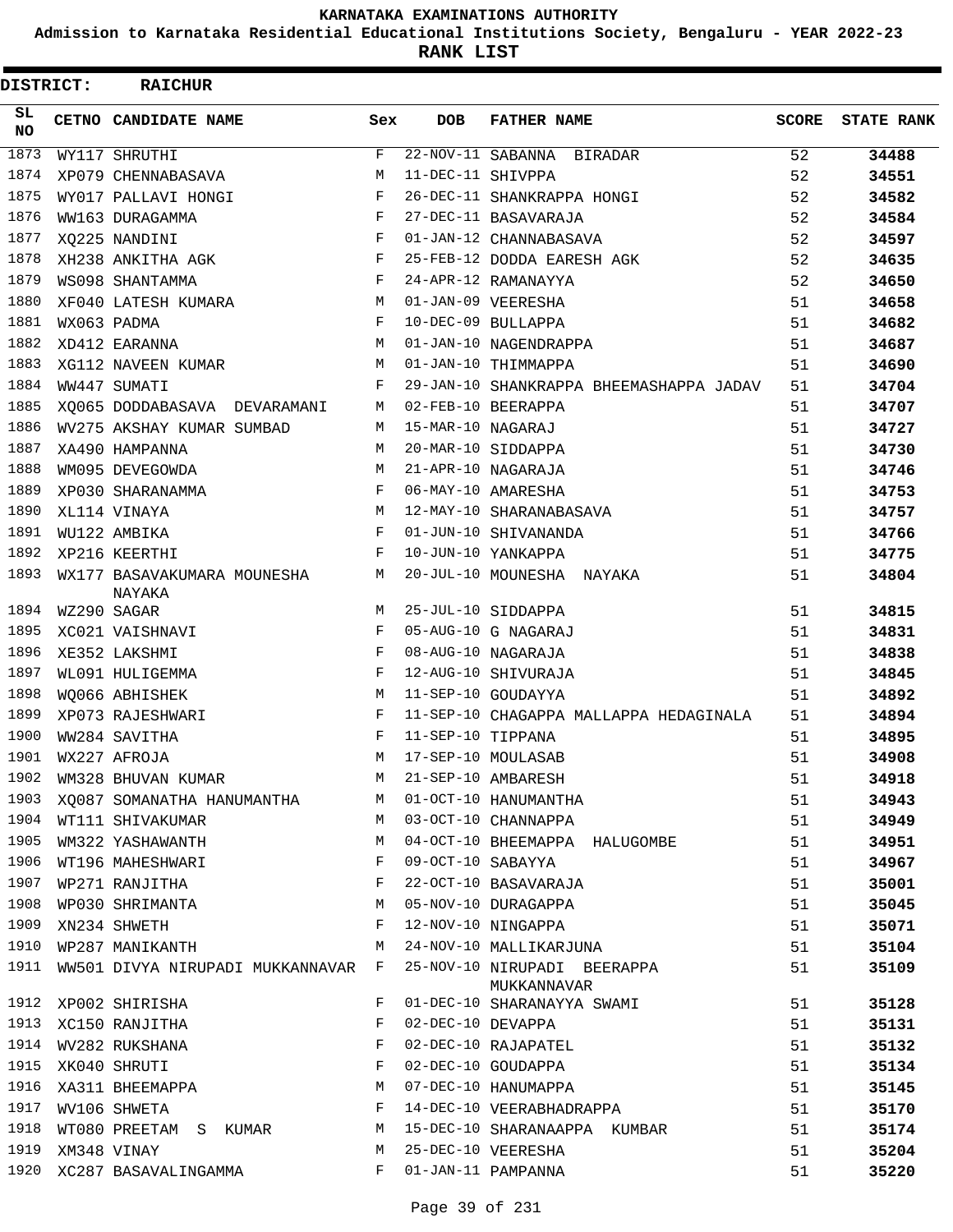**Admission to Karnataka Residential Educational Institutions Society, Bengaluru - YEAR 2022-23**

**RANK LIST**

Е

| DISTRICT:        | <b>RAICHUR</b>                       |     |                   |                                            |       |                   |
|------------------|--------------------------------------|-----|-------------------|--------------------------------------------|-------|-------------------|
| SL.<br><b>NO</b> | CETNO CANDIDATE NAME                 | Sex | <b>DOB</b>        | <b>FATHER NAME</b>                         | SCORE | <b>STATE RANK</b> |
| 1873             | WY117 SHRUTHI                        | F   |                   | 22-NOV-11 SABANNA BIRADAR                  | 52    | 34488             |
| 1874             | XP079 CHENNABASAVA                   | М   | 11-DEC-11 SHIVPPA |                                            | 52    | 34551             |
| 1875             | WY017 PALLAVI HONGI                  | F   |                   | 26-DEC-11 SHANKRAPPA HONGI                 | 52    | 34582             |
| 1876             | WW163 DURAGAMMA                      | F   |                   | 27-DEC-11 BASAVARAJA                       | 52    | 34584             |
| 1877             | XQ225 NANDINI                        | F   |                   | 01-JAN-12 CHANNABASAVA                     | 52    | 34597             |
| 1878             | XH238 ANKITHA AGK                    | F   |                   | 25-FEB-12 DODDA EARESH AGK                 | 52    | 34635             |
| 1879             | WS098 SHANTAMMA                      | F   |                   | 24-APR-12 RAMANAYYA                        | 52    | 34650             |
| 1880             | XF040 LATESH KUMARA                  | M   |                   | 01-JAN-09 VEERESHA                         | 51    | 34658             |
| 1881             | WX063 PADMA                          | F   |                   | 10-DEC-09 BULLAPPA                         | 51    | 34682             |
| 1882             | XD412 EARANNA                        | М   |                   | 01-JAN-10 NAGENDRAPPA                      | 51    | 34687             |
| 1883             | XG112 NAVEEN KUMAR                   | М   |                   | 01-JAN-10 THIMMAPPA                        | 51    | 34690             |
| 1884             | WW447 SUMATI                         | F   |                   | 29-JAN-10 SHANKRAPPA BHEEMASHAPPA JADAV    | 51    | 34704             |
| 1885             | XQ065 DODDABASAVA DEVARAMANI         | M   |                   | 02-FEB-10 BEERAPPA                         | 51    | 34707             |
| 1886             | WV275 AKSHAY KUMAR SUMBAD            | М   | 15-MAR-10 NAGARAJ |                                            | 51    | 34727             |
| 1887             | XA490 HAMPANNA                       | М   |                   | 20-MAR-10 SIDDAPPA                         | 51    | 34730             |
| 1888             | WM095 DEVEGOWDA                      | М   |                   | 21-APR-10 NAGARAJA                         | 51    | 34746             |
| 1889             | XP030 SHARANAMMA                     | F   |                   | 06-MAY-10 AMARESHA                         | 51    | 34753             |
| 1890             | XL114 VINAYA                         | M   |                   | 12-MAY-10 SHARANABASAVA                    | 51    | 34757             |
| 1891             | WU122 AMBIKA                         | F   |                   | 01-JUN-10 SHIVANANDA                       | 51    | 34766             |
| 1892             | XP216 KEERTHI                        | F   |                   | 10-JUN-10 YANKAPPA                         | 51    | 34775             |
| 1893             | WX177 BASAVAKUMARA MOUNESHA          | М   |                   | 20-JUL-10 MOUNESHA NAYAKA                  | 51    | 34804             |
| 1894             | NAYAKA<br>WZ290 SAGAR                | M   |                   | 25-JUL-10 SIDDAPPA                         | 51    | 34815             |
| 1895             | XC021 VAISHNAVI                      | F   |                   | 05-AUG-10 G NAGARAJ                        | 51    | 34831             |
| 1896             | XE352 LAKSHMI                        | F   |                   | 08-AUG-10 NAGARAJA                         | 51    | 34838             |
| 1897             | WL091 HULIGEMMA                      | F   |                   | 12-AUG-10 SHIVURAJA                        | 51    | 34845             |
| 1898             | WQ066 ABHISHEK                       | М   |                   | 11-SEP-10 GOUDAYYA                         | 51    | 34892             |
| 1899             | XP073 RAJESHWARI                     | F   |                   | 11-SEP-10 CHAGAPPA MALLAPPA HEDAGINALA     | 51    | 34894             |
| 1900             | WW284 SAVITHA                        | F   | 11-SEP-10 TIPPANA |                                            | 51    | 34895             |
| 1901             | WX227 AFROJA                         | M   |                   | 17-SEP-10 MOULASAB                         | 51    | 34908             |
| 1902             | WM328 BHUVAN KUMAR                   | М   |                   | 21-SEP-10 AMBARESH                         | 51    | 34918             |
| 1903             |                                      | М   |                   | 01-OCT-10 HANUMANTHA                       | 51    | 34943             |
| 1904             | XQ087 SOMANATHA HANUMANTHA           | М   |                   | 03-OCT-10 CHANNAPPA                        | 51    |                   |
| 1905             | WT111 SHIVAKUMAR<br>WM322 YASHAWANTH | М   |                   |                                            |       | 34949             |
| 1906             |                                      | F   | 09-OCT-10 SABAYYA | 04-OCT-10 BHEEMAPPA HALUGOMBE              | 51    | 34951             |
| 1907             | WT196 MAHESHWARI                     | F   |                   |                                            | 51    | 34967             |
|                  | WP271 RANJITHA                       |     |                   | 22-OCT-10 BASAVARAJA                       | 51    | 35001             |
| 1908             | WP030 SHRIMANTA                      | М   |                   | 05-NOV-10 DURAGAPPA                        | 51    | 35045             |
| 1909             | XN234 SHWETH                         | F   |                   | 12-NOV-10 NINGAPPA                         | 51    | 35071             |
| 1910             | WP287 MANIKANTH                      | М   |                   | 24-NOV-10 MALLIKARJUNA                     | 51    | 35104             |
| 1911             | WW501 DIVYA NIRUPADI MUKKANNAVAR F   |     |                   | 25-NOV-10 NIRUPADI BEERAPPA<br>MUKKANNAVAR | 51    | 35109             |
| 1912             | XP002 SHIRISHA                       | F   |                   | 01-DEC-10 SHARANAYYA SWAMI                 | 51    | 35128             |
| 1913             | XC150 RANJITHA                       | F   | 02-DEC-10 DEVAPPA |                                            | 51    | 35131             |
| 1914             | WV282 RUKSHANA                       | F   |                   | 02-DEC-10 RAJAPATEL                        | 51    | 35132             |
| 1915             | XK040 SHRUTI                         | F   |                   | 02-DEC-10 GOUDAPPA                         | 51    | 35134             |
| 1916             | XA311 BHEEMAPPA                      | M   |                   | 07-DEC-10 HANUMAPPA                        | 51    | 35145             |
| 1917             | WV106 SHWETA                         | F   |                   | 14-DEC-10 VEERABHADRAPPA                   | 51    | 35170             |
| 1918             | WT080 PREETAM S KUMAR                | М   |                   | 15-DEC-10 SHARANAAPPA KUMBAR               | 51    | 35174             |
| 1919             | XM348 VINAY                          | М   |                   | 25-DEC-10 VEERESHA                         | 51    | 35204             |
| 1920             | XC287 BASAVALINGAMMA                 | F   |                   | 01-JAN-11 PAMPANNA                         | 51    | 35220             |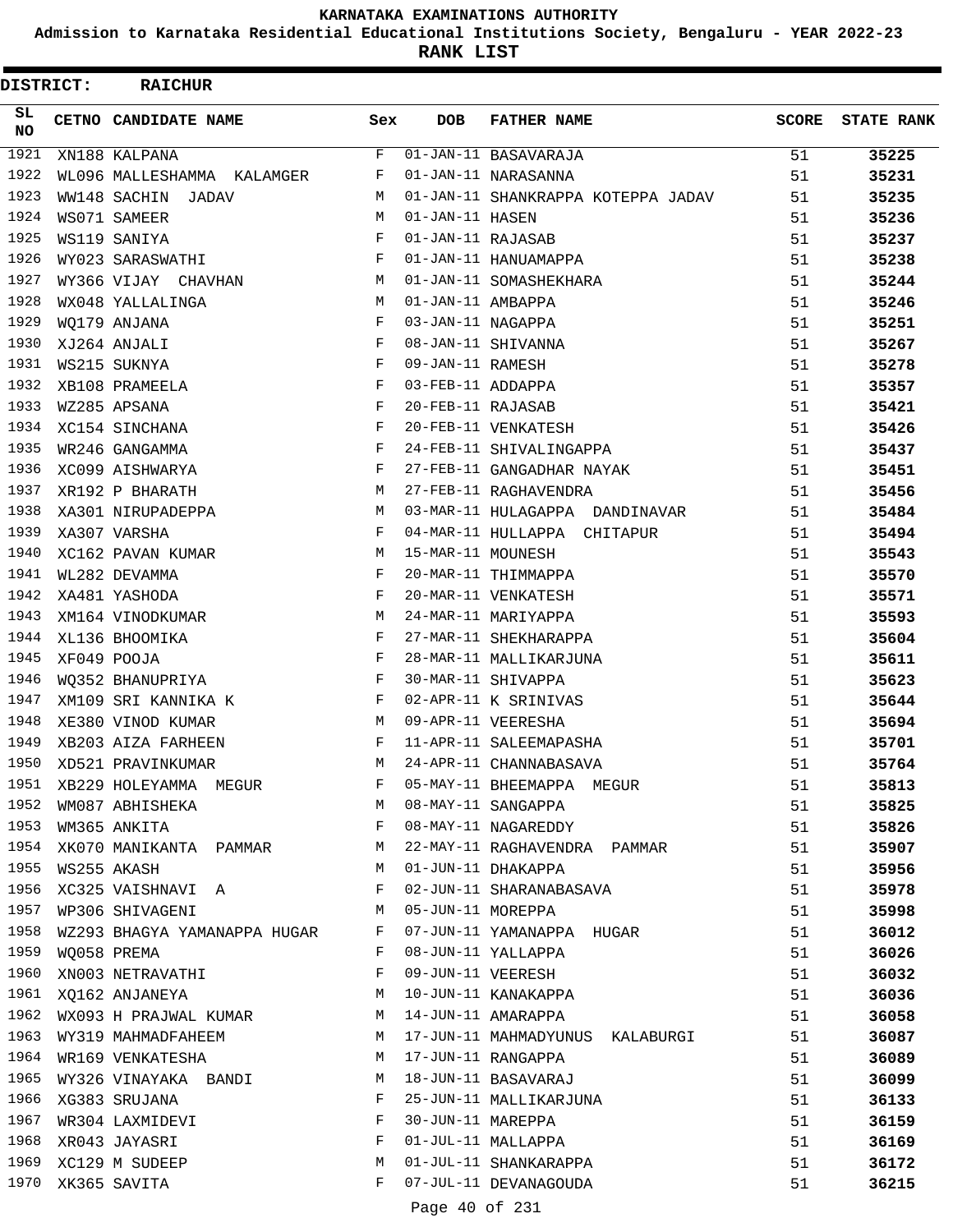**Admission to Karnataka Residential Educational Institutions Society, Bengaluru - YEAR 2022-23**

**RANK LIST**

| DISTRICT: | <b>RAICHUR</b>                 |                          |                   |                                    |              |                   |
|-----------|--------------------------------|--------------------------|-------------------|------------------------------------|--------------|-------------------|
| SL.<br>NO | CETNO CANDIDATE NAME           | Sex                      | <b>DOB</b>        | <b>FATHER NAME</b>                 | <b>SCORE</b> | <b>STATE RANK</b> |
| 1921      | XN188 KALPANA                  | F                        |                   | 01-JAN-11 BASAVARAJA               | 51           | 35225             |
| 1922      | WL096 MALLESHAMMA KALAMGER     | F                        |                   | 01-JAN-11 NARASANNA                | 51           | 35231             |
| 1923      | WW148 SACHIN JADAV             | M                        |                   | 01-JAN-11 SHANKRAPPA KOTEPPA JADAV | 51           | 35235             |
| 1924      | WS071 SAMEER                   | М                        | 01-JAN-11 HASEN   |                                    | 51           | 35236             |
| 1925      | WS119 SANIYA                   | F                        | 01-JAN-11 RAJASAB |                                    | 51           | 35237             |
| 1926      | WY023 SARASWATHI               | F                        |                   | 01-JAN-11 HANUAMAPPA               | 51           | 35238             |
| 1927      | WY366 VIJAY CHAVHAN            | M                        |                   | 01-JAN-11 SOMASHEKHARA             | 51           | 35244             |
| 1928      | WX048 YALLALINGA               | М                        | 01-JAN-11 AMBAPPA |                                    | 51           | 35246             |
| 1929      | WO179 ANJANA                   | F                        | 03-JAN-11 NAGAPPA |                                    | 51           | 35251             |
| 1930      | XJ264 ANJALI                   | F                        |                   | 08-JAN-11 SHIVANNA                 | 51           | 35267             |
| 1931      | WS215 SUKNYA                   | F                        | 09-JAN-11 RAMESH  |                                    | 51           | 35278             |
| 1932      | XB108 PRAMEELA                 | F                        | 03-FEB-11 ADDAPPA |                                    | 51           | 35357             |
| 1933      | WZ285 APSANA                   | F                        | 20-FEB-11 RAJASAB |                                    | 51           | 35421             |
| 1934      | XC154 SINCHANA                 | F                        |                   | 20-FEB-11 VENKATESH                | 51           | 35426             |
| 1935      | WR246 GANGAMMA                 | $_{\rm F}$               |                   | 24-FEB-11 SHIVALINGAPPA            | 51           | 35437             |
| 1936      | XC099 AISHWARYA                | F                        |                   | 27-FEB-11 GANGADHAR NAYAK          | 51           | 35451             |
| 1937      | XR192 P BHARATH                | M                        |                   | 27-FEB-11 RAGHAVENDRA              | 51           | 35456             |
| 1938      | XA301 NIRUPADEPPA              | М                        |                   | 03-MAR-11 HULAGAPPA DANDINAVAR     | 51           | 35484             |
| 1939      | XA307 VARSHA                   | F                        |                   | 04-MAR-11 HULLAPPA CHITAPUR        | 51           | 35494             |
| 1940      | XC162 PAVAN KUMAR              | M                        | 15-MAR-11 MOUNESH |                                    | 51           | 35543             |
| 1941      | WL282 DEVAMMA                  | F                        |                   | 20-MAR-11 THIMMAPPA                | 51           | 35570             |
| 1942      | XA481 YASHODA                  | $_{\rm F}$               |                   | 20-MAR-11 VENKATESH                | 51           | 35571             |
| 1943      | XM164 VINODKUMAR               | M                        |                   | 24-MAR-11 MARIYAPPA                | 51           | 35593             |
| 1944      | XL136 BHOOMIKA                 | F                        |                   | 27-MAR-11 SHEKHARAPPA              | 51           | 35604             |
| 1945      | XF049 POOJA                    | F                        |                   | 28-MAR-11 MALLIKARJUNA             | 51           | 35611             |
| 1946      | WQ352 BHANUPRIYA               | $_{\rm F}$               |                   | 30-MAR-11 SHIVAPPA                 | 51           | 35623             |
| 1947      | XM109 SRI KANNIKA K            | $\mathbf{F}$             |                   | 02-APR-11 K SRINIVAS               | 51           | 35644             |
| 1948      | XE380 VINOD KUMAR              | M                        |                   | 09-APR-11 VEERESHA                 | 51           | 35694             |
| 1949      | XB203 AIZA FARHEEN             | F                        |                   | 11-APR-11 SALEEMAPASHA             | 51           | 35701             |
| 1950      | XD521 PRAVINKUMAR              | M                        |                   | 24-APR-11 CHANNABASAVA             | 51           | 35764             |
| 1951      | XB229 HOLEYAMMA MEGUR          | $F$ and                  |                   | 05-MAY-11 BHEEMAPPA MEGUR          | 51           | 35813             |
| 1952      | WM087 ABHISHEKA M              |                          |                   | 08-MAY-11 SANGAPPA                 | 51           | 35825             |
| 1953      | WM365 ANKITA                   | in the state of the Fig. |                   | 08-MAY-11 NAGAREDDY                | 51           | 35826             |
|           | 1954 XK070 MANIKANTA PAMMAR M  |                          |                   | 22-MAY-11 RAGHAVENDRA PAMMAR       | 51           | 35907             |
| 1955      | WS255 AKASH                    | M                        |                   | 01-JUN-11 DHAKAPPA                 | 51           | 35956             |
| 1956      | XC325 VAISHNAVI A              | F                        |                   | 02-JUN-11 SHARANABASAVA            | 51           | 35978             |
| 1957      | WP306 SHIVAGENI M              |                          |                   | 05-JUN-11 MOREPPA                  | 51           | 35998             |
| 1958      | WZ293 BHAGYA YAMANAPPA HUGAR F |                          |                   | 07-JUN-11 YAMANAPPA HUGAR          | 51           | 36012             |
| 1959      | WQ058 PREMA                    | $\mathbf{F}$             |                   | 08-JUN-11 YALLAPPA                 | 51           | 36026             |
| 1960      | XN003 NETRAVATHI               | F                        |                   | 09-JUN-11 VEERESH                  | 51           | 36032             |
|           | 1961 XQ162 ANJANEYA M          |                          |                   | 10-JUN-11 KANAKAPPA                | 51           | 36036             |
|           | 1962 WX093 H PRAJWAL KUMAR M   |                          |                   | 14-JUN-11 AMARAPPA                 | 51           | 36058             |
|           | 1963 WY319 MAHMADFAHEEM        | M                        |                   | 17-JUN-11 MAHMADYUNUS KALABURGI    | 51           | 36087             |
| 1964      | WR169 VENKATESHA               | M                        |                   | 17-JUN-11 RANGAPPA                 | 51           | 36089             |
| 1965      | WY326 VINAYAKA BANDI           | М                        |                   | 18-JUN-11 BASAVARAJ                | 51           | 36099             |
|           | 1966 XG383 SRUJANA             | F                        |                   | 25-JUN-11 MALLIKARJUNA             | 51           | 36133             |
|           | 1967 WR304 LAXMIDEVI           | F                        | 30-JUN-11 MAREPPA |                                    | 51           | 36159             |
|           | 1968 XR043 JAYASRI             | F                        |                   | 01-JUL-11 MALLAPPA                 | 51           | 36169             |
| 1969      | XC129 M SUDEEP                 | М                        |                   | 01-JUL-11 SHANKARAPPA              | 51           | 36172             |
|           | 1970 XK365 SAVITA              | F                        |                   | 07-JUL-11 DEVANAGOUDA              | 51           | 36215             |
|           |                                |                          | Page 40 of 231    |                                    |              |                   |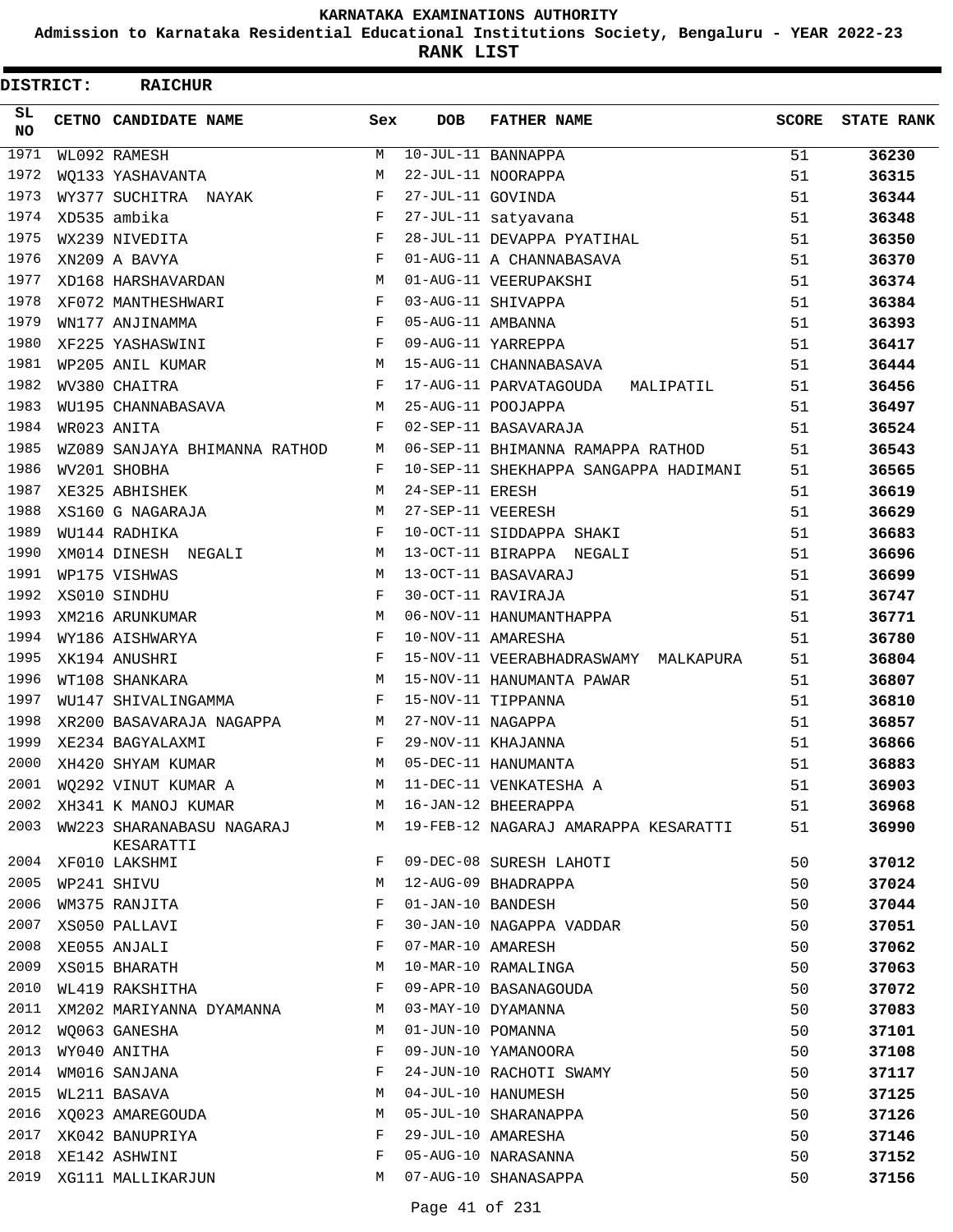**Admission to Karnataka Residential Educational Institutions Society, Bengaluru - YEAR 2022-23**

**RANK LIST**

| DISTRICT:        | <b>RAICHUR</b>                         |            |                   |                                        |              |                   |
|------------------|----------------------------------------|------------|-------------------|----------------------------------------|--------------|-------------------|
| SL.<br><b>NO</b> | CETNO CANDIDATE NAME                   | Sex        | <b>DOB</b>        | <b>FATHER NAME</b>                     | <b>SCORE</b> | <b>STATE RANK</b> |
| 1971             | WL092 RAMESH                           | М          |                   | 10-JUL-11 BANNAPPA                     | 51           | 36230             |
| 1972             | WQ133 YASHAVANTA                       | М          |                   | 22-JUL-11 NOORAPPA                     | 51           | 36315             |
| 1973             | WY377 SUCHITRA NAYAK                   | F          | 27-JUL-11 GOVINDA |                                        | 51           | 36344             |
| 1974             | XD535 ambika                           | $_{\rm F}$ |                   | 27-JUL-11 satyavana                    | 51           | 36348             |
| 1975             | WX239 NIVEDITA                         | F          |                   | 28-JUL-11 DEVAPPA PYATIHAL             | 51           | 36350             |
| 1976             | XN209 A BAVYA                          | $_{\rm F}$ |                   | 01-AUG-11 A CHANNABASAVA               | 51           | 36370             |
| 1977             | XD168 HARSHAVARDAN                     | M          |                   | 01-AUG-11 VEERUPAKSHI                  | 51           | 36374             |
| 1978             | XF072 MANTHESHWARI                     | F          |                   | 03-AUG-11 SHIVAPPA                     | 51           | 36384             |
| 1979             | WN177 ANJINAMMA                        | F          | 05-AUG-11 AMBANNA |                                        | 51           | 36393             |
| 1980             | XF225 YASHASWINI                       | F          |                   | 09-AUG-11 YARREPPA                     | 51           | 36417             |
| 1981             | WP205 ANIL KUMAR                       | М          |                   | 15-AUG-11 CHANNABASAVA                 | 51           | 36444             |
| 1982             | WV380 CHAITRA                          | F          |                   | 17-AUG-11 PARVATAGOUDA<br>MALIPATIL    | 51           | 36456             |
| 1983             | WU195 CHANNABASAVA                     | M          |                   | 25-AUG-11 POOJAPPA                     | 51           | 36497             |
| 1984             | WR023 ANITA                            | F          |                   | 02-SEP-11 BASAVARAJA                   | 51           | 36524             |
| 1985             | WZ089 SANJAYA BHIMANNA RATHOD          | М          |                   | 06-SEP-11 BHIMANNA RAMAPPA RATHOD      | 51           | 36543             |
| 1986             | WV201 SHOBHA                           | F          |                   | 10-SEP-11 SHEKHAPPA SANGAPPA HADIMANI  | 51           | 36565             |
| 1987             | XE325 ABHISHEK                         | M          | 24-SEP-11 ERESH   |                                        | 51           | 36619             |
| 1988             | XS160 G NAGARAJA                       | М          | 27-SEP-11 VEERESH |                                        | 51           | 36629             |
| 1989             | WU144 RADHIKA                          | F          |                   | 10-OCT-11 SIDDAPPA SHAKI               | 51           | 36683             |
| 1990             | XM014 DINESH NEGALI                    | М          |                   | 13-OCT-11 BIRAPPA NEGALI               | 51           | 36696             |
| 1991             | WP175 VISHWAS                          | M          |                   | 13-OCT-11 BASAVARAJ                    | 51           | 36699             |
| 1992             | XS010 SINDHU                           | F          |                   | 30-OCT-11 RAVIRAJA                     | 51           | 36747             |
| 1993             | XM216 ARUNKUMAR                        | M          |                   | 06-NOV-11 HANUMANTHAPPA                | 51           | 36771             |
| 1994             | WY186 AISHWARYA                        | F          |                   | 10-NOV-11 AMARESHA                     | 51           | 36780             |
| 1995             | XK194 ANUSHRI                          | F          |                   | 15-NOV-11 VEERABHADRASWAMY MALKAPURA   | 51           | 36804             |
| 1996             | WT108 SHANKARA                         | М          |                   | 15-NOV-11 HANUMANTA PAWAR              | 51           | 36807             |
| 1997             | WU147 SHIVALINGAMMA                    | F          |                   | 15-NOV-11 TIPPANNA                     | 51           | 36810             |
| 1998             | XR200 BASAVARAJA NAGAPPA               | M          | 27-NOV-11 NAGAPPA |                                        | 51           | 36857             |
| 1999             | XE234 BAGYALAXMI                       | F          |                   | 29-NOV-11 KHAJANNA                     | 51           | 36866             |
| 2000             | XH420 SHYAM KUMAR                      | M          |                   | 05-DEC-11 HANUMANTA                    | 51           | 36883             |
| 2001             | WQ292 VINUT KUMAR A                    |            |                   | M 11-DEC-11 VENKATESHA A               | 51           | 36903             |
| 2002             | XH341 K MANOJ KUMAR                    |            |                   | M 16-JAN-12 BHEERAPPA                  | 51           | 36968             |
| 2003             | WW223 SHARANABASU NAGARAJ<br>KESARATTI |            |                   | M 19-FEB-12 NAGARAJ AMARAPPA KESARATTI | 51           | 36990             |
| 2004             | XF010 LAKSHMI                          | F          |                   | 09-DEC-08 SURESH LAHOTI                | 50           | 37012             |
| 2005             | WP241 SHIVU                            | М          |                   | 12-AUG-09 BHADRAPPA                    | 50           | 37024             |
| 2006             | WM375 RANJITA                          | F          | 01-JAN-10 BANDESH |                                        | 50           | 37044             |
| 2007             | XS050 PALLAVI                          | F          |                   | 30-JAN-10 NAGAPPA VADDAR               | 50           | 37051             |
| 2008             | XE055 ANJALI                           | F          | 07-MAR-10 AMARESH |                                        | 50           | 37062             |
| 2009             | XS015 BHARATH                          | М          |                   | 10-MAR-10 RAMALINGA                    | 50           | 37063             |
| 2010             | WL419 RAKSHITHA                        | F          |                   | 09-APR-10 BASANAGOUDA                  | 50           | 37072             |
| 2011             | XM202 MARIYANNA DYAMANNA               | M          |                   | 03-MAY-10 DYAMANNA                     | 50           | 37083             |
| 2012             | WQ063 GANESHA                          | М          | 01-JUN-10 POMANNA |                                        | 50           | 37101             |
| 2013             | WY040 ANITHA                           | F          |                   | 09-JUN-10 YAMANOORA                    | 50           | 37108             |
| 2014             | WM016 SANJANA                          | F          |                   | 24-JUN-10 RACHOTI SWAMY                | 50           | 37117             |
| 2015             | WL211 BASAVA                           | М          |                   | 04-JUL-10 HANUMESH                     | 50           | 37125             |
| 2016             | XQ023 AMAREGOUDA                       | М          |                   | 05-JUL-10 SHARANAPPA                   | 50           | 37126             |
| 2017             | XK042 BANUPRIYA                        | F          |                   | 29-JUL-10 AMARESHA                     | 50           | 37146             |
| 2018             | XE142 ASHWINI                          | F          |                   | 05-AUG-10 NARASANNA                    | 50           | 37152             |
| 2019             | XG111 MALLIKARJUN                      | M          |                   | 07-AUG-10 SHANASAPPA                   | 50           | 37156             |
|                  |                                        |            |                   |                                        |              |                   |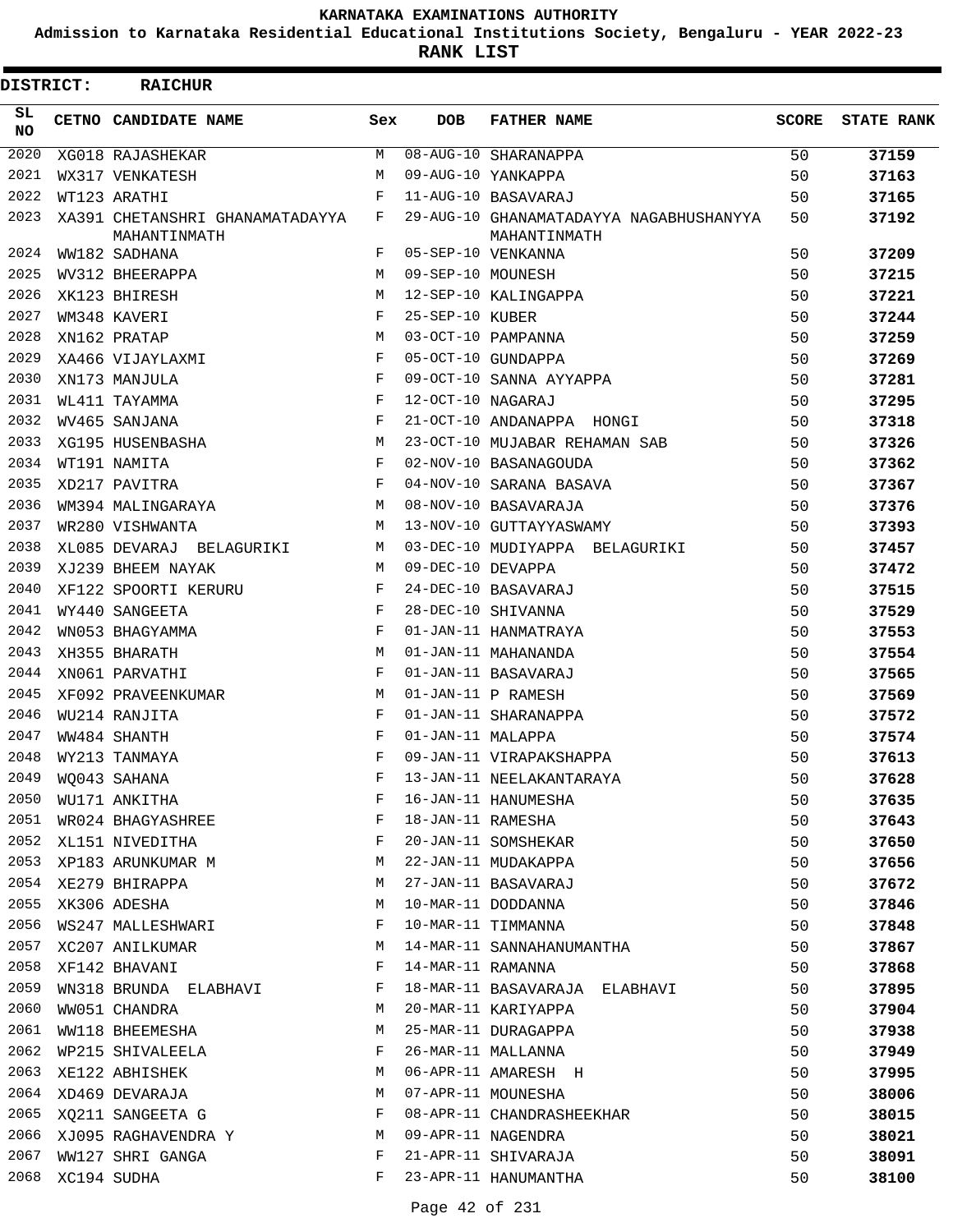**Admission to Karnataka Residential Educational Institutions Society, Bengaluru - YEAR 2022-23**

**RANK LIST**

| <b>DISTRICT:</b> | <b>RAICHUR</b>                                  |     |                   |                                                         |              |                   |
|------------------|-------------------------------------------------|-----|-------------------|---------------------------------------------------------|--------------|-------------------|
| SL.<br>NO.       | CETNO CANDIDATE NAME                            | Sex | <b>DOB</b>        | <b>FATHER NAME</b>                                      | <b>SCORE</b> | <b>STATE RANK</b> |
| 2020             | XG018 RAJASHEKAR                                | M   |                   | 08-AUG-10 SHARANAPPA                                    | 50           | 37159             |
| 2021             | WX317 VENKATESH                                 | М   |                   | 09-AUG-10 YANKAPPA                                      | 50           | 37163             |
| 2022             | WT123 ARATHI                                    | F   |                   | 11-AUG-10 BASAVARAJ                                     | 50           | 37165             |
| 2023             | XA391 CHETANSHRI GHANAMATADAYYA<br>MAHANTINMATH | F   |                   | 29-AUG-10 GHANAMATADAYYA NAGABHUSHANYYA<br>MAHANTINMATH | 50           | 37192             |
| 2024             | WW182 SADHANA                                   | F   |                   | 05-SEP-10 VENKANNA                                      | 50           | 37209             |
| 2025             | WV312 BHEERAPPA                                 | М   | 09-SEP-10 MOUNESH |                                                         | 50           | 37215             |
| 2026             | XK123 BHIRESH                                   | М   |                   | 12-SEP-10 KALINGAPPA                                    | 50           | 37221             |
| 2027             | WM348 KAVERI                                    | F   | 25-SEP-10 KUBER   |                                                         | 50           | 37244             |
| 2028             | XN162 PRATAP                                    | M   |                   | 03-OCT-10 PAMPANNA                                      | 50           | 37259             |
| 2029             | XA466 VIJAYLAXMI                                | F   |                   | 05-OCT-10 GUNDAPPA                                      | 50           | 37269             |
| 2030             | XN173 MANJULA                                   | F   |                   | 09-OCT-10 SANNA AYYAPPA                                 | 50           | 37281             |
| 2031             | WL411 TAYAMMA                                   | F   | 12-OCT-10 NAGARAJ |                                                         | 50           | 37295             |
| 2032             | WV465 SANJANA                                   | F   |                   | 21-OCT-10 ANDANAPPA HONGI                               | 50           | 37318             |
| 2033             | XG195 HUSENBASHA                                | M   |                   | 23-OCT-10 MUJABAR REHAMAN SAB                           | 50           | 37326             |
| 2034             | WT191 NAMITA                                    | F   |                   | 02-NOV-10 BASANAGOUDA                                   | 50           | 37362             |
| 2035             | XD217 PAVITRA                                   | F   |                   | 04-NOV-10 SARANA BASAVA                                 | 50           | 37367             |
| 2036             | WM394 MALINGARAYA                               | М   |                   | 08-NOV-10 BASAVARAJA                                    | 50           | 37376             |
| 2037             | WR280 VISHWANTA                                 | M   |                   | 13-NOV-10 GUTTAYYASWAMY                                 | 50           | 37393             |
| 2038             | XL085 DEVARAJ BELAGURIKI                        | М   |                   | 03-DEC-10 MUDIYAPPA BELAGURIKI                          | 50           | 37457             |
| 2039             | XJ239 BHEEM NAYAK                               | М   | 09-DEC-10 DEVAPPA |                                                         | 50           | 37472             |
| 2040             | XF122 SPOORTI KERURU                            | F   |                   | 24-DEC-10 BASAVARAJ                                     | 50           | 37515             |
| 2041             | WY440 SANGEETA                                  | F   |                   | 28-DEC-10 SHIVANNA                                      | 50           | 37529             |
| 2042             | WN053 BHAGYAMMA                                 | F   |                   | 01-JAN-11 HANMATRAYA                                    | 50           | 37553             |
| 2043             | XH355 BHARATH                                   | М   |                   | 01-JAN-11 MAHANANDA                                     | 50           | 37554             |
| 2044             | XN061 PARVATHI                                  | F   |                   | 01-JAN-11 BASAVARAJ                                     | 50           | 37565             |
| 2045             | XF092 PRAVEENKUMAR                              | М   |                   | 01-JAN-11 P RAMESH                                      | 50           | 37569             |
| 2046             | WU214 RANJITA                                   | F   |                   | 01-JAN-11 SHARANAPPA                                    | 50           | 37572             |
| 2047             | WW484 SHANTH                                    | F   | 01-JAN-11 MALAPPA |                                                         | 50           | 37574             |
| 2048             | WY213 TANMAYA                                   | F   |                   | 09-JAN-11 VIRAPAKSHAPPA                                 | 50           | 37613             |
| 2049             | WQ043 SAHANA                                    | F   |                   | 13-JAN-11 NEELAKANTARAYA                                | 50           | 37628             |
| 2050             | WU171 ANKITHA                                   | F   |                   | 16-JAN-11 HANUMESHA                                     | 50           | 37635             |
| 2051             | WR024 BHAGYASHREE                               | F   | 18-JAN-11 RAMESHA |                                                         | 50           | 37643             |
| 2052             | XL151 NIVEDITHA                                 | F   |                   | 20-JAN-11 SOMSHEKAR                                     | 50           | 37650             |
| 2053             | XP183 ARUNKUMAR M                               | М   |                   | 22-JAN-11 MUDAKAPPA                                     | 50           | 37656             |
| 2054             | XE279 BHIRAPPA                                  | М   |                   | 27-JAN-11 BASAVARAJ                                     | 50           | 37672             |
| 2055             | XK306 ADESHA                                    | М   |                   | 10-MAR-11 DODDANNA                                      | 50           | 37846             |
| 2056             | WS247 MALLESHWARI                               | F   |                   | 10-MAR-11 TIMMANNA                                      | 50           | 37848             |
| 2057             | XC207 ANILKUMAR                                 | М   |                   | 14-MAR-11 SANNAHANUMANTHA                               | 50           | 37867             |
| 2058             | XF142 BHAVANI                                   | F   | 14-MAR-11 RAMANNA |                                                         | 50           | 37868             |
| 2059             | WN318 BRUNDA ELABHAVI                           | F   |                   | 18-MAR-11 BASAVARAJA ELABHAVI                           | 50           | 37895             |
| 2060             | WW051 CHANDRA                                   | М   |                   | 20-MAR-11 KARIYAPPA                                     | 50           | 37904             |
| 2061             | WW118 BHEEMESHA                                 | М   |                   | 25-MAR-11 DURAGAPPA                                     | 50           | 37938             |
| 2062             | WP215 SHIVALEELA                                | F   |                   | 26-MAR-11 MALLANNA                                      | 50           | 37949             |
| 2063             | XE122 ABHISHEK                                  | М   |                   | 06-APR-11 AMARESH H                                     | 50           | 37995             |
| 2064             | XD469 DEVARAJA                                  | М   |                   | 07-APR-11 MOUNESHA                                      | 50           | 38006             |
| 2065             | XQ211 SANGEETA G                                | F   |                   | 08-APR-11 CHANDRASHEEKHAR                               | 50           | 38015             |
| 2066             | XJ095 RAGHAVENDRA Y                             | М   |                   | 09-APR-11 NAGENDRA                                      | 50           | 38021             |
| 2067             | WW127 SHRI GANGA                                | F   |                   | 21-APR-11 SHIVARAJA                                     | 50           | 38091             |
| 2068             | XC194 SUDHA                                     | F   |                   | 23-APR-11 HANUMANTHA                                    | 50           | 38100             |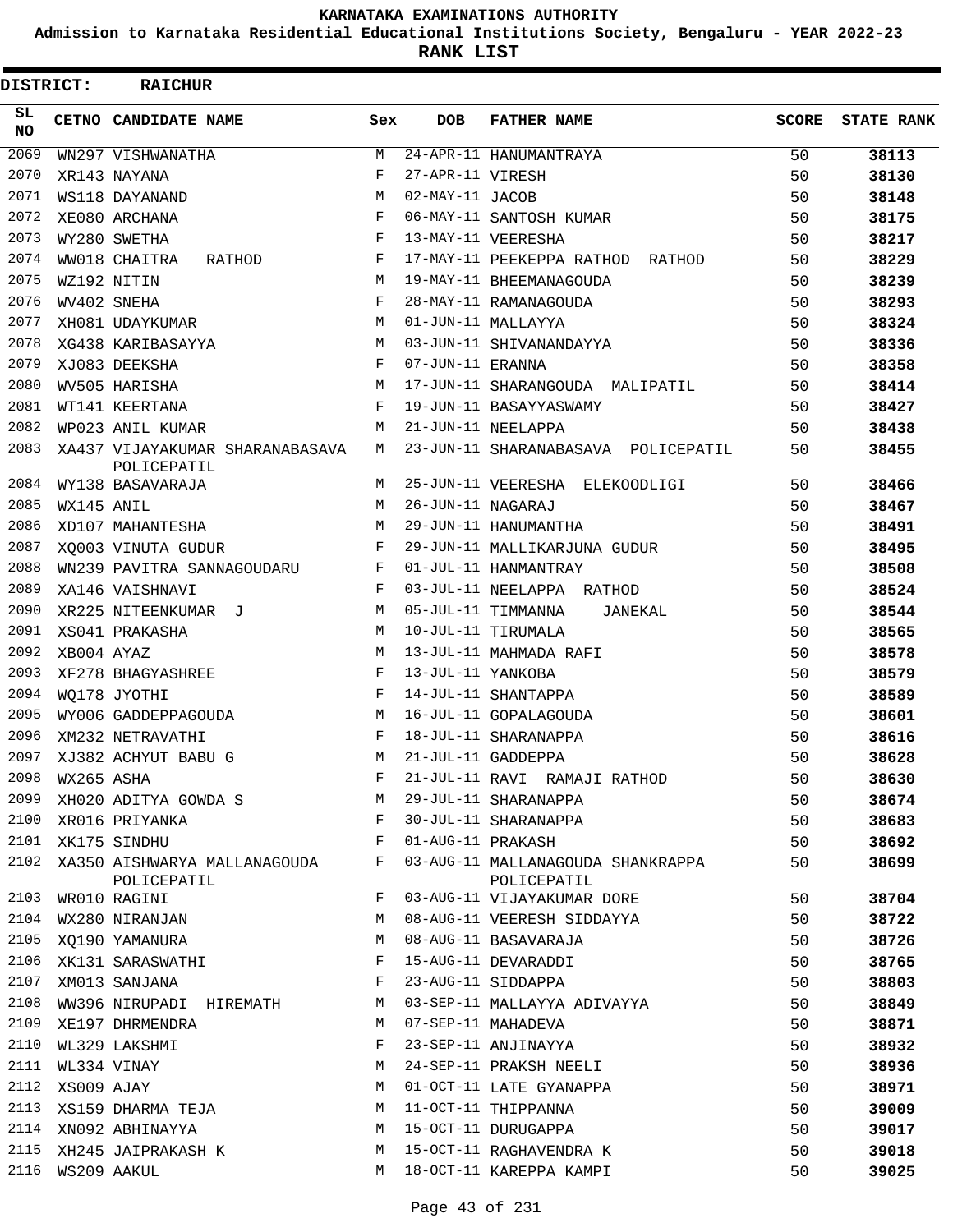**Admission to Karnataka Residential Educational Institutions Society, Bengaluru - YEAR 2022-23**

**RANK LIST**

| <b>DISTRICT:</b> |            | <b>RAICHUR</b>                                 |              |                   |                                                  |              |                   |
|------------------|------------|------------------------------------------------|--------------|-------------------|--------------------------------------------------|--------------|-------------------|
| SL.<br><b>NO</b> |            | CETNO CANDIDATE NAME                           | Sex          | <b>DOB</b>        | <b>FATHER NAME</b>                               | <b>SCORE</b> | <b>STATE RANK</b> |
| 2069             |            | WN297 VISHWANATHA                              | М            |                   | 24-APR-11 HANUMANTRAYA                           | 50           | 38113             |
| 2070             |            | XR143 NAYANA                                   | F            | 27-APR-11 VIRESH  |                                                  | 50           | 38130             |
| 2071             |            | WS118 DAYANAND                                 | M            | 02-MAY-11 JACOB   |                                                  | 50           | 38148             |
| 2072             |            | XE080 ARCHANA                                  | F            |                   | 06-MAY-11 SANTOSH KUMAR                          | 50           | 38175             |
| 2073             |            | WY280 SWETHA                                   | F            |                   | 13-MAY-11 VEERESHA                               | 50           | 38217             |
| 2074             |            | WW018 CHAITRA<br>RATHOD                        | F            |                   | 17-MAY-11 PEEKEPPA RATHOD RATHOD                 | 50           | 38229             |
| 2075             |            | WZ192 NITIN                                    | M            |                   | 19-MAY-11 BHEEMANAGOUDA                          | 50           | 38239             |
| 2076             |            | WV402 SNEHA                                    | F            |                   | 28-MAY-11 RAMANAGOUDA                            | 50           | 38293             |
| 2077             |            | XH081 UDAYKUMAR                                | M            |                   | 01-JUN-11 MALLAYYA                               | 50           | 38324             |
| 2078             |            | XG438 KARIBASAYYA                              | М            |                   | 03-JUN-11 SHIVANANDAYYA                          | 50           | 38336             |
| 2079             |            | XJ083 DEEKSHA                                  | $\mathbf{F}$ | 07-JUN-11 ERANNA  |                                                  | 50           | 38358             |
| 2080             |            | WV505 HARISHA                                  | M            |                   | 17-JUN-11 SHARANGOUDA MALIPATIL                  | 50           | 38414             |
| 2081             |            | WT141 KEERTANA                                 | $_{\rm F}$   |                   | 19-JUN-11 BASAYYASWAMY                           | 50           | 38427             |
| 2082             |            | WP023 ANIL KUMAR                               | M            |                   | 21-JUN-11 NEELAPPA                               | 50           | 38438             |
| 2083             |            | XA437 VIJAYAKUMAR SHARANABASAVA<br>POLICEPATIL | М            |                   | 23-JUN-11 SHARANABASAVA POLICEPATIL              | 50           | 38455             |
| 2084             |            | WY138 BASAVARAJA                               | M            |                   | 25-JUN-11 VEERESHA ELEKOODLIGI                   | 50           | 38466             |
| 2085             | WX145 ANIL |                                                | M            | 26-JUN-11 NAGARAJ |                                                  | 50           | 38467             |
| 2086             |            | XD107 MAHANTESHA                               | М            |                   | 29-JUN-11 HANUMANTHA                             | 50           | 38491             |
| 2087             |            | XO003 VINUTA GUDUR                             | F            |                   | 29-JUN-11 MALLIKARJUNA GUDUR                     | 50           | 38495             |
| 2088             |            | WN239 PAVITRA SANNAGOUDARU                     | F            |                   | 01-JUL-11 HANMANTRAY                             | 50           | 38508             |
| 2089             |            | XA146 VAISHNAVI                                | F            |                   | 03-JUL-11 NEELAPPA RATHOD                        | 50           | 38524             |
| 2090             |            | XR225 NITEENKUMAR J                            | М            |                   | 05-JUL-11 TIMMANNA<br>JANEKAL                    | 50           | 38544             |
| 2091             |            | XS041 PRAKASHA                                 | M            |                   | 10-JUL-11 TIRUMALA                               | 50           | 38565             |
| 2092             | XB004 AYAZ |                                                | M            |                   | 13-JUL-11 MAHMADA RAFI                           | 50           | 38578             |
| 2093             |            | XF278 BHAGYASHREE                              | F            | 13-JUL-11 YANKOBA |                                                  | 50           | 38579             |
| 2094             |            | WO178 JYOTHI                                   | F            |                   | 14-JUL-11 SHANTAPPA                              | 50           | 38589             |
| 2095             |            | WY006 GADDEPPAGOUDA                            | М            |                   | 16-JUL-11 GOPALAGOUDA                            | 50           | 38601             |
| 2096             |            | XM232 NETRAVATHI                               | F            |                   | 18-JUL-11 SHARANAPPA                             | 50           | 38616             |
| 2097             |            | XJ382 ACHYUT BABU G                            | M            |                   | 21-JUL-11 GADDEPPA                               | 50           | 38628             |
| 2098             | WX265 ASHA |                                                |              |                   | 21-JUL-11 RAVI RAMAJI RATHOD                     | 50           | 38630             |
| 2099             |            | XH020 ADITYA GOWDA S                           | М            |                   | 29-JUL-11 SHARANAPPA                             | 50           | 38674             |
| 2100             |            | XR016 PRIYANKA                                 | F            |                   | 30-JUL-11 SHARANAPPA                             | 50           | 38683             |
| 2101             |            | XK175 SINDHU                                   | F            | 01-AUG-11 PRAKASH |                                                  | 50           | 38692             |
| 2102             |            | XA350 AISHWARYA MALLANAGOUDA<br>POLICEPATIL    | F            |                   | 03-AUG-11 MALLANAGOUDA SHANKRAPPA<br>POLICEPATIL | 50           | 38699             |
| 2103             |            | WR010 RAGINI                                   | F            |                   | 03-AUG-11 VIJAYAKUMAR DORE                       | 50           | 38704             |
| 2104             |            | WX280 NIRANJAN                                 | M            |                   | 08-AUG-11 VEERESH SIDDAYYA                       | 50           | 38722             |
| 2105             |            | XO190 YAMANURA                                 | M            |                   | 08-AUG-11 BASAVARAJA                             | 50           | 38726             |
| 2106             |            | XK131 SARASWATHI                               | F            |                   | 15-AUG-11 DEVARADDI                              | 50           | 38765             |
| 2107             |            | XM013 SANJANA                                  | F            |                   | 23-AUG-11 SIDDAPPA                               | 50           | 38803             |
| 2108             |            | WW396 NIRUPADI HIREMATH                        | М            |                   | 03-SEP-11 MALLAYYA ADIVAYYA                      | 50           | 38849             |
| 2109             |            | XE197 DHRMENDRA                                | M            |                   | 07-SEP-11 MAHADEVA                               | 50           | 38871             |
| 2110             |            | WL329 LAKSHMI                                  | F            |                   | 23-SEP-11 ANJINAYYA                              | 50           | 38932             |
| 2111             |            | WL334 VINAY                                    | М            |                   | 24-SEP-11 PRAKSH NEELI                           | 50           | 38936             |
| 2112             | XS009 AJAY |                                                | M            |                   | 01-OCT-11 LATE GYANAPPA                          | 50           | 38971             |
| 2113             |            | XS159 DHARMA TEJA                              | M            |                   | 11-OCT-11 THIPPANNA                              | 50           | 39009             |
|                  |            | 2114 XN092 ABHINAYYA                           | M            |                   | 15-OCT-11 DURUGAPPA                              | 50           | 39017             |
| 2115             |            | XH245 JAIPRAKASH K                             | M            |                   | 15-OCT-11 RAGHAVENDRA K                          | 50           | 39018             |
| 2116             |            | WS209 AAKUL                                    | M            |                   | 18-OCT-11 KAREPPA KAMPI                          | 50           | 39025             |
|                  |            |                                                |              |                   |                                                  |              |                   |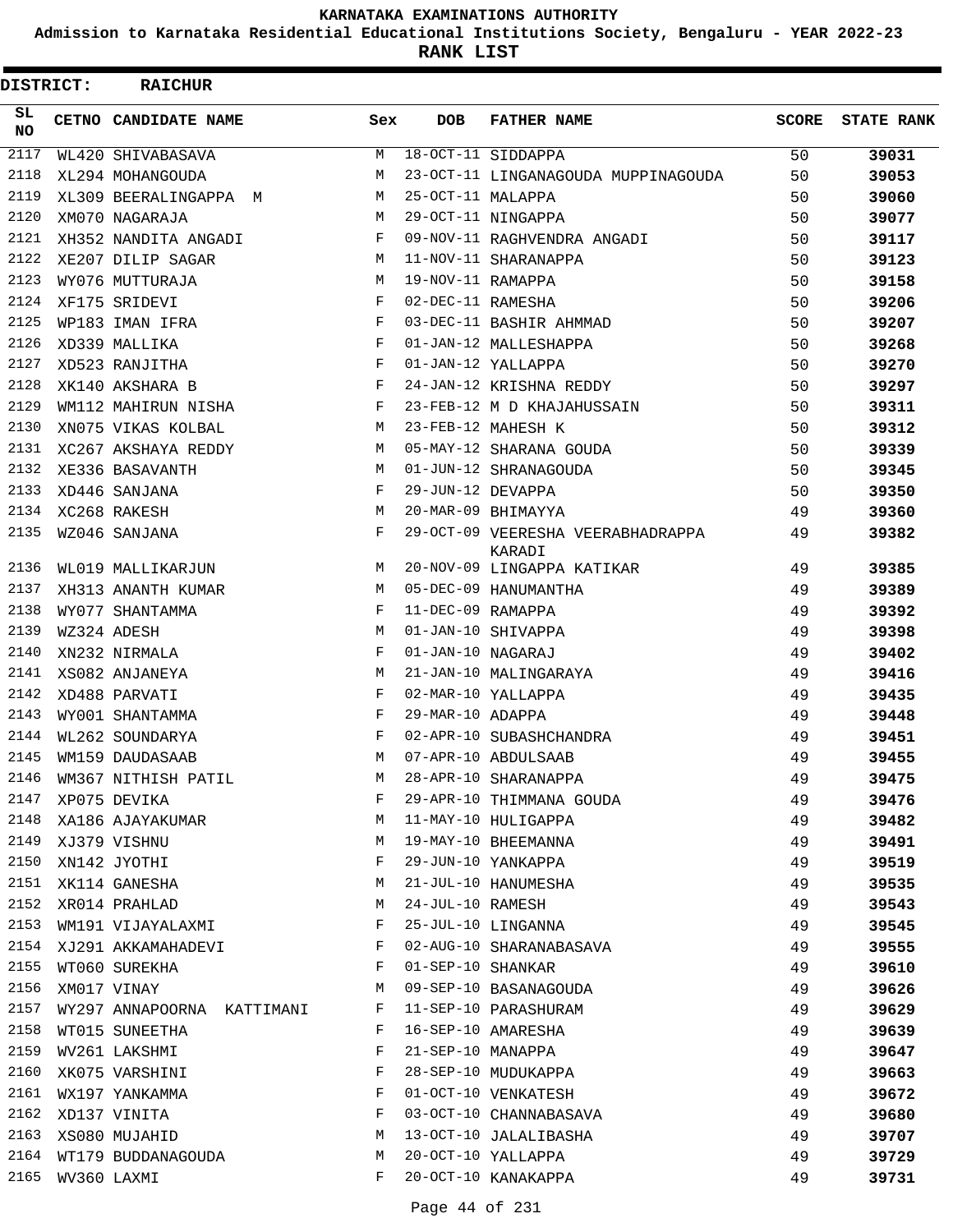**Admission to Karnataka Residential Educational Institutions Society, Bengaluru - YEAR 2022-23**

**RANK LIST**

| <b>DISTRICT:</b> | <b>RAICHUR</b>             |            |                   |                                     |              |                   |
|------------------|----------------------------|------------|-------------------|-------------------------------------|--------------|-------------------|
| SL.<br>NO.       | CETNO CANDIDATE NAME       | Sex        | <b>DOB</b>        | <b>FATHER NAME</b>                  | <b>SCORE</b> | <b>STATE RANK</b> |
| 2117             | WL420 SHIVABASAVA          | М          |                   | 18-OCT-11 SIDDAPPA                  | 50           | 39031             |
| 2118             | XL294 MOHANGOUDA           | M          |                   | 23-OCT-11 LINGANAGOUDA MUPPINAGOUDA | 50           | 39053             |
| 2119             | XL309 BEERALINGAPPA M      | M          | 25-OCT-11 MALAPPA |                                     | 50           | 39060             |
| 2120             | XM070 NAGARAJA             | M          |                   | 29-OCT-11 NINGAPPA                  | 50           | 39077             |
| 2121             | XH352 NANDITA ANGADI       | F          |                   | 09-NOV-11 RAGHVENDRA ANGADI         | 50           | 39117             |
| 2122             | XE207 DILIP SAGAR          | M          |                   | 11-NOV-11 SHARANAPPA                | 50           | 39123             |
| 2123             | WY076 MUTTURAJA            | M          | 19-NOV-11 RAMAPPA |                                     | 50           | 39158             |
| 2124             | XF175 SRIDEVI              | F          | 02-DEC-11 RAMESHA |                                     | 50           | 39206             |
| 2125             | WP183 IMAN IFRA            | $_{\rm F}$ |                   | 03-DEC-11 BASHIR AHMMAD             | 50           | 39207             |
| 2126             | XD339 MALLIKA              | F          |                   | 01-JAN-12 MALLESHAPPA               | 50           | 39268             |
| 2127             | XD523 RANJITHA             | $_{\rm F}$ |                   | 01-JAN-12 YALLAPPA                  | 50           | 39270             |
| 2128             | XK140 AKSHARA B            | F          |                   | 24-JAN-12 KRISHNA REDDY             | 50           | 39297             |
| 2129             | WM112 MAHIRUN NISHA        | F          |                   | 23-FEB-12 M D KHAJAHUSSAIN          | 50           | 39311             |
| 2130             | XN075 VIKAS KOLBAL         | М          |                   | 23-FEB-12 MAHESH K                  | 50           | 39312             |
| 2131             | XC267 AKSHAYA REDDY        | M          |                   | 05-MAY-12 SHARANA GOUDA             | 50           | 39339             |
| 2132             | XE336 BASAVANTH            | M          |                   | 01-JUN-12 SHRANAGOUDA               | 50           | 39345             |
| 2133             | XD446 SANJANA              | F          | 29-JUN-12 DEVAPPA |                                     | 50           | 39350             |
| 2134             | XC268 RAKESH               | M          |                   | 20-MAR-09 BHIMAYYA                  | 49           | 39360             |
| 2135             | WZ046 SANJANA              | F          |                   | 29-OCT-09 VEERESHA VEERABHADRAPPA   | 49           | 39382             |
|                  |                            |            |                   | KARADI                              |              |                   |
| 2136             | WL019 MALLIKARJUN          | M          |                   | 20-NOV-09 LINGAPPA KATIKAR          | 49           | 39385             |
| 2137             | XH313 ANANTH KUMAR         | M          |                   | 05-DEC-09 HANUMANTHA                | 49           | 39389             |
| 2138             | WY077 SHANTAMMA            | F          | 11-DEC-09 RAMAPPA |                                     | 49           | 39392             |
| 2139             | WZ324 ADESH                | M          |                   | 01-JAN-10 SHIVAPPA                  | 49           | 39398             |
| 2140             | XN232 NIRMALA              | F          | 01-JAN-10 NAGARAJ |                                     | 49           | 39402             |
| 2141             | XS082 ANJANEYA             | M          |                   | 21-JAN-10 MALINGARAYA               | 49           | 39416             |
| 2142             | XD488 PARVATI              | F          |                   | 02-MAR-10 YALLAPPA                  | 49           | 39435             |
| 2143             | WY001 SHANTAMMA            | F          | 29-MAR-10 ADAPPA  |                                     | 49           | 39448             |
| 2144             | WL262 SOUNDARYA            | F          |                   | 02-APR-10 SUBASHCHANDRA             | 49           | 39451             |
| 2145             | WM159 DAUDASAAB            | M          |                   | 07-APR-10 ABDULSAAB                 | 49           | 39455             |
| 2146             | WM367 NITHISH PATIL        | М          |                   | 28-APR-10 SHARANAPPA                | 49           | 39475             |
| 2147             | XP075 DEVIKA               | F          |                   | 29-APR-10 THIMMANA GOUDA            | 49           | 39476             |
| 2148             | XA186 AJAYAKUMAR           | М          |                   | 11-MAY-10 HULIGAPPA                 | 49           | 39482             |
| 2149             | XJ379 VISHNU               | М          |                   | 19-MAY-10 BHEEMANNA                 | 49           | 39491             |
| 2150             | XN142 JYOTHI               | F          |                   | 29-JUN-10 YANKAPPA                  | 49           | 39519             |
| 2151             | XK114 GANESHA              | М          |                   | 21-JUL-10 HANUMESHA                 | 49           | 39535             |
| 2152             | XR014 PRAHLAD              | М          | 24-JUL-10 RAMESH  |                                     | 49           | 39543             |
| 2153             | WM191 VIJAYALAXMI          | F          |                   | 25-JUL-10 LINGANNA                  | 49           | 39545             |
| 2154             | XJ291 AKKAMAHADEVI         | F          |                   | 02-AUG-10 SHARANABASAVA             | 49           | 39555             |
| 2155             | WT060 SUREKHA              | F          | 01-SEP-10 SHANKAR |                                     | 49           | 39610             |
| 2156             | XM017 VINAY                | М          |                   | 09-SEP-10 BASANAGOUDA               | 49           | 39626             |
| 2157             | WY297 ANNAPOORNA KATTIMANI | F          |                   | 11-SEP-10 PARASHURAM                | 49           | 39629             |
| 2158             | WT015 SUNEETHA             | F          |                   | 16-SEP-10 AMARESHA                  | 49           | 39639             |
| 2159             | WV261 LAKSHMI              | F          | 21-SEP-10 MANAPPA |                                     | 49           |                   |
| 2160             |                            | F          |                   | 28-SEP-10 MUDUKAPPA                 | 49           | 39647             |
| 2161             | XK075 VARSHINI             | F          |                   | 01-OCT-10 VENKATESH                 |              | 39663             |
| 2162             | WX197 YANKAMMA             | F          |                   | 03-OCT-10 CHANNABASAVA              | 49           | 39672             |
|                  | XD137 VINITA               |            |                   |                                     | 49           | 39680             |
| 2163             | XS080 MUJAHID              | М          |                   | 13-OCT-10 JALALIBASHA               | 49           | 39707             |
| 2164             | WT179 BUDDANAGOUDA         | М          |                   | 20-OCT-10 YALLAPPA                  | 49           | 39729             |
| 2165             | WV360 LAXMI                | F          |                   | 20-OCT-10 KANAKAPPA                 | 49           | 39731             |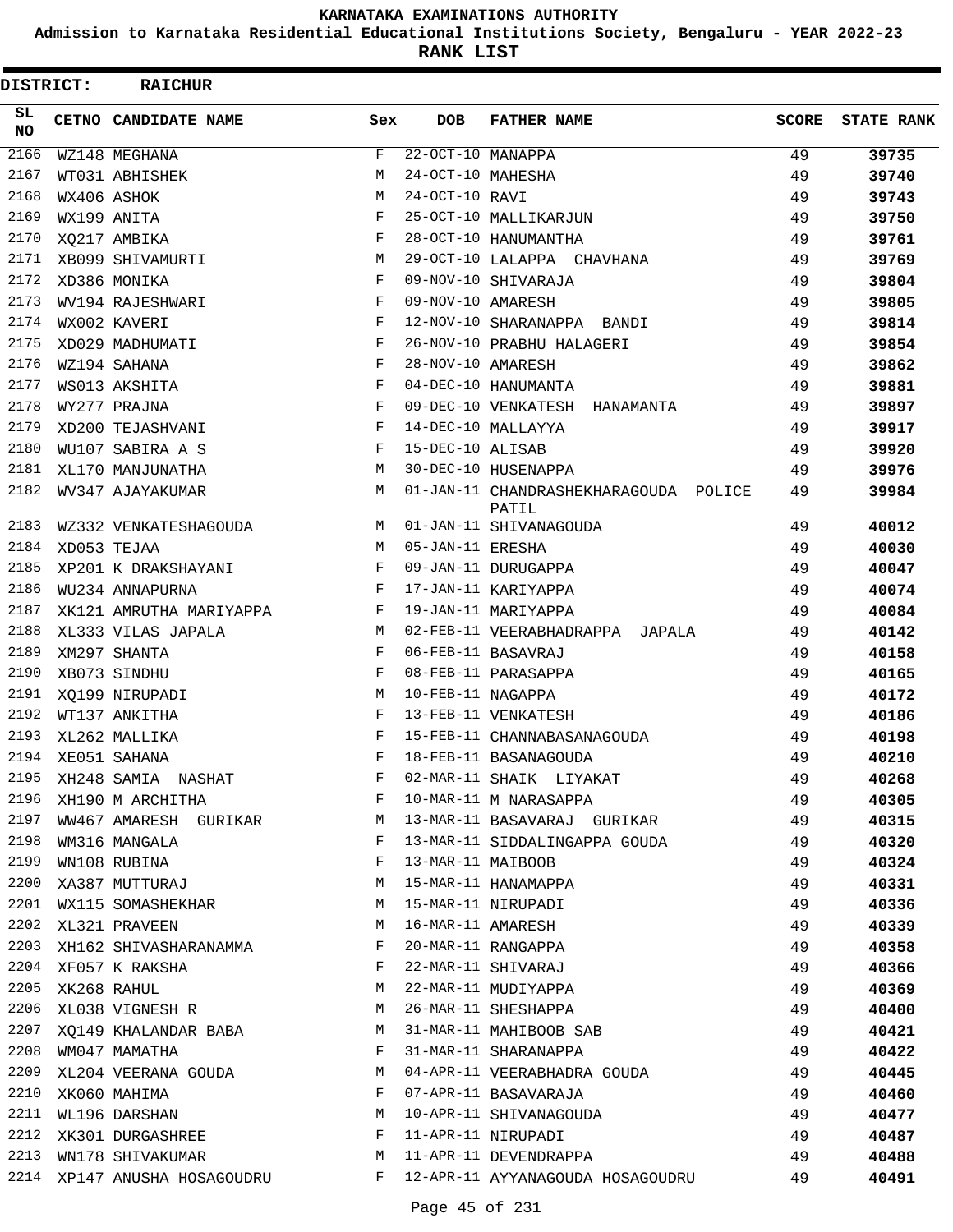**Admission to Karnataka Residential Educational Institutions Society, Bengaluru - YEAR 2022-23**

**RANK LIST**

| DISTRICT:  | <b>RAICHUR</b>          |              |                   |                                                |              |                   |
|------------|-------------------------|--------------|-------------------|------------------------------------------------|--------------|-------------------|
| SL.<br>NO. | CETNO CANDIDATE NAME    | Sex          | <b>DOB</b>        | <b>FATHER NAME</b>                             | <b>SCORE</b> | <b>STATE RANK</b> |
| 2166       | WZ148 MEGHANA           | F            | 22-OCT-10 MANAPPA |                                                | 49           | 39735             |
| 2167       | WT031 ABHISHEK          | M            | 24-OCT-10 MAHESHA |                                                | 49           | 39740             |
| 2168       | WX406 ASHOK             | M            | 24-OCT-10 RAVI    |                                                | 49           | 39743             |
| 2169       | WX199 ANITA             | $_{\rm F}$   |                   | 25-OCT-10 MALLIKARJUN                          | 49           | 39750             |
| 2170       | XO217 AMBIKA            | $_{\rm F}$   |                   | 28-OCT-10 HANUMANTHA                           | 49           | 39761             |
| 2171       | XB099 SHIVAMURTI        | M            |                   | 29-OCT-10 LALAPPA CHAVHANA                     | 49           | 39769             |
| 2172       | XD386 MONIKA            | F            |                   | 09-NOV-10 SHIVARAJA                            | 49           | 39804             |
| 2173       | WV194 RAJESHWARI        | F            | 09-NOV-10 AMARESH |                                                | 49           | 39805             |
| 2174       | WX002 KAVERI            | $_{\rm F}$   |                   | 12-NOV-10 SHARANAPPA BANDI                     | 49           | 39814             |
| 2175       | XD029 MADHUMATI         | F            |                   | 26-NOV-10 PRABHU HALAGERI                      | 49           | 39854             |
| 2176       | WZ194 SAHANA            | F            | 28-NOV-10 AMARESH |                                                | 49           | 39862             |
| 2177       | WS013 AKSHITA           | F            |                   | 04-DEC-10 HANUMANTA                            | 49           | 39881             |
| 2178       | WY277 PRAJNA            | $_{\rm F}$   |                   | 09-DEC-10 VENKATESH HANAMANTA                  | 49           | 39897             |
| 2179       | XD200 TEJASHVANI        | F            |                   | 14-DEC-10 MALLAYYA                             | 49           | 39917             |
| 2180       | WU107 SABIRA A S        | $_{\rm F}$   | 15-DEC-10 ALISAB  |                                                | 49           | 39920             |
| 2181       | XL170 MANJUNATHA        | М            |                   | 30-DEC-10 HUSENAPPA                            | 49           | 39976             |
| 2182       | WV347 AJAYAKUMAR        | М            |                   | 01-JAN-11 CHANDRASHEKHARAGOUDA POLICE<br>PATIL | 49           | 39984             |
| 2183       | WZ332 VENKATESHAGOUDA   | М            |                   | 01-JAN-11 SHIVANAGOUDA                         | 49           | 40012             |
| 2184       | XD053 TEJAA             | М            | 05-JAN-11 ERESHA  |                                                | 49           | 40030             |
| 2185       | XP201 K DRAKSHAYANI     | F            |                   | 09-JAN-11 DURUGAPPA                            | 49           | 40047             |
| 2186       | WU234 ANNAPURNA         | F            |                   | 17-JAN-11 KARIYAPPA                            | 49           | 40074             |
| 2187       | XK121 AMRUTHA MARIYAPPA | F            |                   | 19-JAN-11 MARIYAPPA                            | 49           | 40084             |
| 2188       | XL333 VILAS JAPALA      | M            |                   | 02-FEB-11 VEERABHADRAPPA JAPALA                | 49           | 40142             |
| 2189       | XM297 SHANTA            | F            |                   | 06-FEB-11 BASAVRAJ                             | 49           | 40158             |
| 2190       | XB073 SINDHU            | F            |                   | 08-FEB-11 PARASAPPA                            | 49           | 40165             |
| 2191       | XQ199 NIRUPADI          | M            | 10-FEB-11 NAGAPPA |                                                | 49           | 40172             |
| 2192       | WT137 ANKITHA           | F            |                   | 13-FEB-11 VENKATESH                            | 49           | 40186             |
| 2193       | XL262 MALLIKA           | $_{\rm F}$   |                   | 15-FEB-11 CHANNABASANAGOUDA                    | 49           | 40198             |
| 2194       | XE051 SAHANA            | F            |                   | 18-FEB-11 BASANAGOUDA                          | 49           | 40210             |
| 2195       | XH248 SAMIA NASHAT      |              |                   | 02-MAR-11 SHAIK LIYAKAT                        | 49           | 40268             |
| 2196       | XH190 M ARCHITHA        | F            |                   | 10-MAR-11 M NARASAPPA                          | 49           | 40305             |
| 2197       | WW467 AMARESH GURIKAR   | М            |                   | 13-MAR-11 BASAVARAJ GURIKAR                    | 49           | 40315             |
| 2198       | WM316 MANGALA           | F            |                   | 13-MAR-11 SIDDALINGAPPA GOUDA                  | 49           | 40320             |
| 2199       | WN108 RUBINA            | F            | 13-MAR-11 MAIBOOB |                                                | 49           | 40324             |
| 2200       | XA387 MUTTURAJ          | M            |                   | 15-MAR-11 HANAMAPPA                            | 49           | 40331             |
| 2201       | WX115 SOMASHEKHAR       | М            |                   | 15-MAR-11 NIRUPADI                             | 49           | 40336             |
| 2202       | XL321 PRAVEEN           | M            |                   | 16-MAR-11 AMARESH                              | 49           | 40339             |
| 2203       | XH162 SHIVASHARANAMMA   | F            |                   | 20-MAR-11 RANGAPPA                             | 49           | 40358             |
| 2204       | XF057 K RAKSHA          | F            |                   | 22-MAR-11 SHIVARAJ                             | 49           | 40366             |
| 2205       | XK268 RAHUL             | М            |                   | 22-MAR-11 MUDIYAPPA                            | 49           | 40369             |
| 2206       | XL038 VIGNESH R         | М            |                   | 26-MAR-11 SHESHAPPA                            | 49           | 40400             |
| 2207       | XQ149 KHALANDAR BABA    | M            |                   | 31-MAR-11 MAHIBOOB SAB                         | 49           | 40421             |
| 2208       | WM047 MAMATHA           | $\mathbf{F}$ |                   | 31-MAR-11 SHARANAPPA                           | 49           | 40422             |
| 2209       | XL204 VEERANA GOUDA     | M            |                   | 04-APR-11 VEERABHADRA GOUDA                    | 49           | 40445             |
| 2210       | XK060 MAHIMA            | F            |                   | 07-APR-11 BASAVARAJA                           | 49           | 40460             |
| 2211       | WL196 DARSHAN           | М            |                   | 10-APR-11 SHIVANAGOUDA                         | 49           | 40477             |
| 2212       | XK301 DURGASHREE        | F            |                   | 11-APR-11 NIRUPADI                             | 49           | 40487             |
| 2213       | WN178 SHIVAKUMAR        | М            |                   | 11-APR-11 DEVENDRAPPA                          | 49           | 40488             |
| 2214       | XP147 ANUSHA HOSAGOUDRU |              |                   | F 12-APR-11 AYYANAGOUDA HOSAGOUDRU             | 49           | 40491             |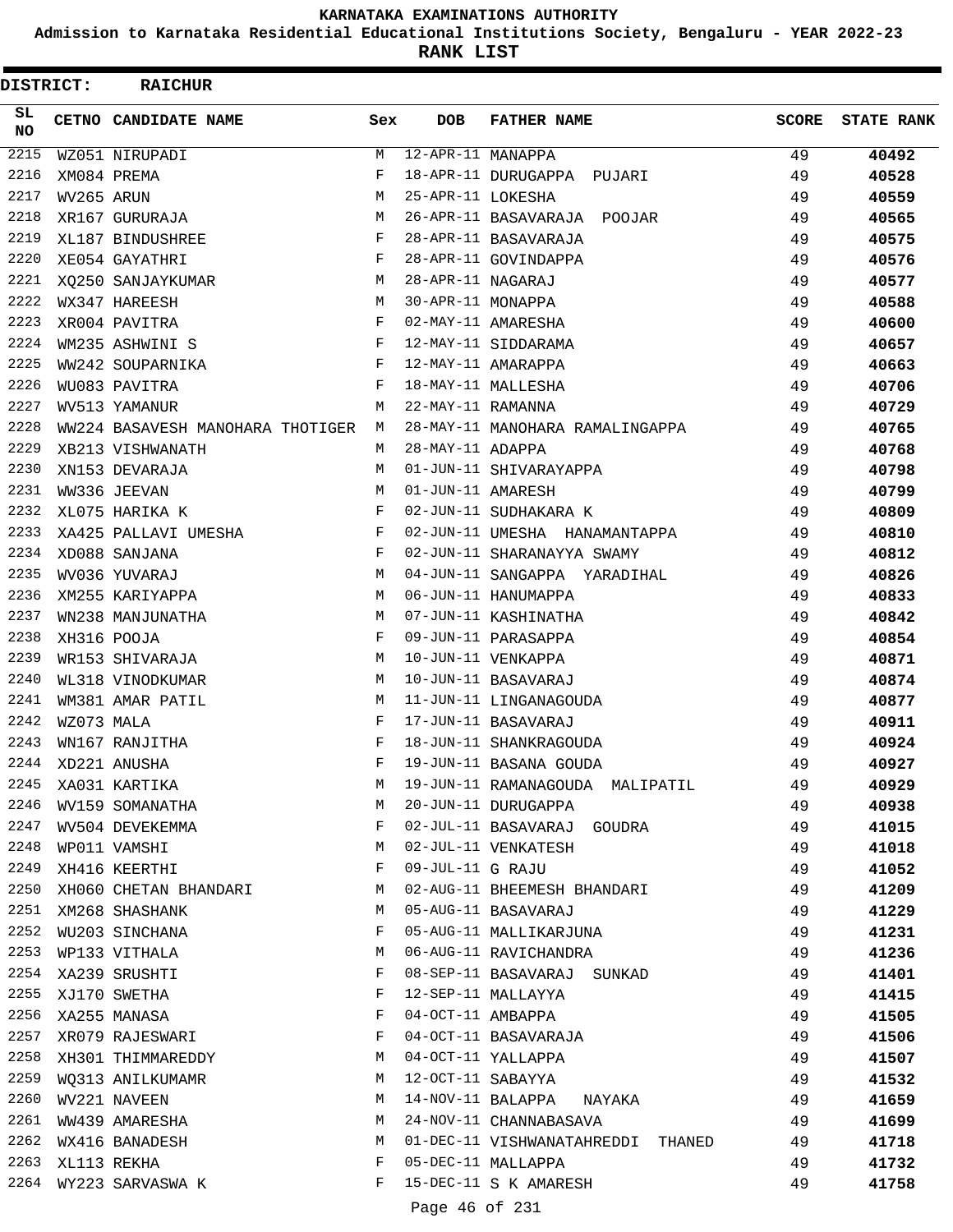**Admission to Karnataka Residential Educational Institutions Society, Bengaluru - YEAR 2022-23**

**RANK LIST**

| <b>DISTRICT:</b> |            | <b>RAICHUR</b>                     |     |                   |                                   |              |                   |
|------------------|------------|------------------------------------|-----|-------------------|-----------------------------------|--------------|-------------------|
| SL.<br>NO.       |            | CETNO CANDIDATE NAME               | Sex | <b>DOB</b>        | <b>FATHER NAME</b>                | <b>SCORE</b> | <b>STATE RANK</b> |
| $\frac{2215}{ }$ |            | WZ051 NIRUPADI                     | M   | 12-APR-11 MANAPPA |                                   | 49           | 40492             |
| 2216             |            | XM084 PREMA                        | F   |                   | 18-APR-11 DURUGAPPA PUJARI        | 49           | 40528             |
| 2217             | WV265 ARUN |                                    | M   | 25-APR-11 LOKESHA |                                   | 49           | 40559             |
| 2218             |            | XR167 GURURAJA                     | M   |                   | 26-APR-11 BASAVARAJA POOJAR       | 49           | 40565             |
| 2219             |            | XL187 BINDUSHREE                   | F   |                   | 28-APR-11 BASAVARAJA              | 49           | 40575             |
| 2220             |            | XE054 GAYATHRI                     | F   |                   | 28-APR-11 GOVINDAPPA              | 49           | 40576             |
| 2221             |            | XQ250 SANJAYKUMAR                  | M   | 28-APR-11 NAGARAJ |                                   | 49           | 40577             |
| 2222             |            | WX347 HAREESH                      | M   | 30-APR-11 MONAPPA |                                   | 49           | 40588             |
| 2223             |            | XR004 PAVITRA                      | F   |                   | 02-MAY-11 AMARESHA                | 49           | 40600             |
| 2224             |            | WM235 ASHWINI S                    | F   |                   | 12-MAY-11 SIDDARAMA               | 49           | 40657             |
| 2225             |            | WW242 SOUPARNIKA                   | F   |                   | 12-MAY-11 AMARAPPA                | 49           | 40663             |
| 2226             |            | WU083 PAVITRA                      | F   |                   | 18-MAY-11 MALLESHA                | 49           | 40706             |
| 2227             |            | WV513 YAMANUR                      | M   | 22-MAY-11 RAMANNA |                                   | 49           | 40729             |
| 2228             |            | WW224 BASAVESH MANOHARA THOTIGER M |     |                   | 28-MAY-11 MANOHARA RAMALINGAPPA   | 49           | 40765             |
| 2229             |            | XB213 VISHWANATH                   | M   | 28-MAY-11 ADAPPA  |                                   | 49           | 40768             |
| 2230             |            | XN153 DEVARAJA                     | M   |                   | 01-JUN-11 SHIVARAYAPPA            | 49           | 40798             |
| 2231             |            | WW336 JEEVAN                       | M   | 01-JUN-11 AMARESH |                                   | 49           | 40799             |
| 2232             |            | XL075 HARIKA K                     | F   |                   | 02-JUN-11 SUDHAKARA K             | 49           | 40809             |
| 2233             |            | XA425 PALLAVI UMESHA               | F   |                   | 02-JUN-11 UMESHA HANAMANTAPPA     | 49           | 40810             |
| 2234             |            | XD088 SANJANA                      | F   |                   | 02-JUN-11 SHARANAYYA SWAMY        | 49           | 40812             |
| 2235             |            | WV036 YUVARAJ                      | M   |                   | 04-JUN-11 SANGAPPA YARADIHAL      | 49           | 40826             |
| 2236             |            | XM255 KARIYAPPA                    | M   |                   | 06-JUN-11 HANUMAPPA               | 49           | 40833             |
| 2237             |            | WN238 MANJUNATHA                   | M   |                   | 07-JUN-11 KASHINATHA              | 49           | 40842             |
| 2238             |            | XH316 POOJA                        | F   |                   | 09-JUN-11 PARASAPPA               | 49           | 40854             |
| 2239             |            | WR153 SHIVARAJA                    | M   |                   | 10-JUN-11 VENKAPPA                | 49           | 40871             |
| 2240             |            | WL318 VINODKUMAR                   | М   |                   | 10-JUN-11 BASAVARAJ               | 49           | 40874             |
| 2241             |            | WM381 AMAR PATIL                   | M   |                   | 11-JUN-11 LINGANAGOUDA            | 49           | 40877             |
| 2242             | WZ073 MALA |                                    | F   |                   | 17-JUN-11 BASAVARAJ               | 49           | 40911             |
| 2243             |            | WN167 RANJITHA                     | F   |                   | 18-JUN-11 SHANKRAGOUDA            | 49           | 40924             |
| 2244             |            | XD221 ANUSHA                       | F   |                   | 19-JUN-11 BASANA GOUDA            | 49           | 40927             |
| 2245             |            | XA031 KARTIKA                      | М   |                   | 19-JUN-11 RAMANAGOUDA MALIPATIL   | 49           | 40929             |
| 2246             |            | WV159 SOMANATHA                    | М   |                   | 20-JUN-11 DURUGAPPA               | 49           | 40938             |
| 2247             |            | WV504 DEVEKEMMA                    | F   |                   | 02-JUL-11 BASAVARAJ GOUDRA        | 49           | 41015             |
| 2248             |            | WP011 VAMSHI                       | М   |                   | 02-JUL-11 VENKATESH               | 49           | 41018             |
| 2249             |            | XH416 KEERTHI                      | F   | 09-JUL-11 G RAJU  |                                   | 49           |                   |
| 2250             |            | XH060 CHETAN BHANDARI              | M   |                   | 02-AUG-11 BHEEMESH BHANDARI       | 49           | 41052<br>41209    |
| 2251             |            | XM268 SHASHANK                     | M   |                   | 05-AUG-11 BASAVARAJ               | 49           | 41229             |
| 2252             |            |                                    | F   |                   | 05-AUG-11 MALLIKARJUNA            |              |                   |
| 2253             |            | WU203 SINCHANA                     | M   |                   |                                   | 49           | 41231             |
| 2254             |            | WP133 VITHALA                      | F   |                   | 06-AUG-11 RAVICHANDRA             | 49           | 41236             |
| 2255             |            | XA239 SRUSHTI                      |     |                   | 08-SEP-11 BASAVARAJ SUNKAD        | 49           | 41401             |
| 2256             |            | XJ170 SWETHA                       | F   |                   | 12-SEP-11 MALLAYYA                | 49           | 41415             |
|                  |            | XA255 MANASA                       | F   | 04-OCT-11 AMBAPPA |                                   | 49           | 41505             |
| 2257             |            | XR079 RAJESWARI                    | F   |                   | 04-OCT-11 BASAVARAJA              | 49           | 41506             |
| 2258             |            | XH301 THIMMAREDDY                  | М   |                   | 04-OCT-11 YALLAPPA                | 49           | 41507             |
| 2259             |            | WO313 ANILKUMAMR                   | M   |                   | 12-OCT-11 SABAYYA                 | 49           | 41532             |
| 2260             |            | WV221 NAVEEN                       | М   |                   | 14-NOV-11 BALAPPA NAYAKA          | 49           | 41659             |
| 2261             |            | WW439 AMARESHA                     | M   |                   | 24-NOV-11 CHANNABASAVA            | 49           | 41699             |
| 2262             |            | WX416 BANADESH                     | М   |                   | 01-DEC-11 VISHWANATAHREDDI THANED | 49           | 41718             |
| 2263             |            | XL113 REKHA                        | F   |                   | 05-DEC-11 MALLAPPA                | 49           | 41732             |
| 2264             |            | WY223 SARVASWA K                   | F   |                   | 15-DEC-11 S K AMARESH             | 49           | 41758             |
|                  |            |                                    |     | Page 46 of 231    |                                   |              |                   |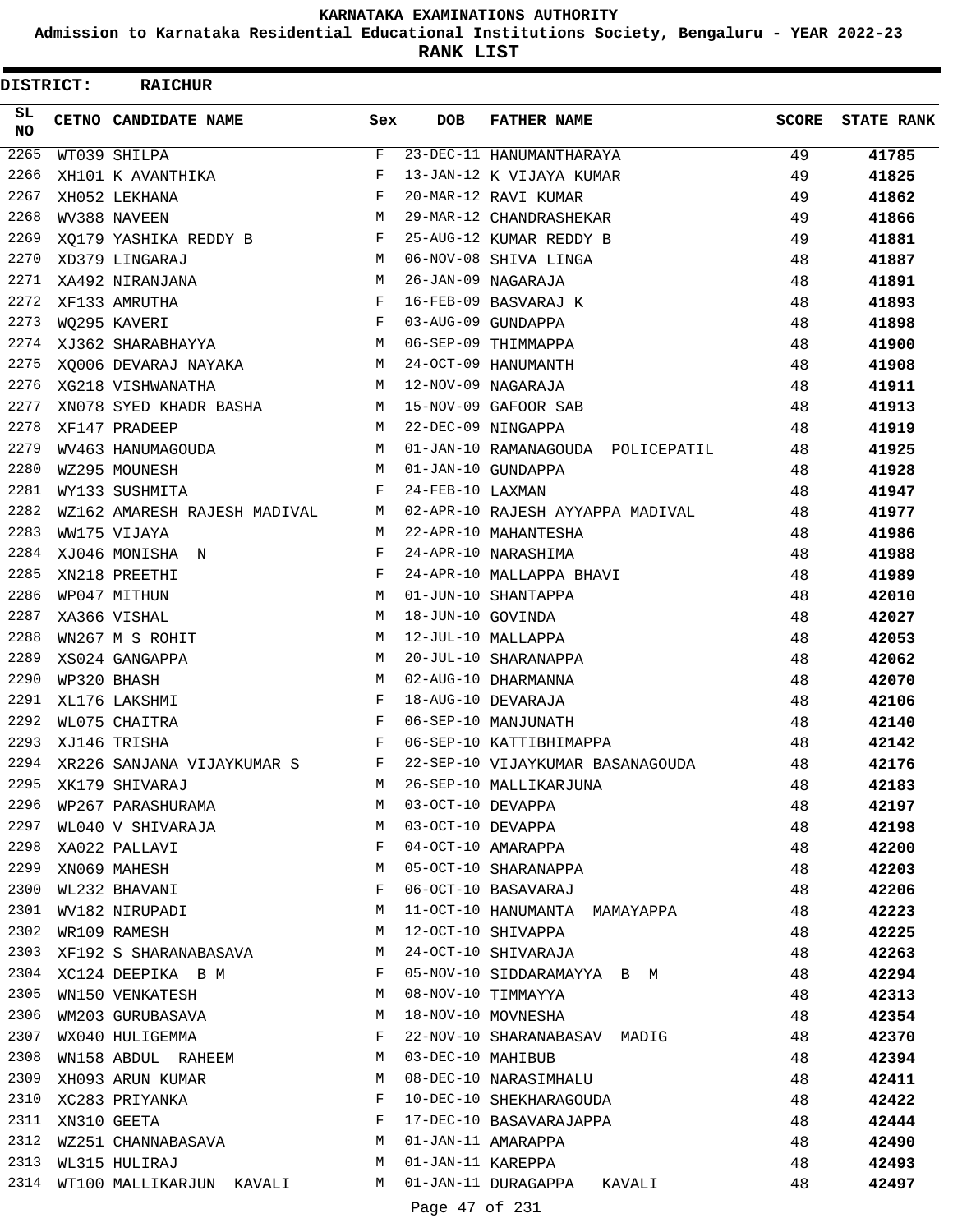**Admission to Karnataka Residential Educational Institutions Society, Bengaluru - YEAR 2022-23**

**RANK LIST**

| <b>DISTRICT:</b> | <b>RAICHUR</b>                  |     |                   |                                                                 |              |                   |
|------------------|---------------------------------|-----|-------------------|-----------------------------------------------------------------|--------------|-------------------|
| SL.<br>NO.       | CETNO CANDIDATE NAME            | Sex | <b>DOB</b>        | <b>FATHER NAME</b>                                              | <b>SCORE</b> | <b>STATE RANK</b> |
| 2265             | WT039 SHILPA                    | F   |                   | 23-DEC-11 HANUMANTHARAYA                                        | 49           | 41785             |
| 2266             | XH101 K AVANTHIKA               | F   |                   | 13-JAN-12 K VIJAYA KUMAR                                        | 49           | 41825             |
| 2267             | XH052 LEKHANA                   | F   |                   | 20-MAR-12 RAVI KUMAR                                            | 49           | 41862             |
| 2268             | WV388 NAVEEN                    | М   |                   | 29-MAR-12 CHANDRASHEKAR                                         | 49           | 41866             |
| 2269             | XQ179 YASHIKA REDDY B           | F   |                   | 25-AUG-12 KUMAR REDDY B                                         | 49           | 41881             |
| 2270             | XD379 LINGARAJ                  | M   |                   | 06-NOV-08 SHIVA LINGA                                           | 48           | 41887             |
| 2271             | XA492 NIRANJANA                 | M   |                   | 26-JAN-09 NAGARAJA                                              | 48           | 41891             |
| 2272             | XF133 AMRUTHA                   | F   |                   | 16-FEB-09 BASVARAJ K                                            | 48           | 41893             |
| 2273             | WQ295 KAVERI                    | F   |                   | 03-AUG-09 GUNDAPPA                                              | 48           | 41898             |
| 2274             | XJ362 SHARABHAYYA               | M   |                   | 06-SEP-09 THIMMAPPA                                             | 48           | 41900             |
| 2275             | XQ006 DEVARAJ NAYAKA            | М   |                   | 24-OCT-09 HANUMANTH                                             | 48           | 41908             |
| 2276             | XG218 VISHWANATHA               | M   |                   | 12-NOV-09 NAGARAJA                                              | 48           | 41911             |
| 2277             | XN078 SYED KHADR BASHA          | M   |                   | 15-NOV-09 GAFOOR SAB                                            | 48           | 41913             |
| 2278             | XF147 PRADEEP                   | M   |                   | 22-DEC-09 NINGAPPA                                              | 48           | 41919             |
| 2279             | WV463 HANUMAGOUDA               | M   |                   | 01-JAN-10 RAMANAGOUDA POLICEPATIL                               | 48           | 41925             |
| 2280             | WZ295 MOUNESH                   | M   |                   | 01-JAN-10 GUNDAPPA                                              | 48           | 41928             |
| 2281             | WY133 SUSHMITA                  | F   | 24-FEB-10 LAXMAN  |                                                                 | 48           | 41947             |
| 2282             | WZ162 AMARESH RAJESH MADIVAL    | M   |                   | 02-APR-10 RAJESH AYYAPPA MADIVAL                                | 48           | 41977             |
| 2283             | WW175 VIJAYA                    | M   |                   | 22-APR-10 MAHANTESHA                                            | 48           | 41986             |
| 2284             | XJ046 MONISHA N                 | F   |                   | 24-APR-10 NARASHIMA                                             | 48           | 41988             |
| 2285             | XN218 PREETHI                   | F   |                   | 24-APR-10 MALLAPPA BHAVI                                        | 48           | 41989             |
| 2286             | WP047 MITHUN                    | M   |                   | 01-JUN-10 SHANTAPPA                                             | 48           | 42010             |
| 2287             | XA366 VISHAL                    | M   | 18-JUN-10 GOVINDA |                                                                 | 48           | 42027             |
| 2288             | WN267 M S ROHIT                 | М   |                   | 12-JUL-10 MALLAPPA                                              | 48           | 42053             |
| 2289             | XS024 GANGAPPA                  | М   |                   | 20-JUL-10 SHARANAPPA                                            | 48           | 42062             |
| 2290             | WP320 BHASH                     | M   |                   | 02-AUG-10 DHARMANNA                                             | 48           | 42070             |
| 2291             | XL176 LAKSHMI                   | F   |                   | 18-AUG-10 DEVARAJA                                              | 48           | 42106             |
| 2292             | WL075 CHAITRA                   | F   |                   | 06-SEP-10 MANJUNATH                                             | 48           | 42140             |
| 2293             | XJ146 TRISHA                    | F   |                   | 06-SEP-10 KATTIBHIMAPPA                                         | 48           | 42142             |
| 2294             | XR226 SANJANA VIJAYKUMAR S      | F   |                   | 22-SEP-10 VIJAYKUMAR BASANAGOUDA                                | 48           | 42176             |
| 2295             | XK179 SHIVARAJ                  | M   |                   | 26-SEP-10 MALLIKARJUNA                                          | 48           | 42183             |
| 2296             | WP267 PARASHURAMA               | M   | 03-OCT-10 DEVAPPA |                                                                 | 48           | 42197             |
| 2297             | WL040 V SHIVARAJA               | M   |                   |                                                                 | 48           | 42198             |
|                  | 2298 XA022 PALLAVI              | F   |                   | 03-OCT-10 DEVAPPA<br>04-OCT-10 AMARAPPA<br>05-OCT-10 SHARANAPPA | 48           | 42200             |
| 2299             | XN069 MAHESH                    | M   |                   |                                                                 | 48           | 42203             |
| 2300             | WL232 BHAVANI                   | F   |                   | 06-OCT-10 BASAVARAJ                                             | 48           | 42206             |
| 2301             | WV182 NIRUPADI                  | М   |                   | 11-OCT-10 HANUMANTA MAMAYAPPA                                   | 48           | 42223             |
| 2302             | WR109 RAMESH                    | M   |                   | 12-OCT-10 SHIVAPPA                                              | 48           | 42225             |
| 2303             | XF192 S SHARANABASAVA           | M   |                   | 24-OCT-10 SHIVARAJA                                             | 48           | 42263             |
| 2304             | XC124 DEEPIKA B M               | F   |                   | 05-NOV-10 SIDDARAMAYYA B M                                      | 48           | 42294             |
| 2305             | WN150 VENKATESH                 | M   |                   | 08-NOV-10 TIMMAYYA                                              | 48           | 42313             |
| 2306             | WM203 GURUBASAVA                | M   |                   | 18-NOV-10 MOVNESHA                                              | 48           | 42354             |
| 2307             | WX040 HULIGEMMA                 | F   |                   | 22-NOV-10 SHARANABASAV MADIG                                    | 48           | 42370             |
| 2308             | WN158 ABDUL RAHEEM              | M   | 03-DEC-10 MAHIBUB |                                                                 | 48           | 42394             |
| 2309             | XH093 ARUN KUMAR                | M   |                   | 08-DEC-10 NARASIMHALU                                           | 48           | 42411             |
| 2310             | XC283 PRIYANKA                  | F   |                   | 10-DEC-10 SHEKHARAGOUDA                                         | 48           | 42422             |
| 2311             | XN310 GEETA                     | F   |                   | 17-DEC-10 BASAVARAJAPPA                                         | 48           | 42444             |
| 2312             | WZ251 CHANNABASAVA M            |     |                   | 01-JAN-11 AMARAPPA                                              | 48           | 42490             |
| 2313             | <b>M</b><br>WL315 HULIRAJ       |     |                   | 01-JAN-11 KAREPPA                                               | 48           | 42493             |
|                  | 2314 WT100 MALLIKARJUN KAVALI M |     |                   | 01-JAN-11 DURAGAPPA KAVALI                                      | 48           | 42497             |
|                  |                                 |     | Page 47 of 231    |                                                                 |              |                   |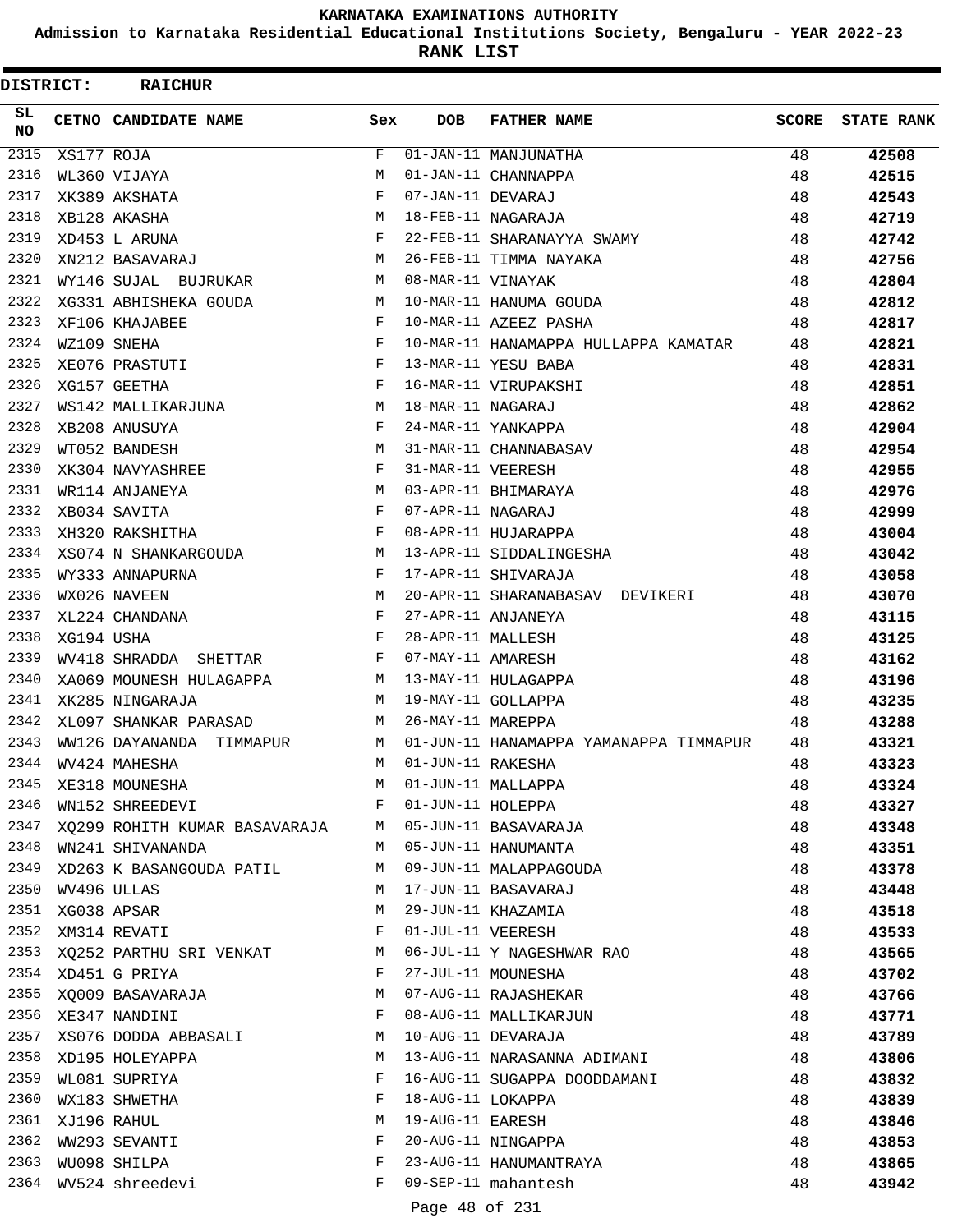**Admission to Karnataka Residential Educational Institutions Society, Bengaluru - YEAR 2022-23**

**RANK LIST**

| DISTRICT: |             | <b>RAICHUR</b>                |              |                   |                                        |              |                   |
|-----------|-------------|-------------------------------|--------------|-------------------|----------------------------------------|--------------|-------------------|
| SL<br>NO. |             | CETNO CANDIDATE NAME          | Sex          | <b>DOB</b>        | <b>FATHER NAME</b>                     | <b>SCORE</b> | <b>STATE RANK</b> |
| 2315      | XS177 ROJA  |                               | F            |                   | 01-JAN-11 MANJUNATHA                   | 48           | 42508             |
| 2316      |             | WL360 VIJAYA                  | M            |                   | 01-JAN-11 CHANNAPPA                    | 48           | 42515             |
| 2317      |             | XK389 AKSHATA                 | $_{\rm F}$   | 07-JAN-11 DEVARAJ |                                        | 48           | 42543             |
| 2318      |             | XB128 AKASHA                  | М            |                   | 18-FEB-11 NAGARAJA                     | 48           | 42719             |
| 2319      |             | XD453 L ARUNA                 | $_{\rm F}$   |                   | 22-FEB-11 SHARANAYYA SWAMY             | 48           | 42742             |
| 2320      |             | XN212 BASAVARAJ               | M            |                   | 26-FEB-11 TIMMA NAYAKA                 | 48           | 42756             |
| 2321      |             | WY146 SUJAL BUJRUKAR          | M            | 08-MAR-11 VINAYAK |                                        | 48           | 42804             |
| 2322      |             | XG331 ABHISHEKA GOUDA         | М            |                   | 10-MAR-11 HANUMA GOUDA                 | 48           | 42812             |
| 2323      |             | XF106 KHAJABEE                | F            |                   | 10-MAR-11 AZEEZ PASHA                  | 48           | 42817             |
| 2324      |             | WZ109 SNEHA                   | F            |                   | 10-MAR-11 HANAMAPPA HULLAPPA KAMATAR   | 48           | 42821             |
| 2325      |             | XE076 PRASTUTI                | F            |                   | 13-MAR-11 YESU BABA                    | 48           | 42831             |
| 2326      |             | XG157 GEETHA                  | F            |                   | 16-MAR-11 VIRUPAKSHI                   | 48           | 42851             |
| 2327      |             | WS142 MALLIKARJUNA            | M            | 18-MAR-11 NAGARAJ |                                        | 48           | 42862             |
| 2328      |             | XB208 ANUSUYA                 | F            |                   | 24-MAR-11 YANKAPPA                     | 48           | 42904             |
| 2329      |             | WT052 BANDESH                 | M            |                   | 31-MAR-11 CHANNABASAV                  | 48           | 42954             |
| 2330      |             | XK304 NAVYASHREE              | F            | 31-MAR-11 VEERESH |                                        | 48           | 42955             |
| 2331      |             | WR114 ANJANEYA                | M            |                   | 03-APR-11 BHIMARAYA                    | 48           | 42976             |
| 2332      |             | XB034 SAVITA                  | F            | 07-APR-11 NAGARAJ |                                        | 48           | 42999             |
| 2333      |             | XH320 RAKSHITHA               | F            |                   | 08-APR-11 HUJARAPPA                    | 48           | 43004             |
| 2334      |             | XS074 N SHANKARGOUDA          | M            |                   | 13-APR-11 SIDDALINGESHA                | 48           | 43042             |
| 2335      |             | WY333 ANNAPURNA               | F            |                   | 17-APR-11 SHIVARAJA                    | 48           | 43058             |
| 2336      |             | WX026 NAVEEN                  | M            |                   | 20-APR-11 SHARANABASAV DEVIKERI        | 48           | 43070             |
| 2337      |             | XL224 CHANDANA                | F            |                   | 27-APR-11 ANJANEYA                     | 48           | 43115             |
| 2338      | XG194 USHA  |                               | F            | 28-APR-11 MALLESH |                                        | 48           | 43125             |
| 2339      |             | WV418 SHRADDA<br>SHETTAR      | $\mathbf{F}$ | 07-MAY-11 AMARESH |                                        | 48           | 43162             |
| 2340      |             | XA069 MOUNESH HULAGAPPA       | M            |                   | 13-MAY-11 HULAGAPPA                    | 48           | 43196             |
| 2341      |             | XK285 NINGARAJA               | M            |                   | 19-MAY-11 GOLLAPPA                     | 48           | 43235             |
| 2342      |             | XL097 SHANKAR PARASAD         | М            | 26-MAY-11 MAREPPA |                                        | 48           | 43288             |
| 2343      |             | WW126 DAYANANDA TIMMAPUR      | М            |                   | 01-JUN-11 HANAMAPPA YAMANAPPA TIMMAPUR | 48           | 43321             |
| 2344      |             | WV424 MAHESHA                 | M            | 01-JUN-11 RAKESHA |                                        | 48           | 43323             |
| 2345      |             | XE318 MOUNESHA                | M            |                   | 01-JUN-11 MALLAPPA                     | 48           | 43324             |
| 2346      |             | WN152 SHREEDEVI               | F            | 01-JUN-11 HOLEPPA |                                        | 48           | 43327             |
| 2347      |             | XQ299 ROHITH KUMAR BASAVARAJA | M            |                   | 05-JUN-11 BASAVARAJA                   | 48           | 43348             |
| 2348      |             | WN241 SHIVANANDA              | M            |                   | 05-JUN-11 HANUMANTA                    | 48           | 43351             |
| 2349      |             | XD263 K BASANGOUDA PATIL      | M            |                   | 09-JUN-11 MALAPPAGOUDA                 | 48           | 43378             |
| 2350      |             | WV496 ULLAS                   | М            |                   | 17-JUN-11 BASAVARAJ                    | 48           | 43448             |
| 2351      |             | XG038 APSAR                   | М            |                   | 29-JUN-11 KHAZAMIA                     | 48           | 43518             |
| 2352      |             | XM314 REVATI                  | F            |                   | 01-JUL-11 VEERESH                      | 48           | 43533             |
| 2353      |             | XQ252 PARTHU SRI VENKAT       | M            |                   | 06-JUL-11 Y NAGESHWAR RAO              | 48           | 43565             |
| 2354      |             | XD451 G PRIYA                 | F            |                   | 27-JUL-11 MOUNESHA                     | 48           | 43702             |
| 2355      |             | XQ009 BASAVARAJA              | M            |                   | 07-AUG-11 RAJASHEKAR                   | 48           | 43766             |
|           |             | 2356 XE347 NANDINI            | F            |                   | 08-AUG-11 MALLIKARJUN                  | 48           | 43771             |
| 2357      |             | XS076 DODDA ABBASALI          | M            |                   | 10-AUG-11 DEVARAJA                     | 48           | 43789             |
| 2358      |             | XD195 HOLEYAPPA               | М            |                   | 13-AUG-11 NARASANNA ADIMANI            | 48           | 43806             |
| 2359      |             | WL081 SUPRIYA                 | F            |                   | 16-AUG-11 SUGAPPA DOODDAMANI           | 48           | 43832             |
| 2360      |             | WX183 SHWETHA                 | F            | 18-AUG-11 LOKAPPA |                                        | 48           | 43839             |
| 2361      | XJ196 RAHUL |                               | М            | 19-AUG-11 EARESH  |                                        | 48           | 43846             |
| 2362      |             | WW293 SEVANTI                 | F            |                   | 20-AUG-11 NINGAPPA                     | 48           | 43853             |
| 2363      |             | WU098 SHILPA                  | F            |                   | 23-AUG-11 HANUMANTRAYA                 | 48           | 43865             |
| 2364      |             | WV524 shreedevi               | F            |                   | 09-SEP-11 mahantesh                    | 48           | 43942             |
|           |             |                               |              |                   |                                        |              |                   |

Page 48 of 231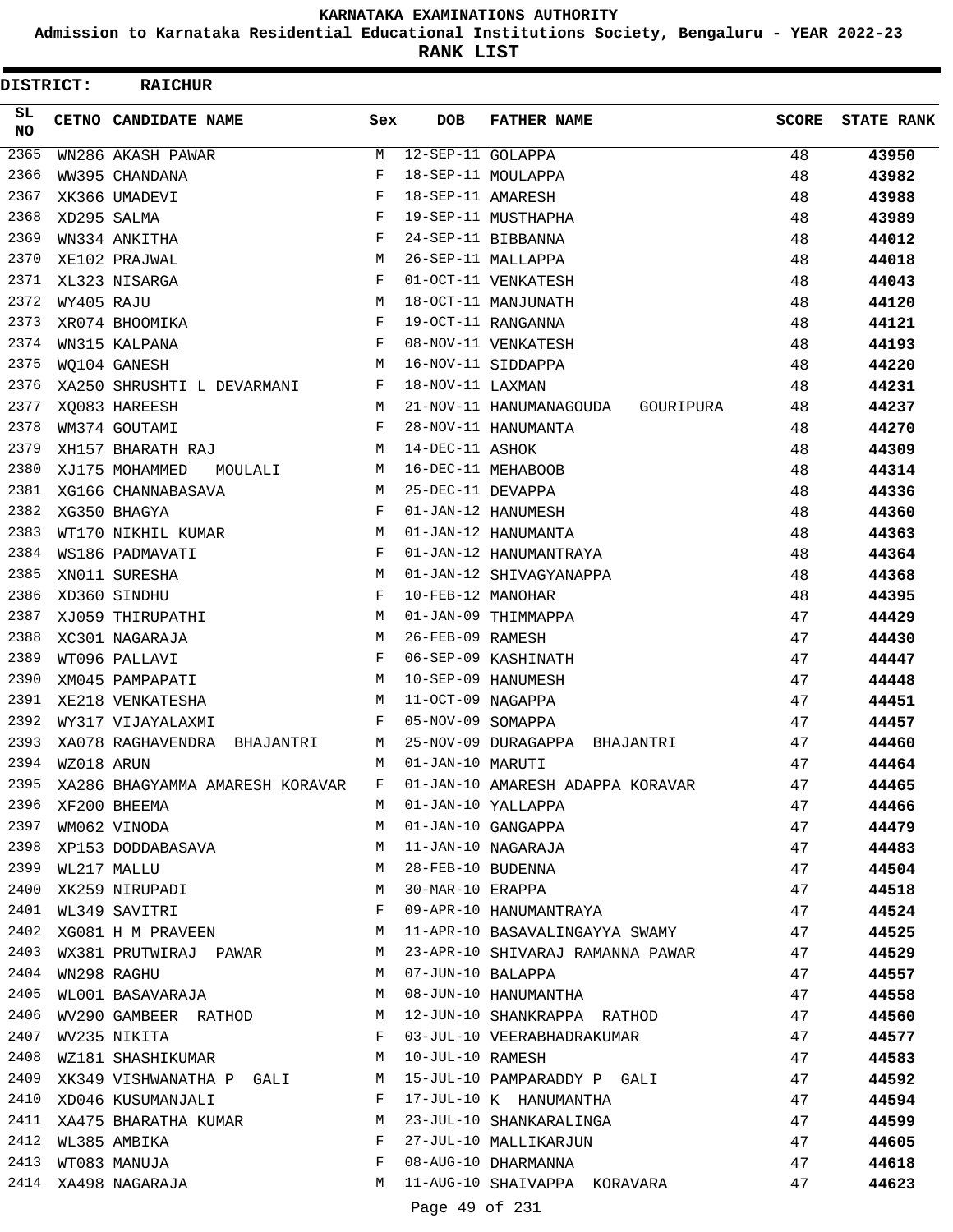**Admission to Karnataka Residential Educational Institutions Society, Bengaluru - YEAR 2022-23**

**RANK LIST**

| <b>DISTRICT:</b> |                  | <b>RAICHUR</b>                                                      |              |                     |                                                          |              |                   |
|------------------|------------------|---------------------------------------------------------------------|--------------|---------------------|----------------------------------------------------------|--------------|-------------------|
| SL.<br>NO.       |                  | CETNO CANDIDATE NAME                                                | Sex          | <b>DOB</b>          | <b>FATHER NAME</b>                                       | <b>SCORE</b> | <b>STATE RANK</b> |
| 2365             |                  | WN286 AKASH PAWAR                                                   | M            | $12-SEP-11$ GOLAPPA |                                                          | 48           | 43950             |
| 2366             |                  | WW395 CHANDANA                                                      | F            |                     | 18-SEP-11 MOULAPPA                                       | 48           | 43982             |
| 2367             |                  | XK366 UMADEVI                                                       | F            | 18-SEP-11 AMARESH   |                                                          | 48           | 43988             |
| 2368             |                  | XD295 SALMA                                                         | F            |                     | 19-SEP-11 MUSTHAPHA                                      | 48           | 43989             |
| 2369             |                  | WN334 ANKITHA                                                       | F            |                     | 24-SEP-11 BIBBANNA                                       | 48           | 44012             |
| 2370             |                  | XE102 PRAJWAL                                                       | M            |                     | 26-SEP-11 MALLAPPA                                       | 48           | 44018             |
| 2371             |                  | XL323 NISARGA                                                       | F            |                     | 01-OCT-11 VENKATESH                                      | 48           | 44043             |
| 2372             | WY405 RAJU       |                                                                     | M            |                     | 18-OCT-11 MANJUNATH                                      | 48           | 44120             |
| 2373             |                  | XR074 BHOOMIKA                                                      | $_{\rm F}$   |                     | 19-OCT-11 RANGANNA                                       | 48           | 44121             |
| 2374             |                  | WN315 KALPANA                                                       | F            |                     | 08-NOV-11 VENKATESH                                      | 48           | 44193             |
| 2375             |                  | WO104 GANESH                                                        | M            |                     | 16-NOV-11 SIDDAPPA                                       | 48           | 44220             |
| 2376             |                  | XA250 SHRUSHTI L DEVARMANI                                          | F            | 18-NOV-11 LAXMAN    |                                                          | 48           | 44231             |
| 2377             |                  | XO083 HAREESH                                                       | М            |                     | 21-NOV-11 HANUMANAGOUDA<br>GOURIPURA                     | 48           | 44237             |
| 2378             |                  | WM374 GOUTAMI                                                       | F            |                     | 28-NOV-11 HANUMANTA                                      | 48           | 44270             |
| 2379             |                  | XH157 BHARATH RAJ                                                   | M            | 14-DEC-11 ASHOK     |                                                          | 48           | 44309             |
| 2380             |                  | XJ175 MOHAMMED<br>MOULALI                                           | М            |                     | 16-DEC-11 MEHABOOB                                       | 48           | 44314             |
| 2381             |                  | XG166 CHANNABASAVA                                                  | М            | 25-DEC-11 DEVAPPA   |                                                          | 48           | 44336             |
| 2382             |                  | XG350 BHAGYA                                                        | F            |                     | 01-JAN-12 HANUMESH                                       | 48           | 44360             |
| 2383             |                  | WT170 NIKHIL KUMAR                                                  | М            |                     | 01-JAN-12 HANUMANTA                                      | 48           | 44363             |
| 2384             |                  | WS186 PADMAVATI                                                     | F            |                     | 01-JAN-12 HANUMANTRAYA                                   | 48           | 44364             |
| 2385             |                  | XN011 SURESHA                                                       | M            |                     | 01-JAN-12 SHIVAGYANAPPA                                  | 48           | 44368             |
| 2386             |                  | XD360 SINDHU                                                        | F            | 10-FEB-12 MANOHAR   |                                                          | 48           | 44395             |
| 2387             |                  | XJ059 THIRUPATHI                                                    | M            |                     | 01-JAN-09 THIMMAPPA                                      | 47           | 44429             |
| 2388             |                  | XC301 NAGARAJA                                                      | М            | 26-FEB-09 RAMESH    |                                                          | 47           | 44430             |
| 2389             |                  | WT096 PALLAVI                                                       | F            |                     | 06-SEP-09 KASHINATH                                      | 47           | 44447             |
| 2390             |                  | XM045 PAMPAPATI                                                     | М            |                     | 10-SEP-09 HANUMESH                                       | 47           | 44448             |
| 2391             |                  | XE218 VENKATESHA                                                    | M            | 11-OCT-09 NAGAPPA   |                                                          | 47           | 44451             |
| 2392             |                  | WY317 VIJAYALAXMI                                                   | F            | 05-NOV-09 SOMAPPA   |                                                          | 47           | 44457             |
| 2393             |                  | XA078 RAGHAVENDRA<br>BHAJANTRI                                      | М            |                     | 25-NOV-09 DURAGAPPA<br>BHAJANTRI                         | 47           | 44460             |
| 2394             | WZ018 ARUN       |                                                                     | M            | 01-JAN-10 MARUTI    |                                                          | 47           | 44464             |
| 2395             |                  | XA286 BHAGYAMMA AMARESH KORAVAR                                     | F            |                     | 01-JAN-10 AMARESH ADAPPA KORAVAR                         | 47           | 44465             |
| 2396             |                  | XF200 BHEEMA                                                        |              |                     | M 01-JAN-10 YALLAPPA                                     | 47           | 44466             |
| 2397             |                  | WM062 VINODA                                                        | M            |                     | 01-JAN-10 GANGAPPA                                       | 47           | 44479             |
|                  |                  | 2398 XP153 DODDABASAVA                                              | M            |                     | 11-JAN-10 NAGARAJA                                       | 47           | 44483             |
|                  | 2399 WL217 MALLU |                                                                     |              |                     | 28-FEB-10 BUDENNA                                        | 47           | 44504             |
| 2400             |                  | WL217 MALLU M<br>XK259 NIRUPADI M                                   |              |                     | 30-MAR-10 ERAPPA                                         | 47           | 44518             |
| 2401             |                  | WL349 SAVITRI<br><b>Example 20</b>                                  |              |                     | 09-APR-10 HANUMANTRAYA                                   | 47           | 44524             |
| 2402             |                  | XG081 H M PRAVEEN M                                                 |              |                     | 11-APR-10 BASAVALINGAYYA SWAMY 47                        |              | 44525             |
| 2403             |                  |                                                                     |              |                     | WX381 PRUTWIRAJ PAWAR M 23-APR-10 SHIVARAJ RAMANNA PAWAR | 47           | 44529             |
| 2404             |                  | WN298 RAGHU                                                         |              | M 07-JUN-10 BALAPPA |                                                          | 47           | 44557             |
| 2405             |                  | WL001 BASAVARAJA M M 08-JUN-10 HANUMANTHA                           |              |                     |                                                          | 47           | 44558             |
|                  |                  | 2406 WV290 GAMBEER RATHOD M 12-JUN-10 SHANKRAPPA RATHOD             |              |                     |                                                          | 47           | 44560             |
|                  |                  | 2407 WV235 NIKITA                                                   |              |                     | F 03-JUL-10 VEERABHADRAKUMAR                             | 47           | 44577             |
| 2408             |                  | WZ181 SHASHIKUMAR M                                                 |              |                     | 10-JUL-10 RAMESH                                         | 47           | 44583             |
| 2409             |                  |                                                                     |              |                     | XK349 VISHWANATHA P GALI M 15-JUL-10 PAMPARADDY P GALI   | 47           | 44592             |
|                  |                  | 2410 XD046 KUSUMANJALI                                              | $\mathbf{F}$ |                     | 17-JUL-10 K HANUMANTHA                                   | 47           | 44594             |
|                  |                  | 2411 XA475 BHARATHA KUMAR M                                         |              |                     | 23-JUL-10 SHANKARALINGA                                  | 47           | 44599             |
|                  |                  | 2412 WL385 AMBIKA<br>$\mathbf{F}$ and $\mathbf{F}$ and $\mathbf{F}$ |              |                     | 27-JUL-10 MALLIKARJUN                                    | 47           | 44605             |
|                  |                  |                                                                     | F            |                     | 08-AUG-10 DHARMANNA                                      | 47           | 44618             |
|                  |                  | 2413 WT083 MANUJA<br>2414 XA498 NAGARAJA                            | М            |                     | 11-AUG-10 SHAIVAPPA KORAVARA                             | 47           | 44623             |
|                  |                  |                                                                     |              | Page 49 of 231      |                                                          |              |                   |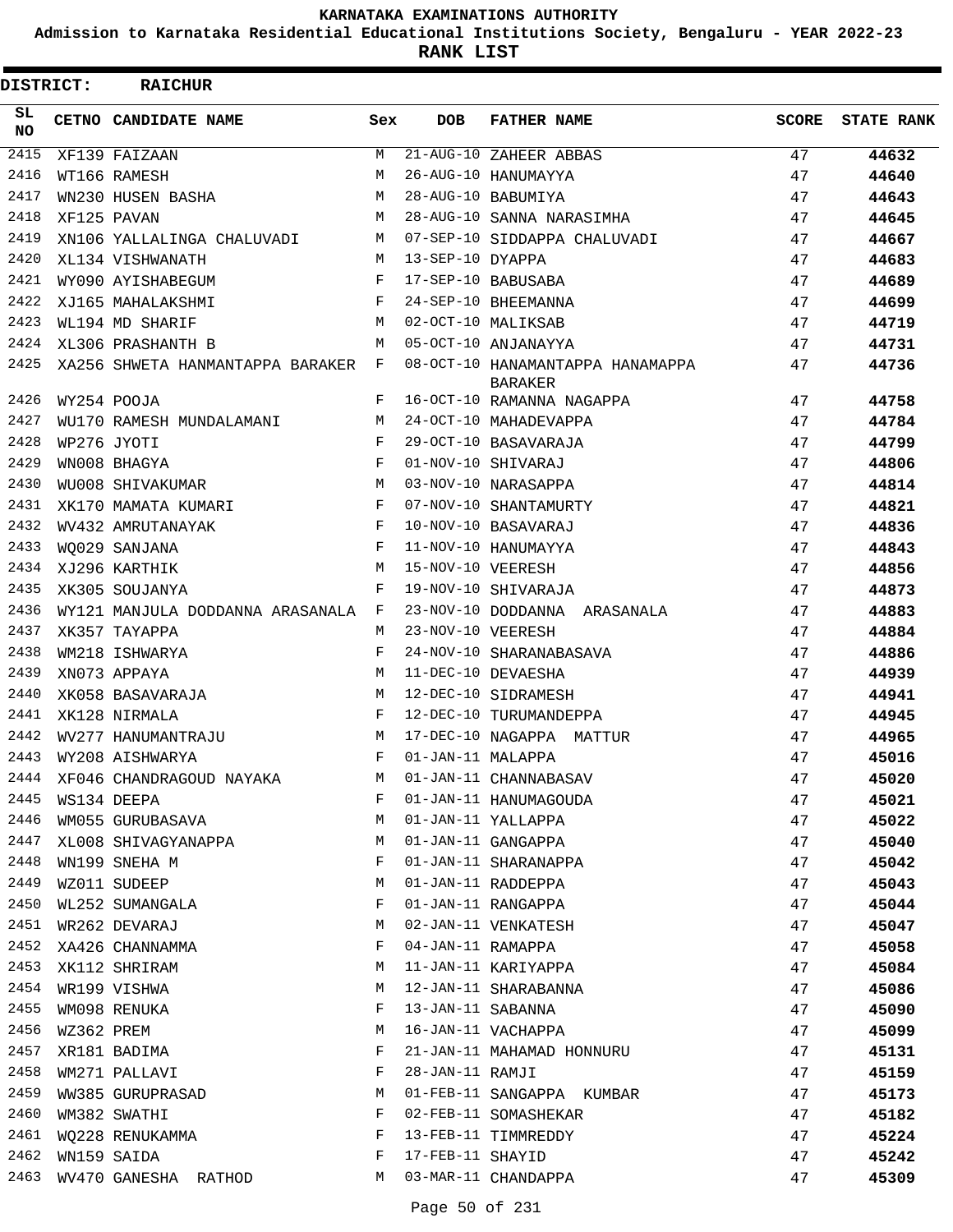**Admission to Karnataka Residential Educational Institutions Society, Bengaluru - YEAR 2022-23**

**RANK LIST**

| <b>DISTRICT:</b> |            | <b>RAICHUR</b>                                            |              |                    |                                                    |              |                   |
|------------------|------------|-----------------------------------------------------------|--------------|--------------------|----------------------------------------------------|--------------|-------------------|
| SL.<br>NO.       |            | CETNO CANDIDATE NAME                                      | Sex          | DOB                | <b>FATHER NAME</b>                                 | <b>SCORE</b> | <b>STATE RANK</b> |
| 2415             |            | XF139 FAIZAAN                                             | M            |                    | 21-AUG-10 ZAHEER ABBAS                             | 47           | 44632             |
| 2416             |            | WT166 RAMESH                                              | M            |                    | 26-AUG-10 HANUMAYYA                                | 47           | 44640             |
| 2417             |            | WN230 HUSEN BASHA                                         | M            |                    | 28-AUG-10 BABUMIYA                                 | 47           | 44643             |
| 2418             |            | M<br>XF125 PAVAN                                          |              |                    | 28-AUG-10 SANNA NARASIMHA                          | 47           | 44645             |
| 2419             |            | XN106 YALLALINGA CHALUVADI M 07-SEP-10 SIDDAPPA CHALUVADI |              |                    |                                                    | 47           | 44667             |
| 2420             |            | XL134 VISHWANATH                                          | M            | 13-SEP-10 DYAPPA   |                                                    | 47           | 44683             |
| 2421             |            | WY090 AYISHABEGUM                                         | F            |                    | 17-SEP-10 BABUSABA                                 | 47           | 44689             |
| 2422             |            | <b>Experimental Service Service</b><br>XJ165 MAHALAKSHMI  |              |                    | 24-SEP-10 BHEEMANNA                                | 47           | 44699             |
| 2423             |            | WL194 MD SHARIF                                           | M            | 02-OCT-10 MALIKSAB |                                                    | 47           | 44719             |
| 2424             |            | XL306 PRASHANTH B                                         | M            |                    | 05-OCT-10 ANJANAYYA                                | 47           | 44731             |
| 2425             |            | XA256 SHWETA HANMANTAPPA BARAKER F                        |              |                    | 08-OCT-10 HANAMANTAPPA HANAMAPPA<br><b>BARAKER</b> | 47           | 44736             |
| 2426             |            | WY254 POOJA                                               | F            |                    | 16-OCT-10 RAMANNA NAGAPPA                          | 47           | 44758             |
| 2427             |            | WU170 RAMESH MUNDALAMANI                                  | M            |                    | 24-OCT-10 MAHADEVAPPA                              | 47           | 44784             |
| 2428             |            | WP276 JYOTI                                               | F            |                    | 29-OCT-10 BASAVARAJA                               | 47           | 44799             |
| 2429             |            | WN008 BHAGYA                                              | $\mathbf{F}$ |                    | 01-NOV-10 SHIVARAJ                                 | 47           | 44806             |
| 2430             |            | WU008 SHIVAKUMAR                                          | M            |                    | 03-NOV-10 NARASAPPA                                | 47           | 44814             |
| 2431             |            | XK170 MAMATA KUMARI                                       | F            |                    | 07-NOV-10 SHANTAMURTY                              | 47           | 44821             |
| 2432             |            | WV432 AMRUTANAYAK                                         | $_{\rm F}$   |                    | 10-NOV-10 BASAVARAJ                                | 47           | 44836             |
| 2433             |            | WO029 SANJANA                                             | F            |                    | 11-NOV-10 HANUMAYYA                                | 47           | 44843             |
| 2434             |            | <b>M</b><br>XJ296 KARTHIK                                 |              | 15-NOV-10 VEERESH  |                                                    | 47           | 44856             |
| 2435             |            | XK305 SOUJANYA                                            | F            |                    | 19-NOV-10 SHIVARAJA                                | 47           | 44873             |
| 2436             |            | WY121 MANJULA DODDANNA ARASANALA F                        |              |                    | 23-NOV-10 DODDANNA ARASANALA                       | 47           | 44883             |
| 2437             |            | XK357 TAYAPPA                                             | M            | 23-NOV-10 VEERESH  |                                                    | 47           | 44884             |
| 2438             |            | WM218 ISHWARYA                                            | F            |                    | 24-NOV-10 SHARANABASAVA                            | 47           | 44886             |
| 2439             |            | XN073 APPAYA                                              | M            |                    | 11-DEC-10 DEVAESHA                                 | 47           | 44939             |
| 2440             |            | XK058 BASAVARAJA                                          | M            |                    | 12-DEC-10 SIDRAMESH                                | 47           | 44941             |
| 2441             |            | XK128 NIRMALA                                             | F            |                    | 12-DEC-10 TURUMANDEPPA                             | 47           | 44945             |
| 2442             |            | WV277 HANUMANTRAJU                                        | M            |                    | 17-DEC-10 NAGAPPA MATTUR                           | 47           | 44965             |
| 2443             |            | WY208 AISHWARYA                                           | F            | 01-JAN-11 MALAPPA  |                                                    | 47           | 45016             |
| 2444             |            | XF046 CHANDRAGOUD NAYAKA                                  | M            |                    | 01-JAN-11 CHANNABASAV                              | 47           | 45020             |
| 2445             |            | WS134 DEEPA                                               | F            |                    | 01-JAN-11 HANUMAGOUDA                              | 47           | 45021             |
| 2446             |            | WM055 GURUBASAVA                                          | М            |                    | 01-JAN-11 YALLAPPA                                 | 47           | 45022             |
| 2447             |            | XL008 SHIVAGYANAPPA                                       | М            |                    | 01-JAN-11 GANGAPPA                                 | 47           | 45040             |
| 2448             |            | WN199 SNEHA M                                             | F            |                    | 01-JAN-11 SHARANAPPA                               | 47           | 45042             |
| 2449             |            | WZ011 SUDEEP                                              | M            |                    | 01-JAN-11 RADDEPPA                                 | 47           | 45043             |
| 2450             |            | WL252 SUMANGALA                                           | F            |                    | 01-JAN-11 RANGAPPA                                 | 47           | 45044             |
| 2451             |            | WR262 DEVARAJ                                             | М            |                    | 02-JAN-11 VENKATESH                                | 47           | 45047             |
| 2452             |            | XA426 CHANNAMMA                                           | F            | 04-JAN-11 RAMAPPA  |                                                    | 47           | 45058             |
| 2453             |            | XK112 SHRIRAM                                             | М            |                    | 11-JAN-11 KARIYAPPA                                | 47           | 45084             |
| 2454             |            | WR199 VISHWA                                              | М            |                    | 12-JAN-11 SHARABANNA                               | 47           | 45086             |
| 2455             |            | WM098 RENUKA                                              | F            | 13-JAN-11 SABANNA  |                                                    | 47           | 45090             |
| 2456             | WZ362 PREM |                                                           | М            |                    | 16-JAN-11 VACHAPPA                                 | 47           | 45099             |
| 2457             |            | XR181 BADIMA                                              | F            |                    | 21-JAN-11 MAHAMAD HONNURU                          | 47           | 45131             |
| 2458             |            | WM271 PALLAVI                                             | F            | 28-JAN-11 RAMJI    |                                                    | 47           | 45159             |
| 2459             |            | WW385 GURUPRASAD                                          | М            |                    | 01-FEB-11 SANGAPPA KUMBAR                          | 47           | 45173             |
| 2460             |            | WM382 SWATHI                                              | F            |                    | 02-FEB-11 SOMASHEKAR                               | 47           | 45182             |
| 2461             |            | WQ228 RENUKAMMA                                           | F            |                    | 13-FEB-11 TIMMREDDY                                | 47           | 45224             |
| 2462             |            | WN159 SAIDA                                               | F            | 17-FEB-11 SHAYID   |                                                    | 47           | 45242             |
| 2463             |            | WV470 GANESHA RATHOD                                      | M            |                    | 03-MAR-11 CHANDAPPA                                | 47           | 45309             |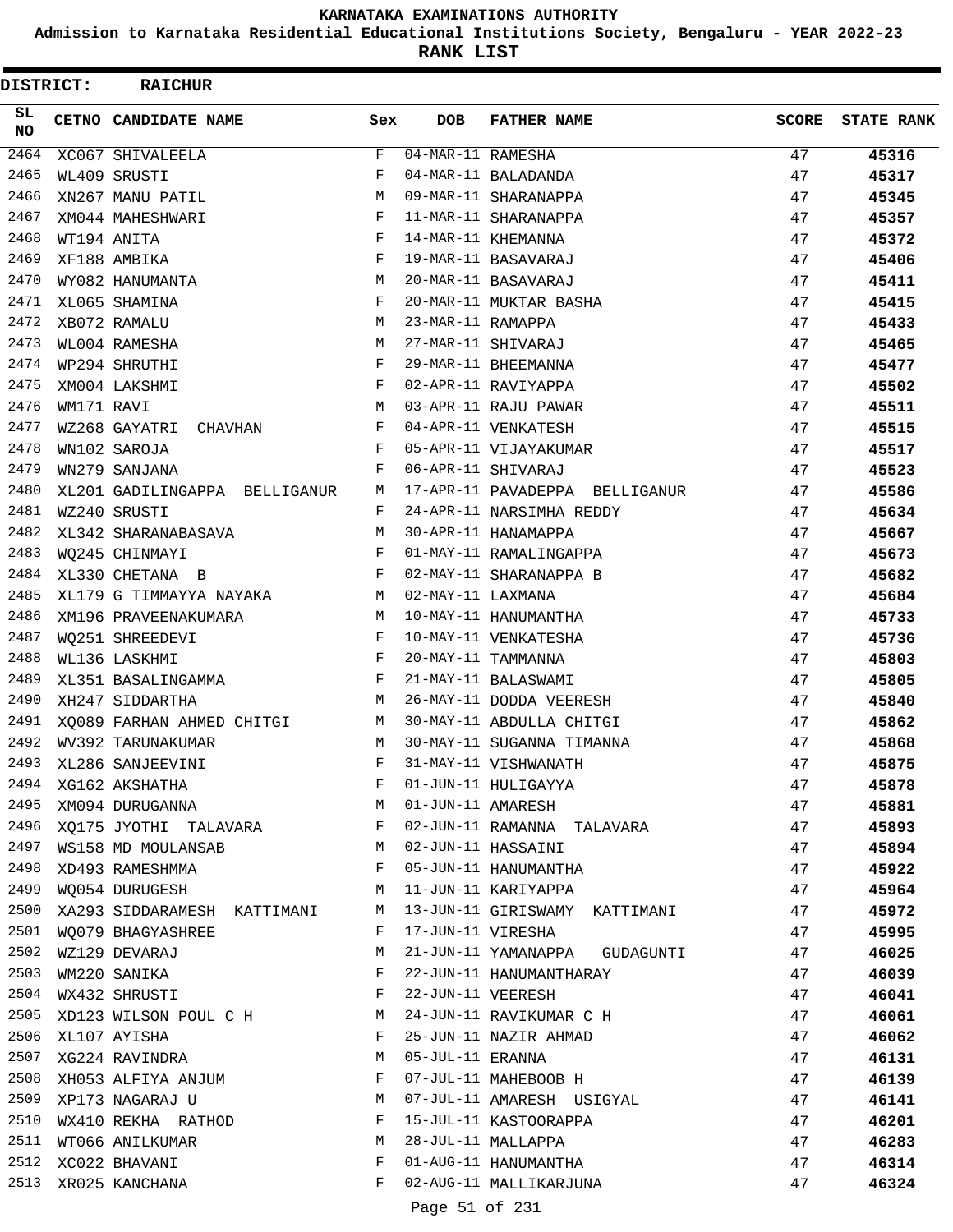**Admission to Karnataka Residential Educational Institutions Society, Bengaluru - YEAR 2022-23**

**RANK LIST**

Ξ

| DISTRICT:        |            | <b>RAICHUR</b>                                                                                |              |                   |                                                                     |              |                   |
|------------------|------------|-----------------------------------------------------------------------------------------------|--------------|-------------------|---------------------------------------------------------------------|--------------|-------------------|
| SL.<br><b>NO</b> |            | <b>CETNO CANDIDATE NAME</b>                                                                   | Sex          | <b>DOB</b>        | <b>FATHER NAME</b>                                                  | <b>SCORE</b> | <b>STATE RANK</b> |
| 2464             |            | XC067 SHIVALEELA                                                                              | F            | 04-MAR-11 RAMESHA |                                                                     | 47           | 45316             |
| 2465             |            | WL409 SRUSTI                                                                                  | F            |                   | 04-MAR-11 BALADANDA                                                 | 47           | 45317             |
| 2466             |            | XN267 MANU PATIL                                                                              | M            |                   | 09-MAR-11 SHARANAPPA                                                | 47           | 45345             |
| 2467             |            | XM044 MAHESHWARI                                                                              | F            |                   | 11-MAR-11 SHARANAPPA                                                | 47           | 45357             |
| 2468             |            | WT194 ANITA                                                                                   | F            |                   | 14-MAR-11 KHEMANNA                                                  | 47           | 45372             |
| 2469             |            | XF188 AMBIKA                                                                                  | $_{\rm F}$   |                   | 19-MAR-11 BASAVARAJ                                                 | 47           | 45406             |
| 2470             |            | WY082 HANUMANTA                                                                               | M            |                   | 20-MAR-11 BASAVARAJ                                                 | 47           | 45411             |
| 2471             |            | XL065 SHAMINA                                                                                 | F            |                   | 20-MAR-11 MUKTAR BASHA                                              | 47           | 45415             |
| 2472             |            | XB072 RAMALU                                                                                  | M            | 23-MAR-11 RAMAPPA |                                                                     | 47           | 45433             |
| 2473             |            | WL004 RAMESHA                                                                                 | M            |                   | 27-MAR-11 SHIVARAJ                                                  | 47           | 45465             |
| 2474             |            | WP294 SHRUTHI                                                                                 | F            |                   | 29-MAR-11 BHEEMANNA                                                 | 47           | 45477             |
| 2475             |            | XM004 LAKSHMI                                                                                 | F            |                   | 02-APR-11 RAVIYAPPA                                                 | 47           | 45502             |
| 2476             | WM171 RAVI |                                                                                               | M            |                   | 03-APR-11 RAJU PAWAR                                                | 47           | 45511             |
| 2477             |            | WZ268 GAYATRI CHAVHAN                                                                         | $\mathbf{F}$ |                   | 04-APR-11 VENKATESH                                                 | 47           | 45515             |
| 2478             |            | WN102 SAROJA                                                                                  | F            |                   | 05-APR-11 VIJAYAKUMAR                                               | 47           | 45517             |
| 2479             |            | WN279 SANJANA                                                                                 | F            |                   | 06-APR-11 SHIVARAJ                                                  | 47           | 45523             |
| 2480             |            | XL201 GADILINGAPPA BELLIGANUR                                                                 | M            |                   | 17-APR-11 PAVADEPPA BELLIGANUR                                      | 47           | 45586             |
| 2481             |            | WZ240 SRUSTI                                                                                  | $\mathbf{F}$ |                   | 24-APR-11 NARSIMHA REDDY                                            | 47           | 45634             |
| 2482             |            | XL342 SHARANABASAVA                                                                           | M            |                   | 30-APR-11 HANAMAPPA                                                 | 47           | 45667             |
| 2483             |            | WO245 CHINMAYI                                                                                | F            |                   | 01-MAY-11 RAMALINGAPPA                                              | 47           | 45673             |
| 2484             |            | XL330 CHETANA B                                                                               | F            |                   | 02-MAY-11 SHARANAPPA B                                              | 47           | 45682             |
| 2485             |            | XL179 G TIMMAYYA NAYAKA                                                                       | M            | 02-MAY-11 LAXMANA |                                                                     | 47           | 45684             |
| 2486             |            | XM196 PRAVEENAKUMARA                                                                          | M            |                   | 10-MAY-11 HANUMANTHA                                                | 47           | 45733             |
| 2487             |            | WQ251 SHREEDEVI                                                                               |              |                   | 10-MAY-11 VENKATESHA                                                | 47           | 45736             |
| 2488             |            | $\begin{array}{cc} \textbf{F} & \\ \textbf{F} & \\ \textbf{F} & \end{array}$<br>WL136 LASKHMI |              |                   | 20-MAY-11 TAMMANNA                                                  | 47           | 45803             |
| 2489             |            | XL351 BASALINGAMMA                                                                            | F            |                   | 21-MAY-11 BALASWAMI                                                 | 47           | 45805             |
| 2490             |            | XH247 SIDDARTHA                                                                               | M            |                   | 26-MAY-11 DODDA VEERESH                                             | 47           | 45840             |
| 2491             |            | XQ089 FARHAN AHMED CHITGI M 30-MAY-11 ABDULLA CHITGI                                          |              |                   |                                                                     | 47           | 45862             |
| 2492             |            | WV392 TARUNAKUMAR                                                                             | M            |                   | 30-MAY-11 SUGANNA TIMANNA                                           | 47           | 45868             |
| 2493             |            | XL286 SANJEEVINI                                                                              | F            |                   | 31-MAY-11 VISHWANATH                                                | 47           | 45875             |
|                  |            |                                                                                               |              |                   |                                                                     | 47           | 45878             |
|                  |            | 2495 XM094 DURUGANNA M O1-JUN-11 AMARESH                                                      |              |                   |                                                                     | 47           | 45881             |
|                  |            |                                                                                               |              |                   | 2496 XQ175 JYOTHI TALAVARA $F$ 02-JUN-11 RAMANNA TALAVARA $47$      |              | 45893             |
|                  |            | 2497 WS158 MD MOULANSAB MO2-JUN-11 HASSAINI                                                   |              |                   |                                                                     | 47           | 45894             |
| 2498             |            | XD493 RAMESHMMA                                                                               |              |                   | F 05-JUN-11 HANUMANTHA                                              | 47           | 45922             |
|                  |            | 2499 WQ054 DURUGESH                                                                           |              |                   | M 11-JUN-11 KARIYAPPA                                               | 47           | 45964             |
|                  |            |                                                                                               |              |                   | 2500 XA293 SIDDARAMESH KATTIMANI M 13-JUN-11 GIRISWAMY KATTIMANI 47 |              | 45972             |
|                  |            | 2501 WQ079 BHAGYASHREE F 17-JUN-11 VIRESHA                                                    |              |                   |                                                                     | 47           | 45995             |
|                  |            |                                                                                               |              |                   | 2502 WZ129 DEVARAJ (21-JUN-11 YAMANAPPA GUDAGUNTI 47                |              |                   |
|                  |            |                                                                                               |              |                   |                                                                     |              | 46025             |
|                  |            | 2503 WM220 SANIKA<br>2504 WX432 SHRUSTI F 22-JUN-11 VEERESH                                   |              |                   | F 22-JUN-11 HANUMANTHARAY                                           | 47           | 46039             |
|                  |            |                                                                                               |              |                   |                                                                     | 47           | 46041             |
|                  |            | $\mathbf{F}$                                                                                  |              |                   | 2505 XD123 WILSON POUL C H M 24-JUN-11 RAVIKUMAR C H 47             |              | 46061             |
|                  |            | 2506 XL107 AYISHA                                                                             |              |                   | 25-JUN-11 NAZIR AHMAD                                               | 47           | 46062             |
|                  |            | 2507 XG224 RAVINDRA                                                                           |              |                   | M 05-JUL-11 ERANNA                                                  | 47           | 46131             |
|                  |            | 2508 XH053 ALFIYA ANJUM F 07-JUL-11 MAHEBOOB H                                                |              |                   |                                                                     | 47           | 46139             |
|                  |            |                                                                                               |              |                   | 2509 XP173 NAGARAJ U A M 07-JUL-11 AMARESH USIGYAL 47               |              | 46141             |
|                  |            | 2510 WX410 REKHA RATHOD F 15-JUL-11 KASTOORAPPA                                               |              |                   |                                                                     | 47           | 46201             |
|                  |            | 2511 WT066 ANILKUMAR M 28-JUL-11 MALLAPPA                                                     |              |                   |                                                                     | 47           | 46283             |
|                  |            | 2512 XC022 BHAVANI                                                                            |              |                   | F 01-AUG-11 HANUMANTHA                                              | 47           | 46314             |
|                  |            | 2513 XR025 KANCHANA                                                                           |              |                   | F 02-AUG-11 MALLIKARJUNA                                            | 47           | 46324             |

Page 51 of 231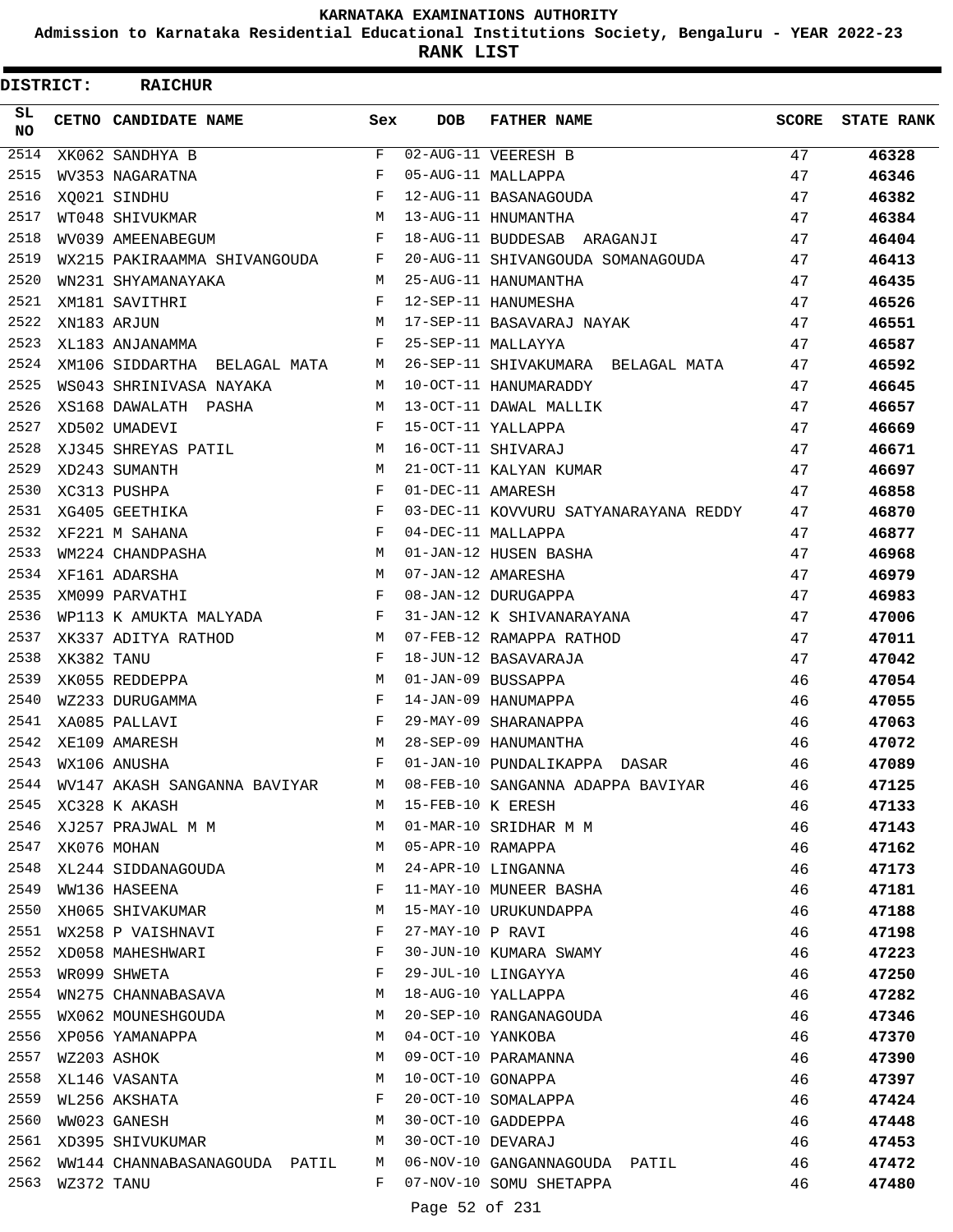**Admission to Karnataka Residential Educational Institutions Society, Bengaluru - YEAR 2022-23**

**RANK LIST**

Ξ

| <b>DISTRICT:</b> |                  | <b>RAICHUR</b>                                                             |              |                   |                                                                          |              |                   |
|------------------|------------------|----------------------------------------------------------------------------|--------------|-------------------|--------------------------------------------------------------------------|--------------|-------------------|
| SL.<br><b>NO</b> |                  | <b>CETNO CANDIDATE NAME</b>                                                | Sex          | DOB               | <b>FATHER NAME</b>                                                       | <b>SCORE</b> | <b>STATE RANK</b> |
| 2514             |                  | XK062 SANDHYA B                                                            | F            |                   | 02-AUG-11 VEERESH B                                                      | 47           | 46328             |
| 2515             |                  | WV353 NAGARATNA                                                            | F            |                   | 05-AUG-11 MALLAPPA                                                       | 47           | 46346             |
| 2516             |                  | $\mathbf{F}$<br>XO021 SINDHU                                               |              |                   | 12-AUG-11 BASANAGOUDA                                                    | 47           | 46382             |
| 2517             |                  | WT048 SHIVUKMAR                                                            | M            |                   | 13-AUG-11 HNUMANTHA                                                      | 47           | 46384             |
| 2518             |                  | WV039 AMEENABEGUM                                                          | $\mathbf{F}$ |                   | 18-AUG-11 BUDDESAB ARAGANJI                                              | 47           | 46404             |
| 2519             |                  | WX215 PAKIRAAMMA SHIVANGOUDA F                                             |              |                   | 20-AUG-11 SHIVANGOUDA SOMANAGOUDA 47                                     |              | 46413             |
| 2520             |                  | WN231 SHYAMANAYAKA                                                         | M            |                   | 25-AUG-11 HANUMANTHA                                                     | 47           | 46435             |
| 2521             |                  | $\begin{aligned} \mathbf{F} \\ \mathbf{M} \end{aligned}$<br>XM181 SAVITHRI |              |                   | 12-SEP-11 HANUMESHA                                                      | 47           | 46526             |
| 2522             |                  | XN183 ARJUN                                                                |              |                   | 17-SEP-11 BASAVARAJ NAYAK                                                | 47           | 46551             |
| 2523             |                  | XL183 ANJANAMMA                                                            | $F$ and      |                   | 25-SEP-11 MALLAYYA                                                       | 47           | 46587             |
| 2524             |                  |                                                                            |              |                   | XM106 SIDDARTHA BELAGAL MATA M 26-SEP-11 SHIVAKUMARA BELAGAL MATA 47     |              | 46592             |
| 2525             |                  | WS043 SHRINIVASA NAYAKA                                                    |              |                   | M 10-OCT-11 HANUMARADDY                                                  | 47           | 46645             |
| 2526             |                  | XS168 DAWALATH PASHA                                                       | M            |                   | 13-OCT-11 DAWAL MALLIK                                                   | 47           | 46657             |
| 2527             |                  | XD502 UMADEVI                                                              | F            |                   | 15-OCT-11 YALLAPPA                                                       | 47           | 46669             |
| 2528             |                  | XJ345 SHREYAS PATIL                                                        | M            |                   | 16-OCT-11 SHIVARAJ                                                       | 47           | 46671             |
| 2529             |                  | XD243 SUMANTH                                                              | M            |                   | 21-OCT-11 KALYAN KUMAR                                                   | 47           | 46697             |
| 2530             |                  | XC313 PUSHPA                                                               | F            | 01-DEC-11 AMARESH |                                                                          | 47           | 46858             |
| 2531             |                  | XG405 GEETHIKA                                                             | F            |                   | 03-DEC-11 KOVVURU SATYANARAYANA REDDY 47                                 |              | 46870             |
| 2532             |                  | $\mathbf{F}$<br>XF221 M SAHANA                                             |              |                   | 04-DEC-11 MALLAPPA                                                       | 47           | 46877             |
| 2533             |                  | WM224 CHANDPASHA                                                           | M            |                   | 01-JAN-12 HUSEN BASHA                                                    | 47           | 46968             |
| 2534             |                  | XF161 ADARSHA                                                              | M            |                   | 07-JAN-12 AMARESHA                                                       | 47           | 46979             |
| 2535             |                  | XM099 PARVATHI                                                             | F            |                   | 07-JAN-12 AMARESHA<br>08-JAN-12 DURUGAPPA                                | 47           | 46983             |
| 2536             |                  | WP113 K AMUKTA MALYADA F                                                   |              |                   | 31-JAN-12 K SHIVANARAYANA                                                | 47           | 47006             |
| 2537             |                  | XK337 ADITYA RATHOD                                                        | M            |                   | 07-FEB-12 RAMAPPA RATHOD                                                 | 47           | 47011             |
| 2538             | XK382 TANU       |                                                                            | $\mathbf{F}$ |                   | 18-JUN-12 BASAVARAJA                                                     | 47           | 47042             |
| 2539             |                  | XK055 REDDEPPA                                                             | M            |                   | 01-JAN-09 BUSSAPPA                                                       | 46           | 47054             |
| 2540             |                  | WZ233 DURUGAMMA                                                            | $\mathbf{F}$ |                   | 14-JAN-09 HANUMAPPA                                                      | 46           | 47055             |
| 2541             |                  | XA085 PALLAVI                                                              | F            |                   | 29-MAY-09 SHARANAPPA                                                     | 46           | 47063             |
| 2542             |                  | XE109 AMARESH                                                              | M            |                   | 28-SEP-09 HANUMANTHA                                                     | 46           | 47072             |
|                  |                  | 2543 WX106 ANUSHA                                                          | F            |                   | 01-JAN-10 PUNDALIKAPPA DASAR                                             | 46           | 47089             |
|                  |                  |                                                                            |              |                   | 2544 WV147 AKASH SANGANNA BAVIYAR M 08-FEB-10 SANGANNA ADAPPA BAVIYAR 46 |              | 47125             |
|                  |                  | 2545 XC328 K AKASH                                                         |              |                   | M 15-FEB-10 K ERESH                                                      | 46           | 47133             |
|                  |                  | 2546 XJ257 PRAJWAL M M (2546 SRIDHAR M M (2546 SRIDHAR M M                 |              |                   |                                                                          | 46           | 47143             |
|                  |                  | 2547 XK076 MOHAN                                                           |              |                   | M 05-APR-10 RAMAPPA                                                      | 46           | 47162             |
|                  |                  | 2548 XL244 SIDDANAGOUDA M 24-APR-10 LINGANNA                               |              |                   |                                                                          | 46           | 47173             |
|                  |                  | 2549 WW136 HASEENA                                                         |              |                   | F 11-MAY-10 MUNEER BASHA                                                 | 46           | 47181             |
|                  |                  |                                                                            |              |                   | 2550 XH065 SHIVAKUMAR M 15-MAY-10 URUKUNDAPPA                            | 46           | 47188             |
|                  |                  | 2551 WX258 P VAISHNAVI F 27-MAY-10 P RAVI                                  |              |                   |                                                                          | 46           |                   |
|                  |                  | 2552 XD058 MAHESHWARI F 30-JUN-10 KUMARA SWAMY                             |              |                   |                                                                          | 46           | 47198             |
|                  |                  |                                                                            |              |                   |                                                                          |              | 47223             |
|                  |                  | 2553 WR099 SHWETA<br>2554 WN275 CHANNABASAVA M 18-AUG-10 YALLAPPA          |              |                   | F 29-JUL-10 LINGAYYA                                                     | 46           | 47250             |
|                  |                  |                                                                            |              |                   |                                                                          | 46           | 47282             |
|                  |                  | 2555 WX062 MOUNESHGOUDA M 20-SEP-10 RANGANAGOUDA                           |              |                   |                                                                          | 46           | 47346             |
|                  |                  | 2556 XP056 YAMANAPPA                                                       |              |                   | M 04-OCT-10 YANKOBA                                                      | 46           | 47370             |
|                  | 2557 WZ203 ASHOK |                                                                            |              |                   | M 09-OCT-10 PARAMANNA                                                    | 46           | 47390             |
|                  |                  | 2558 XL146 VASANTA M 10-OCT-10 GONAPPA                                     |              |                   |                                                                          | 46           | 47397             |
|                  |                  | 2559 WL256 AKSHATA 6 6 F 20-OCT-10 SOMALAPPA                               |              |                   |                                                                          | 46           | 47424             |
|                  |                  | 2560 WW023 GANESH                                                          |              |                   | M 30-OCT-10 GADDEPPA                                                     | 46           | 47448             |
|                  |                  | 2561 XD395 SHIVUKUMAR M 30-OCT-10 DEVARAJ                                  |              |                   |                                                                          | 46           | 47453             |
|                  |                  |                                                                            |              |                   | 2562 WW144 CHANNABASANAGOUDA PATIL M 06-NOV-10 GANGANNAGOUDA PATIL 46    |              | 47472             |
|                  |                  | 2563 WZ372 TANU                                                            |              |                   | F 07-NOV-10 SOMU SHETAPPA 46                                             |              | 47480             |
|                  |                  |                                                                            |              |                   | Page 52 of 231                                                           |              |                   |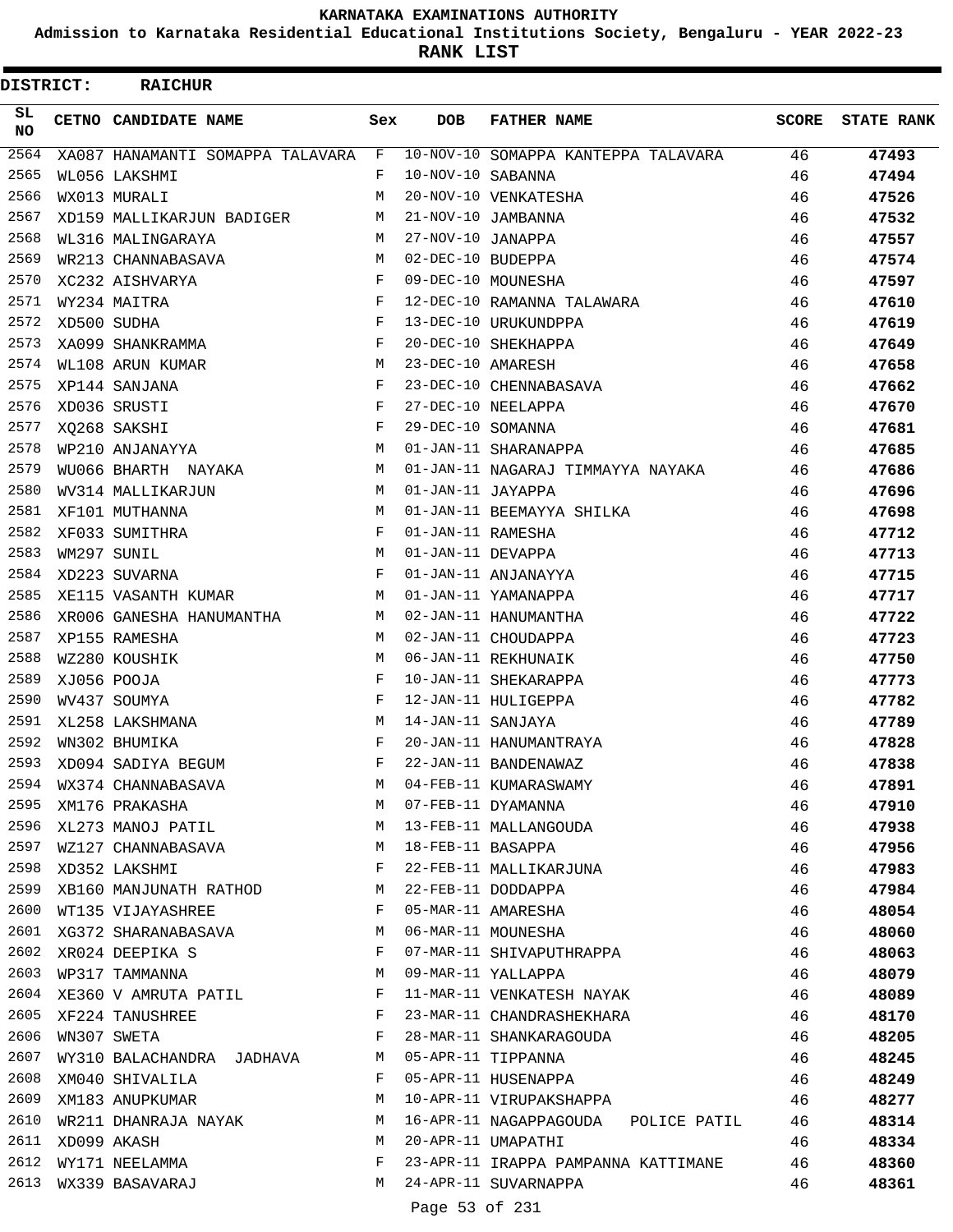**Admission to Karnataka Residential Educational Institutions Society, Bengaluru - YEAR 2022-23**

**RANK LIST**

| <b>DISTRICT:</b> | <b>RAICHUR</b>                     |              |                     |                                     |              |                   |
|------------------|------------------------------------|--------------|---------------------|-------------------------------------|--------------|-------------------|
| SL<br>NO.        | CETNO CANDIDATE NAME               | Sex          | <b>DOB</b>          | <b>FATHER NAME</b>                  | <b>SCORE</b> | <b>STATE RANK</b> |
| 2564             | XA087 HANAMANTI SOMAPPA TALAVARA F |              |                     | 10-NOV-10 SOMAPPA KANTEPPA TALAVARA | 46           | 47493             |
| 2565             | WL056 LAKSHMI                      | F            | 10-NOV-10 SABANNA   |                                     | 46           | 47494             |
| 2566             | WX013 MURALI                       | M            |                     | 20-NOV-10 VENKATESHA                | 46           | 47526             |
| 2567             | XD159 MALLIKARJUN BADIGER          | M            |                     | 21-NOV-10 JAMBANNA                  | 46           | 47532             |
| 2568             | WL316 MALINGARAYA                  | M            | 27-NOV-10 JANAPPA   |                                     | 46           | 47557             |
| 2569             | WR213 CHANNABASAVA                 | M            | 02-DEC-10 BUDEPPA   |                                     | 46           | 47574             |
| 2570             | XC232 AISHVARYA                    | F            |                     | 09-DEC-10 MOUNESHA                  | 46           | 47597             |
| 2571             | WY234 MAITRA                       | F            |                     | 12-DEC-10 RAMANNA TALAWARA          | 46           | 47610             |
| 2572             | XD500 SUDHA                        | F            |                     | 13-DEC-10 URUKUNDPPA                | 46           | 47619             |
| 2573             | XA099 SHANKRAMMA                   | F            |                     | 20-DEC-10 SHEKHAPPA                 | 46           | 47649             |
| 2574             | WL108 ARUN KUMAR                   | М            | 23-DEC-10 AMARESH   |                                     | 46           | 47658             |
| 2575             | XP144 SANJANA                      | F            |                     | 23-DEC-10 CHENNABASAVA              | 46           | 47662             |
| 2576             | XD036 SRUSTI                       | F            |                     | 27-DEC-10 NEELAPPA                  | 46           | 47670             |
| 2577             | XQ268 SAKSHI                       | F            | 29-DEC-10 SOMANNA   |                                     | 46           | 47681             |
| 2578             | WP210 ANJANAYYA                    | M            |                     | 01-JAN-11 SHARANAPPA                | 46           | 47685             |
| 2579             | WU066 BHARTH NAYAKA                | M            |                     | 01-JAN-11 NAGARAJ TIMMAYYA NAYAKA   | 46           | 47686             |
| 2580             | WV314 MALLIKARJUN                  | M            | 01-JAN-11 JAYAPPA   |                                     | 46           | 47696             |
| 2581             | XF101 MUTHANNA                     | M            |                     | 01-JAN-11 BEEMAYYA SHILKA           | 46           | 47698             |
| 2582             | XF033 SUMITHRA                     | F            | 01-JAN-11 RAMESHA   |                                     | 46           | 47712             |
| 2583             | WM297 SUNIL                        | M            | 01-JAN-11 DEVAPPA   |                                     | 46           | 47713             |
| 2584             | XD223 SUVARNA                      | F            |                     | 01-JAN-11 ANJANAYYA                 | 46           | 47715             |
| 2585             | XE115 VASANTH KUMAR                | M            |                     | 01-JAN-11 YAMANAPPA                 | 46           | 47717             |
| 2586             | XR006 GANESHA HANUMANTHA           | M            |                     | 02-JAN-11 HANUMANTHA                | 46           | 47722             |
| 2587             | XP155 RAMESHA                      | M            |                     | 02-JAN-11 CHOUDAPPA                 | 46           | 47723             |
| 2588             | WZ280 KOUSHIK                      | M            |                     | 06-JAN-11 REKHUNAIK                 | 46           | 47750             |
| 2589             | XJ056 POOJA                        | F            |                     | 10-JAN-11 SHEKARAPPA                | 46           | 47773             |
| 2590             | WV437 SOUMYA                       | F            |                     | 12-JAN-11 HULIGEPPA                 | 46           | 47782             |
| 2591             | XL258 LAKSHMANA                    | M            | 14-JAN-11 SANJAYA   |                                     | 46           | 47789             |
| 2592             | WN302 BHUMIKA                      | F            |                     | 20-JAN-11 HANUMANTRAYA              | 46           | 47828             |
| 2593             | XD094 SADIYA BEGUM                 | $\mathbf{F}$ |                     | 22-JAN-11 BANDENAWAZ                | 46           | 47838             |
| 2594             | WX374 CHANNABASAVA                 | M            |                     | 04-FEB-11 KUMARASWAMY               | 46           | 47891             |
| 2595             | XM176 PRAKASHA                     | M            |                     | 07-FEB-11 DYAMANNA                  | 46           | 47910             |
| 2596             | M<br>XL273 MANOJ PATIL             |              |                     | 13-FEB-11 MALLANGOUDA               | 46           | 47938             |
| 2597             | WZ127 CHANNABASAVA                 |              | M 18-FEB-11 BASAPPA |                                     | 46           | 47956             |
| 2598             | XD352 LAKSHMI                      | F            |                     | 22-FEB-11 MALLIKARJUNA              | 46           | 47983             |
| 2599             | XB160 MANJUNATH RATHOD             | M            |                     | 22-FEB-11 DODDAPPA                  | 46           | 47984             |
| 2600             | $\mathbf{F}$<br>WT135 VIJAYASHREE  |              |                     | 05-MAR-11 AMARESHA                  | 46           | 48054             |
|                  | 2601 XG372 SHARANABASAVA M         |              |                     | 06-MAR-11 MOUNESHA                  | 46           | 48060             |
| 2602             | XR024 DEEPIKA S                    | F            |                     | 07-MAR-11 SHIVAPUTHRAPPA            | 46           | 48063             |
| 2603             | WP317 TAMMANNA                     | M            |                     | 09-MAR-11 YALLAPPA                  | 46           | 48079             |
| 2604             | XE360 V AMRUTA PATIL F             |              |                     | 11-MAR-11 VENKATESH NAYAK           | 46           | 48089             |
|                  | 2605 XF224 TANUSHREE               | $\mathbf{F}$ |                     | 23-MAR-11 CHANDRASHEKHARA           | 46           | 48170             |
| 2606             | WN307 SWETA                        | F            |                     | 28-MAR-11 SHANKARAGOUDA             | 46           | 48205             |
| 2607             | WY310 BALACHANDRA JADHAVA          | М            |                     | 05-APR-11 TIPPANNA                  | 46           | 48245             |
| 2608             | XM040 SHIVALILA                    | F            |                     | 05-APR-11 HUSENAPPA                 | 46           | 48249             |
| 2609             | XM183 ANUPKUMAR                    | М            |                     | 10-APR-11 VIRUPAKSHAPPA             | 46           | 48277             |
| 2610             | WR211 DHANRAJA NAYAK               | M            |                     | 16-APR-11 NAGAPPAGOUDA POLICE PATIL | 46           | 48314             |
| 2611<br>2612     | XD099 AKASH                        | M<br>F       |                     | 20-APR-11 UMAPATHI                  | 46           | 48334             |
| 2613             | WY171 NEELAMMA                     | M            |                     | 23-APR-11 IRAPPA PAMPANNA KATTIMANE | 46           | 48360             |
|                  | WX339 BASAVARAJ                    |              |                     | 24-APR-11 SUVARNAPPA                | 46           | 48361             |
|                  |                                    |              | Page 53 of 231      |                                     |              |                   |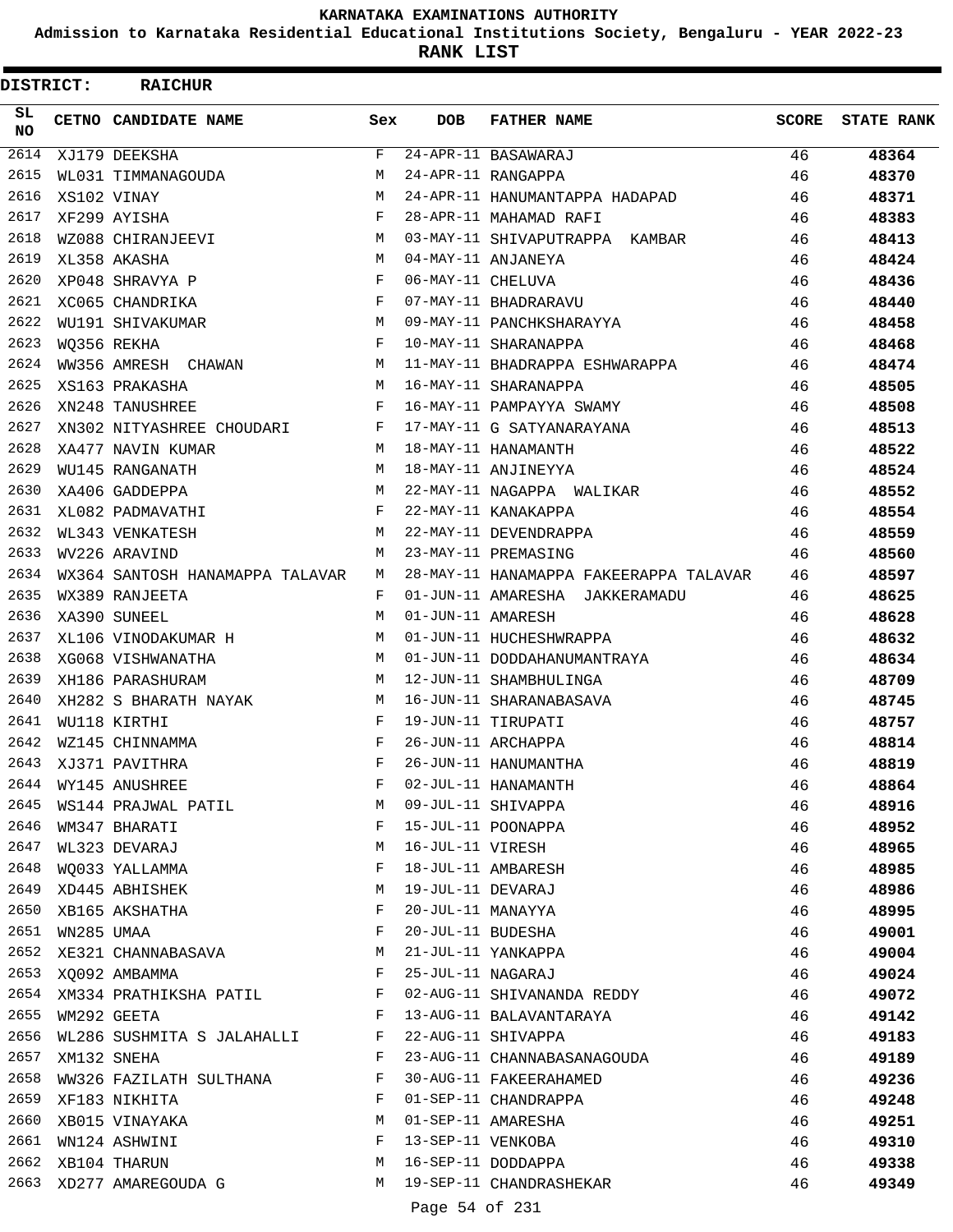**Admission to Karnataka Residential Educational Institutions Society, Bengaluru - YEAR 2022-23**

ı

**RANK LIST**

| DISTRICT:        |                  | <b>RAICHUR</b>                  |              |                   |                                        |              |                   |
|------------------|------------------|---------------------------------|--------------|-------------------|----------------------------------------|--------------|-------------------|
| SL.<br>NO.       |                  | CETNO CANDIDATE NAME            | Sex          | <b>DOB</b>        | <b>FATHER NAME</b>                     | <b>SCORE</b> | <b>STATE RANK</b> |
| $\frac{2614}{ }$ |                  | XJ179 DEEKSHA                   | F            |                   | 24-APR-11 BASAWARAJ                    | 46           | 48364             |
| 2615             |                  | WL031 TIMMANAGOUDA              | M            |                   | 24-APR-11 RANGAPPA                     | 46           | 48370             |
| 2616             |                  | XS102 VINAY                     | M            |                   | 24-APR-11 HANUMANTAPPA HADAPAD         | 46           | 48371             |
| 2617             |                  | XF299 AYISHA                    | $_{\rm F}$   |                   | 28-APR-11 MAHAMAD RAFI                 | 46           | 48383             |
| 2618             |                  | WZ088 CHIRANJEEVI               | M            |                   | 03-MAY-11 SHIVAPUTRAPPA KAMBAR         | 46           | 48413             |
| 2619             |                  | XL358 AKASHA                    | M            |                   | 04-MAY-11 ANJANEYA                     | 46           | 48424             |
| 2620             |                  | XP048 SHRAVYA P                 | $\mathbf{F}$ | 06-MAY-11 CHELUVA |                                        | 46           | 48436             |
| 2621             |                  | XC065 CHANDRIKA                 | F            |                   | 07-MAY-11 BHADRARAVU                   | 46           | 48440             |
| 2622             |                  | WU191 SHIVAKUMAR                | M            |                   | 09-MAY-11 PANCHKSHARAYYA               | 46           | 48458             |
| 2623             |                  | WO356 REKHA                     | F            |                   | 10-MAY-11 SHARANAPPA                   | 46           | 48468             |
| 2624             |                  | WW356 AMRESH CHAWAN             | M            |                   | 11-MAY-11 BHADRAPPA ESHWARAPPA         | 46           | 48474             |
| 2625             |                  | XS163 PRAKASHA                  | М            |                   | 16-MAY-11 SHARANAPPA                   | 46           | 48505             |
| 2626             |                  | XN248 TANUSHREE                 | $\mathbf{F}$ |                   | 16-MAY-11 PAMPAYYA SWAMY               | 46           | 48508             |
| 2627             |                  | XN302 NITYASHREE CHOUDARI       | F            |                   | 17-MAY-11 G SATYANARAYANA              | 46           | 48513             |
| 2628             |                  | XA477 NAVIN KUMAR               | M            |                   | 18-MAY-11 HANAMANTH                    | 46           | 48522             |
| 2629             |                  | WU145 RANGANATH                 | M            |                   | 18-MAY-11 ANJINEYYA                    | 46           | 48524             |
| 2630             |                  | XA406 GADDEPPA                  | M            |                   | 22-MAY-11 NAGAPPA WALIKAR              | 46           | 48552             |
| 2631             |                  | XL082 PADMAVATHI                | F            |                   | 22-MAY-11 KANAKAPPA                    | 46           | 48554             |
| 2632             |                  | WL343 VENKATESH                 | M            |                   | 22-MAY-11 DEVENDRAPPA                  | 46           | 48559             |
| 2633             |                  | WV226 ARAVIND                   | M            |                   | 23-MAY-11 PREMASING                    | 46           | 48560             |
| 2634             |                  | WX364 SANTOSH HANAMAPPA TALAVAR | M            |                   | 28-MAY-11 HANAMAPPA FAKEERAPPA TALAVAR | 46           | 48597             |
| 2635             |                  | WX389 RANJEETA                  | F            |                   | 01-JUN-11 AMARESHA JAKKERAMADU         | 46           | 48625             |
| 2636             |                  | XA390 SUNEEL                    | M            | 01-JUN-11 AMARESH |                                        | 46           | 48628             |
| 2637             |                  | XL106 VINODAKUMAR H             | M            |                   | 01-JUN-11 HUCHESHWRAPPA                | 46           | 48632             |
| 2638             |                  | XG068 VISHWANATHA               | M            |                   | 01-JUN-11 DODDAHANUMANTRAYA            | 46           | 48634             |
| 2639             |                  | XH186 PARASHURAM                | М            |                   | 12-JUN-11 SHAMBHULINGA                 | 46           | 48709             |
| 2640             |                  | XH282 S BHARATH NAYAK           | M            |                   | 16-JUN-11 SHARANABASAVA                | 46           | 48745             |
| 2641             |                  | WU118 KIRTHI                    | F            |                   | 19-JUN-11 TIRUPATI                     | 46           | 48757             |
| 2642             |                  | WZ145 CHINNAMMA                 | F            |                   | 26-JUN-11 ARCHAPPA                     | 46           | 48814             |
| 2643             |                  | XJ371 PAVITHRA                  | F            |                   | 26-JUN-11 HANUMANTHA                   | 46           | 48819             |
|                  |                  | 2644 WY145 ANUSHREE             | F            |                   | 02-JUL-11 HANAMANTH                    | 46           | 48864             |
| 2645             |                  |                                 | М            |                   | 09-JUL-11 SHIVAPPA                     | 46           | 48916             |
| 2646             |                  | WS144 PRAJWAL PATIL             | F            |                   | 15-JUL-11 POONAPPA                     |              |                   |
| 2647             |                  | WM347 BHARATI                   | М            | 16-JUL-11 VIRESH  |                                        | 46           | 48952             |
| 2648             |                  | WL323 DEVARAJ                   |              |                   |                                        | 46           | 48965             |
|                  |                  | WQ033 YALLAMMA                  | F            |                   | 18-JUL-11 AMBARESH                     | 46           | 48985             |
| 2649             |                  | XD445 ABHISHEK                  | М            | 19-JUL-11 DEVARAJ |                                        | 46           | 48986             |
| 2650             |                  | XB165 AKSHATHA                  | F            | 20-JUL-11 MANAYYA |                                        | 46           | 48995             |
| 2651             | WN285 UMAA       |                                 | F            |                   | 20-JUL-11 BUDESHA                      | 46           | 49001             |
| 2652             |                  | XE321 CHANNABASAVA              | M            |                   | 21-JUL-11 YANKAPPA                     | 46           | 49004             |
|                  |                  | 2653 XQ092 AMBAMMA              | F            | 25-JUL-11 NAGARAJ |                                        | 46           | 49024             |
|                  |                  | 2654 XM334 PRATHIKSHA PATIL F   |              |                   | 02-AUG-11 SHIVANANDA REDDY             | 46           | 49072             |
|                  | 2655 WM292 GEETA |                                 | $\mathbf{F}$ |                   | 13-AUG-11 BALAVANTARAYA                | 46           | 49142             |
|                  |                  | 2656 WL286 SUSHMITA S JALAHALLI | F            |                   | 22-AUG-11 SHIVAPPA                     | 46           | 49183             |
| 2657             |                  | XM132 SNEHA                     | F            |                   | 23-AUG-11 CHANNABASANAGOUDA            | 46           | 49189             |
| 2658             |                  | WW326 FAZILATH SULTHANA         | F            |                   | 30-AUG-11 FAKEERAHAMED                 | 46           | 49236             |
| 2659             |                  | XF183 NIKHITA                   | F            |                   | 01-SEP-11 CHANDRAPPA                   | 46           | 49248             |
| 2660             |                  | XB015 VINAYAKA                  | М            |                   | 01-SEP-11 AMARESHA                     | 46           | 49251             |
| 2661             |                  | WN124 ASHWINI                   | F            |                   | 13-SEP-11 VENKOBA                      | 46           | 49310             |
| 2662             |                  | XB104 THARUN                    | М            |                   | 16-SEP-11 DODDAPPA                     | 46           | 49338             |
| 2663             |                  | XD277 AMAREGOUDA G              | М            |                   | 19-SEP-11 CHANDRASHEKAR                | 46           | 49349             |
|                  |                  |                                 |              | Page 54 of 231    |                                        |              |                   |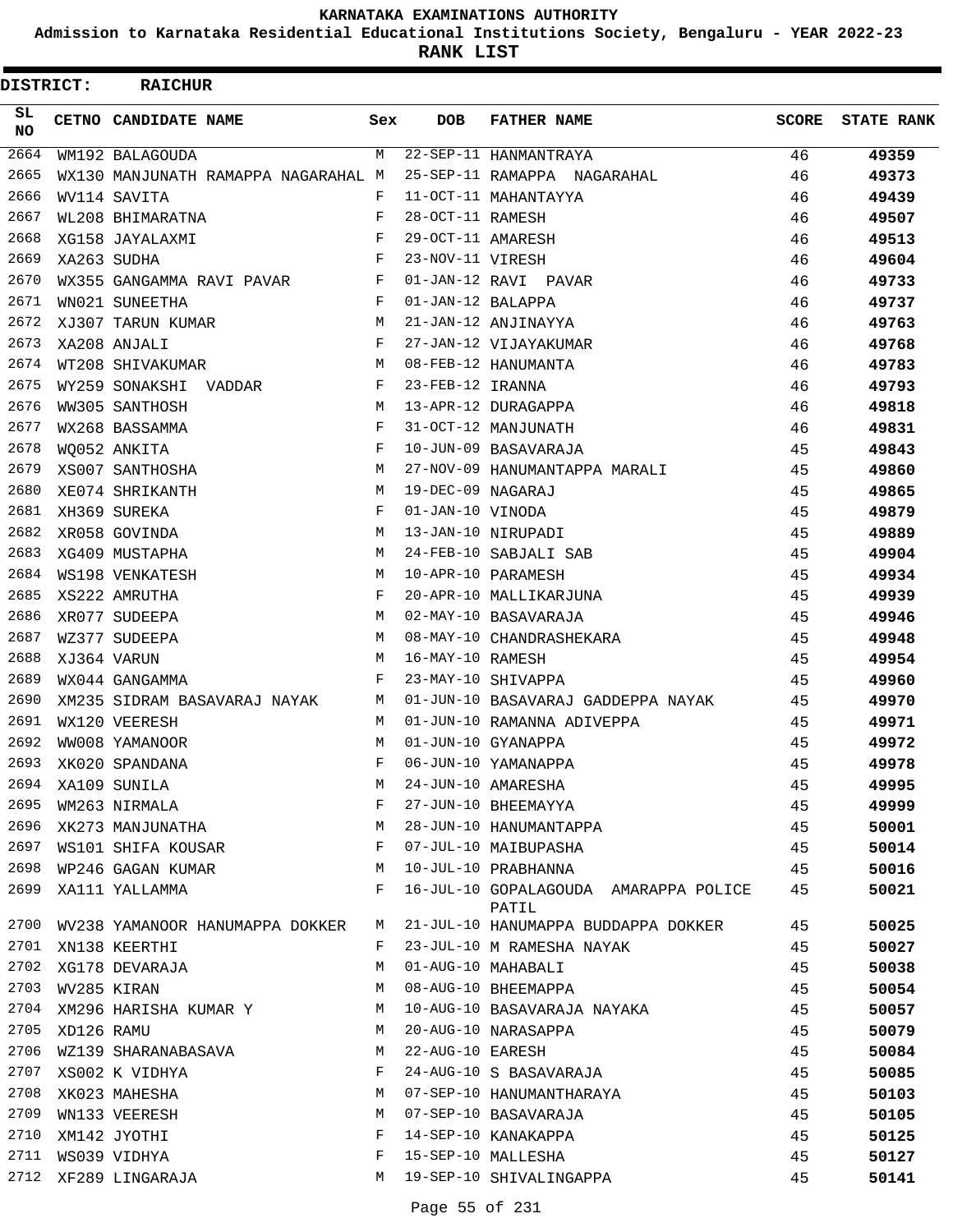**Admission to Karnataka Residential Educational Institutions Society, Bengaluru - YEAR 2022-23**

**RANK LIST**

| <b>DISTRICT:</b> |            | <b>RAICHUR</b>                      |            |                   |                                                |              |                   |
|------------------|------------|-------------------------------------|------------|-------------------|------------------------------------------------|--------------|-------------------|
| SL<br><b>NO</b>  |            | CETNO CANDIDATE NAME                | Sex        | <b>DOB</b>        | <b>FATHER NAME</b>                             | <b>SCORE</b> | <b>STATE RANK</b> |
| 2664             |            | WM192 BALAGOUDA                     | M          |                   | 22-SEP-11 HANMANTRAYA                          | 46           | 49359             |
| 2665             |            | WX130 MANJUNATH RAMAPPA NAGARAHAL M |            |                   | 25-SEP-11 RAMAPPA NAGARAHAL                    | 46           | 49373             |
| 2666             |            | WV114 SAVITA                        | F          |                   | 11-OCT-11 MAHANTAYYA                           | 46           | 49439             |
| 2667             |            | WL208 BHIMARATNA                    | F          | 28-OCT-11 RAMESH  |                                                | 46           | 49507             |
| 2668             |            | XG158 JAYALAXMI                     | $_{\rm F}$ | 29-OCT-11 AMARESH |                                                | 46           | 49513             |
| 2669             |            | XA263 SUDHA                         | F          | 23-NOV-11 VIRESH  |                                                | 46           | 49604             |
| 2670             |            | WX355 GANGAMMA RAVI PAVAR           | F          |                   | 01-JAN-12 RAVI PAVAR                           | 46           | 49733             |
| 2671             |            | WN021 SUNEETHA                      | F          | 01-JAN-12 BALAPPA |                                                | 46           | 49737             |
| 2672             |            | XJ307 TARUN KUMAR                   | M          |                   | 21-JAN-12 ANJINAYYA                            | 46           | 49763             |
| 2673             |            | XA208 ANJALI                        | F          |                   | 27-JAN-12 VIJAYAKUMAR                          | 46           | 49768             |
| 2674             |            | WT208 SHIVAKUMAR                    | M          |                   | 08-FEB-12 HANUMANTA                            | 46           | 49783             |
| 2675             |            | WY259 SONAKSHI<br>VADDAR            | F          | 23-FEB-12 IRANNA  |                                                | 46           | 49793             |
| 2676             |            | WW305 SANTHOSH                      | M          |                   | 13-APR-12 DURAGAPPA                            | 46           | 49818             |
| 2677             |            | WX268 BASSAMMA                      | F          |                   | 31-OCT-12 MANJUNATH                            | 46           | 49831             |
| 2678             |            | WO052 ANKITA                        | F          |                   | 10-JUN-09 BASAVARAJA                           | 45           | 49843             |
| 2679             |            | XS007 SANTHOSHA                     | M          |                   | 27-NOV-09 HANUMANTAPPA MARALI                  | 45           | 49860             |
| 2680             |            | XE074 SHRIKANTH                     | M          | 19-DEC-09 NAGARAJ |                                                | 45           | 49865             |
| 2681             |            | XH369 SUREKA                        | F          | 01-JAN-10 VINODA  |                                                | 45           | 49879             |
| 2682             |            | XR058 GOVINDA                       | M          |                   | 13-JAN-10 NIRUPADI                             | 45           | 49889             |
| 2683             |            | XG409 MUSTAPHA                      | M          |                   | 24-FEB-10 SABJALI SAB                          | 45           | 49904             |
| 2684             |            | WS198 VENKATESH                     | M          |                   | 10-APR-10 PARAMESH                             | 45           | 49934             |
| 2685             |            | XS222 AMRUTHA                       | F          |                   | 20-APR-10 MALLIKARJUNA                         | 45           | 49939             |
| 2686             |            | XR077 SUDEEPA                       | M          |                   | 02-MAY-10 BASAVARAJA                           | 45           | 49946             |
| 2687             |            | WZ377 SUDEEPA                       | M          |                   | 08-MAY-10 CHANDRASHEKARA                       | 45           | 49948             |
| 2688             |            | XJ364 VARUN                         | M          | 16-MAY-10 RAMESH  |                                                | 45           | 49954             |
| 2689             |            | WX044 GANGAMMA                      | F          |                   | 23-MAY-10 SHIVAPPA                             | 45           | 49960             |
| 2690             |            | XM235 SIDRAM BASAVARAJ NAYAK        | M          |                   | 01-JUN-10 BASAVARAJ GADDEPPA NAYAK             | 45           | 49970             |
| 2691             |            | WX120 VEERESH                       | M          |                   | 01-JUN-10 RAMANNA ADIVEPPA                     | 45           | 49971             |
| 2692             |            | WW008 YAMANOOR                      | M          |                   | 01-JUN-10 GYANAPPA                             | 45           | 49972             |
| 2693             |            | XK020 SPANDANA                      | F          |                   | 06-JUN-10 YAMANAPPA                            | 45           | 49978             |
| 2694             |            | XA109 SUNILA                        | М          |                   | 24-JUN-10 AMARESHA                             | 45           | 49995             |
| 2695             |            | WM263 NIRMALA                       | F          |                   | 27-JUN-10 BHEEMAYYA                            | 45           | 49999             |
| 2696             |            | XK273 MANJUNATHA                    | М          |                   | 28-JUN-10 HANUMANTAPPA                         | 45           | 50001             |
| 2697             |            | WS101 SHIFA KOUSAR                  | F          |                   | 07-JUL-10 MAIBUPASHA                           | 45           | 50014             |
| 2698             |            | WP246 GAGAN KUMAR                   | M          |                   | 10-JUL-10 PRABHANNA                            | 45           | 50016             |
| 2699             |            | XA111 YALLAMMA                      | F          |                   | 16-JUL-10 GOPALAGOUDA AMARAPPA POLICE<br>PATIL | 45           | 50021             |
| 2700             |            | WV238 YAMANOOR HANUMAPPA DOKKER     | M          |                   | 21-JUL-10 HANUMAPPA BUDDAPPA DOKKER            | 45           | 50025             |
| 2701             |            | XN138 KEERTHI                       | F          |                   | 23-JUL-10 M RAMESHA NAYAK                      | 45           | 50027             |
| 2702             |            | XG178 DEVARAJA                      | M          |                   | 01-AUG-10 MAHABALI                             | 45           | 50038             |
| 2703             |            | WV285 KIRAN                         | М          |                   | 08-AUG-10 BHEEMAPPA                            | 45           | 50054             |
| 2704             |            | XM296 HARISHA KUMAR Y               | M          |                   | 10-AUG-10 BASAVARAJA NAYAKA                    | 45           | 50057             |
| 2705             | XD126 RAMU |                                     | М          |                   | 20-AUG-10 NARASAPPA                            | 45           | 50079             |
| 2706             |            | WZ139 SHARANABASAVA                 | M          | 22-AUG-10 EARESH  |                                                | 45           | 50084             |
| 2707             |            | XS002 K VIDHYA                      | F          |                   | 24-AUG-10 S BASAVARAJA                         | 45           | 50085             |
| 2708             |            | XK023 MAHESHA                       | M          |                   | 07-SEP-10 HANUMANTHARAYA                       | 45           | 50103             |
| 2709             |            | WN133 VEERESH                       | М          |                   | 07-SEP-10 BASAVARAJA                           | 45           | 50105             |
| 2710             |            | XM142 JYOTHI                        | F          |                   | 14-SEP-10 KANAKAPPA                            | 45           | 50125             |
| 2711             |            | WS039 VIDHYA                        | F          |                   | 15-SEP-10 MALLESHA                             | 45           | 50127             |
|                  |            | 2712 XF289 LINGARAJA                | М          |                   | 19-SEP-10 SHIVALINGAPPA                        | 45           | 50141             |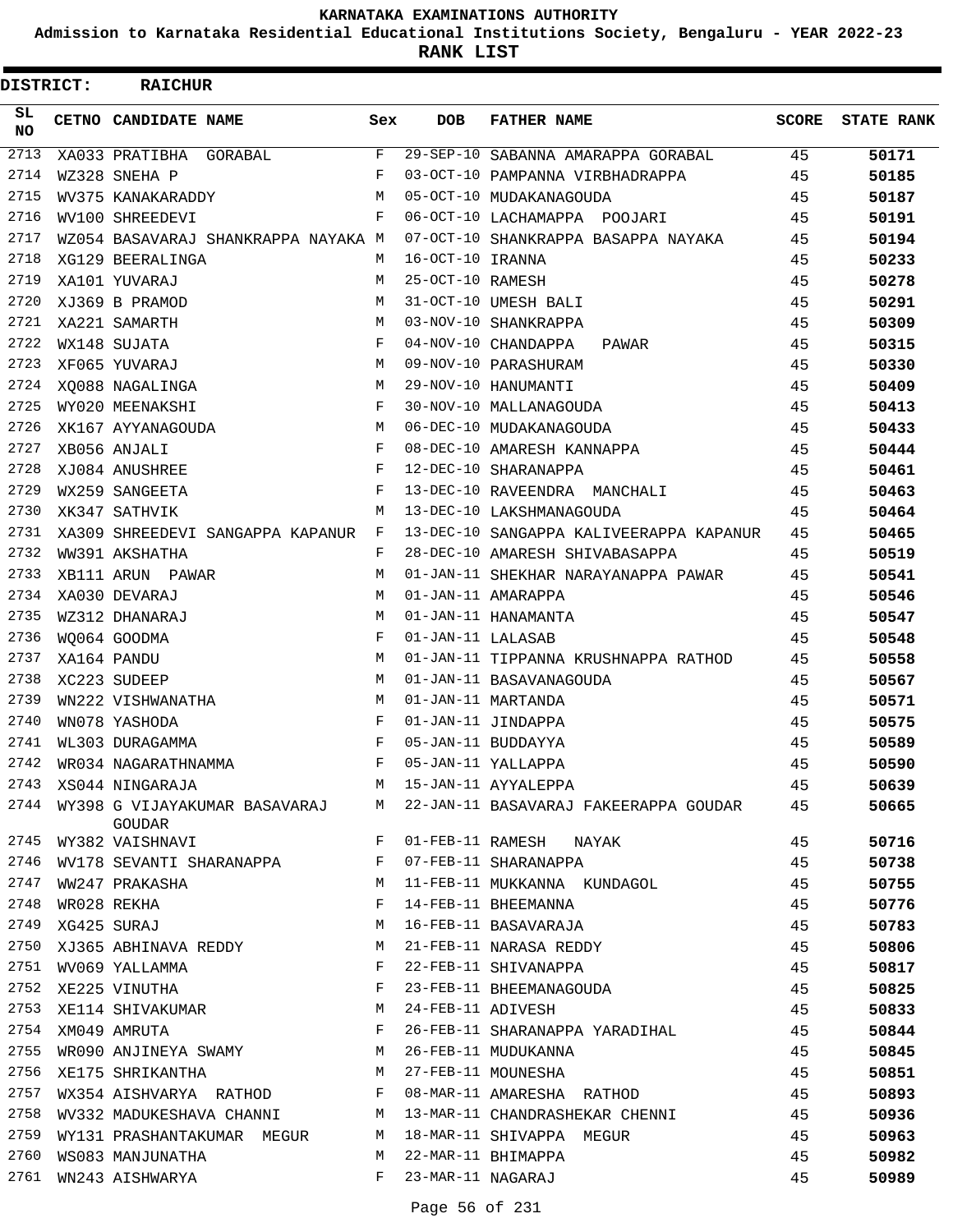**Admission to Karnataka Residential Educational Institutions Society, Bengaluru - YEAR 2022-23**

**RANK LIST**

| DISTRICT:        | <b>RAICHUR</b>                                           |       |                    |                                                                               |              |                   |
|------------------|----------------------------------------------------------|-------|--------------------|-------------------------------------------------------------------------------|--------------|-------------------|
| SL<br>NO.        | CETNO CANDIDATE NAME                                     | Sex   | <b>DOB</b>         | <b>FATHER NAME</b>                                                            | <b>SCORE</b> | <b>STATE RANK</b> |
| $\frac{2713}{ }$ | XA033 PRATIBHA GORABAL                                   | F     |                    | 29-SEP-10 SABANNA AMARAPPA GORABAL 45                                         |              | 50171             |
| 2714             | WZ328 SNEHA P                                            | F     |                    | 03-OCT-10 PAMPANNA VIRBHADRAPPA                                               | 45           | 50185             |
| 2715             | WV375 KANAKARADDY                                        | М     |                    | 05-OCT-10 MUDAKANAGOUDA                                                       | 45           | 50187             |
| 2716             | WV100 SHREEDEVI                                          | F     |                    | 06-OCT-10 LACHAMAPPA POOJARI                                                  | 45           | 50191             |
| 2717             | WZ054 BASAVARAJ SHANKRAPPA NAYAKA M                      |       |                    | 07-OCT-10 SHANKRAPPA BASAPPA NAYAKA                                           | 45           | 50194             |
| 2718             | XG129 BEERALINGA                                         | M     | 16-OCT-10 IRANNA   |                                                                               | 45           | 50233             |
| 2719             | XA101 YUVARAJ                                            | M     | 25-OCT-10 RAMESH   |                                                                               | 45           | 50278             |
| 2720             | XJ369 B PRAMOD                                           | M     |                    | 31-OCT-10 UMESH BALI                                                          | 45           | 50291             |
| 2721             | XA221 SAMARTH                                            | M     |                    | 03-NOV-10 SHANKRAPPA                                                          | 45           | 50309             |
| 2722             | WX148 SUJATA                                             | F     |                    | 04-NOV-10 CHANDAPPA PAWAR                                                     | 45           | 50315             |
| 2723             | XF065 YUVARAJ                                            | M     |                    | 09-NOV-10 PARASHURAM                                                          | 45           | 50330             |
| 2724             | XO088 NAGALINGA                                          | M     |                    | 29-NOV-10 HANUMANTI                                                           | 45           | 50409             |
| 2725             | WY020 MEENAKSHI                                          | F     |                    | 30-NOV-10 MALLANAGOUDA                                                        | 45           | 50413             |
| 2726             | XK167 AYYANAGOUDA                                        | M     |                    | 06-DEC-10 MUDAKANAGOUDA                                                       | 45           | 50433             |
| 2727             | XB056 ANJALI                                             | F     |                    | 08-DEC-10 AMARESH KANNAPPA                                                    | 45           | 50444             |
| 2728             | XJ084 ANUSHREE                                           | F     |                    | 12-DEC-10 SHARANAPPA                                                          | 45           | 50461             |
| 2729             | WX259 SANGEETA                                           | F     |                    | 13-DEC-10 RAVEENDRA MANCHALI                                                  | 45           | 50463             |
| 2730             | XK347 SATHVIK                                            | M     |                    | 13-DEC-10 LAKSHMANAGOUDA                                                      | 45           | 50464             |
| 2731             | XA309 SHREEDEVI SANGAPPA KAPANUR                         | F     |                    | 13-DEC-10 SANGAPPA KALIVEERAPPA KAPANUR                                       | 45           | 50465             |
| 2732             | WW391 AKSHATHA                                           | F     |                    | 28-DEC-10 AMARESH SHIVABASAPPA                                                | 45           | 50519             |
| 2733             | XB111 ARUN PAWAR                                         | M     |                    | 01-JAN-11 SHEKHAR NARAYANAPPA PAWAR                                           | 45           | 50541             |
| 2734             | XA030 DEVARAJ                                            | M     |                    | 01-JAN-11 AMARAPPA                                                            | 45           | 50546             |
| 2735             | WZ312 DHANARAJ                                           | M     |                    | 01-JAN-11 HANAMANTA                                                           | 45           | 50547             |
| 2736             | WO064 GOODMA                                             | F     | 01-JAN-11 LALASAB  |                                                                               | 45           | 50548             |
| 2737             | XA164 PANDU                                              | М     |                    | 01-JAN-11 TIPPANNA KRUSHNAPPA RATHOD                                          | 45           | 50558             |
| 2738             | XC223 SUDEEP                                             | M     |                    | 01-JAN-11 BASAVANAGOUDA                                                       | 45           | 50567             |
| 2739             | WN222 VISHWANATHA                                        | М     | 01-JAN-11 MARTANDA |                                                                               | 45           | 50571             |
| 2740             | WN078 YASHODA                                            | F     |                    | 01-JAN-11 JINDAPPA                                                            | 45           | 50575             |
| 2741             | WL303 DURAGAMMA                                          | F     |                    | 05-JAN-11 BUDDAYYA                                                            | 45           | 50589             |
| 2742             | WR034 NAGARATHNAMMA                                      | F     |                    | 05-JAN-11 YALLAPPA                                                            | 45           | 50590             |
| 2743             | XS044 NINGARAJA                                          |       |                    | M 15-JAN-11 AYYALEPPA                                                         | 45           | 50639             |
|                  | GOUDAR                                                   |       |                    | 2744 WY398 G VIJAYAKUMAR BASAVARAJ M 22-JAN-11 BASAVARAJ FAKEERAPPA GOUDAR 45 |              | 50665             |
| 2745             | WY382 VAISHNAVI                                          | F     |                    | 01-FEB-11 RAMESH NAYAK                                                        | 45           | 50716             |
| 2746             | WV178 SEVANTI SHARANAPPA F                               |       |                    | 07-FEB-11 SHARANAPPA                                                          | 45           | 50738             |
| 2747             | M <sub>1</sub><br>WW247 PRAKASHA                         |       |                    | 11-FEB-11 MUKKANNA KUNDAGOL                                                   | 45           | 50755             |
| 2748             | WR028 REKHA                                              | F     |                    | 14-FEB-11 BHEEMANNA                                                           | 45           | 50776             |
| 2749             | XG425 SURAJ                                              | М     |                    | 16-FEB-11 BASAVARAJA                                                          | 45           | 50783             |
| 2750             | XJ365 ABHINAVA REDDY                                     | M     |                    | 21-FEB-11 NARASA REDDY                                                        | 45           | 50806             |
| 2751             | WV069 YALLAMMA                                           | F     |                    | 22-FEB-11 SHIVANAPPA                                                          | 45           | 50817             |
| 2752             | XE225 VINUTHA                                            | F     |                    | 23-FEB-11 BHEEMANAGOUDA                                                       | 45           | 50825             |
|                  | 2753 XE114 SHIVAKUMAR M                                  |       | 24-FEB-11 ADIVESH  |                                                                               | 45           | 50833             |
| 2754             | $\mathbf{F}$ and the set of $\mathbf{F}$<br>XM049 AMRUTA |       |                    | 26-FEB-11 SHARANAPPA YARADIHAL                                                | 45           | 50844             |
| 2755             | WR090 ANJINEYA SWAMY M 26-FEB-11 MUDUKANNA               |       |                    |                                                                               | 45           | 50845             |
| 2756             | XE175 SHRIKANTHA                                         |       |                    | M 27-FEB-11 MOUNESHA                                                          | 45           | 50851             |
| 2757             | WX354 AISHVARYA RATHOD F                                 |       |                    | 08-MAR-11 AMARESHA RATHOD                                                     | 45           | 50893             |
| 2758             |                                                          |       |                    | WV332 MADUKESHAVA CHANNI M 13-MAR-11 CHANDRASHEKAR CHENNI                     | 45           | 50936             |
| 2759             | WY131 PRASHANTAKUMAR MEGUR M                             |       |                    | 18-MAR-11 SHIVAPPA MEGUR                                                      | 45           | 50963             |
| 2760             | WS083 MANJUNATHA                                         | M     |                    | 22-MAR-11 BHIMAPPA                                                            | 45           | 50982             |
| 2761             | WN243 AISHWARYA                                          | $F$ – | 23-MAR-11 NAGARAJ  |                                                                               | 45           | 50989             |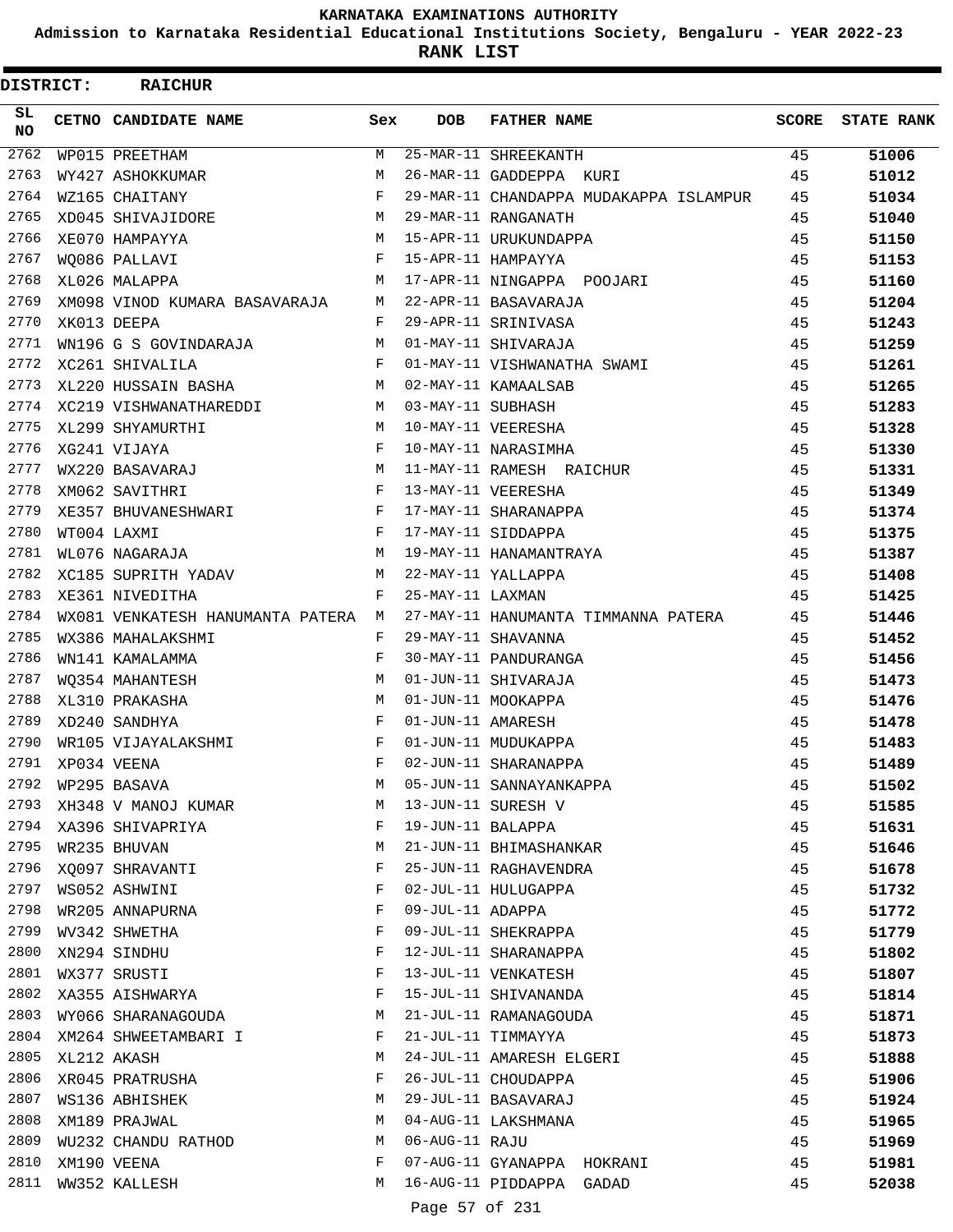**Admission to Karnataka Residential Educational Institutions Society, Bengaluru - YEAR 2022-23**

ı

**RANK LIST**

| <b>DISTRICT:</b> | <b>RAICHUR</b>                     |                    |                   |                                        |       |                   |
|------------------|------------------------------------|--------------------|-------------------|----------------------------------------|-------|-------------------|
| SL.<br>NO.       | CETNO CANDIDATE NAME               | Sex                | DOB               | <b>FATHER NAME</b>                     | SCORE | <b>STATE RANK</b> |
| 2762             | WP015 PREETHAM                     | M                  |                   | 25-MAR-11 SHREEKANTH                   | 45    | 51006             |
| 2763             | WY427 ASHOKKUMAR                   | M                  |                   | 26-MAR-11 GADDEPPA KURI                | 45    | 51012             |
| 2764             | WZ165 CHAITANY                     | F                  |                   | 29-MAR-11 CHANDAPPA MUDAKAPPA ISLAMPUR | 45    | 51034             |
| 2765             | XD045 SHIVAJIDORE                  | M                  |                   | 29-MAR-11 RANGANATH                    | 45    | 51040             |
| 2766             | <b>M</b><br>XE070 HAMPAYYA         |                    |                   | 15-APR-11 URUKUNDAPPA                  | 45    | 51150             |
| 2767             | WO086 PALLAVI                      | F                  |                   | 15-APR-11 HAMPAYYA                     | 45    | 51153             |
| 2768             | XL026 MALAPPA                      | M                  |                   | 17-APR-11 NINGAPPA POOJARI             | 45    | 51160             |
| 2769             | XM098 VINOD KUMARA BASAVARAJA      | M                  |                   | 22-APR-11 BASAVARAJA                   | 45    | 51204             |
| 2770             | XK013 DEEPA                        | $\mathbf{F}$       |                   | 29-APR-11 SRINIVASA                    | 45    | 51243             |
| 2771             | WN196 G S GOVINDARAJA              | M                  |                   | 01-MAY-11 SHIVARAJA                    | 45    | 51259             |
| 2772             | XC261 SHIVALILA                    | $\mathbf{F}$       |                   | 01-MAY-11 VISHWANATHA SWAMI            | 45    | 51261             |
| 2773             | XL220 HUSSAIN BASHA                | M                  |                   | 02-MAY-11 KAMAALSAB                    | 45    | 51265             |
| 2774             | XC219 VISHWANATHAREDDI M           |                    | 03-MAY-11 SUBHASH |                                        | 45    | 51283             |
| 2775             | XL299 SHYAMURTHI                   | M                  |                   | 10-MAY-11 VEERESHA                     | 45    | 51328             |
| 2776             | XG241 VIJAYA                       | F                  |                   | 10-MAY-11 NARASIMHA                    | 45    | 51330             |
| 2777             | WX220 BASAVARAJ                    | M                  |                   | 11-MAY-11 RAMESH RAICHUR               | 45    | 51331             |
| 2778             | XM062 SAVITHRI                     | $_{\rm F}$         |                   | 13-MAY-11 VEERESHA                     | 45    | 51349             |
| 2779             | XE357 BHUVANESHWARI                | $\mathbf{F}$       |                   | 17-MAY-11 SHARANAPPA                   | 45    | 51374             |
| 2780             | WT004 LAXMI                        | $\mathbf{F}$       |                   | 17-MAY-11 SIDDAPPA                     | 45    | 51375             |
| 2781             | WL076 NAGARAJA                     | M                  |                   | 19-MAY-11 HANAMANTRAYA                 | 45    | 51387             |
| 2782             | XC185 SUPRITH YADAV                | M                  |                   | 22-MAY-11 YALLAPPA                     | 45    | 51408             |
| 2783             | XE361 NIVEDITHA                    | F                  | 25-MAY-11 LAXMAN  |                                        | 45    | 51425             |
| 2784             | WX081 VENKATESH HANUMANTA PATERA M |                    |                   | 27-MAY-11 HANUMANTA TIMMANNA PATERA    | 45    | 51446             |
| 2785             | WX386 MAHALAKSHMI                  | F                  |                   | 29-MAY-11 SHAVANNA                     | 45    | 51452             |
| 2786             | WN141 KAMALAMMA                    | F                  |                   | 30-MAY-11 PANDURANGA                   | 45    | 51456             |
| 2787             | WO354 MAHANTESH                    | М                  |                   | 01-JUN-11 SHIVARAJA                    | 45    | 51473             |
| 2788             | XL310 PRAKASHA                     | м                  |                   | 01-JUN-11 MOOKAPPA                     | 45    | 51476             |
| 2789             | XD240 SANDHYA                      | F                  | 01-JUN-11 AMARESH |                                        | 45    | 51478             |
| 2790             | WR105 VIJAYALAKSHMI                | F                  |                   | 01-JUN-11 MUDUKAPPA                    | 45    | 51483             |
| 2791             | XP034 VEENA                        | $\mathbf{F}% _{0}$ |                   | 02-JUN-11 SHARANAPPA                   | 45    | 51489             |
| 2792             | WP295 BASAVA                       | М                  |                   | 05-JUN-11 SANNAYANKAPPA                | 45    | 51502             |
| 2793             | XH348 V MANOJ KUMAR                | M                  |                   | 13-JUN-11 SURESH V                     | 45    | 51585             |
| 2794             | XA396 SHIVAPRIYA                   | F                  | 19-JUN-11 BALAPPA |                                        | 45    | 51631             |
| 2795             | WR235 BHUVAN                       | M                  |                   | 21-JUN-11 BHIMASHANKAR                 | 45    | 51646             |
| 2796             | XQ097 SHRAVANTI                    | F                  |                   | 25-JUN-11 RAGHAVENDRA                  | 45    | 51678             |
| 2797             | WS052 ASHWINI                      | F                  |                   | 02-JUL-11 HULUGAPPA                    | 45    | 51732             |
| 2798             | WR205 ANNAPURNA                    | F                  | 09-JUL-11 ADAPPA  |                                        | 45    | 51772             |
| 2799             | WV342 SHWETHA                      | F                  |                   | 09-JUL-11 SHEKRAPPA                    | 45    | 51779             |
| 2800             | XN294 SINDHU                       | F                  |                   | 12-JUL-11 SHARANAPPA                   | 45    | 51802             |
| 2801             | WX377 SRUSTI                       | F                  |                   | 13-JUL-11 VENKATESH                    | 45    | 51807             |
| 2802             | XA355 AISHWARYA                    | F                  |                   | 15-JUL-11 SHIVANANDA                   | 45    | 51814             |
| 2803             | WY066 SHARANAGOUDA                 | M                  |                   | 21-JUL-11 RAMANAGOUDA                  | 45    | 51871             |
| 2804             | XM264 SHWEETAMBARI I               | F                  |                   | 21-JUL-11 TIMMAYYA                     | 45    | 51873             |
| 2805             | XL212 AKASH                        | М                  |                   | 24-JUL-11 AMARESH ELGERI               | 45    | 51888             |
| 2806             | XR045 PRATRUSHA                    | F                  |                   | 26-JUL-11 CHOUDAPPA                    | 45    | 51906             |
| 2807             | WS136 ABHISHEK                     | М                  |                   | 29-JUL-11 BASAVARAJ                    | 45    | 51924             |
| 2808             | XM189 PRAJWAL                      | М                  |                   | 04-AUG-11 LAKSHMANA                    | 45    | 51965             |
| 2809             | WU232 CHANDU RATHOD                | M                  | 06-AUG-11 RAJU    |                                        | 45    | 51969             |
| 2810             | XM190 VEENA                        | F                  |                   | 07-AUG-11 GYANAPPA HOKRANI             | 45    | 51981             |
| 2811             | WW352 KALLESH                      | M                  |                   | 16-AUG-11 PIDDAPPA GADAD               | 45    | 52038             |
|                  |                                    |                    | Page 57 of 231    |                                        |       |                   |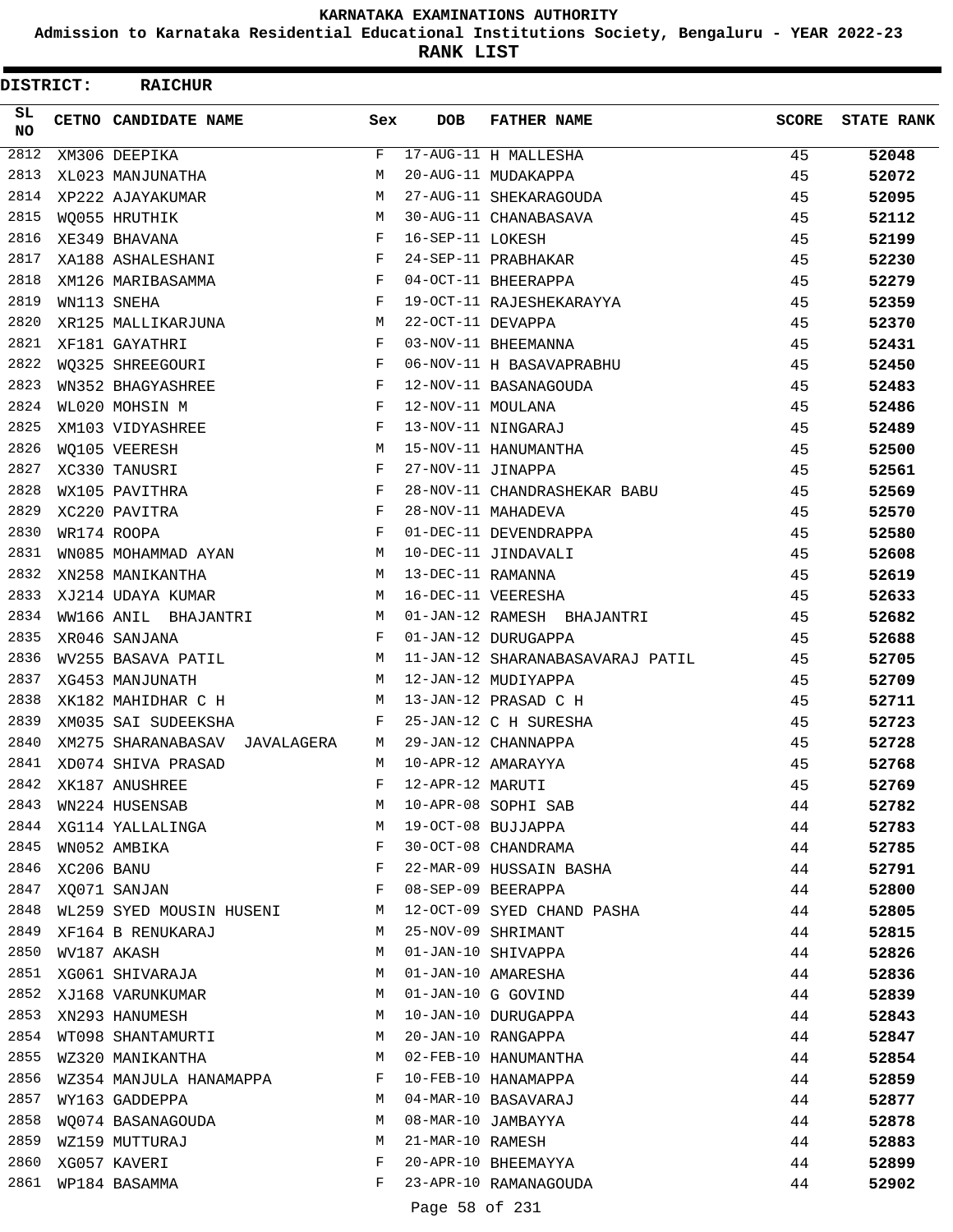**Admission to Karnataka Residential Educational Institutions Society, Bengaluru - YEAR 2022-23**

**RANK LIST**

 $\blacksquare$ 

| SL.<br><b>DOB</b><br>CETNO CANDIDATE NAME<br>Sex<br><b>FATHER NAME</b><br><b>SCORE</b><br>NO.<br>2812<br>$_{\rm F}$<br>17-AUG-11 H MALLESHA<br>XM306 DEEPIKA<br>45<br>2813<br>20-AUG-11 MUDAKAPPA<br>XL023 MANJUNATHA<br>M<br>45<br>2814<br>XP222 AJAYAKUMAR<br>M<br>27-AUG-11 SHEKARAGOUDA<br>45<br>2815<br>WO055 HRUTHIK<br>М<br>30-AUG-11 CHANABASAVA<br>45<br>2816<br>XE349 BHAVANA<br>F<br>16-SEP-11 LOKESH<br>45<br>2817<br>XA188 ASHALESHANI<br>F<br>24-SEP-11 PRABHAKAR<br>45<br>2818<br>XM126 MARIBASAMMA<br>F<br>04-OCT-11 BHEERAPPA<br>45<br>2819<br>19-OCT-11 RAJESHEKARAYYA<br>WN113 SNEHA<br>F<br>45<br>2820<br>22-OCT-11 DEVAPPA<br>XR125 MALLIKARJUNA<br>М<br>45<br>2821<br>03-NOV-11 BHEEMANNA<br>XF181 GAYATHRI<br>$_{\rm F}$<br>45<br>2822<br>WO325 SHREEGOURI<br>F<br>06-NOV-11 H BASAVAPRABHU<br>45<br>2823<br>WN352 BHAGYASHREE<br>F<br>12-NOV-11 BASANAGOUDA<br>45<br>2824<br>WL020 MOHSIN M<br>F<br>12-NOV-11 MOULANA<br>45 |                   |
|-----------------------------------------------------------------------------------------------------------------------------------------------------------------------------------------------------------------------------------------------------------------------------------------------------------------------------------------------------------------------------------------------------------------------------------------------------------------------------------------------------------------------------------------------------------------------------------------------------------------------------------------------------------------------------------------------------------------------------------------------------------------------------------------------------------------------------------------------------------------------------------------------------------------------------------------------------|-------------------|
|                                                                                                                                                                                                                                                                                                                                                                                                                                                                                                                                                                                                                                                                                                                                                                                                                                                                                                                                                     | <b>STATE RANK</b> |
|                                                                                                                                                                                                                                                                                                                                                                                                                                                                                                                                                                                                                                                                                                                                                                                                                                                                                                                                                     | 52048             |
|                                                                                                                                                                                                                                                                                                                                                                                                                                                                                                                                                                                                                                                                                                                                                                                                                                                                                                                                                     | 52072             |
|                                                                                                                                                                                                                                                                                                                                                                                                                                                                                                                                                                                                                                                                                                                                                                                                                                                                                                                                                     | 52095             |
|                                                                                                                                                                                                                                                                                                                                                                                                                                                                                                                                                                                                                                                                                                                                                                                                                                                                                                                                                     | 52112             |
|                                                                                                                                                                                                                                                                                                                                                                                                                                                                                                                                                                                                                                                                                                                                                                                                                                                                                                                                                     | 52199             |
|                                                                                                                                                                                                                                                                                                                                                                                                                                                                                                                                                                                                                                                                                                                                                                                                                                                                                                                                                     | 52230             |
|                                                                                                                                                                                                                                                                                                                                                                                                                                                                                                                                                                                                                                                                                                                                                                                                                                                                                                                                                     | 52279             |
|                                                                                                                                                                                                                                                                                                                                                                                                                                                                                                                                                                                                                                                                                                                                                                                                                                                                                                                                                     | 52359             |
|                                                                                                                                                                                                                                                                                                                                                                                                                                                                                                                                                                                                                                                                                                                                                                                                                                                                                                                                                     | 52370             |
|                                                                                                                                                                                                                                                                                                                                                                                                                                                                                                                                                                                                                                                                                                                                                                                                                                                                                                                                                     | 52431             |
|                                                                                                                                                                                                                                                                                                                                                                                                                                                                                                                                                                                                                                                                                                                                                                                                                                                                                                                                                     | 52450             |
|                                                                                                                                                                                                                                                                                                                                                                                                                                                                                                                                                                                                                                                                                                                                                                                                                                                                                                                                                     | 52483             |
|                                                                                                                                                                                                                                                                                                                                                                                                                                                                                                                                                                                                                                                                                                                                                                                                                                                                                                                                                     | 52486             |
| 2825<br>13-NOV-11 NINGARAJ<br>XM103 VIDYASHREE<br>F<br>45                                                                                                                                                                                                                                                                                                                                                                                                                                                                                                                                                                                                                                                                                                                                                                                                                                                                                           | 52489             |
| 2826<br>WO105 VEERESH<br>M<br>15-NOV-11 HANUMANTHA<br>45                                                                                                                                                                                                                                                                                                                                                                                                                                                                                                                                                                                                                                                                                                                                                                                                                                                                                            | 52500             |
| 2827<br>27-NOV-11 JINAPPA<br>XC330 TANUSRI<br>F<br>45                                                                                                                                                                                                                                                                                                                                                                                                                                                                                                                                                                                                                                                                                                                                                                                                                                                                                               | 52561             |
| 2828<br>28-NOV-11 CHANDRASHEKAR BABU<br>WX105 PAVITHRA<br>F<br>45                                                                                                                                                                                                                                                                                                                                                                                                                                                                                                                                                                                                                                                                                                                                                                                                                                                                                   | 52569             |
| 2829<br>28-NOV-11 MAHADEVA<br>XC220 PAVITRA<br>F<br>45                                                                                                                                                                                                                                                                                                                                                                                                                                                                                                                                                                                                                                                                                                                                                                                                                                                                                              | 52570             |
| 2830<br>WR174 ROOPA<br>$_{\rm F}$<br>01-DEC-11 DEVENDRAPPA<br>45                                                                                                                                                                                                                                                                                                                                                                                                                                                                                                                                                                                                                                                                                                                                                                                                                                                                                    | 52580             |
| 2831<br>WN085 MOHAMMAD AYAN<br>М<br>10-DEC-11 JINDAVALI<br>45                                                                                                                                                                                                                                                                                                                                                                                                                                                                                                                                                                                                                                                                                                                                                                                                                                                                                       | 52608             |
| 2832<br>XN258 MANIKANTHA<br>M<br>13-DEC-11 RAMANNA<br>45                                                                                                                                                                                                                                                                                                                                                                                                                                                                                                                                                                                                                                                                                                                                                                                                                                                                                            | 52619             |
| 2833<br>16-DEC-11 VEERESHA<br>XJ214 UDAYA KUMAR<br>М<br>45                                                                                                                                                                                                                                                                                                                                                                                                                                                                                                                                                                                                                                                                                                                                                                                                                                                                                          | 52633             |
| 2834<br>01-JAN-12 RAMESH BHAJANTRI<br>WW166 ANIL BHAJANTRI<br>45<br>M                                                                                                                                                                                                                                                                                                                                                                                                                                                                                                                                                                                                                                                                                                                                                                                                                                                                               | 52682             |
| 2835<br>01-JAN-12 DURUGAPPA<br>XR046 SANJANA<br>$_{\rm F}$<br>45                                                                                                                                                                                                                                                                                                                                                                                                                                                                                                                                                                                                                                                                                                                                                                                                                                                                                    | 52688             |
| 2836<br>WV255 BASAVA PATIL<br>11-JAN-12 SHARANABASAVARAJ PATIL<br>45<br>M                                                                                                                                                                                                                                                                                                                                                                                                                                                                                                                                                                                                                                                                                                                                                                                                                                                                           | 52705             |
| 2837<br>12-JAN-12 MUDIYAPPA<br>XG453 MANJUNATH<br>М<br>45                                                                                                                                                                                                                                                                                                                                                                                                                                                                                                                                                                                                                                                                                                                                                                                                                                                                                           | 52709             |
| 2838<br>13-JAN-12 PRASAD C H<br>45<br>XK182 MAHIDHAR C H<br>M                                                                                                                                                                                                                                                                                                                                                                                                                                                                                                                                                                                                                                                                                                                                                                                                                                                                                       | 52711             |
| 2839<br>XM035 SAI SUDEEKSHA<br>F<br>25-JAN-12 C H SURESHA<br>45                                                                                                                                                                                                                                                                                                                                                                                                                                                                                                                                                                                                                                                                                                                                                                                                                                                                                     | 52723             |
| 2840<br>29-JAN-12 CHANNAPPA<br>XM275 SHARANABASAV<br>45<br>JAVALAGERA<br>М                                                                                                                                                                                                                                                                                                                                                                                                                                                                                                                                                                                                                                                                                                                                                                                                                                                                          | 52728             |
| 2841<br>10-APR-12 AMARAYYA<br>XD074 SHIVA PRASAD<br>M<br>45                                                                                                                                                                                                                                                                                                                                                                                                                                                                                                                                                                                                                                                                                                                                                                                                                                                                                         | 52768             |
| 2842<br>12-APR-12 MARUTI<br>45<br>XK187 ANUSHREE<br>F                                                                                                                                                                                                                                                                                                                                                                                                                                                                                                                                                                                                                                                                                                                                                                                                                                                                                               | 52769             |
| 2843<br>10-APR-08 SOPHI SAB<br>WN224 HUSENSAB<br>М<br>44                                                                                                                                                                                                                                                                                                                                                                                                                                                                                                                                                                                                                                                                                                                                                                                                                                                                                            | 52782             |
| 2844<br>19-OCT-08 BUJJAPPA<br>XG114 YALLALINGA<br>44<br>M                                                                                                                                                                                                                                                                                                                                                                                                                                                                                                                                                                                                                                                                                                                                                                                                                                                                                           | 52783             |
| 2845<br>30-OCT-08 CHANDRAMA<br>WN052 AMBIKA<br>F<br>44                                                                                                                                                                                                                                                                                                                                                                                                                                                                                                                                                                                                                                                                                                                                                                                                                                                                                              | 52785             |
| 2846<br>22-MAR-09 HUSSAIN BASHA<br>XC206 BANU<br>F<br>44                                                                                                                                                                                                                                                                                                                                                                                                                                                                                                                                                                                                                                                                                                                                                                                                                                                                                            | 52791             |
| 2847<br>08-SEP-09 BEERAPPA<br>XQ071 SANJAN<br>F<br>44                                                                                                                                                                                                                                                                                                                                                                                                                                                                                                                                                                                                                                                                                                                                                                                                                                                                                               | 52800             |
| 2848<br>12-OCT-09 SYED CHAND PASHA<br>WL259 SYED MOUSIN HUSENI<br>44<br>М                                                                                                                                                                                                                                                                                                                                                                                                                                                                                                                                                                                                                                                                                                                                                                                                                                                                           | 52805             |
| 2849<br>25-NOV-09 SHRIMANT<br>XF164 B RENUKARAJ<br>М<br>44                                                                                                                                                                                                                                                                                                                                                                                                                                                                                                                                                                                                                                                                                                                                                                                                                                                                                          | 52815             |
| 2850<br>01-JAN-10 SHIVAPPA<br>WV187 AKASH<br>44<br>М                                                                                                                                                                                                                                                                                                                                                                                                                                                                                                                                                                                                                                                                                                                                                                                                                                                                                                | 52826             |
| 2851<br>01-JAN-10 AMARESHA<br>XG061 SHIVARAJA<br>М<br>44                                                                                                                                                                                                                                                                                                                                                                                                                                                                                                                                                                                                                                                                                                                                                                                                                                                                                            | 52836             |
| 2852<br>01-JAN-10 G GOVIND<br>XJ168 VARUNKUMAR<br>44<br>M                                                                                                                                                                                                                                                                                                                                                                                                                                                                                                                                                                                                                                                                                                                                                                                                                                                                                           | 52839             |
| 2853<br>10-JAN-10 DURUGAPPA<br>XN293 HANUMESH<br>М<br>44                                                                                                                                                                                                                                                                                                                                                                                                                                                                                                                                                                                                                                                                                                                                                                                                                                                                                            | 52843             |
| 2854<br>20-JAN-10 RANGAPPA<br>WT098 SHANTAMURTI<br>44<br>M                                                                                                                                                                                                                                                                                                                                                                                                                                                                                                                                                                                                                                                                                                                                                                                                                                                                                          | 52847             |
| 2855<br>02-FEB-10 HANUMANTHA<br>WZ320 MANIKANTHA<br>M<br>44                                                                                                                                                                                                                                                                                                                                                                                                                                                                                                                                                                                                                                                                                                                                                                                                                                                                                         | 52854             |
| 2856<br>10-FEB-10 HANAMAPPA<br>WZ354 MANJULA HANAMAPPA<br>44<br>F                                                                                                                                                                                                                                                                                                                                                                                                                                                                                                                                                                                                                                                                                                                                                                                                                                                                                   | 52859             |
| 2857<br>04-MAR-10 BASAVARAJ<br>WY163 GADDEPPA<br>М<br>44                                                                                                                                                                                                                                                                                                                                                                                                                                                                                                                                                                                                                                                                                                                                                                                                                                                                                            | 52877             |
| 2858<br>08-MAR-10 JAMBAYYA<br>44<br>WQ074 BASANAGOUDA<br>M                                                                                                                                                                                                                                                                                                                                                                                                                                                                                                                                                                                                                                                                                                                                                                                                                                                                                          | 52878             |
| 2859<br>21-MAR-10 RAMESH<br>WZ159 MUTTURAJ<br>44<br>М                                                                                                                                                                                                                                                                                                                                                                                                                                                                                                                                                                                                                                                                                                                                                                                                                                                                                               | 52883             |
| 2860<br>20-APR-10 BHEEMAYYA<br>XG057 KAVERI<br>F<br>44                                                                                                                                                                                                                                                                                                                                                                                                                                                                                                                                                                                                                                                                                                                                                                                                                                                                                              | 52899             |
| 2861<br>23-APR-10 RAMANAGOUDA<br>WP184 BASAMMA<br>F<br>44                                                                                                                                                                                                                                                                                                                                                                                                                                                                                                                                                                                                                                                                                                                                                                                                                                                                                           | 52902             |

Page 58 of 231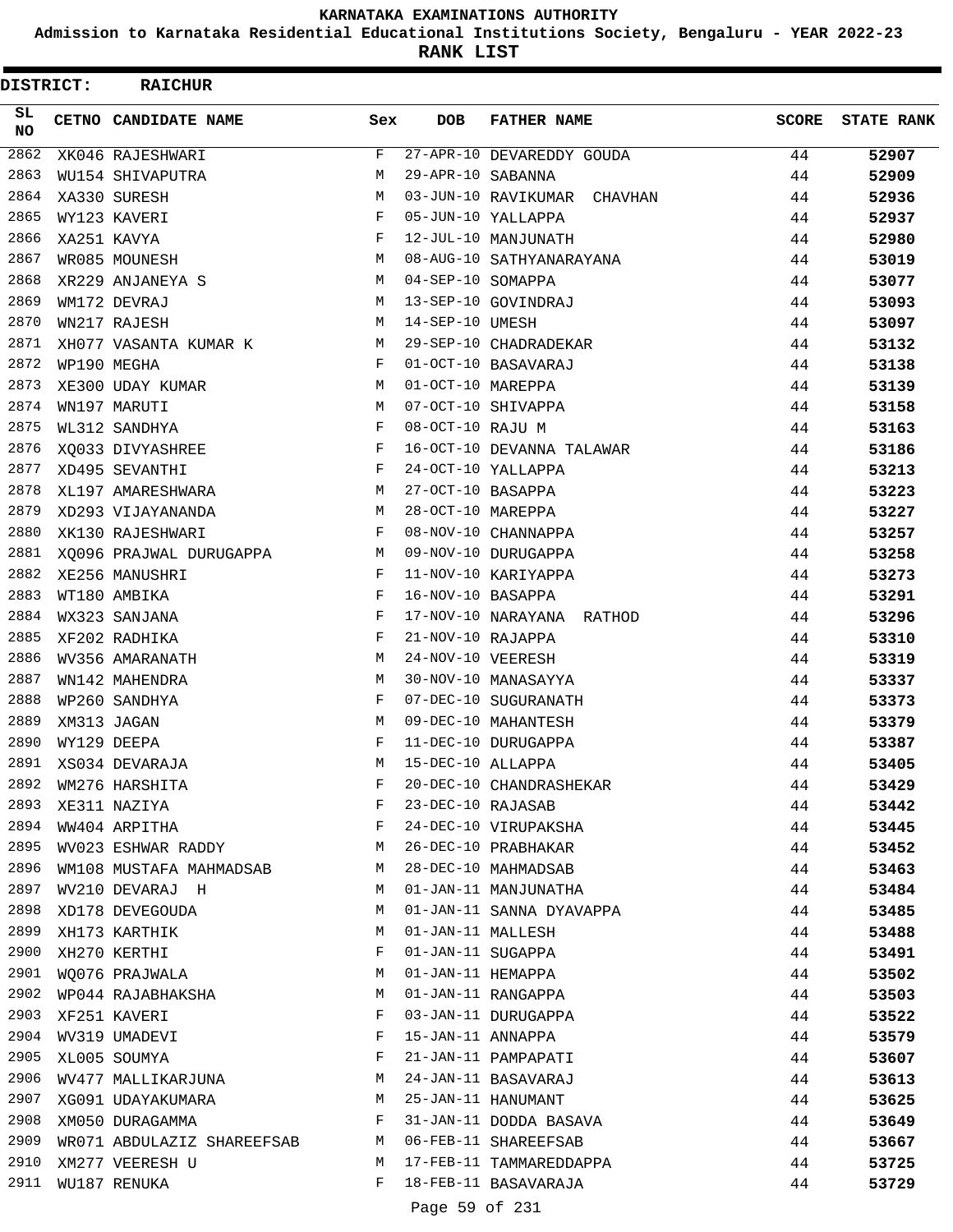**Admission to Karnataka Residential Educational Institutions Society, Bengaluru - YEAR 2022-23**

**RANK LIST**

 $\blacksquare$ 

| <b>DISTRICT:</b> | <b>RAICHUR</b>                                         |              |                   |                             |              |                   |
|------------------|--------------------------------------------------------|--------------|-------------------|-----------------------------|--------------|-------------------|
| SL.<br><b>NO</b> | <b>CETNO CANDIDATE NAME</b>                            | Sex          | DOB               | <b>FATHER NAME</b>          | <b>SCORE</b> | <b>STATE RANK</b> |
| 2862             | XK046 RAJESHWARI                                       | F            |                   | 27-APR-10 DEVAREDDY GOUDA   | 44           | 52907             |
| 2863             | WU154 SHIVAPUTRA                                       | М            | 29-APR-10 SABANNA |                             | 44           | 52909             |
| 2864             | XA330 SURESH                                           | м            |                   | 03-JUN-10 RAVIKUMAR CHAVHAN | 44           | 52936             |
| 2865             | WY123 KAVERI                                           | F            |                   | 05-JUN-10 YALLAPPA          | 44           | 52937             |
| 2866             | XA251 KAVYA                                            | $_{\rm F}$   |                   | 12-JUL-10 MANJUNATH         | 44           | 52980             |
| 2867             | WR085 MOUNESH                                          | M            |                   | 08-AUG-10 SATHYANARAYANA    | 44           | 53019             |
| 2868             | XR229 ANJANEYA S                                       | M            | 04-SEP-10 SOMAPPA |                             | 44           | 53077             |
| 2869             | WM172 DEVRAJ                                           | М            |                   | 13-SEP-10 GOVINDRAJ         | 44           | 53093             |
| 2870             | WN217 RAJESH                                           | М            | 14-SEP-10 UMESH   |                             | 44           | 53097             |
| 2871             | XH077 VASANTA KUMAR K                                  | M            |                   | 29-SEP-10 CHADRADEKAR       | 44           | 53132             |
| 2872             | WP190 MEGHA                                            | $\mathbf{F}$ |                   | 01-OCT-10 BASAVARAJ         | 44           | 53138             |
| 2873             | XE300 UDAY KUMAR                                       | M            | 01-OCT-10 MAREPPA |                             | 44           | 53139             |
| 2874             | WN197 MARUTI                                           | м            |                   | 07-OCT-10 SHIVAPPA          | 44           | 53158             |
| 2875             | WL312 SANDHYA                                          | F            | 08-OCT-10 RAJU M  |                             | 44           | 53163             |
| 2876             | XQ033 DIVYASHREE                                       | $_{\rm F}$   |                   | 16-OCT-10 DEVANNA TALAWAR   | 44           | 53186             |
| 2877             | XD495 SEVANTHI                                         | F            |                   | 24-OCT-10 YALLAPPA          | 44           | 53213             |
| 2878             | XL197 AMARESHWARA                                      | M            | 27-OCT-10 BASAPPA |                             | 44           | 53223             |
| 2879             | XD293 VIJAYANANDA                                      | М            | 28-OCT-10 MAREPPA |                             | 44           | 53227             |
| 2880             | XK130 RAJESHWARI                                       | F            |                   | 08-NOV-10 CHANNAPPA         | 44           | 53257             |
| 2881             | XQ096 PRAJWAL DURUGAPPA<br>$M_{\rm H}$ and $M_{\rm H}$ |              |                   | 09-NOV-10 DURUGAPPA         | 44           | 53258             |
| 2882             | XE256 MANUSHRI                                         | $_{\rm F}$   |                   | 11-NOV-10 KARIYAPPA         | 44           | 53273             |
| 2883             | WT180 AMBIKA                                           | F            | 16-NOV-10 BASAPPA |                             | 44           | 53291             |
| 2884             | WX323 SANJANA                                          | F            |                   | 17-NOV-10 NARAYANA RATHOD   | 44           | 53296             |
| 2885             | XF202 RADHIKA                                          | F            | 21-NOV-10 RAJAPPA |                             | 44           | 53310             |
| 2886             | WV356 AMARANATH                                        | M            | 24-NOV-10 VEERESH |                             | 44           | 53319             |
| 2887             | WN142 MAHENDRA                                         | M            |                   | 30-NOV-10 MANASAYYA         | 44           | 53337             |
| 2888             | WP260 SANDHYA                                          | F            |                   | 07-DEC-10 SUGURANATH        | 44           | 53373             |
| 2889             | XM313 JAGAN                                            | M            |                   | 09-DEC-10 MAHANTESH         | 44           | 53379             |
| 2890             | WY129 DEEPA                                            | F            |                   | 11-DEC-10 DURUGAPPA         | 44           | 53387             |
| 2891             | XS034 DEVARAJA                                         | M            | 15-DEC-10 ALLAPPA |                             | 44           | 53405             |
| 2892             | WM276 HARSHITA                                         | F            |                   | 20-DEC-10 CHANDRASHEKAR     | 44           | 53429             |
| 2893             | XE311 NAZIYA                                           | F            | 23-DEC-10 RAJASAB |                             | 44           | 53442             |
| 2894             | WW404 ARPITHA                                          | F            |                   | 24-DEC-10 VIRUPAKSHA        | 44           | 53445             |
| 2895             | WV023 ESHWAR RADDY                                     | M            |                   | 26-DEC-10 PRABHAKAR         | 44           | 53452             |
| 2896             | WM108 MUSTAFA MAHMADSAB                                | M            |                   | 28-DEC-10 MAHMADSAB         | 44           | 53463             |
| 2897             | WV210 DEVARAJ H                                        | М            |                   | 01-JAN-11 MANJUNATHA        | 44           | 53484             |
| 2898             | XD178 DEVEGOUDA                                        | M            |                   | 01-JAN-11 SANNA DYAVAPPA    | 44           | 53485             |
| 2899             | XH173 KARTHIK                                          | М            | 01-JAN-11 MALLESH |                             | 44           | 53488             |
| 2900             | XH270 KERTHI                                           | F            | 01-JAN-11 SUGAPPA |                             | 44           | 53491             |
| 2901             | WO076 PRAJWALA                                         | M            | 01-JAN-11 HEMAPPA |                             | 44           | 53502             |
| 2902             | WP044 RAJABHAKSHA                                      | M            |                   | 01-JAN-11 RANGAPPA          | 44           | 53503             |
| 2903             | XF251 KAVERI                                           | F            |                   | 03-JAN-11 DURUGAPPA         | 44           | 53522             |
| 2904             | WV319 UMADEVI                                          | F            | 15-JAN-11 ANNAPPA |                             | 44           | 53579             |
| 2905             | XL005 SOUMYA                                           | F            |                   | 21-JAN-11 PAMPAPATI         | 44           | 53607             |
| 2906             | WV477 MALLIKARJUNA                                     | М            |                   | 24-JAN-11 BASAVARAJ         | 44           | 53613             |
| 2907             | XG091 UDAYAKUMARA                                      | M            |                   | 25-JAN-11 HANUMANT          | 44           | 53625             |
| 2908             | XM050 DURAGAMMA                                        | F            |                   | 31-JAN-11 DODDA BASAVA      | 44           | 53649             |
| 2909             | WR071 ABDULAZIZ SHAREEFSAB                             | M            |                   | 06-FEB-11 SHAREEFSAB        | 44           | 53667             |
| 2910             | XM277 VEERESH U                                        | M            |                   | 17-FEB-11 TAMMAREDDAPPA     | 44           | 53725             |
| 2911             | WU187 RENUKA                                           | F            |                   | 18-FEB-11 BASAVARAJA        | 44           | 53729             |
|                  |                                                        |              |                   |                             |              |                   |

Page 59 of 231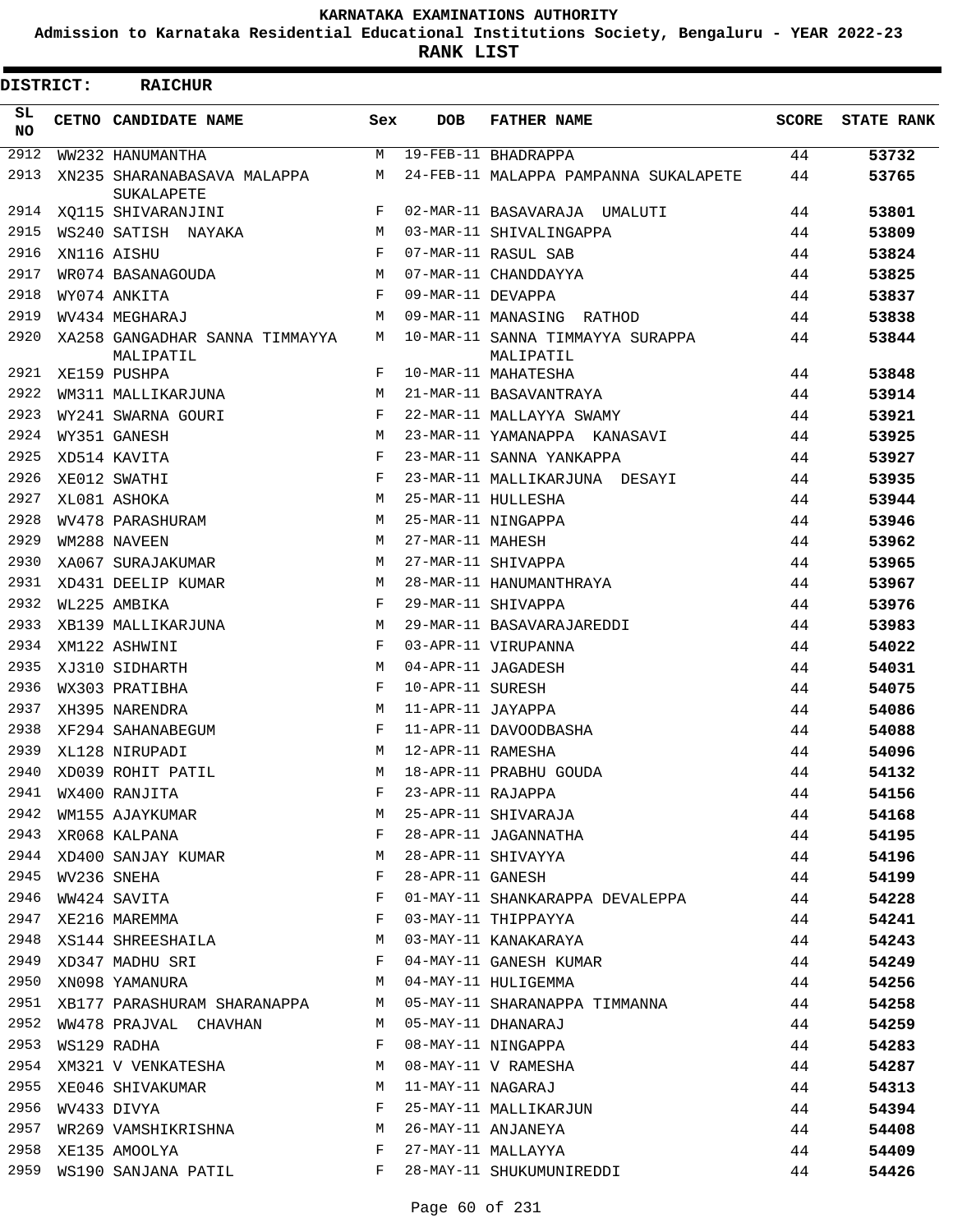**Admission to Karnataka Residential Educational Institutions Society, Bengaluru - YEAR 2022-23**

**RANK LIST**

| <b>DISTRICT:</b> | <b>RAICHUR</b>                                                                                                                  |              |                   |                                                                  |       |                   |
|------------------|---------------------------------------------------------------------------------------------------------------------------------|--------------|-------------------|------------------------------------------------------------------|-------|-------------------|
| SL.<br>NO.       | <b>CETNO CANDIDATE NAME</b>                                                                                                     | Sex          | <b>DOB</b>        | <b>FATHER NAME</b>                                               | SCORE | <b>STATE RANK</b> |
| 2912             | WW232 HANUMANTHA                                                                                                                | M            |                   | 19-FEB-11 BHADRAPPA                                              | 44    | 53732             |
| 2913             | XN235 SHARANABASAVA MALAPPA<br>SUKALAPETE                                                                                       | M            |                   | 24-FEB-11 MALAPPA PAMPANNA SUKALAPETE                            | 44    | 53765             |
| 2914             | XO115 SHIVARANJINI                                                                                                              | F            |                   | 02-MAR-11 BASAVARAJA UMALUTI                                     | 44    | 53801             |
| 2915             | WS240 SATISH NAYAKA                                                                                                             | M            |                   | 03-MAR-11 SHIVALINGAPPA                                          | 44    | 53809             |
| 2916             | XN116 AISHU                                                                                                                     | F            |                   | 07-MAR-11 RASUL SAB                                              | 44    | 53824             |
| 2917             | WR074 BASANAGOUDA                                                                                                               | M            |                   | 07-MAR-11 CHANDDAYYA                                             | 44    | 53825             |
| 2918             | WY074 ANKITA                                                                                                                    | F            | 09-MAR-11 DEVAPPA |                                                                  | 44    | 53837             |
| 2919             | WV434 MEGHARAJ                                                                                                                  | M            |                   | 09-MAR-11 MANASING RATHOD                                        | 44    | 53838             |
| 2920             | XA258 GANGADHAR SANNA TIMMAYYA<br>MALIPATIL                                                                                     | M            |                   | 10-MAR-11 SANNA TIMMAYYA SURAPPA<br>MALIPATIL                    | 44    | 53844             |
| 2921             | XE159 PUSHPA                                                                                                                    | F            |                   | 10-MAR-11 MAHATESHA                                              | 44    | 53848             |
| 2922             | WM311 MALLIKARJUNA                                                                                                              | M            |                   | 21-MAR-11 BASAVANTRAYA                                           | 44    | 53914             |
| 2923             | WY241 SWARNA GOURI                                                                                                              | $_{\rm F}$   |                   | 22-MAR-11 MALLAYYA SWAMY                                         | 44    | 53921             |
| 2924             | WY351 GANESH                                                                                                                    | M            |                   | 23-MAR-11 YAMANAPPA KANASAVI                                     | 44    | 53925             |
| 2925             | XD514 KAVITA                                                                                                                    | $_{\rm F}$   |                   | 23-MAR-11 SANNA YANKAPPA                                         | 44    | 53927             |
| 2926             | XE012 SWATHI                                                                                                                    | $_{\rm F}$   |                   | 23-MAR-11 MALLIKARJUNA DESAYI                                    | 44    | 53935             |
| 2927             | XL081 ASHOKA                                                                                                                    | M            |                   | 25-MAR-11 HULLESHA                                               | 44    | 53944             |
| 2928             | WV478 PARASHURAM                                                                                                                | M            |                   | 25-MAR-11 NINGAPPA                                               | 44    | 53946             |
| 2929             | WM288 NAVEEN                                                                                                                    | M            | 27-MAR-11 MAHESH  |                                                                  | 44    | 53962             |
| 2930             | XA067 SURAJAKUMAR                                                                                                               | M            |                   | 27-MAR-11 SHIVAPPA                                               | 44    | 53965             |
| 2931             | XD431 DEELIP KUMAR                                                                                                              | M            |                   | 28-MAR-11 HANUMANTHRAYA                                          | 44    | 53967             |
| 2932             | WL225 AMBIKA                                                                                                                    | $_{\rm F}$   |                   | 29-MAR-11 SHIVAPPA                                               | 44    | 53976             |
| 2933             | XB139 MALLIKARJUNA                                                                                                              | M            |                   | 29-MAR-11 BASAVARAJAREDDI                                        | 44    | 53983             |
| 2934             | XM122 ASHWINI                                                                                                                   | F            |                   | 03-APR-11 VIRUPANNA                                              | 44    | 54022             |
| 2935             | XJ310 SIDHARTH                                                                                                                  | M            |                   | 04-APR-11 JAGADESH                                               | 44    | 54031             |
| 2936             | WX303 PRATIBHA                                                                                                                  | F            | 10-APR-11 SURESH  |                                                                  | 44    | 54075             |
| 2937             | XH395 NARENDRA                                                                                                                  | M            | 11-APR-11 JAYAPPA |                                                                  | 44    | 54086             |
| 2938             | XF294 SAHANABEGUM                                                                                                               | F            |                   | 11-APR-11 DAVOODBASHA                                            | 44    | 54088             |
| 2939             | XL128 NIRUPADI                                                                                                                  | M            |                   |                                                                  | 44    | 54096             |
|                  | 2940 XD039 ROHIT PATIL                                                                                                          |              |                   | M 18-APR-11 PRABHU GOUDA                                         |       | 54132             |
| 2941             |                                                                                                                                 | F            |                   |                                                                  |       | 54156             |
| 2942             | WX400 RANJITA<br>WM155 AJAYKUMAR                                                                                                | M            |                   |                                                                  |       | 54168             |
|                  | 2943 XR068 KALPANA                                                                                                              | $\mathbf{F}$ |                   |                                                                  |       | 54195             |
|                  | 2944 XD400 SANJAY KUMAR M                                                                                                       |              |                   |                                                                  |       | 54196             |
| 2945             | WV236 SNEHA                                                                                                                     | $\mathbf{F}$ |                   |                                                                  |       | 54199             |
| 2946             | WW424 SAVITA<br>$\mathbf{F}$                                                                                                    |              |                   | 01-MAY-11 SHANKARAPPA DEVALEPPA 44                               |       | 54228             |
|                  | 2947 XE216 MAREMMA F                                                                                                            |              |                   | 03-MAY-11 THIPPAYYA                                              | 44    | 54241             |
|                  | 2948 XS144 SHREESHAILA M                                                                                                        |              |                   | 03-MAY-11 KANAKARAYA                                             | 44    | 54243             |
|                  | 2949 XD347 MADHU SRI F                                                                                                          |              |                   | 04-MAY-11 GANESH KUMAR 44                                        |       | 54249             |
| 2950             | $\mathbf M$<br>XN098 YAMANURA                                                                                                   |              |                   | 04-MAY-11 HULIGEMMA<br>44                                        |       | 54256             |
|                  |                                                                                                                                 |              |                   | 2951 XB177 PARASHURAM SHARANAPPA M 05-MAY-11 SHARANAPPA TIMMANNA | 44    | 54258             |
|                  | 2952 WW478 PRAJVAL CHAVHAN M                                                                                                    |              |                   | 05-MAY-11 DHANARAJ                                               | 44    | 54259             |
| 2953             | WS129 RADHA                                                                                                                     | F            |                   | 08-MAY-11 NINGAPPA                                               | 44    | 54283             |
|                  | 2954 XM321 V VENKATESHA M                                                                                                       |              |                   | 08-MAY-11 V RAMESHA                                              | 44    | 54287             |
|                  | 2955 XE046 SHIVAKUMAR M                                                                                                         |              |                   | 11-MAY-11 NAGARAJ                                                | 44    | 54313             |
|                  | 2956 WV433 DIVYA                                                                                                                |              |                   | 11-MAY-11 NAGARAJ<br>25-MAY-11 MALLIKARJUN                       | 44    | 54394             |
| 2957             |                                                                                                                                 |              |                   |                                                                  | 44    | 54408             |
| 2958             | XE135 AMOOLYA<br>in the state of the state of the state of the state of the state of the state of the state of the state of the |              |                   | 26-MAY-11 ANJANEYA<br>27-MAY-11 MALLAYYA                         | 44    | 54409             |
|                  | 2959 WS190 SANJANA PATIL                                                                                                        |              |                   | F 28-MAY-11 SHUKUMUNIREDDI                                       | 44    | 54426             |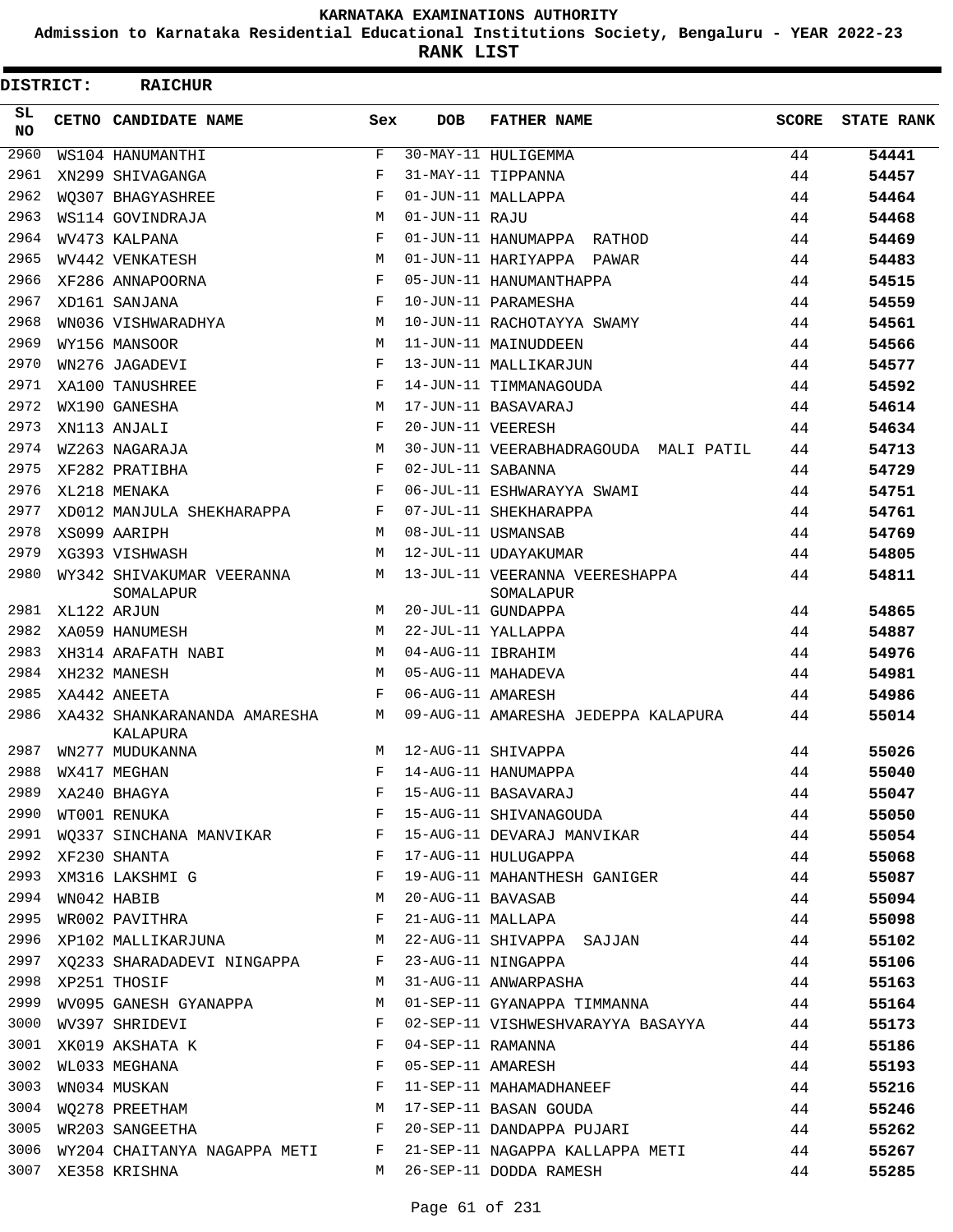**Admission to Karnataka Residential Educational Institutions Society, Bengaluru - YEAR 2022-23**

**RANK LIST**

| DISTRICT:  |                  | <b>RAICHUR</b>                             |            |                   |                                                                                                                        |              |                   |
|------------|------------------|--------------------------------------------|------------|-------------------|------------------------------------------------------------------------------------------------------------------------|--------------|-------------------|
| SL.<br>NO. |                  | CETNO CANDIDATE NAME                       | Sex        | <b>DOB</b>        | <b>FATHER NAME</b>                                                                                                     | <b>SCORE</b> | <b>STATE RANK</b> |
| 2960       |                  | WS104 HANUMANTHI                           | F          |                   | 30-MAY-11 HULIGEMMA                                                                                                    | 44           | 54441             |
| 2961       |                  | XN299 SHIVAGANGA                           | $_{\rm F}$ |                   | 31-MAY-11 TIPPANNA                                                                                                     | 44           | 54457             |
| 2962       |                  | WO307 BHAGYASHREE                          | F          |                   | 01-JUN-11 MALLAPPA                                                                                                     | 44           | 54464             |
| 2963       |                  | WS114 GOVINDRAJA                           | M          | 01-JUN-11 RAJU    |                                                                                                                        | 44           | 54468             |
| 2964       |                  | WV473 KALPANA                              | $_{\rm F}$ |                   | 01-JUN-11 HANUMAPPA RATHOD                                                                                             | 44           | 54469             |
| 2965       |                  | WV442 VENKATESH                            | M          |                   | 01-JUN-11 HARIYAPPA PAWAR                                                                                              | 44           | 54483             |
| 2966       |                  | XF286 ANNAPOORNA                           | F          |                   | 05-JUN-11 HANUMANTHAPPA                                                                                                | 44           | 54515             |
| 2967       |                  | XD161 SANJANA                              | F          |                   | 10-JUN-11 PARAMESHA                                                                                                    | 44           | 54559             |
| 2968       |                  | WN036 VISHWARADHYA                         | M          |                   | 10-JUN-11 RACHOTAYYA SWAMY                                                                                             | 44           | 54561             |
| 2969       |                  | WY156 MANSOOR                              | M          |                   | 11-JUN-11 MAINUDDEEN                                                                                                   | 44           | 54566             |
| 2970       |                  | WN276 JAGADEVI                             | F          |                   | 13-JUN-11 MALLIKARJUN                                                                                                  | 44           | 54577             |
| 2971       |                  | XA100 TANUSHREE                            | $_{\rm F}$ |                   | 14-JUN-11 TIMMANAGOUDA                                                                                                 | 44           | 54592             |
| 2972       |                  | WX190 GANESHA                              | M          |                   | 17-JUN-11 BASAVARAJ                                                                                                    | 44           | 54614             |
| 2973       |                  | XN113 ANJALI                               | F          | 20-JUN-11 VEERESH |                                                                                                                        | 44           | 54634             |
| 2974       |                  | WZ263 NAGARAJA                             | M          |                   | 30-JUN-11 VEERABHADRAGOUDA MALI PATIL                                                                                  | 44           | 54713             |
| 2975       |                  | XF282 PRATIBHA                             | F          | 02-JUL-11 SABANNA |                                                                                                                        | 44           | 54729             |
| 2976       |                  | XL218 MENAKA                               | F          |                   | 06-JUL-11 ESHWARAYYA SWAMI                                                                                             | 44           | 54751             |
| 2977       |                  | XD012 MANJULA SHEKHARAPPA                  | F          |                   | 07-JUL-11 SHEKHARAPPA                                                                                                  | 44           | 54761             |
| 2978       |                  | XS099 AARIPH                               | M          |                   | 08-JUL-11 USMANSAB                                                                                                     | 44           | 54769             |
| 2979       |                  | XG393 VISHWASH                             | M          |                   | 12-JUL-11 UDAYAKUMAR                                                                                                   | 44           | 54805             |
| 2980       |                  | WY342 SHIVAKUMAR VEERANNA<br>SOMALAPUR     | M          |                   | 13-JUL-11 VEERANNA VEERESHAPPA<br>SOMALAPUR                                                                            | 44           | 54811             |
| 2981       |                  | XL122 ARJUN                                | M          |                   | 20-JUL-11 GUNDAPPA                                                                                                     | 44           | 54865             |
| 2982       |                  | XA059 HANUMESH                             | M          |                   | 22-JUL-11 YALLAPPA                                                                                                     | 44           | 54887             |
| 2983       |                  | XH314 ARAFATH NABI                         | M          | 04-AUG-11 IBRAHIM |                                                                                                                        | 44           | 54976             |
| 2984       |                  | XH232 MANESH                               | M          |                   | 05-AUG-11 MAHADEVA                                                                                                     | 44           | 54981             |
| 2985       |                  | XA442 ANEETA                               | F          | 06-AUG-11 AMARESH |                                                                                                                        | 44           | 54986             |
| 2986       |                  | XA432 SHANKARANANDA AMARESHA<br>KALAPURA   | M          |                   | 09-AUG-11 AMARESHA JEDEPPA KALAPURA                                                                                    | 44           | 55014             |
| 2987       |                  | WN277 MUDUKANNA                            | M          |                   | 12-AUG-11 SHIVAPPA                                                                                                     | 44           | 55026             |
|            |                  | 2988 WX417 MEGHAN                          |            |                   | F 14-AUG-11 HANUMAPPA                                                                                                  | 44           | 55040             |
|            |                  |                                            |            |                   |                                                                                                                        |              | 55047             |
|            |                  |                                            |            |                   |                                                                                                                        |              | 55050             |
|            |                  |                                            |            |                   | 2991 WQ337 SINCHANA MANVIKAR F 15-AUG-11 DEVARAJ MANVIKAR 44                                                           |              | 55054             |
|            |                  | 2992 XF230 SHANTA                          |            |                   | F 17-AUG-11 HULUGAPPA                                                                                                  | 44           | 55068             |
|            |                  |                                            |            |                   | 2993 XM316 LAKSHMI G                          F  19-AUG-11 MAHANTHESH GANIGER             44                           |              | 55087             |
|            | 2994 WN042 HABIB | M 20-AUG-11 BAVASAB                        |            |                   | 44                                                                                                                     |              | 55094             |
|            |                  | 2995 WROO2 PAVITHRA<br>F 21-AUG-11 MALLAPA |            |                   | 44                                                                                                                     |              | 55098             |
|            |                  |                                            |            |                   | 2996 XP102 MALLIKARJUNA M 22-AUG-11 SHIVAPPA SAJJAN                                                                    | 44           | 55102             |
|            |                  |                                            |            |                   |                                                                                                                        |              | 55106             |
|            |                  |                                            |            |                   |                                                                                                                        |              | 55163             |
| 2999       |                  |                                            |            |                   | WV095 GANESH GYANAPPA M 01-SEP-11 GYANAPPA TIMMANNA 44                                                                 |              | 55164             |
|            |                  | 3000 WV397 SHRIDEVI                        |            |                   | F 02-SEP-11 VISHWESHVARAYYA BASAYYA 44                                                                                 |              | 55173             |
|            |                  | 3001 XK019 AKSHATA K $$\rm F$$             |            | 04-SEP-11 RAMANNA |                                                                                                                        | 44           | 55186             |
| 3002       |                  | WL033 MEGHANA<br>F 05-SEP-11 AMARESH       |            |                   |                                                                                                                        | 44           | 55193             |
|            |                  |                                            |            |                   |                                                                                                                        |              | 55216             |
|            |                  |                                            |            |                   | 3003 WN034 MUSKAN<br>3004 WQ278 PREETHAM M 3004 W 17-SEP-11 BASAN GOUDA<br>3004 WQ278 PREETHAM M 17-SEP-11 BASAN GOUDA |              | 55246             |
|            |                  |                                            |            |                   | 3005 WR203 SANGEETHA 644                                                                                               |              | 55262             |
|            |                  |                                            |            |                   | 3006 WY204 CHAITANYA NAGAPPA METI F 21-SEP-11 NAGAPPA KALLAPPA METI 44                                                 |              | 55267             |
|            |                  | 3007 XE358 KRISHNA                         |            |                   | M 26-SEP-11 DODDA RAMESH 44                                                                                            |              | 55285             |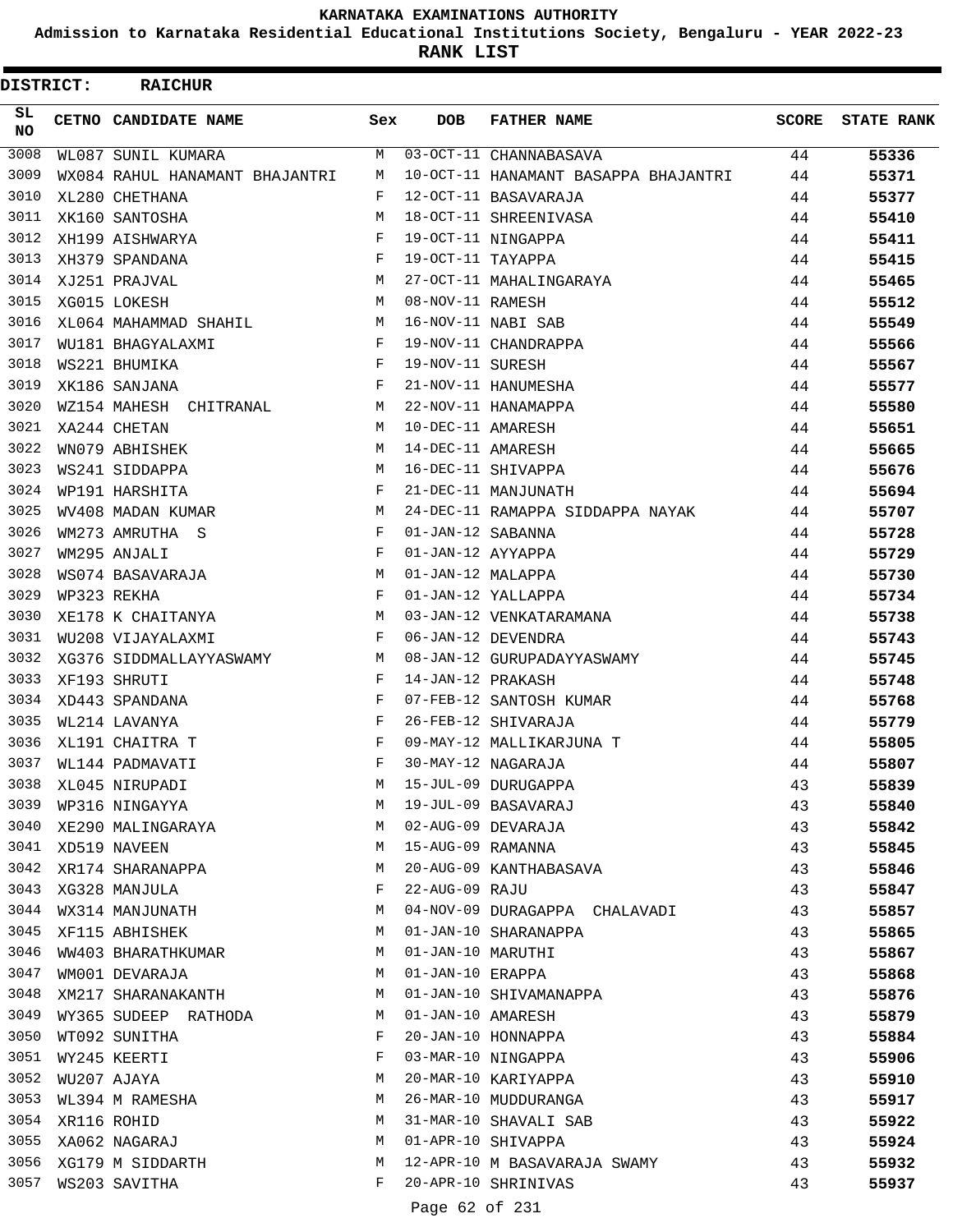**Admission to Karnataka Residential Educational Institutions Society, Bengaluru - YEAR 2022-23**

**RANK LIST**

 $\blacksquare$ 

| <b>DISTRICT:</b> | <b>RAICHUR</b>                                              |              |                   |                                      |              |                   |
|------------------|-------------------------------------------------------------|--------------|-------------------|--------------------------------------|--------------|-------------------|
| SL.<br><b>NO</b> | <b>CETNO CANDIDATE NAME</b>                                 | Sex          | <b>DOB</b>        | <b>FATHER NAME</b>                   | <b>SCORE</b> | <b>STATE RANK</b> |
| 3008             | WL087 SUNIL KUMARA                                          | M            |                   | 03-OCT-11 CHANNABASAVA               | 44           | 55336             |
| 3009             | WX084 RAHUL HANAMANT BHAJANTRI                              | М            |                   | 10-OCT-11 HANAMANT BASAPPA BHAJANTRI | 44           | 55371             |
| 3010             | XL280 CHETHANA                                              | F            |                   | 12-OCT-11 BASAVARAJA                 | 44           | 55377             |
| 3011             | XK160 SANTOSHA                                              | M            |                   | 18-OCT-11 SHREENIVASA                | 44           | 55410             |
| 3012             | XH199 AISHWARYA                                             | F            |                   | 19-OCT-11 NINGAPPA                   | 44           | 55411             |
| 3013             | XH379 SPANDANA                                              | F            | 19-OCT-11 TAYAPPA |                                      | 44           | 55415             |
| 3014             | XJ251 PRAJVAL                                               | M            |                   | 27-OCT-11 MAHALINGARAYA              | 44           | 55465             |
| 3015             | XG015 LOKESH                                                | M            | 08-NOV-11 RAMESH  |                                      | 44           | 55512             |
| 3016             | XL064 MAHAMMAD SHAHIL M                                     |              |                   | 16-NOV-11 NABI SAB                   | 44           | 55549             |
| 3017             | $\mathbf{F}$ . The set of $\mathbf{F}$<br>WU181 BHAGYALAXMI |              |                   | 19-NOV-11 CHANDRAPPA                 | 44           | 55566             |
| 3018             | $\mathbf{F}$ and $\mathbf{F}$<br>WS221 BHUMIKA              |              | 19-NOV-11 SURESH  |                                      | 44           | 55567             |
| 3019             | $\mathbf{F}$<br>XK186 SANJANA                               |              |                   | 21-NOV-11 HANUMESHA                  | 44           | 55577             |
| 3020             | M <sub>1</sub><br>WZ154 MAHESH CHITRANAL                    |              |                   | 22-NOV-11 HANAMAPPA                  | 44           | 55580             |
| 3021             | XA244 CHETAN                                                | M            | 10-DEC-11 AMARESH |                                      | 44           | 55651             |
| 3022             | WN079 ABHISHEK                                              | M            | 14-DEC-11 AMARESH |                                      | 44           | 55665             |
| 3023             | WS241 SIDDAPPA                                              | M            |                   | 16-DEC-11 SHIVAPPA                   | 44           | 55676             |
| 3024             | WP191 HARSHITA                                              | F            |                   | 21-DEC-11 MANJUNATH                  | 44           | 55694             |
| 3025             | WV408 MADAN KUMAR                                           | M            |                   | 24-DEC-11 RAMAPPA SIDDAPPA NAYAK     | 44           | 55707             |
| 3026             | WM273 AMRUTHA S                                             | $\mathbf{F}$ | 01-JAN-12 SABANNA |                                      | 44           | 55728             |
| 3027             | WM295 ANJALI                                                | $\mathbf{F}$ | 01-JAN-12 AYYAPPA |                                      | 44           | 55729             |
| 3028             | WS074 BASAVARAJA                                            | M            | 01-JAN-12 MALAPPA |                                      | 44           | 55730             |
| 3029             | WP323 REKHA                                                 | F            |                   | 01-JAN-12 YALLAPPA                   | 44           | 55734             |
| 3030             | XE178 K CHAITANYA                                           | M            |                   | 03-JAN-12 VENKATARAMANA              | 44           | 55738             |
| 3031             | WU208 VIJAYALAXMI                                           | $\mathbf{F}$ |                   | 06-JAN-12 DEVENDRA                   | 44           | 55743             |
| 3032             | M <sub>1</sub><br>XG376 SIDDMALLAYYASWAMY                   |              |                   | 08-JAN-12 GURUPADAYYASWAMY           | 44           | 55745             |
| 3033             | XF193 SHRUTI                                                | F            | 14-JAN-12 PRAKASH |                                      | 44           | 55748             |
| 3034             | XD443 SPANDANA                                              | F            |                   | 07-FEB-12 SANTOSH KUMAR              | 44           | 55768             |
| 3035             | WL214 LAVANYA                                               | F            |                   | 26-FEB-12 SHIVARAJA                  | 44           | 55779             |
| 3036             | XL191 CHAITRA T                                             | $_{\rm F}$   |                   | 09-MAY-12 MALLIKARJUNA T             | 44           | 55805             |
| 3037             | WL144 PADMAVATI                                             | F            |                   | 30-MAY-12 NAGARAJA                   | 44           | 55807             |
| 3038             | XL045 NIRUPADI                                              | M            |                   | 15-JUL-09 DURUGAPPA                  | 43           | 55839             |
| 3039             | WP316 NINGAYYA                                              | M            |                   | 19-JUL-09 BASAVARAJ                  | 43           | 55840             |
| 3040             | XE290 MALINGARAYA                                           | M            |                   | 02-AUG-09 DEVARAJA                   | 43           | 55842             |
| 3041             | XD519 NAVEEN                                                | M            |                   | 15-AUG-09 RAMANNA                    | 43           | 55845             |
| 3042             | XR174 SHARANAPPA                                            | M            |                   | 20-AUG-09 KANTHABASAVA               | 43           | 55846             |
| 3043             | XG328 MANJULA                                               | F            | 22-AUG-09 RAJU    |                                      | 43           | 55847             |
| 3044             | WX314 MANJUNATH                                             | M            |                   | 04-NOV-09 DURAGAPPA CHALAVADI        | 43           | 55857             |
| 3045             | XF115 ABHISHEK                                              | M            |                   | 01-JAN-10 SHARANAPPA                 | 43           | 55865             |
| 3046             | WW403 BHARATHKUMAR                                          | M            | 01-JAN-10 MARUTHI |                                      | 43           | 55867             |
| 3047             | WM001 DEVARAJA                                              | M            | 01-JAN-10 ERAPPA  |                                      | 43           | 55868             |
| 3048             | XM217 SHARANAKANTH                                          | M            |                   | 01-JAN-10 SHIVAMANAPPA               | 43           | 55876             |
| 3049             | WY365 SUDEEP RATHODA                                        | M            | 01-JAN-10 AMARESH |                                      | 43           | 55879             |
| 3050             | WT092 SUNITHA                                               | F            |                   | 20-JAN-10 HONNAPPA                   | 43           | 55884             |
| 3051             | WY245 KEERTI                                                | F            |                   | 03-MAR-10 NINGAPPA                   | 43           | 55906             |
| 3052             | WU207 AJAYA                                                 | М            |                   | 20-MAR-10 KARIYAPPA                  | 43           | 55910             |
| 3053             | WL394 M RAMESHA                                             | M            |                   | 26-MAR-10 MUDDURANGA                 | 43           | 55917             |
| 3054             | XR116 ROHID                                                 | M            |                   | 31-MAR-10 SHAVALI SAB                | 43           | 55922             |
| 3055             | XA062 NAGARAJ                                               | M            |                   | 01-APR-10 SHIVAPPA                   | 43           | 55924             |
| 3056             | XG179 M SIDDARTH                                            | M            |                   | 12-APR-10 M BASAVARAJA SWAMY         | 43           | 55932             |
| 3057             | WS203 SAVITHA                                               | F            |                   | 20-APR-10 SHRINIVAS                  | 43           | 55937             |
|                  |                                                             |              |                   |                                      |              |                   |

Page 62 of 231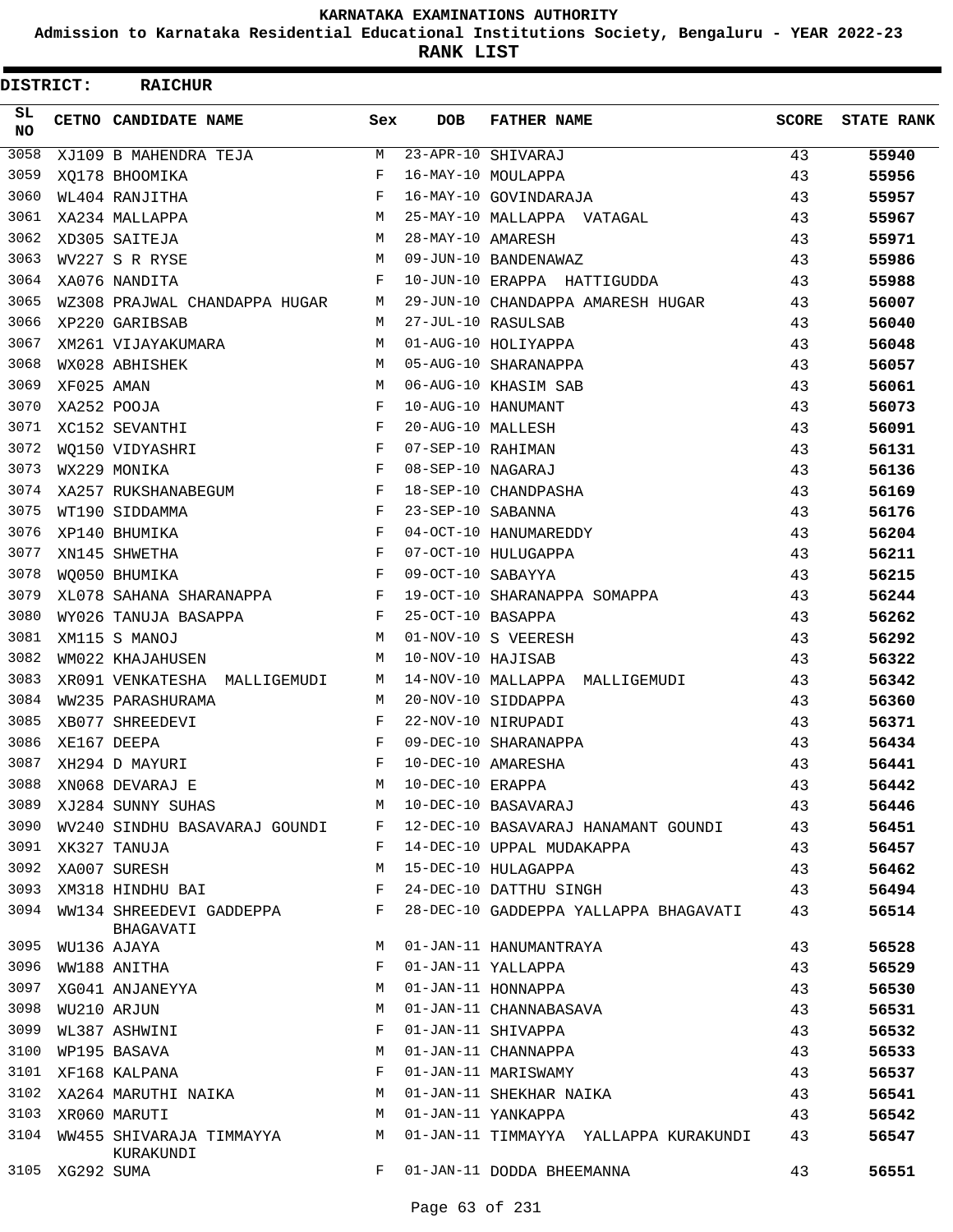**Admission to Karnataka Residential Educational Institutions Society, Bengaluru - YEAR 2022-23**

**RANK LIST**

| <b>DISTRICT:</b> |                 | <b>RAICHUR</b>                        |     |                   |                                         |              |                   |
|------------------|-----------------|---------------------------------------|-----|-------------------|-----------------------------------------|--------------|-------------------|
| SL<br><b>NO</b>  |                 | CETNO CANDIDATE NAME                  | Sex | <b>DOB</b>        | <b>FATHER NAME</b>                      | <b>SCORE</b> | <b>STATE RANK</b> |
| 3058             |                 | XJ109 B MAHENDRA TEJA                 | M   |                   | 23-APR-10 SHIVARAJ                      | 43           | 55940             |
| 3059             |                 | XO178 BHOOMIKA                        | F   |                   | 16-MAY-10 MOULAPPA                      | 43           | 55956             |
| 3060             |                 | WL404 RANJITHA                        | F   |                   | 16-MAY-10 GOVINDARAJA                   | 43           | 55957             |
| 3061             |                 | XA234 MALLAPPA                        | М   |                   | 25-MAY-10 MALLAPPA VATAGAL              | 43           | 55967             |
| 3062             |                 | XD305 SAITEJA                         | M   | 28-MAY-10 AMARESH |                                         | 43           | 55971             |
| 3063             |                 | WV227 S R RYSE                        | M   |                   | 09-JUN-10 BANDENAWAZ                    | 43           | 55986             |
| 3064             |                 | XA076 NANDITA                         | F   |                   | 10-JUN-10 ERAPPA HATTIGUDDA             | 43           | 55988             |
| 3065             |                 | WZ308 PRAJWAL CHANDAPPA HUGAR         | М   |                   | 29-JUN-10 CHANDAPPA AMARESH HUGAR       | 43           | 56007             |
| 3066             |                 | XP220 GARIBSAB                        | M   |                   | 27-JUL-10 RASULSAB                      | 43           | 56040             |
| 3067             |                 | XM261 VIJAYAKUMARA                    | M   |                   | 01-AUG-10 HOLIYAPPA                     | 43           | 56048             |
| 3068             |                 | WX028 ABHISHEK                        | M   |                   | 05-AUG-10 SHARANAPPA                    | 43           | 56057             |
| 3069             | XF025 AMAN      |                                       | M   |                   | 06-AUG-10 KHASIM SAB                    | 43           | 56061             |
| 3070             |                 | XA252 POOJA                           | F   |                   | 10-AUG-10 HANUMANT                      | 43           | 56073             |
| 3071             |                 | XC152 SEVANTHI                        | F   | 20-AUG-10 MALLESH |                                         | 43           | 56091             |
| 3072             |                 | WO150 VIDYASHRI                       | F   | 07-SEP-10 RAHIMAN |                                         | 43           | 56131             |
| 3073             |                 | WX229 MONIKA                          | F   | 08-SEP-10 NAGARAJ |                                         | 43           | 56136             |
| 3074             |                 | XA257 RUKSHANABEGUM                   | F   |                   | 18-SEP-10 CHANDPASHA                    | 43           | 56169             |
| 3075             |                 | WT190 SIDDAMMA                        | F   | 23-SEP-10 SABANNA |                                         | 43           | 56176             |
| 3076             |                 | XP140 BHUMIKA                         | F   |                   | 04-OCT-10 HANUMAREDDY                   | 43           | 56204             |
| 3077             |                 | XN145 SHWETHA                         | F   |                   | 07-OCT-10 HULUGAPPA                     | 43           | 56211             |
| 3078             |                 | WO050 BHUMIKA                         | F   | 09-OCT-10 SABAYYA |                                         | 43           | 56215             |
| 3079             |                 | XL078 SAHANA SHARANAPPA               | F   |                   | 19-OCT-10 SHARANAPPA SOMAPPA            | 43           | 56244             |
| 3080             |                 | WY026 TANUJA BASAPPA                  | F   | 25-OCT-10 BASAPPA |                                         | 43           | 56262             |
| 3081             |                 | XM115 S MANOJ                         | M   |                   | 01-NOV-10 S VEERESH                     | 43           | 56292             |
| 3082             |                 | WM022 KHAJAHUSEN                      | M   | 10-NOV-10 HAJISAB |                                         | 43           | 56322             |
| 3083             |                 | XR091 VENKATESHA MALLIGEMUDI          | М   |                   | 14-NOV-10 MALLAPPA MALLIGEMUDI          | 43           | 56342             |
| 3084             |                 | WW235 PARASHURAMA                     | M   |                   | 20-NOV-10 SIDDAPPA                      | 43           | 56360             |
| 3085             |                 | XB077 SHREEDEVI                       | F   |                   | 22-NOV-10 NIRUPADI                      | 43           | 56371             |
| 3086             |                 | XE167 DEEPA                           | F   |                   | 09-DEC-10 SHARANAPPA                    | 43           | 56434             |
| 3087             |                 | XH294 D MAYURI                        | F   |                   | 10-DEC-10 AMARESHA                      | 43           | 56441             |
| 3088             |                 | XNO68 DEVARAJ E                       | M   |                   |                                         | 43           | 56442             |
| 3089             |                 | XJ284 SUNNY SUHAS M                   |     |                   | 10-DEC-10 ERAPPA<br>10-DEC-10 BASAVARAJ | 43           | 56446             |
| 3090             |                 | WV240 SINDHU BASAVARAJ GOUNDI F       |     |                   | 12-DEC-10 BASAVARAJ HANAMANT GOUNDI 43  |              | 56451             |
| 3091             |                 | XK327 TANUJA                          | F   |                   | 14-DEC-10 UPPAL MUDAKAPPA               | 43           | 56457             |
|                  |                 | 3092 XA007 SURESH                     | M   |                   | 15-DEC-10 HULAGAPPA                     | 43           | 56462             |
| 3093             |                 | XM318 HINDHU BAI                      | F   |                   | 24-DEC-10 DATTHU SINGH                  | 43           | 56494             |
| 3094             |                 | WW134 SHREEDEVI GADDEPPA<br>BHAGAVATI | F   |                   | 28-DEC-10 GADDEPPA YALLAPPA BHAGAVATI   | 43           | 56514             |
| 3095             |                 | WU136 AJAYA                           | M   |                   | 01-JAN-11 HANUMANTRAYA                  | 43           | 56528             |
| 3096             |                 | WW188 ANITHA                          | F   |                   | 01-JAN-11 YALLAPPA                      | 43           | 56529             |
| 3097             |                 | XG041 ANJANEYYA                       | M   |                   | 01-JAN-11 HONNAPPA                      | 43           | 56530             |
| 3098             |                 | WU210 ARJUN                           | M   |                   | 01-JAN-11 CHANNABASAVA                  | 43           | 56531             |
| 3099             |                 | WL387 ASHWINI                         | F   |                   | 01-JAN-11 SHIVAPPA                      | 43           | 56532             |
| 3100             |                 | WP195 BASAVA                          | М   |                   | 01-JAN-11 CHANNAPPA                     | 43           | 56533             |
|                  |                 | 3101 XF168 KALPANA                    | F   |                   | 01-JAN-11 MARISWAMY                     | 43           | 56537             |
|                  |                 | 3102 XA264 MARUTHI NAIKA              | M   |                   | 01-JAN-11 SHEKHAR NAIKA                 | 43           | 56541             |
| 3103             |                 | XR060 MARUTI                          | M   |                   | 01-JAN-11 YANKAPPA                      | 43           | 56542             |
| 3104             |                 | WW455 SHIVARAJA TIMMAYYA              | M   |                   | 01-JAN-11 TIMMAYYA YALLAPPA KURAKUNDI   | 43           | 56547             |
|                  | 3105 XG292 SUMA | KURAKUNDI                             | F   |                   | 01-JAN-11 DODDA BHEEMANNA               | 43           | 56551             |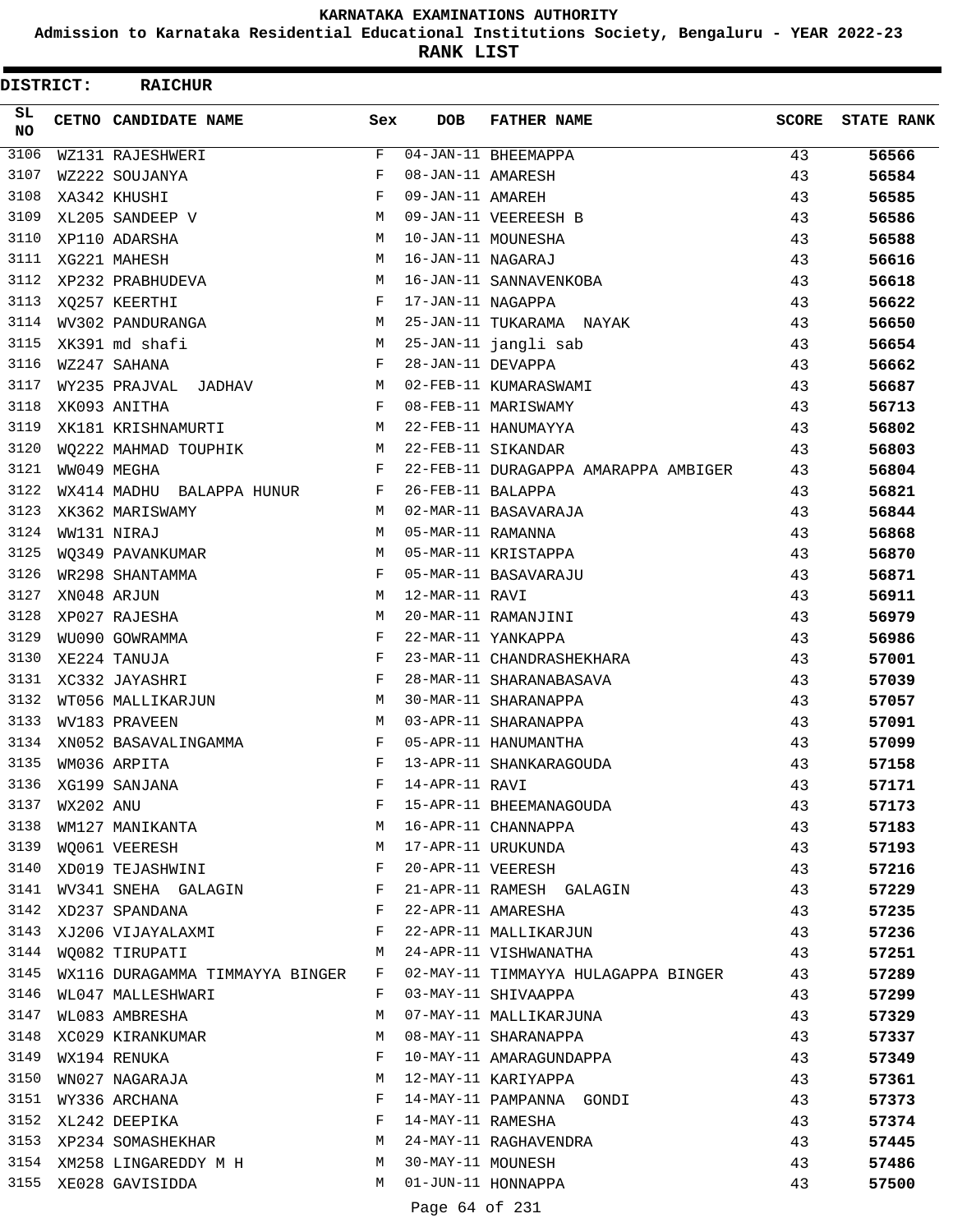**Admission to Karnataka Residential Educational Institutions Society, Bengaluru - YEAR 2022-23**

**RANK LIST**

| <b>DISTRICT:</b> |           | <b>RAICHUR</b>                  |              |                   |                                      |              |                   |
|------------------|-----------|---------------------------------|--------------|-------------------|--------------------------------------|--------------|-------------------|
| SL.<br><b>NO</b> |           | CETNO CANDIDATE NAME            | Sex          | <b>DOB</b>        | <b>FATHER NAME</b>                   | <b>SCORE</b> | <b>STATE RANK</b> |
| 3106             |           | WZ131 RAJESHWERI                | F            |                   | 04-JAN-11 BHEEMAPPA                  | 43           | 56566             |
| 3107             |           | WZ222 SOUJANYA                  | F            | 08-JAN-11 AMARESH |                                      | 43           | 56584             |
| 3108             |           | XA342 KHUSHI                    | F            | 09-JAN-11 AMAREH  |                                      | 43           | 56585             |
| 3109             |           | XL205 SANDEEP V                 | М            |                   | 09-JAN-11 VEEREESH B                 | 43           | 56586             |
| 3110             |           | XP110 ADARSHA                   | M            |                   | 10-JAN-11 MOUNESHA                   | 43           | 56588             |
| 3111             |           | XG221 MAHESH                    | M            | 16-JAN-11 NAGARAJ |                                      | 43           | 56616             |
| 3112             |           | XP232 PRABHUDEVA                | M            |                   | 16-JAN-11 SANNAVENKOBA               | 43           | 56618             |
| 3113             |           | XQ257 KEERTHI                   | F            | 17-JAN-11 NAGAPPA |                                      | 43           | 56622             |
| 3114             |           | WV302 PANDURANGA                | M            |                   | 25-JAN-11 TUKARAMA NAYAK             | 43           | 56650             |
| 3115             |           | XK391 md shafi                  | М            |                   | 25-JAN-11 jangli sab                 | 43           | 56654             |
| 3116             |           | WZ247 SAHANA                    | F            | 28-JAN-11 DEVAPPA |                                      | 43           | 56662             |
| 3117             |           | WY235 PRAJVAL JADHAV            | M            |                   | 02-FEB-11 KUMARASWAMI                | 43           | 56687             |
| 3118             |           | XK093 ANITHA                    | F            |                   | 08-FEB-11 MARISWAMY                  | 43           | 56713             |
| 3119             |           | XK181 KRISHNAMURTI              | M            |                   | 22-FEB-11 HANUMAYYA                  | 43           | 56802             |
| 3120             |           | WO222 MAHMAD TOUPHIK            | M            |                   | 22-FEB-11 SIKANDAR                   | 43           | 56803             |
| 3121             |           | WW049 MEGHA                     | F            |                   | 22-FEB-11 DURAGAPPA AMARAPPA AMBIGER | 43           | 56804             |
| 3122             |           | WX414 MADHU BALAPPA HUNUR       | F            | 26-FEB-11 BALAPPA |                                      | 43           | 56821             |
| 3123             |           | XK362 MARISWAMY                 | M            |                   | 02-MAR-11 BASAVARAJA                 | 43           | 56844             |
| 3124             |           | WW131 NIRAJ                     | M            | 05-MAR-11 RAMANNA |                                      | 43           | 56868             |
| 3125             |           | WQ349 PAVANKUMAR                | M            |                   | 05-MAR-11 KRISTAPPA                  | 43           | 56870             |
| 3126             |           | WR298 SHANTAMMA                 | F            |                   | 05-MAR-11 BASAVARAJU                 | 43           | 56871             |
| 3127             |           | XN048 ARJUN                     | M            | 12-MAR-11 RAVI    |                                      | 43           | 56911             |
| 3128             |           | XP027 RAJESHA                   | M            |                   | 20-MAR-11 RAMANJINI                  | 43           | 56979             |
| 3129             |           | WU090 GOWRAMMA                  | F            |                   | 22-MAR-11 YANKAPPA                   | 43           | 56986             |
| 3130             |           | XE224 TANUJA                    | F            |                   | 23-MAR-11 CHANDRASHEKHARA            | 43           | 57001             |
| 3131             |           | XC332 JAYASHRI                  | $_{\rm F}$   |                   | 28-MAR-11 SHARANABASAVA              | 43           | 57039             |
| 3132             |           | WT056 MALLIKARJUN               | M            |                   | 30-MAR-11 SHARANAPPA                 | 43           | 57057             |
| 3133             |           | WV183 PRAVEEN                   | M            |                   | 03-APR-11 SHARANAPPA                 | 43           | 57091             |
| 3134             |           | XN052 BASAVALINGAMMA            | F            |                   | 05-APR-11 HANUMANTHA                 | 43           | 57099             |
| 3135             |           | WM036 ARPITA                    | F            |                   | 13-APR-11 SHANKARAGOUDA              | 43           | 57158             |
| 3136             |           | XG199 SANJANA                   | F            | 14-APR-11 RAVI    |                                      | 43           | 57171             |
| 3137             | WX202 ANU |                                 | F            |                   | 15-APR-11 BHEEMANAGOUDA              | 43           |                   |
| 3138             |           | WM127 MANIKANTA                 | M            |                   |                                      |              | 57173             |
|                  |           |                                 | M            |                   | 16-APR-11 CHANNAPPA                  | 43           | 57183             |
|                  |           | 3139 WOO61 VEERESH              |              |                   | 17-APR-11 URUKUNDA                   | 43           | 57193             |
|                  |           | 3140 XD019 TEJASHWINI           | F            |                   | 20-APR-11 VEERESH                    | 43           | 57216             |
| 3141             |           | WV341 SNEHA GALAGIN             | F            |                   | 21-APR-11 RAMESH GALAGIN             | 43           | 57229             |
| 3142             |           | XD237 SPANDANA                  | $\mathbf{F}$ |                   | 22-APR-11 AMARESHA                   | 43           | 57235             |
|                  |           | 3143 XJ206 VIJAYALAXMI          | F            |                   | 22-APR-11 MALLIKARJUN                | 43           | 57236             |
|                  |           | 3144 WQ082 TIRUPATI             | M            |                   | 24-APR-11 VISHWANATHA                | 43           | 57251             |
| 3145             |           | WX116 DURAGAMMA TIMMAYYA BINGER | F            |                   | 02-MAY-11 TIMMAYYA HULAGAPPA BINGER  | 43           | 57289             |
| 3146             |           | WL047 MALLESHWARI               | F            |                   | 03-MAY-11 SHIVAAPPA                  | 43           | 57299             |
|                  |           | 3147 WL083 AMBRESHA             | M            |                   | 07-MAY-11 MALLIKARJUNA               | 43           | 57329             |
|                  |           | 3148 XC029 KIRANKUMAR           | M            |                   | 08-MAY-11 SHARANAPPA                 | 43           | 57337             |
| 3149             |           | WX194 RENUKA                    | F            |                   | 10-MAY-11 AMARAGUNDAPPA              | 43           | 57349             |
| 3150             |           | WN027 NAGARAJA                  | M            |                   | 12-MAY-11 KARIYAPPA                  | 43           | 57361             |
| 3151             |           | WY336 ARCHANA                   | F            |                   | 14-MAY-11 PAMPANNA GONDI             | 43           | 57373             |
|                  |           | 3152 XL242 DEEPIKA              | F            | 14-MAY-11 RAMESHA |                                      | 43           | 57374             |
|                  |           | 3153 XP234 SOMASHEKHAR          | M            |                   | 24-MAY-11 RAGHAVENDRA                | 43           | 57445             |
|                  |           | 3154 XM258 LINGAREDDY M H       | M            | 30-MAY-11 MOUNESH |                                      | 43           | 57486             |
|                  |           | 3155 XE028 GAVISIDDA            | M            |                   | 01-JUN-11 HONNAPPA                   | 43           | 57500             |
|                  |           |                                 |              | Page 64 of 231    |                                      |              |                   |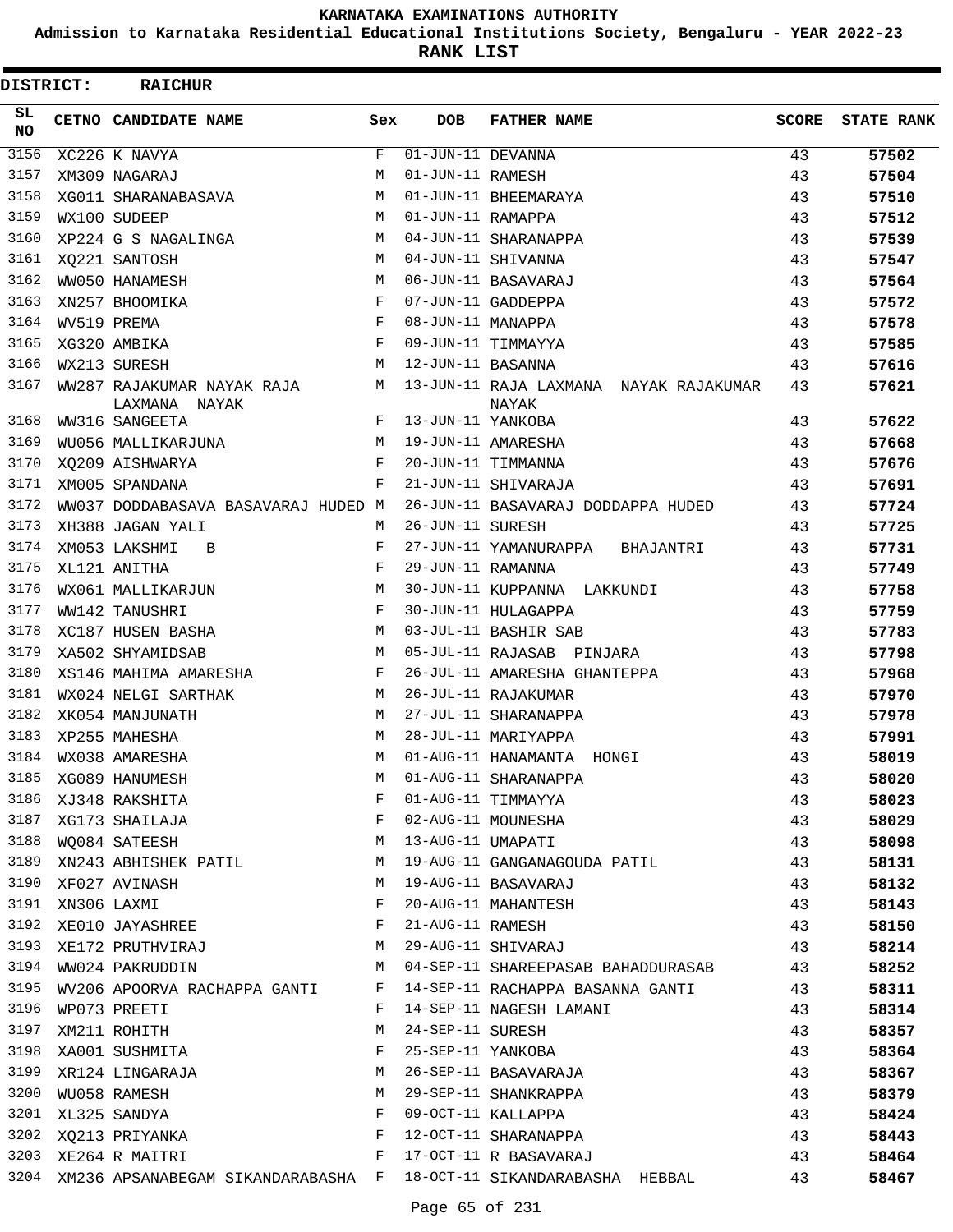**Admission to Karnataka Residential Educational Institutions Society, Bengaluru - YEAR 2022-23**

**RANK LIST**

Е

| <b>DISTRICT:</b> |             | <b>RAICHUR</b>                                                          |              |                   |                                                                         |              |                   |
|------------------|-------------|-------------------------------------------------------------------------|--------------|-------------------|-------------------------------------------------------------------------|--------------|-------------------|
| SL.<br><b>NO</b> |             | <b>CETNO CANDIDATE NAME</b>                                             | Sex          | <b>DOB</b>        | <b>FATHER NAME</b>                                                      | <b>SCORE</b> | <b>STATE RANK</b> |
| 3156             |             | XC226 K NAVYA                                                           | F            | 01-JUN-11 DEVANNA |                                                                         | 43           | 57502             |
| 3157             |             | XM309 NAGARAJ                                                           | М            | 01-JUN-11 RAMESH  |                                                                         | 43           | 57504             |
| 3158             |             | XG011 SHARANABASAVA                                                     | М            |                   | 01-JUN-11 BHEEMARAYA                                                    | 43           | 57510             |
| 3159             |             | WX100 SUDEEP                                                            | M            | 01-JUN-11 RAMAPPA |                                                                         | 43           | 57512             |
| 3160             |             | XP224 G S NAGALINGA                                                     | M            |                   | 04-JUN-11 SHARANAPPA                                                    | 43           | 57539             |
| 3161             |             | XQ221 SANTOSH                                                           | М            |                   | 04-JUN-11 SHIVANNA                                                      | 43           | 57547             |
| 3162             |             | WW050 HANAMESH                                                          | M            |                   | 06-JUN-11 BASAVARAJ                                                     | 43           | 57564             |
| 3163             |             | XN257 BHOOMIKA                                                          | $_{\rm F}$   |                   | 07-JUN-11 GADDEPPA                                                      | 43           | 57572             |
| 3164             | WV519 PREMA |                                                                         | F            | 08-JUN-11 MANAPPA |                                                                         | 43           | 57578             |
| 3165             |             | XG320 AMBIKA                                                            | $_{\rm F}$   |                   | 09-JUN-11 TIMMAYYA                                                      | 43           | 57585             |
| 3166             |             | WX213 SURESH                                                            | M            | 12-JUN-11 BASANNA |                                                                         | 43           | 57616             |
| 3167             |             | WW287 RAJAKUMAR NAYAK RAJA M<br>LAXMANA NAYAK                           |              |                   | 13-JUN-11 RAJA LAXMANA NAYAK RAJAKUMAR<br>NAYAK                         | 43           | 57621             |
| 3168             |             | WW316 SANGEETA                                                          | $F$ and      | 13-JUN-11 YANKOBA |                                                                         | 43           | 57622             |
| 3169             |             | WU056 MALLIKARJUNA M                                                    |              |                   | 19-JUN-11 AMARESHA                                                      | 43           | 57668             |
| 3170             |             | XQ209 AISHWARYA                                                         | F            |                   | 20-JUN-11 TIMMANNA                                                      | 43           | 57676             |
| 3171             |             | XM005 SPANDANA                                                          | F            |                   | 21-JUN-11 SHIVARAJA                                                     | 43           | 57691             |
| 3172             |             | WW037 DODDABASAVA BASAVARAJ HUDED M                                     |              |                   | 26-JUN-11 BASAVARAJ DODDAPPA HUDED                                      | 43           | 57724             |
| 3173             |             | XH388 JAGAN YALI                                                        | M            | 26-JUN-11 SURESH  |                                                                         | 43           | 57725             |
| 3174             |             | XM053 LAKSHMI<br>B                                                      | $\mathbf{F}$ |                   | 27-JUN-11 YAMANURAPPA BHAJANTRI                                         | 43           | 57731             |
| 3175             |             | XL121 ANITHA                                                            | F            | 29-JUN-11 RAMANNA |                                                                         | 43           | 57749             |
| 3176             |             | WX061 MALLIKARJUN                                                       | M            |                   | 30-JUN-11 KUPPANNA LAKKUNDI                                             | 43           | 57758             |
| 3177             |             | WW142 TANUSHRI                                                          | $\mathbf{F}$ |                   | 30-JUN-11 HULAGAPPA                                                     | 43           | 57759             |
| 3178             |             | XC187 HUSEN BASHA                                                       | М            |                   | 03-JUL-11 BASHIR SAB                                                    | 43           | 57783             |
| 3179             |             | XA502 SHYAMIDSAB                                                        | М            |                   | 05-JUL-11 RAJASAB PINJARA                                               | 43           | 57798             |
| 3180             |             | XS146 MAHIMA AMARESHA                                                   | F            |                   | 26-JUL-11 AMARESHA GHANTEPPA                                            | 43           | 57968             |
| 3181             |             | WX024 NELGI SARTHAK                                                     | M            |                   | 26-JUL-11 RAJAKUMAR                                                     | 43           | 57970             |
| 3182             |             | XK054 MANJUNATH                                                         | M            |                   | 27-JUL-11 SHARANAPPA                                                    | 43           | 57978             |
| 3183             |             | XP255 MAHESHA                                                           | M            |                   | 28-JUL-11 MARIYAPPA                                                     | 43           | 57991             |
| 3184             |             | WX038 AMARESHA                                                          | M            |                   | 01-AUG-11 HANAMANTA HONGI                                               | 43           | 58019             |
| 3185             |             | XG089 HANUMESH                                                          | M            |                   | 01-AUG-11 SHARANAPPA                                                    | 43           | 58020             |
| 3186             |             | XJ348 RAKSHITA                                                          | F            |                   | 01-AUG-11 TIMMAYYA                                                      | 43           | 58023             |
| 3187             |             | XG173 SHAILAJA                                                          | F            |                   | 02-AUG-11 MOUNESHA                                                      | 43           | 58029             |
| 3188             |             | $M_{\rm H}$<br>WO084 SATEESH                                            |              | 13-AUG-11 UMAPATI |                                                                         | 43           | 58098             |
|                  |             | 3189 XN243 ABHISHEK PATIL                                               | M            |                   | 19-AUG-11 GANGANAGOUDA PATIL                                            | 43           | 58131             |
|                  |             | 3190 XF027 AVINASH                                                      | M            |                   | 19-AUG-11 BASAVARAJ                                                     | 43           | 58132             |
| 3191             |             | XN306 LAXMI                                                             | F            |                   | 20-AUG-11 MAHANTESH                                                     | 43           | 58143             |
| 3192             |             | XE010 JAYASHREE                                                         | F            | 21-AUG-11 RAMESH  |                                                                         | 43           | 58150             |
|                  |             | 3193 XE172 PRUTHVIRAJ                                                   | M            |                   | 29-AUG-11 SHIVARAJ                                                      | 43           | 58214             |
|                  |             | 3194 WW024 PAKRUDDIN                                                    | M            |                   | 04-SEP-11 SHAREEPASAB BAHADDURASAB                                      | 43           | 58252             |
| 3195             |             |                                                                         |              |                   | WV206 APOORVA RACHAPPA GANTI F 14-SEP-11 RACHAPPA BASANNA GANTI         | 43           | 58311             |
| 3196             |             | WP073 PREETI                                                            | F            |                   | 14-SEP-11 NAGESH LAMANI                                                 | 43           | 58314             |
| 3197             |             | XM211 ROHITH                                                            | M            | 24-SEP-11 SURESH  |                                                                         | 43           | 58357             |
|                  |             | 3198 XA001 SUSHMITA                                                     | $\mathbf{F}$ |                   | 25-SEP-11 YANKOBA                                                       | 43           | 58364             |
| 3199             |             | XR124 LINGARAJA                                                         | M            |                   | 26-SEP-11 BASAVARAJA                                                    | 43           | 58367             |
| 3200             |             | WU058 RAMESH                                                            | M            |                   | 29-SEP-11 SHANKRAPPA                                                    | 43           | 58379             |
|                  |             | 3201 XL325 SANDYA                                                       | F            |                   | 09-OCT-11 KALLAPPA                                                      | 43           | 58424             |
|                  |             | 3202 XQ213 PRIYANKA                                                     | F            |                   | 12-OCT-11 SHARANAPPA                                                    | 43           | 58443             |
|                  |             | $\mathbb F$ . The state of the state $\mathbb F$<br>3203 XE264 R MAITRI |              |                   | 17-OCT-11 R BASAVARAJ                                                   | 43           | 58464             |
|                  |             |                                                                         |              |                   | 3204 XM236 APSANABEGAM SIKANDARABASHA F 18-OCT-11 SIKANDARABASHA HEBBAL | 43           | 58467             |
|                  |             |                                                                         |              |                   |                                                                         |              |                   |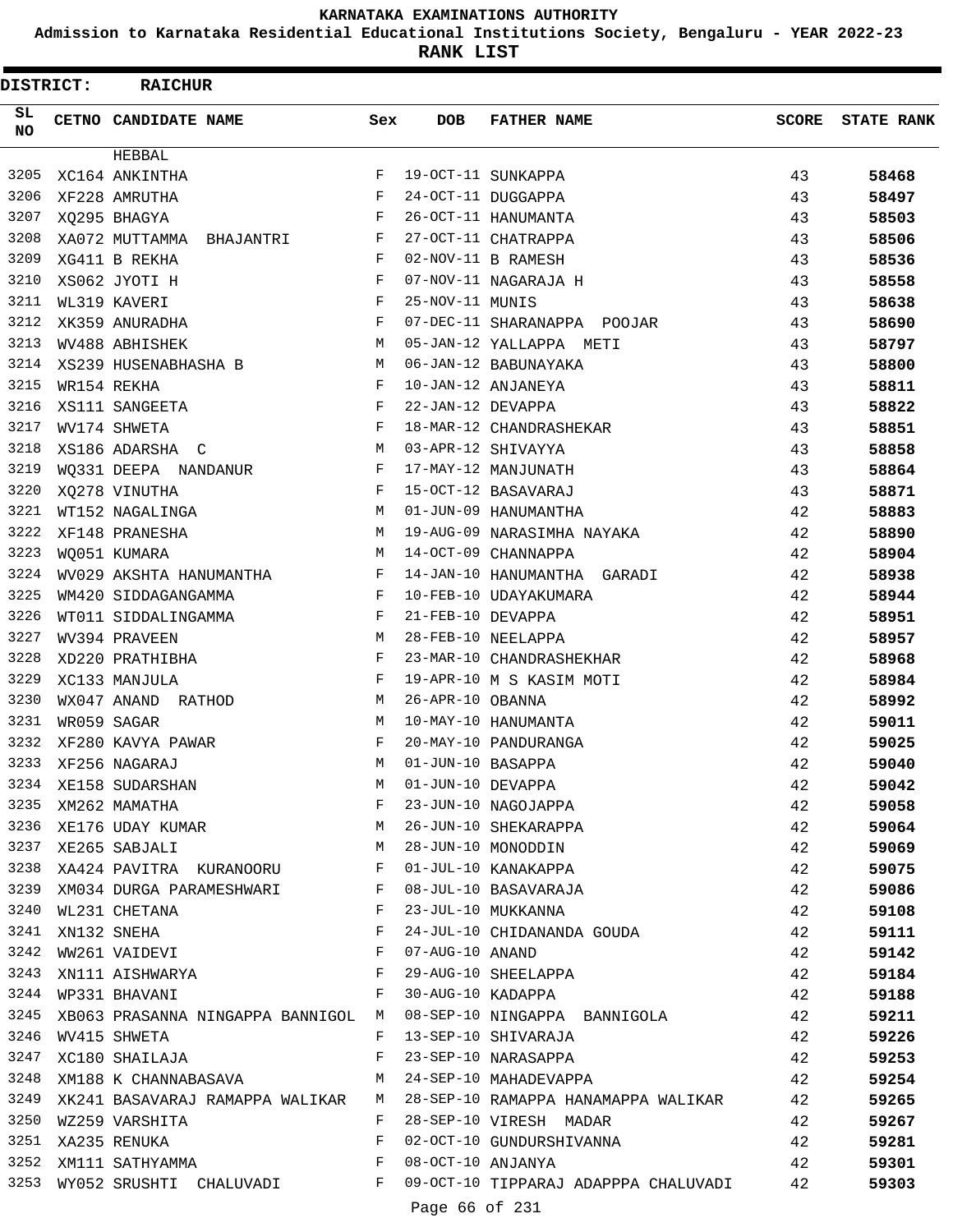**Admission to Karnataka Residential Educational Institutions Society, Bengaluru - YEAR 2022-23**

**RANK LIST**

| <b>DISTRICT:</b> | <b>RAICHUR</b>                                                                                                                            |              |                   |                                                                                                                                                                                    |              |                   |
|------------------|-------------------------------------------------------------------------------------------------------------------------------------------|--------------|-------------------|------------------------------------------------------------------------------------------------------------------------------------------------------------------------------------|--------------|-------------------|
| SL.<br><b>NO</b> | <b>CETNO CANDIDATE NAME</b>                                                                                                               | Sex          | DOB               | <b>FATHER NAME</b>                                                                                                                                                                 | <b>SCORE</b> | <b>STATE RANK</b> |
|                  | HEBBAL                                                                                                                                    |              |                   |                                                                                                                                                                                    |              |                   |
| 3205             | XC164 ANKINTHA                                                                                                                            | F            |                   | 19-OCT-11 SUNKAPPA                                                                                                                                                                 | 43           | 58468             |
| 3206             | XF228 AMRUTHA                                                                                                                             | $_{\rm F}$   |                   | 24-OCT-11 DUGGAPPA                                                                                                                                                                 | 43           | 58497             |
| 3207             | XQ295 BHAGYA                                                                                                                              | $_{\rm F}$   |                   | 26-OCT-11 HANUMANTA                                                                                                                                                                | 43           | 58503             |
| 3208             | XA072 MUTTAMMA BHAJANTRI                                                                                                                  | $_{\rm F}$   |                   | 27-OCT-11 CHATRAPPA                                                                                                                                                                | 43           | 58506             |
| 3209             | XG411 B REKHA                                                                                                                             | F            |                   | 02-NOV-11 B RAMESH                                                                                                                                                                 | 43           | 58536             |
| 3210             | XS062 JYOTI H                                                                                                                             | F            |                   | 07-NOV-11 NAGARAJA H                                                                                                                                                               | 43           | 58558             |
| 3211             | WL319 KAVERI                                                                                                                              | F            | 25-NOV-11 MUNIS   |                                                                                                                                                                                    | 43           | 58638             |
| 3212             | XK359 ANURADHA                                                                                                                            | $_{\rm F}$   |                   | 07-DEC-11 SHARANAPPA POOJAR                                                                                                                                                        | 43           | 58690             |
| 3213             | WV488 ABHISHEK                                                                                                                            | M            |                   | 05-JAN-12 YALLAPPA METI                                                                                                                                                            | 43           | 58797             |
| 3214             | XS239 HUSENABHASHA B                                                                                                                      | M            |                   | 06-JAN-12 BABUNAYAKA                                                                                                                                                               | 43           | 58800             |
| 3215             | WR154 REKHA                                                                                                                               | $\mathbf{F}$ |                   | 10-JAN-12 ANJANEYA                                                                                                                                                                 | 43           | 58811             |
| 3216             | XS111 SANGEETA                                                                                                                            | F            | 22-JAN-12 DEVAPPA |                                                                                                                                                                                    | 43           | 58822             |
| 3217             | WV174 SHWETA                                                                                                                              | F            |                   | 18-MAR-12 CHANDRASHEKAR                                                                                                                                                            | 43           | 58851             |
| 3218             | XS186 ADARSHA C                                                                                                                           | м            |                   | 03-APR-12 SHIVAYYA                                                                                                                                                                 | 43           | 58858             |
| 3219             | WQ331 DEEPA NANDANUR                                                                                                                      | $\mathbf{F}$ |                   | 17-MAY-12 MANJUNATH                                                                                                                                                                | 43           | 58864             |
| 3220             | XQ278 VINUTHA                                                                                                                             | F            |                   | 15-OCT-12 BASAVARAJ                                                                                                                                                                | 43           | 58871             |
| 3221             | WT152 NAGALINGA                                                                                                                           | M            |                   | 01-JUN-09 HANUMANTHA                                                                                                                                                               | 42           | 58883             |
| 3222             | XF148 PRANESHA                                                                                                                            | M            |                   | 19-AUG-09 NARASIMHA NAYAKA                                                                                                                                                         | 42           | 58890             |
| 3223             | WQ051 KUMARA                                                                                                                              | M            |                   | 14-OCT-09 CHANNAPPA                                                                                                                                                                | 42           | 58904             |
| 3224             | WV029 AKSHTA HANUMANTHA                                                                                                                   | $\mathbf{F}$ |                   | 14-JAN-10 HANUMANTHA GARADI                                                                                                                                                        | 42           | 58938             |
| 3225             | WM420 SIDDAGANGAMMA                                                                                                                       | F            |                   | 10-FEB-10 UDAYAKUMARA                                                                                                                                                              | 42           | 58944             |
| 3226             | WT011 SIDDALINGAMMA                                                                                                                       | F            | 21-FEB-10 DEVAPPA |                                                                                                                                                                                    | 42           | 58951             |
| 3227             | WV394 PRAVEEN                                                                                                                             | М            |                   | 28-FEB-10 NEELAPPA                                                                                                                                                                 | 42           | 58957             |
| 3228             | XD220 PRATHIBHA                                                                                                                           | $_{\rm F}$   |                   | 23-MAR-10 CHANDRASHEKHAR                                                                                                                                                           | 42           | 58968             |
| 3229             | XC133 MANJULA                                                                                                                             | F            |                   | 19-APR-10 M S KASIM MOTI                                                                                                                                                           | 42           | 58984             |
| 3230             | WX047 ANAND RATHOD                                                                                                                        | M            | 26-APR-10 OBANNA  |                                                                                                                                                                                    | 42           | 58992             |
| 3231             | WR059 SAGAR                                                                                                                               | м            |                   | 10-MAY-10 HANUMANTA                                                                                                                                                                | 42           | 59011             |
| 3232             | XF280 KAVYA PAWAR                                                                                                                         | $_{\rm F}$   |                   | 20-MAY-10 PANDURANGA                                                                                                                                                               | 42           | 59025             |
| 3233             | XF256 NAGARAJ                                                                                                                             | M            | 01-JUN-10 BASAPPA |                                                                                                                                                                                    | 42           | 59040             |
|                  | 3233 AF230 NAGARAO<br>3234 XE158 SUDARSHAN<br>3235 XM262 MAMATHA F 23-JUN-10 NAGOJAPPA<br>3236 XE176 UDAY KUMAR<br>M 26-JUN-10 SHEKARAPPA |              |                   | 01-JUN-10 BASAPPA<br>01-JUN-10 DEVAPPA<br>23-JUN-10 NAGOJAPPA<br>26-JUN-10 SHEKARAPPA<br>28-JUN-10 MONODDIN<br>01-JUL-10 KANAKAPPA<br>08-JUL-10 BASAVARAJA<br>23-JUL-10 BASAVARAJA | 42           | 59042             |
|                  |                                                                                                                                           |              |                   |                                                                                                                                                                                    | 42           | 59058             |
|                  |                                                                                                                                           |              |                   |                                                                                                                                                                                    | 42           | 59064             |
| 3237             | XE265 SABJALI                                                                                                                             |              |                   | M 28-JUN-10 MONODDIN                                                                                                                                                               | 42           | 59069             |
| 3238             | XA424 PAVITRA KURANOORU F                                                                                                                 |              |                   |                                                                                                                                                                                    | 42           | 59075             |
| 3239             | XM034 DURGA PARAMESHWARI F                                                                                                                |              |                   |                                                                                                                                                                                    | 42           | 59086             |
| 3240             | WL231 CHETANA                                                                                                                             | $-F$         |                   |                                                                                                                                                                                    | 42           | 59108             |
| 3241             | $\mathbf{F}$ and $\mathbf{F}$<br>XN132 SNEHA                                                                                              |              |                   | 24-JUL-10 CHIDANANDA GOUDA                                                                                                                                                         | 42           | 59111             |
| 3242             | WW261 VAIDEVI F                                                                                                                           |              | 07-AUG-10 ANAND   |                                                                                                                                                                                    | 42           | 59142             |
| 3243             | XN111 AISHWARYA F                                                                                                                         |              |                   | 29-AUG-10 SHEELAPPA                                                                                                                                                                | 42           | 59184             |
|                  | 3244 WP331 BHAVANI                                                                                                                        |              |                   | F 30-AUG-10 KADAPPA                                                                                                                                                                | 42           | 59188             |
| 3245             |                                                                                                                                           |              |                   | XB063 PRASANNA NINGAPPA BANNIGOL M 08-SEP-10 NINGAPPA BANNIGOLA 42                                                                                                                 |              | 59211             |
| 3246             | WV415 SHWETA                                                                                                                              |              |                   | 42<br>F 13-SEP-10 SHIVARAJA                                                                                                                                                        |              | 59226             |
| 3247             | XC180 SHAILAJA                                                                                                                            | $\mathbf{F}$ |                   | 23-SEP-10 NARASAPPA                                                                                                                                                                | 42           | 59253             |
| 3248             | XM188 K CHANNABASAVA                                                                                                                      |              |                   | M 24-SEP-10 MAHADEVAPPA                                                                                                                                                            | 42           | 59254             |
| 3249             |                                                                                                                                           |              |                   | XK241 BASAVARAJ RAMAPPA WALIKAR M 28-SEP-10 RAMAPPA HANAMAPPA WALIKAR 42                                                                                                           |              | 59265             |
|                  | 3250 WZ259 VARSHITA                                                                                                                       | $F$ and $F$  |                   | 28-SEP-10 VIRESH MADAR                                                                                                                                                             | 42           | 59267             |
| 3251             | $\mathbf{F}$ and $\mathbf{F}$<br>XA235 RENUKA                                                                                             |              |                   | 02-OCT-10 GUNDURSHIVANNA 42                                                                                                                                                        |              | 59281             |
|                  | $\mathbf{F}$<br>3252 XM111 SATHYAMMA                                                                                                      |              |                   | 08-OCT-10 ANJANYA                                                                                                                                                                  | 42           | 59301             |
| 3253             |                                                                                                                                           |              |                   | WY052 SRUSHTI CHALUVADI F 09-OCT-10 TIPPARAJ ADAPPPA CHALUVADI 42                                                                                                                  |              | 59303             |
|                  |                                                                                                                                           |              |                   |                                                                                                                                                                                    |              |                   |

Page 66 of 231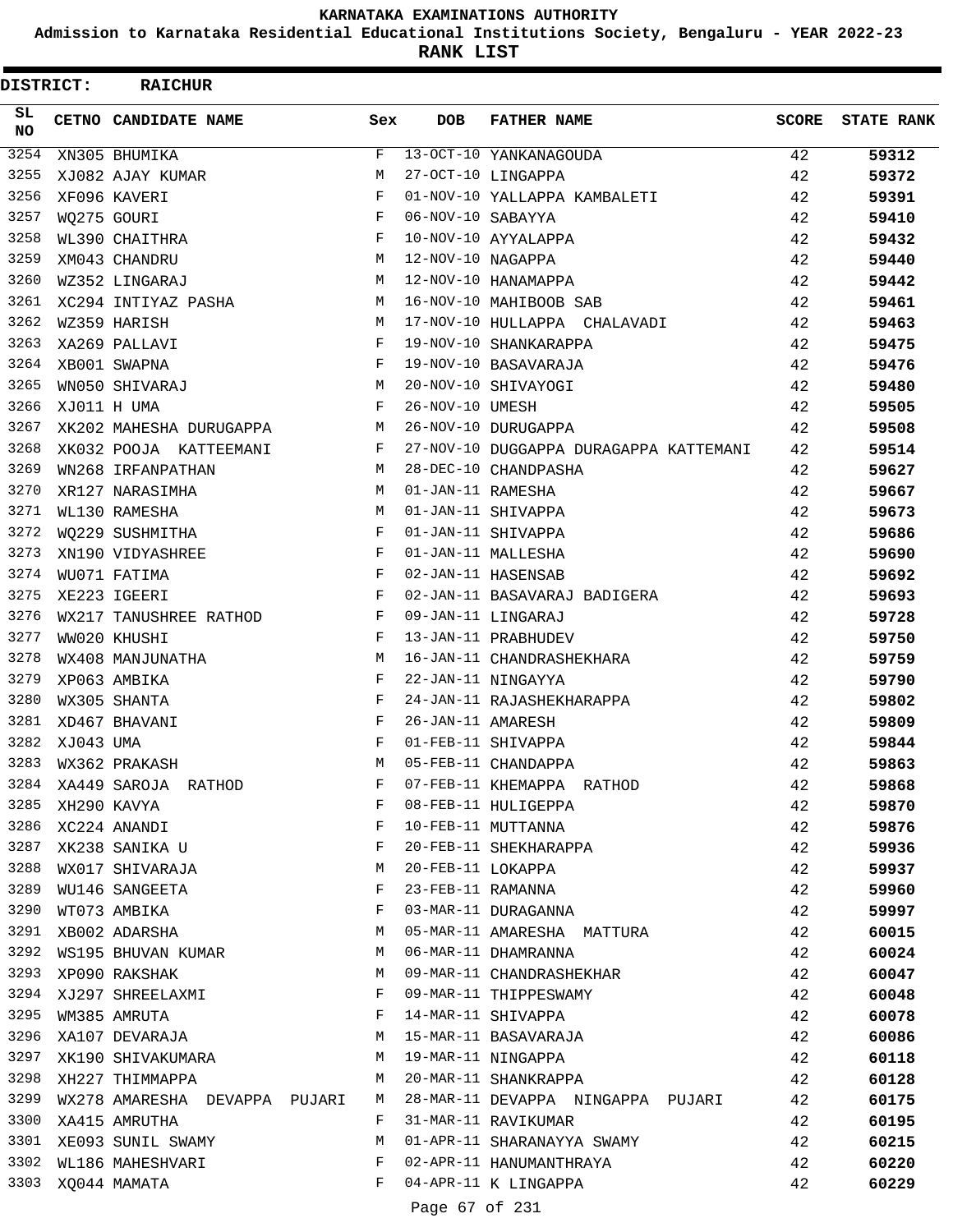**Admission to Karnataka Residential Educational Institutions Society, Bengaluru - YEAR 2022-23**

**RANK LIST**

 $\blacksquare$ 

| <b>DISTRICT:</b> |           | <b>RAICHUR</b>                |     |                   |                                        |              |                   |
|------------------|-----------|-------------------------------|-----|-------------------|----------------------------------------|--------------|-------------------|
| SL<br>NO.        |           | CETNO CANDIDATE NAME          | Sex | <b>DOB</b>        | <b>FATHER NAME</b>                     | <b>SCORE</b> | <b>STATE RANK</b> |
| 3254             |           | XN305 BHUMIKA                 | F   |                   | 13-OCT-10 YANKANAGOUDA                 | 42           | 59312             |
| 3255             |           | XJ082 AJAY KUMAR              | M   |                   | 27-OCT-10 LINGAPPA                     | 42           | 59372             |
| 3256             |           | XF096 KAVERI                  | F   |                   | 01-NOV-10 YALLAPPA KAMBALETI           | 42           | 59391             |
| 3257             |           | WO275 GOURI                   | F   | 06-NOV-10 SABAYYA |                                        | 42           | 59410             |
| 3258             |           | WL390 CHAITHRA                | F   |                   | 10-NOV-10 AYYALAPPA                    | 42           | 59432             |
| 3259             |           | XM043 CHANDRU                 | M   | 12-NOV-10 NAGAPPA |                                        | 42           | 59440             |
| 3260             |           | WZ352 LINGARAJ                | M   |                   | 12-NOV-10 HANAMAPPA                    | 42           | 59442             |
| 3261             |           | XC294 INTIYAZ PASHA           | М   |                   | 16-NOV-10 MAHIBOOB SAB                 | 42           | 59461             |
| 3262             |           | WZ359 HARISH                  | M   |                   | 17-NOV-10 HULLAPPA CHALAVADI           | 42           | 59463             |
| 3263             |           | XA269 PALLAVI                 | F   |                   | 19-NOV-10 SHANKARAPPA                  | 42           | 59475             |
| 3264             |           | XB001 SWAPNA                  | F   |                   | 19-NOV-10 BASAVARAJA                   | 42           | 59476             |
| 3265             |           | WN050 SHIVARAJ                | М   |                   | 20-NOV-10 SHIVAYOGI                    | 42           | 59480             |
| 3266             |           | XJ011 H UMA                   | F   | 26-NOV-10 UMESH   |                                        | 42           | 59505             |
| 3267             |           | XK202 MAHESHA DURUGAPPA       | М   |                   | 26-NOV-10 DURUGAPPA                    | 42           | 59508             |
| 3268             |           | XK032 POOJA KATTEEMANI        | F   |                   | 27-NOV-10 DUGGAPPA DURAGAPPA KATTEMANI | 42           | 59514             |
| 3269             |           | WN268 IRFANPATHAN             | M   |                   | 28-DEC-10 CHANDPASHA                   | 42           | 59627             |
| 3270             |           | XR127 NARASIMHA               | M   | 01-JAN-11 RAMESHA |                                        | 42           | 59667             |
| 3271             |           | WL130 RAMESHA                 | М   |                   | 01-JAN-11 SHIVAPPA                     | 42           | 59673             |
| 3272             |           | WO229 SUSHMITHA               | F   |                   | 01-JAN-11 SHIVAPPA                     | 42           | 59686             |
| 3273             |           | XN190 VIDYASHREE              | F   |                   | 01-JAN-11 MALLESHA                     | 42           | 59690             |
| 3274             |           | WU071 FATIMA                  | F   |                   | 02-JAN-11 HASENSAB                     | 42           | 59692             |
| 3275             |           | XE223 IGEERI                  | F   |                   | 02-JAN-11 BASAVARAJ BADIGERA           | 42           | 59693             |
| 3276             |           | WX217 TANUSHREE RATHOD        | F   |                   | 09-JAN-11 LINGARAJ                     | 42           | 59728             |
| 3277             |           | WW020 KHUSHI                  | F   |                   | 13-JAN-11 PRABHUDEV                    | 42           | 59750             |
| 3278             |           | WX408 MANJUNATHA              | М   |                   | 16-JAN-11 CHANDRASHEKHARA              | 42           | 59759             |
| 3279             |           | XP063 AMBIKA                  | F   |                   | 22-JAN-11 NINGAYYA                     | 42           | 59790             |
| 3280             |           | WX305 SHANTA                  | F   |                   | 24-JAN-11 RAJASHEKHARAPPA              | 42           | 59802             |
| 3281             |           | XD467 BHAVANI                 | F   | 26-JAN-11 AMARESH |                                        | 42           | 59809             |
| 3282             | XJ043 UMA |                               | F   |                   | 01-FEB-11 SHIVAPPA                     | 42           | 59844             |
| 3283             |           | WX362 PRAKASH                 | М   |                   | 05-FEB-11 CHANDAPPA                    | 42           | 59863             |
|                  |           | 3284 XA449 SAROJA RATHOD      | F   |                   | 07-FEB-11 KHEMAPPA RATHOD              | 42           | 59868             |
| 3285             |           | XH290 KAVYA                   | F   |                   | 08-FEB-11 HULIGEPPA                    | 42           | 59870             |
| 3286             |           | XC224 ANANDI                  | F   |                   | 10-FEB-11 MUTTANNA                     | 42           | 59876             |
| 3287             |           | XK238 SANIKA U                | F   |                   | 20-FEB-11 SHEKHARAPPA                  | 42           | 59936             |
| 3288             |           | WX017 SHIVARAJA               | М   | 20-FEB-11 LOKAPPA |                                        | 42           | 59937             |
| 3289             |           | WU146 SANGEETA                | F   | 23-FEB-11 RAMANNA |                                        | 42           | 59960             |
| 3290             |           | WT073 AMBIKA                  | F   |                   | 03-MAR-11 DURAGANNA                    | 42           | 59997             |
| 3291             |           | XB002 ADARSHA                 | М   |                   | 05-MAR-11 AMARESHA MATTURA             | 42           | 60015             |
|                  |           | 3292 WS195 BHUVAN KUMAR       | M   |                   | 06-MAR-11 DHAMRANNA                    | 42           | 60024             |
| 3293             |           | XP090 RAKSHAK                 | M   |                   | 09-MAR-11 CHANDRASHEKHAR               | 42           | 60047             |
| 3294             |           | XJ297 SHREELAXMI              | F   |                   | 09-MAR-11 THIPPESWAMY                  | 42           | 60048             |
| 3295             |           | WM385 AMRUTA                  | F   |                   | 14-MAR-11 SHIVAPPA                     | 42           | 60078             |
|                  |           | 3296 XA107 DEVARAJA           | М   |                   | 15-MAR-11 BASAVARAJA                   | 42           | 60086             |
| 3297             |           | XK190 SHIVAKUMARA             | M   |                   | 19-MAR-11 NINGAPPA                     | 42           | 60118             |
| 3298             |           | XH227 THIMMAPPA               | M   |                   | 20-MAR-11 SHANKRAPPA                   | 42           | 60128             |
| 3299             |           | WX278 AMARESHA DEVAPPA PUJARI | M   |                   | 28-MAR-11 DEVAPPA NINGAPPA PUJARI      | 42           | 60175             |
|                  |           | 3300 XA415 AMRUTHA            | F   |                   | 31-MAR-11 RAVIKUMAR                    | 42           | 60195             |
| 3301             |           | XE093 SUNIL SWAMY             | M   |                   | 01-APR-11 SHARANAYYA SWAMY             | 42           | 60215             |
| 3302             |           | WL186 MAHESHVARI              | F   |                   | 02-APR-11 HANUMANTHRAYA                | 42           | 60220             |
|                  |           | 3303 XQ044 MAMATA             | F   |                   | 04-APR-11 K LINGAPPA                   | 42           | 60229             |
|                  |           |                               |     |                   |                                        |              |                   |

Page 67 of 231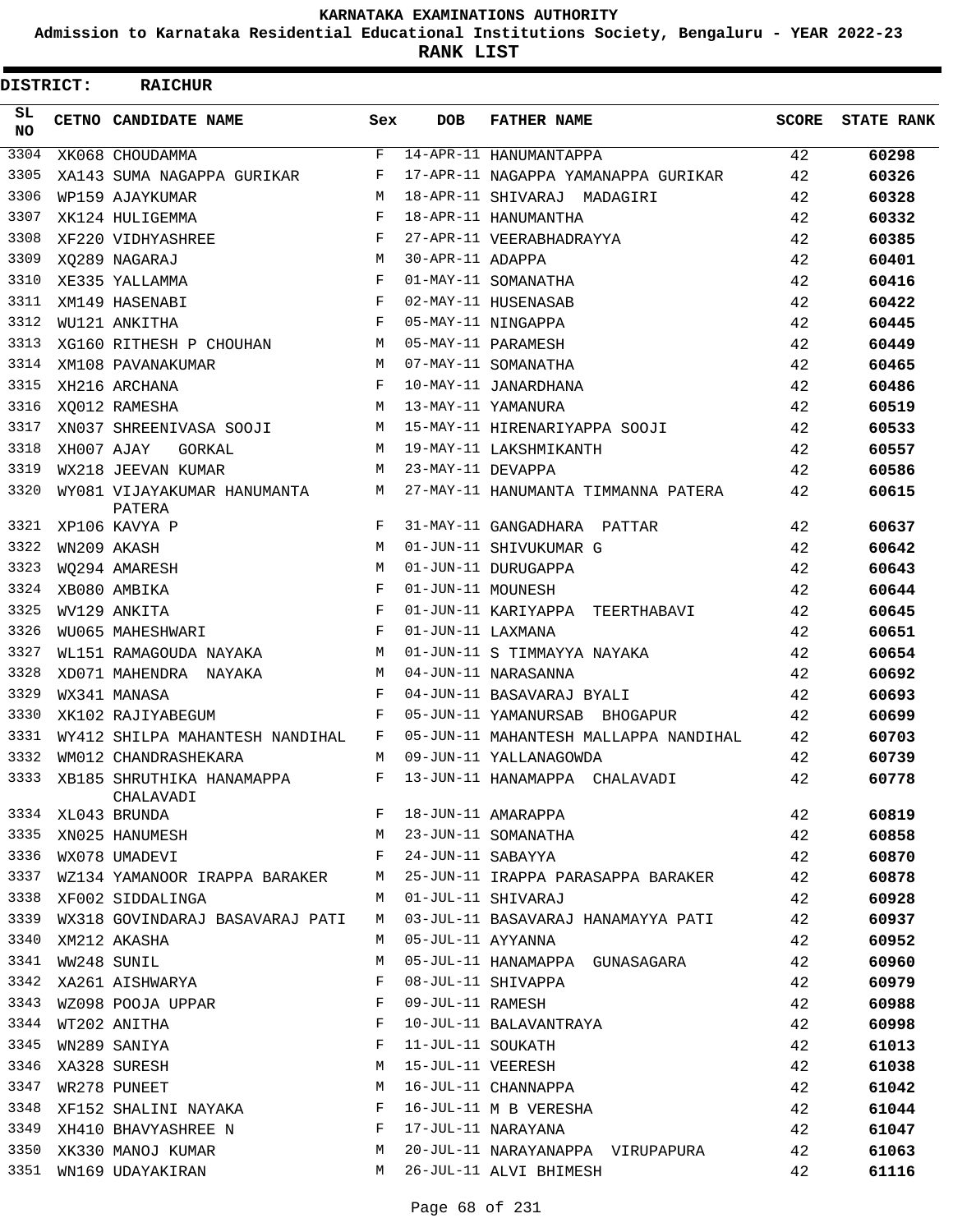**Admission to Karnataka Residential Educational Institutions Society, Bengaluru - YEAR 2022-23**

**RANK LIST**

| <b>DISTRICT:</b> |            | <b>RAICHUR</b>                                |            |                   |                                                                                         |              |                   |
|------------------|------------|-----------------------------------------------|------------|-------------------|-----------------------------------------------------------------------------------------|--------------|-------------------|
| SL<br><b>NO</b>  |            | <b>CETNO CANDIDATE NAME</b>                   | Sex        | <b>DOB</b>        | <b>FATHER NAME</b>                                                                      | <b>SCORE</b> | <b>STATE RANK</b> |
| 3304             |            | XK068 CHOUDAMMA                               | F          |                   | 14-APR-11 HANUMANTAPPA                                                                  | 42           | 60298             |
| 3305             |            | XA143 SUMA NAGAPPA GURIKAR                    | F          |                   | 17-APR-11 NAGAPPA YAMANAPPA GURIKAR                                                     | 42           | 60326             |
| 3306             |            | WP159 AJAYKUMAR                               | M          |                   | 18-APR-11 SHIVARAJ MADAGIRI                                                             | 42           | 60328             |
| 3307             |            | XK124 HULIGEMMA                               | F          |                   | 18-APR-11 HANUMANTHA                                                                    | 42           | 60332             |
| 3308             |            | XF220 VIDHYASHREE                             | F          |                   | 27-APR-11 VEERABHADRAYYA                                                                | 42           | 60385             |
| 3309             |            | XO289 NAGARAJ                                 | M          | 30-APR-11 ADAPPA  |                                                                                         | 42           | 60401             |
| 3310             |            | XE335 YALLAMMA                                | $_{\rm F}$ |                   | 01-MAY-11 SOMANATHA                                                                     | 42           | 60416             |
| 3311             |            | XM149 HASENABI                                | $_{\rm F}$ |                   | 02-MAY-11 HUSENASAB                                                                     | 42           | 60422             |
| 3312             |            | WU121 ANKITHA                                 | $_{\rm F}$ |                   | 05-MAY-11 NINGAPPA                                                                      | 42           | 60445             |
| 3313             |            | XG160 RITHESH P CHOUHAN                       | M          |                   | 05-MAY-11 PARAMESH                                                                      | 42           | 60449             |
| 3314             |            | XM108 PAVANAKUMAR                             | M          |                   | 07-MAY-11 SOMANATHA                                                                     | 42           | 60465             |
| 3315             |            | XH216 ARCHANA                                 | F          |                   | 10-MAY-11 JANARDHANA                                                                    | 42           | 60486             |
| 3316             |            | XQ012 RAMESHA                                 | M          |                   | 13-MAY-11 YAMANURA                                                                      | 42           | 60519             |
| 3317             |            | XN037 SHREENIVASA SOOJI                       | M          |                   | 15-MAY-11 HIRENARIYAPPA SOOJI                                                           | 42           | 60533             |
| 3318             | XH007 AJAY | GORKAL                                        | M          |                   | 19-MAY-11 LAKSHMIKANTH                                                                  | 42           | 60557             |
| 3319             |            | WX218 JEEVAN KUMAR                            | M          | 23-MAY-11 DEVAPPA |                                                                                         | 42           | 60586             |
| 3320             |            | WY081 VIJAYAKUMAR HANUMANTA<br>PATERA         | M          |                   | 27-MAY-11 HANUMANTA TIMMANNA PATERA                                                     | 42           | 60615             |
| 3321             |            | XP106 KAVYA P                                 | F          |                   | 31-MAY-11 GANGADHARA PATTAR                                                             | 42           | 60637             |
| 3322             |            | WN209 AKASH                                   | M          |                   | 01-JUN-11 SHIVUKUMAR G                                                                  | 42           | 60642             |
| 3323             |            | WQ294 AMARESH                                 | M          |                   | 01-JUN-11 DURUGAPPA                                                                     | 42           | 60643             |
| 3324             |            | XB080 AMBIKA                                  | $_{\rm F}$ | 01-JUN-11 MOUNESH |                                                                                         | 42           | 60644             |
| 3325             |            | WV129 ANKITA                                  | $_{\rm F}$ |                   | 01-JUN-11 KARIYAPPA TEERTHABAVI                                                         | 42           | 60645             |
| 3326             |            | WU065 MAHESHWARI                              | $_{\rm F}$ | 01-JUN-11 LAXMANA |                                                                                         | 42           | 60651             |
| 3327             |            | WL151 RAMAGOUDA NAYAKA                        | M          |                   | 01-JUN-11 S TIMMAYYA NAYAKA                                                             | 42           | 60654             |
| 3328             |            | XD071 MAHENDRA NAYAKA                         | M          |                   | 04-JUN-11 NARASANNA                                                                     | 42           | 60692             |
| 3329             |            | WX341 MANASA                                  | F          |                   | 04-JUN-11 BASAVARAJ BYALI                                                               | 42           | 60693             |
| 3330             |            | XK102 RAJIYABEGUM                             | $_{\rm F}$ |                   | 05-JUN-11 YAMANURSAB BHOGAPUR                                                           | 42           | 60699             |
| 3331             |            | WY412 SHILPA MAHANTESH NANDIHAL               | F          |                   | 05-JUN-11 MAHANTESH MALLAPPA NANDIHAL                                                   | 42           | 60703             |
| 3332             |            | WM012 CHANDRASHEKARA                          | М          |                   | 09-JUN-11 YALLANAGOWDA                                                                  | 42           | 60739             |
|                  |            | 3333 XB185 SHRUTHIKA HANAMAPPA F<br>CHALAVADI |            |                   | 13-JUN-11 HANAMAPPA CHALAVADI                                                           | 42           | 60778             |
|                  |            | 3334 XL043 BRUNDA                             | F          |                   | 18-JUN-11 AMARAPPA                                                                      | 42           | 60819             |
|                  |            | 3335 XN025 HANUMESH                           | М          |                   | 23-JUN-11 SOMANATHA                                                                     | 42           | 60858             |
| 3336             |            | WX078 UMADEVI                                 | F          | 24-JUN-11 SABAYYA |                                                                                         | 42           | 60870             |
| 3337             |            | WZ134 YAMANOOR IRAPPA BARAKER                 | М          |                   | 25-JUN-11 IRAPPA PARASAPPA BARAKER                                                      | 42           | 60878             |
|                  |            | 3338 XF002 SIDDALINGA                         | M          |                   | 01-JUL-11 SHIVARAJ                                                                      | 42           | 60928             |
|                  |            | 3339 WX318 GOVINDARAJ BASAVARAJ PATI          | M          |                   | 03-JUL-11 BASAVARAJ HANAMAYYA PATI                                                      | 42           | 60937             |
| 3340             |            | XM212 AKASHA                                  | M          | 05-JUL-11 AYYANNA |                                                                                         | 42           | 60952             |
| 3341             |            | WW248 SUNIL                                   | М          |                   | 05-JUL-11 HANAMAPPA GUNASAGARA                                                          | 42           | 60960             |
| 3342             |            | XA261 AISHWARYA                               | F          |                   | 08-JUL-11 SHIVAPPA                                                                      | 42           | 60979             |
|                  |            | 3343 WZ098 POOJA UPPAR                        | F          | 09-JUL-11 RAMESH  |                                                                                         | 42           | 60988             |
| 3344             |            | WT202 ANITHA                                  | F          |                   | 10-JUL-11 BALAVANTRAYA                                                                  | 42           | 60998             |
| 3345             |            | WN289 SANIYA                                  | F          | 11-JUL-11 SOUKATH |                                                                                         | 42           | 61013             |
| 3346             |            | XA328 SURESH                                  | M          |                   |                                                                                         | 42           | 61038             |
| 3347             |            | WR278 PUNEET                                  | M          |                   |                                                                                         | 42           | 61042             |
|                  |            | 3348 XF152 SHALINI NAYAKA                     | F          |                   | 11-JUL-11 SUURAIII<br>15-JUL-11 VEERESH<br>16-JUL-11 CHANNAPPA<br>16-JUL-11 M B VERESHA | 42           | 61044             |
| 3349             |            | XH410 BHAVYASHREE N                           | F          |                   | 17-JUL-11 NARAYANA                                                                      | 42           | 61047             |
| 3350             |            | XK330 MANOJ KUMAR                             | M          |                   | 20-JUL-11 NARAYANAPPA VIRUPAPURA                                                        | 42           | 61063             |
|                  |            | 3351 WN169 UDAYAKIRAN                         | М          |                   | 26-JUL-11 ALVI BHIMESH                                                                  | 42           | 61116             |
|                  |            |                                               |            |                   |                                                                                         |              |                   |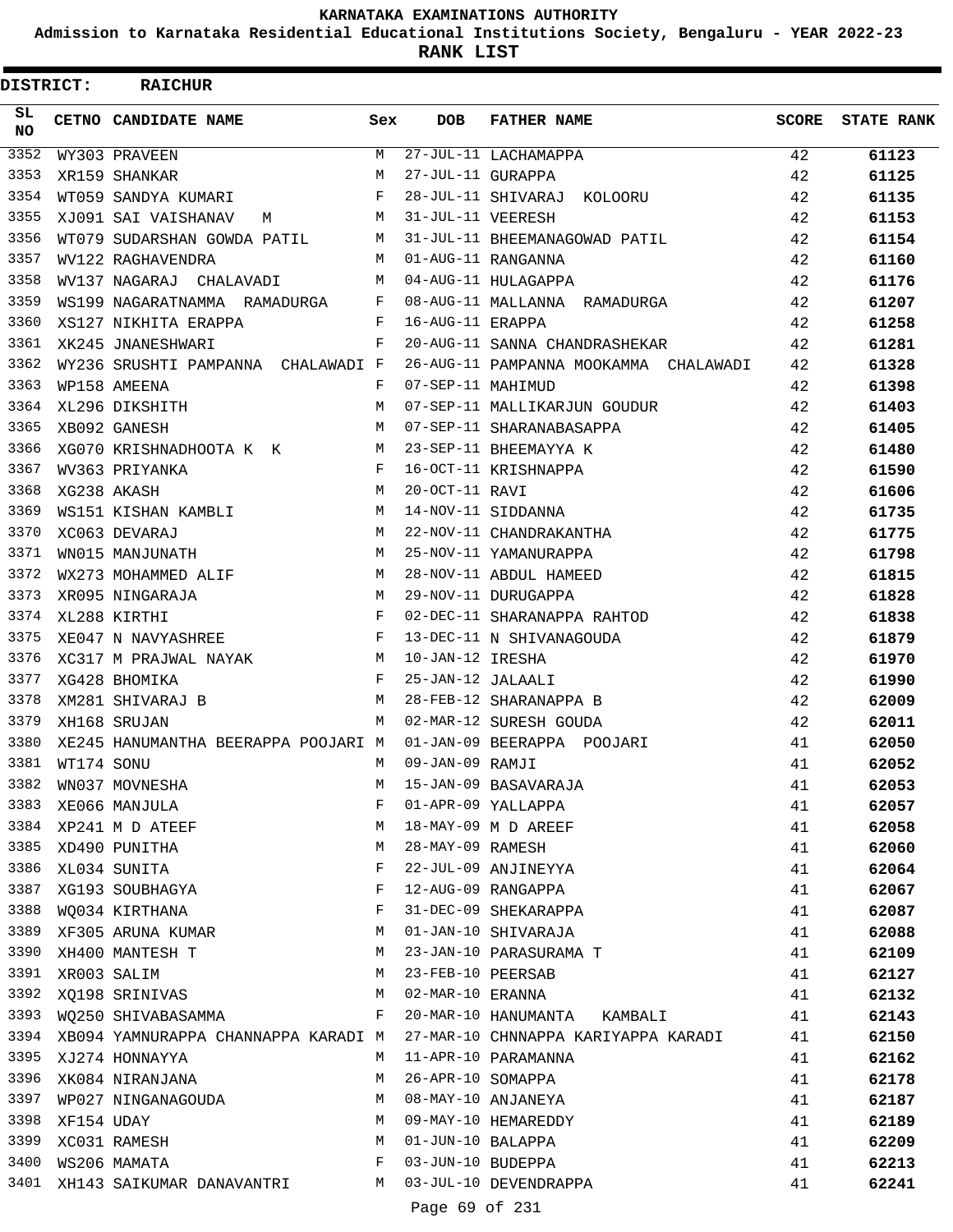**Admission to Karnataka Residential Educational Institutions Society, Bengaluru - YEAR 2022-23**

**RANK LIST**

 $\blacksquare$ 

| <b>DISTRICT:</b> |            | <b>RAICHUR</b>                                         |              |                   |                                       |       |                   |
|------------------|------------|--------------------------------------------------------|--------------|-------------------|---------------------------------------|-------|-------------------|
| SL.<br>NO.       |            | CETNO CANDIDATE NAME                                   | Sex          | <b>DOB</b>        | <b>FATHER NAME</b>                    | SCORE | <b>STATE RANK</b> |
| 3352             |            | WY303 PRAVEEN                                          | M            |                   | 27-JUL-11 LACHAMAPPA                  | 42    | 61123             |
| 3353             |            | XR159 SHANKAR                                          | M            | 27-JUL-11 GURAPPA |                                       | 42    | 61125             |
| 3354             |            | WT059 SANDYA KUMARI                                    | F            |                   | 28-JUL-11 SHIVARAJ KOLOORU            | 42    | 61135             |
| 3355             |            | XJ091 SAI VAISHANAV<br>$M$ M                           |              | 31-JUL-11 VEERESH |                                       | 42    | 61153             |
| 3356             |            | WT079 SUDARSHAN GOWDA PATIL                            | M            |                   | 31-JUL-11 BHEEMANAGOWAD PATIL         | 42    | 61154             |
| 3357             |            | WV122 RAGHAVENDRA                                      |              |                   | M 01-AUG-11 RANGANNA                  | 42    | 61160             |
| 3358             |            | WV137 NAGARAJ CHALAVADI M                              |              |                   | 04-AUG-11 HULAGAPPA                   | 42    | 61176             |
| 3359             |            | WS199 NAGARATNAMMA RAMADURGA F                         |              |                   | 08-AUG-11 MALLANNA RAMADURGA          | 42    | 61207             |
| 3360             |            | XS127 NIKHITA ERAPPA                                   | F            | 16-AUG-11 ERAPPA  |                                       | 42    | 61258             |
| 3361             |            | XK245 JNANESHWARI                                      | F            |                   | 20-AUG-11 SANNA CHANDRASHEKAR         | 42    | 61281             |
| 3362             |            | WY236 SRUSHTI PAMPANNA CHALAWADI F                     |              |                   | 26-AUG-11 PAMPANNA MOOKAMMA CHALAWADI | 42    | 61328             |
| 3363             |            | WP158 AMEENA                                           | F            | 07-SEP-11 MAHIMUD |                                       | 42    | 61398             |
| 3364             |            | XL296 DIKSHITH                                         | M            |                   | 07-SEP-11 MALLIKARJUN GOUDUR          | 42    | 61403             |
| 3365             |            | XB092 GANESH                                           | M            |                   | 07-SEP-11 SHARANABASAPPA              | 42    | 61405             |
| 3366             |            | XG070 KRISHNADHOOTA K K                                | M            |                   | 23-SEP-11 BHEEMAYYA K                 | 42    | 61480             |
| 3367             |            | WV363 PRIYANKA                                         | F            |                   | 16-OCT-11 KRISHNAPPA                  | 42    | 61590             |
| 3368             |            | XG238 AKASH                                            | М            | 20-OCT-11 RAVI    |                                       | 42    | 61606             |
| 3369             |            | WS151 KISHAN KAMBLI                                    | M            |                   | 14-NOV-11 SIDDANNA                    | 42    | 61735             |
| 3370             |            | XC063 DEVARAJ                                          | M            |                   | 22-NOV-11 CHANDRAKANTHA               | 42    | 61775             |
| 3371             |            | WN015 MANJUNATH                                        | М            |                   | 25-NOV-11 YAMANURAPPA                 | 42    | 61798             |
| 3372             |            | WX273 MOHAMMED ALIF                                    | M            |                   | 28-NOV-11 ABDUL HAMEED                | 42    | 61815             |
| 3373             |            | XR095 NINGARAJA                                        | M            |                   | 29-NOV-11 DURUGAPPA                   | 42    | 61828             |
| 3374             |            | XL288 KIRTHI                                           | $\mathbf{F}$ |                   | 02-DEC-11 SHARANAPPA RAHTOD           | 42    | 61838             |
| 3375             |            | XE047 N NAVYASHREE                                     | $\mathbf{F}$ |                   | 13-DEC-11 N SHIVANAGOUDA              | 42    | 61879             |
| 3376             |            | XC317 M PRAJWAL NAYAK                                  | M            | 10-JAN-12 IRESHA  |                                       | 42    | 61970             |
| 3377             |            | XG428 BHOMIKA                                          | $\mathbf{F}$ | 25-JAN-12 JALAALI |                                       | 42    | 61990             |
| 3378             |            | XM281 SHIVARAJ B                                       | М            |                   | 28-FEB-12 SHARANAPPA B                | 42    | 62009             |
| 3379             |            | XH168 SRUJAN                                           | M            |                   | 02-MAR-12 SURESH GOUDA                | 42    | 62011             |
| 3380             |            | XE245 HANUMANTHA BEERAPPA POOJARI M                    |              |                   | 01-JAN-09 BEERAPPA POOJARI            | 41    | 62050             |
| 3381             | WT174 SONU |                                                        | M            | 09-JAN-09 RAMJI   |                                       | 41    | 62052             |
| 3382             |            | WN037 MOVNESHA                                         | M            |                   | 15-JAN-09 BASAVARAJA                  | 41    | 62053             |
| 3383             |            | XE066 MANJULA                                          | F            |                   | 01-APR-09 YALLAPPA                    | 41    | 62057             |
| 3384             |            | XP241 M D ATEEF                                        | М            |                   | 18-MAY-09 M D AREEF                   | 41    | 62058             |
| 3385             |            | XD490 PUNITHA                                          | М            | 28-MAY-09 RAMESH  |                                       | 41    | 62060             |
| 3386             |            | XL034 SUNITA                                           | F            |                   | 22-JUL-09 ANJINEYYA                   | 41    | 62064             |
| 3387             |            | XG193 SOUBHAGYA                                        | F            |                   | 12-AUG-09 RANGAPPA                    | 41    | 62067             |
| 3388             |            | WQ034 KIRTHANA                                         | F            |                   | 31-DEC-09 SHEKARAPPA                  | 41    | 62087             |
| 3389             |            | XF305 ARUNA KUMAR                                      | М            |                   | 01-JAN-10 SHIVARAJA                   | 41    | 62088             |
| 3390             |            | XH400 MANTESH T                                        | М            |                   | 23-JAN-10 PARASURAMA T                | 41    | 62109             |
| 3391             |            | XR003 SALIM                                            | M            | 23-FEB-10 PEERSAB |                                       | 41    | 62127             |
| 3392             |            | XQ198 SRINIVAS                                         | M            | 02-MAR-10 ERANNA  |                                       | 41    | 62132             |
| 3393             |            | WO250 SHIVABASAMMA                                     | F            |                   | 20-MAR-10 HANUMANTA KAMBALI           | 41    | 62143             |
| 3394             |            | XB094 YAMNURAPPA CHANNAPPA KARADI M                    |              |                   | 27-MAR-10 CHNNAPPA KARIYAPPA KARADI   | 41    | 62150             |
| 3395             |            | XJ274 HONNAYYA                                         | M            |                   | 11-APR-10 PARAMANNA                   | 41    | 62162             |
| 3396             |            | XK084 NIRANJANA                                        | М            | 26-APR-10 SOMAPPA |                                       | 41    | 62178             |
| 3397             |            | WP027 NINGANAGOUDA                                     | M            |                   | 08-MAY-10 ANJANEYA                    | 41    | 62187             |
| 3398             | XF154 UDAY |                                                        | M            |                   | 09-MAY-10 HEMAREDDY                   | 41    | 62189             |
| 3399             |            | XC031 RAMESH                                           | M            | 01-JUN-10 BALAPPA |                                       | 41    | 62209             |
| 3400             |            | WS206 MAMATA                                           | F            | 03-JUN-10 BUDEPPA |                                       | 41    | 62213             |
|                  |            | 3401 XH143 SAIKUMAR DANAVANTRI M 03-JUL-10 DEVENDRAPPA |              |                   |                                       | 41    | 62241             |

Page 69 of 231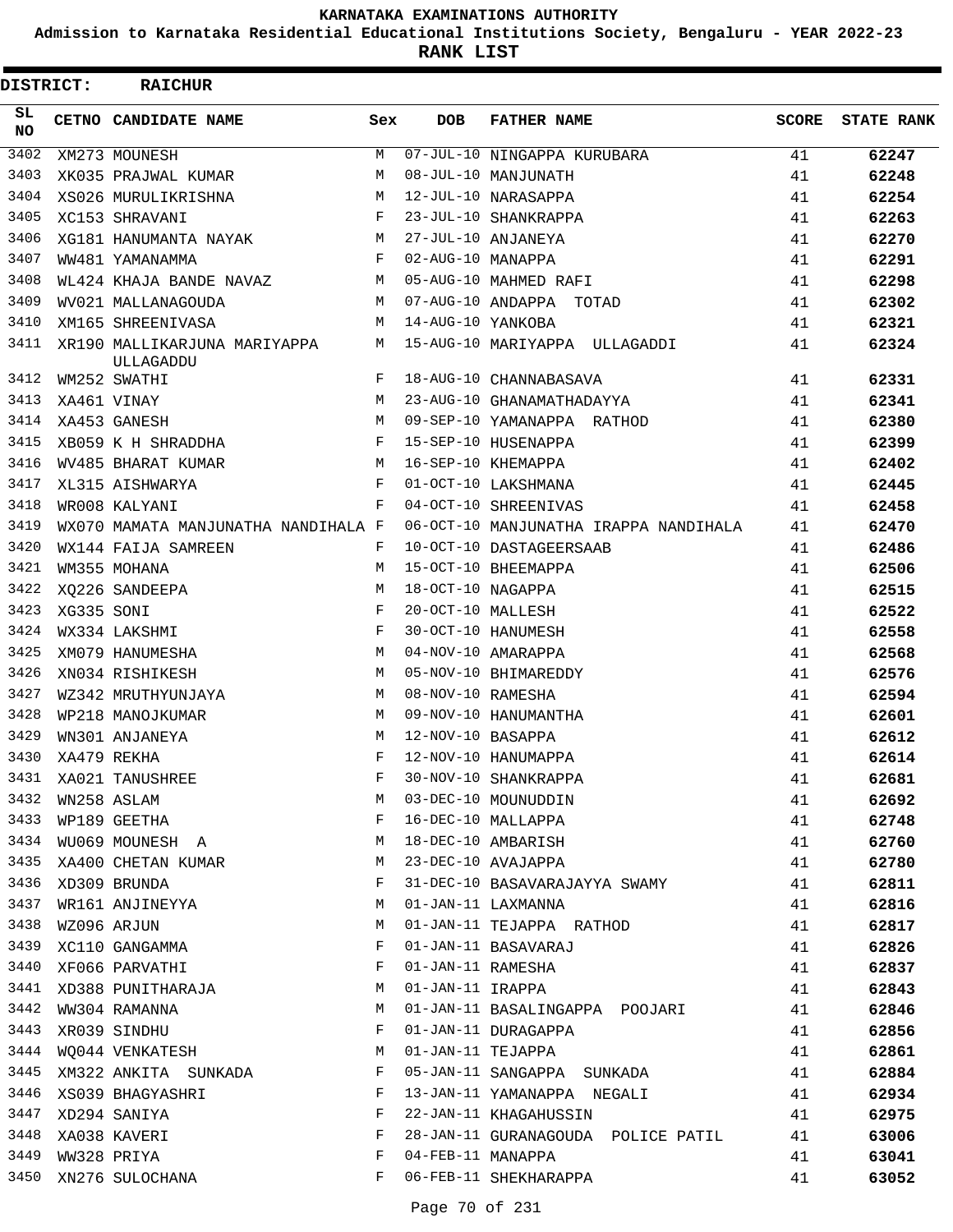**Admission to Karnataka Residential Educational Institutions Society, Bengaluru - YEAR 2022-23**

**RANK LIST**

| DISTRICT:  |            | <b>RAICHUR</b>                              |            |                   |                                       |              |                   |
|------------|------------|---------------------------------------------|------------|-------------------|---------------------------------------|--------------|-------------------|
| SL.<br>NO. |            | CETNO CANDIDATE NAME                        | Sex        | <b>DOB</b>        | <b>FATHER NAME</b>                    | <b>SCORE</b> | <b>STATE RANK</b> |
| 3402       |            | XM273 MOUNESH                               | М          |                   | 07-JUL-10 NINGAPPA KURUBARA           | 41           | 62247             |
| 3403       |            | XK035 PRAJWAL KUMAR                         | M          |                   | 08-JUL-10 MANJUNATH                   | 41           | 62248             |
| 3404       |            | XS026 MURULIKRISHNA                         | M          |                   | 12-JUL-10 NARASAPPA                   | 41           | 62254             |
| 3405       |            | XC153 SHRAVANI                              | F          |                   | 23-JUL-10 SHANKRAPPA                  | 41           | 62263             |
| 3406       |            | XG181 HANUMANTA NAYAK                       | М          |                   | 27-JUL-10 ANJANEYA                    | 41           | 62270             |
| 3407       |            | WW481 YAMANAMMA                             | F          | 02-AUG-10 MANAPPA |                                       | 41           | 62291             |
| 3408       |            | WL424 KHAJA BANDE NAVAZ                     | M          |                   | 05-AUG-10 MAHMED RAFI                 | 41           | 62298             |
| 3409       |            | WV021 MALLANAGOUDA                          | M          |                   | 07-AUG-10 ANDAPPA TOTAD               | 41           | 62302             |
| 3410       |            | XM165 SHREENIVASA                           | М          | 14-AUG-10 YANKOBA |                                       | 41           | 62321             |
| 3411       |            | XR190 MALLIKARJUNA MARIYAPPA<br>ULLAGADDU   | M          |                   | 15-AUG-10 MARIYAPPA ULLAGADDI         | 41           | 62324             |
| 3412       |            | WM252 SWATHI                                | F          |                   | 18-AUG-10 CHANNABASAVA                | 41           | 62331             |
| 3413       |            | XA461 VINAY                                 | M          |                   | 23-AUG-10 GHANAMATHADAYYA             | 41           | 62341             |
| 3414       |            | XA453 GANESH                                | M          |                   | 09-SEP-10 YAMANAPPA RATHOD            | 41           | 62380             |
| 3415       |            | XB059 K H SHRADDHA                          | F          |                   | 15-SEP-10 HUSENAPPA                   | 41           | 62399             |
| 3416       |            | WV485 BHARAT KUMAR                          | M          |                   | 16-SEP-10 KHEMAPPA                    | 41           | 62402             |
| 3417       |            | XL315 AISHWARYA                             | F          |                   | 01-OCT-10 LAKSHMANA                   | 41           | 62445             |
| 3418       |            | WR008 KALYANI                               | F          |                   | 04-OCT-10 SHREENIVAS                  | 41           | 62458             |
| 3419       |            | WX070 MAMATA MANJUNATHA NANDIHALA F         |            |                   | 06-OCT-10 MANJUNATHA IRAPPA NANDIHALA | 41           | 62470             |
| 3420       |            | WX144 FAIJA SAMREEN                         | F          |                   | 10-OCT-10 DASTAGEERSAAB               | 41           | 62486             |
| 3421       |            | WM355 MOHANA                                | M          |                   | 15-OCT-10 BHEEMAPPA                   | 41           | 62506             |
| 3422       |            | XQ226 SANDEEPA                              | M          | 18-OCT-10 NAGAPPA |                                       | 41           | 62515             |
| 3423       | XG335 SONI |                                             | $_{\rm F}$ | 20-OCT-10 MALLESH |                                       | 41           | 62522             |
| 3424       |            | WX334 LAKSHMI                               | $_{\rm F}$ |                   | 30-OCT-10 HANUMESH                    | 41           | 62558             |
| 3425       |            | XM079 HANUMESHA                             | M          |                   | 04-NOV-10 AMARAPPA                    | 41           | 62568             |
| 3426       |            | XN034 RISHIKESH                             | M          |                   | 05-NOV-10 BHIMAREDDY                  | 41           | 62576             |
| 3427       |            | WZ342 MRUTHYUNJAYA                          | M          | 08-NOV-10 RAMESHA |                                       | 41           | 62594             |
| 3428       |            | WP218 MANOJKUMAR                            | М          |                   | 09-NOV-10 HANUMANTHA                  | 41           | 62601             |
| 3429       |            | WN301 ANJANEYA                              | M          | 12-NOV-10 BASAPPA |                                       | 41           | 62612             |
| 3430       |            | XA479 REKHA                                 | F          |                   | 12-NOV-10 HANUMAPPA                   | 41           | 62614             |
| 3431       |            | XA021 TANUSHREE                             |            |                   | 30-NOV-10 SHANKRAPPA                  | 41           | 62681             |
| 3432       |            |                                             | М          |                   | 03-DEC-10 MOUNUDDIN                   | 41           | 62692             |
| 3433       |            |                                             | F          |                   | 16-DEC-10 MALLAPPA                    | 41           | 62748             |
| 3434       |            | WN258 ASLAM<br>WP189 GEETHA<br>WD189 GEETHA | М          |                   | 18-DEC-10 AMBARISH                    | 41           | 62760             |
| 3435       |            | XA400 CHETAN KUMAR                          | M          |                   | 23-DEC-10 AVAJAPPA                    | 41           | 62780             |
| 3436       |            | XD309 BRUNDA                                | F          |                   | 31-DEC-10 BASAVARAJAYYA SWAMY         | 41           | 62811             |
| 3437       |            | WR161 ANJINEYYA                             | M          |                   | 01-JAN-11 LAXMANNA                    | 41           | 62816             |
| 3438       |            |                                             | М          |                   | 01-JAN-11 TEJAPPA RATHOD              | 41           | 62817             |
| 3439       |            | WZ096 ARJUN<br>XC110 GANGAMMA               | F          |                   | 01-JAN-11 BASAVARAJ                   | 41           | 62826             |
| 3440       |            | XF066 PARVATHI                              | F          |                   | 01-JAN-11 RAMESHA                     | 41           | 62837             |
| 3441       |            | XD388 PUNITHARAJA                           | M          | 01-JAN-11 IRAPPA  |                                       | 41           | 62843             |
| 3442       |            | WW304 RAMANNA                               | M          |                   | 01-JAN-11 BASALINGAPPA POOJARI        | 41           | 62846             |
| 3443       |            | XR039 SINDHU                                | F          |                   | 01-JAN-11 DURAGAPPA                   | 41           | 62856             |
| 3444       |            | WQ044 VENKATESH                             | M          |                   | 01-JAN-11 TEJAPPA                     | 41           | 62861             |
| 3445       |            | XM322 ANKITA SUNKADA                        | F          |                   | 05-JAN-11 SANGAPPA SUNKADA            | 41           | 62884             |
| 3446       |            | XS039 BHAGYASHRI                            | F          |                   | 13-JAN-11 YAMANAPPA NEGALI            | 41           | 62934             |
| 3447       |            | XD294 SANIYA                                | F          |                   | 22-JAN-11 KHAGAHUSSIN                 | 41           | 62975             |
| 3448       |            | XA038 KAVERI                                | F          |                   | 28-JAN-11 GURANAGOUDA POLICE PATIL    | 41           | 63006             |
| 3449       |            | WW328 PRIYA                                 | F          | 04-FEB-11 MANAPPA |                                       | 41           | 63041             |
| 3450       |            | XN276 SULOCHANA                             | F          |                   | 06-FEB-11 SHEKHARAPPA                 | 41           | 63052             |
|            |            |                                             |            |                   |                                       |              |                   |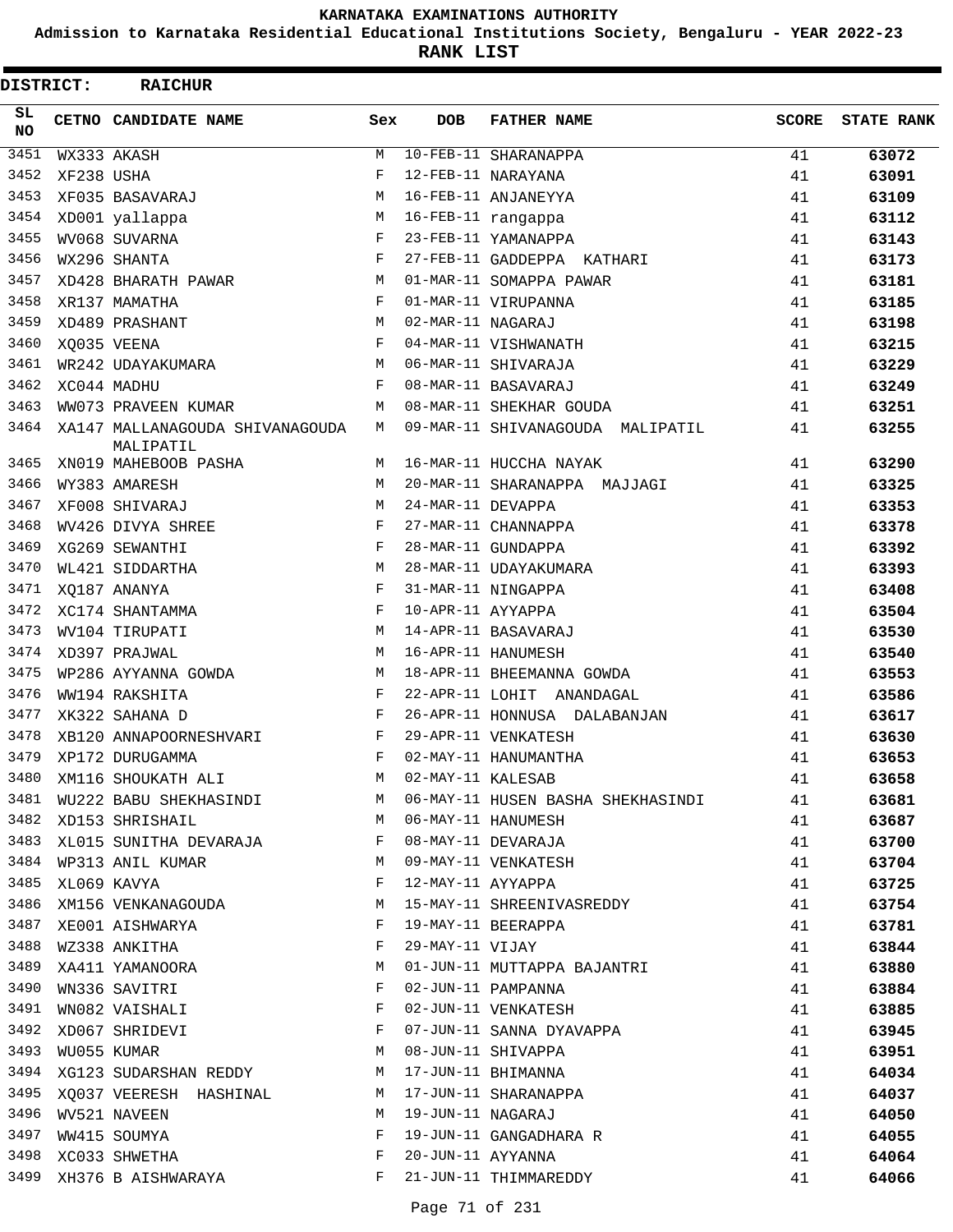**Admission to Karnataka Residential Educational Institutions Society, Bengaluru - YEAR 2022-23**

**RANK LIST**

| DISTRICT:  |            | <b>RAICHUR</b>                               |            |                   |                                   |          |                   |
|------------|------------|----------------------------------------------|------------|-------------------|-----------------------------------|----------|-------------------|
| SL.<br>NO. |            | CETNO CANDIDATE NAME                         | Sex        | <b>DOB</b>        | <b>FATHER NAME</b>                | SCORE    | <b>STATE RANK</b> |
| 3451       |            | WX333 AKASH                                  | М          |                   | 10-FEB-11 SHARANAPPA              | 41       | 63072             |
| 3452       | XF238 USHA |                                              | $_{\rm F}$ |                   | 12-FEB-11 NARAYANA                | 41       | 63091             |
| 3453       |            | XF035 BASAVARAJ                              | М          |                   | 16-FEB-11 ANJANEYYA               | 41       | 63109             |
| 3454       |            | XD001 yallappa                               | м          |                   | 16-FEB-11 rangappa                | 41       | 63112             |
| 3455       |            | WV068 SUVARNA                                | F          |                   | 23-FEB-11 YAMANAPPA               | 41       | 63143             |
| 3456       |            | WX296 SHANTA                                 | $_{\rm F}$ |                   | 27-FEB-11 GADDEPPA KATHARI        | 41       | 63173             |
| 3457       |            | XD428 BHARATH PAWAR                          | M          |                   | 01-MAR-11 SOMAPPA PAWAR           | 41       | 63181             |
| 3458       |            | XR137 MAMATHA                                | F          |                   | 01-MAR-11 VIRUPANNA               | 41       | 63185             |
| 3459       |            | XD489 PRASHANT                               | M          | 02-MAR-11 NAGARAJ |                                   | 41       | 63198             |
| 3460       |            | XO035 VEENA                                  | F          |                   | 04-MAR-11 VISHWANATH              | 41       | 63215             |
| 3461       |            | WR242 UDAYAKUMARA                            | M          |                   | 06-MAR-11 SHIVARAJA               | 41       | 63229             |
| 3462       |            | XC044 MADHU                                  | F          |                   | 08-MAR-11 BASAVARAJ               | 41       | 63249             |
| 3463       |            | WW073 PRAVEEN KUMAR                          | M          |                   | 08-MAR-11 SHEKHAR GOUDA           | 41       | 63251             |
| 3464       |            | XA147 MALLANAGOUDA SHIVANAGOUDA<br>MALIPATIL | M          |                   | 09-MAR-11 SHIVANAGOUDA MALIPATIL  | 41       | 63255             |
| 3465       |            | XN019 MAHEBOOB PASHA                         | M          |                   | 16-MAR-11 HUCCHA NAYAK            | 41       | 63290             |
| 3466       |            | WY383 AMARESH                                | M          |                   | 20-MAR-11 SHARANAPPA MAJJAGI      | 41       | 63325             |
| 3467       |            | XF008 SHIVARAJ                               | M          | 24-MAR-11 DEVAPPA |                                   | 41       | 63353             |
| 3468       |            | WV426 DIVYA SHREE                            | F          |                   | 27-MAR-11 CHANNAPPA               | 41       | 63378             |
| 3469       |            | XG269 SEWANTHI                               | $_{\rm F}$ |                   | 28-MAR-11 GUNDAPPA                | 41       | 63392             |
| 3470       |            | WL421 SIDDARTHA                              | M          |                   | 28-MAR-11 UDAYAKUMARA             | 41       | 63393             |
| 3471       |            | XO187 ANANYA                                 | F          |                   | 31-MAR-11 NINGAPPA                | 41       | 63408             |
| 3472       |            | XC174 SHANTAMMA                              | $_{\rm F}$ | 10-APR-11 AYYAPPA |                                   | 41       | 63504             |
| 3473       |            | WV104 TIRUPATI                               | M          |                   | 14-APR-11 BASAVARAJ               | 41       | 63530             |
| 3474       |            | XD397 PRAJWAL                                | M          |                   | 16-APR-11 HANUMESH                | 41       | 63540             |
| 3475       |            | WP286 AYYANNA GOWDA                          | M          |                   | 18-APR-11 BHEEMANNA GOWDA         | 41       | 63553             |
| 3476       |            | WW194 RAKSHITA                               | F          |                   | 22-APR-11 LOHIT ANANDAGAL         | 41       | 63586             |
| 3477       |            | XK322 SAHANA D                               | F          |                   | 26-APR-11 HONNUSA DALABANJAN      | 41       | 63617             |
| 3478       |            | XB120 ANNAPOORNESHVARI                       | $_{\rm F}$ |                   | 29-APR-11 VENKATESH               | 41       | 63630             |
| 3479       |            | XP172 DURUGAMMA                              | F          |                   | 02-MAY-11 HANUMANTHA              | 41       | 63653             |
| 3480       |            | XM116 SHOUKATH ALI                           | M          | 02-MAY-11 KALESAB |                                   | 41       | 63658             |
| 3481       |            | WU222 BABU SHEKHASINDI M                     |            |                   | 06-MAY-11 HUSEN BASHA SHEKHASINDI | 41       | 63681             |
| 3482       |            | XD153 SHRISHAIL                              | M          |                   | 06-MAY-11 HANUMESH                | 41       | 63687             |
| 3483       |            | XL015 SUNITHA DEVARAJA                       | F          |                   | 08-MAY-11 DEVARAJA                | 41       | 63700             |
|            |            | 3484 WP313 ANIL KUMAR                        | M          |                   | 09-MAY-11 VENKATESH               | 41       | 63704             |
| 3485       |            | XL069 KAVYA                                  | F          | 12-MAY-11 AYYAPPA |                                   | 41       | 63725             |
| 3486       |            | XM156 VENKANAGOUDA                           | M          |                   | 15-MAY-11 SHREENIVASREDDY         | 41       | 63754             |
| 3487       |            | XE001 AISHWARYA                              | F          |                   | 19-MAY-11 BEERAPPA                | 41       | 63781             |
| 3488       |            | WZ338 ANKITHA                                | F          | 29-MAY-11 VIJAY   |                                   | 41       | 63844             |
| 3489       |            | XA411 YAMANOORA                              | М          |                   | 01-JUN-11 MUTTAPPA BAJANTRI       | 41       | 63880             |
| 3490       |            | WN336 SAVITRI                                | F          |                   | 02-JUN-11 PAMPANNA                | 41       | 63884             |
| 3491       |            | WN082 VAISHALI                               | F          |                   | 02-JUN-11 VENKATESH               | 41       | 63885             |
| 3492       |            | XD067 SHRIDEVI                               | F          |                   | 07-JUN-11 SANNA DYAVAPPA          | 41       | 63945             |
| 3493       |            | WU055 KUMAR                                  | M          |                   | 08-JUN-11 SHIVAPPA                | 41       | 63951             |
|            |            | 3494 XG123 SUDARSHAN REDDY                   | M          |                   | 17-JUN-11 BHIMANNA                | 41       | 64034             |
| 3495       |            | XQ037 VEERESH HASHINAL                       | M          |                   | 17-JUN-11 SHARANAPPA              | 41       | 64037             |
| 3496       |            | WV521 NAVEEN                                 | M          | 19-JUN-11 NAGARAJ |                                   |          |                   |
| 3497       |            | WW415 SOUMYA                                 | F          |                   | 19-JUN-11 GANGADHARA R            | 41<br>41 | 64050             |
| 3498       |            |                                              | F          | 20-JUN-11 AYYANNA |                                   |          | 64055             |
|            |            | XC033 SHWETHA                                |            |                   |                                   | 41       | 64064             |
| 3499       |            | XH376 B AISHWARAYA                           | F          |                   | 21-JUN-11 THIMMAREDDY             | 41       | 64066             |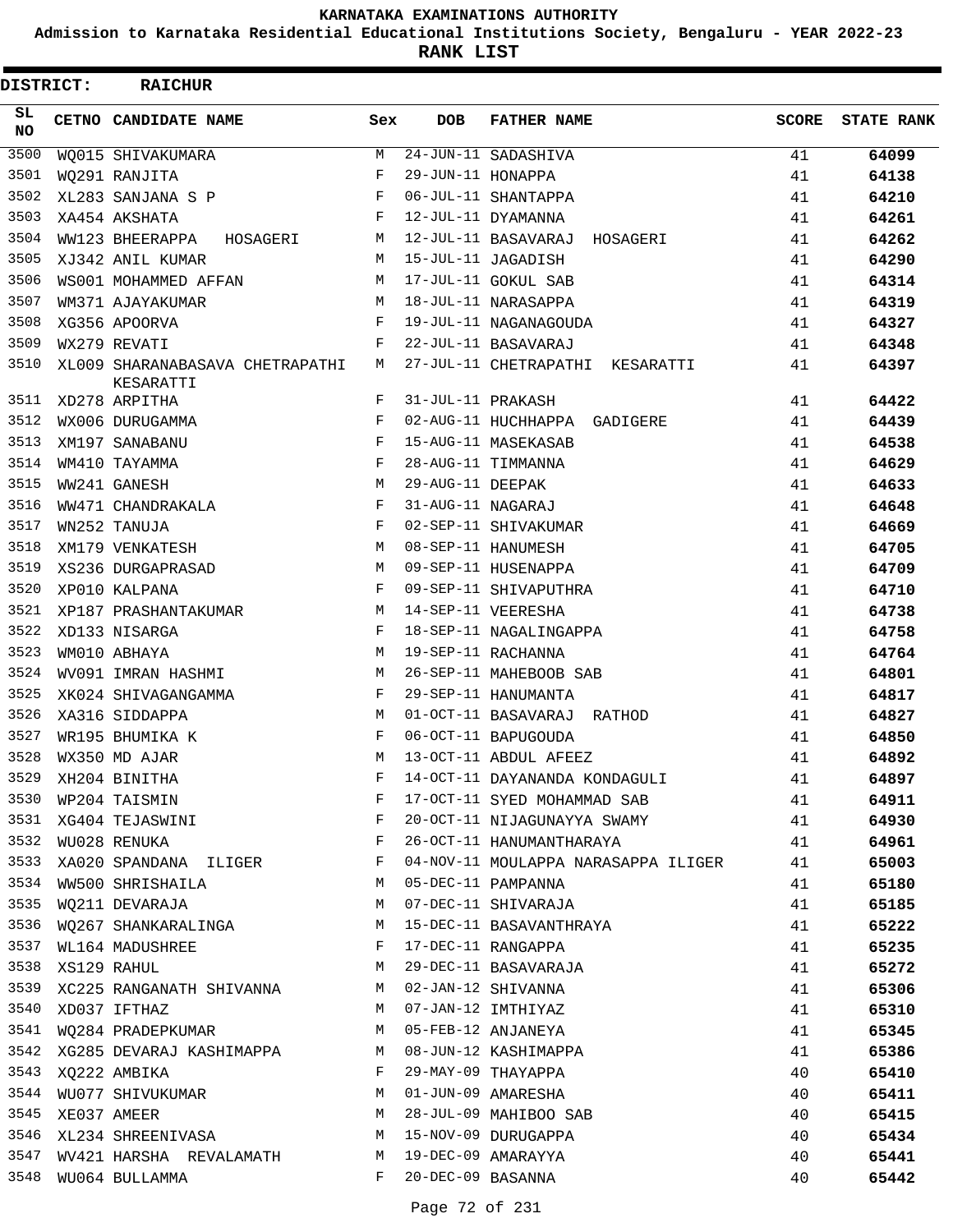**Admission to Karnataka Residential Educational Institutions Society, Bengaluru - YEAR 2022-23**

**RANK LIST**

| <b>DISTRICT:</b> | <b>RAICHUR</b>                                 |              |                   |                                     |              |                   |
|------------------|------------------------------------------------|--------------|-------------------|-------------------------------------|--------------|-------------------|
| SL.<br><b>NO</b> | <b>CETNO CANDIDATE NAME</b>                    | Sex          | <b>DOB</b>        | <b>FATHER NAME</b>                  | <b>SCORE</b> | <b>STATE RANK</b> |
| 3500             | WO015 SHIVAKUMARA                              | M            |                   | $24 - JUN - 11$ SADASHIVA           | 41           | 64099             |
| 3501             | WQ291 RANJITA                                  | F            | 29-JUN-11 HONAPPA |                                     | 41           | 64138             |
| 3502             | XL283 SANJANA S P                              | F            |                   | 06-JUL-11 SHANTAPPA                 | 41           | 64210             |
| 3503             | $\mathbf{F}$ and $\mathbf{F}$<br>XA454 AKSHATA |              |                   | 12-JUL-11 DYAMANNA                  | 41           | 64261             |
| 3504             | WW123 BHEERAPPA HOSAGERI                       | M            |                   | 12-JUL-11 BASAVARAJ HOSAGERI        | 41           | 64262             |
| 3505             | XJ342 ANIL KUMAR                               | M            |                   | 15-JUL-11 JAGADISH                  | 41           | 64290             |
| 3506             | WS001 MOHAMMED AFFAN                           | M            |                   | 17-JUL-11 GOKUL SAB                 | 41           | 64314             |
| 3507             | WM371 AJAYAKUMAR                               | M            |                   | 18-JUL-11 NARASAPPA                 | 41           | 64319             |
| 3508             | XG356 APOORVA                                  | $\mathbf{F}$ |                   | 19-JUL-11 NAGANAGOUDA               | 41           | 64327             |
| 3509             | WX279 REVATI                                   | F            |                   | 22-JUL-11 BASAVARAJ                 | 41           | 64348             |
| 3510             | XL009 SHARANABASAVA CHETRAPATHI<br>KESARATTI   | M            |                   | 27-JUL-11 CHETRAPATHI KESARATTI     | 41           | 64397             |
| 3511             | XD278 ARPITHA                                  | F            | 31-JUL-11 PRAKASH |                                     | 41           | 64422             |
| 3512             | WX006 DURUGAMMA                                | F            |                   | 02-AUG-11 HUCHHAPPA GADIGERE        | 41           | 64439             |
| 3513             | XM197 SANABANU                                 | $\mathbf{F}$ |                   | 15-AUG-11 MASEKASAB                 | 41           | 64538             |
| 3514             | WM410 TAYAMMA                                  | F            |                   | 28-AUG-11 TIMMANNA                  | 41           | 64629             |
| 3515             | WW241 GANESH                                   | M            | 29-AUG-11 DEEPAK  |                                     | 41           | 64633             |
| 3516             | WW471 CHANDRAKALA                              | F            | 31-AUG-11 NAGARAJ |                                     | 41           | 64648             |
| 3517             | $\mathbf{F}$<br>WN252 TANUJA                   |              |                   | 02-SEP-11 SHIVAKUMAR                | 41           | 64669             |
| 3518             | XM179 VENKATESH                                | M            |                   | 08-SEP-11 HANUMESH                  | 41           | 64705             |
| 3519             | XS236 DURGAPRASAD                              | M            |                   | 09-SEP-11 HUSENAPPA                 | 41           | 64709             |
| 3520             | XP010 KALPANA                                  | F            |                   | 09-SEP-11 SHIVAPUTHRA               | 41           | 64710             |
| 3521             | M<br>XP187 PRASHANTAKUMAR                      |              |                   | 14-SEP-11 VEERESHA                  | 41           | 64738             |
| 3522             | XD133 NISARGA                                  | $\mathbf{F}$ |                   | 18-SEP-11 NAGALINGAPPA              | 41           | 64758             |
| 3523             | WM010 ABHAYA                                   | M            |                   | 19-SEP-11 RACHANNA                  | 41           | 64764             |
| 3524             | WV091 IMRAN HASHMI                             | M            |                   | 26-SEP-11 MAHEBOOB SAB              | 41           | 64801             |
| 3525             | XK024 SHIVAGANGAMMA                            | $\mathbf{F}$ |                   | 29-SEP-11 HANUMANTA                 | 41           | 64817             |
| 3526             | XA316 SIDDAPPA                                 | M            |                   | 01-OCT-11 BASAVARAJ RATHOD          | 41           | 64827             |
| 3527             | WR195 BHUMIKA K                                | F            |                   | 06-OCT-11 BAPUGOUDA                 | 41           | 64850             |
| 3528             | WX350 MD AJAR                                  | M            |                   | 13-OCT-11 ABDUL AFEEZ               | 41           | 64892             |
| 3529             | XH204 BINITHA                                  | F            |                   | 14-OCT-11 DAYANANDA KONDAGULI       | 41           | 64897             |
|                  | 3530 WP204 TAISMIN                             | F            |                   | 17-OCT-11 SYED MOHAMMAD SAB         | 41           | 64911             |
| 3531             | XG404 TEJASWINI                                | F            |                   | 20-OCT-11 NIJAGUNAYYA SWAMY         | 41           | 64930             |
| 3532             | WU028 RENUKA                                   | F            |                   | 26-OCT-11 HANUMANTHARAYA            | 41           | 64961             |
|                  | 3533 XA020 SPANDANA ILIGER F                   |              |                   | 04-NOV-11 MOULAPPA NARASAPPA ILIGER | 41           | 65003             |
| 3534             | WW500 SHRISHAILA                               | M            |                   | 05-DEC-11 PAMPANNA                  | 41           | 65180             |
| 3535             | WO211 DEVARAJA                                 | M            |                   | 07-DEC-11 SHIVARAJA                 | 41           | 65185             |
| 3536             | WQ267 SHANKARALINGA                            | M            |                   | 15-DEC-11 BASAVANTHRAYA             | 41           | 65222             |
| 3537             | WL164 MADUSHREE                                | F            |                   | 17-DEC-11 RANGAPPA                  | 41           | 65235             |
| 3538             | XS129 RAHUL                                    | М            |                   | 29-DEC-11 BASAVARAJA                | 41           | 65272             |
| 3539             | XC225 RANGANATH SHIVANNA                       | M            |                   | 02-JAN-12 SHIVANNA                  | 41           | 65306             |
| 3540             | XD037 IFTHAZ                                   | M            |                   | 07-JAN-12 IMTHIYAZ                  | 41           | 65310             |
|                  | 3541 WQ284 PRADEPKUMAR                         | M            |                   | 05-FEB-12 ANJANEYA                  | 41           | 65345             |
|                  | 3542 XG285 DEVARAJ KASHIMAPPA                  | M            |                   | 08-JUN-12 KASHIMAPPA                | 41           | 65386             |
| 3543             | XQ222 AMBIKA                                   | F            |                   | 29-MAY-09 THAYAPPA                  | 40           | 65410             |
| 3544             | WU077 SHIVUKUMAR                               | M            |                   | 01-JUN-09 AMARESHA                  | 40           | 65411             |
| 3545             | XE037 AMEER                                    | М            |                   | 28-JUL-09 MAHIBOO SAB               | 40           | 65415             |
|                  | 3546 XL234 SHREENIVASA                         | М            |                   | 15-NOV-09 DURUGAPPA                 | 40           | 65434             |
| 3547             | WV421 HARSHA REVALAMATH                        | M            |                   | 19-DEC-09 AMARAYYA                  | 40           | 65441             |
| 3548             | WU064 BULLAMMA                                 | F            | 20-DEC-09 BASANNA |                                     | 40           | 65442             |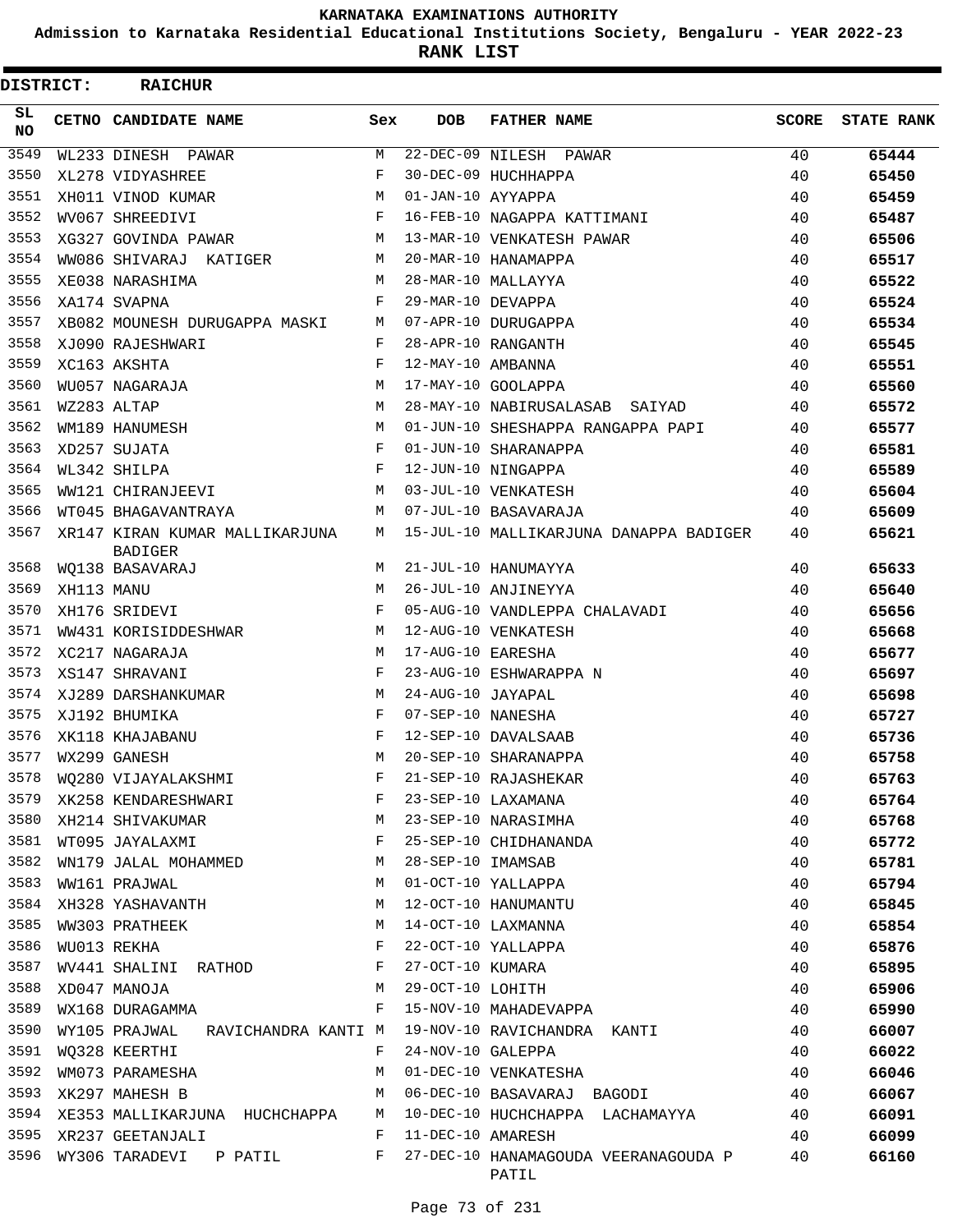**Admission to Karnataka Residential Educational Institutions Society, Bengaluru - YEAR 2022-23**

**RANK LIST**

| <b>DISTRICT:</b> |            | <b>RAICHUR</b>                                   |              |                   |                                               |              |                   |
|------------------|------------|--------------------------------------------------|--------------|-------------------|-----------------------------------------------|--------------|-------------------|
| SL.<br>NO.       |            | CETNO CANDIDATE NAME                             | Sex          | <b>DOB</b>        | <b>FATHER NAME</b>                            | <b>SCORE</b> | <b>STATE RANK</b> |
| 3549             |            | WL233 DINESH PAWAR                               | M            |                   | 22-DEC-09 NILESH PAWAR                        | 40           | 65444             |
| 3550             |            | XL278 VIDYASHREE                                 | F            |                   | 30-DEC-09 HUCHHAPPA                           | 40           | 65450             |
| 3551             |            | XH011 VINOD KUMAR                                | M            | 01-JAN-10 AYYAPPA |                                               | 40           | 65459             |
| 3552             |            | WV067 SHREEDIVI                                  | F            |                   | 16-FEB-10 NAGAPPA KATTIMANI                   | 40           | 65487             |
| 3553             |            | XG327 GOVINDA PAWAR                              | M            |                   | 13-MAR-10 VENKATESH PAWAR                     | 40           | 65506             |
| 3554             |            | WW086 SHIVARAJ KATIGER                           | M            |                   | 20-MAR-10 HANAMAPPA                           | 40           | 65517             |
| 3555             |            | XE038 NARASHIMA                                  | M            |                   | 28-MAR-10 MALLAYYA                            | 40           | 65522             |
| 3556             |            | XA174 SVAPNA                                     | F            | 29-MAR-10 DEVAPPA |                                               | 40           | 65524             |
| 3557             |            | XB082 MOUNESH DURUGAPPA MASKI M                  |              |                   | 07-APR-10 DURUGAPPA                           | 40           | 65534             |
| 3558             |            | XJ090 RAJESHWARI                                 | F            |                   | 28-APR-10 RANGANTH                            | 40           | 65545             |
| 3559             |            | XC163 AKSHTA                                     | F            | 12-MAY-10 AMBANNA |                                               | 40           | 65551             |
| 3560             |            | WU057 NAGARAJA                                   | M            |                   | 17-MAY-10 GOOLAPPA                            | 40           | 65560             |
| 3561             |            | WZ283 ALTAP                                      | M            |                   | 28-MAY-10 NABIRUSALASAB SAIYAD                | 40           | 65572             |
| 3562             |            | WM189 HANUMESH                                   | M            |                   | 01-JUN-10 SHESHAPPA RANGAPPA PAPI             | 40           | 65577             |
| 3563             |            | XD257 SUJATA                                     | F            |                   | 01-JUN-10 SHARANAPPA                          | 40           | 65581             |
| 3564             |            | WL342 SHILPA                                     | $_{\rm F}$   |                   | 12-JUN-10 NINGAPPA                            | 40           | 65589             |
| 3565             |            | WW121 CHIRANJEEVI                                | M            |                   | 03-JUL-10 VENKATESH                           | 40           | 65604             |
| 3566             |            | WT045 BHAGAVANTRAYA                              | $M_{\odot}$  |                   | 07-JUL-10 BASAVARAJA                          | 40           | 65609             |
| 3567             |            | XR147 KIRAN KUMAR MALLIKARJUNA<br><b>BADIGER</b> | M            |                   | 15-JUL-10 MALLIKARJUNA DANAPPA BADIGER        | 40           | 65621             |
| 3568             |            | WQ138 BASAVARAJ                                  | M            |                   | 21-JUL-10 HANUMAYYA                           | 40           | 65633             |
| 3569             | XH113 MANU |                                                  | M            |                   | 26-JUL-10 ANJINEYYA                           | 40           | 65640             |
| 3570             |            | XH176 SRIDEVI                                    | $\mathbf{F}$ |                   | 05-AUG-10 VANDLEPPA CHALAVADI                 | 40           | 65656             |
| 3571             |            | WW431 KORISIDDESHWAR                             | M            |                   | 12-AUG-10 VENKATESH                           | 40           | 65668             |
| 3572             |            | XC217 NAGARAJA                                   | M            | 17-AUG-10 EARESHA |                                               | 40           | 65677             |
| 3573             |            | XS147 SHRAVANI                                   | F            |                   | 23-AUG-10 ESHWARAPPA N                        | 40           | 65697             |
| 3574             |            | XJ289 DARSHANKUMAR                               | М            | 24-AUG-10 JAYAPAL |                                               | 40           | 65698             |
| 3575             |            | XJ192 BHUMIKA                                    | F            | 07-SEP-10 NANESHA |                                               | 40           | 65727             |
| 3576             |            | XK118 KHAJABANU                                  | F            |                   | 12-SEP-10 DAVALSAAB                           | 40           | 65736             |
| 3577             |            | WX299 GANESH                                     | M            |                   | 20-SEP-10 SHARANAPPA                          | 40           | 65758             |
| 3578             |            | WQ280 VIJAYALAKSHMI                              | F            |                   | 21-SEP-10 RAJASHEKAR                          | 40           | 65763             |
| 3579             |            | XK258 KENDARESHWARI                              | F            |                   | 23-SEP-10 LAXAMANA                            | 40           | 65764             |
| 3580             |            | XH214 SHIVAKUMAR                                 | М            |                   | 23-SEP-10 NARASIMHA                           | 40           | 65768             |
| 3581             |            | WT095 JAYALAXMI                                  | F            |                   | 25-SEP-10 CHIDHANANDA                         | 40           | 65772             |
| 3582             |            | WN179 JALAL MOHAMMED                             | M            | 28-SEP-10 IMAMSAB |                                               | 40           | 65781             |
| 3583             |            | WW161 PRAJWAL                                    | M            |                   | 01-OCT-10 YALLAPPA                            | 40           | 65794             |
| 3584             |            | XH328 YASHAVANTH                                 | М            |                   | 12-OCT-10 HANUMANTU                           | 40           | 65845             |
| 3585             |            | WW303 PRATHEEK                                   | М            |                   | 14-OCT-10 LAXMANNA                            | 40           | 65854             |
| 3586             |            | WU013 REKHA                                      | F            |                   | 22-OCT-10 YALLAPPA                            | 40           | 65876             |
| 3587             |            | WV441 SHALINI RATHOD                             | F            | 27-OCT-10 KUMARA  |                                               | 40           | 65895             |
| 3588             |            | XD047 MANOJA                                     | М            | 29-OCT-10 LOHITH  |                                               | 40           | 65906             |
| 3589             |            | WX168 DURAGAMMA                                  | F            |                   | 15-NOV-10 MAHADEVAPPA                         | 40           | 65990             |
| 3590             |            | WY105 PRAJWAL RAVICHANDRA KANTI M                |              |                   | 19-NOV-10 RAVICHANDRA KANTI                   | 40           | 66007             |
| 3591             |            | WQ328 KEERTHI                                    | F            | 24-NOV-10 GALEPPA |                                               | 40           | 66022             |
| 3592             |            | WM073 PARAMESHA                                  | М            |                   | 01-DEC-10 VENKATESHA                          | 40           | 66046             |
| 3593             |            | XK297 MAHESH B                                   | М            |                   | 06-DEC-10 BASAVARAJ BAGODI                    | 40           | 66067             |
| 3594             |            | XE353 MALLIKARJUNA HUCHCHAPPA                    | М            |                   | 10-DEC-10 HUCHCHAPPA LACHAMAYYA               | 40           | 66091             |
| 3595             |            | XR237 GEETANJALI                                 | F            | 11-DEC-10 AMARESH |                                               | 40           | 66099             |
| 3596             |            | WY306 TARADEVI P PATIL                           | F            |                   | 27-DEC-10 HANAMAGOUDA VEERANAGOUDA P<br>PATIL | 40           | 66160             |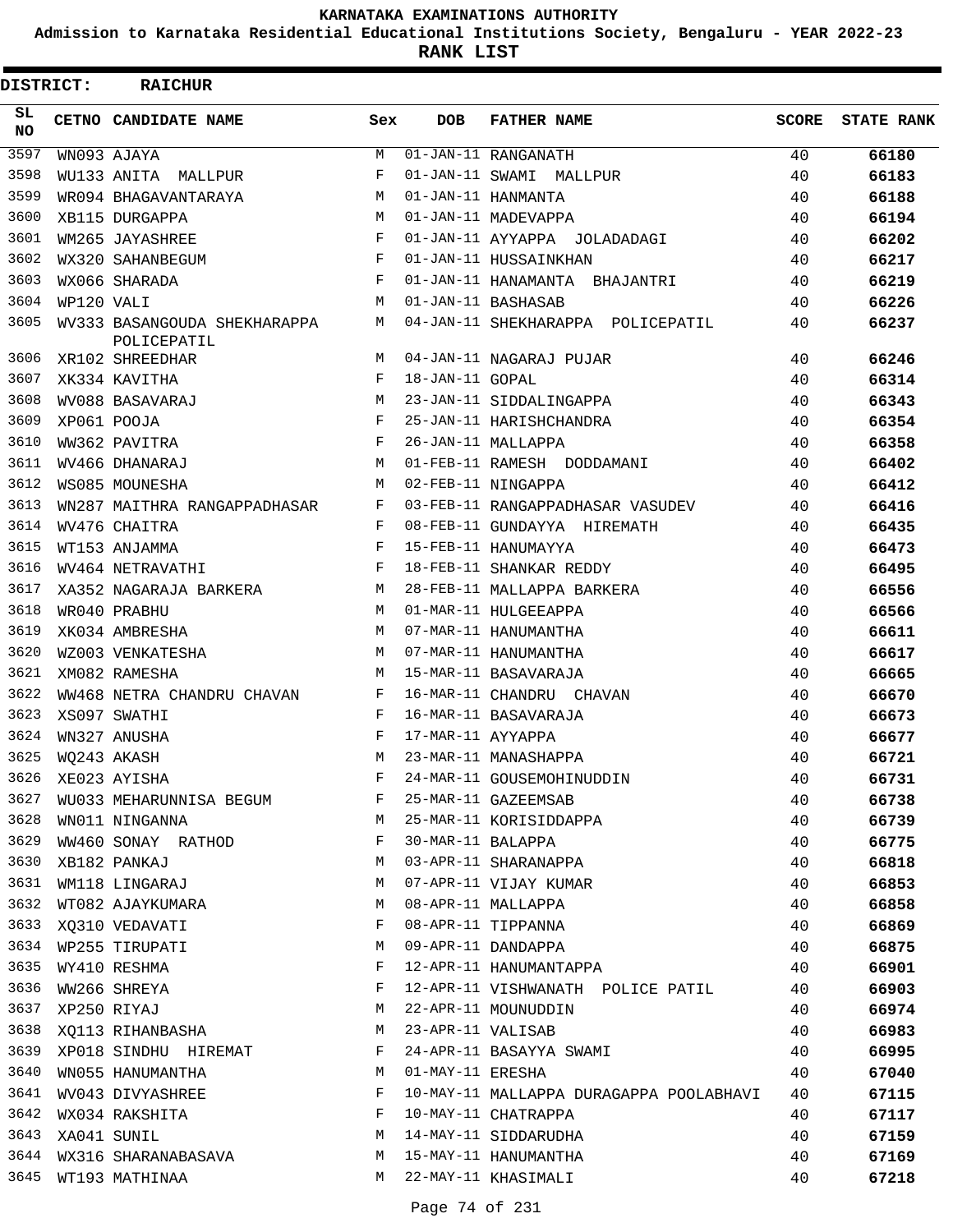**Admission to Karnataka Residential Educational Institutions Society, Bengaluru - YEAR 2022-23**

**RANK LIST**

| <b>DISTRICT:</b> |            | <b>RAICHUR</b>                              |     |                   |                                         |       |                   |
|------------------|------------|---------------------------------------------|-----|-------------------|-----------------------------------------|-------|-------------------|
| SL.<br><b>NO</b> |            | CETNO CANDIDATE NAME                        | Sex | <b>DOB</b>        | <b>FATHER NAME</b>                      | SCORE | <b>STATE RANK</b> |
| 3597             |            | WN093 AJAYA                                 | М   |                   | 01-JAN-11 RANGANATH                     | 40    | 66180             |
| 3598             |            | WU133 ANITA MALLPUR                         | F   |                   | 01-JAN-11 SWAMI MALLPUR                 | 40    | 66183             |
| 3599             |            | WR094 BHAGAVANTARAYA                        | M   |                   | 01-JAN-11 HANMANTA                      | 40    | 66188             |
| 3600             |            | XB115 DURGAPPA                              | M   |                   | 01-JAN-11 MADEVAPPA                     | 40    | 66194             |
| 3601             |            | WM265 JAYASHREE                             | F   |                   | 01-JAN-11 AYYAPPA JOLADADAGI            | 40    | 66202             |
| 3602             |            | WX320 SAHANBEGUM                            | F   |                   | 01-JAN-11 HUSSAINKHAN                   | 40    | 66217             |
| 3603             |            | WX066 SHARADA                               | F   |                   | 01-JAN-11 HANAMANTA BHAJANTRI           | 40    | 66219             |
| 3604             | WP120 VALI |                                             | M   |                   | 01-JAN-11 BASHASAB                      | 40    | 66226             |
| 3605             |            | WV333 BASANGOUDA SHEKHARAPPA<br>POLICEPATIL | М   |                   | 04-JAN-11 SHEKHARAPPA POLICEPATIL       | 40    | 66237             |
| 3606             |            | XR102 SHREEDHAR                             | M   |                   | 04-JAN-11 NAGARAJ PUJAR                 | 40    | 66246             |
| 3607             |            | XK334 KAVITHA                               | F   | 18-JAN-11 GOPAL   |                                         | 40    | 66314             |
| 3608             |            | WV088 BASAVARAJ                             | M   |                   | 23-JAN-11 SIDDALINGAPPA                 | 40    | 66343             |
| 3609             |            | XP061 POOJA                                 | F   |                   | 25-JAN-11 HARISHCHANDRA                 | 40    | 66354             |
| 3610             |            | WW362 PAVITRA                               | F   |                   | 26-JAN-11 MALLAPPA                      | 40    | 66358             |
| 3611             |            | WV466 DHANARAJ                              | M   |                   | 01-FEB-11 RAMESH DODDAMANI              | 40    | 66402             |
| 3612             |            | WS085 MOUNESHA                              | M   |                   | 02-FEB-11 NINGAPPA                      | 40    | 66412             |
| 3613             |            | WN287 MAITHRA RANGAPPADHASAR                | F   |                   | 03-FEB-11 RANGAPPADHASAR VASUDEV        | 40    | 66416             |
| 3614             |            | WV476 CHAITRA                               | F   |                   | 08-FEB-11 GUNDAYYA HIREMATH             | 40    | 66435             |
| 3615             |            | WT153 ANJAMMA                               | F   |                   | 15-FEB-11 HANUMAYYA                     | 40    | 66473             |
| 3616             |            | WV464 NETRAVATHI                            | F   |                   | 18-FEB-11 SHANKAR REDDY                 | 40    | 66495             |
| 3617             |            | XA352 NAGARAJA BARKERA                      | M   |                   | 28-FEB-11 MALLAPPA BARKERA              | 40    | 66556             |
| 3618             |            | WR040 PRABHU                                | M   |                   | 01-MAR-11 HULGEEAPPA                    | 40    | 66566             |
| 3619             |            | XK034 AMBRESHA                              | M   |                   | 07-MAR-11 HANUMANTHA                    | 40    | 66611             |
| 3620             |            | WZ003 VENKATESHA                            | M   |                   | 07-MAR-11 HANUMANTHA                    | 40    | 66617             |
| 3621             |            | XM082 RAMESHA                               | M   |                   | 15-MAR-11 BASAVARAJA                    | 40    | 66665             |
| 3622             |            | WW468 NETRA CHANDRU CHAVAN                  | F   |                   | 16-MAR-11 CHANDRU CHAVAN                | 40    | 66670             |
| 3623             |            | XS097 SWATHI                                | F   |                   | 16-MAR-11 BASAVARAJA                    | 40    | 66673             |
| 3624             |            | WN327 ANUSHA                                | F   | 17-MAR-11 AYYAPPA |                                         | 40    | 66677             |
| 3625             |            | WQ243 AKASH                                 | М   |                   | 23-MAR-11 MANASHAPPA                    | 40    | 66721             |
| 3626             |            | XE023 AYISHA                                | F   |                   | 24-MAR-11 GOUSEMOHINUDDIN               | 40    | 66731             |
| 3627             |            | WU033 MEHARUNNISA BEGUM                     | F   |                   | 25-MAR-11 GAZEEMSAB                     | 40    | 66738             |
| 3628             |            | WN011 NINGANNA                              | М   |                   | 25-MAR-11 KORISIDDAPPA                  | 40    | 66739             |
| 3629             |            | WW460 SONAY RATHOD                          | F   | 30-MAR-11 BALAPPA |                                         | 40    | 66775             |
| 3630             |            | XB182 PANKAJ                                | М   |                   | 03-APR-11 SHARANAPPA                    | 40    | 66818             |
| 3631             |            | WM118 LINGARAJ                              | М   |                   | 07-APR-11 VIJAY KUMAR                   | 40    | 66853             |
| 3632             |            | WT082 AJAYKUMARA                            | М   |                   | 08-APR-11 MALLAPPA                      | 40    | 66858             |
| 3633             |            | XQ310 VEDAVATI                              | F   |                   | 08-APR-11 TIPPANNA                      | 40    | 66869             |
| 3634             |            | WP255 TIRUPATI                              | М   |                   | 09-APR-11 DANDAPPA                      | 40    | 66875             |
| 3635             |            | WY410 RESHMA                                | F   |                   | 12-APR-11 HANUMANTAPPA                  | 40    | 66901             |
| 3636             |            | WW266 SHREYA                                | F   |                   | 12-APR-11 VISHWANATH POLICE PATIL       | 40    | 66903             |
| 3637             |            | XP250 RIYAJ                                 | М   |                   | 22-APR-11 MOUNUDDIN                     | 40    | 66974             |
| 3638             |            | XO113 RIHANBASHA                            | М   | 23-APR-11 VALISAB |                                         | 40    | 66983             |
| 3639             |            | XP018 SINDHU HIREMAT                        | F   |                   | 24-APR-11 BASAYYA SWAMI                 | 40    | 66995             |
| 3640             |            | WN055 HANUMANTHA                            | М   | 01-MAY-11 ERESHA  |                                         | 40    | 67040             |
| 3641             |            | WV043 DIVYASHREE                            | F   |                   | 10-MAY-11 MALLAPPA DURAGAPPA POOLABHAVI | 40    | 67115             |
| 3642             |            | WX034 RAKSHITA                              | F   |                   | 10-MAY-11 CHATRAPPA                     | 40    | 67117             |
| 3643             |            | XA041 SUNIL                                 | М   |                   | 14-MAY-11 SIDDARUDHA                    | 40    | 67159             |
| 3644             |            | WX316 SHARANABASAVA                         | М   |                   | 15-MAY-11 HANUMANTHA                    | 40    | 67169             |
| 3645             |            | WT193 MATHINAA                              | M   |                   | 22-MAY-11 KHASIMALI                     | 40    | 67218             |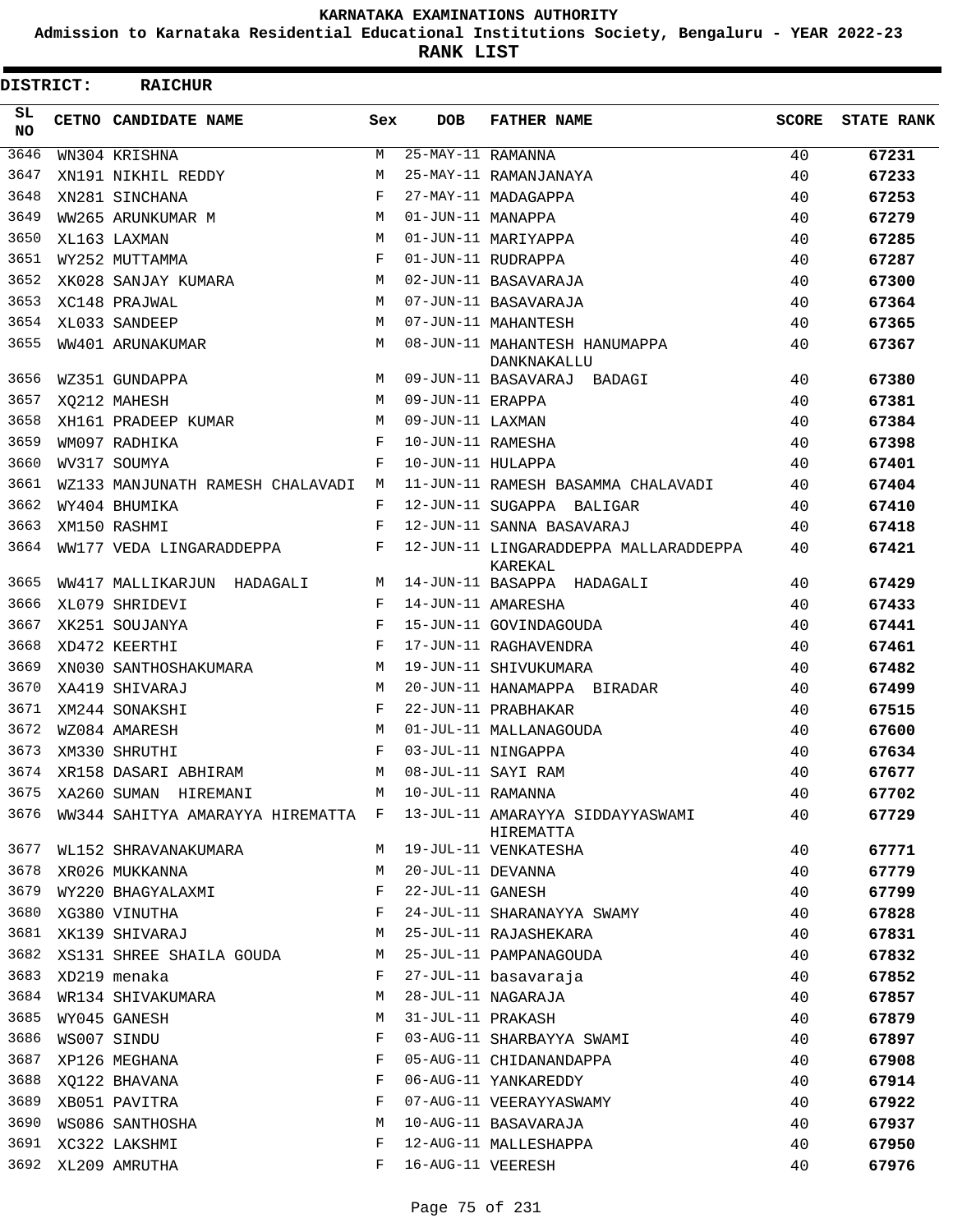**Admission to Karnataka Residential Educational Institutions Society, Bengaluru - YEAR 2022-23**

**RANK LIST**

| DISTRICT:  | <b>RAICHUR</b>                                |            |                   |                                                                                       |              |                   |
|------------|-----------------------------------------------|------------|-------------------|---------------------------------------------------------------------------------------|--------------|-------------------|
| SL.<br>NO. | CETNO CANDIDATE NAME                          | Sex        | <b>DOB</b>        | <b>FATHER NAME</b>                                                                    | <b>SCORE</b> | <b>STATE RANK</b> |
| 3646       | WN304 KRISHNA                                 | М          | 25-MAY-11 RAMANNA |                                                                                       | 40           | 67231             |
| 3647       | XN191 NIKHIL REDDY                            | M          |                   | 25-MAY-11 RAMANJANAYA                                                                 | 40           | 67233             |
| 3648       | XN281 SINCHANA                                | $_{\rm F}$ |                   | 27-MAY-11 MADAGAPPA                                                                   | 40           | 67253             |
| 3649       | WW265 ARUNKUMAR M                             | M          | 01-JUN-11 MANAPPA |                                                                                       | 40           | 67279             |
| 3650       | XL163 LAXMAN                                  | M          |                   | 01-JUN-11 MARIYAPPA                                                                   | 40           | 67285             |
| 3651       | WY252 MUTTAMMA                                | $_{\rm F}$ |                   | 01-JUN-11 RUDRAPPA                                                                    | 40           | 67287             |
| 3652       | XK028 SANJAY KUMARA                           | M          |                   | 02-JUN-11 BASAVARAJA                                                                  | 40           | 67300             |
| 3653       | XC148 PRAJWAL                                 | M          |                   | 07-JUN-11 BASAVARAJA                                                                  | 40           | 67364             |
| 3654       | XL033 SANDEEP                                 | M          |                   | 07-JUN-11 MAHANTESH                                                                   | 40           | 67365             |
| 3655       | WW401 ARUNAKUMAR                              | M          |                   | 08-JUN-11 MAHANTESH HANUMAPPA<br>DANKNAKALLU                                          | 40           | 67367             |
| 3656       | WZ351 GUNDAPPA                                | M          |                   | 09-JUN-11 BASAVARAJ BADAGI                                                            | 40           | 67380             |
| 3657       | XQ212 MAHESH                                  | M          | 09-JUN-11 ERAPPA  |                                                                                       | 40           | 67381             |
| 3658       | XH161 PRADEEP KUMAR                           | M          | 09-JUN-11 LAXMAN  |                                                                                       | 40           | 67384             |
| 3659       | WM097 RADHIKA                                 | $_{\rm F}$ | 10-JUN-11 RAMESHA |                                                                                       | 40           | 67398             |
| 3660       | WV317 SOUMYA                                  | F          | 10-JUN-11 HULAPPA |                                                                                       | 40           | 67401             |
| 3661       | WZ133 MANJUNATH RAMESH CHALAVADI M            |            |                   | 11-JUN-11 RAMESH BASAMMA CHALAVADI                                                    | 40           | 67404             |
| 3662       | WY404 BHUMIKA                                 | F          |                   | 12-JUN-11 SUGAPPA BALIGAR                                                             | 40           | 67410             |
| 3663       | XM150 RASHMI                                  | F          |                   | 12-JUN-11 SANNA BASAVARAJ                                                             | 40           | 67418             |
| 3664       | WW177 VEDA LINGARADDEPPA                      | F          |                   | 12-JUN-11 LINGARADDEPPA MALLARADDEPPA<br>KAREKAL                                      | 40           | 67421             |
| 3665       | WW417 MALLIKARJUN HADAGALI                    | M          |                   | 14-JUN-11 BASAPPA HADAGALI                                                            | 40           | 67429             |
| 3666       | XL079 SHRIDEVI                                | F          |                   | 14-JUN-11 AMARESHA                                                                    | 40           | 67433             |
| 3667       | XK251 SOUJANYA                                | F          |                   | 15-JUN-11 GOVINDAGOUDA                                                                | 40           | 67441             |
| 3668       | XD472 KEERTHI                                 | $_{\rm F}$ |                   | 17-JUN-11 RAGHAVENDRA                                                                 | 40           | 67461             |
| 3669       | XN030 SANTHOSHAKUMARA                         | M          |                   | 19-JUN-11 SHIVUKUMARA                                                                 | 40           | 67482             |
| 3670       | XA419 SHIVARAJ                                | M          |                   | 20-JUN-11 HANAMAPPA BIRADAR                                                           | 40           | 67499             |
| 3671       | XM244 SONAKSHI                                | F          |                   | 22-JUN-11 PRABHAKAR                                                                   | 40           | 67515             |
| 3672       | WZ084 AMARESH                                 | M          |                   | 01-JUL-11 MALLANAGOUDA                                                                | 40           | 67600             |
| 3673       | XM330 SHRUTHI                                 | F          |                   | 03-JUL-11 NINGAPPA                                                                    | 40           | 67634             |
| 3674       | XR158 DASARI ABHIRAM                          |            |                   | M 08-JUL-11 SAYI RAM                                                                  | 40           | 67677             |
|            | 3675 XA260 SUMAN HIREMANI M 10-JUL-11 RAMANNA |            |                   |                                                                                       | 40           | 67702             |
|            |                                               |            |                   | 3676 WW344 SAHITYA AMARAYYA HIREMATTA F 13-JUL-11 AMARAYYA SIDDAYYASWAMI<br>HIREMATTA | 40           | 67729             |
|            | 3677 WL152 SHRAVANAKUMARA                     |            |                   | M 19-JUL-11 VENKATESHA                                                                | 40           | 67771             |
| 3678       | XR026 MUKKANNA                                | M          | 20-JUL-11 DEVANNA |                                                                                       | 40           | 67779             |
| 3679       | WY220 BHAGYALAXMI                             | F          | 22-JUL-11 GANESH  |                                                                                       | 40           | 67799             |
|            | 3680 XG380 VINUTHA                            | F          |                   | 24-JUL-11 SHARANAYYA SWAMY                                                            | 40           | 67828             |
|            | 3681 XK139 SHIVARAJ                           | М          |                   | 25-JUL-11 RAJASHEKARA                                                                 | 40           | 67831             |
|            | 3682 XS131 SHREE SHAILA GOUDA                 | М          |                   | 25-JUL-11 PAMPANAGOUDA                                                                | 40           | 67832             |
| 3683       | XD219 menaka                                  | F          |                   | 27-JUL-11 basavaraja                                                                  | 40           | 67852             |
|            | 3684 WR134 SHIVAKUMARA                        | M          |                   | 28-JUL-11 NAGARAJA                                                                    | 40           | 67857             |
| 3685       | WY045 GANESH                                  | М          |                   | 31-JUL-11 PRAKASH                                                                     | 40           | 67879             |
| 3686       | WS007 SINDU                                   | F          |                   | 03-AUG-11 SHARBAYYA SWAMI                                                             | 40           | 67897             |
| 3687       | XP126 MEGHANA                                 | F          |                   | 05-AUG-11 CHIDANANDAPPA                                                               | 40           | 67908             |
| 3688       | XQ122 BHAVANA                                 | F          |                   | 06-AUG-11 YANKAREDDY                                                                  | 40           | 67914             |
| 3689       | XB051 PAVITRA                                 | F          |                   | 07-AUG-11 VEERAYYASWAMY                                                               | 40           | 67922             |
| 3690       | WS086 SANTHOSHA                               | M          |                   | 10-AUG-11 BASAVARAJA                                                                  | 40           | 67937             |
|            | 3691 XC322 LAKSHMI                            | F          |                   | 12-AUG-11 MALLESHAPPA                                                                 | 40           | 67950             |
|            | 3692 XL209 AMRUTHA                            | F          | 16-AUG-11 VEERESH |                                                                                       | 40           | 67976             |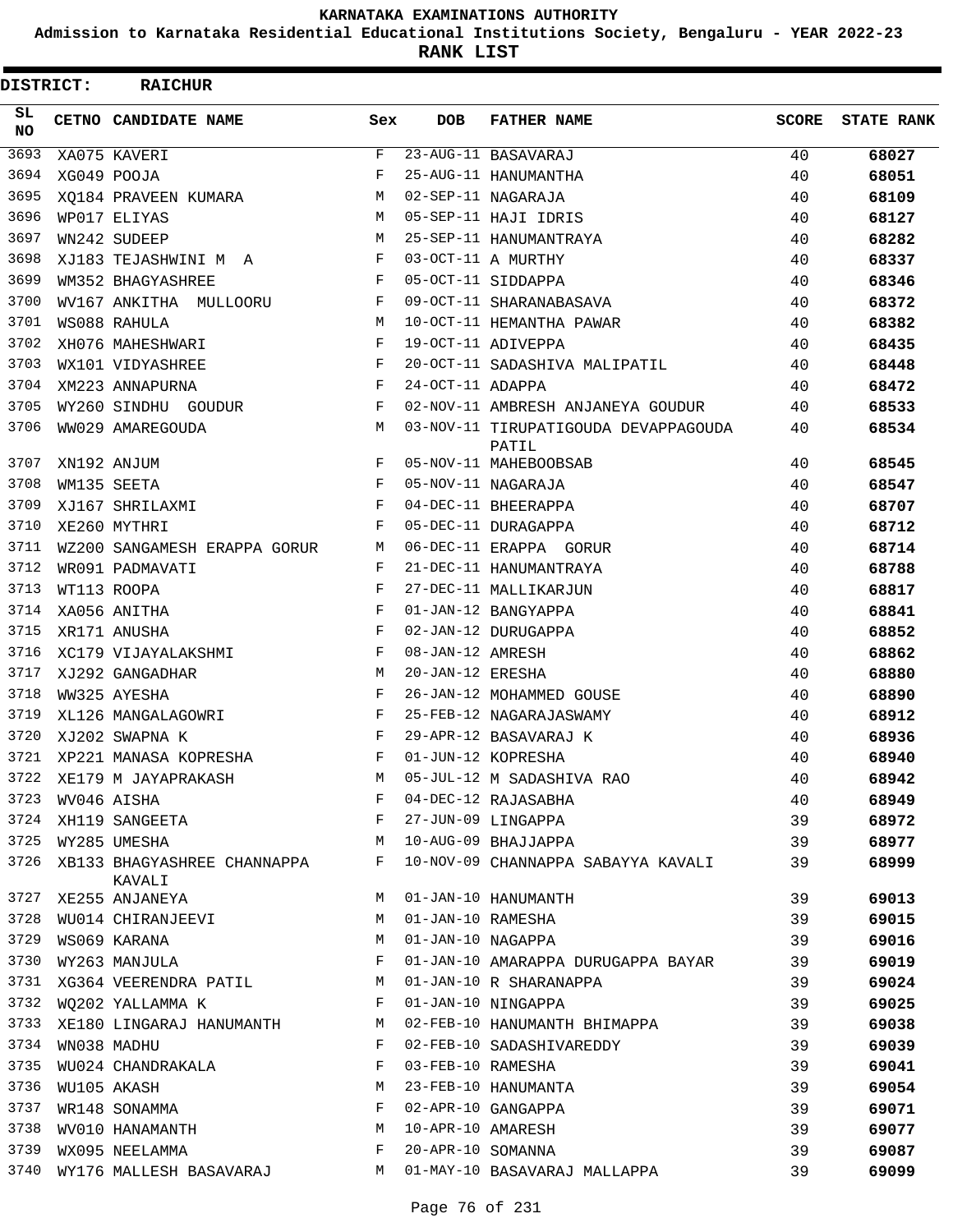**Admission to Karnataka Residential Educational Institutions Society, Bengaluru - YEAR 2022-23**

**RANK LIST**

| DISTRICT:        | <b>RAICHUR</b>                                                     |              |                   |                                                                  |              |                   |
|------------------|--------------------------------------------------------------------|--------------|-------------------|------------------------------------------------------------------|--------------|-------------------|
| SL.<br><b>NO</b> | CETNO CANDIDATE NAME                                               | Sex          | <b>DOB</b>        | <b>FATHER NAME</b>                                               | <b>SCORE</b> | <b>STATE RANK</b> |
| 3693             | XA075 KAVERI                                                       | F            |                   | 23-AUG-11 BASAVARAJ                                              | 40           | 68027             |
| 3694             | XG049 POOJA                                                        | F            |                   | 25-AUG-11 HANUMANTHA                                             | 40           | 68051             |
| 3695             | XO184 PRAVEEN KUMARA                                               | M            |                   | 02-SEP-11 NAGARAJA                                               | 40           | 68109             |
| 3696             | WP017 ELIYAS                                                       | M            |                   | 05-SEP-11 HAJI IDRIS                                             | 40           | 68127             |
| 3697             | WN242 SUDEEP                                                       | M            |                   | 25-SEP-11 HANUMANTRAYA                                           | 40           | 68282             |
| 3698             | XJ183 TEJASHWINI M A                                               | F            |                   | 03-OCT-11 A MURTHY                                               | 40           | 68337             |
| 3699             | WM352 BHAGYASHREE                                                  | F            |                   | 05-OCT-11 SIDDAPPA                                               | 40           | 68346             |
| 3700             | WV167 ANKITHA MULLOORU                                             | F            |                   | 09-OCT-11 SHARANABASAVA                                          | 40           | 68372             |
| 3701             | WS088 RAHULA                                                       | M            |                   | 10-OCT-11 HEMANTHA PAWAR                                         | 40           | 68382             |
| 3702             | XH076 MAHESHWARI                                                   | F            |                   | 19-OCT-11 ADIVEPPA                                               | 40           | 68435             |
| 3703             | WX101 VIDYASHREE                                                   | F            |                   | 20-OCT-11 SADASHIVA MALIPATIL                                    | 40           | 68448             |
| 3704             | XM223 ANNAPURNA                                                    | F            | 24-OCT-11 ADAPPA  |                                                                  | 40           | 68472             |
| 3705             | WY260 SINDHU GOUDUR                                                | F            |                   | 02-NOV-11 AMBRESH ANJANEYA GOUDUR                                | 40           | 68533             |
| 3706             | WW029 AMAREGOUDA                                                   | M            |                   | 03-NOV-11 TIRUPATIGOUDA DEVAPPAGOUDA<br>PATIL                    | 40           | 68534             |
| 3707             | XN192 ANJUM                                                        | F            |                   | 05-NOV-11 MAHEBOOBSAB                                            | 40           | 68545             |
| 3708             | WM135 SEETA                                                        | $_{\rm F}$   |                   | 05-NOV-11 NAGARAJA                                               | 40           | 68547             |
| 3709             | XJ167 SHRILAXMI                                                    | F            |                   | 04-DEC-11 BHEERAPPA                                              | 40           | 68707             |
| 3710             | XE260 MYTHRI                                                       | F            |                   | 05-DEC-11 DURAGAPPA                                              | 40           | 68712             |
| 3711             | WZ200 SANGAMESH ERAPPA GORUR                                       | M            |                   | 06-DEC-11 ERAPPA GORUR                                           | 40           | 68714             |
| 3712             | WR091 PADMAVATI                                                    | F            |                   | 21-DEC-11 HANUMANTRAYA                                           | 40           | 68788             |
| 3713             | WT113 ROOPA                                                        | F            |                   | 27-DEC-11 MALLIKARJUN                                            | 40           | 68817             |
| 3714             | XA056 ANITHA                                                       | F            |                   | 01-JAN-12 BANGYAPPA                                              | 40           | 68841             |
| 3715             | XR171 ANUSHA                                                       | F            |                   | 02-JAN-12 DURUGAPPA                                              | 40           | 68852             |
| 3716             | XC179 VIJAYALAKSHMI                                                | F            | 08-JAN-12 AMRESH  |                                                                  | 40           | 68862             |
| 3717             | XJ292 GANGADHAR                                                    | M            | 20-JAN-12 ERESHA  |                                                                  | 40           | 68880             |
| 3718             | WW325 AYESHA                                                       | F            |                   | 26-JAN-12 MOHAMMED GOUSE                                         | 40           | 68890             |
| 3719             | XL126 MANGALAGOWRI                                                 | F            |                   | 25-FEB-12 NAGARAJASWAMY                                          | 40           | 68912             |
| 3720             | XJ202 SWAPNA K                                                     | F            |                   | 29-APR-12 BASAVARAJ K                                            | 40           | 68936             |
| 3721             | XP221 MANASA KOPRESHA                                              | F            |                   | 01-JUN-12 KOPRESHA                                               | 40           | 68940             |
| 3722             | XE179 M JAYAPRAKASH                                                | М            |                   | 05-JUL-12 M SADASHIVA RAO                                        | 40           | 68942             |
| 3723             |                                                                    | F            |                   |                                                                  | 40           | 68949             |
| 3724             |                                                                    | F            |                   |                                                                  | 39           | 68972             |
|                  | WV046 AISHA<br>XH119 SANGEETA<br>WY285 UMESHA<br>3725 WY285 UMESHA | M            |                   | 04-DEC-12 RAJASABHA<br>27-JUN-09 LINGAPPA<br>10-AUG-09 BHAJJAPPA | 39           | 68977             |
| 3726             | XB133 BHAGYASHREE CHANNAPPA F<br>KAVALI                            |              |                   | 10-NOV-09 CHANNAPPA SABAYYA KAVALI                               | 39           | 68999             |
|                  | 3727 XE255 ANJANEYA                                                | M            |                   | 01-JAN-10 HANUMANTH                                              | 39           | 69013             |
| 3728             | WU014 CHIRANJEEVI                                                  | M            | 01-JAN-10 RAMESHA |                                                                  | 39           | 69015             |
| 3729             | WS069 KARANA                                                       | M            |                   | 01-JAN-10 NAGAPPA                                                | 39           | 69016             |
|                  | 3730 WY263 MANJULA                                                 | F            |                   | 01-JAN-10 AMARAPPA DURUGAPPA BAYAR                               | 39           | 69019             |
|                  | 3731 XG364 VEERENDRA PATIL M                                       |              |                   | 01-JAN-10 R SHARANAPPA                                           | 39           | 69024             |
| 3732             | WQ202 YALLAMMA K                                                   | $\mathbf{F}$ |                   | 01-JAN-10 NINGAPPA                                               | 39           | 69025             |
| 3733             | XE180 LINGARAJ HANUMANTH                                           | М            |                   | 02-FEB-10 HANUMANTH BHIMAPPA                                     | 39           | 69038             |
| 3734             | WN038 MADHU                                                        | F            |                   | 02-FEB-10 SADASHIVAREDDY                                         | 39           | 69039             |
| 3735             |                                                                    | F            | 03-FEB-10 RAMESHA |                                                                  | 39           | 69041             |
| 3736             | WU024 CHANDRAKALA                                                  | М            |                   | 23-FEB-10 HANUMANTA                                              | 39           | 69054             |
| 3737             | WU105 AKASH<br>WR148 SONAMMA                                       | $\mathbf{F}$ |                   | 02-APR-10 GANGAPPA                                               | 39           | 69071             |
| 3738             | WV010 HANAMANTH                                                    | M            |                   | 10-APR-10 AMARESH                                                | 39           | 69077             |
| 3739             | WX095 NEELAMMA                                                     | F            | 20-APR-10 SOMANNA |                                                                  | 39           | 69087             |
| 3740             | WY176 MALLESH BASAVARAJ                                            | М            |                   | 01-MAY-10 BASAVARAJ MALLAPPA                                     | 39           | 69099             |
|                  |                                                                    |              |                   |                                                                  |              |                   |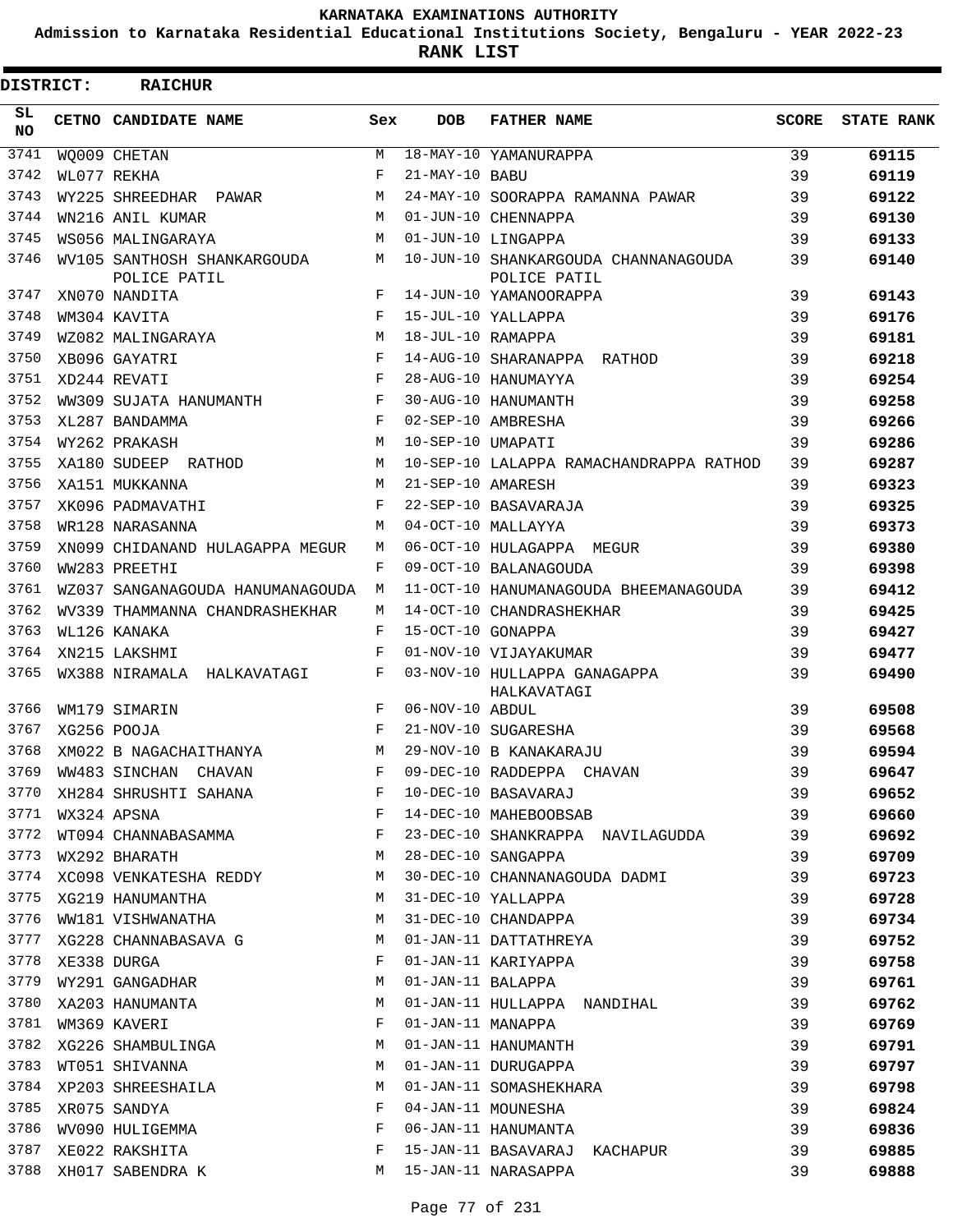**Admission to Karnataka Residential Educational Institutions Society, Bengaluru - YEAR 2022-23**

**RANK LIST**

| DISTRICT:  | <b>RAICHUR</b>                                      |              |                   |                                                      |              |                   |
|------------|-----------------------------------------------------|--------------|-------------------|------------------------------------------------------|--------------|-------------------|
| SL.<br>NO. | CETNO CANDIDATE NAME                                | Sex          | <b>DOB</b>        | <b>FATHER NAME</b>                                   | <b>SCORE</b> | <b>STATE RANK</b> |
| 3741       | WQ009 CHETAN                                        | M            |                   | 18-MAY-10 YAMANURAPPA                                | 39           | 69115             |
| 3742       | WL077 REKHA                                         | F            | 21-MAY-10 BABU    |                                                      | 39           | 69119             |
| 3743       | WY225 SHREEDHAR PAWAR                               | M            |                   | 24-MAY-10 SOORAPPA RAMANNA PAWAR                     | 39           | 69122             |
| 3744       | WN216 ANIL KUMAR                                    | M            |                   | 01-JUN-10 CHENNAPPA                                  | 39           | 69130             |
| 3745       | WS056 MALINGARAYA                                   | M            |                   | 01-JUN-10 LINGAPPA                                   | 39           | 69133             |
| 3746       | WV105 SANTHOSH SHANKARGOUDA<br>POLICE PATIL         | М            |                   | 10-JUN-10 SHANKARGOUDA CHANNANAGOUDA<br>POLICE PATIL | 39           | 69140             |
| 3747       | XN070 NANDITA                                       | F            |                   | 14-JUN-10 YAMANOORAPPA                               | 39           | 69143             |
| 3748       | WM304 KAVITA                                        | $_{\rm F}$   |                   | 15-JUL-10 YALLAPPA                                   | 39           | 69176             |
| 3749       | WZ082 MALINGARAYA                                   | M            | 18-JUL-10 RAMAPPA |                                                      | 39           | 69181             |
| 3750       | XB096 GAYATRI                                       | F            |                   | 14-AUG-10 SHARANAPPA RATHOD                          | 39           | 69218             |
| 3751       | XD244 REVATI                                        | F            |                   | 28-AUG-10 HANUMAYYA                                  | 39           | 69254             |
| 3752       | WW309 SUJATA HANUMANTH                              | F            |                   | 30-AUG-10 HANUMANTH                                  | 39           | 69258             |
| 3753       | XL287 BANDAMMA                                      | F            |                   | 02-SEP-10 AMBRESHA                                   | 39           | 69266             |
| 3754       | WY262 PRAKASH                                       | M            | 10-SEP-10 UMAPATI |                                                      | 39           | 69286             |
| 3755       | XA180 SUDEEP RATHOD                                 | M            |                   | 10-SEP-10 LALAPPA RAMACHANDRAPPA RATHOD              | 39           | 69287             |
| 3756       | XA151 MUKKANNA                                      | M            | 21-SEP-10 AMARESH |                                                      | 39           | 69323             |
| 3757       | XK096 PADMAVATHI                                    | F            |                   | 22-SEP-10 BASAVARAJA                                 | 39           | 69325             |
| 3758       | WR128 NARASANNA                                     | M            |                   | 04-OCT-10 MALLAYYA                                   | 39           | 69373             |
| 3759       | XN099 CHIDANAND HULAGAPPA MEGUR                     | М            |                   | 06-OCT-10 HULAGAPPA MEGUR                            | 39           | 69380             |
| 3760       | WW283 PREETHI                                       | F            |                   | 09-OCT-10 BALANAGOUDA                                | 39           | 69398             |
| 3761       | WZ037 SANGANAGOUDA HANUMANAGOUDA                    | М            |                   | 11-OCT-10 HANUMANAGOUDA BHEEMANAGOUDA                | 39           | 69412             |
| 3762       | WV339 THAMMANNA CHANDRASHEKHAR                      | М            |                   | 14-OCT-10 CHANDRASHEKHAR                             | 39           | 69425             |
| 3763       | WL126 KANAKA                                        | F            | 15-OCT-10 GONAPPA |                                                      | 39           | 69427             |
| 3764       | XN215 LAKSHMI                                       | F            |                   | 01-NOV-10 VIJAYAKUMAR                                | 39           | 69477             |
| 3765       | WX388 NIRAMALA HALKAVATAGI                          | F            |                   | 03-NOV-10 HULLAPPA GANAGAPPA<br>HALKAVATAGI          | 39           | 69490             |
| 3766       | WM179 SIMARIN                                       | F            | 06-NOV-10 ABDUL   |                                                      | 39           | 69508             |
| 3767       | XG256 POOJA                                         | F            |                   | 21-NOV-10 SUGARESHA                                  | 39           | 69568             |
| 3768       | XM022 B NAGACHAITHANYA                              | M            |                   | 29-NOV-10 B KANAKARAJU                               | 39           | 69594             |
| 3769       | WW483 SINCHAN CHAVAN                                |              |                   | F 09-DEC-10 RADDEPPA CHAVAN                          | 39           | 69647             |
|            | 3770 XH284 SHRUSHTI SAHANA F                        |              |                   | 10-DEC-10 BASAVARAJ                                  | 39           | 69652             |
| 3771       | $\mathbf F$ . The set of $\mathbf F$<br>WX324 APSNA |              |                   | 14-DEC-10 MAHEBOOBSAB                                | 39           | 69660             |
| 3772       | WT094 CHANNABASAMMA F                               |              |                   | 23-DEC-10 SHANKRAPPA NAVILAGUDDA 39                  |              | 69692             |
| 3773       | M<br>WX292 BHARATH                                  |              |                   | 28-DEC-10 SANGAPPA                                   | 39           | 69709             |
|            | 3774 XC098 VENKATESHA REDDY M                       |              |                   | 30-DEC-10 CHANNANAGOUDA DADMI                        | 39           | 69723             |
|            | 3775 XG219 HANUMANTHA M                             |              |                   | 31-DEC-10 YALLAPPA                                   | 39           | 69728             |
| 3776       | WW181 VISHWANATHA                                   | M            |                   | 31-DEC-10 CHANDAPPA                                  | 39           | 69734             |
|            | 3777 XG228 CHANNABASAVA G M                         |              |                   | 01-JAN-11 DATTATHREYA                                | 39           | 69752             |
|            | 3778 XE338 DURGA                                    | F            |                   | 01-JAN-11 KARIYAPPA                                  | 39           | 69758             |
| 3779       | WY291 GANGADHAR                                     | M            |                   | 01-JAN-11 BALAPPA                                    | 39           | 69761             |
| 3780       | XA203 HANUMANTA                                     | M            |                   | 01-JAN-11 HULLAPPA NANDIHAL                          | 39           | 69762             |
| 3781       | WM369 KAVERI                                        | $\mathbf{F}$ |                   | 01-JAN-11 MANAPPA                                    | 39           | 69769             |
|            | 3782 XG226 SHAMBULINGA                              | M            |                   | 01-JAN-11 HANUMANTH                                  | 39           | 69791             |
| 3783       | WT051 SHIVANNA                                      | М            |                   | 01-JAN-11 DURUGAPPA                                  | 39           | 69797             |
|            | 3784 XP203 SHREESHAILA                              | M            |                   | 01-JAN-11 SOMASHEKHARA                               | 39           | 69798             |
| 3785       | <b>Example 19</b><br>XR075 SANDYA                   |              |                   | 04-JAN-11 MOUNESHA                                   | 39           | 69824             |
|            | 3786 WV090 HULIGEMMA                                | $\mathbf{F}$ |                   | 06-JAN-11 HANUMANTA                                  | 39           | 69836             |
| 3787       | XE022 RAKSHITA                                      | $\mathbf{F}$ |                   | 15-JAN-11 BASAVARAJ KACHAPUR 39                      |              | 69885             |
|            | 3788 XH017 SABENDRA K                               |              |                   | M 15-JAN-11 NARASAPPA                                | 39           | 69888             |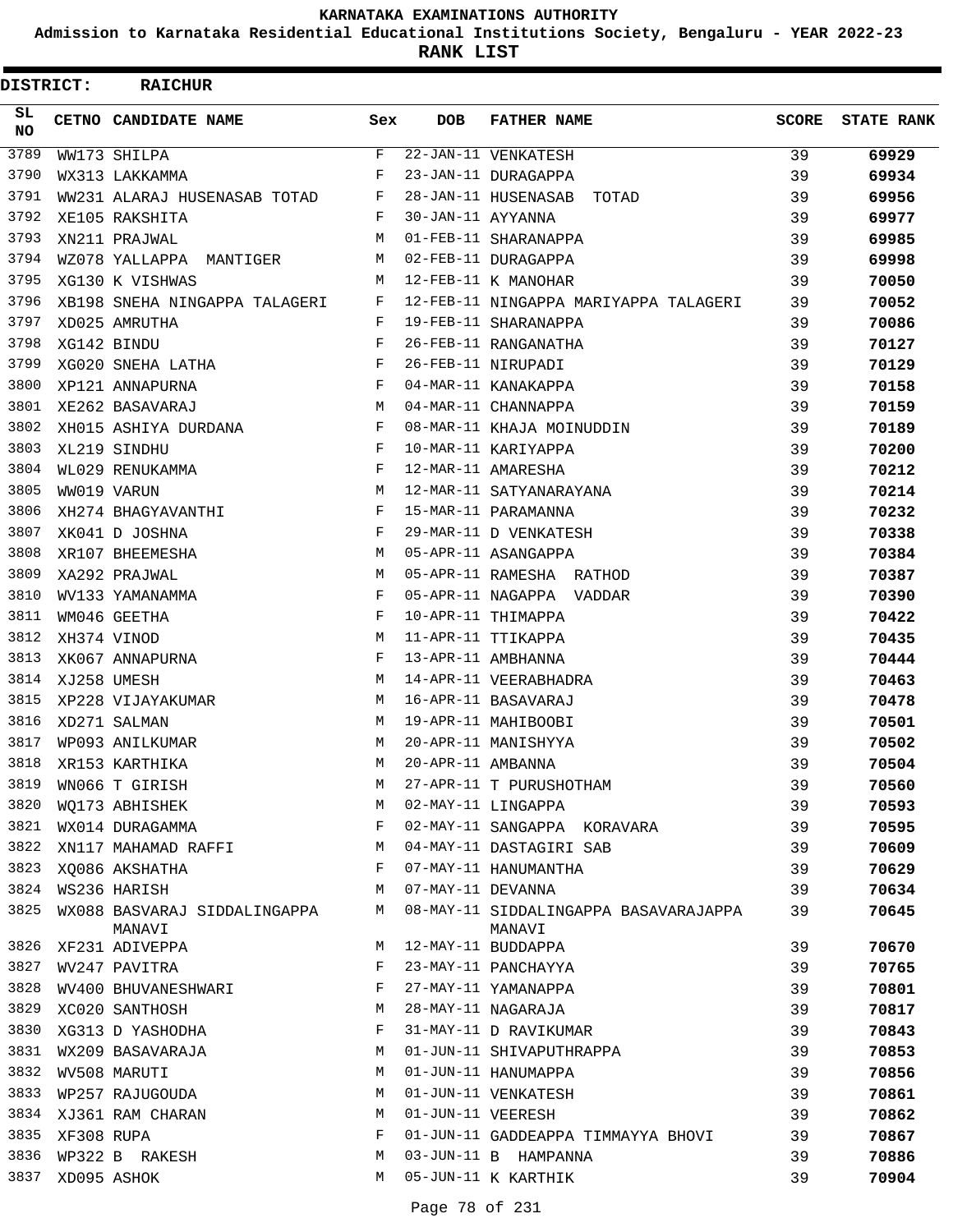**Admission to Karnataka Residential Educational Institutions Society, Bengaluru - YEAR 2022-23**

**RANK LIST**

| DISTRICT:        |            | <b>RAICHUR</b>                         |              |                   |                                                 |              |                   |
|------------------|------------|----------------------------------------|--------------|-------------------|-------------------------------------------------|--------------|-------------------|
| SL.<br><b>NO</b> |            | CETNO CANDIDATE NAME                   | Sex          | <b>DOB</b>        | <b>FATHER NAME</b>                              | <b>SCORE</b> | <b>STATE RANK</b> |
| 3789             |            | WW173 SHILPA                           | $\mathbf{F}$ |                   | 22-JAN-11 VENKATESH                             | 39           | 69929             |
| 3790             |            | WX313 LAKKAMMA                         | F            |                   | 23-JAN-11 DURAGAPPA                             | 39           | 69934             |
| 3791             |            | WW231 ALARAJ HUSENASAB TOTAD           | F            |                   | 28-JAN-11 HUSENASAB TOTAD                       | 39           | 69956             |
| 3792             |            | XE105 RAKSHITA                         | F            | 30-JAN-11 AYYANNA |                                                 | 39           | 69977             |
| 3793             |            | XN211 PRAJWAL                          | M            |                   | 01-FEB-11 SHARANAPPA                            | 39           | 69985             |
| 3794             |            | WZ078 YALLAPPA MANTIGER                | М            |                   | 02-FEB-11 DURAGAPPA                             | 39           | 69998             |
| 3795             |            | XG130 K VISHWAS                        | M            |                   | 12-FEB-11 K MANOHAR                             | 39           | 70050             |
| 3796             |            | XB198 SNEHA NINGAPPA TALAGERI          | F            |                   | 12-FEB-11 NINGAPPA MARIYAPPA TALAGERI           | 39           | 70052             |
| 3797             |            | XD025 AMRUTHA                          | F            |                   | 19-FEB-11 SHARANAPPA                            | 39           | 70086             |
| 3798             |            | XG142 BINDU                            | F            |                   | 26-FEB-11 RANGANATHA                            | 39           | 70127             |
| 3799             |            | XG020 SNEHA LATHA                      | F            |                   | 26-FEB-11 NIRUPADI                              | 39           | 70129             |
| 3800             |            | XP121 ANNAPURNA                        | F            |                   | 04-MAR-11 KANAKAPPA                             | 39           | 70158             |
| 3801             |            | XE262 BASAVARAJ                        | M            |                   | 04-MAR-11 CHANNAPPA                             | 39           | 70159             |
| 3802             |            | XH015 ASHIYA DURDANA                   | F            |                   | 08-MAR-11 KHAJA MOINUDDIN                       | 39           | 70189             |
| 3803             |            | XL219 SINDHU                           | F            |                   | 10-MAR-11 KARIYAPPA                             | 39           | 70200             |
| 3804             |            | WL029 RENUKAMMA                        | F            |                   | 12-MAR-11 AMARESHA                              | 39           | 70212             |
| 3805             |            | WW019 VARUN                            | M            |                   | 12-MAR-11 SATYANARAYANA                         | 39           | 70214             |
| 3806             |            | XH274 BHAGYAVANTHI                     | F            |                   | 15-MAR-11 PARAMANNA                             | 39           | 70232             |
| 3807             |            | XK041 D JOSHNA                         | F            |                   | 29-MAR-11 D VENKATESH                           | 39           | 70338             |
| 3808             |            | XR107 BHEEMESHA                        | М            |                   | 05-APR-11 ASANGAPPA                             | 39           | 70384             |
| 3809             |            | XA292 PRAJWAL                          | M            |                   | 05-APR-11 RAMESHA RATHOD                        | 39           | 70387             |
| 3810             |            | WV133 YAMANAMMA                        | F            |                   | 05-APR-11 NAGAPPA VADDAR                        | 39           | 70390             |
| 3811             |            | WM046 GEETHA                           | F            |                   | 10-APR-11 THIMAPPA                              | 39           | 70422             |
| 3812             |            | XH374 VINOD                            | M            |                   | 11-APR-11 TTIKAPPA                              | 39           | 70435             |
| 3813             |            | XK067 ANNAPURNA                        | F            |                   | 13-APR-11 AMBHANNA                              | 39           | 70444             |
| 3814             |            | XJ258 UMESH                            | M            |                   | 14-APR-11 VEERABHADRA                           | 39           | 70463             |
| 3815             |            | XP228 VIJAYAKUMAR                      | M            |                   | 16-APR-11 BASAVARAJ                             | 39           | 70478             |
| 3816             |            | XD271 SALMAN                           | M            |                   | 19-APR-11 MAHIBOOBI                             | 39           | 70501             |
| 3817             |            | WP093 ANILKUMAR                        | M            |                   | 20-APR-11 MANISHYYA                             | 39           | 70502             |
| 3818             |            | XR153 KARTHIKA                         | M            | 20-APR-11 AMBANNA |                                                 | 39           |                   |
| 3819             |            |                                        | М            |                   |                                                 |              | 70504             |
| 3820             |            | WN066 T GIRISH                         |              |                   | 27-APR-11 T PURUSHOTHAM                         | 39           | 70560             |
|                  |            | WO173 ABHISHEK                         | М<br>F       |                   | 02-MAY-11 LINGAPPA                              | 39           | 70593             |
| 3821             |            | WX014 DURAGAMMA                        |              |                   | 02-MAY-11 SANGAPPA KORAVARA                     | 39           | 70595             |
| 3822             |            | XN117 MAHAMAD RAFFI                    | M            |                   | 04-MAY-11 DASTAGIRI SAB                         | 39           | 70609             |
| 3823             |            | XQ086 AKSHATHA                         | F            |                   | 07-MAY-11 HANUMANTHA                            | 39           | 70629             |
| 3824             |            | WS236 HARISH                           | М            | 07-MAY-11 DEVANNA |                                                 | 39           | 70634             |
| 3825             |            | WX088 BASVARAJ SIDDALINGAPPA<br>MANAVI | M            |                   | 08-MAY-11 SIDDALINGAPPA BASAVARAJAPPA<br>MANAVI | 39           | 70645             |
| 3826             |            | XF231 ADIVEPPA                         | M            |                   | 12-MAY-11 BUDDAPPA                              | 39           | 70670             |
| 3827             |            | WV247 PAVITRA                          | F            |                   | 23-MAY-11 PANCHAYYA                             | 39           | 70765             |
| 3828             |            | WV400 BHUVANESHWARI                    | F            |                   | 27-MAY-11 YAMANAPPA                             | 39           | 70801             |
| 3829             |            | XC020 SANTHOSH                         | М            |                   | 28-MAY-11 NAGARAJA                              | 39           | 70817             |
| 3830             |            | XG313 D YASHODHA                       | F            |                   | 31-MAY-11 D RAVIKUMAR                           | 39           | 70843             |
| 3831             |            | WX209 BASAVARAJA                       | М            |                   | 01-JUN-11 SHIVAPUTHRAPPA                        | 39           | 70853             |
| 3832             |            | WV508 MARUTI                           | М            |                   | 01-JUN-11 HANUMAPPA                             | 39           | 70856             |
| 3833             |            | WP257 RAJUGOUDA                        | M            |                   | 01-JUN-11 VENKATESH                             | 39           | 70861             |
| 3834             |            | XJ361 RAM CHARAN                       | М            | 01-JUN-11 VEERESH |                                                 | 39           | 70862             |
| 3835             | XF308 RUPA |                                        | F            |                   | 01-JUN-11 GADDEAPPA TIMMAYYA BHOVI              | 39           | 70867             |
| 3836             |            | WP322 B RAKESH                         | М            |                   | 03-JUN-11 B HAMPANNA                            | 39           | 70886             |
| 3837             |            | XD095 ASHOK                            | M            |                   | 05-JUN-11 K KARTHIK                             | 39           | 70904             |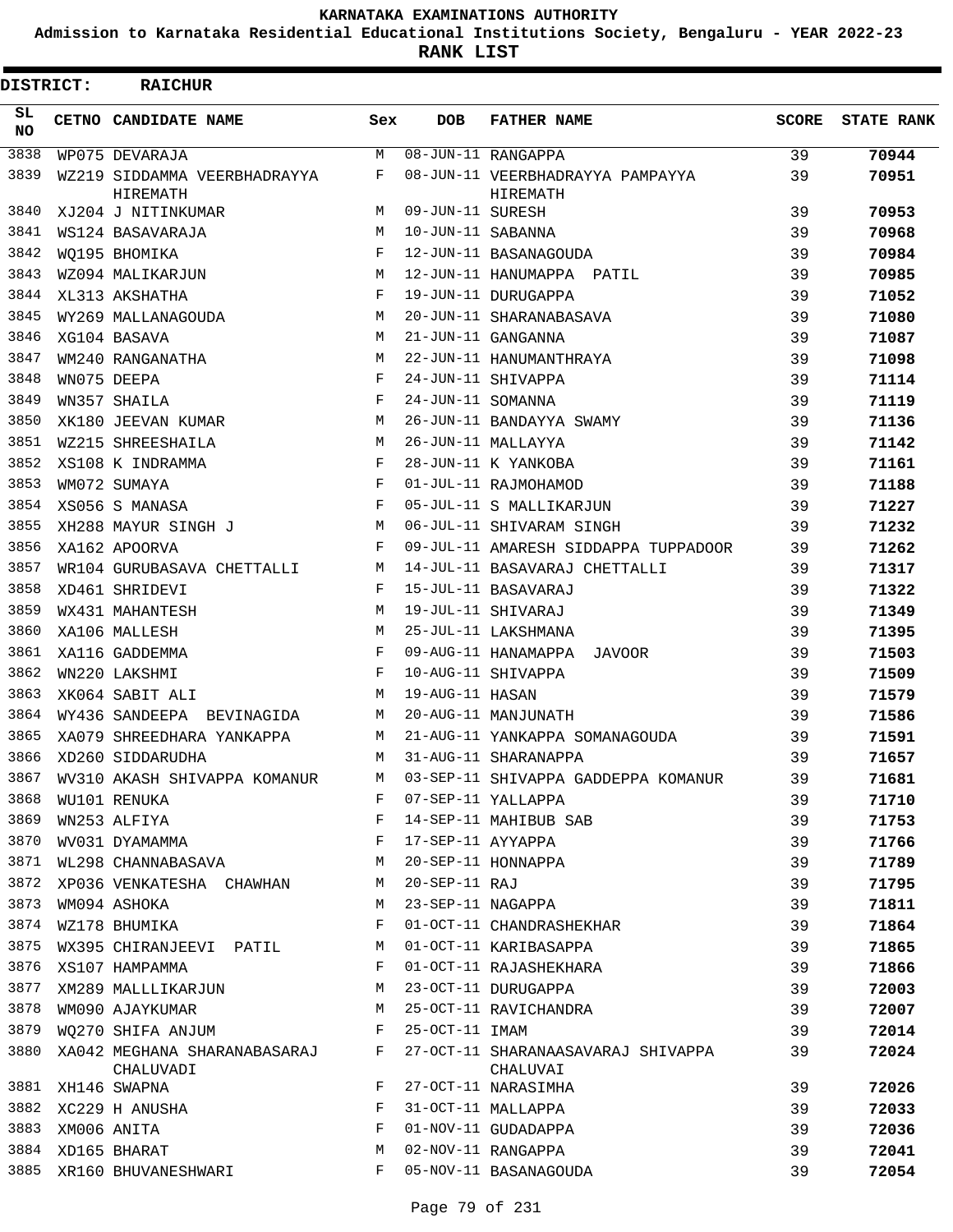**Admission to Karnataka Residential Educational Institutions Society, Bengaluru - YEAR 2022-23**

**RANK LIST**

| <b>DISTRICT:</b> | <b>RAICHUR</b>                            |     |                   |                                                |              |                   |
|------------------|-------------------------------------------|-----|-------------------|------------------------------------------------|--------------|-------------------|
| SL.<br>NO.       | CETNO CANDIDATE NAME                      | Sex | <b>DOB</b>        | <b>FATHER NAME</b>                             | <b>SCORE</b> | <b>STATE RANK</b> |
| 3838             | WP075 DEVARAJA                            | М   |                   | 08-JUN-11 RANGAPPA                             | 39           | 70944             |
| 3839             | WZ219 SIDDAMMA VEERBHADRAYYA<br>HIREMATH  | F   |                   | 08-JUN-11 VEERBHADRAYYA PAMPAYYA<br>HIREMATH   | 39           | 70951             |
| 3840             | XJ204 J NITINKUMAR                        | М   | 09-JUN-11 SURESH  |                                                | 39           | 70953             |
| 3841             | WS124 BASAVARAJA                          | M   | 10-JUN-11 SABANNA |                                                | 39           | 70968             |
| 3842             | WO195 BHOMIKA                             | F   |                   | 12-JUN-11 BASANAGOUDA                          | 39           | 70984             |
| 3843             | WZ094 MALIKARJUN                          | M   |                   | 12-JUN-11 HANUMAPPA PATIL                      | 39           | 70985             |
| 3844             | XL313 AKSHATHA                            | F   |                   | 19-JUN-11 DURUGAPPA                            | 39           | 71052             |
| 3845             | WY269 MALLANAGOUDA                        | M   |                   | 20-JUN-11 SHARANABASAVA                        | 39           | 71080             |
| 3846             | XG104 BASAVA                              | M   |                   | 21-JUN-11 GANGANNA                             | 39           | 71087             |
| 3847             | WM240 RANGANATHA                          | M   |                   | 22-JUN-11 HANUMANTHRAYA                        | 39           | 71098             |
| 3848             | WN075 DEEPA                               | F   |                   | 24-JUN-11 SHIVAPPA                             | 39           | 71114             |
| 3849             | WN357 SHAILA                              | F   | 24-JUN-11 SOMANNA |                                                | 39           | 71119             |
| 3850             | XK180 JEEVAN KUMAR                        | M   |                   | 26-JUN-11 BANDAYYA SWAMY                       | 39           | 71136             |
| 3851             | WZ215 SHREESHAILA                         | M   |                   | 26-JUN-11 MALLAYYA                             | 39           | 71142             |
| 3852             | XS108 K INDRAMMA                          | F   |                   | 28-JUN-11 K YANKOBA                            | 39           | 71161             |
| 3853             | WM072 SUMAYA                              | F   |                   | 01-JUL-11 RAJMOHAMOD                           | 39           | 71188             |
| 3854             | XS056 S MANASA                            | F   |                   | 05-JUL-11 S MALLIKARJUN                        | 39           | 71227             |
| 3855             | XH288 MAYUR SINGH J                       | M   |                   | 06-JUL-11 SHIVARAM SINGH                       | 39           | 71232             |
| 3856             | XA162 APOORVA                             | F   |                   | 09-JUL-11 AMARESH SIDDAPPA TUPPADOOR           | 39           | 71262             |
| 3857             | WR104 GURUBASAVA CHETTALLI                | M   |                   | 14-JUL-11 BASAVARAJ CHETTALLI                  | 39           | 71317             |
| 3858             | XD461 SHRIDEVI                            | F   |                   | 15-JUL-11 BASAVARAJ                            | 39           | 71322             |
| 3859             | WX431 MAHANTESH                           | M   |                   | 19-JUL-11 SHIVARAJ                             | 39           | 71349             |
| 3860             | XA106 MALLESH                             | M   |                   | 25-JUL-11 LAKSHMANA                            | 39           | 71395             |
| 3861             |                                           | F   |                   | 09-AUG-11 HANAMAPPA JAVOOR                     |              |                   |
| 3862             | XA116 GADDEMMA                            | F   |                   | 10-AUG-11 SHIVAPPA                             | 39<br>39     | 71503             |
| 3863             | WN220 LAKSHMI                             | M   | 19-AUG-11 HASAN   |                                                |              | 71509             |
| 3864             | XK064 SABIT ALI                           |     |                   |                                                | 39           | 71579             |
|                  | WY436 SANDEEPA BEVINAGIDA                 | М   |                   | 20-AUG-11 MANJUNATH                            | 39           | 71586             |
| 3865             | XA079 SHREEDHARA YANKAPPA                 | M   |                   | 21-AUG-11 YANKAPPA SOMANAGOUDA                 | 39           | 71591             |
| 3866             | XD260 SIDDARUDHA                          | М   |                   | 31-AUG-11 SHARANAPPA                           | 39           | 71657             |
| 3867             | WV310 AKASH SHIVAPPA KOMANUR              | М   |                   | 03-SEP-11 SHIVAPPA GADDEPPA KOMANUR            | 39           | 71681             |
| 3868             | WU101 RENUKA                              | F   |                   | 07-SEP-11 YALLAPPA                             | 39           | 71710             |
| 3869             | WN253 ALFIYA                              | F   |                   | 14-SEP-11 MAHIBUB SAB                          | 39           | 71753             |
| 3870             | WV031 DYAMAMMA                            | F   | 17-SEP-11 AYYAPPA |                                                | 39           | 71766             |
| 3871             | WL298 CHANNABASAVA                        | М   |                   | 20-SEP-11 HONNAPPA                             | 39           | 71789             |
| 3872             | XP036 VENKATESHA CHAWHAN                  | М   | 20-SEP-11 RAJ     |                                                | 39           | 71795             |
| 3873             | WM094 ASHOKA                              | M   | 23-SEP-11 NAGAPPA |                                                | 39           | 71811             |
| 3874             | WZ178 BHUMIKA                             | F   |                   | 01-OCT-11 CHANDRASHEKHAR                       | 39           | 71864             |
| 3875             | WX395 CHIRANJEEVI PATIL                   | М   |                   | 01-OCT-11 KARIBASAPPA                          | 39           | 71865             |
| 3876             | XS107 HAMPAMMA                            | F   |                   | 01-OCT-11 RAJASHEKHARA                         | 39           | 71866             |
| 3877             | XM289 MALLLIKARJUN                        | М   |                   | 23-OCT-11 DURUGAPPA                            | 39           | 72003             |
| 3878             | WM090 AJAYKUMAR                           | М   |                   | 25-OCT-11 RAVICHANDRA                          | 39           | 72007             |
| 3879             | WO270 SHIFA ANJUM                         | F   | 25-OCT-11 IMAM    |                                                | 39           | 72014             |
| 3880             | XA042 MEGHANA SHARANABASARAJ<br>CHALUVADI | F   |                   | 27-OCT-11 SHARANAASAVARAJ SHIVAPPA<br>CHALUVAI | 39           | 72024             |
| 3881             | XH146 SWAPNA                              | F   |                   | 27-OCT-11 NARASIMHA                            | 39           | 72026             |
| 3882             | XC229 H ANUSHA                            | F   |                   | 31-OCT-11 MALLAPPA                             | 39           | 72033             |
| 3883             | XM006 ANITA                               | F   |                   | 01-NOV-11 GUDADAPPA                            | 39           | 72036             |
| 3884             | XD165 BHARAT                              | M   |                   | 02-NOV-11 RANGAPPA                             | 39           | 72041             |
| 3885             | XR160 BHUVANESHWARI                       | F   |                   | 05-NOV-11 BASANAGOUDA                          | 39           | 72054             |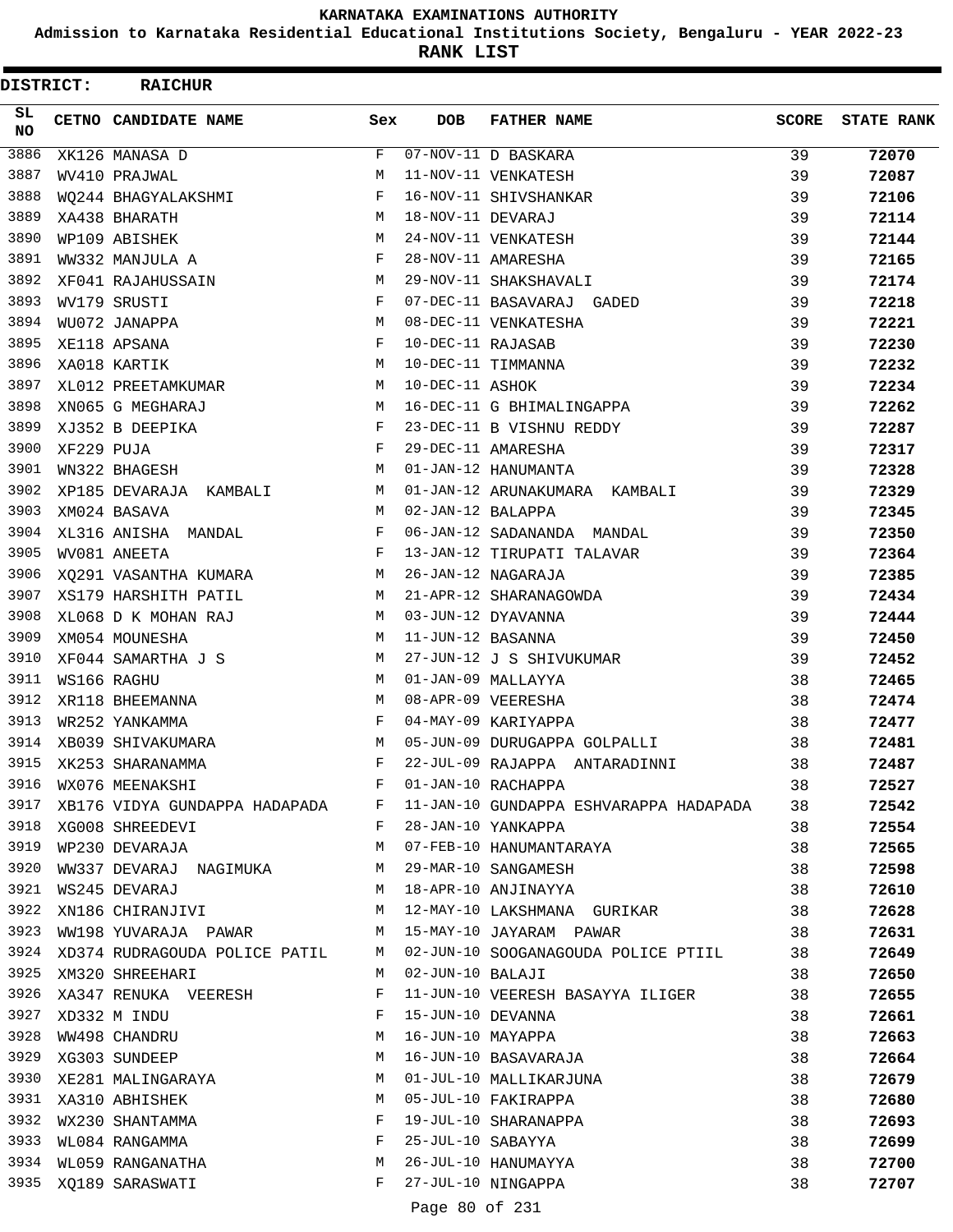**Admission to Karnataka Residential Educational Institutions Society, Bengaluru - YEAR 2022-23**

**RANK LIST**

 $\blacksquare$ 

| DISTRICT: |            | <b>RAICHUR</b>                                   |              |                   |                                                                          |              |                   |
|-----------|------------|--------------------------------------------------|--------------|-------------------|--------------------------------------------------------------------------|--------------|-------------------|
| SL.<br>NO |            | CETNO CANDIDATE NAME                             | Sex          | <b>DOB</b>        | <b>FATHER NAME</b>                                                       | <b>SCORE</b> | <b>STATE RANK</b> |
| 3886      |            | XK126 MANASA D                                   | F            |                   | 07-NOV-11 D BASKARA                                                      | 39           | 72070             |
| 3887      |            | WV410 PRAJWAL                                    | M            |                   | 11-NOV-11 VENKATESH                                                      | 39           | 72087             |
| 3888      |            | WO244 BHAGYALAKSHMI                              | F            |                   | 16-NOV-11 SHIVSHANKAR                                                    | 39           | 72106             |
| 3889      |            | XA438 BHARATH                                    | M            | 18-NOV-11 DEVARAJ |                                                                          | 39           | 72114             |
| 3890      |            | WP109 ABISHEK                                    | M            |                   | 24-NOV-11 VENKATESH                                                      | 39           | 72144             |
| 3891      |            | WW332 MANJULA A                                  | F            |                   | 28-NOV-11 AMARESHA                                                       | 39           | 72165             |
| 3892      |            | XF041 RAJAHUSSAIN                                | M            |                   | 29-NOV-11 SHAKSHAVALI                                                    | 39           | 72174             |
| 3893      |            | WV179 SRUSTI                                     | F            |                   | 07-DEC-11 BASAVARAJ GADED                                                | 39           | 72218             |
| 3894      |            | WU072 JANAPPA                                    | M            |                   | 08-DEC-11 VENKATESHA                                                     | 39           | 72221             |
| 3895      |            | XE118 APSANA                                     | F            | 10-DEC-11 RAJASAB |                                                                          | 39           | 72230             |
| 3896      |            | XA018 KARTIK                                     | M            |                   | 10-DEC-11 TIMMANNA                                                       | 39           | 72232             |
| 3897      |            | XL012 PREETAMKUMAR                               | M            | 10-DEC-11 ASHOK   |                                                                          | 39           | 72234             |
| 3898      |            | XN065 G MEGHARAJ                                 | M            |                   | 16-DEC-11 G BHIMALINGAPPA                                                | 39           | 72262             |
| 3899      |            | XJ352 B DEEPIKA                                  | F            |                   | 23-DEC-11 B VISHNU REDDY                                                 | 39           | 72287             |
| 3900      | XF229 PUJA |                                                  | $\mathbf{F}$ |                   | 29-DEC-11 AMARESHA                                                       | 39           | 72317             |
| 3901      |            | WN322 BHAGESH                                    | M            |                   | 01-JAN-12 HANUMANTA                                                      | 39           | 72328             |
| 3902      |            | XP185 DEVARAJA KAMBALI                           | M            |                   | 01-JAN-12 ARUNAKUMARA KAMBALI                                            | 39           | 72329             |
| 3903      |            | XM024 BASAVA                                     | M            | 02-JAN-12 BALAPPA |                                                                          | 39           | 72345             |
| 3904      |            | XL316 ANISHA MANDAL                              | F            |                   | 06-JAN-12 SADANANDA MANDAL                                               | 39           | 72350             |
| 3905      |            | WV081 ANEETA                                     | F            |                   | 13-JAN-12 TIRUPATI TALAVAR                                               | 39           | 72364             |
| 3906      |            | XQ291 VASANTHA KUMARA                            | M            |                   | 26-JAN-12 NAGARAJA                                                       | 39           | 72385             |
| 3907      |            | XS179 HARSHITH PATIL                             | M            |                   | 21-APR-12 SHARANAGOWDA                                                   | 39           | 72434             |
| 3908      |            | XL068 D K MOHAN RAJ                              | M            |                   | 03-JUN-12 DYAVANNA                                                       | 39           | 72444             |
| 3909      |            | XM054 MOUNESHA                                   | M            | 11-JUN-12 BASANNA |                                                                          | 39           | 72450             |
| 3910      |            | XF044 SAMARTHA J S                               | М            |                   | 27-JUN-12 J S SHIVUKUMAR                                                 | 39           | 72452             |
| 3911      |            | WS166 RAGHU                                      | M            |                   | 01-JAN-09 MALLAYYA                                                       | 38           | 72465             |
| 3912      |            | XR118 BHEEMANNA                                  | M            |                   | 08-APR-09 VEERESHA                                                       | 38           | 72474             |
| 3913      |            | WR252 YANKAMMA                                   | F            |                   | 04-MAY-09 KARIYAPPA                                                      | 38           | 72477             |
| 3914      |            | XB039 SHIVAKUMARA                                | M            |                   | 05-JUN-09 DURUGAPPA GOLPALLI                                             | 38           | 72481             |
| 3915      |            | XK253 SHARANAMMA                                 | F            |                   | 22-JUL-09 RAJAPPA ANTARADINNI                                            | 38           | 72487             |
| 3916      |            | WX076 MEENAKSHI                                  | F            |                   | 01-JAN-10 RACHAPPA                                                       | 38           | 72527             |
| 3917      |            | XB176 VIDYA GUNDAPPA HADAPADA F                  |              |                   | 11-JAN-10 GUNDAPPA ESHVARAPPA HADAPADA                                   | 38           | 72542             |
| 3918      |            | XG008 SHREEDEVI                                  | F            |                   | 28-JAN-10 YANKAPPA                                                       | 38           | 72554             |
| 3919      |            | WP230 DEVARAJA                                   | M            |                   | 07-FEB-10 HANUMANTARAYA                                                  | 38           | 72565             |
| 3920      |            | WW337 DEVARAJ NAGIMUKA M                         |              |                   | 29-MAR-10 SANGAMESH                                                      | 38           | 72598             |
| 3921      |            | WS245 DEVARAJ                                    | M            |                   | 18-APR-10 ANJINAYYA                                                      | 38           | 72610             |
| 3922      |            | XN186 CHIRANJIVI                                 | M            |                   | 12-MAY-10 LAKSHMANA GURIKAR                                              | 38           | 72628             |
| 3923      |            | WW198 YUVARAJA PAWAR M M 15-MAY-10 JAYARAM PAWAR |              |                   |                                                                          | 38           | 72631             |
|           |            |                                                  |              |                   | 3924 XD374 RUDRAGOUDA POLICE PATIL M 02-JUN-10 SOOGANAGOUDA POLICE PTIIL | 38           | 72649             |
| 3925      |            | XM320 SHREEHARI                                  | M            | 02-JUN-10 BALAJI  |                                                                          | 38           | 72650             |
| 3926      |            | XA347 RENUKA VEERESH                             | F            |                   | 11-JUN-10 VEERESH BASAYYA ILIGER                                         | 38           | 72655             |
|           |            | 3927 XD332 M INDU                                | F            | 15-JUN-10 DEVANNA |                                                                          | 38           | 72661             |
| 3928      |            | WW498 CHANDRU                                    | M            | 16-JUN-10 MAYAPPA |                                                                          | 38           | 72663             |
| 3929      |            | XG303 SUNDEEP                                    | M            |                   | 16-JUN-10 BASAVARAJA                                                     | 38           | 72664             |
| 3930      |            | XE281 MALINGARAYA                                | M            |                   | 01-JUL-10 MALLIKARJUNA                                                   | 38           | 72679             |
| 3931      |            | XA310 ABHISHEK                                   | M            |                   | 05-JUL-10 FAKIRAPPA                                                      | 38           | 72680             |
| 3932      |            |                                                  | F            |                   | 19-JUL-10 SHARANAPPA                                                     | 38           | 72693             |
| 3933      |            | WX230 SHANTAMMA<br>WL084 RANGAMMA                | F            | 25-JUL-10 SABAYYA |                                                                          | 38           | 72699             |
|           |            | 3934 WL059 RANGANATHA                            | M            |                   | 26-JUL-10 HANUMAYYA                                                      | 38           | 72700             |
|           |            | 3935 XQ189 SARASWATI                             | F            |                   | 27-JUL-10 NINGAPPA                                                       | 38           | 72707             |
|           |            |                                                  |              |                   |                                                                          |              |                   |

Page 80 of 231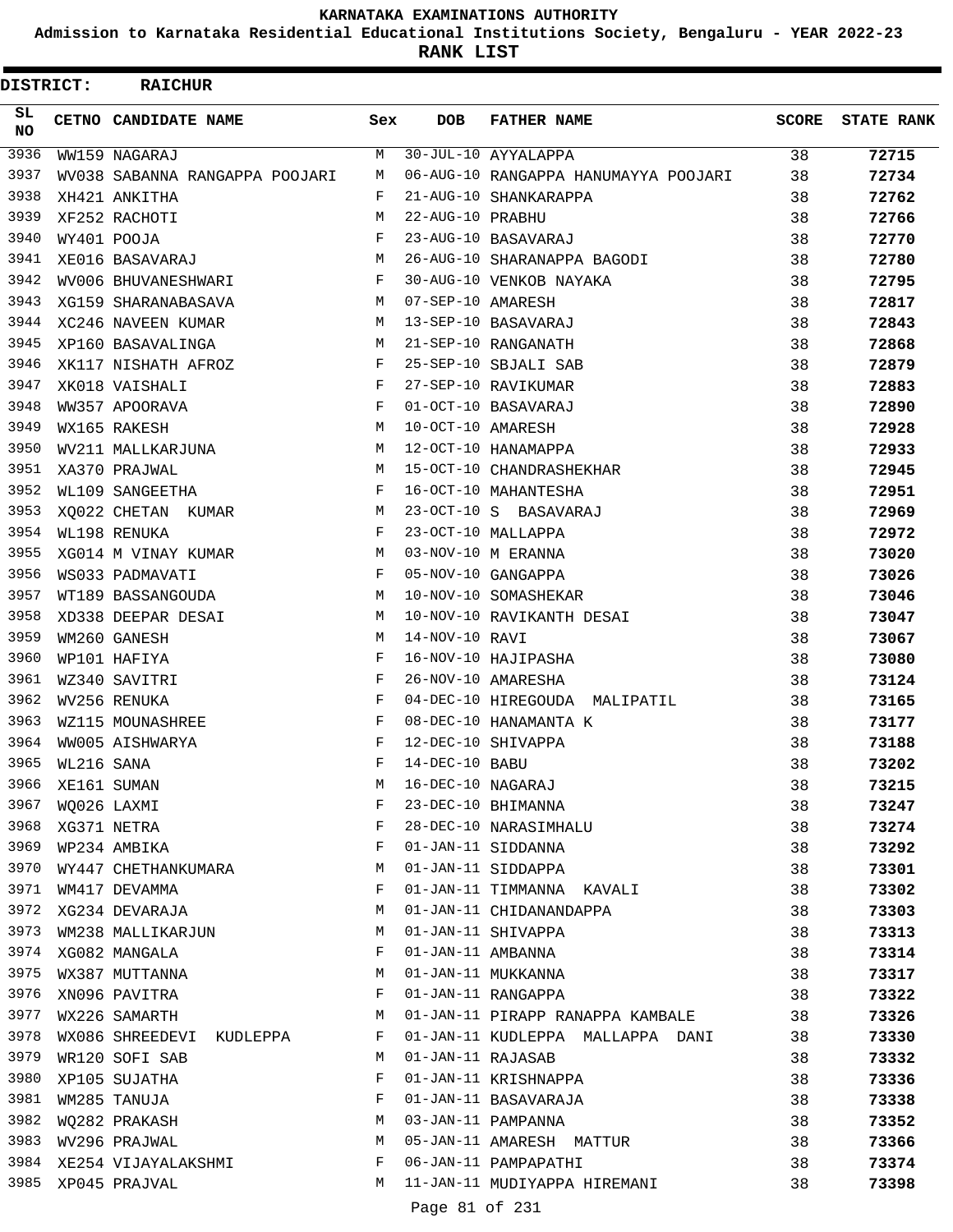**Admission to Karnataka Residential Educational Institutions Society, Bengaluru - YEAR 2022-23**

**RANK LIST**

| <b>DISTRICT:</b> |            | <b>RAICHUR</b>                 |     |                   |                                      |              |                   |
|------------------|------------|--------------------------------|-----|-------------------|--------------------------------------|--------------|-------------------|
| SL.<br><b>NO</b> |            | CETNO CANDIDATE NAME           | Sex | <b>DOB</b>        | <b>FATHER NAME</b>                   | <b>SCORE</b> | <b>STATE RANK</b> |
| 3936             |            | WW159 NAGARAJ                  | М   |                   | 30-JUL-10 AYYALAPPA                  | 38           | 72715             |
| 3937             |            | WV038 SABANNA RANGAPPA POOJARI | М   |                   | 06-AUG-10 RANGAPPA HANUMAYYA POOJARI | 38           | 72734             |
| 3938             |            | XH421 ANKITHA                  | F   |                   | 21-AUG-10 SHANKARAPPA                | 38           | 72762             |
| 3939             |            | XF252 RACHOTI                  | M   | 22-AUG-10 PRABHU  |                                      | 38           | 72766             |
| 3940             |            | WY401 POOJA                    | F   |                   | 23-AUG-10 BASAVARAJ                  | 38           | 72770             |
| 3941             |            | XE016 BASAVARAJ                | M   |                   | 26-AUG-10 SHARANAPPA BAGODI          | 38           | 72780             |
| 3942             |            | WV006 BHUVANESHWARI            | F   |                   | 30-AUG-10 VENKOB NAYAKA              | 38           | 72795             |
| 3943             |            | XG159 SHARANABASAVA            | М   | 07-SEP-10 AMARESH |                                      | 38           | 72817             |
| 3944             |            | XC246 NAVEEN KUMAR             | M   |                   | 13-SEP-10 BASAVARAJ                  | 38           | 72843             |
| 3945             |            | XP160 BASAVALINGA              | M   |                   | 21-SEP-10 RANGANATH                  | 38           | 72868             |
| 3946             |            | XK117 NISHATH AFROZ            | F   |                   | 25-SEP-10 SBJALI SAB                 | 38           | 72879             |
| 3947             |            | XK018 VAISHALI                 | F   |                   | 27-SEP-10 RAVIKUMAR                  | 38           | 72883             |
| 3948             |            | WW357 APOORAVA                 | F   |                   | 01-OCT-10 BASAVARAJ                  | 38           | 72890             |
| 3949             |            | WX165 RAKESH                   | M   | 10-OCT-10 AMARESH |                                      | 38           | 72928             |
| 3950             |            | WV211 MALLKARJUNA              | M   |                   | 12-OCT-10 HANAMAPPA                  | 38           | 72933             |
| 3951             |            | XA370 PRAJWAL                  | M   |                   | 15-OCT-10 CHANDRASHEKHAR             | 38           | 72945             |
| 3952             |            | WL109 SANGEETHA                | F   |                   | 16-OCT-10 MAHANTESHA                 | 38           | 72951             |
| 3953             |            | XQ022 CHETAN KUMAR             | М   |                   | 23-OCT-10 S BASAVARAJ                | 38           | 72969             |
| 3954             |            | WL198 RENUKA                   | F   |                   | 23-OCT-10 MALLAPPA                   | 38           | 72972             |
| 3955             |            | XG014 M VINAY KUMAR            | М   |                   | 03-NOV-10 M ERANNA                   | 38           | 73020             |
| 3956             |            | WS033 PADMAVATI                | F   |                   | 05-NOV-10 GANGAPPA                   | 38           | 73026             |
| 3957             |            | WT189 BASSANGOUDA              | М   |                   | 10-NOV-10 SOMASHEKAR                 | 38           | 73046             |
| 3958             |            | XD338 DEEPAR DESAI             | M   |                   | 10-NOV-10 RAVIKANTH DESAI            | 38           | 73047             |
| 3959             |            | WM260 GANESH                   | M   | 14-NOV-10 RAVI    |                                      | 38           | 73067             |
| 3960             |            | WP101 HAFIYA                   | F   |                   | 16-NOV-10 HAJIPASHA                  | 38           | 73080             |
| 3961             |            | WZ340 SAVITRI                  | F   |                   | 26-NOV-10 AMARESHA                   | 38           | 73124             |
| 3962             |            | WV256 RENUKA                   | F   |                   | 04-DEC-10 HIREGOUDA MALIPATIL        | 38           | 73165             |
| 3963             |            | WZ115 MOUNASHREE               | F   |                   | 08-DEC-10 HANAMANTA K                | 38           | 73177             |
| 3964             |            | WW005 AISHWARYA                | F   |                   | 12-DEC-10 SHIVAPPA                   | 38           | 73188             |
| 3965             | WL216 SANA |                                | F   | 14-DEC-10 BABU    |                                      | 38           | 73202             |
| 3966             |            | XE161 SUMAN                    | М   | 16-DEC-10 NAGARAJ |                                      | 38           | 73215             |
| 3967             |            | WQ026 LAXMI                    | F   |                   | 23-DEC-10 BHIMANNA                   | 38           | 73247             |
| 3968             |            | XG371 NETRA                    | F   |                   | 28-DEC-10 NARASIMHALU                | 38           | 73274             |
| 3969             |            | WP234 AMBIKA                   | F   |                   | 01-JAN-11 SIDDANNA                   | 38           |                   |
| 3970             |            |                                | М   |                   | 01-JAN-11 SIDDAPPA                   | 38           | 73292             |
| 3971             |            | WY447 CHETHANKUMARA            | F   |                   |                                      |              | 73301             |
| 3972             |            | WM417 DEVAMMA                  |     |                   | 01-JAN-11 TIMMANNA KAVALI            | 38           | 73302             |
| 3973             |            | XG234 DEVARAJA                 | М   |                   | 01-JAN-11 CHIDANANDAPPA              | 38           | 73303             |
| 3974             |            | WM238 MALLIKARJUN              | М   |                   | 01-JAN-11 SHIVAPPA                   | 38           | 73313             |
|                  |            | XG082 MANGALA                  | F   | 01-JAN-11 AMBANNA |                                      | 38           | 73314             |
| 3975             |            | WX387 MUTTANNA                 | М   |                   | 01-JAN-11 MUKKANNA                   | 38           | 73317             |
| 3976             |            | XN096 PAVITRA                  | F   |                   | 01-JAN-11 RANGAPPA                   | 38           | 73322             |
| 3977             |            | WX226 SAMARTH                  | М   |                   | 01-JAN-11 PIRAPP RANAPPA KAMBALE     | 38           | 73326             |
| 3978             |            | WX086 SHREEDEVI KUDLEPPA       | F   |                   | 01-JAN-11 KUDLEPPA MALLAPPA DANI     | 38           | 73330             |
| 3979             |            | WR120 SOFI SAB                 | M   | 01-JAN-11 RAJASAB |                                      | 38           | 73332             |
| 3980             |            | XP105 SUJATHA                  | F   |                   | 01-JAN-11 KRISHNAPPA                 | 38           | 73336             |
| 3981             |            | WM285 TANUJA                   | F   |                   | 01-JAN-11 BASAVARAJA                 | 38           | 73338             |
| 3982             |            | WQ282 PRAKASH                  | M   |                   | 03-JAN-11 PAMPANNA                   | 38           | 73352             |
| 3983             |            | WV296 PRAJWAL                  | М   |                   | 05-JAN-11 AMARESH MATTUR             | 38           | 73366             |
| 3984             |            | XE254 VIJAYALAKSHMI            | F   |                   | 06-JAN-11 PAMPAPATHI                 | 38           | 73374             |
| 3985             |            | XP045 PRAJVAL                  | M   |                   | 11-JAN-11 MUDIYAPPA HIREMANI         | 38           | 73398             |

Page 81 of 231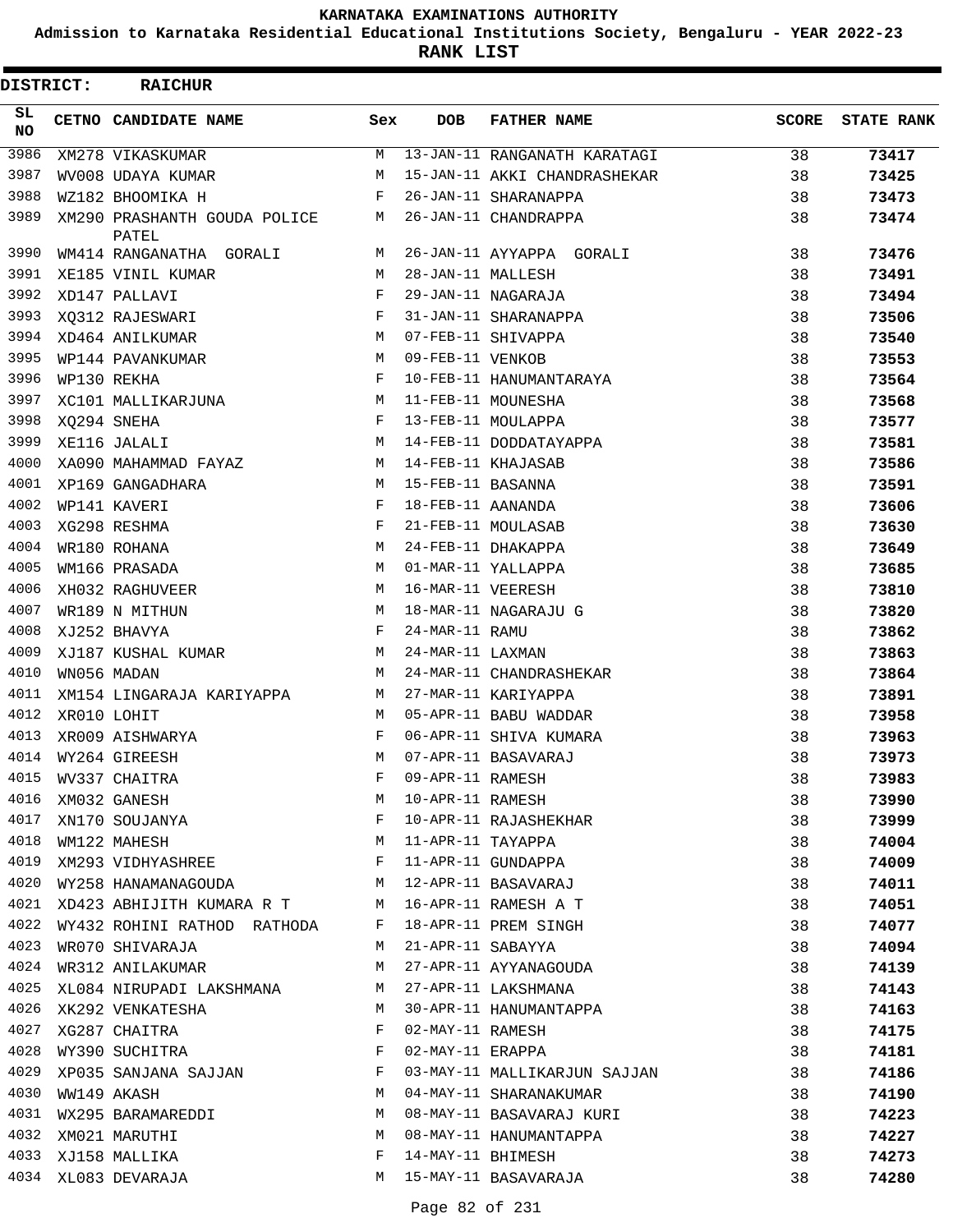**Admission to Karnataka Residential Educational Institutions Society, Bengaluru - YEAR 2022-23**

**RANK LIST**

| <b>DISTRICT:</b> | <b>RAICHUR</b>                        |     |                   |                              |              |                   |
|------------------|---------------------------------------|-----|-------------------|------------------------------|--------------|-------------------|
| SL.<br><b>NO</b> | CETNO CANDIDATE NAME                  | Sex | <b>DOB</b>        | <b>FATHER NAME</b>           | <b>SCORE</b> | <b>STATE RANK</b> |
| 3986             | XM278 VIKASKUMAR                      | М   |                   | 13-JAN-11 RANGANATH KARATAGI | 38           | 73417             |
| 3987             | WV008 UDAYA KUMAR                     | M   |                   | 15-JAN-11 AKKI CHANDRASHEKAR | 38           | 73425             |
| 3988             | WZ182 BHOOMIKA H                      | F   |                   | 26-JAN-11 SHARANAPPA         | 38           | 73473             |
| 3989             | XM290 PRASHANTH GOUDA POLICE<br>PATEL | M   |                   | 26-JAN-11 CHANDRAPPA         | 38           | 73474             |
| 3990             | WM414 RANGANATHA GORALI               | М   |                   | 26-JAN-11 AYYAPPA GORALI     | 38           | 73476             |
| 3991             | XE185 VINIL KUMAR                     | М   | 28-JAN-11 MALLESH |                              | 38           | 73491             |
| 3992             | XD147 PALLAVI                         | F   |                   | 29-JAN-11 NAGARAJA           | 38           | 73494             |
| 3993             | XQ312 RAJESWARI                       | F   |                   | 31-JAN-11 SHARANAPPA         | 38           | 73506             |
| 3994             | XD464 ANILKUMAR                       | M   |                   | 07-FEB-11 SHIVAPPA           | 38           | 73540             |
| 3995             | WP144 PAVANKUMAR                      | М   | 09-FEB-11 VENKOB  |                              | 38           | 73553             |
| 3996             | WP130 REKHA                           | F   |                   | 10-FEB-11 HANUMANTARAYA      | 38           | 73564             |
| 3997             | XC101 MALLIKARJUNA                    | M   |                   | 11-FEB-11 MOUNESHA           | 38           | 73568             |
| 3998             | XQ294 SNEHA                           | F   |                   | 13-FEB-11 MOULAPPA           | 38           | 73577             |
| 3999             | XE116 JALALI                          | M   |                   | 14-FEB-11 DODDATAYAPPA       | 38           | 73581             |
| 4000             | XA090 MAHAMMAD FAYAZ                  | M   |                   | 14-FEB-11 KHAJASAB           | 38           | 73586             |
| 4001             | XP169 GANGADHARA                      | М   | 15-FEB-11 BASANNA |                              | 38           | 73591             |
| 4002             | WP141 KAVERI                          | F   | 18-FEB-11 AANANDA |                              | 38           | 73606             |
| 4003             | XG298 RESHMA                          | F   |                   | 21-FEB-11 MOULASAB           | 38           | 73630             |
| 4004             | WR180 ROHANA                          | M   |                   | 24-FEB-11 DHAKAPPA           | 38           | 73649             |
| 4005             | WM166 PRASADA                         | M   |                   | 01-MAR-11 YALLAPPA           | 38           | 73685             |
| 4006             | XH032 RAGHUVEER                       | M   | 16-MAR-11 VEERESH |                              | 38           | 73810             |
| 4007             | WR189 N MITHUN                        | M   |                   | 18-MAR-11 NAGARAJU G         | 38           | 73820             |
| 4008             | XJ252 BHAVYA                          | F   | 24-MAR-11 RAMU    |                              | 38           | 73862             |
| 4009             | XJ187 KUSHAL KUMAR                    | M   | 24-MAR-11 LAXMAN  |                              | 38           | 73863             |
| 4010             | WN056 MADAN                           | М   |                   | 24-MAR-11 CHANDRASHEKAR      | 38           | 73864             |
| 4011             | XM154 LINGARAJA KARIYAPPA             | M   |                   | 27-MAR-11 KARIYAPPA          | 38           | 73891             |
| 4012             | XR010 LOHIT                           | M   |                   | 05-APR-11 BABU WADDAR        | 38           | 73958             |
| 4013             | XR009 AISHWARYA                       | F   |                   | 06-APR-11 SHIVA KUMARA       | 38           | 73963             |
| 4014             | WY264 GIREESH                         | M   |                   | 07-APR-11 BASAVARAJ          | 38           | 73973             |
| 4015             | WV337 CHAITRA                         | F   | 09-APR-11 RAMESH  |                              | 38           | 73983             |
| 4016             | XM032 GANESH                          | М   | 10-APR-11 RAMESH  |                              | 38           | 73990             |
| 4017             | XN170 SOUJANYA                        | F   |                   | 10-APR-11 RAJASHEKHAR        | 38           | 73999             |
| 4018             | WM122 MAHESH                          | М   | 11-APR-11 TAYAPPA |                              | 38           | 74004             |
| 4019             | XM293 VIDHYASHREE                     | F   |                   | 11-APR-11 GUNDAPPA           | 38           | 74009             |
| 4020             | WY258 HANAMANAGOUDA                   | M   |                   | 12-APR-11 BASAVARAJ          | 38           | 74011             |
| 4021             | XD423 ABHIJITH KUMARA R T             | M   |                   | 16-APR-11 RAMESH A T         | 38           | 74051             |
| 4022             | WY432 ROHINI RATHOD RATHODA           | F   |                   | 18-APR-11 PREM SINGH         | 38           | 74077             |
| 4023             | WR070 SHIVARAJA                       | М   | 21-APR-11 SABAYYA |                              | 38           | 74094             |
| 4024             | WR312 ANILAKUMAR                      | М   |                   | 27-APR-11 AYYANAGOUDA        | 38           | 74139             |
| 4025             | XL084 NIRUPADI LAKSHMANA              | М   |                   | 27-APR-11 LAKSHMANA          | 38           | 74143             |
| 4026             | XK292 VENKATESHA                      | М   |                   | 30-APR-11 HANUMANTAPPA       | 38           | 74163             |
| 4027             | XG287 CHAITRA                         | F   | 02-MAY-11 RAMESH  |                              | 38           | 74175             |
| 4028             | WY390 SUCHITRA                        | F   | 02-MAY-11 ERAPPA  |                              | 38           | 74181             |
| 4029             | XP035 SANJANA SAJJAN                  | F   |                   | 03-MAY-11 MALLIKARJUN SAJJAN | 38           | 74186             |
| 4030             | WW149 AKASH                           | М   |                   | 04-MAY-11 SHARANAKUMAR       | 38           | 74190             |
| 4031             | WX295 BARAMAREDDI                     | М   |                   | 08-MAY-11 BASAVARAJ KURI     | 38           | 74223             |
| 4032             | XM021 MARUTHI                         | М   |                   | 08-MAY-11 HANUMANTAPPA       | 38           | 74227             |
| 4033             | XJ158 MALLIKA                         | F   | 14-MAY-11 BHIMESH |                              | 38           | 74273             |
|                  | 4034 XL083 DEVARAJA                   | M   |                   | 15-MAY-11 BASAVARAJA         | 38           | 74280             |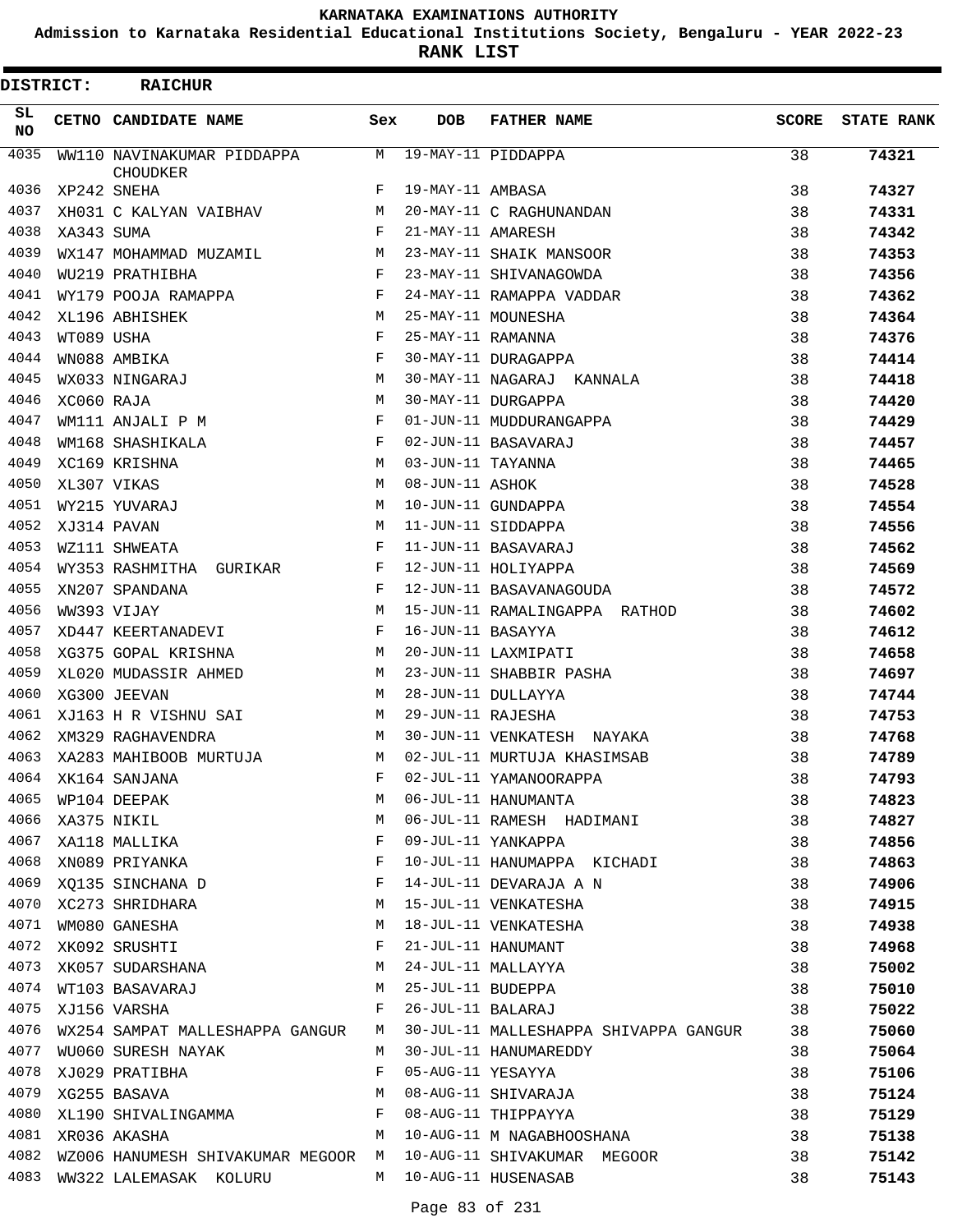**Admission to Karnataka Residential Educational Institutions Society, Bengaluru - YEAR 2022-23**

**RANK LIST**

| DISTRICT:  |            | <b>RAICHUR</b>                                |     |                   |                                       |              |                   |
|------------|------------|-----------------------------------------------|-----|-------------------|---------------------------------------|--------------|-------------------|
| SL.<br>NO. |            | CETNO CANDIDATE NAME                          | Sex | <b>DOB</b>        | <b>FATHER NAME</b>                    | <b>SCORE</b> | <b>STATE RANK</b> |
| 4035       |            | WW110 NAVINAKUMAR PIDDAPPA<br><b>CHOUDKER</b> | М   |                   | 19-MAY-11 PIDDAPPA                    | 38           | 74321             |
| 4036       |            | XP242 SNEHA                                   | F   | 19-MAY-11 AMBASA  |                                       | 38           | 74327             |
| 4037       |            | XH031 C KALYAN VAIBHAV                        | M   |                   | 20-MAY-11 C RAGHUNANDAN               | 38           | 74331             |
| 4038       | XA343 SUMA |                                               | F   | 21-MAY-11 AMARESH |                                       | 38           | 74342             |
| 4039       |            | WX147 MOHAMMAD MUZAMIL                        | M   |                   | 23-MAY-11 SHAIK MANSOOR               | 38           | 74353             |
| 4040       |            | WU219 PRATHIBHA                               | F   |                   | 23-MAY-11 SHIVANAGOWDA                | 38           | 74356             |
| 4041       |            | WY179 POOJA RAMAPPA                           | F   |                   | 24-MAY-11 RAMAPPA VADDAR              | 38           | 74362             |
| 4042       |            | XL196 ABHISHEK                                | M   |                   | 25-MAY-11 MOUNESHA                    | 38           | 74364             |
| 4043       | WT089 USHA |                                               | F   | 25-MAY-11 RAMANNA |                                       | 38           | 74376             |
| 4044       |            | WN088 AMBIKA                                  | F   |                   | 30-MAY-11 DURAGAPPA                   | 38           | 74414             |
| 4045       |            | WX033 NINGARAJ                                | М   |                   | 30-MAY-11 NAGARAJ KANNALA             | 38           | 74418             |
| 4046       | XC060 RAJA |                                               | M   |                   | 30-MAY-11 DURGAPPA                    | 38           | 74420             |
| 4047       |            | WM111 ANJALI P M                              | F   |                   | 01-JUN-11 MUDDURANGAPPA               | 38           | 74429             |
| 4048       |            | WM168 SHASHIKALA                              | F   |                   | 02-JUN-11 BASAVARAJ                   | 38           | 74457             |
| 4049       |            | XC169 KRISHNA                                 | M   | 03-JUN-11 TAYANNA |                                       | 38           | 74465             |
| 4050       |            | XL307 VIKAS                                   | M   | 08-JUN-11 ASHOK   |                                       | 38           | 74528             |
| 4051       |            | WY215 YUVARAJ                                 | M   |                   | 10-JUN-11 GUNDAPPA                    | 38           | 74554             |
| 4052       |            | XJ314 PAVAN                                   | M   |                   | 11-JUN-11 SIDDAPPA                    | 38           | 74556             |
| 4053       |            | WZ111 SHWEATA                                 | F   |                   | 11-JUN-11 BASAVARAJ                   | 38           | 74562             |
| 4054       |            | WY353 RASHMITHA GURIKAR                       | F   |                   | 12-JUN-11 HOLIYAPPA                   | 38           | 74569             |
| 4055       |            | XN207 SPANDANA                                | F   |                   | 12-JUN-11 BASAVANAGOUDA               | 38           | 74572             |
| 4056       |            | WW393 VIJAY                                   | M   |                   | 15-JUN-11 RAMALINGAPPA RATHOD         | 38           | 74602             |
| 4057       |            | XD447 KEERTANADEVI                            | F   | 16-JUN-11 BASAYYA |                                       | 38           | 74612             |
| 4058       |            | XG375 GOPAL KRISHNA                           | M   |                   | 20-JUN-11 LAXMIPATI                   | 38           | 74658             |
| 4059       |            | XL020 MUDASSIR AHMED                          | M   |                   | 23-JUN-11 SHABBIR PASHA               | 38           | 74697             |
| 4060       |            | XG300 JEEVAN                                  | M   |                   | 28-JUN-11 DULLAYYA                    | 38           | 74744             |
| 4061       |            | XJ163 H R VISHNU SAI                          | М   | 29-JUN-11 RAJESHA |                                       | 38           | 74753             |
| 4062       |            | XM329 RAGHAVENDRA                             | M   |                   | 30-JUN-11 VENKATESH NAYAKA            | 38           | 74768             |
| 4063       |            | XA283 MAHIBOOB MURTUJA                        | М   |                   | 02-JUL-11 MURTUJA KHASIMSAB           | 38           | 74789             |
| 4064       |            | XK164 SANJANA                                 | F   |                   | 02-JUL-11 YAMANOORAPPA                | 38           | 74793             |
| 4065       |            | WP104 DEEPAK                                  | М   |                   | 06-JUL-11 HANUMANTA                   | 38           | 74823             |
| 4066       |            | XA375 NIKIL                                   | M   |                   | 06-JUL-11 RAMESH HADIMANI             | 38           | 74827             |
| 4067       |            | XA118 MALLIKA                                 | F   |                   | 09-JUL-11 YANKAPPA                    | 38           | 74856             |
| 4068       |            | XN089 PRIYANKA                                | F   |                   | 10-JUL-11 HANUMAPPA KICHADI           | 38           | 74863             |
| 4069       |            | XQ135 SINCHANA D                              | F   |                   | 14-JUL-11 DEVARAJA A N                | 38           | 74906             |
|            |            | 4070 XC273 SHRIDHARA                          | M   |                   | 15-JUL-11 VENKATESHA                  | 38           | 74915             |
| 4071       |            | WM080 GANESHA                                 | M   |                   | 18-JUL-11 VENKATESHA                  | 38           | 74938             |
| 4072       |            | XK092 SRUSHTI                                 | F   |                   | 21-JUL-11 HANUMANT                    | 38           | 74968             |
| 4073       |            | XK057 SUDARSHANA                              | M   |                   | 24-JUL-11 MALLAYYA                    | 38           | 75002             |
| 4074       |            | WT103 BASAVARAJ                               | M   |                   | 25-JUL-11 BUDEPPA                     | 38           | 75010             |
| 4075       |            | XJ156 VARSHA                                  | F   | 26-JUL-11 BALARAJ |                                       | 38           | 75022             |
| 4076       |            | WX254 SAMPAT MALLESHAPPA GANGUR               | M   |                   | 30-JUL-11 MALLESHAPPA SHIVAPPA GANGUR | 38           | 75060             |
| 4077       |            | WU060 SURESH NAYAK                            | M   |                   | 30-JUL-11 HANUMAREDDY                 | 38           | 75064             |
| 4078       |            | XJ029 PRATIBHA                                | F   | 05-AUG-11 YESAYYA |                                       | 38           | 75106             |
| 4079       |            | XG255 BASAVA                                  | М   |                   | 08-AUG-11 SHIVARAJA                   | 38           | 75124             |
| 4080       |            | XL190 SHIVALINGAMMA                           | F   |                   | 08-AUG-11 THIPPAYYA                   | 38           | 75129             |
| 4081       |            | XR036 AKASHA                                  | М   |                   | 10-AUG-11 M NAGABHOOSHANA             | 38           | 75138             |
| 4082       |            | WZ006 HANUMESH SHIVAKUMAR MEGOOR M            |     |                   | 10-AUG-11 SHIVAKUMAR MEGOOR           | 38           | 75142             |
| 4083       |            | WW322 LALEMASAK KOLURU                        | M   |                   | 10-AUG-11 HUSENASAB                   | 38           | 75143             |
|            |            |                                               |     |                   |                                       |              |                   |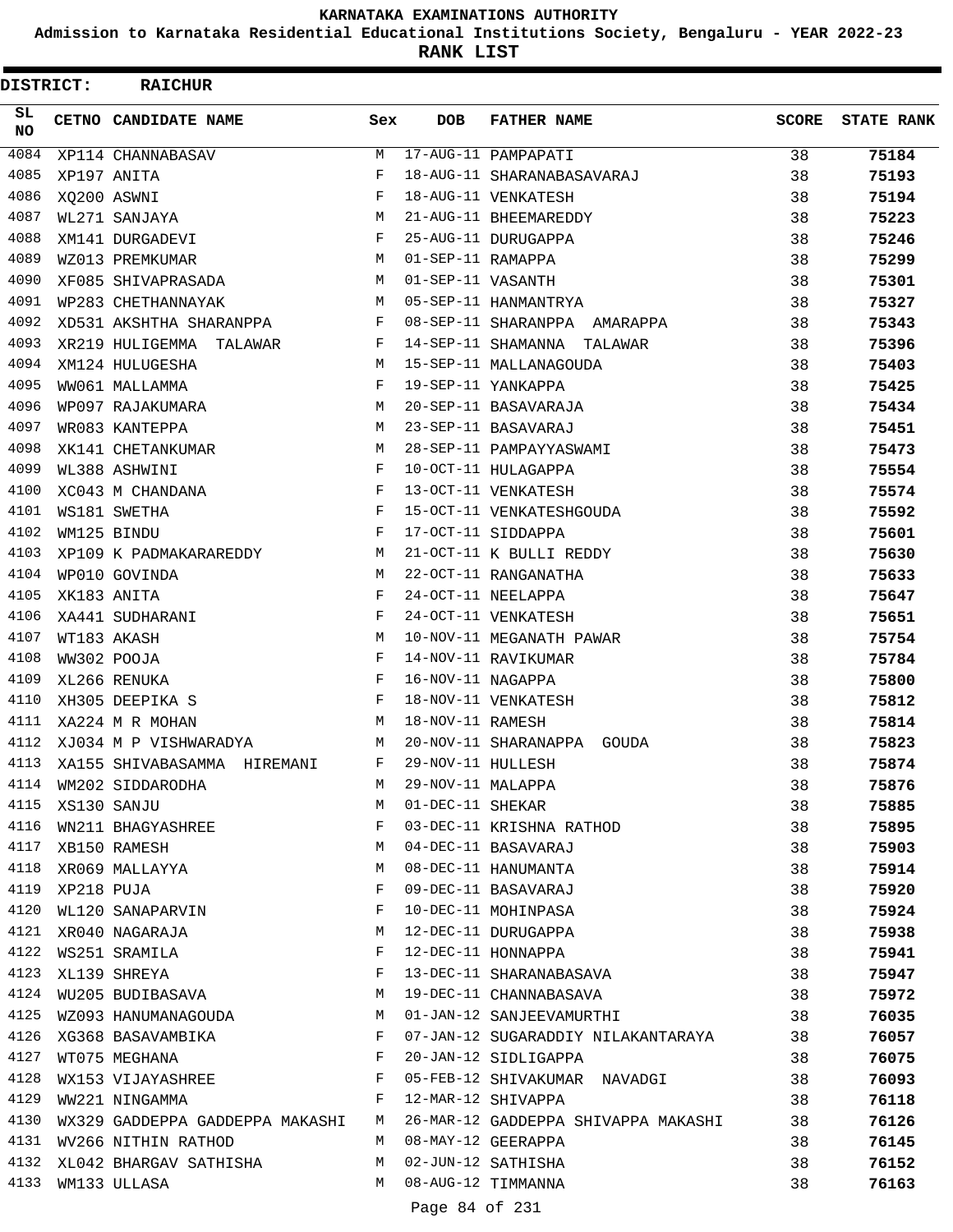**Admission to Karnataka Residential Educational Institutions Society, Bengaluru - YEAR 2022-23**

**RANK LIST**

| DISTRICT:  |             | <b>RAICHUR</b>                    |              |                   |                                                   |              |                   |
|------------|-------------|-----------------------------------|--------------|-------------------|---------------------------------------------------|--------------|-------------------|
| SL.<br>NO. |             | CETNO CANDIDATE NAME              | Sex          | <b>DOB</b>        | <b>FATHER NAME</b>                                | <b>SCORE</b> | <b>STATE RANK</b> |
| 4084       |             | XP114 CHANNABASAV                 | M            |                   | 17-AUG-11 PAMPAPATI                               | 38           | 75184             |
| 4085       |             | XP197 ANITA                       | F            |                   | 18-AUG-11 SHARANABASAVARAJ                        | 38           | 75193             |
| 4086       | XO200 ASWNI |                                   | F            |                   | 18-AUG-11 VENKATESH                               | 38           | 75194             |
| 4087       |             | WL271 SANJAYA                     | М            |                   | 21-AUG-11 BHEEMAREDDY                             | 38           | 75223             |
| 4088       |             | XM141 DURGADEVI                   | F            |                   | 25-AUG-11 DURUGAPPA                               | 38           | 75246             |
| 4089       |             | WZ013 PREMKUMAR                   | М            | 01-SEP-11 RAMAPPA |                                                   | 38           | 75299             |
| 4090       |             | XF085 SHIVAPRASADA                | M            | 01-SEP-11 VASANTH |                                                   | 38           | 75301             |
| 4091       |             | WP283 CHETHANNAYAK                | M            |                   | 05-SEP-11 HANMANTRYA                              | 38           | 75327             |
| 4092       |             | XD531 AKSHTHA SHARANPPA           | F            |                   | 08-SEP-11 SHARANPPA AMARAPPA                      | 38           | 75343             |
| 4093       |             | XR219 HULIGEMMA TALAWAR           | F            |                   | 14-SEP-11 SHAMANNA TALAWAR                        | 38           | 75396             |
| 4094       |             | XM124 HULUGESHA                   | M            |                   | 15-SEP-11 MALLANAGOUDA                            | 38           | 75403             |
| 4095       |             | WW061 MALLAMMA                    | F            |                   | 19-SEP-11 YANKAPPA                                | 38           | 75425             |
| 4096       |             | WP097 RAJAKUMARA                  | M            |                   | 20-SEP-11 BASAVARAJA                              | 38           | 75434             |
| 4097       |             | WR083 KANTEPPA                    | M            |                   | 23-SEP-11 BASAVARAJ                               | 38           | 75451             |
| 4098       |             | XK141 CHETANKUMAR                 | M            |                   | 28-SEP-11 PAMPAYYASWAMI                           | 38           | 75473             |
| 4099       |             | WL388 ASHWINI                     | F            |                   | 10-OCT-11 HULAGAPPA                               | 38           | 75554             |
| 4100       |             | XC043 M CHANDANA                  | F            |                   | 13-OCT-11 VENKATESH                               | 38           | 75574             |
| 4101       |             | WS181 SWETHA                      | F            |                   | 15-OCT-11 VENKATESHGOUDA                          | 38           | 75592             |
| 4102       |             | WM125 BINDU                       | F            |                   | 17-OCT-11 SIDDAPPA                                | 38           | 75601             |
| 4103       |             | XP109 K PADMAKARAREDDY            | М            |                   | 21-OCT-11 K BULLI REDDY                           | 38           | 75630             |
| 4104       |             | WP010 GOVINDA                     | M            |                   | 22-OCT-11 RANGANATHA                              | 38           | 75633             |
| 4105       |             | XK183 ANITA                       | F            |                   | 24-OCT-11 NEELAPPA                                | 38           | 75647             |
| 4106       |             | XA441 SUDHARANI                   | $_{\rm F}$   |                   | 24-OCT-11 VENKATESH                               | 38           | 75651             |
| 4107       |             | WT183 AKASH                       | M            |                   | 10-NOV-11 MEGANATH PAWAR                          | 38           | 75754             |
| 4108       |             | WW302 POOJA                       | F            |                   | 14-NOV-11 RAVIKUMAR                               | 38           | 75784             |
| 4109       |             | XL266 RENUKA                      | F            | 16-NOV-11 NAGAPPA |                                                   | 38           | 75800             |
| 4110       |             | XH305 DEEPIKA S                   | $\mathbf{F}$ |                   | 18-NOV-11 VENKATESH                               | 38           | 75812             |
| 4111       |             | XA224 M R MOHAN                   | М            | 18-NOV-11 RAMESH  |                                                   | 38           | 75814             |
| 4112       |             | XJ034 M P VISHWARADYA             | М            |                   | 20-NOV-11 SHARANAPPA<br>GOUDA                     | 38           | 75823             |
| 4113       |             | XA155 SHIVABASAMMA HIREMANI       | F            | 29-NOV-11 HULLESH |                                                   | 38           | 75874             |
| 4114       |             | WM202 SIDDARODHA                  | M            | 29-NOV-11 MALAPPA |                                                   | 38           | 75876             |
| 4115       |             | XS130 SANJU                       | M            | 01-DEC-11 SHEKAR  |                                                   | 38           | 75885             |
| 4116       |             | WN211 BHAGYASHREE                 | $\mathbf{F}$ |                   | 03-DEC-11 KRISHNA RATHOD                          | 38           | 75895             |
|            |             | 4117 XB150 RAMESH                 | M            |                   | 04-DEC-11 BASAVARAJ                               | 38           | 75903             |
| 4118       |             | XR069 MALLAYYA                    | M            |                   | 08-DEC-11 HANUMANTA                               | 38           | 75914             |
| 4119       | XP218 PUJA  |                                   | F            |                   | 09-DEC-11 BASAVARAJ                               | 38           | 75920             |
| 4120       |             | WL120 SANAPARVIN                  | F            |                   | 10-DEC-11 MOHINPASA                               | 38           | 75924             |
|            |             | 4121 XR040 NAGARAJA               | M            |                   | 12-DEC-11 DURUGAPPA                               | 38           | 75938             |
|            |             | 4122 WS251 SRAMILA                | F            |                   | 12-DEC-11 HONNAPPA                                | 38           |                   |
| 4123       |             | XL139 SHREYA                      | F            |                   |                                                   |              | 75941             |
| 4124       |             | WU205 BUDIBASAVA M                |              |                   | 13-DEC-11 SHARANABASAVA<br>19-DEC-11 CHANNABASAVA | 38           | 75947             |
|            |             |                                   |              |                   |                                                   | 38           | 75972             |
|            |             | 4125 WZ093 HANUMANAGOUDA          | M            |                   | 01-JAN-12 SANJEEVAMURTHI                          | 38           | 76035             |
|            |             | 4126 XG368 BASAVAMBIKA            | F            |                   | 07-JAN-12 SUGARADDIY NILAKANTARAYA 38             |              | 76057             |
| 4127       |             | WT075 MEGHANA                     | $_{\rm F}$   |                   | 20-JAN-12 SIDLIGAPPA                              | 38           | 76075             |
| 4128       |             | WX153 VIJAYASHREE F               |              |                   | 05-FEB-12 SHIVAKUMAR NAVADGI                      | 38           | 76093             |
| 4129       |             | WW221 NINGAMMA                    | F            |                   | 12-MAR-12 SHIVAPPA                                | 38           | 76118             |
| 4130       |             | WX329 GADDEPPA GADDEPPA MAKASHI M |              |                   | 26-MAR-12 GADDEPPA SHIVAPPA MAKASHI               | 38           | 76126             |
| 4131       |             | WV266 NITHIN RATHOD               | M            |                   | 08-MAY-12 GEERAPPA                                | 38           | 76145             |
| 4132       |             | XL042 BHARGAV SATHISHA            | M            |                   | 02-JUN-12 SATHISHA                                | 38           | 76152             |
| 4133       |             | WM133 ULLASA                      | M            |                   | 08-AUG-12 TIMMANNA                                | 38           | 76163             |
|            |             |                                   |              | Page 84 of 231    |                                                   |              |                   |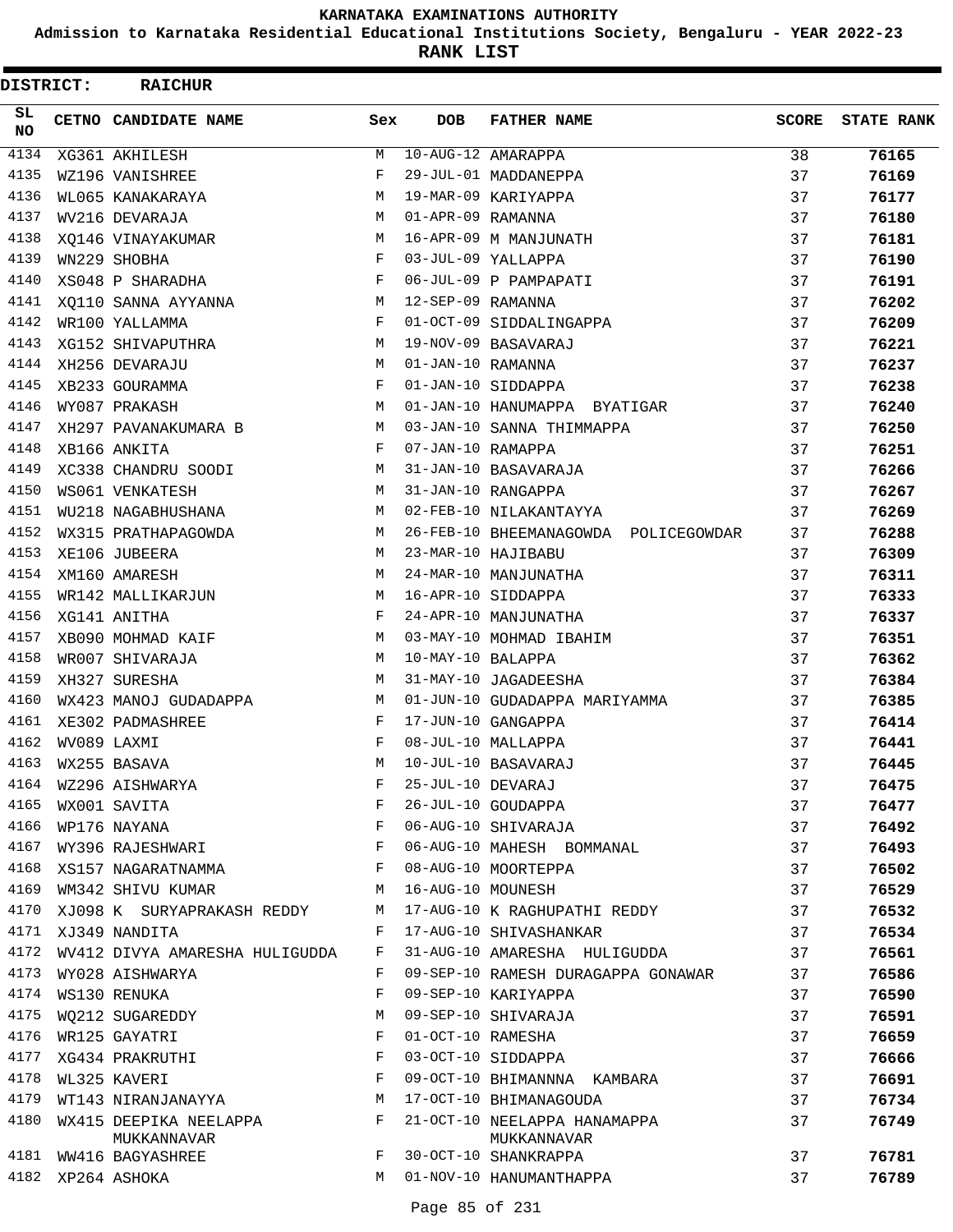**Admission to Karnataka Residential Educational Institutions Society, Bengaluru - YEAR 2022-23**

**RANK LIST**

| <b>DISTRICT:</b> | <b>RAICHUR</b>                        |            |                   |                                             |              |                   |
|------------------|---------------------------------------|------------|-------------------|---------------------------------------------|--------------|-------------------|
| SL.<br><b>NO</b> | CETNO CANDIDATE NAME                  | Sex        | <b>DOB</b>        | <b>FATHER NAME</b>                          | <b>SCORE</b> | <b>STATE RANK</b> |
| 4134             | XG361 AKHILESH                        | М          |                   | $10 - AUG - 12$ AMARAPPA                    | 38           | 76165             |
| 4135             | WZ196 VANISHREE                       | F          |                   | 29-JUL-01 MADDANEPPA                        | 37           | 76169             |
| 4136             | WL065 KANAKARAYA                      | M          |                   | 19-MAR-09 KARIYAPPA                         | 37           | 76177             |
| 4137             | WV216 DEVARAJA                        | M          | 01-APR-09 RAMANNA |                                             | 37           | 76180             |
| 4138             | XQ146 VINAYAKUMAR                     | M          |                   | 16-APR-09 M MANJUNATH                       | 37           | 76181             |
| 4139             | WN229 SHOBHA                          | F          |                   | 03-JUL-09 YALLAPPA                          | 37           | 76190             |
| 4140             | XS048 P SHARADHA                      | F          |                   | 06-JUL-09 P PAMPAPATI                       | 37           | 76191             |
| 4141             | XO110 SANNA AYYANNA                   | М          | 12-SEP-09 RAMANNA |                                             | 37           | 76202             |
| 4142             | WR100 YALLAMMA                        | F          |                   | 01-OCT-09 SIDDALINGAPPA                     | 37           | 76209             |
| 4143             | XG152 SHIVAPUTHRA                     | М          |                   | 19-NOV-09 BASAVARAJ                         | 37           | 76221             |
| 4144             | XH256 DEVARAJU                        | M          | 01-JAN-10 RAMANNA |                                             | 37           | 76237             |
| 4145             | XB233 GOURAMMA                        | F          |                   | 01-JAN-10 SIDDAPPA                          | 37           | 76238             |
| 4146             | WY087 PRAKASH                         | M          |                   | 01-JAN-10 HANUMAPPA BYATIGAR                | 37           | 76240             |
| 4147             | XH297 PAVANAKUMARA B                  | M          |                   | 03-JAN-10 SANNA THIMMAPPA                   | 37           | 76250             |
| 4148             | XB166 ANKITA                          | F          | 07-JAN-10 RAMAPPA |                                             | 37           | 76251             |
| 4149             | XC338 CHANDRU SOODI                   | М          |                   | 31-JAN-10 BASAVARAJA                        | 37           | 76266             |
| 4150             | WS061 VENKATESH                       | М          |                   | 31-JAN-10 RANGAPPA                          | 37           | 76267             |
| 4151             | WU218 NAGABHUSHANA                    | M          |                   | 02-FEB-10 NILAKANTAYYA                      | 37           | 76269             |
| 4152             | WX315 PRATHAPAGOWDA                   | М          |                   | 26-FEB-10 BHEEMANAGOWDA POLICEGOWDAR        | 37           | 76288             |
| 4153             | XE106 JUBEERA                         | М          |                   | 23-MAR-10 HAJIBABU                          | 37           | 76309             |
| 4154             | XM160 AMARESH                         | M          |                   | 24-MAR-10 MANJUNATHA                        | 37           | 76311             |
| 4155             | WR142 MALLIKARJUN                     | М          |                   | 16-APR-10 SIDDAPPA                          | 37           | 76333             |
| 4156             | XG141 ANITHA                          | F          |                   | 24-APR-10 MANJUNATHA                        | 37           | 76337             |
| 4157             | XB090 MOHMAD KAIF                     | M          |                   | 03-MAY-10 MOHMAD IBAHIM                     | 37           | 76351             |
| 4158             | WR007 SHIVARAJA                       | М          | 10-MAY-10 BALAPPA |                                             | 37           | 76362             |
| 4159             | XH327 SURESHA                         | М          |                   | 31-MAY-10 JAGADEESHA                        | 37           | 76384             |
| 4160             | WX423 MANOJ GUDADAPPA                 | M          |                   | 01-JUN-10 GUDADAPPA MARIYAMMA               | 37           | 76385             |
| 4161             | XE302 PADMASHREE                      | F          |                   | 17-JUN-10 GANGAPPA                          | 37           | 76414             |
| 4162             | WV089 LAXMI                           | $_{\rm F}$ |                   | 08-JUL-10 MALLAPPA                          | 37           | 76441             |
| 4163             | WX255 BASAVA                          | M          |                   | 10-JUL-10 BASAVARAJ                         | 37           | 76445             |
| 4164             | WZ296 AISHWARYA                       | F          | 25-JUL-10 DEVARAJ |                                             | 37           | 76475             |
| 4165             | WX001 SAVITA                          | F          |                   | 26-JUL-10 GOUDAPPA                          | 37           | 76477             |
| 4166             | WP176 NAYANA                          | F          |                   | 06-AUG-10 SHIVARAJA                         | 37           | 76492             |
| 4167             | WY396 RAJESHWARI                      | F          |                   | 06-AUG-10 MAHESH BOMMANAL                   | 37           | 76493             |
|                  | 4168 XS157 NAGARATNAMMA               | F          |                   | 08-AUG-10 MOORTEPPA                         | 37           | 76502             |
| 4169             | WM342 SHIVU KUMAR                     | М          | 16-AUG-10 MOUNESH |                                             | 37           | 76529             |
| 4170             | XJ098 K SURYAPRAKASH REDDY            | М          |                   | 17-AUG-10 K RAGHUPATHI REDDY                | 37           | 76532             |
| 4171             | XJ349 NANDITA                         | F          |                   | 17-AUG-10 SHIVASHANKAR                      | 37           | 76534             |
| 4172             | WV412 DIVYA AMARESHA HULIGUDDA        | F          |                   | 31-AUG-10 AMARESHA HULIGUDDA                | 37           | 76561             |
| 4173             | WY028 AISHWARYA                       | F          |                   | 09-SEP-10 RAMESH DURAGAPPA GONAWAR          | 37           | 76586             |
| 4174             | WS130 RENUKA                          | F          |                   | 09-SEP-10 KARIYAPPA                         | 37           | 76590             |
|                  | 4175 WO212 SUGAREDDY                  | М          |                   | 09-SEP-10 SHIVARAJA                         | 37           | 76591             |
| 4176             | WR125 GAYATRI                         | F          | 01-OCT-10 RAMESHA |                                             | 37           | 76659             |
| 4177             | XG434 PRAKRUTHI                       | F          |                   | 03-OCT-10 SIDDAPPA                          | 37           | 76666             |
| 4178             | WL325 KAVERI                          | F          |                   | 09-OCT-10 BHIMANNNA KAMBARA                 | 37           | 76691             |
| 4179             | WT143 NIRANJANAYYA                    | M          |                   | 17-OCT-10 BHIMANAGOUDA                      | 37           | 76734             |
| 4180             | WX415 DEEPIKA NEELAPPA<br>MUKKANNAVAR | F          |                   | 21-OCT-10 NEELAPPA HANAMAPPA<br>MUKKANNAVAR | 37           | 76749             |
|                  | 4181 WW416 BAGYASHREE                 | F          |                   | 30-OCT-10 SHANKRAPPA                        | 37           | 76781             |
|                  | 4182 XP264 ASHOKA                     | M          |                   | 01-NOV-10 HANUMANTHAPPA                     | 37           | 76789             |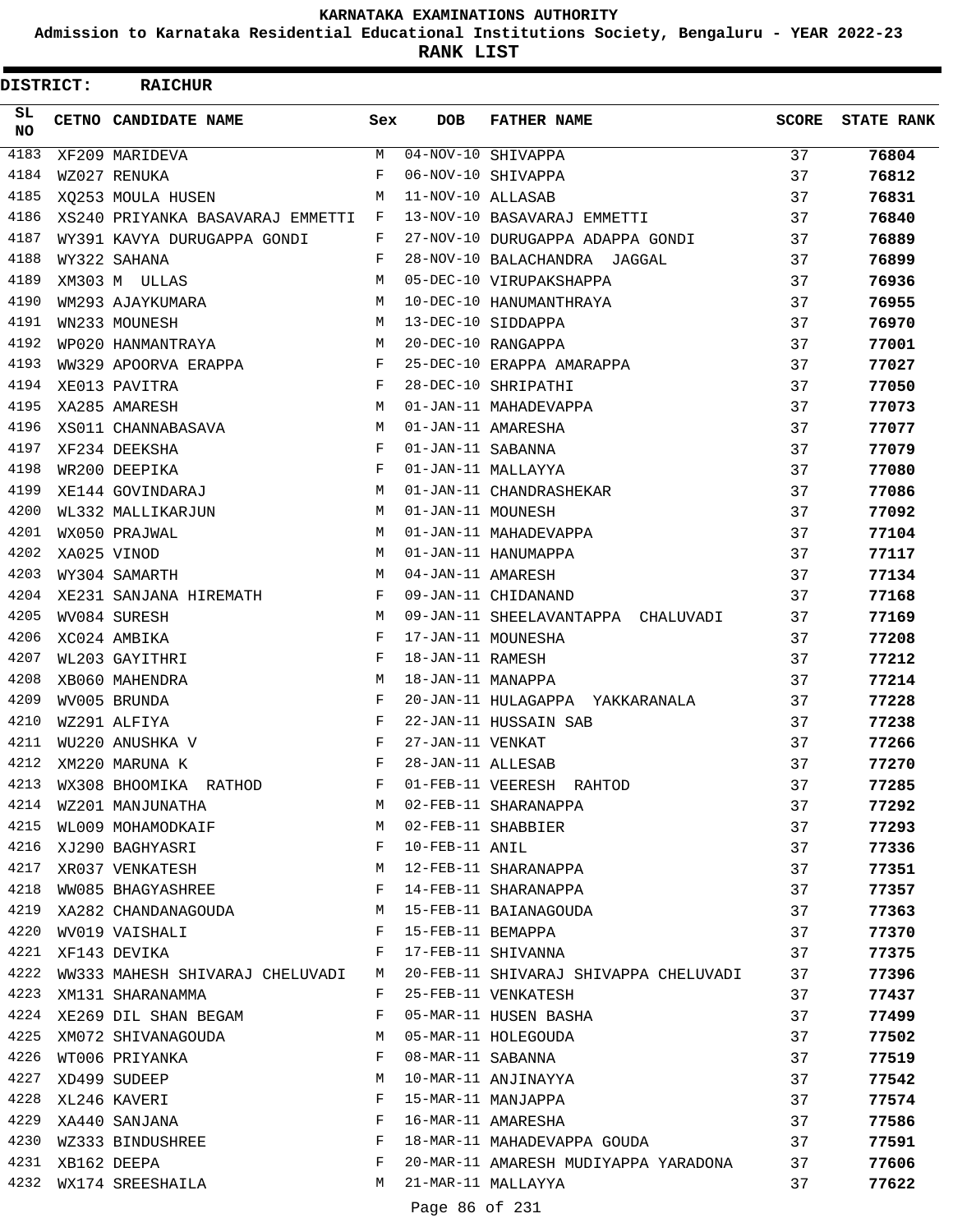**Admission to Karnataka Residential Educational Institutions Society, Bengaluru - YEAR 2022-23**

**RANK LIST**

 $\blacksquare$ 

| <b>DISTRICT:</b> | <b>RAICHUR</b>                       |        |                   |                                       |              |                   |
|------------------|--------------------------------------|--------|-------------------|---------------------------------------|--------------|-------------------|
| SL.<br><b>NO</b> | <b>CETNO CANDIDATE NAME</b>          | Sex    | <b>DOB</b>        | <b>FATHER NAME</b>                    | <b>SCORE</b> | <b>STATE RANK</b> |
| 4183             | XF209 MARIDEVA                       | M      |                   | $04-NOV-10$ SHIVAPPA                  | 37           | 76804             |
| 4184             | WZ027 RENUKA                         | F      |                   | 06-NOV-10 SHIVAPPA                    | 37           | 76812             |
| 4185             | XQ253 MOULA HUSEN                    | M      | 11-NOV-10 ALLASAB |                                       | 37           | 76831             |
| 4186             | XS240 PRIYANKA BASAVARAJ EMMETTI F   |        |                   | 13-NOV-10 BASAVARAJ EMMETTI           | 37           | 76840             |
| 4187             | WY391 KAVYA DURUGAPPA GONDI          | F      |                   | 27-NOV-10 DURUGAPPA ADAPPA GONDI      | 37           | 76889             |
| 4188             | WY322 SAHANA                         | F      |                   | 28-NOV-10 BALACHANDRA JAGGAL          | 37           | 76899             |
| 4189             | XM303 M ULLAS                        | M      |                   | 05-DEC-10 VIRUPAKSHAPPA               | 37           | 76936             |
| 4190             | WM293 AJAYKUMARA                     | M      |                   | 10-DEC-10 HANUMANTHRAYA               | 37           | 76955             |
| 4191             | WN233 MOUNESH                        | M      |                   | 13-DEC-10 SIDDAPPA                    | 37           | 76970             |
| 4192             | WP020 HANMANTRAYA                    | M      |                   | 20-DEC-10 RANGAPPA                    | 37           | 77001             |
| 4193             | WW329 APOORVA ERAPPA                 | F      |                   | 25-DEC-10 ERAPPA AMARAPPA             | 37           | 77027             |
| 4194             | XE013 PAVITRA                        | F      |                   | 28-DEC-10 SHRIPATHI                   | 37           | 77050             |
| 4195             | XA285 AMARESH                        | M      |                   | 01-JAN-11 MAHADEVAPPA                 | 37           | 77073             |
| 4196             | XS011 CHANNABASAVA                   | M      |                   | 01-JAN-11 AMARESHA                    | 37           | 77077             |
| 4197             | XF234 DEEKSHA                        | F      | 01-JAN-11 SABANNA |                                       | 37           | 77079             |
| 4198             | WR200 DEEPIKA                        | F      |                   | 01-JAN-11 MALLAYYA                    | 37           | 77080             |
| 4199             | XE144 GOVINDARAJ                     | M      |                   | 01-JAN-11 CHANDRASHEKAR               | 37           | 77086             |
| 4200             | WL332 MALLIKARJUN                    | М      | 01-JAN-11 MOUNESH |                                       | 37           | 77092             |
| 4201             | WX050 PRAJWAL                        | M      |                   | 01-JAN-11 MAHADEVAPPA                 | 37           | 77104             |
| 4202             | XA025 VINOD                          | M      |                   | 01-JAN-11 HANUMAPPA                   | 37           | 77117             |
| 4203             | WY304 SAMARTH                        | M      | 04-JAN-11 AMARESH |                                       | 37           | 77134             |
| 4204             | XE231 SANJANA HIREMATH               | F      |                   | 09-JAN-11 CHIDANAND                   | 37           | 77168             |
| 4205             | WV084 SURESH                         | M      |                   | 09-JAN-11 SHEELAVANTAPPA CHALUVADI    | 37           | 77169             |
| 4206             | XC024 AMBIKA                         | F      |                   | 17-JAN-11 MOUNESHA                    | 37           | 77208             |
| 4207             | WL203 GAYITHRI                       | F      | 18-JAN-11 RAMESH  |                                       | 37           | 77212             |
| 4208             | XB060 MAHENDRA                       | M      | 18-JAN-11 MANAPPA |                                       | 37           | 77214             |
| 4209             | WV005 BRUNDA                         | F      |                   | 20-JAN-11 HULAGAPPA YAKKARANALA       | 37           | 77228             |
| 4210             | WZ291 ALFIYA                         | F      |                   | 22-JAN-11 HUSSAIN SAB                 | 37           | 77238             |
| 4211             | WU220 ANUSHKA V                      | F      | 27-JAN-11 VENKAT  |                                       | 37           | 77266             |
| 4212             | XM220 MARUNA K                       | F      | 28-JAN-11 ALLESAB |                                       | 37           | 77270             |
| 4213             | WX308 BHOOMIKA RATHOD                | F      |                   | 01-FEB-11 VEERESH RAHTOD              | 37           | 77285             |
| 4214             | WZ201 MANJUNATHA                     | M      |                   | 02-FEB-11 SHARANAPPA                  | 37           | 77292             |
| 4215             | WL009 MOHAMODKAIF                    | M      |                   | 02-FEB-11 SHABBIER                    | 37           | 77293             |
| 4216             | XJ290 BAGHYASRI                      | F      | 10-FEB-11 ANIL    |                                       | 37           | 77336             |
| 4217<br>4218     | XR037 VENKATESH<br>WW085 BHAGYASHREE | М      |                   | 12-FEB-11 SHARANAPPA                  | 37           | 77351             |
| 4219             |                                      | F      |                   | 14-FEB-11 SHARANAPPA                  | 37           | 77357             |
| 4220             | XA282 CHANDANAGOUDA                  | M<br>F |                   | 15-FEB-11 BAIANAGOUDA                 | 37           | 77363             |
| 4221             | WV019 VAISHALI                       | F      | 15-FEB-11 BEMAPPA | 17-FEB-11 SHIVANNA                    | 37           | 77370             |
| 4222             | XF143 DEVIKA                         |        |                   |                                       | 37           | 77375             |
| 4223             | WW333 MAHESH SHIVARAJ CHELUVADI M    | F      |                   | 20-FEB-11 SHIVARAJ SHIVAPPA CHELUVADI | 37           | 77396             |
| 4224             | XM131 SHARANAMMA                     | F      |                   | 25-FEB-11 VENKATESH                   | 37           | 77437             |
|                  | XE269 DIL SHAN BEGAM                 |        |                   | 05-MAR-11 HUSEN BASHA                 | 37           | 77499             |
| 4225<br>4226     | XM072 SHIVANAGOUDA                   | М<br>F | 08-MAR-11 SABANNA | 05-MAR-11 HOLEGOUDA                   | 37           | 77502             |
| 4227             | WT006 PRIYANKA<br>XD499 SUDEEP       | М      |                   | 10-MAR-11 ANJINAYYA                   | 37<br>37     | 77519             |
| 4228             |                                      | F      |                   | 15-MAR-11 MANJAPPA                    | 37           | 77542             |
| 4229             | XL246 KAVERI<br>XA440 SANJANA        | F      |                   | 16-MAR-11 AMARESHA                    | 37           | 77574             |
| 4230             | WZ333 BINDUSHREE                     | F      |                   | 18-MAR-11 MAHADEVAPPA GOUDA           | 37           | 77586             |
| 4231             |                                      | F      |                   | 20-MAR-11 AMARESH MUDIYAPPA YARADONA  |              | 77591             |
| 4232             | XB162 DEEPA                          | M      |                   | 21-MAR-11 MALLAYYA                    | 37<br>37     | 77606             |
|                  | WX174 SREESHAILA                     |        |                   |                                       |              | 77622             |

Page 86 of 231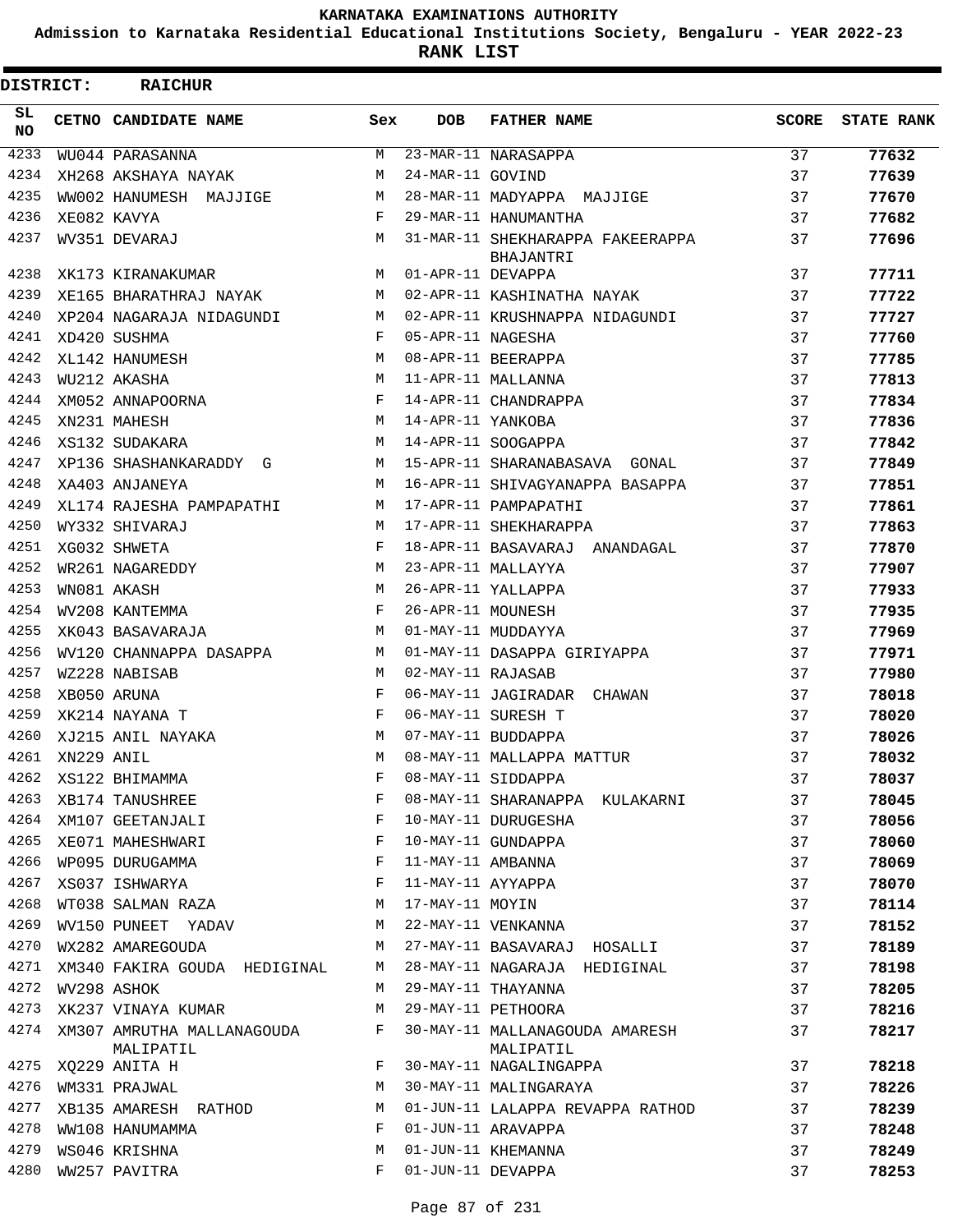**Admission to Karnataka Residential Educational Institutions Society, Bengaluru - YEAR 2022-23**

**RANK LIST**

| <b>DISTRICT:</b> |                 | <b>RAICHUR</b>                          |     |                   |                                               |       |                   |
|------------------|-----------------|-----------------------------------------|-----|-------------------|-----------------------------------------------|-------|-------------------|
| SL.<br><b>NO</b> |                 | CETNO CANDIDATE NAME                    | Sex | <b>DOB</b>        | <b>FATHER NAME</b>                            | SCORE | <b>STATE RANK</b> |
| 4233             |                 | WU044 PARASANNA                         | M   |                   | 23-MAR-11 NARASAPPA                           | 37    | 77632             |
| 4234             |                 | XH268 AKSHAYA NAYAK                     | М   | 24-MAR-11 GOVIND  |                                               | 37    | 77639             |
| 4235             |                 | WW002 HANUMESH MAJJIGE                  | M   |                   | 28-MAR-11 MADYAPPA MAJJIGE                    | 37    | 77670             |
| 4236             |                 | XE082 KAVYA                             | F   |                   | 29-MAR-11 HANUMANTHA                          | 37    | 77682             |
| 4237             |                 | WV351 DEVARAJ                           | M   |                   | 31-MAR-11 SHEKHARAPPA FAKEERAPPA<br>BHAJANTRI | 37    | 77696             |
| 4238             |                 | XK173 KIRANAKUMAR                       | M   | 01-APR-11 DEVAPPA |                                               | 37    | 77711             |
| 4239             |                 | XE165 BHARATHRAJ NAYAK                  | M   |                   | 02-APR-11 KASHINATHA NAYAK                    | 37    | 77722             |
| 4240             |                 | XP204 NAGARAJA NIDAGUNDI                | M   |                   | 02-APR-11 KRUSHNAPPA NIDAGUNDI                | 37    | 77727             |
| 4241             |                 | XD420 SUSHMA                            | F   | 05-APR-11 NAGESHA |                                               | 37    | 77760             |
| 4242             |                 | XL142 HANUMESH                          | M   |                   | 08-APR-11 BEERAPPA                            | 37    | 77785             |
| 4243             |                 | WU212 AKASHA                            | M   |                   | 11-APR-11 MALLANNA                            | 37    | 77813             |
| 4244             |                 | XM052 ANNAPOORNA                        | F   |                   | 14-APR-11 CHANDRAPPA                          | 37    | 77834             |
| 4245             |                 | XN231 MAHESH                            | М   | 14-APR-11 YANKOBA |                                               | 37    | 77836             |
| 4246             |                 | XS132 SUDAKARA                          | M   |                   | 14-APR-11 SOOGAPPA                            | 37    | 77842             |
| 4247             |                 | XP136 SHASHANKARADDY G                  | M   |                   | 15-APR-11 SHARANABASAVA GONAL                 | 37    | 77849             |
| 4248             |                 | XA403 ANJANEYA                          | M   |                   | 16-APR-11 SHIVAGYANAPPA BASAPPA               | 37    | 77851             |
| 4249             |                 | XL174 RAJESHA PAMPAPATHI                | M   |                   | 17-APR-11 PAMPAPATHI                          | 37    | 77861             |
| 4250             |                 | WY332 SHIVARAJ                          | M   |                   | 17-APR-11 SHEKHARAPPA                         | 37    | 77863             |
| 4251             |                 | XG032 SHWETA                            | F   |                   | 18-APR-11 BASAVARAJ ANANDAGAL                 | 37    | 77870             |
| 4252             |                 | WR261 NAGAREDDY                         | M   |                   | 23-APR-11 MALLAYYA                            | 37    | 77907             |
| 4253             |                 | WN081 AKASH                             | M   |                   | 26-APR-11 YALLAPPA                            | 37    | 77933             |
| 4254             |                 | WV208 KANTEMMA                          | F   | 26-APR-11 MOUNESH |                                               | 37    | 77935             |
| 4255             |                 | XK043 BASAVARAJA                        | M   |                   | 01-MAY-11 MUDDAYYA                            | 37    | 77969             |
| 4256             |                 | WV120 CHANNAPPA DASAPPA                 | M   |                   | 01-MAY-11 DASAPPA GIRIYAPPA                   | 37    | 77971             |
| 4257             |                 | WZ228 NABISAB                           | M   | 02-MAY-11 RAJASAB |                                               | 37    | 77980             |
| 4258             |                 | XB050 ARUNA                             | F   |                   | 06-MAY-11 JAGIRADAR CHAWAN                    | 37    | 78018             |
| 4259             |                 | XK214 NAYANA T                          | F   |                   | 06-MAY-11 SURESH T                            | 37    | 78020             |
| 4260             |                 | XJ215 ANIL NAYAKA                       | M   |                   | 07-MAY-11 BUDDAPPA                            | 37    | 78026             |
|                  | 4261 XN229 ANIL |                                         | M   |                   | 08-MAY-11 MALLAPPA MATTUR                     | 37    | 78032             |
| 4262             |                 | XS122 BHIMAMMA                          |     |                   | F 08-MAY-11 SIDDAPPA                          | 37    | 78037             |
| 4263             |                 | XB174 TANUSHREE                         | F   |                   | 08-MAY-11 SHARANAPPA KULAKARNI                | 37    | 78045             |
| 4264             |                 | XM107 GEETANJALI                        | F   |                   | 10-MAY-11 DURUGESHA                           | 37    | 78056             |
| 4265             |                 | XE071 MAHESHWARI                        | F   |                   | 10-MAY-11 GUNDAPPA                            | 37    | 78060             |
| 4266             |                 | WP095 DURUGAMMA                         | F   | 11-MAY-11 AMBANNA |                                               | 37    | 78069             |
| 4267             |                 | XS037 ISHWARYA                          | F   | 11-MAY-11 AYYAPPA |                                               | 37    | 78070             |
| 4268             |                 | WT038 SALMAN RAZA                       | М   | 17-MAY-11 MOYIN   |                                               | 37    | 78114             |
| 4269             |                 | WV150 PUNEET YADAV                      | M   |                   | 22-MAY-11 VENKANNA                            | 37    | 78152             |
| 4270             |                 | WX282 AMAREGOUDA                        | M   |                   | 27-MAY-11 BASAVARAJ HOSALLI                   | 37    | 78189             |
| 4271             |                 | XM340 FAKIRA GOUDA HEDIGINAL            | М   |                   | 28-MAY-11 NAGARAJA HEDIGINAL                  | 37    | 78198             |
| 4272             |                 | WV298 ASHOK                             | М   |                   | 29-MAY-11 THAYANNA                            | 37    | 78205             |
| 4273             |                 | XK237 VINAYA KUMAR                      | M   |                   | 29-MAY-11 PETHOORA                            | 37    | 78216             |
| 4274             |                 | XM307 AMRUTHA MALLANAGOUDA<br>MALIPATIL | F   |                   | 30-MAY-11 MALLANAGOUDA AMARESH<br>MALIPATIL   | 37    | 78217             |
| 4275             |                 | XQ229 ANITA H                           | F   |                   | 30-MAY-11 NAGALINGAPPA                        | 37    | 78218             |
| 4276             |                 | WM331 PRAJWAL                           | М   |                   | 30-MAY-11 MALINGARAYA                         | 37    | 78226             |
| 4277             |                 | XB135 AMARESH RATHOD                    | М   |                   | 01-JUN-11 LALAPPA REVAPPA RATHOD              | 37    | 78239             |
| 4278             |                 | WW108 HANUMAMMA                         | F   |                   | 01-JUN-11 ARAVAPPA                            | 37    | 78248             |
| 4279             |                 | WS046 KRISHNA                           | М   |                   | 01-JUN-11 KHEMANNA                            | 37    | 78249             |
| 4280             |                 | WW257 PAVITRA                           | F   | 01-JUN-11 DEVAPPA |                                               | 37    | 78253             |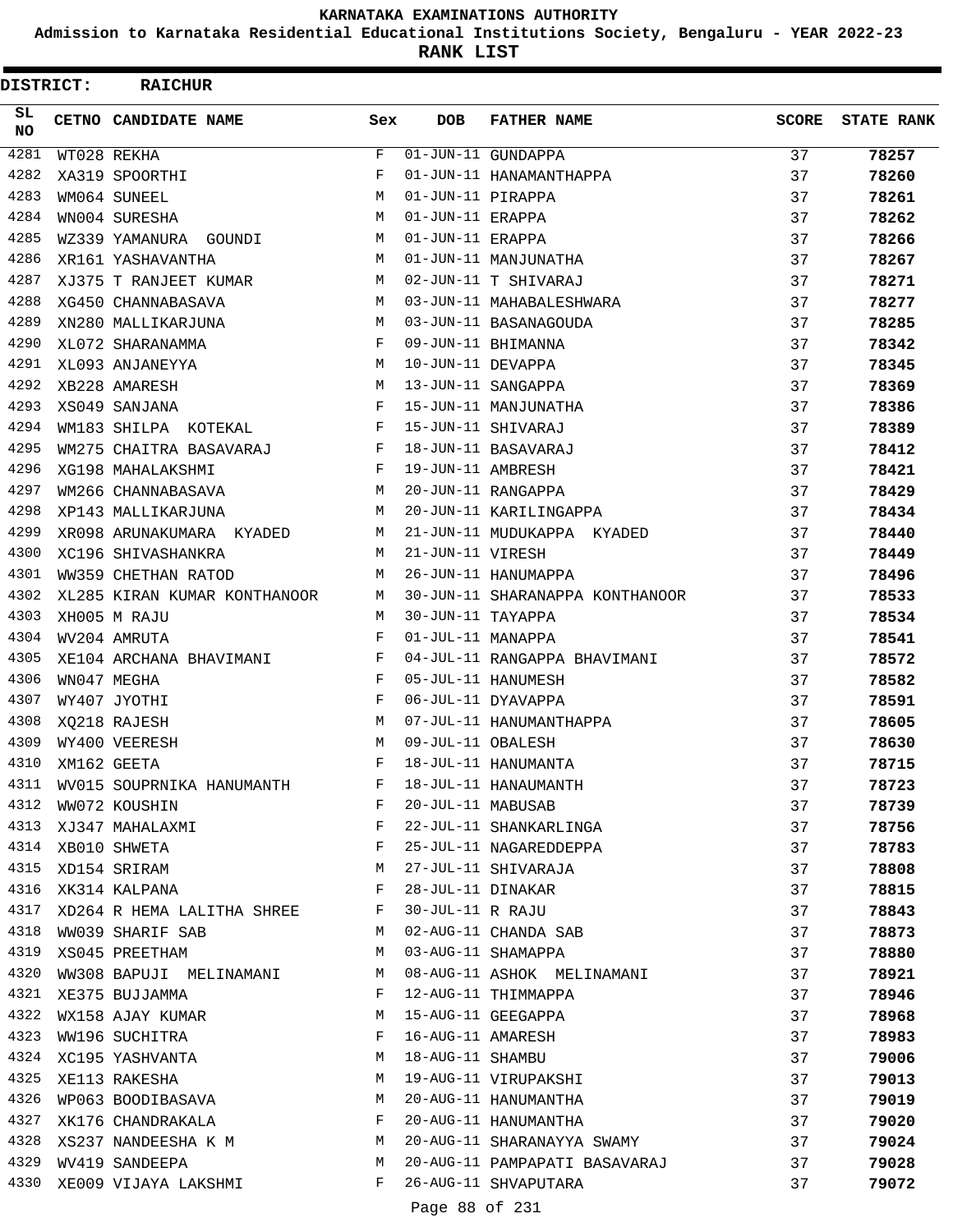**Admission to Karnataka Residential Educational Institutions Society, Bengaluru - YEAR 2022-23**

**RANK LIST**

| <b>DISTRICT:</b> | <b>RAICHUR</b>               |     |                   |                                 |              |                   |
|------------------|------------------------------|-----|-------------------|---------------------------------|--------------|-------------------|
| SL.<br>NO.       | CETNO CANDIDATE NAME         | Sex | <b>DOB</b>        | <b>FATHER NAME</b>              | <b>SCORE</b> | <b>STATE RANK</b> |
| 4281             | WT028 REKHA                  | F   |                   | 01-JUN-11 GUNDAPPA              | 37           | 78257             |
| 4282             | XA319 SPOORTHI               | F   |                   | 01-JUN-11 HANAMANTHAPPA         | 37           | 78260             |
| 4283             | WM064 SUNEEL                 | M   | 01-JUN-11 PIRAPPA |                                 | 37           | 78261             |
| 4284             | WN004 SURESHA                | M   | 01-JUN-11 ERAPPA  |                                 | 37           | 78262             |
| 4285             | WZ339 YAMANURA GOUNDI        | M   | 01-JUN-11 ERAPPA  |                                 | 37           | 78266             |
| 4286             | XR161 YASHAVANTHA            | M   |                   | 01-JUN-11 MANJUNATHA            | 37           | 78267             |
| 4287             | XJ375 T RANJEET KUMAR        | M   |                   | 02-JUN-11 T SHIVARAJ            | 37           | 78271             |
| 4288             | XG450 CHANNABASAVA           | M   |                   | 03-JUN-11 MAHABALESHWARA        | 37           | 78277             |
| 4289             | XN280 MALLIKARJUNA           | M   |                   | 03-JUN-11 BASANAGOUDA           | 37           | 78285             |
| 4290             | XL072 SHARANAMMA             | F   |                   | 09-JUN-11 BHIMANNA              | 37           | 78342             |
| 4291             | XL093 ANJANEYYA              | M   | 10-JUN-11 DEVAPPA |                                 | 37           | 78345             |
| 4292             | XB228 AMARESH                | M   |                   | 13-JUN-11 SANGAPPA              | 37           | 78369             |
| 4293             | XS049 SANJANA                | F   |                   | 15-JUN-11 MANJUNATHA            | 37           | 78386             |
| 4294             | WM183 SHILPA KOTEKAL         | F   |                   | 15-JUN-11 SHIVARAJ              | 37           | 78389             |
| 4295             | WM275 CHAITRA BASAVARAJ      | F   |                   | 18-JUN-11 BASAVARAJ             | 37           | 78412             |
| 4296             | XG198 MAHALAKSHMI            | F   | 19-JUN-11 AMBRESH |                                 | 37           | 78421             |
| 4297             | WM266 CHANNABASAVA           | M   |                   | 20-JUN-11 RANGAPPA              | 37           | 78429             |
| 4298             | XP143 MALLIKARJUNA           | M   |                   | 20-JUN-11 KARILINGAPPA          | 37           | 78434             |
| 4299             | XR098 ARUNAKUMARA KYADED     | M   |                   | 21-JUN-11 MUDUKAPPA KYADED      | 37           | 78440             |
| 4300             | XC196 SHIVASHANKRA           | M   | 21-JUN-11 VIRESH  |                                 | 37           | 78449             |
| 4301             | WW359 CHETHAN RATOD          | M   |                   | 26-JUN-11 HANUMAPPA             | 37           | 78496             |
| 4302             | XL285 KIRAN KUMAR KONTHANOOR | М   |                   | 30-JUN-11 SHARANAPPA KONTHANOOR | 37           | 78533             |
| 4303             | XH005 M RAJU                 | M   | 30-JUN-11 TAYAPPA |                                 | 37           | 78534             |
| 4304             | WV204 AMRUTA                 | F   | 01-JUL-11 MANAPPA |                                 | 37           | 78541             |
| 4305             | XE104 ARCHANA BHAVIMANI      | F   |                   | 04-JUL-11 RANGAPPA BHAVIMANI    | 37           | 78572             |
| 4306             | WN047 MEGHA                  | F   |                   | 05-JUL-11 HANUMESH              | 37           | 78582             |
| 4307             | WY407 JYOTHI                 | F   |                   | 06-JUL-11 DYAVAPPA              | 37           | 78591             |
| 4308             | XQ218 RAJESH                 | M   |                   | 07-JUL-11 HANUMANTHAPPA         | 37           | 78605             |
| 4309             | WY400 VEERESH                | M   | 09-JUL-11 OBALESH |                                 | 37           | 78630             |
| 4310             | XM162 GEETA                  | F   |                   | 18-JUL-11 HANUMANTA             | 37           | 78715             |
| 4311             | WV015 SOUPRNIKA HANUMANTH    | F   |                   | 18-JUL-11 HANAUMANTH            | 37           | 78723             |
| 4312             | WW072 KOUSHIN                | F   | 20-JUL-11 MABUSAB |                                 | 37           | 78739             |
| 4313             | XJ347 MAHALAXMI              | F   |                   | 22-JUL-11 SHANKARLINGA          | 37           | 78756             |
| 4314             | XB010 SHWETA                 | F   |                   | 25-JUL-11 NAGAREDDEPPA          | 37           | 78783             |
| 4315             | XD154 SRIRAM                 | M   |                   | 27-JUL-11 SHIVARAJA             | 37           | 78808             |
| 4316             | XK314 KALPANA                | F   | 28-JUL-11 DINAKAR |                                 | 37           | 78815             |
| 4317             | XD264 R HEMA LALITHA SHREE   | F   | 30-JUL-11 R RAJU  |                                 | 37           | 78843             |
| 4318             | WW039 SHARIF SAB             | М   |                   | 02-AUG-11 CHANDA SAB            | 37           | 78873             |
| 4319             | XS045 PREETHAM               | M   |                   | 03-AUG-11 SHAMAPPA              | 37           | 78880             |
| 4320             | WW308 BAPUJI MELINAMANI      | M   |                   | 08-AUG-11 ASHOK MELINAMANI      | 37           | 78921             |
| 4321             | XE375 BUJJAMMA               | F   |                   | 12-AUG-11 THIMMAPPA             | 37           | 78946             |
| 4322             | WX158 AJAY KUMAR             | M   |                   | 15-AUG-11 GEEGAPPA              | 37           | 78968             |
| 4323             | WW196 SUCHITRA               | F   |                   | 16-AUG-11 AMARESH               | 37           | 78983             |
| 4324             | XC195 YASHVANTA              | М   | 18-AUG-11 SHAMBU  |                                 | 37           | 79006             |
| 4325             | XE113 RAKESHA                | M   |                   | 19-AUG-11 VIRUPAKSHI            | 37           | 79013             |
| 4326             | WP063 BOODIBASAVA            | M   |                   | 20-AUG-11 HANUMANTHA            | 37           | 79019             |
| 4327             | XK176 CHANDRAKALA            | F   |                   | 20-AUG-11 HANUMANTHA            | 37           | 79020             |
| 4328             | XS237 NANDEESHA K M          | M   |                   | 20-AUG-11 SHARANAYYA SWAMY      | 37           | 79024             |
| 4329             | WV419 SANDEEPA               | M   |                   | 20-AUG-11 PAMPAPATI BASAVARAJ   | 37           | 79028             |
| 4330             | XE009 VIJAYA LAKSHMI         | F   |                   | 26-AUG-11 SHVAPUTARA            | 37           | 79072             |
|                  |                              |     |                   |                                 |              |                   |

Page 88 of 231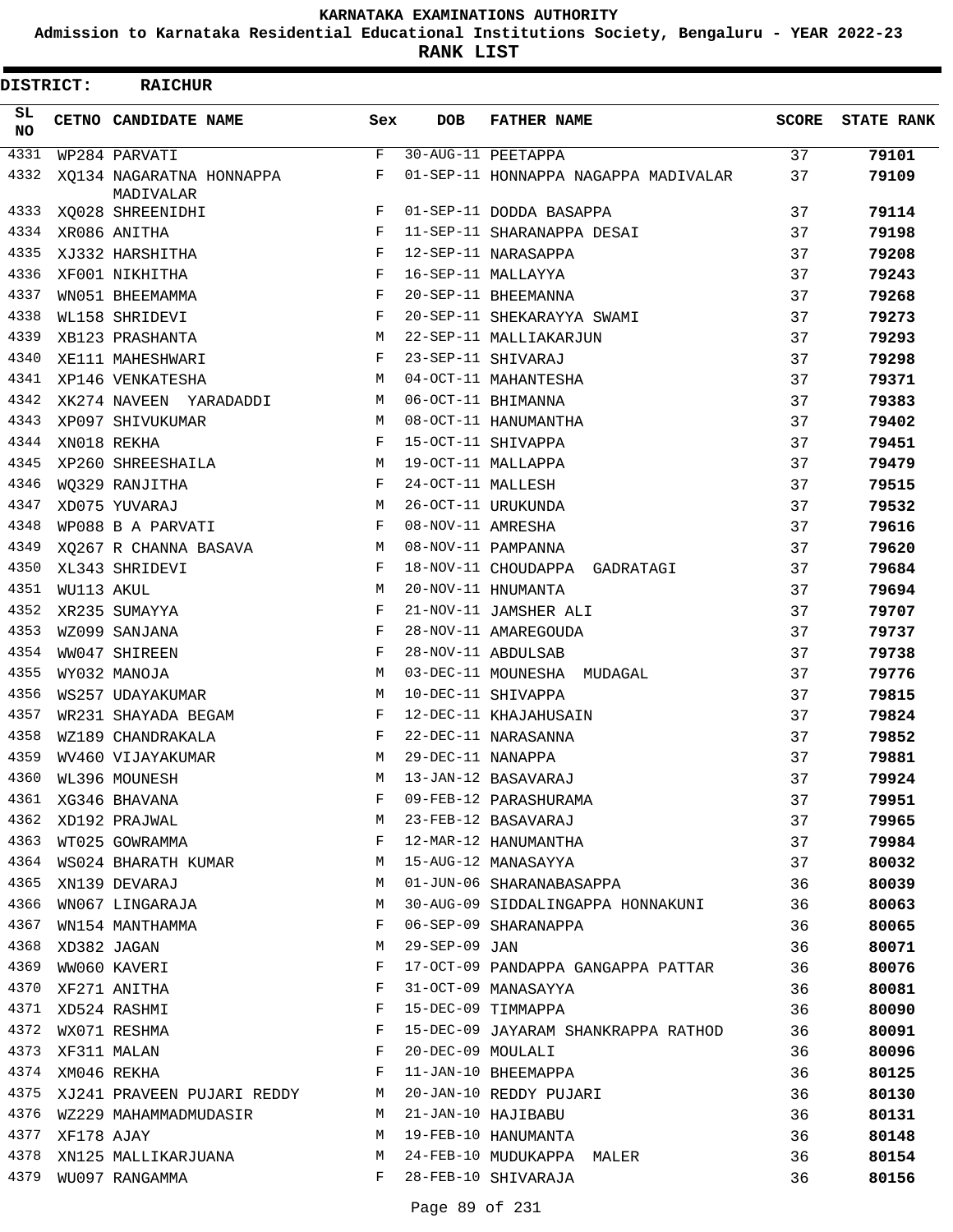**Admission to Karnataka Residential Educational Institutions Society, Bengaluru - YEAR 2022-23**

**RANK LIST**

| DISTRICT:        |            | <b>RAICHUR</b>                        |             |                   |                                      |              |                   |
|------------------|------------|---------------------------------------|-------------|-------------------|--------------------------------------|--------------|-------------------|
| SL.<br><b>NO</b> |            | CETNO CANDIDATE NAME                  | Sex         | <b>DOB</b>        | <b>FATHER NAME</b>                   | <b>SCORE</b> | <b>STATE RANK</b> |
| 4331             |            | WP284 PARVATI                         | $\mathbf F$ |                   | 30-AUG-11 PEETAPPA                   | 37           | 79101             |
| 4332             |            | XQ134 NAGARATNA HONNAPPA<br>MADIVALAR | F           |                   | 01-SEP-11 HONNAPPA NAGAPPA MADIVALAR | 37           | 79109             |
| 4333             |            | XQ028 SHREENIDHI                      | F           |                   | 01-SEP-11 DODDA BASAPPA              | 37           | 79114             |
| 4334             |            | XR086 ANITHA                          | F           |                   | 11-SEP-11 SHARANAPPA DESAI           | 37           | 79198             |
| 4335             |            | XJ332 HARSHITHA                       | F           |                   | 12-SEP-11 NARASAPPA                  | 37           | 79208             |
| 4336             |            | XF001 NIKHITHA                        | F           |                   | 16-SEP-11 MALLAYYA                   | 37           | 79243             |
| 4337             |            | WN051 BHEEMAMMA                       | F           |                   | 20-SEP-11 BHEEMANNA                  | 37           | 79268             |
| 4338             |            | WL158 SHRIDEVI                        | F           |                   | 20-SEP-11 SHEKARAYYA SWAMI           | 37           | 79273             |
| 4339             |            | XB123 PRASHANTA                       | M           |                   | 22-SEP-11 MALLIAKARJUN               | 37           | 79293             |
| 4340             |            | XE111 MAHESHWARI                      | F           |                   | 23-SEP-11 SHIVARAJ                   | 37           | 79298             |
| 4341             |            | XP146 VENKATESHA                      | М           |                   | 04-OCT-11 MAHANTESHA                 | 37           | 79371             |
| 4342             |            | XK274 NAVEEN YARADADDI                | M           |                   | 06-OCT-11 BHIMANNA                   | 37           | 79383             |
| 4343             |            | XP097 SHIVUKUMAR                      | М           |                   | 08-OCT-11 HANUMANTHA                 | 37           | 79402             |
| 4344             |            | XN018 REKHA                           | F           |                   | 15-OCT-11 SHIVAPPA                   | 37           | 79451             |
| 4345             |            | XP260 SHREESHAILA                     | М           |                   | 19-OCT-11 MALLAPPA                   | 37           | 79479             |
| 4346             |            | WQ329 RANJITHA                        | F           | 24-OCT-11 MALLESH |                                      | 37           | 79515             |
| 4347             |            | XD075 YUVARAJ                         | M           |                   | 26-OCT-11 URUKUNDA                   | 37           | 79532             |
| 4348             |            | WP088 B A PARVATI                     | F           | 08-NOV-11 AMRESHA |                                      | 37           | 79616             |
| 4349             |            | XQ267 R CHANNA BASAVA                 | М           |                   | 08-NOV-11 PAMPANNA                   | 37           | 79620             |
| 4350             |            | XL343 SHRIDEVI                        | F           |                   | 18-NOV-11 CHOUDAPPA GADRATAGI        | 37           | 79684             |
| 4351             | WU113 AKUL |                                       | M           |                   | 20-NOV-11 HNUMANTA                   | 37           | 79694             |
| 4352             |            | XR235 SUMAYYA                         | F           |                   | 21-NOV-11 JAMSHER ALI                | 37           | 79707             |
| 4353             |            | WZ099 SANJANA                         | F           |                   | 28-NOV-11 AMAREGOUDA                 | 37           | 79737             |
| 4354             |            | WW047 SHIREEN                         | F           |                   | 28-NOV-11 ABDULSAB                   | 37           | 79738             |
| 4355             |            | WY032 MANOJA                          | M           |                   | 03-DEC-11 MOUNESHA MUDAGAL           | 37           | 79776             |
| 4356             |            | WS257 UDAYAKUMAR                      | М           |                   | 10-DEC-11 SHIVAPPA                   | 37           | 79815             |
| 4357             |            | WR231 SHAYADA BEGAM                   | F           |                   | 12-DEC-11 KHAJAHUSAIN                | 37           | 79824             |
| 4358             |            | WZ189 CHANDRAKALA                     | F           |                   | 22-DEC-11 NARASANNA                  | 37           | 79852             |
| 4359             |            | WV460 VIJAYAKUMAR                     | M           | 29-DEC-11 NANAPPA |                                      | 37           | 79881             |
| 4360             |            | WL396 MOUNESH                         | М           |                   | 13-JAN-12 BASAVARAJ                  | 37           | 79924             |
| 4361             |            | XG346 BHAVANA                         | F           |                   | 09-FEB-12 PARASHURAMA                | 37           | 79951             |
| 4362             |            | XD192 PRAJWAL                         | М           |                   | 23-FEB-12 BASAVARAJ                  | 37           | 79965             |
| 4363             |            | WT025 GOWRAMMA                        | F           |                   | 12-MAR-12 HANUMANTHA                 | 37           | 79984             |
| 4364             |            | WS024 BHARATH KUMAR                   | М           |                   | 15-AUG-12 MANASAYYA                  | 37           | 80032             |
| 4365             |            | XN139 DEVARAJ                         | M           |                   | 01-JUN-06 SHARANABASAPPA             | 36           | 80039             |
| 4366             |            | WN067 LINGARAJA                       | М           |                   | 30-AUG-09 SIDDALINGAPPA HONNAKUNI    | 36           | 80063             |
| 4367             |            | WN154 MANTHAMMA                       | F           |                   | 06-SEP-09 SHARANAPPA                 | 36           | 80065             |
| 4368             |            | XD382 JAGAN                           | М           | 29-SEP-09 JAN     |                                      | 36           | 80071             |
| 4369             |            | WW060 KAVERI                          | F           |                   | 17-OCT-09 PANDAPPA GANGAPPA PATTAR   | 36           | 80076             |
| 4370             |            | XF271 ANITHA                          | F           |                   | 31-OCT-09 MANASAYYA                  | 36           | 80081             |
| 4371             |            | XD524 RASHMI                          | F           |                   | 15-DEC-09 TIMMAPPA                   | 36           | 80090             |
| 4372             |            | WX071 RESHMA                          | F           |                   | 15-DEC-09 JAYARAM SHANKRAPPA RATHOD  | 36           | 80091             |
| 4373             |            | XF311 MALAN                           | F           | 20-DEC-09 MOULALI |                                      | 36           | 80096             |
| 4374             |            | XM046 REKHA                           | F           |                   | 11-JAN-10 BHEEMAPPA                  | 36           | 80125             |
| 4375             |            | XJ241 PRAVEEN PUJARI REDDY            | M           |                   | 20-JAN-10 REDDY PUJARI               | 36           | 80130             |
| 4376             |            | WZ229 MAHAMMADMUDASIR                 | M           |                   | 21-JAN-10 HAJIBABU                   | 36           | 80131             |
| 4377             | XF178 AJAY |                                       | M           |                   | 19-FEB-10 HANUMANTA                  | 36           |                   |
| 4378             |            |                                       | М           |                   | 24-FEB-10 MUDUKAPPA MALER            | 36           | 80148             |
| 4379             |            | XN125 MALLIKARJUANA                   | F           |                   |                                      |              | 80154             |
|                  |            | WU097 RANGAMMA                        |             |                   | 28-FEB-10 SHIVARAJA                  | 36           | 80156             |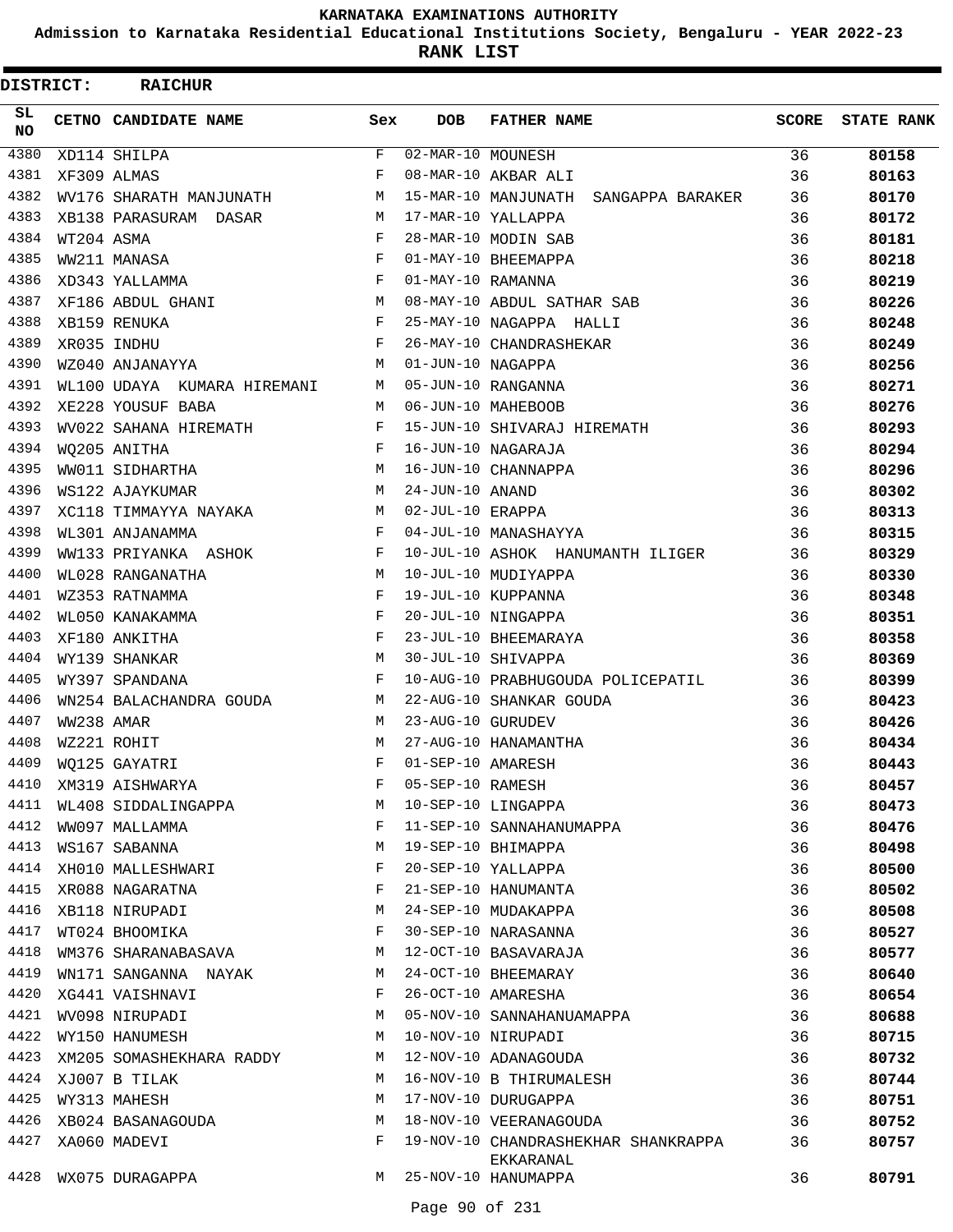**Admission to Karnataka Residential Educational Institutions Society, Bengaluru - YEAR 2022-23**

**RANK LIST**

| <b>DISTRICT:</b> |            | <b>RAICHUR</b>                   |              |                   |                                                  |              |                   |
|------------------|------------|----------------------------------|--------------|-------------------|--------------------------------------------------|--------------|-------------------|
| SL.<br><b>NO</b> |            | <b>CETNO CANDIDATE NAME</b>      | Sex          | <b>DOB</b>        | <b>FATHER NAME</b>                               | <b>SCORE</b> | <b>STATE RANK</b> |
| 4380             |            | XD114 SHILPA                     | F            | 02-MAR-10 MOUNESH |                                                  | 36           | 80158             |
| 4381             |            | XF309 ALMAS                      | F            |                   | 08-MAR-10 AKBAR ALI                              | 36           | 80163             |
| 4382             |            | WV176 SHARATH MANJUNATH          | M            |                   | 15-MAR-10 MANJUNATH SANGAPPA BARAKER             | 36           | 80170             |
| 4383             |            | XB138 PARASURAM DASAR            | M            |                   | 17-MAR-10 YALLAPPA                               | 36           | 80172             |
| 4384             | WT204 ASMA |                                  | F            |                   | 28-MAR-10 MODIN SAB                              | 36           | 80181             |
| 4385             |            | WW211 MANASA                     | $_{\rm F}$   |                   | 01-MAY-10 BHEEMAPPA                              | 36           | 80218             |
| 4386             |            | XD343 YALLAMMA                   | F            | 01-MAY-10 RAMANNA |                                                  | 36           | 80219             |
| 4387             |            | $M_{\odot}$<br>XF186 ABDUL GHANI |              |                   | 08-MAY-10 ABDUL SATHAR SAB                       | 36           | 80226             |
| 4388             |            | XB159 RENUKA                     | F            |                   | 25-MAY-10 NAGAPPA HALLI                          | 36           | 80248             |
| 4389             |            | XR035 INDHU                      | F            |                   | 26-MAY-10 CHANDRASHEKAR                          | 36           | 80249             |
| 4390             |            | WZ040 ANJANAYYA                  | M            | 01-JUN-10 NAGAPPA |                                                  | 36           | 80256             |
| 4391             |            | WL100 UDAYA KUMARA HIREMANI M    |              |                   | 05-JUN-10 RANGANNA                               | 36           | 80271             |
| 4392             |            | XE228 YOUSUF BABA                | M            |                   | 06-JUN-10 MAHEBOOB                               | 36           | 80276             |
| 4393             |            | WV022 SAHANA HIREMATH            | F            |                   | 15-JUN-10 SHIVARAJ HIREMATH                      | 36           | 80293             |
| 4394             |            | WQ205 ANITHA                     | F            |                   | 16-JUN-10 NAGARAJA                               | 36           | 80294             |
| 4395             |            | WW011 SIDHARTHA                  | M            |                   | 16-JUN-10 CHANNAPPA                              | 36           | 80296             |
| 4396             |            | WS122 AJAYKUMAR                  | м            | 24-JUN-10 ANAND   |                                                  | 36           | 80302             |
| 4397             |            | XC118 TIMMAYYA NAYAKA            | M            | 02-JUL-10 ERAPPA  |                                                  | 36           | 80313             |
| 4398             |            | WL301 ANJANAMMA                  | $\mathbf{F}$ |                   | 04-JUL-10 MANASHAYYA                             | 36           | 80315             |
| 4399             |            | WW133 PRIYANKA ASHOK             | $\mathbf{F}$ |                   | 10-JUL-10 ASHOK HANUMANTH ILIGER                 | 36           | 80329             |
| 4400             |            | WL028 RANGANATHA                 | M            |                   | 10-JUL-10 MUDIYAPPA                              | 36           | 80330             |
| 4401             |            | WZ353 RATNAMMA                   | F            |                   | 19-JUL-10 KUPPANNA                               | 36           | 80348             |
| 4402             |            | WL050 KANAKAMMA                  | $_{\rm F}$   |                   | 20-JUL-10 NINGAPPA                               | 36           | 80351             |
| 4403             |            | XF180 ANKITHA                    | $_{\rm F}$   |                   | 23-JUL-10 BHEEMARAYA                             | 36           | 80358             |
| 4404             |            | WY139 SHANKAR                    | M            |                   | 30-JUL-10 SHIVAPPA                               | 36           | 80369             |
| 4405             |            | WY397 SPANDANA                   | F            |                   | 10-AUG-10 PRABHUGOUDA POLICEPATIL                | 36           | 80399             |
| 4406             |            | WN254 BALACHANDRA GOUDA          | M            |                   | 22-AUG-10 SHANKAR GOUDA                          | 36           | 80423             |
| 4407             | WW238 AMAR |                                  | M            | 23-AUG-10 GURUDEV |                                                  | 36           | 80426             |
| 4408             |            | WZ221 ROHIT                      | M            |                   | 27-AUG-10 HANAMANTHA                             | 36           | 80434             |
| 4409             |            | WQ125 GAYATRI                    | F            | 01-SEP-10 AMARESH |                                                  | 36           | 80443             |
| 4410             |            | XM319 AISHWARYA                  | F            | 05-SEP-10 RAMESH  |                                                  | 36           | 80457             |
| 4411             |            | WL408 SIDDALINGAPPA              | М            |                   | 10-SEP-10 LINGAPPA                               | 36           | 80473             |
| 4412             |            | WW097 MALLAMMA                   | F            |                   | 11-SEP-10 SANNAHANUMAPPA                         | 36           | 80476             |
| 4413             |            | WS167 SABANNA                    | М            |                   | 19-SEP-10 BHIMAPPA                               | 36           | 80498             |
| 4414             |            | XH010 MALLESHWARI                | F            |                   | 20-SEP-10 YALLAPPA                               | 36           | 80500             |
| 4415             |            | XR088 NAGARATNA                  | F            |                   | 21-SEP-10 HANUMANTA                              | 36           | 80502             |
| 4416             |            | XB118 NIRUPADI                   | М            |                   | 24-SEP-10 MUDAKAPPA                              | 36           | 80508             |
| 4417             |            | WT024 BHOOMIKA                   | F            |                   | 30-SEP-10 NARASANNA                              | 36           | 80527             |
| 4418             |            | WM376 SHARANABASAVA              | M            |                   | 12-OCT-10 BASAVARAJA                             | 36           | 80577             |
| 4419             |            | WN171 SANGANNA NAYAK             | M            |                   | 24-OCT-10 BHEEMARAY                              | 36           | 80640             |
| 4420             |            | XG441 VAISHNAVI                  | $\mathbf{F}$ |                   | 26-OCT-10 AMARESHA                               | 36           | 80654             |
| 4421             |            | WV098 NIRUPADI                   | M            |                   | 05-NOV-10 SANNAHANUAMAPPA                        | 36           | 80688             |
| 4422             |            | WY150 HANUMESH                   | М            |                   | 10-NOV-10 NIRUPADI                               | 36           | 80715             |
| 4423             |            | XM205 SOMASHEKHARA RADDY         | М            |                   | 12-NOV-10 ADANAGOUDA                             | 36           | 80732             |
| 4424             |            | XJ007 B TILAK                    | M            |                   | 16-NOV-10 B THIRUMALESH                          | 36           | 80744             |
| 4425             |            | WY313 MAHESH                     | M            |                   | 17-NOV-10 DURUGAPPA                              | 36           | 80751             |
| 4426             |            | XB024 BASANAGOUDA                | M            |                   | 18-NOV-10 VEERANAGOUDA                           | 36           | 80752             |
| 4427             |            | XA060 MADEVI                     | F            |                   | 19-NOV-10 CHANDRASHEKHAR SHANKRAPPA<br>EKKARANAL | 36           | 80757             |
|                  |            | 4428 WX075 DURAGAPPA             | M            |                   | 25-NOV-10 HANUMAPPA                              | 36           | 80791             |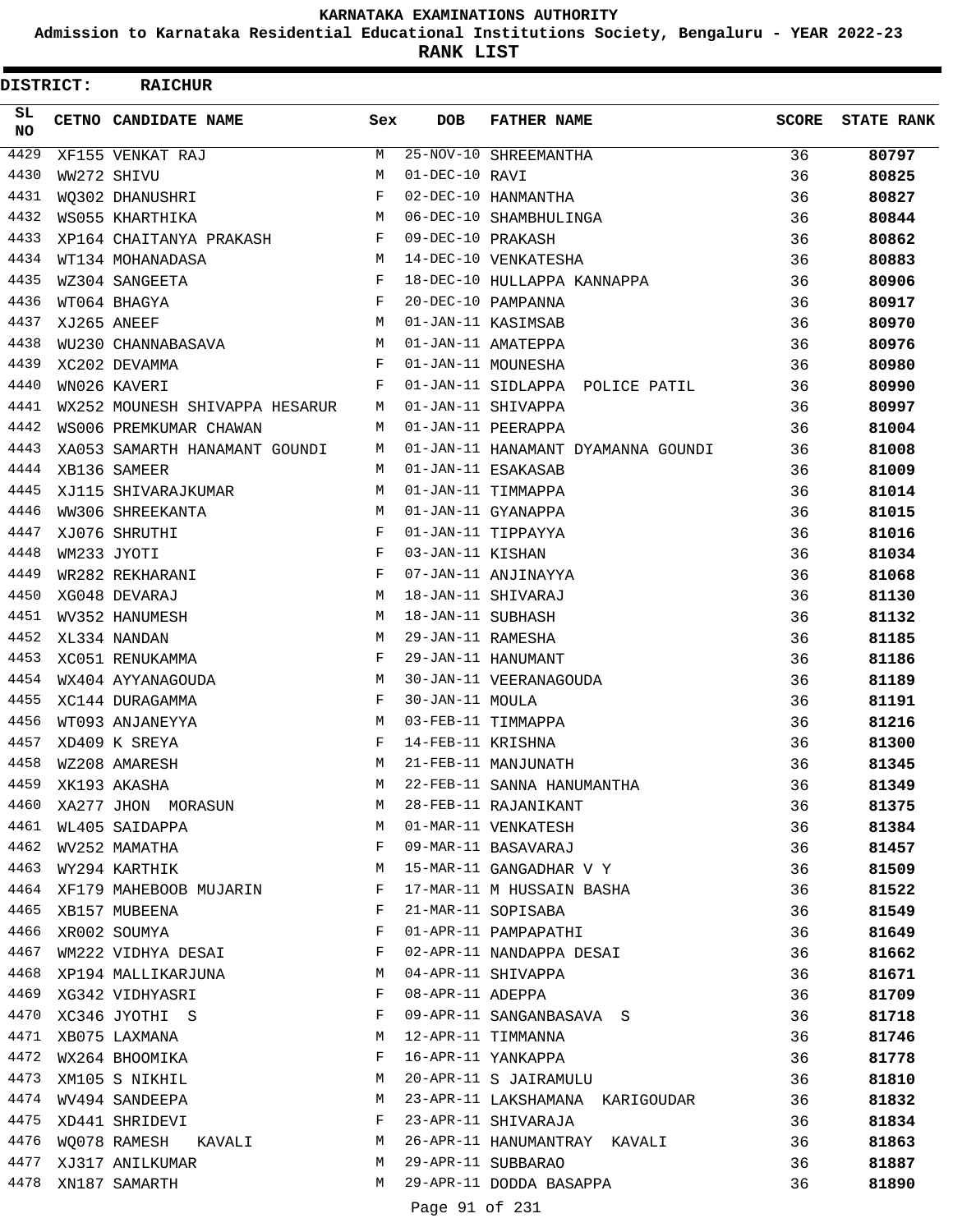**Admission to Karnataka Residential Educational Institutions Society, Bengaluru - YEAR 2022-23**

**RANK LIST**

ı

| <b>DISTRICT:</b> | <b>RAICHUR</b>                 |              |                   |                                    |              |                   |
|------------------|--------------------------------|--------------|-------------------|------------------------------------|--------------|-------------------|
| SL.<br>NO.       | CETNO CANDIDATE NAME           | Sex          | <b>DOB</b>        | <b>FATHER NAME</b>                 | <b>SCORE</b> | <b>STATE RANK</b> |
| 4429             | XF155 VENKAT RAJ               | M            |                   | 25-NOV-10 SHREEMANTHA              | 36           | 80797             |
| 4430             | WW272 SHIVU                    | М            | 01-DEC-10 RAVI    |                                    | 36           | 80825             |
| 4431             | WO302 DHANUSHRI                | F            |                   | 02-DEC-10 HANMANTHA                | 36           | 80827             |
| 4432             | WS055 KHARTHIKA                | М            |                   | 06-DEC-10 SHAMBHULINGA             | 36           | 80844             |
| 4433             | XP164 CHAITANYA PRAKASH        | $\mathbf{F}$ | 09-DEC-10 PRAKASH |                                    | 36           | 80862             |
| 4434             | WT134 MOHANADASA               | М            |                   | 14-DEC-10 VENKATESHA               | 36           | 80883             |
| 4435             | WZ304 SANGEETA                 | F            |                   | 18-DEC-10 HULLAPPA KANNAPPA        | 36           | 80906             |
| 4436             | WT064 BHAGYA                   | F            |                   | 20-DEC-10 PAMPANNA                 | 36           | 80917             |
| 4437             | XJ265 ANEEF                    | M            |                   | 01-JAN-11 KASIMSAB                 | 36           | 80970             |
| 4438             | WU230 CHANNABASAVA             | М            |                   | 01-JAN-11 AMATEPPA                 | 36           | 80976             |
| 4439             | XC202 DEVAMMA                  | F            |                   | 01-JAN-11 MOUNESHA                 | 36           | 80980             |
| 4440             | WN026 KAVERI                   | F            |                   | 01-JAN-11 SIDLAPPA POLICE PATIL    | 36           | 80990             |
| 4441             | WX252 MOUNESH SHIVAPPA HESARUR | M            |                   | 01-JAN-11 SHIVAPPA                 | 36           | 80997             |
| 4442             | WS006 PREMKUMAR CHAWAN         | M            |                   | 01-JAN-11 PEERAPPA                 | 36           | 81004             |
| 4443             | XA053 SAMARTH HANAMANT GOUNDI  | M            |                   | 01-JAN-11 HANAMANT DYAMANNA GOUNDI | 36           | 81008             |
| 4444             | XB136 SAMEER                   | M            |                   | 01-JAN-11 ESAKASAB                 | 36           | 81009             |
| 4445             | XJ115 SHIVARAJKUMAR            | М            |                   | 01-JAN-11 TIMMAPPA                 | 36           | 81014             |
| 4446             | WW306 SHREEKANTA               | М            |                   | 01-JAN-11 GYANAPPA                 | 36           | 81015             |
| 4447             | XJ076 SHRUTHI                  | $_{\rm F}$   |                   | 01-JAN-11 TIPPAYYA                 | 36           | 81016             |
| 4448             | WM233 JYOTI                    | F            | 03-JAN-11 KISHAN  |                                    | 36           | 81034             |
| 4449             | WR282 REKHARANI                | F            |                   | 07-JAN-11 ANJINAYYA                | 36           | 81068             |
| 4450             | XG048 DEVARAJ                  | М            |                   | 18-JAN-11 SHIVARAJ                 | 36           | 81130             |
| 4451             | WV352 HANUMESH                 | M            | 18-JAN-11 SUBHASH |                                    | 36           | 81132             |
| 4452             | XL334 NANDAN                   | М            | 29-JAN-11 RAMESHA |                                    | 36           | 81185             |
| 4453             | XC051 RENUKAMMA                | F            |                   | 29-JAN-11 HANUMANT                 | 36           | 81186             |
| 4454             | WX404 AYYANAGOUDA              | М            |                   | 30-JAN-11 VEERANAGOUDA             | 36           | 81189             |
| 4455             | XC144 DURAGAMMA                | F            | 30-JAN-11 MOULA   |                                    | 36           | 81191             |
| 4456             | WT093 ANJANEYYA                | М            |                   | 03-FEB-11 TIMMAPPA                 | 36           | 81216             |
| 4457             | XD409 K SREYA                  | F            | 14-FEB-11 KRISHNA |                                    | 36           | 81300             |
| 4458             | WZ208 AMARESH                  | М            |                   | 21-FEB-11 MANJUNATH                | 36           | 81345             |
| 4459             | XK193 AKASHA                   | M            |                   | 22-FEB-11 SANNA HANUMANTHA         | 36           | 81349             |
| 4460             | XA277 JHON MORASUN             | M            |                   | 28-FEB-11 RAJANIKANT               | 36           | 81375             |
| 4461             | WL405 SAIDAPPA                 | M            |                   | 01-MAR-11 VENKATESH                | 36           | 81384             |
| 4462             | WV252 MAMATHA                  | $\mathbf{F}$ |                   | 09-MAR-11 BASAVARAJ                | 36           | 81457             |
| 4463             | WY294 KARTHIK                  | М            |                   | 15-MAR-11 GANGADHAR V Y            | 36           | 81509             |
| 4464             | XF179 MAHEBOOB MUJARIN         | F            |                   | 17-MAR-11 M HUSSAIN BASHA          | 36           | 81522             |
| 4465             | XB157 MUBEENA                  | F            |                   | 21-MAR-11 SOPISABA                 | 36           | 81549             |
| 4466             | XR002 SOUMYA                   | F            |                   | 01-APR-11 PAMPAPATHI               | 36           | 81649             |
|                  | 4467 WM222 VIDHYA DESAI        | F            |                   | 02-APR-11 NANDAPPA DESAI           | 36           | 81662             |
|                  | 4468 XP194 MALLIKARJUNA        | M            |                   | 04-APR-11 SHIVAPPA                 | 36           | 81671             |
|                  | 4469 XG342 VIDHYASRI           | $\mathbf{F}$ | 08-APR-11 ADEPPA  |                                    | 36           | 81709             |
|                  | 4470 XC346 JYOTHI S            | $\mathbf{F}$ |                   | 09-APR-11 SANGANBASAVA S           | 36           | 81718             |
|                  | 4471 XB075 LAXMANA             | М            |                   | 12-APR-11 TIMMANNA                 | 36           | 81746             |
| 4472             | WX264 BHOOMIKA                 | F            |                   | 16-APR-11 YANKAPPA                 | 36           | 81778             |
| 4473             | XM105 S NIKHIL                 | М            |                   | 20-APR-11 S JAIRAMULU              | 36           | 81810             |
| 4474             | WV494 SANDEEPA                 | М            |                   | 23-APR-11 LAKSHAMANA KARIGOUDAR    | 36           | 81832             |
|                  | 4475 XD441 SHRIDEVI            | F            |                   | 23-APR-11 SHIVARAJA                | 36           | 81834             |
| 4476             | WQ078 RAMESH KAVALI            | M            |                   | 26-APR-11 HANUMANTRAY KAVALI       | 36           | 81863             |
| 4477             | XJ317 ANILKUMAR                | M            |                   | 29-APR-11 SUBBARAO                 | 36           | 81887             |
|                  | 4478 XN187 SAMARTH             | M            |                   | 29-APR-11 DODDA BASAPPA            | 36           | 81890             |
|                  |                                |              |                   |                                    |              |                   |
|                  |                                |              | Page 91 of 231    |                                    |              |                   |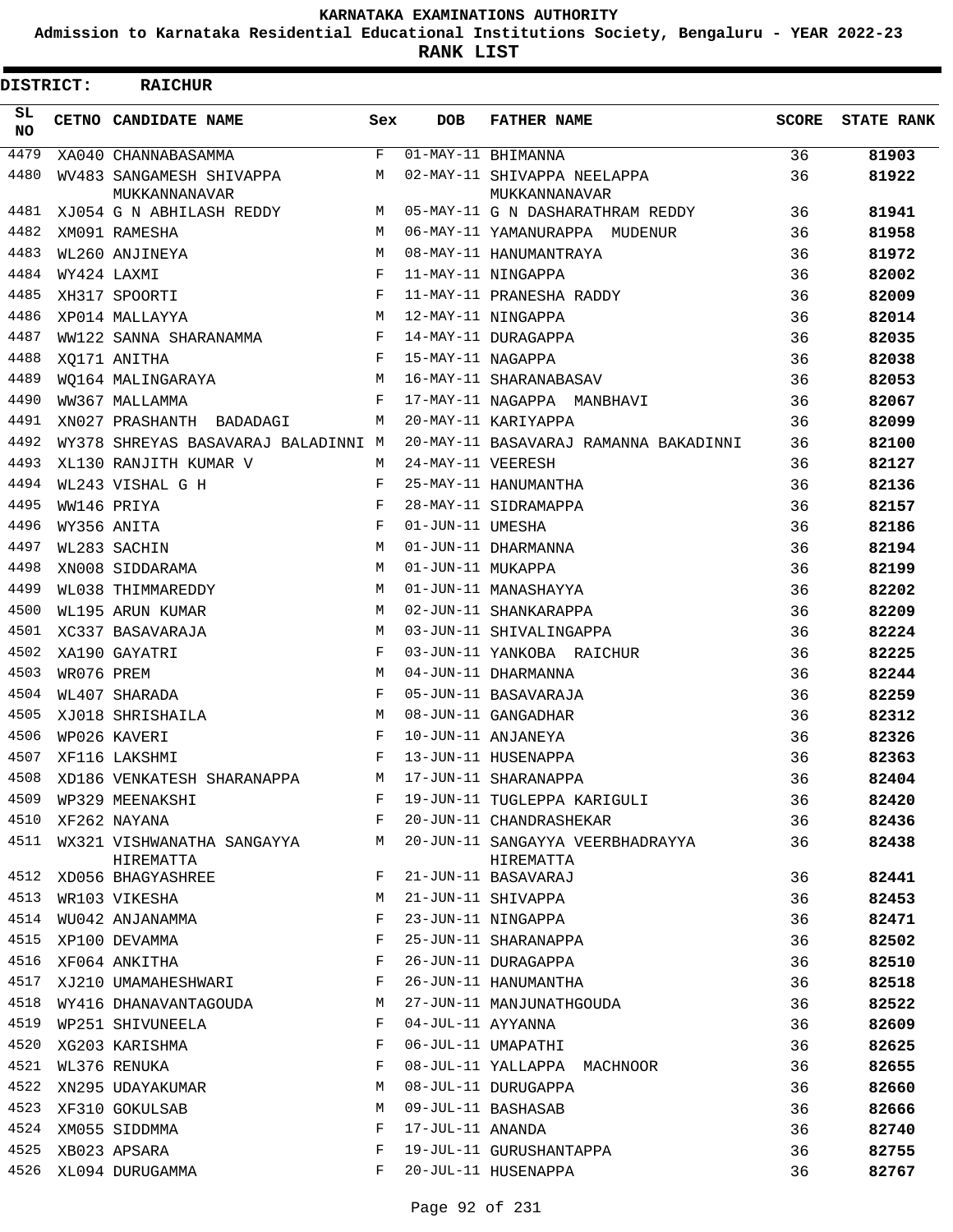**Admission to Karnataka Residential Educational Institutions Society, Bengaluru - YEAR 2022-23**

**RANK LIST**

| <b>DISTRICT:</b> |            | <b>RAICHUR</b>                            |             |                   |                                              |              |                   |  |  |  |  |
|------------------|------------|-------------------------------------------|-------------|-------------------|----------------------------------------------|--------------|-------------------|--|--|--|--|
| SL.<br>NO.       |            | CETNO CANDIDATE NAME                      | Sex         | <b>DOB</b>        | <b>FATHER NAME</b>                           | <b>SCORE</b> | <b>STATE RANK</b> |  |  |  |  |
| 4479             |            | XA040 CHANNABASAMMA                       | $\mathbf F$ |                   | $\overline{01-MAY-11}$ BHIMANNA              | 36           | 81903             |  |  |  |  |
| 4480             |            | WV483 SANGAMESH SHIVAPPA<br>MUKKANNANAVAR | M           |                   | 02-MAY-11 SHIVAPPA NEELAPPA<br>MUKKANNANAVAR | 36           | 81922             |  |  |  |  |
| 4481             |            | XJ054 G N ABHILASH REDDY                  | M           |                   | 05-MAY-11 G N DASHARATHRAM REDDY             | 36           | 81941             |  |  |  |  |
| 4482             |            | XM091 RAMESHA                             | M           |                   | 06-MAY-11 YAMANURAPPA MUDENUR                | 36           | 81958             |  |  |  |  |
| 4483             |            | WL260 ANJINEYA                            | M           |                   | 08-MAY-11 HANUMANTRAYA                       | 36           | 81972             |  |  |  |  |
| 4484             |            | WY424 LAXMI                               | $_{\rm F}$  |                   | 11-MAY-11 NINGAPPA                           | 36           | 82002             |  |  |  |  |
| 4485             |            | XH317 SPOORTI                             | F           |                   | 11-MAY-11 PRANESHA RADDY                     | 36           | 82009             |  |  |  |  |
| 4486             |            | XP014 MALLAYYA                            | M           |                   | 12-MAY-11 NINGAPPA                           | 36           | 82014             |  |  |  |  |
| 4487             |            | WW122 SANNA SHARANAMMA                    | F           |                   | 14-MAY-11 DURAGAPPA                          | 36           | 82035             |  |  |  |  |
| 4488             |            | XO171 ANITHA                              | F           | 15-MAY-11 NAGAPPA |                                              | 36           | 82038             |  |  |  |  |
| 4489             |            | WO164 MALINGARAYA                         | M           |                   | 16-MAY-11 SHARANABASAV                       | 36           | 82053             |  |  |  |  |
| 4490             |            | WW367 MALLAMMA                            | $_{\rm F}$  |                   | 17-MAY-11 NAGAPPA MANBHAVI                   | 36           | 82067             |  |  |  |  |
| 4491             |            | XN027 PRASHANTH BADADAGI                  | M           |                   | 20-MAY-11 KARIYAPPA                          | 36           | 82099             |  |  |  |  |
| 4492             |            | WY378 SHREYAS BASAVARAJ BALADINNI M       |             |                   | 20-MAY-11 BASAVARAJ RAMANNA BAKADINNI        | 36           | 82100             |  |  |  |  |
| 4493             |            | XL130 RANJITH KUMAR V                     | М           | 24-MAY-11 VEERESH |                                              | 36           | 82127             |  |  |  |  |
| 4494             |            | WL243 VISHAL G H                          | F           |                   | 25-MAY-11 HANUMANTHA                         | 36           | 82136             |  |  |  |  |
| 4495             |            | WW146 PRIYA                               | $_{\rm F}$  |                   | 28-MAY-11 SIDRAMAPPA                         | 36           | 82157             |  |  |  |  |
| 4496             |            | WY356 ANITA                               | F           | 01-JUN-11 UMESHA  |                                              | 36           | 82186             |  |  |  |  |
| 4497             |            | WL283 SACHIN                              | M           |                   | 01-JUN-11 DHARMANNA                          | 36           | 82194             |  |  |  |  |
| 4498             |            | XN008 SIDDARAMA                           | М           | 01-JUN-11 MUKAPPA |                                              | 36           | 82199             |  |  |  |  |
| 4499             |            | WL038 THIMMAREDDY                         | M           |                   | 01-JUN-11 MANASHAYYA                         | 36           | 82202             |  |  |  |  |
| 4500             |            | WL195 ARUN KUMAR                          | M           |                   | 02-JUN-11 SHANKARAPPA                        | 36           | 82209             |  |  |  |  |
| 4501             |            | XC337 BASAVARAJA                          | M           |                   | 03-JUN-11 SHIVALINGAPPA                      | 36           | 82224             |  |  |  |  |
| 4502             |            | XA190 GAYATRI                             | F           |                   | 03-JUN-11 YANKOBA RAICHUR                    | 36           | 82225             |  |  |  |  |
| 4503             | WR076 PREM |                                           | M           |                   | 04-JUN-11 DHARMANNA                          | 36           | 82244             |  |  |  |  |
| 4504             |            | WL407 SHARADA                             | F           |                   | 05-JUN-11 BASAVARAJA                         | 36           | 82259             |  |  |  |  |
| 4505             |            | XJ018 SHRISHAILA                          | M           |                   | 08-JUN-11 GANGADHAR                          | 36           | 82312             |  |  |  |  |
| 4506             |            | WP026 KAVERI                              | $_{\rm F}$  |                   | 10-JUN-11 ANJANEYA                           | 36           | 82326             |  |  |  |  |
| 4507             |            | XF116 LAKSHMI                             | F           |                   | 13-JUN-11 HUSENAPPA                          | 36           | 82363             |  |  |  |  |
| 4508             |            | XD186 VENKATESH SHARANAPPA                | М           |                   | 17-JUN-11 SHARANAPPA                         | 36           | 82404             |  |  |  |  |
| 4509             |            | WP329 MEENAKSHI                           | F           |                   | 19-JUN-11 TUGLEPPA KARIGULI                  | 36           | 82420             |  |  |  |  |
| 4510             |            | XF262 NAYANA                              | F           |                   | 20-JUN-11 CHANDRASHEKAR                      | 36           | 82436             |  |  |  |  |
| 4511             |            | WX321 VISHWANATHA SANGAYYA                | М           |                   | 20-JUN-11 SANGAYYA VEERBHADRAYYA             | 36           | 82438             |  |  |  |  |
|                  |            | HIREMATTA                                 |             |                   | HIREMATTA                                    |              |                   |  |  |  |  |
| 4512             |            | XD056 BHAGYASHREE                         | F           |                   | 21-JUN-11 BASAVARAJ                          | 36           | 82441             |  |  |  |  |
| 4513             |            | WR103 VIKESHA                             | M           |                   | 21-JUN-11 SHIVAPPA                           | 36           | 82453             |  |  |  |  |
| 4514             |            | WU042 ANJANAMMA                           | F           |                   | 23-JUN-11 NINGAPPA                           | 36           | 82471             |  |  |  |  |
| 4515             |            | XP100 DEVAMMA                             | F           |                   | 25-JUN-11 SHARANAPPA                         | 36           | 82502             |  |  |  |  |
| 4516             |            | XF064 ANKITHA                             | F           |                   | 26-JUN-11 DURAGAPPA                          | 36           | 82510             |  |  |  |  |
| 4517             |            | XJ210 UMAMAHESHWARI                       | F           |                   | 26-JUN-11 HANUMANTHA                         | 36           | 82518             |  |  |  |  |
| 4518             |            | WY416 DHANAVANTAGOUDA                     | М           |                   | 27-JUN-11 MANJUNATHGOUDA                     | 36           | 82522             |  |  |  |  |
| 4519             |            | WP251 SHIVUNEELA                          | F           | 04-JUL-11 AYYANNA |                                              | 36           | 82609             |  |  |  |  |
| 4520             |            | XG203 KARISHMA                            | F           |                   | 06-JUL-11 UMAPATHI                           | 36           | 82625             |  |  |  |  |
| 4521             |            | WL376 RENUKA                              | F           |                   | 08-JUL-11 YALLAPPA MACHNOOR                  | 36           | 82655             |  |  |  |  |
| 4522             |            | XN295 UDAYAKUMAR                          | М           |                   | 08-JUL-11 DURUGAPPA                          | 36           | 82660             |  |  |  |  |
| 4523             |            | XF310 GOKULSAB                            | М           |                   | 09-JUL-11 BASHASAB                           | 36           | 82666             |  |  |  |  |
| 4524             |            | XM055 SIDDMMA                             | F           | 17-JUL-11 ANANDA  |                                              | 36           | 82740             |  |  |  |  |
| 4525             |            | XB023 APSARA                              | F           |                   | 19-JUL-11 GURUSHANTAPPA                      | 36           | 82755             |  |  |  |  |
| 4526             |            | XL094 DURUGAMMA                           | F           |                   | 20-JUL-11 HUSENAPPA                          | 36           | 82767             |  |  |  |  |
|                  |            |                                           |             |                   |                                              |              |                   |  |  |  |  |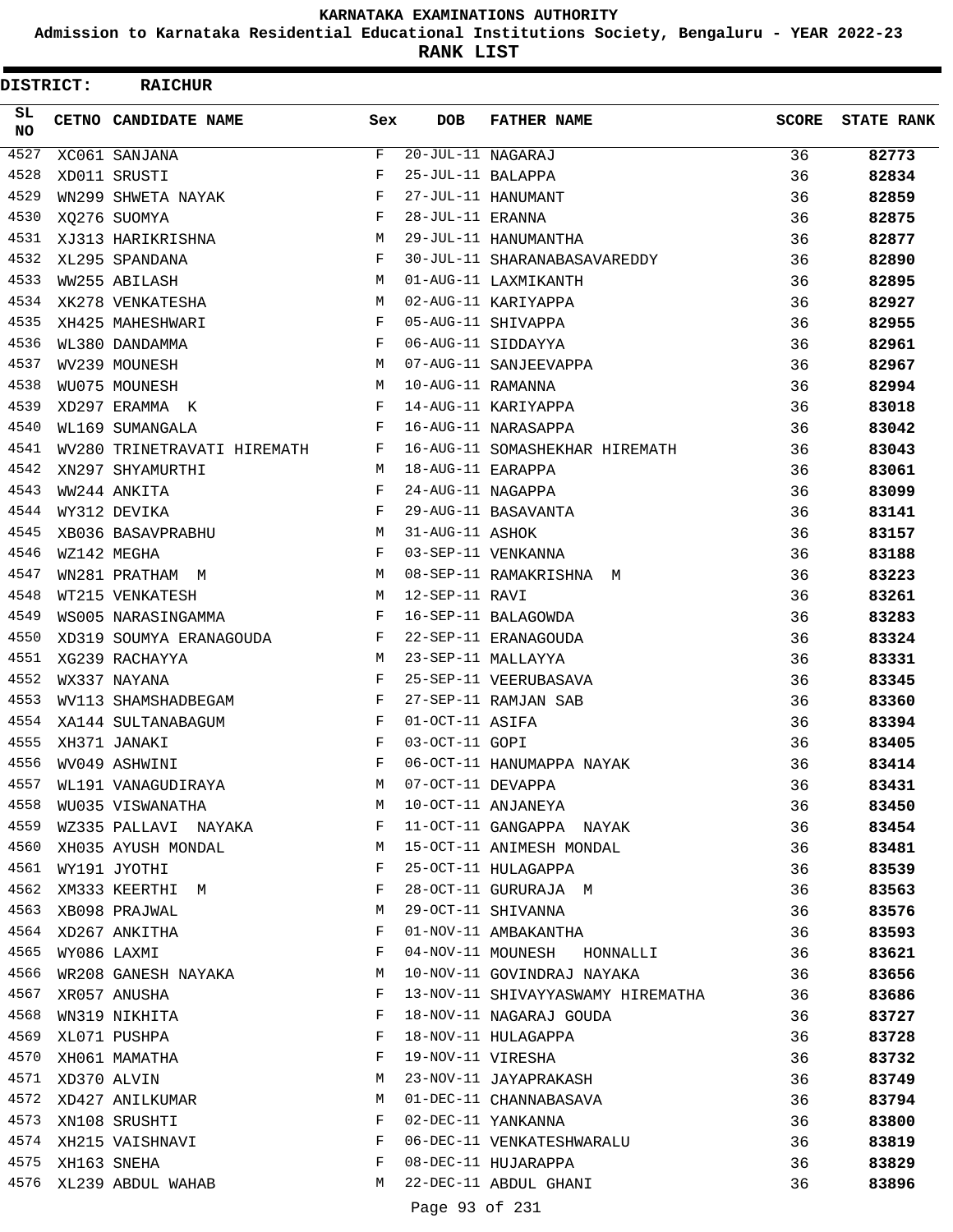**Admission to Karnataka Residential Educational Institutions Society, Bengaluru - YEAR 2022-23**

**RANK LIST**

| <b>DISTRICT:</b> | <b>RAICHUR</b>              |                    |                                 |                                   |              |                   |
|------------------|-----------------------------|--------------------|---------------------------------|-----------------------------------|--------------|-------------------|
| SL.<br>NO.       | CETNO CANDIDATE NAME        | Sex                | <b>DOB</b>                      | <b>FATHER NAME</b>                | <b>SCORE</b> | <b>STATE RANK</b> |
| 4527             | XC061 SANJANA               | F                  | $\overline{20}$ -JUL-11 NAGARAJ |                                   | 36           | 82773             |
| 4528             | XD011 SRUSTI                | F                  | 25-JUL-11 BALAPPA               |                                   | 36           | 82834             |
| 4529             | WN299 SHWETA NAYAK          | F                  |                                 | 27-JUL-11 HANUMANT                | 36           | 82859             |
| 4530             | XO276 SUOMYA                | F                  | 28-JUL-11 ERANNA                |                                   | 36           | 82875             |
| 4531             | XJ313 HARIKRISHNA           | M                  |                                 | 29-JUL-11 HANUMANTHA              | 36           | 82877             |
| 4532             | XL295 SPANDANA              | F                  |                                 | 30-JUL-11 SHARANABASAVAREDDY      | 36           | 82890             |
| 4533             | WW255 ABILASH               | M                  |                                 | 01-AUG-11 LAXMIKANTH              | 36           | 82895             |
| 4534             | XK278 VENKATESHA            | M                  |                                 | 02-AUG-11 KARIYAPPA               | 36           | 82927             |
| 4535             | XH425 MAHESHWARI            | F                  |                                 | 05-AUG-11 SHIVAPPA                | 36           | 82955             |
| 4536             | WL380 DANDAMMA              | F                  |                                 | 06-AUG-11 SIDDAYYA                | 36           | 82961             |
| 4537             | WV239 MOUNESH               | M                  |                                 | 07-AUG-11 SANJEEVAPPA             | 36           | 82967             |
| 4538             | WU075 MOUNESH               | M                  | 10-AUG-11 RAMANNA               |                                   | 36           | 82994             |
| 4539             | XD297 ERAMMA K              | F                  |                                 | 14-AUG-11 KARIYAPPA               | 36           | 83018             |
| 4540             | WL169 SUMANGALA             | F                  |                                 | 16-AUG-11 NARASAPPA               | 36           | 83042             |
| 4541             | WV280 TRINETRAVATI HIREMATH | F                  |                                 | 16-AUG-11 SOMASHEKHAR HIREMATH    | 36           | 83043             |
| 4542             | XN297 SHYAMURTHI            | M                  | 18-AUG-11 EARAPPA               |                                   | 36           | 83061             |
| 4543             | WW244 ANKITA                | F                  | 24-AUG-11 NAGAPPA               |                                   | 36           | 83099             |
| 4544             | WY312 DEVIKA                | F                  |                                 | 29-AUG-11 BASAVANTA               | 36           | 83141             |
| 4545             | XB036 BASAVPRABHU           | M                  | 31-AUG-11 ASHOK                 |                                   | 36           | 83157             |
| 4546             | WZ142 MEGHA                 | F                  |                                 | 03-SEP-11 VENKANNA                | 36           | 83188             |
| 4547             | WN281 PRATHAM M             | M                  |                                 | 08-SEP-11 RAMAKRISHNA M           | 36           | 83223             |
| 4548             | WT215 VENKATESH             | M                  | 12-SEP-11 RAVI                  |                                   | 36           | 83261             |
| 4549             | WS005 NARASINGAMMA          | F                  |                                 | 16-SEP-11 BALAGOWDA               | 36           | 83283             |
| 4550             | XD319 SOUMYA ERANAGOUDA     | F                  |                                 | 22-SEP-11 ERANAGOUDA              | 36           | 83324             |
| 4551             | XG239 RACHAYYA              | M                  |                                 | 23-SEP-11 MALLAYYA                | 36           | 83331             |
| 4552             | WX337 NAYANA                | F                  |                                 | 25-SEP-11 VEERUBASAVA             | 36           | 83345             |
| 4553             | WV113 SHAMSHADBEGAM         | F                  |                                 | 27-SEP-11 RAMJAN SAB              | 36           | 83360             |
| 4554             | XA144 SULTANABAGUM          | F                  | 01-OCT-11 ASIFA                 |                                   | 36           | 83394             |
| 4555             | XH371 JANAKI                | F                  | 03-OCT-11 GOPI                  |                                   | 36           | 83405             |
| 4556             | WV049 ASHWINI               | $\mathbf{F}% _{0}$ |                                 | 06-OCT-11 HANUMAPPA NAYAK         | 36           | 83414             |
| 4557             | WL191 VANAGUDIRAYA          | M                  |                                 | 07-OCT-11 DEVAPPA                 | 36           | 83431             |
| 4558             | WU035 VISWANATHA            | M                  |                                 | 10-OCT-11 ANJANEYA                | 36           | 83450             |
| 4559             | WZ335 PALLAVI NAYAKA F      |                    |                                 | 11-OCT-11 GANGAPPA NAYAK          | 36           | 83454             |
| 4560             | XH035 AYUSH MONDAL          | M                  |                                 | 15-OCT-11 ANIMESH MONDAL          | 36           | 83481             |
| 4561             | WY191 JYOTHI                | F                  |                                 | 25-OCT-11 HULAGAPPA               | 36           | 83539             |
| 4562             | XM333 KEERTHI M             | F                  |                                 | 28-OCT-11 GURURAJA M              | 36           | 83563             |
| 4563             | XB098 PRAJWAL               | М                  |                                 | 29-OCT-11 SHIVANNA                | 36           | 83576             |
|                  | 4564 XD267 ANKITHA          | F                  |                                 | 01-NOV-11 AMBAKANTHA              | 36           | 83593             |
| 4565             | WY086 LAXMI                 | F                  |                                 | 04-NOV-11 MOUNESH HONNALLI        | 36           | 83621             |
| 4566             | WR208 GANESH NAYAKA         | М                  |                                 | 10-NOV-11 GOVINDRAJ NAYAKA        | 36           | 83656             |
| 4567             | XR057 ANUSHA                | F                  |                                 | 13-NOV-11 SHIVAYYASWAMY HIREMATHA | 36           | 83686             |
| 4568             | WN319 NIKHITA               | F                  |                                 | 18-NOV-11 NAGARAJ GOUDA           | 36           | 83727             |
| 4569             | XL071 PUSHPA                | F                  |                                 | 18-NOV-11 HULAGAPPA               | 36           | 83728             |
| 4570             | XH061 MAMATHA               | F                  |                                 | 19-NOV-11 VIRESHA                 | 36           | 83732             |
| 4571             | XD370 ALVIN                 | М                  |                                 | 23-NOV-11 JAYAPRAKASH             | 36           | 83749             |
| 4572             | XD427 ANILKUMAR             | M                  |                                 | 01-DEC-11 CHANNABASAVA            | 36           | 83794             |
| 4573             | XN108 SRUSHTI               | F                  |                                 | 02-DEC-11 YANKANNA                | 36           | 83800             |
|                  | 4574 XH215 VAISHNAVI        | F                  |                                 | 06-DEC-11 VENKATESHWARALU         | 36           | 83819             |
| 4575             | XH163 SNEHA                 | F                  |                                 | 08-DEC-11 HUJARAPPA               | 36           | 83829             |
| 4576             | XL239 ABDUL WAHAB           | M                  |                                 | 22-DEC-11 ABDUL GHANI             | 36           | 83896             |
|                  |                             |                    | Page 93 of 231                  |                                   |              |                   |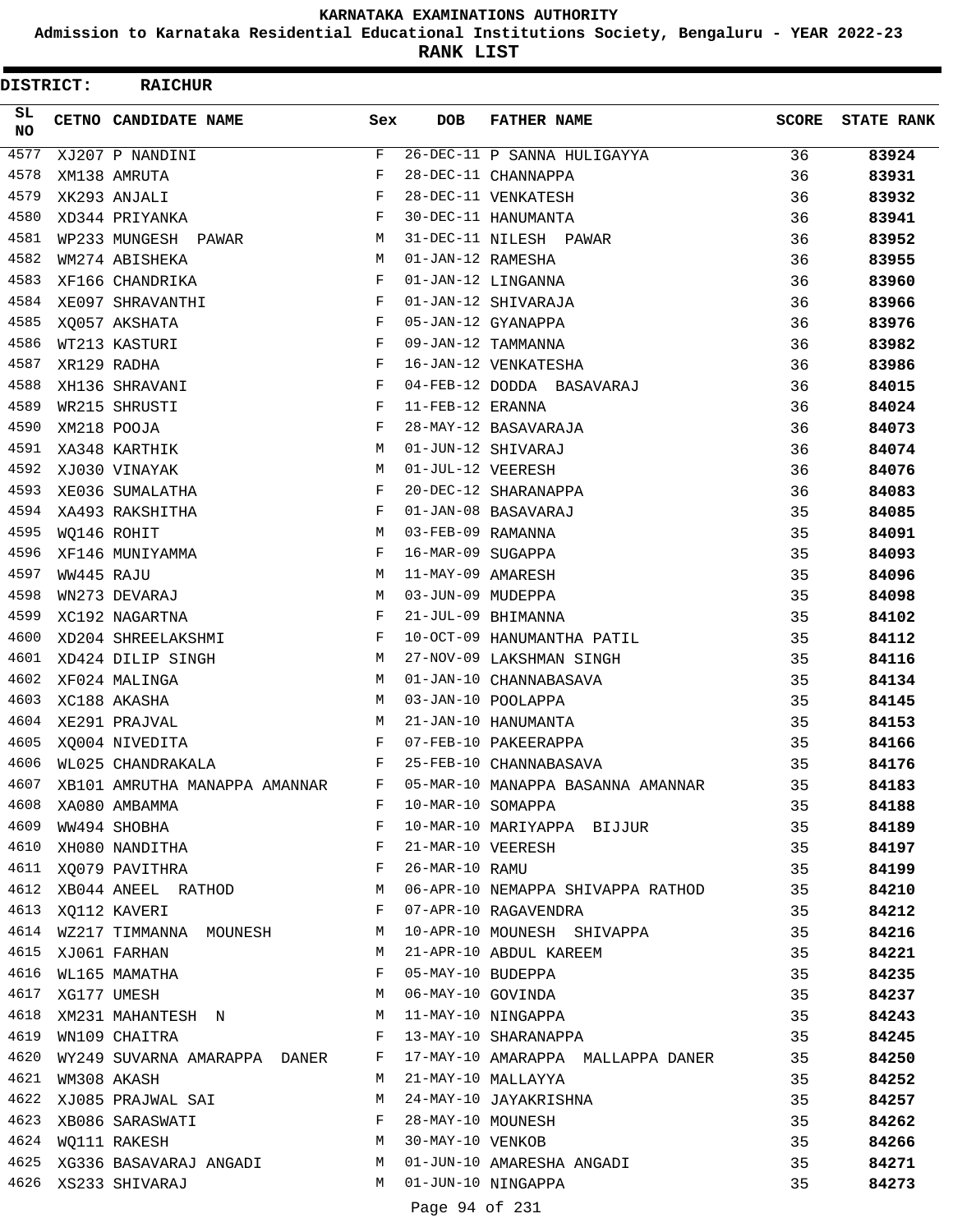**Admission to Karnataka Residential Educational Institutions Society, Bengaluru - YEAR 2022-23**

**RANK LIST**

| DISTRICT:       |            | <b>RAICHUR</b>                                                      |             |                   |                                                                                                                                                                                                                                                                                                                                                                                                    |       |                   |
|-----------------|------------|---------------------------------------------------------------------|-------------|-------------------|----------------------------------------------------------------------------------------------------------------------------------------------------------------------------------------------------------------------------------------------------------------------------------------------------------------------------------------------------------------------------------------------------|-------|-------------------|
| SL<br><b>NO</b> |            | CETNO CANDIDATE NAME                                                | Sex         | <b>DOB</b>        | <b>FATHER NAME</b>                                                                                                                                                                                                                                                                                                                                                                                 | SCORE | <b>STATE RANK</b> |
| 4577            |            | XJ207 P NANDINI                                                     | $\mathbf F$ |                   | 26-DEC-11 P SANNA HULIGAYYA                                                                                                                                                                                                                                                                                                                                                                        | 36    | 83924             |
| 4578            |            | XM138 AMRUTA                                                        | F           |                   | 28-DEC-11 CHANNAPPA                                                                                                                                                                                                                                                                                                                                                                                | 36    | 83931             |
| 4579            |            | XK293 ANJALI                                                        | $_{\rm F}$  |                   | 28-DEC-11 VENKATESH                                                                                                                                                                                                                                                                                                                                                                                | 36    | 83932             |
| 4580            |            | XD344 PRIYANKA                                                      | F           |                   | 30-DEC-11 HANUMANTA                                                                                                                                                                                                                                                                                                                                                                                | 36    | 83941             |
| 4581            |            | WP233 MUNGESH PAWAR                                                 | М           |                   | 31-DEC-11 NILESH PAWAR                                                                                                                                                                                                                                                                                                                                                                             | 36    | 83952             |
| 4582            |            | WM274 ABISHEKA                                                      | M           | 01-JAN-12 RAMESHA |                                                                                                                                                                                                                                                                                                                                                                                                    | 36    | 83955             |
| 4583            |            | XF166 CHANDRIKA                                                     | F           |                   | 01-JAN-12 LINGANNA                                                                                                                                                                                                                                                                                                                                                                                 | 36    | 83960             |
| 4584            |            | XE097 SHRAVANTHI                                                    | F           |                   | 01-JAN-12 SHIVARAJA                                                                                                                                                                                                                                                                                                                                                                                | 36    | 83966             |
| 4585            |            | XQ057 AKSHATA                                                       | F           |                   | 05-JAN-12 GYANAPPA                                                                                                                                                                                                                                                                                                                                                                                 | 36    | 83976             |
| 4586            |            | WT213 KASTURI                                                       | F           |                   | 09-JAN-12 TAMMANNA                                                                                                                                                                                                                                                                                                                                                                                 | 36    | 83982             |
| 4587            |            | XR129 RADHA                                                         | F           |                   | 16-JAN-12 VENKATESHA                                                                                                                                                                                                                                                                                                                                                                               | 36    | 83986             |
| 4588            |            | XH136 SHRAVANI                                                      | F           |                   | 04-FEB-12 DODDA BASAVARAJ                                                                                                                                                                                                                                                                                                                                                                          | 36    | 84015             |
| 4589            |            | WR215 SHRUSTI                                                       | F           | 11-FEB-12 ERANNA  |                                                                                                                                                                                                                                                                                                                                                                                                    | 36    | 84024             |
| 4590            |            | XM218 POOJA                                                         | F           |                   | 28-MAY-12 BASAVARAJA                                                                                                                                                                                                                                                                                                                                                                               | 36    | 84073             |
| 4591            |            | XA348 KARTHIK                                                       | M           |                   | 01-JUN-12 SHIVARAJ                                                                                                                                                                                                                                                                                                                                                                                 | 36    | 84074             |
| 4592            |            | XJ030 VINAYAK                                                       | М           | 01-JUL-12 VEERESH |                                                                                                                                                                                                                                                                                                                                                                                                    | 36    | 84076             |
| 4593            |            | XE036 SUMALATHA                                                     | F           |                   | 20-DEC-12 SHARANAPPA                                                                                                                                                                                                                                                                                                                                                                               | 36    | 84083             |
| 4594            |            | XA493 RAKSHITHA                                                     | F           |                   | 01-JAN-08 BASAVARAJ                                                                                                                                                                                                                                                                                                                                                                                | 35    | 84085             |
| 4595            |            | WQ146 ROHIT                                                         | M           | 03-FEB-09 RAMANNA |                                                                                                                                                                                                                                                                                                                                                                                                    | 35    | 84091             |
| 4596            |            | XF146 MUNIYAMMA                                                     | F           | 16-MAR-09 SUGAPPA |                                                                                                                                                                                                                                                                                                                                                                                                    | 35    | 84093             |
| 4597            | WW445 RAJU |                                                                     | M           | 11-MAY-09 AMARESH |                                                                                                                                                                                                                                                                                                                                                                                                    | 35    | 84096             |
| 4598            |            | WN273 DEVARAJ                                                       | M           | 03-JUN-09 MUDEPPA |                                                                                                                                                                                                                                                                                                                                                                                                    | 35    | 84098             |
| 4599            |            | XC192 NAGARTNA                                                      | F           |                   | 21-JUL-09 BHIMANNA                                                                                                                                                                                                                                                                                                                                                                                 | 35    | 84102             |
| 4600            |            | XD204 SHREELAKSHMI                                                  | F           |                   | 10-OCT-09 HANUMANTHA PATIL                                                                                                                                                                                                                                                                                                                                                                         | 35    | 84112             |
| 4601            |            | XD424 DILIP SINGH                                                   | М           |                   | 27-NOV-09 LAKSHMAN SINGH                                                                                                                                                                                                                                                                                                                                                                           | 35    | 84116             |
| 4602            |            | XF024 MALINGA                                                       | М           |                   | 01-JAN-10 CHANNABASAVA                                                                                                                                                                                                                                                                                                                                                                             | 35    | 84134             |
| 4603            |            | XC188 AKASHA                                                        | M           |                   | 03-JAN-10 POOLAPPA                                                                                                                                                                                                                                                                                                                                                                                 | 35    | 84145             |
| 4604            |            | XE291 PRAJVAL                                                       | М           |                   | 21-JAN-10 HANUMANTA                                                                                                                                                                                                                                                                                                                                                                                | 35    | 84153             |
| 4605            |            | XQ004 NIVEDITA                                                      | F           |                   | 07-FEB-10 PAKEERAPPA                                                                                                                                                                                                                                                                                                                                                                               | 35    | 84166             |
| 4606            |            | WL025 CHANDRAKALA                                                   | F           |                   | 25-FEB-10 CHANNABASAVA                                                                                                                                                                                                                                                                                                                                                                             | 35    | 84176             |
| 4607            |            | XB101 AMRUTHA MANAPPA AMANNAR F                                     |             |                   | 05-MAR-10 MANAPPA BASANNA AMANNAR 35                                                                                                                                                                                                                                                                                                                                                               |       | 84183             |
| 4608            |            | XA080 AMBAMMA                                                       |             |                   | F 10-MAR-10 SOMAPPA                                                                                                                                                                                                                                                                                                                                                                                | 35    | 84188             |
|                 |            | $\mathbf{F}$ and $\mathbf{F}$ and $\mathbf{F}$<br>4609 WW494 SHOBHA |             |                   | 10-MAR-10 MARIYAPPA BIJJUR 35                                                                                                                                                                                                                                                                                                                                                                      |       | 84189             |
|                 |            |                                                                     |             |                   | 4610 XHO80 NANDITHA<br>4611 XQ079 PAVITHRA<br>4612 XBO44 ANEEL RATHOD M 06-APR-10 NEMAPPA SHIVAPPA RATHOD 35                                                                                                                                                                                                                                                                                       |       | 84197             |
|                 |            |                                                                     |             |                   |                                                                                                                                                                                                                                                                                                                                                                                                    |       | 84199             |
|                 |            |                                                                     |             |                   |                                                                                                                                                                                                                                                                                                                                                                                                    |       | 84210             |
|                 |            | 4613 XQ112 KAVERI F                                                 |             |                   | 07-APR-10 RAGAVENDRA                                                                                                                                                                                                                                                                                                                                                                               | 35    | 84212             |
|                 |            |                                                                     |             |                   |                                                                                                                                                                                                                                                                                                                                                                                                    | 35    | 84216             |
|                 |            |                                                                     |             |                   | 4614 WZ217 TIMMANNA MOUNESH M 10-APR-10 MOUNESH SHIVAPPA<br>4615 XJ061 FARHAN MOUNESH M 21-APR-10 ABDUL KAREEM                                                                                                                                                                                                                                                                                     | 35    | 84221             |
|                 |            |                                                                     |             |                   | $\begin{array}{lllllllllllllll} \text{4616} & \text{WL165} & \text{MAMATHA} & \text{F} & 05-MAY-10 & \text{BUDEPPA} & & & & & & 35 \\ \text{4617} & \text{XG177} & \text{UMESH} & & & & & M & 06-MAY-10 & \text{GOVINDA} & & & & & & 35 \\ \text{4618} & \text{XM231} & \text{MAHANTESH} & \text{N} & & & & M & 11-MAY-10 & \text{NINGAPPA} & & & & & 35 \\ \text{4619} & \text{WN109} & \text{CH$ |       | 84235             |
|                 |            |                                                                     |             |                   |                                                                                                                                                                                                                                                                                                                                                                                                    |       | 84237             |
|                 |            |                                                                     |             |                   |                                                                                                                                                                                                                                                                                                                                                                                                    |       | 84243             |
|                 |            |                                                                     |             |                   |                                                                                                                                                                                                                                                                                                                                                                                                    |       | 84245             |
| 4620            |            |                                                                     |             |                   | WY249 SUVARNA AMARAPPA DANER F 17-MAY-10 AMARAPPA MALLAPPA DANER 35                                                                                                                                                                                                                                                                                                                                |       | 84250             |
| 4621            |            | WM308 AKASH                                                         |             |                   | M 21-MAY-10 MALLAYYA                                                                                                                                                                                                                                                                                                                                                                               | 35    | 84252             |
|                 |            |                                                                     |             |                   |                                                                                                                                                                                                                                                                                                                                                                                                    |       | 84257             |
|                 |            |                                                                     |             |                   |                                                                                                                                                                                                                                                                                                                                                                                                    |       | 84262             |
|                 |            |                                                                     |             |                   |                                                                                                                                                                                                                                                                                                                                                                                                    |       | 84266             |
|                 |            |                                                                     |             |                   | 4625 XG336 BASAVARAJ ANGADI               M   01-JUN-10 AMARESHA ANGADI                         35<br>4626  XS233 SHIVARAJ                                 M   01-JUN-10 NINGAPPA                                                                                                                                                                                                                  |       | 84271             |
|                 |            |                                                                     |             |                   |                                                                                                                                                                                                                                                                                                                                                                                                    |       | 84273             |
|                 |            |                                                                     |             | Page 94 of 231    |                                                                                                                                                                                                                                                                                                                                                                                                    |       |                   |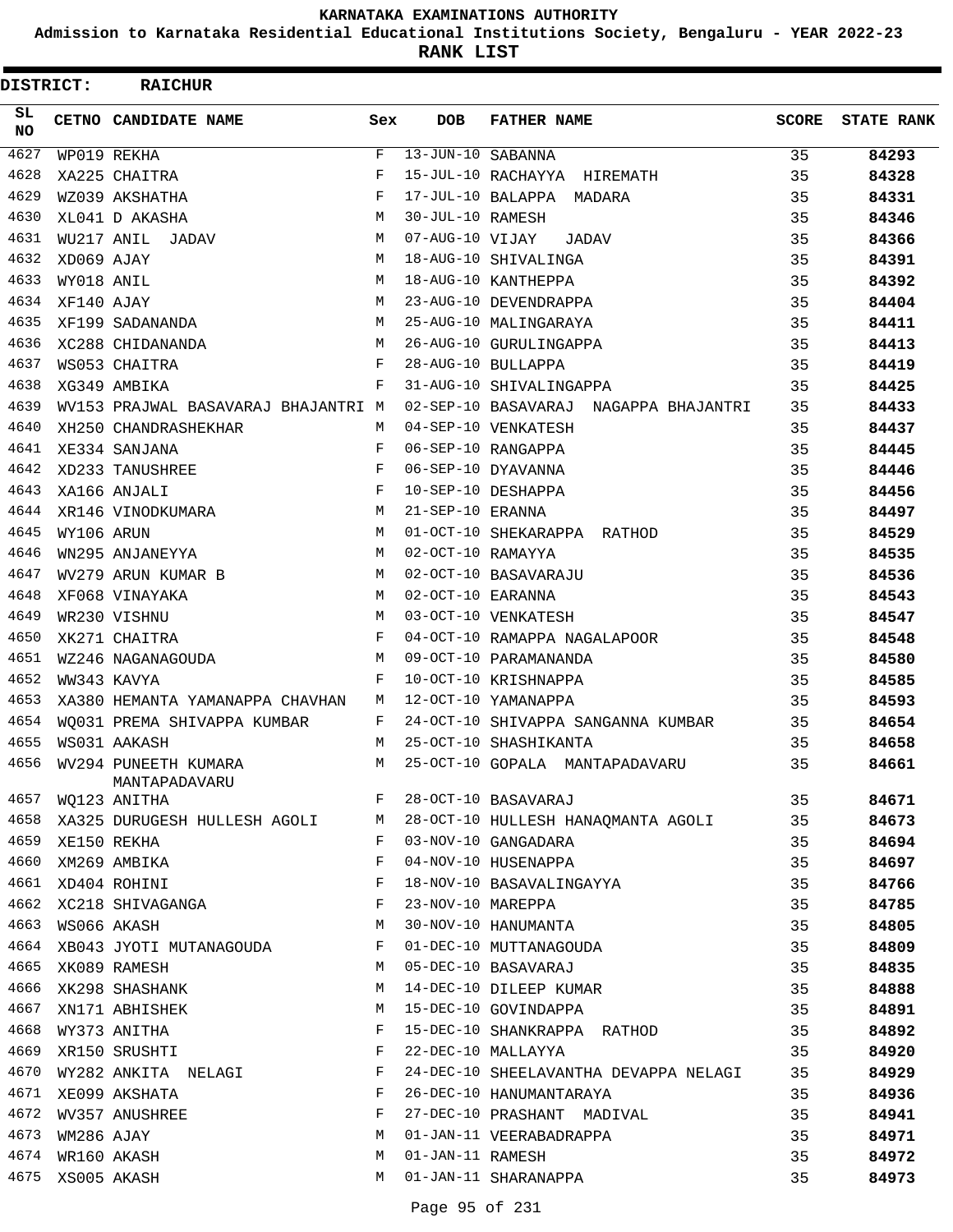**Admission to Karnataka Residential Educational Institutions Society, Bengaluru - YEAR 2022-23**

**RANK LIST**

| <b>DISTRICT:</b> |                  | <b>RAICHUR</b>                        |              |                         |                                       |       |                   |
|------------------|------------------|---------------------------------------|--------------|-------------------------|---------------------------------------|-------|-------------------|
| SL.<br><b>NO</b> |                  | CETNO CANDIDATE NAME                  | Sex          | <b>DOB</b>              | <b>FATHER NAME</b>                    | SCORE | <b>STATE RANK</b> |
| 4627             |                  | WP019 REKHA                           | $\mathbf{F}$ | $13 - JUN - 10$ SABANNA |                                       | 35    | 84293             |
| 4628             |                  | XA225 CHAITRA                         | F            |                         | 15-JUL-10 RACHAYYA HIREMATH           | 35    | 84328             |
| 4629             |                  | WZ039 AKSHATHA                        | F            |                         | 17-JUL-10 BALAPPA MADARA              | 35    | 84331             |
| 4630             |                  | XL041 D AKASHA                        | M            | 30-JUL-10 RAMESH        |                                       | 35    | 84346             |
| 4631             |                  | WU217 ANIL JADAV                      | M            | 07-AUG-10 VIJAY         | JADAV                                 | 35    | 84366             |
| 4632             | XD069 AJAY       |                                       | M            |                         | 18-AUG-10 SHIVALINGA                  | 35    | 84391             |
| 4633             | WY018 ANIL       |                                       | M            |                         | 18-AUG-10 KANTHEPPA                   | 35    | 84392             |
| 4634             | XF140 AJAY       |                                       | M            |                         | 23-AUG-10 DEVENDRAPPA                 | 35    | 84404             |
| 4635             |                  | XF199 SADANANDA                       | M            |                         | 25-AUG-10 MALINGARAYA                 | 35    | 84411             |
| 4636             |                  | XC288 CHIDANANDA                      | M            |                         | 26-AUG-10 GURULINGAPPA                | 35    | 84413             |
| 4637             |                  | WS053 CHAITRA                         | F            |                         | 28-AUG-10 BULLAPPA                    | 35    | 84419             |
| 4638             |                  | XG349 AMBIKA                          | F            |                         | 31-AUG-10 SHIVALINGAPPA               | 35    | 84425             |
| 4639             |                  | WV153 PRAJWAL BASAVARAJ BHAJANTRI M   |              |                         | 02-SEP-10 BASAVARAJ NAGAPPA BHAJANTRI | 35    | 84433             |
| 4640             |                  | XH250 CHANDRASHEKHAR                  | M            |                         | 04-SEP-10 VENKATESH                   | 35    | 84437             |
| 4641             |                  | XE334 SANJANA                         | F            |                         | 06-SEP-10 RANGAPPA                    | 35    | 84445             |
| 4642             |                  | XD233 TANUSHREE                       | F            |                         | 06-SEP-10 DYAVANNA                    | 35    | 84446             |
| 4643             |                  | XA166 ANJALI                          | F            |                         | 10-SEP-10 DESHAPPA                    | 35    | 84456             |
| 4644             |                  | XR146 VINODKUMARA                     | M            | 21-SEP-10 ERANNA        |                                       | 35    | 84497             |
| 4645             | WY106 ARUN       |                                       | M            |                         | 01-OCT-10 SHEKARAPPA RATHOD           | 35    | 84529             |
| 4646             |                  | WN295 ANJANEYYA                       | M            | 02-OCT-10 RAMAYYA       |                                       | 35    | 84535             |
| 4647             |                  | WV279 ARUN KUMAR B                    | M            |                         | 02-OCT-10 BASAVARAJU                  | 35    | 84536             |
| 4648             |                  | XF068 VINAYAKA                        | M            | 02-OCT-10 EARANNA       |                                       | 35    | 84543             |
| 4649             |                  | WR230 VISHNU                          | M            |                         | 03-OCT-10 VENKATESH                   | 35    | 84547             |
| 4650             |                  | XK271 CHAITRA                         | $\mathbf{F}$ |                         | 04-OCT-10 RAMAPPA NAGALAPOOR          | 35    | 84548             |
| 4651             |                  | WZ246 NAGANAGOUDA                     | M            |                         | 09-OCT-10 PARAMANANDA                 | 35    | 84580             |
| 4652             |                  | WW343 KAVYA                           | F            |                         | 10-OCT-10 KRISHNAPPA                  | 35    | 84585             |
| 4653             |                  | XA380 HEMANTA YAMANAPPA CHAVHAN       | М            |                         | 12-OCT-10 YAMANAPPA                   | 35    | 84593             |
| 4654             |                  | WO031 PREMA SHIVAPPA KUMBAR           | F            |                         | 24-OCT-10 SHIVAPPA SANGANNA KUMBAR    | 35    | 84654             |
| 4655             |                  | WS031 AAKASH                          | M            |                         | 25-OCT-10 SHASHIKANTA                 | 35    | 84658             |
| 4656             |                  | WV294 PUNEETH KUMARA<br>MANTAPADAVARU | М            |                         | 25-OCT-10 GOPALA MANTAPADAVARU        | 35    | 84661             |
| 4657             |                  | WO123 ANITHA                          | F            |                         | 28-OCT-10 BASAVARAJ                   | 35    | 84671             |
| 4658             |                  | XA325 DURUGESH HULLESH AGOLI M        |              |                         | 28-OCT-10 HULLESH HANAQMANTA AGOLI    | 35    | 84673             |
|                  | 4659 XE150 REKHA |                                       | F            |                         | 03-NOV-10 GANGADARA                   | 35    | 84694             |
| 4660             |                  | XM269 AMBIKA                          | F            |                         | 04-NOV-10 HUSENAPPA                   | 35    | 84697             |
|                  |                  | 4661 XD404 ROHINI                     | F            |                         | 18-NOV-10 BASAVALINGAYYA              | 35    | 84766             |
|                  |                  | 4662 XC218 SHIVAGANGA                 | F            | 23-NOV-10 MAREPPA       |                                       | 35    | 84785             |
|                  | 4663 WS066 AKASH |                                       | M            |                         | 30-NOV-10 HANUMANTA                   | 35    | 84805             |
| 4664             |                  | XB043 JYOTI MUTANAGOUDA               | F            |                         | 01-DEC-10 MUTTANAGOUDA                | 35    | 84809             |
| 4665             |                  | XK089 RAMESH                          | M            |                         | 05-DEC-10 BASAVARAJ                   | 35    | 84835             |
| 4666             |                  | XK298 SHASHANK                        | М            |                         | 14-DEC-10 DILEEP KUMAR                | 35    | 84888             |
| 4667             |                  | XN171 ABHISHEK                        | M            |                         | 15-DEC-10 GOVINDAPPA                  | 35    | 84891             |
| 4668             |                  | WY373 ANITHA                          | F            |                         | 15-DEC-10 SHANKRAPPA RATHOD           | 35    | 84892             |
| 4669             |                  | XR150 SRUSHTI                         | F            |                         | 22-DEC-10 MALLAYYA                    | 35    | 84920             |
| 4670             |                  | WY282 ANKITA NELAGI                   | F            |                         | 24-DEC-10 SHEELAVANTHA DEVAPPA NELAGI | 35    | 84929             |
|                  |                  | 4671 XE099 AKSHATA                    | F            |                         | 26-DEC-10 HANUMANTARAYA               | 35    | 84936             |
| 4672             |                  | WV357 ANUSHREE                        | F            |                         | 27-DEC-10 PRASHANT MADIVAL            | 35    | 84941             |
| 4673             | WM286 AJAY       |                                       | M            |                         | 01-JAN-11 VEERABADRAPPA               | 35    | 84971             |
| 4674             |                  | WR160 AKASH                           | M            | 01-JAN-11 RAMESH        |                                       | 35    | 84972             |
| 4675             | XS005 AKASH      |                                       | M            |                         | 01-JAN-11 SHARANAPPA                  | 35    | 84973             |
|                  |                  |                                       |              |                         |                                       |       |                   |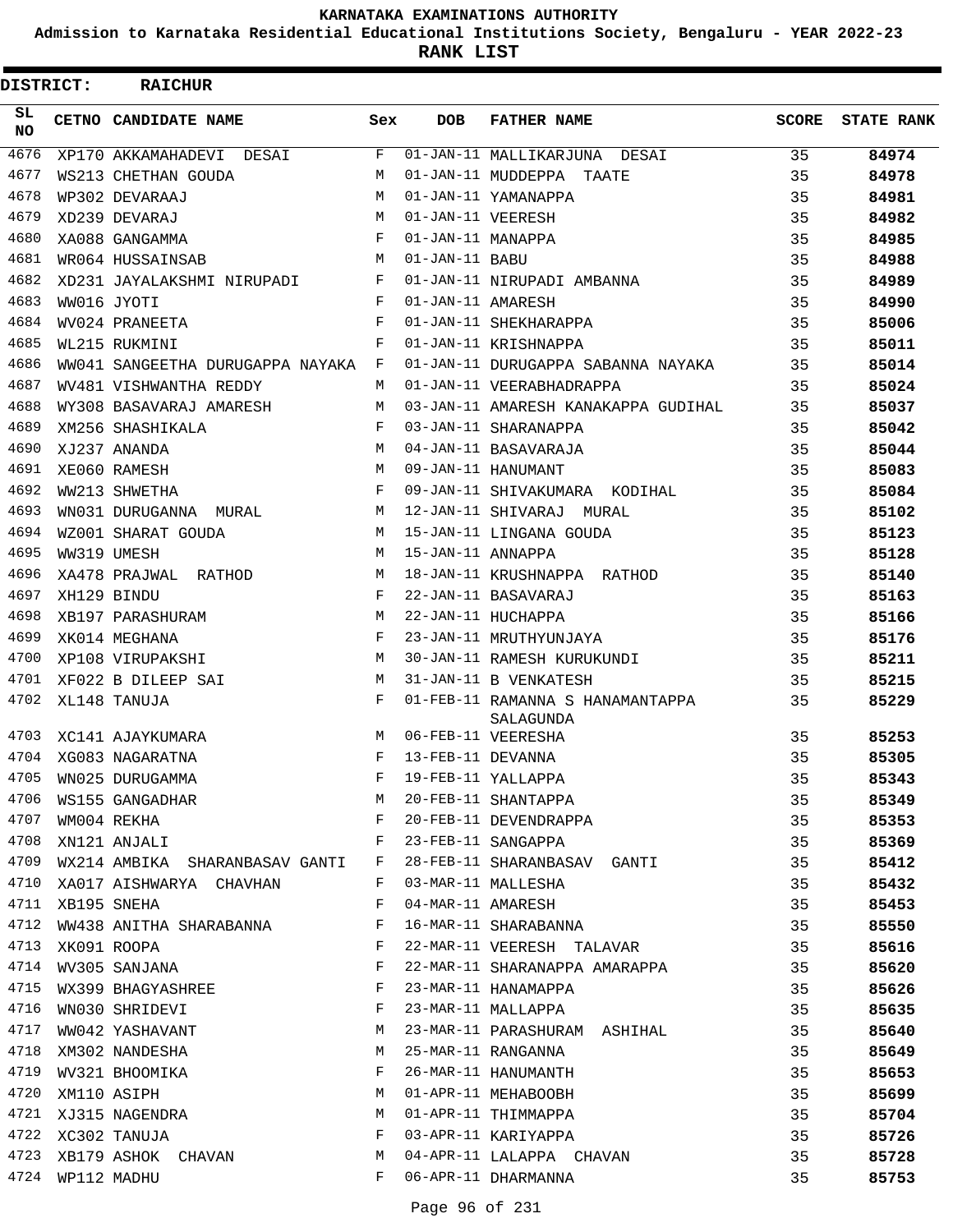**Admission to Karnataka Residential Educational Institutions Society, Bengaluru - YEAR 2022-23**

**RANK LIST**

| DISTRICT:        | <b>RAICHUR</b>                     |              |                   |                                               |       |                   |
|------------------|------------------------------------|--------------|-------------------|-----------------------------------------------|-------|-------------------|
| SL.<br><b>NO</b> | <b>CETNO CANDIDATE NAME</b>        | Sex          | DOB               | <b>FATHER NAME</b>                            | SCORE | <b>STATE RANK</b> |
| 4676             | XP170 AKKAMAHADEVI DESAI           | F            |                   | 01-JAN-11 MALLIKARJUNA DESAI                  | 35    | 84974             |
| 4677             | WS213 CHETHAN GOUDA                | M            |                   | 01-JAN-11 MUDDEPPA TAATE                      | 35    | 84978             |
| 4678             | WP302 DEVARAAJ                     | M            |                   | 01-JAN-11 YAMANAPPA                           | 35    | 84981             |
| 4679             | XD239 DEVARAJ                      | M            | 01-JAN-11 VEERESH |                                               | 35    | 84982             |
| 4680             | XA088 GANGAMMA                     | $\mathbf{F}$ | 01-JAN-11 MANAPPA |                                               | 35    | 84985             |
| 4681             | WR064 HUSSAINSAB                   | M            | 01-JAN-11 BABU    |                                               | 35    | 84988             |
| 4682             | XD231 JAYALAKSHMI NIRUPADI         | $\mathbf{F}$ |                   | 01-JAN-11 NIRUPADI AMBANNA                    | 35    | 84989             |
| 4683             | WW016 JYOTI                        | F            | 01-JAN-11 AMARESH |                                               | 35    | 84990             |
| 4684             | WV024 PRANEETA                     | F            |                   | 01-JAN-11 SHEKHARAPPA                         | 35    | 85006             |
| 4685             | WL215 RUKMINI                      | F            |                   | 01-JAN-11 KRISHNAPPA                          | 35    | 85011             |
| 4686             | WW041 SANGEETHA DURUGAPPA NAYAKA F |              |                   | 01-JAN-11 DURUGAPPA SABANNA NAYAKA            | 35    | 85014             |
| 4687             | WV481 VISHWANTHA REDDY             | M            |                   | 01-JAN-11 VEERABHADRAPPA                      | 35    | 85024             |
| 4688             | WY308 BASAVARAJ AMARESH            | M            |                   | 03-JAN-11 AMARESH KANAKAPPA GUDIHAL           | 35    | 85037             |
| 4689             | XM256 SHASHIKALA                   | $\mathbf{F}$ |                   | 03-JAN-11 SHARANAPPA                          | 35    | 85042             |
| 4690             | XJ237 ANANDA                       | M            |                   | 04-JAN-11 BASAVARAJA                          | 35    | 85044             |
| 4691             | XE060 RAMESH                       | M            |                   | 09-JAN-11 HANUMANT                            | 35    | 85083             |
| 4692             | WW213 SHWETHA                      | F            |                   | 09-JAN-11 SHIVAKUMARA KODIHAL                 | 35    | 85084             |
| 4693             | WN031 DURUGANNA MURAL              | M            |                   | 12-JAN-11 SHIVARAJ MURAL                      | 35    | 85102             |
| 4694             | WZ001 SHARAT GOUDA                 | M            |                   | 15-JAN-11 LINGANA GOUDA                       | 35    | 85123             |
| 4695             | WW319 UMESH                        | M            | 15-JAN-11 ANNAPPA |                                               | 35    | 85128             |
| 4696             | XA478 PRAJWAL RATHOD               | M            |                   | 18-JAN-11 KRUSHNAPPA RATHOD                   | 35    | 85140             |
| 4697             | XH129 BINDU                        | F            |                   | 22-JAN-11 BASAVARAJ                           | 35    | 85163             |
| 4698             | XB197 PARASHURAM                   | M            |                   | 22-JAN-11 HUCHAPPA                            | 35    | 85166             |
| 4699             | XK014 MEGHANA                      | F            |                   | 23-JAN-11 MRUTHYUNJAYA                        | 35    | 85176             |
| 4700             | XP108 VIRUPAKSHI                   | M            |                   | 30-JAN-11 RAMESH KURUKUNDI                    | 35    | 85211             |
| 4701             | XF022 B DILEEP SAI                 | M            |                   | 31-JAN-11 B VENKATESH                         | 35    | 85215             |
| 4702             | XL148 TANUJA                       | F            |                   | 01-FEB-11 RAMANNA S HANAMANTAPPA<br>SALAGUNDA | 35    | 85229             |
| 4703             | XC141 AJAYKUMARA                   | M            |                   | 06-FEB-11 VEERESHA                            | 35    | 85253             |
| 4704             | XG083 NAGARATNA                    | F            | 13-FEB-11 DEVANNA |                                               | 35    | 85305             |
| 4705             | WN025 DURUGAMMA                    | F            |                   | 19-FEB-11 YALLAPPA                            | 35    | 85343             |
| 4706             | WS155 GANGADHAR                    | М            |                   | 20-FEB-11 SHANTAPPA                           | 35    | 85349             |
| 4707             | WM004 REKHA                        | F            |                   | 20-FEB-11 DEVENDRAPPA                         | 35    | 85353             |
| 4708             | XN121 ANJALI                       | F            |                   | 23-FEB-11 SANGAPPA                            | 35    | 85369             |
| 4709             | WX214 AMBIKA SHARANBASAV GANTI     | F            |                   | 28-FEB-11 SHARANBASAV GANTI                   | 35    | 85412             |
| 4710             | XA017 AISHWARYA CHAVHAN            | F            |                   | 03-MAR-11 MALLESHA                            | 35    | 85432             |
| 4711             | XB195 SNEHA                        | F            | 04-MAR-11 AMARESH |                                               | 35    | 85453             |
| 4712             | WW438 ANITHA SHARABANNA            | F            |                   | 16-MAR-11 SHARABANNA                          | 35    | 85550             |
| 4713             | XK091 ROOPA                        | F            |                   | 22-MAR-11 VEERESH TALAVAR                     | 35    | 85616             |
| 4714             | WV305 SANJANA                      | F            |                   | 22-MAR-11 SHARANAPPA AMARAPPA                 | 35    | 85620             |
| 4715             | WX399 BHAGYASHREE                  | F            |                   | 23-MAR-11 HANAMAPPA                           | 35    | 85626             |
| 4716             | WN030 SHRIDEVI                     | F            |                   | 23-MAR-11 MALLAPPA                            | 35    | 85635             |
| 4717             | WW042 YASHAVANT                    | М            |                   | 23-MAR-11 PARASHURAM ASHIHAL                  | 35    | 85640             |
| 4718             | XM302 NANDESHA                     | M            |                   | 25-MAR-11 RANGANNA                            | 35    | 85649             |
| 4719             | WV321 BHOOMIKA                     | F            |                   | 26-MAR-11 HANUMANTH                           | 35    | 85653             |
| 4720             | XM110 ASIPH                        | М            |                   | 01-APR-11 MEHABOOBH                           | 35    | 85699             |
| 4721             | XJ315 NAGENDRA                     | М            |                   | 01-APR-11 THIMMAPPA                           | 35    | 85704             |
|                  | 4722 XC302 TANUJA                  | F            |                   | 03-APR-11 KARIYAPPA                           | 35    | 85726             |
| 4723             | XB179 ASHOK CHAVAN                 | М            |                   | 04-APR-11 LALAPPA CHAVAN                      | 35    | 85728             |
| 4724             | WP112 MADHU                        | F            |                   | 06-APR-11 DHARMANNA                           | 35    | 85753             |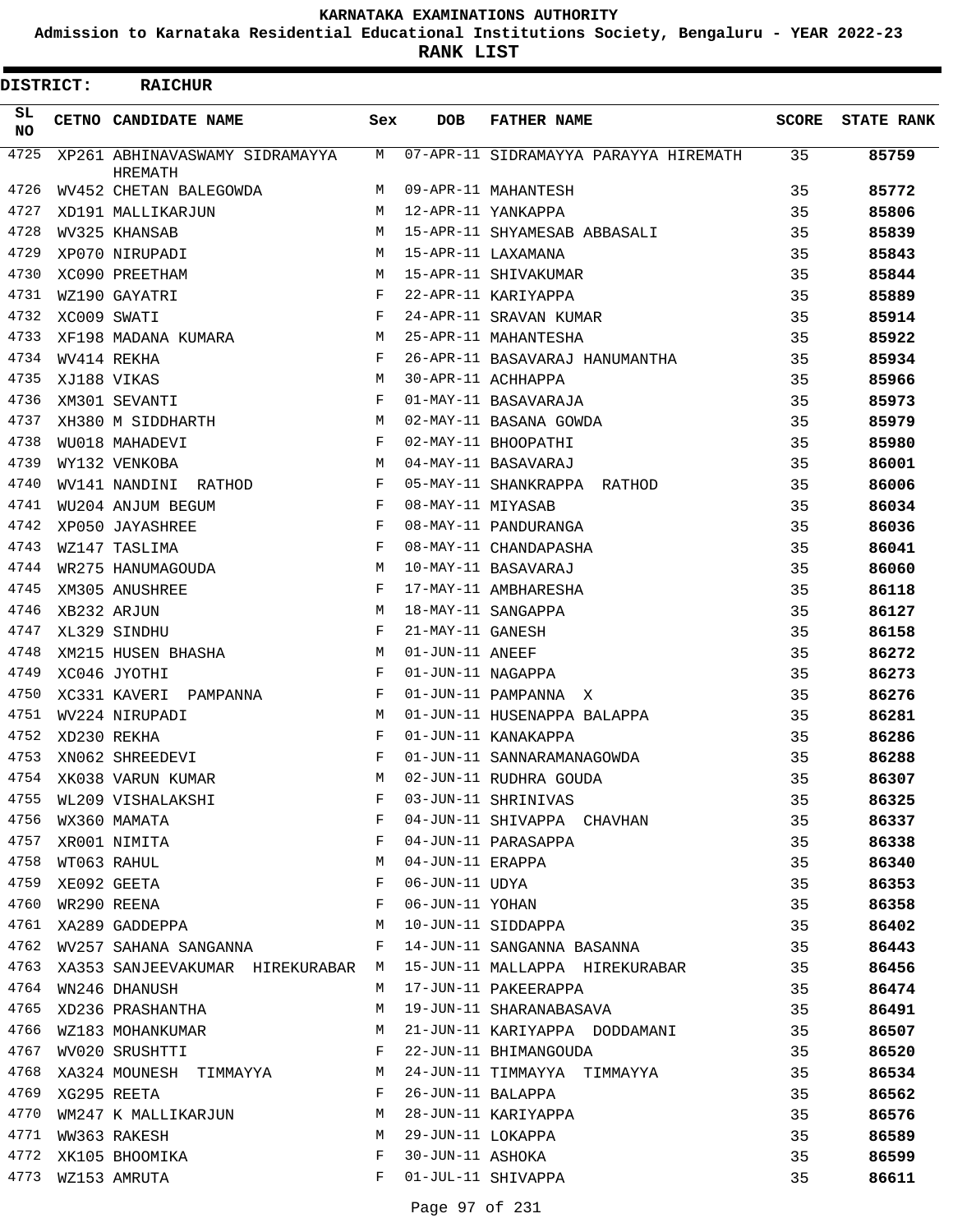**Admission to Karnataka Residential Educational Institutions Society, Bengaluru - YEAR 2022-23**

**RANK LIST**

| DISTRICT: |             | <b>RAICHUR</b>                                   |     |                   |                                       |       |                   |
|-----------|-------------|--------------------------------------------------|-----|-------------------|---------------------------------------|-------|-------------------|
| SL<br>NO. |             | CETNO CANDIDATE NAME                             | Sex | <b>DOB</b>        | <b>FATHER NAME</b>                    | SCORE | <b>STATE RANK</b> |
| 4725      |             | XP261 ABHINAVASWAMY SIDRAMAYYA<br><b>HREMATH</b> | М   |                   | 07-APR-11 SIDRAMAYYA PARAYYA HIREMATH | 35    | 85759             |
| 4726      |             | WV452 CHETAN BALEGOWDA                           | M   |                   | 09-APR-11 MAHANTESH                   | 35    | 85772             |
| 4727      |             | XD191 MALLIKARJUN                                | M   |                   | 12-APR-11 YANKAPPA                    | 35    | 85806             |
| 4728      |             | WV325 KHANSAB                                    | M   |                   | 15-APR-11 SHYAMESAB ABBASALI          | 35    | 85839             |
| 4729      |             | XP070 NIRUPADI                                   | M   |                   | 15-APR-11 LAXAMANA                    | 35    | 85843             |
| 4730      |             | XC090 PREETHAM                                   | М   |                   | 15-APR-11 SHIVAKUMAR                  | 35    | 85844             |
| 4731      |             | WZ190 GAYATRI                                    | F   |                   | 22-APR-11 KARIYAPPA                   | 35    | 85889             |
| 4732      | XC009 SWATI |                                                  | F   |                   | 24-APR-11 SRAVAN KUMAR                | 35    | 85914             |
| 4733      |             | XF198 MADANA KUMARA                              | M   |                   | 25-APR-11 MAHANTESHA                  | 35    | 85922             |
| 4734      |             | WV414 REKHA                                      | F   |                   | 26-APR-11 BASAVARAJ HANUMANTHA        | 35    | 85934             |
| 4735      |             | XJ188 VIKAS                                      | М   |                   | 30-APR-11 ACHHAPPA                    | 35    | 85966             |
| 4736      |             | XM301 SEVANTI                                    | F   |                   | 01-MAY-11 BASAVARAJA                  | 35    | 85973             |
| 4737      |             | XH380 M SIDDHARTH                                | М   |                   | 02-MAY-11 BASANA GOWDA                | 35    | 85979             |
| 4738      |             | WU018 MAHADEVI                                   | F   |                   | 02-MAY-11 BHOOPATHI                   | 35    | 85980             |
| 4739      |             | WY132 VENKOBA                                    | M   |                   | 04-MAY-11 BASAVARAJ                   | 35    | 86001             |
| 4740      |             | WV141 NANDINI RATHOD                             | F   |                   | 05-MAY-11 SHANKRAPPA RATHOD           | 35    | 86006             |
| 4741      |             | WU204 ANJUM BEGUM                                | F   | 08-MAY-11 MIYASAB |                                       | 35    | 86034             |
| 4742      |             | XP050 JAYASHREE                                  | F   |                   | 08-MAY-11 PANDURANGA                  | 35    | 86036             |
| 4743      |             | WZ147 TASLIMA                                    | F   |                   | 08-MAY-11 CHANDAPASHA                 | 35    | 86041             |
| 4744      |             | WR275 HANUMAGOUDA                                | М   |                   | 10-MAY-11 BASAVARAJ                   | 35    | 86060             |
| 4745      |             | XM305 ANUSHREE                                   | F   |                   | 17-MAY-11 AMBHARESHA                  | 35    | 86118             |
| 4746      |             | XB232 ARJUN                                      | М   |                   | 18-MAY-11 SANGAPPA                    | 35    | 86127             |
| 4747      |             | XL329 SINDHU                                     | F   | 21-MAY-11 GANESH  |                                       | 35    | 86158             |
| 4748      |             | XM215 HUSEN BHASHA                               | M   | 01-JUN-11 ANEEF   |                                       | 35    | 86272             |
| 4749      |             | XC046 JYOTHI                                     | F   | 01-JUN-11 NAGAPPA |                                       | 35    | 86273             |
| 4750      |             | XC331 KAVERI<br>PAMPANNA                         | F   |                   | 01-JUN-11 PAMPANNA X                  | 35    | 86276             |
| 4751      |             | WV224 NIRUPADI                                   | М   |                   | 01-JUN-11 HUSENAPPA BALAPPA           | 35    | 86281             |
| 4752      |             | XD230 REKHA                                      | F   |                   | 01-JUN-11 KANAKAPPA                   | 35    | 86286             |
| 4753      |             | XN062 SHREEDEVI                                  | F   |                   | 01-JUN-11 SANNARAMANAGOWDA            | 35    | 86288             |
| 4754      |             | XK038 VARUN KUMAR                                | M   |                   | 02-JUN-11 RUDHRA GOUDA                | 35    | 86307             |
| 4755      |             | WL209 VISHALAKSHI                                | F   |                   | 03-JUN-11 SHRINIVAS                   | 35    | 86325             |
| 4756      |             | WX360 MAMATA                                     | F   |                   | 04-JUN-11 SHIVAPPA CHAVHAN            | 35    | 86337             |
| 4757      |             | XR001 NIMITA                                     | F   |                   | 04-JUN-11 PARASAPPA                   | 35    | 86338             |
| 4758      |             | WT063 RAHUL                                      | М   | 04-JUN-11 ERAPPA  |                                       | 35    | 86340             |
| 4759      |             | XE092 GEETA                                      | F   | 06-JUN-11 UDYA    |                                       | 35    |                   |
| 4760      |             | WR290 REENA                                      | F   | 06-JUN-11 YOHAN   |                                       | 35    | 86353             |
| 4761      |             |                                                  | М   |                   | 10-JUN-11 SIDDAPPA                    |       | 86358             |
| 4762      |             | XA289 GADDEPPA                                   | F   |                   | 14-JUN-11 SANGANNA BASANNA            | 35    | 86402             |
|           |             | WV257 SAHANA SANGANNA                            |     |                   |                                       | 35    | 86443             |
| 4763      |             | XA353 SANJEEVAKUMAR HIREKURABAR M                |     |                   | 15-JUN-11 MALLAPPA HIREKURABAR        | 35    | 86456             |
| 4764      |             | WN246 DHANUSH                                    | М   |                   | 17-JUN-11 PAKEERAPPA                  | 35    | 86474             |
| 4765      |             | XD236 PRASHANTHA                                 | М   |                   | 19-JUN-11 SHARANABASAVA               | 35    | 86491             |
| 4766      |             | WZ183 MOHANKUMAR                                 | М   |                   | 21-JUN-11 KARIYAPPA DODDAMANI         | 35    | 86507             |
| 4767      |             | WV020 SRUSHTTI                                   | F   |                   | 22-JUN-11 BHIMANGOUDA                 | 35    | 86520             |
| 4768      |             | XA324 MOUNESH TIMMAYYA                           | M   |                   | 24-JUN-11 TIMMAYYA TIMMAYYA           | 35    | 86534             |
| 4769      |             | XG295 REETA                                      | F   | 26-JUN-11 BALAPPA |                                       | 35    | 86562             |
| 4770      |             | WM247 K MALLIKARJUN                              | М   |                   | 28-JUN-11 KARIYAPPA                   | 35    | 86576             |
| 4771      |             | WW363 RAKESH                                     | М   | 29-JUN-11 LOKAPPA |                                       | 35    | 86589             |
| 4772      |             | XK105 BHOOMIKA                                   | F   | 30-JUN-11 ASHOKA  |                                       | 35    | 86599             |
| 4773      |             | WZ153 AMRUTA                                     | F   |                   | 01-JUL-11 SHIVAPPA                    | 35    | 86611             |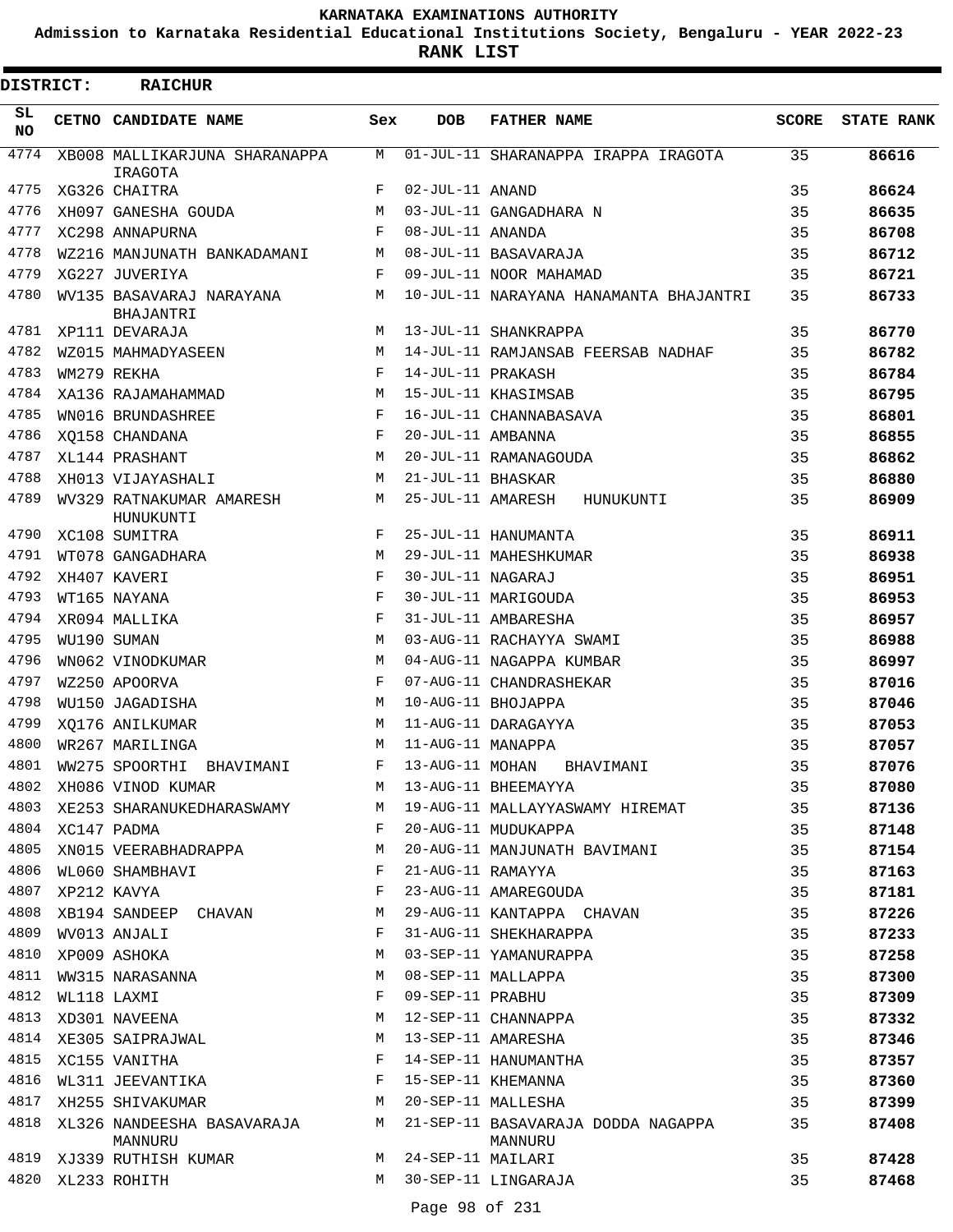**Admission to Karnataka Residential Educational Institutions Society, Bengaluru - YEAR 2022-23**

**RANK LIST**

| <b>DISTRICT:</b> |                  | <b>RAICHUR</b>                           |            |                   |                                               |              |                   |
|------------------|------------------|------------------------------------------|------------|-------------------|-----------------------------------------------|--------------|-------------------|
| SL.<br>NO.       |                  | CETNO CANDIDATE NAME                     | Sex        | <b>DOB</b>        | <b>FATHER NAME</b>                            | <b>SCORE</b> | <b>STATE RANK</b> |
| 4774             |                  | XB008 MALLIKARJUNA SHARANAPPA<br>IRAGOTA | М          |                   | 01-JUL-11 SHARANAPPA IRAPPA IRAGOTA           | 35           | 86616             |
| 4775             |                  | XG326 CHAITRA                            | F          | 02-JUL-11 ANAND   |                                               | 35           | 86624             |
| 4776             |                  | XH097 GANESHA GOUDA                      | M          |                   | 03-JUL-11 GANGADHARA N                        | 35           | 86635             |
| 4777             |                  | XC298 ANNAPURNA                          | F          | 08-JUL-11 ANANDA  |                                               | 35           | 86708             |
| 4778             |                  | WZ216 MANJUNATH BANKADAMANI              | М          |                   | 08-JUL-11 BASAVARAJA                          | 35           | 86712             |
| 4779             |                  | XG227 JUVERIYA                           | F          |                   | 09-JUL-11 NOOR MAHAMAD                        | 35           | 86721             |
| 4780             |                  | WV135 BASAVARAJ NARAYANA<br>BHAJANTRI    | М          |                   | 10-JUL-11 NARAYANA HANAMANTA BHAJANTRI        | 35           | 86733             |
| 4781             |                  | XP111 DEVARAJA                           | M          |                   | 13-JUL-11 SHANKRAPPA                          | 35           | 86770             |
| 4782             |                  | WZ015 MAHMADYASEEN                       | M          |                   | 14-JUL-11 RAMJANSAB FEERSAB NADHAF            | 35           | 86782             |
| 4783             |                  | WM279 REKHA                              | $_{\rm F}$ | 14-JUL-11 PRAKASH |                                               | 35           | 86784             |
| 4784             |                  | XA136 RAJAMAHAMMAD                       | M          |                   | 15-JUL-11 KHASIMSAB                           | 35           | 86795             |
| 4785             |                  | WN016 BRUNDASHREE                        | F          |                   | 16-JUL-11 CHANNABASAVA                        | 35           | 86801             |
| 4786             |                  | XO158 CHANDANA                           | F          | 20-JUL-11 AMBANNA |                                               | 35           | 86855             |
| 4787             |                  | XL144 PRASHANT                           | M          |                   | 20-JUL-11 RAMANAGOUDA                         | 35           | 86862             |
| 4788             |                  | XH013 VIJAYASHALI                        | M          | 21-JUL-11 BHASKAR |                                               | 35           | 86880             |
| 4789             |                  | WV329 RATNAKUMAR AMARESH<br>HUNUKUNTI    | M          | 25-JUL-11 AMARESH | HUNUKUNTI                                     | 35           | 86909             |
| 4790             |                  | XC108 SUMITRA                            | F          |                   | 25-JUL-11 HANUMANTA                           | 35           | 86911             |
| 4791             |                  | WT078 GANGADHARA                         | M          |                   | 29-JUL-11 MAHESHKUMAR                         | 35           | 86938             |
| 4792             |                  | XH407 KAVERI                             | F          | 30-JUL-11 NAGARAJ |                                               | 35           | 86951             |
| 4793             |                  | WT165 NAYANA                             | F          |                   | 30-JUL-11 MARIGOUDA                           | 35           | 86953             |
| 4794             |                  | XR094 MALLIKA                            | F          |                   | 31-JUL-11 AMBARESHA                           | 35           | 86957             |
| 4795             |                  | WU190 SUMAN                              | M          |                   | 03-AUG-11 RACHAYYA SWAMI                      | 35           | 86988             |
| 4796             |                  | WN062 VINODKUMAR                         | M          |                   | 04-AUG-11 NAGAPPA KUMBAR                      | 35           | 86997             |
| 4797             |                  | WZ250 APOORVA                            | $_{\rm F}$ |                   | 07-AUG-11 CHANDRASHEKAR                       | 35           | 87016             |
| 4798             |                  | WU150 JAGADISHA                          | М          |                   | 10-AUG-11 BHOJAPPA                            | 35           | 87046             |
| 4799             |                  | XQ176 ANILKUMAR                          | M          |                   | 11-AUG-11 DARAGAYYA                           | 35           | 87053             |
| 4800             |                  | WR267 MARILINGA                          | M          | 11-AUG-11 MANAPPA |                                               | 35           | 87057             |
| 4801             |                  | WW275 SPOORTHI<br>BHAVIMANI              | F          | 13-AUG-11 MOHAN   | BHAVIMANI                                     | 35           | 87076             |
| 4802             |                  | XH086 VINOD KUMAR                        | М          |                   | 13-AUG-11 BHEEMAYYA                           | 35           | 87080             |
| 4803             |                  | XE253 SHARANUKEDHARASWAMY                | M          |                   | 19-AUG-11 MALLAYYASWAMY HIREMAT               | 35           | 87136             |
|                  | 4804 XC147 PADMA |                                          | F          |                   | 20-AUG-11 MUDUKAPPA                           | 35           | 87148             |
| 4805             |                  | XN015 VEERABHADRAPPA                     | М          |                   | 20-AUG-11 MANJUNATH BAVIMANI                  | 35           | 87154             |
| 4806             |                  | WL060 SHAMBHAVI                          | F          | 21-AUG-11 RAMAYYA |                                               | 35           | 87163             |
| 4807             |                  | XP212 KAVYA                              | F          |                   | 23-AUG-11 AMAREGOUDA                          | 35           | 87181             |
| 4808             |                  | XB194 SANDEEP CHAVAN                     | М          |                   | 29-AUG-11 KANTAPPA CHAVAN                     | 35           | 87226             |
| 4809             |                  | WV013 ANJALI                             | F          |                   | 31-AUG-11 SHEKHARAPPA                         | 35           | 87233             |
| 4810             |                  | XP009 ASHOKA                             | М          |                   | 03-SEP-11 YAMANURAPPA                         | 35           | 87258             |
| 4811             |                  | WW315 NARASANNA                          | М          |                   | 08-SEP-11 MALLAPPA                            | 35           | 87300             |
| 4812             |                  | WL118 LAXMI                              | F          | 09-SEP-11 PRABHU  |                                               | 35           | 87309             |
| 4813             |                  | XD301 NAVEENA                            | M          |                   | 12-SEP-11 CHANNAPPA                           | 35           | 87332             |
| 4814             |                  | XE305 SAIPRAJWAL                         | М          |                   | 13-SEP-11 AMARESHA                            | 35           | 87346             |
| 4815             |                  | XC155 VANITHA                            | F          |                   | 14-SEP-11 HANUMANTHA                          | 35           | 87357             |
| 4816             |                  | WL311 JEEVANTIKA                         | F          |                   | 15-SEP-11 KHEMANNA                            | 35           | 87360             |
| 4817             |                  | XH255 SHIVAKUMAR                         | M          |                   | 20-SEP-11 MALLESHA                            | 35           | 87399             |
| 4818             |                  | XL326 NANDEESHA BASAVARAJA<br>MANNURU    | M          |                   | 21-SEP-11 BASAVARAJA DODDA NAGAPPA<br>MANNURU | 35           | 87408             |
| 4819             |                  | XJ339 RUTHISH KUMAR                      | M          | 24-SEP-11 MAILARI |                                               | 35           | 87428             |
| 4820             |                  | XL233 ROHITH                             | M          |                   | 30-SEP-11 LINGARAJA                           | 35           | 87468             |
|                  |                  |                                          |            |                   |                                               |              |                   |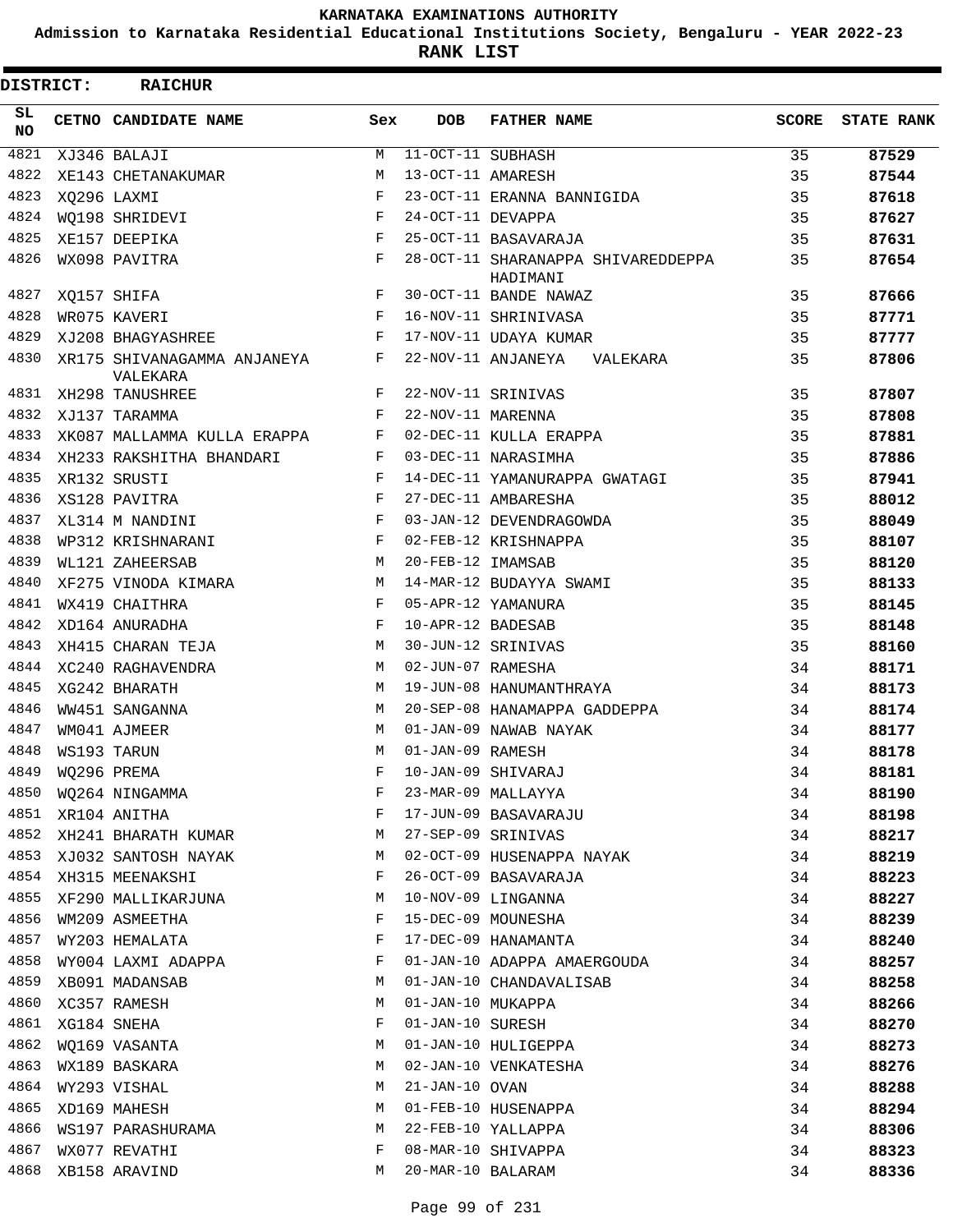**Admission to Karnataka Residential Educational Institutions Society, Bengaluru - YEAR 2022-23**

**RANK LIST**

| DISTRICT:  | <b>RAICHUR</b>                          |              |                      |                                                |              |                   |
|------------|-----------------------------------------|--------------|----------------------|------------------------------------------------|--------------|-------------------|
| SL.<br>NO. | CETNO CANDIDATE NAME                    | Sex          | <b>DOB</b>           | <b>FATHER NAME</b>                             | <b>SCORE</b> | <b>STATE RANK</b> |
| 4821       | XJ346 BALAJI                            | М            | $11-OCT-11$ SUBHASH  |                                                | 35           | 87529             |
| 4822       | XE143 CHETANAKUMAR                      | M            | 13-OCT-11 AMARESH    |                                                | 35           | 87544             |
| 4823       | XO296 LAXMI                             | F            |                      | 23-OCT-11 ERANNA BANNIGIDA                     | 35           | 87618             |
| 4824       | WO198 SHRIDEVI                          | F            | 24-OCT-11 DEVAPPA    |                                                | 35           | 87627             |
| 4825       | XE157 DEEPIKA                           | F            |                      | 25-OCT-11 BASAVARAJA                           | 35           | 87631             |
| 4826       | WX098 PAVITRA                           | F            |                      | 28-OCT-11 SHARANAPPA SHIVAREDDEPPA<br>HADIMANI | 35           | 87654             |
| 4827       | XO157 SHIFA                             | F            |                      | 30-OCT-11 BANDE NAWAZ                          | 35           | 87666             |
| 4828       | WR075 KAVERI                            | F            |                      | 16-NOV-11 SHRINIVASA                           | 35           | 87771             |
| 4829       | XJ208 BHAGYASHREE                       | F            |                      | 17-NOV-11 UDAYA KUMAR                          | 35           | 87777             |
| 4830       | XR175 SHIVANAGAMMA ANJANEYA<br>VALEKARA | F            |                      | 22-NOV-11 ANJANEYA<br>VALEKARA                 | 35           | 87806             |
| 4831       | XH298 TANUSHREE                         | F            |                      | 22-NOV-11 SRINIVAS                             | 35           | 87807             |
| 4832       | XJ137 TARAMMA                           | F            | 22-NOV-11 MARENNA    |                                                | 35           | 87808             |
| 4833       | XK087 MALLAMMA KULLA ERAPPA             | F            |                      | 02-DEC-11 KULLA ERAPPA                         | 35           | 87881             |
| 4834       | XH233 RAKSHITHA BHANDARI                | F            |                      | 03-DEC-11 NARASIMHA                            | 35           | 87886             |
| 4835       | XR132 SRUSTI                            | F            |                      | 14-DEC-11 YAMANURAPPA GWATAGI                  | 35           | 87941             |
| 4836       | XS128 PAVITRA                           | F            |                      | 27-DEC-11 AMBARESHA                            | 35           | 88012             |
| 4837       | XL314 M NANDINI                         | F            |                      | 03-JAN-12 DEVENDRAGOWDA                        | 35           | 88049             |
| 4838       | WP312 KRISHNARANI                       | $_{\rm F}$   |                      | 02-FEB-12 KRISHNAPPA                           | 35           | 88107             |
| 4839       | WL121 ZAHEERSAB                         | M            | 20-FEB-12 IMAMSAB    |                                                | 35           | 88120             |
| 4840       | XF275 VINODA KIMARA                     | M            |                      | 14-MAR-12 BUDAYYA SWAMI                        | 35           | 88133             |
| 4841       | WX419 CHAITHRA                          | F            |                      | 05-APR-12 YAMANURA                             | 35           | 88145             |
| 4842       | XD164 ANURADHA                          | F            | 10-APR-12 BADESAB    |                                                | 35           | 88148             |
| 4843       | XH415 CHARAN TEJA                       | M            |                      | 30-JUN-12 SRINIVAS                             | 35           | 88160             |
| 4844       | XC240 RAGHAVENDRA                       | M            | 02-JUN-07 RAMESHA    |                                                | 34           | 88171             |
| 4845       | XG242 BHARATH                           | M            |                      | 19-JUN-08 HANUMANTHRAYA                        | 34           | 88173             |
| 4846       | WW451 SANGANNA                          | M            |                      | 20-SEP-08 HANAMAPPA GADDEPPA                   | 34           | 88174             |
| 4847       | WM041 AJMEER                            | M            |                      | 01-JAN-09 NAWAB NAYAK                          | 34           | 88177             |
| 4848       | WS193 TARUN                             | M            | 01-JAN-09 RAMESH     |                                                | 34           | 88178             |
| 4849       | WQ296 PREMA                             |              |                      | F 10-JAN-09 SHIVARAJ                           | 34           | 88181             |
|            | 4850 WQ264 NINGAMMA                     | F            |                      | 23-MAR-09 MALLAYYA                             | 34           | 88190             |
| 4851       | XR104 ANITHA                            | F            |                      | 17-JUN-09 BASAVARAJU                           | 34           | 88198             |
| 4852       | XH241 BHARATH KUMAR                     | M            |                      | 27-SEP-09 SRINIVAS                             | 34           | 88217             |
| 4853       | XJ032 SANTOSH NAYAK                     | M            |                      | 02-OCT-09 HUSENAPPA NAYAK                      | 34           | 88219             |
| 4854       | XH315 MEENAKSHI                         | F            |                      | 26-OCT-09 BASAVARAJA                           | 34           | 88223             |
| 4855       | XF290 MALLIKARJUNA                      | M            |                      | 10-NOV-09 LINGANNA                             | 34           | 88227             |
| 4856       | WM209 ASMEETHA                          | $\mathbf{F}$ |                      | 15-DEC-09 MOUNESHA                             | 34           | 88239             |
| 4857       | WY203 HEMALATA                          | $\mathbf{F}$ |                      | 17-DEC-09 HANAMANTA                            | 34           | 88240             |
| 4858       | WY004 LAXMI ADAPPA                      | F            |                      | 01-JAN-10 ADAPPA AMAERGOUDA                    | 34           | 88257             |
| 4859       | XB091 MADANSAB                          | M            |                      | 01-JAN-10 CHANDAVALISAB                        | 34           | 88258             |
| 4860       | XC357 RAMESH                            | M            |                      | 01-JAN-10 MUKAPPA                              | 34           | 88266             |
| 4861       | XG184 SNEHA                             | F            | 01-JAN-10 SURESH     |                                                | 34           | 88270             |
| 4862       | WQ169 VASANTA                           | M            |                      | 01-JAN-10 HULIGEPPA                            | 34           | 88273             |
| 4863       |                                         | M            |                      | 02-JAN-10 VENKATESHA                           | 34           | 88276             |
| 4864       | WX189 BASKARA<br>WY293 VISHAL           | M            | $21 - JAN - 10$ OVAN |                                                | 34           | 88288             |
| 4865       |                                         |              |                      |                                                |              |                   |
|            | XD169 MAHESH                            | M            |                      | 01-FEB-10 HUSENAPPA                            | 34           | 88294             |
| 4866       | WS197 PARASHURAMA                       | M            |                      | 22-FEB-10 YALLAPPA                             | 34           | 88306             |
| 4867       | WX077 REVATHI                           | F            |                      | 08-MAR-10 SHIVAPPA                             | 34           | 88323             |
| 4868       | XB158 ARAVIND                           | M            | 20-MAR-10 BALARAM    |                                                | 34           | 88336             |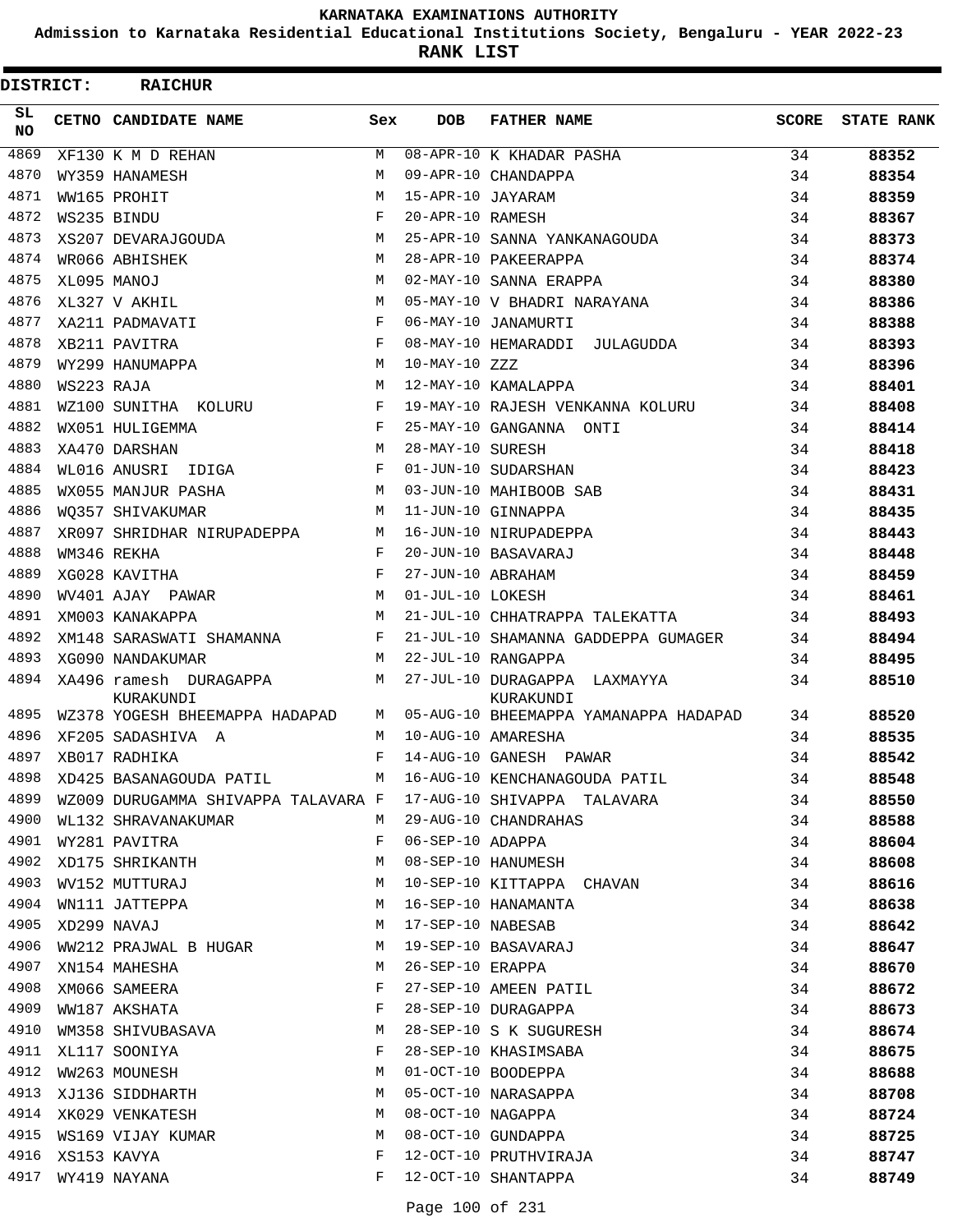**Admission to Karnataka Residential Educational Institutions Society, Bengaluru - YEAR 2022-23**

**RANK LIST**

| <b>DISTRICT:</b> |            | <b>RAICHUR</b>                      |     |                   |                                           |              |                   |
|------------------|------------|-------------------------------------|-----|-------------------|-------------------------------------------|--------------|-------------------|
| SL.<br>NO.       |            | CETNO CANDIDATE NAME                | Sex | <b>DOB</b>        | <b>FATHER NAME</b>                        | <b>SCORE</b> | <b>STATE RANK</b> |
| 4869             |            | XF130 K M D REHAN                   | M   |                   | 08-APR-10 K KHADAR PASHA                  | 34           | 88352             |
| 4870             |            | WY359 HANAMESH                      | M   |                   | 09-APR-10 CHANDAPPA                       | 34           | 88354             |
| 4871             |            | WW165 PROHIT                        | M   | 15-APR-10 JAYARAM |                                           | 34           | 88359             |
| 4872             |            | WS235 BINDU                         | F   | 20-APR-10 RAMESH  |                                           | 34           | 88367             |
| 4873             |            | XS207 DEVARAJGOUDA                  | M   |                   | 25-APR-10 SANNA YANKANAGOUDA              | 34           | 88373             |
| 4874             |            | WR066 ABHISHEK                      | M   |                   | 28-APR-10 PAKEERAPPA                      | 34           | 88374             |
| 4875             |            | XL095 MANOJ                         | M   |                   | 02-MAY-10 SANNA ERAPPA                    | 34           | 88380             |
| 4876             |            | XL327 V AKHIL                       | M   |                   | 05-MAY-10 V BHADRI NARAYANA               | 34           | 88386             |
| 4877             |            | XA211 PADMAVATI                     | F   |                   | 06-MAY-10 JANAMURTI                       | 34           | 88388             |
| 4878             |            | XB211 PAVITRA                       | F   |                   | 08-MAY-10 HEMARADDI JULAGUDDA             | 34           | 88393             |
| 4879             |            | WY299 HANUMAPPA                     | M   | $10-MAY-10 ZZZ$   |                                           | 34           | 88396             |
| 4880             | WS223 RAJA |                                     | M   |                   | 12-MAY-10 KAMALAPPA                       | 34           | 88401             |
| 4881             |            | WZ100 SUNITHA KOLURU                | F   |                   | 19-MAY-10 RAJESH VENKANNA KOLURU          | 34           | 88408             |
| 4882             |            | WX051 HULIGEMMA                     | F   |                   | 25-MAY-10 GANGANNA ONTI                   | 34           | 88414             |
| 4883             |            | XA470 DARSHAN                       | M   | 28-MAY-10 SURESH  |                                           | 34           | 88418             |
| 4884             |            | WL016 ANUSRI IDIGA                  | F   |                   | 01-JUN-10 SUDARSHAN                       | 34           | 88423             |
| 4885             |            | WX055 MANJUR PASHA                  | M   |                   | 03-JUN-10 MAHIBOOB SAB                    | 34           | 88431             |
| 4886             |            | WO357 SHIVAKUMAR                    | М   |                   | 11-JUN-10 GINNAPPA                        | 34           | 88435             |
| 4887             |            | XR097 SHRIDHAR NIRUPADEPPA          | M   |                   | 16-JUN-10 NIRUPADEPPA                     | 34           | 88443             |
| 4888             |            | WM346 REKHA                         | F   |                   | 20-JUN-10 BASAVARAJ                       | 34           | 88448             |
| 4889             |            | XG028 KAVITHA                       | F   | 27-JUN-10 ABRAHAM |                                           | 34           | 88459             |
| 4890             |            | WV401 AJAY PAWAR                    | М   | 01-JUL-10 LOKESH  |                                           | 34           | 88461             |
| 4891             |            | XM003 KANAKAPPA                     | M   |                   | 21-JUL-10 CHHATRAPPA TALEKATTA            | 34           | 88493             |
| 4892             |            | XM148 SARASWATI SHAMANNA            | F   |                   | 21-JUL-10 SHAMANNA GADDEPPA GUMAGER       | 34           | 88494             |
| 4893             |            | XG090 NANDAKUMAR                    | M   |                   | 22-JUL-10 RANGAPPA                        | 34           | 88495             |
| 4894             |            | XA496 ramesh DURAGAPPA<br>KURAKUNDI | М   |                   | 27-JUL-10 DURAGAPPA LAXMAYYA<br>KURAKUNDI | 34           | 88510             |
| 4895             |            | WZ378 YOGESH BHEEMAPPA HADAPAD      | M   |                   | 05-AUG-10 BHEEMAPPA YAMANAPPA HADAPAD     | 34           | 88520             |
| 4896             |            | XF205 SADASHIVA A                   | М   |                   | 10-AUG-10 AMARESHA                        | 34           | 88535             |
| 4897             |            | XB017 RADHIKA                       | F   |                   | 14-AUG-10 GANESH PAWAR                    | 34           | 88542             |
| 4898             |            | XD425 BASANAGOUDA PATIL M           |     |                   | 16-AUG-10 KENCHANAGOUDA PATIL             | 34           | 88548             |
| 4899             |            | WZ009 DURUGAMMA SHIVAPPA TALAVARA F |     |                   | 17-AUG-10 SHIVAPPA TALAVARA               | 34           | 88550             |
| 4900             |            | WL132 SHRAVANAKUMAR                 | M   |                   | 29-AUG-10 CHANDRAHAS                      | 34           | 88588             |
| 4901             |            | WY281 PAVITRA                       | F   | 06-SEP-10 ADAPPA  |                                           | 34           | 88604             |
| 4902             |            | XD175 SHRIKANTH                     | M   |                   | 08-SEP-10 HANUMESH                        | 34           | 88608             |
| 4903             |            | WV152 MUTTURAJ                      | M   |                   | 10-SEP-10 KITTAPPA CHAVAN                 | 34           | 88616             |
| 4904             |            | WN111 JATTEPPA                      | М   |                   | 16-SEP-10 HANAMANTA                       | 34           | 88638             |
| 4905             |            | XD299 NAVAJ                         | М   | 17-SEP-10 NABESAB |                                           | 34           | 88642             |
| 4906             |            | WW212 PRAJWAL B HUGAR               | M   |                   | 19-SEP-10 BASAVARAJ                       | 34           | 88647             |
| 4907             |            | XN154 MAHESHA                       | М   | 26-SEP-10 ERAPPA  |                                           | 34           | 88670             |
| 4908             |            | XM066 SAMEERA                       | F   |                   | 27-SEP-10 AMEEN PATIL                     | 34           | 88672             |
| 4909             |            | WW187 AKSHATA                       | F   |                   | 28-SEP-10 DURAGAPPA                       | 34           | 88673             |
| 4910             |            | WM358 SHIVUBASAVA                   | М   |                   | 28-SEP-10 S K SUGURESH                    | 34           | 88674             |
| 4911             |            | XL117 SOONIYA                       | F   |                   | 28-SEP-10 KHASIMSABA                      | 34           | 88675             |
| 4912             |            | WW263 MOUNESH                       | M   |                   | 01-OCT-10 BOODEPPA                        | 34           | 88688             |
| 4913             |            | XJ136 SIDDHARTH                     | M   |                   | 05-OCT-10 NARASAPPA                       | 34           | 88708             |
| 4914             |            | XK029 VENKATESH                     | M   |                   | 08-OCT-10 NAGAPPA                         | 34           | 88724             |
| 4915             |            | WS169 VIJAY KUMAR                   | M   |                   | 08-OCT-10 GUNDAPPA                        | 34           | 88725             |
| 4916             |            | XS153 KAVYA                         | F   |                   | 12-OCT-10 PRUTHVIRAJA                     | 34           | 88747             |
| 4917             |            | WY419 NAYANA                        | F   |                   | 12-OCT-10 SHANTAPPA                       | 34           | 88749             |
|                  |            |                                     |     |                   |                                           |              |                   |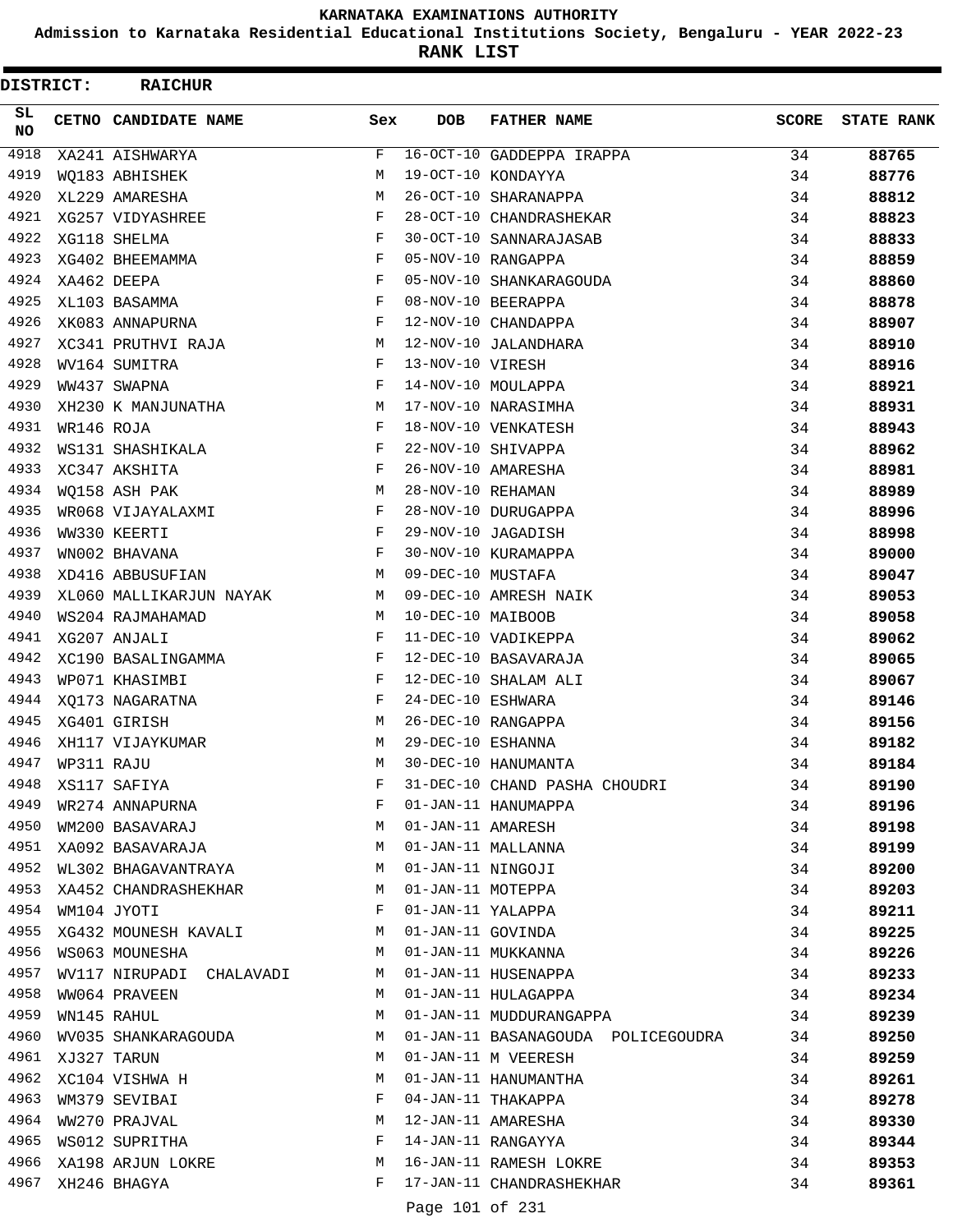**Admission to Karnataka Residential Educational Institutions Society, Bengaluru - YEAR 2022-23**

**RANK LIST**

 $\blacksquare$ 

| DISTRICT:       |            | <b>RAICHUR</b>           |        |                   |                                    |              |                   |
|-----------------|------------|--------------------------|--------|-------------------|------------------------------------|--------------|-------------------|
| SL<br><b>NO</b> |            | CETNO CANDIDATE NAME     | Sex    | <b>DOB</b>        | <b>FATHER NAME</b>                 | <b>SCORE</b> | <b>STATE RANK</b> |
| 4918            |            | XA241 AISHWARYA          | F      |                   | 16-OCT-10 GADDEPPA IRAPPA          | 34           | 88765             |
| 4919            |            | WO183 ABHISHEK           | М      |                   | 19-OCT-10 KONDAYYA                 | 34           | 88776             |
| 4920            |            | XL229 AMARESHA           | M      |                   | 26-OCT-10 SHARANAPPA               | 34           | 88812             |
| 4921            |            | XG257 VIDYASHREE         | F      |                   | 28-OCT-10 CHANDRASHEKAR            | 34           | 88823             |
| 4922            |            | XG118 SHELMA             | F      |                   | 30-OCT-10 SANNARAJASAB             | 34           | 88833             |
| 4923            |            | XG402 BHEEMAMMA          | F      |                   | 05-NOV-10 RANGAPPA                 | 34           | 88859             |
| 4924            |            | XA462 DEEPA              | F      |                   | 05-NOV-10 SHANKARAGOUDA            | 34           | 88860             |
| 4925            |            | XL103 BASAMMA            | F      |                   | 08-NOV-10 BEERAPPA                 | 34           | 88878             |
| 4926            |            | XK083 ANNAPURNA          | F      |                   | 12-NOV-10 CHANDAPPA                | 34           | 88907             |
| 4927            |            | XC341 PRUTHVI RAJA       | М      |                   | 12-NOV-10 JALANDHARA               | 34           | 88910             |
| 4928            |            | WV164 SUMITRA            | F      | 13-NOV-10 VIRESH  |                                    | 34           | 88916             |
| 4929            |            | WW437 SWAPNA             | F      |                   | 14-NOV-10 MOULAPPA                 | 34           | 88921             |
| 4930            |            | XH230 K MANJUNATHA       | М      |                   | 17-NOV-10 NARASIMHA                | 34           | 88931             |
| 4931            | WR146 ROJA |                          | F      |                   | 18-NOV-10 VENKATESH                | 34           | 88943             |
| 4932            |            | WS131 SHASHIKALA         | F      |                   | 22-NOV-10 SHIVAPPA                 | 34           | 88962             |
| 4933            |            | XC347 AKSHITA            | F      |                   | 26-NOV-10 AMARESHA                 | 34           | 88981             |
| 4934            |            | WQ158 ASH PAK            | М      | 28-NOV-10 REHAMAN |                                    | 34           | 88989             |
| 4935            |            | WR068 VIJAYALAXMI        | F      |                   | 28-NOV-10 DURUGAPPA                | 34           | 88996             |
| 4936            |            | WW330 KEERTI             | F      |                   | 29-NOV-10 JAGADISH                 | 34           | 88998             |
| 4937            |            | WN002 BHAVANA            | F      |                   | 30-NOV-10 KURAMAPPA                | 34           | 89000             |
| 4938            |            | XD416 ABBUSUFIAN         | М      | 09-DEC-10 MUSTAFA |                                    | 34           | 89047             |
| 4939            |            | XL060 MALLIKARJUN NAYAK  | M      |                   | 09-DEC-10 AMRESH NAIK              | 34           | 89053             |
| 4940            |            | WS204 RAJMAHAMAD         | М      | 10-DEC-10 MAIBOOB |                                    | 34           | 89058             |
| 4941            |            | XG207 ANJALI             | F      |                   | 11-DEC-10 VADIKEPPA                | 34           | 89062             |
| 4942            |            | XC190 BASALINGAMMA       | F      |                   | 12-DEC-10 BASAVARAJA               | 34           | 89065             |
| 4943            |            | WP071 KHASIMBI           | F      |                   | 12-DEC-10 SHALAM ALI               | 34           | 89067             |
| 4944            |            | XO173 NAGARATNA          | F      | 24-DEC-10 ESHWARA |                                    | 34           | 89146             |
| 4945            |            | XG401 GIRISH             | М      |                   | 26-DEC-10 RANGAPPA                 | 34           | 89156             |
| 4946            |            | XH117 VIJAYKUMAR         | М      | 29-DEC-10 ESHANNA |                                    | 34           | 89182             |
| 4947            | WP311 RAJU |                          | M      |                   | 30-DEC-10 HANUMANTA                | 34           | 89184             |
| 4948            |            | XS117 SAFIYA             | F      |                   | 31-DEC-10 CHAND PASHA CHOUDRI      | 34           | 89190             |
| 4949            |            | WR274 ANNAPURNA          | F      |                   | 01-JAN-11 HANUMAPPA                | 34           | 89196             |
| 4950            |            | WM200 BASAVARAJ          | M      | 01-JAN-11 AMARESH |                                    | 34           | 89198             |
| 4951            |            | XA092 BASAVARAJA         | M      |                   | 01-JAN-11 MALLANNA                 | 34           | 89199             |
| 4952            |            | WL302 BHAGAVANTRAYA      | M      | 01-JAN-11 NINGOJI |                                    | 34           | 89200             |
| 4953            |            | XA452 CHANDRASHEKHAR     | M      | 01-JAN-11 MOTEPPA |                                    | 34           | 89203             |
| 4954            |            | WM104 JYOTI              | F      | 01-JAN-11 YALAPPA |                                    | 34           | 89211             |
| 4955            |            | XG432 MOUNESH KAVALI     | M      | 01-JAN-11 GOVINDA |                                    | 34           | 89225             |
| 4956            |            | WS063 MOUNESHA           | M      |                   | 01-JAN-11 MUKKANNA                 | 34           | 89226             |
| 4957            |            | WV117 NIRUPADI CHALAVADI | M      |                   | 01-JAN-11 HUSENAPPA                | 34           | 89233             |
| 4958            |            | WW064 PRAVEEN            | M      |                   | 01-JAN-11 HULAGAPPA                | 34           | 89234             |
| 4959            |            | WN145 RAHUL              | M      |                   | 01-JAN-11 MUDDURANGAPPA            | 34           | 89239             |
| 4960            |            | WV035 SHANKARAGOUDA      | M      |                   | 01-JAN-11 BASANAGOUDA POLICEGOUDRA | 34           |                   |
| 4961            |            | XJ327 TARUN              | M      |                   | 01-JAN-11 M VEERESH                | 34           | 89250             |
| 4962            |            | XC104 VISHWA H           | М      |                   | 01-JAN-11 HANUMANTHA               |              | 89259             |
| 4963            |            |                          | F      |                   | 04-JAN-11 THAKAPPA                 | 34           | 89261             |
| 4964            |            | WM379 SEVIBAI            |        |                   |                                    | 34           | 89278             |
| 4965            |            | WW270 PRAJVAL            | М<br>F |                   | 12-JAN-11 AMARESHA                 | 34           | 89330             |
| 4966            |            | WS012 SUPRITHA           |        |                   | 14-JAN-11 RANGAYYA                 | 34           | 89344             |
|                 |            | XA198 ARJUN LOKRE        | M<br>F |                   | 16-JAN-11 RAMESH LOKRE             | 34           | 89353             |
| 4967            |            | XH246 BHAGYA             |        |                   | 17-JAN-11 CHANDRASHEKHAR           | 34           | 89361             |

Page 101 of 231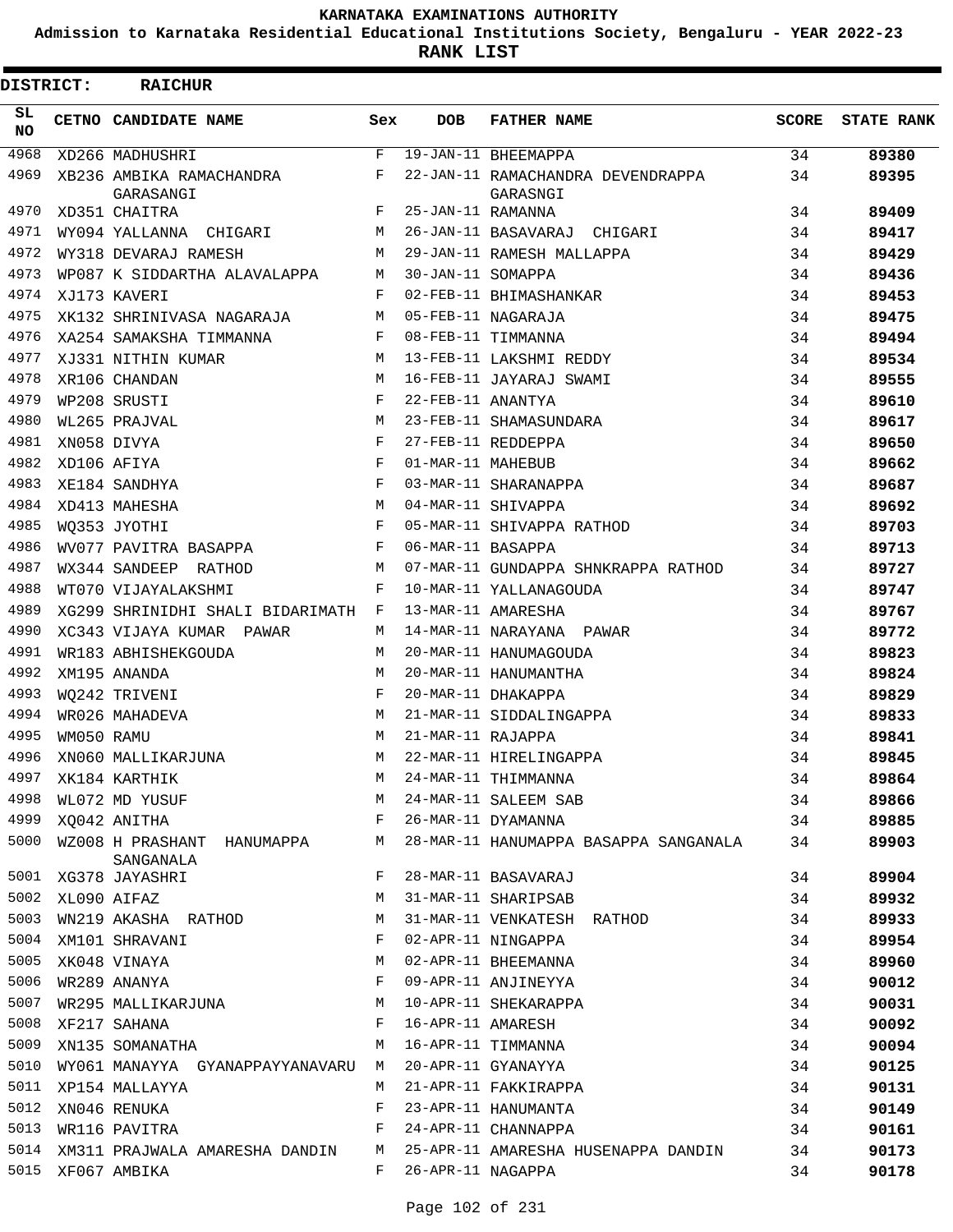**Admission to Karnataka Residential Educational Institutions Society, Bengaluru - YEAR 2022-23**

**RANK LIST**

| <b>DISTRICT:</b> |            | <b>RAICHUR</b>                          |              |                   |                                       |       |                   |
|------------------|------------|-----------------------------------------|--------------|-------------------|---------------------------------------|-------|-------------------|
| SL<br>NO.        |            | CETNO CANDIDATE NAME                    | Sex          | <b>DOB</b>        | <b>FATHER NAME</b>                    | SCORE | <b>STATE RANK</b> |
| 4968             |            | XD266 MADHUSHRI                         | $\mathbf{F}$ |                   | 19-JAN-11 BHEEMAPPA                   | 34    | 89380             |
| 4969             |            | XB236 AMBIKA RAMACHANDRA                | F            |                   | 22-JAN-11 RAMACHANDRA DEVENDRAPPA     | 34    | 89395             |
| 4970             |            | GARASANGI                               | F            | 25-JAN-11 RAMANNA | GARASNGI                              | 34    |                   |
| 4971             |            | XD351 CHAITRA<br>WY094 YALLANNA CHIGARI | M            |                   | 26-JAN-11 BASAVARAJ CHIGARI           | 34    | 89409<br>89417    |
| 4972             |            | WY318 DEVARAJ RAMESH                    | M            |                   | 29-JAN-11 RAMESH MALLAPPA             | 34    | 89429             |
| 4973             |            | WP087 K SIDDARTHA ALAVALAPPA            | М            | 30-JAN-11 SOMAPPA |                                       | 34    | 89436             |
| 4974             |            | XJ173 KAVERI                            | F            |                   | 02-FEB-11 BHIMASHANKAR                | 34    | 89453             |
| 4975             |            | XK132 SHRINIVASA NAGARAJA               | M            |                   | 05-FEB-11 NAGARAJA                    | 34    | 89475             |
| 4976             |            | XA254 SAMAKSHA TIMMANNA                 | F            |                   | 08-FEB-11 TIMMANNA                    | 34    | 89494             |
| 4977             |            | XJ331 NITHIN KUMAR                      | M            |                   | 13-FEB-11 LAKSHMI REDDY               | 34    | 89534             |
| 4978             |            | XR106 CHANDAN                           | M            |                   | 16-FEB-11 JAYARAJ SWAMI               | 34    | 89555             |
| 4979             |            | WP208 SRUSTI                            | F            | 22-FEB-11 ANANTYA |                                       | 34    | 89610             |
| 4980             |            | WL265 PRAJVAL                           | M            |                   | 23-FEB-11 SHAMASUNDARA                | 34    | 89617             |
| 4981             |            | XN058 DIVYA                             | F            |                   | 27-FEB-11 REDDEPPA                    | 34    | 89650             |
| 4982             |            | XD106 AFIYA                             | F            | 01-MAR-11 MAHEBUB |                                       | 34    | 89662             |
| 4983             |            | XE184 SANDHYA                           | F            |                   | 03-MAR-11 SHARANAPPA                  | 34    | 89687             |
| 4984             |            | XD413 MAHESHA                           | M            |                   | 04-MAR-11 SHIVAPPA                    | 34    | 89692             |
| 4985             |            | WO353 JYOTHI                            | F            |                   | 05-MAR-11 SHIVAPPA RATHOD             | 34    | 89703             |
| 4986             |            | WV077 PAVITRA BASAPPA                   | F            | 06-MAR-11 BASAPPA |                                       | 34    | 89713             |
| 4987             |            | WX344 SANDEEP RATHOD                    | М            |                   | 07-MAR-11 GUNDAPPA SHNKRAPPA RATHOD   | 34    | 89727             |
| 4988             |            | WT070 VIJAYALAKSHMI                     | F            |                   | 10-MAR-11 YALLANAGOUDA                | 34    | 89747             |
| 4989             |            | XG299 SHRINIDHI SHALI BIDARIMATH        | F            |                   | 13-MAR-11 AMARESHA                    | 34    | 89767             |
| 4990             |            | XC343 VIJAYA KUMAR PAWAR                | M            |                   | 14-MAR-11 NARAYANA PAWAR              | 34    | 89772             |
| 4991             |            | WR183 ABHISHEKGOUDA                     | M            |                   | 20-MAR-11 HANUMAGOUDA                 | 34    | 89823             |
| 4992             |            | XM195 ANANDA                            | M            |                   | 20-MAR-11 HANUMANTHA                  | 34    | 89824             |
| 4993             |            | WO242 TRIVENI                           | F            |                   | 20-MAR-11 DHAKAPPA                    | 34    | 89829             |
| 4994             |            | WR026 MAHADEVA                          | М            |                   | 21-MAR-11 SIDDALINGAPPA               | 34    | 89833             |
| 4995             | WM050 RAMU |                                         | М            | 21-MAR-11 RAJAPPA |                                       | 34    | 89841             |
| 4996             |            | XN060 MALLIKARJUNA                      | M            |                   | 22-MAR-11 HIRELINGAPPA                | 34    | 89845             |
| 4997             |            | XK184 KARTHIK                           | M            |                   | 24-MAR-11 THIMMANNA                   | 34    | 89864             |
| 4998             |            | WL072 MD YUSUF                          | M            |                   | 24-MAR-11 SALEEM SAB                  | 34    | 89866             |
| 4999             |            | XO042 ANITHA                            | F            |                   | 26-MAR-11 DYAMANNA                    | 34    | 89885             |
| 5000             |            | WZ008 H PRASHANT HANUMAPPA              | М            |                   | 28-MAR-11 HANUMAPPA BASAPPA SANGANALA | 34    | 89903             |
|                  |            | SANGANALA                               |              |                   |                                       |       |                   |
| 5001             |            | XG378 JAYASHRI                          | F            |                   | 28-MAR-11 BASAVARAJ                   | 34    | 89904             |
| 5002             |            | XL090 AIFAZ                             | М            |                   | 31-MAR-11 SHARIPSAB                   | 34    | 89932             |
| 5003             |            | WN219 AKASHA RATHOD                     | М            |                   | 31-MAR-11 VENKATESH RATHOD            | 34    | 89933             |
| 5004             |            | XM101 SHRAVANI                          | F            |                   | 02-APR-11 NINGAPPA                    | 34    | 89954             |
| 5005             |            | XK048 VINAYA                            | М            |                   | 02-APR-11 BHEEMANNA                   | 34    | 89960             |
| 5006             |            | WR289 ANANYA                            | F            |                   | 09-APR-11 ANJINEYYA                   | 34    | 90012             |
| 5007             |            | WR295 MALLIKARJUNA                      | M            |                   | 10-APR-11 SHEKARAPPA                  | 34    | 90031             |
| 5008             |            | XF217 SAHANA                            | F            | 16-APR-11 AMARESH |                                       | 34    | 90092             |
| 5009             |            | XN135 SOMANATHA                         | M            |                   | 16-APR-11 TIMMANNA                    | 34    | 90094             |
| 5010             |            | WY061 MANAYYA GYANAPPAYYANAVARU         | M            |                   | 20-APR-11 GYANAYYA                    | 34    | 90125             |
| 5011             |            | XP154 MALLAYYA                          | М            |                   | 21-APR-11 FAKKIRAPPA                  | 34    | 90131             |
| 5012             |            | XN046 RENUKA                            | F            |                   | 23-APR-11 HANUMANTA                   | 34    | 90149             |
| 5013             |            | WR116 PAVITRA                           | F            |                   | 24-APR-11 CHANNAPPA                   | 34    | 90161             |
| 5014             |            | XM311 PRAJWALA AMARESHA DANDIN          | М            |                   | 25-APR-11 AMARESHA HUSENAPPA DANDIN   | 34    | 90173             |
| 5015             |            | XF067 AMBIKA                            | F            | 26-APR-11 NAGAPPA |                                       | 34    | 90178             |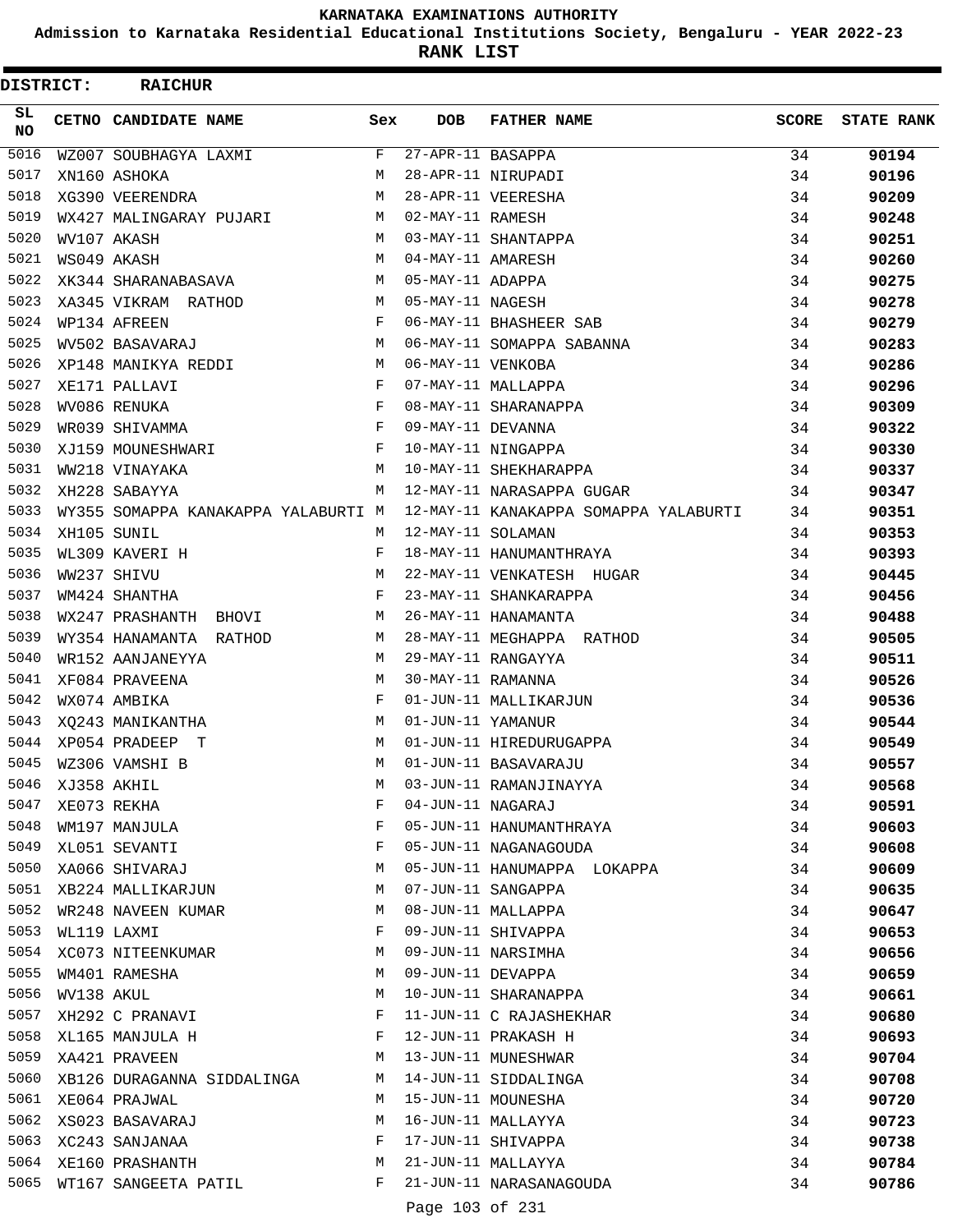**Admission to Karnataka Residential Educational Institutions Society, Bengaluru - YEAR 2022-23**

**RANK LIST**

| DISTRICT:  |            | <b>RAICHUR</b>                      |              |                   |                                       |              |                   |
|------------|------------|-------------------------------------|--------------|-------------------|---------------------------------------|--------------|-------------------|
| SL.<br>NO. |            | CETNO CANDIDATE NAME                | Sex          | <b>DOB</b>        | <b>FATHER NAME</b>                    | <b>SCORE</b> | <b>STATE RANK</b> |
| 5016       |            | WZ007 SOUBHAGYA LAXMI               | F            | 27-APR-11 BASAPPA |                                       | 34           | 90194             |
| 5017       |            | XN160 ASHOKA                        | M            |                   | 28-APR-11 NIRUPADI                    | 34           | 90196             |
| 5018       |            | XG390 VEERENDRA                     | M            |                   | 28-APR-11 VEERESHA                    | 34           | 90209             |
| 5019       |            | WX427 MALINGARAY PUJARI             | M            | 02-MAY-11 RAMESH  |                                       | 34           | 90248             |
| 5020       |            | WV107 AKASH                         | M            |                   | 03-MAY-11 SHANTAPPA                   | 34           | 90251             |
| 5021       |            | WS049 AKASH                         | M            | 04-MAY-11 AMARESH |                                       | 34           | 90260             |
| 5022       |            | XK344 SHARANABASAVA                 | M            | 05-MAY-11 ADAPPA  |                                       | 34           | 90275             |
| 5023       |            | XA345 VIKRAM RATHOD                 | M            | 05-MAY-11 NAGESH  |                                       | 34           | 90278             |
| 5024       |            | WP134 AFREEN                        | $\mathbf{F}$ |                   | 06-MAY-11 BHASHEER SAB                | 34           | 90279             |
| 5025       |            | WV502 BASAVARAJ                     | M            |                   | 06-MAY-11 SOMAPPA SABANNA             | 34           | 90283             |
| 5026       |            | XP148 MANIKYA REDDI                 | M            | 06-MAY-11 VENKOBA |                                       | 34           | 90286             |
| 5027       |            | XE171 PALLAVI                       | F            |                   | 07-MAY-11 MALLAPPA                    | 34           | 90296             |
| 5028       |            | WV086 RENUKA                        | F            |                   | 08-MAY-11 SHARANAPPA                  | 34           | 90309             |
| 5029       |            | WR039 SHIVAMMA                      | $\mathbf{F}$ | 09-MAY-11 DEVANNA |                                       | 34           | 90322             |
| 5030       |            | XJ159 MOUNESHWARI                   | F            |                   | 10-MAY-11 NINGAPPA                    | 34           | 90330             |
| 5031       |            | WW218 VINAYAKA                      | M            |                   | 10-MAY-11 SHEKHARAPPA                 | 34           | 90337             |
| 5032       |            | XH228 SABAYYA                       | M            |                   | 12-MAY-11 NARASAPPA GUGAR             | 34           | 90347             |
| 5033       |            | WY355 SOMAPPA KANAKAPPA YALABURTI M |              |                   | 12-MAY-11 KANAKAPPA SOMAPPA YALABURTI | 34           | 90351             |
| 5034       |            | XH105 SUNIL                         | M            | 12-MAY-11 SOLAMAN |                                       | 34           | 90353             |
| 5035       |            | WL309 KAVERI H                      | F            |                   | 18-MAY-11 HANUMANTHRAYA               | 34           | 90393             |
| 5036       |            | WW237 SHIVU                         | M            |                   | 22-MAY-11 VENKATESH HUGAR             | 34           | 90445             |
| 5037       |            | WM424 SHANTHA                       | F            |                   | 23-MAY-11 SHANKARAPPA                 | 34           | 90456             |
| 5038       |            | WX247 PRASHANTH BHOVI               | M            |                   | 26-MAY-11 HANAMANTA                   | 34           | 90488             |
| 5039       |            | WY354 HANAMANTA RATHOD              | М            |                   | 28-MAY-11 MEGHAPPA RATHOD             | 34           | 90505             |
| 5040       |            | WR152 AANJANEYYA                    | М            |                   | 29-MAY-11 RANGAYYA                    | 34           | 90511             |
| 5041       |            | XF084 PRAVEENA                      | М            | 30-MAY-11 RAMANNA |                                       | 34           | 90526             |
| 5042       |            | WX074 AMBIKA                        | $_{\rm F}$   |                   | 01-JUN-11 MALLIKARJUN                 | 34           | 90536             |
| 5043       |            | XQ243 MANIKANTHA                    | М            | 01-JUN-11 YAMANUR |                                       | 34           | 90544             |
| 5044       |            | XP054 PRADEEP T                     | M            |                   | 01-JUN-11 HIREDURUGAPPA               | 34           | 90549             |
| 5045       |            | WZ306 VAMSHI B                      | M            |                   | 01-JUN-11 BASAVARAJU                  | 34           | 90557             |
| 5046       |            | XJ358 AKHIL                         | М            |                   | 03-JUN-11 RAMANJINAYYA                | 34           | 90568             |
| 5047       |            | XE073 REKHA                         | F            | 04-JUN-11 NAGARAJ |                                       | 34           | 90591             |
| 5048       |            | WM197 MANJULA                       | F            |                   | 05-JUN-11 HANUMANTHRAYA               | 34           | 90603             |
| 5049       |            | XL051 SEVANTI                       | F            |                   | 05-JUN-11 NAGANAGOUDA                 | 34           | 90608             |
| 5050       |            | XA066 SHIVARAJ                      | М            |                   | 05-JUN-11 HANUMAPPA LOKAPPA           | 34           | 90609             |
| 5051       |            | XB224 MALLIKARJUN                   | М            |                   | 07-JUN-11 SANGAPPA                    | 34           | 90635             |
| 5052       |            | WR248 NAVEEN KUMAR                  | М            |                   | 08-JUN-11 MALLAPPA                    | 34           | 90647             |
| 5053       |            | WL119 LAXMI                         | F            |                   | 09-JUN-11 SHIVAPPA                    | 34           |                   |
| 5054       |            |                                     | М            |                   | 09-JUN-11 NARSIMHA                    | 34           | 90653             |
| 5055       |            | XC073 NITEENKUMAR<br>WM401 RAMESHA  | М            | 09-JUN-11 DEVAPPA |                                       |              | 90656             |
| 5056       |            |                                     | М            |                   |                                       | 34           | 90659             |
| 5057       | WV138 AKUL |                                     |              |                   | 10-JUN-11 SHARANAPPA                  | 34           | 90661             |
|            |            | XH292 C PRANAVI                     | F            |                   | 11-JUN-11 C RAJASHEKHAR               | 34           | 90680             |
| 5058       |            | XL165 MANJULA H                     | F            |                   | 12-JUN-11 PRAKASH H                   | 34           | 90693             |
| 5059       |            | XA421 PRAVEEN                       | М            |                   | 13-JUN-11 MUNESHWAR                   | 34           | 90704             |
| 5060       |            | XB126 DURAGANNA SIDDALINGA          | М            |                   | 14-JUN-11 SIDDALINGA                  | 34           | 90708             |
| 5061       |            | XE064 PRAJWAL                       | М            |                   | 15-JUN-11 MOUNESHA                    | 34           | 90720             |
| 5062       |            | XS023 BASAVARAJ                     | М            |                   | 16-JUN-11 MALLAYYA                    | 34           | 90723             |
| 5063       |            | XC243 SANJANAA                      | F            |                   | 17-JUN-11 SHIVAPPA                    | 34           | 90738             |
| 5064       |            | XE160 PRASHANTH                     | М            |                   | 21-JUN-11 MALLAYYA                    | 34           | 90784             |
| 5065       |            | WT167 SANGEETA PATIL                | F            |                   | 21-JUN-11 NARASANAGOUDA               | 34           | 90786             |
|            |            |                                     |              | Page 103 of 231   |                                       |              |                   |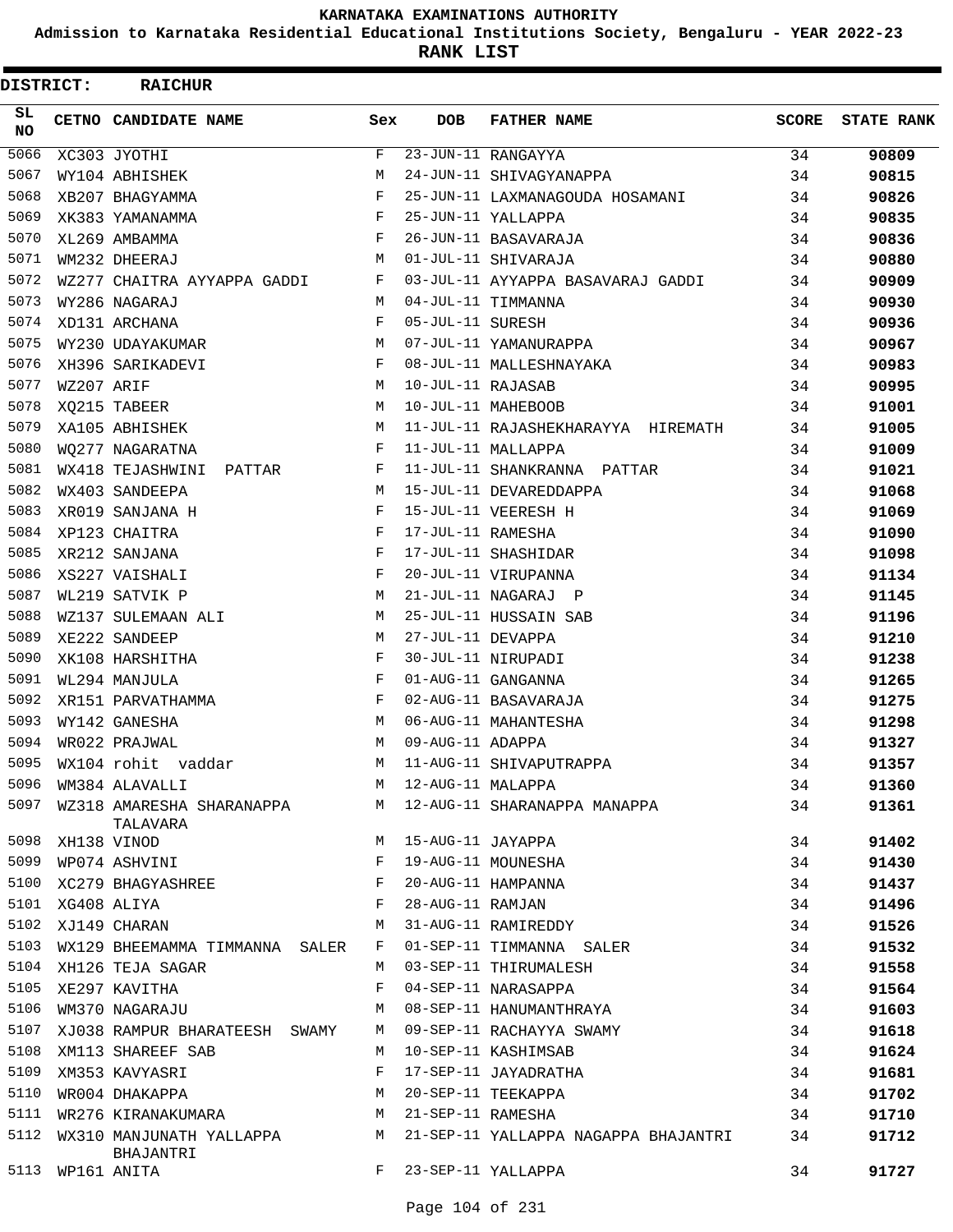**Admission to Karnataka Residential Educational Institutions Society, Bengaluru - YEAR 2022-23**

**RANK LIST**

| DISTRICT:        |                  | <b>RAICHUR</b>                        |              |                   |                                      |       |                   |
|------------------|------------------|---------------------------------------|--------------|-------------------|--------------------------------------|-------|-------------------|
| SL.<br><b>NO</b> |                  | CETNO CANDIDATE NAME                  | Sex          | DOB               | <b>FATHER NAME</b>                   | SCORE | <b>STATE RANK</b> |
| 5066             |                  | XC303 JYOTHI                          | $\mathbf{F}$ |                   | 23-JUN-11 RANGAYYA                   | 34    | 90809             |
| 5067             |                  | WY104 ABHISHEK                        | M            |                   | 24-JUN-11 SHIVAGYANAPPA              | 34    | 90815             |
| 5068             |                  | XB207 BHAGYAMMA                       | F            |                   | 25-JUN-11 LAXMANAGOUDA HOSAMANI      | 34    | 90826             |
| 5069             |                  | XK383 YAMANAMMA                       | F            |                   | 25-JUN-11 YALLAPPA                   | 34    | 90835             |
| 5070             |                  | XL269 AMBAMMA                         | F            |                   | 26-JUN-11 BASAVARAJA                 | 34    | 90836             |
| 5071             |                  | WM232 DHEERAJ                         | M            |                   | 01-JUL-11 SHIVARAJA                  | 34    | 90880             |
| 5072             |                  | WZ277 CHAITRA AYYAPPA GADDI           | F            |                   | 03-JUL-11 AYYAPPA BASAVARAJ GADDI    | 34    | 90909             |
| 5073             |                  | WY286 NAGARAJ                         | M            |                   | 04-JUL-11 TIMMANNA                   | 34    | 90930             |
| 5074             |                  | XD131 ARCHANA                         | F            | 05-JUL-11 SURESH  |                                      | 34    | 90936             |
| 5075             |                  | WY230 UDAYAKUMAR                      | M            |                   | 07-JUL-11 YAMANURAPPA                | 34    | 90967             |
| 5076             |                  | XH396 SARIKADEVI                      | F            |                   | 08-JUL-11 MALLESHNAYAKA              | 34    | 90983             |
| 5077             | WZ207 ARIF       |                                       | M            | 10-JUL-11 RAJASAB |                                      | 34    | 90995             |
| 5078             |                  | XQ215 TABEER                          | M            |                   | 10-JUL-11 MAHEBOOB                   | 34    | 91001             |
| 5079             |                  | XA105 ABHISHEK                        | M            |                   | 11-JUL-11 RAJASHEKHARAYYA HIREMATH   | 34    | 91005             |
| 5080             |                  | WO277 NAGARATNA                       | F            |                   | 11-JUL-11 MALLAPPA                   | 34    | 91009             |
| 5081             |                  | WX418 TEJASHWINI<br>PATTAR            | F            |                   | 11-JUL-11 SHANKRANNA PATTAR          | 34    | 91021             |
| 5082             |                  | WX403 SANDEEPA                        | M            |                   | 15-JUL-11 DEVAREDDAPPA               | 34    | 91068             |
| 5083             |                  | XR019 SANJANA H                       | F            |                   | 15-JUL-11 VEERESH H                  | 34    | 91069             |
| 5084             |                  | XP123 CHAITRA                         | F            | 17-JUL-11 RAMESHA |                                      | 34    | 91090             |
| 5085             |                  | XR212 SANJANA                         | F            |                   | 17-JUL-11 SHASHIDAR                  | 34    | 91098             |
| 5086             |                  | XS227 VAISHALI                        | F            |                   | 20-JUL-11 VIRUPANNA                  | 34    | 91134             |
| 5087             |                  | WL219 SATVIK P                        | M            |                   | 21-JUL-11 NAGARAJ P                  | 34    | 91145             |
| 5088             |                  | WZ137 SULEMAAN ALI                    | M            |                   | 25-JUL-11 HUSSAIN SAB                | 34    | 91196             |
| 5089             |                  | XE222 SANDEEP                         | M            | 27-JUL-11 DEVAPPA |                                      | 34    | 91210             |
| 5090             |                  | XK108 HARSHITHA                       | F            |                   | 30-JUL-11 NIRUPADI                   | 34    | 91238             |
| 5091             |                  | WL294 MANJULA                         | F            |                   | 01-AUG-11 GANGANNA                   | 34    | 91265             |
| 5092             |                  | XR151 PARVATHAMMA                     | F            |                   | 02-AUG-11 BASAVARAJA                 | 34    | 91275             |
| 5093             |                  | WY142 GANESHA                         | M            |                   | 06-AUG-11 MAHANTESHA                 | 34    | 91298             |
| 5094             |                  | WR022 PRAJWAL                         | M            | 09-AUG-11 ADAPPA  |                                      | 34    | 91327             |
| 5095             |                  | WX104 rohit vaddar                    | M            |                   | 11-AUG-11 SHIVAPUTRAPPA              | 34    | 91357             |
| 5096             |                  | WM384 ALAVALLI                        | M            | 12-AUG-11 MALAPPA |                                      | 34    | 91360             |
| 5097             |                  | WZ318 AMARESHA SHARANAPPA<br>TALAVARA |              |                   | M 12-AUG-11 SHARANAPPA MANAPPA       | 34    | 91361             |
| 5098             | XH138 VINOD      |                                       | M            | 15-AUG-11 JAYAPPA |                                      | 34    | 91402             |
| 5099             |                  | WP074 ASHVINI                         | F            |                   | 19-AUG-11 MOUNESHA                   | 34    | 91430             |
| 5100             |                  | XC279 BHAGYASHREE                     | F            |                   | 20-AUG-11 HAMPANNA                   | 34    | 91437             |
|                  | 5101 XG408 ALIYA |                                       | F            | 28-AUG-11 RAMJAN  |                                      | 34    | 91496             |
|                  |                  | 5102 XJ149 CHARAN                     | M            |                   | 31-AUG-11 RAMIREDDY                  | 34    | 91526             |
| 5103             |                  | WX129 BHEEMAMMA TIMMANNA SALER        | F            |                   | 01-SEP-11 TIMMANNA SALER             | 34    | 91532             |
| 5104             |                  | XH126 TEJA SAGAR                      | M            |                   | 03-SEP-11 THIRUMALESH                | 34    | 91558             |
| 5105             |                  | XE297 KAVITHA                         | F            |                   | 04-SEP-11 NARASAPPA                  | 34    | 91564             |
| 5106             |                  | WM370 NAGARAJU                        | M            |                   | 08-SEP-11 HANUMANTHRAYA              | 34    | 91603             |
| 5107             |                  | XJ038 RAMPUR BHARATEESH SWAMY         | M            |                   | 09-SEP-11 RACHAYYA SWAMY             | 34    | 91618             |
| 5108             |                  | XM113 SHAREEF SAB                     | M            |                   | 10-SEP-11 KASHIMSAB                  | 34    | 91624             |
| 5109             |                  | XM353 KAVYASRI                        | F            |                   | 17-SEP-11 JAYADRATHA                 | 34    | 91681             |
| 5110             |                  | WR004 DHAKAPPA                        | M            |                   | 20-SEP-11 TEEKAPPA                   | 34    | 91702             |
| 5111             |                  | WR276 KIRANAKUMARA                    | М            | 21-SEP-11 RAMESHA |                                      | 34    | 91710             |
| 5112             |                  | WX310 MANJUNATH YALLAPPA<br>BHAJANTRI | M            |                   | 21-SEP-11 YALLAPPA NAGAPPA BHAJANTRI | 34    | 91712             |
| 5113             |                  | WP161 ANITA                           | F            |                   | 23-SEP-11 YALLAPPA                   | 34    | 91727             |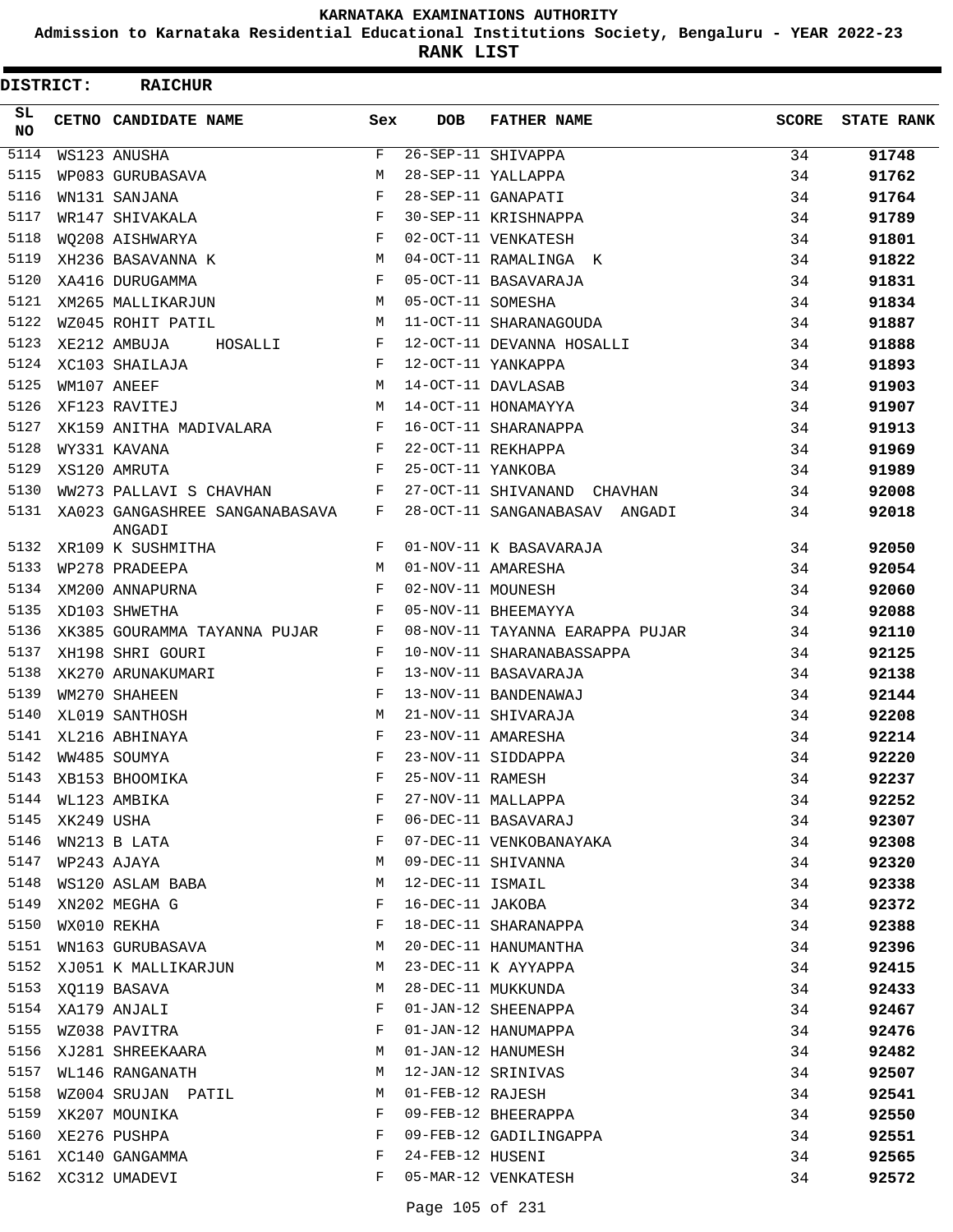**Admission to Karnataka Residential Educational Institutions Society, Bengaluru - YEAR 2022-23**

**RANK LIST**

| DISTRICT:  |            | <b>RAICHUR</b>                                 |              |                   |                                 |              |                   |
|------------|------------|------------------------------------------------|--------------|-------------------|---------------------------------|--------------|-------------------|
| SL.<br>NO. |            | CETNO CANDIDATE NAME                           | Sex          | <b>DOB</b>        | <b>FATHER NAME</b>              | <b>SCORE</b> | <b>STATE RANK</b> |
| 5114       |            | WS123 ANUSHA                                   | F            |                   | 26-SEP-11 SHIVAPPA              | 34           | 91748             |
| 5115       |            | WP083 GURUBASAVA                               | M            |                   | 28-SEP-11 YALLAPPA              | 34           | 91762             |
| 5116       |            | WN131 SANJANA                                  | F            |                   | 28-SEP-11 GANAPATI              | 34           | 91764             |
| 5117       |            | WR147 SHIVAKALA                                | F            |                   | 30-SEP-11 KRISHNAPPA            | 34           | 91789             |
| 5118       |            | WO208 AISHWARYA                                | $\mathbf{F}$ |                   | 02-OCT-11 VENKATESH             | 34           | 91801             |
| 5119       |            | XH236 BASAVANNA K                              | M            |                   | 04-OCT-11 RAMALINGA K           | 34           | 91822             |
| 5120       |            | XA416 DURUGAMMA                                | F            |                   | 05-OCT-11 BASAVARAJA            | 34           | 91831             |
| 5121       |            | XM265 MALLIKARJUN                              | М            | 05-OCT-11 SOMESHA |                                 | 34           | 91834             |
| 5122       |            | WZ045 ROHIT PATIL                              | M            |                   | 11-OCT-11 SHARANAGOUDA          | 34           | 91887             |
| 5123       |            | XE212 AMBUJA<br>HOSALLI                        | F            |                   | 12-OCT-11 DEVANNA HOSALLI       | 34           | 91888             |
| 5124       |            | XC103 SHAILAJA                                 | $_{\rm F}$   |                   | 12-OCT-11 YANKAPPA              | 34           | 91893             |
| 5125       |            | $\mathbf{M}$<br>WM107 ANEEF                    |              |                   | 14-OCT-11 DAVLASAB              | 34           | 91903             |
| 5126       |            | XF123 RAVITEJ                                  | M            |                   | 14-OCT-11 HONAMAYYA             | 34           | 91907             |
| 5127       |            | XK159 ANITHA MADIVALARA F                      |              |                   | 16-OCT-11 SHARANAPPA            | 34           | 91913             |
| 5128       |            | WY331 KAVANA                                   | F            |                   | 22-OCT-11 REKHAPPA              | 34           | 91969             |
| 5129       |            | XS120 AMRUTA                                   | $_{\rm F}$   | 25-OCT-11 YANKOBA |                                 | 34           | 91989             |
| 5130       |            | WW273 PALLAVI S CHAVHAN F                      |              |                   | 27-OCT-11 SHIVANAND CHAVHAN     | 34           | 92008             |
| 5131       |            | XA023 GANGASHREE SANGANABASAVA<br>ANGADI       | $\mathbf{F}$ |                   | 28-OCT-11 SANGANABASAV ANGADI   | 34           | 92018             |
| 5132       |            | XR109 K SUSHMITHA                              | F            |                   | 01-NOV-11 K BASAVARAJA          | 34           | 92050             |
| 5133       |            | WP278 PRADEEPA                                 | M            |                   | 01-NOV-11 AMARESHA              | 34           | 92054             |
| 5134       |            | XM200 ANNAPURNA                                | F            | 02-NOV-11 MOUNESH |                                 | 34           | 92060             |
| 5135       |            | $\mathbf{F}$ and $\mathbf{F}$<br>XD103 SHWETHA |              |                   | 05-NOV-11 BHEEMAYYA             | 34           | 92088             |
| 5136       |            | XK385 GOURAMMA TAYANNA PUJAR F                 |              |                   | 08-NOV-11 TAYANNA EARAPPA PUJAR | 34           | 92110             |
| 5137       |            | XH198 SHRI GOURI                               | F            |                   | 10-NOV-11 SHARANABASSAPPA       | 34           | 92125             |
| 5138       |            | XK270 ARUNAKUMARI                              | F            |                   | 13-NOV-11 BASAVARAJA            | 34           | 92138             |
| 5139       |            | WM270 SHAHEEN                                  | F            |                   | 13-NOV-11 BANDENAWAJ            | 34           | 92144             |
| 5140       |            | XL019 SANTHOSH                                 | М            |                   | 21-NOV-11 SHIVARAJA             | 34           | 92208             |
| 5141       |            | XL216 ABHINAYA                                 | F            |                   | 23-NOV-11 AMARESHA              | 34           | 92214             |
| 5142       |            | WW485 SOUMYA                                   | F            |                   | 23-NOV-11 SIDDAPPA              | 34           | 92220             |
| 5143       |            | XB153 BHOOMIKA                                 | F            | 25-NOV-11 RAMESH  |                                 | 34           | 92237             |
| 5144       |            | WL123 AMBIKA                                   | F            |                   | 27-NOV-11 MALLAPPA              | 34           | 92252             |
| 5145       | XK249 USHA |                                                | F            |                   | 06-DEC-11 BASAVARAJ             | 34           | 92307             |
| 5146       |            | WN213 B LATA                                   | F            |                   | 07-DEC-11 VENKOBANAYAKA         | 34           | 92308             |
| 5147       |            | WP243 AJAYA                                    | М            |                   | 09-DEC-11 SHIVANNA              | 34           | 92320             |
| 5148       |            | WS120 ASLAM BABA                               | М            | 12-DEC-11 ISMAIL  |                                 | 34           | 92338             |
| 5149       |            | XN202 MEGHA G                                  | F            | 16-DEC-11 JAKOBA  |                                 | 34           | 92372             |
| 5150       |            | WX010 REKHA                                    | F            |                   | 18-DEC-11 SHARANAPPA            | 34           | 92388             |
| 5151       |            | WN163 GURUBASAVA                               | М            |                   | 20-DEC-11 HANUMANTHA            | 34           | 92396             |
| 5152       |            | XJ051 K MALLIKARJUN                            | М            |                   | 23-DEC-11 K AYYAPPA             | 34           | 92415             |
| 5153       |            | XQ119 BASAVA                                   | М            |                   | 28-DEC-11 MUKKUNDA              | 34           | 92433             |
| 5154       |            | XA179 ANJALI                                   | F            |                   | 01-JAN-12 SHEENAPPA             | 34           | 92467             |
| 5155       |            | WZ038 PAVITRA                                  | F            |                   | 01-JAN-12 HANUMAPPA             | 34           | 92476             |
| 5156       |            | XJ281 SHREEKAARA                               | М            |                   | 01-JAN-12 HANUMESH              | 34           | 92482             |
| 5157       |            | WL146 RANGANATH                                | М            |                   | 12-JAN-12 SRINIVAS              | 34           | 92507             |
| 5158       |            | WZ004 SRUJAN PATIL                             | М            | 01-FEB-12 RAJESH  |                                 | 34           | 92541             |
| 5159       |            | XK207 MOUNIKA                                  | F            |                   | 09-FEB-12 BHEERAPPA             | 34           | 92550             |
| 5160       |            | XE276 PUSHPA                                   | F            |                   | 09-FEB-12 GADILINGAPPA          | 34           | 92551             |
| 5161       |            | XC140 GANGAMMA                                 | F            | 24-FEB-12 HUSENI  |                                 | 34           | 92565             |
| 5162       |            | XC312 UMADEVI                                  | F            |                   | 05-MAR-12 VENKATESH             | 34           | 92572             |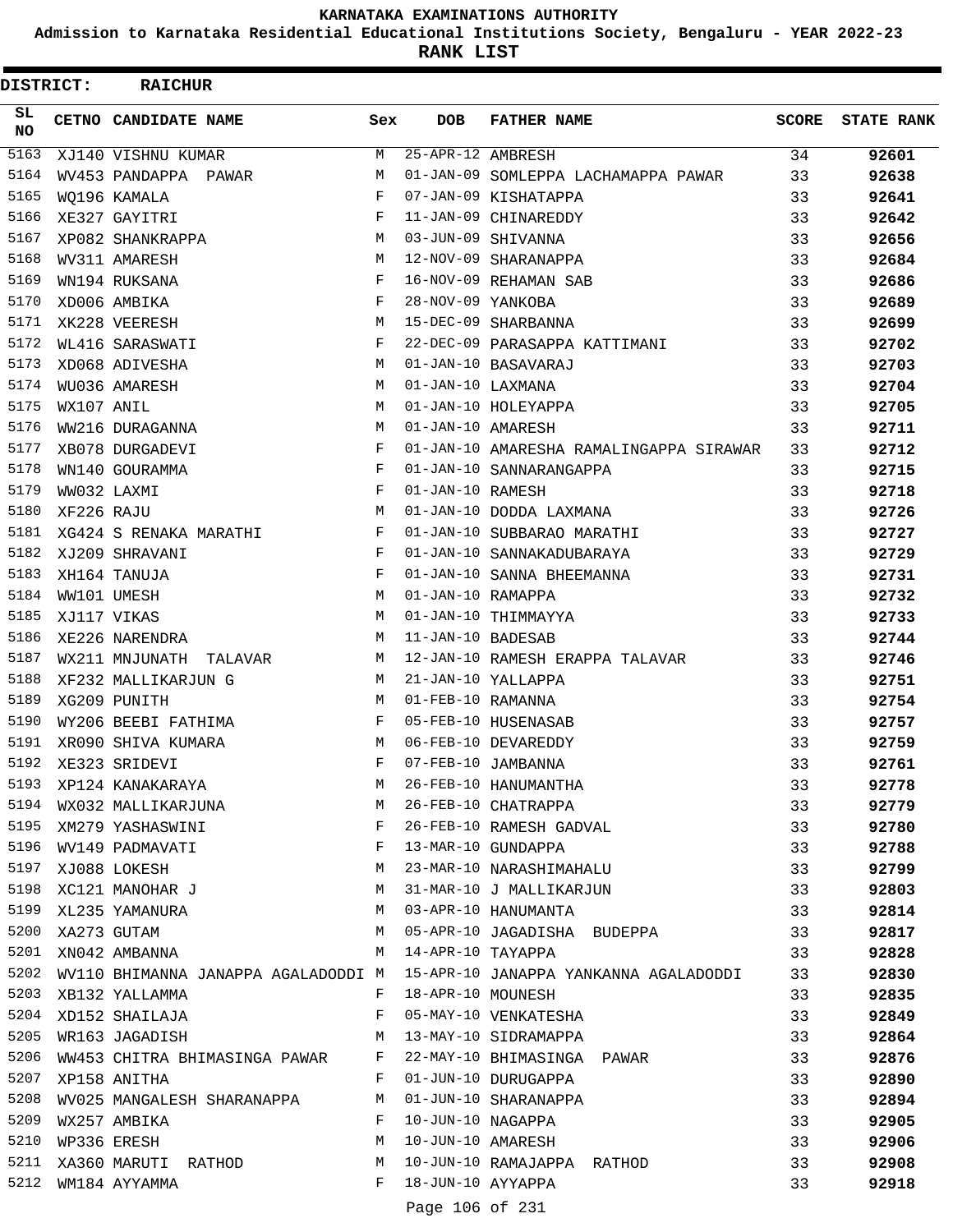**Admission to Karnataka Residential Educational Institutions Society, Bengaluru - YEAR 2022-23**

**RANK LIST**

| DISTRICT:         |            | <b>RAICHUR</b>                             |              |                   |                                                                            |              |                   |
|-------------------|------------|--------------------------------------------|--------------|-------------------|----------------------------------------------------------------------------|--------------|-------------------|
| SL.<br>NO.        |            | CETNO CANDIDATE NAME                       | Sex          | <b>DOB</b>        | <b>FATHER NAME</b>                                                         | <b>SCORE</b> | <b>STATE RANK</b> |
| $\overline{51}63$ |            | XJ140 VISHNU KUMAR                         | М            | 25-APR-12 AMBRESH |                                                                            | 34           | 92601             |
| 5164              |            | WV453 PANDAPPA PAWAR                       | M            |                   | 01-JAN-09 SOMLEPPA LACHAMAPPA PAWAR                                        | 33           | 92638             |
| 5165              |            | WO196 KAMALA                               | $\mathbf{F}$ |                   | 07-JAN-09 KISHATAPPA                                                       | 33           | 92641             |
| 5166              |            | XE327 GAYITRI                              | F            |                   | 11-JAN-09 CHINAREDDY                                                       | 33           | 92642             |
| 5167              |            | XP082 SHANKRAPPA                           | M            |                   | 03-JUN-09 SHIVANNA                                                         | 33           | 92656             |
| 5168              |            | WV311 AMARESH                              | M            |                   | 12-NOV-09 SHARANAPPA                                                       | 33           | 92684             |
| 5169              |            | WN194 RUKSANA                              | F            |                   | 16-NOV-09 REHAMAN SAB                                                      | 33           | 92686             |
| 5170              |            | XD006 AMBIKA                               | F            | 28-NOV-09 YANKOBA |                                                                            | 33           | 92689             |
| 5171              |            | XK228 VEERESH                              | M            |                   | 15-DEC-09 SHARBANNA                                                        | 33           | 92699             |
| 5172              |            | WL416 SARASWATI                            | F            |                   | 22-DEC-09 PARASAPPA KATTIMANI                                              | 33           | 92702             |
| 5173              |            | XD068 ADIVESHA                             | M            |                   | 01-JAN-10 BASAVARAJ                                                        | 33           | 92703             |
| 5174              |            | WU036 AMARESH                              | M            | 01-JAN-10 LAXMANA |                                                                            | 33           | 92704             |
| 5175              | WX107 ANIL |                                            | M            |                   | 01-JAN-10 HOLEYAPPA                                                        | 33           | 92705             |
| 5176              |            | WW216 DURAGANNA                            | M            | 01-JAN-10 AMARESH |                                                                            | 33           | 92711             |
| 5177              |            | XB078 DURGADEVI                            | F            |                   | 01-JAN-10 AMARESHA RAMALINGAPPA SIRAWAR                                    | 33           | 92712             |
| 5178              |            | WN140 GOURAMMA                             | F            |                   | 01-JAN-10 SANNARANGAPPA                                                    | 33           | 92715             |
| 5179              |            | WW032 LAXMI                                | F            | 01-JAN-10 RAMESH  |                                                                            | 33           | 92718             |
| 5180              | XF226 RAJU |                                            | M            |                   | 01-JAN-10 DODDA LAXMANA                                                    | 33           | 92726             |
| 5181              |            | XG424 S RENAKA MARATHI                     | F            |                   | 01-JAN-10 SUBBARAO MARATHI                                                 | 33           | 92727             |
| 5182              |            | XJ209 SHRAVANI                             | F            |                   | 01-JAN-10 SANNAKADUBARAYA                                                  | 33           | 92729             |
| 5183              |            | XH164 TANUJA                               | F            |                   | 01-JAN-10 SANNA BHEEMANNA                                                  | 33           | 92731             |
| 5184              |            | WW101 UMESH                                | M            | 01-JAN-10 RAMAPPA |                                                                            | 33           | 92732             |
| 5185              |            | XJ117 VIKAS                                | M            |                   | 01-JAN-10 THIMMAYYA                                                        | 33           | 92733             |
| 5186              |            | XE226 NARENDRA                             | M            | 11-JAN-10 BADESAB |                                                                            | 33           | 92744             |
| 5187              |            | WX211 MNJUNATH<br>TALAVAR                  | М            |                   | 12-JAN-10 RAMESH ERAPPA TALAVAR                                            | 33           | 92746             |
| 5188              |            | XF232 MALLIKARJUN G                        | M            |                   | 21-JAN-10 YALLAPPA                                                         | 33           | 92751             |
| 5189              |            | XG209 PUNITH                               | M            | 01-FEB-10 RAMANNA |                                                                            | 33           | 92754             |
| 5190              |            | WY206 BEEBI FATHIMA                        | F            |                   | 05-FEB-10 HUSENASAB                                                        | 33           | 92757             |
| 5191              |            | XR090 SHIVA KUMARA                         | M            |                   | 06-FEB-10 DEVAREDDY                                                        | 33           | 92759             |
| 5192              |            | XE323 SRIDEVI                              | F            |                   | 07-FEB-10 JAMBANNA                                                         | 33           | 92761             |
| 5193              |            | XP124 KANAKARAYA                           | M            |                   | 26-FEB-10 HANUMANTHA                                                       | 33           | 92778             |
| 5194              |            | WX032 MALLIKARJUNA                         | M            |                   | 26-FEB-10 CHATRAPPA                                                        | 33           | 92779             |
| 5195              |            | XM279 YASHASWINI F                         |              |                   | 26-FEB-10 RAMESH GADVAL                                                    | 33           | 92780             |
|                   |            | 5196 WV149 PADMAVATI F                     |              |                   |                                                                            | 33           | 92788             |
| 5197              |            |                                            |              |                   | 13-MAR-10 GUNDAPPA<br>23-MAR-10 NARASHIMAHALU                              | 33           | 92799             |
| 5198              |            | XJ088 LOKESH M<br>XC121 MANOHAR J M        |              |                   | 31-MAR-10 J MALLIKARJUN                                                    | 33           | 92803             |
| 5199              |            | XL235 YAMANURA                             | M            |                   | 03-APR-10 HANUMANTA                                                        | 33           | 92814             |
|                   |            | 5200 XA273 GUTAM                           | M            |                   | 05-APR-10 JAGADISHA BUDEPPA                                                | 33           | 92817             |
|                   |            | 5201 XN042 AMBANNA                         | M            |                   | 14-APR-10 TAYAPPA                                                          | 33           | 92828             |
| 5202              |            |                                            |              |                   | WV110 BHIMANNA JANAPPA AGALADODDI M  15-APR-10 JANAPPA YANKANNA AGALADODDI | 33           | 92830             |
| 5203              |            | XB132 YALLAMMA                             | F            | 18-APR-10 MOUNESH |                                                                            | 33           | 92835             |
|                   |            | 5204 XD152 SHAILAJA<br>$\mathbf{F}$        |              |                   | 05-MAY-10 VENKATESHA                                                       | 33           | 92849             |
|                   |            | 5205 WR163 JAGADISH M 13-MAY-10 SIDRAMAPPA |              |                   |                                                                            | 33           | 92864             |
| 5206              |            | WW453 CHITRA BHIMASINGA PAWAR F            |              |                   | 22-MAY-10 BHIMASINGA PAWAR                                                 | 33           | 92876             |
| 5207              |            | XP158 ANITHA<br><b>Experiment Property</b> |              |                   | 01-JUN-10 DURUGAPPA                                                        | 33           | 92890             |
| 5208              |            | WV025 MANGALESH SHARANAPPA M               |              |                   | 01-JUN-10 SHARANAPPA                                                       | 33           | 92894             |
| 5209              |            | WX257 AMBIKA                               | $\mathbf{F}$ | 10-JUN-10 NAGAPPA |                                                                            | 33           | 92905             |
| 5210              |            | WP336 ERESH<br><b>M</b>                    |              |                   | 10-JUN-10 AMARESH                                                          | 33           | 92906             |
| 5211              |            | XA360 MARUTI RATHOD M                      |              |                   | 10-JUN-10 RAMAJAPPA RATHOD                                                 | 33           | 92908             |
|                   |            | 5212 WM184 AYYAMMA                         | $\mathbf{F}$ | 18-JUN-10 AYYAPPA |                                                                            | 33           | 92918             |
|                   |            |                                            |              | Page 106 of 231   |                                                                            |              |                   |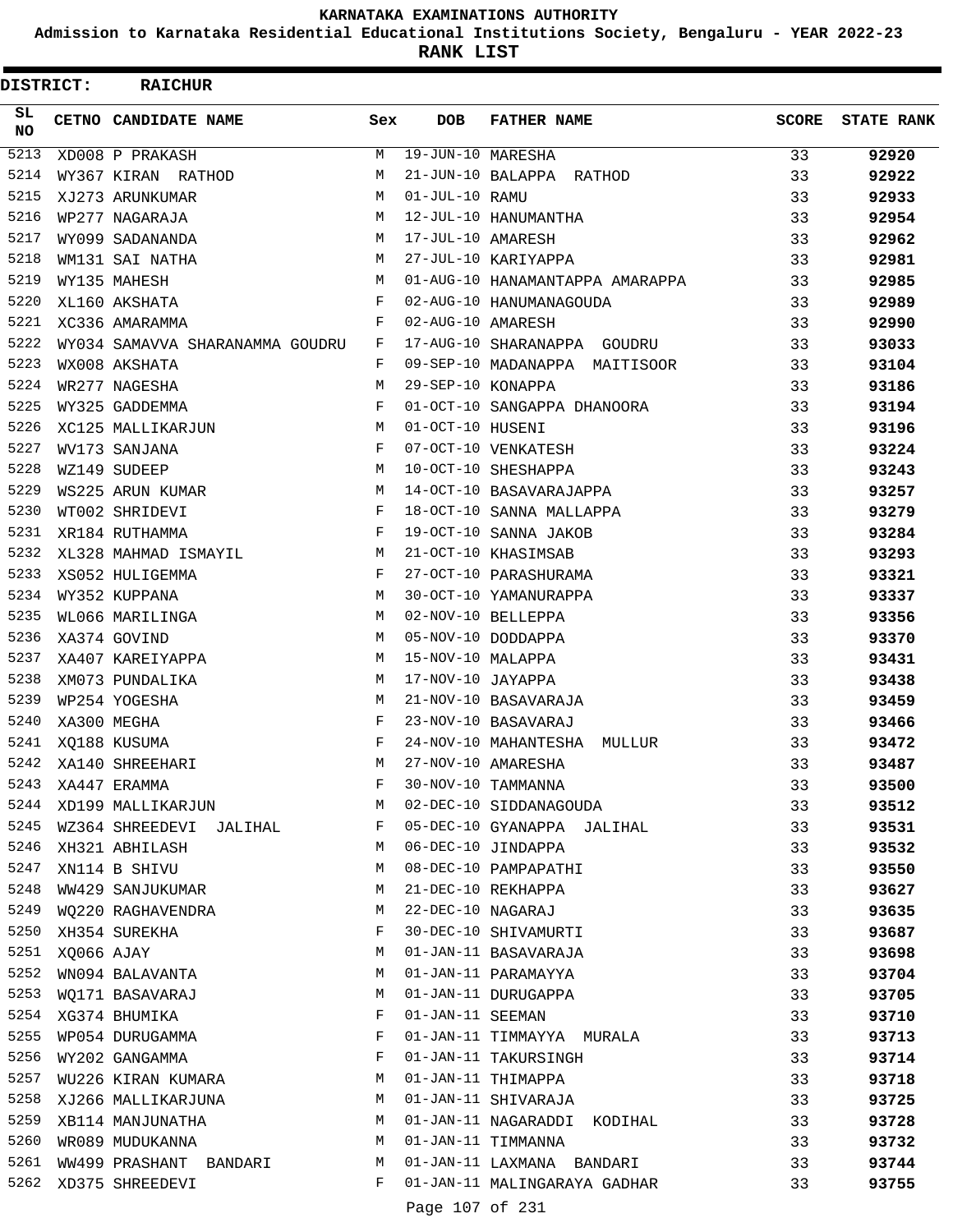**Admission to Karnataka Residential Educational Institutions Society, Bengaluru - YEAR 2022-23**

**RANK LIST**

| DISTRICT:       |            | <b>RAICHUR</b>                            |        |                   |                                                   |              |                   |
|-----------------|------------|-------------------------------------------|--------|-------------------|---------------------------------------------------|--------------|-------------------|
| SL<br><b>NO</b> |            | CETNO CANDIDATE NAME                      | Sex    | <b>DOB</b>        | <b>FATHER NAME</b>                                | <b>SCORE</b> | <b>STATE RANK</b> |
| 5213            |            | XD008 P PRAKASH                           | М      | 19-JUN-10 MARESHA |                                                   | 33           | 92920             |
| 5214            |            | WY367 KIRAN RATHOD                        | М      |                   | 21-JUN-10 BALAPPA RATHOD                          | 33           | 92922             |
| 5215            |            | XJ273 ARUNKUMAR                           | M      | 01-JUL-10 RAMU    |                                                   | 33           | 92933             |
| 5216            |            | WP277 NAGARAJA                            | M      |                   | 12-JUL-10 HANUMANTHA                              | 33           | 92954             |
| 5217            |            | WY099 SADANANDA                           | М      | 17-JUL-10 AMARESH |                                                   | 33           | 92962             |
| 5218            |            | WM131 SAI NATHA                           | М      |                   | 27-JUL-10 KARIYAPPA                               | 33           | 92981             |
| 5219            |            | WY135 MAHESH                              | M      |                   | 01-AUG-10 HANAMANTAPPA AMARAPPA                   | 33           | 92985             |
| 5220            |            | XL160 AKSHATA                             | F      |                   | 02-AUG-10 HANUMANAGOUDA                           | 33           | 92989             |
| 5221            |            | XC336 AMARAMMA                            | F      | 02-AUG-10 AMARESH |                                                   | 33           | 92990             |
| 5222            |            | WY034 SAMAVVA SHARANAMMA GOUDRU           | F      |                   | 17-AUG-10 SHARANAPPA GOUDRU                       | 33           | 93033             |
| 5223            |            | WX008 AKSHATA                             | F      |                   | 09-SEP-10 MADANAPPA MAITISOOR                     | 33           | 93104             |
| 5224            |            | WR277 NAGESHA                             | М      | 29-SEP-10 KONAPPA |                                                   | 33           | 93186             |
| 5225            |            | WY325 GADDEMMA                            | F      |                   | 01-OCT-10 SANGAPPA DHANOORA                       | 33           | 93194             |
| 5226            |            | XC125 MALLIKARJUN                         | М      | 01-OCT-10 HUSENI  |                                                   | 33           | 93196             |
| 5227            |            | WV173 SANJANA                             | F      |                   | 07-OCT-10 VENKATESH                               | 33           | 93224             |
| 5228            |            | WZ149 SUDEEP                              | M      |                   | 10-OCT-10 SHESHAPPA                               | 33           | 93243             |
| 5229            |            | WS225 ARUN KUMAR                          | М      |                   | 14-OCT-10 BASAVARAJAPPA                           | 33           | 93257             |
| 5230            |            | WT002 SHRIDEVI                            | F      |                   | 18-OCT-10 SANNA MALLAPPA                          | 33           | 93279             |
| 5231            |            | XR184 RUTHAMMA                            | F      |                   | 19-OCT-10 SANNA JAKOB                             | 33           | 93284             |
| 5232            |            | XL328 MAHMAD ISMAYIL                      | М      |                   | 21-OCT-10 KHASIMSAB                               | 33           | 93293             |
| 5233            |            | XS052 HULIGEMMA                           | F      |                   | 27-OCT-10 PARASHURAMA                             | 33           | 93321             |
| 5234            |            | WY352 KUPPANA                             | M      |                   | 30-OCT-10 YAMANURAPPA                             | 33           | 93337             |
| 5235            |            | WL066 MARILINGA                           | M      |                   | 02-NOV-10 BELLEPPA                                | 33           | 93356             |
| 5236            |            | XA374 GOVIND                              | M      |                   | 05-NOV-10 DODDAPPA                                | 33           | 93370             |
| 5237            |            | XA407 KAREIYAPPA                          | М      | 15-NOV-10 MALAPPA |                                                   | 33           | 93431             |
| 5238            |            | XM073 PUNDALIKA                           | М      | 17-NOV-10 JAYAPPA |                                                   | 33           | 93438             |
| 5239            |            | WP254 YOGESHA                             | M      |                   | 21-NOV-10 BASAVARAJA                              | 33           | 93459             |
| 5240            |            | XA300 MEGHA                               | F      |                   | 23-NOV-10 BASAVARAJ                               | 33           | 93466             |
| 5241            |            | XQ188 KUSUMA                              | F      |                   | 24-NOV-10 MAHANTESHA<br>MULLUR                    | 33           | 93472             |
| 5242            |            | XA140 SHREEHARI                           | M      |                   | 27-NOV-10 AMARESHA                                | 33           | 93487             |
| 5243            |            | XA447 ERAMMA                              | F      |                   | 30-NOV-10 TAMMANNA                                | 33           | 93500             |
| 5244            |            | XD199 MALLIKARJUN                         | М      |                   | 02-DEC-10 SIDDANAGOUDA                            | 33           | 93512             |
| 5245            |            | WZ364 SHREEDEVI JALIHAL                   | F      |                   | 05-DEC-10 GYANAPPA JALIHAL                        | 33           | 93531             |
| 5246            |            | XH321 ABHILASH                            | М      |                   | 06-DEC-10 JINDAPPA                                | 33           | 93532             |
| 5247            |            | XN114 B SHIVU                             | М      |                   | 08-DEC-10 PAMPAPATHI                              | 33           | 93550             |
| 5248            |            | WW429 SANJUKUMAR                          | М      |                   | 21-DEC-10 REKHAPPA                                | 33           | 93627             |
| 5249            |            | WQ220 RAGHAVENDRA                         | M      |                   | 22-DEC-10 NAGARAJ                                 | 33           | 93635             |
| 5250            |            | XH354 SUREKHA                             | F      |                   | 30-DEC-10 SHIVAMURTI                              | 33           | 93687             |
| 5251            | XQ066 AJAY |                                           | М      |                   | 01-JAN-11 BASAVARAJA                              | 33           | 93698             |
| 5252            |            | WN094 BALAVANTA                           | М      |                   | 01-JAN-11 PARAMAYYA                               | 33           | 93704             |
| 5253            |            | WQ171 BASAVARAJ                           | М      |                   | 01-JAN-11 DURUGAPPA                               | 33           | 93705             |
|                 |            | 5254 XG374 BHUMIKA                        | F      | 01-JAN-11 SEEMAN  |                                                   | 33           | 93710             |
| 5255<br>5256    |            | WP054 DURUGAMMA                           | F      |                   | 01-JAN-11 TIMMAYYA MURALA                         | 33           | 93713             |
| 5257            |            | WY202 GANGAMMA<br>WU226 KIRAN KUMARA      | F<br>М |                   | 01-JAN-11 TAKURSINGH                              | 33           | 93714             |
| 5258            |            |                                           |        |                   | 01-JAN-11 THIMAPPA                                | 33           | 93718             |
| 5259            |            | XJ266 MALLIKARJUNA                        | M<br>М |                   | 01-JAN-11 SHIVARAJA                               | 33           | 93725             |
| 5260            |            | XB114 MANJUNATHA                          | М      |                   | 01-JAN-11 NAGARADDI KODIHAL<br>01-JAN-11 TIMMANNA | 33           | 93728             |
| 5261            |            | WR089 MUDUKANNA<br>WW499 PRASHANT BANDARI | M      |                   | 01-JAN-11 LAXMANA BANDARI                         | 33<br>33     | 93732             |
| 5262            |            | XD375 SHREEDEVI                           | F      |                   | 01-JAN-11 MALINGARAYA GADHAR                      | 33           | 93744<br>93755    |
|                 |            |                                           |        | Page 107 of 231   |                                                   |              |                   |
|                 |            |                                           |        |                   |                                                   |              |                   |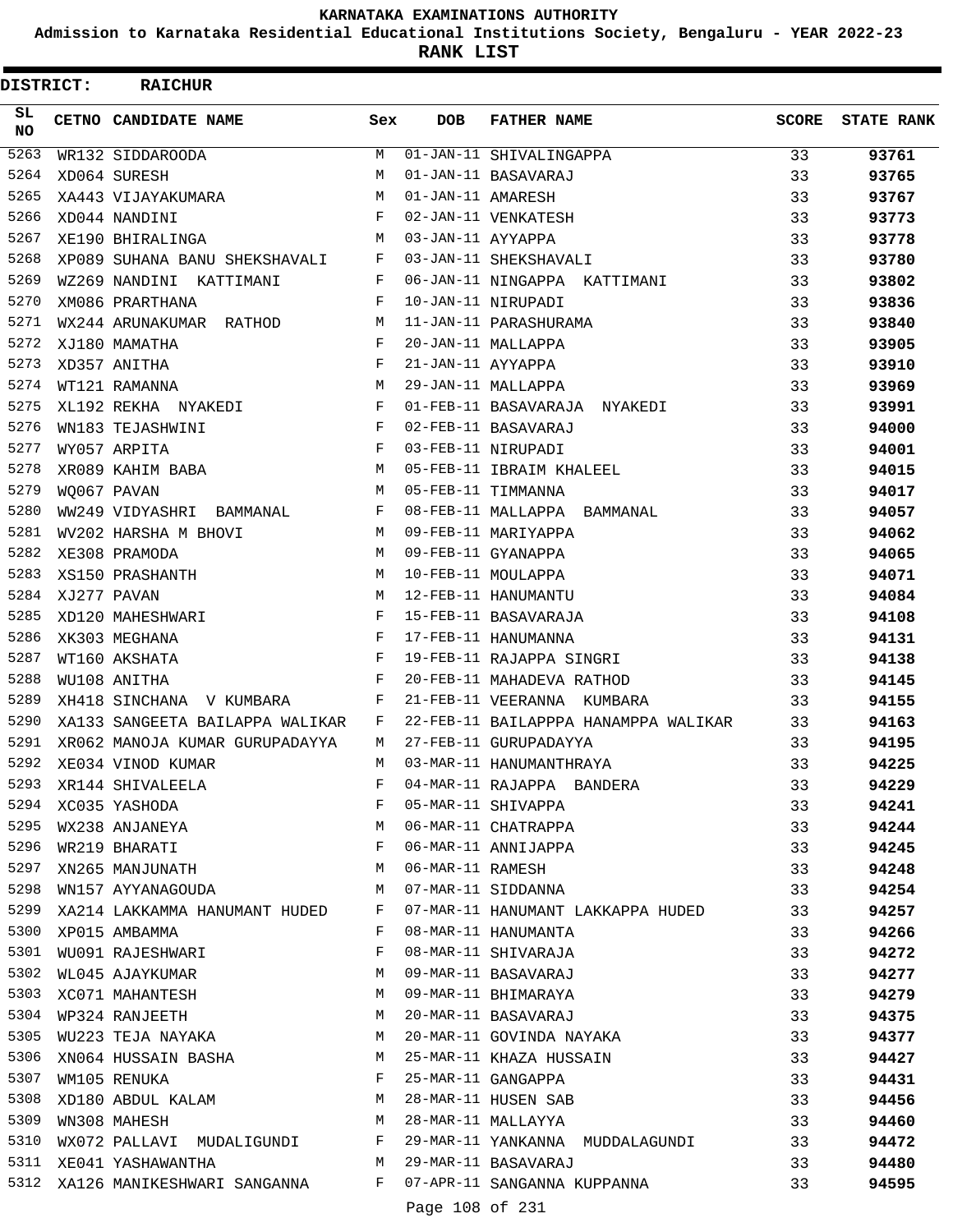**Admission to Karnataka Residential Educational Institutions Society, Bengaluru - YEAR 2022-23**

**RANK LIST**

| DISTRICT: |             | <b>RAICHUR</b>                                                                                  |              |                   |                                                                        |       |                   |
|-----------|-------------|-------------------------------------------------------------------------------------------------|--------------|-------------------|------------------------------------------------------------------------|-------|-------------------|
| SL<br>NO. |             | CETNO CANDIDATE NAME                                                                            | Sex          | DOB               | <b>FATHER NAME</b>                                                     | SCORE | <b>STATE RANK</b> |
| 5263      |             | WR132 SIDDAROODA                                                                                | M            |                   | 01-JAN-11 SHIVALINGAPPA                                                | 33    | 93761             |
| 5264      |             | XD064 SURESH                                                                                    | M            |                   | 01-JAN-11 BASAVARAJ                                                    | 33    | 93765             |
| 5265      |             | XA443 VIJAYAKUMARA                                                                              | M            | 01-JAN-11 AMARESH |                                                                        | 33    | 93767             |
| 5266      |             | $\mathbf{F}$<br>XD044 NANDINI                                                                   |              |                   | 02-JAN-11 VENKATESH                                                    | 33    | 93773             |
| 5267      |             | XE190 BHIRALINGA                                                                                | M            | 03-JAN-11 AYYAPPA |                                                                        | 33    | 93778             |
| 5268      |             | XP089 SUHANA BANU SHEKSHAVALI                                                                   | F            |                   | 03-JAN-11 SHEKSHAVALI                                                  | 33    | 93780             |
| 5269      |             | WZ269 NANDINI KATTIMANI                                                                         | F            |                   | 06-JAN-11 NINGAPPA KATTIMANI                                           | 33    | 93802             |
| 5270      |             | XM086 PRARTHANA                                                                                 | F            |                   | 10-JAN-11 NIRUPADI                                                     | 33    | 93836             |
| 5271      |             | WX244 ARUNAKUMAR RATHOD M                                                                       |              |                   | 11-JAN-11 PARASHURAMA                                                  | 33    | 93840             |
| 5272      |             | XJ180 MAMATHA                                                                                   | $_{\rm F}$   |                   | 20-JAN-11 MALLAPPA                                                     | 33    | 93905             |
| 5273      |             | XD357 ANITHA                                                                                    | $\mathbf{F}$ | 21-JAN-11 AYYAPPA |                                                                        | 33    | 93910             |
| 5274      |             | M<br>WT121 RAMANNA                                                                              |              |                   | 29-JAN-11 MALLAPPA                                                     | 33    | 93969             |
| 5275      |             | XL192 REKHA NYAKEDI                                                                             | $\mathbf{F}$ |                   | 01-FEB-11 BASAVARAJA NYAKEDI                                           | 33    | 93991             |
| 5276      |             | WN183 TEJASHWINI                                                                                | F            |                   | 02-FEB-11 BASAVARAJ                                                    | 33    | 94000             |
| 5277      |             | $\mathbf{F}$ and $\mathbf{F}$ and $\mathbf{F}$<br>WY057 ARPITA                                  |              |                   | 03-FEB-11 NIRUPADI                                                     | 33    | 94001             |
| 5278      |             | $\mathbbmss{M}$<br>XR089 KAHIM BABA                                                             |              |                   | 05-FEB-11 IBRAIM KHALEEL<br>05-FEB-11 TIMMANNA                         | 33    | 94015             |
| 5279      | WO067 PAVAN |                                                                                                 | M            |                   | 05-FEB-11 TIMMANNA                                                     | 33    | 94017             |
| 5280      |             | WW249 VIDYASHRI BAMMANAL F                                                                      |              |                   | 08-FEB-11 MALLAPPA BAMMANAL                                            | 33    | 94057             |
| 5281      |             | WV202 HARSHA M BHOVI<br>M 09-FEB-11 MARIYAPPA                                                   |              |                   |                                                                        | 33    | 94062             |
| 5282      |             | XE308 PRAMODA                                                                                   | M            |                   | 09-FEB-11 GYANAPPA                                                     | 33    | 94065             |
| 5283      |             | XS150 PRASHANTH                                                                                 | M            |                   | 10-FEB-11 MOULAPPA                                                     | 33    | 94071             |
| 5284      |             | XJ277 PAVAN                                                                                     | M            |                   | 12-FEB-11 HANUMANTU                                                    | 33    | 94084             |
| 5285      |             | XD120 MAHESHWARI                                                                                | $\mathbf{F}$ |                   | 15-FEB-11 BASAVARAJA                                                   | 33    | 94108             |
| 5286      |             | XK303 MEGHANA                                                                                   | $\mathbf{F}$ |                   | 17-FEB-11 HANUMANNA                                                    | 33    | 94131             |
| 5287      |             | WT160 AKSHATA                                                                                   | F            |                   | 19-FEB-11 RAJAPPA SINGRI                                               | 33    | 94138             |
| 5288      |             | WU108 ANITHA                                                                                    | $\mathbf{F}$ |                   | 20-FEB-11 MAHADEVA RATHOD                                              | 33    | 94145             |
| 5289      |             | XH418 SINCHANA V KUMBARA F                                                                      |              |                   | 21-FEB-11 VEERANNA KUMBARA                                             | 33    | 94155             |
| 5290      |             | XA133 SANGEETA BAILAPPA WALIKAR                                                                 | F            |                   | 22-FEB-11 BAILAPPPA HANAMPPA WALIKAR                                   | 33    | 94163             |
| 5291      |             | XR062 MANOJA KUMAR GURUPADAYYA                                                                  | M            |                   | 27-FEB-11 GURUPADAYYA                                                  | 33    | 94195             |
| 5292      |             | XE034 VINOD KUMAR                                                                               | M            |                   | 03-MAR-11 HANUMANTHRAYA                                                | 33    | 94225             |
|           |             | F<br>5293 XR144 SHIVALEELA<br>5294 XC035 YASHODA<br>5295 WX238 ANJANEYA<br>5296 WR219 BHARATI F | $F$ and      |                   | 04-MAR-11 RAJAPPA BANDERA                                              | 33    | 94229             |
|           |             |                                                                                                 |              |                   | 05-MAR-11 SHIVAPPA                                                     | 33    | 94241             |
|           |             |                                                                                                 |              |                   | 06-MAR-11 CHATRAPPA<br>06-MAR-11 ANNIJAPPA                             | 33    | 94244             |
|           |             |                                                                                                 |              |                   |                                                                        | 33    | 94245             |
| 5297      |             | XN265 MANJUNATH M                                                                               |              |                   | 06-MAR-11 RAMESH                                                       | 33    | 94248             |
| 5298      |             | WN157 AYYANAGOUDA M 07-MAR-11 SIDDANNA                                                          |              |                   |                                                                        | 33    | 94254             |
|           |             |                                                                                                 |              |                   | 5299 XA214 LAKKAMMA HANUMANT HUDED F 07-MAR-11 HANUMANT LAKKAPPA HUDED | 33    | 94257             |
|           |             | 5300 XP015 AMBAMMA                                                                              |              |                   | F 08-MAR-11 HANUMANTA                                                  | 33    | 94266             |
|           |             | 5301 WU091 RAJESHWARI F                                                                         |              |                   | 08-MAR-11 SHIVARAJA                                                    | 33    | 94272             |
|           |             |                                                                                                 |              |                   |                                                                        | 33    | 94277             |
|           |             |                                                                                                 |              |                   |                                                                        | 33    | 94279             |
|           |             |                                                                                                 |              |                   |                                                                        | 33    | 94375             |
| 5305      |             |                                                                                                 |              |                   | WU223 TEJA NAYAKA MARA MARA MARE-11 GOVINDA NAYAKA                     | 33    | 94377             |
|           |             | 5306 XNO64 HUSSAIN BASHA M 25-MAR-11 KHAZA HUSSAIN                                              |              |                   |                                                                        | 33    | 94427             |
|           |             | 5307 WM105 RENUKA                                                                               |              |                   | F 25-MAR-11 GANGAPPA                                                   | 33    | 94431             |
| 5308      |             | XD180 ABDUL KALAM M 28-MAR-11 HUSEN SAB                                                         |              |                   |                                                                        | 33    | 94456             |
| 5309      |             | M 28-MAR-11 MALLAYYA<br>WN308 MAHESH                                                            |              |                   | $\sim$ 33                                                              |       | 94460             |
|           |             |                                                                                                 |              |                   | 5310 WX072 PALLAVI MUDALIGUNDI F 29-MAR-11 YANKANNA MUDDALAGUNDI 33    |       | 94472             |
|           |             | 5311 XE041 YASHAWANTHA M 29-MAR-11 BASAVARAJ                                                    |              |                   |                                                                        | 33    | 94480             |
|           |             |                                                                                                 |              |                   | 5312 XA126 MANIKESHWARI SANGANNA F 07-APR-11 SANGANNA KUPPANNA 533     |       | 94595             |
|           |             |                                                                                                 |              | Page 108 of 231   |                                                                        |       |                   |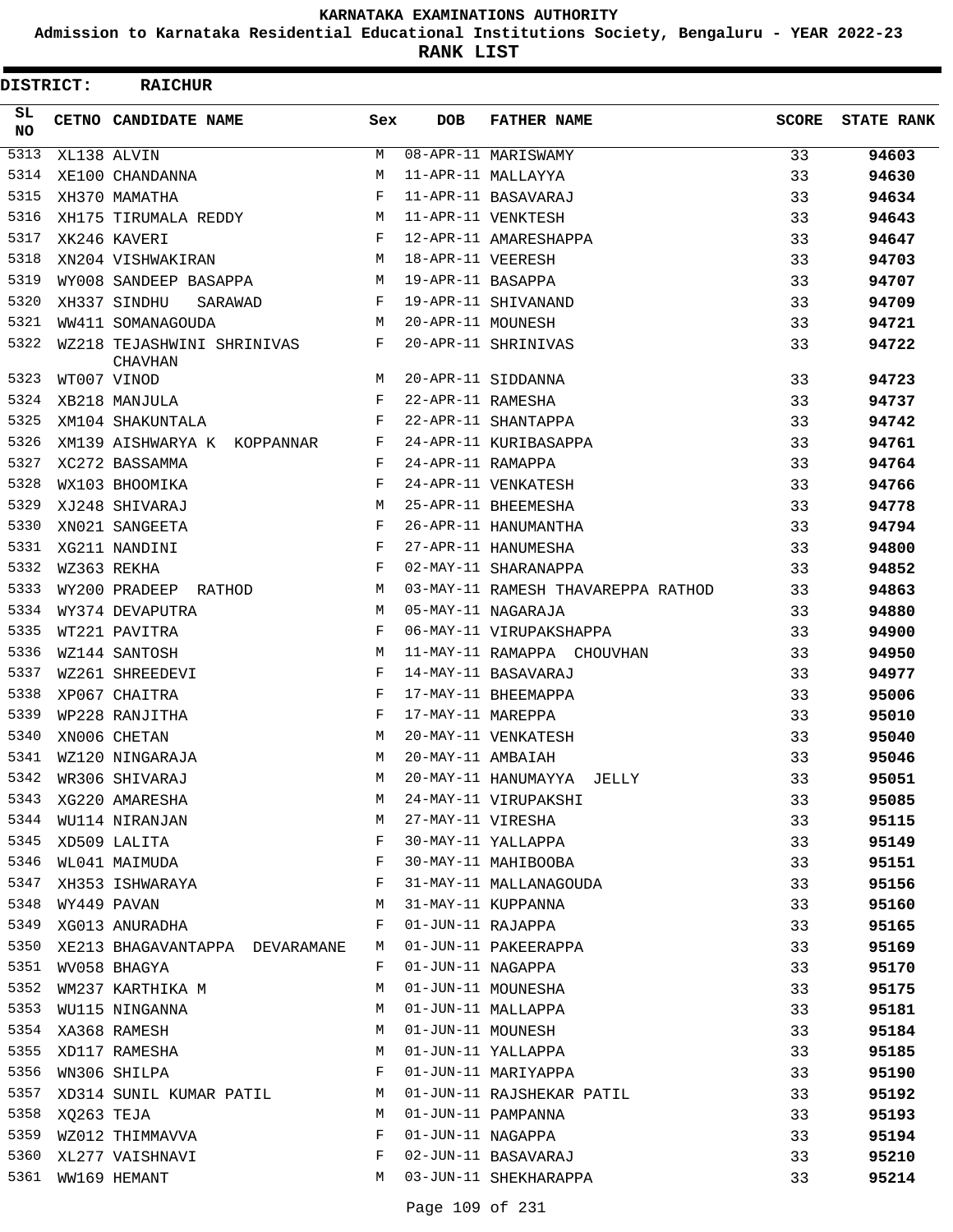**Admission to Karnataka Residential Educational Institutions Society, Bengaluru - YEAR 2022-23**

**RANK LIST**

| <b>DISTRICT:</b> |            | <b>RAICHUR</b>                               |              |                   |                                    |              |                   |
|------------------|------------|----------------------------------------------|--------------|-------------------|------------------------------------|--------------|-------------------|
| SL.<br><b>NO</b> |            | CETNO CANDIDATE NAME                         | Sex          | <b>DOB</b>        | <b>FATHER NAME</b>                 | <b>SCORE</b> | <b>STATE RANK</b> |
| 5313             |            | XL138 ALVIN                                  | M            |                   | 08-APR-11 MARISWAMY                | 33           | 94603             |
| 5314             |            | XE100 CHANDANNA                              | M            |                   | 11-APR-11 MALLAYYA                 | 33           | 94630             |
| 5315             |            | XH370 MAMATHA                                | F            |                   | 11-APR-11 BASAVARAJ                | 33           | 94634             |
| 5316             |            | XH175 TIRUMALA REDDY M                       |              |                   | 11-APR-11 VENKTESH                 | 33           | 94643             |
| 5317             |            | XK246 KAVERI                                 | F            |                   | 12-APR-11 AMARESHAPPA              | 33           | 94647             |
| 5318             |            | XN204 VISHWAKIRAN                            | M            | 18-APR-11 VEERESH |                                    | 33           | 94703             |
| 5319             |            | WY008 SANDEEP BASAPPA                        | M            | 19-APR-11 BASAPPA |                                    | 33           | 94707             |
| 5320             |            | XH337 SINDHU<br>SARAWAD                      | $\mathbf{F}$ |                   | 19-APR-11 SHIVANAND                | 33           | 94709             |
| 5321             |            | WW411 SOMANAGOUDA                            | M            | 20-APR-11 MOUNESH |                                    | 33           | 94721             |
| 5322             |            | WZ218 TEJASHWINI SHRINIVAS<br><b>CHAVHAN</b> | $\mathbf{F}$ |                   | 20-APR-11 SHRINIVAS                | 33           | 94722             |
| 5323             |            | WT007 VINOD                                  | M            |                   | 20-APR-11 SIDDANNA                 | 33           | 94723             |
| 5324             |            | XB218 MANJULA                                | F            | 22-APR-11 RAMESHA |                                    | 33           | 94737             |
| 5325             |            | XM104 SHAKUNTALA                             | F            |                   | 22-APR-11 SHANTAPPA                | 33           | 94742             |
| 5326             |            | XM139 AISHWARYA K KOPPANNAR                  | $\mathbf{F}$ |                   | 24-APR-11 KURIBASAPPA              | 33           | 94761             |
| 5327             |            | XC272 BASSAMMA                               | $\mathbf{F}$ | 24-APR-11 RAMAPPA |                                    | 33           | 94764             |
| 5328             |            | WX103 BHOOMIKA                               | F            |                   | 24-APR-11 VENKATESH                | 33           | 94766             |
| 5329             |            | XJ248 SHIVARAJ                               | M            |                   | 25-APR-11 BHEEMESHA                | 33           | 94778             |
| 5330             |            | XN021 SANGEETA                               | $_{\rm F}$   |                   | 26-APR-11 HANUMANTHA               | 33           | 94794             |
| 5331             |            | XG211 NANDINI                                | F            |                   | 27-APR-11 HANUMESHA                | 33           | 94800             |
| 5332             |            | WZ363 REKHA                                  | $_{\rm F}$   |                   | 02-MAY-11 SHARANAPPA               | 33           | 94852             |
| 5333             |            | WY200 PRADEEP RATHOD                         | M            |                   | 03-MAY-11 RAMESH THAVAREPPA RATHOD | 33           | 94863             |
| 5334             |            | WY374 DEVAPUTRA                              | M            |                   | 05-MAY-11 NAGARAJA                 | 33           | 94880             |
| 5335             |            | WT221 PAVITRA                                | F            |                   | 06-MAY-11 VIRUPAKSHAPPA            | 33           | 94900             |
| 5336             |            | WZ144 SANTOSH                                | M            |                   | 11-MAY-11 RAMAPPA CHOUVHAN         | 33           | 94950             |
| 5337             |            | WZ261 SHREEDEVI                              | F            |                   | 14-MAY-11 BASAVARAJ                | 33           | 94977             |
| 5338             |            | XP067 CHAITRA                                | F            |                   | 17-MAY-11 BHEEMAPPA                | 33           | 95006             |
| 5339             |            | WP228 RANJITHA                               | F            | 17-MAY-11 MAREPPA |                                    | 33           | 95010             |
| 5340             |            | XN006 CHETAN                                 | M            |                   | 20-MAY-11 VENKATESH                | 33           | 95040             |
| 5341             |            | WZ120 NINGARAJA                              | M            | 20-MAY-11 AMBAIAH |                                    | 33           | 95046             |
| 5342             |            | WR306 SHIVARAJ                               | М            |                   | 20-MAY-11 HANUMAYYA JELLY          | 33           | 95051             |
| 5343             |            | XG220 AMARESHA                               | M            |                   | 24-MAY-11 VIRUPAKSHI               | 33           | 95085             |
| 5344             |            | WU114 NIRANJAN                               | М            | 27-MAY-11 VIRESHA |                                    | 33           | 95115             |
| 5345             |            | XD509 LALITA                                 | F            |                   | 30-MAY-11 YALLAPPA                 | 33           | 95149             |
| 5346             |            | WL041 MAIMUDA                                | F            |                   | 30-MAY-11 MAHIBOOBA                | 33           | 95151             |
| 5347             |            | XH353 ISHWARAYA                              | F            |                   | 31-MAY-11 MALLANAGOUDA             | 33           | 95156             |
| 5348             |            | WY449 PAVAN                                  | М            |                   | 31-MAY-11 KUPPANNA                 | 33           | 95160             |
| 5349             |            | XG013 ANURADHA                               | F            | 01-JUN-11 RAJAPPA |                                    | 33           | 95165             |
| 5350             |            | XE213 BHAGAVANTAPPA DEVARAMANE               | M            |                   | 01-JUN-11 PAKEERAPPA               | 33           | 95169             |
| 5351             |            | WV058 BHAGYA                                 | F            | 01-JUN-11 NAGAPPA |                                    | 33           | 95170             |
| 5352             |            | WM237 KARTHIKA M                             | М            |                   | 01-JUN-11 MOUNESHA                 | 33           | 95175             |
| 5353             |            | WU115 NINGANNA                               | М            |                   | 01-JUN-11 MALLAPPA                 | 33           | 95181             |
| 5354             |            | XA368 RAMESH                                 | М            | 01-JUN-11 MOUNESH |                                    | 33           | 95184             |
| 5355             |            | XD117 RAMESHA                                | M            |                   | 01-JUN-11 YALLAPPA                 | 33           | 95185             |
| 5356             |            | WN306 SHILPA                                 | F            |                   | 01-JUN-11 MARIYAPPA                | 33           | 95190             |
| 5357             |            | XD314 SUNIL KUMAR PATIL                      | М            |                   | 01-JUN-11 RAJSHEKAR PATIL          | 33           | 95192             |
| 5358             | XQ263 TEJA |                                              | М            |                   | 01-JUN-11 PAMPANNA                 | 33           | 95193             |
| 5359             |            | WZ012 THIMMAVVA                              | F            | 01-JUN-11 NAGAPPA |                                    | 33           | 95194             |
| 5360             |            | XL277 VAISHNAVI                              | F            |                   | 02-JUN-11 BASAVARAJ                | 33           | 95210             |
|                  |            | 5361 WW169 HEMANT                            | M            |                   | 03-JUN-11 SHEKHARAPPA              | 33           | 95214             |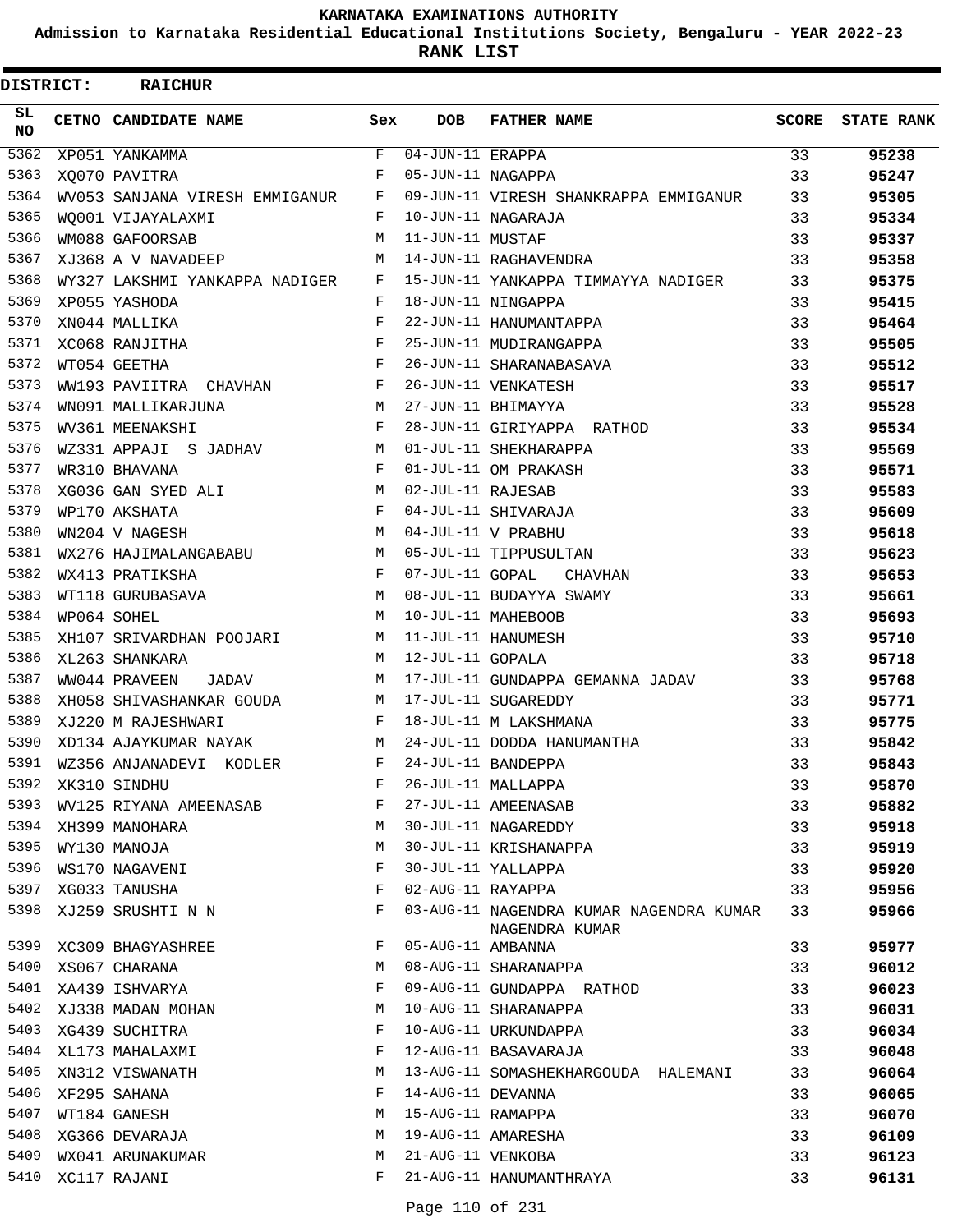**Admission to Karnataka Residential Educational Institutions Society, Bengaluru - YEAR 2022-23**

| DISTRICT:        | <b>RAICHUR</b>                 |            |                                |                                                           |              |                   |
|------------------|--------------------------------|------------|--------------------------------|-----------------------------------------------------------|--------------|-------------------|
| SL.<br><b>NO</b> | <b>CETNO CANDIDATE NAME</b>    | Sex        | <b>DOB</b>                     | <b>FATHER NAME</b>                                        | <b>SCORE</b> | <b>STATE RANK</b> |
| 5362             | XP051 YANKAMMA                 | F          | $\overline{04}$ -JUN-11 ERAPPA |                                                           | 33           | 95238             |
| 5363             | XO070 PAVITRA                  | F          | 05-JUN-11 NAGAPPA              |                                                           | 33           | 95247             |
| 5364             | WV053 SANJANA VIRESH EMMIGANUR | F          |                                | 09-JUN-11 VIRESH SHANKRAPPA EMMIGANUR                     | 33           | 95305             |
| 5365             | WO001 VIJAYALAXMI              | F          |                                | 10-JUN-11 NAGARAJA                                        | 33           | 95334             |
| 5366             | WM088 GAFOORSAB                | M          | 11-JUN-11 MUSTAF               |                                                           | 33           | 95337             |
| 5367             | XJ368 A V NAVADEEP             | M          |                                | 14-JUN-11 RAGHAVENDRA                                     | 33           | 95358             |
| 5368             | WY327 LAKSHMI YANKAPPA NADIGER | F          |                                | 15-JUN-11 YANKAPPA TIMMAYYA NADIGER                       | 33           | 95375             |
| 5369             | XP055 YASHODA                  | F          |                                | 18-JUN-11 NINGAPPA                                        | 33           | 95415             |
| 5370             | XN044 MALLIKA                  | F          |                                | 22-JUN-11 HANUMANTAPPA                                    | 33           | 95464             |
| 5371             | XC068 RANJITHA                 | F          |                                | 25-JUN-11 MUDIRANGAPPA                                    | 33           | 95505             |
| 5372             | WT054 GEETHA                   | $_{\rm F}$ |                                | 26-JUN-11 SHARANABASAVA                                   | 33           | 95512             |
| 5373             | WW193 PAVIITRA CHAVHAN         | F          |                                | 26-JUN-11 VENKATESH                                       | 33           | 95517             |
| 5374             | WN091 MALLIKARJUNA             | M          |                                | 27-JUN-11 BHIMAYYA                                        | 33           | 95528             |
| 5375             | WV361 MEENAKSHI                | F          |                                | 28-JUN-11 GIRIYAPPA RATHOD                                | 33           | 95534             |
| 5376             | WZ331 APPAJI S JADHAV          | M          |                                | 01-JUL-11 SHEKHARAPPA                                     | 33           | 95569             |
| 5377             | WR310 BHAVANA                  | F          |                                | 01-JUL-11 OM PRAKASH                                      | 33           | 95571             |
| 5378             | XG036 GAN SYED ALI             | M          | 02-JUL-11 RAJESAB              |                                                           | 33           | 95583             |
| 5379             | WP170 AKSHATA                  | F          |                                | 04-JUL-11 SHIVARAJA                                       | 33           | 95609             |
| 5380             | WN204 V NAGESH                 | M          |                                | 04-JUL-11 V PRABHU                                        | 33           | 95618             |
| 5381             | WX276 HAJIMALANGABABU          | M          |                                | 05-JUL-11 TIPPUSULTAN                                     | 33           | 95623             |
| 5382             | WX413 PRATIKSHA                | F          | 07-JUL-11 GOPAL                | CHAVHAN                                                   | 33           | 95653             |
| 5383             | WT118 GURUBASAVA               | M          |                                | 08-JUL-11 BUDAYYA SWAMY                                   | 33           | 95661             |
| 5384             | WP064 SOHEL                    | M          |                                | 10-JUL-11 MAHEBOOB                                        | 33           | 95693             |
| 5385             | XH107 SRIVARDHAN POOJARI       | M          |                                | 11-JUL-11 HANUMESH                                        | 33           | 95710             |
| 5386             | XL263 SHANKARA                 | M          | 12-JUL-11 GOPALA               |                                                           | 33           | 95718             |
| 5387             | WW044 PRAVEEN<br>JADAV         | M          |                                | 17-JUL-11 GUNDAPPA GEMANNA JADAV                          | 33           | 95768             |
| 5388             | XH058 SHIVASHANKAR GOUDA       | M          |                                | 17-JUL-11 SUGAREDDY                                       | 33           | 95771             |
| 5389             | XJ220 M RAJESHWARI             | F          |                                | 18-JUL-11 M LAKSHMANA                                     | 33           | 95775             |
| 5390             | XD134 AJAYKUMAR NAYAK          | M          |                                | 24-JUL-11 DODDA HANUMANTHA                                | 33           | 95842             |
| 5391             | WZ356 ANJANADEVI KODLER        | F          |                                | 24-JUL-11 BANDEPPA                                        | 33           | 95843             |
| 5392             | XK310 SINDHU                   | F          |                                | 26-JUL-11 MALLAPPA                                        | 33           | 95870             |
| 5393             | WV125 RIYANA AMEENASAB         | F          |                                | 27-JUL-11 AMEENASAB                                       | 33           | 95882             |
| 5394             | XH399 MANOHARA                 | М          |                                | 30-JUL-11 NAGAREDDY                                       | 33           | 95918             |
| 5395             | WY130 MANOJA                   | М          |                                | 30-JUL-11 KRISHANAPPA                                     | 33           | 95919             |
| 5396             | WS170 NAGAVENI                 | F          |                                | 30-JUL-11 YALLAPPA                                        | 33           | 95920             |
| 5397             | XG033 TANUSHA                  | F          | 02-AUG-11 RAYAPPA              |                                                           | 33           | 95956             |
| 5398             | XJ259 SRUSHTI N N              | F          |                                | 03-AUG-11 NAGENDRA KUMAR NAGENDRA KUMAR<br>NAGENDRA KUMAR | 33           | 95966             |
| 5399             | XC309 BHAGYASHREE              | F          | 05-AUG-11 AMBANNA              |                                                           | 33           | 95977             |
| 5400             | XS067 CHARANA                  | М          |                                | 08-AUG-11 SHARANAPPA                                      | 33           | 96012             |
| 5401             | XA439 ISHVARYA                 | F          |                                | 09-AUG-11 GUNDAPPA RATHOD                                 | 33           | 96023             |
| 5402             | XJ338 MADAN MOHAN              | М          |                                | 10-AUG-11 SHARANAPPA                                      | 33           | 96031             |
| 5403             | XG439 SUCHITRA                 | F          |                                | 10-AUG-11 URKUNDAPPA                                      | 33           | 96034             |
| 5404             | XL173 MAHALAXMI                | F          |                                | 12-AUG-11 BASAVARAJA                                      | 33           | 96048             |
| 5405             | XN312 VISWANATH                | М          |                                | 13-AUG-11 SOMASHEKHARGOUDA HALEMANI                       | 33           | 96064             |
| 5406             | XF295 SAHANA                   | F          | 14-AUG-11 DEVANNA              |                                                           | 33           | 96065             |
| 5407             | WT184 GANESH                   | М          | 15-AUG-11 RAMAPPA              |                                                           | 33           | 96070             |
| 5408             | XG366 DEVARAJA                 | M          |                                | 19-AUG-11 AMARESHA                                        | 33           | 96109             |
| 5409             | WX041 ARUNAKUMAR               | М          | 21-AUG-11 VENKOBA              |                                                           | 33           | 96123             |
| 5410             | XC117 RAJANI                   | F          |                                | 21-AUG-11 HANUMANTHRAYA                                   | 33           | 96131             |
|                  |                                |            |                                |                                                           |              |                   |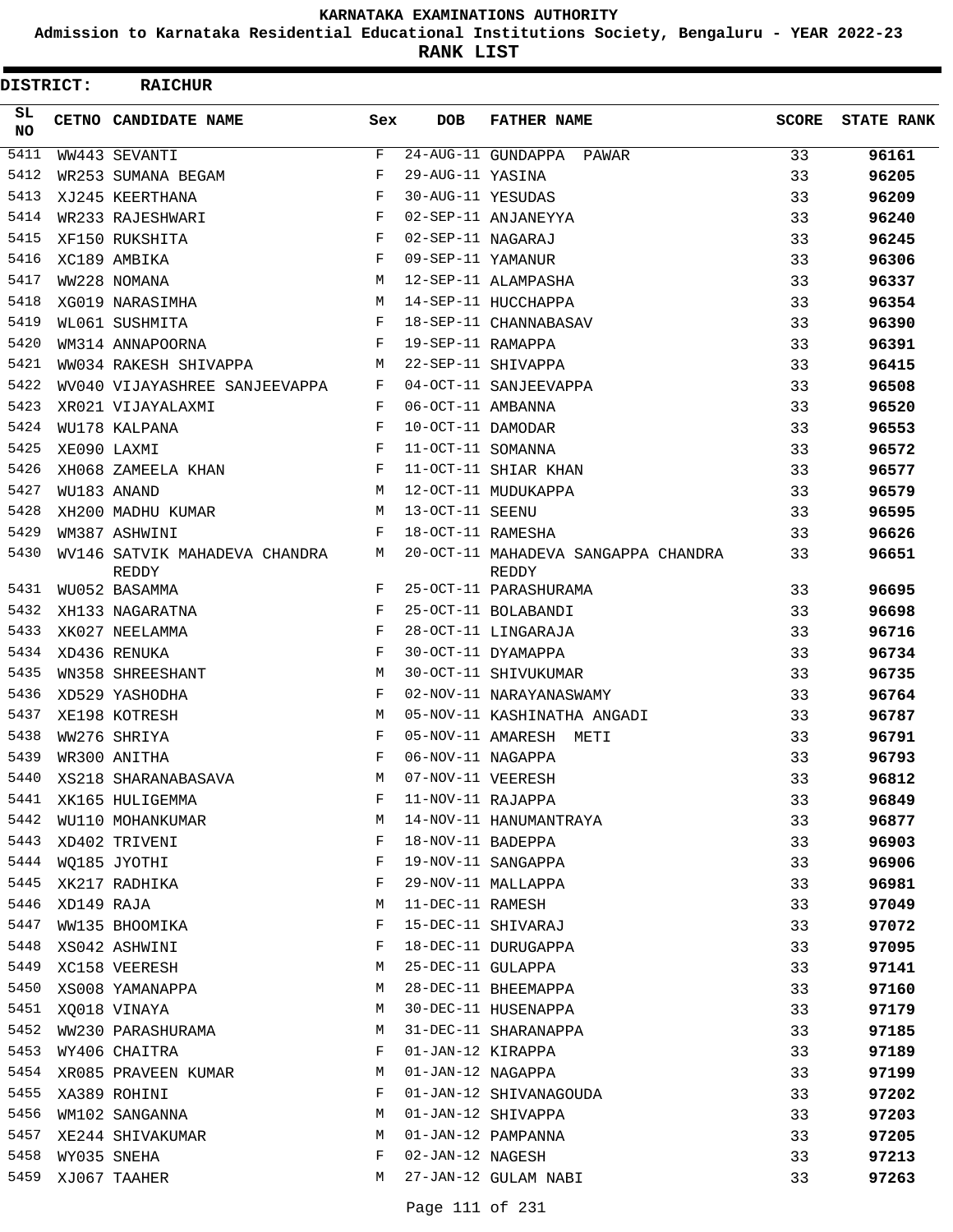**Admission to Karnataka Residential Educational Institutions Society, Bengaluru - YEAR 2022-23**

**RANK LIST**

| DISTRICT:  |            | <b>RAICHUR</b>                         |              |                   |                                              |              |                   |
|------------|------------|----------------------------------------|--------------|-------------------|----------------------------------------------|--------------|-------------------|
| SL.<br>NO. |            | <b>CETNO CANDIDATE NAME</b>            | Sex          | <b>DOB</b>        | <b>FATHER NAME</b>                           | <b>SCORE</b> | <b>STATE RANK</b> |
| 5411       |            | WW443 SEVANTI                          | F            |                   | 24-AUG-11 GUNDAPPA PAWAR                     | 33           | 96161             |
| 5412       |            | WR253 SUMANA BEGAM                     | F            | 29-AUG-11 YASINA  |                                              | 33           | 96205             |
| 5413       |            | XJ245 KEERTHANA                        | F            | 30-AUG-11 YESUDAS |                                              | 33           | 96209             |
| 5414       |            | WR233 RAJESHWARI                       | F            |                   | 02-SEP-11 ANJANEYYA                          | 33           | 96240             |
| 5415       |            | XF150 RUKSHITA                         | F            | 02-SEP-11 NAGARAJ |                                              | 33           | 96245             |
| 5416       |            | XC189 AMBIKA                           | F            | 09-SEP-11 YAMANUR |                                              | 33           | 96306             |
| 5417       |            | WW228 NOMANA                           | M            |                   | 12-SEP-11 ALAMPASHA                          | 33           | 96337             |
| 5418       |            | XG019 NARASIMHA                        | M            |                   | 14-SEP-11 HUCCHAPPA                          | 33           | 96354             |
| 5419       |            | WL061 SUSHMITA                         | F            |                   | 18-SEP-11 CHANNABASAV                        | 33           | 96390             |
| 5420       |            | WM314 ANNAPOORNA                       | F            | 19-SEP-11 RAMAPPA |                                              | 33           | 96391             |
| 5421       |            | WW034 RAKESH SHIVAPPA                  | M            |                   | 22-SEP-11 SHIVAPPA                           | 33           | 96415             |
| 5422       |            | WV040 VIJAYASHREE SANJEEVAPPA F        |              |                   | 04-OCT-11 SANJEEVAPPA                        | 33           | 96508             |
| 5423       |            | XR021 VIJAYALAXMI                      | F            | 06-OCT-11 AMBANNA |                                              | 33           | 96520             |
| 5424       |            | WU178 KALPANA                          | F            | 10-OCT-11 DAMODAR |                                              | 33           | 96553             |
| 5425       |            | XE090 LAXMI                            | F            | 11-OCT-11 SOMANNA |                                              | 33           | 96572             |
| 5426       |            | XH068 ZAMEELA KHAN                     | F            |                   | 11-OCT-11 SHIAR KHAN                         | 33           | 96577             |
| 5427       |            | WU183 ANAND                            | M            |                   | 12-OCT-11 MUDUKAPPA                          | 33           | 96579             |
| 5428       |            | XH200 MADHU KUMAR                      | M            | 13-OCT-11 SEENU   |                                              | 33           | 96595             |
| 5429       |            | WM387 ASHWINI                          | F            | 18-OCT-11 RAMESHA |                                              | 33           | 96626             |
| 5430       |            | WV146 SATVIK MAHADEVA CHANDRA<br>REDDY | М            |                   | 20-OCT-11 MAHADEVA SANGAPPA CHANDRA<br>REDDY | 33           | 96651             |
| 5431       |            | WU052 BASAMMA                          | F            |                   | 25-OCT-11 PARASHURAMA                        | 33           | 96695             |
| 5432       |            | XH133 NAGARATNA                        | F            |                   | 25-OCT-11 BOLABANDI                          | 33           | 96698             |
| 5433       |            | XK027 NEELAMMA                         | F            |                   | 28-OCT-11 LINGARAJA                          | 33           | 96716             |
| 5434       |            | XD436 RENUKA                           | F            |                   | 30-OCT-11 DYAMAPPA                           | 33           | 96734             |
| 5435       |            | WN358 SHREESHANT                       | M            |                   | 30-OCT-11 SHIVUKUMAR                         | 33           | 96735             |
| 5436       |            | XD529 YASHODHA                         | F            |                   | 02-NOV-11 NARAYANASWAMY                      | 33           | 96764             |
| 5437       |            | XE198 KOTRESH                          | M            |                   | 05-NOV-11 KASHINATHA ANGADI                  | 33           | 96787             |
| 5438       |            | WW276 SHRIYA                           | F            |                   | 05-NOV-11 AMARESH METI                       | 33           | 96791             |
| 5439       |            | WR300 ANITHA                           | $\mathbf{F}$ | 06-NOV-11 NAGAPPA |                                              | 33           | 96793             |
| 5440       |            | XS218 SHARANABASAVA                    | М            | 07-NOV-11 VEERESH |                                              | 33           | 96812             |
| 5441       |            | XK165 HULIGEMMA                        | F            | 11-NOV-11 RAJAPPA |                                              | 33           | 96849             |
| 5442       |            | WU110 MOHANKUMAR                       | М            |                   | 14-NOV-11 HANUMANTRAYA                       | 33           | 96877             |
| 5443       |            | XD402 TRIVENI                          | F            | 18-NOV-11 BADEPPA |                                              | 33           | 96903             |
| 5444       |            | WQ185 JYOTHI                           | F            |                   | 19-NOV-11 SANGAPPA                           | 33           | 96906             |
| 5445       |            | XK217 RADHIKA                          | F            |                   | 29-NOV-11 MALLAPPA                           | 33           | 96981             |
| 5446       | XD149 RAJA |                                        | М            | 11-DEC-11 RAMESH  |                                              | 33           | 97049             |
| 5447       |            | WW135 BHOOMIKA                         | F            |                   | 15-DEC-11 SHIVARAJ                           | 33           | 97072             |
| 5448       |            | XS042 ASHWINI                          | F            |                   | 18-DEC-11 DURUGAPPA                          | 33           | 97095             |
| 5449       |            | XC158 VEERESH                          | M            | 25-DEC-11 GULAPPA |                                              | 33           | 97141             |
| 5450       |            | XS008 YAMANAPPA                        | М            |                   | 28-DEC-11 BHEEMAPPA                          | 33           | 97160             |
| 5451       |            | XQ018 VINAYA                           | М            |                   | 30-DEC-11 HUSENAPPA                          | 33           | 97179             |
| 5452       |            | WW230 PARASHURAMA                      | М            |                   | 31-DEC-11 SHARANAPPA                         | 33           | 97185             |
| 5453       |            | WY406 CHAITRA                          | F            | 01-JAN-12 KIRAPPA |                                              | 33           | 97189             |
| 5454       |            | XR085 PRAVEEN KUMAR                    | М            | 01-JAN-12 NAGAPPA |                                              | 33           | 97199             |
| 5455       |            | XA389 ROHINI                           | F            |                   | 01-JAN-12 SHIVANAGOUDA                       | 33           | 97202             |
| 5456       |            | WM102 SANGANNA                         | М            |                   | 01-JAN-12 SHIVAPPA                           | 33           | 97203             |
| 5457       |            | XE244 SHIVAKUMAR                       | M            |                   | 01-JAN-12 PAMPANNA                           | 33           | 97205             |
| 5458       |            | WY035 SNEHA                            | F            | 02-JAN-12 NAGESH  |                                              | 33           | 97213             |
| 5459       |            | XJ067 TAAHER                           | М            |                   | 27-JAN-12 GULAM NABI                         | 33           | 97263             |
|            |            |                                        |              |                   |                                              |              |                   |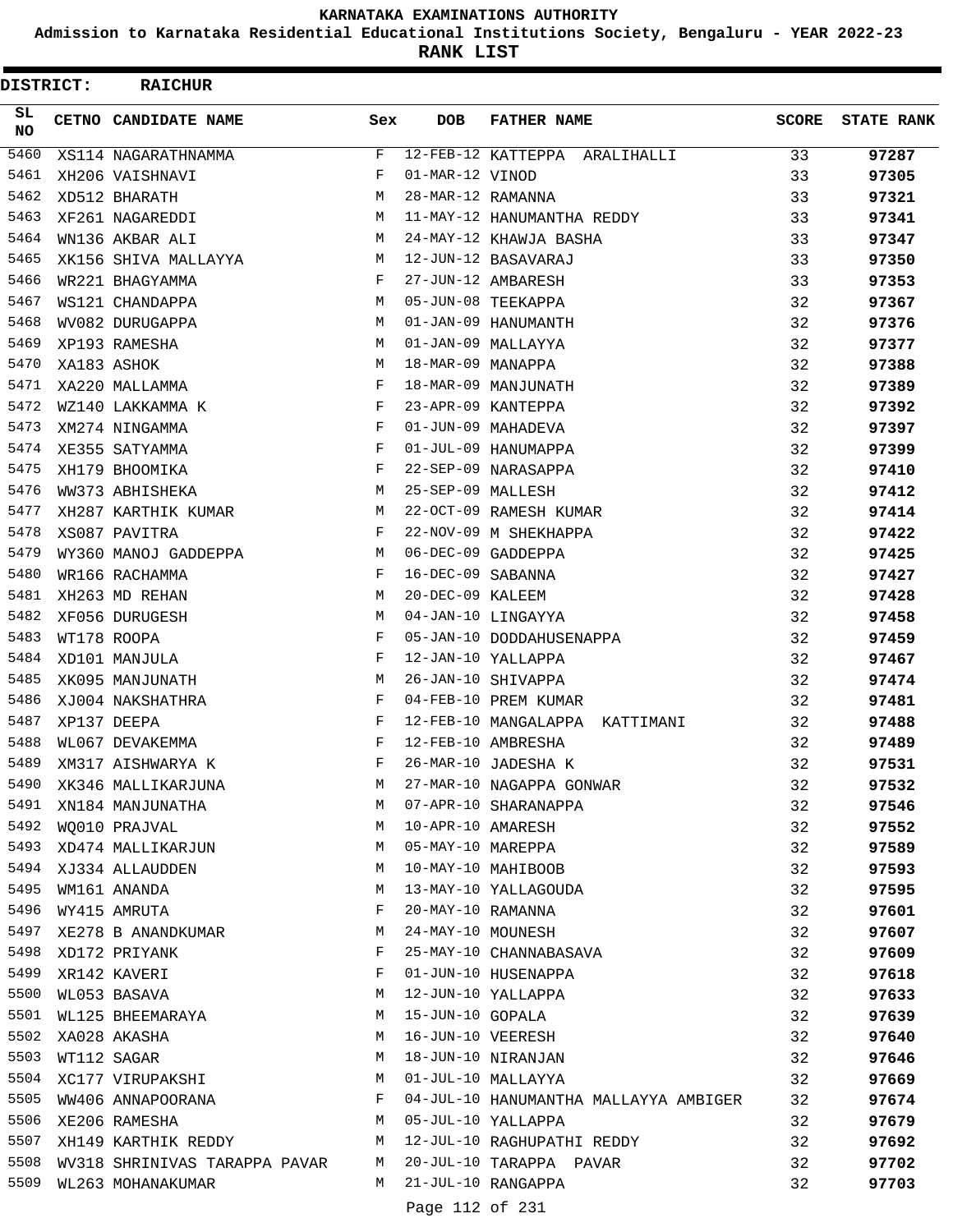**Admission to Karnataka Residential Educational Institutions Society, Bengaluru - YEAR 2022-23**

**RANK LIST**

 $\blacksquare$ 

| DISTRICT:  |  | <b>RAICHUR</b>                  |     |                   |                                       |              |                   |
|------------|--|---------------------------------|-----|-------------------|---------------------------------------|--------------|-------------------|
| SL.<br>NO. |  | CETNO CANDIDATE NAME            | Sex | <b>DOB</b>        | <b>FATHER NAME</b>                    | <b>SCORE</b> | <b>STATE RANK</b> |
| 5460       |  | XS114 NAGARATHNAMMA             | F   |                   | 12-FEB-12 KATTEPPA ARALIHALLI         | 33           | 97287             |
| 5461       |  | XH206 VAISHNAVI                 | F   | 01-MAR-12 VINOD   |                                       | 33           | 97305             |
| 5462       |  | XD512 BHARATH                   | M   | 28-MAR-12 RAMANNA |                                       | 33           | 97321             |
| 5463       |  | XF261 NAGAREDDI                 | М   |                   | 11-MAY-12 HANUMANTHA REDDY            | 33           | 97341             |
| 5464       |  | WN136 AKBAR ALI                 | M   |                   | 24-MAY-12 KHAWJA BASHA                | 33           | 97347             |
| 5465       |  | XK156 SHIVA MALLAYYA            | M   |                   | 12-JUN-12 BASAVARAJ                   | 33           | 97350             |
| 5466       |  | WR221 BHAGYAMMA                 | F   |                   | 27-JUN-12 AMBARESH                    | 33           | 97353             |
| 5467       |  | WS121 CHANDAPPA                 | М   |                   | 05-JUN-08 TEEKAPPA                    | 32           | 97367             |
| 5468       |  | WV082 DURUGAPPA                 | M   |                   | 01-JAN-09 HANUMANTH                   | 32           | 97376             |
| 5469       |  | XP193 RAMESHA                   | М   |                   | 01-JAN-09 MALLAYYA                    | 32           | 97377             |
| 5470       |  | XA183 ASHOK                     | M   | 18-MAR-09 MANAPPA |                                       | 32           | 97388             |
| 5471       |  | XA220 MALLAMMA                  | F   |                   | 18-MAR-09 MANJUNATH                   | 32           | 97389             |
| 5472       |  | WZ140 LAKKAMMA K                | F   |                   | 23-APR-09 KANTEPPA                    | 32           | 97392             |
| 5473       |  | XM274 NINGAMMA                  | F   |                   | 01-JUN-09 MAHADEVA                    | 32           | 97397             |
| 5474       |  | XE355 SATYAMMA                  | F   |                   | 01-JUL-09 HANUMAPPA                   | 32           | 97399             |
| 5475       |  | XH179 BHOOMIKA                  | F   |                   | 22-SEP-09 NARASAPPA                   | 32           | 97410             |
| 5476       |  | WW373 ABHISHEKA                 | М   | 25-SEP-09 MALLESH |                                       | 32           | 97412             |
| 5477       |  | XH287 KARTHIK KUMAR             | М   |                   | 22-OCT-09 RAMESH KUMAR                | 32           | 97414             |
| 5478       |  | XS087 PAVITRA                   | F   |                   | 22-NOV-09 M SHEKHAPPA                 | 32           | 97422             |
| 5479       |  | WY360 MANOJ GADDEPPA            | М   |                   | 06-DEC-09 GADDEPPA                    | 32           | 97425             |
| 5480       |  | WR166 RACHAMMA                  | F   | 16-DEC-09 SABANNA |                                       | 32           | 97427             |
| 5481       |  | XH263 MD REHAN                  | M   | 20-DEC-09 KALEEM  |                                       | 32           | 97428             |
| 5482       |  | XF056 DURUGESH                  | M   |                   | 04-JAN-10 LINGAYYA                    | 32           | 97458             |
| 5483       |  | WT178 ROOPA                     | F   |                   | 05-JAN-10 DODDAHUSENAPPA              | 32           | 97459             |
| 5484       |  | XD101 MANJULA                   | F   |                   | 12-JAN-10 YALLAPPA                    | 32           | 97467             |
| 5485       |  | XK095 MANJUNATH                 | М   |                   | 26-JAN-10 SHIVAPPA                    | 32           | 97474             |
| 5486       |  | XJ004 NAKSHATHRA                | F   |                   | 04-FEB-10 PREM KUMAR                  | 32           | 97481             |
| 5487       |  | XP137 DEEPA                     | F   |                   | 12-FEB-10 MANGALAPPA<br>KATTIMANI     | 32           | 97488             |
| 5488       |  | WL067 DEVAKEMMA                 | F   |                   | 12-FEB-10 AMBRESHA                    | 32           | 97489             |
| 5489       |  | XM317 AISHWARYA K               | F   |                   | 26-MAR-10 JADESHA K                   | 32           | 97531             |
| 5490       |  | XK346 MALLIKARJUNA              | M   |                   | 27-MAR-10 NAGAPPA GONWAR              | 32           | 97532             |
| 5491       |  | XN184 MANJUNATHA                | M   |                   | 07-APR-10 SHARANAPPA                  | 32           | 97546             |
| 5492       |  | WO010 PRAJVAL                   | M   | 10-APR-10 AMARESH |                                       | 32           | 97552             |
|            |  | 5493 XD474 MALLIKARJUN          | M   |                   | 05-MAY-10 MAREPPA                     | 32           | 97589             |
|            |  | 5494 XJ334 ALLAUDDEN            | M   |                   | 10-MAY-10 MAHIBOOB                    | 32           | 97593             |
| 5495       |  | WM161 ANANDA                    | М   |                   | 13-MAY-10 YALLAGOUDA                  | 32           | 97595             |
| 5496       |  | WY415 AMRUTA                    | F   |                   | 20-MAY-10 RAMANNA                     | 32           | 97601             |
| 5497       |  | XE278 B ANANDKUMAR              | М   |                   | 24-MAY-10 MOUNESH                     | 32           | 97607             |
| 5498       |  | XD172 PRIYANK                   | F   |                   | 25-MAY-10 CHANNABASAVA                | 32           | 97609             |
| 5499       |  | XR142 KAVERI                    | F   |                   | 01-JUN-10 HUSENAPPA                   | 32           | 97618             |
| 5500       |  | WL053 BASAVA                    | М   |                   | 12-JUN-10 YALLAPPA                    | 32           | 97633             |
| 5501       |  | WL125 BHEEMARAYA                | М   | 15-JUN-10 GOPALA  |                                       | 32           | 97639             |
|            |  | 5502 XA028 AKASHA               | М   |                   | 16-JUN-10 VEERESH                     | 32           | 97640             |
| 5503       |  | WT112 SAGAR                     | М   |                   | 18-JUN-10 NIRANJAN                    | 32           | 97646             |
| 5504       |  | XC177 VIRUPAKSHI                | М   |                   | 01-JUL-10 MALLAYYA                    | 32           | 97669             |
| 5505       |  | WW406 ANNAPOORANA               | F   |                   | 04-JUL-10 HANUMANTHA MALLAYYA AMBIGER | 32           | 97674             |
| 5506       |  | XE206 RAMESHA                   | М   |                   | 05-JUL-10 YALLAPPA                    | 32           | 97679             |
| 5507       |  | XH149 KARTHIK REDDY             |     |                   | M 12-JUL-10 RAGHUPATHI REDDY          | 32           | 97692             |
| 5508       |  | WV318 SHRINIVAS TARAPPA PAVAR M |     |                   | 20-JUL-10 TARAPPA PAVAR               | 32           | 97702             |
| 5509       |  | WL263 MOHANAKUMAR               |     |                   | M 21-JUL-10 RANGAPPA                  | 32           | 97703             |
|            |  |                                 |     |                   |                                       |              |                   |

Page 112 of 231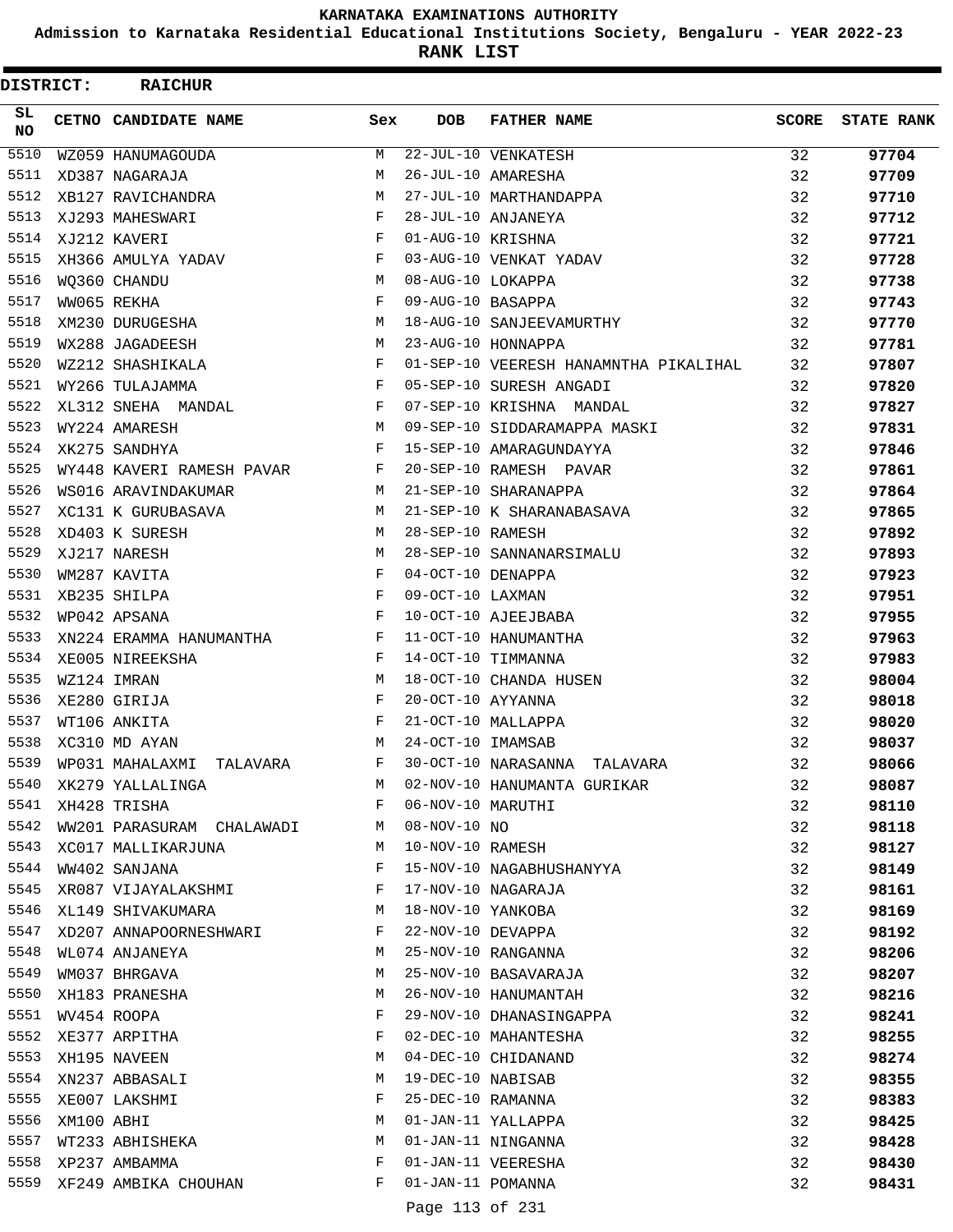**Admission to Karnataka Residential Educational Institutions Society, Bengaluru - YEAR 2022-23**

**RANK LIST**

 $\blacksquare$ 

|                  | DISTRICT:<br><b>RAICHUR</b> |                           |            |                    |                                       |              |                   |
|------------------|-----------------------------|---------------------------|------------|--------------------|---------------------------------------|--------------|-------------------|
| SL.<br><b>NO</b> |                             | CETNO CANDIDATE NAME      | Sex        | <b>DOB</b>         | <b>FATHER NAME</b>                    | <b>SCORE</b> | <b>STATE RANK</b> |
| 5510             |                             | WZ059 HANUMAGOUDA         | M          |                    | 22-JUL-10 VENKATESH                   | 32           | 97704             |
| 5511             |                             | XD387 NAGARAJA            | M          |                    | 26-JUL-10 AMARESHA                    | 32           | 97709             |
| 5512             |                             | XB127 RAVICHANDRA         | M          |                    | 27-JUL-10 MARTHANDAPPA                | 32           | 97710             |
| 5513             |                             | XJ293 MAHESWARI           | F          |                    | 28-JUL-10 ANJANEYA                    | 32           | 97712             |
| 5514             |                             | XJ212 KAVERI              | F          | 01-AUG-10 KRISHNA  |                                       | 32           | 97721             |
| 5515             |                             | XH366 AMULYA YADAV        | F          |                    | 03-AUG-10 VENKAT YADAV                | 32           | 97728             |
| 5516             |                             | WO360 CHANDU              | M          | 08-AUG-10 LOKAPPA  |                                       | 32           | 97738             |
| 5517             |                             | WW065 REKHA               | F          | 09-AUG-10 BASAPPA  |                                       | 32           | 97743             |
| 5518             |                             | XM230 DURUGESHA           | M          |                    | 18-AUG-10 SANJEEVAMURTHY              | 32           | 97770             |
| 5519             |                             | WX288 JAGADEESH           | М          |                    | 23-AUG-10 HONNAPPA                    | 32           | 97781             |
| 5520             |                             | WZ212 SHASHIKALA          | $_{\rm F}$ |                    | 01-SEP-10 VEERESH HANAMNTHA PIKALIHAL | 32           | 97807             |
| 5521             |                             | WY266 TULAJAMMA           | F          |                    | 05-SEP-10 SURESH ANGADI               | 32           | 97820             |
| 5522             |                             | XL312 SNEHA MANDAL        | F          |                    | 07-SEP-10 KRISHNA MANDAL              | 32           | 97827             |
| 5523             |                             | WY224 AMARESH             | M          |                    | 09-SEP-10 SIDDARAMAPPA MASKI          | 32           | 97831             |
| 5524             |                             | XK275 SANDHYA             | F          |                    | 15-SEP-10 AMARAGUNDAYYA               | 32           | 97846             |
| 5525             |                             | WY448 KAVERI RAMESH PAVAR | F          |                    | 20-SEP-10 RAMESH PAVAR                | 32           | 97861             |
| 5526             |                             | WS016 ARAVINDAKUMAR       | M          |                    | 21-SEP-10 SHARANAPPA                  | 32           | 97864             |
| 5527             |                             | XC131 K GURUBASAVA        | М          |                    | 21-SEP-10 K SHARANABASAVA             | 32           | 97865             |
| 5528             |                             | XD403 K SURESH            | M          | 28-SEP-10 RAMESH   |                                       | 32           | 97892             |
| 5529             |                             | XJ217 NARESH              | M          |                    | 28-SEP-10 SANNANARSIMALU              | 32           | 97893             |
| 5530             |                             | WM287 KAVITA              | F          | 04-OCT-10 DENAPPA  |                                       | 32           | 97923             |
| 5531             |                             | XB235 SHILPA              | $_{\rm F}$ | 09-OCT-10 LAXMAN   |                                       | 32           | 97951             |
| 5532             |                             | WP042 APSANA              | $_{\rm F}$ |                    | 10-OCT-10 AJEEJBABA                   | 32           | 97955             |
| 5533             |                             | XN224 ERAMMA HANUMANTHA   | F          |                    | 11-OCT-10 HANUMANTHA                  | 32           | 97963             |
| 5534             |                             | XE005 NIREEKSHA           | F          |                    | 14-OCT-10 TIMMANNA                    | 32           | 97983             |
| 5535             |                             | WZ124 IMRAN               | M          |                    | 18-OCT-10 CHANDA HUSEN                | 32           | 98004             |
| 5536             |                             | XE280 GIRIJA              | F          | 20-OCT-10 AYYANNA  |                                       | 32           | 98018             |
| 5537             |                             | WT106 ANKITA              | F          |                    | 21-OCT-10 MALLAPPA                    | 32           | 98020             |
| 5538             |                             | XC310 MD AYAN             | M          | 24-OCT-10 IMAMSAB  |                                       | 32           | 98037             |
| 5539             |                             | WP031 MAHALAXMI TALAVARA  | F          |                    | 30-OCT-10 NARASANNA TALAVARA          | 32           | 98066             |
| 5540             |                             | XK279 YALLALINGA          | M          |                    | 02-NOV-10 HANUMANTA GURIKAR           | 32           | 98087             |
| 5541             |                             | XH428 TRISHA              | F          | 06-NOV-10 MARUTHI  |                                       | 32           | 98110             |
| 5542             |                             | WW201 PARASURAM CHALAWADI | M          | $08 - NOV - 10 NO$ |                                       | 32           | 98118             |
| 5543             |                             | XC017 MALLIKARJUNA        | М          | 10-NOV-10 RAMESH   |                                       | 32           | 98127             |
| 5544             |                             | WW402 SANJANA             | F          |                    | 15-NOV-10 NAGABHUSHANYYA              | 32           | 98149             |
| 5545             |                             | XR087 VIJAYALAKSHMI       | F          |                    | 17-NOV-10 NAGARAJA                    | 32           | 98161             |
| 5546             |                             | XL149 SHIVAKUMARA         | M          | 18-NOV-10 YANKOBA  |                                       | 32           | 98169             |
| 5547             |                             | XD207 ANNAPOORNESHWARI    | F          | 22-NOV-10 DEVAPPA  |                                       | 32           | 98192             |
| 5548             |                             | WL074 ANJANEYA            | М          |                    | 25-NOV-10 RANGANNA                    | 32           | 98206             |
| 5549             |                             | WM037 BHRGAVA             | М          |                    | 25-NOV-10 BASAVARAJA                  | 32           | 98207             |
| 5550             |                             | XH183 PRANESHA            | М          |                    | 26-NOV-10 HANUMANTAH                  | 32           | 98216             |
| 5551             |                             | WV454 ROOPA               | F          |                    | 29-NOV-10 DHANASINGAPPA               | 32           | 98241             |
| 5552             |                             | XE377 ARPITHA             | F          |                    | 02-DEC-10 MAHANTESHA                  | 32           | 98255             |
| 5553             |                             | XH195 NAVEEN              | М          |                    | 04-DEC-10 CHIDANAND                   | 32           | 98274             |
| 5554             |                             | XN237 ABBASALI            | М          | 19-DEC-10 NABISAB  |                                       | 32           | 98355             |
| 5555             |                             | XE007 LAKSHMI             | F          | 25-DEC-10 RAMANNA  |                                       | 32           | 98383             |
| 5556             | XM100 ABHI                  |                           | M          |                    | 01-JAN-11 YALLAPPA                    | 32           | 98425             |
| 5557             |                             | WT233 ABHISHEKA           | M          |                    | 01-JAN-11 NINGANNA                    | 32           | 98428             |
| 5558             |                             | XP237 AMBAMMA             | F          |                    | 01-JAN-11 VEERESHA                    | 32           | 98430             |
| 5559             |                             | XF249 AMBIKA CHOUHAN      | F          | 01-JAN-11 POMANNA  |                                       | 32           | 98431             |
|                  |                             |                           |            |                    |                                       |              |                   |

Page 113 of 231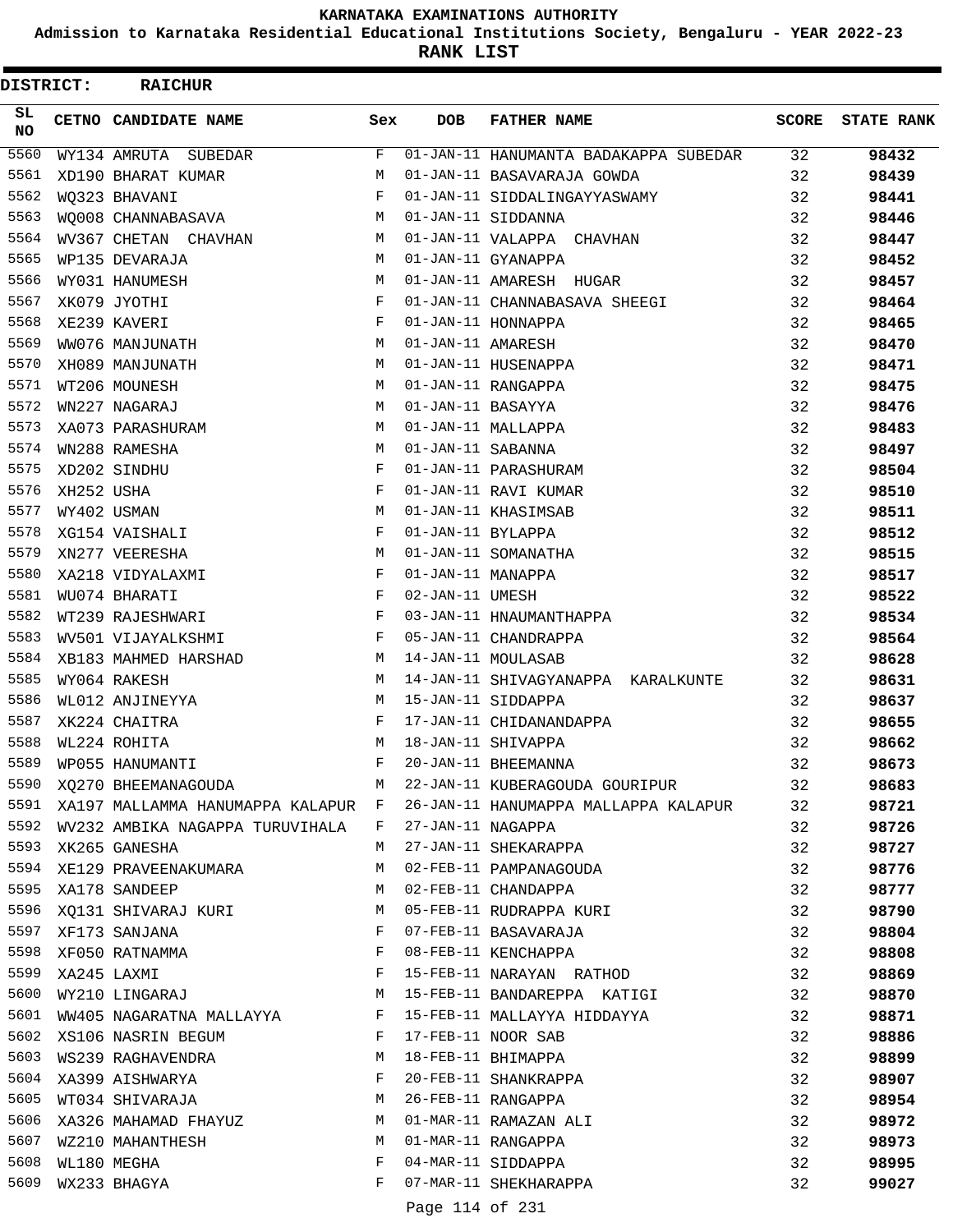**Admission to Karnataka Residential Educational Institutions Society, Bengaluru - YEAR 2022-23**

**RANK LIST**

| DISTRICT: |            | <b>RAICHUR</b>                     |              |                   |                                       |       |                   |
|-----------|------------|------------------------------------|--------------|-------------------|---------------------------------------|-------|-------------------|
| SL<br>NO. |            | CETNO CANDIDATE NAME               | Sex          | <b>DOB</b>        | <b>FATHER NAME</b>                    | SCORE | <b>STATE RANK</b> |
| 5560      |            | WY134 AMRUTA<br>SUBEDAR            | F            |                   | 01-JAN-11 HANUMANTA BADAKAPPA SUBEDAR | 32    | 98432             |
| 5561      |            | XD190 BHARAT KUMAR                 | М            |                   | 01-JAN-11 BASAVARAJA GOWDA            | 32    | 98439             |
| 5562      |            | WQ323 BHAVANI                      | $_{\rm F}$   |                   | 01-JAN-11 SIDDALINGAYYASWAMY          | 32    | 98441             |
| 5563      |            | WO008 CHANNABASAVA                 | M            |                   | 01-JAN-11 SIDDANNA                    | 32    | 98446             |
| 5564      |            | WV367 CHETAN CHAVHAN               | М            |                   | 01-JAN-11 VALAPPA CHAVHAN             | 32    | 98447             |
| 5565      |            | WP135 DEVARAJA                     | M            |                   | 01-JAN-11 GYANAPPA                    | 32    | 98452             |
| 5566      |            | WY031 HANUMESH                     | M            |                   | 01-JAN-11 AMARESH HUGAR               | 32    | 98457             |
| 5567      |            | XK079 JYOTHI                       | F            |                   | 01-JAN-11 CHANNABASAVA SHEEGI         | 32    | 98464             |
| 5568      |            | XE239 KAVERI                       | F            |                   | 01-JAN-11 HONNAPPA                    | 32    | 98465             |
| 5569      |            | WW076 MANJUNATH                    | М            | 01-JAN-11 AMARESH |                                       | 32    | 98470             |
| 5570      |            | XH089 MANJUNATH                    | M            |                   | 01-JAN-11 HUSENAPPA                   | 32    | 98471             |
| 5571      |            | WT206 MOUNESH                      | M            |                   | 01-JAN-11 RANGAPPA                    | 32    | 98475             |
| 5572      |            | WN227 NAGARAJ                      | M            | 01-JAN-11 BASAYYA |                                       | 32    | 98476             |
| 5573      |            | XA073 PARASHURAM                   | М            |                   | 01-JAN-11 MALLAPPA                    | 32    | 98483             |
| 5574      |            | WN288 RAMESHA                      | M            | 01-JAN-11 SABANNA |                                       | 32    | 98497             |
| 5575      |            | XD202 SINDHU                       | F            |                   | 01-JAN-11 PARASHURAM                  | 32    | 98504             |
| 5576      | XH252 USHA |                                    | F            |                   | 01-JAN-11 RAVI KUMAR                  | 32    | 98510             |
| 5577      |            | WY402 USMAN                        | M            |                   | 01-JAN-11 KHASIMSAB                   | 32    | 98511             |
| 5578      |            | XG154 VAISHALI                     | F            | 01-JAN-11 BYLAPPA |                                       | 32    | 98512             |
| 5579      |            | XN277 VEERESHA                     | M            |                   | 01-JAN-11 SOMANATHA                   | 32    | 98515             |
| 5580      |            | XA218 VIDYALAXMI                   | F            | 01-JAN-11 MANAPPA |                                       | 32    | 98517             |
| 5581      |            | WU074 BHARATI                      | F            | 02-JAN-11 UMESH   |                                       | 32    | 98522             |
| 5582      |            | WT239 RAJESHWARI                   | F            |                   | 03-JAN-11 HNAUMANTHAPPA               | 32    | 98534             |
| 5583      |            | WV501 VIJAYALKSHMI                 | F            |                   | 05-JAN-11 CHANDRAPPA                  | 32    | 98564             |
| 5584      |            | XB183 MAHMED HARSHAD               | М            |                   | 14-JAN-11 MOULASAB                    | 32    | 98628             |
| 5585      |            | WY064 RAKESH                       | М            |                   | 14-JAN-11 SHIVAGYANAPPA KARALKUNTE    | 32    | 98631             |
| 5586      |            | WL012 ANJINEYYA                    | М            |                   | 15-JAN-11 SIDDAPPA                    | 32    | 98637             |
| 5587      |            | XK224 CHAITRA                      | F            |                   | 17-JAN-11 CHIDANANDAPPA               | 32    | 98655             |
| 5588      |            | WL224 ROHITA                       | M            |                   | 18-JAN-11 SHIVAPPA                    | 32    | 98662             |
| 5589      |            | WP055 HANUMANTI                    | F            |                   | 20-JAN-11 BHEEMANNA                   | 32    | 98673             |
| 5590      |            | XQ270 BHEEMANAGOUDA                | М            |                   | 22-JAN-11 KUBERAGOUDA GOURIPUR        | 32    | 98683             |
| 5591      |            | XA197 MALLAMMA HANUMAPPA KALAPUR F |              |                   | 26-JAN-11 HANUMAPPA MALLAPPA KALAPUR  | 32    | 98721             |
| 5592      |            | WV232 AMBIKA NAGAPPA TURUVIHALA    | F            | 27-JAN-11 NAGAPPA |                                       | 32    | 98726             |
|           |            | 5593 XK265 GANESHA                 | M            |                   | 27-JAN-11 SHEKARAPPA                  | 32    | 98727             |
|           |            | 5594 XE129 PRAVEENAKUMARA          | М            |                   | 02-FEB-11 PAMPANAGOUDA                | 32    | 98776             |
| 5595      |            | XA178 SANDEEP                      | М            |                   | 02-FEB-11 CHANDAPPA                   | 32    | 98777             |
| 5596      |            | XQ131 SHIVARAJ KURI                | М            |                   | 05-FEB-11 RUDRAPPA KURI               | 32    | 98790             |
| 5597      |            | XF173 SANJANA                      | F            |                   | 07-FEB-11 BASAVARAJA                  | 32    | 98804             |
|           |            | 5598 XF050 RATNAMMA                | F            |                   | 08-FEB-11 KENCHAPPA                   | 32    | 98808             |
| 5599      |            | XA245 LAXMI                        | F            |                   | 15-FEB-11 NARAYAN RATHOD              | 32    | 98869             |
| 5600      |            | WY210 LINGARAJ M                   |              |                   | 15-FEB-11 BANDAREPPA KATIGI           | 32    | 98870             |
|           |            | 5601 WW405 NAGARATNA MALLAYYA F    |              |                   | 15-FEB-11 MALLAYYA HIDDAYYA           | 32    | 98871             |
|           |            | 5602 XS106 NASRIN BEGUM            | $\mathbb{F}$ |                   | 17-FEB-11 NOOR SAB                    | 32    | 98886             |
| 5603      |            | WS239 RAGHAVENDRA<br><b>N</b>      |              |                   | 18-FEB-11 BHIMAPPA                    | 32    | 98899             |
| 5604      |            | XA399 AISHWARYA                    | F            |                   | 20-FEB-11 SHANKRAPPA                  | 32    | 98907             |
| 5605      |            | WT034 SHIVARAJA                    | M            |                   | 26-FEB-11 RANGAPPA                    | 32    | 98954             |
| 5606      |            | XA326 MAHAMAD FHAYUZ               | M            |                   | 01-MAR-11 RAMAZAN ALI                 | 32    | 98972             |
| 5607      |            | WZ210 MAHANTHESH                   | М            |                   | 01-MAR-11 RANGAPPA                    | 32    | 98973             |
| 5608      |            | WL180 MEGHA                        | F            |                   | 04-MAR-11 SIDDAPPA                    | 32    | 98995             |
| 5609      |            | WX233 BHAGYA                       | F            |                   | 07-MAR-11 SHEKHARAPPA                 | 32    | 99027             |
|           |            |                                    |              | Page 114 of 231   |                                       |       |                   |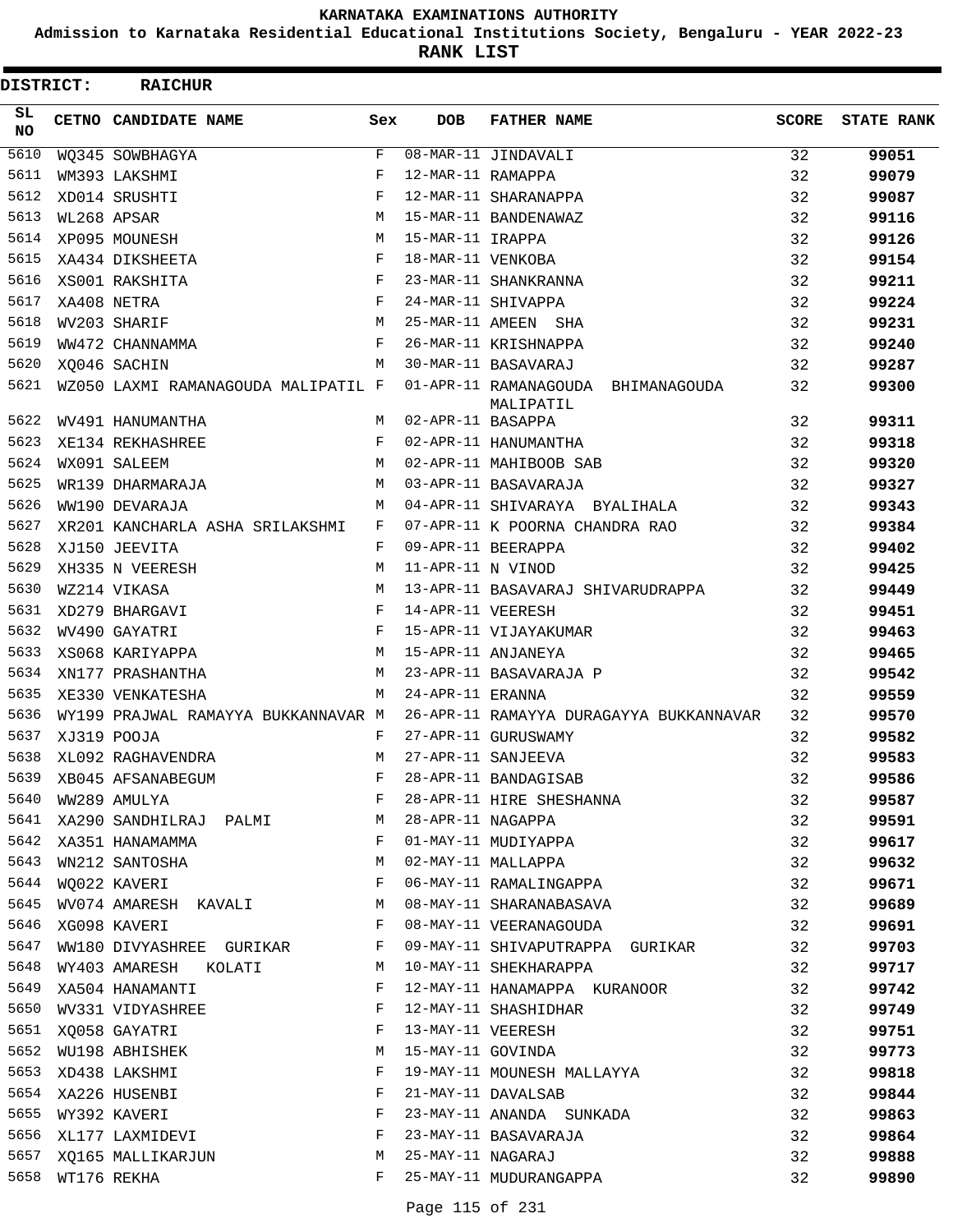**Admission to Karnataka Residential Educational Institutions Society, Bengaluru - YEAR 2022-23**

**RANK LIST**

| <b>DISTRICT:</b> |                  | <b>RAICHUR</b>                                                          |              |                     |                                                                             |              |                   |
|------------------|------------------|-------------------------------------------------------------------------|--------------|---------------------|-----------------------------------------------------------------------------|--------------|-------------------|
| SL.<br>NO.       |                  | <b>CETNO CANDIDATE NAME</b>                                             | Sex          | <b>DOB</b>          | <b>FATHER NAME</b>                                                          | <b>SCORE</b> | <b>STATE RANK</b> |
| 5610             |                  | WQ345 SOWBHAGYA                                                         | F            |                     | 08-MAR-11 JINDAVALI                                                         | 32           | 99051             |
| 5611             |                  | WM393 LAKSHMI                                                           | F            | 12-MAR-11 RAMAPPA   |                                                                             | 32           | 99079             |
| 5612             |                  | XD014 SRUSHTI                                                           | F            |                     | 12-MAR-11 SHARANAPPA                                                        | 32           | 99087             |
| 5613             |                  | WL268 APSAR                                                             | M            |                     | 15-MAR-11 BANDENAWAZ                                                        | 32           | 99116             |
| 5614             |                  | XP095 MOUNESH                                                           | M            | 15-MAR-11 IRAPPA    |                                                                             | 32           | 99126             |
| 5615             |                  | XA434 DIKSHEETA                                                         | $_{\rm F}$   | 18-MAR-11 VENKOBA   |                                                                             | 32           | 99154             |
| 5616             |                  | XS001 RAKSHITA                                                          | F            |                     | 23-MAR-11 SHANKRANNA                                                        | 32           | 99211             |
| 5617             |                  | XA408 NETRA                                                             | F            |                     | 24-MAR-11 SHIVAPPA                                                          | 32           | 99224             |
| 5618             |                  | WV203 SHARIF                                                            | M            |                     | 25-MAR-11 AMEEN SHA                                                         | 32           | 99231             |
| 5619             |                  | WW472 CHANNAMMA                                                         | F            |                     | 26-MAR-11 KRISHNAPPA                                                        | 32           | 99240             |
| 5620             |                  | XQ046 SACHIN                                                            | M            |                     | 30-MAR-11 BASAVARAJ                                                         | 32           | 99287             |
| 5621             |                  | WZ050 LAXMI RAMANAGOUDA MALIPATIL F                                     |              |                     | 01-APR-11 RAMANAGOUDA BHIMANAGOUDA<br>MALIPATIL                             | 32           | 99300             |
| 5622             |                  | WV491 HANUMANTHA                                                        |              | M 02-APR-11 BASAPPA |                                                                             | 32           | 99311             |
| 5623             |                  | XE134 REKHASHREE                                                        | $\mathbf{F}$ |                     | 02-APR-11 HANUMANTHA                                                        | 32           | 99318             |
| 5624             |                  | WX091 SALEEM                                                            | M            |                     | 02-APR-11 MAHIBOOB SAB                                                      | 32           | 99320             |
| 5625             |                  | WR139 DHARMARAJA                                                        | M            |                     | 03-APR-11 BASAVARAJA                                                        | 32           | 99327             |
| 5626             |                  | WW190 DEVARAJA                                                          | M            |                     | 04-APR-11 SHIVARAYA BYALIHALA                                               | 32           | 99343             |
| 5627             |                  | XR201 KANCHARLA ASHA SRILAKSHMI                                         | F            |                     | 07-APR-11 K POORNA CHANDRA RAO                                              | 32           | 99384             |
| 5628             |                  | XJ150 JEEVITA                                                           | $\mathbf{F}$ |                     | 09-APR-11 BEERAPPA                                                          | 32           | 99402             |
| 5629             |                  | XH335 N VEERESH                                                         | M            | 11-APR-11 N VINOD   |                                                                             | 32           | 99425             |
| 5630             |                  | WZ214 VIKASA                                                            | M            |                     | 13-APR-11 BASAVARAJ SHIVARUDRAPPA                                           | 32           | 99449             |
| 5631             |                  | $\mathbb{R}^n$ . The set of the set of $\mathbb{R}^n$<br>XD279 BHARGAVI |              | 14-APR-11 VEERESH   |                                                                             | 32           | 99451             |
| 5632             |                  | WV490 GAYATRI                                                           | F            |                     | 15-APR-11 VIJAYAKUMAR                                                       | 32           | 99463             |
| 5633             |                  | XS068 KARIYAPPA                                                         | M            |                     | 15-APR-11 ANJANEYA                                                          | 32           | 99465             |
| 5634             |                  | XN177 PRASHANTHA                                                        | M            |                     | 23-APR-11 BASAVARAJA P                                                      | 32           | 99542             |
| 5635             |                  | XE330 VENKATESHA                                                        | M            | 24-APR-11 ERANNA    |                                                                             | 32           | 99559             |
| 5636             |                  |                                                                         |              |                     | WY199 PRAJWAL RAMAYYA BUKKANNAVAR M 26-APR-11 RAMAYYA DURAGAYYA BUKKANNAVAR | 32           | 99570             |
| 5637             |                  | XJ319 POOJA                                                             | F            |                     | 27-APR-11 GURUSWAMY                                                         | 32           | 99582             |
| 5638             |                  | XL092 RAGHAVENDRA                                                       | M            |                     | 27-APR-11 SANJEEVA                                                          | 32           | 99583             |
| 5639             |                  | XB045 AFSANABEGUM                                                       | F            |                     | 28-APR-11 BANDAGISAB                                                        | 32           | 99586             |
| 5640             |                  | WW289 AMULYA                                                            | F            |                     | 28-APR-11 HIRE SHESHANNA                                                    | 32           | 99587             |
| 5641             |                  | XA290 SANDHILRAJ PALMI                                                  | M            | 28-APR-11 NAGAPPA   |                                                                             | 32           | 99591             |
| 5642             |                  | XA351 HANAMAMMA                                                         | F            |                     | 01-MAY-11 MUDIYAPPA                                                         | 32           | 99617             |
| 5643             |                  | WN212 SANTOSHA                                                          | M            |                     | 02-MAY-11 MALLAPPA                                                          | 32           | 99632             |
|                  |                  | 5644 WQ022 KAVERI                                                       | F            |                     | 06-MAY-11 RAMALINGAPPA                                                      | 32           | 99671             |
| 5645             |                  | WV074 AMARESH KAVALI                                                    | M            |                     | 08-MAY-11 SHARANABASAVA                                                     | 32           | 99689             |
| 5646             |                  | XG098 KAVERI                                                            | F            |                     | 08-MAY-11 VEERANAGOUDA                                                      | 32           | 99691             |
| 5647             |                  | WW180 DIVYASHREE GURIKAR                                                | F            |                     | 09-MAY-11 SHIVAPUTRAPPA GURIKAR                                             | 32           | 99703             |
| 5648             |                  | WY403 AMARESH KOLATI                                                    | M            |                     | 10-MAY-11 SHEKHARAPPA                                                       | 32           | 99717             |
| 5649             |                  | XA504 HANAMANTI                                                         | F            |                     | 12-MAY-11 HANAMAPPA KURANOOR                                                | 32           | 99742             |
| 5650             |                  | WV331 VIDYASHREE                                                        | F            |                     | 12-MAY-11 SHASHIDHAR                                                        | 32           | 99749             |
|                  |                  | 5651 XQ058 GAYATRI                                                      | F            | 13-MAY-11 VEERESH   |                                                                             | 32           | 99751             |
|                  |                  | 5652 WU198 ABHISHEK                                                     | М            | 15-MAY-11 GOVINDA   |                                                                             | 32           | 99773             |
| 5653             |                  | XD438 LAKSHMI                                                           | F            |                     | 19-MAY-11 MOUNESH MALLAYYA                                                  | 32           | 99818             |
| 5654             |                  | XA226 HUSENBI                                                           | F            |                     | 21-MAY-11 DAVALSAB                                                          | 32           | 99844             |
| 5655             |                  | WY392 KAVERI                                                            | F            |                     | 23-MAY-11 ANANDA SUNKADA                                                    | 32           | 99863             |
| 5656             |                  | XL177 LAXMIDEVI                                                         | F            |                     | 23-MAY-11 BASAVARAJA                                                        | 32           | 99864             |
| 5657             |                  | XQ165 MALLIKARJUN                                                       | M            | 25-MAY-11 NAGARAJ   |                                                                             | 32           | 99888             |
|                  | 5658 WT176 REKHA |                                                                         | F            |                     | 25-MAY-11 MUDURANGAPPA                                                      | 32           | 99890             |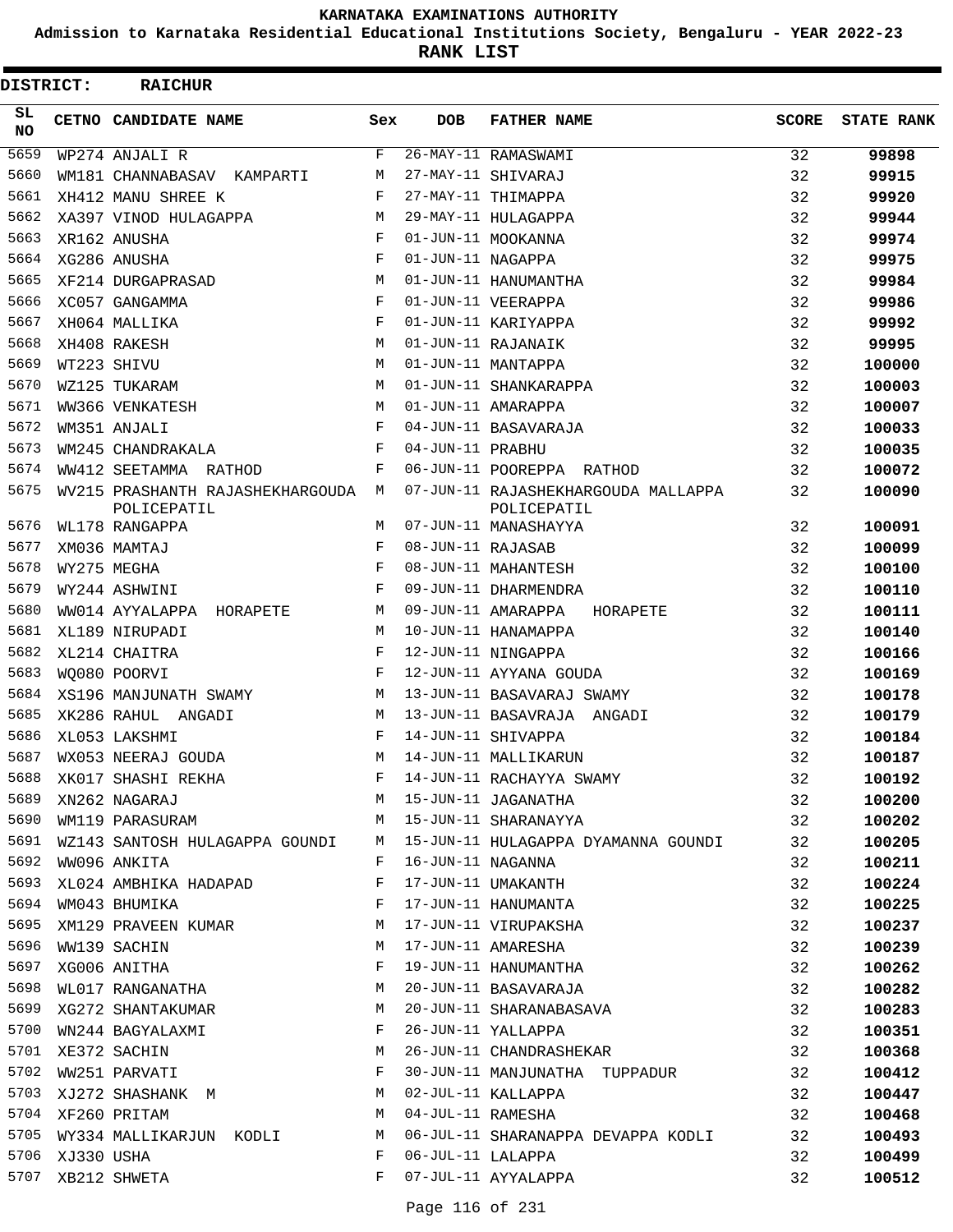**Admission to Karnataka Residential Educational Institutions Society, Bengaluru - YEAR 2022-23**

**RANK LIST**

| <b>DISTRICT:</b> |                 | <b>RAICHUR</b>                                    |     |                   |                                                    |              |                   |
|------------------|-----------------|---------------------------------------------------|-----|-------------------|----------------------------------------------------|--------------|-------------------|
| SL.<br><b>NO</b> |                 | CETNO CANDIDATE NAME                              | Sex | <b>DOB</b>        | <b>FATHER NAME</b>                                 | <b>SCORE</b> | <b>STATE RANK</b> |
| 5659             |                 | WP274 ANJALI R                                    | F   |                   | 26-MAY-11 RAMASWAMI                                | 32           | 99898             |
| 5660             |                 | WM181 CHANNABASAV KAMPARTI                        | М   |                   | 27-MAY-11 SHIVARAJ                                 | 32           | 99915             |
| 5661             |                 | XH412 MANU SHREE K                                | F   |                   | 27-MAY-11 THIMAPPA                                 | 32           | 99920             |
| 5662             |                 | XA397 VINOD HULAGAPPA                             | M   |                   | 29-MAY-11 HULAGAPPA                                | 32           | 99944             |
| 5663             |                 | XR162 ANUSHA                                      | F   |                   | 01-JUN-11 MOOKANNA                                 | 32           | 99974             |
| 5664             |                 | XG286 ANUSHA                                      | F   | 01-JUN-11 NAGAPPA |                                                    | 32           | 99975             |
| 5665             |                 | XF214 DURGAPRASAD                                 | M   |                   | 01-JUN-11 HANUMANTHA                               | 32           | 99984             |
| 5666             |                 | XC057 GANGAMMA                                    | F   |                   | 01-JUN-11 VEERAPPA                                 | 32           | 99986             |
| 5667             |                 | XH064 MALLIKA                                     | F   |                   | 01-JUN-11 KARIYAPPA                                | 32           | 99992             |
| 5668             |                 | XH408 RAKESH                                      | M   |                   | 01-JUN-11 RAJANAIK                                 | 32           | 99995             |
| 5669             |                 | WT223 SHIVU                                       | M   |                   | 01-JUN-11 MANTAPPA                                 | 32           | 100000            |
| 5670             |                 | WZ125 TUKARAM                                     | M   |                   | 01-JUN-11 SHANKARAPPA                              | 32           | 100003            |
| 5671             |                 | WW366 VENKATESH                                   | M   |                   | 01-JUN-11 AMARAPPA                                 | 32           | 100007            |
| 5672             |                 | WM351 ANJALI                                      | F   |                   | 04-JUN-11 BASAVARAJA                               | 32           | 100033            |
| 5673             |                 | WM245 CHANDRAKALA                                 | F   | 04-JUN-11 PRABHU  |                                                    | 32           | 100035            |
| 5674             |                 | WW412 SEETAMMA RATHOD                             | F   |                   | 06-JUN-11 POOREPPA RATHOD                          | 32           | 100072            |
| 5675             |                 | WV215 PRASHANTH RAJASHEKHARGOUDA M<br>POLICEPATIL |     |                   | 07-JUN-11 RAJASHEKHARGOUDA MALLAPPA<br>POLICEPATIL | 32           | 100090            |
| 5676             |                 | WL178 RANGAPPA                                    | M   |                   | 07-JUN-11 MANASHAYYA                               | 32           | 100091            |
| 5677             |                 | XM036 MAMTAJ                                      | F   | 08-JUN-11 RAJASAB |                                                    | 32           | 100099            |
| 5678             |                 | WY275 MEGHA                                       | F   |                   | 08-JUN-11 MAHANTESH                                | 32           | 100100            |
| 5679             |                 | WY244 ASHWINI                                     | F   |                   | 09-JUN-11 DHARMENDRA                               | 32           | 100110            |
| 5680             |                 | WW014 AYYALAPPA HORAPETE                          | M   |                   | 09-JUN-11 AMARAPPA<br>HORAPETE                     | 32           | 100111            |
| 5681             |                 | XL189 NIRUPADI                                    | M   |                   | 10-JUN-11 HANAMAPPA                                | 32           | 100140            |
| 5682             |                 | XL214 CHAITRA                                     | F   |                   | 12-JUN-11 NINGAPPA                                 | 32           | 100166            |
| 5683             |                 | WO080 POORVI                                      | F   |                   | 12-JUN-11 AYYANA GOUDA                             | 32           | 100169            |
| 5684             |                 | XS196 MANJUNATH SWAMY                             | М   |                   | 13-JUN-11 BASAVARAJ SWAMY                          | 32           | 100178            |
| 5685             |                 | XK286 RAHUL ANGADI                                | M   |                   | 13-JUN-11 BASAVRAJA ANGADI                         | 32           | 100179            |
| 5686             |                 | XL053 LAKSHMI                                     | F   |                   | 14-JUN-11 SHIVAPPA                                 | 32           | 100184            |
| 5687             |                 | WX053 NEERAJ GOUDA                                | M   |                   | 14-JUN-11 MALLIKARUN                               | 32           | 100187            |
| 5688             |                 | XK017 SHASHI REKHA                                | F   |                   | 14-JUN-11 RACHAYYA SWAMY                           | 32           | 100192            |
| 5689             |                 | XN262 NAGARAJ                                     | M   |                   | 15-JUN-11 JAGANATHA                                | 32           | 100200            |
| 5690             |                 | WM119 PARASURAM                                   | M   |                   | 15-JUN-11 SHARANAYYA                               | 32           | 100202            |
| 5691             |                 | WZ143 SANTOSH HULAGAPPA GOUNDI                    | M   |                   | 15-JUN-11 HULAGAPPA DYAMANNA GOUNDI                | 32           | 100205            |
| 5692             |                 | WW096 ANKITA                                      | F   | 16-JUN-11 NAGANNA |                                                    | 32           | 100211            |
| 5693             |                 | XL024 AMBHIKA HADAPAD                             | F   |                   | 17-JUN-11 UMAKANTH                                 | 32           | 100224            |
| 5694             |                 | WM043 BHUMIKA                                     | F   |                   | 17-JUN-11 HANUMANTA                                | 32           | 100225            |
| 5695             |                 | XM129 PRAVEEN KUMAR                               | M   |                   | 17-JUN-11 VIRUPAKSHA                               | 32           | 100237            |
| 5696             |                 | WW139 SACHIN                                      | М   |                   | 17-JUN-11 AMARESHA                                 | 32           | 100239            |
| 5697             |                 | XG006 ANITHA                                      | F   |                   | 19-JUN-11 HANUMANTHA                               | 32           | 100262            |
| 5698             |                 | WL017 RANGANATHA                                  | M   |                   | 20-JUN-11 BASAVARAJA                               | 32           | 100282            |
| 5699             |                 | XG272 SHANTAKUMAR                                 | M   |                   | 20-JUN-11 SHARANABASAVA                            | 32           | 100283            |
| 5700             |                 | WN244 BAGYALAXMI                                  | F   |                   | 26-JUN-11 YALLAPPA                                 | 32           | 100351            |
|                  |                 | 5701 XE372 SACHIN                                 | M   |                   | 26-JUN-11 CHANDRASHEKAR                            | 32           | 100368            |
| 5702             |                 | WW251 PARVATI                                     | F   |                   | 30-JUN-11 MANJUNATHA TUPPADUR                      | 32           | 100412            |
| 5703             |                 | XJ272 SHASHANK M                                  | M   |                   | 02-JUL-11 KALLAPPA                                 | 32           | 100447            |
|                  |                 | 5704 XF260 PRITAM                                 | М   | 04-JUL-11 RAMESHA |                                                    | 32           | 100468            |
|                  |                 | 5705 WY334 MALLIKARJUN KODLI                      | M   |                   | 06-JUL-11 SHARANAPPA DEVAPPA KODLI                 | 32           | 100493            |
|                  | 5706 XJ330 USHA |                                                   | F   | 06-JUL-11 LALAPPA |                                                    | 32           | 100499            |
|                  |                 | 5707 XB212 SHWETA                                 | F   |                   | 07-JUL-11 AYYALAPPA                                | 32           | 100512            |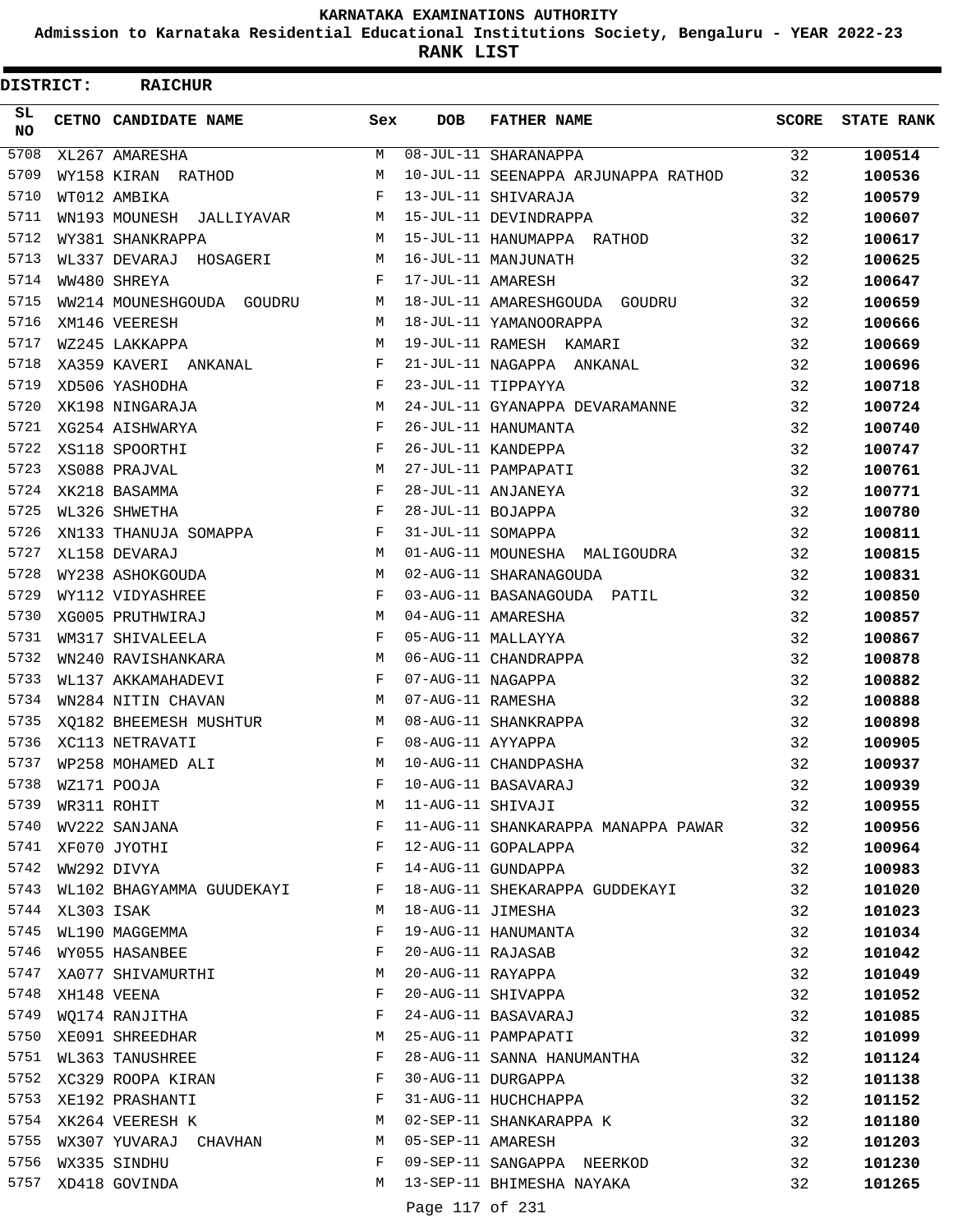**Admission to Karnataka Residential Educational Institutions Society, Bengaluru - YEAR 2022-23**

**RANK LIST**

ı

| <b>DISTRICT:</b>  |            | <b>RAICHUR</b>              |     |                   |                                     |              |                   |
|-------------------|------------|-----------------------------|-----|-------------------|-------------------------------------|--------------|-------------------|
| SL<br><b>NO</b>   |            | CETNO CANDIDATE NAME        | Sex | <b>DOB</b>        | <b>FATHER NAME</b>                  | <b>SCORE</b> | <b>STATE RANK</b> |
| $\overline{5708}$ |            | XL267 AMARESHA              | M   |                   | 08-JUL-11 SHARANAPPA                | 32           | 100514            |
| 5709              |            | WY158 KIRAN RATHOD          | М   |                   | 10-JUL-11 SEENAPPA ARJUNAPPA RATHOD | 32           | 100536            |
| 5710              |            | WT012 AMBIKA                | F   |                   | 13-JUL-11 SHIVARAJA                 | 32           | 100579            |
| 5711              |            | WN193 MOUNESH<br>JALLIYAVAR | М   |                   | 15-JUL-11 DEVINDRAPPA               | 32           | 100607            |
| 5712              |            | WY381 SHANKRAPPA            | M   |                   | 15-JUL-11 HANUMAPPA RATHOD          | 32           | 100617            |
| 5713              |            | WL337 DEVARAJ HOSAGERI      | М   |                   | 16-JUL-11 MANJUNATH                 | 32           | 100625            |
| 5714              |            | WW480 SHREYA                | F   | 17-JUL-11 AMARESH |                                     | 32           | 100647            |
| 5715              |            | WW214 MOUNESHGOUDA GOUDRU   | М   |                   | 18-JUL-11 AMARESHGOUDA GOUDRU       | 32           | 100659            |
| 5716              |            | XM146 VEERESH               | M   |                   | 18-JUL-11 YAMANOORAPPA              | 32           | 100666            |
| 5717              |            | WZ245 LAKKAPPA              | М   |                   | 19-JUL-11 RAMESH KAMARI             | 32           | 100669            |
| 5718              |            | XA359 KAVERI ANKANAL        | F   |                   | 21-JUL-11 NAGAPPA ANKANAL           | 32           | 100696            |
| 5719              |            | XD506 YASHODHA              | F   |                   | 23-JUL-11 TIPPAYYA                  | 32           | 100718            |
| 5720              |            | XK198 NINGARAJA             | М   |                   | 24-JUL-11 GYANAPPA DEVARAMANNE      | 32           | 100724            |
| 5721              |            | XG254 AISHWARYA             | F   |                   | 26-JUL-11 HANUMANTA                 | 32           | 100740            |
| 5722              |            | XS118 SPOORTHI              | F   |                   | 26-JUL-11 KANDEPPA                  | 32           | 100747            |
| 5723              |            | XS088 PRAJVAL               | М   |                   | 27-JUL-11 PAMPAPATI                 | 32           | 100761            |
| 5724              |            | XK218 BASAMMA               | F   |                   | 28-JUL-11 ANJANEYA                  | 32           | 100771            |
| 5725              |            | WL326 SHWETHA               | F   | 28-JUL-11 BOJAPPA |                                     | 32           | 100780            |
| 5726              |            | XN133 THANUJA SOMAPPA       | F   | 31-JUL-11 SOMAPPA |                                     | 32           | 100811            |
| 5727              |            | XL158 DEVARAJ               | М   |                   | 01-AUG-11 MOUNESHA MALIGOUDRA       | 32           | 100815            |
| 5728              |            | WY238 ASHOKGOUDA            | M   |                   | 02-AUG-11 SHARANAGOUDA              | 32           | 100831            |
| 5729              |            | WY112 VIDYASHREE            | F   |                   | 03-AUG-11 BASANAGOUDA PATIL         | 32           | 100850            |
| 5730              |            | XG005 PRUTHWIRAJ            | M   |                   | 04-AUG-11 AMARESHA                  | 32           | 100857            |
| 5731              |            | WM317 SHIVALEELA            | F   |                   | 05-AUG-11 MALLAYYA                  | 32           | 100867            |
| 5732              |            | WN240 RAVISHANKARA          | М   |                   | 06-AUG-11 CHANDRAPPA                | 32           | 100878            |
| 5733              |            | WL137 AKKAMAHADEVI          | F   | 07-AUG-11 NAGAPPA |                                     | 32           | 100882            |
| 5734              |            | WN284 NITIN CHAVAN          | М   | 07-AUG-11 RAMESHA |                                     | 32           | 100888            |
| 5735              |            | XO182 BHEEMESH MUSHTUR      | М   |                   | 08-AUG-11 SHANKRAPPA                | 32           | 100898            |
| 5736              |            | XC113 NETRAVATI             | F   | 08-AUG-11 AYYAPPA |                                     | 32           | 100905            |
| 5737              |            | WP258 MOHAMED ALI           | М   |                   | 10-AUG-11 CHANDPASHA                | 32           | 100937            |
| 5738              |            | WZ171 POOJA                 | F   |                   | 10-AUG-11 BASAVARAJ                 | 32           | 100939            |
| 5739              |            | WR311 ROHIT                 | М   | 11-AUG-11 SHIVAJI |                                     | 32           | 100955            |
| 5740              |            | WV222 SANJANA               | F   |                   | 11-AUG-11 SHANKARAPPA MANAPPA PAWAR | 32           | 100956            |
| 5741              |            | XF070 JYOTHI                | F   |                   | 12-AUG-11 GOPALAPPA                 | 32           | 100964            |
| 5742              |            | WW292 DIVYA                 | F   |                   | 14-AUG-11 GUNDAPPA                  | 32           | 100983            |
| 5743              |            | WL102 BHAGYAMMA GUUDEKAYI   | F   |                   | 18-AUG-11 SHEKARAPPA GUDDEKAYI      | 32           | 101020            |
| 5744              | XL303 ISAK |                             | М   | 18-AUG-11 JIMESHA |                                     | 32           | 101023            |
| 5745              |            | WL190 MAGGEMMA              | F   |                   | 19-AUG-11 HANUMANTA                 | 32           | 101034            |
| 5746              |            | WY055 HASANBEE              | F   | 20-AUG-11 RAJASAB |                                     | 32           | 101042            |
| 5747              |            | XA077 SHIVAMURTHI           | М   |                   | 20-AUG-11 RAYAPPA                   | 32           | 101049            |
| 5748              |            | XH148 VEENA                 | F   |                   | 20-AUG-11 SHIVAPPA                  | 32           | 101052            |
| 5749              |            | WQ174 RANJITHA              | F   |                   | 24-AUG-11 BASAVARAJ                 | 32           | 101085            |
|                   |            | 5750 XE091 SHREEDHAR        | М   |                   | 25-AUG-11 PAMPAPATI                 | 32           | 101099            |
| 5751              |            | WL363 TANUSHREE             | F   |                   | 28-AUG-11 SANNA HANUMANTHA          | 32           | 101124            |
| 5752              |            | XC329 ROOPA KIRAN           | F   |                   | 30-AUG-11 DURGAPPA                  | 32           | 101138            |
| 5753              |            | XE192 PRASHANTI             | F   |                   | 31-AUG-11 HUCHCHAPPA                | 32           | 101152            |
|                   |            | 5754 XK264 VEERESH K        | М   |                   | 02-SEP-11 SHANKARAPPA K             | 32           | 101180            |
| 5755              |            | WX307 YUVARAJ CHAVHAN       | M   | 05-SEP-11 AMARESH |                                     | 32           | 101203            |
| 5756              |            | WX335 SINDHU                | F   |                   | 09-SEP-11 SANGAPPA NEERKOD          | 32           | 101230            |
| 5757              |            | XD418 GOVINDA               | M   |                   | 13-SEP-11 BHIMESHA NAYAKA           | 32           | 101265            |
|                   |            |                             |     | Page 117 of 231   |                                     |              |                   |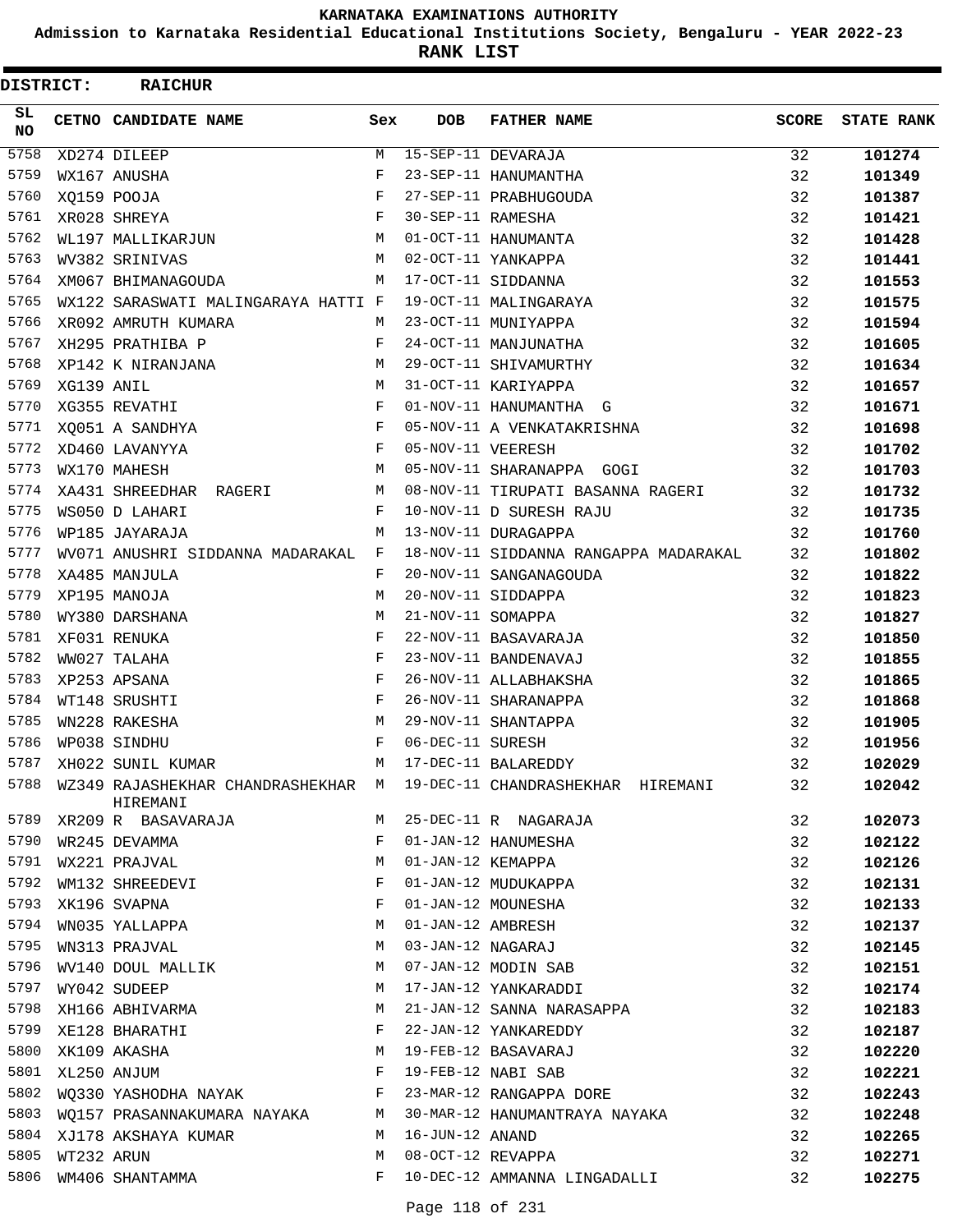**Admission to Karnataka Residential Educational Institutions Society, Bengaluru - YEAR 2022-23**

| DISTRICT:       |                  | <b>RAICHUR</b>                                                           |              |                   |                                                                                                                                                         |              |                   |
|-----------------|------------------|--------------------------------------------------------------------------|--------------|-------------------|---------------------------------------------------------------------------------------------------------------------------------------------------------|--------------|-------------------|
| SL<br><b>NO</b> |                  | CETNO CANDIDATE NAME                                                     | Sex          | <b>DOB</b>        | <b>FATHER NAME</b>                                                                                                                                      | <b>SCORE</b> | <b>STATE RANK</b> |
| 5758            |                  | XD274 DILEEP                                                             | М            |                   | 15-SEP-11 DEVARAJA                                                                                                                                      | 32           | 101274            |
| 5759            |                  | WX167 ANUSHA                                                             | F            |                   | 23-SEP-11 HANUMANTHA                                                                                                                                    | 32           | 101349            |
| 5760            |                  | XQ159 POOJA                                                              | F            |                   | 27-SEP-11 PRABHUGOUDA                                                                                                                                   | 32           | 101387            |
| 5761            |                  | XR028 SHREYA                                                             | F            | 30-SEP-11 RAMESHA |                                                                                                                                                         | 32           | 101421            |
| 5762            |                  | WL197 MALLIKARJUN                                                        | М            |                   | 01-OCT-11 HANUMANTA                                                                                                                                     | 32           | 101428            |
| 5763            |                  | WV382 SRINIVAS                                                           | M            |                   | 02-OCT-11 YANKAPPA                                                                                                                                      | 32           | 101441            |
| 5764            |                  | XM067 BHIMANAGOUDA                                                       | M            |                   | 17-OCT-11 SIDDANNA                                                                                                                                      | 32           | 101553            |
| 5765            |                  | WX122 SARASWATI MALINGARAYA HATTI F                                      |              |                   | 19-OCT-11 MALINGARAYA                                                                                                                                   | 32           | 101575            |
| 5766            |                  | XR092 AMRUTH KUMARA                                                      | M            |                   | 23-OCT-11 MUNIYAPPA                                                                                                                                     | 32           | 101594            |
| 5767            |                  | XH295 PRATHIBA P                                                         | F            |                   | 24-OCT-11 MANJUNATHA                                                                                                                                    | 32           | 101605            |
| 5768            |                  | XP142 K NIRANJANA                                                        | М            |                   | 29-OCT-11 SHIVAMURTHY                                                                                                                                   | 32           | 101634            |
| 5769            | XG139 ANIL       |                                                                          | М            |                   | 31-OCT-11 KARIYAPPA                                                                                                                                     | 32           | 101657            |
| 5770            |                  | XG355 REVATHI                                                            | F            |                   | 01-NOV-11 HANUMANTHA G                                                                                                                                  | 32           | 101671            |
| 5771            |                  | XQ051 A SANDHYA                                                          | $\mathbf{F}$ |                   | 05-NOV-11 A VENKATAKRISHNA                                                                                                                              | 32           | 101698            |
| 5772            |                  | XD460 LAVANYYA                                                           | F            | 05-NOV-11 VEERESH |                                                                                                                                                         | 32           | 101702            |
| 5773            |                  | WX170 MAHESH                                                             | М            |                   | 05-NOV-11 SHARANAPPA GOGI                                                                                                                               | 32           | 101703            |
| 5774            |                  | XA431 SHREEDHAR RAGERI                                                   | M            |                   | 08-NOV-11 TIRUPATI BASANNA RAGERI                                                                                                                       | 32           | 101732            |
| 5775            |                  | WS050 D LAHARI                                                           | F            |                   | 10-NOV-11 D SURESH RAJU                                                                                                                                 | 32           | 101735            |
| 5776            |                  | WP185 JAYARAJA                                                           | M            |                   | 13-NOV-11 DURAGAPPA                                                                                                                                     | 32           | 101760            |
| 5777            |                  | WV071 ANUSHRI SIDDANNA MADARAKAL                                         | F            |                   | 18-NOV-11 SIDDANNA RANGAPPA MADARAKAL                                                                                                                   | 32           | 101802            |
| 5778            |                  | XA485 MANJULA                                                            | F            |                   | 20-NOV-11 SANGANAGOUDA                                                                                                                                  | 32           | 101822            |
| 5779            |                  | XP195 MANOJA                                                             | M            |                   | 20-NOV-11 SIDDAPPA                                                                                                                                      | 32           | 101823            |
| 5780            |                  | WY380 DARSHANA                                                           | М            | 21-NOV-11 SOMAPPA |                                                                                                                                                         | 32           | 101827            |
| 5781            |                  | XF031 RENUKA                                                             | F            |                   | 22-NOV-11 BASAVARAJA                                                                                                                                    | 32           | 101850            |
| 5782            |                  | WW027 TALAHA                                                             | F            |                   | 23-NOV-11 BANDENAVAJ                                                                                                                                    | 32           | 101855            |
| 5783            |                  | XP253 APSANA                                                             | F            |                   | 26-NOV-11 ALLABHAKSHA                                                                                                                                   | 32           | 101865            |
| 5784            |                  | WT148 SRUSHTI                                                            | F            |                   | 26-NOV-11 SHARANAPPA                                                                                                                                    | 32           | 101868            |
| 5785            |                  | WN228 RAKESHA                                                            | М            |                   | 29-NOV-11 SHANTAPPA                                                                                                                                     | 32           | 101905            |
| 5786            |                  | WP038 SINDHU                                                             | F            | 06-DEC-11 SURESH  |                                                                                                                                                         | 32           | 101956            |
| 5787            |                  | XH022 SUNIL KUMAR                                                        | M            |                   | 17-DEC-11 BALAREDDY                                                                                                                                     | 32           | 102029            |
|                 |                  | HIREMANI                                                                 |              |                   | 5788 WZ349 RAJASHEKHAR CHANDRASHEKHAR M 19-DEC-11 CHANDRASHEKHAR HIREMANI                                                                               | 32           | 102042            |
| 5789            |                  | XR209 R BASAVARAJA                                                       | M            |                   | 25-DEC-11 R NAGARAJA                                                                                                                                    | 32           | 102073            |
| 5790            |                  | WR245 DEVAMMA                                                            | F            |                   | 01-JAN-12 HANUMESHA                                                                                                                                     | 32           | 102122            |
| 5791            |                  | WX221 PRAJVAL                                                            | М            |                   |                                                                                                                                                         | 32           | 102126            |
| 5792            |                  | WM132 SHREEDEVI                                                          | F            |                   |                                                                                                                                                         | 32           | 102131            |
| 5793            |                  | XK196 SVAPNA<br>WN035 YALLAPPA                                           | F            |                   |                                                                                                                                                         | 32           | 102133            |
| 5794            |                  |                                                                          | М            |                   |                                                                                                                                                         | 32           | 102137            |
| 5795            |                  | WN313 PRAJVAL                                                            | M            |                   |                                                                                                                                                         | 32           | 102145            |
| 5796            |                  | WV140 DOUL MALLIK                                                        | M            |                   | 01-JAN-12 KEMAPPA<br>01-JAN-12 MUDUKAPPA<br>01-JAN-12 MOUNESHA<br>01-JAN-12 AMBRESH<br>03-JAN-12 NAGARAJ<br>07-JAN-12 MODIN SAB<br>17-JAN-12 YANKARADDI | 32           | 102151            |
| 5797            |                  | WY042 SUDEEP                                                             | М            |                   |                                                                                                                                                         | 32           | 102174            |
| 5798            |                  | XH166 ABHIVARMA                                                          | М            |                   | 21-JAN-12 SANNA NARASAPPA                                                                                                                               | 32           | 102183            |
| 5799            |                  | XE128 BHARATHI                                                           | F            |                   | 22-JAN-12 YANKAREDDY                                                                                                                                    | 32           | 102187            |
| 5800            |                  | $\begin{aligned} \mathbf{M} \\ \mathbf{F} \end{aligned}$<br>XK109 AKASHA |              |                   | 19-FEB-12 BASAVARAJ                                                                                                                                     | 32           | 102220            |
|                 | 5801 XL250 ANJUM |                                                                          |              |                   | 19-FEB-12 NABI SAB                                                                                                                                      | 32           | 102221            |
| 5802            |                  | WQ330 YASHODHA NAYAK F                                                   |              |                   | 23-MAR-12 RANGAPPA DORE                                                                                                                                 | 32           | 102243            |
| 5803            |                  | WO157 PRASANNAKUMARA NAYAKA M                                            |              |                   | 30-MAR-12 HANUMANTRAYA NAYAKA                                                                                                                           | 32           | 102248            |
| 5804            |                  | XJ178 AKSHAYA KUMAR                                                      | M            | 16-JUN-12 ANAND   |                                                                                                                                                         | 32           | 102265            |
| 5805            | WT232 ARUN       |                                                                          | M            | 08-OCT-12 REVAPPA |                                                                                                                                                         | 32           | 102271            |
| 5806            |                  | WM406 SHANTAMMA                                                          | F            |                   | 10-DEC-12 AMMANNA LINGADALLI                                                                                                                            | 32           | 102275            |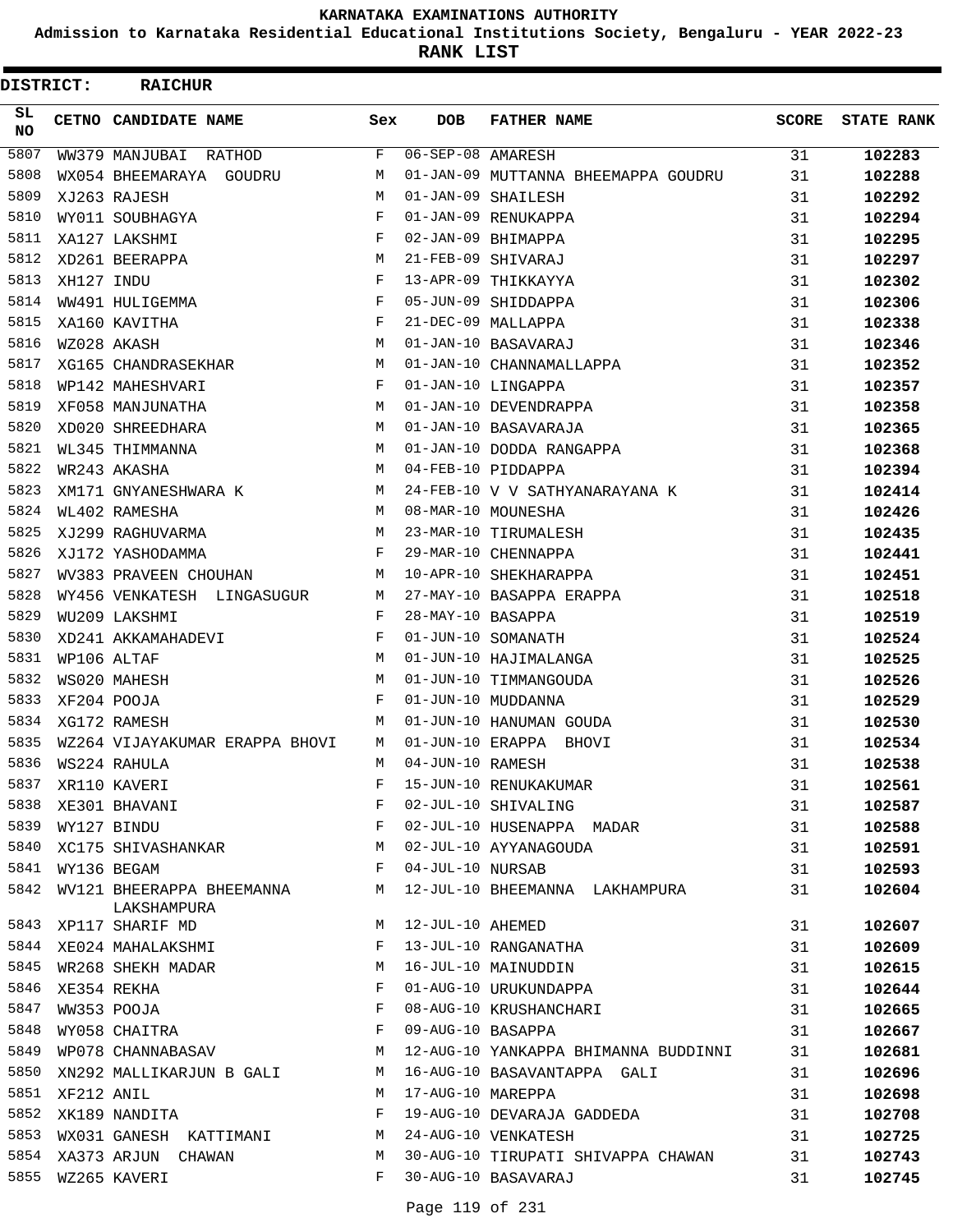**Admission to Karnataka Residential Educational Institutions Society, Bengaluru - YEAR 2022-23**

**RANK LIST**

| DISTRICT:       |                  | <b>RAICHUR</b>          |                                |     |                   |                                      |       |                   |
|-----------------|------------------|-------------------------|--------------------------------|-----|-------------------|--------------------------------------|-------|-------------------|
| SL<br><b>NO</b> |                  | CETNO CANDIDATE NAME    |                                | Sex | <b>DOB</b>        | <b>FATHER NAME</b>                   | SCORE | <b>STATE RANK</b> |
| 5807            |                  | WW379 MANJUBAI RATHOD   |                                | F   | 06-SEP-08 AMARESH |                                      | 31    | 102283            |
| 5808            |                  | WX054 BHEEMARAYA GOUDRU |                                | М   |                   | 01-JAN-09 MUTTANNA BHEEMAPPA GOUDRU  | 31    | 102288            |
| 5809            |                  | XJ263 RAJESH            |                                | M   |                   | 01-JAN-09 SHAILESH                   | 31    | 102292            |
| 5810            |                  | WY011 SOUBHAGYA         |                                | F   |                   | 01-JAN-09 RENUKAPPA                  | 31    | 102294            |
| 5811            |                  | XA127 LAKSHMI           |                                | F   |                   | 02-JAN-09 BHIMAPPA                   | 31    | 102295            |
| 5812            |                  | XD261 BEERAPPA          |                                | М   |                   | 21-FEB-09 SHIVARAJ                   | 31    | 102297            |
| 5813            | XH127 INDU       |                         |                                | F   |                   | 13-APR-09 THIKKAYYA                  | 31    | 102302            |
| 5814            |                  | WW491 HULIGEMMA         |                                | F   |                   | 05-JUN-09 SHIDDAPPA                  | 31    | 102306            |
| 5815            |                  | XA160 KAVITHA           |                                | F   |                   | 21-DEC-09 MALLAPPA                   | 31    | 102338            |
| 5816            |                  | WZ028 AKASH             |                                | М   |                   | 01-JAN-10 BASAVARAJ                  | 31    | 102346            |
| 5817            |                  | XG165 CHANDRASEKHAR     |                                | М   |                   | 01-JAN-10 CHANNAMALLAPPA             | 31    | 102352            |
| 5818            |                  | WP142 MAHESHVARI        |                                | F   |                   | 01-JAN-10 LINGAPPA                   | 31    | 102357            |
| 5819            |                  | XF058 MANJUNATHA        |                                | М   |                   | 01-JAN-10 DEVENDRAPPA                | 31    | 102358            |
| 5820            |                  | XD020 SHREEDHARA        |                                | М   |                   | 01-JAN-10 BASAVARAJA                 | 31    | 102365            |
| 5821            |                  | WL345 THIMMANNA         |                                | М   |                   | 01-JAN-10 DODDA RANGAPPA             | 31    | 102368            |
| 5822            |                  | WR243 AKASHA            |                                | М   |                   | 04-FEB-10 PIDDAPPA                   | 31    | 102394            |
| 5823            |                  | XM171 GNYANESHWARA K    |                                | М   |                   | 24-FEB-10 V V SATHYANARAYANA K       | 31    | 102414            |
| 5824            |                  | WL402 RAMESHA           |                                | М   |                   | 08-MAR-10 MOUNESHA                   | 31    | 102426            |
| 5825            |                  | XJ299 RAGHUVARMA        |                                | М   |                   | 23-MAR-10 TIRUMALESH                 | 31    | 102435            |
| 5826            |                  | XJ172 YASHODAMMA        |                                | F   |                   | 29-MAR-10 CHENNAPPA                  | 31    | 102441            |
| 5827            |                  | WV383 PRAVEEN CHOUHAN   |                                | М   |                   | 10-APR-10 SHEKHARAPPA                | 31    | 102451            |
| 5828            |                  |                         | WY456 VENKATESH LINGASUGUR     | М   |                   | 27-MAY-10 BASAPPA ERAPPA             | 31    | 102518            |
| 5829            |                  | WU209 LAKSHMI           |                                | F   | 28-MAY-10 BASAPPA |                                      | 31    | 102519            |
| 5830            |                  | XD241 AKKAMAHADEVI      |                                | F   |                   | 01-JUN-10 SOMANATH                   | 31    | 102524            |
| 5831            |                  | WP106 ALTAF             |                                | М   |                   | 01-JUN-10 HAJIMALANGA                | 31    | 102525            |
| 5832            |                  | WS020 MAHESH            |                                | М   |                   | 01-JUN-10 TIMMANGOUDA                | 31    | 102526            |
| 5833            |                  | XF204 POOJA             |                                | F   |                   | 01-JUN-10 MUDDANNA                   | 31    | 102529            |
| 5834            |                  | XG172 RAMESH            |                                | М   |                   | 01-JUN-10 HANUMAN GOUDA              | 31    | 102530            |
| 5835            |                  |                         | WZ264 VIJAYAKUMAR ERAPPA BHOVI | М   |                   | 01-JUN-10 ERAPPA BHOVI               | 31    | 102534            |
| 5836            |                  | WS224 RAHULA            |                                | М   | 04-JUN-10 RAMESH  |                                      | 31    | 102538            |
| 5837            |                  | XR110 KAVERI            |                                | F   |                   | 15-JUN-10 RENUKAKUMAR                | 31    | 102561            |
| 5838            |                  | XE301 BHAVANI           |                                | F   |                   | 02-JUL-10 SHIVALING                  | 31    | 102587            |
| 5839            |                  | WY127 BINDU             |                                | F   |                   | 02-JUL-10 HUSENAPPA MADAR            | 31    | 102588            |
|                 |                  |                         | 5840 XC175 SHIVASHANKAR        | M   |                   | 02-JUL-10 AYYANAGOUDA                | 31    | 102591            |
|                 | 5841 WY136 BEGAM |                         |                                | F   | 04-JUL-10 NURSAB  |                                      | 31    | 102593            |
| 5842            |                  | LAKSHAMPURA             | WV121 BHEERAPPA BHEEMANNA      | М   |                   | 12-JUL-10 BHEEMANNA LAKHAMPURA       | 31    | 102604            |
| 5843            |                  | XP117 SHARIF MD         |                                | М   | 12-JUL-10 AHEMED  |                                      | 31    | 102607            |
| 5844            |                  |                         | XE024 MAHALAKSHMI              | F   |                   | 13-JUL-10 RANGANATHA                 | 31    | 102609            |
| 5845            |                  |                         | WR268 SHEKH MADAR              | М   |                   | 16-JUL-10 MAINUDDIN                  | 31    | 102615            |
| 5846            |                  | XE354 REKHA             |                                | F   |                   | 01-AUG-10 URUKUNDAPPA                | 31    | 102644            |
| 5847            |                  | WW353 POOJA             |                                | F   |                   | 08-AUG-10 KRUSHANCHARI               | 31    | 102665            |
| 5848            |                  | WY058 CHAITRA           |                                | F   | 09-AUG-10 BASAPPA |                                      | 31    | 102667            |
| 5849            |                  |                         | WP078 CHANNABASAV              | M   |                   | 12-AUG-10 YANKAPPA BHIMANNA BUDDINNI | 31    | 102681            |
| 5850            |                  |                         | XN292 MALLIKARJUN B GALI       | М   |                   | 16-AUG-10 BASAVANTAPPA GALI          | 31    | 102696            |
|                 | 5851 XF212 ANIL  |                         |                                | М   | 17-AUG-10 MAREPPA |                                      | 31    | 102698            |
| 5852            |                  | XK189 NANDITA           |                                | F   |                   | 19-AUG-10 DEVARAJA GADDEDA           | 31    | 102708            |
| 5853            |                  |                         | WX031 GANESH KATTIMANI         | M   |                   | 24-AUG-10 VENKATESH                  | 31    | 102725            |
|                 |                  | 5854 XA373 ARJUN CHAWAN |                                | М   |                   | 30-AUG-10 TIRUPATI SHIVAPPA CHAWAN   | 31    | 102743            |
|                 |                  | 5855 WZ265 KAVERI       |                                | F   |                   | 30-AUG-10 BASAVARAJ                  | 31    | 102745            |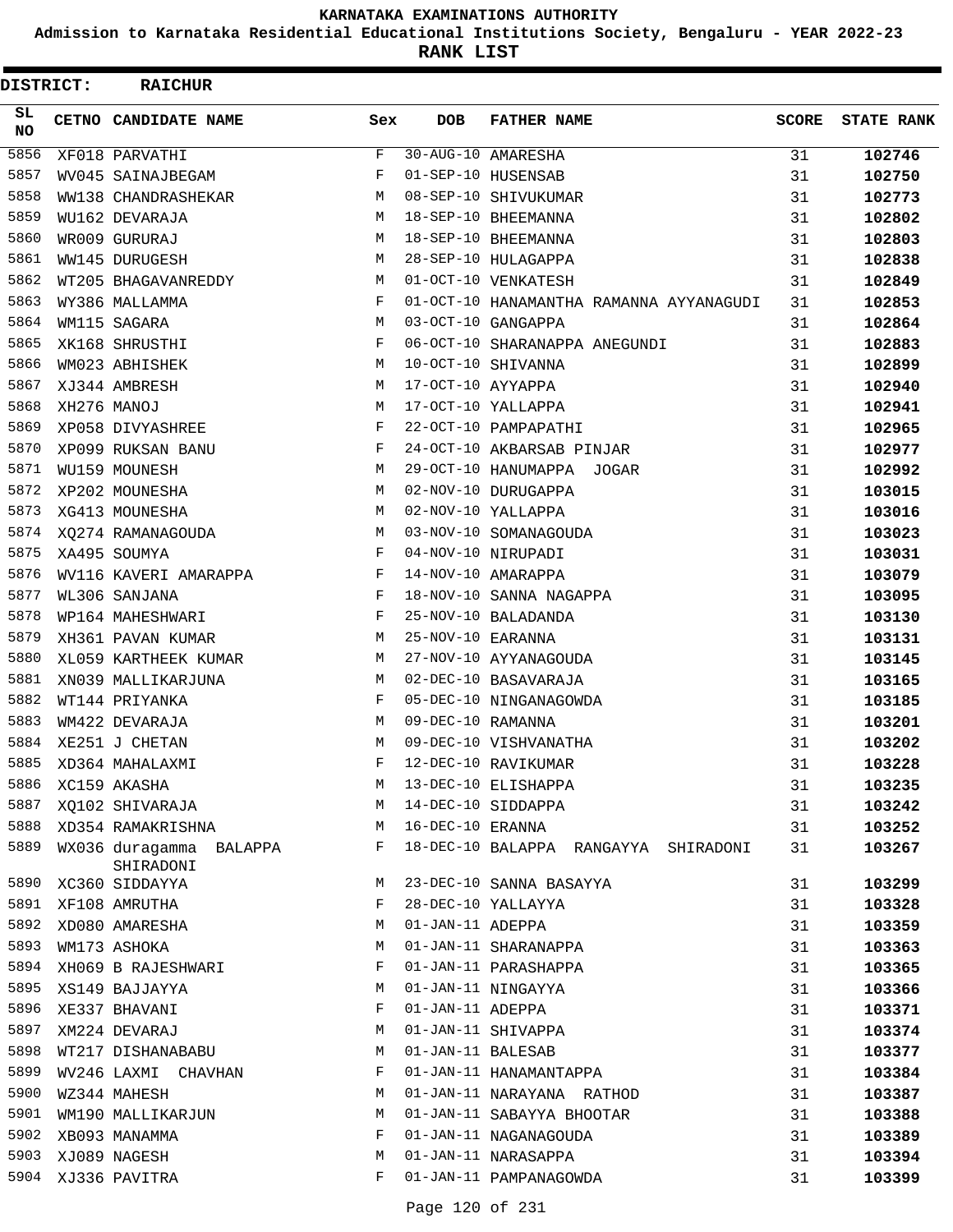**Admission to Karnataka Residential Educational Institutions Society, Bengaluru - YEAR 2022-23**

**RANK LIST**

| <b>DISTRICT:</b> |  | <b>RAICHUR</b>                       |            |                   |                                         |              |                   |
|------------------|--|--------------------------------------|------------|-------------------|-----------------------------------------|--------------|-------------------|
| SL.<br>NO.       |  | CETNO CANDIDATE NAME                 | Sex        | <b>DOB</b>        | <b>FATHER NAME</b>                      | <b>SCORE</b> | <b>STATE RANK</b> |
| 5856             |  | XF018 PARVATHI                       | F          |                   | 30-AUG-10 AMARESHA                      | 31           | 102746            |
| 5857             |  | WV045 SAINAJBEGAM                    | F          |                   | 01-SEP-10 HUSENSAB                      | 31           | 102750            |
| 5858             |  | WW138 CHANDRASHEKAR                  | M          |                   | 08-SEP-10 SHIVUKUMAR                    | 31           | 102773            |
| 5859             |  | WU162 DEVARAJA                       | М          |                   | 18-SEP-10 BHEEMANNA                     | 31           | 102802            |
| 5860             |  | WR009 GURURAJ                        | M          |                   | 18-SEP-10 BHEEMANNA                     | 31           | 102803            |
| 5861             |  | WW145 DURUGESH                       | М          |                   | 28-SEP-10 HULAGAPPA                     | 31           | 102838            |
| 5862             |  | WT205 BHAGAVANREDDY                  | M          |                   | 01-OCT-10 VENKATESH                     | 31           | 102849            |
| 5863             |  | WY386 MALLAMMA                       | F          |                   | 01-OCT-10 HANAMANTHA RAMANNA AYYANAGUDI | 31           | 102853            |
| 5864             |  | WM115 SAGARA                         | M          |                   | 03-OCT-10 GANGAPPA                      | 31           | 102864            |
| 5865             |  | XK168 SHRUSTHI                       | F          |                   | 06-OCT-10 SHARANAPPA ANEGUNDI           | 31           | 102883            |
| 5866             |  | WM023 ABHISHEK                       | M          |                   | 10-OCT-10 SHIVANNA                      | 31           | 102899            |
| 5867             |  | XJ344 AMBRESH                        | М          | 17-OCT-10 AYYAPPA |                                         | 31           | 102940            |
| 5868             |  | XH276 MANOJ                          | M          |                   | 17-OCT-10 YALLAPPA                      | 31           | 102941            |
| 5869             |  | XP058 DIVYASHREE                     | F          |                   | 22-OCT-10 PAMPAPATHI                    | 31           | 102965            |
| 5870             |  | XP099 RUKSAN BANU                    | F          |                   | 24-OCT-10 AKBARSAB PINJAR               | 31           | 102977            |
| 5871             |  | WU159 MOUNESH                        | M          |                   | 29-OCT-10 HANUMAPPA JOGAR               | 31           | 102992            |
| 5872             |  | XP202 MOUNESHA                       | М          |                   | 02-NOV-10 DURUGAPPA                     | 31           | 103015            |
| 5873             |  | XG413 MOUNESHA                       | М          |                   | 02-NOV-10 YALLAPPA                      | 31           | 103016            |
| 5874             |  | XO274 RAMANAGOUDA                    | М          |                   | 03-NOV-10 SOMANAGOUDA                   | 31           | 103023            |
| 5875             |  | XA495 SOUMYA                         | F          |                   | 04-NOV-10 NIRUPADI                      | 31           | 103031            |
| 5876             |  | WV116 KAVERI AMARAPPA                | F          |                   | 14-NOV-10 AMARAPPA                      | 31           | 103079            |
| 5877             |  | WL306 SANJANA                        | F          |                   | 18-NOV-10 SANNA NAGAPPA                 | 31           | 103095            |
| 5878             |  | WP164 MAHESHWARI                     | F          |                   | 25-NOV-10 BALADANDA                     | 31           | 103130            |
| 5879             |  | XH361 PAVAN KUMAR                    | М          | 25-NOV-10 EARANNA |                                         | 31           | 103131            |
| 5880             |  | XL059 KARTHEEK KUMAR                 | М          |                   | 27-NOV-10 AYYANAGOUDA                   | 31           | 103145            |
| 5881             |  | XN039 MALLIKARJUNA                   | М          |                   | 02-DEC-10 BASAVARAJA                    | 31           | 103165            |
| 5882             |  | WT144 PRIYANKA                       | $_{\rm F}$ |                   | 05-DEC-10 NINGANAGOWDA                  | 31           | 103185            |
| 5883             |  | WM422 DEVARAJA                       | М          | 09-DEC-10 RAMANNA |                                         | 31           | 103201            |
| 5884             |  | XE251 J CHETAN                       | M          |                   | 09-DEC-10 VISHVANATHA                   | 31           | 103202            |
| 5885             |  | XD364 MAHALAXMI                      | F          |                   | 12-DEC-10 RAVIKUMAR                     | 31           | 103228            |
| 5886             |  | XC159 AKASHA                         | М          |                   | 13-DEC-10 ELISHAPPA                     | 31           | 103235            |
| 5887             |  | XQ102 SHIVARAJA                      | М          |                   | 14-DEC-10 SIDDAPPA                      | 31           | 103242            |
| 5888             |  | XD354 RAMAKRISHNA                    | М          | 16-DEC-10 ERANNA  |                                         | 31           | 103252            |
| 5889             |  | WX036 duragamma BALAPPA<br>SHIRADONI | F          |                   | 18-DEC-10 BALAPPA RANGAYYA SHIRADONI    | 31           | 103267            |
| 5890             |  | XC360 SIDDAYYA                       | М          |                   | 23-DEC-10 SANNA BASAYYA                 | 31           | 103299            |
| 5891             |  | XF108 AMRUTHA                        | F          |                   | 28-DEC-10 YALLAYYA                      | 31           | 103328            |
| 5892             |  | XD080 AMARESHA                       | М          | 01-JAN-11 ADEPPA  |                                         | 31           | 103359            |
| 5893             |  | WM173 ASHOKA                         | М          |                   | 01-JAN-11 SHARANAPPA                    | 31           | 103363            |
| 5894             |  | XH069 B RAJESHWARI                   | F          |                   | 01-JAN-11 PARASHAPPA                    | 31           | 103365            |
| 5895             |  | XS149 BAJJAYYA                       | М          |                   | 01-JAN-11 NINGAYYA                      | 31           | 103366            |
| 5896             |  | XE337 BHAVANI                        | F          | 01-JAN-11 ADEPPA  |                                         | 31           | 103371            |
| 5897             |  | XM224 DEVARAJ                        | М          |                   | 01-JAN-11 SHIVAPPA                      | 31           | 103374            |
| 5898             |  | WT217 DISHANABABU                    | М          | 01-JAN-11 BALESAB |                                         | 31           | 103377            |
| 5899             |  | WV246 LAXMI CHAVHAN                  | F          |                   | 01-JAN-11 HANAMANTAPPA                  | 31           | 103384            |
| 5900             |  | WZ344 MAHESH                         | М          |                   | 01-JAN-11 NARAYANA RATHOD               | 31           | 103387            |
| 5901             |  | WM190 MALLIKARJUN                    | М          |                   | 01-JAN-11 SABAYYA BHOOTAR               | 31           | 103388            |
| 5902             |  | XB093 MANAMMA                        | F          |                   | 01-JAN-11 NAGANAGOUDA                   | 31           | 103389            |
| 5903             |  | XJ089 NAGESH                         | М          |                   | 01-JAN-11 NARASAPPA                     | 31           | 103394            |
|                  |  | 5904 XJ336 PAVITRA                   | F          |                   | 01-JAN-11 PAMPANAGOWDA                  | 31           | 103399            |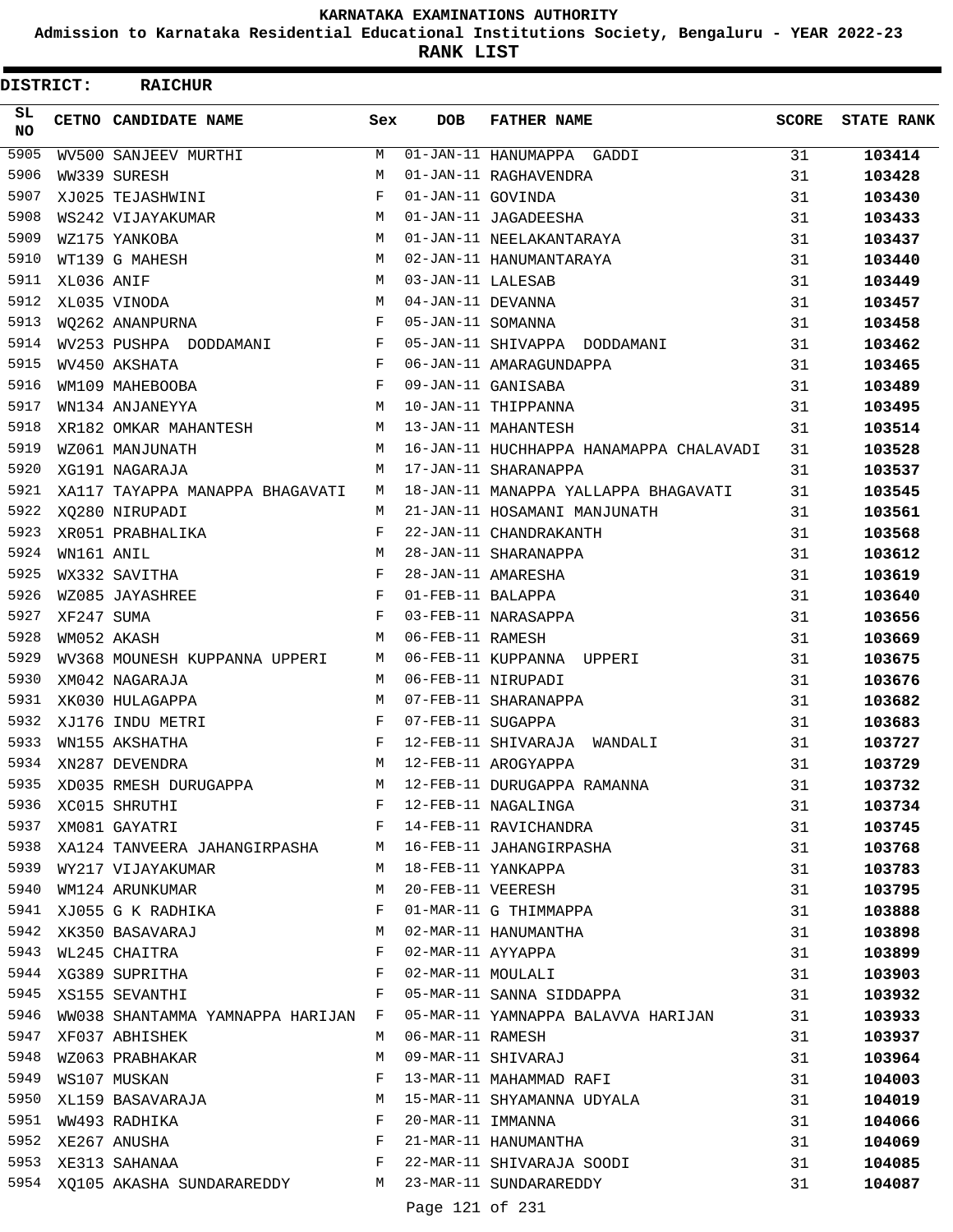**Admission to Karnataka Residential Educational Institutions Society, Bengaluru - YEAR 2022-23**

**RANK LIST**

 $\blacksquare$ 

| DISTRICT:  |            | <b>RAICHUR</b>                                                                                                                                                                                                                                         |              |                   |                                                     |              |                   |
|------------|------------|--------------------------------------------------------------------------------------------------------------------------------------------------------------------------------------------------------------------------------------------------------|--------------|-------------------|-----------------------------------------------------|--------------|-------------------|
| SL.<br>NO. |            | CETNO CANDIDATE NAME                                                                                                                                                                                                                                   | Sex          | <b>DOB</b>        | <b>FATHER NAME</b>                                  | <b>SCORE</b> | <b>STATE RANK</b> |
| 5905       |            | WV500 SANJEEV MURTHI                                                                                                                                                                                                                                   | M            |                   | 01-JAN-11 HANUMAPPA GADDI                           | 31           | 103414            |
| 5906       |            | WW339 SURESH                                                                                                                                                                                                                                           | M            |                   | 01-JAN-11 RAGHAVENDRA                               | 31           | 103428            |
| 5907       |            | XJ025 TEJASHWINI                                                                                                                                                                                                                                       | F            | 01-JAN-11 GOVINDA |                                                     | 31           | 103430            |
| 5908       |            | WS242 VIJAYAKUMAR                                                                                                                                                                                                                                      | М            |                   | 01-JAN-11 JAGADEESHA                                | 31           | 103433            |
| 5909       |            | WZ175 YANKOBA                                                                                                                                                                                                                                          | M            |                   | 01-JAN-11 NEELAKANTARAYA                            | 31           | 103437            |
| 5910       |            | WT139 G MAHESH                                                                                                                                                                                                                                         | М            |                   | 02-JAN-11 HANUMANTARAYA                             | 31           | 103440            |
| 5911       | XL036 ANIF |                                                                                                                                                                                                                                                        | M            | 03-JAN-11 LALESAB |                                                     | 31           | 103449            |
| 5912       |            | XL035 VINODA                                                                                                                                                                                                                                           | M            | 04-JAN-11 DEVANNA |                                                     | 31           | 103457            |
| 5913       |            | WO262 ANANPURNA                                                                                                                                                                                                                                        | F            | 05-JAN-11 SOMANNA |                                                     | 31           | 103458            |
| 5914       |            | WV253 PUSHPA DODDAMANI                                                                                                                                                                                                                                 | F            |                   | 05-JAN-11 SHIVAPPA DODDAMANI                        | 31           | 103462            |
| 5915       |            | WV450 AKSHATA                                                                                                                                                                                                                                          | F            |                   | 06-JAN-11 AMARAGUNDAPPA                             | 31           | 103465            |
| 5916       |            | WM109 MAHEBOOBA                                                                                                                                                                                                                                        | F            |                   | 09-JAN-11 GANISABA                                  | 31           | 103489            |
| 5917       |            | WN134 ANJANEYYA                                                                                                                                                                                                                                        | M            |                   | 10-JAN-11 THIPPANNA                                 | 31           | 103495            |
| 5918       |            | XR182 OMKAR MAHANTESH                                                                                                                                                                                                                                  | M            |                   | 13-JAN-11 MAHANTESH                                 | 31           | 103514            |
| 5919       |            | WZ061 MANJUNATH                                                                                                                                                                                                                                        | M            |                   | 16-JAN-11 HUCHHAPPA HANAMAPPA CHALAVADI             | 31           | 103528            |
| 5920       |            | XG191 NAGARAJA                                                                                                                                                                                                                                         | M            |                   | 17-JAN-11 SHARANAPPA                                | 31           | 103537            |
| 5921       |            | XA117 TAYAPPA MANAPPA BHAGAVATI                                                                                                                                                                                                                        | M            |                   | 18-JAN-11 MANAPPA YALLAPPA BHAGAVATI                | 31           | 103545            |
| 5922       |            | XQ280 NIRUPADI                                                                                                                                                                                                                                         | M            |                   | 21-JAN-11 HOSAMANI MANJUNATH                        | 31           | 103561            |
| 5923       |            | XR051 PRABHALIKA                                                                                                                                                                                                                                       | F            |                   | 22-JAN-11 CHANDRAKANTH                              | 31           | 103568            |
| 5924       | WN161 ANIL |                                                                                                                                                                                                                                                        | M            |                   | 28-JAN-11 SHARANAPPA                                | 31           | 103612            |
| 5925       |            | WX332 SAVITHA                                                                                                                                                                                                                                          | F            |                   | 28-JAN-11 AMARESHA                                  | 31           | 103619            |
| 5926       |            | WZ085 JAYASHREE                                                                                                                                                                                                                                        | $\mathbf{F}$ | 01-FEB-11 BALAPPA |                                                     | 31           | 103640            |
| 5927       | XF247 SUMA |                                                                                                                                                                                                                                                        | $\mathbf{F}$ |                   | 03-FEB-11 NARASAPPA                                 | 31           | 103656            |
| 5928       |            | WM052 AKASH                                                                                                                                                                                                                                            | М            | 06-FEB-11 RAMESH  |                                                     | 31           | 103669            |
| 5929       |            | WV368 MOUNESH KUPPANNA UPPERI                                                                                                                                                                                                                          | M            |                   | 06-FEB-11 KUPPANNA UPPERI                           | 31           | 103675            |
| 5930       |            | XM042 NAGARAJA                                                                                                                                                                                                                                         | M            |                   | 06-FEB-11 NIRUPADI                                  | 31           | 103676            |
| 5931       |            | XK030 HULAGAPPA                                                                                                                                                                                                                                        | M            |                   | 07-FEB-11 SHARANAPPA                                | 31           | 103682            |
| 5932       |            | XJ176 INDU METRI                                                                                                                                                                                                                                       | F            | 07-FEB-11 SUGAPPA |                                                     | 31           | 103683            |
| 5933       |            | WN155 AKSHATHA                                                                                                                                                                                                                                         | F            |                   | 12-FEB-11 SHIVARAJA WANDALI                         | 31           | 103727            |
| 5934       |            | XN287 DEVENDRA                                                                                                                                                                                                                                         | M            |                   | 12-FEB-11 AROGYAPPA                                 | 31           | 103729            |
| 5935       |            |                                                                                                                                                                                                                                                        |              |                   | XD035 RMESH DURUGAPPA M 12-FEB-11 DURUGAPPA RAMANNA | 31           | 103732            |
| 5936       |            | XC015 SHRUTHI                                                                                                                                                                                                                                          |              |                   | F 12-FEB-11 NAGALINGA                               | 31           | 103734            |
| 5937       |            | XM081 GAYATRI                                                                                                                                                                                                                                          |              |                   | F 14-FEB-11 RAVICHANDRA                             | 31           | 103745            |
|            |            | 5938 XA124 TANVEERA JAHANGIRPASHA M 16-FEB-11 JAHANGIRPASHA                                                                                                                                                                                            |              |                   |                                                     | 31           | 103768            |
|            |            | 5939 WY217 VIJAYAKUMAR                                                                                                                                                                                                                                 |              |                   | M 18-FEB-11 YANKAPPA                                | 31           | 103783            |
| 5940       |            | WM124 ARUNKUMAR                                                                                                                                                                                                                                        | M            |                   | 20-FEB-11 VEERESH                                   | 31           | 103795            |
| 5941       |            | XJ055 G K RADHIKA F                                                                                                                                                                                                                                    |              |                   | 01-MAR-11 G THIMMAPPA                               | 31           | 103888            |
| 5942       |            | M<br>XK350 BASAVARAJ                                                                                                                                                                                                                                   |              |                   | 02-MAR-11 HANUMANTHA                                | 31           | 103898            |
|            |            | 5943 WL245 CHAITRA                                                                                                                                                                                                                                     | $\mathbf{F}$ |                   | 02-MAR-11 AYYAPPA                                   | 31           | 103899            |
| 5944       |            | XG389 SUPRITHA                                                                                                                                                                                                                                         | F            |                   | 02-MAR-11 MOULALI                                   | 31           | 103903            |
| 5945       |            | $\mathbf{F}$ and $\mathbf{F}$ are the set of the set of the set of the set of the set of the set of the set of the set of the set of the set of the set of the set of the set of the set of the set of the set of the set of the set<br>XS155 SEVANTHI |              |                   | 05-MAR-11 SANNA SIDDAPPA                            | 31           | 103932            |
| 5946       |            | WW038 SHANTAMMA YAMNAPPA HARIJAN F                                                                                                                                                                                                                     |              |                   | 05-MAR-11 YAMNAPPA BALAVVA HARIJAN                  | 31           | 103933            |
| 5947       |            | XF037 ABHISHEK                                                                                                                                                                                                                                         | M            | 06-MAR-11 RAMESH  |                                                     | 31           | 103937            |
| 5948       |            | WZ063 PRABHAKAR                                                                                                                                                                                                                                        | М            |                   | 09-MAR-11 SHIVARAJ                                  | 31           | 103964            |
| 5949       |            | WS107 MUSKAN                                                                                                                                                                                                                                           | F            |                   | 13-MAR-11 MAHAMMAD RAFI                             | 31           | 104003            |
| 5950       |            | XL159 BASAVARAJA                                                                                                                                                                                                                                       | M            |                   | 15-MAR-11 SHYAMANNA UDYALA                          | 31           | 104019            |
|            |            | 5951 WW493 RADHIKA                                                                                                                                                                                                                                     | $\mathbf{F}$ | 20-MAR-11 IMMANNA |                                                     | 31           | 104066            |
|            |            | 5952 XE267 ANUSHA                                                                                                                                                                                                                                      | F            |                   | 21-MAR-11 HANUMANTHA                                | 31           | 104069            |
|            |            | $\mathbf{F}$ and the contract of the contract $\mathbf{F}$<br>5953 XE313 SAHANAA                                                                                                                                                                       |              |                   | 22-MAR-11 SHIVARAJA SOODI                           | 31           | 104085            |
|            |            | 5954 XQ105 AKASHA SUNDARAREDDY M 23-MAR-11 SUNDARAREDDY                                                                                                                                                                                                |              |                   |                                                     | 31           | 104087            |
|            |            |                                                                                                                                                                                                                                                        |              |                   |                                                     |              |                   |

Page 121 of 231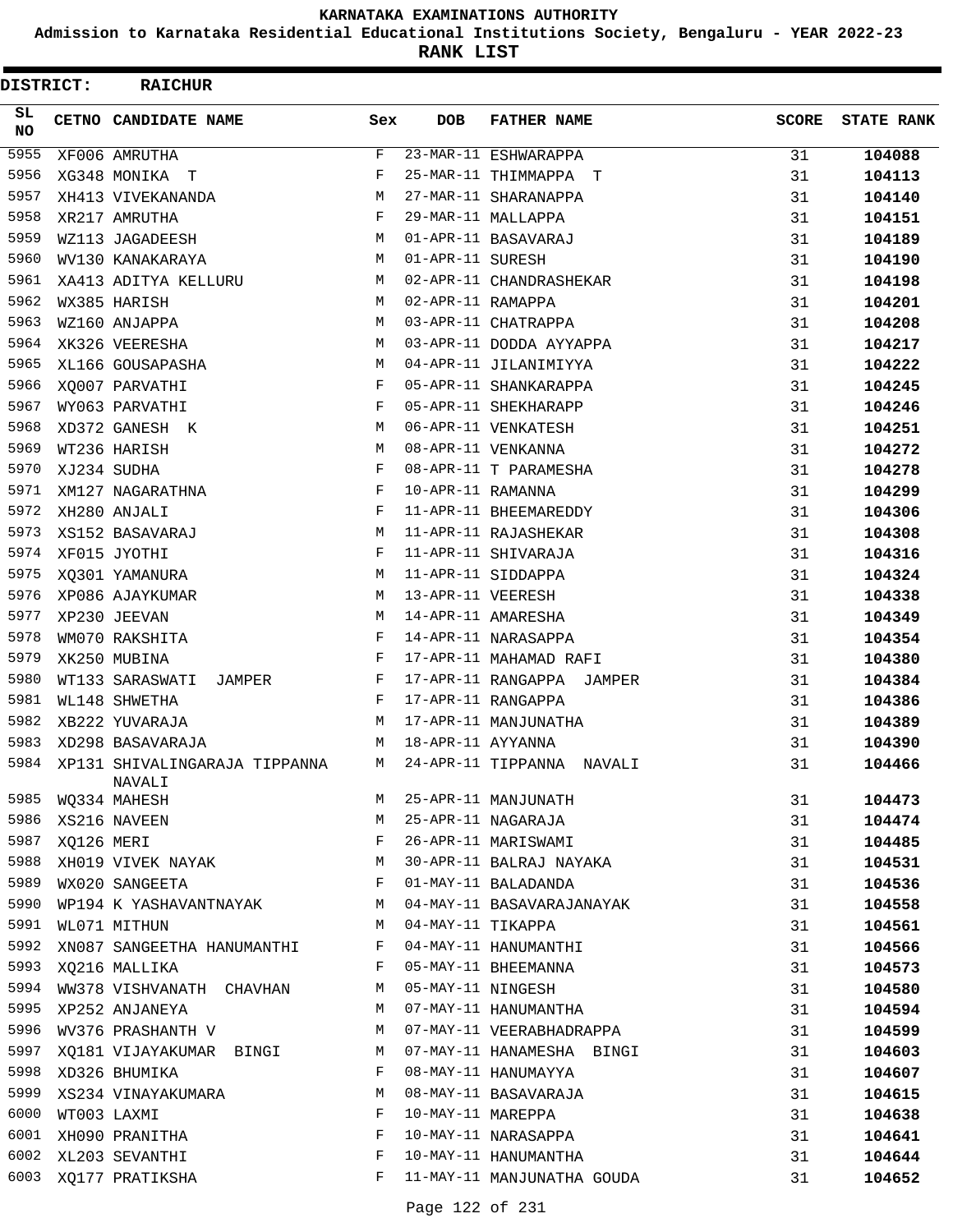**Admission to Karnataka Residential Educational Institutions Society, Bengaluru - YEAR 2022-23**

| DISTRICT: |            | <b>RAICHUR</b>                          |     |                   |                            |              |                   |
|-----------|------------|-----------------------------------------|-----|-------------------|----------------------------|--------------|-------------------|
| SL.<br>NO |            | CETNO CANDIDATE NAME                    | Sex | <b>DOB</b>        | <b>FATHER NAME</b>         | <b>SCORE</b> | <b>STATE RANK</b> |
| 5955      |            | XF006 AMRUTHA                           | F   |                   | 23-MAR-11 ESHWARAPPA       | 31           | 104088            |
| 5956      |            | XG348 MONIKA T                          | F   |                   | 25-MAR-11 THIMMAPPA T      | 31           | 104113            |
| 5957      |            | XH413 VIVEKANANDA                       | М   |                   | 27-MAR-11 SHARANAPPA       | 31           | 104140            |
| 5958      |            | XR217 AMRUTHA                           | F   |                   | 29-MAR-11 MALLAPPA         | 31           | 104151            |
| 5959      |            | WZ113 JAGADEESH                         | М   |                   | 01-APR-11 BASAVARAJ        | 31           | 104189            |
| 5960      |            | WV130 KANAKARAYA                        | М   | 01-APR-11 SURESH  |                            | 31           | 104190            |
| 5961      |            | XA413 ADITYA KELLURU                    | М   |                   | 02-APR-11 CHANDRASHEKAR    | 31           | 104198            |
| 5962      |            | WX385 HARISH                            | М   | 02-APR-11 RAMAPPA |                            | 31           | 104201            |
| 5963      |            | WZ160 ANJAPPA                           | М   |                   | 03-APR-11 CHATRAPPA        | 31           | 104208            |
| 5964      |            | XK326 VEERESHA                          | M   |                   | 03-APR-11 DODDA AYYAPPA    | 31           | 104217            |
| 5965      |            | XL166 GOUSAPASHA                        | M   |                   | 04-APR-11 JILANIMIYYA      | 31           | 104222            |
| 5966      |            | XQ007 PARVATHI                          | F   |                   | 05-APR-11 SHANKARAPPA      | 31           | 104245            |
| 5967      |            | WY063 PARVATHI                          | F   |                   | 05-APR-11 SHEKHARAPP       | 31           | 104246            |
| 5968      |            | XD372 GANESH K                          | M   |                   | 06-APR-11 VENKATESH        | 31           | 104251            |
| 5969      |            | WT236 HARISH                            | M   |                   | 08-APR-11 VENKANNA         | 31           | 104272            |
| 5970      |            | XJ234 SUDHA                             | F   |                   | 08-APR-11 T PARAMESHA      | 31           | 104278            |
| 5971      |            | XM127 NAGARATHNA                        | F   | 10-APR-11 RAMANNA |                            | 31           | 104299            |
| 5972      |            | XH280 ANJALI                            | F   |                   | 11-APR-11 BHEEMAREDDY      | 31           | 104306            |
| 5973      |            | XS152 BASAVARAJ                         | М   |                   | 11-APR-11 RAJASHEKAR       | 31           | 104308            |
| 5974      |            | XF015 JYOTHI                            | F   |                   | 11-APR-11 SHIVARAJA        | 31           | 104316            |
| 5975      |            | XQ301 YAMANURA                          | M   |                   | 11-APR-11 SIDDAPPA         | 31           | 104324            |
| 5976      |            | XP086 AJAYKUMAR                         | M   | 13-APR-11 VEERESH |                            | 31           | 104338            |
| 5977      |            | XP230 JEEVAN                            | M   |                   | 14-APR-11 AMARESHA         | 31           | 104349            |
| 5978      |            | WM070 RAKSHITA                          | F   |                   | 14-APR-11 NARASAPPA        | 31           | 104354            |
| 5979      |            | XK250 MUBINA                            | F   |                   | 17-APR-11 MAHAMAD RAFI     | 31           | 104380            |
| 5980      |            | WT133 SARASWATI JAMPER                  | F   |                   | 17-APR-11 RANGAPPA JAMPER  | 31           | 104384            |
| 5981      |            | WL148 SHWETHA                           | F   |                   | 17-APR-11 RANGAPPA         | 31           | 104386            |
| 5982      |            | XB222 YUVARAJA                          | М   |                   | 17-APR-11 MANJUNATHA       | 31           | 104389            |
| 5983      |            | XD298 BASAVARAJA                        | M   | 18-APR-11 AYYANNA |                            | 31           | 104390            |
| 5984      |            | XP131 SHIVALINGARAJA TIPPANNA<br>NAVALI | M   |                   | 24-APR-11 TIPPANNA NAVALI  | 31           | 104466            |
| 5985      |            | WQ334 MAHESH                            | М   |                   | 25-APR-11 MANJUNATH        | 31           | 104473            |
| 5986      |            | XS216 NAVEEN                            | М   |                   | 25-APR-11 NAGARAJA         | 31           | 104474            |
| 5987      | XQ126 MERI |                                         | F   |                   | 26-APR-11 MARISWAMI        | 31           | 104485            |
| 5988      |            | XH019 VIVEK NAYAK                       | М   |                   | 30-APR-11 BALRAJ NAYAKA    | 31           | 104531            |
| 5989      |            | WX020 SANGEETA                          | F   |                   | 01-MAY-11 BALADANDA        | 31           | 104536            |
|           |            | 5990 WP194 K YASHAVANTNAYAK             | M   |                   | 04-MAY-11 BASAVARAJANAYAK  | 31           | 104558            |
| 5991      |            | WL071 MITHUN                            | M   | 04-MAY-11 TIKAPPA |                            | 31           | 104561            |
| 5992      |            | XN087 SANGEETHA HANUMANTHI              | F   |                   | 04-MAY-11 HANUMANTHI       | 31           | 104566            |
| 5993      |            | XQ216 MALLIKA                           | F   |                   | 05-MAY-11 BHEEMANNA        | 31           | 104573            |
| 5994      |            | WW378 VISHVANATH CHAVHAN                | M   | 05-MAY-11 NINGESH |                            | 31           | 104580            |
| 5995      |            | XP252 ANJANEYA                          | М   |                   | 07-MAY-11 HANUMANTHA       | 31           | 104594            |
| 5996      |            | WV376 PRASHANTH V                       | M   |                   | 07-MAY-11 VEERABHADRAPPA   | 31           | 104599            |
| 5997      |            | XQ181 VIJAYAKUMAR BINGI                 | M   |                   | 07-MAY-11 HANAMESHA BINGI  | 31           | 104603            |
|           |            | 5998 XD326 BHUMIKA                      | F   |                   | 08-MAY-11 HANUMAYYA        | 31           | 104607            |
| 5999      |            | XS234 VINAYAKUMARA                      | М   |                   | 08-MAY-11 BASAVARAJA       | 31           | 104615            |
| 6000      |            | WT003 LAXMI                             | F   | 10-MAY-11 MAREPPA |                            | 31           | 104638            |
| 6001      |            | XH090 PRANITHA                          | F   |                   | 10-MAY-11 NARASAPPA        | 31           | 104641            |
| 6002      |            | XL203 SEVANTHI                          | F   |                   | 10-MAY-11 HANUMANTHA       | 31           | 104644            |
| 6003      |            | XQ177 PRATIKSHA                         | F   |                   | 11-MAY-11 MANJUNATHA GOUDA | 31           | 104652            |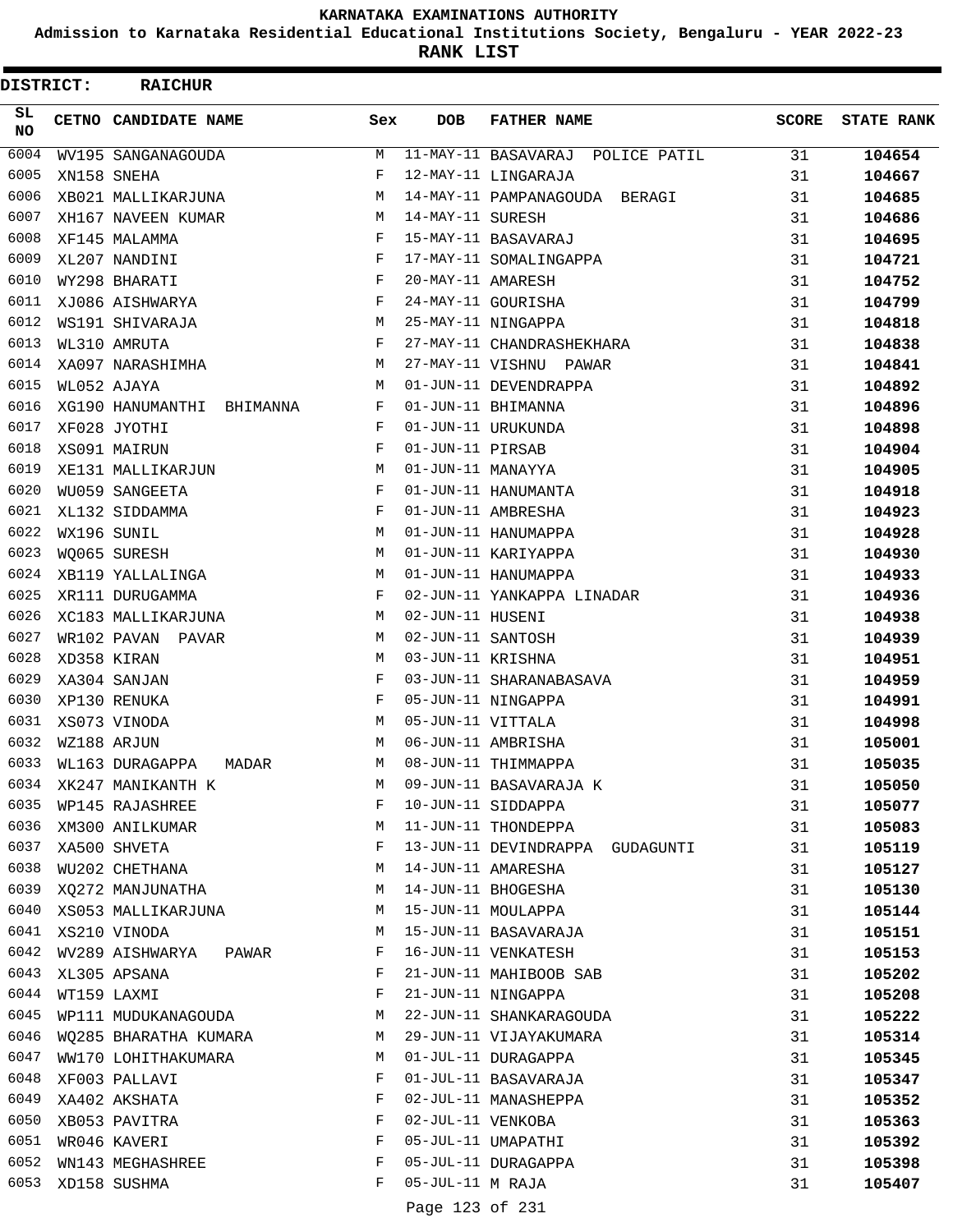**Admission to Karnataka Residential Educational Institutions Society, Bengaluru - YEAR 2022-23**

**RANK LIST**

| DISTRICT:       |             | <b>RAICHUR</b>               |     |                   |                                  |              |                   |
|-----------------|-------------|------------------------------|-----|-------------------|----------------------------------|--------------|-------------------|
| SL<br><b>NO</b> |             | CETNO CANDIDATE NAME         | Sex | <b>DOB</b>        | <b>FATHER NAME</b>               | <b>SCORE</b> | <b>STATE RANK</b> |
| 6004            |             | WV195 SANGANAGOUDA           | М   |                   | 11-MAY-11 BASAVARAJ POLICE PATIL | 31           | 104654            |
| 6005            |             | XN158 SNEHA                  | F   |                   | 12-MAY-11 LINGARAJA              | 31           | 104667            |
| 6006            |             | XB021 MALLIKARJUNA           | М   |                   | 14-MAY-11 PAMPANAGOUDA BERAGI    | 31           | 104685            |
| 6007            |             | XH167 NAVEEN KUMAR           | М   | 14-MAY-11 SURESH  |                                  | 31           | 104686            |
| 6008            |             | XF145 MALAMMA                | F   |                   | 15-MAY-11 BASAVARAJ              | 31           | 104695            |
| 6009            |             | XL207 NANDINI                | F   |                   | 17-MAY-11 SOMALINGAPPA           | 31           | 104721            |
| 6010            |             | WY298 BHARATI                | F   | 20-MAY-11 AMARESH |                                  | 31           | 104752            |
| 6011            |             | XJ086 AISHWARYA              | F   |                   | 24-MAY-11 GOURISHA               | 31           | 104799            |
| 6012            |             | WS191 SHIVARAJA              | М   |                   | 25-MAY-11 NINGAPPA               | 31           | 104818            |
| 6013            |             | WL310 AMRUTA                 | F   |                   | 27-MAY-11 CHANDRASHEKHARA        | 31           | 104838            |
| 6014            |             | XA097 NARASHIMHA             | М   |                   | 27-MAY-11 VISHNU PAWAR           | 31           | 104841            |
| 6015            |             | WL052 AJAYA                  | М   |                   | 01-JUN-11 DEVENDRAPPA            | 31           | 104892            |
| 6016            |             | XG190 HANUMANTHI<br>BHIMANNA | F   |                   | 01-JUN-11 BHIMANNA               | 31           | 104896            |
| 6017            |             | XF028 JYOTHI                 | F   |                   | 01-JUN-11 URUKUNDA               | 31           | 104898            |
| 6018            |             | XS091 MAIRUN                 | F   | 01-JUN-11 PIRSAB  |                                  | 31           | 104904            |
| 6019            |             | XE131 MALLIKARJUN            | М   | 01-JUN-11 MANAYYA |                                  | 31           | 104905            |
| 6020            |             | WU059 SANGEETA               | F   |                   | 01-JUN-11 HANUMANTA              | 31           | 104918            |
| 6021            |             | XL132 SIDDAMMA               | F   |                   | 01-JUN-11 AMBRESHA               | 31           | 104923            |
| 6022            | WX196 SUNIL |                              | М   |                   | 01-JUN-11 HANUMAPPA              | 31           | 104928            |
| 6023            |             | WO065 SURESH                 | М   |                   | 01-JUN-11 KARIYAPPA              | 31           | 104930            |
| 6024            |             | XB119 YALLALINGA             | М   |                   | 01-JUN-11 HANUMAPPA              | 31           | 104933            |
| 6025            |             | XR111 DURUGAMMA              | F   |                   | 02-JUN-11 YANKAPPA LINADAR       | 31           | 104936            |
| 6026            |             | XC183 MALLIKARJUNA           | М   | 02-JUN-11 HUSENI  |                                  | 31           | 104938            |
| 6027            |             | WR102 PAVAN<br>PAVAR         | М   | 02-JUN-11 SANTOSH |                                  | 31           | 104939            |
| 6028            |             | XD358 KIRAN                  | М   | 03-JUN-11 KRISHNA |                                  | 31           | 104951            |
| 6029            |             | XA304 SANJAN                 | F   |                   | 03-JUN-11 SHARANABASAVA          | 31           | 104959            |
| 6030            |             | XP130 RENUKA                 | F   |                   | 05-JUN-11 NINGAPPA               | 31           | 104991            |
| 6031            |             | XS073 VINODA                 | М   | 05-JUN-11 VITTALA |                                  | 31           | 104998            |
| 6032            | WZ188 ARJUN |                              | М   |                   | 06-JUN-11 AMBRISHA               | 31           | 105001            |
| 6033            |             | WL163 DURAGAPPA<br>MADAR     | М   |                   | 08-JUN-11 THIMMAPPA              | 31           | 105035            |
| 6034            |             | XK247 MANIKANTH K            | М   |                   | 09-JUN-11 BASAVARAJA K           | 31           | 105050            |
| 6035            |             | WP145 RAJASHREE              | F   |                   | 10-JUN-11 SIDDAPPA               | 31           | 105077            |
| 6036            |             | XM300 ANILKUMAR              | М   |                   | 11-JUN-11 THONDEPPA              | 31           | 105083            |
| 6037            |             | XA500 SHVETA                 | F   |                   | 13-JUN-11 DEVINDRAPPA GUDAGUNTI  | 31           | 105119            |
| 6038            |             | WU202 CHETHANA               | М   |                   | 14-JUN-11 AMARESHA               | 31           | 105127            |
| 6039            |             | XQ272 MANJUNATHA             | М   |                   | 14-JUN-11 BHOGESHA               | 31           | 105130            |
| 6040            |             | XS053 MALLIKARJUNA           | M   |                   | 15-JUN-11 MOULAPPA               | 31           | 105144            |
| 6041            |             | XS210 VINODA                 | М   |                   | 15-JUN-11 BASAVARAJA             | 31           | 105151            |
| 6042            |             | WV289 AISHWARYA PAWAR        | F   |                   | 16-JUN-11 VENKATESH              | 31           | 105153            |
| 6043            |             | XL305 APSANA                 | F   |                   | 21-JUN-11 MAHIBOOB SAB           | 31           | 105202            |
| 6044            |             | WT159 LAXMI                  | F   |                   | 21-JUN-11 NINGAPPA               | 31           | 105208            |
| 6045            |             | WP111 MUDUKANAGOUDA          | M   |                   | 22-JUN-11 SHANKARAGOUDA          | 31           | 105222            |
| 6046            |             | WQ285 BHARATHA KUMARA        | М   |                   | 29-JUN-11 VIJAYAKUMARA           | 31           | 105314            |
| 6047            |             | WW170 LOHITHAKUMARA          | М   |                   | 01-JUL-11 DURAGAPPA              | 31           | 105345            |
| 6048            |             | XF003 PALLAVI                | F   |                   | 01-JUL-11 BASAVARAJA             | 31           | 105347            |
| 6049            |             | XA402 AKSHATA                | F   |                   | 02-JUL-11 MANASHEPPA             | 31           | 105352            |
| 6050            |             | XB053 PAVITRA                | F   | 02-JUL-11 VENKOBA |                                  | 31           | 105363            |
| 6051            |             | WR046 KAVERI                 | F   |                   | 05-JUL-11 UMAPATHI               | 31           | 105392            |
| 6052            |             | WN143 MEGHASHREE             | F   |                   | 05-JUL-11 DURAGAPPA              | 31           | 105398            |
| 6053            |             | XD158 SUSHMA                 | F   | 05-JUL-11 M RAJA  |                                  | 31           | 105407            |
|                 |             |                              |     | Page 123 of 231   |                                  |              |                   |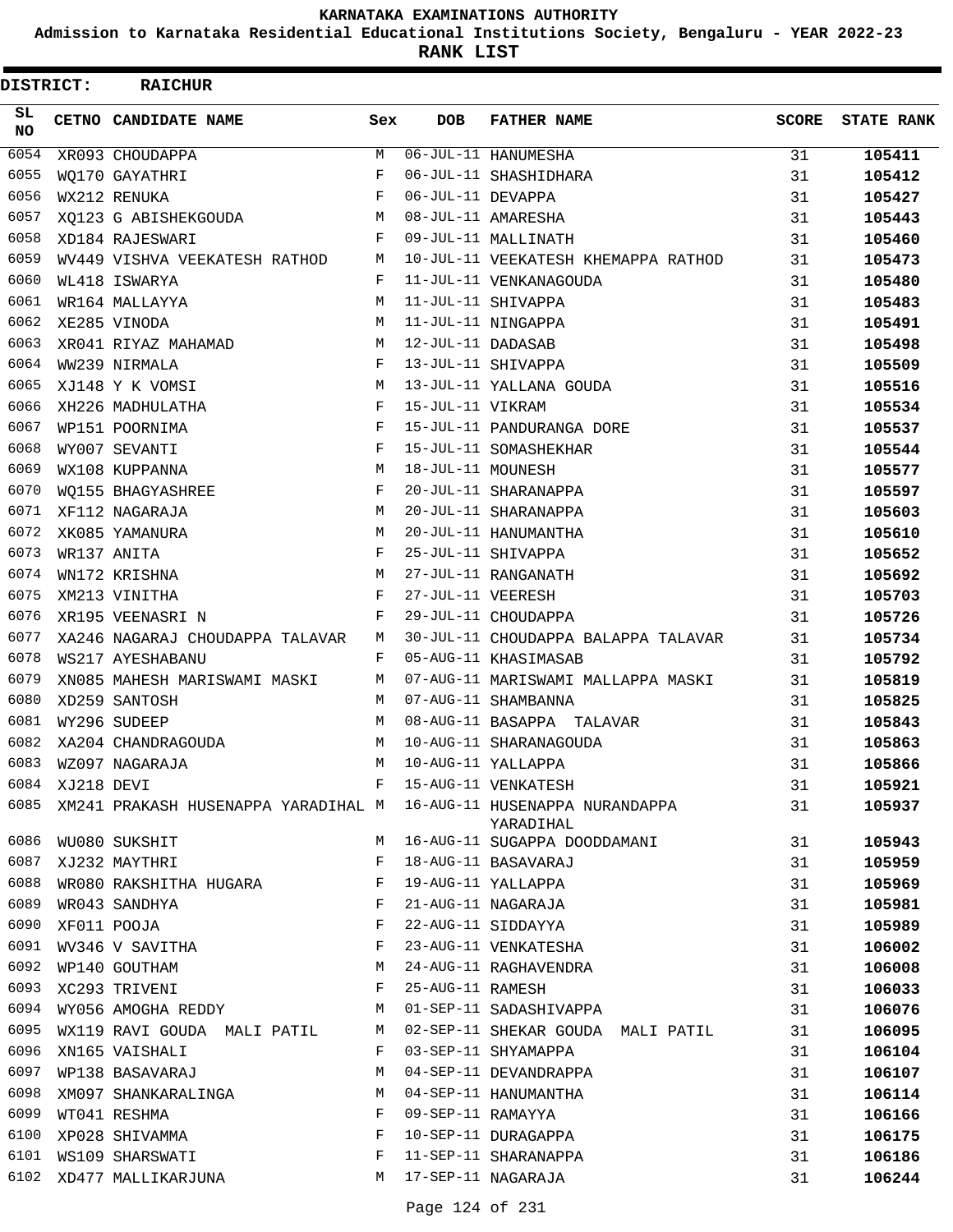**Admission to Karnataka Residential Educational Institutions Society, Bengaluru - YEAR 2022-23**

**RANK LIST**

| DISTRICT:       |                 | <b>RAICHUR</b>                  |              |                   |                                                                                 |              |                   |
|-----------------|-----------------|---------------------------------|--------------|-------------------|---------------------------------------------------------------------------------|--------------|-------------------|
| SL<br><b>NO</b> |                 | CETNO CANDIDATE NAME            | Sex          | <b>DOB</b>        | <b>FATHER NAME</b>                                                              | <b>SCORE</b> | <b>STATE RANK</b> |
| 6054            |                 | XR093 CHOUDAPPA                 | М            |                   | 06-JUL-11 HANUMESHA                                                             | 31           | 105411            |
| 6055            |                 | WO170 GAYATHRI                  | F            |                   | 06-JUL-11 SHASHIDHARA                                                           | 31           | 105412            |
| 6056            |                 | WX212 RENUKA                    | F            | 06-JUL-11 DEVAPPA |                                                                                 | 31           | 105427            |
| 6057            |                 | XO123 G ABISHEKGOUDA            | M            |                   | 08-JUL-11 AMARESHA                                                              | 31           | 105443            |
| 6058            |                 | XD184 RAJESWARI                 | F            |                   | 09-JUL-11 MALLINATH                                                             | 31           | 105460            |
| 6059            |                 | WV449 VISHVA VEEKATESH RATHOD   | M            |                   | 10-JUL-11 VEEKATESH KHEMAPPA RATHOD                                             | 31           | 105473            |
| 6060            |                 | WL418 ISWARYA                   | F            |                   | 11-JUL-11 VENKANAGOUDA                                                          | 31           | 105480            |
| 6061            |                 | WR164 MALLAYYA                  | М            |                   | 11-JUL-11 SHIVAPPA                                                              | 31           | 105483            |
| 6062            |                 | XE285 VINODA                    | М            |                   | 11-JUL-11 NINGAPPA                                                              | 31           | 105491            |
| 6063            |                 | XR041 RIYAZ MAHAMAD             | M            | 12-JUL-11 DADASAB |                                                                                 | 31           | 105498            |
| 6064            |                 | WW239 NIRMALA                   | F            |                   | 13-JUL-11 SHIVAPPA                                                              | 31           | 105509            |
| 6065            |                 | XJ148 Y K VOMSI                 | М            |                   | 13-JUL-11 YALLANA GOUDA                                                         | 31           | 105516            |
| 6066            |                 | XH226 MADHULATHA                | F            | 15-JUL-11 VIKRAM  |                                                                                 | 31           | 105534            |
| 6067            |                 | WP151 POORNIMA                  | F            |                   | 15-JUL-11 PANDURANGA DORE                                                       | 31           | 105537            |
| 6068            |                 | WY007 SEVANTI                   | F            |                   | 15-JUL-11 SOMASHEKHAR                                                           | 31           | 105544            |
| 6069            |                 | WX108 KUPPANNA                  | М            | 18-JUL-11 MOUNESH |                                                                                 | 31           | 105577            |
| 6070            |                 | WO155 BHAGYASHREE               | F            |                   | 20-JUL-11 SHARANAPPA                                                            | 31           | 105597            |
| 6071            |                 | XF112 NAGARAJA                  | М            |                   | 20-JUL-11 SHARANAPPA                                                            | 31           | 105603            |
| 6072            |                 | XK085 YAMANURA                  | M            |                   | 20-JUL-11 HANUMANTHA                                                            | 31           | 105610            |
| 6073            |                 | WR137 ANITA                     | F            |                   | 25-JUL-11 SHIVAPPA                                                              | 31           | 105652            |
| 6074            |                 | WN172 KRISHNA                   | M            |                   | 27-JUL-11 RANGANATH                                                             | 31           | 105692            |
| 6075            |                 | XM213 VINITHA                   | F            | 27-JUL-11 VEERESH |                                                                                 | 31           | 105703            |
| 6076            |                 | XR195 VEENASRI N                | F            |                   | 29-JUL-11 CHOUDAPPA                                                             | 31           | 105726            |
| 6077            |                 | XA246 NAGARAJ CHOUDAPPA TALAVAR | М            |                   | 30-JUL-11 CHOUDAPPA BALAPPA TALAVAR                                             | 31           | 105734            |
| 6078            |                 | WS217 AYESHABANU                | F            |                   | 05-AUG-11 KHASIMASAB                                                            | 31           | 105792            |
| 6079            |                 | XN085 MAHESH MARISWAMI MASKI    | M            |                   | 07-AUG-11 MARISWAMI MALLAPPA MASKI                                              | 31           | 105819            |
| 6080            |                 | XD259 SANTOSH                   | M            |                   | 07-AUG-11 SHAMBANNA                                                             | 31           | 105825            |
| 6081            |                 | WY296 SUDEEP                    | М            |                   | 08-AUG-11 BASAPPA TALAVAR                                                       | 31           | 105843            |
| 6082            |                 | XA204 CHANDRAGOUDA              | М            |                   | 10-AUG-11 SHARANAGOUDA                                                          | 31           | 105863            |
| 6083            |                 | WZ097 NAGARAJA                  | M            |                   | 10-AUG-11 YALLAPPA                                                              | 31           | 105866            |
|                 | 6084 XJ218 DEVI |                                 | F            |                   | 15-AUG-11 VENKATESH                                                             | 31           | 105921            |
| 6085            |                 |                                 |              |                   | XM241 PRAKASH HUSENAPPA YARADIHAL M 16-AUG-11 HUSENAPPA NURANDAPPA<br>YARADIHAL | 31           | 105937            |
| 6086            |                 | WU080 SUKSHIT                   | M            |                   | 16-AUG-11 SUGAPPA DOODDAMANI                                                    | 31           | 105943            |
| 6087            |                 | XJ232 MAYTHRI                   | F            |                   | 18-AUG-11 BASAVARAJ                                                             | 31           | 105959            |
| 6088            |                 | WR080 RAKSHITHA HUGARA          | $\mathbf{F}$ |                   | 19-AUG-11 YALLAPPA                                                              | 31           | 105969            |
| 6089            |                 | WR043 SANDHYA                   | F            |                   | 21-AUG-11 NAGARAJA                                                              | 31           | 105981            |
| 6090            |                 | XF011 POOJA                     | F            |                   | 22-AUG-11 SIDDAYYA                                                              | 31           | 105989            |
| 6091            |                 | WV346 V SAVITHA                 | F            |                   | 23-AUG-11 VENKATESHA                                                            | 31           | 106002            |
| 6092            |                 | WP140 GOUTHAM                   | М            |                   | 24-AUG-11 RAGHAVENDRA                                                           | 31           | 106008            |
|                 |                 | 6093 XC293 TRIVENI              | F            | 25-AUG-11 RAMESH  |                                                                                 | 31           | 106033            |
| 6094            |                 | WY056 AMOGHA REDDY              | M            |                   | 01-SEP-11 SADASHIVAPPA                                                          | 31           | 106076            |
| 6095            |                 | WX119 RAVI GOUDA MALI PATIL     | M            |                   | 02-SEP-11 SHEKAR GOUDA MALI PATIL                                               | 31           | 106095            |
| 6096            |                 | XN165 VAISHALI                  | F            |                   | 03-SEP-11 SHYAMAPPA                                                             | 31           | 106104            |
| 6097            |                 | WP138 BASAVARAJ                 | M            |                   | 04-SEP-11 DEVANDRAPPA                                                           | 31           | 106107            |
| 6098            |                 | XM097 SHANKARALINGA             | M            |                   | 04-SEP-11 HANUMANTHA                                                            | 31           | 106114            |
| 6099            |                 | WT041 RESHMA                    | F            | 09-SEP-11 RAMAYYA |                                                                                 | 31           | 106166            |
| 6100            |                 | XP028 SHIVAMMA                  | F            |                   | 10-SEP-11 DURAGAPPA                                                             | 31           | 106175            |
| 6101            |                 | WS109 SHARSWATI                 | F            |                   | 11-SEP-11 SHARANAPPA                                                            | 31           | 106186            |
| 6102            |                 | XD477 MALLIKARJUNA              | M            |                   | 17-SEP-11 NAGARAJA                                                              | 31           | 106244            |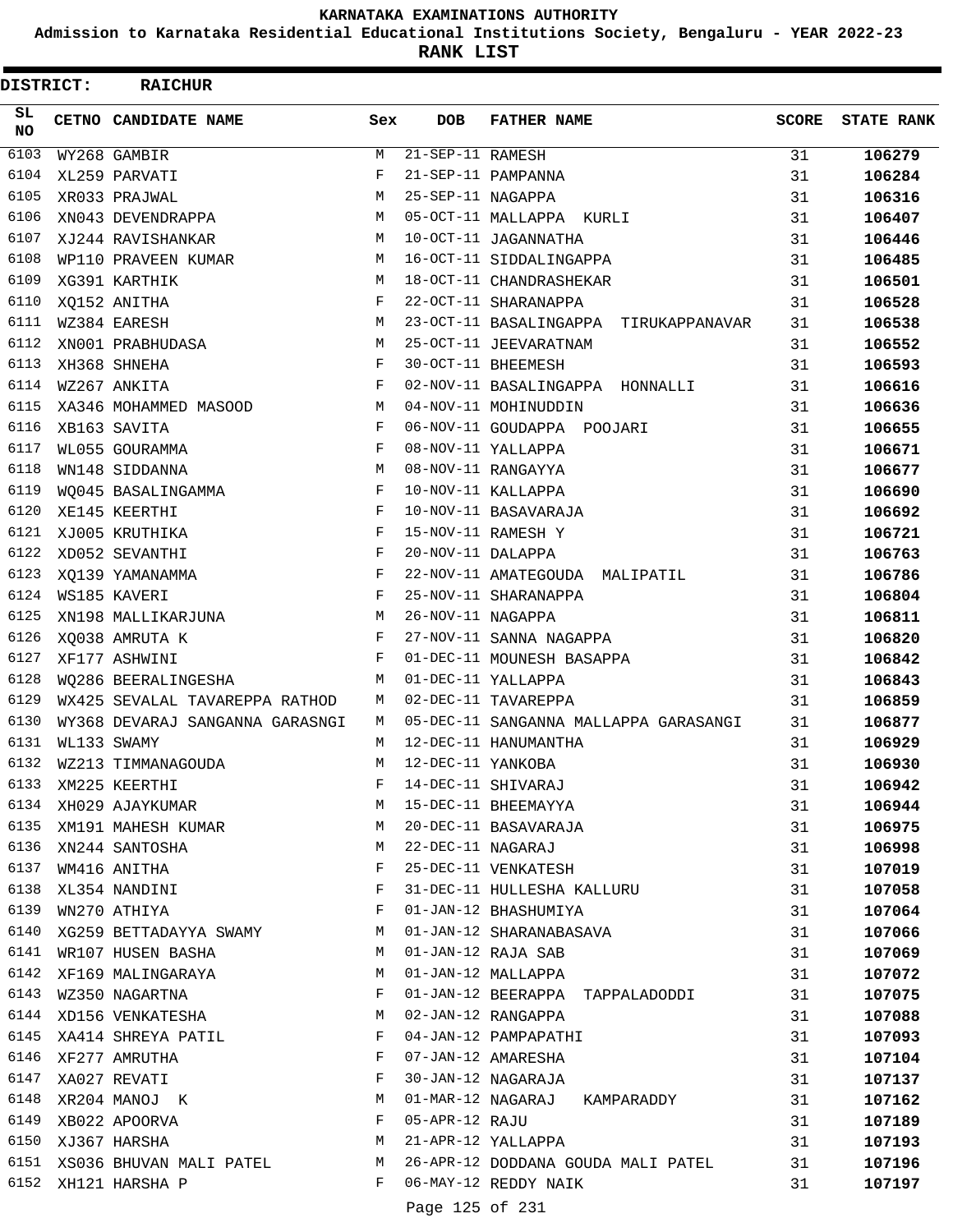**Admission to Karnataka Residential Educational Institutions Society, Bengaluru - YEAR 2022-23**

**RANK LIST**

| DISTRICT:    | <b>RAICHUR</b>                                  |        |                        |                                                                |              |                   |
|--------------|-------------------------------------------------|--------|------------------------|----------------------------------------------------------------|--------------|-------------------|
| SL<br>NO.    | CETNO CANDIDATE NAME                            | Sex    | <b>DOB</b>             | <b>FATHER NAME</b>                                             | <b>SCORE</b> | <b>STATE RANK</b> |
| 6103         | WY268 GAMBIR                                    | М      | $21 - SEP - 11$ RAMESH |                                                                | 31           | 106279            |
| 6104         | XL259 PARVATI                                   | F      |                        | 21-SEP-11 PAMPANNA                                             | 31           | 106284            |
| 6105         | XR033 PRAJWAL                                   | M      | 25-SEP-11 NAGAPPA      |                                                                | 31           | 106316            |
| 6106         | XN043 DEVENDRAPPA                               | M      |                        | 05-OCT-11 MALLAPPA KURLI                                       | 31           | 106407            |
| 6107         | XJ244 RAVISHANKAR                               | M      |                        | 10-OCT-11 JAGANNATHA                                           | 31           | 106446            |
| 6108         | WP110 PRAVEEN KUMAR                             | M      |                        | 16-OCT-11 SIDDALINGAPPA                                        | 31           | 106485            |
| 6109         | XG391 KARTHIK                                   | M      |                        | 18-OCT-11 CHANDRASHEKAR                                        | 31           | 106501            |
| 6110         | XQ152 ANITHA                                    | F      |                        | 22-OCT-11 SHARANAPPA                                           | 31           | 106528            |
| 6111         | WZ384 EARESH                                    | M      |                        | 23-OCT-11 BASALINGAPPA TIRUKAPPANAVAR                          | 31           | 106538            |
| 6112         | XN001 PRABHUDASA                                | M      |                        | 25-OCT-11 JEEVARATNAM                                          | 31           | 106552            |
| 6113         | XH368 SHNEHA                                    | F      |                        | 30-OCT-11 BHEEMESH                                             | 31           | 106593            |
| 6114         | WZ267 ANKITA                                    | F      |                        | 02-NOV-11 BASALINGAPPA HONNALLI                                | 31           | 106616            |
| 6115         | XA346 MOHAMMED MASOOD                           | M      |                        | 04-NOV-11 MOHINUDDIN                                           | 31           | 106636            |
| 6116         | XB163 SAVITA                                    | F      |                        | 06-NOV-11 GOUDAPPA POOJARI                                     | 31           | 106655            |
| 6117         | WL055 GOURAMMA                                  | F      |                        | 08-NOV-11 YALLAPPA                                             | 31           | 106671            |
| 6118         | WN148 SIDDANNA                                  | M      |                        | 08-NOV-11 RANGAYYA                                             | 31           | 106677            |
| 6119         | WQ045 BASALINGAMMA                              | F      |                        | 10-NOV-11 KALLAPPA                                             | 31           | 106690            |
| 6120         | XE145 KEERTHI                                   | F      |                        | 10-NOV-11 BASAVARAJA                                           | 31           | 106692            |
| 6121         | XJ005 KRUTHIKA                                  | F      |                        | 15-NOV-11 RAMESH Y                                             | 31           | 106721            |
| 6122         | XD052 SEVANTHI                                  | F      | 20-NOV-11 DALAPPA      |                                                                | 31           | 106763            |
| 6123         | XO139 YAMANAMMA                                 | F      |                        | 22-NOV-11 AMATEGOUDA MALIPATIL                                 | 31           | 106786            |
| 6124         | WS185 KAVERI                                    | F      |                        | 25-NOV-11 SHARANAPPA                                           | 31           | 106804            |
| 6125         | XN198 MALLIKARJUNA                              | M      | 26-NOV-11 NAGAPPA      |                                                                | 31           | 106811            |
| 6126         | XQ038 AMRUTA K                                  | F      |                        | 27-NOV-11 SANNA NAGAPPA                                        | 31           | 106820            |
| 6127         | XF177 ASHWINI                                   | F      |                        | 01-DEC-11 MOUNESH BASAPPA                                      | 31           | 106842            |
| 6128         | WQ286 BEERALINGESHA                             | M      |                        | 01-DEC-11 YALLAPPA                                             | 31           | 106843            |
| 6129         | WX425 SEVALAL TAVAREPPA RATHOD                  | M      |                        | 02-DEC-11 TAVAREPPA                                            | 31           | 106859            |
| 6130<br>6131 | WY368 DEVARAJ SANGANNA GARASNGI                 | M      |                        | 05-DEC-11 SANGANNA MALLAPPA GARASANGI                          | 31           | 106877            |
| 6132         | WL133 SWAMY                                     | M<br>M | 12-DEC-11 YANKOBA      | 12-DEC-11 HANUMANTHA                                           | 31           | 106929            |
| 6133         | WZ213 TIMMANAGOUDA                              | F      |                        |                                                                | 31           | 106930            |
| 6134         | XM225 KEERTHI<br>XH029 AJAYKUMAR                | M      |                        | 12 222 11 INNOCII<br>14-DEC-11 SHIVARAJ<br>15-DEC-11 BHEEMAYYA | 31           | 106942            |
| 6135         |                                                 |        |                        | 20-DEC-11 BASAVARAJA                                           | 31           | 106944            |
| 6136         | XM191 MAHESH KUMAR M<br>XN244 SANTOSHA          | M      | 22-DEC-11 NAGARAJ      |                                                                | 31           | 106975            |
| 6137         |                                                 | F      |                        | 25-DEC-11 VENKATESH                                            | 31           | 106998            |
| 6138         | WM416 ANITHA<br>XL354 NANDINI                   | F      |                        | 31-DEC-11 HULLESHA KALLURU                                     | 31<br>31     | 107019<br>107058  |
| 6139         | WN270 ATHIYA                                    | F      |                        | 01-JAN-12 BHASHUMIYA                                           | 31           | 107064            |
| 6140         |                                                 |        |                        | 01-JAN-12 SHARANABASAVA                                        | 31           | 107066            |
| 6141         | XG259 BETTADAYYA SWAMY M<br>WR107 HUSEN BASHA M |        |                        | 01-JAN-12 RAJA SAB                                             | 31           | 107069            |
| 6142         | XF169 MALINGARAYA                               | M      |                        | 01-JAN-12 MALLAPPA                                             | 31           | 107072            |
| 6143         | $\mathbf{F}$ and $\mathbf{F}$<br>WZ350 NAGARTNA |        |                        | 01-JAN-12 BEERAPPA TAPPALADODDI                                | 31           | 107075            |
|              | 6144 XD156 VENKATESHA                           | M      |                        | 02-JAN-12 RANGAPPA                                             | 31           | 107088            |
| 6145         | XA414 SHREYA PATIL                              | F      |                        | 04-JAN-12 PAMPAPATHI                                           | 31           | 107093            |
| 6146         | XF277 AMRUTHA                                   | F      |                        | 07-JAN-12 AMARESHA                                             | 31           | 107104            |
| 6147         | XA027 REVATI                                    | F      |                        | 30-JAN-12 NAGARAJA                                             | 31           | 107137            |
| 6148         | XR204 MANOJ K                                   | M      |                        | 01-MAR-12 NAGARAJ KAMPARADDY                                   | 31           | 107162            |
| 6149         | XB022 APOORVA                                   | F      | 05-APR-12 RAJU         |                                                                | 31           | 107189            |
|              | 6150 XJ367 HARSHA<br><b>M</b>                   |        |                        | 21-APR-12 YALLAPPA                                             | 31           | 107193            |
|              | 6151 XS036 BHUVAN MALI PATEL M                  |        |                        | 26-APR-12 DODDANA GOUDA MALI PATEL                             | 31           | 107196            |
|              | 6152 XH121 HARSHA P                             | F      |                        | 06-MAY-12 REDDY NAIK                                           | 31           | 107197            |
|              |                                                 |        | Page 125 of 231        |                                                                |              |                   |
|              |                                                 |        |                        |                                                                |              |                   |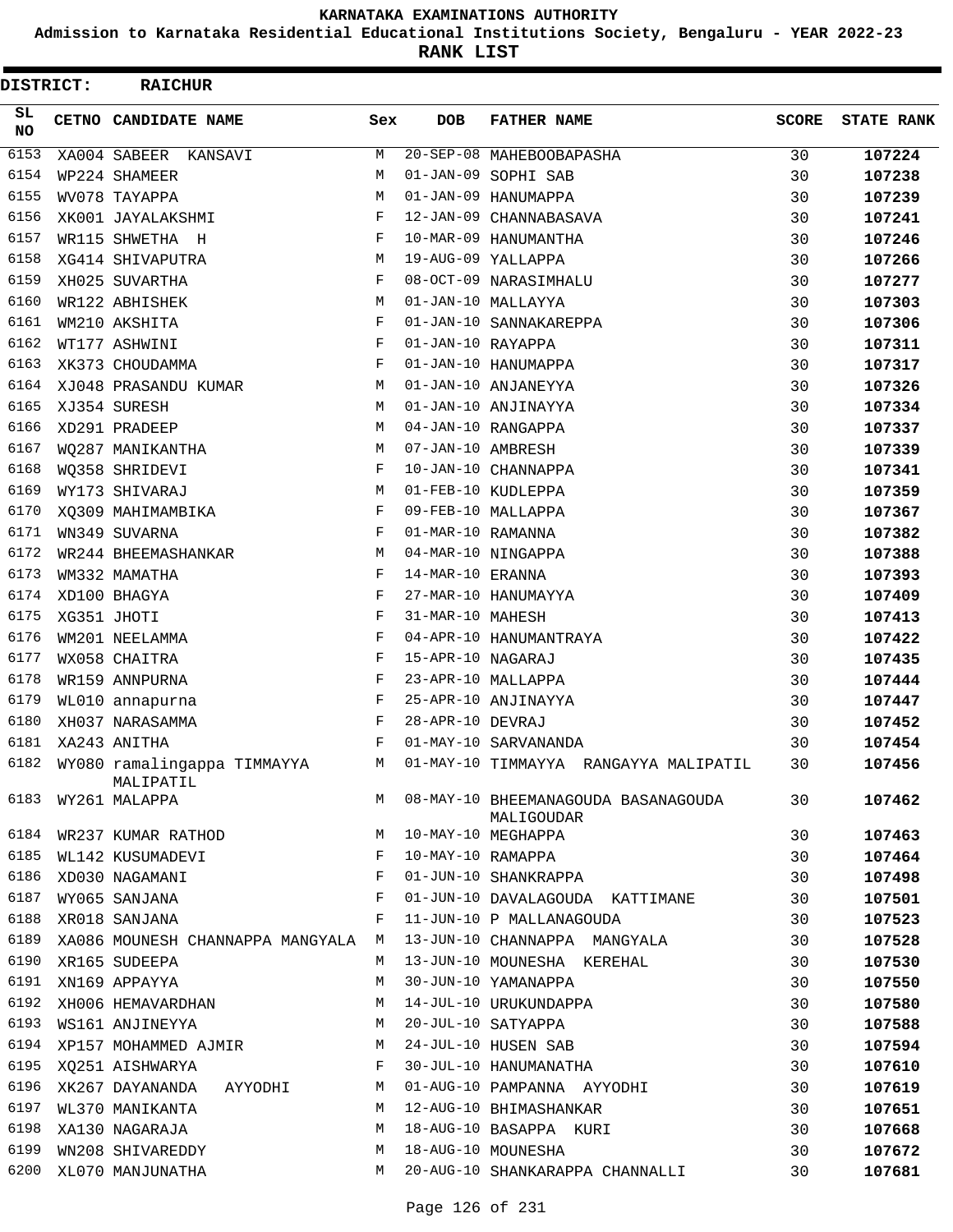**Admission to Karnataka Residential Educational Institutions Society, Bengaluru - YEAR 2022-23**

**RANK LIST**

| DISTRICT: | <b>RAICHUR</b>                           |     |                   |                                                   |              |                   |
|-----------|------------------------------------------|-----|-------------------|---------------------------------------------------|--------------|-------------------|
| SL<br>NO  | CETNO CANDIDATE NAME                     | Sex | <b>DOB</b>        | <b>FATHER NAME</b>                                | <b>SCORE</b> | <b>STATE RANK</b> |
| 6153      | XA004 SABEER KANSAVI                     | М   |                   | 20-SEP-08 MAHEBOOBAPASHA                          | 30           | 107224            |
| 6154      | WP224 SHAMEER                            | М   |                   | 01-JAN-09 SOPHI SAB                               | 30           | 107238            |
| 6155      | WV078 TAYAPPA                            | М   |                   | 01-JAN-09 HANUMAPPA                               | 30           | 107239            |
| 6156      | XK001 JAYALAKSHMI                        | F   |                   | 12-JAN-09 CHANNABASAVA                            | 30           | 107241            |
| 6157      | WR115 SHWETHA H                          | F   |                   | 10-MAR-09 HANUMANTHA                              | 30           | 107246            |
| 6158      | XG414 SHIVAPUTRA                         | М   |                   | 19-AUG-09 YALLAPPA                                | 30           | 107266            |
| 6159      | XH025 SUVARTHA                           | F   |                   | 08-OCT-09 NARASIMHALU                             | 30           | 107277            |
| 6160      | WR122 ABHISHEK                           | М   |                   | 01-JAN-10 MALLAYYA                                | 30           | 107303            |
| 6161      | WM210 AKSHITA                            | F   |                   | 01-JAN-10 SANNAKAREPPA                            | 30           | 107306            |
| 6162      | WT177 ASHWINI                            | F   | 01-JAN-10 RAYAPPA |                                                   | 30           | 107311            |
| 6163      | XK373 CHOUDAMMA                          | F   |                   | 01-JAN-10 HANUMAPPA                               | 30           | 107317            |
| 6164      | XJ048 PRASANDU KUMAR                     | М   |                   | 01-JAN-10 ANJANEYYA                               | 30           | 107326            |
| 6165      | XJ354 SURESH                             | М   |                   | 01-JAN-10 ANJINAYYA                               | 30           | 107334            |
| 6166      | XD291 PRADEEP                            | М   |                   | 04-JAN-10 RANGAPPA                                | 30           | 107337            |
| 6167      | WO287 MANIKANTHA                         | М   | 07-JAN-10 AMBRESH |                                                   | 30           | 107339            |
| 6168      | WQ358 SHRIDEVI                           | F   |                   | 10-JAN-10 CHANNAPPA                               | 30           | 107341            |
| 6169      | WY173 SHIVARAJ                           | М   |                   | 01-FEB-10 KUDLEPPA                                | 30           | 107359            |
| 6170      | XQ309 MAHIMAMBIKA                        | F   |                   | 09-FEB-10 MALLAPPA                                | 30           | 107367            |
| 6171      | WN349 SUVARNA                            | F   | 01-MAR-10 RAMANNA |                                                   | 30           | 107382            |
| 6172      | WR244 BHEEMASHANKAR                      | М   |                   | 04-MAR-10 NINGAPPA                                | 30           | 107388            |
| 6173      | WM332 MAMATHA                            | F   | 14-MAR-10 ERANNA  |                                                   | 30           | 107393            |
| 6174      | XD100 BHAGYA                             | F   |                   | 27-MAR-10 HANUMAYYA                               | 30           | 107409            |
| 6175      | XG351 JHOTI                              | F   | 31-MAR-10 MAHESH  |                                                   | 30           | 107413            |
| 6176      | WM201 NEELAMMA                           | F   |                   | 04-APR-10 HANUMANTRAYA                            | 30           | 107422            |
| 6177      | WX058 CHAITRA                            | F   | 15-APR-10 NAGARAJ |                                                   | 30           | 107435            |
| 6178      | WR159 ANNPURNA                           | F   |                   | 23-APR-10 MALLAPPA                                | 30           | 107444            |
| 6179      | WL010 annapurna                          | F   |                   | 25-APR-10 ANJINAYYA                               | 30           | 107447            |
| 6180      | XH037 NARASAMMA                          | F   | 28-APR-10 DEVRAJ  |                                                   | 30           | 107452            |
| 6181      | XA243 ANITHA                             | F   |                   | 01-MAY-10 SARVANANDA                              | 30           | 107454            |
| 6182      | WY080 ramalingappa TIMMAYYA<br>MALIPATIL | М   |                   | 01-MAY-10 TIMMAYYA RANGAYYA MALIPATIL             | 30           | 107456            |
| 6183      | WY261 MALAPPA                            | M   |                   | 08-MAY-10 BHEEMANAGOUDA BASANAGOUDA<br>MALIGOUDAR | 30           | 107462            |
| 6184      | WR237 KUMAR RATHOD                       | M   |                   | 10-MAY-10 MEGHAPPA                                | 30           | 107463            |
| 6185      | WL142 KUSUMADEVI                         | F   | 10-MAY-10 RAMAPPA |                                                   | 30           | 107464            |
| 6186      | XD030 NAGAMANI                           | F   |                   | 01-JUN-10 SHANKRAPPA                              | 30           | 107498            |
| 6187      | WY065 SANJANA                            | F   |                   | 01-JUN-10 DAVALAGOUDA KATTIMANE                   | 30           | 107501            |
| 6188      | XR018 SANJANA                            | F   |                   | 11-JUN-10 P MALLANAGOUDA                          | 30           | 107523            |
| 6189      | XA086 MOUNESH CHANNAPPA MANGYALA M       |     |                   | 13-JUN-10 CHANNAPPA MANGYALA                      | 30           | 107528            |
| 6190      | XR165 SUDEEPA                            | M   |                   | 13-JUN-10 MOUNESHA KEREHAL                        | 30           | 107530            |
| 6191      | XN169 APPAYYA                            | M   |                   | 30-JUN-10 YAMANAPPA                               | 30           | 107550            |
| 6192      | XH006 HEMAVARDHAN                        | М   |                   | 14-JUL-10 URUKUNDAPPA                             | 30           | 107580            |
| 6193      | WS161 ANJINEYYA                          | М   |                   | 20-JUL-10 SATYAPPA                                | 30           | 107588            |
| 6194      | XP157 MOHAMMED AJMIR                     | М   |                   | 24-JUL-10 HUSEN SAB                               | 30           | 107594            |
| 6195      | XO251 AISHWARYA                          | F   |                   | 30-JUL-10 HANUMANATHA                             | 30           | 107610            |
| 6196      | XK267 DAYANANDA<br>AYYODHI               | М   |                   | 01-AUG-10 PAMPANNA AYYODHI                        | 30           | 107619            |
| 6197      | WL370 MANIKANTA                          | М   |                   | 12-AUG-10 BHIMASHANKAR                            | 30           | 107651            |
| 6198      | XA130 NAGARAJA                           | M   |                   | 18-AUG-10 BASAPPA KURI                            | 30           | 107668            |
| 6199      | WN208 SHIVAREDDY                         | M   |                   | 18-AUG-10 MOUNESHA                                | 30           | 107672            |
| 6200      | XL070 MANJUNATHA                         | М   |                   | 20-AUG-10 SHANKARAPPA CHANNALLI                   | 30           | 107681            |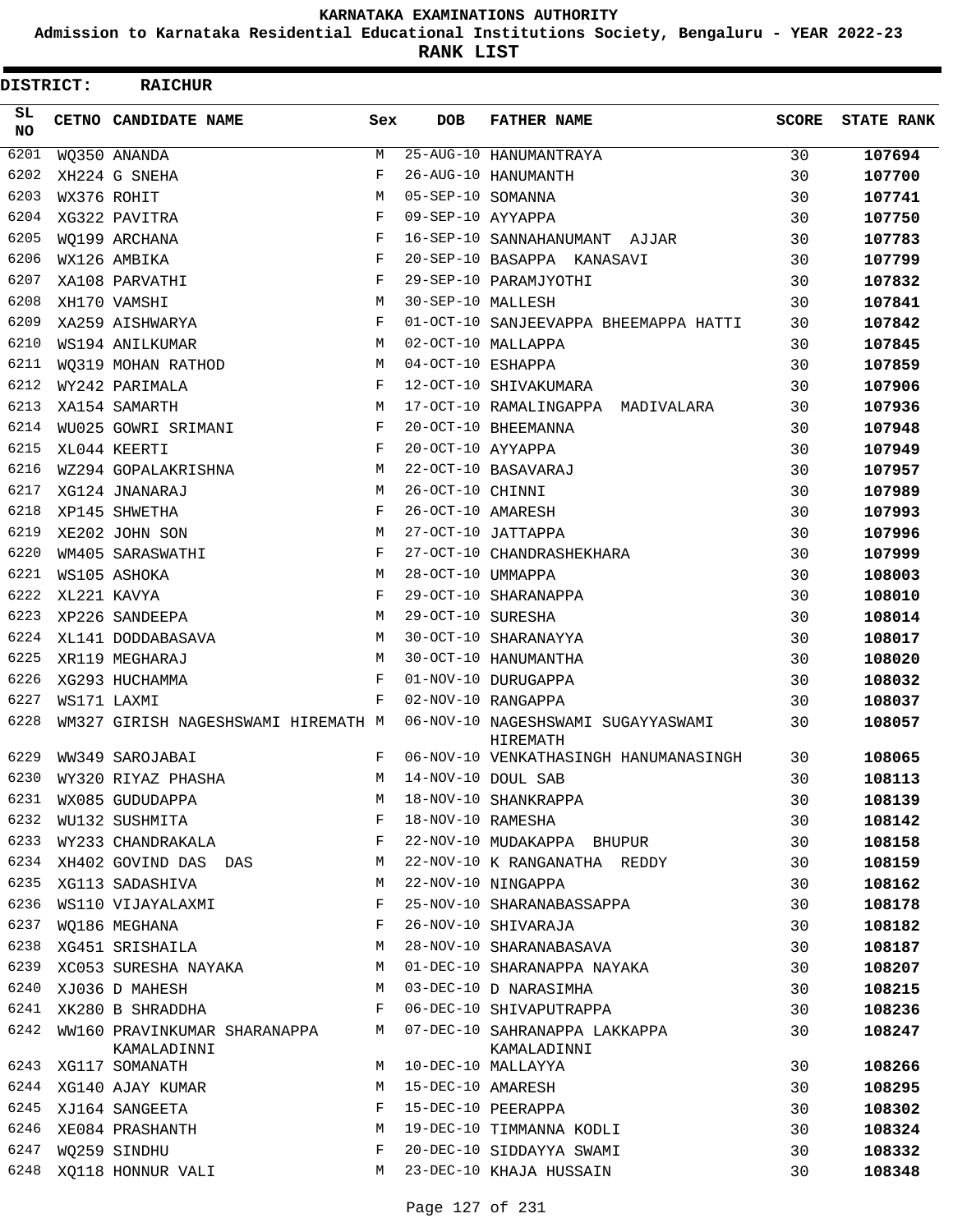**Admission to Karnataka Residential Educational Institutions Society, Bengaluru - YEAR 2022-23**

| DISTRICT:       | <b>RAICHUR</b>                              |            |                   |                                                |              |                   |
|-----------------|---------------------------------------------|------------|-------------------|------------------------------------------------|--------------|-------------------|
| SL<br><b>NO</b> | CETNO CANDIDATE NAME                        | Sex        | <b>DOB</b>        | <b>FATHER NAME</b>                             | <b>SCORE</b> | <b>STATE RANK</b> |
| 6201            | WQ350 ANANDA                                | М          |                   | 25-AUG-10 HANUMANTRAYA                         | 30           | 107694            |
| 6202            | XH224 G SNEHA                               | F          |                   | 26-AUG-10 HANUMANTH                            | 30           | 107700            |
| 6203            | WX376 ROHIT                                 | M          | 05-SEP-10 SOMANNA |                                                | 30           | 107741            |
| 6204            | XG322 PAVITRA                               | F          | 09-SEP-10 AYYAPPA |                                                | 30           | 107750            |
| 6205            | WO199 ARCHANA                               | F          |                   | 16-SEP-10 SANNAHANUMANT AJJAR                  | 30           | 107783            |
| 6206            | WX126 AMBIKA                                | F          |                   | 20-SEP-10 BASAPPA KANASAVI                     | 30           | 107799            |
| 6207            | XA108 PARVATHI                              | $_{\rm F}$ |                   | 29-SEP-10 PARAMJYOTHI                          | 30           | 107832            |
| 6208            | XH170 VAMSHI                                | M          | 30-SEP-10 MALLESH |                                                | 30           | 107841            |
| 6209            | XA259 AISHWARYA                             | F          |                   | 01-OCT-10 SANJEEVAPPA BHEEMAPPA HATTI          | 30           | 107842            |
| 6210            | WS194 ANILKUMAR                             | М          |                   | 02-OCT-10 MALLAPPA                             | 30           | 107845            |
| 6211            | WO319 MOHAN RATHOD                          | М          | 04-OCT-10 ESHAPPA |                                                | 30           | 107859            |
| 6212            | WY242 PARIMALA                              | F          |                   | 12-OCT-10 SHIVAKUMARA                          | 30           | 107906            |
| 6213            | XA154 SAMARTH                               | M          |                   | 17-OCT-10 RAMALINGAPPA MADIVALARA              | 30           | 107936            |
| 6214            | WU025 GOWRI SRIMANI                         | F          |                   | 20-OCT-10 BHEEMANNA                            | 30           | 107948            |
| 6215            | XL044 KEERTI                                | F          | 20-OCT-10 AYYAPPA |                                                | 30           | 107949            |
| 6216            | WZ294 GOPALAKRISHNA                         | М          |                   | 22-OCT-10 BASAVARAJ                            | 30           | 107957            |
| 6217            | XG124 JNANARAJ                              | M          | 26-OCT-10 CHINNI  |                                                | 30           | 107989            |
| 6218            | XP145 SHWETHA                               | F          | 26-OCT-10 AMARESH |                                                | 30           | 107993            |
| 6219            | XE202 JOHN SON                              | M          |                   | 27-OCT-10 JATTAPPA                             | 30           | 107996            |
| 6220            | WM405 SARASWATHI                            | F          |                   | 27-OCT-10 CHANDRASHEKHARA                      | 30           | 107999            |
| 6221            | WS105 ASHOKA                                | M          | 28-OCT-10 UMMAPPA |                                                | 30           | 108003            |
| 6222            | XL221 KAVYA                                 | F          |                   | 29-OCT-10 SHARANAPPA                           | 30           | 108010            |
| 6223            | XP226 SANDEEPA                              | M          | 29-OCT-10 SURESHA |                                                | 30           | 108014            |
| 6224            | XL141 DODDABASAVA                           | М          |                   | 30-OCT-10 SHARANAYYA                           | 30           | 108017            |
| 6225            | XR119 MEGHARAJ                              | М          |                   | 30-OCT-10 HANUMANTHA                           | 30           | 108020            |
| 6226            | XG293 HUCHAMMA                              | F          |                   | 01-NOV-10 DURUGAPPA                            | 30           | 108032            |
| 6227            | WS171 LAXMI                                 | F          |                   | 02-NOV-10 RANGAPPA                             | 30           | 108037            |
| 6228            | WM327 GIRISH NAGESHSWAMI HIREMATH M         |            |                   | 06-NOV-10 NAGESHSWAMI SUGAYYASWAMI<br>HIREMATH | 30           | 108057            |
| 6229            | WW349 SAROJABAI                             | F          |                   | 06-NOV-10 VENKATHASINGH HANUMANASINGH          | 30           | 108065            |
| 6230            | WY320 RIYAZ PHASHA                          | M          |                   | 14-NOV-10 DOUL SAB                             | 30           | 108113            |
| 6231            | WX085 GUDUDAPPA                             | М          |                   | 18-NOV-10 SHANKRAPPA                           | 30           | 108139            |
| 6232            | WU132 SUSHMITA<br>WY233 CHANDRAKALA         | F          | 18-NOV-10 RAMESHA |                                                | 30           | 108142            |
| 6233            |                                             | F          |                   | 22-NOV-10 MUDAKAPPA BHUPUR                     | 30           | 108158            |
| 6234            | XH402 GOVIND DAS DAS                        | М          |                   | 22-NOV-10 K RANGANATHA REDDY                   | 30           | 108159            |
| 6235            | XG113 SADASHIVA                             | М          |                   | 22-NOV-10 NINGAPPA                             | 30           | 108162            |
| 6236            | WS110 VIJAYALAXMI                           | F          |                   | 25-NOV-10 SHARANABASSAPPA                      | 30           | 108178            |
| 6237            | WQ186 MEGHANA                               | F          |                   | 26-NOV-10 SHIVARAJA                            | 30           | 108182            |
| 6238            | XG451 SRISHAILA                             | М          |                   | 28-NOV-10 SHARANABASAVA                        | 30           | 108187            |
| 6239            | XC053 SURESHA NAYAKA                        | М          |                   | 01-DEC-10 SHARANAPPA NAYAKA                    | 30           | 108207            |
| 6240            | XJ036 D MAHESH                              | М          |                   | 03-DEC-10 D NARASIMHA                          | 30           | 108215            |
| 6241            | XK280 B SHRADDHA                            | F          |                   | 06-DEC-10 SHIVAPUTRAPPA                        | 30           | 108236            |
| 6242            | WW160 PRAVINKUMAR SHARANAPPA<br>KAMALADINNI | М          |                   | 07-DEC-10 SAHRANAPPA LAKKAPPA<br>KAMALADINNI   | 30           | 108247            |
| 6243            | XG117 SOMANATH                              | М          |                   | 10-DEC-10 MALLAYYA                             | 30           | 108266            |
| 6244            | XG140 AJAY KUMAR                            | М          | 15-DEC-10 AMARESH |                                                | 30           | 108295            |
| 6245            | XJ164 SANGEETA                              | F          |                   | 15-DEC-10 PEERAPPA                             | 30           | 108302            |
| 6246            | XE084 PRASHANTH                             | M          |                   | 19-DEC-10 TIMMANNA KODLI                       | 30           | 108324            |
| 6247            | WQ259 SINDHU                                | F          |                   | 20-DEC-10 SIDDAYYA SWAMI                       | 30           | 108332            |
| 6248            | XQ118 HONNUR VALI                           | М          |                   | 23-DEC-10 KHAJA HUSSAIN                        | 30           | 108348            |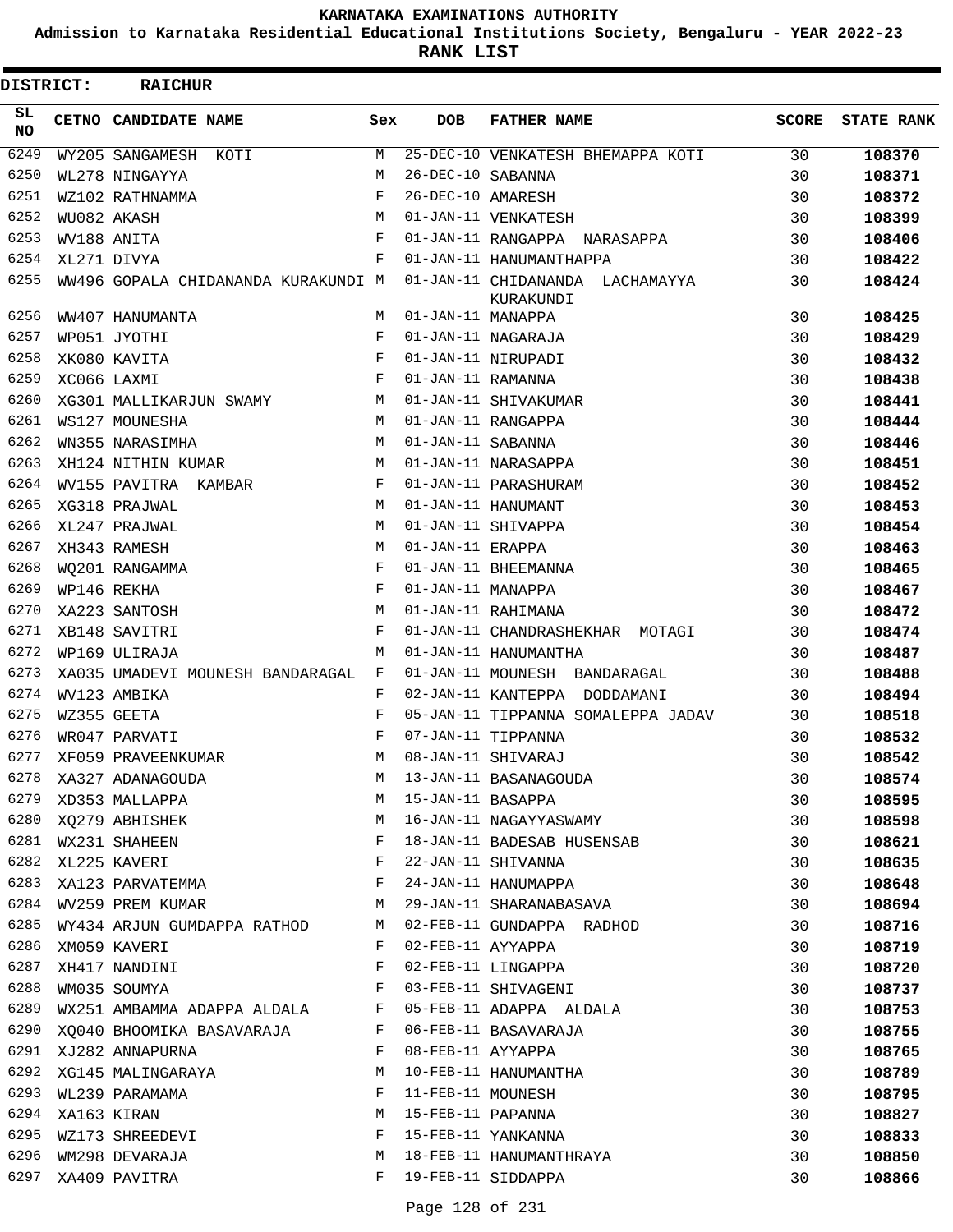**Admission to Karnataka Residential Educational Institutions Society, Bengaluru - YEAR 2022-23**

**RANK LIST**

| <b>DISTRICT:</b> | <b>RAICHUR</b>                      |     |                   |                                              |              |                   |
|------------------|-------------------------------------|-----|-------------------|----------------------------------------------|--------------|-------------------|
| SL<br><b>NO</b>  | CETNO CANDIDATE NAME                | Sex | <b>DOB</b>        | <b>FATHER NAME</b>                           | <b>SCORE</b> | <b>STATE RANK</b> |
| 6249             | WY205 SANGAMESH KOTI                | М   |                   | 25-DEC-10 VENKATESH BHEMAPPA KOTI            | 30           | 108370            |
| 6250             | WL278 NINGAYYA                      | M   | 26-DEC-10 SABANNA |                                              | 30           | 108371            |
| 6251             | WZ102 RATHNAMMA                     | F   | 26-DEC-10 AMARESH |                                              | 30           | 108372            |
| 6252             | WU082 AKASH                         | М   |                   | 01-JAN-11 VENKATESH                          | 30           | 108399            |
| 6253             | WV188 ANITA                         | F   |                   | 01-JAN-11 RANGAPPA NARASAPPA                 | 30           | 108406            |
| 6254             | XL271 DIVYA                         | F   |                   | 01-JAN-11 HANUMANTHAPPA                      | 30           | 108422            |
| 6255             | WW496 GOPALA CHIDANANDA KURAKUNDI M |     |                   | 01-JAN-11 CHIDANANDA LACHAMAYYA<br>KURAKUNDI | 30           | 108424            |
| 6256             | WW407 HANUMANTA                     | М   | 01-JAN-11 MANAPPA |                                              | 30           | 108425            |
| 6257             | WP051 JYOTHI                        | F   |                   | 01-JAN-11 NAGARAJA                           | 30           | 108429            |
| 6258             | XK080 KAVITA                        | F   |                   | 01-JAN-11 NIRUPADI                           | 30           | 108432            |
| 6259             | XC066 LAXMI                         | F   | 01-JAN-11 RAMANNA |                                              | 30           | 108438            |
| 6260             | XG301 MALLIKARJUN SWAMY             | М   |                   | 01-JAN-11 SHIVAKUMAR                         | 30           | 108441            |
| 6261             | WS127 MOUNESHA                      | М   |                   | 01-JAN-11 RANGAPPA                           | 30           | 108444            |
| 6262             | WN355 NARASIMHA                     | M   | 01-JAN-11 SABANNA |                                              | 30           | 108446            |
| 6263             | XH124 NITHIN KUMAR                  | М   |                   | 01-JAN-11 NARASAPPA                          | 30           | 108451            |
| 6264             | WV155 PAVITRA KAMBAR                | F   |                   | 01-JAN-11 PARASHURAM                         | 30           | 108452            |
| 6265             | XG318 PRAJWAL                       | M   |                   | 01-JAN-11 HANUMANT                           | 30           | 108453            |
| 6266             | XL247 PRAJWAL                       | M   |                   | 01-JAN-11 SHIVAPPA                           | 30           | 108454            |
| 6267             | XH343 RAMESH                        | М   | 01-JAN-11 ERAPPA  |                                              | 30           | 108463            |
| 6268             | WO201 RANGAMMA                      | F   |                   | 01-JAN-11 BHEEMANNA                          | 30           | 108465            |
| 6269             | WP146 REKHA                         | F   | 01-JAN-11 MANAPPA |                                              | 30           | 108467            |
| 6270             | XA223 SANTOSH                       | М   |                   | 01-JAN-11 RAHIMANA                           | 30           | 108472            |
| 6271             | XB148 SAVITRI                       | F   |                   | 01-JAN-11 CHANDRASHEKHAR MOTAGI              | 30           | 108474            |
| 6272             | WP169 ULIRAJA                       | M   |                   | 01-JAN-11 HANUMANTHA                         | 30           | 108487            |
| 6273             | XA035 UMADEVI MOUNESH BANDARAGAL    | F   |                   | 01-JAN-11 MOUNESH BANDARAGAL                 | 30           | 108488            |
| 6274             | WV123 AMBIKA                        | F   |                   | 02-JAN-11 KANTEPPA DODDAMANI                 | 30           | 108494            |
| 6275             | WZ355 GEETA                         | F   |                   | 05-JAN-11 TIPPANNA SOMALEPPA JADAV           | 30           | 108518            |
| 6276             | WR047 PARVATI                       | F   |                   | 07-JAN-11 TIPPANNA                           | 30           | 108532            |
| 6277             | XF059 PRAVEENKUMAR                  | М   |                   | 08-JAN-11 SHIVARAJ                           | 30           | 108542            |
| 6278             | XA327 ADANAGOUDA                    | М   |                   | 13-JAN-11 BASANAGOUDA                        | 30           | 108574            |
| 6279             | XD353 MALLAPPA                      | М   |                   | 15-JAN-11 BASAPPA                            | 30           | 108595            |
| 6280             | XQ279 ABHISHEK                      | М   |                   | 16-JAN-11 NAGAYYASWAMY                       | 30           | 108598            |
| 6281             | WX231 SHAHEEN                       | F   |                   | 18-JAN-11 BADESAB HUSENSAB                   | 30           | 108621            |
| 6282             | XL225 KAVERI                        | F   |                   | 22-JAN-11 SHIVANNA                           | 30           | 108635            |
| 6283             | XA123 PARVATEMMA                    | F   |                   | 24-JAN-11 HANUMAPPA                          | 30           | 108648            |
| 6284             | WV259 PREM KUMAR                    | М   |                   | 29-JAN-11 SHARANABASAVA                      | 30           | 108694            |
| 6285             | WY434 ARJUN GUMDAPPA RATHOD         | М   |                   | 02-FEB-11 GUNDAPPA RADHOD                    | 30           | 108716            |
| 6286             | XM059 KAVERI                        | F   |                   | 02-FEB-11 AYYAPPA                            | 30           | 108719            |
| 6287             | XH417 NANDINI                       | F   |                   | 02-FEB-11 LINGAPPA                           | 30           | 108720            |
| 6288             | WM035 SOUMYA                        | F   |                   | 03-FEB-11 SHIVAGENI                          | 30           | 108737            |
| 6289             | WX251 AMBAMMA ADAPPA ALDALA         | F   |                   | 05-FEB-11 ADAPPA ALDALA                      | 30           | 108753            |
| 6290             | XQ040 BHOOMIKA BASAVARAJA           | F   |                   | 06-FEB-11 BASAVARAJA                         | 30           | 108755            |
| 6291             | XJ282 ANNAPURNA                     | F   | 08-FEB-11 AYYAPPA |                                              | 30           | 108765            |
| 6292             | XG145 MALINGARAYA                   | М   |                   | 10-FEB-11 HANUMANTHA                         | 30           | 108789            |
| 6293             | WL239 PARAMAMA                      | F   | 11-FEB-11 MOUNESH |                                              | 30           | 108795            |
| 6294             | XA163 KIRAN                         | М   |                   | 15-FEB-11 PAPANNA                            | 30           | 108827            |
| 6295             | WZ173 SHREEDEVI                     | F   |                   | 15-FEB-11 YANKANNA                           | 30           | 108833            |
| 6296             | WM298 DEVARAJA                      | М   |                   | 18-FEB-11 HANUMANTHRAYA                      | 30           | 108850            |
| 6297             | XA409 PAVITRA                       | F   |                   | 19-FEB-11 SIDDAPPA                           | 30           | 108866            |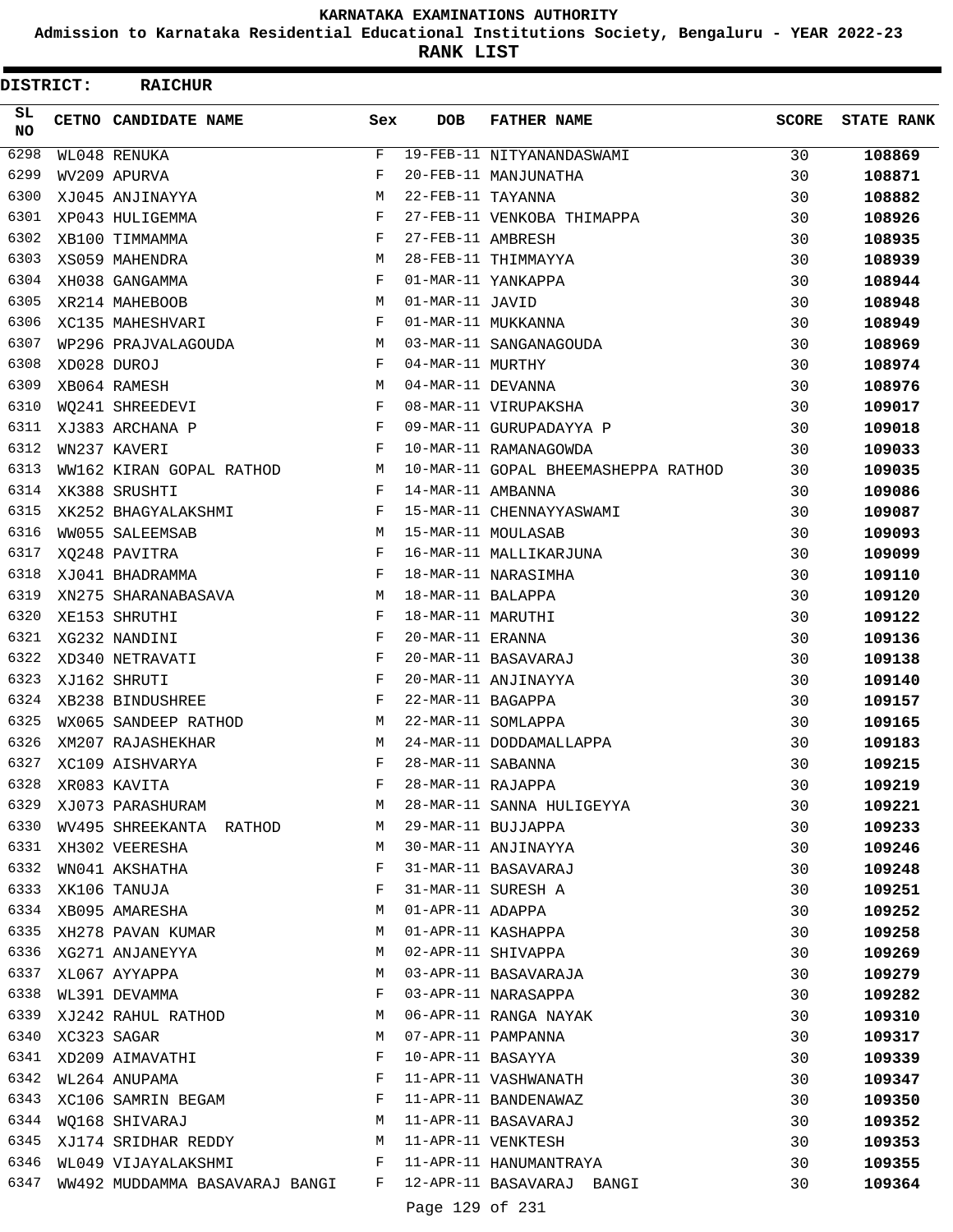**Admission to Karnataka Residential Educational Institutions Society, Bengaluru - YEAR 2022-23**

**RANK LIST**

| DISTRICT:       | <b>RAICHUR</b>                                                                     |              |                   |                                     |              |                   |
|-----------------|------------------------------------------------------------------------------------|--------------|-------------------|-------------------------------------|--------------|-------------------|
| SL<br><b>NO</b> | CETNO CANDIDATE NAME                                                               | Sex          | <b>DOB</b>        | <b>FATHER NAME</b>                  | <b>SCORE</b> | <b>STATE RANK</b> |
| 6298            | WL048 RENUKA                                                                       | F            |                   | 19-FEB-11 NITYANANDASWAMI           | 30           | 108869            |
| 6299            | WV209 APURVA                                                                       | F            |                   | 20-FEB-11 MANJUNATHA                | 30           | 108871            |
| 6300            | XJ045 ANJINAYYA                                                                    | M            | 22-FEB-11 TAYANNA |                                     | 30           | 108882            |
| 6301            | XP043 HULIGEMMA                                                                    | F            |                   | 27-FEB-11 VENKOBA THIMAPPA          | 30           | 108926            |
| 6302            | XB100 TIMMAMMA                                                                     | F            | 27-FEB-11 AMBRESH |                                     | 30           | 108935            |
| 6303            | XS059 MAHENDRA                                                                     | М            |                   | 28-FEB-11 THIMMAYYA                 | 30           | 108939            |
| 6304            | XH038 GANGAMMA                                                                     | F            |                   | 01-MAR-11 YANKAPPA                  | 30           | 108944            |
| 6305            | XR214 MAHEBOOB                                                                     | М            | 01-MAR-11 JAVID   |                                     | 30           | 108948            |
| 6306            | XC135 MAHESHVARI                                                                   | F            |                   | 01-MAR-11 MUKKANNA                  | 30           | 108949            |
| 6307            | WP296 PRAJVALAGOUDA                                                                | M            |                   | 03-MAR-11 SANGANAGOUDA              | 30           | 108969            |
| 6308            | XD028 DUROJ                                                                        | F            | 04-MAR-11 MURTHY  |                                     | 30           | 108974            |
| 6309            | XB064 RAMESH                                                                       | М            | 04-MAR-11 DEVANNA |                                     | 30           | 108976            |
| 6310            | WQ241 SHREEDEVI                                                                    | F            |                   | 08-MAR-11 VIRUPAKSHA                | 30           | 109017            |
| 6311            | XJ383 ARCHANA P                                                                    | F            |                   | 09-MAR-11 GURUPADAYYA P             | 30           | 109018            |
| 6312            | WN237 KAVERI                                                                       | F            |                   | 10-MAR-11 RAMANAGOWDA               | 30           | 109033            |
| 6313            | WW162 KIRAN GOPAL RATHOD                                                           | M            |                   | 10-MAR-11 GOPAL BHEEMASHEPPA RATHOD | 30           | 109035            |
| 6314            | XK388 SRUSHTI                                                                      | F            | 14-MAR-11 AMBANNA |                                     | 30           | 109086            |
| 6315            | XK252 BHAGYALAKSHMI                                                                | F            |                   | 15-MAR-11 CHENNAYYASWAMI            | 30           | 109087            |
| 6316            | WW055 SALEEMSAB                                                                    | М            |                   | 15-MAR-11 MOULASAB                  | 30           | 109093            |
| 6317            | XQ248 PAVITRA                                                                      | F            |                   | 16-MAR-11 MALLIKARJUNA              | 30           | 109099            |
| 6318            | XJ041 BHADRAMMA                                                                    | F            |                   | 18-MAR-11 NARASIMHA                 | 30           | 109110            |
| 6319            | XN275 SHARANABASAVA                                                                | М            | 18-MAR-11 BALAPPA |                                     | 30           | 109120            |
| 6320            | XE153 SHRUTHI                                                                      | F            | 18-MAR-11 MARUTHI |                                     | 30           | 109122            |
| 6321            | XG232 NANDINI                                                                      | F            | 20-MAR-11 ERANNA  |                                     | 30           | 109136            |
| 6322            | XD340 NETRAVATI                                                                    | F            |                   | 20-MAR-11 BASAVARAJ                 | 30           | 109138            |
| 6323            | XJ162 SHRUTI                                                                       | F            |                   | 20-MAR-11 ANJINAYYA                 | 30           | 109140            |
| 6324            | XB238 BINDUSHREE                                                                   | F            | 22-MAR-11 BAGAPPA |                                     | 30           | 109157            |
| 6325            | WX065 SANDEEP RATHOD                                                               | M            |                   | 22-MAR-11 SOMLAPPA                  | 30           | 109165            |
| 6326            | XM207 RAJASHEKHAR                                                                  | M            |                   | 24-MAR-11 DODDAMALLAPPA             | 30           | 109183            |
| 6327            | XC109 AISHVARYA                                                                    | F            | 28-MAR-11 SABANNA |                                     | 30           | 109215            |
| 6328            | XR083 KAVITA                                                                       | F            | 28-MAR-11 RAJAPPA |                                     | 30           | 109219            |
| 6329            | XJ073 PARASHURAM                                                                   | М            |                   | 28-MAR-11 SANNA HULIGEYYA           | 30           | 109221            |
| 6330            | WV495 SHREEKANTA RATHOD                                                            | М            |                   | 29-MAR-11 BUJJAPPA                  | 30           | 109233            |
|                 | 6331 XH302 VEERESHA                                                                | M            |                   | 30-MAR-11 ANJINAYYA                 | 30           | 109246            |
| 6332            | WN041 AKSHATHA                                                                     | F            |                   | 31-MAR-11 BASAVARAJ                 | 30           | 109248            |
| 6333            | XK106 TANUJA                                                                       | F            |                   | 31-MAR-11 SURESH A                  | 30           | 109251            |
| 6334            | XB095 AMARESHA                                                                     | М            | 01-APR-11 ADAPPA  |                                     | 30           | 109252            |
| 6335            | XH278 PAVAN KUMAR                                                                  | М            |                   | 01-APR-11 KASHAPPA                  | 30           | 109258            |
| 6336            | XG271 ANJANEYYA                                                                    | М            |                   | 02-APR-11 SHIVAPPA                  | 30           | 109269            |
| 6337            | XL067 AYYAPPA                                                                      | М            |                   | 03-APR-11 BASAVARAJA                | 30           | 109279            |
| 6338            | WL391 DEVAMMA                                                                      | F            |                   | 03-APR-11 NARASAPPA                 | 30           | 109282            |
|                 | 6339 XJ242 RAHUL RATHOD                                                            | М            |                   | 06-APR-11 RANGA NAYAK               | 30           | 109310            |
| 6340            | XC323 SAGAR                                                                        | М            |                   | 07-APR-11 PAMPANNA                  | 30           | 109317            |
| 6341            | XD209 AIMAVATHI                                                                    | F            | 10-APR-11 BASAYYA |                                     | 30           | 109339            |
| 6342            | WL264 ANUPAMA                                                                      | F            |                   | 11-APR-11 VASHWANATH                | 30           | 109347            |
| 6343            | XC106 SAMRIN BEGAM                                                                 | F            |                   | 11-APR-11 BANDENAWAZ                | 30           | 109350            |
| 6344            | WQ168 SHIVARAJ                                                                     | М            |                   | 11-APR-11 BASAVARAJ                 | 30           | 109352            |
| 6345            | XJ174 SRIDHAR REDDY                                                                | M            |                   | 11-APR-11 VENKTESH                  | 30           | 109353            |
| 6346            | $\mathbf{F}$ . The contract of the contract of $\mathbf{F}$<br>WL049 VIJAYALAKSHMI |              |                   | 11-APR-11 HANUMANTRAYA              | 30           | 109355            |
| 6347            | WW492 MUDDAMMA BASAVARAJ BANGI                                                     | $\mathbf{F}$ |                   | 12-APR-11 BASAVARAJ BANGI           | 30           | 109364            |
|                 |                                                                                    |              | Page 129 of 231   |                                     |              |                   |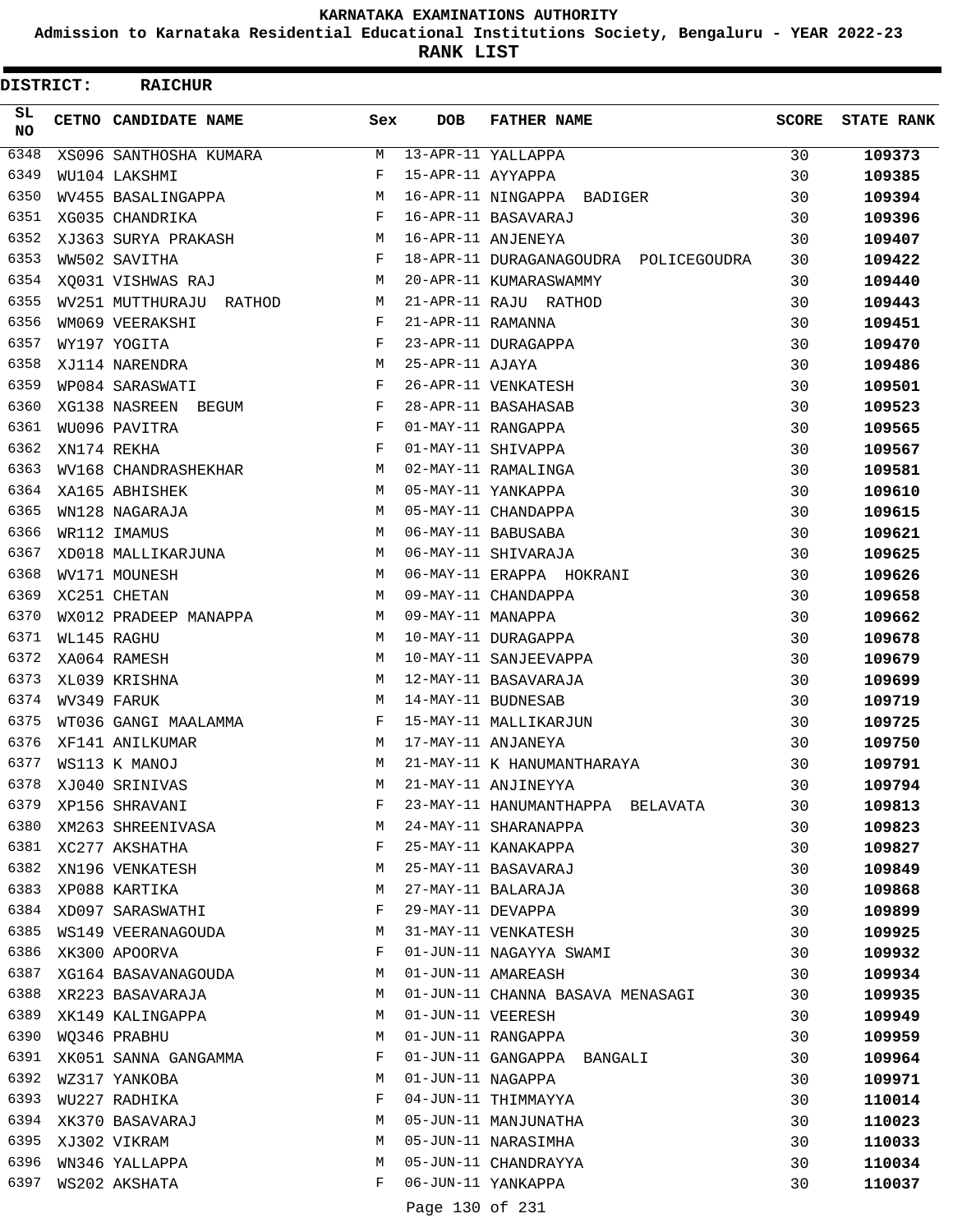**Admission to Karnataka Residential Educational Institutions Society, Bengaluru - YEAR 2022-23**

**RANK LIST**

 $\blacksquare$ 

| DISTRICT:        | <b>RAICHUR</b>                      |        |                   |                                       |              |                   |
|------------------|-------------------------------------|--------|-------------------|---------------------------------------|--------------|-------------------|
| SL.<br><b>NO</b> | CETNO CANDIDATE NAME                | Sex    | <b>DOB</b>        | <b>FATHER NAME</b>                    | <b>SCORE</b> | <b>STATE RANK</b> |
| 6348             | XS096 SANTHOSHA KUMARA              | M      |                   | 13-APR-11 YALLAPPA                    | 30           | 109373            |
| 6349             | WU104 LAKSHMI                       | F      | 15-APR-11 AYYAPPA |                                       | 30           | 109385            |
| 6350             | WV455 BASALINGAPPA                  | M      |                   | 16-APR-11 NINGAPPA BADIGER            | 30           | 109394            |
| 6351             | XG035 CHANDRIKA                     | F      |                   | 16-APR-11 BASAVARAJ                   | 30           | 109396            |
| 6352             | XJ363 SURYA PRAKASH                 | М      |                   | 16-APR-11 ANJENEYA                    | 30           | 109407            |
| 6353             | WW502 SAVITHA                       | F      |                   | 18-APR-11 DURAGANAGOUDRA POLICEGOUDRA | 30           | 109422            |
| 6354             | XO031 VISHWAS RAJ                   | M      |                   | 20-APR-11 KUMARASWAMMY                | 30           | 109440            |
| 6355             | WV251 MUTTHURAJU RATHOD             | М      |                   | 21-APR-11 RAJU RATHOD                 | 30           | 109443            |
| 6356             | WM069 VEERAKSHI                     | F      | 21-APR-11 RAMANNA |                                       | 30           | 109451            |
| 6357             | WY197 YOGITA                        | F      |                   | 23-APR-11 DURAGAPPA                   | 30           | 109470            |
| 6358             | XJ114 NARENDRA                      | М      | 25-APR-11 AJAYA   |                                       | 30           | 109486            |
| 6359             | WP084 SARASWATI                     | F      |                   | 26-APR-11 VENKATESH                   | 30           | 109501            |
| 6360             | XG138 NASREEN BEGUM                 | F      |                   | 28-APR-11 BASAHASAB                   | 30           | 109523            |
| 6361             | WU096 PAVITRA                       | F      |                   | 01-MAY-11 RANGAPPA                    | 30           | 109565            |
| 6362             | XN174 REKHA                         | F      |                   | 01-MAY-11 SHIVAPPA                    | 30           | 109567            |
| 6363             | WV168 CHANDRASHEKHAR                | M      |                   | 02-MAY-11 RAMALINGA                   | 30           | 109581            |
| 6364             | XA165 ABHISHEK                      | M      |                   | 05-MAY-11 YANKAPPA                    | 30           | 109610            |
| 6365             | WN128 NAGARAJA                      | М      |                   | 05-MAY-11 CHANDAPPA                   | 30           | 109615            |
| 6366             | WR112 IMAMUS                        | M      |                   | 06-MAY-11 BABUSABA                    | 30           | 109621            |
| 6367             | XD018 MALLIKARJUNA                  | M      |                   | 06-MAY-11 SHIVARAJA                   | 30           | 109625            |
| 6368             | WV171 MOUNESH                       | M      |                   | 06-MAY-11 ERAPPA HOKRANI              | 30           | 109626            |
| 6369             | XC251 CHETAN                        | M      |                   | 09-MAY-11 CHANDAPPA                   | 30           | 109658            |
| 6370             | WX012 PRADEEP MANAPPA               | M      | 09-MAY-11 MANAPPA |                                       | 30           | 109662            |
| 6371             | WL145 RAGHU                         | M      |                   | 10-MAY-11 DURAGAPPA                   | 30           | 109678            |
| 6372             | XA064 RAMESH                        | M      |                   | 10-MAY-11 SANJEEVAPPA                 | 30           | 109679            |
| 6373             | XL039 KRISHNA                       | М      |                   | 12-MAY-11 BASAVARAJA                  | 30           | 109699            |
| 6374             | WV349 FARUK                         | M      |                   | 14-MAY-11 BUDNESAB                    | 30           | 109719            |
| 6375             | WT036 GANGI MAALAMMA                | F      |                   | 15-MAY-11 MALLIKARJUN                 | 30           | 109725            |
| 6376             | XF141 ANILKUMAR                     | M      |                   | 17-MAY-11 ANJANEYA                    | 30           | 109750            |
| 6377             | WS113 K MANOJ                       | M      |                   | 21-MAY-11 K HANUMANTHARAYA            | 30           | 109791            |
| 6378             | XJ040 SRINIVAS                      | М      |                   | 21-MAY-11 ANJINEYYA                   | 30           | 109794            |
| 6379             | XP156 SHRAVANI                      | F      |                   | 23-MAY-11 HANUMANTHAPPA BELAVATA      | 30           |                   |
| 6380             |                                     | М      |                   | 24-MAY-11 SHARANAPPA                  | 30           | 109813            |
| 6381             | XM263 SHREENIVASA<br>XC277 AKSHATHA | F      |                   | 25-MAY-11 KANAKAPPA                   | 30           | 109823            |
| 6382             |                                     | М      |                   | 25-MAY-11 BASAVARAJ                   |              | 109827            |
| 6383             | XN196 VENKATESH                     | М      |                   |                                       | 30           | 109849            |
|                  | XP088 KARTIKA                       | F      |                   | 27-MAY-11 BALARAJA                    | 30           | 109868            |
| 6384<br>6385     | XD097 SARASWATHI                    |        |                   | 29-MAY-11 DEVAPPA                     | 30           | 109899            |
| 6386             | WS149 VEERANAGOUDA                  | М<br>F |                   | 31-MAY-11 VENKATESH                   | 30           | 109925            |
| 6387             | XK300 APOORVA                       |        |                   | 01-JUN-11 NAGAYYA SWAMI               | 30           | 109932            |
|                  | XG164 BASAVANAGOUDA                 | М      |                   | 01-JUN-11 AMAREASH                    | 30           | 109934            |
| 6388             | XR223 BASAVARAJA                    | М      |                   | 01-JUN-11 CHANNA BASAVA MENASAGI      | 30           | 109935            |
| 6389             | XK149 KALINGAPPA                    | М      | 01-JUN-11 VEERESH |                                       | 30           | 109949            |
| 6390             | WQ346 PRABHU                        | М      |                   | 01-JUN-11 RANGAPPA                    | 30           | 109959            |
| 6391             | XK051 SANNA GANGAMMA                | F      |                   | 01-JUN-11 GANGAPPA BANGALI            | 30           | 109964            |
| 6392             | WZ317 YANKOBA                       | М      |                   | 01-JUN-11 NAGAPPA                     | 30           | 109971            |
| 6393             | WU227 RADHIKA                       | F      |                   | 04-JUN-11 THIMMAYYA                   | 30           | 110014            |
| 6394             | XK370 BASAVARAJ                     | М      |                   | 05-JUN-11 MANJUNATHA                  | 30           | 110023            |
| 6395             | XJ302 VIKRAM                        | М      |                   | 05-JUN-11 NARASIMHA                   | 30           | 110033            |
| 6396             | WN346 YALLAPPA                      | М      |                   | 05-JUN-11 CHANDRAYYA                  | 30           | 110034            |
| 6397             | WS202 AKSHATA                       | F      |                   | 06-JUN-11 YANKAPPA                    | 30           | 110037            |
|                  |                                     |        |                   | $-120 - 502$                          |              |                   |

Page 130 of 231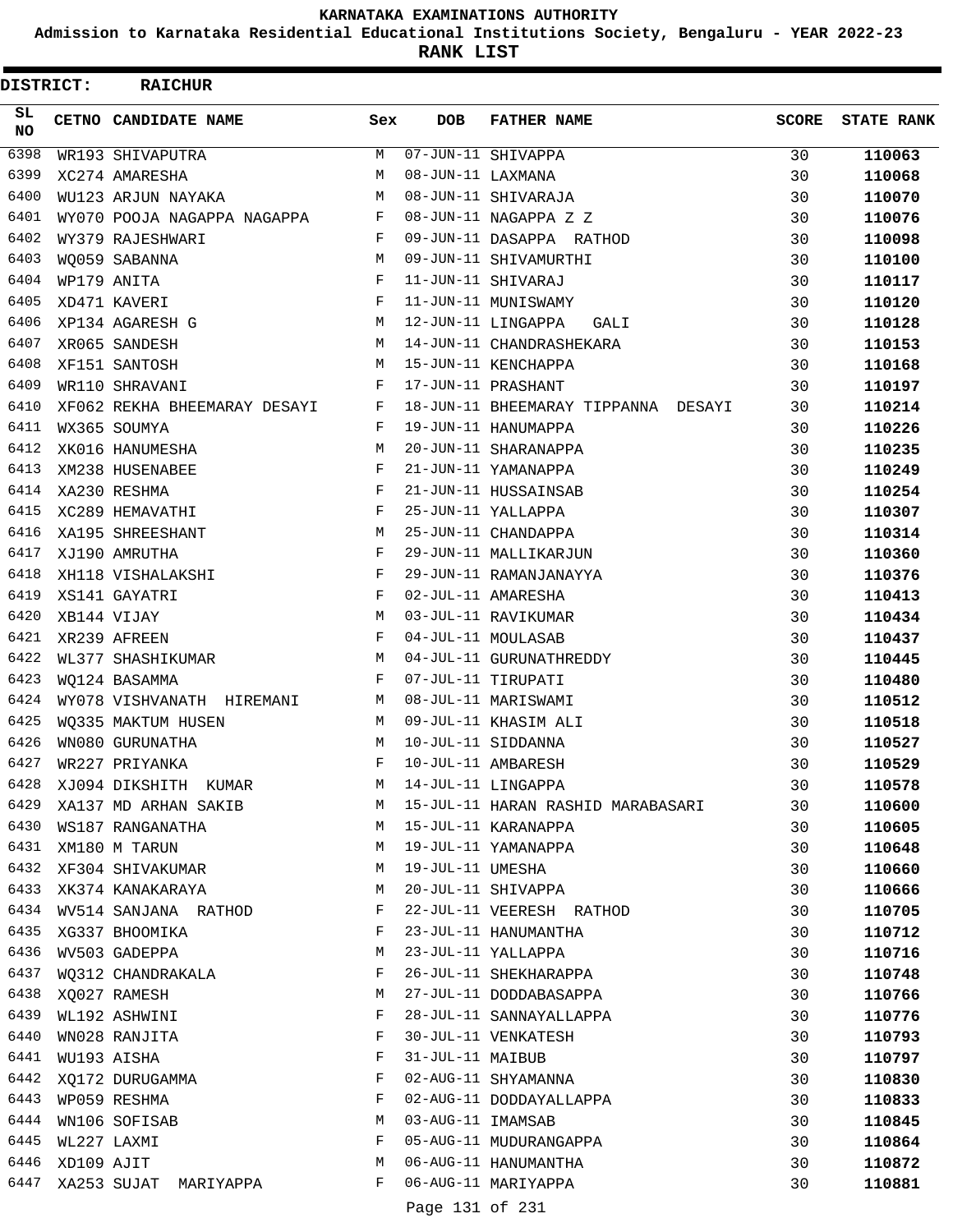**Admission to Karnataka Residential Educational Institutions Society, Bengaluru - YEAR 2022-23**

**RANK LIST**

Ξ

| <b>DISTRICT:</b> |                  | <b>RAICHUR</b>                                   |         |                   |                                                                  |              |                   |
|------------------|------------------|--------------------------------------------------|---------|-------------------|------------------------------------------------------------------|--------------|-------------------|
| SL.<br><b>NO</b> |                  | <b>CETNO CANDIDATE NAME</b>                      | Sex     | <b>DOB</b>        | <b>FATHER NAME</b>                                               | <b>SCORE</b> | <b>STATE RANK</b> |
| 6398             |                  | WR193 SHIVAPUTRA                                 | M       |                   | 07-JUN-11 SHIVAPPA                                               | 30           | 110063            |
| 6399             |                  | XC274 AMARESHA                                   | M       | 08-JUN-11 LAXMANA |                                                                  | 30           | 110068            |
| 6400             |                  | WU123 ARJUN NAYAKA                               | М       |                   | 08-JUN-11 SHIVARAJA                                              | 30           | 110070            |
| 6401             |                  | WY070 POOJA NAGAPPA NAGAPPA                      | F       |                   | 08-JUN-11 NAGAPPA Z Z                                            | 30           | 110076            |
| 6402             |                  | WY379 RAJESHWARI                                 | F       |                   | 09-JUN-11 DASAPPA RATHOD                                         | 30           | 110098            |
| 6403             |                  | WQ059 SABANNA                                    | M       |                   | 09-JUN-11 SHIVAMURTHI                                            | 30           | 110100            |
| 6404             |                  | WP179 ANITA                                      | F       |                   | 11-JUN-11 SHIVARAJ                                               | 30           | 110117            |
| 6405             |                  | XD471 KAVERI                                     | F       |                   | 11-JUN-11 MUNISWAMY                                              | 30           | 110120            |
| 6406             |                  | XP134 AGARESH G                                  | М       |                   | 12-JUN-11 LINGAPPA<br>GALI                                       | 30           | 110128            |
| 6407             |                  | XR065 SANDESH                                    | M       |                   | 14-JUN-11 CHANDRASHEKARA                                         | 30           | 110153            |
| 6408             |                  | XF151 SANTOSH                                    | M       |                   | 15-JUN-11 KENCHAPPA                                              | 30           | 110168            |
| 6409             |                  | WR110 SHRAVANI                                   | F       |                   | 17-JUN-11 PRASHANT                                               | 30           | 110197            |
| 6410             |                  | XF062 REKHA BHEEMARAY DESAYI F                   |         |                   | 18-JUN-11 BHEEMARAY TIPPANNA DESAYI                              | 30           | 110214            |
| 6411             |                  | WX365 SOUMYA                                     | F       |                   | 19-JUN-11 HANUMAPPA                                              | 30           | 110226            |
| 6412             |                  | XK016 HANUMESHA                                  | М       |                   | 20-JUN-11 SHARANAPPA                                             | 30           | 110235            |
| 6413             |                  | XM238 HUSENABEE                                  | F       |                   | 21-JUN-11 YAMANAPPA                                              | 30           | 110249            |
| 6414             |                  | XA230 RESHMA                                     | F       |                   | 21-JUN-11 HUSSAINSAB                                             | 30           | 110254            |
| 6415             |                  | XC289 HEMAVATHI                                  | F       |                   | 25-JUN-11 YALLAPPA                                               | 30           | 110307            |
| 6416             |                  | XA195 SHREESHANT                                 | M       |                   | 25-JUN-11 CHANDAPPA                                              | 30           | 110314            |
| 6417             |                  | XJ190 AMRUTHA                                    | F       |                   | 29-JUN-11 MALLIKARJUN                                            | 30           | 110360            |
| 6418             |                  | XH118 VISHALAKSHI                                | F       |                   | 29-JUN-11 RAMANJANAYYA                                           | 30           | 110376            |
| 6419             |                  | XS141 GAYATRI                                    | F       |                   | 02-JUL-11 AMARESHA                                               | 30           | 110413            |
| 6420             |                  | XB144 VIJAY                                      | М       |                   | 03-JUL-11 RAVIKUMAR                                              | 30           | 110434            |
| 6421             |                  | XR239 AFREEN                                     | F       |                   | 04-JUL-11 MOULASAB                                               | 30           | 110437            |
| 6422             |                  | WL377 SHASHIKUMAR                                | M       |                   | 04-JUL-11 GURUNATHREDDY                                          | 30           | 110445            |
| 6423             |                  | WO124 BASAMMA                                    | F       |                   | 07-JUL-11 TIRUPATI                                               | 30           | 110480            |
| 6424             |                  | WY078 VISHVANATH HIREMANI                        | M       |                   | 08-JUL-11 MARISWAMI                                              | 30           | 110512            |
| 6425             |                  | WO335 MAKTUM HUSEN                               | M       |                   | 09-JUL-11 KHASIM ALI                                             | 30           | 110518            |
| 6426             |                  | WN080 GURUNATHA                                  | M       |                   | 10-JUL-11 SIDDANNA                                               | 30           | 110527            |
| 6427             |                  | WR227 PRIYANKA                                   | F       |                   | 10-JUL-11 AMBARESH                                               | 30           | 110529            |
|                  |                  | 6428 XJ094 DIKSHITH KUMAR M 14-JUL-11 LINGAPPA   |         |                   |                                                                  | 30           | 110578            |
|                  |                  |                                                  |         |                   | 6429 XA137 MD ARHAN SAKIB M 15-JUL-11 HARAN RASHID MARABASARI 30 |              | 110600            |
|                  |                  | 6430 WS187 RANGANATHA M M 15-JUL-11 KARANAPPA    |         |                   |                                                                  | 30           | 110605            |
| 6431             |                  | XM180 M TARUN                                    |         |                   | M 19-JUL-11 YAMANAPPA                                            | 30           | 110648            |
|                  |                  | 6432 XF304 SHIVAKUMAR                            | M       | 19-JUL-11 UMESHA  |                                                                  | 30           | 110660            |
|                  |                  | 6433 XK374 KANAKARAYA                            |         |                   | M 20-JUL-11 SHIVAPPA                                             | 30           | 110666            |
|                  |                  |                                                  |         |                   | 6434 WV514 SANJANA RATHOD F 22-JUL-11 VEERESH RATHOD             | 30           | 110705            |
| 6435             |                  | XG337 BHOOMIKA                                   |         |                   | F 23-JUL-11 HANUMANTHA                                           | 30           | 110712            |
|                  |                  | 6436 WV503 GADEPPA                               |         |                   | M 23-JUL-11 YALLAPPA                                             | 30           | 110716            |
|                  |                  | 6437 WQ312 CHANDRAKALA                           |         |                   | F 26-JUL-11 SHEKHARAPPA                                          | 30           | 110748            |
|                  |                  | 6438 XQ027 RAMESH                                |         |                   | M 27-JUL-11 DODDABASAPPA                                         | 30           | 110766            |
| 6439             |                  | WL192 ASHWINI                                    | F       |                   | 28-JUL-11 SANNAYALLAPPA                                          | 30           | 110776            |
| 6440             |                  | WN028 RANJITA                                    | F       |                   | 30-JUL-11 VENKATESH                                              | 30           | 110793            |
|                  |                  | 6441 WU193 AISHA                                 | F       |                   | 31-JUL-11 MAIBUB                                                 | 30           | 110797            |
|                  |                  |                                                  | F       |                   | 02-AUG-11 SHYAMANNA                                              | 30           |                   |
| 6443             |                  | 6442 XQ172 DURUGAMMA                             | $F$ and |                   |                                                                  |              | 110830            |
|                  |                  | WP059 RESHMA                                     |         |                   | 02-AUG-11 DODDAYALLAPPA                                          | 30           | 110833            |
|                  |                  | 6444 WN106 SOFISAB                               |         |                   | M 03-AUG-11 IMAMSAB                                              | 30           | 110845            |
|                  | 6445 WL227 LAXMI |                                                  |         |                   | F 05-AUG-11 MUDURANGAPPA                                         | 30           | 110864            |
| 6446             |                  | XD109 AJIT                                       | M       |                   | 06-AUG-11 HANUMANTHA                                             | 30           | 110872            |
|                  |                  | 6447 XA253 SUJAT MARIYAPPA F 06-AUG-11 MARIYAPPA |         |                   |                                                                  | 30           | 110881            |

Page 131 of 231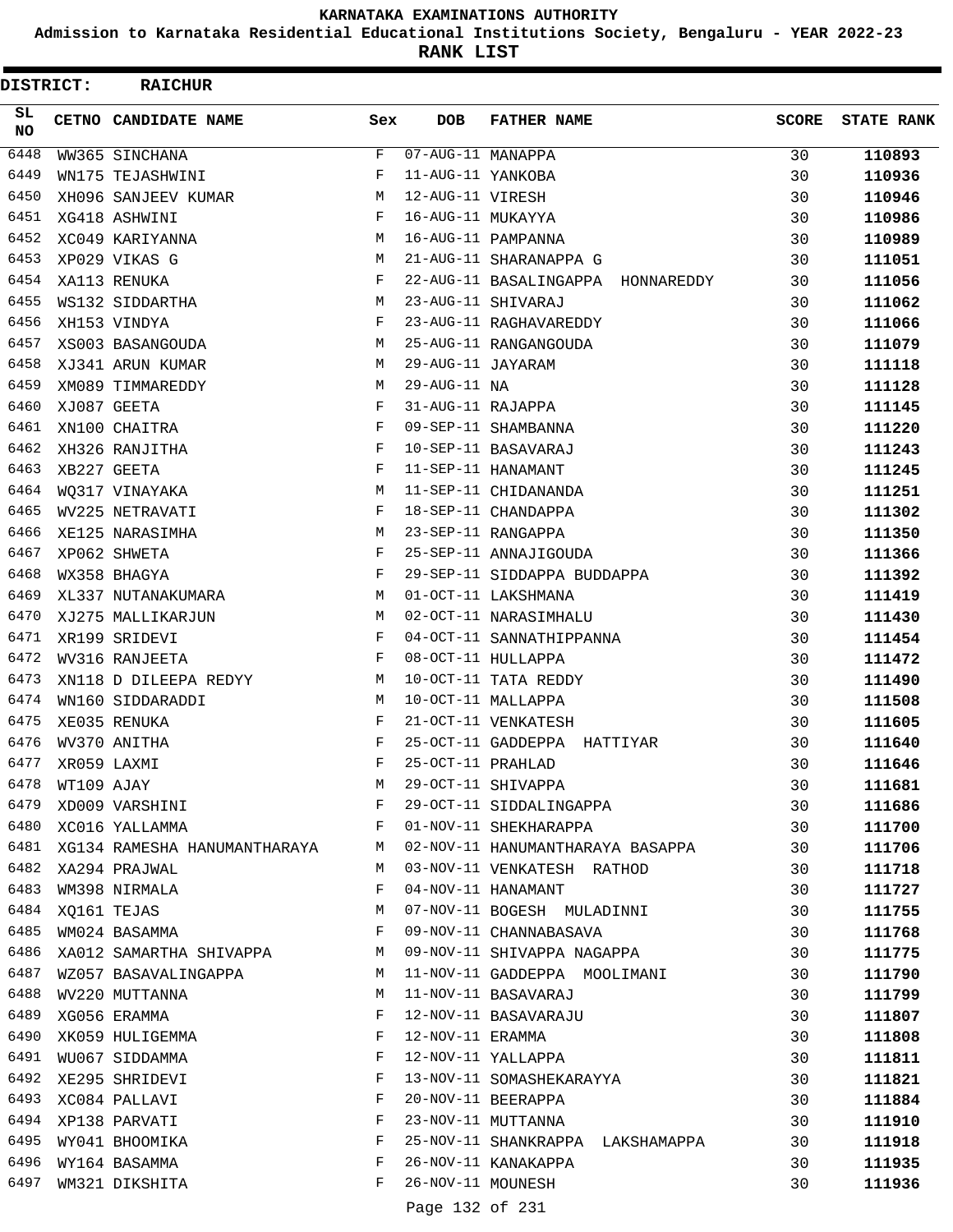**Admission to Karnataka Residential Educational Institutions Society, Bengaluru - YEAR 2022-23**

**RANK LIST**

| <b>DISTRICT:</b> | <b>RAICHUR</b>                    |              |                                         |                                   |              |                   |
|------------------|-----------------------------------|--------------|-----------------------------------------|-----------------------------------|--------------|-------------------|
| SL.<br>NO.       | CETNO CANDIDATE NAME              | Sex          | <b>DOB</b>                              | <b>FATHER NAME</b>                | <b>SCORE</b> | <b>STATE RANK</b> |
| 6448             | WW365 SINCHANA                    | F            | $\overline{07 - \text{AUG}-11}$ MANAPPA |                                   | 30           | 110893            |
| 6449             | WN175 TEJASHWINI                  | F            | 11-AUG-11 YANKOBA                       |                                   | 30           | 110936            |
| 6450             | XH096 SANJEEV KUMAR               | М            | 12-AUG-11 VIRESH                        |                                   | 30           | 110946            |
| 6451             | XG418 ASHWINI                     | F            | 16-AUG-11 MUKAYYA                       |                                   | 30           | 110986            |
| 6452             | XC049 KARIYANNA                   | M            |                                         | 16-AUG-11 PAMPANNA                | 30           | 110989            |
| 6453             | XP029 VIKAS G                     | M            |                                         | 21-AUG-11 SHARANAPPA G            | 30           | 111051            |
| 6454             | XA113 RENUKA                      | F            |                                         | 22-AUG-11 BASALINGAPPA HONNAREDDY | 30           | 111056            |
| 6455             | WS132 SIDDARTHA                   | M            |                                         | 23-AUG-11 SHIVARAJ                | 30           | 111062            |
| 6456             | XH153 VINDYA                      | F            |                                         | 23-AUG-11 RAGHAVAREDDY            | 30           | 111066            |
| 6457             | XS003 BASANGOUDA                  | M            |                                         | 25-AUG-11 RANGANGOUDA             | 30           | 111079            |
| 6458             | XJ341 ARUN KUMAR                  | M            | 29-AUG-11 JAYARAM                       |                                   | 30           | 111118            |
| 6459             | XM089 TIMMAREDDY                  | M            | 29-AUG-11 NA                            |                                   | 30           | 111128            |
| 6460             | XJ087 GEETA                       | F            | 31-AUG-11 RAJAPPA                       |                                   | 30           | 111145            |
| 6461             | XN100 CHAITRA                     | F            |                                         | 09-SEP-11 SHAMBANNA               | 30           | 111220            |
| 6462             | XH326 RANJITHA                    | F            |                                         | 10-SEP-11 BASAVARAJ               | 30           | 111243            |
| 6463             | XB227 GEETA                       | F            |                                         | 11-SEP-11 HANAMANT                | 30           | 111245            |
| 6464             | WO317 VINAYAKA                    | M            |                                         | 11-SEP-11 CHIDANANDA              | 30           | 111251            |
| 6465             | WV225 NETRAVATI                   | F            |                                         | 18-SEP-11 CHANDAPPA               | 30           | 111302            |
| 6466             | XE125 NARASIMHA                   | M            |                                         | 23-SEP-11 RANGAPPA                | 30           | 111350            |
| 6467             | XP062 SHWETA                      | F            |                                         | 25-SEP-11 ANNAJIGOUDA             | 30           | 111366            |
| 6468             | WX358 BHAGYA                      | F            |                                         | 29-SEP-11 SIDDAPPA BUDDAPPA       | 30           | 111392            |
| 6469             | XL337 NUTANAKUMARA                | M            |                                         | 01-OCT-11 LAKSHMANA               | 30           | 111419            |
| 6470             | XJ275 MALLIKARJUN                 | M            |                                         | 02-OCT-11 NARASIMHALU             | 30           | 111430            |
| 6471             | XR199 SRIDEVI                     | F            |                                         | 04-OCT-11 SANNATHIPPANNA          | 30           | 111454            |
| 6472             | WV316 RANJEETA                    | F            |                                         | 08-OCT-11 HULLAPPA                | 30           | 111472            |
| 6473             | XN118 D DILEEPA REDYY             | M            |                                         | 10-OCT-11 TATA REDDY              | 30           | 111490            |
| 6474             | WN160 SIDDARADDI                  | M            |                                         | 10-OCT-11 MALLAPPA                | 30           | 111508            |
| 6475             | XE035 RENUKA                      | F            |                                         | 21-OCT-11 VENKATESH               | 30           | 111605            |
| 6476             | WV370 ANITHA                      | F            |                                         | 25-OCT-11 GADDEPPA HATTIYAR       | 30           | 111640            |
| 6477             | XR059 LAXMI                       | $\mathbf{F}$ | 25-OCT-11 PRAHLAD                       |                                   | 30           | 111646            |
| 6478             |                                   | M            |                                         | 29-OCT-11 SHIVAPPA                | 30           | 111681            |
| 6479             | WT109 AJAY<br>XD009 VARSHINI      | F            |                                         | 29-OCT-11 SIDDALINGAPPA           | 30           | 111686            |
| 6480             | XC016 YALLAMMA                    | F            |                                         | 01-NOV-11 SHEKHARAPPA             | 30           | 111700            |
|                  | 6481 XG134 RAMESHA HANUMANTHARAYA | M            |                                         | 02-NOV-11 HANUMANTHARAYA BASAPPA  | 30           | 111706            |
|                  | 6482 XA294 PRAJWAL                | M            |                                         | 03-NOV-11 VENKATESH RATHOD        | 30           | 111718            |
| 6483             | WM398 NIRMALA                     | F            |                                         | 04-NOV-11 HANAMANT                | 30           | 111727            |
| 6484             | XQ161 TEJAS                       | М            |                                         | 07-NOV-11 BOGESH MULADINNI        | 30           | 111755            |
| 6485             | WM024 BASAMMA                     | F            |                                         | 09-NOV-11 CHANNABASAVA            | 30           | 111768            |
| 6486             | XA012 SAMARTHA SHIVAPPA           | М            |                                         | 09-NOV-11 SHIVAPPA NAGAPPA        | 30           | 111775            |
| 6487             | WZ057 BASAVALINGAPPA              | M            |                                         | 11-NOV-11 GADDEPPA MOOLIMANI      | 30           | 111790            |
| 6488             | WV220 MUTTANNA                    | М            |                                         | 11-NOV-11 BASAVARAJ               | 30           | 111799            |
| 6489             | XG056 ERAMMA                      | F            |                                         | 12-NOV-11 BASAVARAJU              | 30           | 111807            |
| 6490             | XK059 HULIGEMMA                   | F            |                                         | 12-NOV-11 ERAMMA                  | 30           | 111808            |
| 6491             | WU067 SIDDAMMA                    | F            |                                         | 12-NOV-11 YALLAPPA                | 30           | 111811            |
| 6492             | XE295 SHRIDEVI                    | F            |                                         | 13-NOV-11 SOMASHEKARAYYA          | 30           | 111821            |
| 6493             | XC084 PALLAVI                     | F            |                                         | 20-NOV-11 BEERAPPA                | 30           | 111884            |
| 6494             | XP138 PARVATI                     | F            |                                         | 23-NOV-11 MUTTANNA                | 30           | 111910            |
| 6495             | WY041 BHOOMIKA                    | F            |                                         | 25-NOV-11 SHANKRAPPA LAKSHAMAPPA  | 30           | 111918            |
| 6496             | WY164 BASAMMA                     | F            |                                         | 26-NOV-11 KANAKAPPA               | 30           | 111935            |
| 6497             | WM321 DIKSHITA                    | F            | 26-NOV-11 MOUNESH                       |                                   | 30           | 111936            |
|                  |                                   |              | Page 132 of 231                         |                                   |              |                   |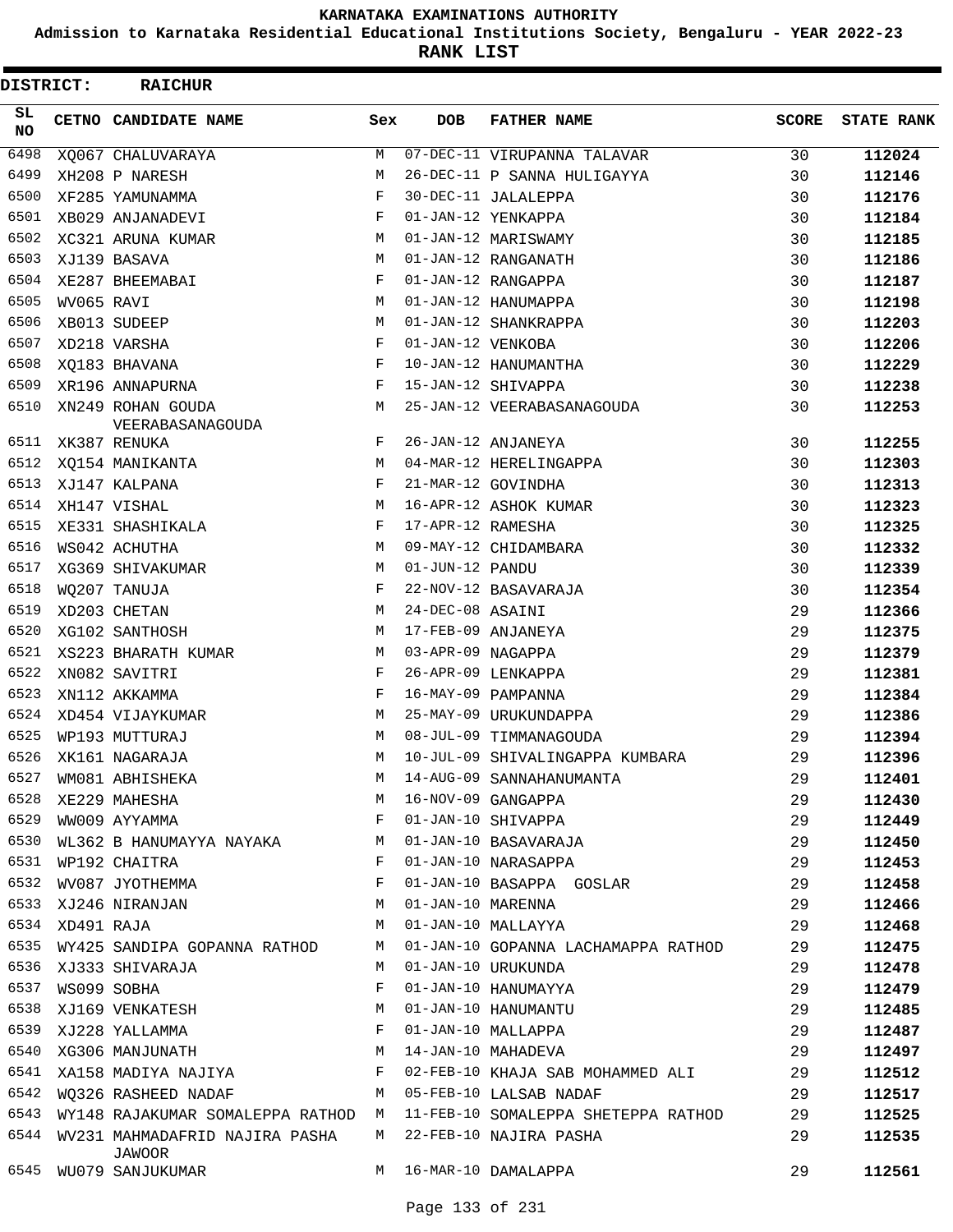**Admission to Karnataka Residential Educational Institutions Society, Bengaluru - YEAR 2022-23**

| DISTRICT:        |                 | <b>RAICHUR</b>                           |     |                   |                                                                                         |              |                   |
|------------------|-----------------|------------------------------------------|-----|-------------------|-----------------------------------------------------------------------------------------|--------------|-------------------|
| SL.<br><b>NO</b> |                 | CETNO CANDIDATE NAME                     | Sex | <b>DOB</b>        | <b>FATHER NAME</b>                                                                      | <b>SCORE</b> | <b>STATE RANK</b> |
| 6498             |                 | XQ067 CHALUVARAYA                        | М   |                   | 07-DEC-11 VIRUPANNA TALAVAR                                                             | 30           | 112024            |
| 6499             |                 | XH208 P NARESH                           | M   |                   | 26-DEC-11 P SANNA HULIGAYYA                                                             | 30           | 112146            |
| 6500             |                 | XF285 YAMUNAMMA                          | F   |                   | 30-DEC-11 JALALEPPA                                                                     | 30           | 112176            |
| 6501             |                 | XB029 ANJANADEVI                         | F   |                   | 01-JAN-12 YENKAPPA                                                                      | 30           | 112184            |
| 6502             |                 | XC321 ARUNA KUMAR                        | М   |                   | 01-JAN-12 MARISWAMY                                                                     | 30           | 112185            |
| 6503             |                 | XJ139 BASAVA                             | M   |                   | 01-JAN-12 RANGANATH                                                                     | 30           | 112186            |
| 6504             |                 | XE287 BHEEMABAI                          | F   |                   | 01-JAN-12 RANGAPPA                                                                      | 30           | 112187            |
| 6505             | WV065 RAVI      |                                          | M   |                   | 01-JAN-12 HANUMAPPA                                                                     | 30           | 112198            |
| 6506             |                 | XB013 SUDEEP                             | М   |                   | 01-JAN-12 SHANKRAPPA                                                                    | 30           | 112203            |
| 6507             |                 | XD218 VARSHA                             | F   | 01-JAN-12 VENKOBA |                                                                                         | 30           | 112206            |
| 6508             |                 | XO183 BHAVANA                            | F   |                   | 10-JAN-12 HANUMANTHA                                                                    | 30           | 112229            |
| 6509             |                 | XR196 ANNAPURNA                          | F   |                   | 15-JAN-12 SHIVAPPA                                                                      | 30           | 112238            |
| 6510             |                 | XN249 ROHAN GOUDA<br>VEERABASANAGOUDA    | М   |                   | 25-JAN-12 VEERABASANAGOUDA                                                              | 30           | 112253            |
| 6511             |                 | XK387 RENUKA                             | F   |                   | 26-JAN-12 ANJANEYA                                                                      | 30           | 112255            |
| 6512             |                 | XQ154 MANIKANTA                          | М   |                   | 04-MAR-12 HERELINGAPPA                                                                  | 30           | 112303            |
| 6513             |                 | XJ147 KALPANA                            | F   |                   | 21-MAR-12 GOVINDHA                                                                      | 30           | 112313            |
| 6514             |                 | XH147 VISHAL                             | M   |                   | 16-APR-12 ASHOK KUMAR                                                                   | 30           | 112323            |
| 6515             |                 | XE331 SHASHIKALA                         | F   | 17-APR-12 RAMESHA |                                                                                         | 30           | 112325            |
| 6516             |                 | WS042 ACHUTHA                            | М   |                   | 09-MAY-12 CHIDAMBARA                                                                    | 30           | 112332            |
| 6517             |                 | XG369 SHIVAKUMAR                         | М   | 01-JUN-12 PANDU   |                                                                                         | 30           | 112339            |
| 6518             |                 | WO207 TANUJA                             | F   |                   | 22-NOV-12 BASAVARAJA                                                                    | 30           | 112354            |
| 6519             |                 | XD203 CHETAN                             | М   | 24-DEC-08 ASAINI  |                                                                                         | 29           | 112366            |
| 6520             |                 | XG102 SANTHOSH                           | М   |                   | 17-FEB-09 ANJANEYA                                                                      | 29           | 112375            |
| 6521             |                 | XS223 BHARATH KUMAR                      | М   | 03-APR-09 NAGAPPA |                                                                                         | 29           | 112379            |
| 6522             |                 | XN082 SAVITRI                            | F   |                   | 26-APR-09 LENKAPPA                                                                      | 29           | 112381            |
| 6523             |                 | XN112 AKKAMMA                            | F   |                   | 16-MAY-09 PAMPANNA                                                                      | 29           | 112384            |
| 6524             |                 | XD454 VIJAYKUMAR                         | M   |                   | 25-MAY-09 URUKUNDAPPA                                                                   | 29           | 112386            |
| 6525             |                 | WP193 MUTTURAJ                           | М   |                   | 08-JUL-09 TIMMANAGOUDA                                                                  | 29           | 112394            |
| 6526             |                 | XK161 NAGARAJA                           | M   |                   | 10-JUL-09 SHIVALINGAPPA KUMBARA                                                         | 29           | 112396            |
| 6527             |                 | WM081 ABHISHEKA                          | M   |                   | 14-AUG-09 SANNAHANUMANTA                                                                | 29           | 112401            |
| 6528             |                 | XE229 MAHESHA                            | М   |                   |                                                                                         | 29           | 112430            |
| 6529             |                 | WW009 AYYAMMA                            | F   |                   |                                                                                         | 29           | 112449            |
| 6530             |                 | WL362 B HANUMAYYA NAYAKA M               |     |                   |                                                                                         | 29           | 112450            |
| 6531             |                 | WP192 CHAITRA                            | F   |                   | 16-NOV-09 GANGAPPA<br>01-JAN-10 SHIVAPPA<br>01-JAN-10 BASAVARAJA<br>01-JAN-10 NARASAPPA | 29           | 112453            |
| 6532             |                 | WV087 JYOTHEMMA                          | F   |                   | 01-JAN-10 BASAPPA GOSLAR                                                                | 29           | 112458            |
| 6533             |                 | <b>M</b><br>XJ246 NIRANJAN               |     | 01-JAN-10 MARENNA |                                                                                         | 29           | 112466            |
|                  | 6534 XD491 RAJA |                                          | M   |                   | 01-JAN-10 MALLAYYA                                                                      | 29           | 112468            |
| 6535             |                 | WY425 SANDIPA GOPANNA RATHOD             | M   |                   | 01-JAN-10 GOPANNA LACHAMAPPA RATHOD                                                     | 29           | 112475            |
| 6536             |                 | XJ333 SHIVARAJA                          | М   |                   | 01-JAN-10 URUKUNDA                                                                      | 29           | 112478            |
| 6537             |                 | WS099 SOBHA                              | F   |                   | 01-JAN-10 HANUMAYYA                                                                     | 29           | 112479            |
| 6538             |                 |                                          | М   |                   | 01-JAN-10 HANUMANTU                                                                     | 29           | 112485            |
| 6539             |                 | XJ169 VENKATESH<br>XJ228 YALLAMMA        | F   |                   | 01-JAN-10 MALLAPPA                                                                      | 29           | 112487            |
| 6540             |                 | XG306 MANJUNATH                          | M   |                   | 14-JAN-10 MAHADEVA                                                                      | 29           | 112497            |
|                  |                 | 6541 XA158 MADIYA NAJIYA XWA F           |     |                   | 02-FEB-10 KHAJA SAB MOHAMMED ALI                                                        | 29           | 112512            |
|                  |                 | 6542 WQ326 RASHEED NADAF                 | M   |                   | 05-FEB-10 LALSAB NADAF                                                                  | 29           | 112517            |
| 6543             |                 | WY148 RAJAKUMAR SOMALEPPA RATHOD M       |     |                   | 11-FEB-10 SOMALEPPA SHETEPPA RATHOD                                                     | 29           | 112525            |
| 6544             |                 | WV231 MAHMADAFRID NAJIRA PASHA<br>JAWOOR | M   |                   | 22-FEB-10 NAJIRA PASHA                                                                  | 29           | 112535            |
| 6545             |                 | WU079 SANJUKUMAR                         |     |                   | M 16-MAR-10 DAMALAPPA                                                                   | 29           | 112561            |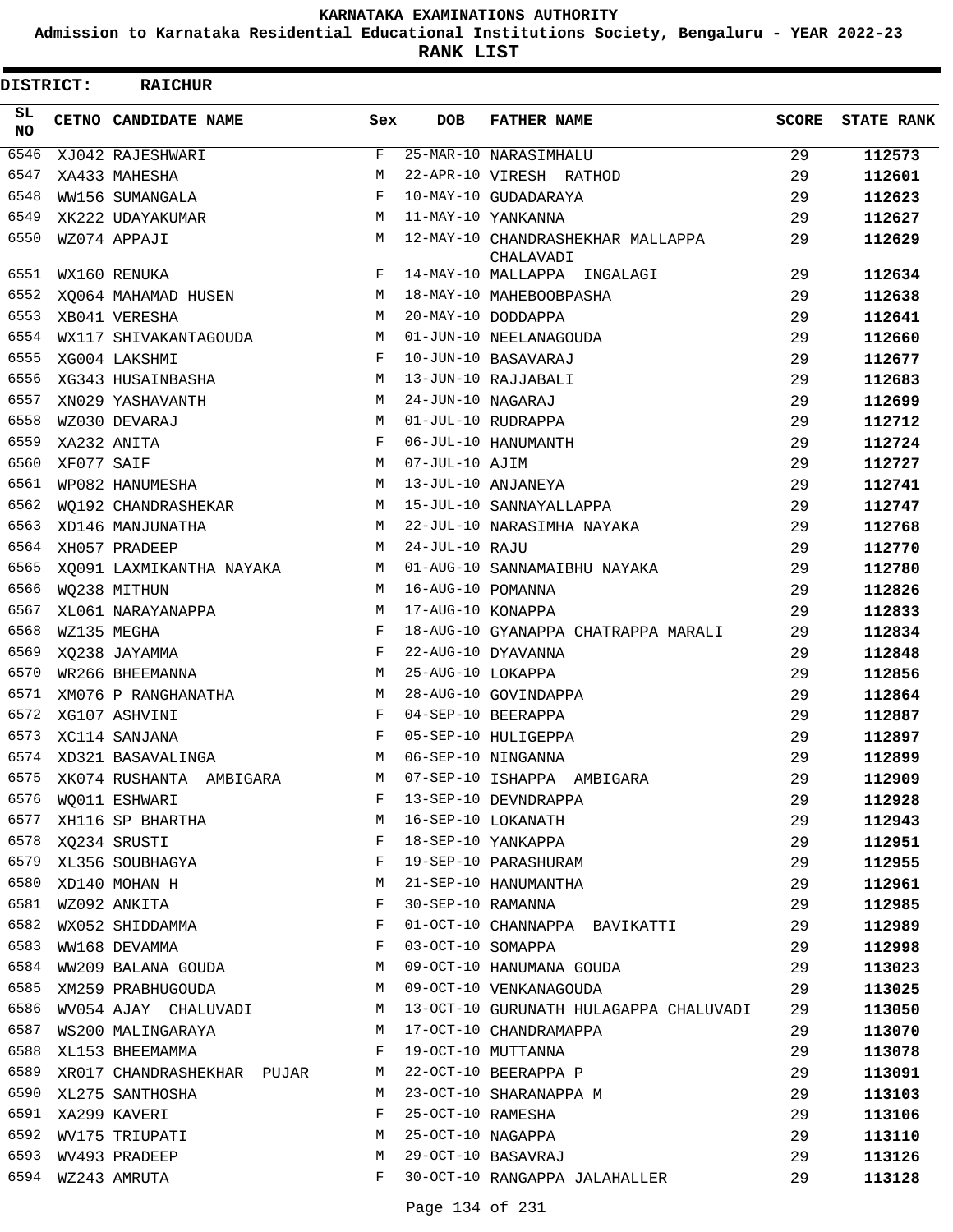**Admission to Karnataka Residential Educational Institutions Society, Bengaluru - YEAR 2022-23**

**RANK LIST**

| <b>DISTRICT:</b> |            | <b>RAICHUR</b>                  |            |                   |                                                |              |                   |
|------------------|------------|---------------------------------|------------|-------------------|------------------------------------------------|--------------|-------------------|
| SL<br>NO.        |            | CETNO CANDIDATE NAME            | Sex        | <b>DOB</b>        | <b>FATHER NAME</b>                             | <b>SCORE</b> | <b>STATE RANK</b> |
| 6546             |            | XJ042 RAJESHWARI                | F          |                   | 25-MAR-10 NARASIMHALU                          | 29           | 112573            |
| 6547             |            | XA433 MAHESHA                   | М          |                   | 22-APR-10 VIRESH RATHOD                        | 29           | 112601            |
| 6548             |            | WW156 SUMANGALA                 | $_{\rm F}$ |                   | 10-MAY-10 GUDADARAYA                           | 29           | 112623            |
| 6549             |            | XK222 UDAYAKUMAR                | М          |                   | 11-MAY-10 YANKANNA                             | 29           | 112627            |
| 6550             |            | WZ074 APPAJI                    | М          |                   | 12-MAY-10 CHANDRASHEKHAR MALLAPPA<br>CHALAVADI | 29           | 112629            |
| 6551             |            | WX160 RENUKA                    | F          |                   | 14-MAY-10 MALLAPPA INGALAGI                    | 29           | 112634            |
| 6552             |            | XQ064 MAHAMAD HUSEN             | М          |                   | 18-MAY-10 MAHEBOOBPASHA                        | 29           | 112638            |
| 6553             |            | XB041 VERESHA                   | M          |                   | 20-MAY-10 DODDAPPA                             | 29           | 112641            |
| 6554             |            | WX117 SHIVAKANTAGOUDA           | М          |                   | 01-JUN-10 NEELANAGOUDA                         | 29           | 112660            |
| 6555             |            | XG004 LAKSHMI                   | F          |                   | 10-JUN-10 BASAVARAJ                            | 29           | 112677            |
| 6556             |            | XG343 HUSAINBASHA               | М          |                   | 13-JUN-10 RAJJABALI                            | 29           | 112683            |
| 6557             |            | XN029 YASHAVANTH                | М          | 24-JUN-10 NAGARAJ |                                                | 29           | 112699            |
| 6558             |            | WZ030 DEVARAJ                   | M          |                   | 01-JUL-10 RUDRAPPA                             | 29           | 112712            |
| 6559             |            | XA232 ANITA                     | F          |                   | 06-JUL-10 HANUMANTH                            | 29           | 112724            |
| 6560             | XF077 SAIF |                                 | М          | 07-JUL-10 AJIM    |                                                | 29           | 112727            |
| 6561             |            | WP082 HANUMESHA                 | M          |                   | 13-JUL-10 ANJANEYA                             | 29           | 112741            |
| 6562             |            | WO192 CHANDRASHEKAR             | М          |                   | 15-JUL-10 SANNAYALLAPPA                        | 29           | 112747            |
| 6563             |            | XD146 MANJUNATHA                | М          |                   | 22-JUL-10 NARASIMHA NAYAKA                     | 29           | 112768            |
| 6564             |            | XH057 PRADEEP                   | М          | 24-JUL-10 RAJU    |                                                | 29           | 112770            |
| 6565             |            | XO091 LAXMIKANTHA NAYAKA        | М          |                   | 01-AUG-10 SANNAMAIBHU NAYAKA                   | 29           | 112780            |
| 6566             |            | WQ238 MITHUN                    | M          | 16-AUG-10 POMANNA |                                                | 29           | 112826            |
| 6567             |            | XL061 NARAYANAPPA               | М          | 17-AUG-10 KONAPPA |                                                | 29           | 112833            |
| 6568             |            | WZ135 MEGHA                     | F          |                   | 18-AUG-10 GYANAPPA CHATRAPPA MARALI            | 29           | 112834            |
| 6569             |            | XO238 JAYAMMA                   | F          |                   | 22-AUG-10 DYAVANNA                             | 29           | 112848            |
| 6570             |            | WR266 BHEEMANNA                 | М          | 25-AUG-10 LOKAPPA |                                                | 29           | 112856            |
| 6571             |            | XM076 P RANGHANATHA             | М          |                   | 28-AUG-10 GOVINDAPPA                           | 29           | 112864            |
| 6572             |            | XG107 ASHVINI                   | F          |                   | 04-SEP-10 BEERAPPA                             | 29           | 112887            |
| 6573             |            | XC114 SANJANA                   | F          |                   | 05-SEP-10 HULIGEPPA                            | 29           | 112897            |
| 6574             |            | XD321 BASAVALINGA               | M          |                   | 06-SEP-10 NINGANNA                             | 29           | 112899            |
| 6575             |            | XK074 RUSHANTA AMBIGARA         | М          |                   | 07-SEP-10 ISHAPPA AMBIGARA                     | 29           | 112909            |
| 6576             |            | WQ011 ESHWARI                   | F          |                   | 13-SEP-10 DEVNDRAPPA                           | 29           | 112928            |
| 6577             |            | M<br>XH116 SP BHARTHA           |            |                   | 16-SEP-10 LOKANATH                             | 29           | 112943            |
| 6578             |            | XQ234 SRUSTI                    | F          |                   | 18-SEP-10 YANKAPPA                             | 29           | 112951            |
| 6579             |            | XL356 SOUBHAGYA                 | F          |                   | 19-SEP-10 PARASHURAM                           | 29           | 112955            |
| 6580             |            | XD140 MOHAN H                   | М          |                   | 21-SEP-10 HANUMANTHA                           | 29           | 112961            |
| 6581             |            | wz092 ANKITA<br>WX052 SHIDDAMMA | F          | 30-SEP-10 RAMANNA |                                                | 29           | 112985            |
| 6582             |            |                                 | F          |                   | 01-OCT-10 CHANNAPPA BAVIKATTI                  | 29           | 112989            |
| 6583             |            | WW168 DEVAMMA                   | F          | 03-OCT-10 SOMAPPA |                                                | 29           | 112998            |
| 6584             |            | WW209 BALANA GOUDA              | М          |                   | 09-OCT-10 HANUMANA GOUDA                       | 29           | 113023            |
| 6585             |            | XM259 PRABHUGOUDA               | М          |                   | 09-OCT-10 VENKANAGOUDA                         | 29           | 113025            |
| 6586             |            | WV054 AJAY CHALUVADI            | М          |                   | 13-OCT-10 GURUNATH HULAGAPPA CHALUVADI         | 29           | 113050            |
| 6587             |            | WS200 MALINGARAYA               | М          |                   | 17-OCT-10 CHANDRAMAPPA                         | 29           | 113070            |
| 6588             |            | XL153 BHEEMAMMA                 | F          |                   | 19-OCT-10 MUTTANNA                             | 29           | 113078            |
| 6589             |            | XR017 CHANDRASHEKHAR PUJAR      | M          |                   | 22-OCT-10 BEERAPPA P                           | 29           | 113091            |
| 6590             |            | XL275 SANTHOSHA                 | M          |                   | 23-OCT-10 SHARANAPPA M                         | 29           | 113103            |
| 6591             |            | XA299 KAVERI                    | F          | 25-OCT-10 RAMESHA |                                                | 29           | 113106            |
| 6592             |            | WV175 TRIUPATI                  | М          | 25-OCT-10 NAGAPPA |                                                | 29           | 113110            |
| 6593             |            | WV493 PRADEEP                   | М          |                   | 29-OCT-10 BASAVRAJ                             | 29           | 113126            |
|                  |            | 6594 WZ243 AMRUTA               | F          |                   | 30-OCT-10 RANGAPPA JALAHALLER                  | 29           | 113128            |
|                  |            |                                 |            |                   |                                                |              |                   |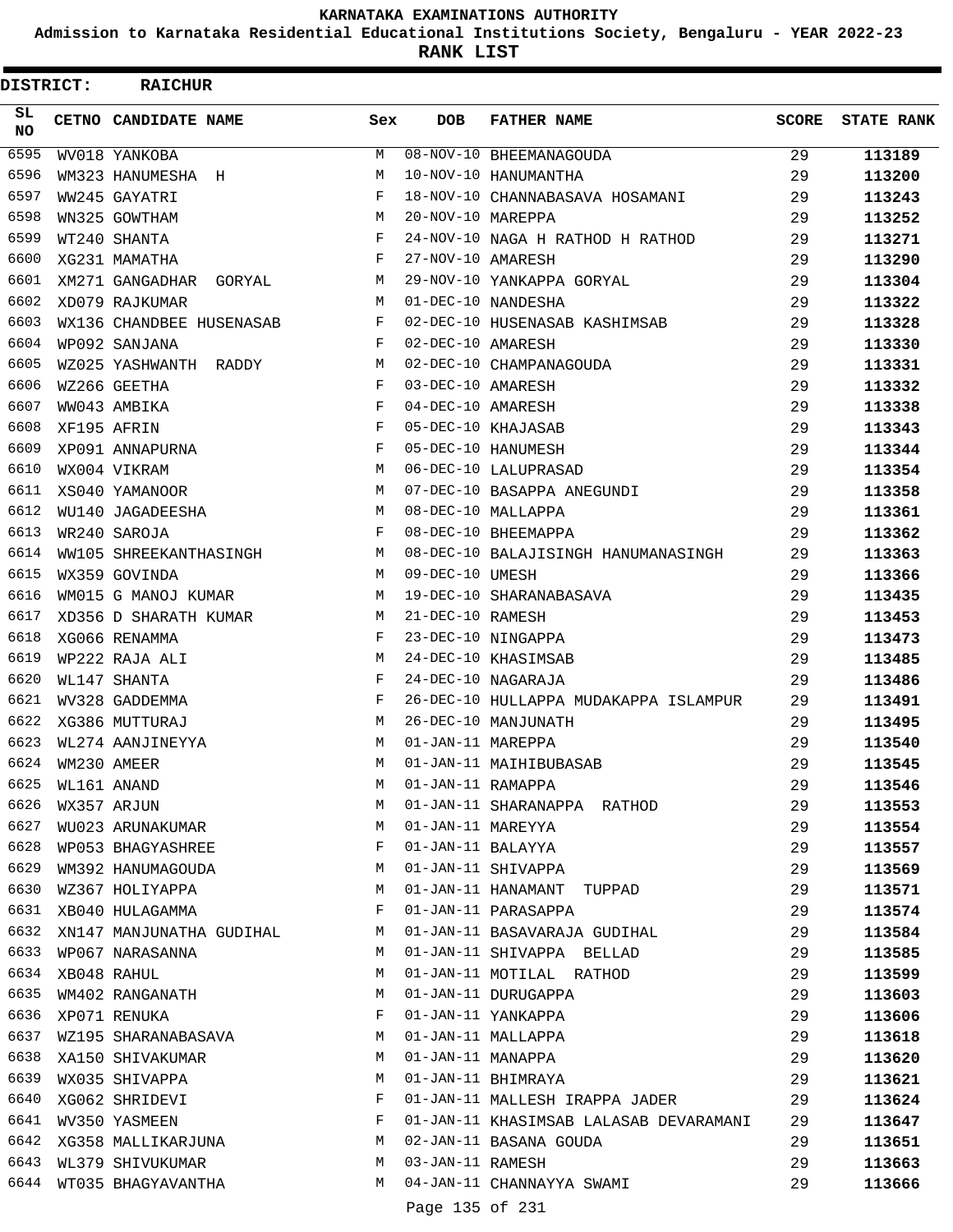**Admission to Karnataka Residential Educational Institutions Society, Bengaluru - YEAR 2022-23**

ı

**RANK LIST**

| <b>DISTRICT:</b> | <b>RAICHUR</b>           |              |                   |                                        |       |                   |
|------------------|--------------------------|--------------|-------------------|----------------------------------------|-------|-------------------|
| SL.<br>NO.       | CETNO CANDIDATE NAME     | Sex          | <b>DOB</b>        | <b>FATHER NAME</b>                     | SCORE | <b>STATE RANK</b> |
| 6595             | WV018 YANKOBA            | М            |                   | 08-NOV-10 BHEEMANAGOUDA                | 29    | 113189            |
| 6596             | WM323 HANUMESHA H        | M            |                   | 10-NOV-10 HANUMANTHA                   | 29    | 113200            |
| 6597             | WW245 GAYATRI            | F            |                   | 18-NOV-10 CHANNABASAVA HOSAMANI        | 29    | 113243            |
| 6598             | WN325 GOWTHAM            | M            | 20-NOV-10 MAREPPA |                                        | 29    | 113252            |
| 6599             | WT240 SHANTA             | F            |                   | 24-NOV-10 NAGA H RATHOD H RATHOD       | 29    | 113271            |
| 6600             | XG231 MAMATHA            | F            | 27-NOV-10 AMARESH |                                        | 29    | 113290            |
| 6601             | XM271 GANGADHAR GORYAL   | М            |                   | 29-NOV-10 YANKAPPA GORYAL              | 29    | 113304            |
| 6602             | XD079 RAJKUMAR           | M            |                   | 01-DEC-10 NANDESHA                     | 29    | 113322            |
| 6603             | WX136 CHANDBEE HUSENASAB | F            |                   | 02-DEC-10 HUSENASAB KASHIMSAB          | 29    | 113328            |
| 6604             | WP092 SANJANA            | F            | 02-DEC-10 AMARESH |                                        | 29    | 113330            |
| 6605             | WZ025 YASHWANTH RADDY    | М            |                   | 02-DEC-10 CHAMPANAGOUDA                | 29    | 113331            |
| 6606             | WZ266 GEETHA             | F            | 03-DEC-10 AMARESH |                                        | 29    | 113332            |
| 6607             | WW043 AMBIKA             | F            | 04-DEC-10 AMARESH |                                        | 29    | 113338            |
| 6608             | XF195 AFRIN              | F            |                   | 05-DEC-10 KHAJASAB                     | 29    | 113343            |
| 6609             | XP091 ANNAPURNA          | F            |                   | 05-DEC-10 HANUMESH                     | 29    | 113344            |
| 6610             | WX004 VIKRAM             | M            |                   | 06-DEC-10 LALUPRASAD                   | 29    | 113354            |
| 6611             | XS040 YAMANOOR           | M            |                   | 07-DEC-10 BASAPPA ANEGUNDI             | 29    | 113358            |
| 6612             | WU140 JAGADEESHA         | M            |                   | 08-DEC-10 MALLAPPA                     | 29    | 113361            |
| 6613             | WR240 SAROJA             | F            |                   | 08-DEC-10 BHEEMAPPA                    | 29    | 113362            |
| 6614             | WW105 SHREEKANTHASINGH   | M            |                   | 08-DEC-10 BALAJISINGH HANUMANASINGH    | 29    | 113363            |
| 6615             | WX359 GOVINDA            | M            | 09-DEC-10 UMESH   |                                        | 29    | 113366            |
| 6616             | WM015 G MANOJ KUMAR      | M            |                   | 19-DEC-10 SHARANABASAVA                | 29    | 113435            |
| 6617             | XD356 D SHARATH KUMAR    | M            | 21-DEC-10 RAMESH  |                                        | 29    | 113453            |
| 6618             | XG066 RENAMMA            | F            |                   | 23-DEC-10 NINGAPPA                     | 29    | 113473            |
| 6619             | WP222 RAJA ALI           | M            |                   | 24-DEC-10 KHASIMSAB                    | 29    | 113485            |
| 6620             | WL147 SHANTA             | F            |                   | 24-DEC-10 NAGARAJA                     | 29    | 113486            |
| 6621             | WV328 GADDEMMA           | F            |                   | 26-DEC-10 HULLAPPA MUDAKAPPA ISLAMPUR  | 29    | 113491            |
| 6622             | XG386 MUTTURAJ           | M            |                   | 26-DEC-10 MANJUNATH                    | 29    | 113495            |
| 6623             | WL274 AANJINEYYA         | M            | 01-JAN-11 MAREPPA |                                        | 29    | 113540            |
| 6624             | WM230 AMEER              | М            |                   | 01-JAN-11 MAIHIBUBASAB                 | 29    | 113545            |
| 6625             | WL161 ANAND              | M            | 01-JAN-11 RAMAPPA |                                        | 29    | 113546            |
| 6626             | WX357 ARJUN              | M            |                   | 01-JAN-11 SHARANAPPA RATHOD            | 29    | 113553            |
| 6627             | WU023 ARUNAKUMAR         | M            | 01-JAN-11 MAREYYA |                                        | 29    | 113554            |
| 6628             | WP053 BHAGYASHREE        | F            |                   | 01-JAN-11 BALAYYA                      | 29    | 113557            |
| 6629             | WM392 HANUMAGOUDA        | M            |                   | 01-JAN-11 SHIVAPPA                     | 29    | 113569            |
| 6630             | WZ367 HOLIYAPPA          | M            |                   | 01-JAN-11 HANAMANT TUPPAD              | 29    | 113571            |
| 6631             | XB040 HULAGAMMA          | F            |                   | 01-JAN-11 PARASAPPA                    | 29    | 113574            |
| 6632             | XN147 MANJUNATHA GUDIHAL | M            |                   | 01-JAN-11 BASAVARAJA GUDIHAL           | 29    | 113584            |
| 6633             | WP067 NARASANNA          | M            |                   | 01-JAN-11 SHIVAPPA BELLAD              | 29    | 113585            |
| 6634             | XB048 RAHUL              | M            |                   | 01-JAN-11 MOTILAL RATHOD               | 29    | 113599            |
| 6635             | WM402 RANGANATH          | M            |                   | 01-JAN-11 DURUGAPPA                    | 29    | 113603            |
| 6636             | XP071 RENUKA             | F            |                   | 01-JAN-11 YANKAPPA                     | 29    | 113606            |
| 6637             | WZ195 SHARANABASAVA      | M            |                   | 01-JAN-11 MALLAPPA                     | 29    | 113618            |
| 6638             | XA150 SHIVAKUMAR         | M            |                   | 01-JAN-11 MANAPPA                      | 29    | 113620            |
| 6639             | WX035 SHIVAPPA           | М            |                   | 01-JAN-11 BHIMRAYA                     | 29    | 113621            |
| 6640             | XG062 SHRIDEVI           | F            |                   | 01-JAN-11 MALLESH IRAPPA JADER         | 29    | 113624            |
| 6641             | WV350 YASMEEN            | $\mathbf{F}$ |                   | 01-JAN-11 KHASIMSAB LALASAB DEVARAMANI | 29    | 113647            |
| 6642             | XG358 MALLIKARJUNA       | M            |                   | 02-JAN-11 BASANA GOUDA                 | 29    | 113651            |
| 6643             | WL379 SHIVUKUMAR         | M            | 03-JAN-11 RAMESH  |                                        | 29    | 113663            |
| 6644             | WT035 BHAGYAVANTHA       | M            |                   | 04-JAN-11 CHANNAYYA SWAMI              | 29    | 113666            |
|                  |                          |              | Page 135 of 231   |                                        |       |                   |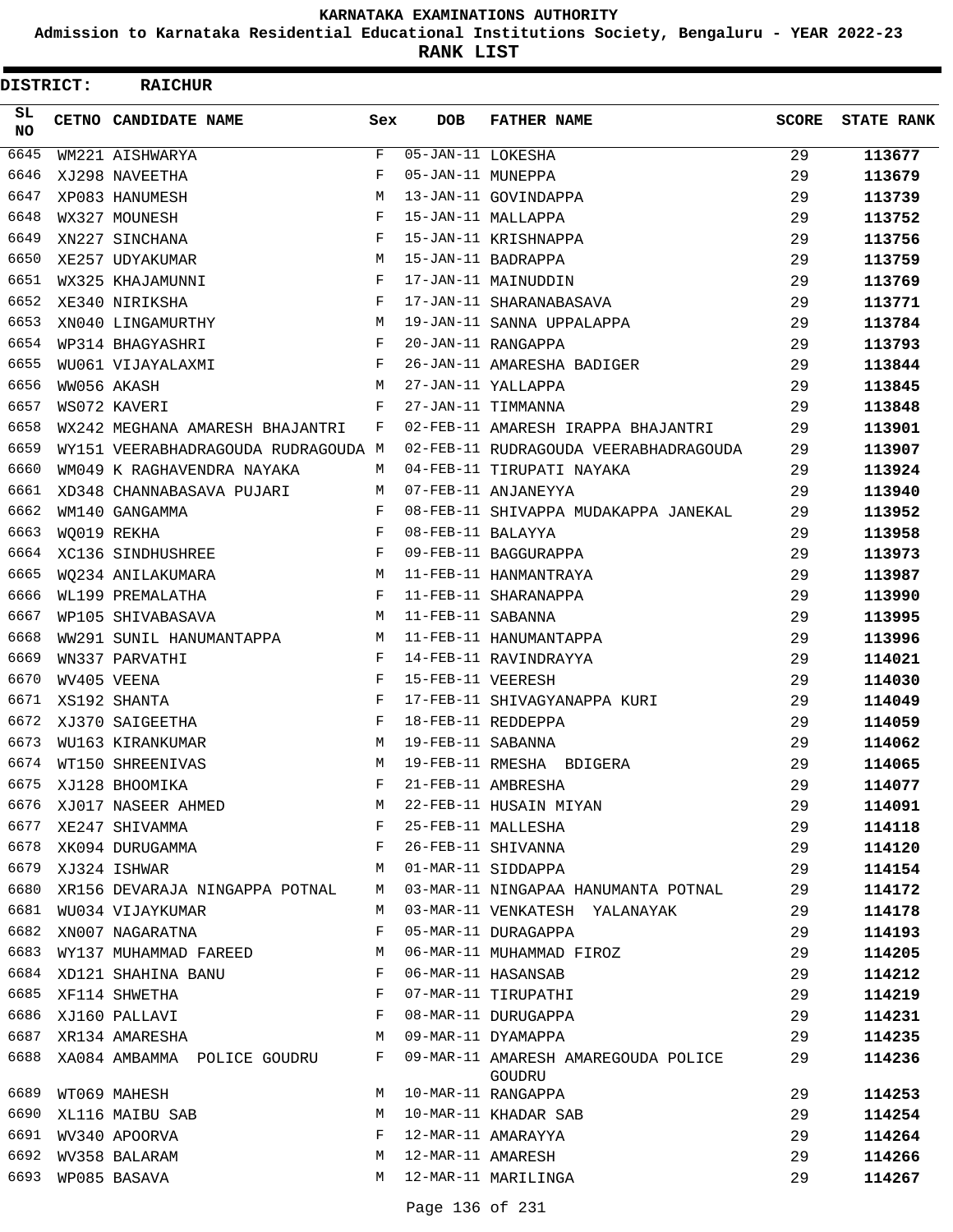**Admission to Karnataka Residential Educational Institutions Society, Bengaluru - YEAR 2022-23**

| DISTRICT:  | <b>RAICHUR</b>                      |            |                   |                                               |              |                   |
|------------|-------------------------------------|------------|-------------------|-----------------------------------------------|--------------|-------------------|
| SL.<br>NO. | CETNO CANDIDATE NAME                | Sex        | <b>DOB</b>        | <b>FATHER NAME</b>                            | <b>SCORE</b> | <b>STATE RANK</b> |
| 6645       | WM221 AISHWARYA                     | F          | 05-JAN-11 LOKESHA |                                               | 29           | 113677            |
| 6646       | XJ298 NAVEETHA                      | F          | 05-JAN-11 MUNEPPA |                                               | 29           | 113679            |
| 6647       | XP083 HANUMESH                      | M          |                   | 13-JAN-11 GOVINDAPPA                          | 29           | 113739            |
| 6648       | WX327 MOUNESH                       | F          |                   | 15-JAN-11 MALLAPPA                            | 29           | 113752            |
| 6649       | XN227 SINCHANA                      | F          |                   | 15-JAN-11 KRISHNAPPA                          | 29           | 113756            |
| 6650       | XE257 UDYAKUMAR                     | M          |                   | 15-JAN-11 BADRAPPA                            | 29           | 113759            |
| 6651       | WX325 KHAJAMUNNI                    | $_{\rm F}$ |                   | 17-JAN-11 MAINUDDIN                           | 29           | 113769            |
| 6652       | XE340 NIRIKSHA                      | F          |                   | 17-JAN-11 SHARANABASAVA                       | 29           | 113771            |
| 6653       | XN040 LINGAMURTHY                   | M          |                   | 19-JAN-11 SANNA UPPALAPPA                     | 29           | 113784            |
| 6654       | WP314 BHAGYASHRI                    | F          |                   | 20-JAN-11 RANGAPPA                            | 29           | 113793            |
| 6655       | WU061 VIJAYALAXMI                   | F          |                   | 26-JAN-11 AMARESHA BADIGER                    | 29           | 113844            |
| 6656       | WW056 AKASH                         | M          |                   | 27-JAN-11 YALLAPPA                            | 29           | 113845            |
| 6657       | WS072 KAVERI                        | F          |                   | 27-JAN-11 TIMMANNA                            | 29           | 113848            |
| 6658       | WX242 MEGHANA AMARESH BHAJANTRI     | F          |                   | 02-FEB-11 AMARESH IRAPPA BHAJANTRI            | 29           | 113901            |
| 6659       | WY151 VEERABHADRAGOUDA RUDRAGOUDA M |            |                   | 02-FEB-11 RUDRAGOUDA VEERABHADRAGOUDA         | 29           | 113907            |
| 6660       | WM049 K RAGHAVENDRA NAYAKA          | М          |                   | 04-FEB-11 TIRUPATI NAYAKA                     | 29           | 113924            |
| 6661       | XD348 CHANNABASAVA PUJARI           | М          |                   | 07-FEB-11 ANJANEYYA                           | 29           | 113940            |
| 6662       | WM140 GANGAMMA                      | F          |                   | 08-FEB-11 SHIVAPPA MUDAKAPPA JANEKAL          | 29           | 113952            |
| 6663       | WO019 REKHA                         | F          | 08-FEB-11 BALAYYA |                                               | 29           | 113958            |
| 6664       | XC136 SINDHUSHREE                   | $_{\rm F}$ |                   | 09-FEB-11 BAGGURAPPA                          | 29           | 113973            |
| 6665       | WO234 ANILAKUMARA                   | M          |                   | 11-FEB-11 HANMANTRAYA                         | 29           | 113987            |
| 6666       | WL199 PREMALATHA                    | F          |                   | 11-FEB-11 SHARANAPPA                          | 29           | 113990            |
| 6667       | WP105 SHIVABASAVA                   | M          | 11-FEB-11 SABANNA |                                               | 29           | 113995            |
| 6668       | WW291 SUNIL HANUMANTAPPA            | M          |                   | 11-FEB-11 HANUMANTAPPA                        | 29           | 113996            |
| 6669       | WN337 PARVATHI                      | F          |                   | 14-FEB-11 RAVINDRAYYA                         | 29           | 114021            |
| 6670       | WV405 VEENA                         | F          | 15-FEB-11 VEERESH |                                               | 29           | 114030            |
| 6671       | XS192 SHANTA                        | F          |                   | 17-FEB-11 SHIVAGYANAPPA KURI                  | 29           | 114049            |
| 6672       | XJ370 SAIGEETHA                     | F          |                   | 18-FEB-11 REDDEPPA                            | 29           | 114059            |
| 6673       | WU163 KIRANKUMAR                    | M          | 19-FEB-11 SABANNA |                                               | 29           | 114062            |
| 6674       | WT150 SHREENIVAS                    | M          |                   | 19-FEB-11 RMESHA BDIGERA                      | 29           | 114065            |
| 6675       | XJ128 BHOOMIKA                      | F          |                   | 21-FEB-11 AMBRESHA                            | 29           | 114077            |
| 6676       | XJ017 NASEER AHMED                  | M          |                   | 22-FEB-11 HUSAIN MIYAN                        | 29           | 114091            |
| 6677       | XE247 SHIVAMMA                      | F          |                   | 25-FEB-11 MALLESHA                            | 29           | 114118            |
| 6678       | XK094 DURUGAMMA                     | F          |                   | 26-FEB-11 SHIVANNA                            | 29           | 114120            |
| 6679       | XJ324 ISHWAR                        | M          |                   | 01-MAR-11 SIDDAPPA                            | 29           | 114154            |
| 6680       | XR156 DEVARAJA NINGAPPA POTNAL      | М          |                   | 03-MAR-11 NINGAPAA HANUMANTA POTNAL           | 29           | 114172            |
| 6681       | WU034 VIJAYKUMAR                    | M          |                   | 03-MAR-11 VENKATESH YALANAYAK                 | 29           | 114178            |
| 6682       | XN007 NAGARATNA                     | F          |                   | 05-MAR-11 DURAGAPPA                           | 29           | 114193            |
| 6683       | WY137 MUHAMMAD FAREED               | М          |                   | 06-MAR-11 MUHAMMAD FIROZ                      | 29           | 114205            |
| 6684       | XD121 SHAHINA BANU                  | F          |                   | 06-MAR-11 HASANSAB                            | 29           | 114212            |
| 6685       | XF114 SHWETHA                       | F          |                   | 07-MAR-11 TIRUPATHI                           | 29           | 114219            |
| 6686       | XJ160 PALLAVI                       | F          |                   | 08-MAR-11 DURUGAPPA                           | 29           | 114231            |
| 6687       | XR134 AMARESHA                      | M          |                   | 09-MAR-11 DYAMAPPA                            | 29           | 114235            |
| 6688       | XA084 AMBAMMA POLICE GOUDRU         | F          |                   | 09-MAR-11 AMARESH AMAREGOUDA POLICE<br>GOUDRU | 29           | 114236            |
| 6689       | WT069 MAHESH                        | M          |                   | 10-MAR-11 RANGAPPA                            | 29           | 114253            |
| 6690       | XL116 MAIBU SAB                     | M          |                   | 10-MAR-11 KHADAR SAB                          | 29           | 114254            |
| 6691       | WV340 APOORVA                       | F          |                   | 12-MAR-11 AMARAYYA                            | 29           | 114264            |
| 6692       | WV358 BALARAM                       | М          | 12-MAR-11 AMARESH |                                               | 29           | 114266            |
| 6693       | WP085 BASAVA                        | М          |                   | 12-MAR-11 MARILINGA                           | 29           | 114267            |
|            |                                     |            |                   |                                               |              |                   |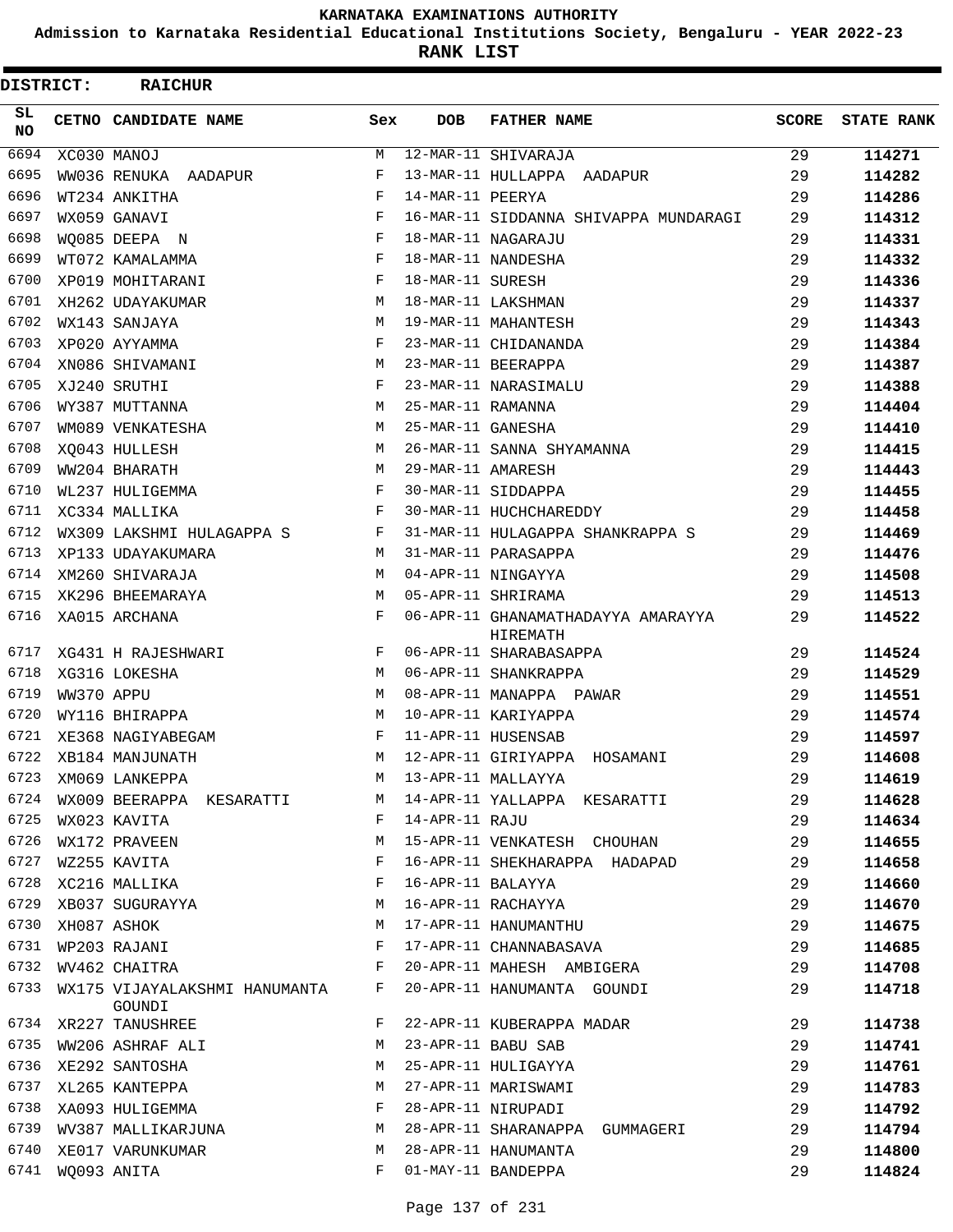**Admission to Karnataka Residential Educational Institutions Society, Bengaluru - YEAR 2022-23**

**RANK LIST**

| DISTRICT:        |            | <b>RAICHUR</b>                          |     |                   |                                                |              |                   |
|------------------|------------|-----------------------------------------|-----|-------------------|------------------------------------------------|--------------|-------------------|
| SL.<br><b>NO</b> |            | CETNO CANDIDATE NAME                    | Sex | <b>DOB</b>        | <b>FATHER NAME</b>                             | <b>SCORE</b> | <b>STATE RANK</b> |
| 6694             |            | XC030 MANOJ                             | М   |                   | 12-MAR-11 SHIVARAJA                            | 29           | 114271            |
| 6695             |            | WW036 RENUKA AADAPUR                    | F   |                   | 13-MAR-11 HULLAPPA AADAPUR                     | 29           | 114282            |
| 6696             |            | WT234 ANKITHA                           | F   | 14-MAR-11 PEERYA  |                                                | 29           | 114286            |
| 6697             |            | WX059 GANAVI                            | F   |                   | 16-MAR-11 SIDDANNA SHIVAPPA MUNDARAGI          | 29           | 114312            |
| 6698             |            | WO085 DEEPA N                           | F   |                   | 18-MAR-11 NAGARAJU                             | 29           | 114331            |
| 6699             |            | WT072 KAMALAMMA                         | F   |                   | 18-MAR-11 NANDESHA                             | 29           | 114332            |
| 6700             |            | XP019 MOHITARANI                        | F   | 18-MAR-11 SURESH  |                                                | 29           | 114336            |
| 6701             |            | XH262 UDAYAKUMAR                        | М   |                   | 18-MAR-11 LAKSHMAN                             | 29           | 114337            |
| 6702             |            | WX143 SANJAYA                           | M   |                   | 19-MAR-11 MAHANTESH                            | 29           | 114343            |
| 6703             |            | XP020 AYYAMMA                           | F   |                   | 23-MAR-11 CHIDANANDA                           | 29           | 114384            |
| 6704             |            | XN086 SHIVAMANI                         | М   |                   | 23-MAR-11 BEERAPPA                             | 29           | 114387            |
| 6705             |            | XJ240 SRUTHI                            | F   |                   | 23-MAR-11 NARASIMALU                           | 29           | 114388            |
| 6706             |            | WY387 MUTTANNA                          | M   | 25-MAR-11 RAMANNA |                                                | 29           | 114404            |
| 6707             |            | WM089 VENKATESHA                        | М   | 25-MAR-11 GANESHA |                                                | 29           | 114410            |
| 6708             |            | XO043 HULLESH                           | M   |                   | 26-MAR-11 SANNA SHYAMANNA                      | 29           | 114415            |
| 6709             |            | WW204 BHARATH                           | М   | 29-MAR-11 AMARESH |                                                | 29           | 114443            |
| 6710             |            | WL237 HULIGEMMA                         | F   |                   | 30-MAR-11 SIDDAPPA                             | 29           | 114455            |
| 6711             |            | XC334 MALLIKA                           | F   |                   | 30-MAR-11 HUCHCHAREDDY                         | 29           | 114458            |
| 6712             |            | WX309 LAKSHMI HULAGAPPA S               | F   |                   | 31-MAR-11 HULAGAPPA SHANKRAPPA S               | 29           | 114469            |
| 6713             |            | XP133 UDAYAKUMARA                       | М   |                   | 31-MAR-11 PARASAPPA                            | 29           | 114476            |
| 6714             |            | XM260 SHIVARAJA                         | M   |                   | 04-APR-11 NINGAYYA                             | 29           | 114508            |
| 6715             |            | XK296 BHEEMARAYA                        | M   |                   | 05-APR-11 SHRIRAMA                             | 29           | 114513            |
| 6716             |            | XA015 ARCHANA                           | F   |                   | 06-APR-11 GHANAMATHADAYYA AMARAYYA<br>HIREMATH | 29           | 114522            |
| 6717             |            | XG431 H RAJESHWARI                      | F   |                   | 06-APR-11 SHARABASAPPA                         | 29           | 114524            |
| 6718             |            | XG316 LOKESHA                           | M   |                   | 06-APR-11 SHANKRAPPA                           | 29           | 114529            |
| 6719             | WW370 APPU |                                         | М   |                   | 08-APR-11 MANAPPA PAWAR                        | 29           | 114551            |
| 6720             |            | WY116 BHIRAPPA                          | М   |                   | 10-APR-11 KARIYAPPA                            | 29           | 114574            |
| 6721             |            | XE368 NAGIYABEGAM                       | F   |                   | 11-APR-11 HUSENSAB                             | 29           | 114597            |
| 6722             |            | XB184 MANJUNATH                         | M   |                   | 12-APR-11 GIRIYAPPA HOSAMANI                   | 29           | 114608            |
| 6723             |            | XM069 LANKEPPA                          | M   |                   | 13-APR-11 MALLAYYA                             | 29           | 114619            |
| 6724             |            | WX009 BEERAPPA KESARATTI                | М   |                   | 14-APR-11 YALLAPPA KESARATTI                   | 29           | 114628            |
| 6725             |            | WX023 KAVITA                            | F   | 14-APR-11 RAJU    |                                                | 29           | 114634            |
| 6726             |            | WX172 PRAVEEN                           | М   |                   | 15-APR-11 VENKATESH CHOUHAN                    | 29           | 114655            |
| 6727             |            | WZ255 KAVITA                            | F   |                   | 16-APR-11 SHEKHARAPPA HADAPAD                  | 29           | 114658            |
| 6728             |            | XC216 MALLIKA                           | F   | 16-APR-11 BALAYYA |                                                | 29           | 114660            |
| 6729             |            | XB037 SUGURAYYA                         | М   |                   | 16-APR-11 RACHAYYA                             | 29           | 114670            |
| 6730             |            | XH087 ASHOK                             | М   |                   | 17-APR-11 HANUMANTHU                           | 29           | 114675            |
| 6731             |            | WP203 RAJANI                            | F   |                   | 17-APR-11 CHANNABASAVA                         | 29           | 114685            |
| 6732             |            | WV462 CHAITRA                           | F   |                   | 20-APR-11 MAHESH AMBIGERA                      | 29           | 114708            |
| 6733             |            | WX175 VIJAYALAKSHMI HANUMANTA<br>GOUNDI | F   |                   | 20-APR-11 HANUMANTA GOUNDI                     | 29           | 114718            |
| 6734             |            | XR227 TANUSHREE                         | F   |                   | 22-APR-11 KUBERAPPA MADAR                      | 29           | 114738            |
| 6735             |            | WW206 ASHRAF ALI                        | M   |                   | 23-APR-11 BABU SAB                             | 29           | 114741            |
| 6736             |            | XE292 SANTOSHA                          | М   |                   | 25-APR-11 HULIGAYYA                            | 29           | 114761            |
| 6737             |            | XL265 KANTEPPA                          | М   |                   | 27-APR-11 MARISWAMI                            | 29           | 114783            |
| 6738             |            | XA093 HULIGEMMA                         | F   |                   | 28-APR-11 NIRUPADI                             | 29           | 114792            |
| 6739             |            | WV387 MALLIKARJUNA                      | M   |                   | 28-APR-11 SHARANAPPA GUMMAGERI                 | 29           | 114794            |
| 6740             |            | XE017 VARUNKUMAR                        | М   |                   | 28-APR-11 HANUMANTA                            | 29           | 114800            |
| 6741             |            | WQ093 ANITA                             | F   |                   | 01-MAY-11 BANDEPPA                             | 29           | 114824            |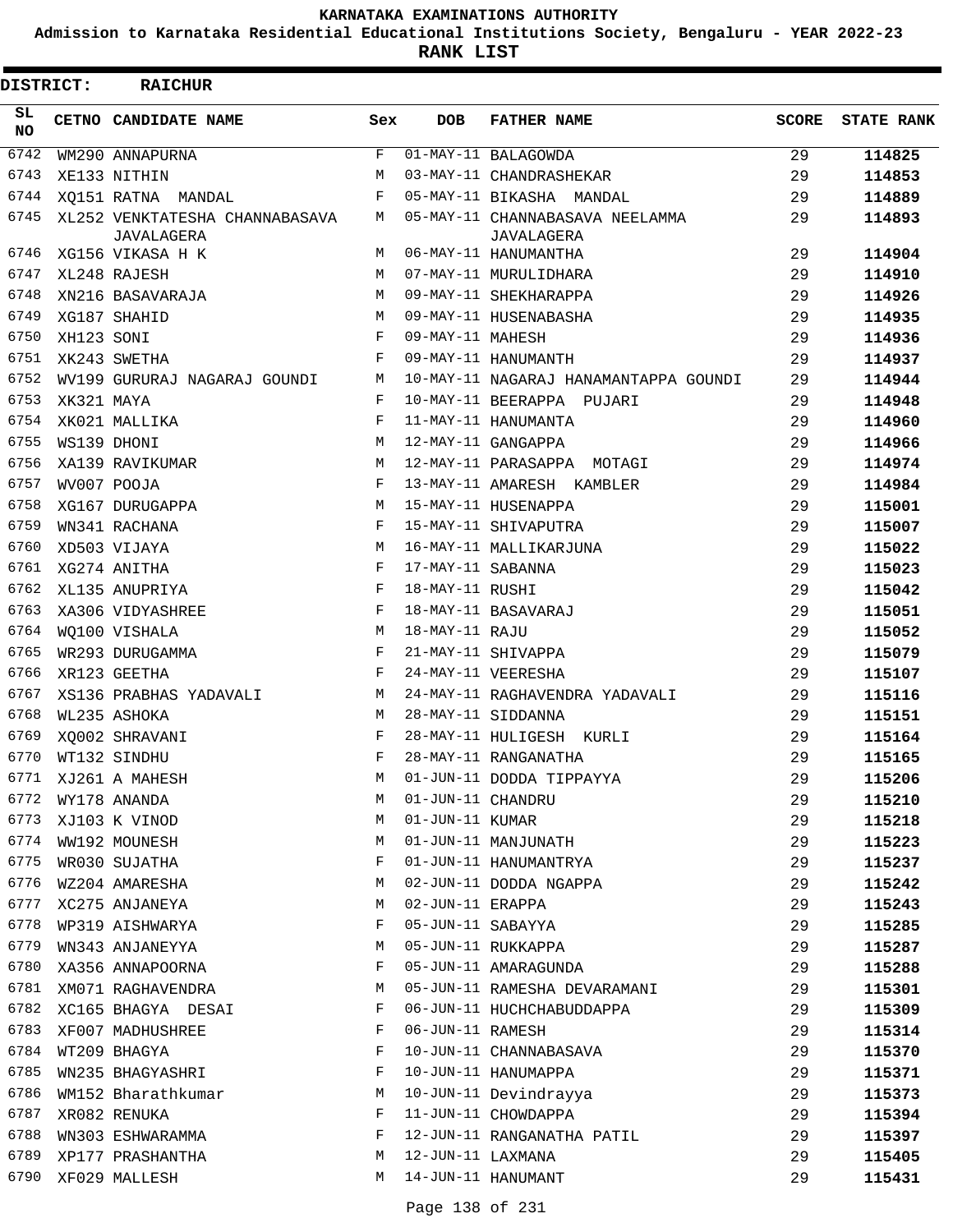**Admission to Karnataka Residential Educational Institutions Society, Bengaluru - YEAR 2022-23**

| DISTRICT:       |            | <b>RAICHUR</b>                                      |             |                   |                                                      |       |                   |
|-----------------|------------|-----------------------------------------------------|-------------|-------------------|------------------------------------------------------|-------|-------------------|
| SL<br><b>NO</b> |            | CETNO CANDIDATE NAME                                | Sex         | <b>DOB</b>        | <b>FATHER NAME</b>                                   | SCORE | <b>STATE RANK</b> |
| 6742            |            | WM290 ANNAPURNA                                     | $\mathbf F$ |                   | 01-MAY-11 BALAGOWDA                                  | 29    | 114825            |
| 6743            |            | XE133 NITHIN                                        | M           |                   | 03-MAY-11 CHANDRASHEKAR                              | 29    | 114853            |
| 6744            |            | XO151 RATNA MANDAL                                  | F           |                   | 05-MAY-11 BIKASHA MANDAL                             | 29    | 114889            |
| 6745            |            | XL252 VENKTATESHA CHANNABASAVA<br><b>JAVALAGERA</b> | M           |                   | 05-MAY-11 CHANNABASAVA NEELAMMA<br><b>JAVALAGERA</b> | 29    | 114893            |
| 6746            |            | XG156 VIKASA H K                                    | М           |                   | 06-MAY-11 HANUMANTHA                                 | 29    | 114904            |
| 6747            |            | XL248 RAJESH                                        | M           |                   | 07-MAY-11 MURULIDHARA                                | 29    | 114910            |
| 6748            |            | XN216 BASAVARAJA                                    | M           |                   | 09-MAY-11 SHEKHARAPPA                                | 29    | 114926            |
| 6749            |            | XG187 SHAHID                                        | M           |                   | 09-MAY-11 HUSENABASHA                                | 29    | 114935            |
| 6750            | XH123 SONI |                                                     | F           | 09-MAY-11 MAHESH  |                                                      | 29    | 114936            |
| 6751            |            | XK243 SWETHA                                        | F           |                   | 09-MAY-11 HANUMANTH                                  | 29    | 114937            |
| 6752            |            | WV199 GURURAJ NAGARAJ GOUNDI                        | М           |                   | 10-MAY-11 NAGARAJ HANAMANTAPPA GOUNDI                | 29    | 114944            |
| 6753            | XK321 MAYA |                                                     | F           |                   | 10-MAY-11 BEERAPPA PUJARI                            | 29    | 114948            |
| 6754            |            | XK021 MALLIKA                                       | F           |                   | 11-MAY-11 HANUMANTA                                  | 29    | 114960            |
| 6755            |            | WS139 DHONI                                         | М           |                   | 12-MAY-11 GANGAPPA                                   | 29    | 114966            |
| 6756            |            | XA139 RAVIKUMAR                                     | M           |                   | 12-MAY-11 PARASAPPA MOTAGI                           | 29    | 114974            |
| 6757            |            | WV007 POOJA                                         | F           |                   | 13-MAY-11 AMARESH KAMBLER                            | 29    | 114984            |
| 6758            |            | XG167 DURUGAPPA                                     | M           |                   | 15-MAY-11 HUSENAPPA                                  | 29    | 115001            |
| 6759            |            | WN341 RACHANA                                       | F           |                   | 15-MAY-11 SHIVAPUTRA                                 | 29    | 115007            |
| 6760            |            | XD503 VIJAYA                                        | М           |                   | 16-MAY-11 MALLIKARJUNA                               | 29    | 115022            |
| 6761            |            | XG274 ANITHA                                        | F           | 17-MAY-11 SABANNA |                                                      | 29    | 115023            |
| 6762            |            | XL135 ANUPRIYA                                      | F           | 18-MAY-11 RUSHI   |                                                      | 29    | 115042            |
| 6763            |            | XA306 VIDYASHREE                                    | F           |                   | 18-MAY-11 BASAVARAJ                                  | 29    | 115051            |
| 6764            |            | WO100 VISHALA                                       | M           | 18-MAY-11 RAJU    |                                                      | 29    | 115052            |
| 6765            |            | WR293 DURUGAMMA                                     | F           |                   | 21-MAY-11 SHIVAPPA                                   | 29    | 115079            |
| 6766            |            | XR123 GEETHA                                        | F           |                   | 24-MAY-11 VEERESHA                                   | 29    | 115107            |
| 6767            |            | XS136 PRABHAS YADAVALI                              | M           |                   | 24-MAY-11 RAGHAVENDRA YADAVALI                       | 29    | 115116            |
| 6768            |            | WL235 ASHOKA                                        | M           |                   | 28-MAY-11 SIDDANNA                                   | 29    | 115151            |
| 6769            |            | XO002 SHRAVANI                                      | F           |                   | 28-MAY-11 HULIGESH KURLI                             | 29    | 115164            |
| 6770            |            | WT132 SINDHU                                        | F           |                   | 28-MAY-11 RANGANATHA                                 | 29    | 115165            |
| 6771            |            | XJ261 A MAHESH                                      | М           |                   | 01-JUN-11 DODDA TIPPAYYA                             | 29    | 115206            |
| 6772            |            | WY178 ANANDA                                        | М           | 01-JUN-11 CHANDRU |                                                      | 29    | 115210            |
| 6773            |            | XJ103 K VINOD                                       | М           | 01-JUN-11 KUMAR   |                                                      | 29    | 115218            |
| 6774            |            | WW192 MOUNESH                                       | М           |                   | 01-JUN-11 MANJUNATH                                  | 29    | 115223            |
| 6775            |            | WR030 SUJATHA                                       | F           |                   | 01-JUN-11 HANUMANTRYA                                | 29    | 115237            |
| 6776            |            | WZ204 AMARESHA                                      | М           |                   | 02-JUN-11 DODDA NGAPPA                               | 29    | 115242            |
| 6777            |            | XC275 ANJANEYA                                      | М           | 02-JUN-11 ERAPPA  |                                                      | 29    | 115243            |
| 6778            |            | WP319 AISHWARYA                                     | F           | 05-JUN-11 SABAYYA |                                                      | 29    | 115285            |
| 6779            |            | WN343 ANJANEYYA                                     | М           |                   | 05-JUN-11 RUKKAPPA                                   | 29    | 115287            |
| 6780            |            | XA356 ANNAPOORNA                                    | F           |                   | 05-JUN-11 AMARAGUNDA                                 | 29    | 115288            |
| 6781            |            | XM071 RAGHAVENDRA                                   | М           |                   | 05-JUN-11 RAMESHA DEVARAMANI                         | 29    | 115301            |
| 6782            |            | XC165 BHAGYA DESAI                                  | F           |                   | 06-JUN-11 HUCHCHABUDDAPPA                            | 29    | 115309            |
| 6783            |            | XF007 MADHUSHREE                                    | F           | 06-JUN-11 RAMESH  |                                                      | 29    | 115314            |
| 6784            |            | WT209 BHAGYA                                        | F           |                   | 10-JUN-11 CHANNABASAVA                               | 29    | 115370            |
| 6785            |            | WN235 BHAGYASHRI                                    | F           |                   | 10-JUN-11 HANUMAPPA                                  | 29    | 115371            |
| 6786            |            | WM152 Bharathkumar                                  | М           |                   | 10-JUN-11 Devindrayya                                | 29    | 115373            |
| 6787            |            | XR082 RENUKA                                        | F           |                   | 11-JUN-11 CHOWDAPPA                                  | 29    | 115394            |
| 6788            |            | WN303 ESHWARAMMA                                    | F           |                   | 12-JUN-11 RANGANATHA PATIL                           | 29    | 115397            |
| 6789            |            | XP177 PRASHANTHA                                    | М           | 12-JUN-11 LAXMANA |                                                      | 29    | 115405            |
| 6790            |            | XF029 MALLESH                                       | M           |                   | 14-JUN-11 HANUMANT                                   | 29    | 115431            |
|                 |            |                                                     |             |                   |                                                      |       |                   |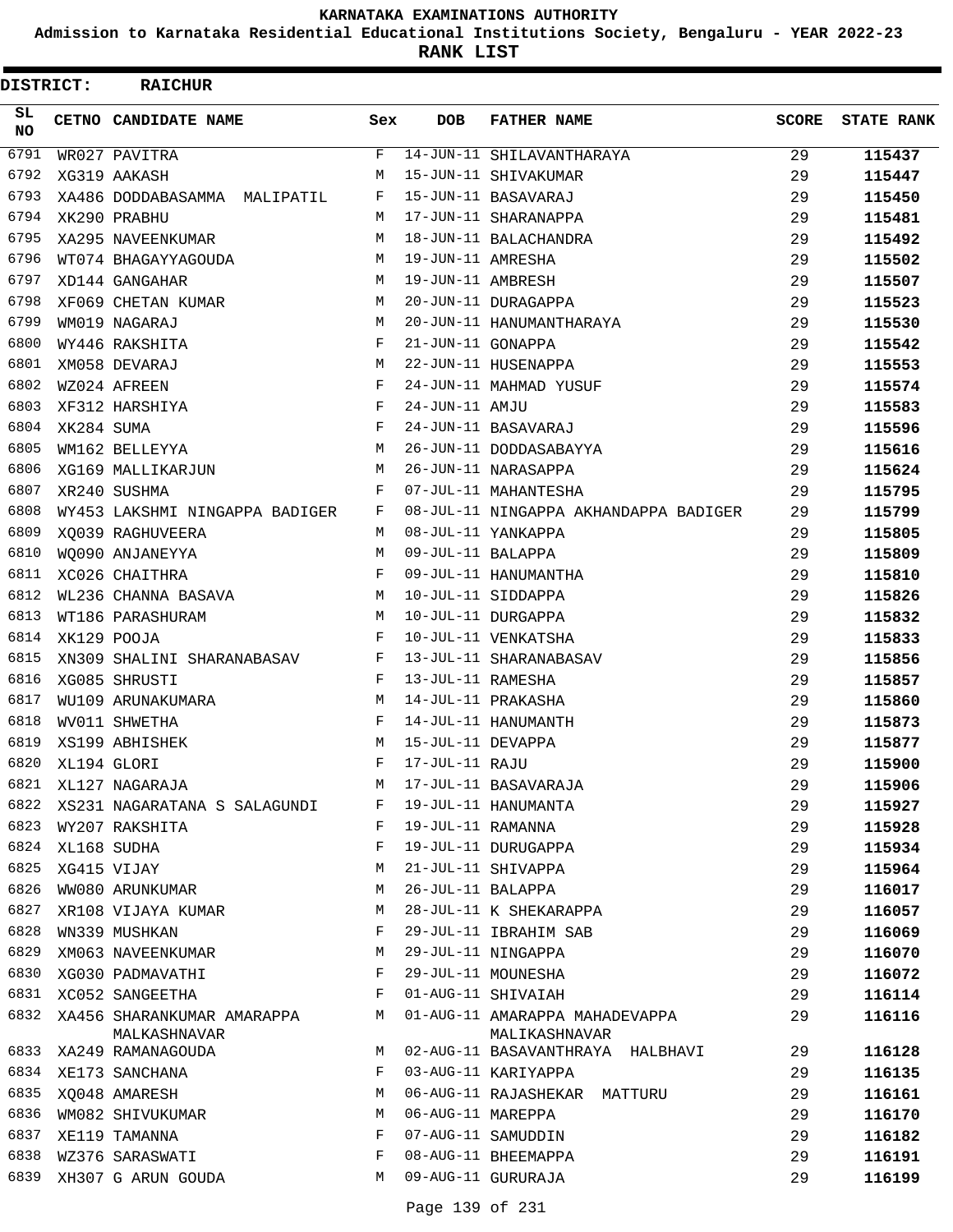**Admission to Karnataka Residential Educational Institutions Society, Bengaluru - YEAR 2022-23**

| DISTRICT:        |            | <b>RAICHUR</b>                    |     |                   |                                                   |              |                   |
|------------------|------------|-----------------------------------|-----|-------------------|---------------------------------------------------|--------------|-------------------|
| SL.<br><b>NO</b> |            | CETNO CANDIDATE NAME              | Sex | DOB               | <b>FATHER NAME</b>                                | <b>SCORE</b> | <b>STATE RANK</b> |
| 6791             |            | WR027 PAVITRA                     | F   |                   | 14-JUN-11 SHILAVANTHARAYA                         | 29           | 115437            |
| 6792             |            | XG319 AAKASH                      | M   |                   | 15-JUN-11 SHIVAKUMAR                              | 29           | 115447            |
| 6793             |            | XA486 DODDABASAMMA MALIPATIL      | F   |                   | 15-JUN-11 BASAVARAJ                               | 29           | 115450            |
| 6794             |            | XK290 PRABHU                      | M   |                   | 17-JUN-11 SHARANAPPA                              | 29           | 115481            |
| 6795             |            | XA295 NAVEENKUMAR                 | M   |                   | 18-JUN-11 BALACHANDRA                             | 29           | 115492            |
| 6796             |            | WT074 BHAGAYYAGOUDA               | М   | 19-JUN-11 AMRESHA |                                                   | 29           | 115502            |
| 6797             |            | XD144 GANGAHAR                    | M   | 19-JUN-11 AMBRESH |                                                   | 29           | 115507            |
| 6798             |            | XF069 CHETAN KUMAR                | M   |                   | 20-JUN-11 DURAGAPPA                               | 29           | 115523            |
| 6799             |            | WM019 NAGARAJ                     | M   |                   | 20-JUN-11 HANUMANTHARAYA                          | 29           | 115530            |
| 6800             |            | WY446 RAKSHITA                    | F   | 21-JUN-11 GONAPPA |                                                   | 29           | 115542            |
| 6801             |            | XM058 DEVARAJ                     | M   |                   | 22-JUN-11 HUSENAPPA                               | 29           | 115553            |
| 6802             |            | WZ024 AFREEN                      | F   |                   | 24-JUN-11 MAHMAD YUSUF                            | 29           | 115574            |
| 6803             |            | XF312 HARSHIYA                    | F   | 24-JUN-11 AMJU    |                                                   | 29           | 115583            |
| 6804             | XK284 SUMA |                                   | F   |                   | 24-JUN-11 BASAVARAJ                               | 29           | 115596            |
| 6805             |            | WM162 BELLEYYA                    | M   |                   | 26-JUN-11 DODDASABAYYA                            | 29           | 115616            |
| 6806             |            | XG169 MALLIKARJUN                 | M   |                   | 26-JUN-11 NARASAPPA                               | 29           | 115624            |
| 6807             |            | XR240 SUSHMA                      | F   |                   | 07-JUL-11 MAHANTESHA                              | 29           | 115795            |
| 6808             |            | WY453 LAKSHMI NINGAPPA BADIGER    | F   |                   | 08-JUL-11 NINGAPPA AKHANDAPPA BADIGER             | 29           | 115799            |
| 6809             |            | XO039 RAGHUVEERA                  | M   |                   | 08-JUL-11 YANKAPPA                                | 29           | 115805            |
| 6810             |            | WO090 ANJANEYYA                   | M   | 09-JUL-11 BALAPPA |                                                   | 29           | 115809            |
| 6811             |            | XC026 CHAITHRA                    | F   |                   | 09-JUL-11 HANUMANTHA                              | 29           | 115810            |
| 6812             |            | WL236 CHANNA BASAVA               | М   |                   | 10-JUL-11 SIDDAPPA                                | 29           | 115826            |
| 6813             |            | WT186 PARASHURAM                  | M   |                   | 10-JUL-11 DURGAPPA                                | 29           | 115832            |
| 6814             |            | XK129 POOJA                       | F   |                   | 10-JUL-11 VENKATSHA                               | 29           | 115833            |
| 6815             |            | XN309 SHALINI SHARANABASAV        | F   |                   | 13-JUL-11 SHARANABASAV                            | 29           | 115856            |
| 6816             |            | XG085 SHRUSTI                     | F   | 13-JUL-11 RAMESHA |                                                   | 29           | 115857            |
| 6817             |            | WU109 ARUNAKUMARA                 | M   |                   | 14-JUL-11 PRAKASHA                                | 29           | 115860            |
| 6818             |            | WV011 SHWETHA                     | F   |                   | 14-JUL-11 HANUMANTH                               | 29           | 115873            |
| 6819             |            | XS199 ABHISHEK                    | M   | 15-JUL-11 DEVAPPA |                                                   | 29           | 115877            |
| 6820             |            | XL194 GLORI                       | F   | 17-JUL-11 RAJU    |                                                   | 29           | 115900            |
| 6821             |            | XL127 NAGARAJA                    | М   |                   | 17-JUL-11 BASAVARAJA                              | 29           | 115906            |
| 6822             |            | XS231 NAGARATANA S SALAGUNDI      | F   |                   | 19-JUL-11 HANUMANTA                               | 29           | 115927            |
| 6823             |            | WY207 RAKSHITA                    | F   | 19-JUL-11 RAMANNA |                                                   | 29           | 115928            |
| 6824             |            | XL168 SUDHA                       | F   |                   | 19-JUL-11 DURUGAPPA                               | 29           | 115934            |
| 6825             |            | XG415 VIJAY                       | M   |                   | 21-JUL-11 SHIVAPPA                                | 29           | 115964            |
| 6826             |            | WW080 ARUNKUMAR                   | М   | 26-JUL-11 BALAPPA |                                                   | 29           | 116017            |
| 6827             |            | XR108 VIJAYA KUMAR                | М   |                   | 28-JUL-11 K SHEKARAPPA                            | 29           | 116057            |
| 6828             |            | WN339 MUSHKAN                     | F   |                   | 29-JUL-11 IBRAHIM SAB                             | 29           | 116069            |
| 6829             |            | XM063 NAVEENKUMAR                 | М   |                   | 29-JUL-11 NINGAPPA                                | 29           | 116070            |
| 6830             |            | XG030 PADMAVATHI                  | F   |                   | 29-JUL-11 MOUNESHA                                | 29           | 116072            |
| 6831             |            | XC052 SANGEETHA                   | F   |                   | 01-AUG-11 SHIVAIAH                                | 29           | 116114            |
| 6832             |            | XA456 SHARANKUMAR AMARAPPA        | M   |                   | 01-AUG-11 AMARAPPA MAHADEVAPPA                    | 29           | 116116            |
| 6833             |            | MALKASHNAVAR<br>XA249 RAMANAGOUDA | M   |                   | MALIKASHNAVAR<br>02-AUG-11 BASAVANTHRAYA HALBHAVI | 29           | 116128            |
| 6834             |            | XE173 SANCHANA                    | F   |                   | 03-AUG-11 KARIYAPPA                               | 29           | 116135            |
| 6835             |            | XQ048 AMARESH                     | M   |                   | 06-AUG-11 RAJASHEKAR MATTURU                      | 29           | 116161            |
| 6836             |            | WM082 SHIVUKUMAR                  | M   | 06-AUG-11 MAREPPA |                                                   | 29           | 116170            |
| 6837             |            | XE119 TAMANNA                     | F   |                   | 07-AUG-11 SAMUDDIN                                | 29           | 116182            |
| 6838             |            | WZ376 SARASWATI                   | F   |                   | 08-AUG-11 BHEEMAPPA                               | 29           | 116191            |
| 6839             |            | XH307 G ARUN GOUDA                | M   |                   | 09-AUG-11 GURURAJA                                | 29           | 116199            |
|                  |            |                                   |     |                   |                                                   |              |                   |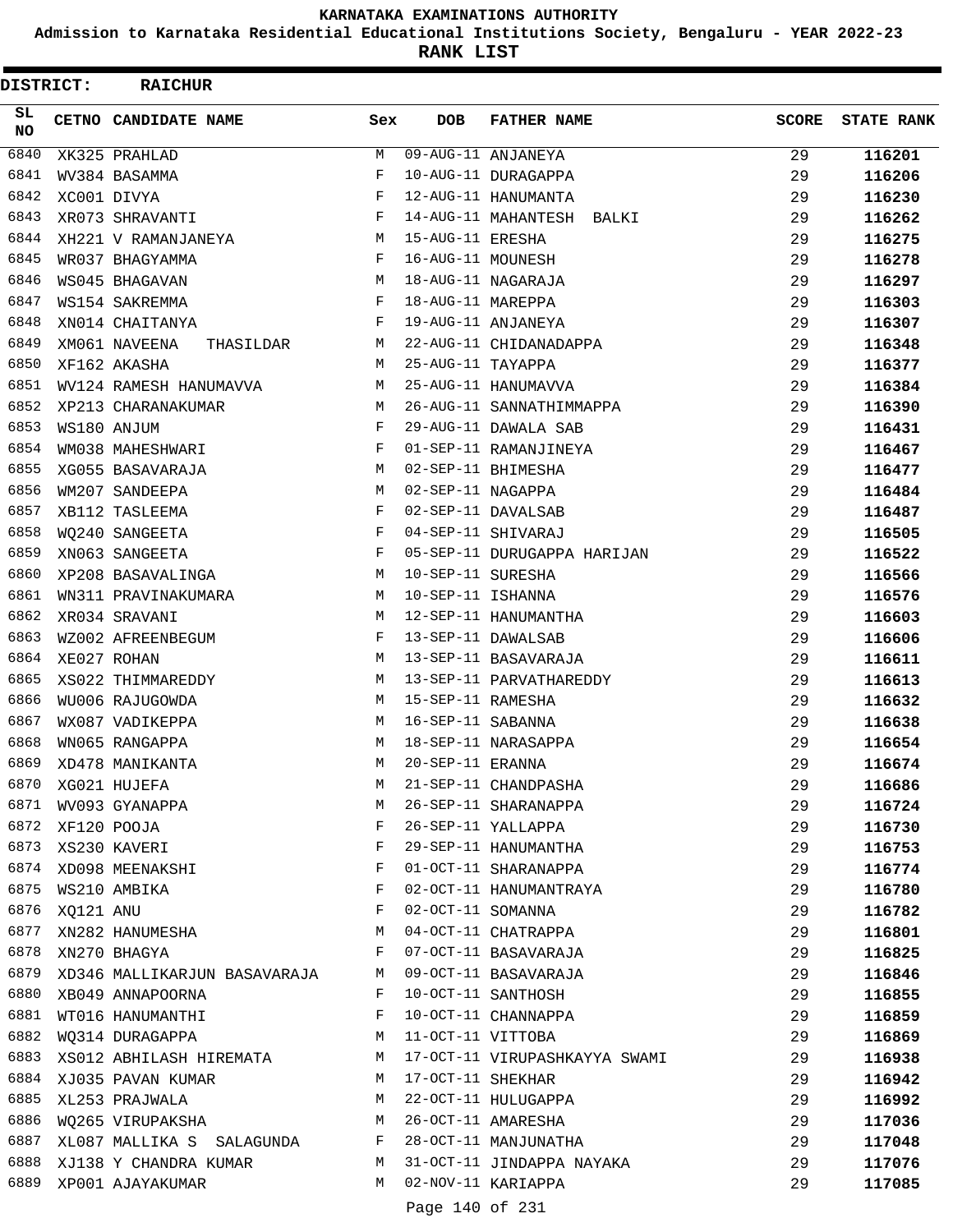**Admission to Karnataka Residential Educational Institutions Society, Bengaluru - YEAR 2022-23**

**RANK LIST**

 $\blacksquare$ 

| DISTRICT:       |           | <b>RAICHUR</b>               |     |                   |                               |              |                   |
|-----------------|-----------|------------------------------|-----|-------------------|-------------------------------|--------------|-------------------|
| SL<br><b>NO</b> |           | CETNO CANDIDATE NAME         | Sex | <b>DOB</b>        | <b>FATHER NAME</b>            | <b>SCORE</b> | <b>STATE RANK</b> |
| 6840            |           | XK325 PRAHLAD                | М   |                   | 09-AUG-11 ANJANEYA            | 29           | 116201            |
| 6841            |           | WV384 BASAMMA                | F   |                   | 10-AUG-11 DURAGAPPA           | 29           | 116206            |
| 6842            |           | XC001 DIVYA                  | F   |                   | 12-AUG-11 HANUMANTA           | 29           | 116230            |
| 6843            |           | XR073 SHRAVANTI              | F   |                   | 14-AUG-11 MAHANTESH BALKI     | 29           | 116262            |
| 6844            |           | XH221 V RAMANJANEYA          | М   | 15-AUG-11 ERESHA  |                               | 29           | 116275            |
| 6845            |           | WR037 BHAGYAMMA              | F   | 16-AUG-11 MOUNESH |                               | 29           | 116278            |
| 6846            |           | WS045 BHAGAVAN               | М   |                   | 18-AUG-11 NAGARAJA            | 29           | 116297            |
| 6847            |           | WS154 SAKREMMA               | F   | 18-AUG-11 MAREPPA |                               | 29           | 116303            |
| 6848            |           | XN014 CHAITANYA              | F   |                   | 19-AUG-11 ANJANEYA            | 29           | 116307            |
| 6849            |           | XM061 NAVEENA<br>THASILDAR   | М   |                   | 22-AUG-11 CHIDANADAPPA        | 29           | 116348            |
| 6850            |           | XF162 AKASHA                 | М   | 25-AUG-11 TAYAPPA |                               | 29           | 116377            |
| 6851            |           | WV124 RAMESH HANUMAVVA       | М   |                   | 25-AUG-11 HANUMAVVA           | 29           | 116384            |
| 6852            |           | XP213 CHARANAKUMAR           | М   |                   | 26-AUG-11 SANNATHIMMAPPA      | 29           | 116390            |
| 6853            |           | WS180 ANJUM                  | F   |                   | 29-AUG-11 DAWALA SAB          | 29           | 116431            |
| 6854            |           | WM038 MAHESHWARI             | F   |                   | 01-SEP-11 RAMANJINEYA         | 29           | 116467            |
| 6855            |           | XG055 BASAVARAJA             | М   |                   | 02-SEP-11 BHIMESHA            | 29           | 116477            |
| 6856            |           | WM207 SANDEEPA               | М   | 02-SEP-11 NAGAPPA |                               | 29           | 116484            |
| 6857            |           | XB112 TASLEEMA               | F   |                   | 02-SEP-11 DAVALSAB            | 29           | 116487            |
| 6858            |           | WO240 SANGEETA               | F   |                   | 04-SEP-11 SHIVARAJ            | 29           | 116505            |
| 6859            |           | XN063 SANGEETA               | F   |                   | 05-SEP-11 DURUGAPPA HARIJAN   | 29           | 116522            |
| 6860            |           | XP208 BASAVALINGA            | М   | 10-SEP-11 SURESHA |                               | 29           | 116566            |
| 6861            |           | WN311 PRAVINAKUMARA          | М   | 10-SEP-11 ISHANNA |                               | 29           | 116576            |
| 6862            |           | XR034 SRAVANI                | М   |                   | 12-SEP-11 HANUMANTHA          | 29           | 116603            |
| 6863            |           | WZ002 AFREENBEGUM            | F   |                   | 13-SEP-11 DAWALSAB            | 29           | 116606            |
| 6864            |           | XE027 ROHAN                  | М   |                   | 13-SEP-11 BASAVARAJA          | 29           | 116611            |
| 6865            |           | XS022 THIMMAREDDY            | М   |                   | 13-SEP-11 PARVATHAREDDY       | 29           | 116613            |
| 6866            |           | WU006 RAJUGOWDA              | М   | 15-SEP-11 RAMESHA |                               | 29           | 116632            |
| 6867            |           | WX087 VADIKEPPA              | М   | 16-SEP-11 SABANNA |                               | 29           | 116638            |
| 6868            |           | WN065 RANGAPPA               | М   |                   | 18-SEP-11 NARASAPPA           | 29           | 116654            |
| 6869            |           | XD478 MANIKANTA              | М   | 20-SEP-11 ERANNA  |                               | 29           | 116674            |
| 6870            |           | XG021 HUJEFA                 | М   |                   | 21-SEP-11 CHANDPASHA          | 29           | 116686            |
| 6871            |           | WV093 GYANAPPA               | М   |                   | 26-SEP-11 SHARANAPPA          | 29           | 116724            |
| 6872            |           | XF120 POOJA                  | F   |                   | 26-SEP-11 YALLAPPA            | 29           | 116730            |
|                 |           | 6873 XS230 KAVERI            | F   |                   | 29-SEP-11 HANUMANTHA          | 29           | 116753            |
|                 |           | 6874 XD098 MEENAKSHI         | F   |                   | 01-OCT-11 SHARANAPPA          | 29           | 116774            |
| 6875            |           | WS210 AMBIKA                 | F   |                   | 02-OCT-11 HANUMANTRAYA        | 29           | 116780            |
| 6876            | XQ121 ANU |                              | F   | 02-OCT-11 SOMANNA |                               | 29           | 116782            |
| 6877            |           | XN282 HANUMESHA              | М   |                   | 04-OCT-11 CHATRAPPA           | 29           | 116801            |
| 6878            |           | XN270 BHAGYA                 | F   |                   | 07-OCT-11 BASAVARAJA          | 29           | 116825            |
| 6879            |           | XD346 MALLIKARJUN BASAVARAJA | M   |                   | 09-OCT-11 BASAVARAJA          | 29           | 116846            |
| 6880            |           | XB049 ANNAPOORNA             | F   |                   | 10-OCT-11 SANTHOSH            | 29           | 116855            |
| 6881            |           | WT016 HANUMANTHI             | F   |                   | 10-OCT-11 CHANNAPPA           | 29           | 116859            |
| 6882            |           | WQ314 DURAGAPPA              | M   | 11-OCT-11 VITTOBA |                               | 29           | 116869            |
| 6883            |           | XS012 ABHILASH HIREMATA      | M   |                   | 17-OCT-11 VIRUPASHKAYYA SWAMI | 29           | 116938            |
| 6884            |           | XJ035 PAVAN KUMAR            | М   | 17-OCT-11 SHEKHAR |                               | 29           | 116942            |
| 6885            |           | XL253 PRAJWALA               | М   |                   | 22-OCT-11 HULUGAPPA           | 29           | 116992            |
| 6886            |           | WQ265 VIRUPAKSHA             | М   |                   | 26-OCT-11 AMARESHA            | 29           | 117036            |
| 6887            |           | XL087 MALLIKA S SALAGUNDA    | F   |                   | 28-OCT-11 MANJUNATHA          | 29           | 117048            |
| 6888            |           | XJ138 Y CHANDRA KUMAR        | M   |                   | 31-OCT-11 JINDAPPA NAYAKA     | 29           | 117076            |
| 6889            |           | XP001 AJAYAKUMAR             | М   |                   | 02-NOV-11 KARIAPPA            | 29           | 117085            |
|                 |           |                              |     |                   |                               |              |                   |

Page 140 of 231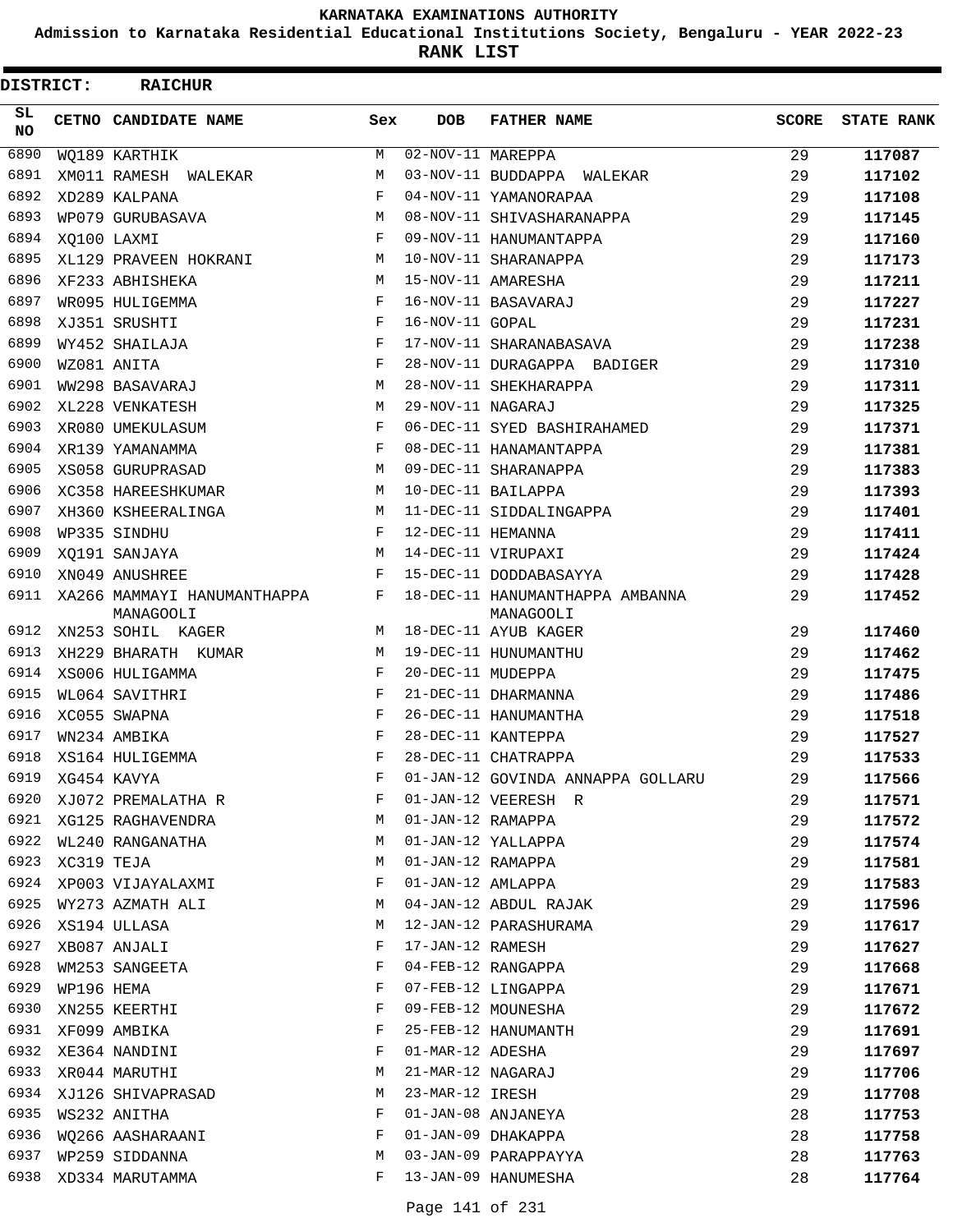**Admission to Karnataka Residential Educational Institutions Society, Bengaluru - YEAR 2022-23**

| DISTRICT:  |            | <b>RAICHUR</b>                           |              |                                |                                              |              |                   |
|------------|------------|------------------------------------------|--------------|--------------------------------|----------------------------------------------|--------------|-------------------|
| SL.<br>NO. |            | CETNO CANDIDATE NAME                     | Sex          | <b>DOB</b>                     | <b>FATHER NAME</b>                           | <b>SCORE</b> | <b>STATE RANK</b> |
| 6890       |            | WO189 KARTHIK                            | М            | $\overline{02-NOV-11}$ MAREPPA |                                              | 29           | 117087            |
| 6891       |            | XM011 RAMESH WALEKAR                     | М            |                                | 03-NOV-11 BUDDAPPA WALEKAR                   | 29           | 117102            |
| 6892       |            | XD289 KALPANA                            | $_{\rm F}$   |                                | 04-NOV-11 YAMANORAPAA                        | 29           | 117108            |
| 6893       |            | WP079 GURUBASAVA                         | М            |                                | 08-NOV-11 SHIVASHARANAPPA                    | 29           | 117145            |
| 6894       |            | XO100 LAXMI                              | F            |                                | 09-NOV-11 HANUMANTAPPA                       | 29           | 117160            |
| 6895       |            | XL129 PRAVEEN HOKRANI                    | М            |                                | 10-NOV-11 SHARANAPPA                         | 29           | 117173            |
| 6896       |            | XF233 ABHISHEKA                          | M            |                                | 15-NOV-11 AMARESHA                           | 29           | 117211            |
| 6897       |            | WR095 HULIGEMMA                          | F            |                                | 16-NOV-11 BASAVARAJ                          | 29           | 117227            |
| 6898       |            | XJ351 SRUSHTI                            | F            | 16-NOV-11 GOPAL                |                                              | 29           | 117231            |
| 6899       |            | WY452 SHAILAJA                           | F            |                                | 17-NOV-11 SHARANABASAVA                      | 29           | 117238            |
| 6900       |            | WZ081 ANITA                              | $_{\rm F}$   |                                | 28-NOV-11 DURAGAPPA BADIGER                  | 29           | 117310            |
| 6901       |            | WW298 BASAVARAJ                          | М            |                                | 28-NOV-11 SHEKHARAPPA                        | 29           | 117311            |
| 6902       |            | XL228 VENKATESH                          | М            | 29-NOV-11 NAGARAJ              |                                              | 29           | 117325            |
| 6903       |            | XR080 UMEKULASUM                         | F            |                                | 06-DEC-11 SYED BASHIRAHAMED                  | 29           | 117371            |
| 6904       |            | XR139 YAMANAMMA                          | $_{\rm F}$   |                                | 08-DEC-11 HANAMANTAPPA                       | 29           | 117381            |
| 6905       |            | XS058 GURUPRASAD                         | М            |                                | 09-DEC-11 SHARANAPPA                         | 29           | 117383            |
| 6906       |            | XC358 HAREESHKUMAR                       | М            |                                | 10-DEC-11 BAILAPPA                           | 29           | 117393            |
| 6907       |            | XH360 KSHEERALINGA                       | М            |                                | 11-DEC-11 SIDDALINGAPPA                      | 29           | 117401            |
| 6908       |            | WP335 SINDHU                             | $\mathbf{F}$ | 12-DEC-11 HEMANNA              |                                              | 29           | 117411            |
| 6909       |            | XO191 SANJAYA                            | М            |                                | 14-DEC-11 VIRUPAXI                           | 29           | 117424            |
| 6910       |            | XN049 ANUSHREE                           | F            |                                | 15-DEC-11 DODDABASAYYA                       | 29           | 117428            |
| 6911       |            | XA266 MAMMAYI HANUMANTHAPPA<br>MANAGOOLI | F            |                                | 18-DEC-11 HANUMANTHAPPA AMBANNA<br>MANAGOOLI | 29           | 117452            |
| 6912       |            | XN253 SOHIL KAGER                        | M            |                                | 18-DEC-11 AYUB KAGER                         | 29           | 117460            |
| 6913       |            | XH229 BHARATH KUMAR                      | М            |                                | 19-DEC-11 HUNUMANTHU                         | 29           | 117462            |
| 6914       |            | XS006 HULIGAMMA                          | F            | 20-DEC-11 MUDEPPA              |                                              | 29           | 117475            |
| 6915       |            | WL064 SAVITHRI                           | F            |                                | 21-DEC-11 DHARMANNA                          | 29           | 117486            |
| 6916       |            | XC055 SWAPNA                             | F            |                                | 26-DEC-11 HANUMANTHA                         | 29           | 117518            |
| 6917       |            | WN234 AMBIKA                             | F            |                                | 28-DEC-11 KANTEPPA                           | 29           | 117527            |
| 6918       |            | XS164 HULIGEMMA                          | F            |                                | 28-DEC-11 CHATRAPPA                          | 29           | 117533            |
| 6919       |            | XG454 KAVYA                              | F            |                                | 01-JAN-12 GOVINDA ANNAPPA GOLLARU            | 29           | 117566            |
| 6920       |            | XJ072 PREMALATHA R                       | F            |                                | 01-JAN-12 VEERESH R                          | 29           | 117571            |
| 6921       |            | XG125 RAGHAVENDRA                        | М            | 01-JAN-12 RAMAPPA              |                                              | 29           | 117572            |
| 6922       |            | WL240 RANGANATHA                         | М            |                                | 01-JAN-12 YALLAPPA                           | 29           | 117574            |
| 6923       | XC319 TEJA |                                          | М            | 01-JAN-12 RAMAPPA              |                                              | 29           | 117581            |
| 6924       |            | XP003 VIJAYALAXMI                        | F            | 01-JAN-12 AMLAPPA              |                                              | 29           | 117583            |
| 6925       |            | WY273 AZMATH ALI                         | M            |                                | 04-JAN-12 ABDUL RAJAK                        | 29           | 117596            |
| 6926       |            | XS194 ULLASA                             | М            |                                | 12-JAN-12 PARASHURAMA                        | 29           | 117617            |
| 6927       |            | XB087 ANJALI                             | F            | 17-JAN-12 RAMESH               |                                              | 29           | 117627            |
| 6928       |            | WM253 SANGEETA                           | F            |                                | 04-FEB-12 RANGAPPA                           | 29           | 117668            |
| 6929       | WP196 HEMA |                                          | F            |                                | 07-FEB-12 LINGAPPA                           | 29           | 117671            |
| 6930       |            | XN255 KEERTHI                            | F            |                                | 09-FEB-12 MOUNESHA                           | 29           | 117672            |
| 6931       |            | XF099 AMBIKA                             | F            |                                | 25-FEB-12 HANUMANTH                          | 29           | 117691            |
| 6932       |            | XE364 NANDINI                            | F            | 01-MAR-12 ADESHA               |                                              | 29           | 117697            |
| 6933       |            | XR044 MARUTHI                            | М            | 21-MAR-12 NAGARAJ              |                                              | 29           | 117706            |
| 6934       |            | XJ126 SHIVAPRASAD                        | М            | 23-MAR-12 IRESH                |                                              | 29           | 117708            |
| 6935       |            | WS232 ANITHA                             | F            |                                | 01-JAN-08 ANJANEYA                           | 28           | 117753            |
| 6936       |            | WQ266 AASHARAANI                         | F            |                                | 01-JAN-09 DHAKAPPA                           | 28           | 117758            |
| 6937       |            | WP259 SIDDANNA                           | М            |                                | 03-JAN-09 PARAPPAYYA                         | 28           | 117763            |
| 6938       |            | XD334 MARUTAMMA                          | F            |                                | 13-JAN-09 HANUMESHA                          | 28           | 117764            |
|            |            |                                          |              |                                |                                              |              |                   |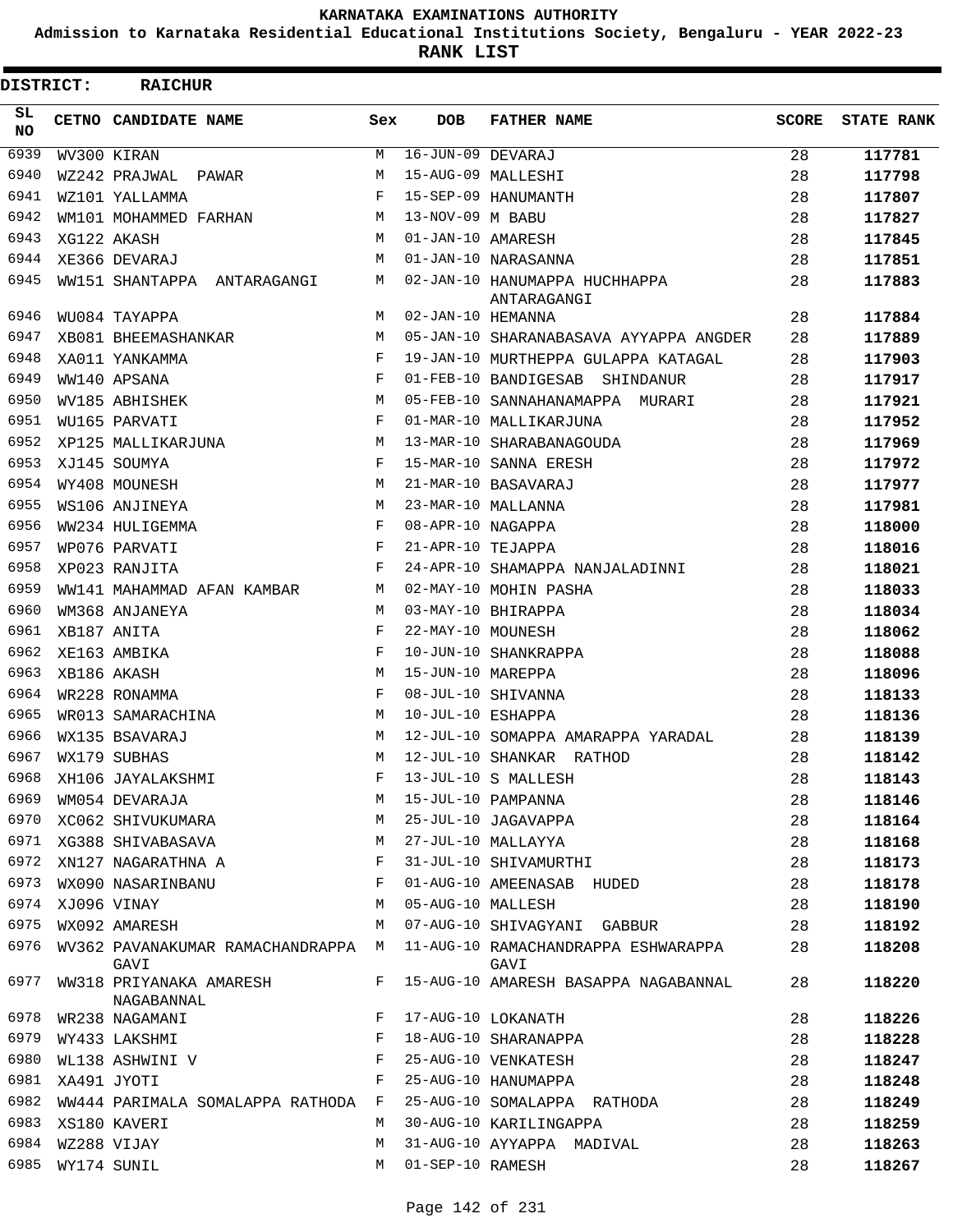**Admission to Karnataka Residential Educational Institutions Society, Bengaluru - YEAR 2022-23**

**RANK LIST**

| <b>DISTRICT:</b> |                  | <b>RAICHUR</b>                             |              |                   |                                              |              |                   |
|------------------|------------------|--------------------------------------------|--------------|-------------------|----------------------------------------------|--------------|-------------------|
| SL.<br><b>NO</b> |                  | CETNO CANDIDATE NAME                       | Sex          | <b>DOB</b>        | <b>FATHER NAME</b>                           | <b>SCORE</b> | <b>STATE RANK</b> |
| 6939             |                  | WV300 KIRAN                                | М            | 16-JUN-09 DEVARAJ |                                              | 28           | 117781            |
| 6940             |                  | WZ242 PRAJWAL PAWAR                        | М            |                   | 15-AUG-09 MALLESHI                           | 28           | 117798            |
| 6941             |                  | WZ101 YALLAMMA                             | F            |                   | 15-SEP-09 HANUMANTH                          | 28           | 117807            |
| 6942             |                  | WM101 MOHAMMED FARHAN                      | М            | 13-NOV-09 M BABU  |                                              | 28           | 117827            |
| 6943             |                  | XG122 AKASH                                | M            | 01-JAN-10 AMARESH |                                              | 28           | 117845            |
| 6944             |                  | XE366 DEVARAJ                              | M            |                   | 01-JAN-10 NARASANNA                          | 28           | 117851            |
| 6945             |                  | WW151 SHANTAPPA ANTARAGANGI                | М            |                   | 02-JAN-10 HANUMAPPA HUCHHAPPA<br>ANTARAGANGI | 28           | 117883            |
| 6946             |                  | WU084 TAYAPPA                              | М            | 02-JAN-10 HEMANNA |                                              | 28           | 117884            |
| 6947             |                  | XB081 BHEEMASHANKAR                        | М            |                   | 05-JAN-10 SHARANABASAVA AYYAPPA ANGDER       | 28           | 117889            |
| 6948             |                  | XA011 YANKAMMA                             | F            |                   | 19-JAN-10 MURTHEPPA GULAPPA KATAGAL          | 28           | 117903            |
| 6949             |                  | WW140 APSANA                               | F            |                   | 01-FEB-10 BANDIGESAB SHINDANUR               | 28           | 117917            |
| 6950             |                  | WV185 ABHISHEK                             | M            |                   | 05-FEB-10 SANNAHANAMAPPA MURARI              | 28           | 117921            |
| 6951             |                  | WU165 PARVATI                              | F            |                   | 01-MAR-10 MALLIKARJUNA                       | 28           | 117952            |
| 6952             |                  | XP125 MALLIKARJUNA                         | М            |                   | 13-MAR-10 SHARABANAGOUDA                     | 28           | 117969            |
| 6953             |                  | XJ145 SOUMYA                               | F            |                   | 15-MAR-10 SANNA ERESH                        | 28           | 117972            |
| 6954             |                  | WY408 MOUNESH                              | М            |                   | 21-MAR-10 BASAVARAJ                          | 28           | 117977            |
| 6955             |                  | WS106 ANJINEYA                             | M            |                   | 23-MAR-10 MALLANNA                           | 28           | 117981            |
| 6956             |                  | WW234 HULIGEMMA                            | F            | 08-APR-10 NAGAPPA |                                              | 28           | 118000            |
| 6957             |                  | WP076 PARVATI                              | F            | 21-APR-10 TEJAPPA |                                              | 28           | 118016            |
| 6958             |                  | XP023 RANJITA                              | F            |                   | 24-APR-10 SHAMAPPA NANJALADINNI              | 28           | 118021            |
| 6959             |                  | WW141 MAHAMMAD AFAN KAMBAR                 | М            |                   | 02-MAY-10 MOHIN PASHA                        | 28           | 118033            |
| 6960             |                  | WM368 ANJANEYA                             | М            |                   | 03-MAY-10 BHIRAPPA                           | 28           | 118034            |
| 6961             |                  | XB187 ANITA                                | F            | 22-MAY-10 MOUNESH |                                              | 28           | 118062            |
| 6962             |                  | XE163 AMBIKA                               | F            |                   | 10-JUN-10 SHANKRAPPA                         | 28           | 118088            |
| 6963             |                  | XB186 AKASH                                | M            | 15-JUN-10 MAREPPA |                                              | 28           | 118096            |
| 6964             |                  | WR228 RONAMMA                              | F            |                   | 08-JUL-10 SHIVANNA                           | 28           | 118133            |
| 6965             |                  | WR013 SAMARACHINA                          | М            | 10-JUL-10 ESHAPPA |                                              | 28           | 118136            |
| 6966             |                  | WX135 BSAVARAJ                             | М            |                   | 12-JUL-10 SOMAPPA AMARAPPA YARADAL           | 28           | 118139            |
| 6967             |                  | WX179 SUBHAS                               | М            |                   | 12-JUL-10 SHANKAR RATHOD                     | 28           | 118142            |
| 6968             |                  | XH106 JAYALAKSHMI                          |              |                   | 13-JUL-10 S MALLESH                          | 28           | 118143            |
| 6969             |                  | WM054 DEVARAJA                             | М            |                   | 15-JUL-10 PAMPANNA                           | 28           | 118146            |
| 6970             |                  | XC062 SHIVUKUMARA                          | М            |                   | 25-JUL-10 JAGAVAPPA                          | 28           | 118164            |
| 6971             |                  | XG388 SHIVABASAVA                          | М            |                   | 27-JUL-10 MALLAYYA                           | 28           | 118168            |
| 6972             |                  | XN127 NAGARATHNA A                         | F            |                   | 31-JUL-10 SHIVAMURTHI                        | 28           | 118173            |
| 6973             |                  | WX090 NASARINBANU                          | F            |                   | 01-AUG-10 AMEENASAB HUDED                    | 28           | 118178            |
|                  | 6974 XJ096 VINAY |                                            | М            | 05-AUG-10 MALLESH |                                              | 28           | 118190            |
| 6975             |                  | WX092 AMARESH                              | М            |                   | 07-AUG-10 SHIVAGYANI GABBUR                  | 28           | 118192            |
| 6976             |                  | WV362 PAVANAKUMAR RAMACHANDRAPPA M<br>GAVI |              |                   | 11-AUG-10 RAMACHANDRAPPA ESHWARAPPA<br>GAVI  | 28           | 118208            |
| 6977             |                  | WW318 PRIYANAKA AMARESH<br>NAGABANNAL      | F            |                   | 15-AUG-10 AMARESH BASAPPA NAGABANNAL         | 28           | 118220            |
| 6978             |                  | WR238 NAGAMANI                             | F            |                   | 17-AUG-10 LOKANATH                           | 28           | 118226            |
| 6979             |                  | WY433 LAKSHMI                              | F            |                   | 18-AUG-10 SHARANAPPA                         | 28           | 118228            |
| 6980             |                  | WL138 ASHWINI V                            | F            |                   | 25-AUG-10 VENKATESH                          | 28           | 118247            |
| 6981             |                  | XA491 JYOTI                                | $\mathbf{F}$ |                   | 25-AUG-10 HANUMAPPA                          | 28           | 118248            |
|                  |                  | 6982 WW444 PARIMALA SOMALAPPA RATHODA F    |              |                   | 25-AUG-10 SOMALAPPA RATHODA                  | 28           | 118249            |
| 6983             |                  | XS180 KAVERI                               | M            |                   | 30-AUG-10 KARILINGAPPA                       | 28           | 118259            |
| 6984             |                  | WZ288 VIJAY                                | М            |                   | 31-AUG-10 AYYAPPA MADIVAL                    | 28           | 118263            |
| 6985             |                  | WY174 SUNIL                                | M            | 01-SEP-10 RAMESH  |                                              | 28           | 118267            |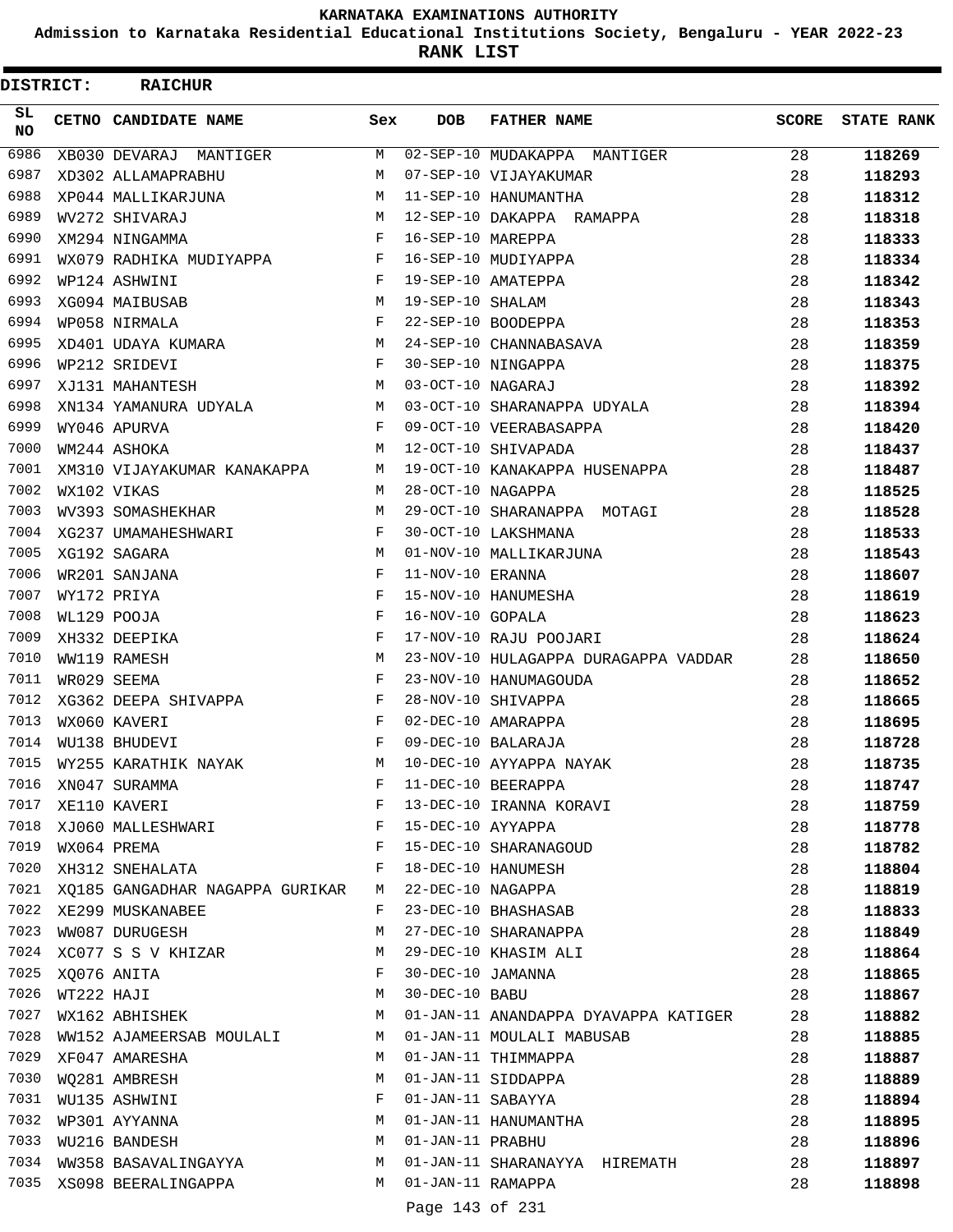**Admission to Karnataka Residential Educational Institutions Society, Bengaluru - YEAR 2022-23**

**RANK LIST**

 $\blacksquare$ 

| DISTRICT:        |             | <b>RAICHUR</b>                                |     |                   |                                      |              |                   |
|------------------|-------------|-----------------------------------------------|-----|-------------------|--------------------------------------|--------------|-------------------|
| SL.<br><b>NO</b> |             | <b>CETNO CANDIDATE NAME</b>                   | Sex | <b>DOB</b>        | <b>FATHER NAME</b>                   | <b>SCORE</b> | <b>STATE RANK</b> |
| 6986             |             | XB030 DEVARAJ MANTIGER                        | M   |                   | 02-SEP-10 MUDAKAPPA MANTIGER         | 28           | 118269            |
| 6987             |             | XD302 ALLAMAPRABHU                            | M   |                   | 07-SEP-10 VIJAYAKUMAR                | 28           | 118293            |
| 6988             |             | XP044 MALLIKARJUNA                            | М   |                   | 11-SEP-10 HANUMANTHA                 | 28           | 118312            |
| 6989             |             | WV272 SHIVARAJ                                | M   |                   | 12-SEP-10 DAKAPPA RAMAPPA            | 28           | 118318            |
| 6990             |             | XM294 NINGAMMA                                | F   | 16-SEP-10 MAREPPA |                                      | 28           | 118333            |
| 6991             |             | WX079 RADHIKA MUDIYAPPA F 16-SEP-10 MUDIYAPPA |     |                   |                                      | 28           | 118334            |
| 6992             |             | WP124 ASHWINI                                 | F   |                   | 19-SEP-10 AMATEPPA                   | 28           | 118342            |
| 6993             |             | XG094 MAIBUSAB                                | М   | 19-SEP-10 SHALAM  |                                      | 28           | 118343            |
| 6994             |             | WP058 NIRMALA                                 | F   |                   | 22-SEP-10 BOODEPPA                   | 28           | 118353            |
| 6995             |             | XD401 UDAYA KUMARA                            | M   |                   | 24-SEP-10 CHANNABASAVA               | 28           | 118359            |
| 6996             |             | WP212 SRIDEVI                                 | F   |                   | 30-SEP-10 NINGAPPA                   | 28           | 118375            |
| 6997             |             | XJ131 MAHANTESH                               | M   | 03-OCT-10 NAGARAJ |                                      | 28           | 118392            |
| 6998             |             | XN134 YAMANURA UDYALA                         | M   |                   | 03-OCT-10 SHARANAPPA UDYALA          | 28           | 118394            |
| 6999             |             | WY046 APURVA                                  | F   |                   | 09-OCT-10 VEERABASAPPA               | 28           | 118420            |
| 7000             |             | WM244 ASHOKA                                  | М   |                   | 12-OCT-10 SHIVAPADA                  | 28           | 118437            |
| 7001             |             | XM310 VIJAYAKUMAR KANAKAPPA                   | M   |                   | 19-OCT-10 KANAKAPPA HUSENAPPA        | 28           | 118487            |
| 7002             | WX102 VIKAS |                                               | M   | 28-OCT-10 NAGAPPA |                                      | 28           | 118525            |
| 7003             |             | WV393 SOMASHEKHAR                             | М   |                   | 29-OCT-10 SHARANAPPA MOTAGI          | 28           | 118528            |
| 7004             |             | XG237 UMAMAHESHWARI                           | F   |                   | 30-OCT-10 LAKSHMANA                  | 28           | 118533            |
| 7005             |             | XG192 SAGARA                                  | M   |                   | 01-NOV-10 MALLIKARJUNA               | 28           | 118543            |
| 7006             |             | WR201 SANJANA                                 | F   | 11-NOV-10 ERANNA  |                                      | 28           | 118607            |
| 7007             |             | WY172 PRIYA                                   | F   |                   | 15-NOV-10 HANUMESHA                  | 28           | 118619            |
| 7008             |             | WL129 POOJA                                   | F   | 16-NOV-10 GOPALA  |                                      | 28           | 118623            |
| 7009             |             | XH332 DEEPIKA                                 | F   |                   | 17-NOV-10 RAJU POOJARI               | 28           | 118624            |
| 7010             |             | WW119 RAMESH                                  | М   |                   | 23-NOV-10 HULAGAPPA DURAGAPPA VADDAR | 28           | 118650            |
| 7011             |             | WR029 SEEMA                                   | F   |                   | 23-NOV-10 HANUMAGOUDA                | 28           | 118652            |
| 7012             |             | XG362 DEEPA SHIVAPPA                          | F   |                   | 28-NOV-10 SHIVAPPA                   | 28           | 118665            |
| 7013             |             | WX060 KAVERI                                  | F   |                   | 02-DEC-10 AMARAPPA                   | 28           | 118695            |
| 7014             |             | WU138 BHUDEVI                                 | F   |                   | 09-DEC-10 BALARAJA                   | 28           | 118728            |
| 7015             |             | WY255 KARATHIK NAYAK                          | M   |                   | 10-DEC-10 AYYAPPA NAYAK              | 28           | 118735            |
| 7016             |             | XN047 SURAMMA                                 | F   |                   | 11-DEC-10 BEERAPPA                   | 28           | 118747            |
| 7017             |             | XE110 KAVERI                                  | F   |                   | 13-DEC-10 IRANNA KORAVI              | 28           | 118759            |
| 7018             |             | XJ060 MALLESHWARI                             | F   | 15-DEC-10 AYYAPPA |                                      | 28           | 118778            |
| 7019             |             | WX064 PREMA                                   | F   |                   | 15-DEC-10 SHARANAGOUD                | 28           | 118782            |
| 7020             |             | XH312 SNEHALATA                               | F   |                   | 18-DEC-10 HANUMESH                   | 28           | 118804            |
| 7021             |             | XQ185 GANGADHAR NAGAPPA GURIKAR               | M   | 22-DEC-10 NAGAPPA |                                      | 28           | 118819            |
| 7022             |             | XE299 MUSKANABEE                              | F   |                   | 23-DEC-10 BHASHASAB                  | 28           | 118833            |
| 7023             |             | WW087 DURUGESH                                | М   |                   | 27-DEC-10 SHARANAPPA                 | 28           | 118849            |
| 7024             |             | XC077 S S V KHIZAR                            | М   |                   | 29-DEC-10 KHASIM ALI                 | 28           | 118864            |
| 7025             |             | XQ076 ANITA                                   | F   | 30-DEC-10 JAMANNA |                                      | 28           | 118865            |
| 7026             | WT222 HAJI  |                                               | М   | 30-DEC-10 BABU    |                                      | 28           | 118867            |
| 7027             |             | WX162 ABHISHEK                                | М   |                   | 01-JAN-11 ANANDAPPA DYAVAPPA KATIGER | 28           | 118882            |
| 7028             |             | WW152 AJAMEERSAB MOULALI                      | М   |                   | 01-JAN-11 MOULALI MABUSAB            | 28           | 118885            |
| 7029             |             | XF047 AMARESHA                                | М   |                   | 01-JAN-11 THIMMAPPA                  | 28           | 118887            |
| 7030             |             | WQ281 AMBRESH                                 | М   |                   | 01-JAN-11 SIDDAPPA                   | 28           | 118889            |
| 7031             |             | WU135 ASHWINI                                 | F   | 01-JAN-11 SABAYYA |                                      | 28           | 118894            |
| 7032             |             | WP301 AYYANNA                                 | М   |                   | 01-JAN-11 HANUMANTHA                 | 28           | 118895            |
| 7033             |             | WU216 BANDESH                                 | M   | 01-JAN-11 PRABHU  |                                      | 28           | 118896            |
| 7034             |             | WW358 BASAVALINGAYYA                          | М   |                   | 01-JAN-11 SHARANAYYA HIREMATH        | 28           | 118897            |
| 7035             |             | XS098 BEERALINGAPPA                           | M   | 01-JAN-11 RAMAPPA |                                      | 28           | 118898            |

Page 143 of 231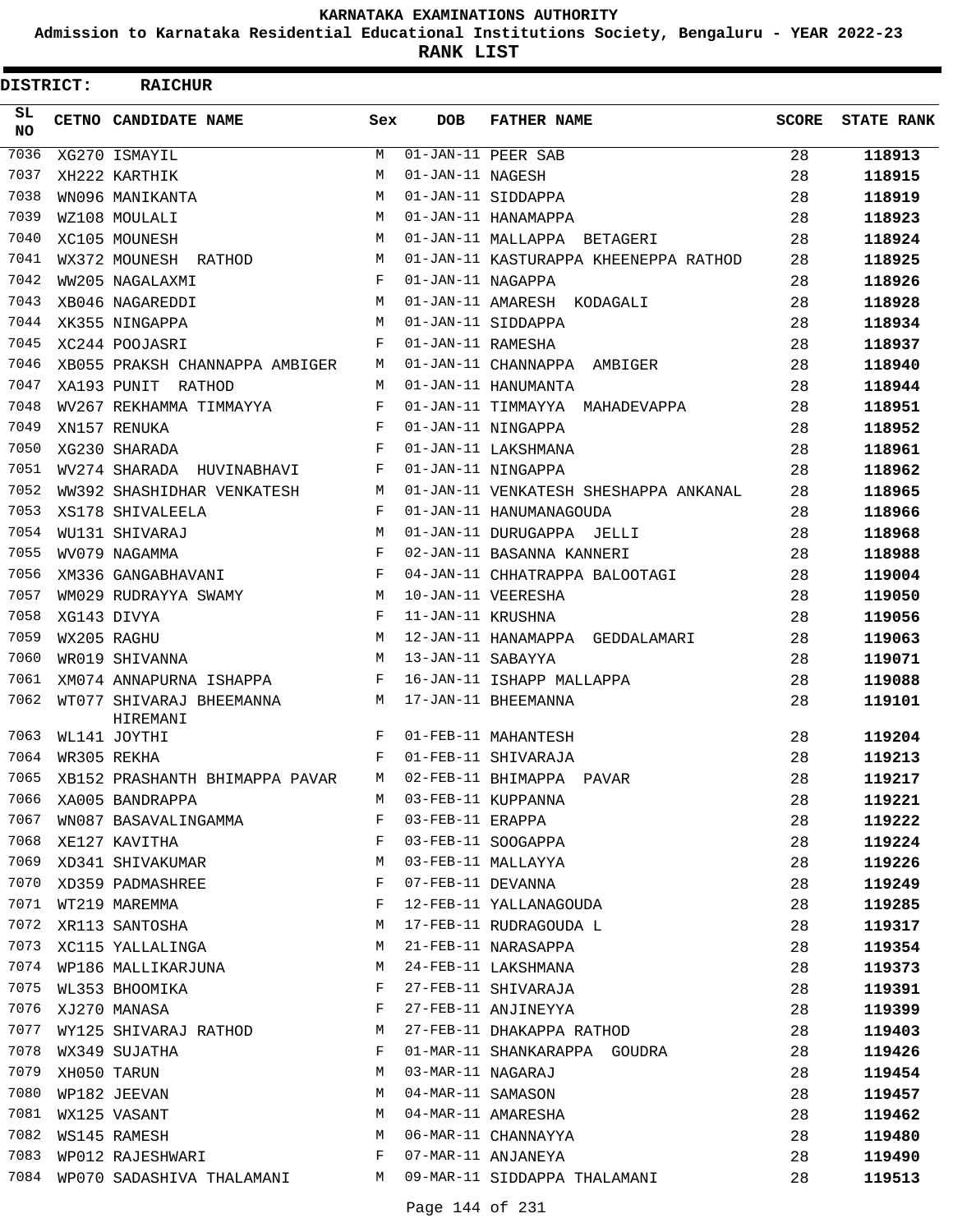**Admission to Karnataka Residential Educational Institutions Society, Bengaluru - YEAR 2022-23**

| DISTRICT: | <b>RAICHUR</b>                       |     |                   |                                       |              |                   |
|-----------|--------------------------------------|-----|-------------------|---------------------------------------|--------------|-------------------|
| SL<br>NO. | CETNO CANDIDATE NAME                 | Sex | <b>DOB</b>        | <b>FATHER NAME</b>                    | <b>SCORE</b> | <b>STATE RANK</b> |
| 7036      | XG270 ISMAYIL                        | М   |                   | 01-JAN-11 PEER SAB                    | 28           | 118913            |
| 7037      | XH222 KARTHIK                        | M   | 01-JAN-11 NAGESH  |                                       | 28           | 118915            |
| 7038      | WN096 MANIKANTA                      | M   |                   | 01-JAN-11 SIDDAPPA                    | 28           | 118919            |
| 7039      | WZ108 MOULALI                        | M   |                   | 01-JAN-11 HANAMAPPA                   | 28           | 118923            |
| 7040      | XC105 MOUNESH                        | M   |                   | 01-JAN-11 MALLAPPA BETAGERI           | 28           | 118924            |
| 7041      | WX372 MOUNESH RATHOD                 | М   |                   | 01-JAN-11 KASTURAPPA KHEENEPPA RATHOD | 28           | 118925            |
| 7042      | WW205 NAGALAXMI                      | F   | 01-JAN-11 NAGAPPA |                                       | 28           | 118926            |
| 7043      | XB046 NAGAREDDI                      | M   |                   | 01-JAN-11 AMARESH KODAGALI            | 28           | 118928            |
| 7044      | XK355 NINGAPPA                       | M   |                   | 01-JAN-11 SIDDAPPA                    | 28           | 118934            |
| 7045      | XC244 POOJASRI                       | F   | 01-JAN-11 RAMESHA |                                       | 28           | 118937            |
| 7046      | XB055 PRAKSH CHANNAPPA AMBIGER       | M   |                   | 01-JAN-11 CHANNAPPA AMBIGER           | 28           | 118940            |
| 7047      | XA193 PUNIT RATHOD                   | M   |                   | 01-JAN-11 HANUMANTA                   | 28           | 118944            |
| 7048      | WV267 REKHAMMA TIMMAYYA              | F   |                   | 01-JAN-11 TIMMAYYA MAHADEVAPPA        | 28           | 118951            |
| 7049      | XN157 RENUKA                         | F   |                   | 01-JAN-11 NINGAPPA                    | 28           | 118952            |
| 7050      | XG230 SHARADA                        | F   |                   | 01-JAN-11 LAKSHMANA                   | 28           | 118961            |
| 7051      | WV274 SHARADA HUVINABHAVI            | F   |                   | 01-JAN-11 NINGAPPA                    | 28           | 118962            |
| 7052      | WW392 SHASHIDHAR VENKATESH           | М   |                   | 01-JAN-11 VENKATESH SHESHAPPA ANKANAL | 28           | 118965            |
| 7053      | XS178 SHIVALEELA                     | F   |                   | 01-JAN-11 HANUMANAGOUDA               | 28           | 118966            |
| 7054      | WU131 SHIVARAJ                       | M   |                   | 01-JAN-11 DURUGAPPA JELLI             | 28           | 118968            |
| 7055      | WV079 NAGAMMA                        | F   |                   | 02-JAN-11 BASANNA KANNERI             | 28           | 118988            |
| 7056      | XM336 GANGABHAVANI                   | F   |                   | 04-JAN-11 CHHATRAPPA BALOOTAGI        | 28           | 119004            |
| 7057      | WM029 RUDRAYYA SWAMY                 | M   |                   | 10-JAN-11 VEERESHA                    | 28           | 119050            |
| 7058      | XG143 DIVYA                          | F   | 11-JAN-11 KRUSHNA |                                       | 28           | 119056            |
| 7059      | WX205 RAGHU                          | M   |                   | 12-JAN-11 HANAMAPPA GEDDALAMARI       | 28           | 119063            |
| 7060      | WR019 SHIVANNA                       | M   | 13-JAN-11 SABAYYA |                                       | 28           | 119071            |
| 7061      | XM074 ANNAPURNA ISHAPPA              | F   |                   | 16-JAN-11 ISHAPP MALLAPPA             | 28           | 119088            |
| 7062      | WT077 SHIVARAJ BHEEMANNA<br>HIREMANI | М   |                   | 17-JAN-11 BHEEMANNA                   | 28           | 119101            |
| 7063      | WL141 JOYTHI                         | F   |                   | 01-FEB-11 MAHANTESH                   | 28           | 119204            |
| 7064      | WR305 REKHA                          | F   |                   | 01-FEB-11 SHIVARAJA                   | 28           | 119213            |
| 7065      | XB152 PRASHANTH BHIMAPPA PAVAR       | M   |                   | 02-FEB-11 BHIMAPPA PAVAR              | 28           | 119217            |
| 7066      | XA005 BANDRAPPA                      | M   |                   | 03-FEB-11 KUPPANNA                    | 28           | 119221            |
| 7067      | WN087 BASAVALINGAMMA                 | F   | 03-FEB-11 ERAPPA  |                                       | 28           | 119222            |
| 7068      | XE127 KAVITHA                        | F   |                   | 03-FEB-11 SOOGAPPA                    | 28           | 119224            |
| 7069      | XD341 SHIVAKUMAR                     | М   |                   | 03-FEB-11 MALLAYYA                    | 28           | 119226            |
| 7070      | XD359 PADMASHREE                     | F   | 07-FEB-11 DEVANNA |                                       | 28           | 119249            |
| 7071      |                                      | F   |                   | 12-FEB-11 YALLANAGOUDA                | 28           | 119285            |
| 7072      | WT219 MAREMMA<br>XR113 SANTOSHA      | М   |                   | 17-FEB-11 RUDRAGOUDA L                | 28           | 119317            |
| 7073      | XC115 YALLALINGA                     | М   |                   | 21-FEB-11 NARASAPPA                   | 28           | 119354            |
| 7074      | WP186 MALLIKARJUNA                   | М   |                   | 24-FEB-11 LAKSHMANA                   | 28           | 119373            |
| 7075      | WL353 BHOOMIKA                       | F   |                   | 27-FEB-11 SHIVARAJA                   | 28           | 119391            |
| 7076      | XJ270 MANASA                         | F   |                   | 27-FEB-11 ANJINEYYA                   | 28           | 119399            |
| 7077      | WY125 SHIVARAJ RATHOD                | М   |                   | 27-FEB-11 DHAKAPPA RATHOD             | 28           | 119403            |
| 7078      | WX349 SUJATHA                        | F   |                   | 01-MAR-11 SHANKARAPPA GOUDRA          | 28           | 119426            |
| 7079      | XH050 TARUN                          | М   | 03-MAR-11 NAGARAJ |                                       | 28           | 119454            |
| 7080      | WP182 JEEVAN                         | М   | 04-MAR-11 SAMASON |                                       | 28           | 119457            |
| 7081      | WX125 VASANT                         | М   |                   | 04-MAR-11 AMARESHA                    | 28           | 119462            |
| 7082      | WS145 RAMESH                         | М   |                   | 06-MAR-11 CHANNAYYA                   | 28           | 119480            |
| 7083      | WP012 RAJESHWARI                     | F   |                   | 07-MAR-11 ANJANEYA                    | 28           | 119490            |
| 7084      | WP070 SADASHIVA THALAMANI            | M   |                   | 09-MAR-11 SIDDAPPA THALAMANI          | 28           | 119513            |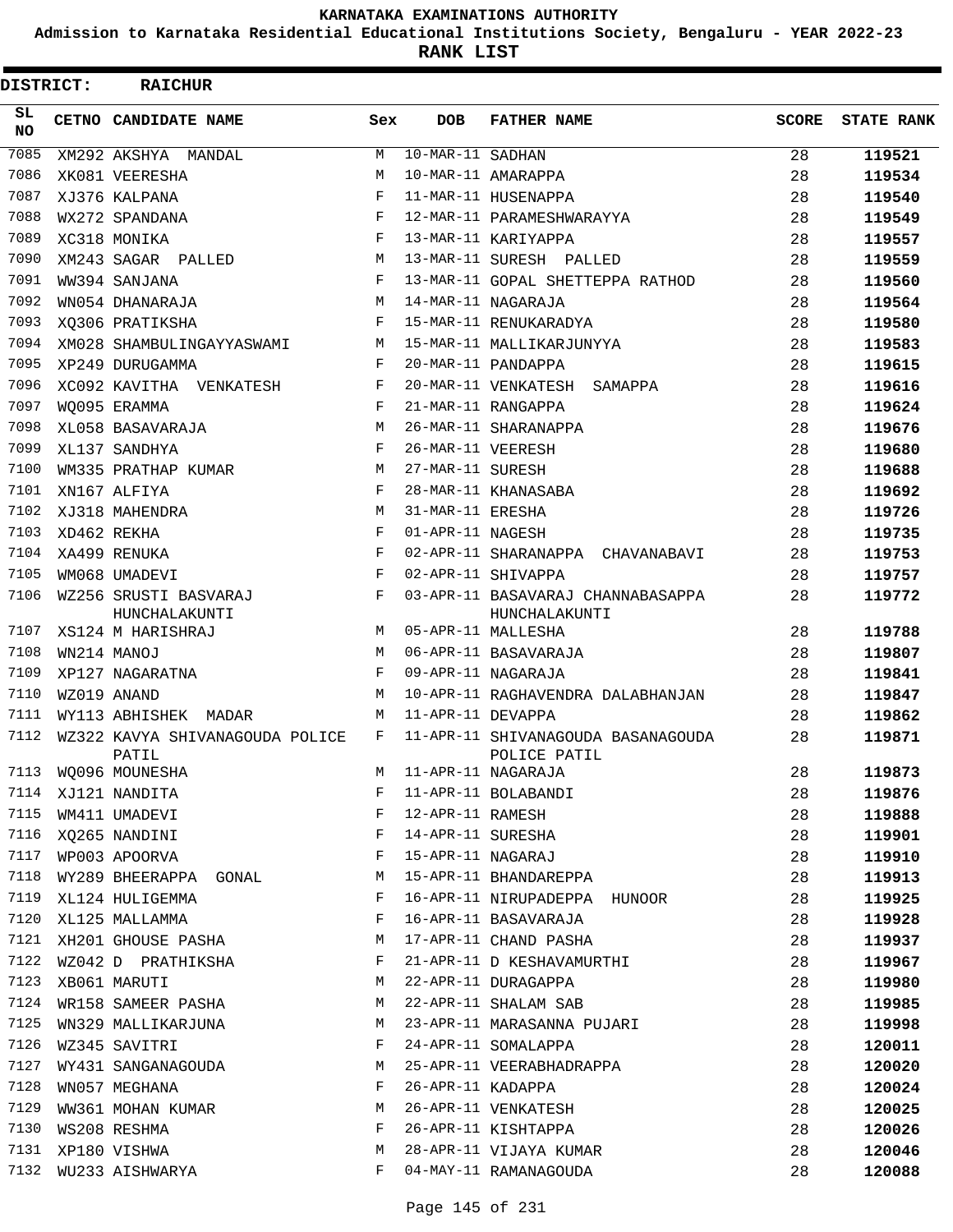**Admission to Karnataka Residential Educational Institutions Society, Bengaluru - YEAR 2022-23**

**RANK LIST**

| <b>DISTRICT:</b> | <b>RAICHUR</b>                           |              |                    |                                                    |       |                   |
|------------------|------------------------------------------|--------------|--------------------|----------------------------------------------------|-------|-------------------|
| SL.<br>NO.       | CETNO CANDIDATE NAME                     | Sex          | <b>DOB</b>         | <b>FATHER NAME</b>                                 | SCORE | <b>STATE RANK</b> |
| 7085             | XM292 AKSHYA MANDAL                      | M            | $10-MAR-11$ SADHAN |                                                    | 28    | 119521            |
| 7086             | XK081 VEERESHA                           | M            |                    | 10-MAR-11 AMARAPPA                                 | 28    | 119534            |
| 7087             | XJ376 KALPANA                            | F            |                    | 11-MAR-11 HUSENAPPA                                | 28    | 119540            |
| 7088             | WX272 SPANDANA                           | F            |                    | 12-MAR-11 PARAMESHWARAYYA                          | 28    | 119549            |
| 7089             | XC318 MONIKA                             | F            |                    | 13-MAR-11 KARIYAPPA                                | 28    | 119557            |
| 7090             | XM243 SAGAR PALLED                       | M            |                    | 13-MAR-11 SURESH PALLED                            | 28    | 119559            |
| 7091             | WW394 SANJANA                            | F            |                    | 13-MAR-11 GOPAL SHETTEPPA RATHOD                   | 28    | 119560            |
| 7092             | WN054 DHANARAJA                          | M            |                    | 14-MAR-11 NAGARAJA                                 | 28    | 119564            |
| 7093             | XO306 PRATIKSHA                          | F            |                    | 15-MAR-11 RENUKARADYA                              | 28    | 119580            |
| 7094             | XM028 SHAMBULINGAYYASWAMI                | M            |                    | 15-MAR-11 MALLIKARJUNYYA                           | 28    | 119583            |
| 7095             | XP249 DURUGAMMA                          | F            |                    | 20-MAR-11 PANDAPPA                                 | 28    | 119615            |
| 7096             | XC092 KAVITHA VENKATESH                  | F            |                    | 20-MAR-11 VENKATESH SAMAPPA                        | 28    | 119616            |
| 7097             | WO095 ERAMMA                             | F            |                    | 21-MAR-11 RANGAPPA                                 | 28    | 119624            |
| 7098             | XL058 BASAVARAJA                         | M            |                    | 26-MAR-11 SHARANAPPA                               | 28    | 119676            |
| 7099             | XL137 SANDHYA                            | F            | 26-MAR-11 VEERESH  |                                                    | 28    | 119680            |
| 7100             | WM335 PRATHAP KUMAR                      | M            | 27-MAR-11 SURESH   |                                                    | 28    | 119688            |
| 7101             | XN167 ALFIYA                             | F            |                    | 28-MAR-11 KHANASABA                                | 28    | 119692            |
| 7102             | XJ318 MAHENDRA                           | M            | 31-MAR-11 ERESHA   |                                                    | 28    | 119726            |
| 7103             | XD462 REKHA                              | F            | 01-APR-11 NAGESH   |                                                    | 28    | 119735            |
| 7104             | XA499 RENUKA                             | F            |                    | 02-APR-11 SHARANAPPA CHAVANABAVI                   | 28    | 119753            |
| 7105             | WM068 UMADEVI                            | F            |                    | 02-APR-11 SHIVAPPA                                 | 28    | 119757            |
| 7106             | WZ256 SRUSTI BASVARAJ<br>HUNCHALAKUNTI   | F            |                    | 03-APR-11 BASAVARAJ CHANNABASAPPA<br>HUNCHALAKUNTI | 28    | 119772            |
| 7107             | XS124 M HARISHRAJ                        | M            |                    | 05-APR-11 MALLESHA                                 | 28    | 119788            |
| 7108             | WN214 MANOJ                              | M            |                    | 06-APR-11 BASAVARAJA                               | 28    | 119807            |
| 7109             | XP127 NAGARATNA                          | F            |                    | 09-APR-11 NAGARAJA                                 | 28    | 119841            |
| 7110             | WZ019 ANAND                              | M            |                    | 10-APR-11 RAGHAVENDRA DALABHANJAN                  | 28    | 119847            |
| 7111             | WY113 ABHISHEK MADAR                     | M            | 11-APR-11 DEVAPPA  |                                                    | 28    | 119862            |
| 7112             | WZ322 KAVYA SHIVANAGOUDA POLICE<br>PATIL | F            |                    | 11-APR-11 SHIVANAGOUDA BASANAGOUDA<br>POLICE PATIL | 28    | 119871            |
|                  | 7113 WQ096 MOUNESHA                      |              |                    | M 11-APR-11 NAGARAJA                               | 28    | 119873            |
|                  | 7114 XJ121 NANDITA                       | F            |                    | 11-APR-11 BOLABANDI                                | 28    | 119876            |
| 7115             | WM411 UMADEVI                            | F            | 12-APR-11 RAMESH   |                                                    | 28    | 119888            |
| 7116             | XQ265 NANDINI                            | F            |                    | 14-APR-11 SURESHA                                  | 28    | 119901            |
|                  | 7117 WP003 APOORVA                       | F            |                    | 15-APR-11 NAGARAJ                                  | 28    | 119910            |
| 7118             | WY289 BHEERAPPA GONAL                    | M            |                    | 15-APR-11 BHANDAREPPA                              | 28    | 119913            |
| 7119             | XL124 HULIGEMMA                          | F            |                    | 16-APR-11 NIRUPADEPPA HUNOOR                       | 28    | 119925            |
|                  | 7120 XL125 MALLAMMA                      | F            |                    | 16-APR-11 BASAVARAJA                               | 28    | 119928            |
|                  | 7121 XH201 GHOUSE PASHA                  | M            |                    | 17-APR-11 CHAND PASHA                              | 28    | 119937            |
|                  | 7122 WZ042 D PRATHIKSHA                  | F            |                    | 21-APR-11 D KESHAVAMURTHI                          | 28    | 119967            |
| 7123             | XB061 MARUTI                             | М            |                    | 22-APR-11 DURAGAPPA                                | 28    | 119980            |
| 7124             | WR158 SAMEER PASHA                       | М            |                    | 22-APR-11 SHALAM SAB                               | 28    | 119985            |
| 7125             | WN329 MALLIKARJUNA                       | M            |                    | 23-APR-11 MARASANNA PUJARI                         | 28    | 119998            |
| 7126             | WZ345 SAVITRI                            | F            |                    | 24-APR-11 SOMALAPPA                                | 28    | 120011            |
| 7127             | WY431 SANGANAGOUDA                       | M            |                    | 25-APR-11 VEERABHADRAPPA                           | 28    | 120020            |
| 7128             | WN057 MEGHANA                            | F            | 26-APR-11 KADAPPA  |                                                    | 28    | 120024            |
| 7129             | WW361 MOHAN KUMAR                        | М            |                    | 26-APR-11 VENKATESH                                | 28    | 120025            |
| 7130             | WS208 RESHMA                             | $\mathbf{F}$ |                    | 26-APR-11 KISHTAPPA                                | 28    | 120026            |
| 7131             | XP180 VISHWA                             | М            |                    | 28-APR-11 VIJAYA KUMAR                             | 28    | 120046            |
| 7132             | WU233 AISHWARYA                          | F            |                    | 04-MAY-11 RAMANAGOUDA                              | 28    | 120088            |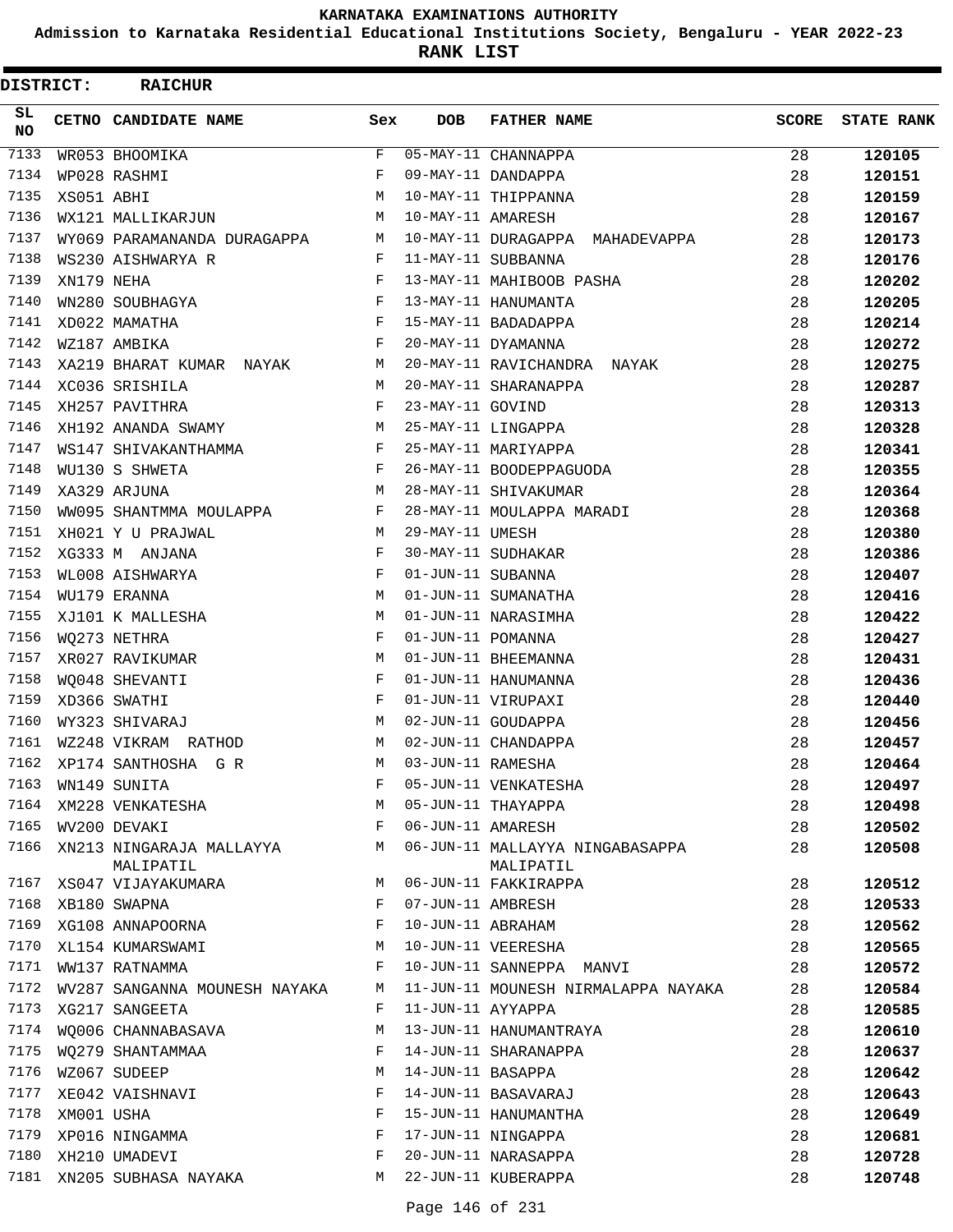**Admission to Karnataka Residential Educational Institutions Society, Bengaluru - YEAR 2022-23**

**RANK LIST**

| DISTRICT:        |            | <b>RAICHUR</b>                          |              |                   |                                              |              |                   |
|------------------|------------|-----------------------------------------|--------------|-------------------|----------------------------------------------|--------------|-------------------|
| SL.<br><b>NO</b> |            | CETNO CANDIDATE NAME                    | Sex          | <b>DOB</b>        | <b>FATHER NAME</b>                           | <b>SCORE</b> | <b>STATE RANK</b> |
| 7133             |            | WR053 BHOOMIKA                          | $\mathbf{F}$ |                   | 05-MAY-11 CHANNAPPA                          | 28           | 120105            |
| 7134             |            | WP028 RASHMI                            | F            |                   | 09-MAY-11 DANDAPPA                           | 28           | 120151            |
| 7135             | XS051 ABHI |                                         | M            |                   | 10-MAY-11 THIPPANNA                          | 28           | 120159            |
| 7136             |            | WX121 MALLIKARJUN                       | М            | 10-MAY-11 AMARESH |                                              | 28           | 120167            |
| 7137             |            | WY069 PARAMANANDA DURAGAPPA M           |              |                   | 10-MAY-11 DURAGAPPA MAHADEVAPPA              | 28           | 120173            |
| 7138             |            | WS230 AISHWARYA R                       | $\mathbf{F}$ |                   | 11-MAY-11 SUBBANNA                           | 28           | 120176            |
| 7139             | XN179 NEHA |                                         | F            |                   | 13-MAY-11 MAHIBOOB PASHA                     | 28           | 120202            |
| 7140             |            | $WN280 SOUBHAGYA$ $F$                   |              |                   | 13-MAY-11 HANUMANTA                          | 28           | 120205            |
| 7141             |            | XD022 MAMATHA                           | F            |                   | 15-MAY-11 BADADAPPA                          | 28           | 120214            |
| 7142             |            | WZ187 AMBIKA                            | $\mathbf{F}$ |                   | 20-MAY-11 DYAMANNA                           | 28           | 120272            |
| 7143             |            | XA219 BHARAT KUMAR NAYAK M              |              |                   | 20-MAY-11 RAVICHANDRA NAYAK                  | 28           | 120275            |
| 7144             |            | XC036 SRISHILA                          | M            |                   | 20-MAY-11 SHARANAPPA                         | 28           | 120287            |
| 7145             |            | XH257 PAVITHRA                          | F            | 23-MAY-11 GOVIND  |                                              | 28           | 120313            |
| 7146             |            | XH192 ANANDA SWAMY                      | M            |                   | 25-MAY-11 LINGAPPA                           | 28           | 120328            |
| 7147             |            | WS147 SHIVAKANTHAMMA                    | F            |                   | 25-MAY-11 MARIYAPPA                          | 28           | 120341            |
| 7148             |            | WU130 S SHWETA                          | F            |                   | 26-MAY-11 BOODEPPAGUODA                      | 28           | 120355            |
| 7149             |            | XA329 ARJUNA                            | М            |                   | 28-MAY-11 SHIVAKUMAR                         | 28           | 120364            |
| 7150             |            | WW095 SHANTMMA MOULAPPA F               |              |                   | 28-MAY-11 MOULAPPA MARADI                    | 28           | 120368            |
| 7151             |            | XH021 Y U PRAJWAL                       | M            | 29-MAY-11 UMESH   |                                              | 28           | 120380            |
| 7152             |            | XG333 M ANJANA                          | F            |                   | 30-MAY-11 SUDHAKAR                           | 28           | 120386            |
| 7153             |            | WL008 AISHWARYA                         | F            | 01-JUN-11 SUBANNA |                                              | 28           | 120407            |
| 7154             |            | WU179 ERANNA                            | M            |                   | 01-JUN-11 SUMANATHA                          | 28           | 120416            |
| 7155             |            | XJ101 K MALLESHA                        | M            |                   | 01-JUN-11 NARASIMHA                          | 28           | 120422            |
| 7156             |            | WQ273 NETHRA                            | F            | 01-JUN-11 POMANNA |                                              | 28           | 120427            |
| 7157             |            | XR027 RAVIKUMAR                         | М            |                   | 01-JUN-11 BHEEMANNA                          | 28           | 120431            |
| 7158             |            | WO048 SHEVANTI                          | F            |                   | 01-JUN-11 HANUMANNA                          | 28           | 120436            |
| 7159             |            | XD366 SWATHI                            | F            |                   | 01-JUN-11 VIRUPAXI                           | 28           | 120440            |
| 7160             |            | WY323 SHIVARAJ                          | M            |                   | 02-JUN-11 GOUDAPPA                           | 28           | 120456            |
| 7161             |            | WZ248 VIKRAM RATHOD                     | М            |                   | 02-JUN-11 CHANDAPPA                          | 28           | 120457            |
| 7162             |            | XP174 SANTHOSHA G R                     | M            | 03-JUN-11 RAMESHA |                                              | 28           | 120464            |
| 7163             |            | WN149 SUNITA                            | F            |                   | 05-JUN-11 VENKATESHA                         | 28           | 120497            |
| 7164             |            | XM228 VENKATESHA                        | М            |                   | 05-JUN-11 THAYAPPA                           | 28           | 120498            |
| 7165             |            | WV200 DEVAKI                            | F            | 06-JUN-11 AMARESH |                                              | 28           | 120502            |
| 7166             |            | XN213 NINGARAJA MALLAYYA M<br>MALIPATIL |              |                   | 06-JUN-11 MALLAYYA NINGABASAPPA<br>MALIPATIL | 28           | 120508            |
| 7167             |            | XS047 VIJAYAKUMARA                      | M            |                   | 06-JUN-11 FAKKIRAPPA                         | 28           | 120512            |
| 7168             |            | XB180 SWAPNA                            | F            | 07-JUN-11 AMBRESH |                                              | 28           | 120533            |
| 7169             |            | XB180 SWAPNA<br>XG108 ANNAPOORNA        | F            |                   | 10-JUN-11 ABRAHAM                            | 28           | 120562            |
| 7170             |            | XL154 KUMARSWAMI                        | М            |                   | 10-JUN-11 VEERESHA                           | 28           | 120565            |
| 7171             |            | WW137 RATNAMMA                          | F            |                   | 10-JUN-11 SANNEPPA MANVI                     | 28           | 120572            |
| 7172             |            | WV287 SANGANNA MOUNESH NAYAKA           | M            |                   | 11-JUN-11 MOUNESH NIRMALAPPA NAYAKA          | 28           | 120584            |
| 7173             |            | XG217 SANGEETA                          | F            | 11-JUN-11 AYYAPPA |                                              | 28           | 120585            |
| 7174             |            | WQ006 CHANNABASAVA                      | М            |                   | 13-JUN-11 HANUMANTRAYA                       | 28           | 120610            |
| 7175             |            | WO279 SHANTAMMAA                        | F            |                   | 14-JUN-11 SHARANAPPA                         | 28           | 120637            |
| 7176             |            | WZ067 SUDEEP                            | М            | 14-JUN-11 BASAPPA |                                              | 28           | 120642            |
| 7177             |            | XE042 VAISHNAVI                         | F            |                   | 14-JUN-11 BASAVARAJ                          | 28           | 120643            |
| 7178             | XM001 USHA |                                         | F            |                   | 15-JUN-11 HANUMANTHA                         | 28           | 120649            |
| 7179             |            | XP016 NINGAMMA                          | F            |                   | 17-JUN-11 NINGAPPA                           | 28           | 120681            |
| 7180             |            | XH210 UMADEVI                           | F            |                   | 20-JUN-11 NARASAPPA                          | 28           | 120728            |
| 7181             |            | XN205 SUBHASA NAYAKA                    | M            |                   | 22-JUN-11 KUBERAPPA                          | 28           | 120748            |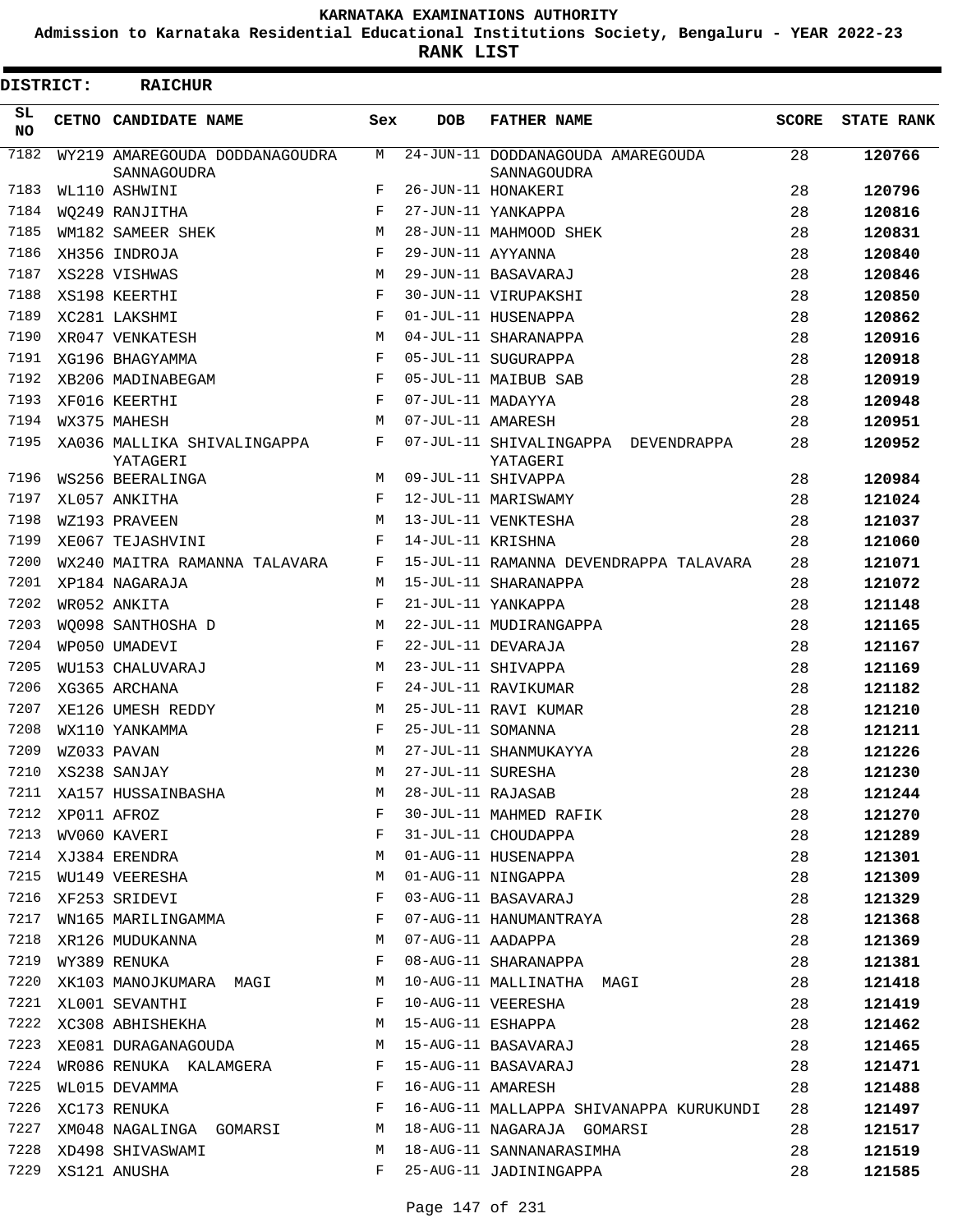**Admission to Karnataka Residential Educational Institutions Society, Bengaluru - YEAR 2022-23**

**RANK LIST**

| DISTRICT:       | <b>RAICHUR</b>                                |            |                   |                                                                  |              |                   |
|-----------------|-----------------------------------------------|------------|-------------------|------------------------------------------------------------------|--------------|-------------------|
| SL<br><b>NO</b> | CETNO CANDIDATE NAME                          | Sex        | <b>DOB</b>        | <b>FATHER NAME</b>                                               | <b>SCORE</b> | <b>STATE RANK</b> |
| 7182            | WY219 AMAREGOUDA DODDANAGOUDRA<br>SANNAGOUDRA | M          |                   | 24-JUN-11 DODDANAGOUDA AMAREGOUDA<br>SANNAGOUDRA                 | 28           | 120766            |
| 7183            | WL110 ASHWINI                                 | F          |                   | 26-JUN-11 HONAKERI                                               | 28           | 120796            |
| 7184            | WQ249 RANJITHA                                | F          |                   | 27-JUN-11 YANKAPPA                                               | 28           | 120816            |
| 7185            | WM182 SAMEER SHEK                             | М          |                   | 28-JUN-11 MAHMOOD SHEK                                           | 28           | 120831            |
| 7186            | XH356 INDROJA                                 | F          | 29-JUN-11 AYYANNA |                                                                  | 28           | 120840            |
| 7187            | XS228 VISHWAS                                 | M          |                   | 29-JUN-11 BASAVARAJ                                              | 28           | 120846            |
| 7188            | XS198 KEERTHI                                 | F          |                   | 30-JUN-11 VIRUPAKSHI                                             | 28           | 120850            |
| 7189            | XC281 LAKSHMI                                 | F          |                   | 01-JUL-11 HUSENAPPA                                              | 28           | 120862            |
| 7190            | XR047 VENKATESH                               | M          |                   | 04-JUL-11 SHARANAPPA                                             | 28           | 120916            |
| 7191            | XG196 BHAGYAMMA                               | F          |                   | 05-JUL-11 SUGURAPPA                                              | 28           | 120918            |
| 7192            | XB206 MADINABEGAM                             | F          |                   | 05-JUL-11 MAIBUB SAB                                             | 28           | 120919            |
| 7193            | XF016 KEERTHI                                 | F          | 07-JUL-11 MADAYYA |                                                                  | 28           | 120948            |
| 7194            | WX375 MAHESH                                  | M          | 07-JUL-11 AMARESH |                                                                  | 28           | 120951            |
| 7195            | XA036 MALLIKA SHIVALINGAPPA<br>YATAGERI       | F          |                   | 07-JUL-11 SHIVALINGAPPA DEVENDRAPPA<br>YATAGERI                  | 28           | 120952            |
| 7196            | WS256 BEERALINGA                              | M          |                   | 09-JUL-11 SHIVAPPA                                               | 28           | 120984            |
| 7197            | XL057 ANKITHA                                 | $_{\rm F}$ |                   | 12-JUL-11 MARISWAMY                                              | 28           | 121024            |
| 7198            | WZ193 PRAVEEN                                 | M          |                   | 13-JUL-11 VENKTESHA                                              | 28           | 121037            |
| 7199            | XE067 TEJASHVINI                              | F          | 14-JUL-11 KRISHNA |                                                                  | 28           | 121060            |
| 7200            | WX240 MAITRA RAMANNA TALAVARA                 | F          |                   | 15-JUL-11 RAMANNA DEVENDRAPPA TALAVARA                           | 28           | 121071            |
| 7201            | XP184 NAGARAJA                                | M          |                   | 15-JUL-11 SHARANAPPA                                             | 28           | 121072            |
| 7202            | WR052 ANKITA                                  | F          |                   | 21-JUL-11 YANKAPPA                                               | 28           | 121148            |
| 7203            | WO098 SANTHOSHA D                             | M          |                   | 22-JUL-11 MUDIRANGAPPA                                           | 28           | 121165            |
| 7204            | WP050 UMADEVI                                 | $_{\rm F}$ |                   | 22-JUL-11 DEVARAJA                                               | 28           | 121167            |
| 7205            | WU153 CHALUVARAJ                              | M          |                   | 23-JUL-11 SHIVAPPA                                               | 28           | 121169            |
| 7206            | XG365 ARCHANA                                 | F          |                   | 24-JUL-11 RAVIKUMAR                                              | 28           | 121182            |
| 7207            | XE126 UMESH REDDY                             | М          |                   | 25-JUL-11 RAVI KUMAR                                             | 28           | 121210            |
| 7208            | WX110 YANKAMMA                                | $_{\rm F}$ | 25-JUL-11 SOMANNA |                                                                  | 28           | 121211            |
| 7209            | WZ033 PAVAN                                   | М          |                   | 27-JUL-11 SHANMUKAYYA                                            | 28           | 121226            |
| 7210            | XS238 SANJAY                                  | M          | 27-JUL-11 SURESHA |                                                                  | 28           | 121230            |
|                 | 7211 XA157 HUSSAINBASHA                       | М          |                   | 27-JUL-11 SURESHA<br>28-JUL-11 RAJASAB<br>30-JUL-11 MAHMED RAFIK | 28           | 121244            |
| 7212            | XP011 AFROZ                                   | F          |                   |                                                                  | 28           | 121270            |
| 7213            | WV060 KAVERI                                  | F          |                   | 31-JUL-11 CHOUDAPPA                                              | 28           | 121289            |
| 7214            | XJ384 ERENDRA                                 | М          |                   | 01-AUG-11 HUSENAPPA                                              | 28           | 121301            |
| 7215            | WU149 VEERESHA                                | М          |                   | 01-AUG-11 NINGAPPA                                               | 28           | 121309            |
| 7216            | XF253 SRIDEVI                                 | F          |                   | 03-AUG-11 BASAVARAJ                                              | 28           | 121329            |
| 7217            | WN165 MARILINGAMMA                            | F          |                   | 07-AUG-11 HANUMANTRAYA                                           | 28           | 121368            |
| 7218            | M<br>XR126 MUDUKANNA                          |            | 07-AUG-11 AADAPPA |                                                                  | 28           |                   |
|                 |                                               | F          |                   |                                                                  |              | 121369            |
| 7220            | 7219 WY389 RENUKA                             |            |                   | 08-AUG-11 SHARANAPPA                                             | 28           | 121381            |
|                 | XK103 MANOJKUMARA MAGI                        | M          |                   | 10-AUG-11 MALLINATHA MAGI                                        | 28           | 121418            |
| 7221            | XL001 SEVANTHI                                | F          |                   | 10-AUG-11 VEERESHA                                               | 28           | 121419            |
| 7222            | XC308 ABHISHEKHA                              | M          |                   | 15-AUG-11 ESHAPPA                                                | 28           | 121462            |
| 7223            | XE081 DURAGANAGOUDA                           | M          |                   | 15-AUG-11 BASAVARAJ                                              | 28           | 121465            |
| 7224            | WR086 RENUKA KALAMGERA                        | F          |                   | 15-AUG-11 BASAVARAJ                                              | 28           | 121471            |
| 7225            | WL015 DEVAMMA                                 | F          | 16-AUG-11 AMARESH |                                                                  | 28           | 121488            |
| 7226            | XC173 RENUKA                                  | F          |                   | 16-AUG-11 MALLAPPA SHIVANAPPA KURUKUNDI                          | 28           | 121497            |
| 7227            | XM048 NAGALINGA GOMARSI M                     |            |                   | 18-AUG-11 NAGARAJA GOMARSI                                       | 28           | 121517            |
| 7228            | XD498 SHIVASWAMI                              | M          |                   | 18-AUG-11 SANNANARASIMHA                                         | 28           | 121519            |
| 7229            | XS121 ANUSHA                                  | F          |                   | 25-AUG-11 JADININGAPPA                                           | 28           | 121585            |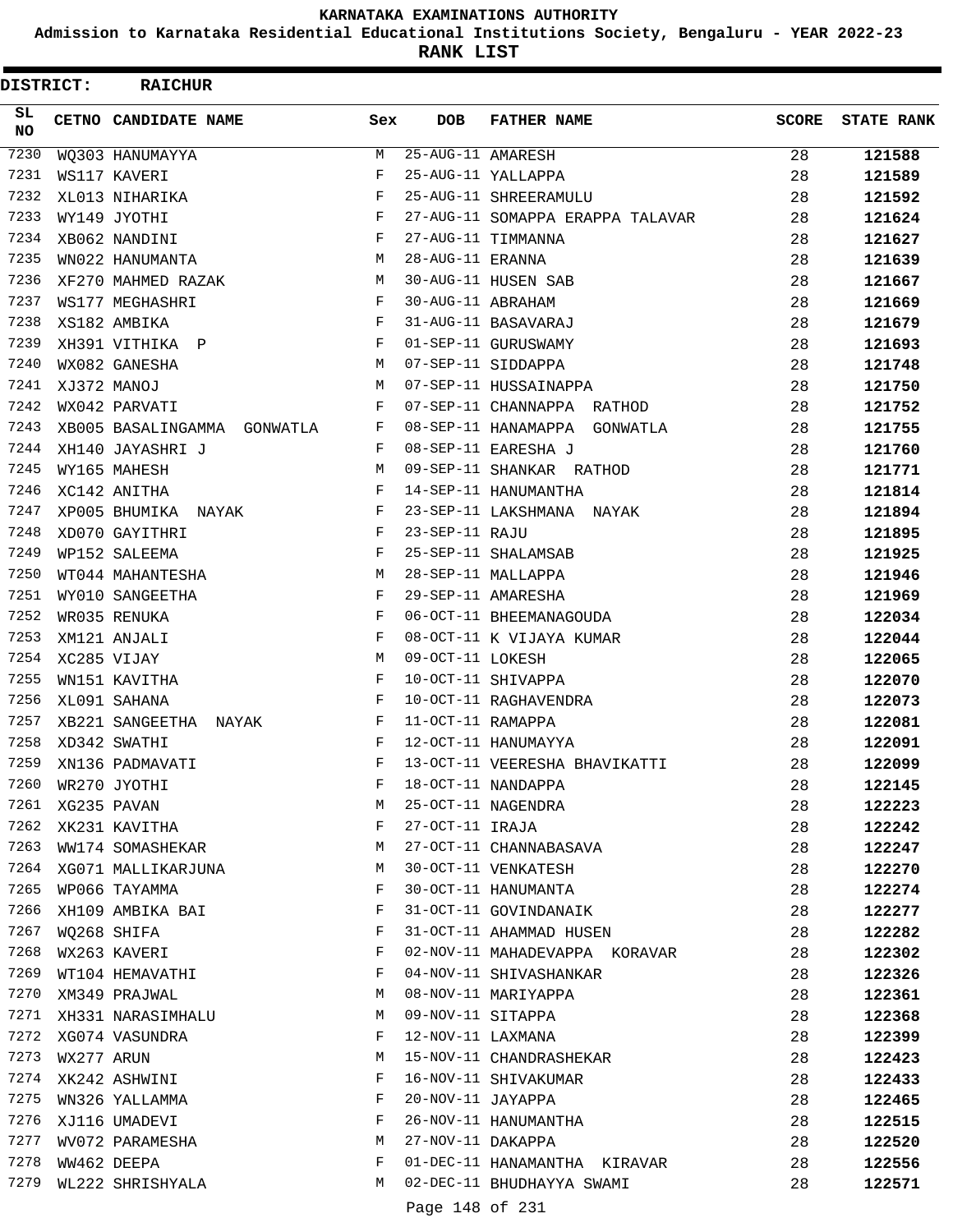**Admission to Karnataka Residential Educational Institutions Society, Bengaluru - YEAR 2022-23**

ı

**RANK LIST**

| <b>DISTRICT:</b> |            | <b>RAICHUR</b>              |     |                   |                                  |              |                   |
|------------------|------------|-----------------------------|-----|-------------------|----------------------------------|--------------|-------------------|
| SL.<br><b>NO</b> |            | CETNO CANDIDATE NAME        | Sex | <b>DOB</b>        | <b>FATHER NAME</b>               | <b>SCORE</b> | <b>STATE RANK</b> |
| 7230             |            | WQ303 HANUMAYYA             | M   | 25-AUG-11 AMARESH |                                  | 28           | 121588            |
| 7231             |            | WS117 KAVERI                | F   |                   | 25-AUG-11 YALLAPPA               | 28           | 121589            |
| 7232             |            | XL013 NIHARIKA              | F   |                   | 25-AUG-11 SHREERAMULU            | 28           | 121592            |
| 7233             |            | WY149 JYOTHI                | F   |                   | 27-AUG-11 SOMAPPA ERAPPA TALAVAR | 28           | 121624            |
| 7234             |            | XB062 NANDINI               | F   |                   | 27-AUG-11 TIMMANNA               | 28           | 121627            |
| 7235             |            | WN022 HANUMANTA             | М   | 28-AUG-11 ERANNA  |                                  | 28           | 121639            |
| 7236             |            | XF270 MAHMED RAZAK          | М   |                   | 30-AUG-11 HUSEN SAB              | 28           | 121667            |
| 7237             |            | WS177 MEGHASHRI             | F   | 30-AUG-11 ABRAHAM |                                  | 28           | 121669            |
| 7238             |            | XS182 AMBIKA                | F   |                   | 31-AUG-11 BASAVARAJ              | 28           | 121679            |
| 7239             |            | XH391 VITHIKA P             | F   |                   | 01-SEP-11 GURUSWAMY              | 28           | 121693            |
| 7240             |            | WX082 GANESHA               | М   |                   | 07-SEP-11 SIDDAPPA               | 28           | 121748            |
| 7241             |            | XJ372 MANOJ                 | М   |                   | 07-SEP-11 HUSSAINAPPA            | 28           | 121750            |
| 7242             |            | WX042 PARVATI               | F   |                   | 07-SEP-11 CHANNAPPA RATHOD       | 28           | 121752            |
| 7243             |            | XB005 BASALINGAMMA GONWATLA | F   |                   | 08-SEP-11 HANAMAPPA GONWATLA     | 28           | 121755            |
| 7244             |            | XH140 JAYASHRI J            | F   |                   | 08-SEP-11 EARESHA J              | 28           | 121760            |
| 7245             |            | WY165 MAHESH                | M   |                   | 09-SEP-11 SHANKAR RATHOD         | 28           | 121771            |
| 7246             |            | XC142 ANITHA                | F   |                   | 14-SEP-11 HANUMANTHA             | 28           | 121814            |
| 7247             |            | XP005 BHUMIKA NAYAK         | F   |                   | 23-SEP-11 LAKSHMANA NAYAK        | 28           | 121894            |
| 7248             |            | XD070 GAYITHRI              | F   | 23-SEP-11 RAJU    |                                  | 28           | 121895            |
| 7249             |            | WP152 SALEEMA               | F   |                   | 25-SEP-11 SHALAMSAB              | 28           | 121925            |
| 7250             |            | WT044 MAHANTESHA            | М   |                   | 28-SEP-11 MALLAPPA               | 28           | 121946            |
| 7251             |            | WY010 SANGEETHA             | F   |                   | 29-SEP-11 AMARESHA               | 28           | 121969            |
| 7252             |            | WR035 RENUKA                | F   |                   | 06-OCT-11 BHEEMANAGOUDA          | 28           | 122034            |
| 7253             |            | XM121 ANJALI                | F   |                   | 08-OCT-11 K VIJAYA KUMAR         | 28           | 122044            |
| 7254             |            | XC285 VIJAY                 | М   | 09-OCT-11 LOKESH  |                                  | 28           | 122065            |
| 7255             |            | WN151 KAVITHA               | F   |                   | 10-OCT-11 SHIVAPPA               | 28           | 122070            |
| 7256             |            | XL091 SAHANA                | F   |                   | 10-OCT-11 RAGHAVENDRA            | 28           | 122073            |
| 7257             |            | XB221 SANGEETHA NAYAK       | F   | 11-OCT-11 RAMAPPA |                                  | 28           | 122081            |
| 7258             |            | XD342 SWATHI                | F   |                   | 12-OCT-11 HANUMAYYA              | 28           | 122091            |
| 7259             |            | XN136 PADMAVATI             | F   |                   | 13-OCT-11 VEERESHA BHAVIKATTI    | 28           | 122099            |
| 7260             |            | WR270 JYOTHI                | F   |                   | 18-OCT-11 NANDAPPA               | 28           | 122145            |
| 7261             |            | XG235 PAVAN                 | М   |                   | 25-OCT-11 NAGENDRA               | 28           | 122223            |
| 7262             |            | XK231 KAVITHA               | F   | 27-OCT-11 IRAJA   |                                  | 28           | 122242            |
| 7263             |            | WW174 SOMASHEKAR            | М   |                   | 27-OCT-11 CHANNABASAVA           | 28           | 122247            |
| 7264             |            | XG071 MALLIKARJUNA          | М   |                   | 30-OCT-11 VENKATESH              | 28           | 122270            |
| 7265             |            | WP066 TAYAMMA               | F   |                   | 30-OCT-11 HANUMANTA              | 28           | 122274            |
| 7266             |            | XH109 AMBIKA BAI            | F   |                   | 31-OCT-11 GOVINDANAIK            | 28           | 122277            |
| 7267             |            | WQ268 SHIFA                 | F   |                   | 31-OCT-11 AHAMMAD HUSEN          | 28           | 122282            |
| 7268             |            | WX263 KAVERI                | F   |                   | 02-NOV-11 MAHADEVAPPA KORAVAR    | 28           | 122302            |
| 7269             |            | WT104 HEMAVATHI             | F   |                   | 04-NOV-11 SHIVASHANKAR           | 28           | 122326            |
| 7270             |            | XM349 PRAJWAL               | М   |                   | 08-NOV-11 MARIYAPPA              | 28           | 122361            |
| 7271             |            | XH331 NARASIMHALU           | М   | 09-NOV-11 SITAPPA |                                  | 28           | 122368            |
| 7272             |            | XG074 VASUNDRA              | F   | 12-NOV-11 LAXMANA |                                  | 28           | 122399            |
| 7273             | WX277 ARUN |                             | М   |                   | 15-NOV-11 CHANDRASHEKAR          | 28           | 122423            |
| 7274             |            | XK242 ASHWINI               | F   |                   | 16-NOV-11 SHIVAKUMAR             | 28           | 122433            |
| 7275             |            | WN326 YALLAMMA              | F   | 20-NOV-11 JAYAPPA |                                  | 28           | 122465            |
| 7276             |            | XJ116 UMADEVI               | F   |                   | 26-NOV-11 HANUMANTHA             | 28           | 122515            |
| 7277             |            | WV072 PARAMESHA             | М   | 27-NOV-11 DAKAPPA |                                  | 28           | 122520            |
| 7278             |            | WW462 DEEPA                 | F   |                   | 01-DEC-11 HANAMANTHA KIRAVAR     | 28           | 122556            |
| 7279             |            | WL222 SHRISHYALA            | М   |                   | 02-DEC-11 BHUDHAYYA SWAMI        | 28           | 122571            |
|                  |            |                             |     | Page 148 of 231   |                                  |              |                   |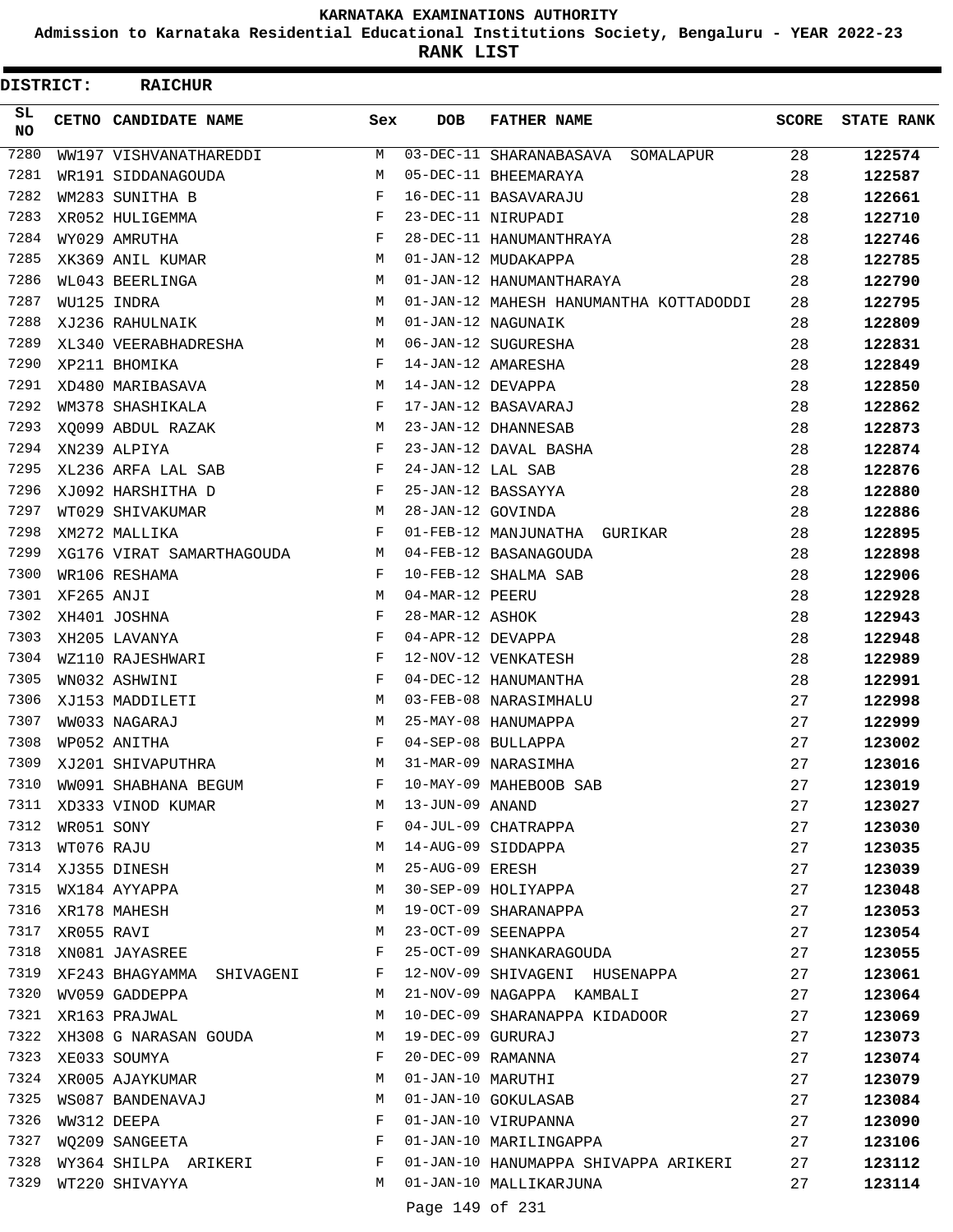**Admission to Karnataka Residential Educational Institutions Society, Bengaluru - YEAR 2022-23**

**RANK LIST**

| <b>DISTRICT:</b> |            | <b>RAICHUR</b>            |            |                   |                                        |              |                   |
|------------------|------------|---------------------------|------------|-------------------|----------------------------------------|--------------|-------------------|
| SL.<br>NO.       |            | CETNO CANDIDATE NAME      | Sex        | <b>DOB</b>        | <b>FATHER NAME</b>                     | <b>SCORE</b> | <b>STATE RANK</b> |
| 7280             |            | WW197 VISHVANATHAREDDI    | М          |                   | 03-DEC-11 SHARANABASAVA<br>SOMALAPUR   | 28           | 122574            |
| 7281             |            | WR191 SIDDANAGOUDA        | M          |                   | 05-DEC-11 BHEEMARAYA                   | 28           | 122587            |
| 7282             |            | WM283 SUNITHA B           | F          |                   | 16-DEC-11 BASAVARAJU                   | 28           | 122661            |
| 7283             |            | XR052 HULIGEMMA           | F          |                   | 23-DEC-11 NIRUPADI                     | 28           | 122710            |
| 7284             |            | WY029 AMRUTHA             | F          |                   | 28-DEC-11 HANUMANTHRAYA                | 28           | 122746            |
| 7285             |            | XK369 ANIL KUMAR          | М          |                   | 01-JAN-12 MUDAKAPPA                    | 28           | 122785            |
| 7286             |            | WL043 BEERLINGA           | M          |                   | 01-JAN-12 HANUMANTHARAYA               | 28           | 122790            |
| 7287             |            | WU125 INDRA               | M          |                   | 01-JAN-12 MAHESH HANUMANTHA KOTTADODDI | 28           | 122795            |
| 7288             |            | XJ236 RAHULNAIK           | М          |                   | 01-JAN-12 NAGUNAIK                     | 28           | 122809            |
| 7289             |            | XL340 VEERABHADRESHA      | М          |                   | 06-JAN-12 SUGURESHA                    | 28           | 122831            |
| 7290             |            | XP211 BHOMIKA             | $_{\rm F}$ |                   | 14-JAN-12 AMARESHA                     | 28           | 122849            |
| 7291             |            | XD480 MARIBASAVA          | М          | 14-JAN-12 DEVAPPA |                                        | 28           | 122850            |
| 7292             |            | WM378 SHASHIKALA          | F          |                   | 17-JAN-12 BASAVARAJ                    | 28           | 122862            |
| 7293             |            | XO099 ABDUL RAZAK         | М          |                   | 23-JAN-12 DHANNESAB                    | 28           | 122873            |
| 7294             |            | XN239 ALPIYA              | F          |                   | 23-JAN-12 DAVAL BASHA                  | 28           | 122874            |
| 7295             |            | XL236 ARFA LAL SAB        | F          | 24-JAN-12 LAL SAB |                                        | 28           | 122876            |
| 7296             |            | XJ092 HARSHITHA D         | F          |                   | 25-JAN-12 BASSAYYA                     | 28           | 122880            |
| 7297             |            | WT029 SHIVAKUMAR          | М          | 28-JAN-12 GOVINDA |                                        | 28           | 122886            |
| 7298             |            | XM272 MALLIKA             | $_{\rm F}$ |                   | 01-FEB-12 MANJUNATHA GURIKAR           | 28           | 122895            |
| 7299             |            | XG176 VIRAT SAMARTHAGOUDA | М          |                   | 04-FEB-12 BASANAGOUDA                  | 28           | 122898            |
| 7300             |            | WR106 RESHAMA             | F          |                   | 10-FEB-12 SHALMA SAB                   | 28           | 122906            |
| 7301             | XF265 ANJI |                           | М          | 04-MAR-12 PEERU   |                                        | 28           | 122928            |
| 7302             |            | XH401 JOSHNA              | F          | 28-MAR-12 ASHOK   |                                        | 28           | 122943            |
| 7303             |            | XH205 LAVANYA             | $_{\rm F}$ | 04-APR-12 DEVAPPA |                                        | 28           | 122948            |
| 7304             |            | WZ110 RAJESHWARI          | F          |                   | 12-NOV-12 VENKATESH                    | 28           | 122989            |
| 7305             |            | WN032 ASHWINI             | F          |                   | 04-DEC-12 HANUMANTHA                   | 28           | 122991            |
| 7306             |            | XJ153 MADDILETI           | M          |                   | 03-FEB-08 NARASIMHALU                  | 27           | 122998            |
| 7307             |            | WW033 NAGARAJ             | М          |                   | 25-MAY-08 HANUMAPPA                    | 27           | 122999            |
| 7308             |            | WP052 ANITHA              | $_{\rm F}$ |                   | 04-SEP-08 BULLAPPA                     | 27           | 123002            |
| 7309             |            | XJ201 SHIVAPUTHRA         | M          |                   | 31-MAR-09 NARASIMHA                    | 27           | 123016            |
| 7310             |            | WW091 SHABHANA BEGUM      | F          |                   | 10-MAY-09 MAHEBOOB SAB                 | 27           | 123019            |
| 7311             |            | XD333 VINOD KUMAR         | M          | 13-JUN-09 ANAND   |                                        | 27           | 123027            |
| 7312             | WR051 SONY |                           | F          |                   | 04-JUL-09 CHATRAPPA                    | 27           | 123030            |
| 7313             | WT076 RAJU |                           | М          |                   | 14-AUG-09 SIDDAPPA                     | 27           | 123035            |
|                  |            | 7314 XJ355 DINESH         | М          | 25-AUG-09 ERESH   | 25-AUG-09 ERESH<br>30-SEP-09 HOLIYAPPA | 27           | 123039            |
| 7315             |            | WX184 AYYAPPA             | М          |                   |                                        | 27           | 123048            |
| 7316             |            | XR178 MAHESH              | М          |                   | 19-OCT-09 SHARANAPPA                   | 27           | 123053            |
| 7317             | XR055 RAVI |                           | М          |                   | 23-OCT-09 SEENAPPA                     | 27           | 123054            |
| 7318             |            | XN081 JAYASREE            | F          |                   | 25-OCT-09 SHANKARAGOUDA                | 27           | 123055            |
| 7319             |            | XF243 BHAGYAMMA SHIVAGENI | F          |                   | 12-NOV-09 SHIVAGENI HUSENAPPA          | 27           | 123061            |
| 7320             |            | WV059 GADDEPPA            | М          |                   | 21-NOV-09 NAGAPPA KAMBALI              | 27           | 123064            |
|                  |            | 7321 XR163 PRAJWAL        | М          |                   | 10-DEC-09 SHARANAPPA KIDADOOR          | 27           | 123069            |
| 7322             |            | XH308 G NARASAN GOUDA     | М          | 19-DEC-09 GURURAJ |                                        | 27           | 123073            |
| 7323             |            | XE033 SOUMYA              | F          | 20-DEC-09 RAMANNA |                                        | 27           | 123074            |
| 7324             |            | XR005 AJAYKUMAR           | М          |                   | 01-JAN-10 MARUTHI                      | 27           | 123079            |
| 7325             |            | WS087 BANDENAVAJ          | М          |                   | 01-JAN-10 GOKULASAB                    | 27           | 123084            |
| 7326             |            | WW312 DEEPA               | F          |                   | 01-JAN-10 VIRUPANNA                    | 27           | 123090            |
| 7327             |            | WQ209 SANGEETA            | F          |                   | 01-JAN-10 MARILINGAPPA                 | 27           | 123106            |
| 7328             |            | WY364 SHILPA ARIKERI      | F          |                   | 01-JAN-10 HANUMAPPA SHIVAPPA ARIKERI   | 27           | 123112            |
| 7329             |            | WT220 SHIVAYYA            | М          |                   | 01-JAN-10 MALLIKARJUNA                 | 27           | 123114            |
|                  |            |                           |            | Page 149 of 231   |                                        |              |                   |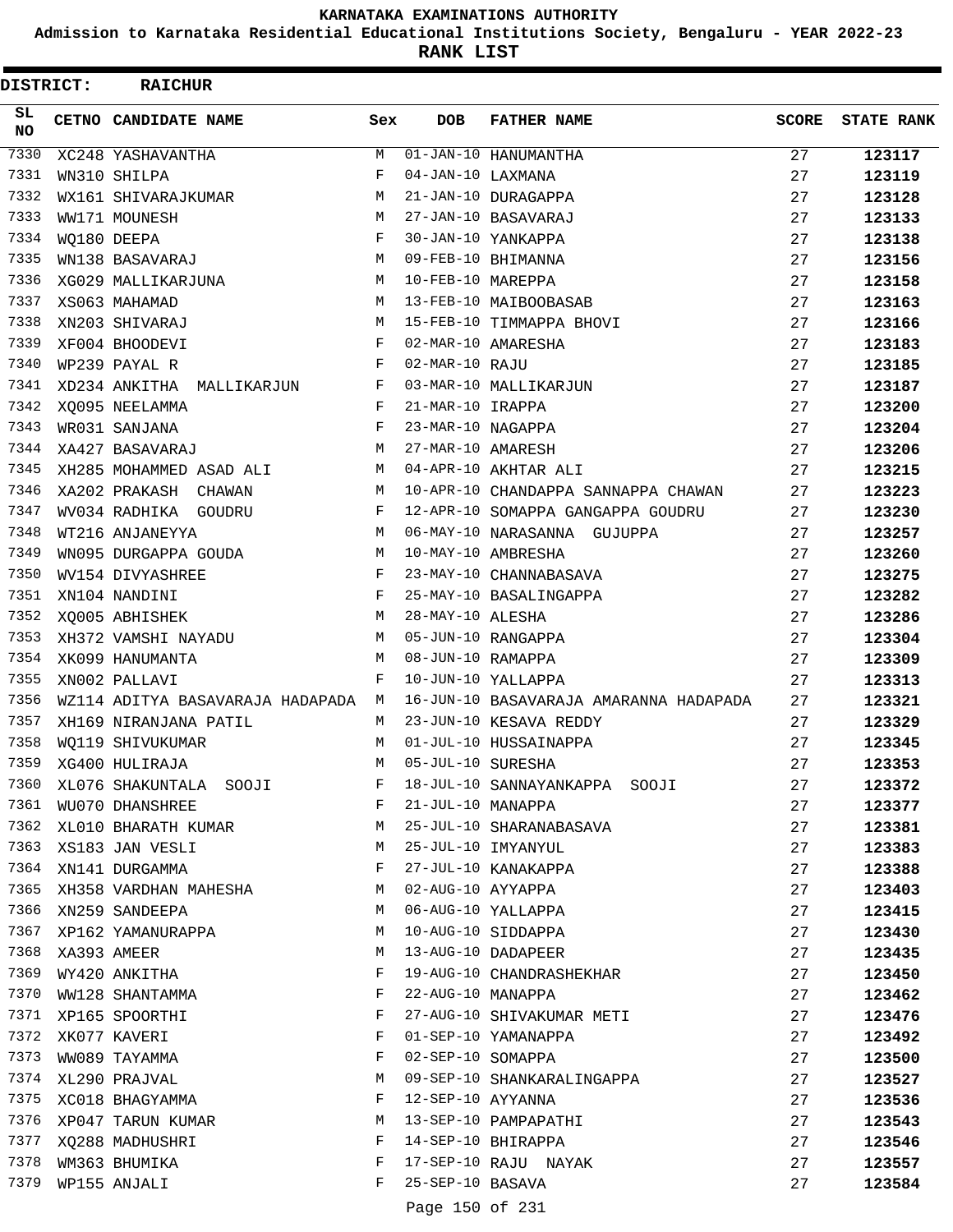**Admission to Karnataka Residential Educational Institutions Society, Bengaluru - YEAR 2022-23**

**RANK LIST**

| DISTRICT:    |             | <b>RAICHUR</b>                     |              |                   |                                        |              |                   |
|--------------|-------------|------------------------------------|--------------|-------------------|----------------------------------------|--------------|-------------------|
| SL.<br>NO.   |             | CETNO CANDIDATE NAME               | Sex          | <b>DOB</b>        | <b>FATHER NAME</b>                     | <b>SCORE</b> | <b>STATE RANK</b> |
| 7330         |             | XC248 YASHAVANTHA                  | M            |                   | $\overline{01}$ -JAN-10 HANUMANTHA     | 27           | 123117            |
| 7331         |             | WN310 SHILPA                       | F            | 04-JAN-10 LAXMANA |                                        | 27           | 123119            |
| 7332         |             | WX161 SHIVARAJKUMAR                | М            |                   | 21-JAN-10 DURAGAPPA                    | 27           | 123128            |
| 7333         |             | WW171 MOUNESH                      | М            |                   | 27-JAN-10 BASAVARAJ                    | 27           | 123133            |
| 7334         |             | WO180 DEEPA                        | $_{\rm F}$   |                   | 30-JAN-10 YANKAPPA                     | 27           | 123138            |
| 7335         |             | WN138 BASAVARAJ                    | M            |                   | 09-FEB-10 BHIMANNA                     | 27           | 123156            |
| 7336         |             | XG029 MALLIKARJUNA                 | М            | 10-FEB-10 MAREPPA |                                        | 27           | 123158            |
| 7337         |             | XS063 MAHAMAD                      | М            |                   | 13-FEB-10 MAIBOOBASAB                  | 27           | 123163            |
| 7338         |             | XN203 SHIVARAJ                     | М            |                   | 15-FEB-10 TIMMAPPA BHOVI               | 27           | 123166            |
| 7339         |             | XF004 BHOODEVI                     | $_{\rm F}$   |                   | 02-MAR-10 AMARESHA                     | 27           | 123183            |
| 7340         |             | WP239 PAYAL R                      | $_{\rm F}$   | 02-MAR-10 RAJU    |                                        | 27           | 123185            |
| 7341         |             | XD234 ANKITHA MALLIKARJUN          | $\mathbf{F}$ |                   | 03-MAR-10 MALLIKARJUN                  | 27           | 123187            |
| 7342         |             | XQ095 NEELAMMA                     | F            | 21-MAR-10 IRAPPA  |                                        | 27           | 123200            |
| 7343         |             | WR031 SANJANA                      | $_{\rm F}$   | 23-MAR-10 NAGAPPA |                                        | 27           | 123204            |
| 7344         |             | XA427 BASAVARAJ                    | M            | 27-MAR-10 AMARESH |                                        | 27           | 123206            |
| 7345         |             | XH285 MOHAMMED ASAD ALI            | M            |                   | 04-APR-10 AKHTAR ALI                   | 27           | 123215            |
| 7346         |             | XA202 PRAKASH CHAWAN               | M            |                   | 10-APR-10 CHANDAPPA SANNAPPA CHAWAN    | 27           | 123223            |
| 7347         |             | WV034 RADHIKA GOUDRU               | F            |                   | 12-APR-10 SOMAPPA GANGAPPA GOUDRU      | 27           | 123230            |
| 7348         |             | WT216 ANJANEYYA                    | М            |                   | 06-MAY-10 NARASANNA GUJUPPA            | 27           | 123257            |
| 7349         |             | WN095 DURGAPPA GOUDA               | М            |                   | 10-MAY-10 AMBRESHA                     | 27           | 123260            |
| 7350         |             | WV154 DIVYASHREE                   | $\mathbf{F}$ |                   | 23-MAY-10 CHANNABASAVA                 | 27           | 123275            |
| 7351         |             | XN104 NANDINI                      | $_{\rm F}$   |                   | 25-MAY-10 BASALINGAPPA                 | 27           | 123282            |
| 7352         |             | XQ005 ABHISHEK                     | M            | 28-MAY-10 ALESHA  |                                        | 27           | 123286            |
| 7353         |             | XH372 VAMSHI NAYADU                | M            |                   | 05-JUN-10 RANGAPPA                     | 27           | 123304            |
| 7354         |             | XK099 HANUMANTA                    | М            | 08-JUN-10 RAMAPPA |                                        | 27           | 123309            |
| 7355         |             | XN002 PALLAVI                      | F            |                   | 10-JUN-10 YALLAPPA                     | 27           | 123313            |
| 7356         |             | WZ114 ADITYA BASAVARAJA HADAPADA M |              |                   | 16-JUN-10 BASAVARAJA AMARANNA HADAPADA | 27           | 123321            |
| 7357         |             | XH169 NIRANJANA PATIL              | M            |                   | 23-JUN-10 KESAVA REDDY                 | 27           | 123329            |
| 7358         |             | WO119 SHIVUKUMAR                   | M            |                   | 01-JUL-10 HUSSAINAPPA                  | 27           | 123345            |
| 7359         |             | XG400 HULIRAJA                     | M            | 05-JUL-10 SURESHA |                                        | 27           | 123353            |
| 7360         |             | XL076 SHAKUNTALA SOOJI             | F            |                   | 18-JUL-10 SANNAYANKAPPA SOOJI          | 27           | 123372            |
| 7361         |             | WU070 DHANSHREE                    | F            | 21-JUL-10 MANAPPA |                                        | 27           | 123377            |
| 7362         |             | XL010 BHARATH KUMAR M              |              |                   | 25-JUL-10 SHARANABASAVA                | 27           | 123381            |
|              |             | 7363 XS183 JAN VESLI               | M            |                   | 25-JUL-10 IMYANYUL                     | 27           | 123383            |
|              |             | 7364 XN141 DURGAMMA                | $\mathbf{F}$ |                   | 27-JUL-10 KANAKAPPA                    | 27           | 123388            |
| 7365         |             | XH358 VARDHAN MAHESHA              | M            | 02-AUG-10 AYYAPPA |                                        | 27           | 123403            |
| 7366         |             | XN259 SANDEEPA                     | M            |                   | 06-AUG-10 YALLAPPA                     | 27           | 123415            |
| 7367<br>7368 |             | XP162 YAMANURAPPA                  | М            |                   | 10-AUG-10 SIDDAPPA                     | 27           | 123430            |
|              | XA393 AMEER |                                    | М            |                   | 13-AUG-10 DADAPEER                     | 27           | 123435            |
| 7369         |             | WY420 ANKITHA                      | F            |                   | 19-AUG-10 CHANDRASHEKHAR               | 27           | 123450            |
| 7370         |             | WW128 SHANTAMMA                    | F            | 22-AUG-10 MANAPPA |                                        | 27           | 123462            |
|              |             | 7371 XP165 SPOORTHI                | F            |                   | 27-AUG-10 SHIVAKUMAR METI              | 27           | 123476            |
| 7373         |             | 7372 XK077 KAVERI                  | F<br>F       |                   | 01-SEP-10 YAMANAPPA                    | 27           | 123492            |
| 7374         |             | WW089 TAYAMMA                      |              | 02-SEP-10 SOMAPPA | 09-SEP-10 SHANKARALINGAPPA             | 27           | 123500            |
| 7375         |             | XL290 PRAJVAL                      | М            |                   |                                        | 27           | 123527            |
|              |             | XC018 BHAGYAMMA                    | F<br>М       | 12-SEP-10 AYYANNA | 13-SEP-10 PAMPAPATHI                   | 27           | 123536            |
| 7377         |             | 7376 XP047 TARUN KUMAR             | F            |                   | 14-SEP-10 BHIRAPPA                     | 27           | 123543            |
| 7378         |             | XQ288 MADHUSHRI<br>WM363 BHUMIKA   | F            |                   | 17-SEP-10 RAJU NAYAK                   | 27<br>27     | 123546            |
| 7379         |             | WP155 ANJALI                       | F            | 25-SEP-10 BASAVA  |                                        | 27           | 123557<br>123584  |
|              |             |                                    |              |                   |                                        |              |                   |
|              |             |                                    |              | Page 150 of 231   |                                        |              |                   |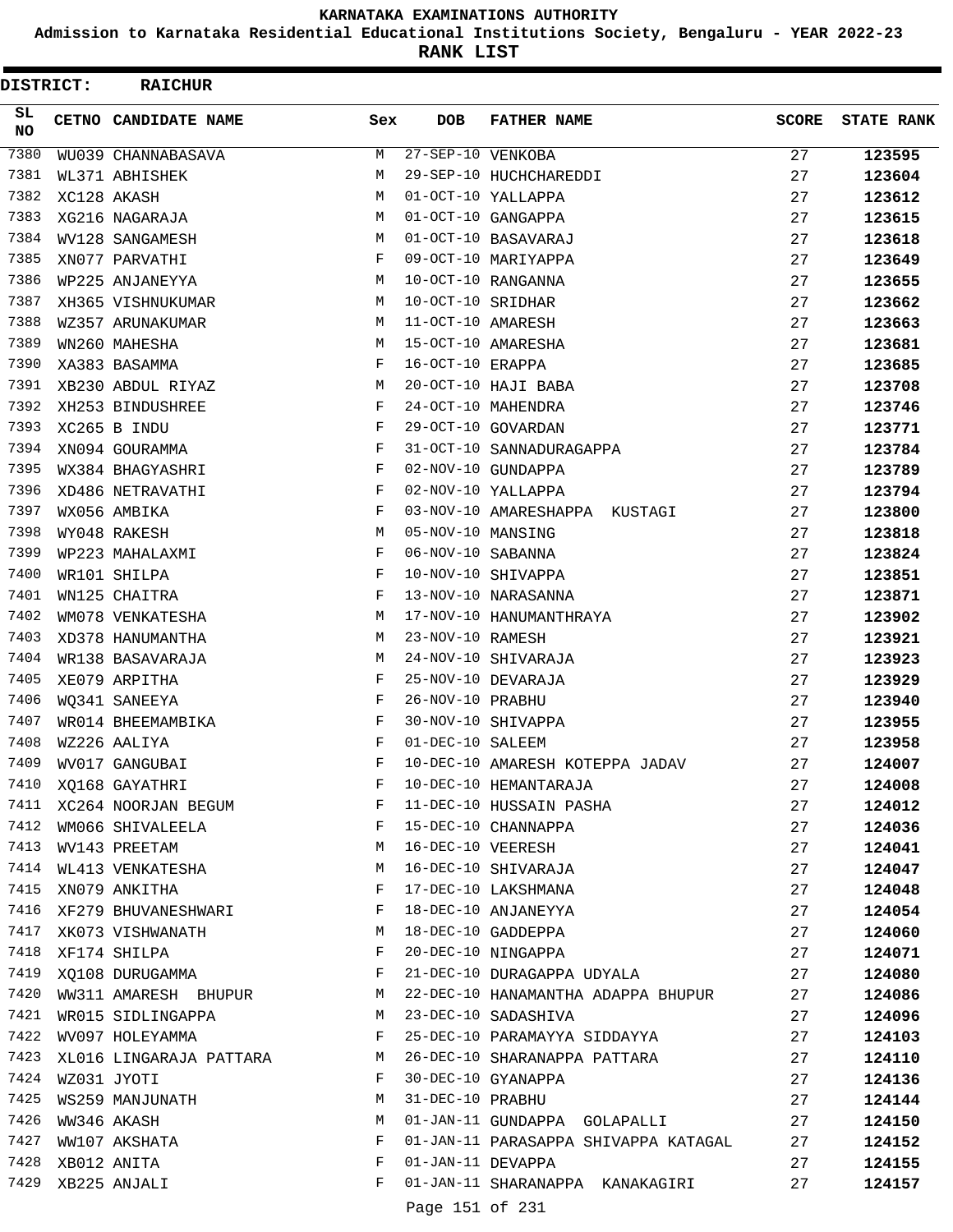**Admission to Karnataka Residential Educational Institutions Society, Bengaluru - YEAR 2022-23**

**RANK LIST**

| DISTRICT:        | <b>RAICHUR</b>          |              |                   |                                      |              |                   |
|------------------|-------------------------|--------------|-------------------|--------------------------------------|--------------|-------------------|
| SL.<br><b>NO</b> | CETNO CANDIDATE NAME    | Sex          | <b>DOB</b>        | <b>FATHER NAME</b>                   | <b>SCORE</b> | <b>STATE RANK</b> |
| 7380             | WU039 CHANNABASAVA      | M            | 27-SEP-10 VENKOBA |                                      | 27           | 123595            |
| 7381             | WL371 ABHISHEK          | М            |                   | 29-SEP-10 HUCHCHAREDDI               | 27           | 123604            |
| 7382             | XC128 AKASH             | M            |                   | 01-OCT-10 YALLAPPA                   | 27           | 123612            |
| 7383             | XG216 NAGARAJA          | M            |                   | 01-OCT-10 GANGAPPA                   | 27           | 123615            |
| 7384             | WV128 SANGAMESH         | M            |                   | 01-OCT-10 BASAVARAJ                  | 27           | 123618            |
| 7385             | XN077 PARVATHI          | F            |                   | 09-OCT-10 MARIYAPPA                  | 27           | 123649            |
| 7386             | WP225 ANJANEYYA         | M            |                   | 10-OCT-10 RANGANNA                   | 27           | 123655            |
| 7387             | XH365 VISHNUKUMAR       | M            | 10-OCT-10 SRIDHAR |                                      | 27           | 123662            |
| 7388             | WZ357 ARUNAKUMAR        | M            | 11-OCT-10 AMARESH |                                      | 27           | 123663            |
| 7389             | WN260 MAHESHA           | М            |                   | 15-OCT-10 AMARESHA                   | 27           | 123681            |
| 7390             | XA383 BASAMMA           | F            | 16-OCT-10 ERAPPA  |                                      | 27           | 123685            |
| 7391             | XB230 ABDUL RIYAZ       | М            |                   | 20-OCT-10 HAJI BABA                  | 27           | 123708            |
| 7392             | XH253 BINDUSHREE        | F            |                   | 24-OCT-10 MAHENDRA                   | 27           | 123746            |
| 7393             | XC265 B INDU            | F            |                   | 29-OCT-10 GOVARDAN                   | 27           | 123771            |
| 7394             | XN094 GOURAMMA          | F            |                   | 31-OCT-10 SANNADURAGAPPA             | 27           | 123784            |
| 7395             | WX384 BHAGYASHRI        | F            |                   | 02-NOV-10 GUNDAPPA                   | 27           | 123789            |
| 7396             | XD486 NETRAVATHI        | F            |                   | 02-NOV-10 YALLAPPA                   | 27           | 123794            |
| 7397             | WX056 AMBIKA            | F            |                   | 03-NOV-10 AMARESHAPPA KUSTAGI        | 27           | 123800            |
| 7398             | WY048 RAKESH            | M            | 05-NOV-10 MANSING |                                      | 27           | 123818            |
| 7399             | WP223 MAHALAXMI         | F            | 06-NOV-10 SABANNA |                                      | 27           | 123824            |
| 7400             | WR101 SHILPA            | F            |                   | 10-NOV-10 SHIVAPPA                   | 27           | 123851            |
| 7401             | WN125 CHAITRA           | F            |                   | 13-NOV-10 NARASANNA                  | 27           | 123871            |
| 7402             | WM078 VENKATESHA        | M            |                   | 17-NOV-10 HANUMANTHRAYA              | 27           | 123902            |
| 7403             | XD378 HANUMANTHA        | M            | 23-NOV-10 RAMESH  |                                      | 27           | 123921            |
| 7404             | WR138 BASAVARAJA        | M            |                   | 24-NOV-10 SHIVARAJA                  | 27           | 123923            |
| 7405             | XE079 ARPITHA           | F            |                   | 25-NOV-10 DEVARAJA                   | 27           | 123929            |
| 7406             | WO341 SANEEYA           | F            | 26-NOV-10 PRABHU  |                                      | 27           | 123940            |
| 7407             | WR014 BHEEMAMBIKA       | F            |                   | 30-NOV-10 SHIVAPPA                   | 27           | 123955            |
| 7408             | WZ226 AALIYA            | F            | 01-DEC-10 SALEEM  |                                      | 27           | 123958            |
| 7409             | WV017 GANGUBAI          | F            |                   | 10-DEC-10 AMARESH KOTEPPA JADAV      | 27           | 124007            |
|                  | 7410 XQ168 GAYATHRI     | F            |                   | 10-DEC-10 HEMANTARAJA                | 27           | 124008            |
| 7411             | XC264 NOORJAN BEGUM     | F            |                   | 11-DEC-10 HUSSAIN PASHA              | 27           | 124012            |
| 7412             | WM066 SHIVALEELA        | F            |                   | 15-DEC-10 CHANNAPPA                  | 27           | 124036            |
| 7413             | WV143 PREETAM           | M            | 16-DEC-10 VEERESH |                                      | 27           | 124041            |
|                  | 7414 WL413 VENKATESHA   | M            |                   | 16-DEC-10 SHIVARAJA                  | 27           | 124047            |
| 7415             | XN079 ANKITHA           | F            |                   | 17-DEC-10 LAKSHMANA                  | 27           | 124048            |
| 7416             | XF279 BHUVANESHWARI     | F            |                   | 18-DEC-10 ANJANEYYA                  | 27           | 124054            |
| 7417             | XK073 VISHWANATH        | M            |                   | 18-DEC-10 GADDEPPA                   | 27           | 124060            |
| 7418             | XF174 SHILPA            | F            |                   | 20-DEC-10 NINGAPPA                   | 27           | 124071            |
| 7419             | XQ108 DURUGAMMA         | F            |                   | 21-DEC-10 DURAGAPPA UDYALA           | 27           | 124080            |
| 7420             | WW311 AMARESH BHUPUR    | М            |                   | 22-DEC-10 HANAMANTHA ADAPPA BHUPUR   | 27           | 124086            |
| 7421             | WR015 SIDLINGAPPA       | <b>M</b>     |                   | 23-DEC-10 SADASHIVA                  | 27           | 124096            |
|                  | 7422 WV097 HOLEYAMMA    | $\mathbf{F}$ |                   | 25-DEC-10 PARAMAYYA SIDDAYYA         | 27           | 124103            |
| 7423             | XL016 LINGARAJA PATTARA | М            |                   | 26-DEC-10 SHARANAPPA PATTARA         | 27           | 124110            |
| 7424             | WZ031 JYOTI             | F            |                   | 30-DEC-10 GYANAPPA                   | 27           | 124136            |
| 7425             | WS259 MANJUNATH         | М            | 31-DEC-10 PRABHU  |                                      | 27           | 124144            |
| 7426             | WW346 AKASH             | M            |                   | 01-JAN-11 GUNDAPPA GOLAPALLI         | 27           | 124150            |
| 7427             | WW107 AKSHATA           | F            |                   | 01-JAN-11 PARASAPPA SHIVAPPA KATAGAL | 27           | 124152            |
| 7428             | XB012 ANITA             | F            | 01-JAN-11 DEVAPPA |                                      | 27           | 124155            |
| 7429             | XB225 ANJALI            | F            |                   | 01-JAN-11 SHARANAPPA KANAKAGIRI      | 27           | 124157            |
|                  |                         |              | Page 151 of 231   |                                      |              |                   |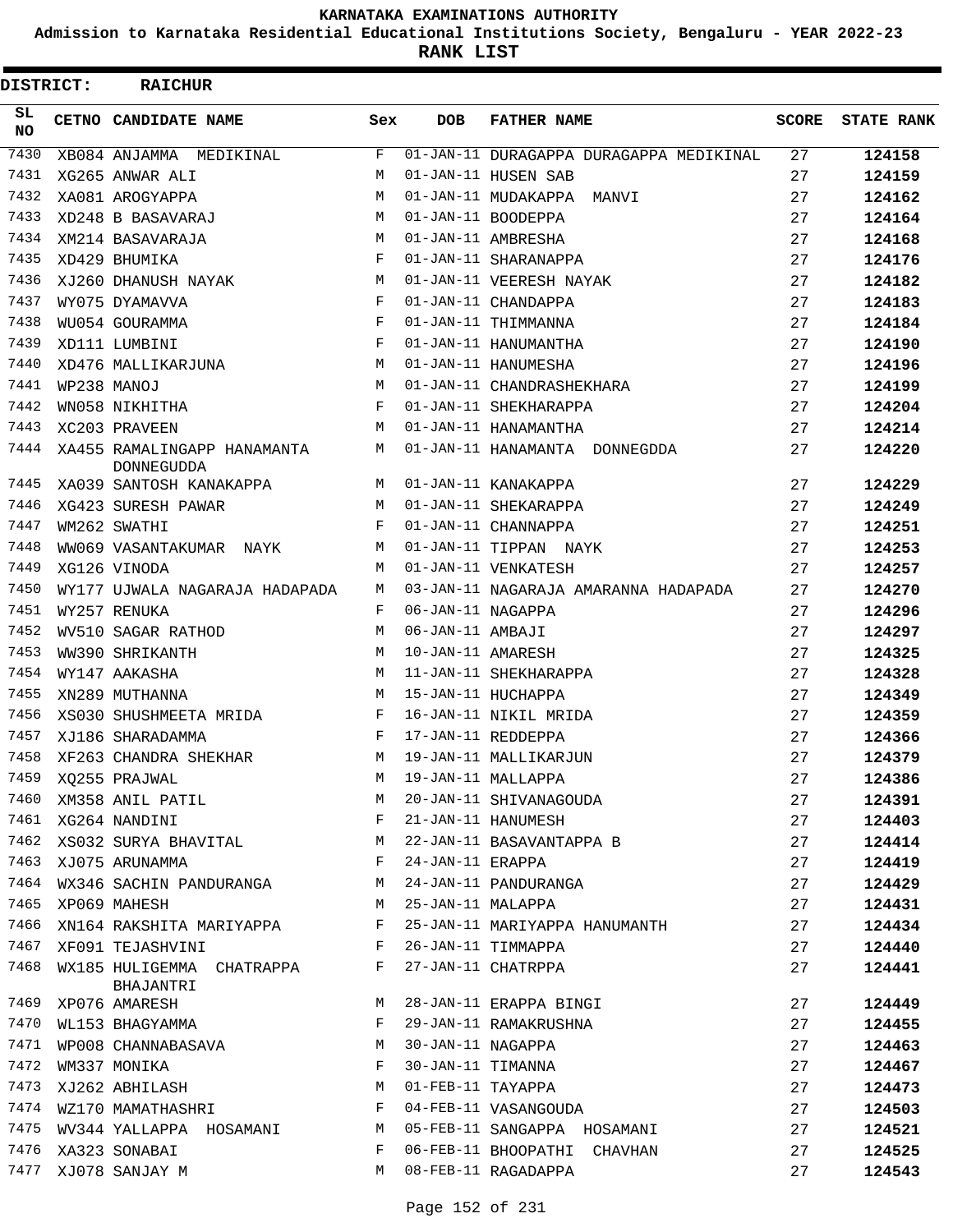**Admission to Karnataka Residential Educational Institutions Society, Bengaluru - YEAR 2022-23**

**RANK LIST**

| DISTRICT: | <b>RAICHUR</b>                                   |     |                   |                                         |              |                   |
|-----------|--------------------------------------------------|-----|-------------------|-----------------------------------------|--------------|-------------------|
| SL<br>NO. | CETNO CANDIDATE NAME                             | Sex | <b>DOB</b>        | <b>FATHER NAME</b>                      | <b>SCORE</b> | <b>STATE RANK</b> |
| 7430      | XB084 ANJAMMA MEDIKINAL                          | F   |                   | 01-JAN-11 DURAGAPPA DURAGAPPA MEDIKINAL | 27           | 124158            |
| 7431      | XG265 ANWAR ALI                                  | М   |                   | 01-JAN-11 HUSEN SAB                     | 27           | 124159            |
| 7432      | XA081 AROGYAPPA                                  | M   |                   | 01-JAN-11 MUDAKAPPA MANVI               | 27           | 124162            |
| 7433      | XD248 B BASAVARAJ                                | М   |                   | 01-JAN-11 BOODEPPA                      | 27           | 124164            |
| 7434      | XM214 BASAVARAJA                                 | М   |                   | 01-JAN-11 AMBRESHA                      | 27           | 124168            |
| 7435      | XD429 BHUMIKA                                    | F   |                   | 01-JAN-11 SHARANAPPA                    | 27           | 124176            |
| 7436      | XJ260 DHANUSH NAYAK                              | M   |                   | 01-JAN-11 VEERESH NAYAK                 | 27           | 124182            |
| 7437      | WY075 DYAMAVVA                                   | F   |                   | 01-JAN-11 CHANDAPPA                     | 27           | 124183            |
| 7438      | WU054 GOURAMMA                                   | F   |                   | 01-JAN-11 THIMMANNA                     | 27           | 124184            |
| 7439      | XD111 LUMBINI                                    | F   |                   | 01-JAN-11 HANUMANTHA                    | 27           | 124190            |
| 7440      | XD476 MALLIKARJUNA                               | М   |                   | 01-JAN-11 HANUMESHA                     | 27           | 124196            |
| 7441      | WP238 MANOJ                                      | М   |                   | 01-JAN-11 CHANDRASHEKHARA               | 27           | 124199            |
| 7442      | WN058 NIKHITHA                                   | F   |                   | 01-JAN-11 SHEKHARAPPA                   | 27           | 124204            |
| 7443      | XC203 PRAVEEN                                    | M   |                   | 01-JAN-11 HANAMANTHA                    | 27           | 124214            |
| 7444      | XA455 RAMALINGAPP HANAMANTA<br><b>DONNEGUDDA</b> | М   |                   | 01-JAN-11 HANAMANTA DONNEGDDA           | 27           | 124220            |
| 7445      | XA039 SANTOSH KANAKAPPA                          | M   |                   | 01-JAN-11 KANAKAPPA                     | 27           | 124229            |
| 7446      | XG423 SURESH PAWAR                               | M   |                   | 01-JAN-11 SHEKARAPPA                    | 27           | 124249            |
| 7447      | WM262 SWATHI                                     | F   |                   | 01-JAN-11 CHANNAPPA                     | 27           | 124251            |
| 7448      | WW069 VASANTAKUMAR NAYK                          | М   |                   | 01-JAN-11 TIPPAN NAYK                   | 27           | 124253            |
| 7449      | XG126 VINODA                                     | M   |                   | 01-JAN-11 VENKATESH                     | 27           | 124257            |
| 7450      | WY177 UJWALA NAGARAJA HADAPADA                   | М   |                   | 03-JAN-11 NAGARAJA AMARANNA HADAPADA    | 27           | 124270            |
| 7451      | WY257 RENUKA                                     | F   | 06-JAN-11 NAGAPPA |                                         | 27           | 124296            |
| 7452      | WV510 SAGAR RATHOD                               | М   | 06-JAN-11 AMBAJI  |                                         | 27           | 124297            |
| 7453      | WW390 SHRIKANTH                                  | M   | 10-JAN-11 AMARESH |                                         | 27           | 124325            |
| 7454      | WY147 AAKASHA                                    | M   |                   | 11-JAN-11 SHEKHARAPPA                   | 27           | 124328            |
| 7455      | XN289 MUTHANNA                                   | M   |                   | 15-JAN-11 HUCHAPPA                      | 27           | 124349            |
| 7456      | XS030 SHUSHMEETA MRIDA                           | F   |                   | 16-JAN-11 NIKIL MRIDA                   | 27           | 124359            |
| 7457      | XJ186 SHARADAMMA                                 | F   |                   | 17-JAN-11 REDDEPPA                      | 27           | 124366            |
| 7458      | XF263 CHANDRA SHEKHAR                            | M   |                   | 19-JAN-11 MALLIKARJUN                   | 27           | 124379            |
| 7459      |                                                  | M   |                   | 19-JAN-11 MALLAPPA                      | 27           | 124386            |
| 7460      | XQ255 PRAJWAL<br>XM358 ANIL PATIL                | М   |                   | 20-JAN-11 SHIVANAGOUDA                  | 27           | 124391            |
|           | 7461 XG264 NANDINI                               | F   |                   | 21-JAN-11 HANUMESH                      | 27           | 124403            |
| 7462      | XS032 SURYA BHAVITAL                             | M   |                   | 22-JAN-11 BASAVANTAPPA B                | 27           | 124414            |
| 7463      | XJ075 ARUNAMMA                                   | F   | 24-JAN-11 ERAPPA  |                                         | 27           | 124419            |
| 7464      | WX346 SACHIN PANDURANGA                          | M   |                   | 24-JAN-11 PANDURANGA                    | 27           | 124429            |
| 7465      | XP069 MAHESH                                     | M   | 25-JAN-11 MALAPPA |                                         | 27           | 124431            |
| 7466      | XN164 RAKSHITA MARIYAPPA                         | F   |                   | 25-JAN-11 MARIYAPPA HANUMANTH           | 27           | 124434            |
| 7467      | XF091 TEJASHVINI                                 | F   |                   | 26-JAN-11 TIMMAPPA                      | 27           | 124440            |
| 7468      | WX185 HULIGEMMA CHATRAPPA<br>BHAJANTRI           | F   |                   | 27-JAN-11 CHATRPPA                      | 27           | 124441            |
| 7469      | XP076 AMARESH                                    | M   |                   | 28-JAN-11 ERAPPA BINGI                  | 27           | 124449            |
| 7470      | WL153 BHAGYAMMA                                  | F   |                   | 29-JAN-11 RAMAKRUSHNA                   | 27           | 124455            |
| 7471      | WP008 CHANNABASAVA                               | M   | 30-JAN-11 NAGAPPA |                                         | 27           | 124463            |
| 7472      | WM337 MONIKA                                     | F   | 30-JAN-11 TIMANNA |                                         | 27           | 124467            |
| 7473      | XJ262 ABHILASH                                   | М   | 01-FEB-11 TAYAPPA |                                         | 27           | 124473            |
| 7474      | WZ170 MAMATHASHRI                                | F   |                   | 04-FEB-11 VASANGOUDA                    | 27           | 124503            |
| 7475      | WV344 YALLAPPA HOSAMANI                          | M   |                   | 05-FEB-11 SANGAPPA HOSAMANI             | 27           | 124521            |
| 7476      | XA323 SONABAI                                    | F   |                   | 06-FEB-11 BHOOPATHI CHAVHAN             | 27           | 124525            |
| 7477      | XJ078 SANJAY M                                   | M   |                   | 08-FEB-11 RAGADAPPA                     | 27           | 124543            |
|           |                                                  |     |                   |                                         |              |                   |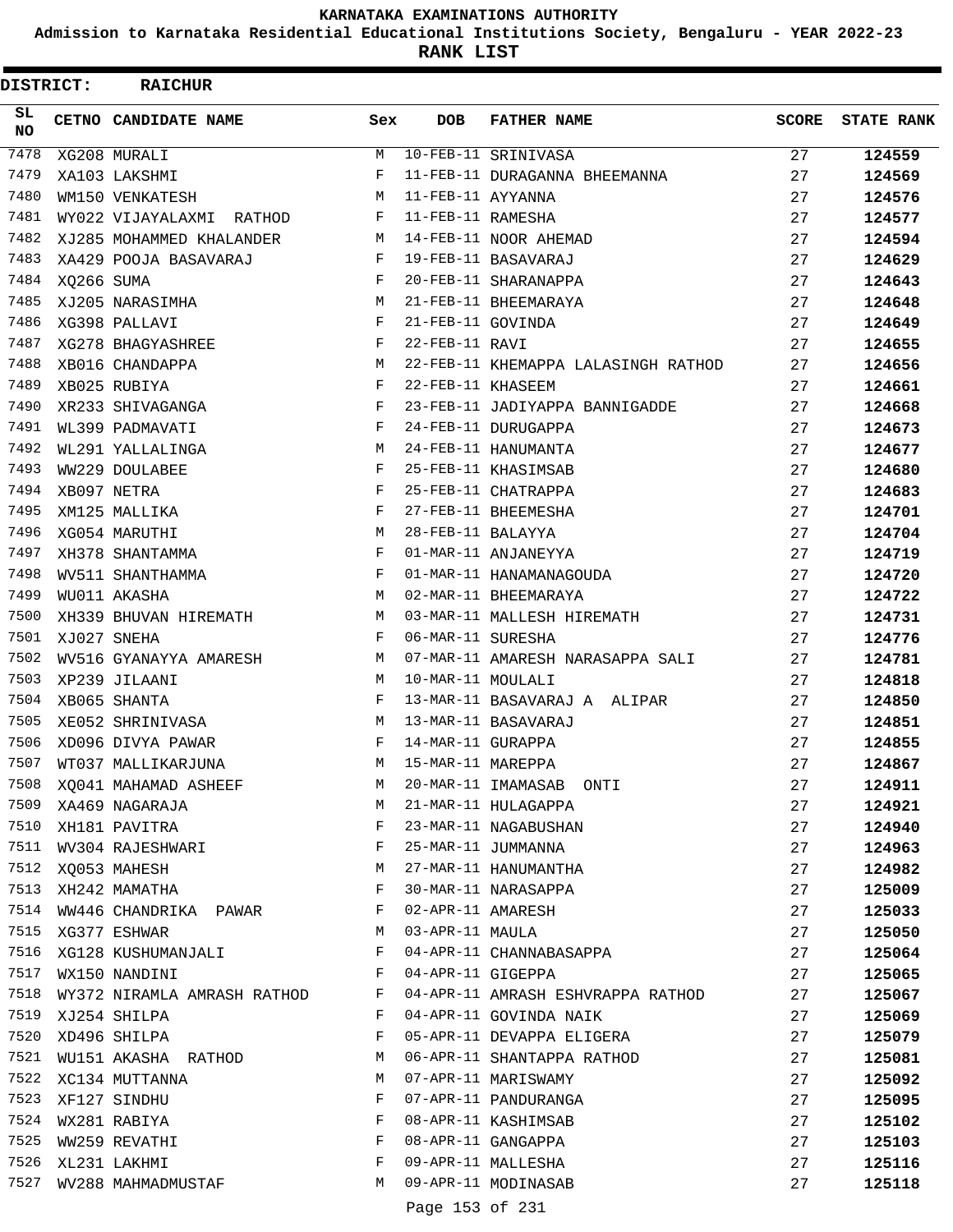**Admission to Karnataka Residential Educational Institutions Society, Bengaluru - YEAR 2022-23**

**RANK LIST**

| DISTRICT:  |            | <b>RAICHUR</b>                        |     |                   |                                     |       |                   |
|------------|------------|---------------------------------------|-----|-------------------|-------------------------------------|-------|-------------------|
| SL.<br>NO. |            | CETNO CANDIDATE NAME                  | Sex | <b>DOB</b>        | <b>FATHER NAME</b>                  | SCORE | <b>STATE RANK</b> |
| 7478       |            | XG208 MURALI                          | M   |                   | 10-FEB-11 SRINIVASA                 | 27    | 124559            |
| 7479       |            | XA103 LAKSHMI                         | F   |                   | 11-FEB-11 DURAGANNA BHEEMANNA       | 27    | 124569            |
| 7480       |            | WM150 VENKATESH                       | М   | 11-FEB-11 AYYANNA |                                     | 27    | 124576            |
| 7481       |            | WY022 VIJAYALAXMI RATHOD              | F   | 11-FEB-11 RAMESHA |                                     | 27    | 124577            |
| 7482       |            | XJ285 MOHAMMED KHALANDER              | М   |                   | 14-FEB-11 NOOR AHEMAD               | 27    | 124594            |
| 7483       |            | XA429 POOJA BASAVARAJ                 | F   |                   | 19-FEB-11 BASAVARAJ                 | 27    | 124629            |
| 7484       | XQ266 SUMA |                                       | F   |                   | 20-FEB-11 SHARANAPPA                | 27    | 124643            |
| 7485       |            | XJ205 NARASIMHA                       | М   |                   | 21-FEB-11 BHEEMARAYA                | 27    | 124648            |
| 7486       |            | XG398 PALLAVI                         | F   | 21-FEB-11 GOVINDA |                                     | 27    | 124649            |
| 7487       |            | XG278 BHAGYASHREE                     | F   | 22-FEB-11 RAVI    |                                     | 27    | 124655            |
| 7488       |            | XB016 CHANDAPPA                       | М   |                   | 22-FEB-11 KHEMAPPA LALASINGH RATHOD | 27    | 124656            |
| 7489       |            | XB025 RUBIYA                          | F   | 22-FEB-11 KHASEEM |                                     | 27    | 124661            |
| 7490       |            | XR233 SHIVAGANGA                      | F   |                   | 23-FEB-11 JADIYAPPA BANNIGADDE      | 27    | 124668            |
| 7491       |            | WL399 PADMAVATI                       | F   |                   | 24-FEB-11 DURUGAPPA                 | 27    | 124673            |
| 7492       |            | WL291 YALLALINGA                      | М   |                   | 24-FEB-11 HANUMANTA                 | 27    | 124677            |
| 7493       |            | WW229 DOULABEE                        | F   |                   | 25-FEB-11 KHASIMSAB                 | 27    | 124680            |
| 7494       |            | XB097 NETRA                           | F   |                   | 25-FEB-11 CHATRAPPA                 | 27    | 124683            |
| 7495       |            | XM125 MALLIKA                         | F   |                   | 27-FEB-11 BHEEMESHA                 | 27    | 124701            |
| 7496       |            | XG054 MARUTHI                         | M   | 28-FEB-11 BALAYYA |                                     | 27    | 124704            |
| 7497       |            | XH378 SHANTAMMA                       | F   |                   | 01-MAR-11 ANJANEYYA                 | 27    | 124719            |
| 7498       |            | WV511 SHANTHAMMA                      | F   |                   | 01-MAR-11 HANAMANAGOUDA             | 27    | 124720            |
| 7499       |            | WU011 AKASHA                          | M   |                   | 02-MAR-11 BHEEMARAYA                | 27    | 124722            |
| 7500       |            | XH339 BHUVAN HIREMATH                 | М   |                   | 03-MAR-11 MALLESH HIREMATH          | 27    | 124731            |
| 7501       |            | XJ027 SNEHA                           | F   | 06-MAR-11 SURESHA |                                     | 27    | 124776            |
| 7502       |            | WV516 GYANAYYA AMARESH                | М   |                   | 07-MAR-11 AMARESH NARASAPPA SALI    | 27    | 124781            |
| 7503       |            | XP239 JILAANI                         | М   | 10-MAR-11 MOULALI |                                     | 27    | 124818            |
| 7504       |            | XB065 SHANTA                          | F   |                   | 13-MAR-11 BASAVARAJ A ALIPAR        | 27    | 124850            |
| 7505       |            | XE052 SHRINIVASA                      | М   |                   | 13-MAR-11 BASAVARAJ                 | 27    | 124851            |
| 7506       |            | XD096 DIVYA PAWAR                     | F   | 14-MAR-11 GURAPPA |                                     | 27    | 124855            |
| 7507       |            | WT037 MALLIKARJUNA                    | M   | 15-MAR-11 MAREPPA |                                     | 27    | 124867            |
|            |            | 7508 XQ041 MAHAMAD ASHEEF             | М   |                   | 20-MAR-11 IMAMASAB ONTI             | 27    | 124911            |
| 7509       |            | XA469 NAGARAJA                        | М   |                   | 21-MAR-11 HULAGAPPA                 | 27    | 124921            |
| 7510       |            | XH181 PAVITRA                         | F   |                   | 23-MAR-11 NAGABUSHAN                | 27    | 124940            |
|            |            | $\mathbf{F}$<br>7511 WV304 RAJESHWARI |     |                   | 25-MAR-11 JUMMANNA                  | 27    | 124963            |
|            |            | 7512 XQ053 MAHESH                     | M   |                   | 27-MAR-11 HANUMANTHA                | 27    | 124982            |
| 7513       |            | XH242 MAMATHA                         | F   |                   | 30-MAR-11 NARASAPPA                 | 27    | 125009            |
| 7514       |            | WW446 CHANDRIKA PAWAR                 | F   |                   | 02-APR-11 AMARESH                   | 27    | 125033            |
| 7515       |            | XG377 ESHWAR                          | М   | 03-APR-11 MAULA   |                                     | 27    | 125050            |
|            |            | 7516 XG128 KUSHUMANJALI               | F   |                   | 04-APR-11 CHANNABASAPPA             | 27    | 125064            |
| 7517       |            | WX150 NANDINI                         | F   | 04-APR-11 GIGEPPA |                                     | 27    | 125065            |
| 7518       |            | WY372 NIRAMLA AMRASH RATHOD           | F   |                   | 04-APR-11 AMRASH ESHVRAPPA RATHOD   | 27    | 125067            |
|            |            | 7519 XJ254 SHILPA                     | F   |                   | 04-APR-11 GOVINDA NAIK              | 27    | 125069            |
| 7520       |            | XD496 SHILPA                          | F   |                   | 05-APR-11 DEVAPPA ELIGERA           | 27    | 125079            |
| 7521       |            | WU151 AKASHA RATHOD                   | M   |                   | 06-APR-11 SHANTAPPA RATHOD          | 27    | 125081            |
| 7522       |            | XC134 MUTTANNA                        | М   |                   | 07-APR-11 MARISWAMY                 | 27    | 125092            |
| 7523       |            | XF127 SINDHU                          | F   |                   | 07-APR-11 PANDURANGA                | 27    | 125095            |
|            |            | 7524 WX281 RABIYA                     | F   |                   | 08-APR-11 KASHIMSAB                 | 27    | 125102            |
| 7525       |            | WW259 REVATHI                         | F   |                   | 08-APR-11 GANGAPPA                  | 27    | 125103            |
| 7526       |            | XL231 LAKHMI                          | F   |                   | 09-APR-11 MALLESHA                  | 27    | 125116            |
| 7527       |            | WV288 MAHMADMUSTAF                    | М   |                   | 09-APR-11 MODINASAB                 | 27    | 125118            |
|            |            |                                       |     | Page 153 of 231   |                                     |       |                   |
|            |            |                                       |     |                   |                                     |       |                   |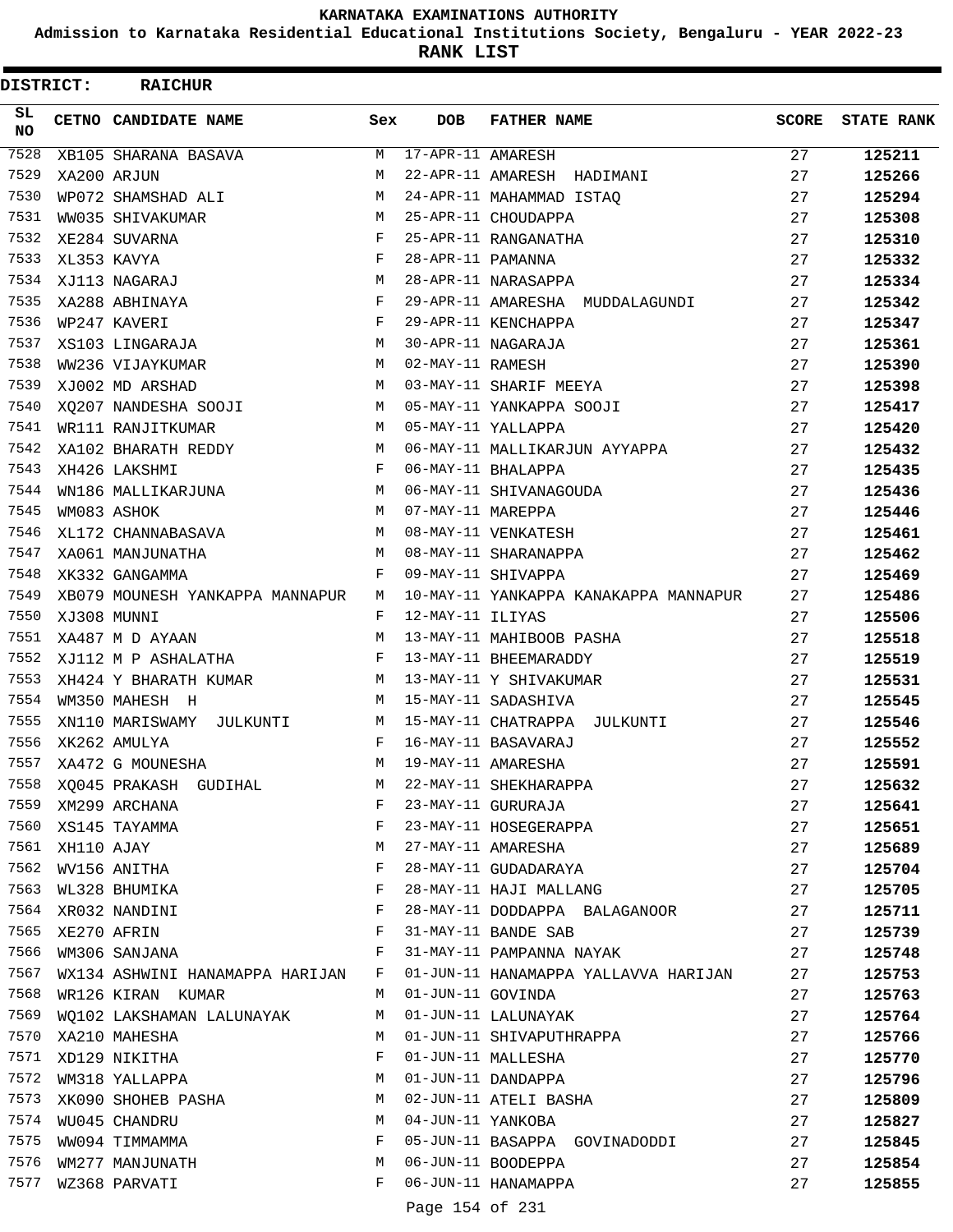**Admission to Karnataka Residential Educational Institutions Society, Bengaluru - YEAR 2022-23**

**RANK LIST**

 $\blacksquare$ 

| DISTRICT: |                  | <b>RAICHUR</b>                  |     |                     |                                       |       |                   |
|-----------|------------------|---------------------------------|-----|---------------------|---------------------------------------|-------|-------------------|
| SL<br>NO. |                  | CETNO CANDIDATE NAME            | Sex | <b>DOB</b>          | <b>FATHER NAME</b>                    | SCORE | <b>STATE RANK</b> |
| 7528      |                  | XB105 SHARANA BASAVA            | М   | 17-APR-11 AMARESH   |                                       | 27    | 125211            |
| 7529      |                  | XA200 ARJUN                     | М   |                     | 22-APR-11 AMARESH HADIMANI            | 27    | 125266            |
| 7530      |                  | WP072 SHAMSHAD ALI              | М   |                     | 24-APR-11 MAHAMMAD ISTAO              | 27    | 125294            |
| 7531      |                  | WW035 SHIVAKUMAR                | М   |                     | 25-APR-11 CHOUDAPPA                   | 27    | 125308            |
| 7532      |                  | XE284 SUVARNA                   | F   |                     | 25-APR-11 RANGANATHA                  | 27    | 125310            |
| 7533      |                  | XL353 KAVYA                     | F   | 28-APR-11 PAMANNA   |                                       | 27    | 125332            |
| 7534      |                  | XJ113 NAGARAJ                   | М   |                     | 28-APR-11 NARASAPPA                   | 27    | 125334            |
| 7535      |                  | XA288 ABHINAYA                  | F   |                     | 29-APR-11 AMARESHA MUDDALAGUNDI       | 27    | 125342            |
| 7536      |                  | WP247 KAVERI                    | F   |                     | 29-APR-11 KENCHAPPA                   | 27    | 125347            |
| 7537      |                  | XS103 LINGARAJA                 | М   |                     | 30-APR-11 NAGARAJA                    | 27    | 125361            |
| 7538      |                  | WW236 VIJAYKUMAR                | М   | 02-MAY-11 RAMESH    |                                       | 27    | 125390            |
| 7539      |                  | XJ002 MD ARSHAD                 | М   |                     | 03-MAY-11 SHARIF MEEYA                | 27    | 125398            |
| 7540      |                  | XQ207 NANDESHA SOOJI            | М   |                     | 05-MAY-11 YANKAPPA SOOJI              | 27    | 125417            |
| 7541      |                  | WR111 RANJITKUMAR               | М   |                     | 05-MAY-11 YALLAPPA                    | 27    | 125420            |
| 7542      |                  | XA102 BHARATH REDDY             | М   |                     | 06-MAY-11 MALLIKARJUN AYYAPPA         | 27    | 125432            |
| 7543      |                  | XH426 LAKSHMI                   | F   |                     | 06-MAY-11 BHALAPPA                    | 27    | 125435            |
| 7544      |                  | WN186 MALLIKARJUNA              | М   |                     | 06-MAY-11 SHIVANAGOUDA                | 27    | 125436            |
| 7545      |                  | WM083 ASHOK                     | М   | 07-MAY-11 MAREPPA   |                                       | 27    | 125446            |
| 7546      |                  | XL172 CHANNABASAVA              | М   |                     | 08-MAY-11 VENKATESH                   | 27    | 125461            |
| 7547      |                  | XA061 MANJUNATHA                | М   |                     | 08-MAY-11 SHARANAPPA                  | 27    | 125462            |
| 7548      |                  | XK332 GANGAMMA                  | F   |                     | 09-MAY-11 SHIVAPPA                    | 27    | 125469            |
| 7549      |                  | XB079 MOUNESH YANKAPPA MANNAPUR | М   |                     | 10-MAY-11 YANKAPPA KANAKAPPA MANNAPUR | 27    | 125486            |
| 7550      |                  | XJ308 MUNNI                     | F   | 12-MAY-11 ILIYAS    |                                       | 27    | 125506            |
| 7551      |                  | XA487 M D AYAAN                 | М   |                     | 13-MAY-11 MAHIBOOB PASHA              | 27    | 125518            |
| 7552      |                  | XJ112 M P ASHALATHA             | F   |                     | 13-MAY-11 BHEEMARADDY                 | 27    | 125519            |
| 7553      |                  | XH424 Y BHARATH KUMAR           | М   |                     | 13-MAY-11 Y SHIVAKUMAR                | 27    | 125531            |
| 7554      |                  | WM350 MAHESH H                  | М   |                     | 15-MAY-11 SADASHIVA                   | 27    | 125545            |
| 7555      |                  | XN110 MARISWAMY JULKUNTI        | M   |                     | 15-MAY-11 CHATRAPPA JULKUNTI          | 27    | 125546            |
| 7556      |                  | XK262 AMULYA                    | F   |                     | 16-MAY-11 BASAVARAJ                   | 27    | 125552            |
| 7557      |                  | XA472 G MOUNESHA                | М   |                     | 19-MAY-11 AMARESHA                    | 27    | 125591            |
|           |                  | 7558 XQ045 PRAKASH GUDIHAL      | M   |                     | 22-MAY-11 SHEKHARAPPA                 | 27    | 125632            |
| 7559      |                  | XM299 ARCHANA                   | F   |                     | 23-MAY-11 GURURAJA                    | 27    | 125641            |
|           |                  | 7560 XS145 TAYAMMA              | F   |                     | 23-MAY-11 HOSEGERAPPA                 | 27    | 125651            |
|           | 7561 XH110 AJAY  |                                 | М   |                     | 27-MAY-11 AMARESHA                    | 27    | 125689            |
|           |                  | 7562 WV156 ANITHA               | F   |                     | 28-MAY-11 GUDADARAYA                  | 27    | 125704            |
| 7563      |                  | WL328 BHUMIKA                   | F   |                     | 28-MAY-11 HAJI MALLANG                | 27    | 125705            |
| 7564      |                  | XR032 NANDINI                   | F   |                     | 28-MAY-11 DODDAPPA BALAGANOOR         | 27    | 125711            |
|           | 7565 XE270 AFRIN |                                 | F   |                     | 31-MAY-11 BANDE SAB                   | 27    | 125739            |
| 7566      |                  | WM306 SANJANA                   | F   |                     | 31-MAY-11 PAMPANNA NAYAK              | 27    | 125748            |
| 7567      |                  | WX134 ASHWINI HANAMAPPA HARIJAN | F   |                     | 01-JUN-11 HANAMAPPA YALLAVVA HARIJAN  | 27    | 125753            |
| 7568      |                  | WR126 KIRAN KUMAR               |     | M 01-JUN-11 GOVINDA |                                       | 27    | 125763            |
| 7569      |                  | WQ102 LAKSHAMAN LALUNAYAK       | M   |                     | 01-JUN-11 LALUNAYAK                   | 27    | 125764            |
|           |                  | 7570 XA210 MAHESHA              | М   |                     | 01-JUN-11 SHIVAPUTHRAPPA              | 27    | 125766            |
|           |                  | 7571 XD129 NIKITHA              | F   |                     | 01-JUN-11 MALLESHA                    | 27    | 125770            |
| 7572      |                  | WM318 YALLAPPA                  | М   |                     | 01-JUN-11 DANDAPPA                    | 27    | 125796            |
| 7573      |                  | XK090 SHOHEB PASHA              | M   |                     | 02-JUN-11 ATELI BASHA                 | 27    | 125809            |
|           |                  | 7574 WU045 CHANDRU              | М   | 04-JUN-11 YANKOBA   |                                       | 27    | 125827            |
| 7575      |                  | WW094 TIMMAMMA                  | F   |                     | 05-JUN-11 BASAPPA GOVINADODDI         | 27    | 125845            |
| 7576      |                  | WM277 MANJUNATH                 | М   |                     | 06-JUN-11 BOODEPPA                    | 27    | 125854            |
| 7577      |                  | WZ368 PARVATI                   | F   |                     | 06-JUN-11 HANAMAPPA                   | 27    | 125855            |
|           |                  |                                 |     |                     |                                       |       |                   |

Page 154 of 231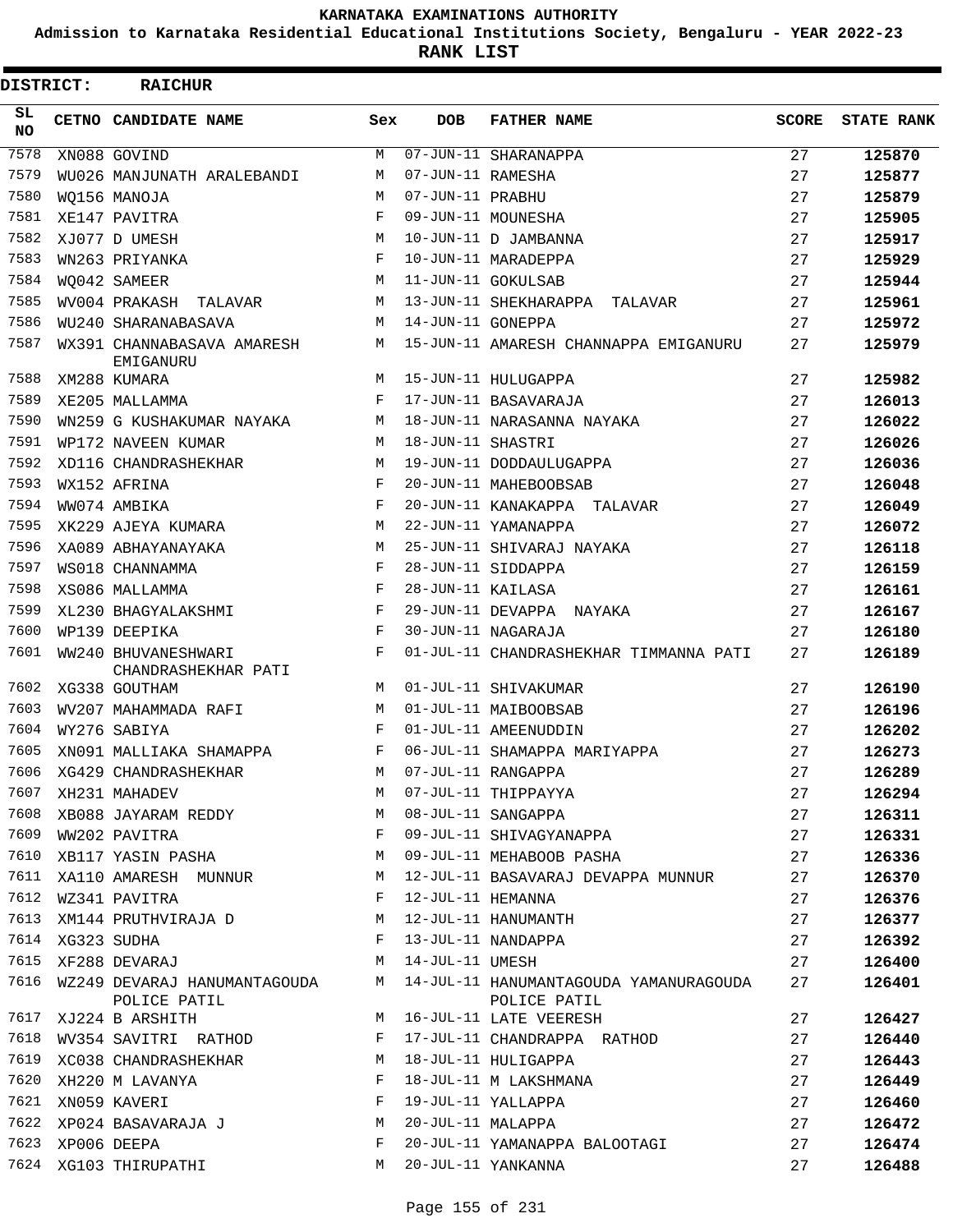**Admission to Karnataka Residential Educational Institutions Society, Bengaluru - YEAR 2022-23**

**RANK LIST**

| DISTRICT: |                  | <b>RAICHUR</b>                               |     |                   |                                                        |              |                   |
|-----------|------------------|----------------------------------------------|-----|-------------------|--------------------------------------------------------|--------------|-------------------|
| SL.<br>NO |                  | CETNO CANDIDATE NAME                         | Sex | <b>DOB</b>        | <b>FATHER NAME</b>                                     | <b>SCORE</b> | <b>STATE RANK</b> |
| 7578      |                  | XN088 GOVIND                                 | М   |                   | 07-JUN-11 SHARANAPPA                                   | 27           | 125870            |
| 7579      |                  | WU026 MANJUNATH ARALEBANDI                   | M   | 07-JUN-11 RAMESHA |                                                        | 27           | 125877            |
| 7580      |                  | WO156 MANOJA                                 | М   | 07-JUN-11 PRABHU  |                                                        | 27           | 125879            |
| 7581      |                  | XE147 PAVITRA                                | F   |                   | 09-JUN-11 MOUNESHA                                     | 27           | 125905            |
| 7582      |                  | XJ077 D UMESH                                | M   |                   | 10-JUN-11 D JAMBANNA                                   | 27           | 125917            |
| 7583      |                  | WN263 PRIYANKA                               | F   |                   | 10-JUN-11 MARADEPPA                                    | 27           | 125929            |
| 7584      |                  | WO042 SAMEER                                 | М   |                   | 11-JUN-11 GOKULSAB                                     | 27           | 125944            |
| 7585      |                  | WV004 PRAKASH TALAVAR                        | М   |                   | 13-JUN-11 SHEKHARAPPA TALAVAR                          | 27           | 125961            |
| 7586      |                  | WU240 SHARANABASAVA                          | М   | 14-JUN-11 GONEPPA |                                                        | 27           | 125972            |
| 7587      |                  | WX391 CHANNABASAVA AMARESH<br>EMIGANURU      | М   |                   | 15-JUN-11 AMARESH CHANNAPPA EMIGANURU                  | 27           | 125979            |
| 7588      |                  | XM288 KUMARA                                 | M   |                   | 15-JUN-11 HULUGAPPA                                    | 27           | 125982            |
| 7589      |                  | XE205 MALLAMMA                               | F   |                   | 17-JUN-11 BASAVARAJA                                   | 27           | 126013            |
| 7590      |                  | WN259 G KUSHAKUMAR NAYAKA                    | М   |                   | 18-JUN-11 NARASANNA NAYAKA                             | 27           | 126022            |
| 7591      |                  | WP172 NAVEEN KUMAR                           | М   | 18-JUN-11 SHASTRI |                                                        | 27           | 126026            |
| 7592      |                  | XD116 CHANDRASHEKHAR                         | М   |                   | 19-JUN-11 DODDAULUGAPPA                                | 27           | 126036            |
| 7593      |                  | WX152 AFRINA                                 | F   |                   | 20-JUN-11 MAHEBOOBSAB                                  | 27           | 126048            |
| 7594      |                  | WW074 AMBIKA                                 | F   |                   | 20-JUN-11 KANAKAPPA TALAVAR                            | 27           | 126049            |
| 7595      |                  | XK229 AJEYA KUMARA                           | М   |                   | 22-JUN-11 YAMANAPPA                                    | 27           | 126072            |
| 7596      |                  | XA089 ABHAYANAYAKA                           | М   |                   | 25-JUN-11 SHIVARAJ NAYAKA                              | 27           | 126118            |
| 7597      |                  | WS018 CHANNAMMA                              | F   |                   | 28-JUN-11 SIDDAPPA                                     | 27           | 126159            |
| 7598      |                  | XS086 MALLAMMA                               | F   | 28-JUN-11 KAILASA |                                                        | 27           | 126161            |
| 7599      |                  | XL230 BHAGYALAKSHMI                          | F   |                   | 29-JUN-11 DEVAPPA NAYAKA                               | 27           | 126167            |
| 7600      |                  | WP139 DEEPIKA                                | F   |                   | 30-JUN-11 NAGARAJA                                     | 27           | 126180            |
| 7601      |                  | WW240 BHUVANESHWARI<br>CHANDRASHEKHAR PATI   | F   |                   | 01-JUL-11 CHANDRASHEKHAR TIMMANNA PATI                 | 27           | 126189            |
| 7602      |                  | XG338 GOUTHAM                                | M   |                   | 01-JUL-11 SHIVAKUMAR                                   | 27           | 126190            |
| 7603      |                  | WV207 MAHAMMADA RAFI                         | M   |                   | 01-JUL-11 MAIBOOBSAB                                   | 27           | 126196            |
| 7604      |                  | WY276 SABIYA                                 | F   |                   | 01-JUL-11 AMEENUDDIN                                   | 27           | 126202            |
| 7605      |                  | XN091 MALLIAKA SHAMAPPA                      | F   |                   | 06-JUL-11 SHAMAPPA MARIYAPPA                           | 27           | 126273            |
|           |                  | 7606 XG429 CHANDRASHEKHAR                    |     |                   | M 07-JUL-11 RANGAPPA                                   | 27           | 126289            |
| 7607      |                  | XH231 MAHADEV                                | М   |                   | 07-JUL-11 THIPPAYYA                                    | 27           | 126294            |
| 7608      |                  | XB088 JAYARAM REDDY                          | М   |                   | 08-JUL-11 SANGAPPA                                     | 27           | 126311            |
| 7609      |                  | WW202 PAVITRA                                | F   |                   | 09-JUL-11 SHIVAGYANAPPA                                | 27           | 126331            |
| 7610      |                  | XB117 YASIN PASHA                            | M   |                   | 09-JUL-11 MEHABOOB PASHA                               | 27           | 126336            |
| 7611      |                  | XA110 AMARESH MUNNUR                         | М   |                   | 12-JUL-11 BASAVARAJ DEVAPPA MUNNUR                     | 27           | 126370            |
| 7612      |                  | WZ341 PAVITRA                                | F   | 12-JUL-11 HEMANNA |                                                        | 27           | 126376            |
|           |                  | 7613 XM144 PRUTHVIRAJA D                     | M   |                   | 12-JUL-11 HANUMANTH                                    | 27           | 126377            |
|           | 7614 XG323 SUDHA |                                              | F   |                   | 13-JUL-11 NANDAPPA                                     | 27           |                   |
| 7615      |                  |                                              |     |                   |                                                        |              | 126392            |
|           |                  | XF288 DEVARAJ                                | М   | 14-JUL-11 UMESH   |                                                        | 27           | 126400            |
| 7616      |                  | WZ249 DEVARAJ HANUMANTAGOUDA<br>POLICE PATIL | M   |                   | 14-JUL-11 HANUMANTAGOUDA YAMANURAGOUDA<br>POLICE PATIL | 27           | 126401            |
| 7617      |                  | XJ224 B ARSHITH                              | М   |                   | 16-JUL-11 LATE VEERESH                                 | 27           | 126427            |
| 7618      |                  | WV354 SAVITRI RATHOD                         | F   |                   | 17-JUL-11 CHANDRAPPA RATHOD                            | 27           | 126440            |
| 7619      |                  | XC038 CHANDRASHEKHAR                         | М   |                   | 18-JUL-11 HULIGAPPA                                    | 27           | 126443            |
| 7620      |                  | XH220 M LAVANYA                              | F   |                   | 18-JUL-11 M LAKSHMANA                                  | 27           | 126449            |
| 7621      |                  | XN059 KAVERI                                 | F   |                   | 19-JUL-11 YALLAPPA                                     | 27           | 126460            |
| 7622      |                  | XP024 BASAVARAJA J                           | М   | 20-JUL-11 MALAPPA |                                                        | 27           | 126472            |
|           | 7623 XP006 DEEPA |                                              | F   |                   | 20-JUL-11 YAMANAPPA BALOOTAGI                          | 27           | 126474            |
|           |                  | 7624 XG103 THIRUPATHI                        | M   |                   | 20-JUL-11 YANKANNA                                     | 27           | 126488            |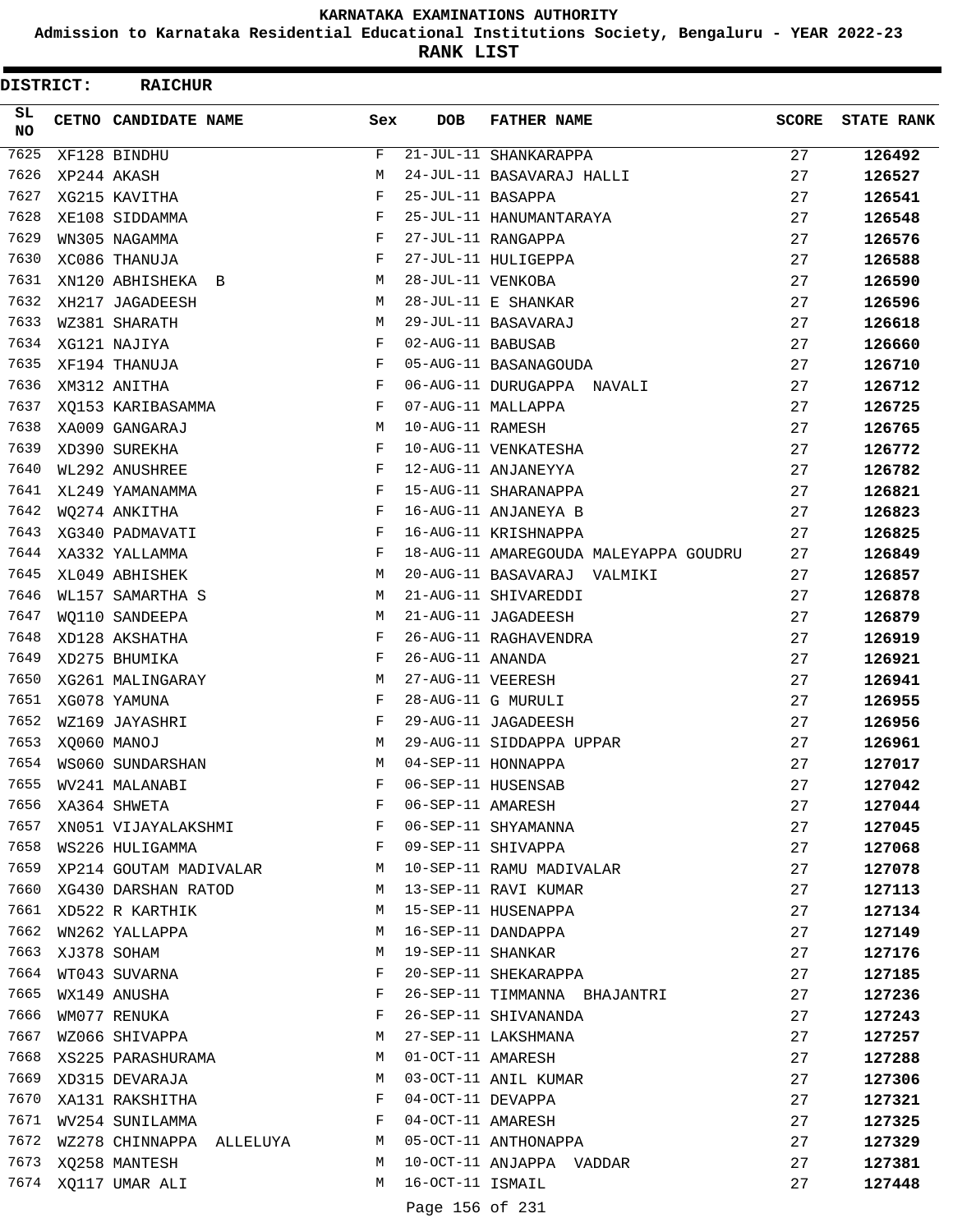**Admission to Karnataka Residential Educational Institutions Society, Bengaluru - YEAR 2022-23**

**RANK LIST**

| DISTRICT:       |             | <b>RAICHUR</b>              |              |                   |                                       |       |                   |
|-----------------|-------------|-----------------------------|--------------|-------------------|---------------------------------------|-------|-------------------|
| SL<br><b>NO</b> |             | CETNO CANDIDATE NAME        | Sex          | <b>DOB</b>        | <b>FATHER NAME</b>                    | SCORE | <b>STATE RANK</b> |
| 7625            |             | XF128 BINDHU                | F            |                   | 21-JUL-11 SHANKARAPPA                 | 27    | 126492            |
| 7626            |             | XP244 AKASH                 | M            |                   | 24-JUL-11 BASAVARAJ HALLI             | 27    | 126527            |
| 7627            |             | XG215 KAVITHA               | F            | 25-JUL-11 BASAPPA |                                       | 27    | 126541            |
| 7628            |             | XE108 SIDDAMMA              | F            |                   | 25-JUL-11 HANUMANTARAYA               | 27    | 126548            |
| 7629            |             | WN305 NAGAMMA               | F            |                   | 27-JUL-11 RANGAPPA                    | 27    | 126576            |
| 7630            |             | XC086 THANUJA               | F            |                   | 27-JUL-11 HULIGEPPA                   | 27    | 126588            |
| 7631            |             | XN120 ABHISHEKA B           | М            | 28-JUL-11 VENKOBA |                                       | 27    | 126590            |
| 7632            |             | XH217 JAGADEESH             | М            |                   | 28-JUL-11 E SHANKAR                   | 27    | 126596            |
| 7633            |             | WZ381 SHARATH               | М            |                   | 29-JUL-11 BASAVARAJ                   | 27    | 126618            |
| 7634            |             | XG121 NAJIYA                | F            | 02-AUG-11 BABUSAB |                                       | 27    | 126660            |
| 7635            |             | XF194 THANUJA               | F            |                   | 05-AUG-11 BASANAGOUDA                 | 27    | 126710            |
| 7636            |             | XM312 ANITHA                | F            |                   | 06-AUG-11 DURUGAPPA NAVALI            | 27    | 126712            |
| 7637            |             | XQ153 KARIBASAMMA           | F            |                   | 07-AUG-11 MALLAPPA                    | 27    | 126725            |
| 7638            |             | XA009 GANGARAJ              | М            | 10-AUG-11 RAMESH  |                                       | 27    | 126765            |
| 7639            |             | XD390 SUREKHA               | F            |                   | 10-AUG-11 VENKATESHA                  | 27    | 126772            |
| 7640            |             | WL292 ANUSHREE              | F            |                   | 12-AUG-11 ANJANEYYA                   | 27    | 126782            |
| 7641            |             | XL249 YAMANAMMA             | F            |                   | 15-AUG-11 SHARANAPPA                  | 27    | 126821            |
| 7642            |             | WQ274 ANKITHA               | F            |                   | 16-AUG-11 ANJANEYA B                  | 27    | 126823            |
| 7643            |             | XG340 PADMAVATI             | F            |                   | 16-AUG-11 KRISHNAPPA                  | 27    | 126825            |
| 7644            |             | XA332 YALLAMMA              | F            |                   | 18-AUG-11 AMAREGOUDA MALEYAPPA GOUDRU | 27    | 126849            |
| 7645            |             | XL049 ABHISHEK              | М            |                   | 20-AUG-11 BASAVARAJ VALMIKI           | 27    | 126857            |
| 7646            |             | WL157 SAMARTHA S            | М            |                   | 21-AUG-11 SHIVAREDDI                  | 27    | 126878            |
| 7647            |             | WQ110 SANDEEPA              | М            |                   | 21-AUG-11 JAGADEESH                   | 27    | 126879            |
| 7648            |             | XD128 AKSHATHA              | F            |                   | 26-AUG-11 RAGHAVENDRA                 | 27    | 126919            |
| 7649            |             | XD275 BHUMIKA               | F            | 26-AUG-11 ANANDA  |                                       | 27    | 126921            |
| 7650            |             | XG261 MALINGARAY            | М            | 27-AUG-11 VEERESH |                                       | 27    | 126941            |
| 7651            |             | XG078 YAMUNA                | F            |                   | 28-AUG-11 G MURULI                    | 27    | 126955            |
| 7652            |             | WZ169 JAYASHRI              | F            |                   | 29-AUG-11 JAGADEESH                   | 27    | 126956            |
| 7653            |             | XQ060 MANOJ                 | М            |                   | 29-AUG-11 SIDDAPPA UPPAR              | 27    | 126961            |
| 7654            |             | WS060 SUNDARSHAN            | М            |                   | 04-SEP-11 HONNAPPA                    | 27    | 127017            |
| 7655            |             | WV241 MALANABI              | F            |                   | 06-SEP-11 HUSENSAB                    | 27    | 127042            |
| 7656            |             | XA364 SHWETA                | F            | 06-SEP-11 AMARESH |                                       | 27    | 127044            |
| 7657            |             | XN051 VIJAYALAKSHMI         | F            |                   | 06-SEP-11 SHYAMANNA                   | 27    | 127045            |
| 7658            |             | WS226 HULIGAMMA             | $\mathbf{F}$ |                   | 09-SEP-11 SHIVAPPA                    | 27    | 127068            |
|                 |             | 7659 XP214 GOUTAM MADIVALAR | M            |                   | 10-SEP-11 RAMU MADIVALAR              | 27    |                   |
|                 |             | 7660 XG430 DARSHAN RATOD    | M            |                   | 13-SEP-11 RAVI KUMAR                  | 27    | 127078            |
| 7661            |             | XD522 R KARTHIK             | M            |                   | 15-SEP-11 HUSENAPPA                   | 27    | 127113            |
| 7662            |             |                             | М            |                   | 16-SEP-11 DANDAPPA                    |       | 127134            |
| 7663            |             | WN262 YALLAPPA              |              |                   |                                       | 27    | 127149            |
| 7664            | XJ378 SOHAM |                             | М            |                   | 19-SEP-11 SHANKAR                     | 27    | 127176            |
| 7665            |             | WT043 SUVARNA               | F            |                   | 20-SEP-11 SHEKARAPPA                  | 27    | 127185            |
|                 |             | WX149 ANUSHA                | F            |                   | 26-SEP-11 TIMMANNA BHAJANTRI          | 27    | 127236            |
| 7666            |             | WM077 RENUKA                | F            |                   | 26-SEP-11 SHIVANANDA                  | 27    | 127243            |
| 7667            |             | WZ066 SHIVAPPA              | М            |                   | 27-SEP-11 LAKSHMANA                   | 27    | 127257            |
| 7668            |             | XS225 PARASHURAMA           | М            | 01-OCT-11 AMARESH |                                       | 27    | 127288            |
| 7669            |             | XD315 DEVARAJA              | М            |                   | 03-OCT-11 ANIL KUMAR                  | 27    | 127306            |
| 7670            |             | XA131 RAKSHITHA             | F            | 04-OCT-11 DEVAPPA |                                       | 27    | 127321            |
|                 |             | 7671 WV254 SUNILAMMA        | F            | 04-OCT-11 AMARESH |                                       | 27    | 127325            |
| 7672            |             | WZ278 CHINNAPPA ALLELUYA    | M            |                   | 05-OCT-11 ANTHONAPPA                  | 27    | 127329            |
|                 |             | 7673 XQ258 MANTESH          | М            |                   | 10-OCT-11 ANJAPPA VADDAR              | 27    | 127381            |
|                 |             | 7674 XQ117 UMAR ALI         | М            | 16-OCT-11 ISMAIL  |                                       | 27    | 127448            |
|                 |             |                             |              | Page 156 of 231   |                                       |       |                   |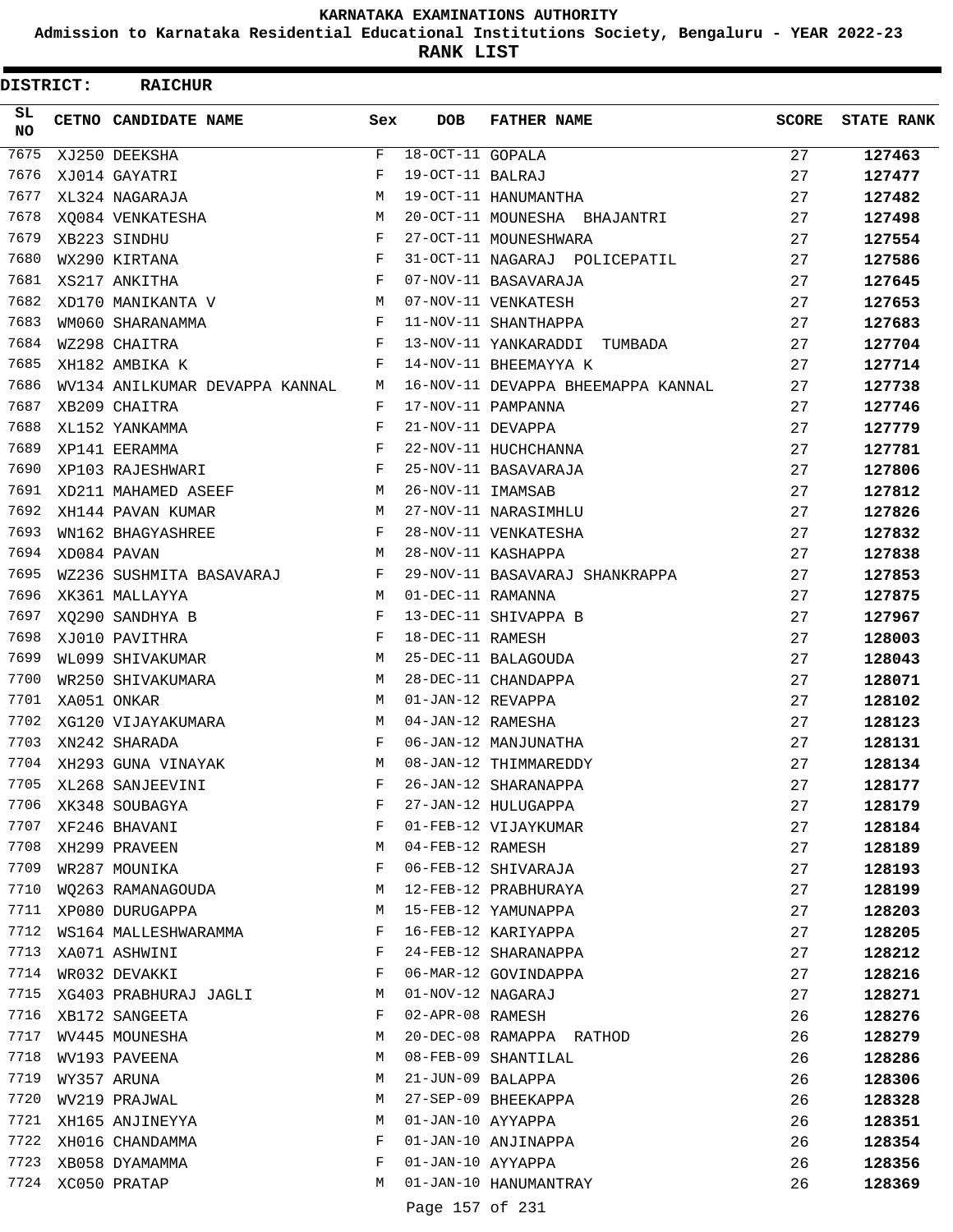**Admission to Karnataka Residential Educational Institutions Society, Bengaluru - YEAR 2022-23**

**RANK LIST**

| DISTRICT:        | <b>RAICHUR</b>                 |             |                    |                                    |              |                   |
|------------------|--------------------------------|-------------|--------------------|------------------------------------|--------------|-------------------|
| SL.<br><b>NO</b> | CETNO CANDIDATE NAME           | Sex         | <b>DOB</b>         | <b>FATHER NAME</b>                 | <b>SCORE</b> | <b>STATE RANK</b> |
| 7675             | XJ250 DEEKSHA                  | $\mathbf F$ | $18-OCT-11$ GOPALA |                                    | 27           | 127463            |
| 7676             | XJ014 GAYATRI                  | F           | 19-OCT-11 BALRAJ   |                                    | 27           | 127477            |
| 7677             | XL324 NAGARAJA                 | M           |                    | 19-OCT-11 HANUMANTHA               | 27           | 127482            |
| 7678             | XO084 VENKATESHA               | М           |                    | 20-OCT-11 MOUNESHA BHAJANTRI       | 27           | 127498            |
| 7679             | XB223 SINDHU                   | F           |                    | 27-OCT-11 MOUNESHWARA              | 27           | 127554            |
| 7680             | WX290 KIRTANA                  | F           |                    | 31-OCT-11 NAGARAJ POLICEPATIL      | 27           | 127586            |
| 7681             | XS217 ANKITHA                  | F           |                    | 07-NOV-11 BASAVARAJA               | 27           | 127645            |
| 7682             | XD170 MANIKANTA V              | М           |                    | 07-NOV-11 VENKATESH                | 27           | 127653            |
| 7683             | WM060 SHARANAMMA               | F           |                    | 11-NOV-11 SHANTHAPPA               | 27           | 127683            |
| 7684             | WZ298 CHAITRA                  | F           |                    | 13-NOV-11 YANKARADDI TUMBADA       | 27           | 127704            |
| 7685             | XH182 AMBIKA K                 | F           |                    | 14-NOV-11 BHEEMAYYA K              | 27           | 127714            |
| 7686             | WV134 ANILKUMAR DEVAPPA KANNAL | M           |                    | 16-NOV-11 DEVAPPA BHEEMAPPA KANNAL | 27           | 127738            |
| 7687             | XB209 CHAITRA                  | F           |                    | 17-NOV-11 PAMPANNA                 | 27           | 127746            |
| 7688             | XL152 YANKAMMA                 | F           | 21-NOV-11 DEVAPPA  |                                    | 27           | 127779            |
| 7689             | XP141 EERAMMA                  | F           |                    | 22-NOV-11 HUCHCHANNA               | 27           | 127781            |
| 7690             | XP103 RAJESHWARI               | F           |                    | 25-NOV-11 BASAVARAJA               | 27           | 127806            |
| 7691             | XD211 MAHAMED ASEEF            | М           | 26-NOV-11 IMAMSAB  |                                    | 27           | 127812            |
| 7692             | XH144 PAVAN KUMAR              | M           |                    | 27-NOV-11 NARASIMHLU               | 27           | 127826            |
| 7693             | WN162 BHAGYASHREE              | F           |                    | 28-NOV-11 VENKATESHA               | 27           | 127832            |
| 7694             | XD084 PAVAN                    | М           |                    | 28-NOV-11 KASHAPPA                 | 27           | 127838            |
| 7695             | WZ236 SUSHMITA BASAVARAJ       | F           |                    | 29-NOV-11 BASAVARAJ SHANKRAPPA     | 27           | 127853            |
| 7696             | XK361 MALLAYYA                 | M           | 01-DEC-11 RAMANNA  |                                    | 27           | 127875            |
| 7697             | XQ290 SANDHYA B                | F           |                    | 13-DEC-11 SHIVAPPA B               | 27           | 127967            |
| 7698             | XJ010 PAVITHRA                 | F           | 18-DEC-11 RAMESH   |                                    | 27           | 128003            |
| 7699             | WL099 SHIVAKUMAR               | М           |                    | 25-DEC-11 BALAGOUDA                | 27           | 128043            |
| 7700             | WR250 SHIVAKUMARA              | M           |                    | 28-DEC-11 CHANDAPPA                | 27           | 128071            |
| 7701             | XA051 ONKAR                    | M           | 01-JAN-12 REVAPPA  |                                    | 27           | 128102            |
| 7702             | XG120 VIJAYAKUMARA             | М           | 04-JAN-12 RAMESHA  |                                    | 27           | 128123            |
| 7703             | XN242 SHARADA                  | F           |                    | 06-JAN-12 MANJUNATHA               | 27           | 128131            |
| 7704             | XH293 GUNA VINAYAK             | M           |                    | 08-JAN-12 THIMMAREDDY              | 27           | 128134            |
| 7705             | XL268 SANJEEVINI               | F           |                    | 26-JAN-12 SHARANAPPA               | 27           | 128177            |
| 7706             | XK348 SOUBAGYA                 | F           |                    | 27-JAN-12 HULUGAPPA                | 27           | 128179            |
| 7707             | XF246 BHAVANI                  | F           |                    | 01-FEB-12 VIJAYKUMAR               | 27           | 128184            |
| 7708             | XH299 PRAVEEN                  | М           | 04-FEB-12 RAMESH   |                                    | 27           | 128189            |
| 7709             | WR287 MOUNIKA                  | F           |                    | 06-FEB-12 SHIVARAJA                | 27           | 128193            |
| 7710             | WQ263 RAMANAGOUDA              | M           |                    | 12-FEB-12 PRABHURAYA               | 27           | 128199            |
| 7711             | XP080 DURUGAPPA                | M           |                    | 15-FEB-12 YAMUNAPPA                | 27           | 128203            |
| 7712             | WS164 MALLESHWARAMMA           | F           |                    | 16-FEB-12 KARIYAPPA                | 27           | 128205            |
| 7713             | XA071 ASHWINI                  | F           |                    | 24-FEB-12 SHARANAPPA               | 27           | 128212            |
| 7714             | WR032 DEVAKKI                  | F           |                    | 06-MAR-12 GOVINDAPPA               | 27           | 128216            |
| 7715             | XG403 PRABHURAJ JAGLI          | M           | 01-NOV-12 NAGARAJ  |                                    | 27           | 128271            |
|                  | 7716 XB172 SANGEETA            | F           | 02-APR-08 RAMESH   |                                    | 26           | 128276            |
|                  | 7717 WV445 MOUNESHA            | М           |                    | 20-DEC-08 RAMAPPA RATHOD           | 26           | 128279            |
| 7718             | WV193 PAVEENA                  | М           |                    | 08-FEB-09 SHANTILAL                | 26           | 128286            |
| 7719             | WY357 ARUNA                    | М           | 21-JUN-09 BALAPPA  |                                    | 26           | 128306            |
| 7720             | WV219 PRAJWAL                  | М           |                    | 27-SEP-09 BHEEKAPPA                | 26           | 128328            |
| 7721             | XH165 ANJINEYYA                | М           | 01-JAN-10 AYYAPPA  |                                    | 26           | 128351            |
| 7722             | XH016 CHANDAMMA                | F           |                    | 01-JAN-10 ANJINAPPA                | 26           | 128354            |
| 7723             | XB058 DYAMAMMA                 | F           | 01-JAN-10 AYYAPPA  |                                    | 26           | 128356            |
|                  | 7724 XC050 PRATAP              | М           |                    | 01-JAN-10 HANUMANTRAY              | 26           | 128369            |
|                  |                                |             | Page 157 of 231    |                                    |              |                   |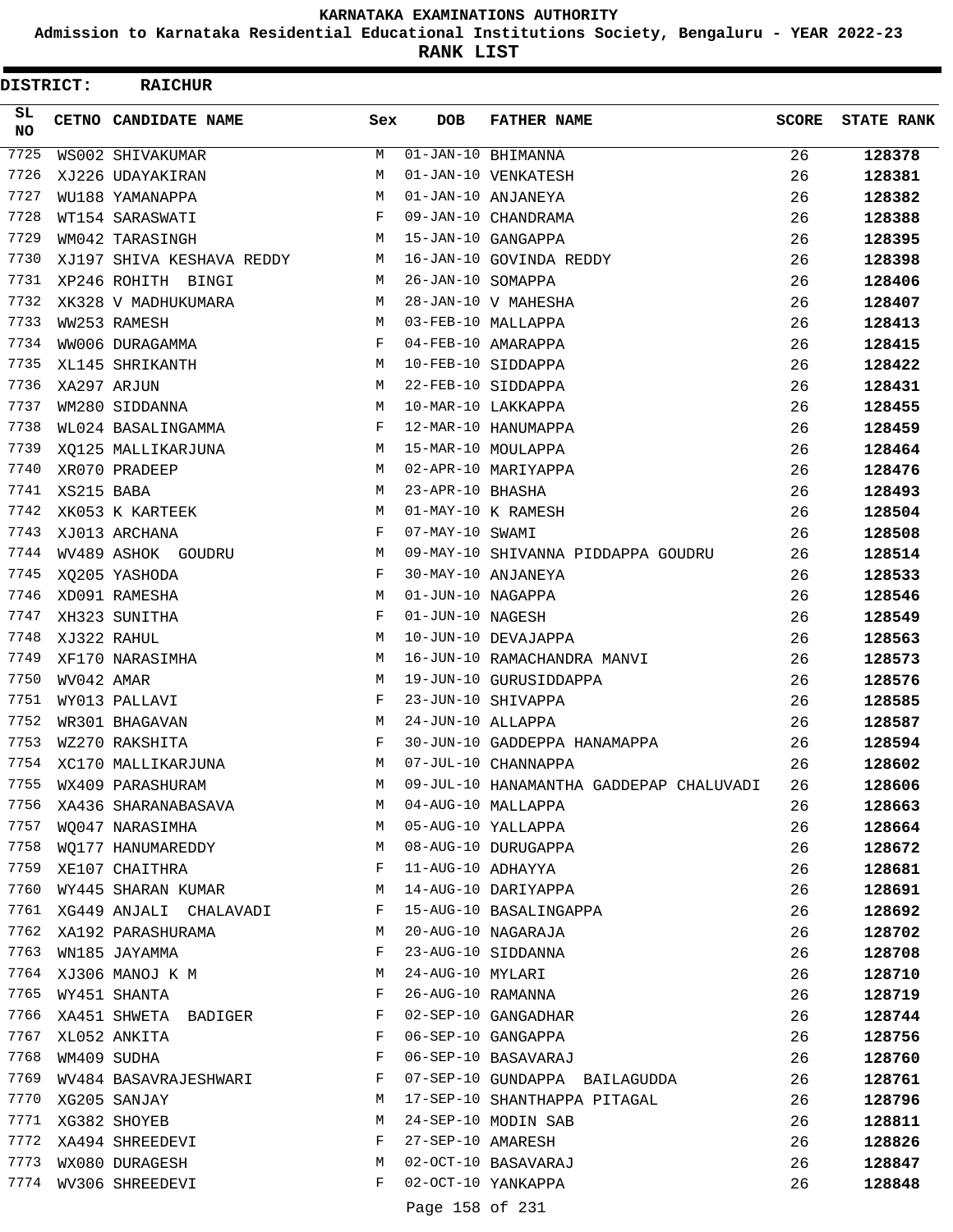**Admission to Karnataka Residential Educational Institutions Society, Bengaluru - YEAR 2022-23**

**RANK LIST**

| DISTRICT:        |            | <b>RAICHUR</b>                  |        |                   |                                              |              |                   |
|------------------|------------|---------------------------------|--------|-------------------|----------------------------------------------|--------------|-------------------|
| SL.<br><b>NO</b> |            | CETNO CANDIDATE NAME            | Sex    | <b>DOB</b>        | <b>FATHER NAME</b>                           | <b>SCORE</b> | <b>STATE RANK</b> |
| 7725             |            | WS002 SHIVAKUMAR                | М      |                   | $01 - JAN - 10$ BHIMANNA                     | 26           | 128378            |
| 7726             |            | XJ226 UDAYAKIRAN                | M      |                   | 01-JAN-10 VENKATESH                          | 26           | 128381            |
| 7727             |            | WU188 YAMANAPPA                 | M      |                   | 01-JAN-10 ANJANEYA                           | 26           | 128382            |
| 7728             |            | WT154 SARASWATI                 | F      |                   | 09-JAN-10 CHANDRAMA                          | 26           | 128388            |
| 7729             |            | WM042 TARASINGH                 | M      |                   | 15-JAN-10 GANGAPPA                           | 26           | 128395            |
| 7730             |            | XJ197 SHIVA KESHAVA REDDY       | М      |                   | 16-JAN-10 GOVINDA REDDY                      | 26           | 128398            |
| 7731             |            | XP246 ROHITH BINGI              | M      | 26-JAN-10 SOMAPPA |                                              | 26           | 128406            |
| 7732             |            | XK328 V MADHUKUMARA             | M      |                   | 28-JAN-10 V MAHESHA                          | 26           | 128407            |
| 7733             |            | WW253 RAMESH                    | M      |                   | 03-FEB-10 MALLAPPA                           | 26           | 128413            |
| 7734             |            | WW006 DURAGAMMA                 | F      |                   | 04-FEB-10 AMARAPPA                           | 26           | 128415            |
| 7735             |            | XL145 SHRIKANTH                 | М      |                   | 10-FEB-10 SIDDAPPA                           | 26           | 128422            |
| 7736             |            | XA297 ARJUN                     | M      |                   | 22-FEB-10 SIDDAPPA                           | 26           | 128431            |
| 7737             |            | WM280 SIDDANNA                  | M      |                   | 10-MAR-10 LAKKAPPA                           | 26           | 128455            |
| 7738             |            | WL024 BASALINGAMMA              | F      |                   | 12-MAR-10 HANUMAPPA                          | 26           | 128459            |
| 7739             |            | XQ125 MALLIKARJUNA              | M      |                   | 15-MAR-10 MOULAPPA                           | 26           | 128464            |
| 7740             |            | XR070 PRADEEP                   | M      |                   | 02-APR-10 MARIYAPPA                          | 26           | 128476            |
| 7741             | XS215 BABA |                                 | М      | 23-APR-10 BHASHA  |                                              | 26           | 128493            |
| 7742             |            | XK053 K KARTEEK                 | M      |                   | 01-MAY-10 K RAMESH                           | 26           | 128504            |
| 7743             |            | XJ013 ARCHANA                   | F      | 07-MAY-10 SWAMI   |                                              | 26           | 128508            |
| 7744             |            | WV489 ASHOK GOUDRU              | М      |                   | 09-MAY-10 SHIVANNA PIDDAPPA GOUDRU           | 26           | 128514            |
| 7745             |            | XQ205 YASHODA                   | F      |                   | 30-MAY-10 ANJANEYA                           | 26           | 128533            |
| 7746             |            | XD091 RAMESHA                   | M      | 01-JUN-10 NAGAPPA |                                              | 26           | 128546            |
| 7747             |            | XH323 SUNITHA                   | F      | 01-JUN-10 NAGESH  |                                              | 26           | 128549            |
| 7748             |            | XJ322 RAHUL                     | M      |                   | 10-JUN-10 DEVAJAPPA                          | 26           | 128563            |
| 7749             |            | XF170 NARASIMHA                 | М      |                   | 16-JUN-10 RAMACHANDRA MANVI                  | 26           | 128573            |
| 7750             | WV042 AMAR |                                 | M      |                   | 19-JUN-10 GURUSIDDAPPA                       | 26           | 128576            |
| 7751             |            | WY013 PALLAVI                   | F      |                   | 23-JUN-10 SHIVAPPA                           | 26           | 128585            |
| 7752             |            | WR301 BHAGAVAN                  | M      | 24-JUN-10 ALLAPPA |                                              | 26           | 128587            |
| 7753             |            | WZ270 RAKSHITA                  | F      |                   | 30-JUN-10 GADDEPPA HANAMAPPA                 | 26           | 128594            |
| 7754             |            | XC170 MALLIKARJUNA              | M      |                   | 07-JUL-10 CHANNAPPA                          | 26           | 128602            |
| 7755             |            | WX409 PARASHURAM                | M      |                   | 09-JUL-10 HANAMANTHA GADDEPAP CHALUVADI      | 26           | 128606            |
| 7756             |            | XA436 SHARANABASAVA             | M      |                   | 04-AUG-10 MALLAPPA                           | 26           | 128663            |
| 7757             |            | WQ047 NARASIMHA                 | M      |                   | 05-AUG-10 YALLAPPA                           | 26           | 128664            |
| 7758<br>7759     |            | WQ177 HANUMAREDDY               | M      |                   | 08-AUG-10 DURUGAPPA                          | 26           | 128672            |
| 7760             |            | XE107 CHAITHRA                  | F<br>M | 11-AUG-10 ADHAYYA | 14-AUG-10 DARIYAPPA                          | 26           | 128681            |
| 7761             |            | WY445 SHARAN KUMAR              | F      |                   |                                              | 26           | 128691<br>128692  |
| 7762             |            | XG449 ANJALI CHALAVADI          | М      |                   | 15-AUG-10 BASALINGAPPA<br>20-AUG-10 NAGARAJA | 26           |                   |
| 7763             |            | XA192 PARASHURAMA               | F      |                   | 23-AUG-10 SIDDANNA                           | 26<br>26     | 128702            |
| 7764             |            | WN185 JAYAMMA                   | М      | 24-AUG-10 MYLARI  |                                              | 26           | 128708            |
| 7765             |            | XJ306 MANOJ K M<br>WY451 SHANTA | F      |                   | 26-AUG-10 RAMANNA                            | 26           | 128710<br>128719  |
| 7766             |            |                                 | F      |                   | 02-SEP-10 GANGADHAR                          | 26           |                   |
| 7767             |            | XA451 SHWETA BADIGER            | F      |                   | 06-SEP-10 GANGAPPA                           |              | 128744            |
| 7768             |            | XL052 ANKITA<br>WM409 SUDHA     | F      |                   | 06-SEP-10 BASAVARAJ                          | 26<br>26     | 128756<br>128760  |
| 7769             |            | WV484 BASAVRAJESHWARI           | F      |                   | 07-SEP-10 GUNDAPPA BAILAGUDDA                | 26           | 128761            |
| 7770             |            | XG205 SANJAY                    | М      |                   | 17-SEP-10 SHANTHAPPA PITAGAL                 | 26           | 128796            |
| 7771             |            | XG382 SHOYEB                    | М      |                   | 24-SEP-10 MODIN SAB                          | 26           | 128811            |
| 7772             |            | XA494 SHREEDEVI                 | F      | 27-SEP-10 AMARESH |                                              | 26           | 128826            |
| 7773             |            | WX080 DURAGESH                  | М      |                   | 02-OCT-10 BASAVARAJ                          | 26           | 128847            |
| 7774             |            | WV306 SHREEDEVI                 | F      |                   | 02-OCT-10 YANKAPPA                           | 26           | 128848            |
|                  |            |                                 |        |                   |                                              |              |                   |
|                  |            |                                 |        | Page 158 of 231   |                                              |              |                   |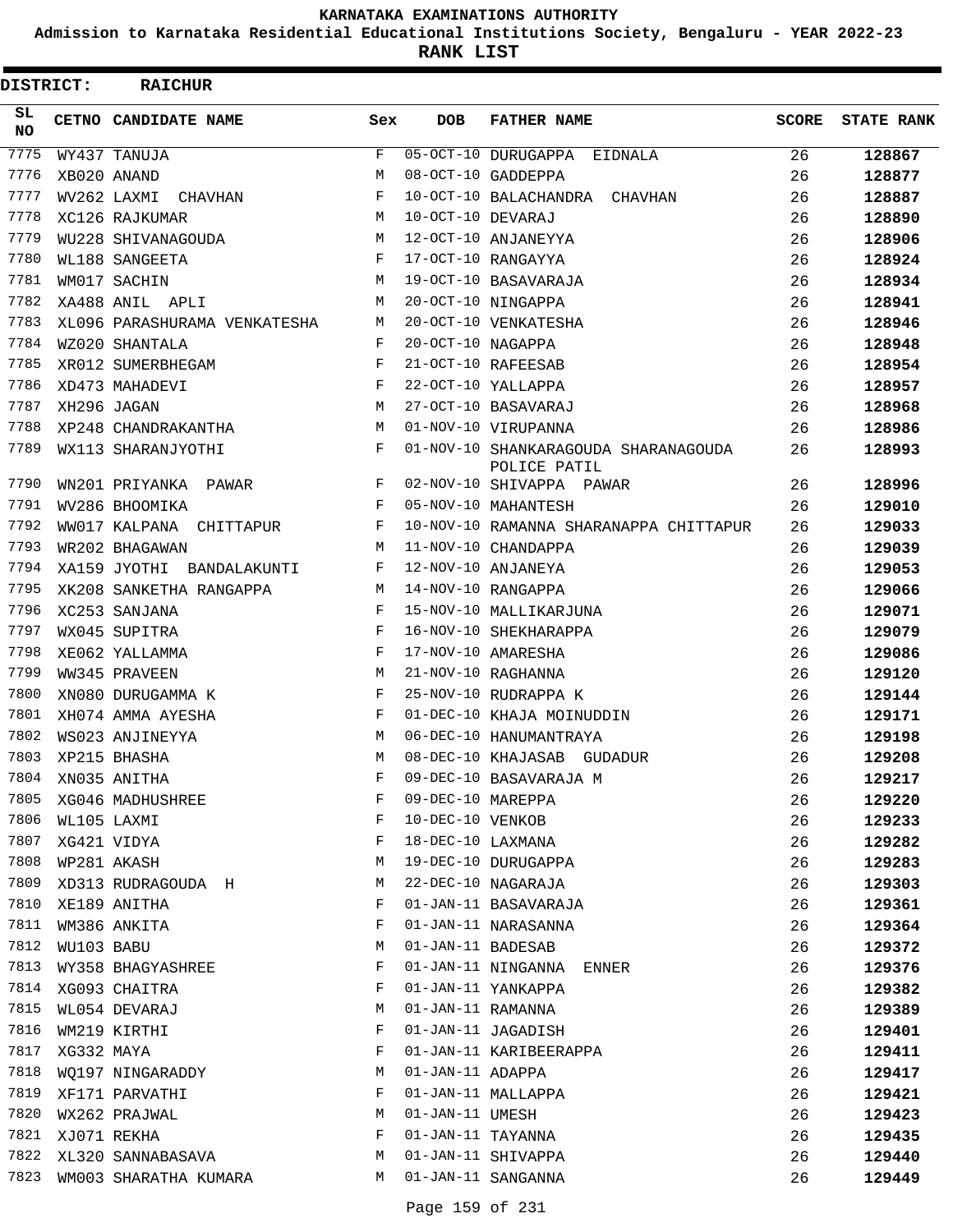**Admission to Karnataka Residential Educational Institutions Society, Bengaluru - YEAR 2022-23**

**RANK LIST**

| DISTRICT:        |            | <b>RAICHUR</b>               |     |                   |                                                      |              |                   |
|------------------|------------|------------------------------|-----|-------------------|------------------------------------------------------|--------------|-------------------|
| SL.<br><b>NO</b> |            | CETNO CANDIDATE NAME         | Sex | <b>DOB</b>        | <b>FATHER NAME</b>                                   | <b>SCORE</b> | <b>STATE RANK</b> |
| 7775             |            | WY437 TANUJA                 | F   |                   | 05-OCT-10 DURUGAPPA EIDNALA                          | 26           | 128867            |
| 7776             |            | XB020 ANAND                  | М   |                   | 08-OCT-10 GADDEPPA                                   | 26           | 128877            |
| 7777             |            | WV262 LAXMI CHAVHAN          | F   |                   | 10-OCT-10 BALACHANDRA CHAVHAN                        | 26           | 128887            |
| 7778             |            | XC126 RAJKUMAR               | М   | 10-OCT-10 DEVARAJ |                                                      | 26           | 128890            |
| 7779             |            | WU228 SHIVANAGOUDA           | M   |                   | 12-OCT-10 ANJANEYYA                                  | 26           | 128906            |
| 7780             |            | WL188 SANGEETA               | F   |                   | 17-OCT-10 RANGAYYA                                   | 26           | 128924            |
| 7781             |            | WM017 SACHIN                 | M   |                   | 19-OCT-10 BASAVARAJA                                 | 26           | 128934            |
| 7782             |            | XA488 ANIL APLI              | М   |                   | 20-OCT-10 NINGAPPA                                   | 26           | 128941            |
| 7783             |            | XL096 PARASHURAMA VENKATESHA | М   |                   | 20-OCT-10 VENKATESHA                                 | 26           | 128946            |
| 7784             |            | WZ020 SHANTALA               | F   | 20-OCT-10 NAGAPPA |                                                      | 26           | 128948            |
| 7785             |            | XR012 SUMERBHEGAM            | F   |                   | 21-OCT-10 RAFEESAB                                   | 26           | 128954            |
| 7786             |            | XD473 MAHADEVI               | F   |                   | 22-OCT-10 YALLAPPA                                   | 26           | 128957            |
| 7787             |            | XH296 JAGAN                  | M   |                   | 27-OCT-10 BASAVARAJ                                  | 26           | 128968            |
| 7788             |            | XP248 CHANDRAKANTHA          | М   |                   | 01-NOV-10 VIRUPANNA                                  | 26           | 128986            |
| 7789             |            | WX113 SHARANJYOTHI           | F   |                   | 01-NOV-10 SHANKARAGOUDA SHARANAGOUDA<br>POLICE PATIL | 26           | 128993            |
| 7790             |            | WN201 PRIYANKA PAWAR         | F   |                   | 02-NOV-10 SHIVAPPA PAWAR                             | 26           | 128996            |
| 7791             |            | WV286 BHOOMIKA               | F   |                   | 05-NOV-10 MAHANTESH                                  | 26           | 129010            |
| 7792             |            | WW017 KALPANA CHITTAPUR      | F   |                   | 10-NOV-10 RAMANNA SHARANAPPA CHITTAPUR               | 26           | 129033            |
| 7793             |            | WR202 BHAGAWAN               | M   |                   | 11-NOV-10 CHANDAPPA                                  | 26           | 129039            |
| 7794             |            | XA159 JYOTHI BANDALAKUNTI    | F   |                   | 12-NOV-10 ANJANEYA                                   | 26           | 129053            |
| 7795             |            | XK208 SANKETHA RANGAPPA      | M   |                   | 14-NOV-10 RANGAPPA                                   | 26           | 129066            |
| 7796             |            | XC253 SANJANA                | F   |                   | 15-NOV-10 MALLIKARJUNA                               | 26           | 129071            |
| 7797             |            | WX045 SUPITRA                | F   |                   | 16-NOV-10 SHEKHARAPPA                                | 26           | 129079            |
| 7798             |            | XE062 YALLAMMA               | F   |                   | 17-NOV-10 AMARESHA                                   | 26           | 129086            |
| 7799             |            | WW345 PRAVEEN                | M   |                   | 21-NOV-10 RAGHANNA                                   | 26           | 129120            |
| 7800             |            | XN080 DURUGAMMA K            | F   |                   | 25-NOV-10 RUDRAPPA K                                 | 26           | 129144            |
| 7801             |            | XH074 AMMA AYESHA            | F   |                   | 01-DEC-10 KHAJA MOINUDDIN                            | 26           | 129171            |
| 7802             |            | WS023 ANJINEYYA              | M   |                   | 06-DEC-10 HANUMANTRAYA                               | 26           | 129198            |
| 7803             |            | XP215 BHASHA                 | М   |                   | 08-DEC-10 KHAJASAB GUDADUR                           | 26           | 129208            |
| 7804             |            | XN035 ANITHA                 | F   |                   | 09-DEC-10 BASAVARAJA M                               | 26           | 129217            |
| 7805             |            | XG046 MADHUSHREE             | F   | 09-DEC-10 MAREPPA |                                                      | 26           | 129220            |
| 7806             |            | WL105 LAXMI                  | F   | 10-DEC-10 VENKOB  |                                                      | 26           | 129233            |
| 7807             |            | XG421 VIDYA                  | F   | 18-DEC-10 LAXMANA |                                                      | 26           | 129282            |
| 7808             |            | WP281 AKASH                  | М   |                   | 19-DEC-10 DURUGAPPA                                  | 26           | 129283            |
| 7809             |            | XD313 RUDRAGOUDA H           | М   |                   | 22-DEC-10 NAGARAJA                                   | 26           | 129303            |
| 7810             |            | XE189 ANITHA                 | F   |                   | 01-JAN-11 BASAVARAJA                                 | 26           | 129361            |
| 7811             |            | WM386 ANKITA                 | F   |                   | 01-JAN-11 NARASANNA                                  | 26           | 129364            |
| 7812             | WU103 BABU |                              | М   | 01-JAN-11 BADESAB |                                                      | 26           | 129372            |
| 7813             |            | WY358 BHAGYASHREE            | F   |                   | 01-JAN-11 NINGANNA ENNER                             | 26           | 129376            |
| 7814             |            | XG093 CHAITRA                | F   |                   | 01-JAN-11 YANKAPPA                                   | 26           | 129382            |
| 7815             |            | WL054 DEVARAJ                | М   | 01-JAN-11 RAMANNA |                                                      | 26           | 129389            |
| 7816             |            | WM219 KIRTHI                 | F   |                   | 01-JAN-11 JAGADISH                                   | 26           | 129401            |
| 7817             | XG332 MAYA |                              | F   |                   | 01-JAN-11 KARIBEERAPPA                               | 26           | 129411            |
| 7818             |            | WO197 NINGARADDY             | М   | 01-JAN-11 ADAPPA  |                                                      | 26           | 129417            |
| 7819             |            | XF171 PARVATHI               | F   |                   | 01-JAN-11 MALLAPPA                                   | 26           | 129421            |
| 7820             |            | WX262 PRAJWAL                | М   | 01-JAN-11 UMESH   |                                                      | 26           | 129423            |
| 7821             |            | XJ071 REKHA                  | F   | 01-JAN-11 TAYANNA |                                                      | 26           | 129435            |
| 7822             |            | XL320 SANNABASAVA            | M   |                   | 01-JAN-11 SHIVAPPA                                   | 26           | 129440            |
| 7823             |            | WM003 SHARATHA KUMARA        | М   |                   | 01-JAN-11 SANGANNA                                   | 26           | 129449            |
|                  |            |                              |     |                   |                                                      |              |                   |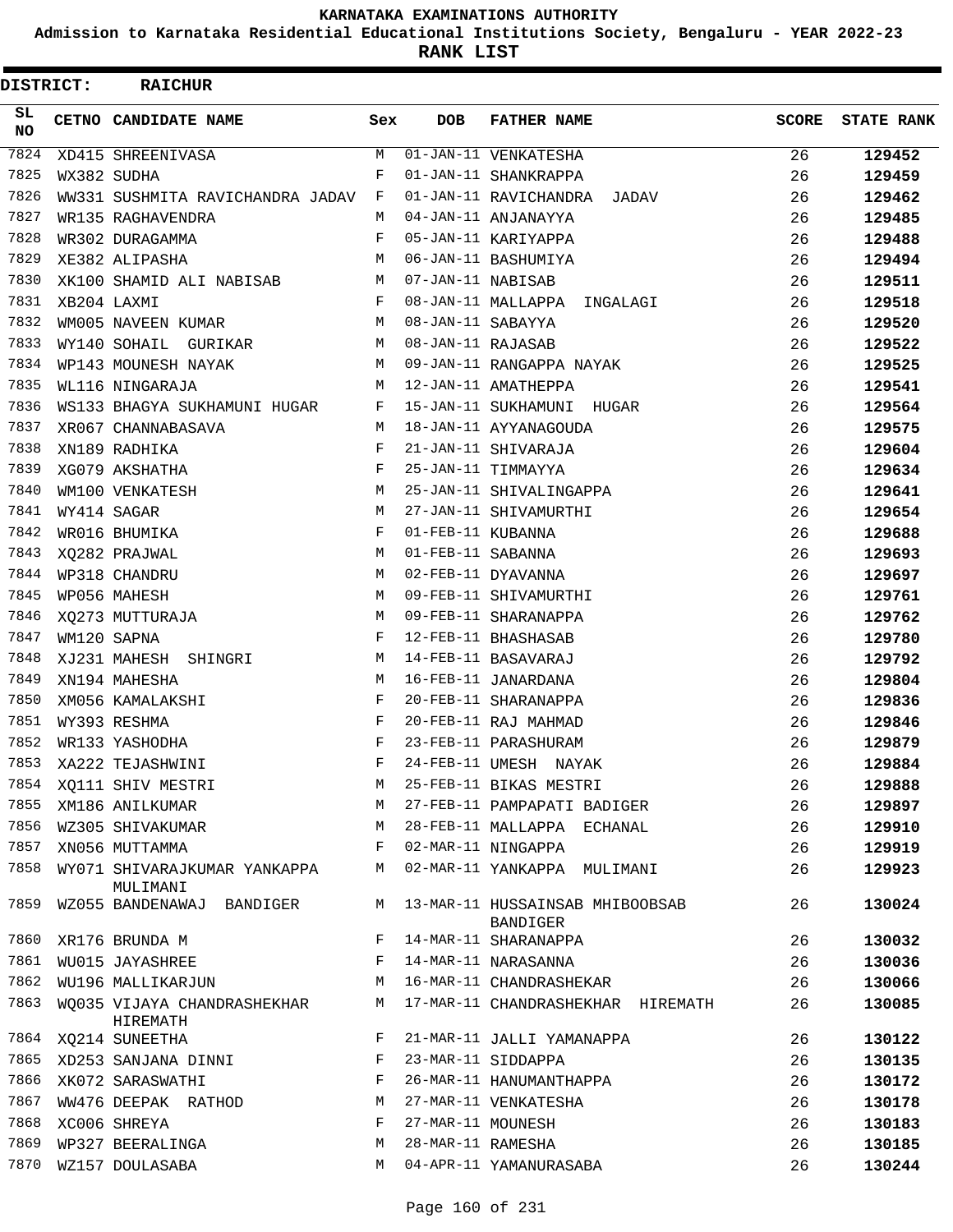**Admission to Karnataka Residential Educational Institutions Society, Bengaluru - YEAR 2022-23**

**RANK LIST**

| <b>DISTRICT:</b> | <b>RAICHUR</b>                           |     |                   |                                             |              |                   |
|------------------|------------------------------------------|-----|-------------------|---------------------------------------------|--------------|-------------------|
| SL<br><b>NO</b>  | CETNO CANDIDATE NAME                     | Sex | <b>DOB</b>        | <b>FATHER NAME</b>                          | <b>SCORE</b> | <b>STATE RANK</b> |
| 7824             | XD415 SHREENIVASA                        | M   |                   | 01-JAN-11 VENKATESHA                        | 26           | 129452            |
| 7825             | WX382 SUDHA                              | F   |                   | 01-JAN-11 SHANKRAPPA                        | 26           | 129459            |
| 7826             | WW331 SUSHMITA RAVICHANDRA JADAV F       |     |                   | 01-JAN-11 RAVICHANDRA JADAV                 | 26           | 129462            |
| 7827             | WR135 RAGHAVENDRA                        | M   |                   | 04-JAN-11 ANJANAYYA                         | 26           | 129485            |
| 7828             | WR302 DURAGAMMA                          | F   |                   | 05-JAN-11 KARIYAPPA                         | 26           | 129488            |
| 7829             | XE382 ALIPASHA                           | M   |                   | 06-JAN-11 BASHUMIYA                         | 26           | 129494            |
| 7830             | XK100 SHAMID ALI NABISAB                 | M   | 07-JAN-11 NABISAB |                                             | 26           | 129511            |
| 7831             | XB204 LAXMI                              | F   |                   | 08-JAN-11 MALLAPPA INGALAGI                 | 26           | 129518            |
| 7832             | WM005 NAVEEN KUMAR                       | М   | 08-JAN-11 SABAYYA |                                             | 26           | 129520            |
| 7833             | WY140 SOHAIL GURIKAR                     | M   | 08-JAN-11 RAJASAB |                                             | 26           | 129522            |
| 7834             | WP143 MOUNESH NAYAK                      | M   |                   | 09-JAN-11 RANGAPPA NAYAK                    | 26           | 129525            |
| 7835             | WL116 NINGARAJA                          | M   |                   | 12-JAN-11 AMATHEPPA                         | 26           | 129541            |
| 7836             | WS133 BHAGYA SUKHAMUNI HUGAR F           |     |                   | 15-JAN-11 SUKHAMUNI HUGAR                   | 26           | 129564            |
| 7837             | XR067 CHANNABASAVA                       | M   |                   | 18-JAN-11 AYYANAGOUDA                       | 26           | 129575            |
| 7838             | XN189 RADHIKA                            | F   |                   | 21-JAN-11 SHIVARAJA                         | 26           | 129604            |
| 7839             | XG079 AKSHATHA                           | F   |                   | 25-JAN-11 TIMMAYYA                          | 26           | 129634            |
| 7840             | WM100 VENKATESH                          | M   |                   | 25-JAN-11 SHIVALINGAPPA                     | 26           | 129641            |
| 7841             | WY414 SAGAR                              | M   |                   | 27-JAN-11 SHIVAMURTHI                       | 26           | 129654            |
| 7842             | WR016 BHUMIKA                            | F   | 01-FEB-11 KUBANNA |                                             | 26           | 129688            |
| 7843             | XQ282 PRAJWAL                            | M   | 01-FEB-11 SABANNA |                                             | 26           | 129693            |
| 7844             | WP318 CHANDRU                            | M   |                   | 02-FEB-11 DYAVANNA                          | 26           | 129697            |
| 7845             | WP056 MAHESH                             | M   |                   | 09-FEB-11 SHIVAMURTHI                       | 26           | 129761            |
| 7846             | XO273 MUTTURAJA                          | м   |                   | 09-FEB-11 SHARANAPPA                        | 26           | 129762            |
| 7847             | WM120 SAPNA                              | F   |                   | 12-FEB-11 BHASHASAB                         | 26           | 129780            |
| 7848             | XJ231 MAHESH SHINGRI                     | M   |                   | 14-FEB-11 BASAVARAJ                         | 26           | 129792            |
| 7849             | XN194 MAHESHA                            | M   |                   | 16-FEB-11 JANARDANA                         | 26           | 129804            |
| 7850             | XM056 KAMALAKSHI                         | F   |                   | 20-FEB-11 SHARANAPPA                        | 26           | 129836            |
| 7851             | WY393 RESHMA                             | F   |                   | 20-FEB-11 RAJ MAHMAD                        | 26           | 129846            |
| 7852             | WR133 YASHODHA                           | F   |                   | 23-FEB-11 PARASHURAM                        | 26           | 129879            |
| 7853             | XA222 TEJASHWINI                         | F   |                   | 24-FEB-11 UMESH NAYAK                       | 26           | 129884            |
| 7854             | XQ111 SHIV MESTRI                        | М   |                   | 25-FEB-11 BIKAS MESTRI                      | 26           | 129888            |
| 7855             | XM186 ANILKUMAR                          | M   |                   | 27-FEB-11 PAMPAPATI BADIGER                 | 26           | 129897            |
| 7856             | WZ305 SHIVAKUMAR                         | M   |                   | 28-FEB-11 MALLAPPA ECHANAL                  | 26           | 129910            |
| 7857             | XN056 MUTTAMMA                           | F   |                   | 02-MAR-11 NINGAPPA                          | 26           | 129919            |
| 7858             | WY071 SHIVARAJKUMAR YANKAPPA<br>MULIMANI | М   |                   | 02-MAR-11 YANKAPPA MULIMANI                 | 26           | 129923            |
| 7859             | WZ055 BANDENAWAJ BANDIGER                | M   |                   | 13-MAR-11 HUSSAINSAB MHIBOOBSAB<br>BANDIGER | 26           | 130024            |
| 7860             | XR176 BRUNDA M                           | F   |                   | 14-MAR-11 SHARANAPPA                        | 26           | 130032            |
| 7861             | WU015 JAYASHREE                          | F   |                   | 14-MAR-11 NARASANNA                         | 26           | 130036            |
| 7862             | WU196 MALLIKARJUN                        | М   |                   | 16-MAR-11 CHANDRASHEKAR                     | 26           | 130066            |
| 7863             | WQ035 VIJAYA CHANDRASHEKHAR<br>HIREMATH  | M   |                   | 17-MAR-11 CHANDRASHEKHAR HIREMATH           | 26           | 130085            |
| 7864             | XQ214 SUNEETHA                           | F   |                   | 21-MAR-11 JALLI YAMANAPPA                   | 26           | 130122            |
| 7865             | XD253 SANJANA DINNI                      | F   |                   | 23-MAR-11 SIDDAPPA                          | 26           | 130135            |
| 7866             | XK072 SARASWATHI                         | F   |                   | 26-MAR-11 HANUMANTHAPPA                     | 26           | 130172            |
| 7867             | WW476 DEEPAK RATHOD                      | М   |                   | 27-MAR-11 VENKATESHA                        | 26           | 130178            |
| 7868             | XC006 SHREYA                             | F   | 27-MAR-11 MOUNESH |                                             | 26           | 130183            |
| 7869             | WP327 BEERALINGA                         | М   | 28-MAR-11 RAMESHA |                                             | 26           | 130185            |
| 7870             | WZ157 DOULASABA                          | M   |                   | 04-APR-11 YAMANURASABA                      | 26           | 130244            |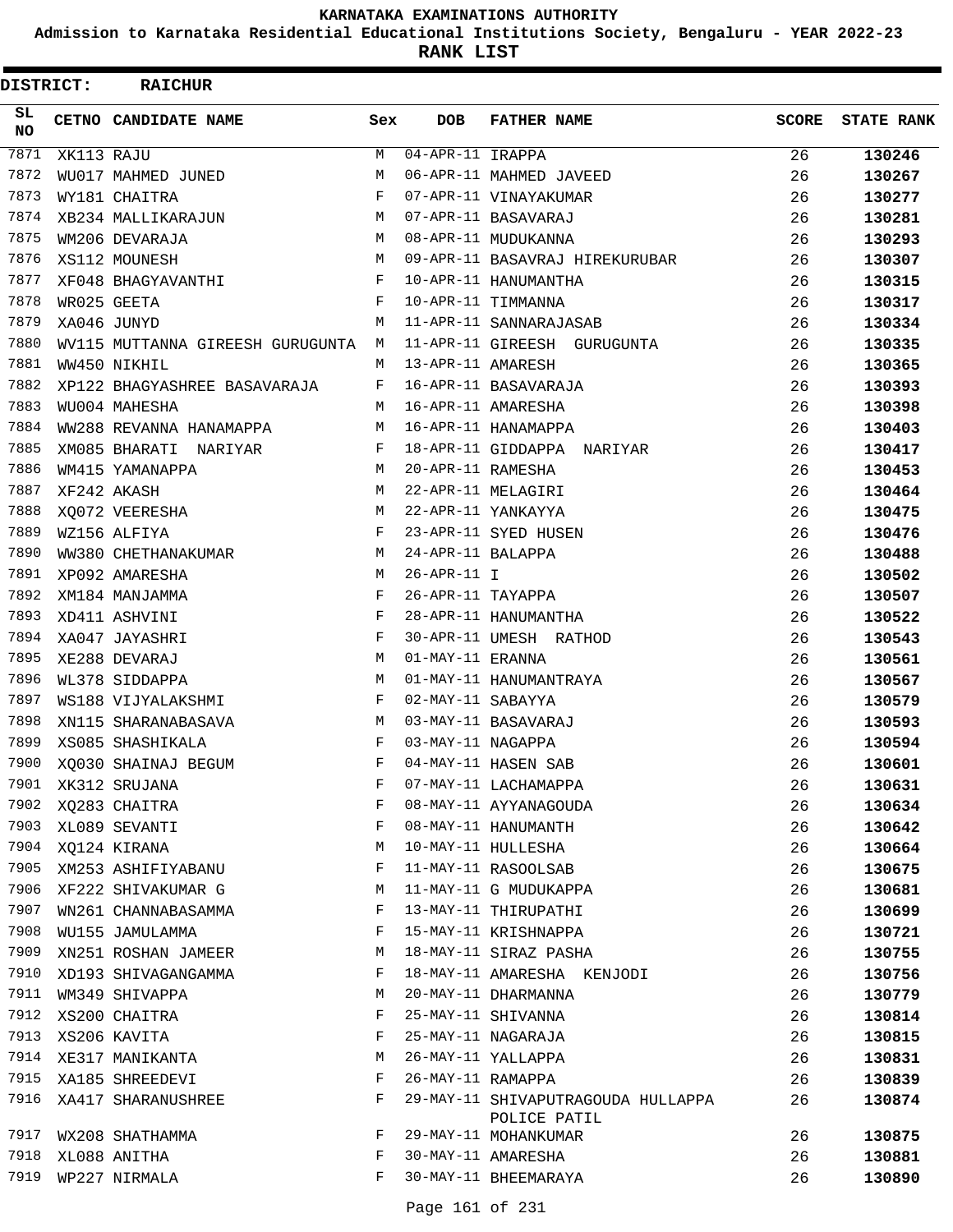**Admission to Karnataka Residential Educational Institutions Society, Bengaluru - YEAR 2022-23**

**RANK LIST**

| <b>DISTRICT:</b> |            | <b>RAICHUR</b>                   |     |                        |                                    |              |                   |
|------------------|------------|----------------------------------|-----|------------------------|------------------------------------|--------------|-------------------|
| SL<br><b>NO</b>  |            | CETNO CANDIDATE NAME             | Sex | <b>DOB</b>             | <b>FATHER NAME</b>                 | <b>SCORE</b> | <b>STATE RANK</b> |
| 7871             | XK113 RAJU |                                  | M   | $04 - APR - 11$ IRAPPA |                                    | 26           | 130246            |
| 7872             |            | WU017 MAHMED JUNED               | М   |                        | 06-APR-11 MAHMED JAVEED            | 26           | 130267            |
| 7873             |            | WY181 CHAITRA                    | F   |                        | 07-APR-11 VINAYAKUMAR              | 26           | 130277            |
| 7874             |            | XB234 MALLIKARAJUN               | М   |                        | 07-APR-11 BASAVARAJ                | 26           | 130281            |
| 7875             |            | WM206 DEVARAJA                   | М   |                        | 08-APR-11 MUDUKANNA                | 26           | 130293            |
| 7876             |            | XS112 MOUNESH                    | М   |                        | 09-APR-11 BASAVRAJ HIREKURUBAR     | 26           | 130307            |
| 7877             |            | XF048 BHAGYAVANTHI               | F   |                        | 10-APR-11 HANUMANTHA               | 26           | 130315            |
| 7878             |            | WR025 GEETA                      | F   |                        | 10-APR-11 TIMMANNA                 | 26           | 130317            |
| 7879             |            | XA046 JUNYD                      | M   |                        | 11-APR-11 SANNARAJASAB             | 26           | 130334            |
| 7880             |            | WV115 MUTTANNA GIREESH GURUGUNTA | M   |                        | 11-APR-11 GIREESH GURUGUNTA        | 26           | 130335            |
| 7881             |            | WW450 NIKHIL                     | М   | 13-APR-11 AMARESH      |                                    | 26           | 130365            |
| 7882             |            | XP122 BHAGYASHREE BASAVARAJA     | F   |                        | 16-APR-11 BASAVARAJA               | 26           | 130393            |
| 7883             |            | WU004 MAHESHA                    | М   |                        | 16-APR-11 AMARESHA                 | 26           | 130398            |
| 7884             |            | WW288 REVANNA HANAMAPPA          | М   |                        | 16-APR-11 HANAMAPPA                | 26           | 130403            |
| 7885             |            | XM085 BHARATI NARIYAR            | F   |                        | 18-APR-11 GIDDAPPA NARIYAR         | 26           | 130417            |
| 7886             |            | WM415 YAMANAPPA                  | M   | 20-APR-11 RAMESHA      |                                    | 26           | 130453            |
| 7887             |            | XF242 AKASH                      | М   |                        | 22-APR-11 MELAGIRI                 | 26           | 130464            |
| 7888             |            | XQ072 VEERESHA                   | М   |                        | 22-APR-11 YANKAYYA                 | 26           | 130475            |
| 7889             |            | WZ156 ALFIYA                     | F   |                        | 23-APR-11 SYED HUSEN               | 26           | 130476            |
| 7890             |            | WW380 CHETHANAKUMAR              | М   | 24-APR-11 BALAPPA      |                                    | 26           | 130488            |
| 7891             |            | XP092 AMARESHA                   | М   | $26 - APR - 11 I$      |                                    | 26           | 130502            |
| 7892             |            | XM184 MANJAMMA                   | F   | 26-APR-11 TAYAPPA      |                                    | 26           | 130507            |
| 7893             |            | XD411 ASHVINI                    | F   |                        | 28-APR-11 HANUMANTHA               | 26           | 130522            |
| 7894             |            | XA047 JAYASHRI                   | F   |                        | 30-APR-11 UMESH RATHOD             | 26           | 130543            |
| 7895             |            | XE288 DEVARAJ                    | М   | 01-MAY-11 ERANNA       |                                    | 26           | 130561            |
| 7896             |            | WL378 SIDDAPPA                   | М   |                        | 01-MAY-11 HANUMANTRAYA             | 26           | 130567            |
| 7897             |            | WS188 VIJYALAKSHMI               | F   | 02-MAY-11 SABAYYA      |                                    | 26           | 130579            |
| 7898             |            | XN115 SHARANABASAVA              | M   |                        | 03-MAY-11 BASAVARAJ                | 26           | 130593            |
| 7899             |            | XS085 SHASHIKALA                 | F   | 03-MAY-11 NAGAPPA      |                                    | 26           | 130594            |
| 7900             |            | XO030 SHAINAJ BEGUM              | F   |                        | 04-MAY-11 HASEN SAB                | 26           | 130601            |
| 7901             |            | XK312 SRUJANA                    | F   |                        | 07-MAY-11 LACHAMAPPA               | 26           | 130631            |
| 7902             |            | XQ283 CHAITRA                    | F   |                        | 08-MAY-11 AYYANAGOUDA              | 26           | 130634            |
| 7903             |            | XL089 SEVANTI                    | F   |                        | 08-MAY-11 HANUMANTH                | 26           | 130642            |
| 7904             |            | XQ124 KIRANA                     | М   |                        | 10-MAY-11 HULLESHA                 | 26           | 130664            |
| 7905             |            | XM253 ASHIFIYABANU               | F   |                        | 11-MAY-11 RASOOLSAB                | 26           | 130675            |
| 7906             |            | XF222 SHIVAKUMAR G               | М   |                        | 11-MAY-11 G MUDUKAPPA              | 26           | 130681            |
| 7907             |            | WN261 CHANNABASAMMA              | F   |                        | 13-MAY-11 THIRUPATHI               | 26           | 130699            |
| 7908             |            | WU155 JAMULAMMA                  | F   |                        | 15-MAY-11 KRISHNAPPA               | 26           | 130721            |
| 7909             |            | XN251 ROSHAN JAMEER              | М   |                        | 18-MAY-11 SIRAZ PASHA              | 26           | 130755            |
| 7910             |            | XD193 SHIVAGANGAMMA              | F   |                        | 18-MAY-11 AMARESHA KENJODI         | 26           | 130756            |
| 7911             |            | WM349 SHIVAPPA                   | М   |                        | 20-MAY-11 DHARMANNA                | 26           | 130779            |
| 7912             |            | XS200 CHAITRA                    | F   |                        | 25-MAY-11 SHIVANNA                 | 26           | 130814            |
| 7913             |            | XS206 KAVITA                     | F   |                        | 25-MAY-11 NAGARAJA                 | 26           | 130815            |
| 7914             |            | XE317 MANIKANTA                  | М   |                        | 26-MAY-11 YALLAPPA                 | 26           | 130831            |
| 7915             |            | XA185 SHREEDEVI                  | F   | 26-MAY-11 RAMAPPA      |                                    | 26           | 130839            |
| 7916             |            | XA417 SHARANUSHREE               | F   |                        | 29-MAY-11 SHIVAPUTRAGOUDA HULLAPPA | 26           | 130874            |
|                  |            |                                  |     |                        | POLICE PATIL                       |              |                   |
| 7917             |            | WX208 SHATHAMMA                  | F   |                        | 29-MAY-11 MOHANKUMAR               | 26           | 130875            |
| 7918             |            | XL088 ANITHA                     | F   |                        | 30-MAY-11 AMARESHA                 | 26           | 130881            |
| 7919             |            | WP227 NIRMALA                    | F   |                        | 30-MAY-11 BHEEMARAYA               | 26           | 130890            |
|                  |            |                                  |     |                        |                                    |              |                   |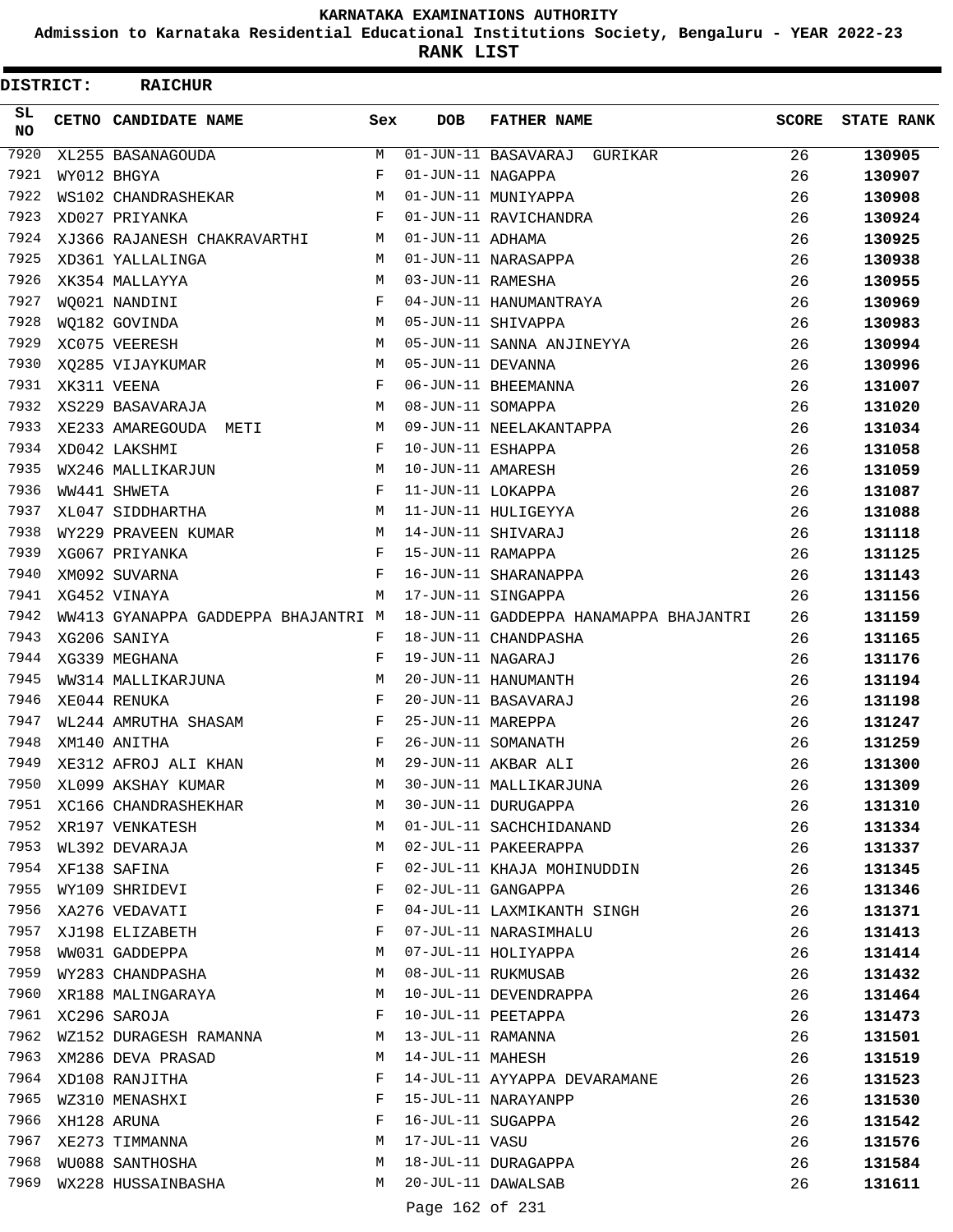**Admission to Karnataka Residential Educational Institutions Society, Bengaluru - YEAR 2022-23**

**RANK LIST**

| <b>DISTRICT:</b> | <b>RAICHUR</b>                          |     |                   |                                        |              |                   |
|------------------|-----------------------------------------|-----|-------------------|----------------------------------------|--------------|-------------------|
| SL<br>NO         | CETNO CANDIDATE NAME                    | Sex | <b>DOB</b>        | <b>FATHER NAME</b>                     | <b>SCORE</b> | <b>STATE RANK</b> |
| 7920             | XL255 BASANAGOUDA                       | M   |                   | 01-JUN-11 BASAVARAJ GURIKAR            | 26           | 130905            |
| 7921             | WY012 BHGYA                             | F   | 01-JUN-11 NAGAPPA |                                        | 26           | 130907            |
| 7922             | WS102 CHANDRASHEKAR                     | М   |                   | 01-JUN-11 MUNIYAPPA                    | 26           | 130908            |
| 7923             | XD027 PRIYANKA                          | F   |                   | 01-JUN-11 RAVICHANDRA                  | 26           | 130924            |
| 7924             | XJ366 RAJANESH CHAKRAVARTHI             | М   | 01-JUN-11 ADHAMA  |                                        | 26           | 130925            |
| 7925             | XD361 YALLALINGA                        | М   |                   | 01-JUN-11 NARASAPPA                    | 26           | 130938            |
| 7926             | XK354 MALLAYYA                          | М   | 03-JUN-11 RAMESHA |                                        | 26           | 130955            |
| 7927             | WQ021 NANDINI                           | F   |                   | 04-JUN-11 HANUMANTRAYA                 | 26           | 130969            |
| 7928             | WQ182 GOVINDA                           | M   |                   | 05-JUN-11 SHIVAPPA                     | 26           | 130983            |
| 7929             | XC075 VEERESH                           | М   |                   | 05-JUN-11 SANNA ANJINEYYA              | 26           | 130994            |
| 7930             | XQ285 VIJAYKUMAR                        | М   | 05-JUN-11 DEVANNA |                                        | 26           | 130996            |
| 7931             | XK311 VEENA                             | F   |                   | 06-JUN-11 BHEEMANNA                    | 26           | 131007            |
| 7932             | XS229 BASAVARAJA                        | М   | 08-JUN-11 SOMAPPA |                                        | 26           | 131020            |
| 7933             | XE233 AMAREGOUDA METI                   | M   |                   | 09-JUN-11 NEELAKANTAPPA                | 26           | 131034            |
| 7934             | XD042 LAKSHMI                           | F   | 10-JUN-11 ESHAPPA |                                        | 26           | 131058            |
| 7935             | WX246 MALLIKARJUN                       | М   | 10-JUN-11 AMARESH |                                        | 26           | 131059            |
| 7936             | WW441 SHWETA                            | F   | 11-JUN-11 LOKAPPA |                                        | 26           | 131087            |
| 7937             | XL047 SIDDHARTHA                        | М   |                   | 11-JUN-11 HULIGEYYA                    | 26           | 131088            |
| 7938             | WY229 PRAVEEN KUMAR                     | M   |                   | 14-JUN-11 SHIVARAJ                     | 26           | 131118            |
| 7939             | XG067 PRIYANKA                          | F   | 15-JUN-11 RAMAPPA |                                        | 26           | 131125            |
| 7940             | XM092 SUVARNA                           | F   |                   | 16-JUN-11 SHARANAPPA                   | 26           | 131143            |
| 7941             | XG452 VINAYA                            | М   |                   | 17-JUN-11 SINGAPPA                     | 26           | 131156            |
| 7942             | WW413 GYANAPPA GADDEPPA BHAJANTRI M     |     |                   | 18-JUN-11 GADDEPPA HANAMAPPA BHAJANTRI | 26           | 131159            |
| 7943             | XG206 SANIYA                            | F   |                   | 18-JUN-11 CHANDPASHA                   | 26           | 131165            |
| 7944             | XG339 MEGHANA                           | F   | 19-JUN-11 NAGARAJ |                                        | 26           | 131176            |
| 7945             | WW314 MALLIKARJUNA                      | М   |                   | 20-JUN-11 HANUMANTH                    | 26           | 131194            |
| 7946             | XE044 RENUKA                            | F   |                   | 20-JUN-11 BASAVARAJ                    | 26           | 131198            |
| 7947             | WL244 AMRUTHA SHASAM                    | F   | 25-JUN-11 MAREPPA |                                        | 26           | 131247            |
| 7948             | XM140 ANITHA                            | F   |                   | 26-JUN-11 SOMANATH                     | 26           | 131259            |
| 7949             | XE312 AFROJ ALI KHAN                    | М   |                   | 29-JUN-11 AKBAR ALI                    | 26           | 131300            |
| 7950             | XL099 AKSHAY KUMAR                      | М   |                   | 30-JUN-11 MALLIKARJUNA                 | 26           | 131309            |
| 7951             |                                         | М   |                   | 30-JUN-11 DURUGAPPA                    |              |                   |
| 7952             | XC166 CHANDRASHEKHAR<br>XR197 VENKATESH | М   |                   | 01-JUL-11 SACHCHIDANAND                | 26           | 131310            |
| 7953             |                                         | М   |                   | 02-JUL-11 PAKEERAPPA                   | 26<br>26     | 131334            |
| 7954             | WL392 DEVARAJA                          |     |                   |                                        |              | 131337            |
|                  | XF138 SAFINA                            | F   |                   | 02-JUL-11 KHAJA MOHINUDDIN             | 26           | 131345            |
| 7955             | WY109 SHRIDEVI                          | F   |                   | 02-JUL-11 GANGAPPA                     | 26           | 131346            |
| 7956             | XA276 VEDAVATI                          | F   |                   | 04-JUL-11 LAXMIKANTH SINGH             | 26           | 131371            |
| 7957             | XJ198 ELIZABETH                         | F   |                   | 07-JUL-11 NARASIMHALU                  | 26           | 131413            |
| 7958             | WW031 GADDEPPA                          | М   |                   | 07-JUL-11 HOLIYAPPA                    | 26           | 131414            |
| 7959             | WY283 CHANDPASHA                        | М   |                   | 08-JUL-11 RUKMUSAB                     | 26           | 131432            |
| 7960             | XR188 MALINGARAYA                       | М   |                   | 10-JUL-11 DEVENDRAPPA                  | 26           | 131464            |
| 7961             | XC296 SAROJA                            | F   |                   | 10-JUL-11 PEETAPPA                     | 26           | 131473            |
| 7962             | WZ152 DURAGESH RAMANNA                  | M   | 13-JUL-11 RAMANNA |                                        | 26           | 131501            |
| 7963             | XM286 DEVA PRASAD                       | М   | 14-JUL-11 MAHESH  |                                        | 26           | 131519            |
| 7964             | XD108 RANJITHA                          | F   |                   | 14-JUL-11 AYYAPPA DEVARAMANE           | 26           | 131523            |
| 7965             | WZ310 MENASHXI                          | F   |                   | 15-JUL-11 NARAYANPP                    | 26           | 131530            |
| 7966             | XH128 ARUNA                             | F   | 16-JUL-11 SUGAPPA |                                        | 26           | 131542            |
| 7967             | XE273 TIMMANNA                          | М   | 17-JUL-11 VASU    |                                        | 26           | 131576            |
| 7968             | WU088 SANTHOSHA                         | М   |                   | 18-JUL-11 DURAGAPPA                    | 26           | 131584            |
| 7969             | WX228 HUSSAINBASHA                      | М   |                   | 20-JUL-11 DAWALSAB                     | 26           | 131611            |
|                  |                                         |     | Page 162 of 231   |                                        |              |                   |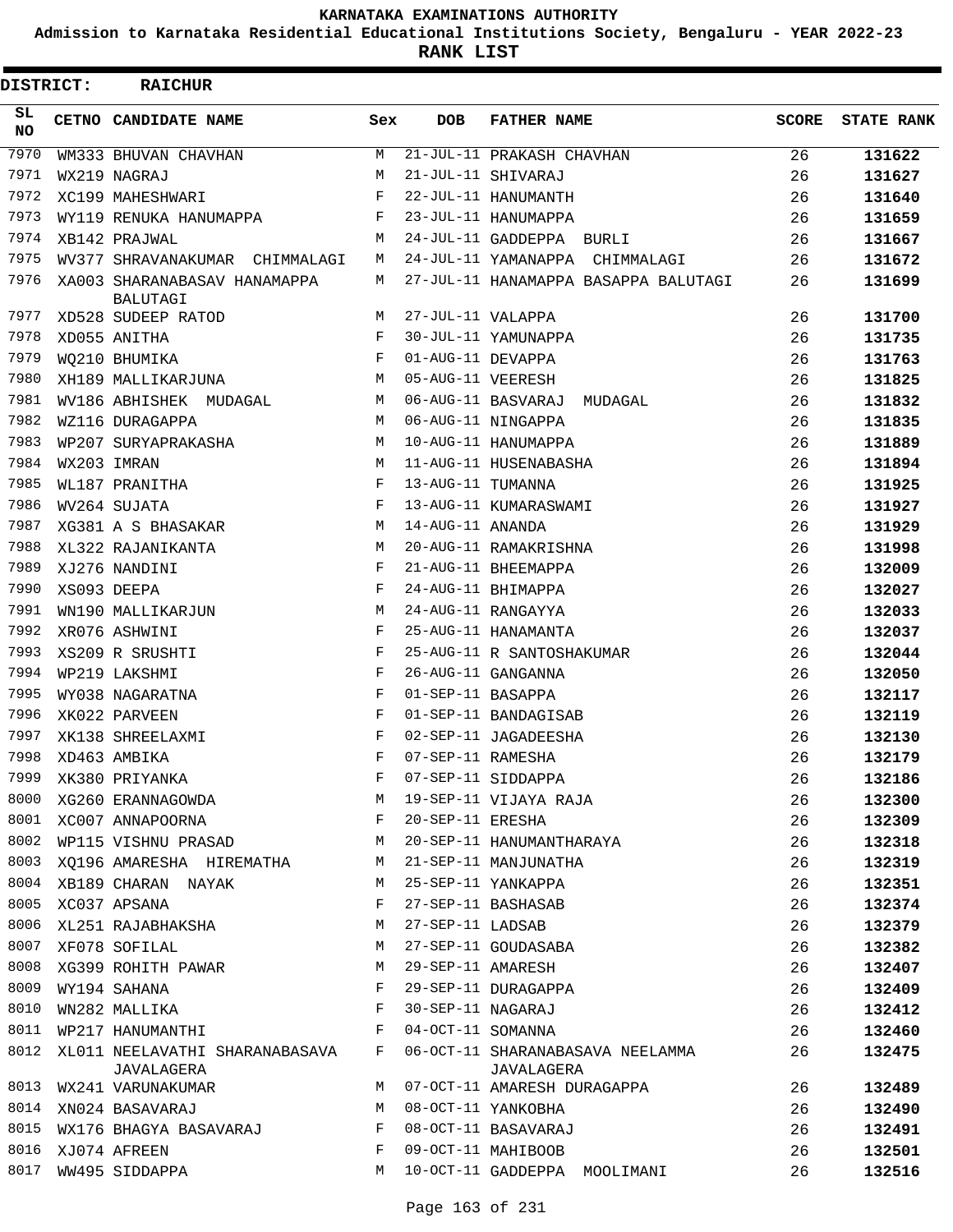**Admission to Karnataka Residential Educational Institutions Society, Bengaluru - YEAR 2022-23**

**RANK LIST**

Е

| DISTRICT:        | <b>RAICHUR</b>                               |     |                   |                                                |       |                   |
|------------------|----------------------------------------------|-----|-------------------|------------------------------------------------|-------|-------------------|
| SL.<br><b>NO</b> | CETNO CANDIDATE NAME                         | Sex | <b>DOB</b>        | <b>FATHER NAME</b>                             | SCORE | <b>STATE RANK</b> |
| 7970             | WM333 BHUVAN CHAVHAN                         | М   |                   | 21-JUL-11 PRAKASH CHAVHAN                      | 26    | 131622            |
| 7971             | WX219 NAGRAJ                                 | М   |                   | 21-JUL-11 SHIVARAJ                             | 26    | 131627            |
| 7972             | XC199 MAHESHWARI                             | F   |                   | 22-JUL-11 HANUMANTH                            | 26    | 131640            |
| 7973             | WY119 RENUKA HANUMAPPA                       | F   |                   | 23-JUL-11 HANUMAPPA                            | 26    | 131659            |
| 7974             | XB142 PRAJWAL                                | M   |                   | 24-JUL-11 GADDEPPA BURLI                       | 26    | 131667            |
| 7975             | WV377 SHRAVANAKUMAR CHIMMALAGI               | М   |                   | 24-JUL-11 YAMANAPPA CHIMMALAGI                 | 26    | 131672            |
| 7976             | XA003 SHARANABASAV HANAMAPPA<br>BALUTAGI     | М   |                   | 27-JUL-11 HANAMAPPA BASAPPA BALUTAGI           | 26    | 131699            |
| 7977             | XD528 SUDEEP RATOD                           | М   | 27-JUL-11 VALAPPA |                                                | 26    | 131700            |
| 7978             | XD055 ANITHA                                 | F   |                   | 30-JUL-11 YAMUNAPPA                            | 26    | 131735            |
| 7979             | WQ210 BHUMIKA                                | F   | 01-AUG-11 DEVAPPA |                                                | 26    | 131763            |
| 7980             | XH189 MALLIKARJUNA                           | М   | 05-AUG-11 VEERESH |                                                | 26    | 131825            |
| 7981             | WV186 ABHISHEK MUDAGAL                       | М   |                   | 06-AUG-11 BASVARAJ MUDAGAL                     | 26    | 131832            |
| 7982             | WZ116 DURAGAPPA                              | М   |                   | 06-AUG-11 NINGAPPA                             | 26    | 131835            |
| 7983             | WP207 SURYAPRAKASHA                          | М   |                   | 10-AUG-11 HANUMAPPA                            | 26    | 131889            |
| 7984             | WX203 IMRAN                                  | M   |                   | 11-AUG-11 HUSENABASHA                          | 26    | 131894            |
| 7985             | WL187 PRANITHA                               | F   | 13-AUG-11 TUMANNA |                                                | 26    | 131925            |
| 7986             | WV264 SUJATA                                 | F   |                   | 13-AUG-11 KUMARASWAMI                          | 26    | 131927            |
| 7987             | XG381 A S BHASAKAR                           | М   | 14-AUG-11 ANANDA  |                                                | 26    | 131929            |
| 7988             | XL322 RAJANIKANTA                            | М   |                   | 20-AUG-11 RAMAKRISHNA                          | 26    | 131998            |
| 7989             | XJ276 NANDINI                                | F   |                   | 21-AUG-11 BHEEMAPPA                            | 26    | 132009            |
| 7990             | XS093 DEEPA                                  | F   |                   | 24-AUG-11 BHIMAPPA                             | 26    | 132027            |
| 7991             | WN190 MALLIKARJUN                            | М   |                   | 24-AUG-11 RANGAYYA                             | 26    | 132033            |
| 7992             | XR076 ASHWINI                                | F   |                   | 25-AUG-11 HANAMANTA                            | 26    | 132037            |
| 7993             | XS209 R SRUSHTI                              | F   |                   | 25-AUG-11 R SANTOSHAKUMAR                      | 26    | 132044            |
| 7994             | WP219 LAKSHMI                                | F   |                   | 26-AUG-11 GANGANNA                             | 26    | 132050            |
| 7995             | WY038 NAGARATNA                              | F   | 01-SEP-11 BASAPPA |                                                | 26    | 132117            |
| 7996             | XK022 PARVEEN                                | F   |                   | 01-SEP-11 BANDAGISAB                           | 26    | 132119            |
| 7997             | XK138 SHREELAXMI                             | F   |                   | 02-SEP-11 JAGADEESHA                           | 26    | 132130            |
| 7998             | XD463 AMBIKA                                 | F   | 07-SEP-11 RAMESHA |                                                | 26    | 132179            |
| 7999             | XK380 PRIYANKA                               | F   |                   | 07-SEP-11 SIDDAPPA                             | 26    | 132186            |
| 8000             | XG260 ERANNAGOWDA                            | М   |                   | 19-SEP-11 VIJAYA RAJA                          | 26    | 132300            |
| 8001             | XC007 ANNAPOORNA                             | F   | 20-SEP-11 ERESHA  |                                                | 26    | 132309            |
| 8002             | WP115 VISHNU PRASAD                          | M   |                   | 20-SEP-11 HANUMANTHARAYA                       | 26    | 132318            |
| 8003             | XQ196 AMARESHA HIREMATHA                     | М   |                   | 21-SEP-11 MANJUNATHA                           | 26    | 132319            |
| 8004             | XB189 CHARAN NAYAK                           | М   |                   | 25-SEP-11 YANKAPPA                             | 26    | 132351            |
| 8005             | XC037 APSANA                                 | F   |                   | 27-SEP-11 BASHASAB                             | 26    | 132374            |
| 8006             | XL251 RAJABHAKSHA                            | М   | 27-SEP-11 LADSAB  |                                                | 26    | 132379            |
| 8007             | XF078 SOFILAL                                | М   |                   | 27-SEP-11 GOUDASABA                            | 26    | 132382            |
| 8008             | XG399 ROHITH PAWAR                           | М   | 29-SEP-11 AMARESH |                                                | 26    | 132407            |
| 8009             | WY194 SAHANA                                 | F   |                   | 29-SEP-11 DURAGAPPA                            | 26    | 132409            |
| 8010             | WN282 MALLIKA                                | F   | 30-SEP-11 NAGARAJ |                                                | 26    | 132412            |
| 8011             | WP217 HANUMANTHI                             | F   | 04-OCT-11 SOMANNA |                                                | 26    | 132460            |
| 8012             | XL011 NEELAVATHI SHARANABASAVA<br>JAVALAGERA | F   |                   | 06-OCT-11 SHARANABASAVA NEELAMMA<br>JAVALAGERA | 26    | 132475            |
| 8013             | WX241 VARUNAKUMAR                            | M   |                   | 07-OCT-11 AMARESH DURAGAPPA                    | 26    | 132489            |
| 8014             | XN024 BASAVARAJ                              | М   |                   | 08-OCT-11 YANKOBHA                             | 26    | 132490            |
| 8015             | WX176 BHAGYA BASAVARAJ                       | F   |                   | 08-OCT-11 BASAVARAJ                            | 26    | 132491            |
| 8016             | XJ074 AFREEN                                 | F   |                   | 09-OCT-11 MAHIBOOB                             | 26    | 132501            |
| 8017             | WW495 SIDDAPPA                               | M   |                   | 10-OCT-11 GADDEPPA MOOLIMANI                   | 26    | 132516            |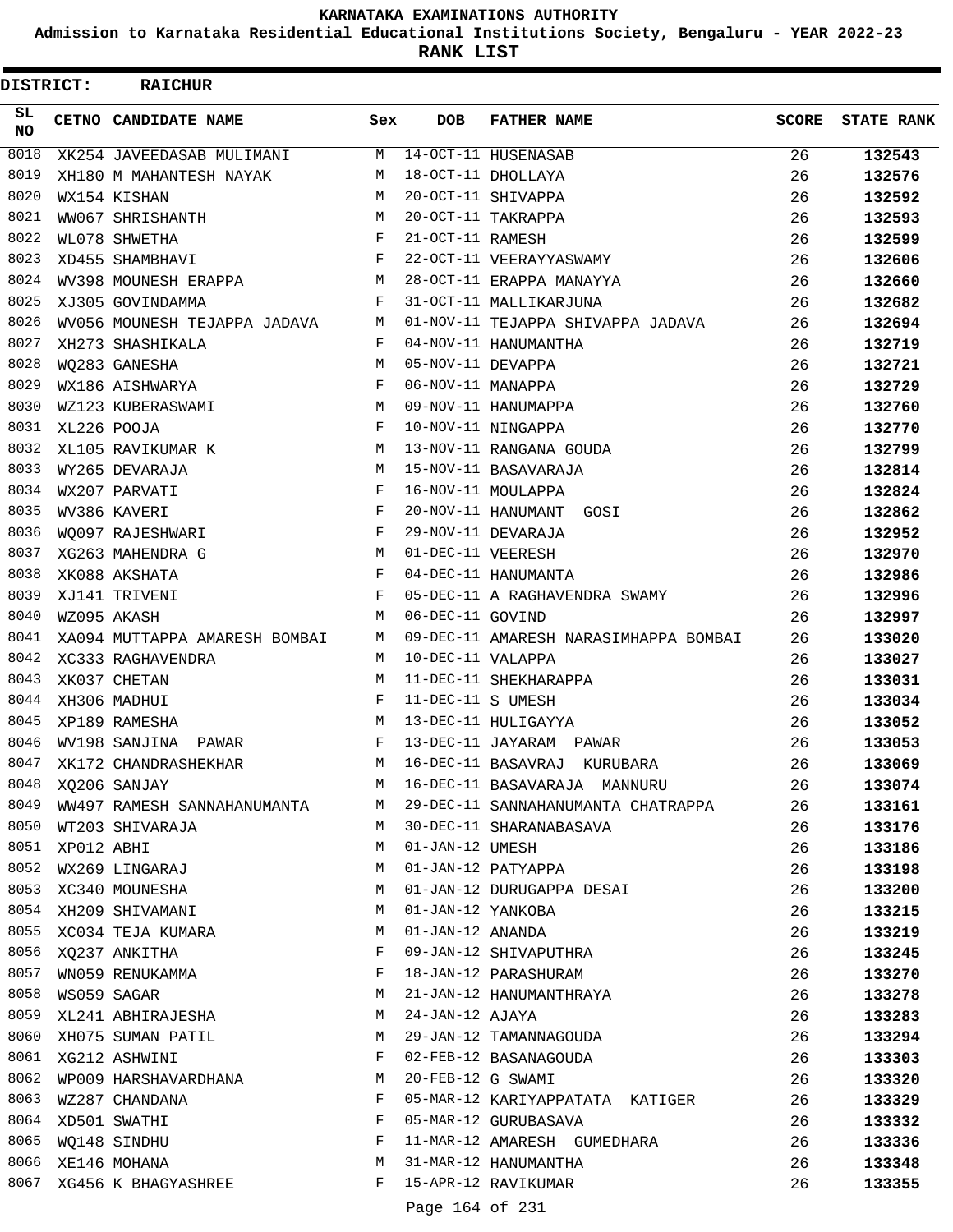**Admission to Karnataka Residential Educational Institutions Society, Bengaluru - YEAR 2022-23**

**RANK LIST**

| <b>DISTRICT:</b> |                  | <b>RAICHUR</b>                |     |                   |                                       |              |                   |
|------------------|------------------|-------------------------------|-----|-------------------|---------------------------------------|--------------|-------------------|
| SL.<br>NO.       |                  | CETNO CANDIDATE NAME          | Sex | <b>DOB</b>        | <b>FATHER NAME</b>                    | <b>SCORE</b> | <b>STATE RANK</b> |
| 8018             |                  | XK254 JAVEEDASAB MULIMANI     | M   |                   | 14-OCT-11 HUSENASAB                   | 26           | 132543            |
| 8019             |                  | XH180 M MAHANTESH NAYAK       | М   |                   | 18-OCT-11 DHOLLAYA                    | 26           | 132576            |
| 8020             |                  | WX154 KISHAN                  | M   |                   | 20-OCT-11 SHIVAPPA                    | 26           | 132592            |
| 8021             |                  | WW067 SHRISHANTH              | M   |                   | 20-OCT-11 TAKRAPPA                    | 26           | 132593            |
| 8022             |                  | WL078 SHWETHA                 | F   | 21-OCT-11 RAMESH  |                                       | 26           | 132599            |
| 8023             |                  | XD455 SHAMBHAVI               | F   |                   | 22-OCT-11 VEERAYYASWAMY               | 26           | 132606            |
| 8024             |                  | WV398 MOUNESH ERAPPA          | M   |                   | 28-OCT-11 ERAPPA MANAYYA              | 26           | 132660            |
| 8025             |                  | XJ305 GOVINDAMMA              | F   |                   | 31-OCT-11 MALLIKARJUNA                | 26           | 132682            |
| 8026             |                  | WV056 MOUNESH TEJAPPA JADAVA  | М   |                   | 01-NOV-11 TEJAPPA SHIVAPPA JADAVA     | 26           | 132694            |
| 8027             |                  | XH273 SHASHIKALA              | F   |                   | 04-NOV-11 HANUMANTHA                  | 26           | 132719            |
| 8028             |                  | WO283 GANESHA                 | M   | 05-NOV-11 DEVAPPA |                                       | 26           | 132721            |
| 8029             |                  | WX186 AISHWARYA               | F   | 06-NOV-11 MANAPPA |                                       | 26           | 132729            |
| 8030             |                  | WZ123 KUBERASWAMI             | M   |                   | 09-NOV-11 HANUMAPPA                   | 26           | 132760            |
| 8031             |                  | XL226 POOJA                   | F   |                   | 10-NOV-11 NINGAPPA                    | 26           | 132770            |
| 8032             |                  | XL105 RAVIKUMAR K             | M   |                   | 13-NOV-11 RANGANA GOUDA               | 26           | 132799            |
| 8033             |                  | WY265 DEVARAJA                | M   |                   | 15-NOV-11 BASAVARAJA                  | 26           | 132814            |
| 8034             |                  | WX207 PARVATI                 | F   |                   | 16-NOV-11 MOULAPPA                    | 26           | 132824            |
| 8035             |                  | WV386 KAVERI                  | F   |                   | 20-NOV-11 HANUMANT GOSI               | 26           | 132862            |
| 8036             |                  | WO097 RAJESHWARI              | F   |                   | 29-NOV-11 DEVARAJA                    | 26           | 132952            |
| 8037             |                  | XG263 MAHENDRA G              | М   | 01-DEC-11 VEERESH |                                       | 26           | 132970            |
| 8038             |                  | XK088 AKSHATA                 | F   |                   | 04-DEC-11 HANUMANTA                   | 26           | 132986            |
| 8039             |                  | XJ141 TRIVENI                 | F   |                   | 05-DEC-11 A RAGHAVENDRA SWAMY         | 26           | 132996            |
| 8040             |                  | WZ095 AKASH                   | M   | 06-DEC-11 GOVIND  |                                       | 26           | 132997            |
| 8041             |                  | XA094 MUTTAPPA AMARESH BOMBAI | М   |                   | 09-DEC-11 AMARESH NARASIMHAPPA BOMBAI | 26           | 133020            |
| 8042             |                  | XC333 RAGHAVENDRA             | М   | 10-DEC-11 VALAPPA |                                       | 26           | 133027            |
| 8043             |                  | XK037 CHETAN                  | M   |                   | 11-DEC-11 SHEKHARAPPA                 | 26           | 133031            |
| 8044             |                  | XH306 MADHUI                  | F   | 11-DEC-11 S UMESH |                                       | 26           | 133034            |
| 8045             |                  | XP189 RAMESHA                 | М   |                   | 13-DEC-11 HULIGAYYA                   | 26           | 133052            |
| 8046             |                  | WV198 SANJINA<br>PAWAR        | F   |                   | 13-DEC-11 JAYARAM PAWAR               | 26           | 133053            |
| 8047             |                  | XK172 CHANDRASHEKHAR          | M   |                   | 16-DEC-11 BASAVRAJ KURUBARA           | 26           | 133069            |
| 8048             |                  | XQ206 SANJAY                  | M   |                   | 16-DEC-11 BASAVARAJA MANNURU          | 26           | 133074            |
| 8049             |                  | WW497 RAMESH SANNAHANUMANTA   | M   |                   | 29-DEC-11 SANNAHANUMANTA CHATRAPPA    | 26           | 133161            |
|                  |                  | 8050 WT203 SHIVARAJA          | M   |                   | 30-DEC-11 SHARANABASAVA               | 26           | 133176            |
|                  | 8051 XP012 ABHI  |                               | M   | 01-JAN-12 UMESH   |                                       | 26           | 133186            |
|                  |                  | 8052 WX269 LINGARAJ           | M   |                   | 01-JAN-12 PATYAPPA                    | 26           | 133198            |
|                  |                  | 8053 XC340 MOUNESHA           | M   |                   | 01-JAN-12 DURUGAPPA DESAI             | 26           | 133200            |
| 8054             |                  | XH209 SHIVAMANI               | M   | 01-JAN-12 YANKOBA |                                       | 26           | 133215            |
|                  |                  | 8055 XC034 TEJA KUMARA        | M   | 01-JAN-12 ANANDA  |                                       | 26           | 133219            |
|                  |                  | 8056 XQ237 ANKITHA            | F   |                   | 09-JAN-12 SHIVAPUTHRA                 | 26           | 133245            |
| 8057             |                  | WN059 RENUKAMMA               | F   |                   | 18-JAN-12 PARASHURAM                  | 26           | 133270            |
|                  | 8058 WS059 SAGAR |                               | M   |                   | 21-JAN-12 HANUMANTHRAYA               | 26           | 133278            |
|                  |                  | 8059 XL241 ABHIRAJESHA        | M   | 24-JAN-12 AJAYA   |                                       | 26           | 133283            |
|                  |                  | 8060 XH075 SUMAN PATIL        | M   |                   | 29-JAN-12 TAMANNAGOUDA                | 26           | 133294            |
|                  |                  | 8061 XG212 ASHWINI            | F   |                   | 02-FEB-12 BASANAGOUDA                 | 26           | 133303            |
| 8062             |                  | WP009 HARSHAVARDHANA          | M   |                   | 20-FEB-12 G SWAMI                     | 26           | 133320            |
| 8063             |                  | WZ287 CHANDANA                | F   |                   | 05-MAR-12 KARIYAPPATATA KATIGER       | 26           | 133329            |
|                  |                  | 8064 XD501 SWATHI             | F   |                   | 05-MAR-12 GURUBASAVA                  | 26           | 133332            |
|                  |                  | 8065 WQ148 SINDHU             | F   |                   | 11-MAR-12 AMARESH GUMEDHARA           | 26           | 133336            |
|                  |                  | 8066 XE146 MOHANA             | M   |                   | 31-MAR-12 HANUMANTHA                  | 26           | 133348            |
|                  |                  | 8067 XG456 K BHAGYASHREE      | F   |                   | 15-APR-12 RAVIKUMAR                   | 26           | 133355            |
|                  |                  |                               |     | Page 164 of 231   |                                       |              |                   |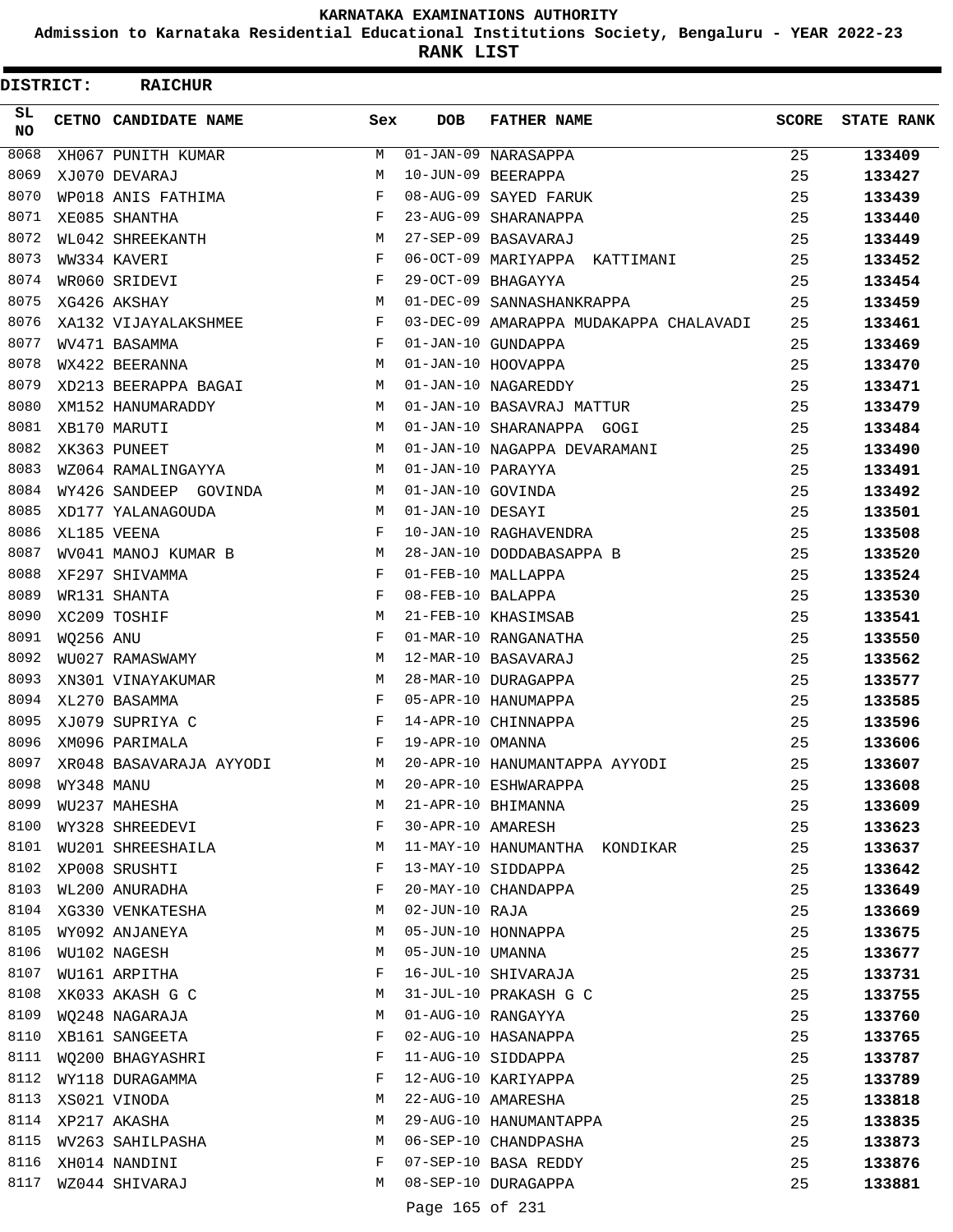**Admission to Karnataka Residential Educational Institutions Society, Bengaluru - YEAR 2022-23**

**RANK LIST**

| DISTRICT:        |            | <b>RAICHUR</b>          |     |                   |                                        |       |                   |
|------------------|------------|-------------------------|-----|-------------------|----------------------------------------|-------|-------------------|
| SL.<br><b>NO</b> |            | CETNO CANDIDATE NAME    | Sex | <b>DOB</b>        | <b>FATHER NAME</b>                     | SCORE | <b>STATE RANK</b> |
| 8068             |            | XH067 PUNITH KUMAR      | M   |                   | 01-JAN-09 NARASAPPA                    | 25    | 133409            |
| 8069             |            | XJ070 DEVARAJ           | М   |                   | 10-JUN-09 BEERAPPA                     | 25    | 133427            |
| 8070             |            | WP018 ANIS FATHIMA      | F   |                   | 08-AUG-09 SAYED FARUK                  | 25    | 133439            |
| 8071             |            | XE085 SHANTHA           | F   |                   | 23-AUG-09 SHARANAPPA                   | 25    | 133440            |
| 8072             |            | WL042 SHREEKANTH        | M   |                   | 27-SEP-09 BASAVARAJ                    | 25    | 133449            |
| 8073             |            | WW334 KAVERI            | F   |                   | 06-OCT-09 MARIYAPPA KATTIMANI          | 25    | 133452            |
| 8074             |            | WR060 SRIDEVI           | F   |                   | 29-OCT-09 BHAGAYYA                     | 25    | 133454            |
| 8075             |            | XG426 AKSHAY            | M   |                   | 01-DEC-09 SANNASHANKRAPPA              | 25    | 133459            |
| 8076             |            | XA132 VIJAYALAKSHMEE    | F   |                   | 03-DEC-09 AMARAPPA MUDAKAPPA CHALAVADI | 25    | 133461            |
| 8077             |            | WV471 BASAMMA           | F   |                   | 01-JAN-10 GUNDAPPA                     | 25    | 133469            |
| 8078             |            | WX422 BEERANNA          | M   |                   | 01-JAN-10 HOOVAPPA                     | 25    | 133470            |
| 8079             |            | XD213 BEERAPPA BAGAI    | М   |                   | 01-JAN-10 NAGAREDDY                    | 25    | 133471            |
| 8080             |            | XM152 HANUMARADDY       | M   |                   | 01-JAN-10 BASAVRAJ MATTUR              | 25    | 133479            |
| 8081             |            | XB170 MARUTI            | M   |                   | 01-JAN-10 SHARANAPPA GOGI              | 25    | 133484            |
| 8082             |            | XK363 PUNEET            | M   |                   | 01-JAN-10 NAGAPPA DEVARAMANI           | 25    | 133490            |
| 8083             |            | WZ064 RAMALINGAYYA      | M   | 01-JAN-10 PARAYYA |                                        | 25    | 133491            |
| 8084             |            | WY426 SANDEEP GOVINDA   | M   | 01-JAN-10 GOVINDA |                                        | 25    | 133492            |
| 8085             |            | XD177 YALANAGOUDA       | M   | 01-JAN-10 DESAYI  |                                        | 25    | 133501            |
| 8086             |            | XL185 VEENA             | F   |                   | 10-JAN-10 RAGHAVENDRA                  | 25    | 133508            |
| 8087             |            | WV041 MANOJ KUMAR B     | М   |                   | 28-JAN-10 DODDABASAPPA B               | 25    | 133520            |
| 8088             |            | XF297 SHIVAMMA          | F   |                   | 01-FEB-10 MALLAPPA                     | 25    | 133524            |
| 8089             |            | WR131 SHANTA            | F   | 08-FEB-10 BALAPPA |                                        | 25    | 133530            |
| 8090             |            | XC209 TOSHIF            | M   |                   | 21-FEB-10 KHASIMSAB                    | 25    | 133541            |
| 8091             | WO256 ANU  |                         | F   |                   | 01-MAR-10 RANGANATHA                   | 25    | 133550            |
| 8092             |            | WU027 RAMASWAMY         | M   |                   | 12-MAR-10 BASAVARAJ                    | 25    | 133562            |
| 8093             |            | XN301 VINAYAKUMAR       | М   |                   | 28-MAR-10 DURAGAPPA                    | 25    | 133577            |
| 8094             |            | XL270 BASAMMA           | F   |                   | 05-APR-10 HANUMAPPA                    | 25    | 133585            |
| 8095             |            | XJ079 SUPRIYA C         | F   |                   | 14-APR-10 CHINNAPPA                    | 25    | 133596            |
| 8096             |            | XM096 PARIMALA          | F   | 19-APR-10 OMANNA  |                                        | 25    | 133606            |
| 8097             |            | XR048 BASAVARAJA AYYODI | M   |                   | 20-APR-10 HANUMANTAPPA AYYODI          | 25    | 133607            |
| 8098             | WY348 MANU |                         | М   |                   | 20-APR-10 ESHWARAPPA                   | 25    | 133608            |
| 8099             |            | WU237 MAHESHA           | М   |                   | 21-APR-10 BHIMANNA                     | 25    | 133609            |
| 8100             |            | WY328 SHREEDEVI         | F   | 30-APR-10 AMARESH |                                        | 25    | 133623            |
| 8101             |            | WU201 SHREESHAILA       | M   |                   | 11-MAY-10 HANUMANTHA KONDIKAR          | 25    | 133637            |
| 8102             |            | XP008 SRUSHTI           | F   |                   | 13-MAY-10 SIDDAPPA                     | 25    | 133642            |
| 8103             |            | WL200 ANURADHA          | F   |                   | 20-MAY-10 CHANDAPPA                    | 25    | 133649            |
| 8104             |            | XG330 VENKATESHA        | М   | 02-JUN-10 RAJA    |                                        | 25    | 133669            |
| 8105             |            | WY092 ANJANEYA          | М   |                   | 05-JUN-10 HONNAPPA                     | 25    | 133675            |
| 8106             |            | WU102 NAGESH            | М   | 05-JUN-10 UMANNA  |                                        | 25    | 133677            |
| 8107             |            | WU161 ARPITHA           | F   |                   | 16-JUL-10 SHIVARAJA                    | 25    | 133731            |
| 8108             |            | XK033 AKASH G C         | М   |                   | 31-JUL-10 PRAKASH G C                  | 25    | 133755            |
| 8109             |            | WQ248 NAGARAJA          | М   |                   | 01-AUG-10 RANGAYYA                     | 25    | 133760            |
| 8110             |            | XB161 SANGEETA          | F   |                   | 02-AUG-10 HASANAPPA                    | 25    | 133765            |
| 8111             |            | WQ200 BHAGYASHRI        | F   |                   | 11-AUG-10 SIDDAPPA                     | 25    | 133787            |
| 8112             |            | WY118 DURAGAMMA         | F   |                   | 12-AUG-10 KARIYAPPA                    | 25    | 133789            |
| 8113             |            | XS021 VINODA            | М   |                   | 22-AUG-10 AMARESHA                     | 25    | 133818            |
| 8114             |            | XP217 AKASHA            | М   |                   | 29-AUG-10 HANUMANTAPPA                 | 25    | 133835            |
| 8115             |            | WV263 SAHILPASHA        | М   |                   | 06-SEP-10 CHANDPASHA                   | 25    | 133873            |
| 8116             |            | XH014 NANDINI           | F   |                   | 07-SEP-10 BASA REDDY                   | 25    | 133876            |
| 8117             |            | WZ044 SHIVARAJ          | М   |                   | 08-SEP-10 DURAGAPPA                    | 25    | 133881            |
|                  |            |                         |     | Page 165 of 231   |                                        |       |                   |
|                  |            |                         |     |                   |                                        |       |                   |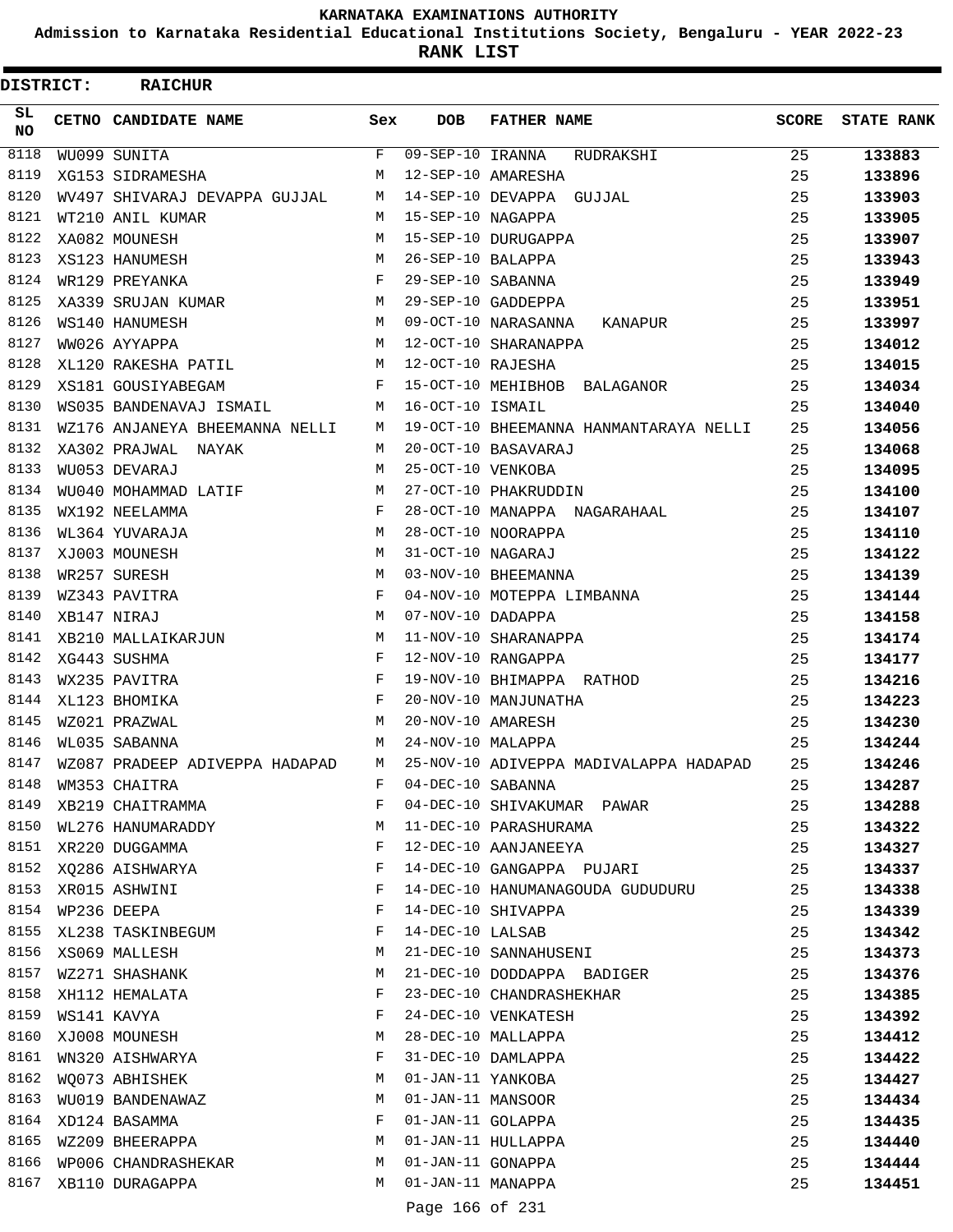**Admission to Karnataka Residential Educational Institutions Society, Bengaluru - YEAR 2022-23**

ı

**RANK LIST**

| DISTRICT:        | <b>RAICHUR</b>                   |        |                        |                                                        |              |                   |
|------------------|----------------------------------|--------|------------------------|--------------------------------------------------------|--------------|-------------------|
| SL.<br><b>NO</b> | CETNO CANDIDATE NAME             | Sex    | <b>DOB</b>             | <b>FATHER NAME</b>                                     | <b>SCORE</b> | <b>STATE RANK</b> |
| 8118             | WU099 SUNITA                     | F      | $09 - SEP - 10$ IRANNA | RUDRAKSHI                                              | 25           | 133883            |
| 8119             | XG153 SIDRAMESHA                 | M      |                        | 12-SEP-10 AMARESHA                                     | 25           | 133896            |
| 8120             | WV497 SHIVARAJ DEVAPPA GUJJAL    | M      |                        | 14-SEP-10 DEVAPPA GUJJAL                               | 25           | 133903            |
| 8121             | WT210 ANIL KUMAR                 | M      | 15-SEP-10 NAGAPPA      |                                                        | 25           | 133905            |
| 8122             | XA082 MOUNESH                    | M      |                        | 15-SEP-10 DURUGAPPA                                    | 25           | 133907            |
| 8123             | XS123 HANUMESH                   | M      | 26-SEP-10 BALAPPA      |                                                        | 25           | 133943            |
| 8124             | WR129 PREYANKA                   | F      | 29-SEP-10 SABANNA      |                                                        | 25           | 133949            |
| 8125             | XA339 SRUJAN KUMAR               | М      |                        | 29-SEP-10 GADDEPPA                                     | 25           | 133951            |
| 8126             | WS140 HANUMESH                   | М      |                        | 09-OCT-10 NARASANNA<br>KANAPUR                         | 25           | 133997            |
| 8127             | WW026 AYYAPPA                    | М      |                        | 12-OCT-10 SHARANAPPA                                   | 25           | 134012            |
| 8128             | XL120 RAKESHA PATIL              | М      | 12-OCT-10 RAJESHA      |                                                        | 25           | 134015            |
| 8129             | XS181 GOUSIYABEGAM               | F      |                        | 15-OCT-10 MEHIBHOB BALAGANOR                           | 25           | 134034            |
| 8130             | WS035 BANDENAVAJ ISMAIL          | M      | 16-OCT-10 ISMAIL       |                                                        | 25           | 134040            |
| 8131             | WZ176 ANJANEYA BHEEMANNA NELLI   | M      |                        | 19-OCT-10 BHEEMANNA HANMANTARAYA NELLI                 | 25           | 134056            |
| 8132             | XA302 PRAJWAL NAYAK              | M      |                        | 20-OCT-10 BASAVARAJ                                    | 25           | 134068            |
| 8133             | WU053 DEVARAJ                    | M      | 25-OCT-10 VENKOBA      |                                                        | 25           | 134095            |
| 8134             | WU040 MOHAMMAD LATIF             | М      |                        | 27-OCT-10 PHAKRUDDIN                                   | 25           | 134100            |
| 8135             | WX192 NEELAMMA                   | F      |                        | 28-OCT-10 MANAPPA NAGARAHAAL                           | 25           | 134107            |
| 8136             | WL364 YUVARAJA                   | М      |                        | 28-OCT-10 NOORAPPA                                     | 25           | 134110            |
| 8137             | XJ003 MOUNESH                    | M      | 31-OCT-10 NAGARAJ      |                                                        | 25           | 134122            |
| 8138             | WR257 SURESH                     | M      |                        | 03-NOV-10 BHEEMANNA                                    | 25           | 134139            |
| 8139             | WZ343 PAVITRA                    | F      |                        | 04-NOV-10 MOTEPPA LIMBANNA                             | 25           | 134144            |
| 8140             | XB147 NIRAJ                      | M      | 07-NOV-10 DADAPPA      |                                                        | 25           | 134158            |
| 8141             | XB210 MALLAIKARJUN               | М      |                        | 11-NOV-10 SHARANAPPA                                   | 25           | 134174            |
| 8142             | XG443 SUSHMA                     | F      |                        | 12-NOV-10 RANGAPPA                                     | 25           | 134177            |
| 8143             | WX235 PAVITRA                    | F      |                        | 19-NOV-10 BHIMAPPA RATHOD                              | 25           | 134216            |
| 8144             | XL123 BHOMIKA                    | F      |                        | 20-NOV-10 MANJUNATHA                                   | 25           | 134223            |
| 8145             | WZ021 PRAZWAL                    | M      | 20-NOV-10 AMARESH      |                                                        | 25           | 134230            |
| 8146             | WL035 SABANNA                    | М      | 24-NOV-10 MALAPPA      |                                                        | 25           | 134244            |
| 8147             | WZ087 PRADEEP ADIVEPPA HADAPAD   | M      |                        | 25-NOV-10 ADIVEPPA MADIVALAPPA HADAPAD                 | 25           | 134246            |
| 8148             | WM353 CHAITRA                    | F      | 04-DEC-10 SABANNA      |                                                        | 25           | 134287            |
| 8149             | XB219 CHAITRAMMA                 | F      |                        | 04-DEC-10 SHIVAKUMAR PAWAR                             | 25           | 134288            |
| 8150             | WL276 HANUMARADDY                | М<br>F |                        | 11-DEC-10 PARASHURAMA                                  | 25           | 134322            |
| 8152             | 8151 XR220 DUGGAMMA              | F      |                        | 12-DEC-10 AANJANEEYA                                   | 25           | 134327            |
| 8153             | XQ286 AISHWARYA                  | F      |                        | 14-DEC-10 GANGAPPA PUJARI                              | 25           | 134337            |
| 8154             | XR015 ASHWINI<br>WP236 DEEPA     | F      |                        | 14-DEC-10 HANUMANAGOUDA GUDUDURU<br>14-DEC-10 SHIVAPPA | 25           | 134338            |
| 8155             |                                  | F      | 14-DEC-10 LALSAB       |                                                        | 25           | 134339            |
| 8156             | XL238 TASKINBEGUM                | М      |                        | 21-DEC-10 SANNAHUSENI                                  | 25<br>25     | 134342            |
| 8157             | XS069 MALLESH                    | М      |                        | 21-DEC-10 DODDAPPA BADIGER                             | 25           | 134373<br>134376  |
| 8158             | WZ271 SHASHANK<br>XH112 HEMALATA | F      |                        | 23-DEC-10 CHANDRASHEKHAR                               | 25           | 134385            |
| 8159             | WS141 KAVYA                      | F      |                        | 24-DEC-10 VENKATESH                                    | 25           |                   |
| 8160             |                                  | М      |                        | 28-DEC-10 MALLAPPA                                     |              | 134392            |
| 8161             | XJ008 MOUNESH<br>WN320 AISHWARYA | F      |                        | 31-DEC-10 DAMLAPPA                                     | 25<br>25     | 134412<br>134422  |
| 8162             | WQ073 ABHISHEK                   | М      | 01-JAN-11 YANKOBA      |                                                        | 25           | 134427            |
| 8163             | WU019 BANDENAWAZ                 | М      | 01-JAN-11 MANSOOR      |                                                        | 25           | 134434            |
| 8164             | XD124 BASAMMA                    | F      | 01-JAN-11 GOLAPPA      |                                                        | 25           | 134435            |
| 8165             | WZ209 BHEERAPPA                  | М      |                        | 01-JAN-11 HULLAPPA                                     | 25           | 134440            |
| 8166             | WP006 CHANDRASHEKAR              | М      | 01-JAN-11 GONAPPA      |                                                        | 25           | 134444            |
| 8167             | XB110 DURAGAPPA                  | M      | 01-JAN-11 MANAPPA      |                                                        | 25           | 134451            |
|                  |                                  |        |                        |                                                        |              |                   |
|                  |                                  |        | Page 166 of 231        |                                                        |              |                   |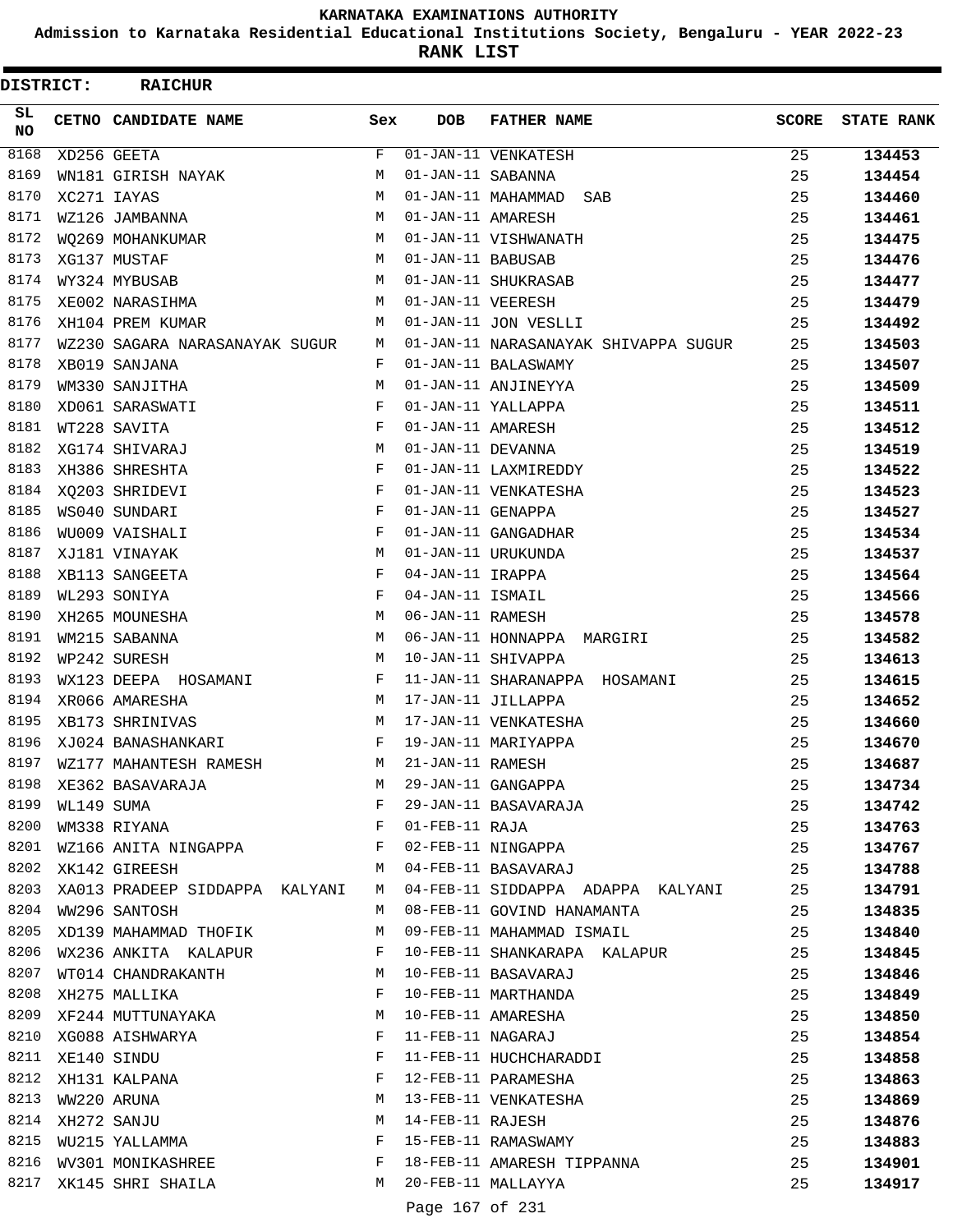**Admission to Karnataka Residential Educational Institutions Society, Bengaluru - YEAR 2022-23**

**RANK LIST**

| DISTRICT: |                  | <b>RAICHUR</b>                      |            |                   |                                                                                                        |              |                   |
|-----------|------------------|-------------------------------------|------------|-------------------|--------------------------------------------------------------------------------------------------------|--------------|-------------------|
| SL.<br>NO |                  | CETNO CANDIDATE NAME                | Sex        | <b>DOB</b>        | <b>FATHER NAME</b>                                                                                     | <b>SCORE</b> | <b>STATE RANK</b> |
| 8168      |                  | XD256 GEETA                         | F          |                   | 01-JAN-11 VENKATESH                                                                                    | 25           | 134453            |
| 8169      |                  | WN181 GIRISH NAYAK                  | М          | 01-JAN-11 SABANNA |                                                                                                        | 25           | 134454            |
| 8170      |                  | XC271 IAYAS                         | М          |                   | 01-JAN-11 MAHAMMAD<br>SAB                                                                              | 25           | 134460            |
| 8171      |                  | WZ126 JAMBANNA                      | М          | 01-JAN-11 AMARESH |                                                                                                        | 25           | 134461            |
| 8172      |                  | WO269 MOHANKUMAR                    | М          |                   | 01-JAN-11 VISHWANATH                                                                                   | 25           | 134475            |
| 8173      |                  | XG137 MUSTAF                        | М          | 01-JAN-11 BABUSAB |                                                                                                        | 25           | 134476            |
| 8174      |                  | WY324 MYBUSAB                       | М          |                   | 01-JAN-11 SHUKRASAB                                                                                    | 25           | 134477            |
| 8175      |                  | XE002 NARASIHMA                     | М          | 01-JAN-11 VEERESH |                                                                                                        | 25           | 134479            |
| 8176      |                  | XH104 PREM KUMAR                    | M          |                   | 01-JAN-11 JON VESLLI                                                                                   | 25           | 134492            |
| 8177      |                  | WZ230 SAGARA NARASANAYAK SUGUR      | М          |                   | 01-JAN-11 NARASANAYAK SHIVAPPA SUGUR                                                                   | 25           | 134503            |
| 8178      |                  | XB019 SANJANA                       | F          |                   | 01-JAN-11 BALASWAMY                                                                                    | 25           | 134507            |
| 8179      |                  | WM330 SANJITHA                      | М          |                   | 01-JAN-11 ANJINEYYA                                                                                    | 25           | 134509            |
| 8180      |                  | XD061 SARASWATI                     | F          |                   | 01-JAN-11 YALLAPPA                                                                                     | 25           | 134511            |
| 8181      |                  | WT228 SAVITA                        | F          | 01-JAN-11 AMARESH |                                                                                                        | 25           | 134512            |
| 8182      |                  | XG174 SHIVARAJ                      | М          | 01-JAN-11 DEVANNA |                                                                                                        | 25           | 134519            |
| 8183      |                  | XH386 SHRESHTA                      | F          |                   | 01-JAN-11 LAXMIREDDY                                                                                   | 25           | 134522            |
| 8184      |                  | XQ203 SHRIDEVI                      | $_{\rm F}$ |                   | 01-JAN-11 VENKATESHA                                                                                   | 25           | 134523            |
| 8185      |                  | WS040 SUNDARI                       | F          | 01-JAN-11 GENAPPA |                                                                                                        | 25           | 134527            |
| 8186      |                  | WU009 VAISHALI                      | F          |                   | 01-JAN-11 GANGADHAR                                                                                    | 25           | 134534            |
| 8187      |                  | XJ181 VINAYAK                       | М          |                   | 01-JAN-11 URUKUNDA                                                                                     | 25           | 134537            |
| 8188      |                  | XB113 SANGEETA                      | F          | 04-JAN-11 IRAPPA  |                                                                                                        | 25           | 134564            |
| 8189      |                  | WL293 SONIYA                        | F          | 04-JAN-11 ISMAIL  |                                                                                                        | 25           | 134566            |
| 8190      |                  | XH265 MOUNESHA                      | М          | 06-JAN-11 RAMESH  |                                                                                                        | 25           | 134578            |
| 8191      |                  | WM215 SABANNA                       | М          |                   | 06-JAN-11 HONNAPPA MARGIRI                                                                             | 25           | 134582            |
| 8192      |                  | WP242 SURESH                        | М          |                   | 10-JAN-11 SHIVAPPA                                                                                     | 25           | 134613            |
| 8193      |                  | WX123 DEEPA HOSAMANI                | F          |                   | 11-JAN-11 SHARANAPPA HOSAMANI                                                                          | 25           | 134615            |
| 8194      |                  | XR066 AMARESHA                      | М          |                   | 17-JAN-11 JILLAPPA                                                                                     | 25           | 134652            |
| 8195      |                  | XB173 SHRINIVAS                     | М          |                   | 17-JAN-11 VENKATESHA                                                                                   | 25           | 134660            |
| 8196      |                  | XJ024 BANASHANKARI                  | F          |                   | 19-JAN-11 MARIYAPPA                                                                                    | 25           | 134670            |
| 8197      |                  | WZ177 MAHANTESH RAMESH              | M          | 21-JAN-11 RAMESH  |                                                                                                        | 25           | 134687            |
| 8198      |                  |                                     | M          |                   | 21-JAN-11 RAMESH<br>29-JAN-11 GANGAPPA<br>29-JAN-11 BASAVARAJA<br>01-FEB-11 RAJA<br>02-FEB-11 NINGAPPA | 25           | 134734            |
| 8199      |                  | XE362 BASAVARAJA                    |            |                   |                                                                                                        | 25           | 134742            |
| 8200      |                  | WL149 SUMA<br>WM338 RIYANA F        |            |                   |                                                                                                        |              |                   |
| 8201      |                  | WZ166 ANITA NINGAPPA F              |            |                   |                                                                                                        | 25           | 134763            |
| 8202      |                  |                                     |            |                   |                                                                                                        | 25           | 134767            |
|           |                  | XK142 GIREESH                       | M          |                   | 04-FEB-11 BASAVARAJ                                                                                    | 25           | 134788            |
|           |                  | 8203 XA013 PRADEEP SIDDAPPA KALYANI | M          |                   | 04-FEB-11 SIDDAPPA ADAPPA KALYANI                                                                      | 25           | 134791            |
|           |                  | 8204 WW296 SANTOSH                  | M          |                   | 08-FEB-11 GOVIND HANAMANTA                                                                             | 25           | 134835            |
| 8205      |                  | XD139 MAHAMMAD THOFIK               | М          |                   | 09-FEB-11 MAHAMMAD ISMAIL                                                                              | 25           | 134840            |
| 8206      |                  | WX236 ANKITA KALAPUR                | F          |                   | 10-FEB-11 SHANKARAPA KALAPUR                                                                           | 25           | 134845            |
| 8207      |                  | WT014 CHANDRAKANTH                  | M          |                   | 10-FEB-11 BASAVARAJ                                                                                    | 25           | 134846            |
| 8208      |                  | XH275 MALLIKA                       | F          |                   | 10-FEB-11 MARTHANDA                                                                                    | 25           | 134849            |
| 8209      |                  | XF244 MUTTUNAYAKA                   | M          |                   | 10-FEB-11 AMARESHA                                                                                     | 25           | 134850            |
| 8210      |                  | XG088 AISHWARYA                     | F          |                   | 11-FEB-11 NAGARAJ                                                                                      | 25           | 134854            |
|           | 8211 XE140 SINDU |                                     | F          |                   | 11-FEB-11 HUCHCHARADDI                                                                                 | 25           | 134858            |
| 8212      |                  | XH131 KALPANA                       | F          |                   | 12-FEB-11 PARAMESHA                                                                                    | 25           | 134863            |
| 8213      |                  | WW220 ARUNA                         | М          |                   | 13-FEB-11 VENKATESHA                                                                                   | 25           | 134869            |
| 8214      |                  | XH272 SANJU                         | M          | 14-FEB-11 RAJESH  |                                                                                                        | 25           | 134876            |
| 8215      |                  | WU215 YALLAMMA                      | F          |                   | 15-FEB-11 RAMASWAMY                                                                                    | 25           | 134883            |
| 8216      |                  | WV301 MONIKASHREE                   | F          |                   | 18-FEB-11 AMARESH TIPPANNA                                                                             | 25           | 134901            |
| 8217      |                  | XK145 SHRI SHAILA                   | M          |                   | 20-FEB-11 MALLAYYA                                                                                     | 25           | 134917            |
|           |                  |                                     |            | Page 167 of 231   |                                                                                                        |              |                   |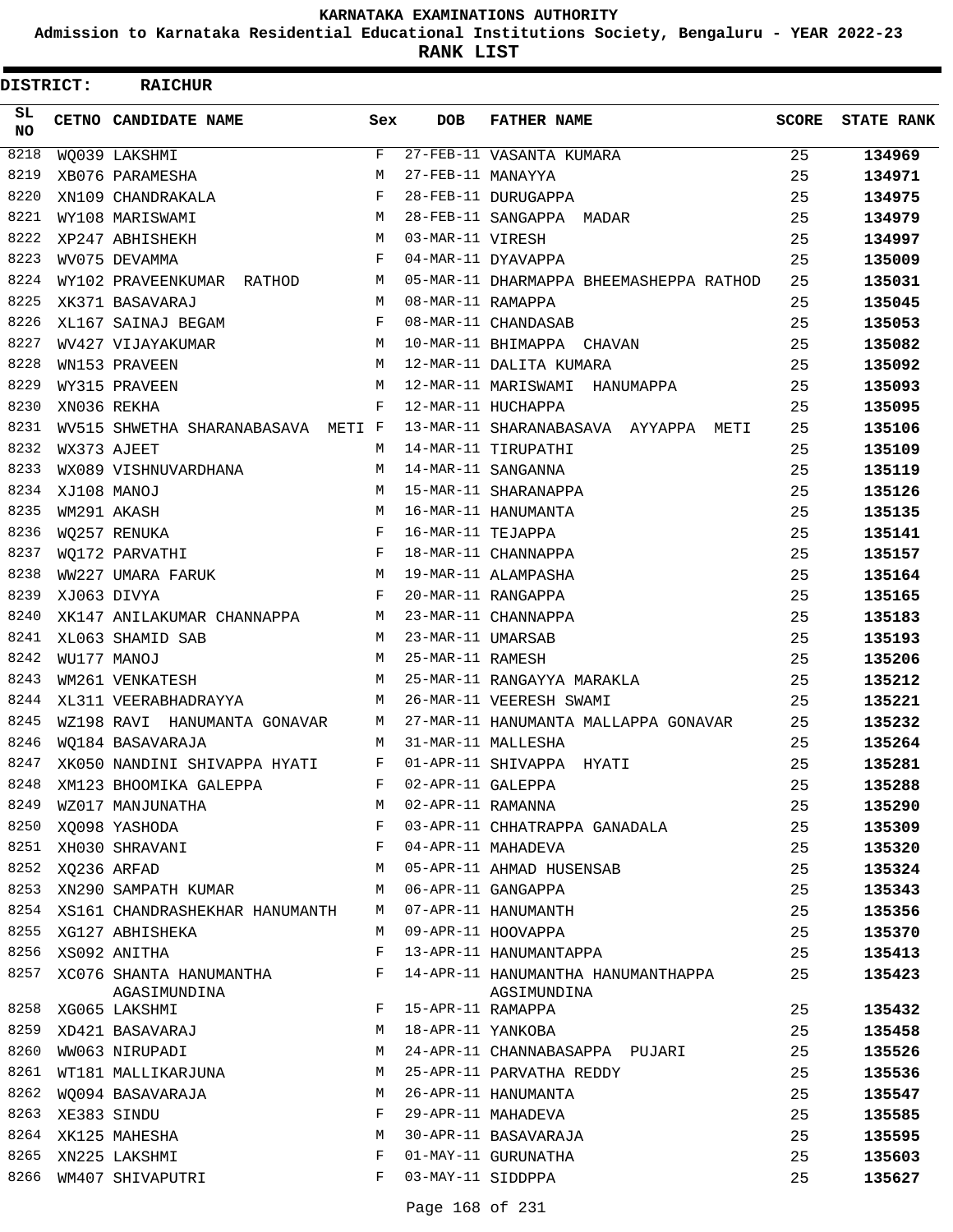**Admission to Karnataka Residential Educational Institutions Society, Bengaluru - YEAR 2022-23**

**RANK LIST**

| DISTRICT:  | <b>RAICHUR</b>                                                                        |              |                   |                                                                                           |              |                   |
|------------|---------------------------------------------------------------------------------------|--------------|-------------------|-------------------------------------------------------------------------------------------|--------------|-------------------|
| SL.<br>NO. | CETNO CANDIDATE NAME                                                                  | Sex          | <b>DOB</b>        | <b>FATHER NAME</b>                                                                        | <b>SCORE</b> | <b>STATE RANK</b> |
| 8218       | WQ039 LAKSHMI                                                                         | $\mathbf{F}$ |                   | 27-FEB-11 VASANTA KUMARA                                                                  | 25           | 134969            |
| 8219       | XB076 PARAMESHA                                                                       | M            | 27-FEB-11 MANAYYA |                                                                                           | 25           | 134971            |
| 8220       | XN109 CHANDRAKALA<br>WY109 MARIGUILLE                                                 | $\mathbf{F}$ |                   | 28-FEB-11 DURUGAPPA                                                                       | 25           | 134975            |
| 8221       | WY108 MARISWAMI                                                                       | M            |                   | 28-FEB-11 SANGAPPA MADAR                                                                  | 25           | 134979            |
| 8222       | XP247 ABHISHEKH                                                                       | M            | 03-MAR-11 VIRESH  |                                                                                           | 25           | 134997            |
| 8223       | WV075 DEVAMMA                                                                         | $\mathbf{F}$ |                   | 04-MAR-11 DYAVAPPA                                                                        | 25           | 135009            |
| 8224       | WY102 PRAVEENKUMAR RATHOD                                                             | M            |                   | 05-MAR-11 DHARMAPPA BHEEMASHEPPA RATHOD                                                   | 25           | 135031            |
| 8225       | XK371 BASAVARAJ                                                                       | M            | 08-MAR-11 RAMAPPA |                                                                                           | 25           | 135045            |
| 8226       | XL167 SAINAJ BEGAM                                                                    | F            |                   | 08-MAR-11 CHANDASAB                                                                       | 25           | 135053            |
| 8227       | M<br>WV427 VIJAYAKUMAR                                                                |              |                   | 10-MAR-11 BHIMAPPA CHAVAN                                                                 | 25           | 135082            |
| 8228       | WN153 PRAVEEN                                                                         | M            |                   | 12-MAR-11 DALITA KUMARA                                                                   | 25           | 135092            |
| 8229       | WY315 PRAVEEN                                                                         | М            |                   | 12-MAR-11 MARISWAMI HANUMAPPA                                                             | 25           | 135093            |
| 8230       | XN036 REKHA                                                                           | $\mathbf{F}$ |                   | 12-MAR-11 HUCHAPPA                                                                        | 25           | 135095            |
| 8231       | WV515 SHWETHA SHARANABASAVA METI F                                                    |              |                   | 13-MAR-11 SHARANABASAVA AYYAPPA METI                                                      | 25           | 135106            |
| 8232       | WX373 AJEET                                                                           | M            |                   | 14-MAR-11 TIRUPATHI                                                                       | 25           | 135109            |
| 8233       | WX089 VISHNUVARDHANA                                                                  | M            |                   | 14-MAR-11 SANGANNA                                                                        | 25           | 135119            |
| 8234       | XJ108 MANOJ                                                                           | M            |                   | 15-MAR-11 SHARANAPPA                                                                      | 25           | 135126            |
| 8235       | WM291 AKASH                                                                           | М            |                   | 16-MAR-11 HANUMANTA                                                                       | 25           | 135135            |
| 8236       | $\begin{array}{c} \mathbb{M}\\ \mathbb{F}\\ \mathbb{F}\\ \end{array}$<br>WQ257 RENUKA |              | 16-MAR-11 TEJAPPA |                                                                                           | 25           | 135141            |
| 8237       | WO172 PARVATHI                                                                        |              |                   | 18-MAR-11 CHANNAPPA                                                                       | 25           | 135157            |
| 8238       | WW227 UMARA FARUK M                                                                   |              |                   | 19-MAR-11 ALAMPASHA                                                                       | 25           | 135164            |
| 8239       | XJ063 DIVYA                                                                           | $\mathbf{F}$ |                   | 20-MAR-11 RANGAPPA                                                                        | 25           | 135165            |
| 8240       | XK147 ANILAKUMAR CHANNAPPA                                                            | M            |                   | 23-MAR-11 CHANNAPPA                                                                       | 25           | 135183            |
| 8241       | XL063 SHAMID SAB                                                                      | M            | 23-MAR-11 UMARSAB |                                                                                           | 25           | 135193            |
| 8242       | WU177 MANOJ                                                                           | M            | 25-MAR-11 RAMESH  |                                                                                           | 25           | 135206            |
| 8243       | WM261 VENKATESH                                                                       | M            |                   | 25-MAR-11 RANGAYYA MARAKLA                                                                | 25           | 135212            |
| 8244       | XL311 VEERABHADRAYYA                                                                  | M            |                   | 26-MAR-11 VEERESH SWAMI                                                                   | 25           | 135221            |
| 8245       | WZ198 RAVI HANUMANTA GONAVAR                                                          | M            |                   | 27-MAR-11 HANUMANTA MALLAPPA GONAVAR                                                      | 25           | 135232            |
| 8246       | WO184 BASAVARAJA                                                                      | M            |                   | 31-MAR-11 MALLESHA                                                                        | 25           | 135264            |
| 8247       | XK050 NANDINI SHIVAPPA HYATI                                                          | F            |                   | 01-APR-11 SHIVAPPA HYATI                                                                  | 25           | 135281            |
| 8248       | XM123 BHOOMIKA GALEPPA                                                                | F            | 02-APR-11 GALEPPA |                                                                                           | 25           | 135288            |
| 8249       | WZ017 MANJUNATHA<br><b>M</b>                                                          |              | 02-APR-11 RAMANNA |                                                                                           | 25           | 135290            |
| 8250       | XQ098 YASHODA                                                                         | $\mathbf{F}$ |                   | 03-APR-11 CHHATRAPPA GANADALA                                                             | 25           | 135309            |
|            |                                                                                       |              |                   | 04-APR-11 MAHADEVA                                                                        | 25           | 135320            |
|            | 8251 XH030 SHRAVANI F<br>8252 XQ236 ARFAD M                                           |              |                   | 05-APR-11 AHMAD HUSENSAB                                                                  | 25           | 135324            |
| 8253       | XN290 SAMPATH KUMAR                                                                   | M            |                   | 06-APR-11 GANGAPPA                                                                        | 25           | 135343            |
| 8254       | XS161 CHANDRASHEKHAR HANUMANTH                                                        | M            |                   | 06-APR-11 GANGAPPA<br>07-APR-11 HANUMANTH<br>09-APR-11 HOOVAPPA<br>13-APR-11 HANUMANTAPPA | 25           | 135356            |
|            | 8255 XG127 ABHISHEKA                                                                  | М            |                   |                                                                                           | 25           | 135370            |
|            | 8256 XS092 ANITHA                                                                     | F            |                   |                                                                                           | 25           | 135413            |
|            | 8257 XC076 SHANTA HANUMANTHA<br>AGASIMUNDINA                                          | F            |                   | 14-APR-11 HANUMANTHA HANUMANTHAPPA<br>AGSIMUNDINA                                         | 25           | 135423            |
|            | 8258 XG065 LAKSHMI                                                                    | F            | 15-APR-11 RAMAPPA |                                                                                           | 25           | 135432            |
| 8259       | XD421 BASAVARAJ                                                                       | М            | 18-APR-11 YANKOBA |                                                                                           | 25           | 135458            |
| 8260       | WW063 NIRUPADI                                                                        | M            |                   | 24-APR-11 CHANNABASAPPA PUJARI                                                            | 25           | 135526            |
|            | 8261 WT181 MALLIKARJUNA                                                               | M            |                   | 25-APR-11 PARVATHA REDDY                                                                  | 25           | 135536            |
| 8262       | WQ094 BASAVARAJA                                                                      | М            |                   | 26-APR-11 HANUMANTA                                                                       | 25           | 135547            |
| 8263       | XE383 SINDU                                                                           | F            |                   | 29-APR-11 MAHADEVA                                                                        | 25           | 135585            |
| 8264       | XK125 MAHESHA                                                                         | М            |                   | 30-APR-11 BASAVARAJA                                                                      | 25           | 135595            |
|            | 8265 XN225 LAKSHMI                                                                    | F            |                   | 01-MAY-11 GURUNATHA                                                                       | 25           | 135603            |
|            | 8266 WM407 SHIVAPUTRI                                                                 | F            | 03-MAY-11 SIDDPPA |                                                                                           | 25           | 135627            |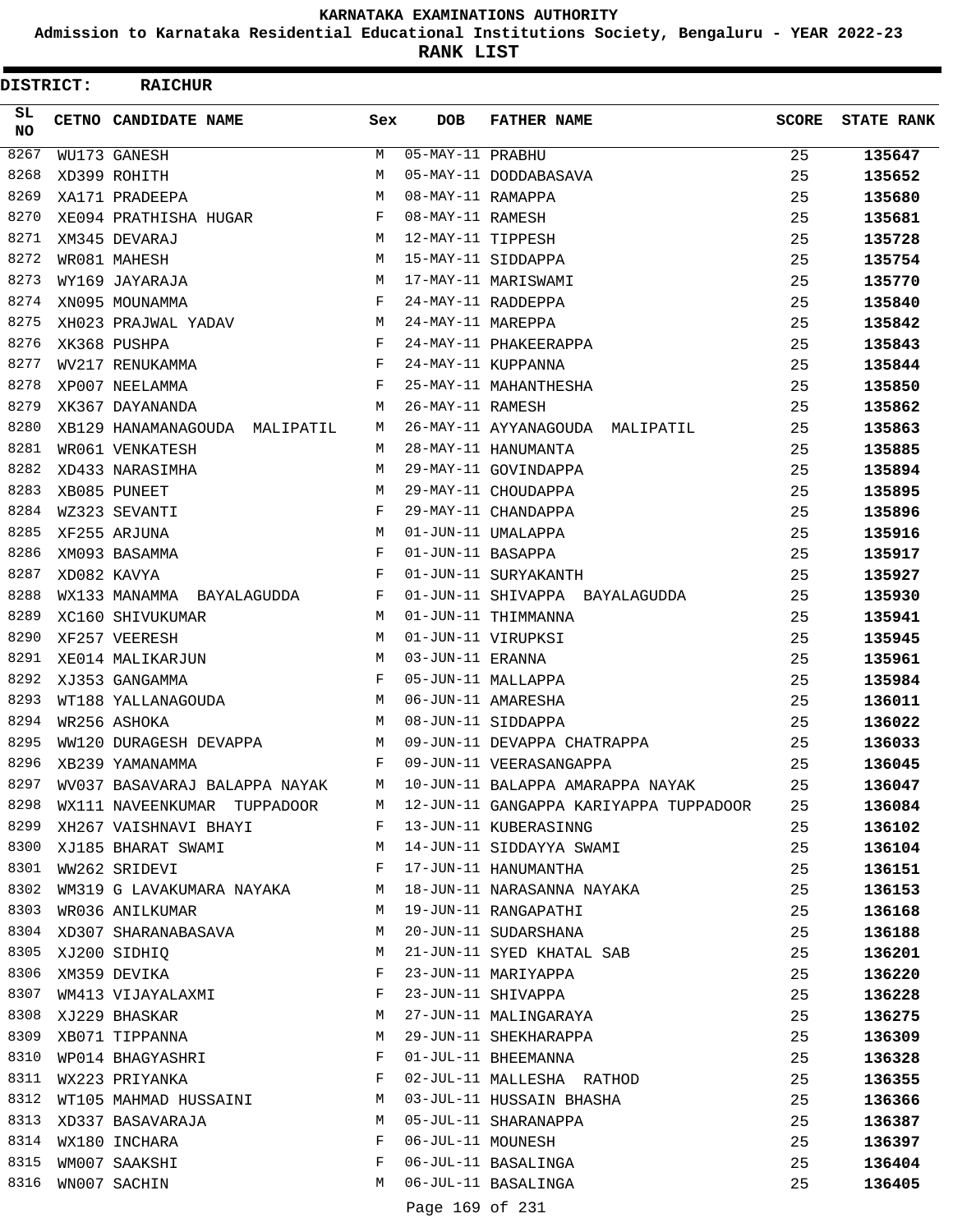**Admission to Karnataka Residential Educational Institutions Society, Bengaluru - YEAR 2022-23**

**RANK LIST**

| DISTRICT: | <b>RAICHUR</b>                |            |                   |                                        |       |                   |
|-----------|-------------------------------|------------|-------------------|----------------------------------------|-------|-------------------|
| SL<br>NO  | <b>CETNO CANDIDATE NAME</b>   | Sex        | <b>DOB</b>        | <b>FATHER NAME</b>                     | SCORE | <b>STATE RANK</b> |
| 8267      | WU173 GANESH                  | M          | 05-MAY-11 PRABHU  |                                        | 25    | 135647            |
| 8268      | XD399 ROHITH                  | M          |                   | 05-MAY-11 DODDABASAVA                  | 25    | 135652            |
| 8269      | XA171 PRADEEPA                | M          | 08-MAY-11 RAMAPPA |                                        | 25    | 135680            |
| 8270      | XE094 PRATHISHA HUGAR         | F          | 08-MAY-11 RAMESH  |                                        | 25    | 135681            |
| 8271      | XM345 DEVARAJ                 | M          | 12-MAY-11 TIPPESH |                                        | 25    | 135728            |
| 8272      | WR081 MAHESH                  | M          |                   | 15-MAY-11 SIDDAPPA                     | 25    | 135754            |
| 8273      | WY169 JAYARAJA                | M          |                   | 17-MAY-11 MARISWAMI                    | 25    | 135770            |
| 8274      | XN095 MOUNAMMA                | F          |                   | 24-MAY-11 RADDEPPA                     | 25    | 135840            |
| 8275      | XH023 PRAJWAL YADAV           | M          | 24-MAY-11 MAREPPA |                                        | 25    | 135842            |
| 8276      | XK368 PUSHPA                  | F          |                   | 24-MAY-11 PHAKEERAPPA                  | 25    | 135843            |
| 8277      | WV217 RENUKAMMA               | F          |                   | 24-MAY-11 KUPPANNA                     | 25    | 135844            |
| 8278      | XP007 NEELAMMA                | $_{\rm F}$ |                   | 25-MAY-11 MAHANTHESHA                  | 25    | 135850            |
| 8279      | XK367 DAYANANDA               | M          | 26-MAY-11 RAMESH  |                                        | 25    | 135862            |
| 8280      | XB129 HANAMANAGOUDA MALIPATIL | М          |                   | 26-MAY-11 AYYANAGOUDA MALIPATIL        | 25    | 135863            |
| 8281      | WR061 VENKATESH               | M          |                   | 28-MAY-11 HANUMANTA                    | 25    | 135885            |
| 8282      | XD433 NARASIMHA               | M          |                   | 29-MAY-11 GOVINDAPPA                   | 25    | 135894            |
| 8283      | XB085 PUNEET                  | M          |                   | 29-MAY-11 CHOUDAPPA                    | 25    | 135895            |
| 8284      | WZ323 SEVANTI                 | F          |                   | 29-MAY-11 CHANDAPPA                    | 25    | 135896            |
| 8285      | XF255 ARJUNA                  | M          |                   | 01-JUN-11 UMALAPPA                     | 25    | 135916            |
| 8286      | XM093 BASAMMA                 | F          | 01-JUN-11 BASAPPA |                                        | 25    | 135917            |
| 8287      | XD082 KAVYA                   | F          |                   | 01-JUN-11 SURYAKANTH                   | 25    | 135927            |
| 8288      | WX133 MANAMMA BAYALAGUDDA     | F          |                   | 01-JUN-11 SHIVAPPA BAYALAGUDDA         | 25    | 135930            |
| 8289      | XC160 SHIVUKUMAR              | M          |                   | 01-JUN-11 THIMMANNA                    | 25    | 135941            |
| 8290      | XF257 VEERESH                 | M          |                   | 01-JUN-11 VIRUPKSI                     | 25    | 135945            |
| 8291      | XE014 MALIKARJUN              | M          | 03-JUN-11 ERANNA  |                                        | 25    | 135961            |
| 8292      | XJ353 GANGAMMA                | F          |                   | 05-JUN-11 MALLAPPA                     | 25    | 135984            |
| 8293      | WT188 YALLANAGOUDA            | М          |                   | 06-JUN-11 AMARESHA                     | 25    | 136011            |
| 8294      | WR256 ASHOKA                  | М          |                   | 08-JUN-11 SIDDAPPA                     | 25    | 136022            |
| 8295      | WW120 DURAGESH DEVAPPA        | М          |                   | 09-JUN-11 DEVAPPA CHATRAPPA            | 25    | 136033            |
| 8296      | XB239 YAMANAMMA               |            |                   | F 09-JUN-11 VEERASANGAPPA              | 25    | 136045            |
| 8297      | WV037 BASAVARAJ BALAPPA NAYAK | M          |                   | 10-JUN-11 BALAPPA AMARAPPA NAYAK       | 25    | 136047            |
| 8298      | WX111 NAVEENKUMAR TUPPADOOR   | M          |                   | 12-JUN-11 GANGAPPA KARIYAPPA TUPPADOOR | 25    | 136084            |
| 8299      | XH267 VAISHNAVI BHAYI         | F          |                   | 13-JUN-11 KUBERASINNG                  | 25    | 136102            |
| 8300      | XJ185 BHARAT SWAMI            | М          |                   | 14-JUN-11 SIDDAYYA SWAMI               | 25    | 136104            |
| 8301      | WW262 SRIDEVI                 | F          |                   | 17-JUN-11 HANUMANTHA                   | 25    | 136151            |
| 8302      | WM319 G LAVAKUMARA NAYAKA     | М          |                   | 18-JUN-11 NARASANNA NAYAKA             | 25    | 136153            |
| 8303      | WR036 ANILKUMAR               | M          |                   | 19-JUN-11 RANGAPATHI                   | 25    | 136168            |
| 8304      | XD307 SHARANABASAVA           | М          |                   | 20-JUN-11 SUDARSHANA                   | 25    | 136188            |
| 8305      | XJ200 SIDHIQ                  | М          |                   | 21-JUN-11 SYED KHATAL SAB              | 25    | 136201            |
| 8306      | XM359 DEVIKA                  | F          |                   | 23-JUN-11 MARIYAPPA                    | 25    | 136220            |
| 8307      | WM413 VIJAYALAXMI             | F          |                   | 23-JUN-11 SHIVAPPA                     | 25    | 136228            |
| 8308      | XJ229 BHASKAR                 | М          |                   | 27-JUN-11 MALINGARAYA                  | 25    | 136275            |
| 8309      | XB071 TIPPANNA                | М          |                   | 29-JUN-11 SHEKHARAPPA                  | 25    | 136309            |
| 8310      | WP014 BHAGYASHRI              | F          |                   | 01-JUL-11 BHEEMANNA                    | 25    | 136328            |
| 8311      | WX223 PRIYANKA                | F          |                   | 02-JUL-11 MALLESHA RATHOD              | 25    | 136355            |
| 8312      | WT105 MAHMAD HUSSAINI         | М          |                   | 03-JUL-11 HUSSAIN BHASHA               | 25    | 136366            |
| 8313      | XD337 BASAVARAJA              | М          |                   | 05-JUL-11 SHARANAPPA                   | 25    | 136387            |
| 8314      | WX180 INCHARA                 | F          | 06-JUL-11 MOUNESH |                                        | 25    | 136397            |
| 8315      | WM007 SAAKSHI                 | F          |                   | 06-JUL-11 BASALINGA                    | 25    | 136404            |
| 8316      | WN007 SACHIN                  | М          |                   | 06-JUL-11 BASALINGA                    | 25    | 136405            |
|           |                               |            | Page 169 of 231   |                                        |       |                   |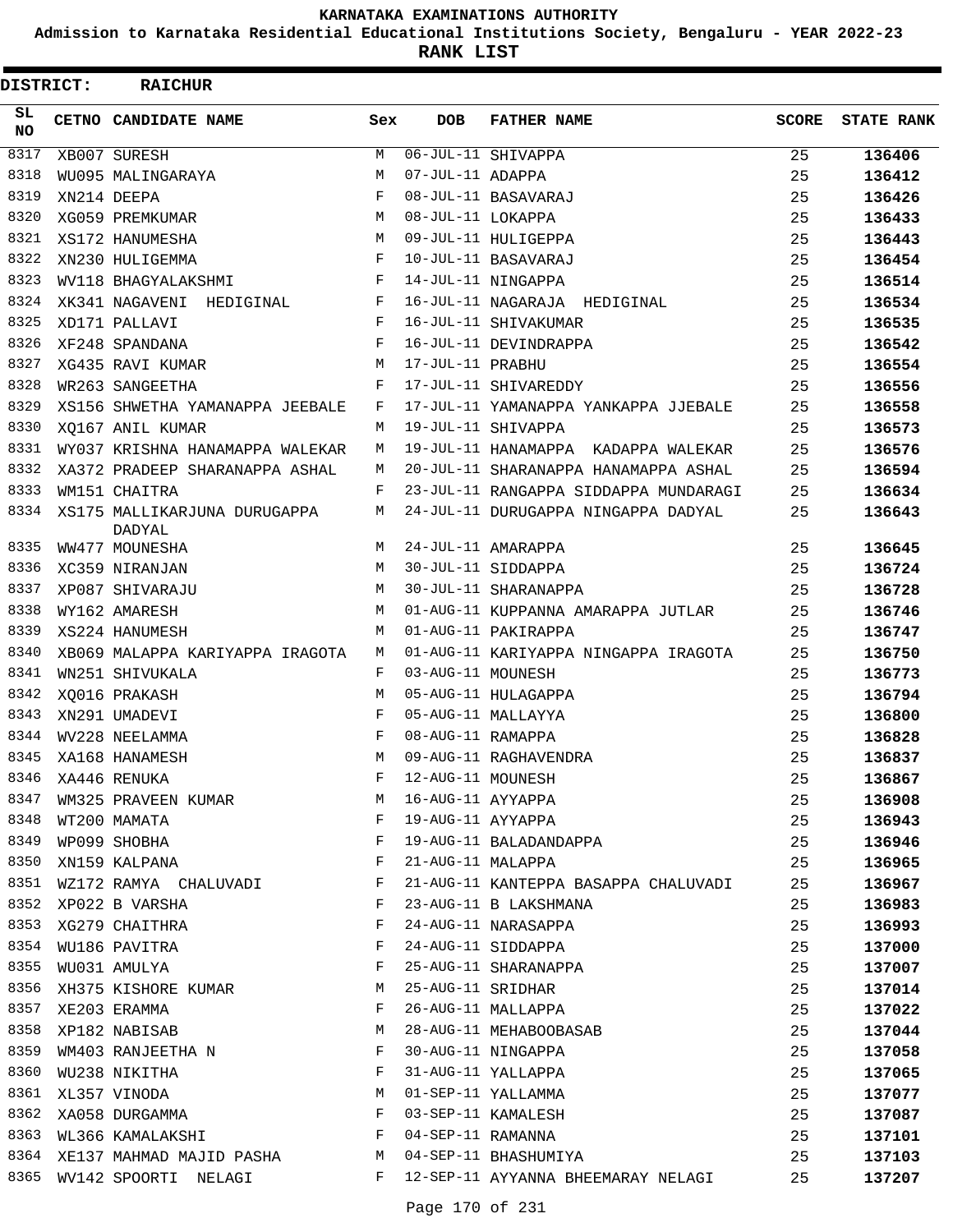**Admission to Karnataka Residential Educational Institutions Society, Bengaluru - YEAR 2022-23**

**RANK LIST**

| DISTRICT:  | <b>RAICHUR</b>                         |            |                   |                                       |              |                   |
|------------|----------------------------------------|------------|-------------------|---------------------------------------|--------------|-------------------|
| SL.<br>NO. | CETNO CANDIDATE NAME                   | Sex        | <b>DOB</b>        | <b>FATHER NAME</b>                    | <b>SCORE</b> | <b>STATE RANK</b> |
| 8317       | XB007 SURESH                           | М          |                   | $\overline{06 - JUL - 11}$ SHIVAPPA   | 25           | 136406            |
| 8318       | WU095 MALINGARAYA                      | M          | 07-JUL-11 ADAPPA  |                                       | 25           | 136412            |
| 8319       | XN214 DEEPA                            | $_{\rm F}$ |                   | 08-JUL-11 BASAVARAJ                   | 25           | 136426            |
| 8320       | XG059 PREMKUMAR                        | M          | 08-JUL-11 LOKAPPA |                                       | 25           | 136433            |
| 8321       | XS172 HANUMESHA                        | M          |                   | 09-JUL-11 HULIGEPPA                   | 25           | 136443            |
| 8322       | XN230 HULIGEMMA                        | F          |                   | 10-JUL-11 BASAVARAJ                   | 25           | 136454            |
| 8323       | WV118 BHAGYALAKSHMI                    | F          |                   | 14-JUL-11 NINGAPPA                    | 25           | 136514            |
| 8324       | XK341 NAGAVENI HEDIGINAL               | F          |                   | 16-JUL-11 NAGARAJA HEDIGINAL          | 25           | 136534            |
| 8325       | XD171 PALLAVI                          | F          |                   | 16-JUL-11 SHIVAKUMAR                  | 25           | 136535            |
| 8326       | XF248 SPANDANA                         | $_{\rm F}$ |                   | 16-JUL-11 DEVINDRAPPA                 | 25           | 136542            |
| 8327       | XG435 RAVI KUMAR                       | M          | 17-JUL-11 PRABHU  |                                       | 25           | 136554            |
| 8328       | WR263 SANGEETHA                        | F          |                   | 17-JUL-11 SHIVAREDDY                  | 25           | 136556            |
| 8329       | XS156 SHWETHA YAMANAPPA JEEBALE        | F          |                   | 17-JUL-11 YAMANAPPA YANKAPPA JJEBALE  | 25           | 136558            |
| 8330       | XQ167 ANIL KUMAR                       | M          |                   | 19-JUL-11 SHIVAPPA                    | 25           | 136573            |
| 8331       | WY037 KRISHNA HANAMAPPA WALEKAR        | M          |                   | 19-JUL-11 HANAMAPPA KADAPPA WALEKAR   | 25           | 136576            |
| 8332       | XA372 PRADEEP SHARANAPPA ASHAL         | М          |                   | 20-JUL-11 SHARANAPPA HANAMAPPA ASHAL  | 25           | 136594            |
| 8333       | WM151 CHAITRA                          | F          |                   | 23-JUL-11 RANGAPPA SIDDAPPA MUNDARAGI | 25           | 136634            |
| 8334       | XS175 MALLIKARJUNA DURUGAPPA<br>DADYAL | M          |                   | 24-JUL-11 DURUGAPPA NINGAPPA DADYAL   | 25           | 136643            |
| 8335       | WW477 MOUNESHA                         | M          |                   | 24-JUL-11 AMARAPPA                    | 25           | 136645            |
| 8336       | XC359 NIRANJAN                         | M          |                   | 30-JUL-11 SIDDAPPA                    | 25           | 136724            |
| 8337       | XP087 SHIVARAJU                        | M          |                   | 30-JUL-11 SHARANAPPA                  | 25           | 136728            |
| 8338       | WY162 AMARESH                          | M          |                   | 01-AUG-11 KUPPANNA AMARAPPA JUTLAR    | 25           | 136746            |
| 8339       | XS224 HANUMESH                         | M          |                   | 01-AUG-11 PAKIRAPPA                   | 25           | 136747            |
| 8340       | XB069 MALAPPA KARIYAPPA IRAGOTA        | M          |                   | 01-AUG-11 KARIYAPPA NINGAPPA IRAGOTA  | 25           | 136750            |
| 8341       | WN251 SHIVUKALA                        | F          | 03-AUG-11 MOUNESH |                                       | 25           | 136773            |
| 8342       | XQ016 PRAKASH                          | M          |                   | 05-AUG-11 HULAGAPPA                   | 25           | 136794            |
| 8343       | XN291 UMADEVI                          | F          |                   | 05-AUG-11 MALLAYYA                    | 25           | 136800            |
| 8344       | WV228 NEELAMMA                         | F          | 08-AUG-11 RAMAPPA |                                       | 25           | 136828            |
| 8345       | XA168 HANAMESH                         | M          |                   | 09-AUG-11 RAGHAVENDRA                 | 25           | 136837            |
| 8346       | XA446 RENUKA                           | F          | 12-AUG-11 MOUNESH |                                       | 25           | 136867            |
| 8347       | WM325 PRAVEEN KUMAR                    | M          | 16-AUG-11 AYYAPPA |                                       | 25           | 136908            |
| 8348       | WT200 MAMATA                           | $_{\rm F}$ | 19-AUG-11 AYYAPPA |                                       | 25           | 136943            |
| 8349       | WP099 SHOBHA                           | F          |                   | 19-AUG-11 BALADANDAPPA                | 25           | 136946            |
| 8350       | XN159 KALPANA                          | F          | 21-AUG-11 MALAPPA |                                       | 25           | 136965            |
| 8351       | WZ172 RAMYA CHALUVADI                  | F          |                   | 21-AUG-11 KANTEPPA BASAPPA CHALUVADI  | 25           | 136967            |
| 8352       | XP022 B VARSHA                         | F          |                   | 23-AUG-11 B LAKSHMANA                 | 25           | 136983            |
| 8353       | XG279 CHAITHRA                         | F          |                   | 24-AUG-11 NARASAPPA                   | 25           | 136993            |
| 8354       | WU186 PAVITRA                          | F          |                   | 24-AUG-11 SIDDAPPA                    | 25           | 137000            |
| 8355       | WU031 AMULYA                           | F          |                   | 25-AUG-11 SHARANAPPA                  | 25           | 137007            |
| 8356       | XH375 KISHORE KUMAR                    | М          | 25-AUG-11 SRIDHAR |                                       | 25           | 137014            |
| 8357       | XE203 ERAMMA                           | F          |                   | 26-AUG-11 MALLAPPA                    | 25           | 137022            |
| 8358       | XP182 NABISAB                          | М          |                   | 28-AUG-11 MEHABOOBASAB                | 25           | 137044            |
| 8359       | WM403 RANJEETHA N                      | F          |                   | 30-AUG-11 NINGAPPA                    | 25           | 137058            |
| 8360       | WU238 NIKITHA                          | F          |                   | 31-AUG-11 YALLAPPA                    | 25           | 137065            |
| 8361       | XL357 VINODA                           | М          |                   | 01-SEP-11 YALLAMMA                    | 25           | 137077            |
| 8362       | XA058 DURGAMMA                         | F          |                   | 03-SEP-11 KAMALESH                    | 25           | 137087            |
| 8363       | $\mathbf{F}$<br>WL366 KAMALAKSHI       |            | 04-SEP-11 RAMANNA |                                       | 25           | 137101            |
|            | 8364 XE137 MAHMAD MAJID PASHA M        |            |                   | 04-SEP-11 BHASHUMIYA                  | 25           | 137103            |
|            | 8365 WV142 SPOORTI NELAGI              | F          |                   | 12-SEP-11 AYYANNA BHEEMARAY NELAGI    | 25           | 137207            |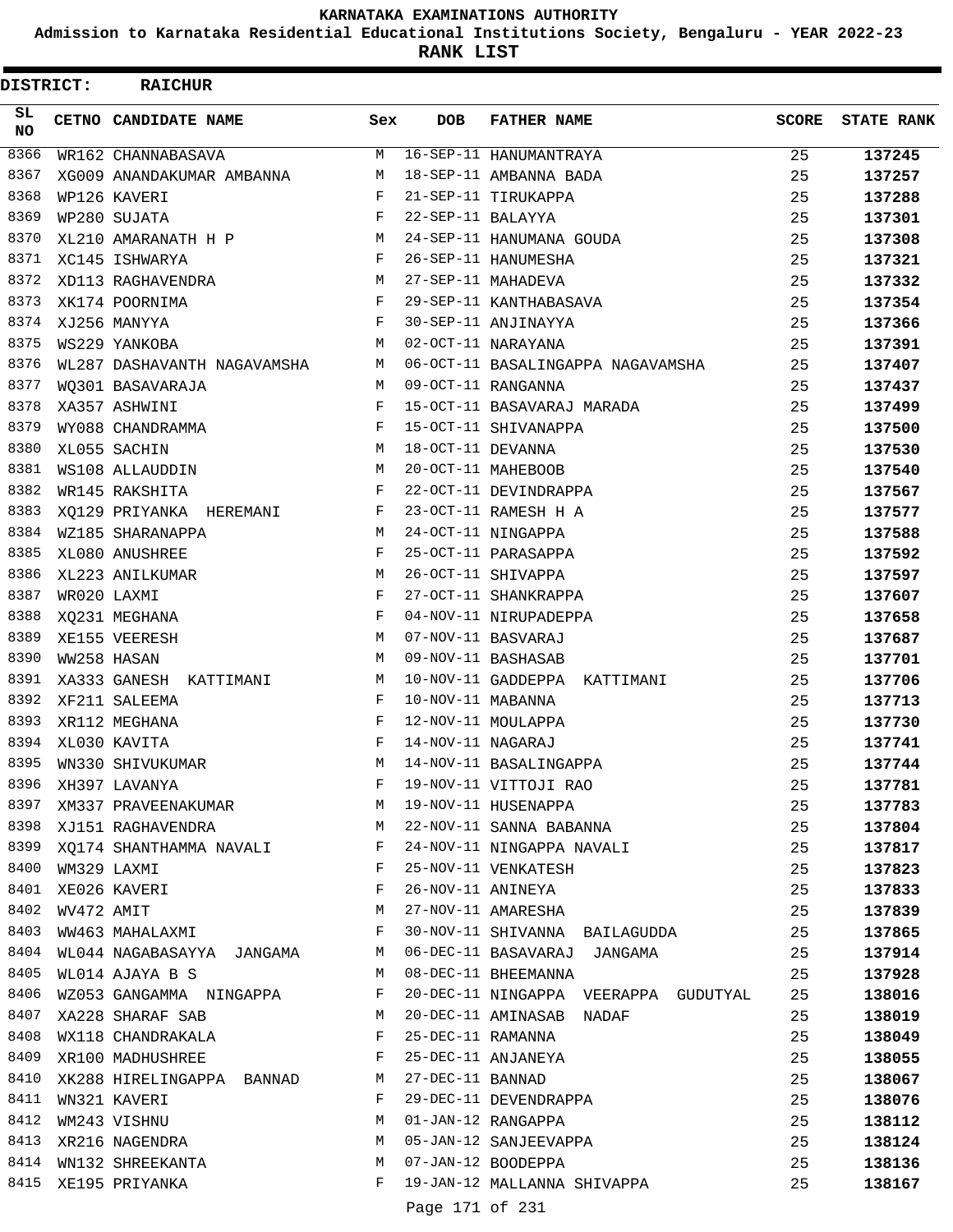**Admission to Karnataka Residential Educational Institutions Society, Bengaluru - YEAR 2022-23**

**RANK LIST**

| <b>DISTRICT:</b> |             | <b>RAICHUR</b>              |              |                   |                                              |              |                   |
|------------------|-------------|-----------------------------|--------------|-------------------|----------------------------------------------|--------------|-------------------|
| SL.<br><b>NO</b> |             | <b>CETNO CANDIDATE NAME</b> | Sex          | <b>DOB</b>        | <b>FATHER NAME</b>                           | <b>SCORE</b> | <b>STATE RANK</b> |
| 8366             |             | WR162 CHANNABASAVA          | M            |                   | 16-SEP-11 HANUMANTRAYA                       | 25           | 137245            |
| 8367             |             | XG009 ANANDAKUMAR AMBANNA   | М            |                   | 18-SEP-11 AMBANNA BADA                       | 25           | 137257            |
| 8368             |             | WP126 KAVERI                | F            |                   | 21-SEP-11 TIRUKAPPA                          | 25           | 137288            |
| 8369             |             | WP280 SUJATA                | F            | 22-SEP-11 BALAYYA |                                              | 25           | 137301            |
| 8370             |             | XL210 AMARANATH H P         | M            |                   | 24-SEP-11 HANUMANA GOUDA                     | 25           | 137308            |
| 8371             |             | XC145 ISHWARYA              | $\mathbf{F}$ |                   | 26-SEP-11 HANUMESHA                          | 25           | 137321            |
| 8372             |             | XD113 RAGHAVENDRA           | M            |                   | 27-SEP-11 MAHADEVA                           | 25           | 137332            |
| 8373             |             | XK174 POORNIMA              | F            |                   | 29-SEP-11 KANTHABASAVA                       | 25           | 137354            |
| 8374             |             | XJ256 MANYYA                | F            |                   | 30-SEP-11 ANJINAYYA                          | 25           | 137366            |
| 8375             |             | WS229 YANKOBA               | M            |                   | 02-OCT-11 NARAYANA                           | 25           | 137391            |
| 8376             |             | WL287 DASHAVANTH NAGAVAMSHA | M            |                   | 06-OCT-11 BASALINGAPPA NAGAVAMSHA            | 25           | 137407            |
| 8377             |             | WQ301 BASAVARAJA            | M            |                   | 09-OCT-11 RANGANNA                           | 25           | 137437            |
| 8378             |             | XA357 ASHWINI               | F            |                   | 15-OCT-11 BASAVARAJ MARADA                   | 25           | 137499            |
| 8379             |             | WY088 CHANDRAMMA            | F            |                   | 15-OCT-11 SHIVANAPPA                         | 25           | 137500            |
| 8380             |             | XL055 SACHIN                | M            | 18-OCT-11 DEVANNA |                                              | 25           | 137530            |
| 8381             |             | WS108 ALLAUDDIN             | M            |                   | 20-OCT-11 MAHEBOOB                           | 25           | 137540            |
| 8382             |             | WR145 RAKSHITA              | F            |                   | 22-OCT-11 DEVINDRAPPA                        | 25           | 137567            |
| 8383             |             | XQ129 PRIYANKA HEREMANI     | F            |                   | 23-OCT-11 RAMESH H A                         | 25           | 137577            |
| 8384             |             | WZ185 SHARANAPPA            | M            |                   | 24-OCT-11 NINGAPPA                           | 25           | 137588            |
| 8385             |             | XL080 ANUSHREE              | F            |                   | 25-OCT-11 PARASAPPA                          | 25           | 137592            |
| 8386             |             | XL223 ANILKUMAR             | M            |                   | 26-OCT-11 SHIVAPPA                           | 25           | 137597            |
| 8387             |             | WR020 LAXMI                 | F            |                   | 27-OCT-11 SHANKRAPPA                         | 25           | 137607            |
| 8388             |             | XQ231 MEGHANA               | F            |                   | 04-NOV-11 NIRUPADEPPA                        | 25           | 137658            |
| 8389             |             | XE155 VEERESH               | М            |                   | 07-NOV-11 BASVARAJ                           | 25           | 137687            |
| 8390             | WW258 HASAN |                             | M            |                   | 09-NOV-11 BASHASAB                           | 25           | 137701            |
| 8391             |             | XA333 GANESH KATTIMANI      | M            |                   | 10-NOV-11 GADDEPPA KATTIMANI                 | 25           | 137706            |
| 8392             |             | XF211 SALEEMA               | F            | 10-NOV-11 MABANNA |                                              | 25           | 137713            |
| 8393             |             | XR112 MEGHANA               | F            |                   | 12-NOV-11 MOULAPPA                           | 25           | 137730            |
| 8394             |             | XL030 KAVITA                | F            | 14-NOV-11 NAGARAJ |                                              | 25           | 137741            |
| 8395             |             | WN330 SHIVUKUMAR            | M            |                   | 14-NOV-11 BASALINGAPPA                       | 25           | 137744            |
| 8396             |             | XH397 LAVANYA               | F            |                   | 19-NOV-11 VITTOJI RAO<br>19-NOV-11 HUSENAPPA | 25           | 137781            |
| 8397             |             | XM337 PRAVEENAKUMAR M       |              |                   |                                              | 25           | 137783            |
|                  |             | 8398 XJ151 RAGHAVENDRA      | M            |                   | 22-NOV-11 SANNA BABANNA                      | 25           | 137804            |
| 8399             |             | XQ174 SHANTHAMMA NAVALI F   |              |                   | 24-NOV-11 NINGAPPA NAVALI                    | 25           | 137817            |
| 8400             |             | WM329 LAXMI                 | F            |                   | 25-NOV-11 VENKATESH                          | 25           | 137823            |
| 8401             |             | XE026 KAVERI                | F            |                   | 26-NOV-11 ANINEYA                            | 25           | 137833            |
| 8402             | WV472 AMIT  |                             | M            |                   | 27-NOV-11 AMARESHA                           | 25           | 137839            |
| 8403             |             | WW463 MAHALAXMI F           |              |                   | 30-NOV-11 SHIVANNA BAILAGUDDA                | 25           | 137865            |
| 8404             |             | WL044 NAGABASAYYA JANGAMA M |              |                   | 06-DEC-11 BASAVARAJ JANGAMA                  | 25           | 137914            |
| 8405             |             | WL014 AJAYA B S             | M            |                   | 08-DEC-11 BHEEMANNA                          | 25           | 137928            |
| 8406             |             | WZ053 GANGAMMA NINGAPPA F   |              |                   | 20-DEC-11 NINGAPPA VEERAPPA GUDUTYAL         | 25           | 138016            |
| 8407             |             | XA228 SHARAF SAB M          |              |                   | 20-DEC-11 AMINASAB NADAF                     | 25           | 138019            |
| 8408             |             | WX118 CHANDRAKALA           | F            |                   | 25-DEC-11 RAMANNA                            | 25           | 138049            |
| 8409             |             | XR100 MADHUSHREE F          |              |                   | 25-DEC-11 ANJANEYA                           | 25           | 138055            |
| 8410             |             | XK288 HIRELINGAPPA BANNAD   | M            | 27-DEC-11 BANNAD  |                                              | 25           | 138067            |
| 8411             |             | WN321 KAVERI                | F            |                   | 29-DEC-11 DEVENDRAPPA                        | 25           | 138076            |
| 8412             |             | WM243 VISHNU                | M            |                   | 01-JAN-12 RANGAPPA                           | 25           | 138112            |
| 8413             |             | XR216 NAGENDRA              | M            |                   | 05-JAN-12 SANJEEVAPPA                        | 25           | 138124            |
|                  |             | 8414 WN132 SHREEKANTA       | M            |                   | 07-JAN-12 BOODEPPA                           | 25           | 138136            |
| 8415             |             | XE195 PRIYANKA              | $\mathbf{F}$ |                   | 19-JAN-12 MALLANNA SHIVAPPA                  | 25           | 138167            |
|                  |             |                             |              | Page 171 of 231   |                                              |              |                   |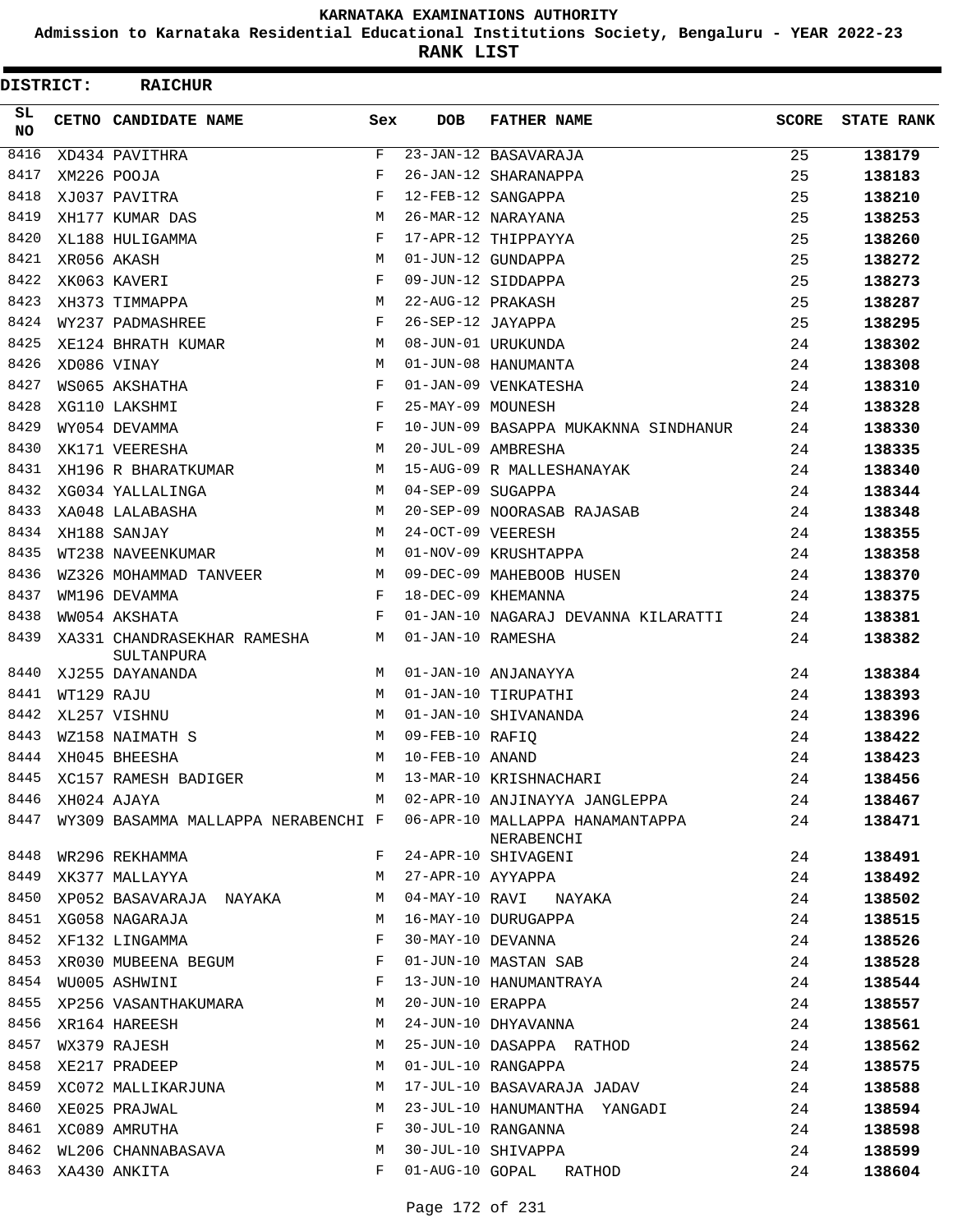**Admission to Karnataka Residential Educational Institutions Society, Bengaluru - YEAR 2022-23**

**RANK LIST**

| DISTRICT:  |            | <b>RAICHUR</b>                            |            |                   |                                                |              |                   |
|------------|------------|-------------------------------------------|------------|-------------------|------------------------------------------------|--------------|-------------------|
| SL.<br>NO. |            | CETNO CANDIDATE NAME                      | Sex        | <b>DOB</b>        | <b>FATHER NAME</b>                             | <b>SCORE</b> | <b>STATE RANK</b> |
| 8416       |            | XD434 PAVITHRA                            | F          |                   | 23-JAN-12 BASAVARAJA                           | 25           | 138179            |
| 8417       |            | XM226 POOJA                               | F          |                   | 26-JAN-12 SHARANAPPA                           | 25           | 138183            |
| 8418       |            | XJ037 PAVITRA                             | F          |                   | 12-FEB-12 SANGAPPA                             | 25           | 138210            |
| 8419       |            | XH177 KUMAR DAS                           | М          |                   | 26-MAR-12 NARAYANA                             | 25           | 138253            |
| 8420       |            | XL188 HULIGAMMA                           | F          |                   | 17-APR-12 THIPPAYYA                            | 25           | 138260            |
| 8421       |            | XR056 AKASH                               | М          |                   | 01-JUN-12 GUNDAPPA                             | 25           | 138272            |
| 8422       |            | XK063 KAVERI                              | $_{\rm F}$ |                   | 09-JUN-12 SIDDAPPA                             | 25           | 138273            |
| 8423       |            | XH373 TIMMAPPA                            | M          | 22-AUG-12 PRAKASH |                                                | 25           | 138287            |
| 8424       |            | WY237 PADMASHREE                          | F          | 26-SEP-12 JAYAPPA |                                                | 25           | 138295            |
| 8425       |            | XE124 BHRATH KUMAR                        | М          |                   | 08-JUN-01 URUKUNDA                             | 24           | 138302            |
| 8426       |            | XD086 VINAY                               | M          |                   | 01-JUN-08 HANUMANTA                            | 24           | 138308            |
| 8427       |            | WS065 AKSHATHA                            | F          |                   | 01-JAN-09 VENKATESHA                           | 24           | 138310            |
| 8428       |            | XG110 LAKSHMI                             | $_{\rm F}$ | 25-MAY-09 MOUNESH |                                                | 24           | 138328            |
| 8429       |            | WY054 DEVAMMA                             | $_{\rm F}$ |                   | 10-JUN-09 BASAPPA MUKAKNNA SINDHANUR           | 24           | 138330            |
| 8430       |            | XK171 VEERESHA                            | M          |                   | 20-JUL-09 AMBRESHA                             | 24           | 138335            |
| 8431       |            | XH196 R BHARATKUMAR                       | М          |                   | 15-AUG-09 R MALLESHANAYAK                      | 24           | 138340            |
| 8432       |            | XG034 YALLALINGA                          | М          | 04-SEP-09 SUGAPPA |                                                | 24           | 138344            |
| 8433       |            | XA048 LALABASHA                           | М          |                   | 20-SEP-09 NOORASAB RAJASAB                     | 24           | 138348            |
| 8434       |            | XH188 SANJAY                              | M          | 24-OCT-09 VEERESH |                                                | 24           | 138355            |
| 8435       |            | WT238 NAVEENKUMAR                         | М          |                   | 01-NOV-09 KRUSHTAPPA                           | 24           | 138358            |
| 8436       |            | WZ326 MOHAMMAD TANVEER                    | М          |                   | 09-DEC-09 MAHEBOOB HUSEN                       | 24           | 138370            |
| 8437       |            | WM196 DEVAMMA                             | F          |                   | 18-DEC-09 KHEMANNA                             | 24           | 138375            |
| 8438       |            | WW054 AKSHATA                             | F          |                   | 01-JAN-10 NAGARAJ DEVANNA KILARATTI            | 24           | 138381            |
| 8439       |            | XA331 CHANDRASEKHAR RAMESHA<br>SULTANPURA | М          | 01-JAN-10 RAMESHA |                                                | 24           | 138382            |
| 8440       |            | XJ255 DAYANANDA                           | M          |                   | 01-JAN-10 ANJANAYYA                            | 24           | 138384            |
| 8441       | WT129 RAJU |                                           | M          |                   | 01-JAN-10 TIRUPATHI                            | 24           | 138393            |
| 8442       |            | XL257 VISHNU                              | М          |                   | 01-JAN-10 SHIVANANDA                           | 24           | 138396            |
| 8443       |            | WZ158 NAIMATH S                           | M          | 09-FEB-10 RAFIQ   |                                                | 24           | 138422            |
| 8444       |            | XH045 BHEESHA                             | M          | 10-FEB-10 ANAND   |                                                | 24           | 138423            |
| 8445       |            | XC157 RAMESH BADIGER                      | М          |                   | 13-MAR-10 KRISHNACHARI                         | 24           | 138456            |
| 8446       |            | XH024 AJAYA                               | M          |                   | 02-APR-10 ANJINAYYA JANGLEPPA                  | 24           | 138467            |
| 8447       |            | WY309 BASAMMA MALLAPPA NERABENCHI F       |            |                   | 06-APR-10 MALLAPPA HANAMANTAPPA<br>NERABENCHI  | 24           | 138471            |
| 8448       |            | WR296 REKHAMMA                            | F          |                   | 24-APR-10 SHIVAGENI                            | 24           | 138491            |
| 8449       |            | XK377 MALLAYYA                            | M          | 27-APR-10 AYYAPPA |                                                | 24           | 138492            |
| 8450       |            | XP052 BASAVARAJA NAYAKA                   | М          |                   | 04-MAY-10 RAVI NAYAKA                          | 24           | 138502            |
| 8451       |            | XG058 NAGARAJA                            | M          |                   | 16-MAY-10 DURUGAPPA                            | 24           | 138515            |
| 8452       |            | XF132 LINGAMMA                            | F          | 30-MAY-10 DEVANNA |                                                | 24           | 138526            |
| 8453       |            | XR030 MUBEENA BEGUM                       | F          |                   | 01-JUN-10 MASTAN SAB<br>13-JUN-10 HANUMANTRAYA | 24           | 138528            |
| 8454       |            | WU005 ASHWINI                             | F          |                   |                                                | 24           | 138544            |
| 8455       |            | XP256 VASANTHAKUMARA                      | M          | 20-JUN-10 ERAPPA  |                                                | 24           | 138557            |
| 8456       |            | XR164 HAREESH                             | М          |                   | 24-JUN-10 DHYAVANNA                            | 24           | 138561            |
| 8457       |            | WX379 RAJESH                              | M          |                   | 25-JUN-10 DASAPPA RATHOD                       | 24           | 138562            |
| 8458       |            | XE217 PRADEEP                             | М          |                   | 01-JUL-10 RANGAPPA                             | 24           | 138575            |
| 8459       |            | XC072 MALLIKARJUNA                        | M          |                   | 17-JUL-10 BASAVARAJA JADAV                     | 24           | 138588            |
| 8460       |            | XE025 PRAJWAL                             | М          |                   | 23-JUL-10 HANUMANTHA YANGADI                   | 24           | 138594            |
|            |            | 8461 XC089 AMRUTHA                        | F          |                   | 30-JUL-10 RANGANNA                             | 24           | 138598            |
| 8462       |            | WL206 CHANNABASAVA                        | М          |                   | 30-JUL-10 SHIVAPPA                             | 24           | 138599            |
| 8463       |            | XA430 ANKITA                              | F          | 01-AUG-10 GOPAL   | RATHOD                                         | 24           | 138604            |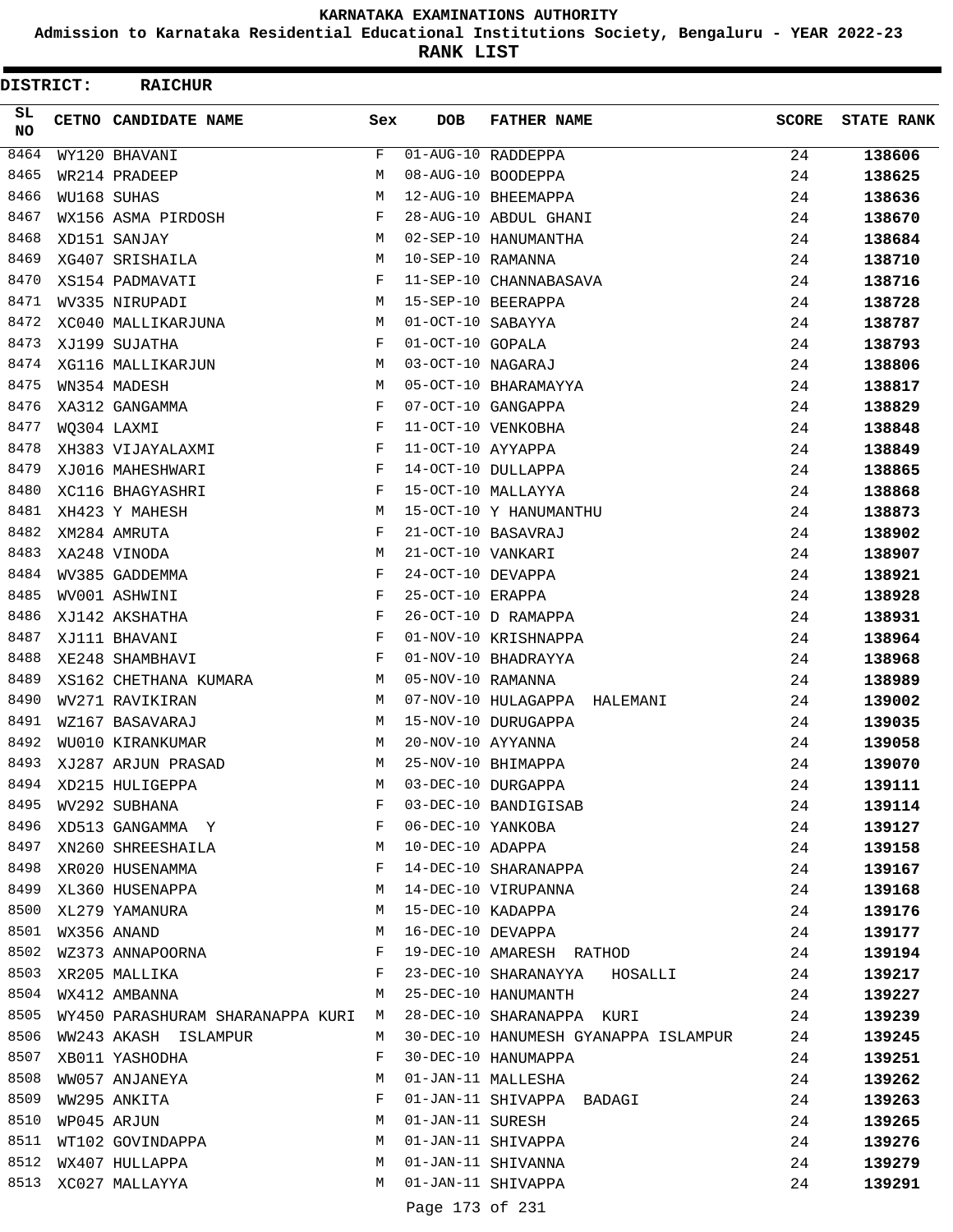**Admission to Karnataka Residential Educational Institutions Society, Bengaluru - YEAR 2022-23**

**RANK LIST**

 $\blacksquare$ 

| <b>DISTRICT:</b> | <b>RAICHUR</b>                     |              |                   |                                      |              |                   |
|------------------|------------------------------------|--------------|-------------------|--------------------------------------|--------------|-------------------|
| SL.<br><b>NO</b> | CETNO CANDIDATE NAME               | Sex          | <b>DOB</b>        | <b>FATHER NAME</b>                   | <b>SCORE</b> | <b>STATE RANK</b> |
| 8464             | WY120 BHAVANI                      | F            |                   | 01-AUG-10 RADDEPPA                   | 24           | 138606            |
| 8465             | WR214 PRADEEP                      | М            |                   | 08-AUG-10 BOODEPPA                   | 24           | 138625            |
| 8466             | WU168 SUHAS                        | M            |                   | 12-AUG-10 BHEEMAPPA                  | 24           | 138636            |
| 8467             | WX156 ASMA PIRDOSH                 | F            |                   | 28-AUG-10 ABDUL GHANI                | 24           | 138670            |
| 8468             | XD151 SANJAY                       | М            |                   | 02-SEP-10 HANUMANTHA                 | 24           | 138684            |
| 8469             | XG407 SRISHAILA                    | М            | 10-SEP-10 RAMANNA |                                      | 24           | 138710            |
| 8470             | XS154 PADMAVATI                    | F            |                   | 11-SEP-10 CHANNABASAVA               | 24           | 138716            |
| 8471             | WV335 NIRUPADI                     | М            |                   | 15-SEP-10 BEERAPPA                   | 24           | 138728            |
| 8472             | XC040 MALLIKARJUNA                 | М            | 01-OCT-10 SABAYYA |                                      | 24           | 138787            |
| 8473             | XJ199 SUJATHA                      | F            | 01-OCT-10 GOPALA  |                                      | 24           | 138793            |
| 8474             | XG116 MALLIKARJUN                  | М            | 03-OCT-10 NAGARAJ |                                      | 24           | 138806            |
| 8475             | WN354 MADESH                       | М            |                   | 05-OCT-10 BHARAMAYYA                 | 24           | 138817            |
| 8476             | XA312 GANGAMMA                     | F            |                   | 07-OCT-10 GANGAPPA                   | 24           | 138829            |
| 8477             | WO304 LAXMI                        | F            |                   | 11-OCT-10 VENKOBHA                   | 24           | 138848            |
| 8478             | XH383 VIJAYALAXMI                  | F            | 11-OCT-10 AYYAPPA |                                      | 24           | 138849            |
| 8479             | XJ016 MAHESHWARI                   | F            |                   | 14-OCT-10 DULLAPPA                   | 24           | 138865            |
| 8480             | XC116 BHAGYASHRI                   | F            |                   | 15-OCT-10 MALLAYYA                   | 24           | 138868            |
| 8481             | XH423 Y MAHESH                     | М            |                   | 15-OCT-10 Y HANUMANTHU               | 24           | 138873            |
| 8482             | XM284 AMRUTA                       | F            |                   | 21-OCT-10 BASAVRAJ                   | 24           | 138902            |
| 8483             | XA248 VINODA                       | М            | 21-OCT-10 VANKARI |                                      | 24           | 138907            |
| 8484             | WV385 GADDEMMA                     | F            | 24-OCT-10 DEVAPPA |                                      | 24           | 138921            |
| 8485             | WV001 ASHWINI                      | F            | 25-OCT-10 ERAPPA  |                                      | 24           | 138928            |
| 8486             | XJ142 AKSHATHA                     | F            |                   | 26-OCT-10 D RAMAPPA                  | 24           | 138931            |
| 8487             | XJ111 BHAVANI                      | F            |                   | 01-NOV-10 KRISHNAPPA                 | 24           | 138964            |
| 8488             | XE248 SHAMBHAVI                    | F            |                   | 01-NOV-10 BHADRAYYA                  | 24           | 138968            |
| 8489             | XS162 CHETHANA KUMARA              | М            | 05-NOV-10 RAMANNA |                                      | 24           | 138989            |
| 8490             | WV271 RAVIKIRAN                    | M            |                   | 07-NOV-10 HULAGAPPA HALEMANI         | 24           | 139002            |
| 8491             | WZ167 BASAVARAJ                    | М            |                   | 15-NOV-10 DURUGAPPA                  | 24           | 139035            |
| 8492             | WU010 KIRANKUMAR                   | М            | 20-NOV-10 AYYANNA |                                      | 24           | 139058            |
| 8493             | XJ287 ARJUN PRASAD                 | М            |                   | 25-NOV-10 BHIMAPPA                   | 24           | 139070            |
| 8494             | XD215 HULIGEPPA                    | М            |                   | 03-DEC-10 DURGAPPA                   | 24           | 139111            |
| 8495             | WV292 SUBHANA                      | F            |                   | 03-DEC-10 BANDIGISAB                 | 24           | 139114            |
| 8496             | XD513 GANGAMMA Y                   | $\mathbf{F}$ | 06-DEC-10 YANKOBA |                                      | 24           | 139127            |
| 8497             | XN260 SHREESHAILA                  | M            | 10-DEC-10 ADAPPA  |                                      | 24           | 139158            |
| 8498             | XR020 HUSENAMMA                    | F            |                   | 14-DEC-10 SHARANAPPA                 | 24           | 139167            |
| 8499             | XL360 HUSENAPPA                    | М            |                   | 14-DEC-10 VIRUPANNA                  | 24           | 139168            |
| 8500             | XL279 YAMANURA                     | М            | 15-DEC-10 KADAPPA |                                      | 24           | 139176            |
| 8501             | WX356 ANAND                        | М            |                   | 16-DEC-10 DEVAPPA                    | 24           | 139177            |
| 8502             | WZ373 ANNAPOORNA                   | F            |                   | 19-DEC-10 AMARESH RATHOD             | 24           | 139194            |
| 8503             | XR205 MALLIKA                      | F            |                   | 23-DEC-10 SHARANAYYA HOSALLI         | 24           | 139217            |
| 8504             | WX412 AMBANNA                      | M            |                   | 25-DEC-10 HANUMANTH                  | 24           | 139227            |
| 8505             | WY450 PARASHURAM SHARANAPPA KURI M |              |                   | 28-DEC-10 SHARANAPPA KURI            | 24           | 139239            |
| 8506             | WW243 AKASH ISLAMPUR               | M            |                   | 30-DEC-10 HANUMESH GYANAPPA ISLAMPUR | 24           | 139245            |
| 8507             | XB011 YASHODHA                     | F            |                   | 30-DEC-10 HANUMAPPA                  | 24           | 139251            |
| 8508             | WW057 ANJANEYA                     | М            |                   | 01-JAN-11 MALLESHA                   | 24           | 139262            |
| 8509             | WW295 ANKITA                       | F            |                   | 01-JAN-11 SHIVAPPA BADAGI            | 24           | 139263            |
| 8510             | WP045 ARJUN                        | М            | 01-JAN-11 SURESH  |                                      | 24           | 139265            |
| 8511             | WT102 GOVINDAPPA                   | M            |                   | 01-JAN-11 SHIVAPPA                   | 24           | 139276            |
| 8512             | WX407 HULLAPPA                     | M            |                   | 01-JAN-11 SHIVANNA                   | 24           | 139279            |
| 8513             | XC027 MALLAYYA                     | M            |                   | 01-JAN-11 SHIVAPPA                   | 24           | 139291            |
|                  |                                    |              |                   |                                      |              |                   |

Page 173 of 231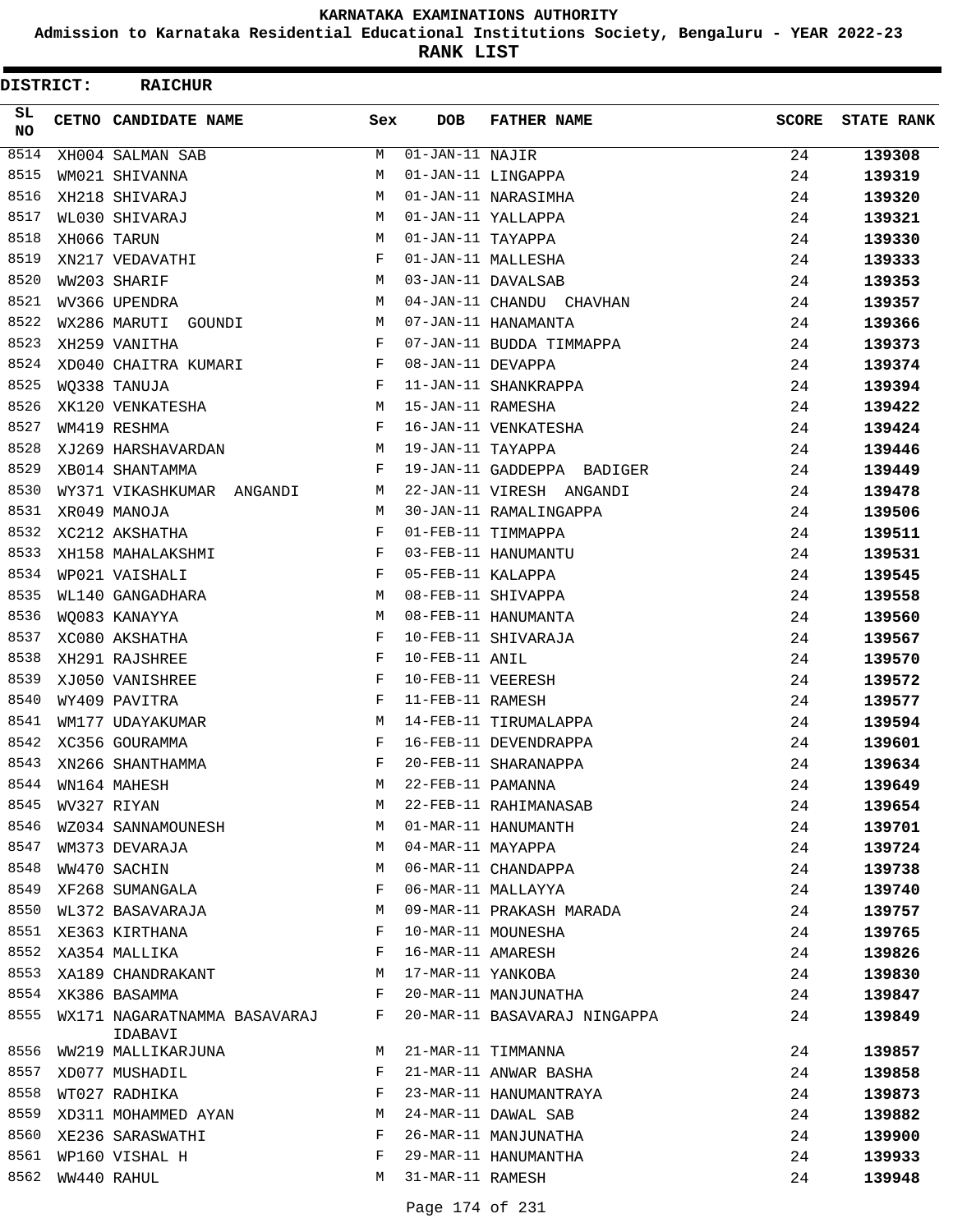**Admission to Karnataka Residential Educational Institutions Society, Bengaluru - YEAR 2022-23**

**RANK LIST**

| DISTRICT:       | <b>RAICHUR</b>                          |     |                               |                              |              |                   |
|-----------------|-----------------------------------------|-----|-------------------------------|------------------------------|--------------|-------------------|
| SL<br><b>NO</b> | CETNO CANDIDATE NAME                    | Sex | <b>DOB</b>                    | <b>FATHER NAME</b>           | <b>SCORE</b> | <b>STATE RANK</b> |
| 8514            | XH004 SALMAN SAB                        | М   | $\overline{01}$ -JAN-11 NAJIR |                              | 24           | 139308            |
| 8515            | WM021 SHIVANNA                          | М   |                               | 01-JAN-11 LINGAPPA           | 24           | 139319            |
| 8516            | XH218 SHIVARAJ                          | M   |                               | 01-JAN-11 NARASIMHA          | 24           | 139320            |
| 8517            | WL030 SHIVARAJ                          | М   |                               | 01-JAN-11 YALLAPPA           | 24           | 139321            |
| 8518            | XH066 TARUN                             | М   | 01-JAN-11 TAYAPPA             |                              | 24           | 139330            |
| 8519            | XN217 VEDAVATHI                         | F   |                               | 01-JAN-11 MALLESHA           | 24           | 139333            |
| 8520            | WW203 SHARIF                            | М   |                               | 03-JAN-11 DAVALSAB           | 24           | 139353            |
| 8521            | WV366 UPENDRA                           | М   |                               | 04-JAN-11 CHANDU CHAVHAN     | 24           | 139357            |
| 8522            | WX286 MARUTI GOUNDI                     | M   |                               | 07-JAN-11 HANAMANTA          | 24           | 139366            |
| 8523            | XH259 VANITHA                           | F   |                               | 07-JAN-11 BUDDA TIMMAPPA     | 24           | 139373            |
| 8524            | XD040 CHAITRA KUMARI                    | F   | 08-JAN-11 DEVAPPA             |                              | 24           | 139374            |
| 8525            | WQ338 TANUJA                            | F   |                               | 11-JAN-11 SHANKRAPPA         | 24           | 139394            |
| 8526            | XK120 VENKATESHA                        | М   | 15-JAN-11 RAMESHA             |                              | 24           | 139422            |
| 8527            | WM419 RESHMA                            | F   |                               | 16-JAN-11 VENKATESHA         | 24           | 139424            |
| 8528            | XJ269 HARSHAVARDAN                      | М   | 19-JAN-11 TAYAPPA             |                              | 24           | 139446            |
| 8529            | XB014 SHANTAMMA                         | F   |                               | 19-JAN-11 GADDEPPA BADIGER   | 24           | 139449            |
| 8530            | WY371 VIKASHKUMAR ANGANDI               | М   |                               | 22-JAN-11 VIRESH ANGANDI     | 24           | 139478            |
| 8531            | XR049 MANOJA                            | M   |                               | 30-JAN-11 RAMALINGAPPA       | 24           | 139506            |
| 8532            | XC212 AKSHATHA                          | F   |                               | 01-FEB-11 TIMMAPPA           | 24           | 139511            |
| 8533            | XH158 MAHALAKSHMI                       | F   |                               | 03-FEB-11 HANUMANTU          | 24           | 139531            |
| 8534            | WP021 VAISHALI                          | F   | 05-FEB-11 KALAPPA             |                              | 24           | 139545            |
| 8535            | WL140 GANGADHARA                        | М   |                               | 08-FEB-11 SHIVAPPA           | 24           | 139558            |
| 8536            | WQ083 KANAYYA                           | М   |                               | 08-FEB-11 HANUMANTA          | 24           | 139560            |
| 8537            | XC080 AKSHATHA                          | F   |                               | 10-FEB-11 SHIVARAJA          | 24           | 139567            |
| 8538            | XH291 RAJSHREE                          | F   | 10-FEB-11 ANIL                |                              | 24           | 139570            |
| 8539            | XJ050 VANISHREE                         | F   | 10-FEB-11 VEERESH             |                              | 24           | 139572            |
| 8540            | WY409 PAVITRA                           | F   | 11-FEB-11 RAMESH              |                              | 24           | 139577            |
| 8541            | WM177 UDAYAKUMAR                        | M   |                               | 14-FEB-11 TIRUMALAPPA        | 24           | 139594            |
| 8542            | XC356 GOURAMMA                          | F   |                               | 16-FEB-11 DEVENDRAPPA        | 24           | 139601            |
| 8543            | XN266 SHANTHAMMA                        | F   |                               | 20-FEB-11 SHARANAPPA         | 24           | 139634            |
| 8544            | WN164 MAHESH                            | M   | 22-FEB-11 PAMANNA             |                              | 24           | 139649            |
| 8545            | WV327 RIYAN                             | М   |                               | 22-FEB-11 RAHIMANASAB        | 24           | 139654            |
| 8546            | WZ034 SANNAMOUNESH                      | М   |                               | 01-MAR-11 HANUMANTH          | 24           | 139701            |
| 8547            | WM373 DEVARAJA                          | М   | 04-MAR-11 MAYAPPA             |                              | 24           | 139724            |
| 8548            | WW470 SACHIN                            | М   |                               | 06-MAR-11 CHANDAPPA          | 24           | 139738            |
| 8549            | XF268 SUMANGALA                         | F   |                               | 06-MAR-11 MALLAYYA           | 24           | 139740            |
| 8550            | WL372 BASAVARAJA                        | М   |                               | 09-MAR-11 PRAKASH MARADA     | 24           | 139757            |
| 8551            | XE363 KIRTHANA                          | F   |                               | 10-MAR-11 MOUNESHA           | 24           | 139765            |
| 8552            | XA354 MALLIKA                           | F   |                               | 16-MAR-11 AMARESH            | 24           | 139826            |
| 8553            | XA189 CHANDRAKANT                       | М   | 17-MAR-11 YANKOBA             |                              | 24           | 139830            |
| 8554            | XK386 BASAMMA                           | F   |                               | 20-MAR-11 MANJUNATHA         | 24           | 139847            |
| 8555            | WX171 NAGARATNAMMA BASAVARAJ<br>IDABAVI | F   |                               | 20-MAR-11 BASAVARAJ NINGAPPA | 24           | 139849            |
| 8556            | WW219 MALLIKARJUNA                      | M   |                               | 21-MAR-11 TIMMANNA           | 24           | 139857            |
| 8557            | XD077 MUSHADIL                          | F   |                               | 21-MAR-11 ANWAR BASHA        | 24           | 139858            |
| 8558            | WT027 RADHIKA                           | F   |                               | 23-MAR-11 HANUMANTRAYA       | 24           | 139873            |
| 8559            | XD311 MOHAMMED AYAN                     | М   |                               | 24-MAR-11 DAWAL SAB          | 24           | 139882            |
| 8560            | XE236 SARASWATHI                        | F   |                               | 26-MAR-11 MANJUNATHA         | 24           | 139900            |
| 8561            | WP160 VISHAL H                          | F   |                               | 29-MAR-11 HANUMANTHA         | 24           | 139933            |
| 8562            | WW440 RAHUL                             | М   | 31-MAR-11 RAMESH              |                              | 24           | 139948            |
|                 |                                         |     |                               |                              |              |                   |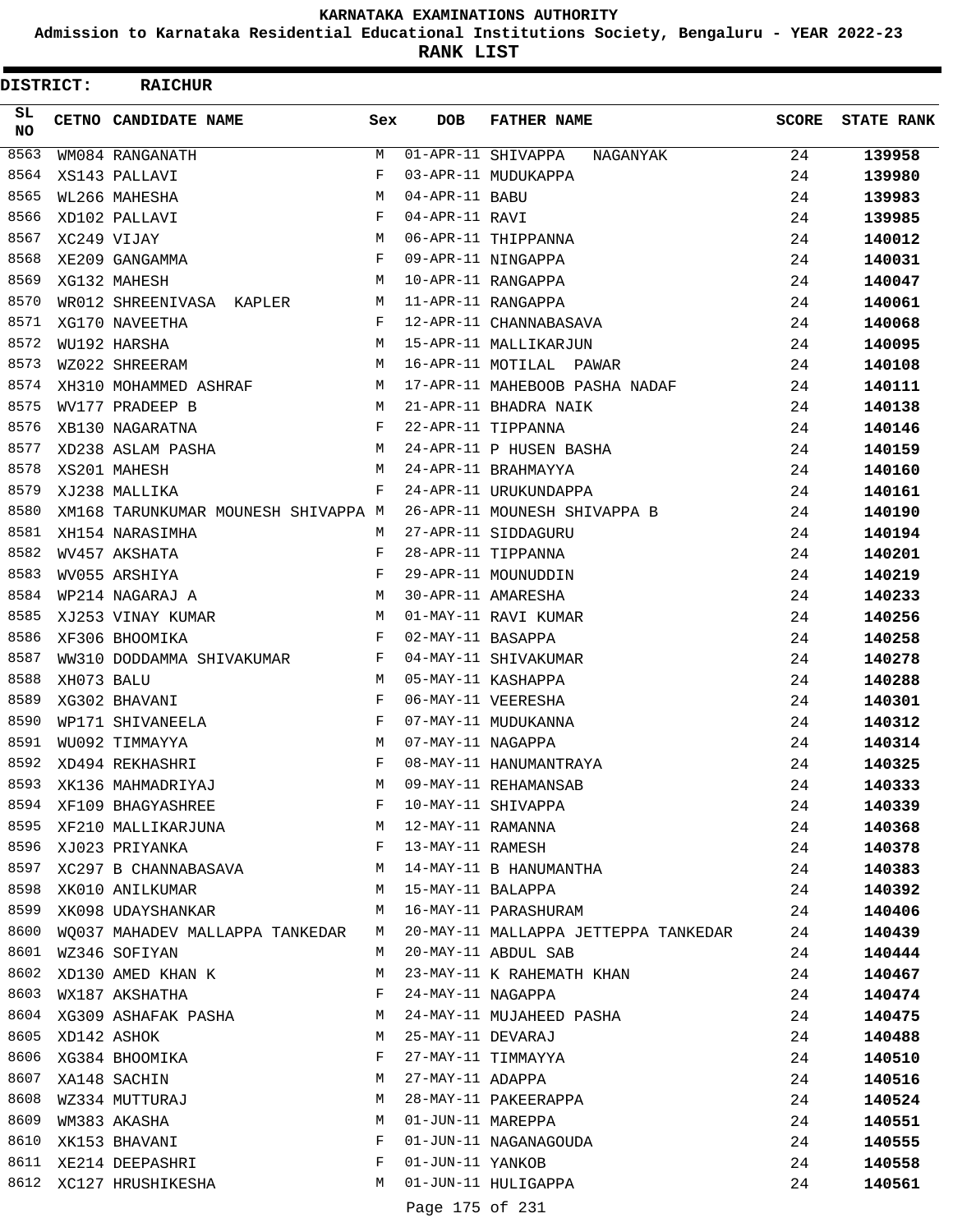**Admission to Karnataka Residential Educational Institutions Society, Bengaluru - YEAR 2022-23**

**RANK LIST**

 $\blacksquare$ 

| DISTRICT: |                  | <b>RAICHUR</b>                                                                          |     |                     |                                                 |              |                   |
|-----------|------------------|-----------------------------------------------------------------------------------------|-----|---------------------|-------------------------------------------------|--------------|-------------------|
| SL<br>NO. |                  | CETNO CANDIDATE NAME                                                                    | Sex | <b>DOB</b>          | <b>FATHER NAME</b>                              | <b>SCORE</b> | <b>STATE RANK</b> |
| 8563      |                  | WM084 RANGANATH                                                                         | М   |                     | $\overline{01 - APR - 11}$ SHIVAPPA<br>NAGANYAK | 24           | 139958            |
| 8564      |                  | XS143 PALLAVI                                                                           | F   |                     | 03-APR-11 MUDUKAPPA                             | 24           | 139980            |
| 8565      |                  | WL266 MAHESHA                                                                           | M   | 04-APR-11 BABU      |                                                 | 24           | 139983            |
| 8566      |                  | XD102 PALLAVI                                                                           | F   | 04-APR-11 RAVI      |                                                 | 24           | 139985            |
| 8567      |                  | XC249 VIJAY                                                                             | М   |                     | 06-APR-11 THIPPANNA                             | 24           | 140012            |
| 8568      |                  | XE209 GANGAMMA                                                                          | F   |                     | 09-APR-11 NINGAPPA                              | 24           | 140031            |
| 8569      |                  | XG132 MAHESH                                                                            | M   |                     | 10-APR-11 RANGAPPA                              | 24           | 140047            |
| 8570      |                  | WR012 SHREENIVASA KAPLER                                                                | М   |                     | 11-APR-11 RANGAPPA                              | 24           | 140061            |
| 8571      |                  | XG170 NAVEETHA                                                                          | F   |                     | 12-APR-11 CHANNABASAVA                          | 24           | 140068            |
| 8572      |                  | WU192 HARSHA                                                                            | М   |                     | 15-APR-11 MALLIKARJUN                           | 24           | 140095            |
| 8573      |                  | WZ022 SHREERAM                                                                          | М   |                     | 16-APR-11 MOTILAL PAWAR                         | 24           | 140108            |
| 8574      |                  | XH310 MOHAMMED ASHRAF                                                                   | М   |                     | 17-APR-11 MAHEBOOB PASHA NADAF                  | 24           | 140111            |
| 8575      |                  | WV177 PRADEEP B                                                                         | М   |                     | 21-APR-11 BHADRA NAIK                           | 24           | 140138            |
| 8576      |                  | XB130 NAGARATNA                                                                         | F   |                     | 22-APR-11 TIPPANNA                              | 24           | 140146            |
| 8577      |                  | XD238 ASLAM PASHA                                                                       | М   |                     | 24-APR-11 P HUSEN BASHA                         | 24           | 140159            |
| 8578      |                  | XS201 MAHESH                                                                            | М   |                     | 24-APR-11 BRAHMAYYA                             | 24           | 140160            |
| 8579      |                  | XJ238 MALLIKA                                                                           | F   |                     | 24-APR-11 URUKUNDAPPA                           | 24           | 140161            |
| 8580      |                  | XM168 TARUNKUMAR MOUNESH SHIVAPPA M                                                     |     |                     | 26-APR-11 MOUNESH SHIVAPPA B                    | 24           | 140190            |
| 8581      |                  | XH154 NARASIMHA                                                                         | M   |                     | 27-APR-11 SIDDAGURU                             | 24           | 140194            |
| 8582      |                  | WV457 AKSHATA                                                                           | F   |                     | 28-APR-11 TIPPANNA                              | 24           | 140201            |
| 8583      |                  | WV055 ARSHIYA                                                                           | F   |                     | 29-APR-11 MOUNUDDIN                             | 24           | 140219            |
| 8584      |                  | WP214 NAGARAJ A                                                                         | М   |                     | 30-APR-11 AMARESHA                              | 24           | 140233            |
| 8585      |                  | XJ253 VINAY KUMAR                                                                       | М   |                     | 01-MAY-11 RAVI KUMAR                            | 24           | 140256            |
| 8586      |                  | XF306 BHOOMIKA                                                                          | F   | 02-MAY-11 BASAPPA   |                                                 | 24           | 140258            |
| 8587      |                  | WW310 DODDAMMA SHIVAKUMAR                                                               | F   |                     | 04-MAY-11 SHIVAKUMAR                            | 24           | 140278            |
| 8588      | XH073 BALU       |                                                                                         | М   |                     | 05-MAY-11 KASHAPPA                              | 24           | 140288            |
| 8589      |                  | XG302 BHAVANI                                                                           | F   |                     | 06-MAY-11 VEERESHA                              | 24           | 140301            |
| 8590      |                  | WP171 SHIVANEELA                                                                        | F   |                     | 07-MAY-11 MUDUKANNA                             | 24           | 140312            |
| 8591      |                  | WU092 TIMMAYYA                                                                          | M   | 07-MAY-11 NAGAPPA   |                                                 | 24           | 140314            |
| 8592      |                  | XD494 REKHASHRI                                                                         | F   |                     | 08-MAY-11 HANUMANTRAYA                          | 24           | 140325            |
| 8593      |                  | XK136 MAHMADRIYAJ                                                                       | М   |                     | 09-MAY-11 REHAMANSAB                            | 24           | 140333            |
|           |                  | 8594 XF109 BHAGYASHREE                                                                  | F   |                     | 10-MAY-11 SHIVAPPA                              | 24           | 140339            |
| 8595      |                  | XF210 MALLIKARJUNA M 12-MAY-11 RAMANNA                                                  |     |                     |                                                 | 24           | 140368            |
|           |                  | $\mathbb{F}^{\mathbb{Z}}$ . The set of $\mathbb{F}^{\mathbb{Z}}$<br>8596 XJ023 PRIYANKA |     | 13-MAY-11 RAMESH    |                                                 | 24           | 140378            |
| 8597      |                  | XC297 B CHANNABASAVA M 14-MAY-11 B HANUMANTHA                                           |     |                     |                                                 | 24           | 140383            |
| 8598      |                  | XK010 ANILKUMAR                                                                         |     | M 15-MAY-11 BALAPPA |                                                 | 24           | 140392            |
| 8599      |                  | XK098 UDAYSHANKAR M                                                                     |     |                     | 16-MAY-11 PARASHURAM                            | 24           | 140406            |
| 8600      |                  | WQ037 MAHADEV MALLAPPA TANKEDAR M                                                       |     |                     | 20-MAY-11 MALLAPPA JETTEPPA TANKEDAR            | 24           | 140439            |
|           |                  | 8601 WZ346 SOFIYAN                                                                      | M   |                     | 20-MAY-11 ABDUL SAB                             | 24           | 140444            |
| 8602      |                  | XD130 AMED KHAN K                                                                       | М   |                     | 23-MAY-11 K RAHEMATH KHAN                       | 24           | 140467            |
| 8603      |                  | WX187 AKSHATHA                                                                          | F   | 24-MAY-11 NAGAPPA   |                                                 | 24           | 140474            |
|           |                  | 8604 XG309 ASHAFAK PASHA                                                                | M   |                     | 24-MAY-11 MUJAHEED PASHA                        | 24           | 140475            |
|           | 8605 XD142 ASHOK |                                                                                         | М   | 25-MAY-11 DEVARAJ   |                                                 | 24           | 140488            |
| 8606      |                  | XG384 BHOOMIKA                                                                          | F   |                     | 27-MAY-11 TIMMAYYA                              | 24           | 140510            |
| 8607      |                  | XA148 SACHIN                                                                            | М   | 27-MAY-11 ADAPPA    |                                                 | 24           | 140516            |
| 8608      |                  | WZ334 MUTTURAJ                                                                          | М   |                     | 28-MAY-11 PAKEERAPPA                            | 24           | 140524            |
| 8609      |                  | WM383 AKASHA                                                                            | М   | 01-JUN-11 MAREPPA   |                                                 | 24           | 140551            |
| 8610      |                  | XK153 BHAVANI                                                                           | F   |                     | 01-JUN-11 NAGANAGOUDA                           | 24           | 140555            |
|           |                  | 8611 XE214 DEEPASHRI                                                                    | F   | 01-JUN-11 YANKOB    |                                                 | 24           | 140558            |
|           |                  | 8612 XC127 HRUSHIKESHA                                                                  |     |                     | M 01-JUN-11 HULIGAPPA                           | 24           | 140561            |
|           |                  |                                                                                         |     |                     |                                                 |              |                   |

Page 175 of 231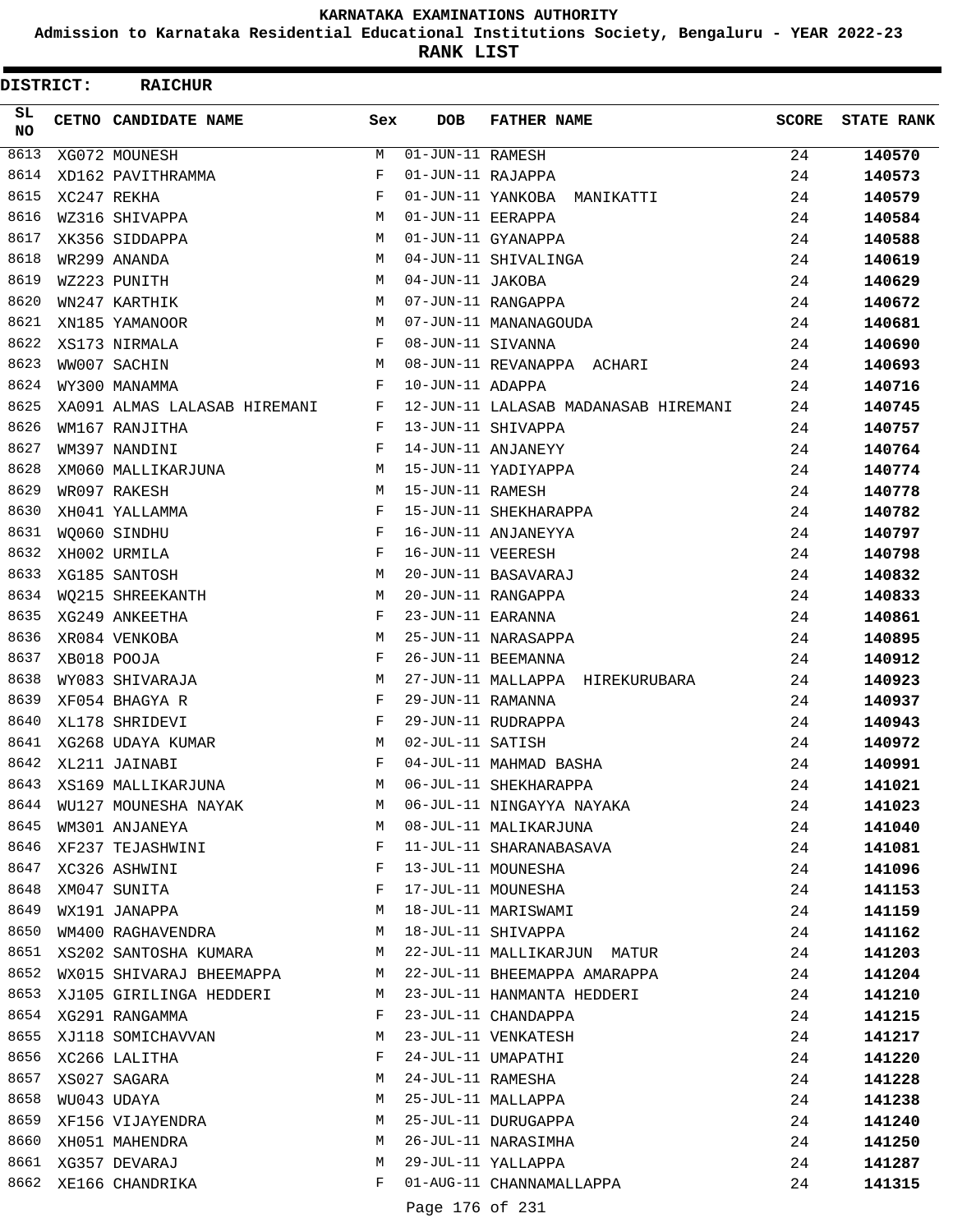**Admission to Karnataka Residential Educational Institutions Society, Bengaluru - YEAR 2022-23**

**RANK LIST**

|                 | DISTRICT: | <b>RAICHUR</b>               |     |                                |                                      |              |                   |
|-----------------|-----------|------------------------------|-----|--------------------------------|--------------------------------------|--------------|-------------------|
| SL<br><b>NO</b> |           | CETNO CANDIDATE NAME         | Sex | <b>DOB</b>                     | <b>FATHER NAME</b>                   | <b>SCORE</b> | <b>STATE RANK</b> |
| 8613            |           | XG072 MOUNESH                | М   | $\overline{01}$ -JUN-11 RAMESH |                                      | 24           | 140570            |
| 8614            |           | XD162 PAVITHRAMMA            | F   | 01-JUN-11 RAJAPPA              |                                      | 24           | 140573            |
| 8615            |           | XC247 REKHA                  | F   |                                | 01-JUN-11 YANKOBA MANIKATTI          | 24           | 140579            |
| 8616            |           | WZ316 SHIVAPPA               | М   | 01-JUN-11 EERAPPA              |                                      | 24           | 140584            |
| 8617            |           | XK356 SIDDAPPA               | М   |                                | 01-JUN-11 GYANAPPA                   | 24           | 140588            |
| 8618            |           | WR299 ANANDA                 | M   |                                | 04-JUN-11 SHIVALINGA                 | 24           | 140619            |
| 8619            |           | WZ223 PUNITH                 | М   | 04-JUN-11 JAKOBA               |                                      | 24           | 140629            |
| 8620            |           | WN247 KARTHIK                | М   |                                | 07-JUN-11 RANGAPPA                   | 24           | 140672            |
| 8621            |           | XN185 YAMANOOR               | М   |                                | 07-JUN-11 MANANAGOUDA                | 24           | 140681            |
| 8622            |           | XS173 NIRMALA                | F   | 08-JUN-11 SIVANNA              |                                      | 24           | 140690            |
| 8623            |           | WW007 SACHIN                 | М   |                                | 08-JUN-11 REVANAPPA ACHARI           | 24           | 140693            |
| 8624            |           | WY300 MANAMMA                | F   | 10-JUN-11 ADAPPA               |                                      | 24           | 140716            |
| 8625            |           | XA091 ALMAS LALASAB HIREMANI | F   |                                | 12-JUN-11 LALASAB MADANASAB HIREMANI | 24           | 140745            |
| 8626            |           | WM167 RANJITHA               | F   |                                | 13-JUN-11 SHIVAPPA                   | 24           | 140757            |
| 8627            |           | WM397 NANDINI                | F   |                                | 14-JUN-11 ANJANEYY                   | 24           | 140764            |
| 8628            |           | XM060 MALLIKARJUNA           | М   |                                | 15-JUN-11 YADIYAPPA                  | 24           | 140774            |
| 8629            |           | WR097 RAKESH                 | М   | 15-JUN-11 RAMESH               |                                      | 24           | 140778            |
| 8630            |           | XH041 YALLAMMA               | F   |                                | 15-JUN-11 SHEKHARAPPA                | 24           | 140782            |
| 8631            |           | WQ060 SINDHU                 | F   |                                | 16-JUN-11 ANJANEYYA                  | 24           | 140797            |
| 8632            |           | XH002 URMILA                 | F   | 16-JUN-11 VEERESH              |                                      | 24           | 140798            |
| 8633            |           | XG185 SANTOSH                | М   |                                | 20-JUN-11 BASAVARAJ                  | 24           | 140832            |
| 8634            |           | WO215 SHREEKANTH             | М   |                                | 20-JUN-11 RANGAPPA                   | 24           | 140833            |
| 8635            |           | XG249 ANKEETHA               | F   | 23-JUN-11 EARANNA              |                                      | 24           | 140861            |
| 8636            |           | XR084 VENKOBA                | М   |                                | 25-JUN-11 NARASAPPA                  | 24           | 140895            |
| 8637            |           | XB018 POOJA                  | F   |                                | 26-JUN-11 BEEMANNA                   | 24           | 140912            |
| 8638            |           | WY083 SHIVARAJA              | М   |                                | 27-JUN-11 MALLAPPA HIREKURUBARA      | 24           | 140923            |
| 8639            |           | XF054 BHAGYA R               | F   | 29-JUN-11 RAMANNA              |                                      | 24           | 140937            |
| 8640            |           | XL178 SHRIDEVI               | F   |                                | 29-JUN-11 RUDRAPPA                   | 24           | 140943            |
| 8641            |           | XG268 UDAYA KUMAR            | М   | 02-JUL-11 SATISH               |                                      | 24           | 140972            |
| 8642            |           | XL211 JAINABI                | F   |                                | 04-JUL-11 MAHMAD BASHA               | 24           | 140991            |
| 8643            |           | XS169 MALLIKARJUNA           | М   |                                | 06-JUL-11 SHEKHARAPPA                | 24           | 141021            |
| 8644            |           | WU127 MOUNESHA NAYAK         | М   |                                | 06-JUL-11 NINGAYYA NAYAKA            | 24           | 141023            |
| 8645            |           | WM301 ANJANEYA               | М   |                                | 08-JUL-11 MALIKARJUNA                | 24           | 141040            |
| 8646            |           | XF237 TEJASHWINI             | F   |                                | 11-JUL-11 SHARANABASAVA              | 24           | 141081            |
| 8647            |           | XC326 ASHWINI                | F   |                                | 13-JUL-11 MOUNESHA                   | 24           | 141096            |
| 8648            |           | XM047 SUNITA                 | F   |                                | 17-JUL-11 MOUNESHA                   | 24           | 141153            |
| 8649            |           | WX191 JANAPPA                | М   |                                | 18-JUL-11 MARISWAMI                  | 24           | 141159            |
| 8650            |           | WM400 RAGHAVENDRA            | M   |                                | 18-JUL-11 SHIVAPPA                   | 24           | 141162            |
|                 |           | 8651 XS202 SANTOSHA KUMARA   | M   |                                | 22-JUL-11 MALLIKARJUN MATUR          | 24           | 141203            |
| 8652            |           | WX015 SHIVARAJ BHEEMAPPA     | M   |                                | 22-JUL-11 BHEEMAPPA AMARAPPA         | 24           | 141204            |
| 8653            |           | XJ105 GIRILINGA HEDDERI      | M   |                                | 23-JUL-11 HANMANTA HEDDERI           | 24           | 141210            |
|                 |           | 8654 XG291 RANGAMMA          | F   |                                | 23-JUL-11 CHANDAPPA                  | 24           | 141215            |
| 8655            |           | XJ118 SOMICHAVVAN            | М   |                                | 23-JUL-11 VENKATESH                  | 24           | 141217            |
| 8656            |           | XC266 LALITHA                | F   |                                | 24-JUL-11 UMAPATHI                   | 24           | 141220            |
| 8657            |           | XS027 SAGARA                 | М   |                                | 24-JUL-11 RAMESHA                    | 24           | 141228            |
| 8658            |           | WU043 UDAYA                  | М   |                                | 25-JUL-11 MALLAPPA                   | 24           | 141238            |
| 8659            |           | XF156 VIJAYENDRA             | М   |                                | 25-JUL-11 DURUGAPPA                  | 24           | 141240            |
| 8660            |           | XH051 MAHENDRA               | М   |                                | 26-JUL-11 NARASIMHA                  | 24           | 141250            |
|                 |           | 8661 XG357 DEVARAJ           | М   |                                | 29-JUL-11 YALLAPPA                   | 24           | 141287            |
| 8662            |           | XE166 CHANDRIKA              | F   |                                | 01-AUG-11 CHANNAMALLAPPA             | 24           | 141315            |

Page 176 of 231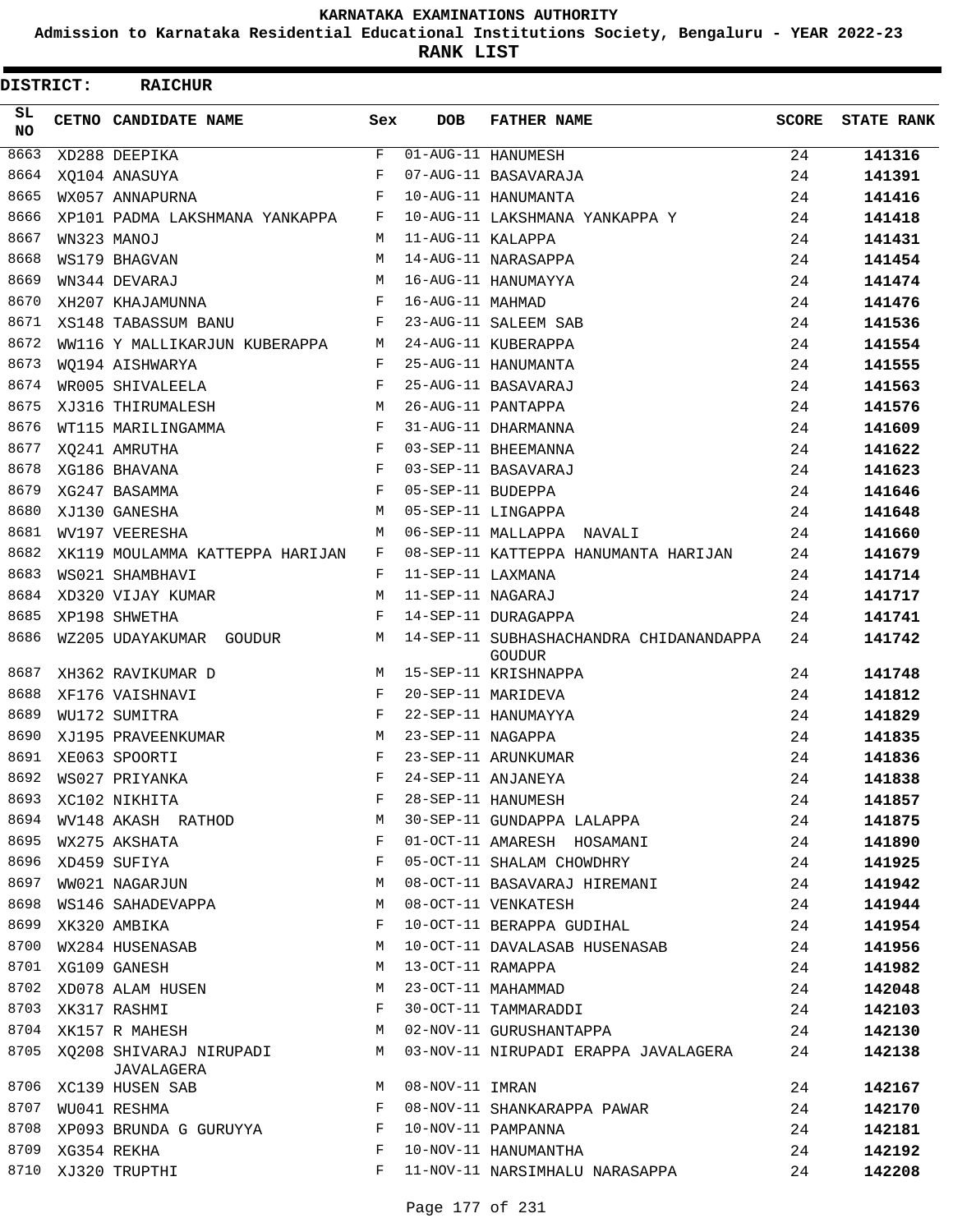**Admission to Karnataka Residential Educational Institutions Society, Bengaluru - YEAR 2022-23**

**RANK LIST**

| DISTRICT:  | <b>RAICHUR</b>                        |     |                   |                                                          |       |                   |
|------------|---------------------------------------|-----|-------------------|----------------------------------------------------------|-------|-------------------|
| SL.<br>NO. | CETNO CANDIDATE NAME                  | Sex | <b>DOB</b>        | <b>FATHER NAME</b>                                       | SCORE | <b>STATE RANK</b> |
| 8663       | XD288 DEEPIKA                         | F   |                   | 01-AUG-11 HANUMESH                                       | 24    | 141316            |
| 8664       | XQ104 ANASUYA                         | F   |                   | 07-AUG-11 BASAVARAJA                                     | 24    | 141391            |
| 8665       | WX057 ANNAPURNA                       | F   |                   | 10-AUG-11 HANUMANTA                                      | 24    | 141416            |
| 8666       | XP101 PADMA LAKSHMANA YANKAPPA        | F   |                   | 10-AUG-11 LAKSHMANA YANKAPPA Y                           | 24    | 141418            |
| 8667       | WN323 MANOJ                           | M   | 11-AUG-11 KALAPPA |                                                          | 24    | 141431            |
| 8668       | WS179 BHAGVAN                         | M   |                   | 14-AUG-11 NARASAPPA                                      | 24    | 141454            |
| 8669       | WN344 DEVARAJ                         | M   |                   | 16-AUG-11 HANUMAYYA                                      | 24    | 141474            |
| 8670       | XH207 KHAJAMUNNA                      | F   | 16-AUG-11 MAHMAD  |                                                          | 24    | 141476            |
| 8671       | XS148 TABASSUM BANU                   | F   |                   | 23-AUG-11 SALEEM SAB                                     | 24    | 141536            |
| 8672       | WW116 Y MALLIKARJUN KUBERAPPA         | М   |                   | 24-AUG-11 KUBERAPPA                                      | 24    | 141554            |
| 8673       | WO194 AISHWARYA                       | F   |                   | 25-AUG-11 HANUMANTA                                      | 24    | 141555            |
| 8674       | WR005 SHIVALEELA                      | F   |                   | 25-AUG-11 BASAVARAJ                                      | 24    | 141563            |
| 8675       | XJ316 THIRUMALESH                     | М   |                   | 26-AUG-11 PANTAPPA                                       | 24    | 141576            |
| 8676       | WT115 MARILINGAMMA                    | F   |                   | 31-AUG-11 DHARMANNA                                      | 24    | 141609            |
| 8677       | XQ241 AMRUTHA                         | F   |                   | 03-SEP-11 BHEEMANNA                                      | 24    | 141622            |
| 8678       | XG186 BHAVANA                         | F   |                   | 03-SEP-11 BASAVARAJ                                      | 24    | 141623            |
| 8679       | XG247 BASAMMA                         | F   | 05-SEP-11 BUDEPPA |                                                          | 24    | 141646            |
| 8680       | XJ130 GANESHA                         | М   |                   | 05-SEP-11 LINGAPPA                                       | 24    | 141648            |
| 8681       | WV197 VEERESHA                        | M   |                   | 06-SEP-11 MALLAPPA NAVALI                                | 24    | 141660            |
| 8682       | XK119 MOULAMMA KATTEPPA HARIJAN       | F   |                   | 08-SEP-11 KATTEPPA HANUMANTA HARIJAN                     | 24    | 141679            |
| 8683       | WS021 SHAMBHAVI                       | F   | 11-SEP-11 LAXMANA |                                                          | 24    | 141714            |
| 8684       | XD320 VIJAY KUMAR                     | M   | 11-SEP-11 NAGARAJ |                                                          | 24    | 141717            |
| 8685       | XP198 SHWETHA                         | F   |                   | 14-SEP-11 DURAGAPPA                                      | 24    | 141741            |
| 8686       | WZ205 UDAYAKUMAR GOUDUR               | М   |                   | 14-SEP-11 SUBHASHACHANDRA CHIDANANDAPPA<br><b>GOUDUR</b> | 24    | 141742            |
| 8687       | XH362 RAVIKUMAR D                     | М   |                   | 15-SEP-11 KRISHNAPPA                                     | 24    | 141748            |
| 8688       | XF176 VAISHNAVI                       | F   |                   | 20-SEP-11 MARIDEVA                                       | 24    | 141812            |
| 8689       | WU172 SUMITRA                         | F   |                   | 22-SEP-11 HANUMAYYA                                      | 24    | 141829            |
| 8690       | XJ195 PRAVEENKUMAR                    | M   | 23-SEP-11 NAGAPPA |                                                          | 24    | 141835            |
| 8691       | XE063 SPOORTI                         | F   |                   | 23-SEP-11 ARUNKUMAR                                      | 24    | 141836            |
| 8692       | WS027 PRIYANKA                        | F   |                   | 24-SEP-11 ANJANEYA                                       | 24    | 141838            |
| 8693       | XC102 NIKHITA                         | F   |                   | 28-SEP-11 HANUMESH                                       | 24    | 141857            |
| 8694       | WV148 AKASH RATHOD                    | М   |                   | 30-SEP-11 GUNDAPPA LALAPPA                               | 24    | 141875            |
| 8695       | WX275 AKSHATA                         | F   |                   | 01-OCT-11 AMARESH HOSAMANI                               | 24    | 141890            |
| 8696       | XD459 SUFIYA                          | F   |                   | 05-OCT-11 SHALAM CHOWDHRY                                | 24    | 141925            |
| 8697       | WW021 NAGARJUN                        | М   |                   | 08-OCT-11 BASAVARAJ HIREMANI                             | 24    | 141942            |
| 8698       | WS146 SAHADEVAPPA                     | М   |                   | 08-OCT-11 VENKATESH                                      | 24    | 141944            |
| 8699       | XK320 AMBIKA                          | F   |                   | 10-OCT-11 BERAPPA GUDIHAL                                | 24    | 141954            |
| 8700       | WX284 HUSENASAB                       | М   |                   | 10-OCT-11 DAVALASAB HUSENASAB                            | 24    | 141956            |
| 8701       | XG109 GANESH                          | М   | 13-OCT-11 RAMAPPA |                                                          | 24    | 141982            |
|            | 8702 XD078 ALAM HUSEN                 | М   |                   | 23-OCT-11 MAHAMMAD                                       | 24    | 142048            |
| 8703       | XK317 RASHMI                          | F   |                   | 30-OCT-11 TAMMARADDI                                     | 24    | 142103            |
| 8704       | XK157 R MAHESH                        | М   |                   | 02-NOV-11 GURUSHANTAPPA                                  | 24    | 142130            |
| 8705       | XQ208 SHIVARAJ NIRUPADI<br>JAVALAGERA | М   |                   | 03-NOV-11 NIRUPADI ERAPPA JAVALAGERA                     | 24    | 142138            |
| 8706       | XC139 HUSEN SAB                       | М   | 08-NOV-11 IMRAN   |                                                          | 24    | 142167            |
| 8707       | WU041 RESHMA                          | F   |                   | 08-NOV-11 SHANKARAPPA PAWAR                              | 24    | 142170            |
|            | 8708 XP093 BRUNDA G GURUYYA           | F   |                   | 10-NOV-11 PAMPANNA                                       | 24    | 142181            |
| 8709       | XG354 REKHA                           | F   |                   | 10-NOV-11 HANUMANTHA                                     | 24    | 142192            |
| 8710       | XJ320 TRUPTHI                         | F   |                   | 11-NOV-11 NARSIMHALU NARASAPPA                           | 24    | 142208            |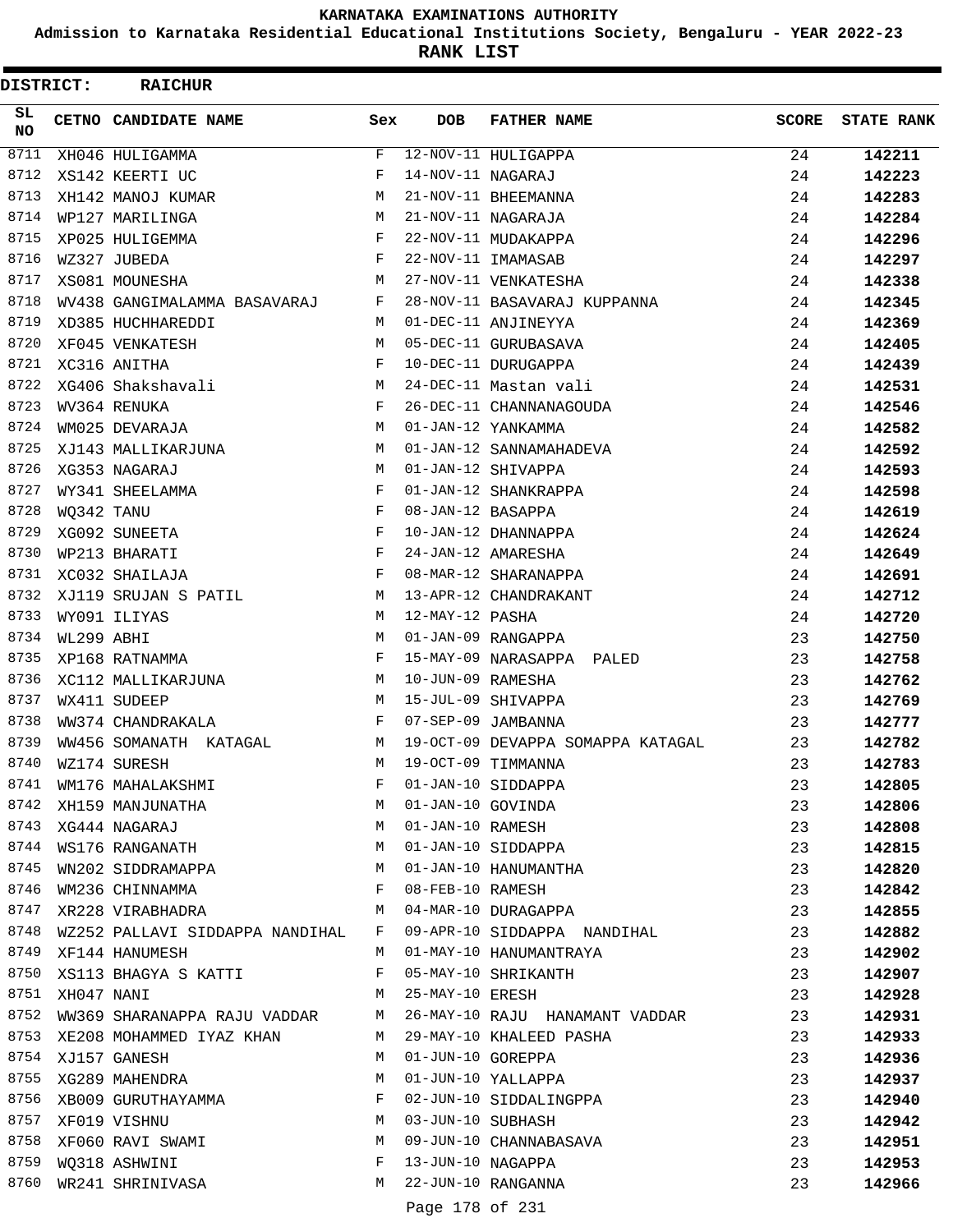**Admission to Karnataka Residential Educational Institutions Society, Bengaluru - YEAR 2022-23**

**RANK LIST**

 $\blacksquare$ 

| <b>DISTRICT:</b> |                 | <b>RAICHUR</b>                                       |              |                   |                                                                                                           |              |                   |
|------------------|-----------------|------------------------------------------------------|--------------|-------------------|-----------------------------------------------------------------------------------------------------------|--------------|-------------------|
| SL.<br><b>NO</b> |                 | CETNO CANDIDATE NAME                                 | Sex          | DOB               | <b>FATHER NAME</b>                                                                                        | <b>SCORE</b> | <b>STATE RANK</b> |
| 8711             |                 | XH046 HULIGAMMA                                      | F            |                   | 12-NOV-11 HULIGAPPA                                                                                       | 24           | 142211            |
| 8712             |                 | XS142 KEERTI UC                                      | F            | 14-NOV-11 NAGARAJ |                                                                                                           | 24           | 142223            |
| 8713             |                 | XH142 MANOJ KUMAR                                    | M            |                   | 21-NOV-11 BHEEMANNA                                                                                       | 24           | 142283            |
| 8714             |                 | WP127 MARILINGA                                      | M            |                   | 21-NOV-11 NAGARAJA                                                                                        | 24           | 142284            |
| 8715             |                 | XP025 HULIGEMMA                                      | F            |                   | 22-NOV-11 MUDAKAPPA                                                                                       | 24           | 142296            |
| 8716             |                 | WZ327 JUBEDA                                         | F            |                   | 22-NOV-11 IMAMASAB                                                                                        | 24           | 142297            |
| 8717             |                 | XS081 MOUNESHA                                       | M            |                   | 27-NOV-11 VENKATESHA                                                                                      | 24           | 142338            |
| 8718             |                 | WV438 GANGIMALAMMA BASAVARAJ                         | F            |                   | 28-NOV-11 BASAVARAJ KUPPANNA                                                                              | 24           | 142345            |
| 8719             |                 | XD385 HUCHHAREDDI                                    | M            |                   | 01-DEC-11 ANJINEYYA                                                                                       | 24           | 142369            |
| 8720             |                 | XF045 VENKATESH                                      | М            |                   | 05-DEC-11 GURUBASAVA                                                                                      | 24           | 142405            |
| 8721             |                 | XC316 ANITHA                                         | F            |                   | 10-DEC-11 DURUGAPPA                                                                                       | 24           | 142439            |
| 8722             |                 | M<br>XG406 Shakshavali                               |              |                   | 24-DEC-11 Mastan vali                                                                                     | 24           | 142531            |
| 8723             |                 | WV364 RENUKA                                         | F            |                   | 26-DEC-11 CHANNANAGOUDA                                                                                   | 24           | 142546            |
| 8724             |                 | WM025 DEVARAJA                                       | M            |                   | 01-JAN-12 YANKAMMA                                                                                        | 24           | 142582            |
| 8725             |                 | XJ143 MALLIKARJUNA                                   | М            |                   | 01-JAN-12 SANNAMAHADEVA                                                                                   | 24           | 142592            |
| 8726             |                 | XG353 NAGARAJ                                        | M            |                   | 01-JAN-12 SHIVAPPA                                                                                        | 24           | 142593            |
| 8727             |                 | WY341 SHEELAMMA                                      | F            |                   | 01-JAN-12 SHANKRAPPA                                                                                      | 24           | 142598            |
| 8728             | WQ342 TANU      |                                                      | F            | 08-JAN-12 BASAPPA |                                                                                                           | 24           | 142619            |
| 8729             |                 | XG092 SUNEETA                                        | F            |                   | 10-JAN-12 DHANNAPPA                                                                                       | 24           | 142624            |
| 8730             |                 | WP213 BHARATI                                        | F            |                   | 24-JAN-12 AMARESHA                                                                                        | 24           | 142649            |
| 8731             |                 | XC032 SHAILAJA                                       | F            |                   | 08-MAR-12 SHARANAPPA                                                                                      | 24           | 142691            |
| 8732             |                 | XJ119 SRUJAN S PATIL                                 | M            |                   | 13-APR-12 CHANDRAKANT                                                                                     | 24           | 142712            |
| 8733             |                 | WY091 ILIYAS                                         | M            | 12-MAY-12 PASHA   |                                                                                                           | 24           | 142720            |
| 8734             | WL299 ABHI      |                                                      | M            |                   | 01-JAN-09 RANGAPPA                                                                                        | 23           | 142750            |
| 8735             |                 | XP168 RATNAMMA                                       | F            |                   | 15-MAY-09 NARASAPPA PALED                                                                                 | 23           | 142758            |
| 8736             |                 | XC112 MALLIKARJUNA                                   | M            | 10-JUN-09 RAMESHA |                                                                                                           | 23           | 142762            |
| 8737             |                 | WX411 SUDEEP                                         | M            |                   | 15-JUL-09 SHIVAPPA                                                                                        | 23           | 142769            |
| 8738             |                 | WW374 CHANDRAKALA                                    | $\mathbf{F}$ |                   | 07-SEP-09 JAMBANNA                                                                                        | 23           | 142777            |
| 8739             |                 | WW456 SOMANATH KATAGAL                               | M            |                   | 19-OCT-09 DEVAPPA SOMAPPA KATAGAL                                                                         | 23           | 142782            |
| 8740             |                 | WZ174 SURESH                                         | M            |                   | 19-OCT-09 TIMMANNA                                                                                        | 23           | 142783            |
| 8741             |                 | WM176 MAHALAKSHMI                                    | F            |                   | 01-JAN-10 SIDDAPPA<br>01-JAN-10 GOVINDA<br>01-JAN-10 RAMESH<br>01-JAN-10 SIDDAPPA<br>01-JAN-10 HANUMANTHA | 23           | 142805            |
| 8742             |                 | XH159 MANJUNATHA<br>XG444 NAGARAJ<br>WS176 RANGANATH | M            |                   |                                                                                                           | 23           | 142806            |
| 8743             |                 |                                                      | M            |                   |                                                                                                           | 23           | 142808            |
| 8744             |                 |                                                      | M            |                   |                                                                                                           | 23           | 142815            |
| 8745             |                 | WN202 SIDDRAMAPPA                                    | M            |                   |                                                                                                           | 23           | 142820            |
| 8746             |                 | WM236 CHINNAMMA                                      | F            | 08-FEB-10 RAMESH  |                                                                                                           | 23           | 142842            |
| 8747             |                 | XR228 VIRABHADRA                                     | M            |                   | 04-MAR-10 DURAGAPPA                                                                                       | 23           | 142855            |
| 8748             |                 | WZ252 PALLAVI SIDDAPPA NANDIHAL F                    |              |                   | 09-APR-10 SIDDAPPA NANDIHAL                                                                               | 23           | 142882            |
| 8749             |                 | XF144 HANUMESH                                       | M            |                   | 01-MAY-10 HANUMANTRAYA                                                                                    | 23           | 142902            |
| 8750             |                 | XS113 BHAGYA S KATTI                                 | F            |                   | 05-MAY-10 SHRIKANTH                                                                                       | 23           | 142907            |
|                  | 8751 XH047 NANI |                                                      |              | M 25-MAY-10 ERESH |                                                                                                           | 23           | 142928            |
| 8752             |                 |                                                      |              |                   | WW369 SHARANAPPA RAJU VADDAR M 26-MAY-10 RAJU HANAMANT VADDAR                                             | 23           | 142931            |
| 8753             |                 | XE208 MOHAMMED IYAZ KHAN                             | M            |                   | 29-MAY-10 KHALEED PASHA                                                                                   | 23           | 142933            |
| 8754             |                 | XJ157 GANESH                                         | М            |                   | 01-JUN-10 GOREPPA                                                                                         | 23           | 142936            |
| 8755             |                 | XG289 MAHENDRA                                       | М            |                   | 01-JUN-10 YALLAPPA                                                                                        | 23           | 142937            |
| 8756             |                 | XB009 GURUTHAYAMMA                                   | F            |                   | 02-JUN-10 SIDDALINGPPA                                                                                    | 23           | 142940            |
| 8757             |                 | XF019 VISHNU                                         | M            | 03-JUN-10 SUBHASH |                                                                                                           | 23           | 142942            |
| 8758             |                 | XF060 RAVI SWAMI                                     | M            |                   | 09-JUN-10 CHANNABASAVA                                                                                    | 23           | 142951            |
| 8759             |                 | WQ318 ASHWINI                                        | F            |                   | 13-JUN-10 NAGAPPA                                                                                         | 23           | 142953            |
| 8760             |                 | WR241 SHRINIVASA                                     | M            |                   | 22-JUN-10 RANGANNA                                                                                        | 23           | 142966            |
|                  |                 |                                                      |              |                   |                                                                                                           |              |                   |

Page 178 of 231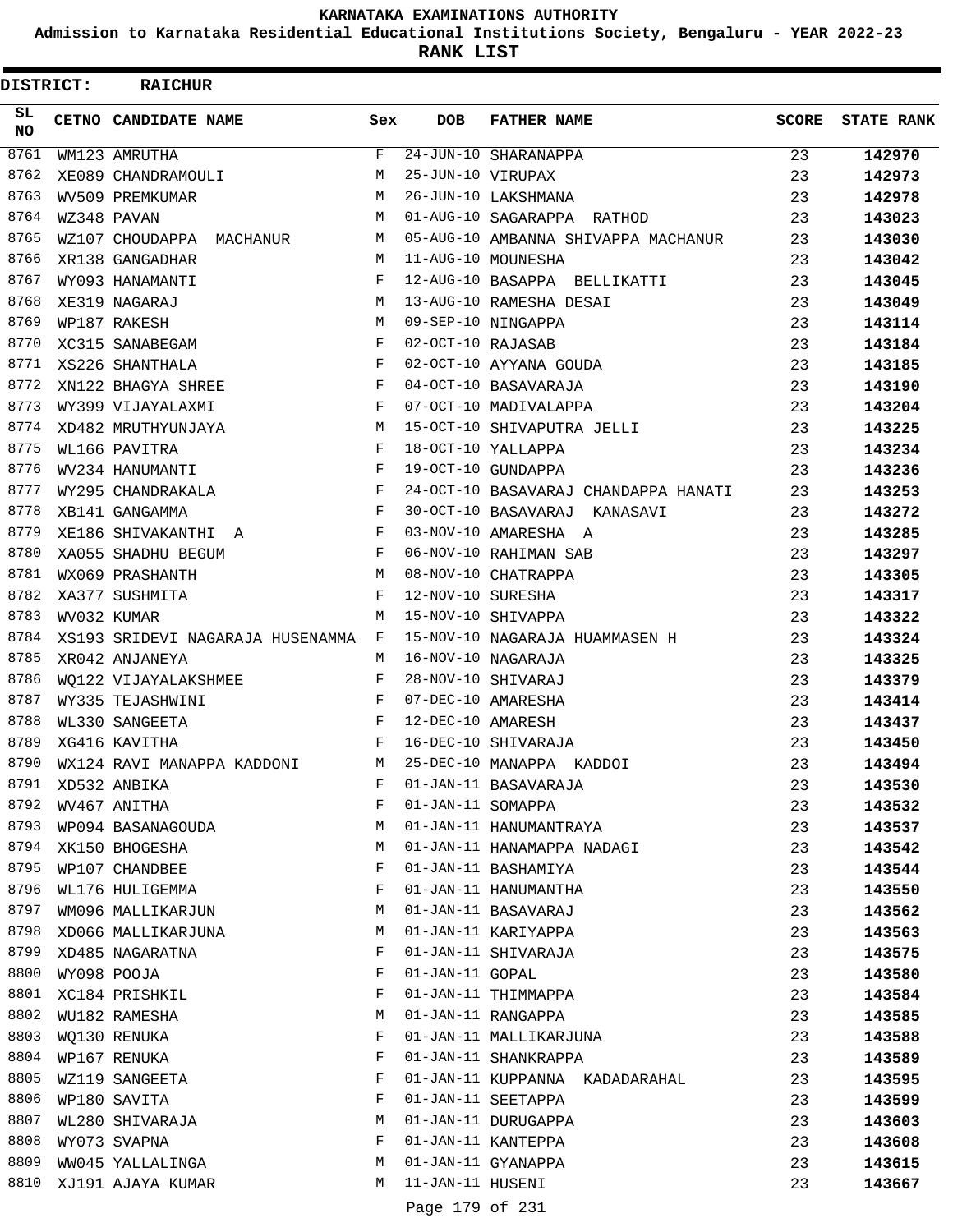**Admission to Karnataka Residential Educational Institutions Society, Bengaluru - YEAR 2022-23**

**RANK LIST**

| DISTRICT: | <b>RAICHUR</b>                   |             |                   |                                                  |              |                   |
|-----------|----------------------------------|-------------|-------------------|--------------------------------------------------|--------------|-------------------|
| SL<br>NO. | CETNO CANDIDATE NAME             | Sex         | <b>DOB</b>        | <b>FATHER NAME</b>                               | <b>SCORE</b> | <b>STATE RANK</b> |
| 8761      | WM123 AMRUTHA                    | $\mathbf F$ |                   | $\overline{24} - \overline{JUN} - 10$ SHARANAPPA | 23           | 142970            |
| 8762      | XE089 CHANDRAMOULI               | М           | 25-JUN-10 VIRUPAX |                                                  | 23           | 142973            |
| 8763      | WV509 PREMKUMAR                  | M           |                   | 26-JUN-10 LAKSHMANA                              | 23           | 142978            |
| 8764      | WZ348 PAVAN                      | М           |                   | 01-AUG-10 SAGARAPPA RATHOD                       | 23           | 143023            |
| 8765      | WZ107 CHOUDAPPA MACHANUR         | М           |                   | 05-AUG-10 AMBANNA SHIVAPPA MACHANUR              | 23           | 143030            |
| 8766      | XR138 GANGADHAR                  | M           |                   | 11-AUG-10 MOUNESHA                               | 23           | 143042            |
| 8767      | WY093 HANAMANTI                  | F           |                   | 12-AUG-10 BASAPPA BELLIKATTI                     | 23           | 143045            |
| 8768      | XE319 NAGARAJ                    | М           |                   | 13-AUG-10 RAMESHA DESAI                          | 23           | 143049            |
| 8769      | WP187 RAKESH                     | М           |                   | 09-SEP-10 NINGAPPA                               | 23           | 143114            |
| 8770      | XC315 SANABEGAM                  | F           | 02-OCT-10 RAJASAB |                                                  | 23           | 143184            |
| 8771      | XS226 SHANTHALA                  | F           |                   | 02-OCT-10 AYYANA GOUDA                           | 23           | 143185            |
| 8772      | XN122 BHAGYA SHREE               | F           |                   | 04-OCT-10 BASAVARAJA                             | 23           | 143190            |
| 8773      | WY399 VIJAYALAXMI                | F           |                   | 07-OCT-10 MADIVALAPPA                            | 23           | 143204            |
| 8774      | XD482 MRUTHYUNJAYA               | М           |                   | 15-OCT-10 SHIVAPUTRA JELLI                       | 23           | 143225            |
| 8775      | WL166 PAVITRA                    | F           |                   | 18-OCT-10 YALLAPPA                               | 23           | 143234            |
| 8776      | WV234 HANUMANTI                  | F           |                   | 19-OCT-10 GUNDAPPA                               | 23           | 143236            |
| 8777      | WY295 CHANDRAKALA                | F           |                   | 24-OCT-10 BASAVARAJ CHANDAPPA HANATI             | 23           | 143253            |
| 8778      | XB141 GANGAMMA                   | F           |                   | 30-OCT-10 BASAVARAJ KANASAVI                     | 23           | 143272            |
| 8779      | XE186 SHIVAKANTHI A              | F           |                   | 03-NOV-10 AMARESHA A                             | 23           | 143285            |
| 8780      | XA055 SHADHU BEGUM               | F           |                   | 06-NOV-10 RAHIMAN SAB                            | 23           | 143297            |
| 8781      | WX069 PRASHANTH                  | М           |                   | 08-NOV-10 CHATRAPPA                              | 23           | 143305            |
| 8782      | XA377 SUSHMITA                   | F           | 12-NOV-10 SURESHA |                                                  | 23           | 143317            |
| 8783      | WV032 KUMAR                      | M           |                   | 15-NOV-10 SHIVAPPA                               | 23           | 143322            |
| 8784      | XS193 SRIDEVI NAGARAJA HUSENAMMA | F           |                   | 15-NOV-10 NAGARAJA HUAMMASEN H                   | 23           | 143324            |
| 8785      | XR042 ANJANEYA                   | М           |                   | 16-NOV-10 NAGARAJA                               | 23           | 143325            |
| 8786      | WO122 VIJAYALAKSHMEE             | F           |                   | 28-NOV-10 SHIVARAJ                               | 23           | 143379            |
| 8787      | WY335 TEJASHWINI                 | F           |                   | 07-DEC-10 AMARESHA                               | 23           | 143414            |
| 8788      | WL330 SANGEETA                   | F           | 12-DEC-10 AMARESH |                                                  | 23           | 143437            |
| 8789      | XG416 KAVITHA                    | F           |                   | 16-DEC-10 SHIVARAJA                              | 23           | 143450            |
| 8790      | WX124 RAVI MANAPPA KADDONI       | М           |                   | 25-DEC-10 MANAPPA KADDOI                         | 23           | 143494            |
|           | 8791 XD532 ANBIKA                | F           |                   | 01-JAN-11 BASAVARAJA                             | 23           | 143530            |
| 8792      | WV467 ANITHA                     | F           | 01-JAN-11 SOMAPPA |                                                  | 23           | 143532            |
| 8793      | WP094 BASANAGOUDA                | М           |                   | 01-JAN-11 HANUMANTRAYA                           | 23           | 143537            |
|           | 8794 XK150 BHOGESHA              | М           |                   | 01-JAN-11 HANAMAPPA NADAGI                       | 23           | 143542            |
| 8795      | WP107 CHANDBEE                   | F           |                   | 01-JAN-11 BASHAMIYA                              | 23           | 143544            |
| 8796      | WL176 HULIGEMMA                  | F           |                   | 01-JAN-11 HANUMANTHA                             | 23           | 143550            |
| 8797      | WM096 MALLIKARJUN                | M           |                   | 01-JAN-11 BASAVARAJ                              | 23           | 143562            |
| 8798      | XD066 MALLIKARJUNA               | M           |                   | 01-JAN-11 KARIYAPPA                              | 23           | 143563            |
| 8799      | XD485 NAGARATNA                  | F           |                   | 01-JAN-11 SHIVARAJA                              | 23           | 143575            |
| 8800      | WY098 POOJA                      | F           | 01-JAN-11 GOPAL   |                                                  | 23           | 143580            |
| 8801      | XC184 PRISHKIL                   | F           |                   | 01-JAN-11 THIMMAPPA                              | 23           | 143584            |
| 8802      | WU182 RAMESHA                    | М           |                   | 01-JAN-11 RANGAPPA                               | 23           | 143585            |
| 8803      | WQ130 RENUKA                     | F           |                   | 01-JAN-11 MALLIKARJUNA                           | 23           | 143588            |
| 8804      | WP167 RENUKA                     | F           |                   | 01-JAN-11 SHANKRAPPA                             | 23           | 143589            |
| 8805      | WZ119 SANGEETA                   | F           |                   | 01-JAN-11 KUPPANNA KADADARAHAL                   | 23           | 143595            |
| 8806      | WP180 SAVITA                     | F           |                   | 01-JAN-11 SEETAPPA                               | 23           | 143599            |
| 8807      | WL280 SHIVARAJA                  | М           |                   | 01-JAN-11 DURUGAPPA                              | 23           | 143603            |
| 8808      | WY073 SVAPNA                     | F           |                   | 01-JAN-11 KANTEPPA                               | 23           | 143608            |
| 8809      | WW045 YALLALINGA                 | M           |                   | 01-JAN-11 GYANAPPA                               | 23           | 143615            |
| 8810      | XJ191 AJAYA KUMAR                | М           | 11-JAN-11 HUSENI  |                                                  | 23           | 143667            |
|           |                                  |             | Page 179 of 231   |                                                  |              |                   |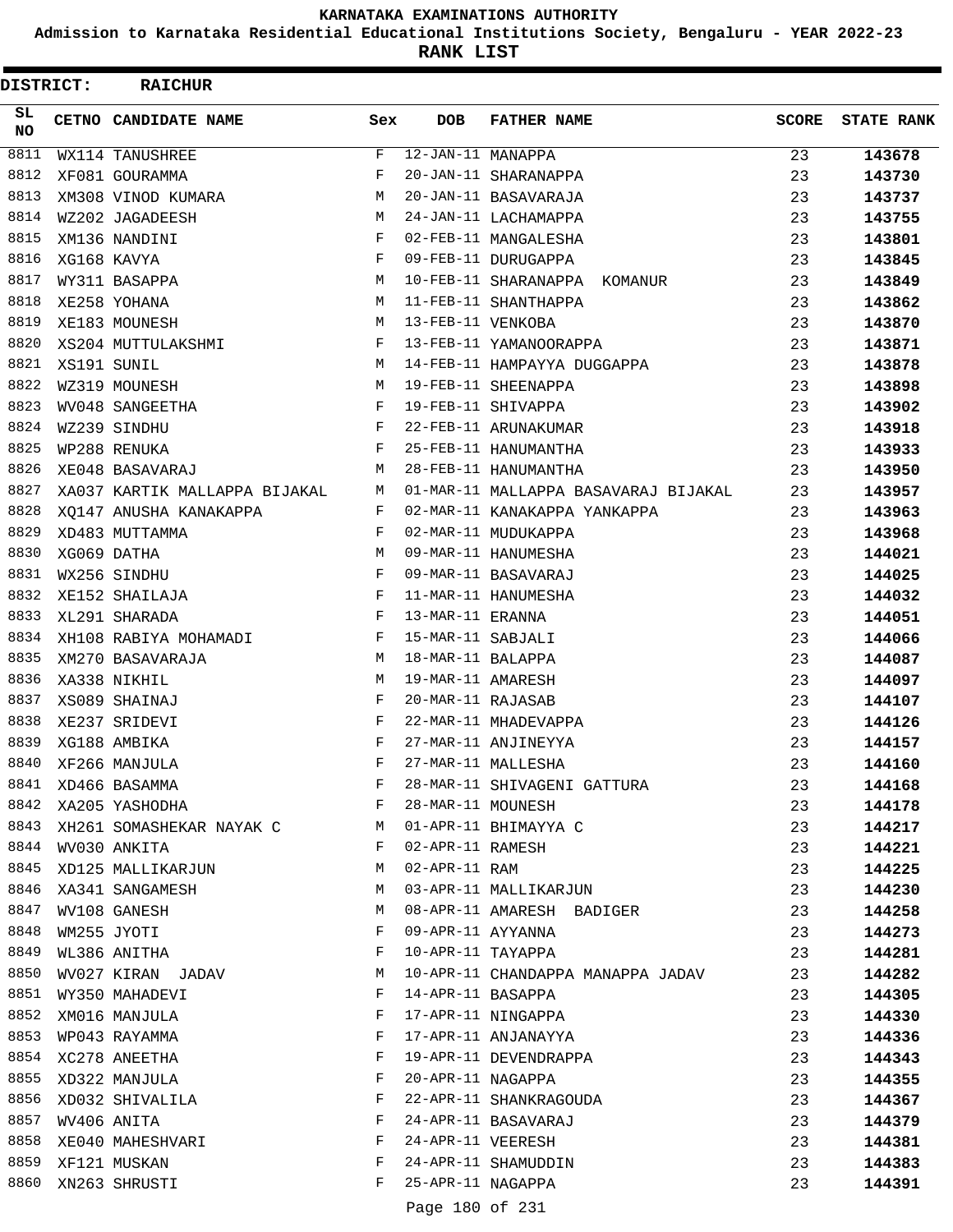**Admission to Karnataka Residential Educational Institutions Society, Bengaluru - YEAR 2022-23**

**RANK LIST**

| DISTRICT:        | <b>RAICHUR</b>                       |              |                                    |                                                    |              |                   |
|------------------|--------------------------------------|--------------|------------------------------------|----------------------------------------------------|--------------|-------------------|
| SL.<br><b>NO</b> | CETNO CANDIDATE NAME                 | Sex          | <b>DOB</b>                         | <b>FATHER NAME</b>                                 | <b>SCORE</b> | <b>STATE RANK</b> |
| 8811             | WX114 TANUSHREE                      | F            | $\overline{12 - JAN - 11}$ MANAPPA |                                                    | 23           | 143678            |
| 8812             | XF081 GOURAMMA                       | F            |                                    | 20-JAN-11 SHARANAPPA                               | 23           | 143730            |
| 8813             | XM308 VINOD KUMARA                   | M            |                                    | 20-JAN-11 BASAVARAJA                               | 23           | 143737            |
| 8814             | WZ202 JAGADEESH                      | M            |                                    | 24-JAN-11 LACHAMAPPA                               | 23           | 143755            |
| 8815             | XM136 NANDINI                        | F            |                                    | 02-FEB-11 MANGALESHA                               | 23           | 143801            |
| 8816             | XG168 KAVYA                          | F            |                                    | 09-FEB-11 DURUGAPPA                                | 23           | 143845            |
| 8817             | WY311 BASAPPA                        | M            |                                    | 10-FEB-11 SHARANAPPA KOMANUR                       | 23           | 143849            |
| 8818             | XE258 YOHANA                         | M            |                                    | 11-FEB-11 SHANTHAPPA                               | 23           | 143862            |
| 8819             | XE183 MOUNESH                        | M            | 13-FEB-11 VENKOBA                  |                                                    | 23           | 143870            |
| 8820             | XS204 MUTTULAKSHMI                   | F            |                                    | 13-FEB-11 YAMANOORAPPA                             | 23           | 143871            |
| 8821             | XS191 SUNIL                          | M            |                                    | 14-FEB-11 HAMPAYYA DUGGAPPA                        | 23           | 143878            |
| 8822             | WZ319 MOUNESH                        | M            |                                    | 19-FEB-11 SHEENAPPA                                | 23           | 143898            |
| 8823             | WV048 SANGEETHA                      | F            |                                    | 19-FEB-11 SHIVAPPA                                 | 23           | 143902            |
| 8824             | WZ239 SINDHU                         | F            |                                    | 22-FEB-11 ARUNAKUMAR                               | 23           | 143918            |
| 8825             | WP288 RENUKA                         | F            |                                    | 25-FEB-11 HANUMANTHA                               | 23           | 143933            |
| 8826             | XE048 BASAVARAJ                      | M            |                                    | 28-FEB-11 HANUMANTHA                               | 23           | 143950            |
| 8827             | XA037 KARTIK MALLAPPA BIJAKAL        | M            |                                    | 01-MAR-11 MALLAPPA BASAVARAJ BIJAKAL               | 23           | 143957            |
| 8828             | XO147 ANUSHA KANAKAPPA               | F            |                                    | 02-MAR-11 KANAKAPPA YANKAPPA                       | 23           | 143963            |
| 8829             | XD483 MUTTAMMA                       | F            |                                    | 02-MAR-11 MUDUKAPPA                                | 23           | 143968            |
| 8830             | XG069 DATHA                          | M            |                                    | 09-MAR-11 HANUMESHA                                | 23           | 144021            |
| 8831             | WX256 SINDHU                         | F            |                                    | 09-MAR-11 BASAVARAJ                                | 23           | 144025            |
| 8832             | XE152 SHAILAJA                       | F            |                                    | 11-MAR-11 HANUMESHA                                | 23           | 144032            |
| 8833             | XL291 SHARADA                        | F            | 13-MAR-11 ERANNA                   |                                                    | 23           | 144051            |
| 8834             | XH108 RABIYA MOHAMADI                | F            | 15-MAR-11 SABJALI                  |                                                    | 23           | 144066            |
| 8835             | XM270 BASAVARAJA                     | М            | 18-MAR-11 BALAPPA                  |                                                    | 23           | 144087            |
| 8836             | XA338 NIKHIL                         | M            | 19-MAR-11 AMARESH                  |                                                    | 23           | 144097            |
| 8837             | XS089 SHAINAJ                        | F            | 20-MAR-11 RAJASAB                  |                                                    | 23           | 144107            |
| 8838             | XE237 SRIDEVI                        | F            |                                    | 22-MAR-11 MHADEVAPPA                               | 23           | 144126            |
| 8839             | XG188 AMBIKA                         | F<br>F       |                                    | 27-MAR-11 ANJINEYYA                                | 23           | 144157            |
| 8840             | XF266 MANJULA                        |              |                                    | 27-MAR-11 MALLESHA                                 | 23           | 144160            |
| 8841             | XD466 BASAMMA                        | F            |                                    | 28-MAR-11 SHIVAGENI GATTURA                        | 23           | 144168            |
| 8842             | XA205 YASHODHA                       | F            | 28-MAR-11 MOUNESH                  |                                                    | 23           | 144178            |
| 8843             | XH261 SOMASHEKAR NAYAK C M           | $\mathbf{F}$ | 02-APR-11 RAMESH                   | 01-APR-11 BHIMAYYA C                               | 23           | 144217            |
| 8845             | 8844 WV030 ANKITA                    | M            | 02-APR-11 RAM                      |                                                    | 23           | 144221            |
| 8846             | XD125 MALLIKARJUN<br>XA341 SANGAMESH | M            |                                    |                                                    | 23           | 144225            |
| 8847             | WV108 GANESH                         | М            |                                    | 03-APR-11 MALLIKARJUN<br>08-APR-11 AMARESH BADIGER | 23           | 144230            |
| 8848             | WM255 JYOTI                          | F            | 09-APR-11 AYYANNA                  |                                                    | 23<br>23     | 144258            |
| 8849             |                                      | F            | 10-APR-11 TAYAPPA                  |                                                    | 23           | 144273            |
| 8850             | WL386 ANITHA<br>WV027 KIRAN JADAV    | М            |                                    | 10-APR-11 CHANDAPPA MANAPPA JADAV                  | 23           | 144281            |
| 8851             | WY350 MAHADEVI                       | F            | 14-APR-11 BASAPPA                  |                                                    | 23           | 144282<br>144305  |
|                  | 8852 XM016 MANJULA                   | F            |                                    | 17-APR-11 NINGAPPA                                 | 23           | 144330            |
| 8853             | WP043 RAYAMMA                        | F            |                                    | 17-APR-11 ANJANAYYA                                | 23           |                   |
| 8854             | XC278 ANEETHA                        | F            |                                    | 19-APR-11 DEVENDRAPPA                              | 23           | 144336<br>144343  |
| 8855             | XD322 MANJULA                        | F            |                                    | 20-APR-11 NAGAPPA                                  | 23           | 144355            |
| 8856             | XD032 SHIVALILA                      | F            |                                    | 22-APR-11 SHANKRAGOUDA                             | 23           | 144367            |
| 8857             | WV406 ANITA                          | F            |                                    | 24-APR-11 BASAVARAJ                                | 23           | 144379            |
| 8858             | XE040 MAHESHVARI                     | F            | 24-APR-11 VEERESH                  |                                                    | 23           | 144381            |
| 8859             | XF121 MUSKAN                         | F            |                                    | 24-APR-11 SHAMUDDIN                                | 23           | 144383            |
| 8860             | XN263 SHRUSTI                        | F            | 25-APR-11 NAGAPPA                  |                                                    | 23           | 144391            |
|                  |                                      |              | Page 180 of 231                    |                                                    |              |                   |
|                  |                                      |              |                                    |                                                    |              |                   |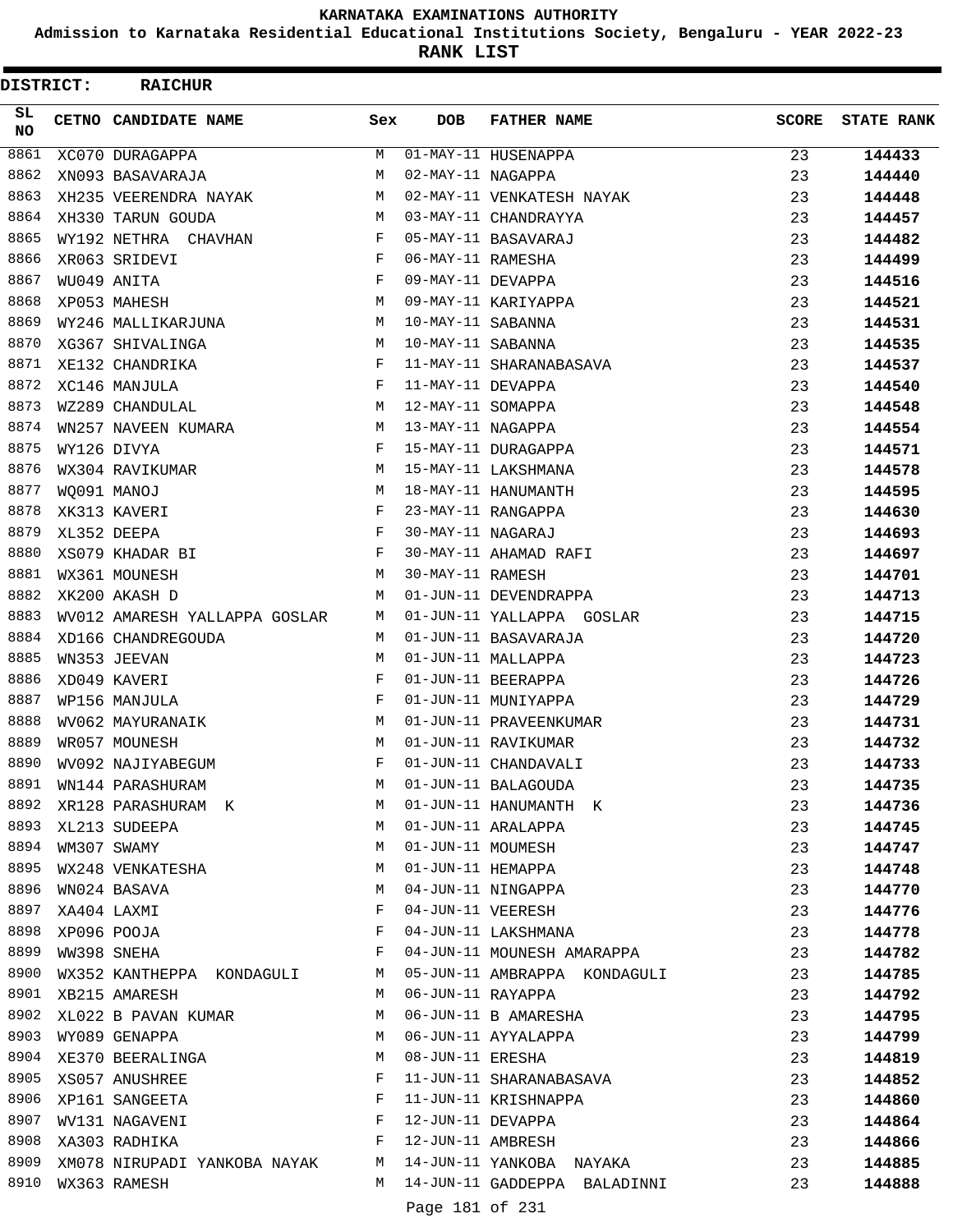**Admission to Karnataka Residential Educational Institutions Society, Bengaluru - YEAR 2022-23**

**RANK LIST**

| DISTRICT: | <b>RAICHUR</b>                |     |                   |                              |              |                   |
|-----------|-------------------------------|-----|-------------------|------------------------------|--------------|-------------------|
| SL<br>NO. | CETNO CANDIDATE NAME          | Sex | <b>DOB</b>        | <b>FATHER NAME</b>           | <b>SCORE</b> | <b>STATE RANK</b> |
| 8861      | XC070 DURAGAPPA               | М   |                   | 01-MAY-11 HUSENAPPA          | 23           | 144433            |
| 8862      | XN093 BASAVARAJA              | M   | 02-MAY-11 NAGAPPA |                              | 23           | 144440            |
| 8863      | XH235 VEERENDRA NAYAK         | M   |                   | 02-MAY-11 VENKATESH NAYAK    | 23           | 144448            |
| 8864      | XH330 TARUN GOUDA             | M   |                   | 03-MAY-11 CHANDRAYYA         | 23           | 144457            |
| 8865      | WY192 NETHRA CHAVHAN          | F   |                   | 05-MAY-11 BASAVARAJ          | 23           | 144482            |
| 8866      | XR063 SRIDEVI                 | F   | 06-MAY-11 RAMESHA |                              | 23           | 144499            |
| 8867      | WU049 ANITA                   | F   | 09-MAY-11 DEVAPPA |                              | 23           | 144516            |
| 8868      | XP053 MAHESH                  | M   |                   | 09-MAY-11 KARIYAPPA          | 23           | 144521            |
| 8869      | WY246 MALLIKARJUNA            | M   | 10-MAY-11 SABANNA |                              | 23           | 144531            |
| 8870      | XG367 SHIVALINGA              | М   | 10-MAY-11 SABANNA |                              | 23           | 144535            |
| 8871      | XE132 CHANDRIKA               | F   |                   | 11-MAY-11 SHARANABASAVA      | 23           | 144537            |
| 8872      | XC146 MANJULA                 | F   | 11-MAY-11 DEVAPPA |                              | 23           | 144540            |
| 8873      | WZ289 CHANDULAL               | M   | 12-MAY-11 SOMAPPA |                              | 23           | 144548            |
| 8874      | WN257 NAVEEN KUMARA           | M   | 13-MAY-11 NAGAPPA |                              | 23           | 144554            |
| 8875      | WY126 DIVYA                   | F   |                   | 15-MAY-11 DURAGAPPA          | 23           | 144571            |
| 8876      | WX304 RAVIKUMAR               | M   |                   | 15-MAY-11 LAKSHMANA          | 23           | 144578            |
| 8877      | WO091 MANOJ                   | M   |                   | 18-MAY-11 HANUMANTH          | 23           | 144595            |
| 8878      | XK313 KAVERI                  | F   |                   | 23-MAY-11 RANGAPPA           | 23           | 144630            |
| 8879      | XL352 DEEPA                   | F   | 30-MAY-11 NAGARAJ |                              | 23           | 144693            |
| 8880      | XS079 KHADAR BI               | F   |                   | 30-MAY-11 AHAMAD RAFI        | 23           | 144697            |
| 8881      | WX361 MOUNESH                 | M   | 30-MAY-11 RAMESH  |                              | 23           | 144701            |
| 8882      | XK200 AKASH D                 | M   |                   | 01-JUN-11 DEVENDRAPPA        | 23           | 144713            |
| 8883      | WV012 AMARESH YALLAPPA GOSLAR | M   |                   | 01-JUN-11 YALLAPPA GOSLAR    | 23           | 144715            |
| 8884      | XD166 CHANDREGOUDA            | M   |                   | 01-JUN-11 BASAVARAJA         | 23           | 144720            |
| 8885      | WN353 JEEVAN                  | M   |                   | 01-JUN-11 MALLAPPA           | 23           | 144723            |
| 8886      | XD049 KAVERI                  | F   |                   | 01-JUN-11 BEERAPPA           | 23           | 144726            |
| 8887      | WP156 MANJULA                 | F   |                   | 01-JUN-11 MUNIYAPPA          | 23           | 144729            |
| 8888      | WV062 MAYURANAIK              | М   |                   | 01-JUN-11 PRAVEENKUMAR       | 23           | 144731            |
| 8889      | WR057 MOUNESH                 | M   |                   | 01-JUN-11 RAVIKUMAR          | 23           | 144732            |
| 8890      | WV092 NAJIYABEGUM             | F   |                   | 01-JUN-11 CHANDAVALI         | 23           | 144733            |
| 8891      | WN144 PARASHURAM              | M   |                   | 01-JUN-11 BALAGOUDA          | 23           | 144735            |
| 8892      | XR128 PARASHURAM K            | М   |                   | 01-JUN-11 HANUMANTH K        | 23           | 144736            |
| 8893      | XL213 SUDEEPA                 | M   |                   | 01-JUN-11 ARALAPPA           | 23           | 144745            |
| 8894      | WM307 SWAMY                   | М   | 01-JUN-11 MOUMESH |                              | 23           | 144747            |
| 8895      | WX248 VENKATESHA              | M   | 01-JUN-11 HEMAPPA |                              | 23           | 144748            |
| 8896      | WN024 BASAVA                  | М   |                   | 04-JUN-11 NINGAPPA           | 23           | 144770            |
| 8897      | XA404 LAXMI                   | F   |                   | 04-JUN-11 VEERESH            | 23           | 144776            |
| 8898      | XP096 POOJA                   | F   |                   | 04-JUN-11 LAKSHMANA          | 23           | 144778            |
| 8899      | WW398 SNEHA                   | F   |                   | 04-JUN-11 MOUNESH AMARAPPA   | 23           | 144782            |
| 8900      | WX352 KANTHEPPA KONDAGULI     | M   |                   | 05-JUN-11 AMBRAPPA KONDAGULI | 23           | 144785            |
| 8901      | XB215 AMARESH                 | М   |                   | 06-JUN-11 RAYAPPA            | 23           |                   |
| 8902      | XL022 B PAVAN KUMAR           | М   |                   | 06-JUN-11 B AMARESHA         | 23           | 144792            |
| 8903      |                               | M   |                   | 06-JUN-11 AYYALAPPA          |              | 144795            |
| 8904      | WY089 GENAPPA                 | М   | 08-JUN-11 ERESHA  |                              | 23           | 144799            |
| 8905      | XE370 BEERALINGA              | F   |                   | 11-JUN-11 SHARANABASAVA      | 23           | 144819            |
| 8906      | XS057 ANUSHREE                |     |                   |                              | 23           | 144852            |
| 8907      | XP161 SANGEETA                | F   | 12-JUN-11 DEVAPPA | 11-JUN-11 KRISHNAPPA         | 23           | 144860            |
| 8908      | WV131 NAGAVENI                | F   |                   |                              | 23           | 144864            |
|           | XA303 RADHIKA                 | F   | 12-JUN-11 AMBRESH |                              | 23           | 144866            |
| 8909      | XM078 NIRUPADI YANKOBA NAYAK  | M   |                   | 14-JUN-11 YANKOBA NAYAKA     | 23           | 144885            |
| 8910      | WX363 RAMESH                  | M   |                   | 14-JUN-11 GADDEPPA BALADINNI | 23           | 144888            |
|           |                               |     | Page 181 of 231   |                              |              |                   |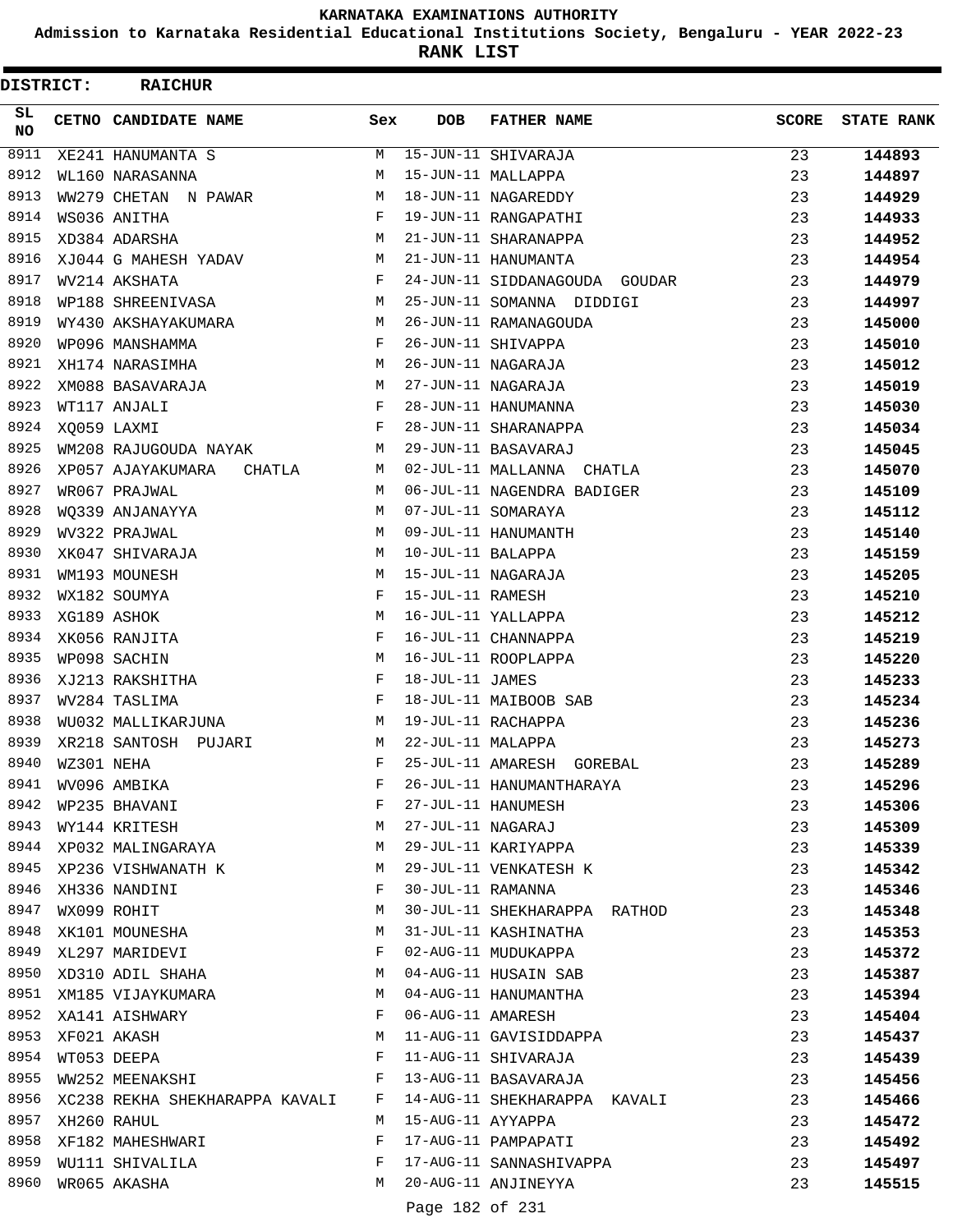**Admission to Karnataka Residential Educational Institutions Society, Bengaluru - YEAR 2022-23**

**RANK LIST**

 $\blacksquare$ 

| DISTRICT:  |                  | <b>RAICHUR</b>                          |     |                   |                               |              |                   |
|------------|------------------|-----------------------------------------|-----|-------------------|-------------------------------|--------------|-------------------|
| SL.<br>NO. |                  | CETNO CANDIDATE NAME                    | Sex | <b>DOB</b>        | <b>FATHER NAME</b>            | <b>SCORE</b> | <b>STATE RANK</b> |
| 8911       |                  | XE241 HANUMANTA S                       | M   |                   | 15-JUN-11 SHIVARAJA           | 23           | 144893            |
| 8912       |                  | WL160 NARASANNA                         | М   |                   | 15-JUN-11 MALLAPPA            | 23           | 144897            |
| 8913       |                  | WW279 CHETAN N PAWAR                    | М   |                   | 18-JUN-11 NAGAREDDY           | 23           | 144929            |
| 8914       |                  | WS036 ANITHA                            | F   |                   | 19-JUN-11 RANGAPATHI          | 23           | 144933            |
| 8915       |                  | XD384 ADARSHA                           | M   |                   | 21-JUN-11 SHARANAPPA          | 23           | 144952            |
| 8916       |                  | XJ044 G MAHESH YADAV                    | M   |                   | 21-JUN-11 HANUMANTA           | 23           | 144954            |
| 8917       |                  | WV214 AKSHATA                           | F   |                   | 24-JUN-11 SIDDANAGOUDA GOUDAR | 23           | 144979            |
| 8918       |                  | WP188 SHREENIVASA                       | M   |                   | 25-JUN-11 SOMANNA DIDDIGI     | 23           | 144997            |
| 8919       |                  | WY430 AKSHAYAKUMARA                     | M   |                   | 26-JUN-11 RAMANAGOUDA         | 23           | 145000            |
| 8920       |                  | WP096 MANSHAMMA                         | F   |                   | 26-JUN-11 SHIVAPPA            | 23           | 145010            |
| 8921       |                  | XH174 NARASIMHA                         | М   |                   | 26-JUN-11 NAGARAJA            | 23           | 145012            |
| 8922       |                  | XM088 BASAVARAJA                        | М   |                   | 27-JUN-11 NAGARAJA            | 23           | 145019            |
| 8923       |                  | WT117 ANJALI                            | F   |                   | 28-JUN-11 HANUMANNA           | 23           | 145030            |
| 8924       | XQ059 LAXMI      |                                         | F   |                   | 28-JUN-11 SHARANAPPA          | 23           | 145034            |
| 8925       |                  | WM208 RAJUGOUDA NAYAK                   | M   |                   | 29-JUN-11 BASAVARAJ           | 23           | 145045            |
| 8926       |                  | XP057 AJAYAKUMARA<br>CHATLA             | M   |                   | 02-JUL-11 MALLANNA CHATLA     | 23           | 145070            |
| 8927       |                  | WR067 PRAJWAL                           | M   |                   | 06-JUL-11 NAGENDRA BADIGER    | 23           | 145109            |
| 8928       |                  | WO339 ANJANAYYA                         | M   |                   | 07-JUL-11 SOMARAYA            | 23           | 145112            |
| 8929       |                  | WV322 PRAJWAL                           | M   |                   | 09-JUL-11 HANUMANTH           | 23           | 145140            |
| 8930       |                  | XK047 SHIVARAJA                         | M   | 10-JUL-11 BALAPPA |                               | 23           | 145159            |
| 8931       |                  | WM193 MOUNESH                           | M   |                   | 15-JUL-11 NAGARAJA            | 23           | 145205            |
| 8932       |                  | WX182 SOUMYA                            | F   | 15-JUL-11 RAMESH  |                               | 23           | 145210            |
| 8933       |                  | XG189 ASHOK                             | M   |                   | 16-JUL-11 YALLAPPA            | 23           | 145212            |
| 8934       |                  | XK056 RANJITA                           | F   |                   | 16-JUL-11 CHANNAPPA           | 23           | 145219            |
| 8935       |                  | WP098 SACHIN                            | M   |                   | 16-JUL-11 ROOPLAPPA           | 23           | 145220            |
| 8936       |                  | XJ213 RAKSHITHA                         | F   | 18-JUL-11 JAMES   |                               | 23           | 145233            |
| 8937       |                  | WV284 TASLIMA                           | F   |                   | 18-JUL-11 MAIBOOB SAB         | 23           | 145234            |
| 8938       |                  | WU032 MALLIKARJUNA                      | М   |                   | 19-JUL-11 RACHAPPA            | 23           | 145236            |
| 8939       |                  | XR218 SANTOSH PUJARI                    | M   | 22-JUL-11 MALAPPA |                               |              | 145273            |
| 8940       | WZ301 NEHA       |                                         | F   |                   | 25-JUL-11 AMARESH GOREBAL     | 23<br>23     | 145289            |
| 8941       |                  | WV096 AMBIKA                            | F   |                   | 26-JUL-11 HANUMANTHARAYA      | 23           | 145296            |
| 8942       |                  |                                         | F   |                   | 27-JUL-11 HANUMESH            |              |                   |
|            |                  | WP235 BHAVANI                           |     |                   |                               | 23           | 145306            |
| 8943       |                  | WY144 KRITESH<br>8944 XP032 MALINGARAYA | M   |                   | 27-JUL-11 NAGARAJ             | 23           | 145309            |
|            |                  |                                         | M   |                   | 29-JUL-11 KARIYAPPA           | 23           | 145339            |
|            |                  | 8945 XP236 VISHWANATH K                 | M   |                   | 29-JUL-11 VENKATESH K         | 23           | 145342            |
| 8946       |                  | XH336 NANDINI                           | F   | 30-JUL-11 RAMANNA |                               | 23           | 145346            |
| 8947       |                  | WX099 ROHIT                             | M   |                   | 30-JUL-11 SHEKHARAPPA RATHOD  | 23           | 145348            |
| 8948       |                  | XK101 MOUNESHA                          | М   |                   | 31-JUL-11 KASHINATHA          | 23           | 145353            |
|            |                  | 8949 XL297 MARIDEVI                     | F   |                   | 02-AUG-11 MUDUKAPPA           | 23           | 145372            |
|            |                  | 8950 XD310 ADIL SHAHA                   | M   |                   | 04-AUG-11 HUSAIN SAB          | 23           | 145387            |
| 8951       |                  | XM185 VIJAYKUMARA                       | M   |                   | 04-AUG-11 HANUMANTHA          | 23           | 145394            |
| 8952       |                  | XA141 AISHWARY                          | F   | 06-AUG-11 AMARESH |                               | 23           | 145404            |
|            | 8953 XF021 AKASH |                                         | M   |                   | 11-AUG-11 GAVISIDDAPPA        | 23           | 145437            |
| 8954       |                  | WT053 DEEPA                             | F   |                   | 11-AUG-11 SHIVARAJA           | 23           | 145439            |
| 8955       |                  | WW252 MEENAKSHI                         | F   |                   | 13-AUG-11 BASAVARAJA          | 23           | 145456            |
| 8956       |                  | XC238 REKHA SHEKHARAPPA KAVALI F        |     |                   | 14-AUG-11 SHEKHARAPPA KAVALI  | 23           | 145466            |
| 8957       |                  | XH260 RAHUL                             | M   | 15-AUG-11 AYYAPPA |                               | 23           | 145472            |
| 8958       |                  | XF182 MAHESHWARI                        | F   |                   | 17-AUG-11 PAMPAPATI           | 23           | 145492            |
| 8959       |                  | WU111 SHIVALILA                         | F   |                   | 17-AUG-11 SANNASHIVAPPA       | 23           | 145497            |
| 8960       |                  | WR065 AKASHA                            | M   |                   | 20-AUG-11 ANJINEYYA           | 23           | 145515            |
|            |                  |                                         |     | $D = 100 - 501$   |                               |              |                   |

Page 182 of 231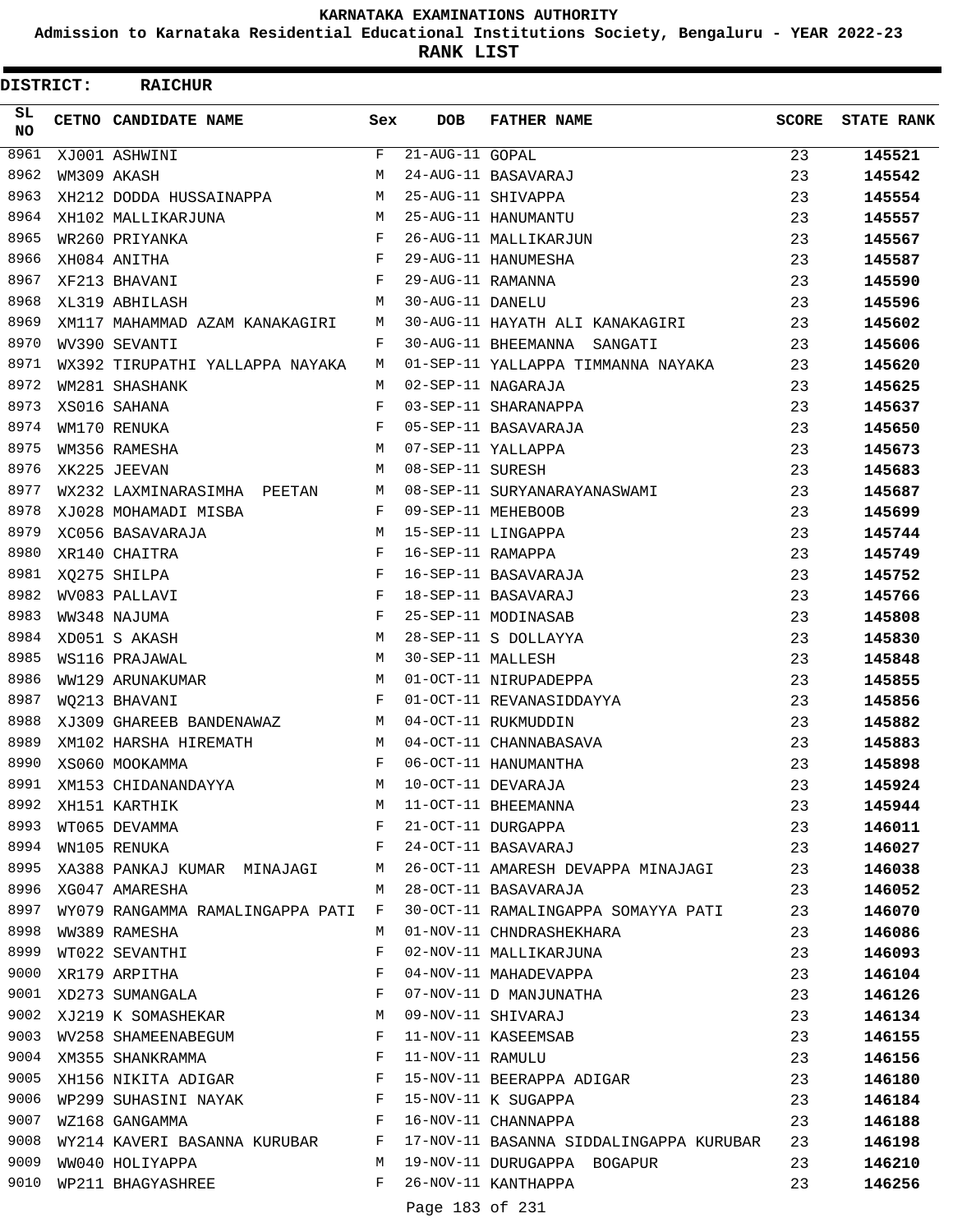**Admission to Karnataka Residential Educational Institutions Society, Bengaluru - YEAR 2022-23**

|           | <b>DISTRICT:</b> | <b>RAICHUR</b>                                                                  |             |                                         |                                                                                                                |              |                   |
|-----------|------------------|---------------------------------------------------------------------------------|-------------|-----------------------------------------|----------------------------------------------------------------------------------------------------------------|--------------|-------------------|
| SL.<br>NO |                  | <b>CETNO CANDIDATE NAME</b>                                                     | Sex         | <b>DOB</b>                              | <b>FATHER NAME</b>                                                                                             | <b>SCORE</b> | <b>STATE RANK</b> |
| 8961      |                  | XJ001 ASHWINI                                                                   | F           | $21 - \overline{\text{AUG}} - 11$ GOPAL |                                                                                                                | 23           | 145521            |
| 8962      |                  | WM309 AKASH                                                                     | M           |                                         | 24-AUG-11 BASAVARAJ                                                                                            | 23           | 145542            |
| 8963      |                  | XH212 DODDA HUSSAINAPPA                                                         | М           |                                         | 25-AUG-11 SHIVAPPA                                                                                             | 23           | 145554            |
| 8964      |                  | XH102 MALLIKARJUNA                                                              | M           |                                         | 25-AUG-11 HANUMANTU                                                                                            | 23           | 145557            |
| 8965      |                  | WR260 PRIYANKA                                                                  | F           |                                         | 26-AUG-11 MALLIKARJUN                                                                                          | 23           | 145567            |
| 8966      |                  | XH084 ANITHA                                                                    | $\mathbf F$ |                                         | 29-AUG-11 HANUMESHA                                                                                            | 23           | 145587            |
| 8967      |                  | XF213 BHAVANI                                                                   | F           | 29-AUG-11 RAMANNA                       |                                                                                                                | 23           | 145590            |
| 8968      |                  | XL319 ABHILASH                                                                  | M           | 30-AUG-11 DANELU                        |                                                                                                                | 23           | 145596            |
| 8969      |                  | XM117 MAHAMMAD AZAM KANAKAGIRI                                                  | М           |                                         | 30-AUG-11 HAYATH ALI KANAKAGIRI                                                                                | 23           | 145602            |
| 8970      |                  | WV390 SEVANTI                                                                   | F           |                                         | 30-AUG-11 BHEEMANNA SANGATI                                                                                    | 23           | 145606            |
| 8971      |                  | WX392 TIRUPATHI YALLAPPA NAYAKA                                                 | М           |                                         | 01-SEP-11 YALLAPPA TIMMANNA NAYAKA                                                                             | 23           | 145620            |
| 8972      |                  | WM281 SHASHANK                                                                  | M           |                                         | 02-SEP-11 NAGARAJA                                                                                             | 23           | 145625            |
| 8973      |                  | XS016 SAHANA                                                                    | F           |                                         | 03-SEP-11 SHARANAPPA                                                                                           | 23           | 145637            |
| 8974      |                  | WM170 RENUKA                                                                    | F           |                                         | 05-SEP-11 BASAVARAJA                                                                                           | 23           | 145650            |
| 8975      |                  | WM356 RAMESHA                                                                   | M           |                                         | 07-SEP-11 YALLAPPA                                                                                             | 23           | 145673            |
| 8976      |                  | XK225 JEEVAN                                                                    | M           | 08-SEP-11 SURESH                        |                                                                                                                | 23           | 145683            |
| 8977      |                  | WX232 LAXMINARASIMHA PEETAN                                                     | M           |                                         | 08-SEP-11 SURYANARAYANASWAMI                                                                                   | 23           | 145687            |
| 8978      |                  | XJ028 MOHAMADI MISBA                                                            | F           |                                         | 09-SEP-11 MEHEBOOB                                                                                             | 23           | 145699            |
| 8979      |                  | XC056 BASAVARAJA                                                                | М           |                                         | 15-SEP-11 LINGAPPA                                                                                             | 23           | 145744            |
| 8980      |                  | XR140 CHAITRA                                                                   | F           | 16-SEP-11 RAMAPPA                       |                                                                                                                | 23           | 145749            |
| 8981      |                  | XQ275 SHILPA                                                                    | F           |                                         | 16-SEP-11 BASAVARAJA                                                                                           | 23           | 145752            |
| 8982      |                  | WV083 PALLAVI                                                                   | F           |                                         | 18-SEP-11 BASAVARAJ                                                                                            | 23           | 145766            |
| 8983      |                  | WW348 NAJUMA                                                                    | F           |                                         | 25-SEP-11 MODINASAB                                                                                            | 23           | 145808            |
| 8984      |                  | XD051 S AKASH                                                                   | M           |                                         | 28-SEP-11 S DOLLAYYA                                                                                           | 23           | 145830            |
| 8985      |                  | WS116 PRAJAWAL                                                                  | M           | 30-SEP-11 MALLESH                       |                                                                                                                | 23           | 145848            |
| 8986      |                  | WW129 ARUNAKUMAR                                                                | М           |                                         | 01-OCT-11 NIRUPADEPPA                                                                                          | 23           | 145855            |
| 8987      |                  | WO213 BHAVANI                                                                   | F           |                                         | 01-OCT-11 REVANASIDDAYYA                                                                                       | 23           | 145856            |
| 8988      |                  | XJ309 GHAREEB BANDENAWAZ<br>$M_{\rm H}$ and $M_{\rm H}$                         |             |                                         | 04-OCT-11 RUKMUDDIN                                                                                            | 23           | 145882            |
| 8989      |                  | XM102 HARSHA HIREMATH                                                           | M           |                                         | 04-OCT-11 CHANNABASAVA                                                                                         | 23           | 145883            |
| 8990      |                  | F 06-OCT-11 HANUMANTHA<br>XS060 MOOKAMMA                                        |             |                                         |                                                                                                                | 23           | 145898            |
| 8991      |                  | XM153 CHIDANANDAYYA                                                             | M           |                                         |                                                                                                                | 23           | 145924            |
| 8992      |                  |                                                                                 | M           |                                         | 06-OCT-11 HANUMANTHA<br>10-OCT-11 DEVARAJA<br>11-OCT-11 BHEEMANNA<br>21-OCT-11 DURGAPPA<br>24-OCT-11 BASAVARAJ | 23           | 145944            |
| 8993      |                  |                                                                                 | F           |                                         |                                                                                                                | 23           | 146011            |
| 8994      |                  | XH151 KARTHIK<br>WT065 DEVAMMA<br>WN105 RENUKA                                  | F           |                                         |                                                                                                                | 23           | 146027            |
| 8995      |                  | XA388 PANKAJ KUMAR MINAJAGI M                                                   |             |                                         | 26-OCT-11 AMARESH DEVAPPA MINAJAGI                                                                             | 23           | 146038            |
| 8996      |                  | XG047 AMARESHA                                                                  | M           |                                         | 28-OCT-11 BASAVARAJA                                                                                           | 23           | 146052            |
| 8997      |                  | WY079 RANGAMMA RAMALINGAPPA PATI F                                              |             |                                         | 30-OCT-11 RAMALINGAPPA SOMAYYA PATI                                                                            | 23           | 146070            |
| 8998      |                  | WW389 RAMESHA                                                                   | М           |                                         | 01-NOV-11 CHNDRASHEKHARA                                                                                       | 23           | 146086            |
| 8999      |                  | WT022 SEVANTHI                                                                  | F           |                                         | 02-NOV-11 MALLIKARJUNA                                                                                         | 23           | 146093            |
|           |                  | 9000 XR179 ARPITHA<br>9001 XD273 SUMANGALA F                                    |             |                                         | 04-NOV-11 MAHADEVAPPA                                                                                          | 23           | 146104            |
|           |                  |                                                                                 |             |                                         | 07-NOV-11 D MANJUNATHA                                                                                         | 23           | 146126            |
| 9002      |                  | XJ219 K SOMASHEKAR M                                                            |             |                                         | 09-NOV-11 SHIVARAJ                                                                                             | 23           | 146134            |
| 9003      |                  | WV258 SHAMEENABEGUM F                                                           |             |                                         | 11-NOV-11 KASEEMSAB                                                                                            | 23           | 146155            |
| 9004      |                  | $\mathbf{F}$<br>XM355 SHANKRAMMA                                                |             | 11-NOV-11 RAMULU                        |                                                                                                                | 23           | 146156            |
|           |                  | 9005 XH156 NIKITA ADIGAR F                                                      |             |                                         | 15-NOV-11 BEERAPPA ADIGAR                                                                                      | 23           | 146180            |
| 9006      |                  | WP299 SUHASINI NAYAK F                                                          |             |                                         |                                                                                                                | 23           | 146184            |
| 9007      |                  | $\mathbf{F}$ and the contract of the contract of $\mathbf{F}$<br>WZ168 GANGAMMA |             |                                         | 15-NOV-11 K SUGAPPA<br>16-NOV-11 CHANNAPPA                                                                     | 23           | 146188            |
| 9008      |                  | WY214 KAVERI BASANNA KURUBAR F                                                  |             |                                         | 17-NOV-11 BASANNA SIDDALINGAPPA KURUBAR 23                                                                     |              | 146198            |
| 9009      |                  | WW040 HOLIYAPPA                                                                 | M           |                                         | 19-NOV-11 DURUGAPPA BOGAPUR                                                                                    | 23           | 146210            |
| 9010      |                  | WP211 BHAGYASHREE                                                               | $F$ –       |                                         | 26-NOV-11 KANTHAPPA                                                                                            | 23           | 146256            |
|           |                  |                                                                                 |             | Page 183 of 231                         |                                                                                                                |              |                   |
|           |                  |                                                                                 |             |                                         |                                                                                                                |              |                   |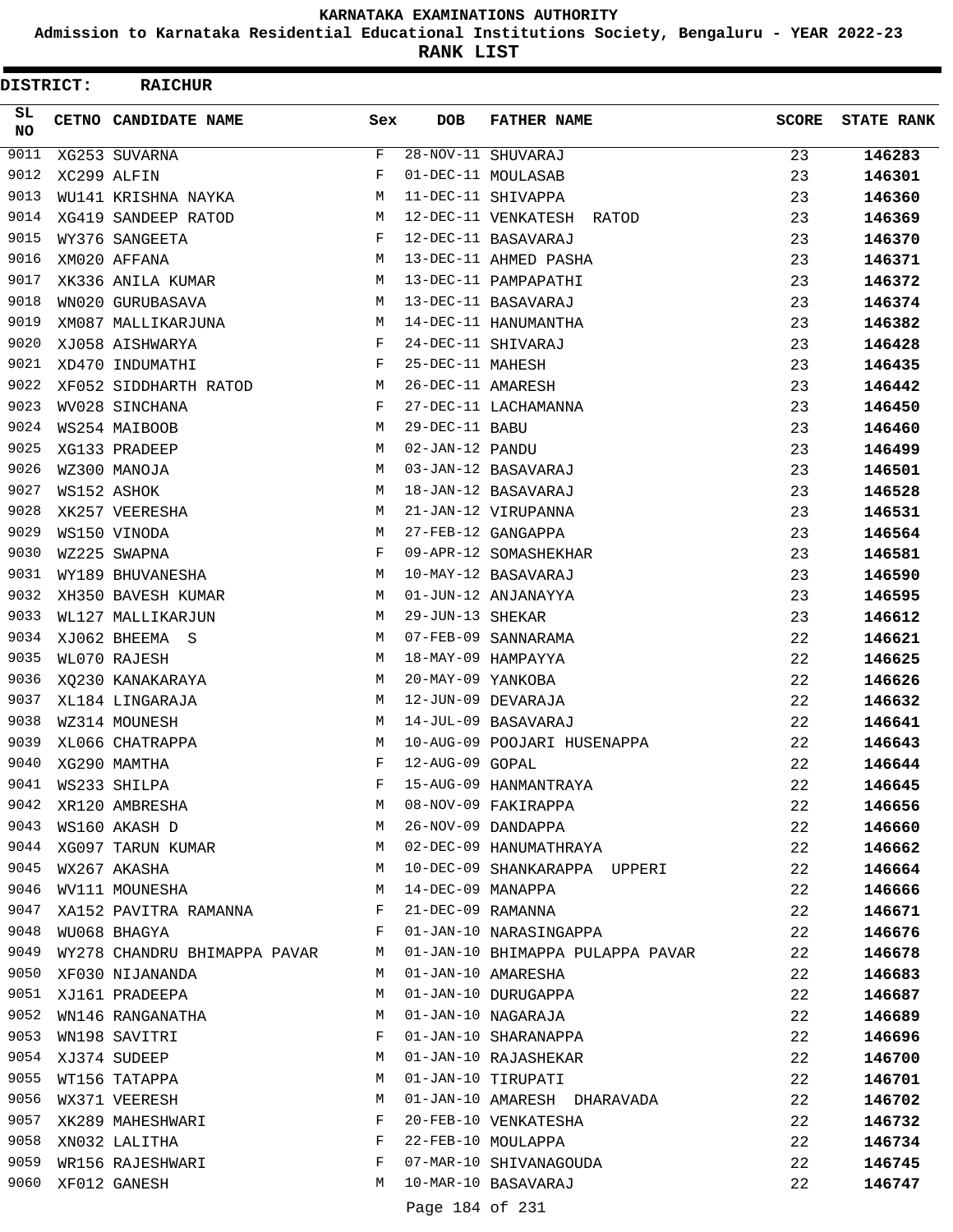**Admission to Karnataka Residential Educational Institutions Society, Bengaluru - YEAR 2022-23**

**RANK LIST**

| DISTRICT: | <b>RAICHUR</b>                 |     |                   |                                  |              |                   |
|-----------|--------------------------------|-----|-------------------|----------------------------------|--------------|-------------------|
| SL<br>NO. | CETNO CANDIDATE NAME           | Sex | <b>DOB</b>        | <b>FATHER NAME</b>               | <b>SCORE</b> | <b>STATE RANK</b> |
| 9011      | XG253 SUVARNA                  | F   |                   | 28-NOV-11 SHUVARAJ               | 23           | 146283            |
| 9012      | XC299 ALFIN                    | F   |                   | 01-DEC-11 MOULASAB               | 23           | 146301            |
| 9013      | WU141 KRISHNA NAYKA            | М   |                   | 11-DEC-11 SHIVAPPA               | 23           | 146360            |
| 9014      | XG419 SANDEEP RATOD            | М   |                   | 12-DEC-11 VENKATESH RATOD        | 23           | 146369            |
| 9015      | WY376 SANGEETA                 | F   |                   | 12-DEC-11 BASAVARAJ              | 23           | 146370            |
| 9016      | XM020 AFFANA                   | М   |                   | 13-DEC-11 AHMED PASHA            | 23           | 146371            |
| 9017      | XK336 ANILA KUMAR              | М   |                   | 13-DEC-11 PAMPAPATHI             | 23           | 146372            |
| 9018      | WN020 GURUBASAVA               | М   |                   | 13-DEC-11 BASAVARAJ              | 23           | 146374            |
| 9019      | XM087 MALLIKARJUNA             | М   |                   | 14-DEC-11 HANUMANTHA             | 23           | 146382            |
| 9020      | XJ058 AISHWARYA                | F   |                   | 24-DEC-11 SHIVARAJ               | 23           | 146428            |
| 9021      | XD470 INDUMATHI                | F   | 25-DEC-11 MAHESH  |                                  | 23           | 146435            |
| 9022      | XF052 SIDDHARTH RATOD          | М   | 26-DEC-11 AMARESH |                                  | 23           | 146442            |
| 9023      | WV028 SINCHANA                 | F   |                   | 27-DEC-11 LACHAMANNA             | 23           | 146450            |
| 9024      | WS254 MAIBOOB                  | М   | 29-DEC-11 BABU    |                                  | 23           | 146460            |
| 9025      | XG133 PRADEEP                  | M   | 02-JAN-12 PANDU   |                                  | 23           | 146499            |
| 9026      | WZ300 MANOJA                   | М   |                   | 03-JAN-12 BASAVARAJ              | 23           | 146501            |
| 9027      | WS152 ASHOK                    | М   |                   | 18-JAN-12 BASAVARAJ              | 23           | 146528            |
| 9028      | XK257 VEERESHA                 | М   |                   | 21-JAN-12 VIRUPANNA              | 23           | 146531            |
| 9029      | WS150 VINODA                   | М   |                   | 27-FEB-12 GANGAPPA               | 23           | 146564            |
| 9030      | WZ225 SWAPNA                   | F   |                   | 09-APR-12 SOMASHEKHAR            | 23           | 146581            |
| 9031      | WY189 BHUVANESHA               | М   |                   | 10-MAY-12 BASAVARAJ              | 23           | 146590            |
| 9032      | XH350 BAVESH KUMAR             | М   |                   | 01-JUN-12 ANJANAYYA              | 23           | 146595            |
| 9033      | WL127 MALLIKARJUN              | М   | 29-JUN-13 SHEKAR  |                                  | 23           | 146612            |
| 9034      | XJ062 BHEEMA S                 | М   |                   | 07-FEB-09 SANNARAMA              | 22           | 146621            |
| 9035      | WL070 RAJESH                   | М   |                   | 18-MAY-09 HAMPAYYA               | 22           | 146625            |
| 9036      | XQ230 KANAKARAYA               | М   | 20-MAY-09 YANKOBA |                                  | 22           | 146626            |
| 9037      | XL184 LINGARAJA                | M   |                   | 12-JUN-09 DEVARAJA               | 22           | 146632            |
| 9038      | WZ314 MOUNESH                  | М   |                   | 14-JUL-09 BASAVARAJ              | 22           | 146641            |
| 9039      | XL066 CHATRAPPA                | М   |                   | 10-AUG-09 POOJARI HUSENAPPA      | 22           | 146643            |
| 9040      | XG290 MAMTHA                   | F   | 12-AUG-09 GOPAL   |                                  | 22           | 146644            |
| 9041      | WS233 SHILPA                   | F   |                   | 15-AUG-09 HANMANTRAYA            | 22           | 146645            |
| 9042      | XR120 AMBRESHA                 | М   |                   | 08-NOV-09 FAKIRAPPA              | 22           | 146656            |
| 9043      | WS160 AKASH D                  | M   |                   | 26-NOV-09 DANDAPPA               | 22           | 146660            |
|           | 9044 XG097 TARUN KUMAR         | M   |                   | 02-DEC-09 HANUMATHRAYA           | 22           | 146662            |
| 9045      | WX267 AKASHA                   | M   |                   | 10-DEC-09 SHANKARAPPA UPPERI     | 22           | 146664            |
| 9046      | WV111 MOUNESHA                 | М   | 14-DEC-09 MANAPPA |                                  | 22           | 146666            |
| 9047      | XA152 PAVITRA RAMANNA F        |     |                   | 21-DEC-09 RAMANNA                | 22           | 146671            |
| 9048      | WU068 BHAGYA                   | F   |                   | 01-JAN-10 NARASINGAPPA           | 22           | 146676            |
| 9049      | WY278 CHANDRU BHIMAPPA PAVAR M |     |                   | 01-JAN-10 BHIMAPPA PULAPPA PAVAR | 22           | 146678            |
| 9050      | XF030 NIJANANDA                | M   |                   | 01-JAN-10 AMARESHA               | 22           | 146683            |
| 9051      | XJ161 PRADEEPA                 | M   |                   | 01-JAN-10 DURUGAPPA              | 22           | 146687            |
| 9052      | WN146 RANGANATHA               | M   |                   | 01-JAN-10 NAGARAJA               | 22           | 146689            |
| 9053      | WN198 SAVITRI                  | F   |                   | 01-JAN-10 SHARANAPPA             | 22           | 146696            |
| 9054      | XJ374 SUDEEP                   | М   |                   | 01-JAN-10 RAJASHEKAR             | 22           | 146700            |
| 9055      | WT156 TATAPPA                  | М   |                   | 01-JAN-10 TIRUPATI               | 22           | 146701            |
| 9056      | WX371 VEERESH                  | М   |                   | 01-JAN-10 AMARESH DHARAVADA      | 22           | 146702            |
| 9057      | XK289 MAHESHWARI               | F   |                   | 20-FEB-10 VENKATESHA             | 22           | 146732            |
| 9058      | XN032 LALITHA                  | F   |                   | 22-FEB-10 MOULAPPA               | 22           | 146734            |
| 9059      | WR156 RAJESHWARI               | F   |                   | 07-MAR-10 SHIVANAGOUDA           | 22           | 146745            |
| 9060      | XF012 GANESH                   | M   |                   | 10-MAR-10 BASAVARAJ              | 22           | 146747            |
|           |                                |     | Page 184 of 231   |                                  |              |                   |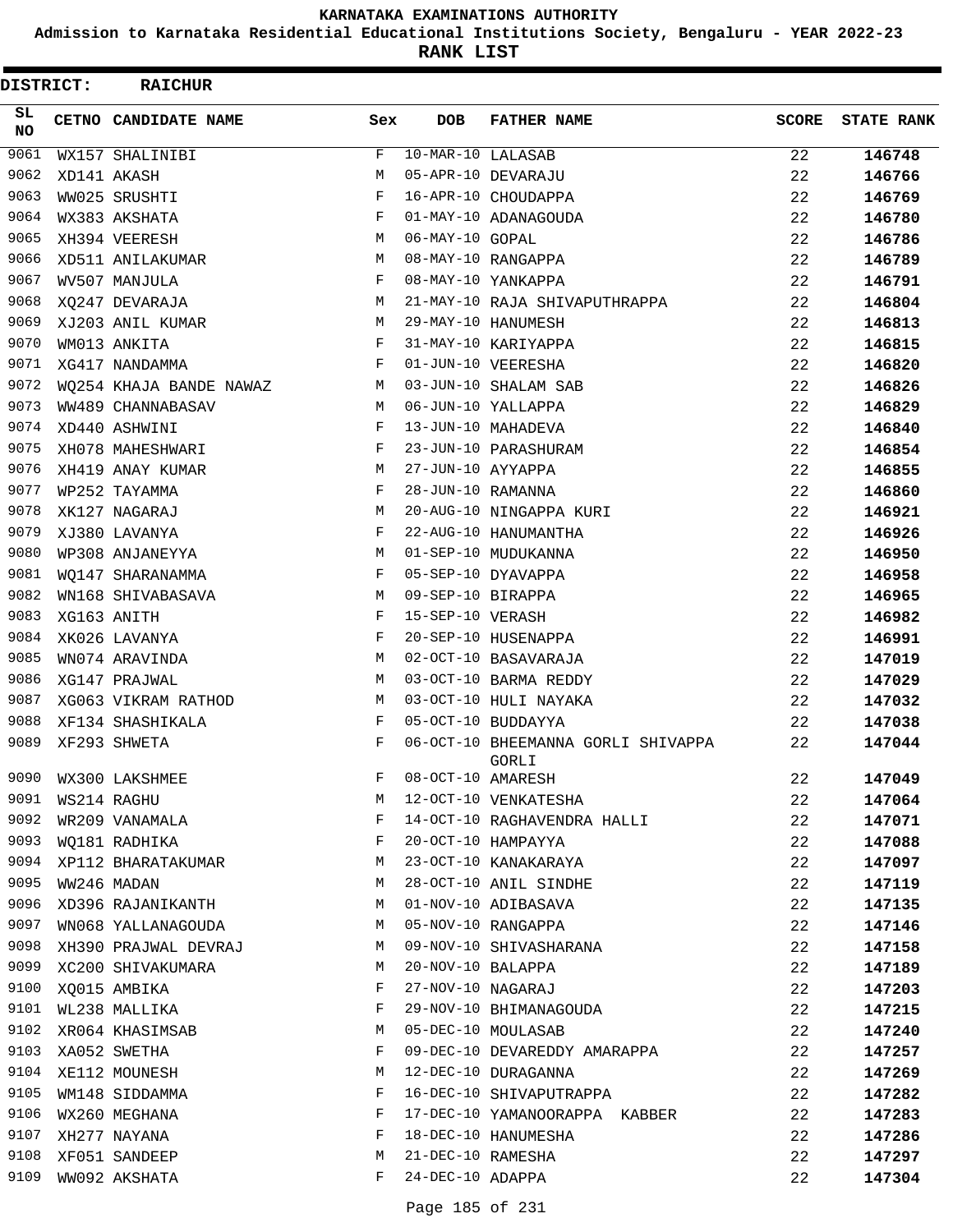**Admission to Karnataka Residential Educational Institutions Society, Bengaluru - YEAR 2022-23**

| DISTRICT: | <b>RAICHUR</b>          |     |                   |                                             |              |                   |
|-----------|-------------------------|-----|-------------------|---------------------------------------------|--------------|-------------------|
| SL<br>NO  | CETNO CANDIDATE NAME    | Sex | <b>DOB</b>        | <b>FATHER NAME</b>                          | <b>SCORE</b> | <b>STATE RANK</b> |
| 9061      | WX157 SHALINIBI         | F   | 10-MAR-10 LALASAB |                                             | 22           | 146748            |
| 9062      | XD141 AKASH             | M   |                   | 05-APR-10 DEVARAJU                          | 22           | 146766            |
| 9063      | WW025 SRUSHTI           | F   |                   | 16-APR-10 CHOUDAPPA                         | 22           | 146769            |
| 9064      | WX383 AKSHATA           | F   |                   | 01-MAY-10 ADANAGOUDA                        | 22           | 146780            |
| 9065      | XH394 VEERESH           | M   | 06-MAY-10 GOPAL   |                                             | 22           | 146786            |
| 9066      | XD511 ANILAKUMAR        | М   |                   | 08-MAY-10 RANGAPPA                          | 22           | 146789            |
| 9067      | WV507 MANJULA           | F   |                   | 08-MAY-10 YANKAPPA                          | 22           | 146791            |
| 9068      | XQ247 DEVARAJA          | M   |                   | 21-MAY-10 RAJA SHIVAPUTHRAPPA               | 22           | 146804            |
| 9069      | XJ203 ANIL KUMAR        | M   |                   | 29-MAY-10 HANUMESH                          | 22           | 146813            |
| 9070      | WM013 ANKITA            | F   |                   | 31-MAY-10 KARIYAPPA                         | 22           | 146815            |
| 9071      | XG417 NANDAMMA          | F   |                   | 01-JUN-10 VEERESHA                          | 22           | 146820            |
| 9072      | WQ254 KHAJA BANDE NAWAZ | М   |                   | 03-JUN-10 SHALAM SAB                        | 22           | 146826            |
| 9073      | WW489 CHANNABASAV       | M   |                   | 06-JUN-10 YALLAPPA                          | 22           | 146829            |
| 9074      | XD440 ASHWINI           | F   |                   | 13-JUN-10 MAHADEVA                          | 22           | 146840            |
| 9075      | XH078 MAHESHWARI        | F   |                   | 23-JUN-10 PARASHURAM                        | 22           | 146854            |
| 9076      | XH419 ANAY KUMAR        | М   | 27-JUN-10 AYYAPPA |                                             | 22           | 146855            |
| 9077      | WP252 TAYAMMA           | F   | 28-JUN-10 RAMANNA |                                             | 22           | 146860            |
| 9078      | XK127 NAGARAJ           | М   |                   | 20-AUG-10 NINGAPPA KURI                     | 22           | 146921            |
| 9079      | XJ380 LAVANYA           | F   |                   | 22-AUG-10 HANUMANTHA                        | 22           | 146926            |
| 9080      | WP308 ANJANEYYA         | М   |                   | 01-SEP-10 MUDUKANNA                         | 22           | 146950            |
| 9081      | WO147 SHARANAMMA        | F   |                   | 05-SEP-10 DYAVAPPA                          | 22           | 146958            |
| 9082      | WN168 SHIVABASAVA       | М   | 09-SEP-10 BIRAPPA |                                             | 22           | 146965            |
| 9083      | XG163 ANITH             | F   | 15-SEP-10 VERASH  |                                             | 22           | 146982            |
| 9084      | XK026 LAVANYA           | F   |                   | 20-SEP-10 HUSENAPPA                         | 22           | 146991            |
| 9085      | WN074 ARAVINDA          | M   |                   | 02-OCT-10 BASAVARAJA                        | 22           | 147019            |
| 9086      | XG147 PRAJWAL           | M   |                   | 03-OCT-10 BARMA REDDY                       | 22           | 147029            |
| 9087      | XG063 VIKRAM RATHOD     | M   |                   | 03-OCT-10 HULI NAYAKA                       | 22           | 147032            |
| 9088      | XF134 SHASHIKALA        | F   |                   | 05-OCT-10 BUDDAYYA                          | 22           | 147038            |
| 9089      | XF293 SHWETA            | F   |                   | 06-OCT-10 BHEEMANNA GORLI SHIVAPPA<br>GORLI | 22           | 147044            |
| 9090      | WX300 LAKSHMEE          |     | 08-OCT-10 AMARESH |                                             | 22           | 147049            |
| 9091      | WS214 RAGHU             | М   |                   | 12-OCT-10 VENKATESHA                        | 22           | 147064            |
| 9092      | WR209 VANAMALA          | F   |                   | 14-OCT-10 RAGHAVENDRA HALLI                 | 22           | 147071            |
| 9093      | WO181 RADHIKA           | F   |                   | 20-OCT-10 HAMPAYYA                          | 22           | 147088            |
| 9094      | XP112 BHARATAKUMAR      | M   |                   | 23-OCT-10 KANAKARAYA                        | 22           | 147097            |
| 9095      | WW246 MADAN             | М   |                   | 28-OCT-10 ANIL SINDHE                       | 22           | 147119            |
| 9096      | XD396 RAJANIKANTH       | М   |                   | 01-NOV-10 ADIBASAVA                         | 22           | 147135            |
| 9097      | WN068 YALLANAGOUDA      | M   |                   | 05-NOV-10 RANGAPPA                          | 22           | 147146            |
| 9098      | XH390 PRAJWAL DEVRAJ    | M   |                   | 09-NOV-10 SHIVASHARANA                      | 22           | 147158            |
| 9099      | XC200 SHIVAKUMARA       | М   | 20-NOV-10 BALAPPA |                                             | 22           | 147189            |
| 9100      | XQ015 AMBIKA            | F   |                   | 27-NOV-10 NAGARAJ                           | 22           | 147203            |
| 9101      | WL238 MALLIKA           | F   |                   | 29-NOV-10 BHIMANAGOUDA                      | 22           | 147215            |
| 9102      | XR064 KHASIMSAB         | M   |                   | 05-DEC-10 MOULASAB                          | 22           | 147240            |
| 9103      | XA052 SWETHA            | F   |                   | 09-DEC-10 DEVAREDDY AMARAPPA                | 22           | 147257            |
| 9104      | XE112 MOUNESH           | М   |                   | 12-DEC-10 DURAGANNA                         | 22           | 147269            |
| 9105      | WM148 SIDDAMMA          | F   |                   | 16-DEC-10 SHIVAPUTRAPPA                     | 22           | 147282            |
| 9106      | WX260 MEGHANA           | F   |                   | 17-DEC-10 YAMANOORAPPA KABBER               | 22           | 147283            |
| 9107      | XH277 NAYANA            | F   |                   | 18-DEC-10 HANUMESHA                         | 22           | 147286            |
| 9108      | XF051 SANDEEP           | М   | 21-DEC-10 RAMESHA |                                             | 22           | 147297            |
| 9109      | WW092 AKSHATA           | F   | 24-DEC-10 ADAPPA  |                                             | 22           | 147304            |
|           |                         |     |                   |                                             |              |                   |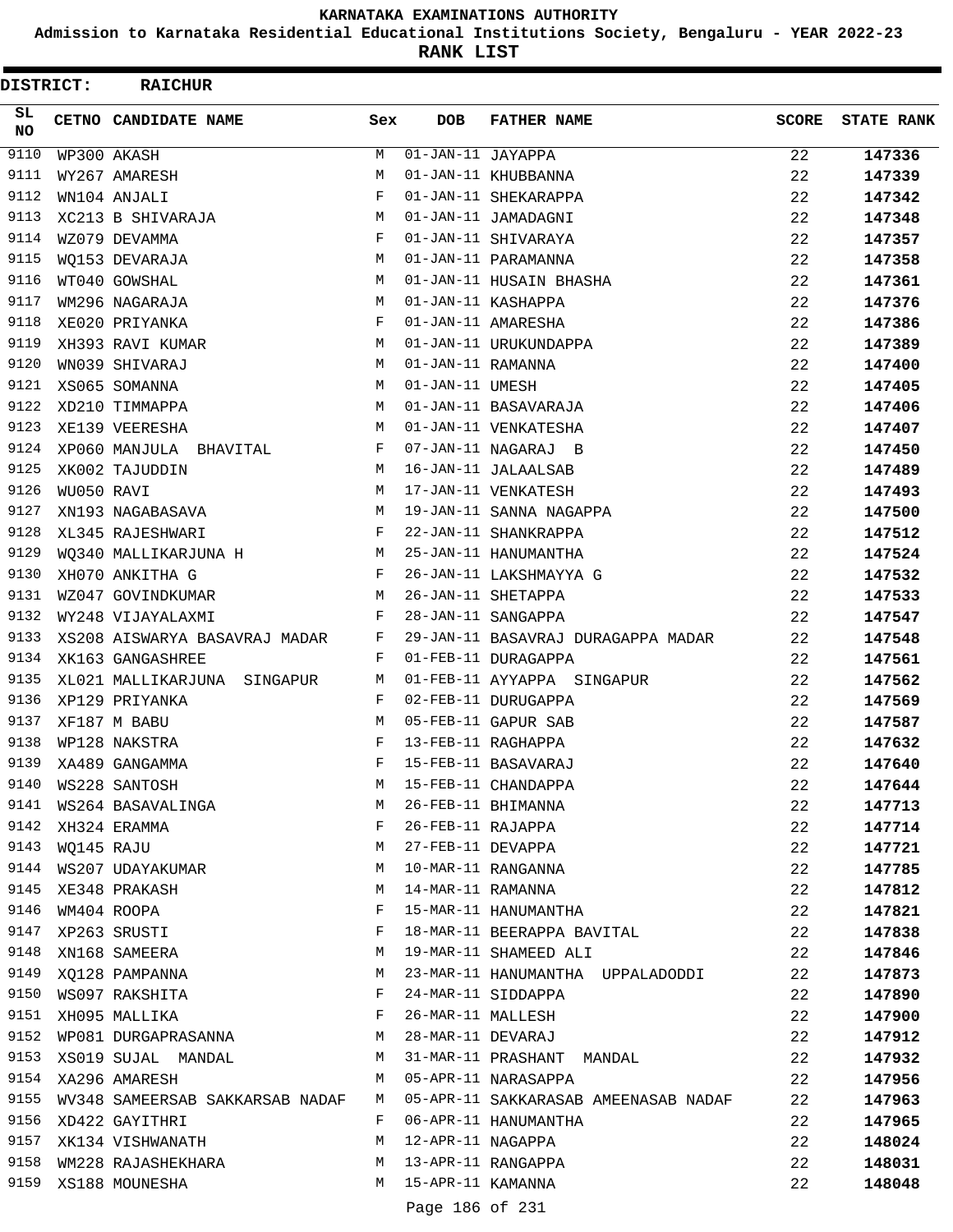**Admission to Karnataka Residential Educational Institutions Society, Bengaluru - YEAR 2022-23**

**RANK LIST**

| DISTRICT:        |            | <b>RAICHUR</b>                  |              |                                 |                                      |              |                   |
|------------------|------------|---------------------------------|--------------|---------------------------------|--------------------------------------|--------------|-------------------|
| SL.<br><b>NO</b> |            | CETNO CANDIDATE NAME            | Sex          | <b>DOB</b>                      | <b>FATHER NAME</b>                   | <b>SCORE</b> | <b>STATE RANK</b> |
| 9110             |            | WP300 AKASH                     | M            | $\overline{01- JAN-11}$ JAYAPPA |                                      | 22           | 147336            |
| 9111             |            | WY267 AMARESH                   | M            |                                 | 01-JAN-11 KHUBBANNA                  | 22           | 147339            |
| 9112             |            | WN104 ANJALI                    | F            |                                 | 01-JAN-11 SHEKARAPPA                 | 22           | 147342            |
| 9113             |            | XC213 B SHIVARAJA               | M            |                                 | 01-JAN-11 JAMADAGNI                  | 22           | 147348            |
| 9114             |            | WZ079 DEVAMMA                   | F            |                                 | 01-JAN-11 SHIVARAYA                  | 22           | 147357            |
| 9115             |            | WO153 DEVARAJA                  | M            |                                 | 01-JAN-11 PARAMANNA                  | 22           | 147358            |
| 9116             |            | WT040 GOWSHAL                   | M            |                                 | 01-JAN-11 HUSAIN BHASHA              | 22           | 147361            |
| 9117             |            | WM296 NAGARAJA                  | M            |                                 | 01-JAN-11 KASHAPPA                   | 22           | 147376            |
| 9118             |            | XE020 PRIYANKA                  | F            |                                 | 01-JAN-11 AMARESHA                   | 22           | 147386            |
| 9119             |            | XH393 RAVI KUMAR                | M            |                                 | 01-JAN-11 URUKUNDAPPA                | 22           | 147389            |
| 9120             |            | WN039 SHIVARAJ                  | M            | 01-JAN-11 RAMANNA               |                                      | 22           | 147400            |
| 9121             |            | XS065 SOMANNA                   | M            | 01-JAN-11 UMESH                 |                                      | 22           | 147405            |
| 9122             |            | XD210 TIMMAPPA                  | M            |                                 | 01-JAN-11 BASAVARAJA                 | 22           | 147406            |
| 9123             |            | XE139 VEERESHA                  | M            |                                 | 01-JAN-11 VENKATESHA                 | 22           | 147407            |
| 9124             |            | XP060 MANJULA BHAVITAL          | F            |                                 | 07-JAN-11 NAGARAJ B                  | 22           | 147450            |
| 9125             |            | XK002 TAJUDDIN                  | M            |                                 | 16-JAN-11 JALAALSAB                  | 22           | 147489            |
| 9126             | WU050 RAVI |                                 | M            |                                 | 17-JAN-11 VENKATESH                  | 22           | 147493            |
| 9127             |            | XN193 NAGABASAVA                | M            |                                 | 19-JAN-11 SANNA NAGAPPA              | 22           | 147500            |
| 9128             |            | XL345 RAJESHWARI                | $\mathbf{F}$ |                                 | 22-JAN-11 SHANKRAPPA                 | 22           | 147512            |
| 9129             |            | WQ340 MALLIKARJUNA H            | M            |                                 | 25-JAN-11 HANUMANTHA                 | 22           | 147524            |
| 9130             |            | XH070 ANKITHA G                 | F            |                                 | 26-JAN-11 LAKSHMAYYA G               | 22           | 147532            |
| 9131             |            | WZ047 GOVINDKUMAR               | M            |                                 | 26-JAN-11 SHETAPPA                   | 22           | 147533            |
| 9132             |            | WY248 VIJAYALAXMI               | F            |                                 | 28-JAN-11 SANGAPPA                   | 22           | 147547            |
| 9133             |            | XS208 AISWARYA BASAVRAJ MADAR   | F            |                                 | 29-JAN-11 BASAVRAJ DURAGAPPA MADAR   | 22           | 147548            |
| 9134             |            | XK163 GANGASHREE                | F            |                                 | 01-FEB-11 DURAGAPPA                  | 22           | 147561            |
| 9135             |            | XL021 MALLIKARJUNA SINGAPUR     | М            |                                 | 01-FEB-11 AYYAPPA SINGAPUR           | 22           | 147562            |
| 9136             |            | XP129 PRIYANKA                  | F            |                                 | 02-FEB-11 DURUGAPPA                  | 22           | 147569            |
| 9137             |            | XF187 M BABU                    | M            |                                 | 05-FEB-11 GAPUR SAB                  | 22           | 147587            |
| 9138             |            | WP128 NAKSTRA                   | F            |                                 | 13-FEB-11 RAGHAPPA                   | 22           | 147632            |
| 9139             |            | XA489 GANGAMMA                  | $_{\rm F}$   |                                 | 15-FEB-11 BASAVARAJ                  | 22           | 147640            |
| 9140             |            | WS228 SANTOSH                   | M            |                                 | 15-FEB-11 CHANDAPPA                  | 22           | 147644            |
| 9141             |            | WS264 BASAVALINGA               | M            |                                 | 26-FEB-11 BHIMANNA                   | 22           | 147713            |
| 9142             |            | XH324 ERAMMA                    | F            |                                 | 26-FEB-11 RAJAPPA                    | 22           | 147714            |
| 9143             | WQ145 RAJU |                                 | M            | 27-FEB-11 DEVAPPA               |                                      | 22           | 147721            |
| 9144             |            | WS207 UDAYAKUMAR                | М            |                                 | 10-MAR-11 RANGANNA                   | 22           | 147785            |
| 9145             |            | XE348 PRAKASH                   | М            | 14-MAR-11 RAMANNA               |                                      | 22           | 147812            |
| 9146             |            | WM404 ROOPA                     | F            |                                 | 15-MAR-11 HANUMANTHA                 | 22           | 147821            |
| 9147             |            | XP263 SRUSTI                    | F            |                                 | 18-MAR-11 BEERAPPA BAVITAL           | 22           | 147838            |
| 9148             |            | XN168 SAMEERA                   | М            |                                 | 19-MAR-11 SHAMEED ALI                | 22           | 147846            |
| 9149             |            | XQ128 PAMPANNA                  | M            |                                 | 23-MAR-11 HANUMANTHA UPPALADODDI     | 22           | 147873            |
| 9150             |            | WS097 RAKSHITA                  | $\mathbf{F}$ |                                 | 24-MAR-11 SIDDAPPA                   | 22           | 147890            |
|                  |            | 9151 XH095 MALLIKA              | F            |                                 | 26-MAR-11 MALLESH                    | 22           | 147900            |
| 9152             |            | WP081 DURGAPRASANNA             | M            |                                 | 28-MAR-11 DEVARAJ                    | 22           | 147912            |
| 9153             |            | XS019 SUJAL MANDAL              | M            |                                 | 31-MAR-11 PRASHANT MANDAL            | 22           | 147932            |
| 9154             |            | XA296 AMARESH                   | M            |                                 | 05-APR-11 NARASAPPA                  | 22           | 147956            |
| 9155             |            | WV348 SAMEERSAB SAKKARSAB NADAF | M            |                                 | 05-APR-11 SAKKARASAB AMEENASAB NADAF | 22           | 147963            |
| 9156             |            | XD422 GAYITHRI                  | F            |                                 | 06-APR-11 HANUMANTHA                 | 22           | 147965            |
| 9157             |            | XK134 VISHWANATH                | M            | 12-APR-11 NAGAPPA               |                                      | 22           | 148024            |
| 9158             |            | WM228 RAJASHEKHARA              | M            |                                 | 13-APR-11 RANGAPPA                   | 22           | 148031            |
| 9159             |            | XS188 MOUNESHA                  | M            | 15-APR-11 KAMANNA               |                                      | 22           | 148048            |
|                  |            |                                 |              | Page 186 of 231                 |                                      |              |                   |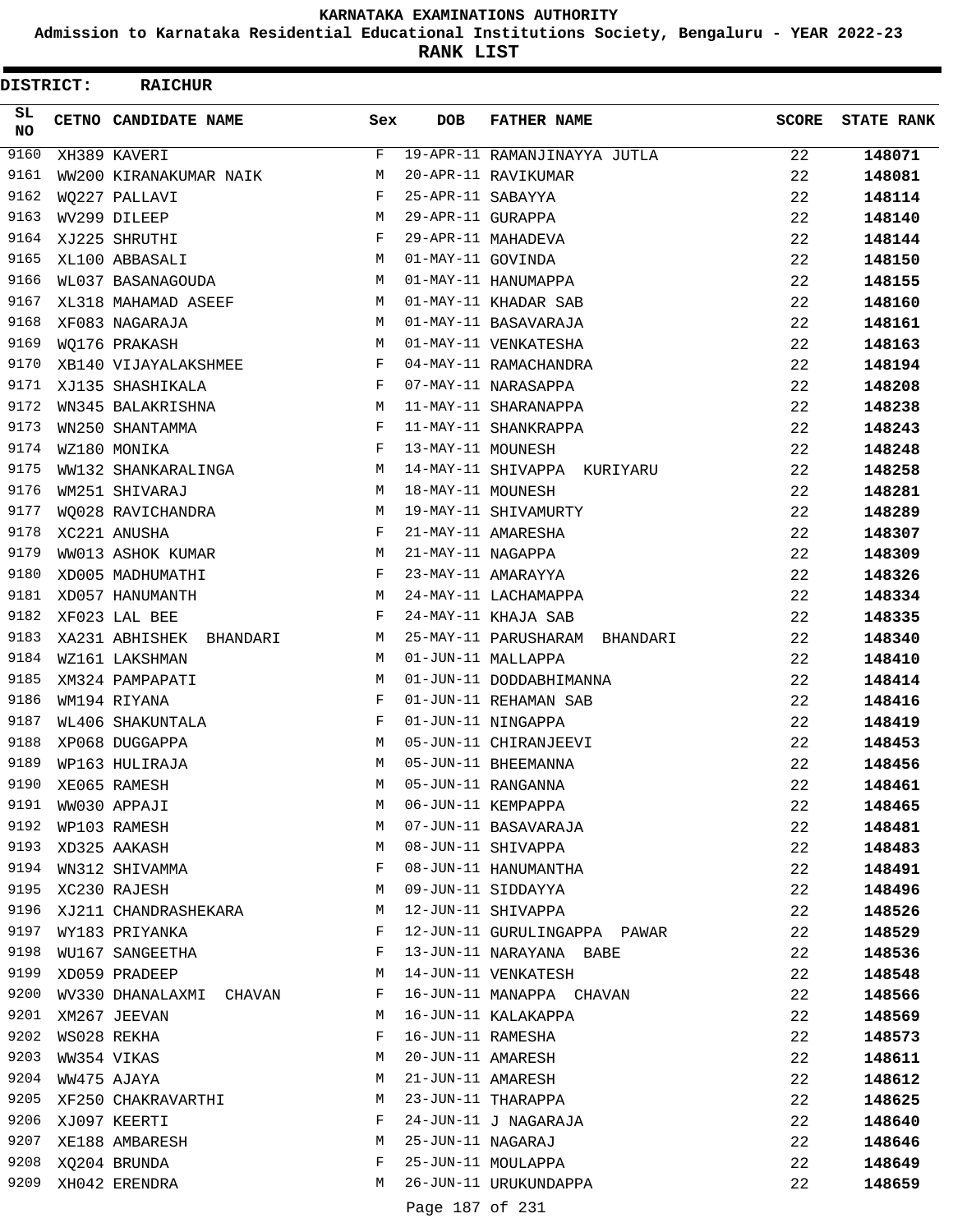**Admission to Karnataka Residential Educational Institutions Society, Bengaluru - YEAR 2022-23**

| <b>DISTRICT:</b> | <b>RAICHUR</b>              |              |                   |                               |              |                   |
|------------------|-----------------------------|--------------|-------------------|-------------------------------|--------------|-------------------|
| SL.<br><b>NO</b> | <b>CETNO CANDIDATE NAME</b> | Sex          | <b>DOB</b>        | <b>FATHER NAME</b>            | <b>SCORE</b> | <b>STATE RANK</b> |
| 9160             | XH389 KAVERI                | F            |                   | 19-APR-11 RAMANJINAYYA JUTLA  | 22           | 148071            |
| 9161             | WW200 KIRANAKUMAR NAIK      | М            |                   | 20-APR-11 RAVIKUMAR           | 22           | 148081            |
| 9162             | WQ227 PALLAVI               | F            | 25-APR-11 SABAYYA |                               | 22           | 148114            |
| 9163             | WV299 DILEEP                | М            | 29-APR-11 GURAPPA |                               | 22           | 148140            |
| 9164             | XJ225 SHRUTHI               | F            |                   | 29-APR-11 MAHADEVA            | 22           | 148144            |
| 9165             | XL100 ABBASALI              | M            | 01-MAY-11 GOVINDA |                               | 22           | 148150            |
| 9166             | WL037 BASANAGOUDA           | M            |                   | 01-MAY-11 HANUMAPPA           | 22           | 148155            |
| 9167             | XL318 MAHAMAD ASEEF         | M            |                   | 01-MAY-11 KHADAR SAB          | 22           | 148160            |
| 9168             | XF083 NAGARAJA              | M            |                   | 01-MAY-11 BASAVARAJA          | 22           | 148161            |
| 9169             | WQ176 PRAKASH               | M            |                   | 01-MAY-11 VENKATESHA          | 22           | 148163            |
| 9170             | XB140 VIJAYALAKSHMEE        | F            |                   | 04-MAY-11 RAMACHANDRA         | 22           | 148194            |
| 9171             | XJ135 SHASHIKALA            | $\mathbf{F}$ |                   | 07-MAY-11 NARASAPPA           | 22           | 148208            |
| 9172             | WN345 BALAKRISHNA           | M            |                   | 11-MAY-11 SHARANAPPA          | 22           | 148238            |
| 9173             | WN250 SHANTAMMA             | F            |                   | 11-MAY-11 SHANKRAPPA          | 22           | 148243            |
| 9174             | WZ180 MONIKA                | F            | 13-MAY-11 MOUNESH |                               | 22           | 148248            |
| 9175             | WW132 SHANKARALINGA         | М            |                   | 14-MAY-11 SHIVAPPA KURIYARU   | 22           | 148258            |
| 9176             | WM251 SHIVARAJ              | M            | 18-MAY-11 MOUNESH |                               | 22           | 148281            |
| 9177             | WQ028 RAVICHANDRA           | М            |                   | 19-MAY-11 SHIVAMURTY          | 22           | 148289            |
| 9178             | XC221 ANUSHA                | F            |                   | 21-MAY-11 AMARESHA            | 22           | 148307            |
| 9179             | WW013 ASHOK KUMAR           | M            | 21-MAY-11 NAGAPPA |                               | 22           | 148309            |
| 9180             | XD005 MADHUMATHI            | $\mathbf{F}$ |                   | 23-MAY-11 AMARAYYA            | 22           | 148326            |
| 9181             | XD057 HANUMANTH             | M            |                   | 24-MAY-11 LACHAMAPPA          | 22           | 148334            |
| 9182             | XF023 LAL BEE               | F            |                   | 24-MAY-11 KHAJA SAB           | 22           | 148335            |
| 9183             | XA231 ABHISHEK BHANDARI     | M            |                   | 25-MAY-11 PARUSHARAM BHANDARI | 22           | 148340            |
| 9184             | WZ161 LAKSHMAN              | M            |                   | 01-JUN-11 MALLAPPA            | 22           | 148410            |
| 9185             | XM324 PAMPAPATI             | М            |                   | 01-JUN-11 DODDABHIMANNA       | 22           | 148414            |
| 9186             | WM194 RIYANA                | F            |                   | 01-JUN-11 REHAMAN SAB         | 22           | 148416            |
| 9187             | WL406 SHAKUNTALA            | F            |                   | 01-JUN-11 NINGAPPA            | 22           | 148419            |
| 9188             | XP068 DUGGAPPA              | M            |                   | 05-JUN-11 CHIRANJEEVI         | 22           | 148453            |
| 9189             | WP163 HULIRAJA              | M            |                   | 05-JUN-11 BHEEMANNA           | 22           | 148456            |
| 9190             | XE065 RAMESH                | М            |                   | 05-JUN-11 RANGANNA            | 22           | 148461            |
| 9191             | WW030 APPAJI                | M            |                   | 06-JUN-11 KEMPAPPA            | 22           | 148465            |
| 9192             | WP103 RAMESH                | M            |                   | 07-JUN-11 BASAVARAJA          | 22           | 148481            |
| 9193             | XD325 AAKASH                | М            |                   | 08-JUN-11 SHIVAPPA            | 22           | 148483            |
| 9194             | WN312 SHIVAMMA              | F            |                   | 08-JUN-11 HANUMANTHA          | 22           | 148491            |
| 9195             | XC230 RAJESH                | М            |                   | 09-JUN-11 SIDDAYYA            | 22           | 148496            |
| 9196             | XJ211 CHANDRASHEKARA        | М            |                   | 12-JUN-11 SHIVAPPA            | 22           | 148526            |
| 9197             | WY183 PRIYANKA              | F            |                   | 12-JUN-11 GURULINGAPPA PAWAR  | 22           | 148529            |
| 9198             | WU167 SANGEETHA             | F            |                   | 13-JUN-11 NARAYANA BABE       | 22           | 148536            |
| 9199             | XD059 PRADEEP               | М            |                   | 14-JUN-11 VENKATESH           | 22           | 148548            |
| 9200             | WV330 DHANALAXMI CHAVAN     | F            |                   | 16-JUN-11 MANAPPA CHAVAN      | 22           | 148566            |
| 9201             | XM267 JEEVAN                | M            |                   | 16-JUN-11 KALAKAPPA           | 22           | 148569            |
| 9202             | WS028 REKHA                 | F            | 16-JUN-11 RAMESHA |                               | 22           | 148573            |
| 9203             | WW354 VIKAS                 | М            |                   | 20-JUN-11 AMARESH             | 22           | 148611            |
| 9204             | WW475 AJAYA                 | M            | 21-JUN-11 AMARESH |                               | 22           | 148612            |
| 9205             | XF250 CHAKRAVARTHI          | М            |                   | 23-JUN-11 THARAPPA            | 22           | 148625            |
| 9206             | XJ097 KEERTI                | F            |                   | 24-JUN-11 J NAGARAJA          | 22           | 148640            |
| 9207             | XE188 AMBARESH              | М            | 25-JUN-11 NAGARAJ |                               | 22           | 148646            |
| 9208             | XQ204 BRUNDA                | F            |                   | 25-JUN-11 MOULAPPA            | 22           | 148649            |
| 9209             | XH042 ERENDRA               | М            |                   | 26-JUN-11 URUKUNDAPPA         | 22           | 148659            |
|                  |                             |              |                   |                               |              |                   |
|                  |                             |              | Page 187 of 231   |                               |              |                   |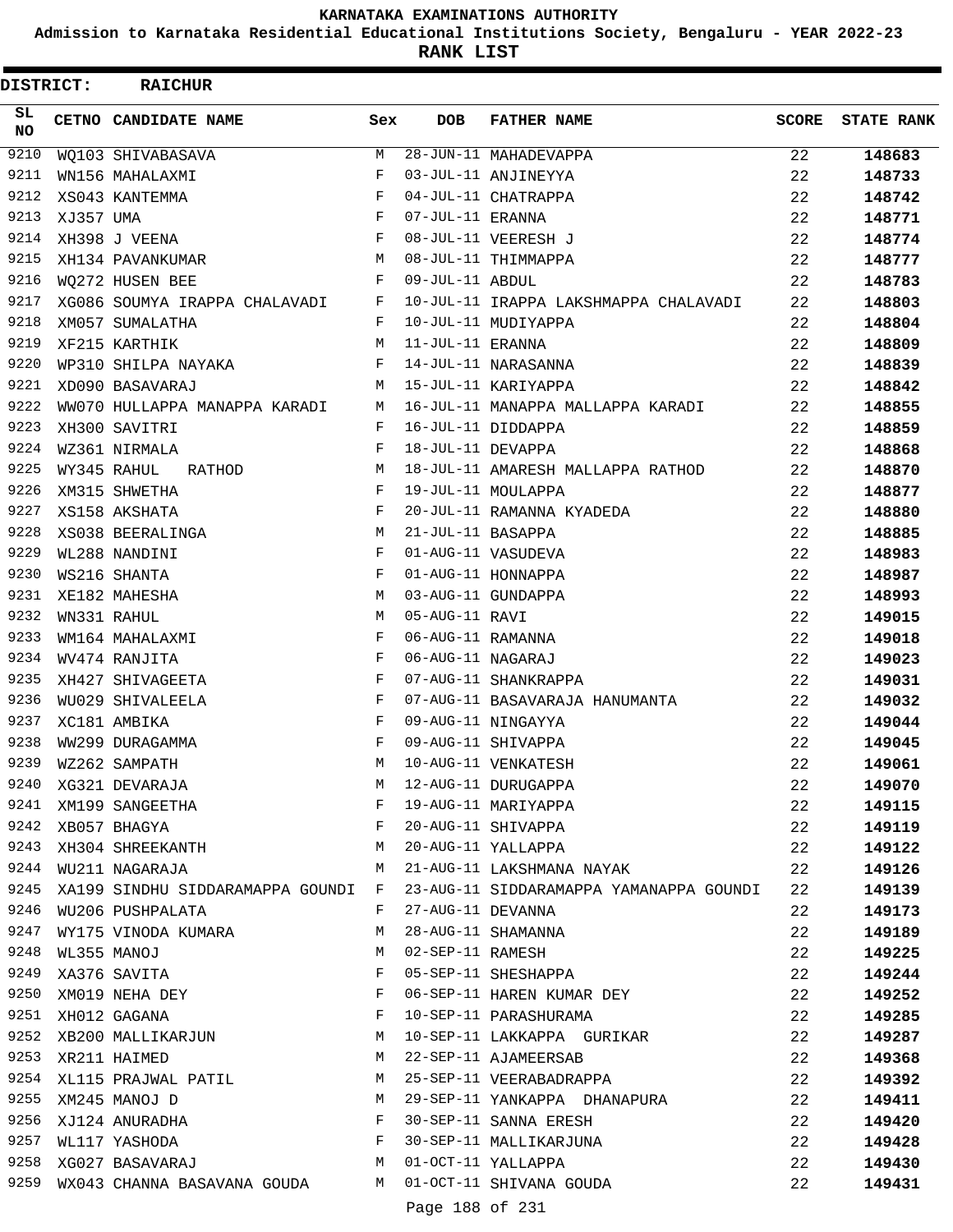**Admission to Karnataka Residential Educational Institutions Society, Bengaluru - YEAR 2022-23**

ı

**RANK LIST**

| DISTRICT: |           | <b>RAICHUR</b>                                                                                                                 |     |                   |                                                                                        |              |                   |
|-----------|-----------|--------------------------------------------------------------------------------------------------------------------------------|-----|-------------------|----------------------------------------------------------------------------------------|--------------|-------------------|
| SL<br>NO. |           | CETNO CANDIDATE NAME                                                                                                           | Sex | <b>DOB</b>        | <b>FATHER NAME</b>                                                                     | <b>SCORE</b> | <b>STATE RANK</b> |
| 9210      |           | WQ103 SHIVABASAVA                                                                                                              | M   |                   | 28-JUN-11 MAHADEVAPPA                                                                  | 22           | 148683            |
| 9211      |           | WN156 MAHALAXMI                                                                                                                | F   |                   | 03-JUL-11 ANJINEYYA                                                                    | 22           | 148733            |
| 9212      |           | XS043 KANTEMMA                                                                                                                 | F   |                   | 04-JUL-11 CHATRAPPA                                                                    | 22           | 148742            |
| 9213      | XJ357 UMA |                                                                                                                                | F   | 07-JUL-11 ERANNA  |                                                                                        | 22           | 148771            |
| 9214      |           | XH398 J VEENA                                                                                                                  | F   |                   | 08-JUL-11 VEERESH J                                                                    | 22           | 148774            |
| 9215      |           | XH134 PAVANKUMAR                                                                                                               | M   |                   | 08-JUL-11 THIMMAPPA                                                                    | 22           | 148777            |
| 9216      |           | WO272 HUSEN BEE                                                                                                                | F   | 09-JUL-11 ABDUL   |                                                                                        | 22           | 148783            |
| 9217      |           | XG086 SOUMYA IRAPPA CHALAVADI                                                                                                  | F   |                   | 10-JUL-11 IRAPPA LAKSHMAPPA CHALAVADI                                                  | 22           | 148803            |
| 9218      |           | XM057 SUMALATHA                                                                                                                | F   |                   | 10-JUL-11 MUDIYAPPA                                                                    | 22           | 148804            |
| 9219      |           | XF215 KARTHIK                                                                                                                  | M   | 11-JUL-11 ERANNA  |                                                                                        | 22           | 148809            |
| 9220      |           | WP310 SHILPA NAYAKA                                                                                                            | F   |                   | 14-JUL-11 NARASANNA                                                                    | 22           | 148839            |
| 9221      |           | XD090 BASAVARAJ                                                                                                                | М   |                   | 15-JUL-11 KARIYAPPA                                                                    | 22           | 148842            |
| 9222      |           | WW070 HULLAPPA MANAPPA KARADI                                                                                                  | M   |                   | 16-JUL-11 MANAPPA MALLAPPA KARADI                                                      | 22           | 148855            |
| 9223      |           | XH300 SAVITRI                                                                                                                  | F   |                   | 16-JUL-11 DIDDAPPA                                                                     | 22           | 148859            |
| 9224      |           | WZ361 NIRMALA                                                                                                                  | F   | 18-JUL-11 DEVAPPA |                                                                                        | 22           | 148868            |
| 9225      |           | WY345 RAHUL<br>RATHOD                                                                                                          | M   |                   | 18-JUL-11 AMARESH MALLAPPA RATHOD                                                      | 22           | 148870            |
| 9226      |           | XM315 SHWETHA                                                                                                                  | F   |                   | 19-JUL-11 MOULAPPA                                                                     | 22           | 148877            |
| 9227      |           | XS158 AKSHATA                                                                                                                  | F   |                   | 20-JUL-11 RAMANNA KYADEDA                                                              | 22           | 148880            |
| 9228      |           | XS038 BEERALINGA                                                                                                               | M   | 21-JUL-11 BASAPPA |                                                                                        | 22           | 148885            |
| 9229      |           | WL288 NANDINI                                                                                                                  | F   |                   | 01-AUG-11 VASUDEVA                                                                     | 22           | 148983            |
| 9230      |           | WS216 SHANTA                                                                                                                   | F   |                   | 01-AUG-11 HONNAPPA                                                                     | 22           | 148987            |
| 9231      |           | XE182 MAHESHA                                                                                                                  | M   |                   | 03-AUG-11 GUNDAPPA                                                                     | 22           | 148993            |
| 9232      |           | WN331 RAHUL                                                                                                                    | M   | 05-AUG-11 RAVI    |                                                                                        | 22           | 149015            |
| 9233      |           | WM164 MAHALAXMI                                                                                                                | F   | 06-AUG-11 RAMANNA |                                                                                        | 22           | 149018            |
| 9234      |           | WV474 RANJITA                                                                                                                  | F   | 06-AUG-11 NAGARAJ |                                                                                        | 22           | 149023            |
| 9235      |           | XH427 SHIVAGEETA                                                                                                               | F   |                   | 07-AUG-11 SHANKRAPPA                                                                   | 22           | 149031            |
| 9236      |           | WU029 SHIVALEELA                                                                                                               | F   |                   | 07-AUG-11 BASAVARAJA HANUMANTA                                                         | 22           | 149032            |
| 9237      |           | XC181 AMBIKA                                                                                                                   | F   |                   | 09-AUG-11 NINGAYYA                                                                     | 22           | 149044            |
| 9238      |           | WW299 DURAGAMMA                                                                                                                | F   |                   | 09-AUG-11 SHIVAPPA                                                                     | 22           | 149045            |
| 9239      |           | WZ262 SAMPATH                                                                                                                  | M   |                   | 10-AUG-11 VENKATESH                                                                    | 22           | 149061            |
| 9240      |           | XG321 DEVARAJA                                                                                                                 | M   |                   | 12-AUG-11 DURUGAPPA<br>19-AUG-11 MARIYAPPA<br>20-AUG-11 SHIVAPPA<br>20-AUG-11 YALLAPPA | 22           | 149070            |
| 9241      |           | XM199 SANGEETHA                                                                                                                | F   |                   |                                                                                        | 22           | 149115            |
| 9242      |           |                                                                                                                                |     |                   |                                                                                        | 22           | 149119            |
| 9243      |           | $\begin{array}{lll} \tt XB057 & \tt BHAGYA & \tt F \\ \tt XH304 & \tt SHREEKANTH & \tt M \\ \tt M & \tt M & \tt M \end{array}$ |     |                   |                                                                                        | 22           | 149122            |
| 9244      |           | WU211 NAGARAJA M                                                                                                               |     |                   | 21-AUG-11 LAKSHMANA NAYAK                                                              | 22           | 149126            |
| 9245      |           | XA199 SINDHU SIDDARAMAPPA GOUNDI F                                                                                             |     |                   | 23-AUG-11 SIDDARAMAPPA YAMANAPPA GOUNDI                                                | 22           | 149139            |
| 9246      |           | WU206 PUSHPALATA                                                                                                               | F   |                   | 27-AUG-11 DEVANNA                                                                      | 22           | 149173            |
| 9247      |           | WY175 VINODA KUMARA                                                                                                            | М   |                   | 28-AUG-11 SHAMANNA                                                                     | 22           | 149189            |
| 9248      |           | WL355 MANOJ                                                                                                                    | M   | 02-SEP-11 RAMESH  |                                                                                        | 22           | 149225            |
| 9249      |           | XA376 SAVITA                                                                                                                   | F   |                   | 05-SEP-11 SHESHAPPA                                                                    | 22           | 149244            |
| 9250      |           | XM019 NEHA DEY F                                                                                                               |     |                   | 06-SEP-11 HAREN KUMAR DEY                                                              | 22           | 149252            |
|           |           | $\mathbf{F}$<br>9251 XH012 GAGANA                                                                                              |     |                   | 10-SEP-11 PARASHURAMA                                                                  | 22           | 149285            |
|           |           | 9252 XB200 MALLIKARJUN M                                                                                                       |     |                   | 10-SEP-11 LAKKAPPA GURIKAR                                                             | 22           | 149287            |
| 9253      |           | XR211 HAIMED                                                                                                                   | M   |                   | 22-SEP-11 AJAMEERSAB                                                                   | 22           | 149368            |
| 9254      |           | XL115 PRAJWAL PATIL M                                                                                                          |     |                   | 25-SEP-11 VEERABADRAPPA                                                                | 22           | 149392            |
| 9255      |           | XM245 MANOJ D                                                                                                                  | M   |                   | 29-SEP-11 YANKAPPA DHANAPURA                                                           | 22           | 149411            |
| 9256      |           | XJ124 ANURADHA F<br>WL117 YASHODA F                                                                                            |     |                   | 30-SEP-11 SANNA ERESH                                                                  | 22           | 149420            |
| 9257      |           |                                                                                                                                |     |                   | 30-SEP-11 MALLIKARJUNA                                                                 | 22           | 149428            |
| 9258      |           | XG027 BASAVARAJ M 01-OCT-11 YALLAPPA                                                                                           |     |                   |                                                                                        | 22           | 149430            |
| 9259      |           | WX043 CHANNA BASAVANA GOUDA M 01-OCT-11 SHIVANA GOUDA                                                                          |     |                   |                                                                                        | 22           | 149431            |
|           |           |                                                                                                                                |     | Page 188 of 231   |                                                                                        |              |                   |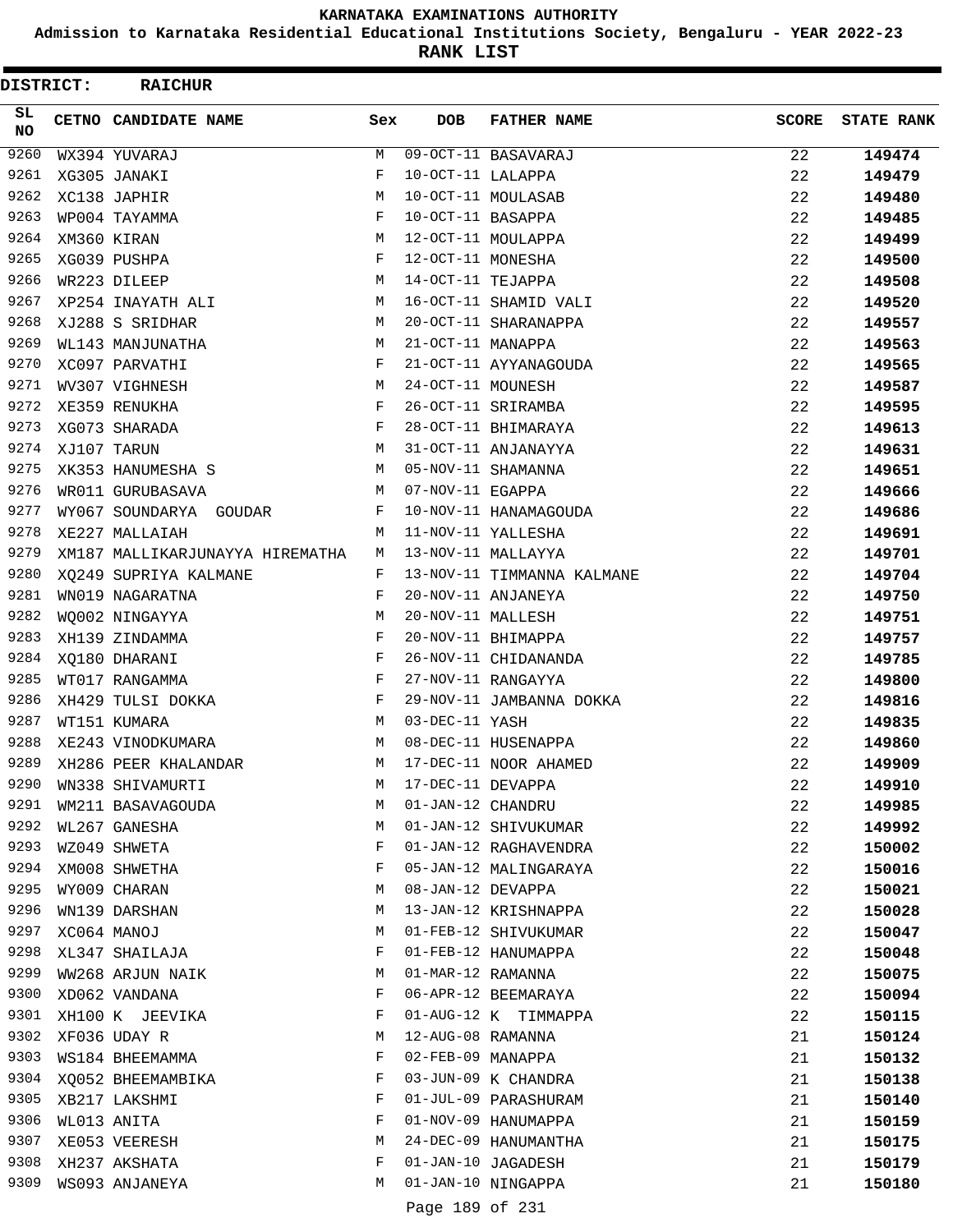**Admission to Karnataka Residential Educational Institutions Society, Bengaluru - YEAR 2022-23**

**RANK LIST**

 $\blacksquare$ 

| <b>DISTRICT:</b> | <b>RAICHUR</b>                  |            |                   |                            |              |                   |
|------------------|---------------------------------|------------|-------------------|----------------------------|--------------|-------------------|
| SL.<br><b>NO</b> | CETNO CANDIDATE NAME            | Sex        | <b>DOB</b>        | <b>FATHER NAME</b>         | <b>SCORE</b> | <b>STATE RANK</b> |
| 9260             | WX394 YUVARAJ                   | М          |                   | 09-OCT-11 BASAVARAJ        | 22           | 149474            |
| 9261             | XG305 JANAKI                    | F          | 10-OCT-11 LALAPPA |                            | 22           | 149479            |
| 9262             | XC138 JAPHIR                    | M          |                   | 10-OCT-11 MOULASAB         | 22           | 149480            |
| 9263             | WP004 TAYAMMA                   | F          | 10-OCT-11 BASAPPA |                            | 22           | 149485            |
| 9264             | XM360 KIRAN                     | М          |                   | 12-OCT-11 MOULAPPA         | 22           | 149499            |
| 9265             | XG039 PUSHPA                    | F          | 12-OCT-11 MONESHA |                            | 22           | 149500            |
| 9266             | WR223 DILEEP                    | M          | 14-OCT-11 TEJAPPA |                            | 22           | 149508            |
| 9267             | XP254 INAYATH ALI               | М          |                   | 16-OCT-11 SHAMID VALI      | 22           | 149520            |
| 9268             | XJ288 S SRIDHAR                 | М          |                   | 20-OCT-11 SHARANAPPA       | 22           | 149557            |
| 9269             | WL143 MANJUNATHA                | М          | 21-OCT-11 MANAPPA |                            | 22           | 149563            |
| 9270             | XC097 PARVATHI                  | F          |                   | 21-OCT-11 AYYANAGOUDA      | 22           | 149565            |
| 9271             | WV307 VIGHNESH                  | М          | 24-OCT-11 MOUNESH |                            | 22           | 149587            |
| 9272             | XE359 RENUKHA                   | F          |                   | 26-OCT-11 SRIRAMBA         | 22           | 149595            |
| 9273             | XG073 SHARADA                   | $_{\rm F}$ |                   | 28-OCT-11 BHIMARAYA        | 22           | 149613            |
| 9274             | XJ107 TARUN                     | M          |                   | 31-OCT-11 ANJANAYYA        | 22           | 149631            |
| 9275             | XK353 HANUMESHA S               | М          |                   | 05-NOV-11 SHAMANNA         | 22           | 149651            |
| 9276             | WR011 GURUBASAVA                | М          | 07-NOV-11 EGAPPA  |                            | 22           | 149666            |
| 9277             | WY067 SOUNDARYA GOUDAR          | F          |                   | 10-NOV-11 HANAMAGOUDA      | 22           | 149686            |
| 9278             | XE227 MALLAIAH                  | М          |                   | 11-NOV-11 YALLESHA         | 22           | 149691            |
| 9279             | XM187 MALLIKARJUNAYYA HIREMATHA | M          |                   | 13-NOV-11 MALLAYYA         | 22           | 149701            |
| 9280             | XQ249 SUPRIYA KALMANE           | F          |                   | 13-NOV-11 TIMMANNA KALMANE | 22           | 149704            |
| 9281             | WN019 NAGARATNA                 | F          |                   | 20-NOV-11 ANJANEYA         | 22           | 149750            |
| 9282             | WQ002 NINGAYYA                  | М          | 20-NOV-11 MALLESH |                            | 22           | 149751            |
| 9283             | XH139 ZINDAMMA                  | F          |                   | 20-NOV-11 BHIMAPPA         | 22           | 149757            |
| 9284             | XQ180 DHARANI                   | F          |                   | 26-NOV-11 CHIDANANDA       | 22           | 149785            |
| 9285             | WT017 RANGAMMA                  | $_{\rm F}$ |                   | 27-NOV-11 RANGAYYA         | 22           | 149800            |
| 9286             | XH429 TULSI DOKKA               | F          |                   | 29-NOV-11 JAMBANNA DOKKA   | 22           | 149816            |
| 9287             | WT151 KUMARA                    | М          | 03-DEC-11 YASH    |                            | 22           | 149835            |
| 9288             | XE243 VINODKUMARA               | М          |                   | 08-DEC-11 HUSENAPPA        | 22           | 149860            |
| 9289             | XH286 PEER KHALANDAR            | M          |                   | 17-DEC-11 NOOR AHAMED      | 22           | 149909            |
| 9290             | WN338 SHIVAMURTI                | M          | 17-DEC-11 DEVAPPA |                            | 22           | 149910            |
| 9291             | WM211 BASAVAGOUDA               | М          | 01-JAN-12 CHANDRU |                            | 22           | 149985            |
| 9292             | WL267 GANESHA                   | М          |                   | 01-JAN-12 SHIVUKUMAR       | 22           | 149992            |
| 9293             | WZ049 SHWETA                    | F          |                   | 01-JAN-12 RAGHAVENDRA      | 22           | 150002            |
| 9294             | XM008 SHWETHA                   | F          |                   | 05-JAN-12 MALINGARAYA      | 22           | 150016            |
| 9295             | WY009 CHARAN                    | М          | 08-JAN-12 DEVAPPA |                            | 22           | 150021            |
| 9296             | WN139 DARSHAN                   | М          |                   | 13-JAN-12 KRISHNAPPA       | 22           | 150028            |
| 9297             | XC064 MANOJ                     | М          |                   | 01-FEB-12 SHIVUKUMAR       | 22           | 150047            |
| 9298             | XL347 SHAILAJA                  | F          |                   | 01-FEB-12 HANUMAPPA        | 22           | 150048            |
| 9299             | WW268 ARJUN NAIK                | M          | 01-MAR-12 RAMANNA |                            | 22           | 150075            |
| 9300             | XD062 VANDANA                   | F          |                   | 06-APR-12 BEEMARAYA        | 22           | 150094            |
| 9301             | XH100 K JEEVIKA                 | F          |                   | 01-AUG-12 K TIMMAPPA       | 22           | 150115            |
| 9302             | XF036 UDAY R                    | М          | 12-AUG-08 RAMANNA |                            | 21           | 150124            |
| 9303             | WS184 BHEEMAMMA                 | F          | 02-FEB-09 MANAPPA |                            | 21           | 150132            |
| 9304             | XQ052 BHEEMAMBIKA               | F          |                   | 03-JUN-09 K CHANDRA        | 21           | 150138            |
| 9305             | XB217 LAKSHMI                   | F          |                   | 01-JUL-09 PARASHURAM       | 21           | 150140            |
| 9306             | WL013 ANITA                     | F          |                   | 01-NOV-09 HANUMAPPA        | 21           | 150159            |
| 9307             | XE053 VEERESH                   | М          |                   | 24-DEC-09 HANUMANTHA       | 21           | 150175            |
| 9308             | XH237 AKSHATA                   | F          |                   | 01-JAN-10 JAGADESH         | 21           | 150179            |
| 9309             | WS093 ANJANEYA                  | М          |                   | 01-JAN-10 NINGAPPA         | 21           | 150180            |
|                  |                                 |            |                   | $100C$ $501$               |              |                   |

Page 189 of 231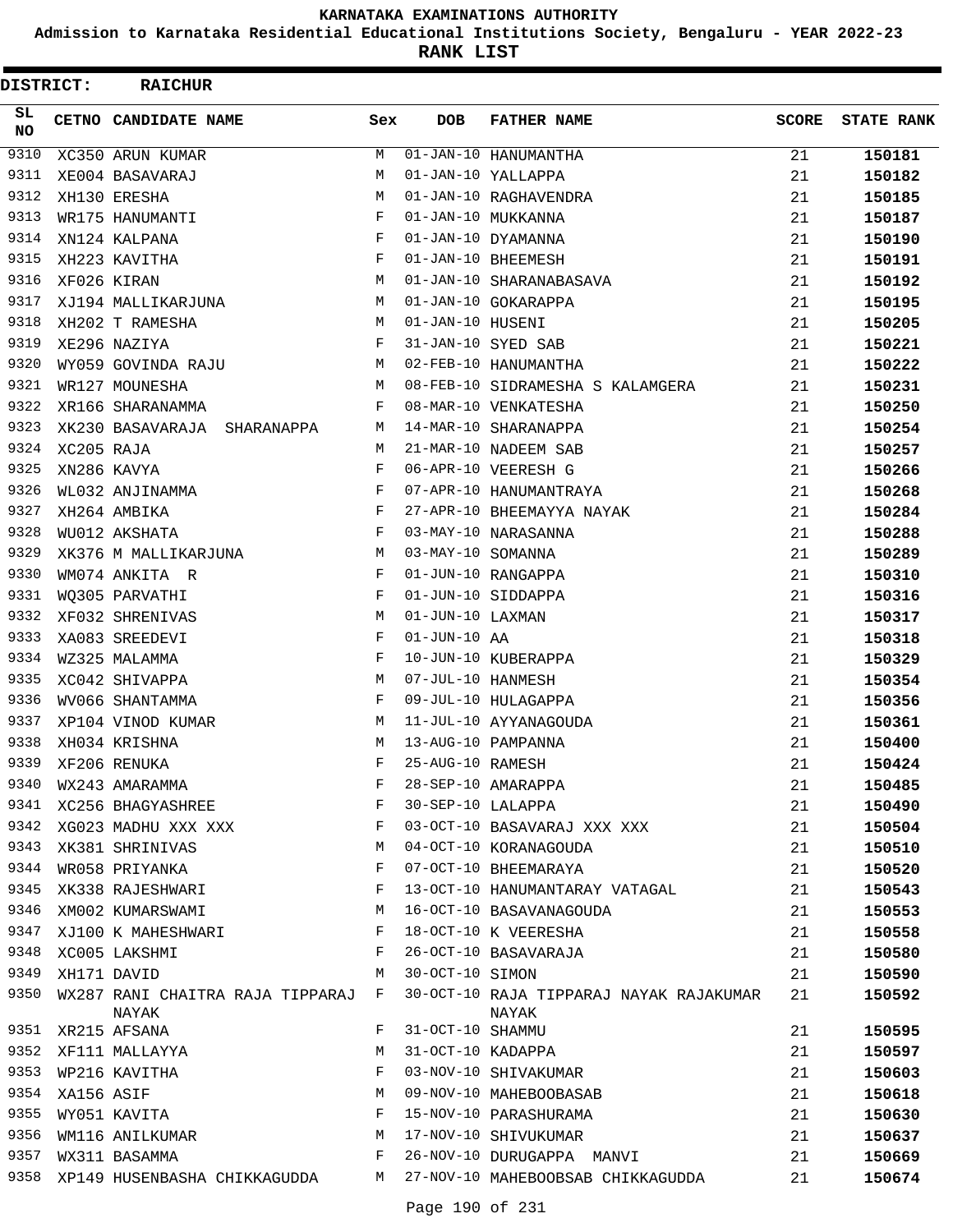**Admission to Karnataka Residential Educational Institutions Society, Bengaluru - YEAR 2022-23**

**RANK LIST**

| <b>DISTRICT:</b> |            | <b>RAICHUR</b>                                                                               |     |                   |                                                                                         |              |                   |
|------------------|------------|----------------------------------------------------------------------------------------------|-----|-------------------|-----------------------------------------------------------------------------------------|--------------|-------------------|
| SL.<br><b>NO</b> |            | CETNO CANDIDATE NAME                                                                         | Sex | <b>DOB</b>        | <b>FATHER NAME</b>                                                                      | <b>SCORE</b> | <b>STATE RANK</b> |
| 9310             |            | XC350 ARUN KUMAR                                                                             | М   |                   | $01 - JAN - 10$ HANUMANTHA                                                              | 21           | 150181            |
| 9311             |            | XE004 BASAVARAJ                                                                              | M   |                   | 01-JAN-10 YALLAPPA                                                                      | 21           | 150182            |
| 9312             |            | XH130 ERESHA                                                                                 | M   |                   | 01-JAN-10 RAGHAVENDRA                                                                   | 21           | 150185            |
| 9313             |            | WR175 HANUMANTI                                                                              | F   |                   | 01-JAN-10 MUKKANNA                                                                      | 21           | 150187            |
| 9314             |            | XN124 KALPANA                                                                                | F   |                   | 01-JAN-10 DYAMANNA                                                                      | 21           | 150190            |
| 9315             |            | XH223 KAVITHA                                                                                | F   |                   | 01-JAN-10 BHEEMESH                                                                      | 21           | 150191            |
| 9316             |            | XF026 KIRAN                                                                                  | M   |                   | 01-JAN-10 SHARANABASAVA                                                                 | 21           | 150192            |
| 9317             |            | XJ194 MALLIKARJUNA                                                                           | M   |                   | 01-JAN-10 GOKARAPPA                                                                     | 21           | 150195            |
| 9318             |            | XH202 T RAMESHA                                                                              | М   | 01-JAN-10 HUSENI  |                                                                                         | 21           | 150205            |
| 9319             |            | XE296 NAZIYA                                                                                 | F   |                   | 31-JAN-10 SYED SAB                                                                      | 21           | 150221            |
| 9320             |            | WY059 GOVINDA RAJU                                                                           | М   |                   | 02-FEB-10 HANUMANTHA                                                                    | 21           | 150222            |
| 9321             |            | WR127 MOUNESHA                                                                               | M   |                   | 08-FEB-10 SIDRAMESHA S KALAMGERA                                                        | 21           | 150231            |
| 9322             |            | XR166 SHARANAMMA                                                                             | F   |                   | 08-MAR-10 VENKATESHA                                                                    | 21           | 150250            |
| 9323             |            | XK230 BASAVARAJA SHARANAPPA                                                                  | M   |                   | 14-MAR-10 SHARANAPPA                                                                    | 21           | 150254            |
| 9324             | XC205 RAJA |                                                                                              | M   |                   | 21-MAR-10 NADEEM SAB                                                                    | 21           | 150257            |
| 9325             |            | XN286 KAVYA                                                                                  | F   |                   | 06-APR-10 VEERESH G                                                                     | 21           | 150266            |
| 9326             |            | WL032 ANJINAMMA                                                                              | F   |                   | 07-APR-10 HANUMANTRAYA                                                                  | 21           | 150268            |
| 9327             |            | XH264 AMBIKA                                                                                 | F   |                   | 27-APR-10 BHEEMAYYA NAYAK                                                               | 21           | 150284            |
| 9328             |            | WU012 AKSHATA                                                                                | F   |                   | 03-MAY-10 NARASANNA                                                                     | 21           | 150288            |
| 9329             |            | XK376 M MALLIKARJUNA                                                                         | М   | 03-MAY-10 SOMANNA |                                                                                         | 21           | 150289            |
| 9330             |            | WM074 ANKITA R                                                                               | F   |                   | 01-JUN-10 RANGAPPA                                                                      | 21           | 150310            |
| 9331             |            | WQ305 PARVATHI                                                                               | F   |                   | 01-JUN-10 SIDDAPPA                                                                      | 21           | 150316            |
| 9332             |            | XF032 SHRENIVAS                                                                              | M   | 01-JUN-10 LAXMAN  |                                                                                         | 21           | 150317            |
| 9333             |            | XA083 SREEDEVI                                                                               | F   | $01-JUN-10$ AA    |                                                                                         | 21           | 150318            |
| 9334             |            | WZ325 MALAMMA                                                                                | F   |                   | 10-JUN-10 KUBERAPPA                                                                     | 21           | 150329            |
| 9335             |            | XC042 SHIVAPPA                                                                               | M   | 07-JUL-10 HANMESH |                                                                                         | 21           | 150354            |
| 9336             |            | WV066 SHANTAMMA                                                                              | F   |                   | 09-JUL-10 HULAGAPPA                                                                     | 21           | 150356            |
| 9337             |            | XP104 VINOD KUMAR                                                                            | M   |                   | 11-JUL-10 AYYANAGOUDA                                                                   | 21           | 150361            |
| 9338             |            | XH034 KRISHNA                                                                                | M   |                   | 13-AUG-10 PAMPANNA                                                                      | 21           | 150400            |
| 9339             |            | XF206 RENUKA                                                                                 | F   | 25-AUG-10 RAMESH  |                                                                                         | 21           | 150424            |
| 9340             |            | WX243 AMARAMMA                                                                               | F   |                   | 28-SEP-10 AMARAPPA                                                                      | 21           | 150485            |
| 9341             |            | XC256 BHAGYASHREE                                                                            | F   | 30-SEP-10 LALAPPA |                                                                                         | 21           | 150490            |
| 9342             |            | $XG023$ MADHU XXX XXX $\hfill$ $\quad$ $\hfill$ $\hfill$ $\hfill$ $\hfill$ $\hfill$ $\hfill$ |     |                   | 03-OCT-10 BASAVARAJ XXX XXX                                                             | 21           | 150504            |
| 9343             |            | XK381 SHRINIVAS<br>WR058 PRIYANKA                                                            | M   |                   | 04-OCT-10 KORANAGOUDA                                                                   | 21           | 150510            |
| 9344             |            |                                                                                              | F   |                   | 07-OCT-10 BHEEMARAYA                                                                    | 21           | 150520            |
| 9345             |            | XK338 RAJESHWARI                                                                             | F   |                   | 13-OCT-10 HANUMANTARAY VATAGAL                                                          | 21           | 150543            |
| 9346             |            | XM002 KUMARSWAMI                                                                             | М   |                   | 16-OCT-10 BASAVANAGOUDA                                                                 | 21           | 150553            |
| 9347             |            | XJ100 K MAHESHWARI F                                                                         |     |                   | 18-OCT-10 K VEERESHA                                                                    | 21           | 150558            |
| 9348             |            | XC005 LAKSHMI                                                                                | F   |                   | 26-OCT-10 BASAVARAJA                                                                    | 21           | 150580            |
| 9349             |            | XH171 DAVID                                                                                  | M   | 30-OCT-10 SIMON   |                                                                                         | 21           | 150590            |
| 9350             |            | WX287 RANI CHAITRA RAJA TIPPARAJ F<br>NAYAK                                                  |     |                   | 30-OCT-10 RAJA TIPPARAJ NAYAK RAJAKUMAR<br>NAYAK                                        | 21           | 150592            |
|                  |            | 9351 XR215 AFSANA                                                                            | F   | 31-OCT-10 SHAMMU  |                                                                                         | 21           | 150595            |
| 9352             |            |                                                                                              | M   |                   |                                                                                         | 21           | 150597            |
|                  |            | XF111 MALLAYYA<br>WP216 KAVITHA<br>XA156 ASIF<br>WY051 KAVITA<br>9353 WP216 KAVITHA          | F   |                   | 31-OC1-10 SHAMMU<br>31-OCT-10 KADAPPA<br>03-NOV-10 SHIVAKUMAR<br>09-NOV-10 MAHEBOOBASAB | 21           | 150603            |
| 9354             |            |                                                                                              | М   |                   |                                                                                         | 21           | 150618            |
| 9355             |            |                                                                                              | F   |                   | 15-NOV-10 PARASHURAMA                                                                   | 21           | 150630            |
| 9356             |            | WYUSI NAVIIA<br>WM116 ANILKUMAR<br>F                                                         |     |                   | 17-NOV-10 SHIVUKUMAR                                                                    | 21           | 150637            |
|                  |            | 9357 WX311 BASAMMA                                                                           |     |                   | 26-NOV-10 DURUGAPPA MANVI                                                               | 21           | 150669            |
| 9358             |            | XP149 HUSENBASHA CHIKKAGUDDA M                                                               |     |                   | 27-NOV-10 MAHEBOOBSAB CHIKKAGUDDA                                                       | 21           | 150674            |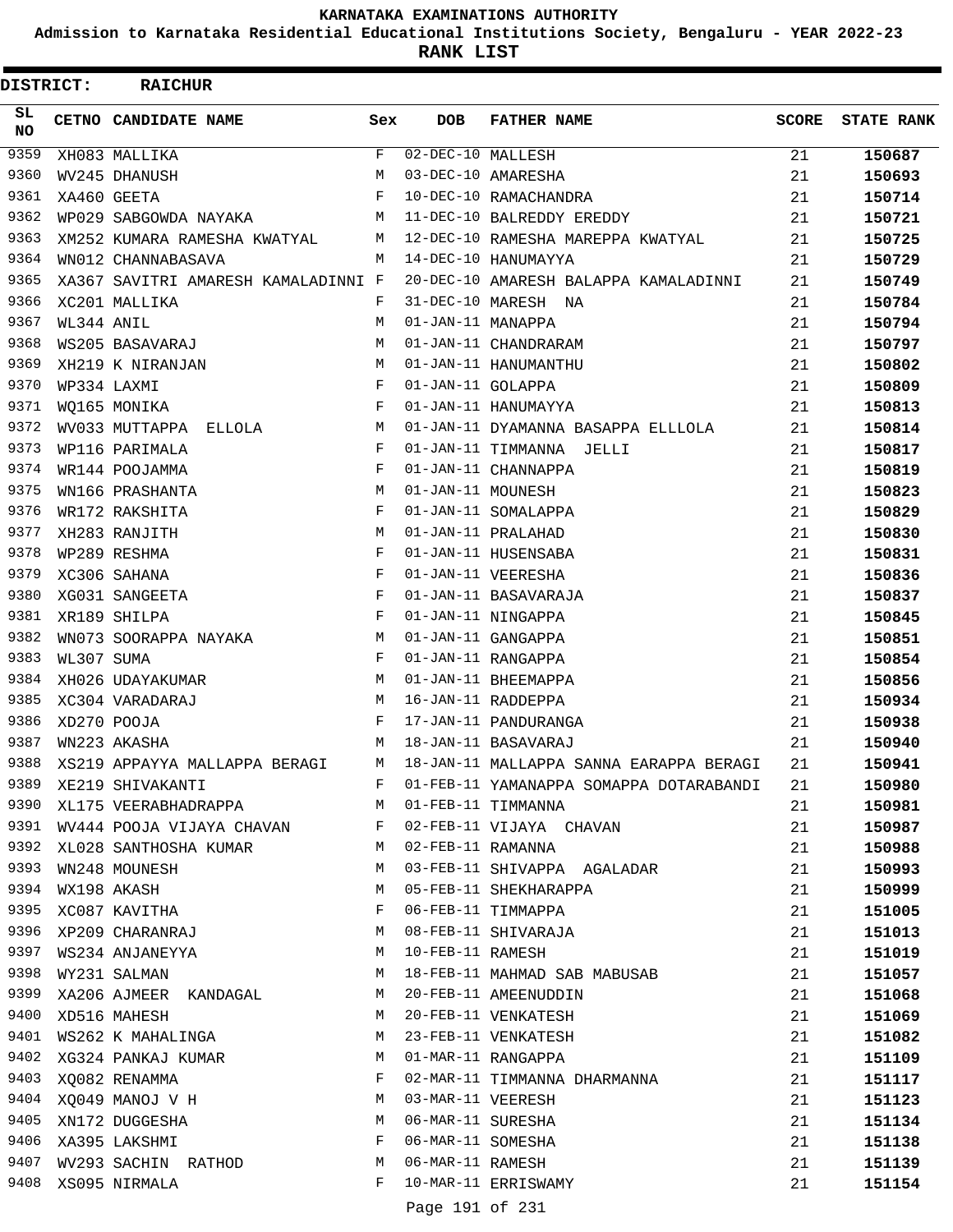**Admission to Karnataka Residential Educational Institutions Society, Bengaluru - YEAR 2022-23**

| DISTRICT:        |            | <b>RAICHUR</b>                                           |            |                   |                                                              |       |                   |
|------------------|------------|----------------------------------------------------------|------------|-------------------|--------------------------------------------------------------|-------|-------------------|
| SL.<br><b>NO</b> |            | CETNO CANDIDATE NAME                                     | Sex        | <b>DOB</b>        | <b>FATHER NAME</b>                                           | SCORE | <b>STATE RANK</b> |
| 9359             |            | XH083 MALLIKA                                            | F          | 02-DEC-10 MALLESH |                                                              | 21    | 150687            |
| 9360             |            | WV245 DHANUSH                                            | М          |                   | 03-DEC-10 AMARESHA                                           | 21    | 150693            |
| 9361             |            | XA460 GEETA                                              | F          |                   | 10-DEC-10 RAMACHANDRA                                        | 21    | 150714            |
| 9362             |            | WP029 SABGOWDA NAYAKA                                    | М          |                   | 11-DEC-10 BALREDDY EREDDY                                    | 21    | 150721            |
| 9363             |            | XM252 KUMARA RAMESHA KWATYAL                             | М          |                   | 12-DEC-10 RAMESHA MAREPPA KWATYAL                            | 21    | 150725            |
| 9364             |            | WN012 CHANNABASAVA                                       | М          |                   | 14-DEC-10 HANUMAYYA                                          | 21    | 150729            |
| 9365             |            | XA367 SAVITRI AMARESH KAMALADINNI F                      |            |                   | 20-DEC-10 AMARESH BALAPPA KAMALADINNI                        | 21    | 150749            |
| 9366             |            | XC201 MALLIKA                                            | F          |                   | 31-DEC-10 MARESH NA                                          | 21    | 150784            |
| 9367             | WL344 ANIL |                                                          | M          | 01-JAN-11 MANAPPA |                                                              | 21    | 150794            |
| 9368             |            | WS205 BASAVARAJ                                          | М          |                   | 01-JAN-11 CHANDRARAM                                         | 21    | 150797            |
| 9369             |            | XH219 K NIRANJAN                                         | М          |                   | 01-JAN-11 HANUMANTHU                                         | 21    | 150802            |
| 9370             |            | WP334 LAXMI                                              | F          | 01-JAN-11 GOLAPPA |                                                              | 21    | 150809            |
| 9371             |            | WQ165 MONIKA                                             | F          |                   | 01-JAN-11 HANUMAYYA                                          | 21    | 150813            |
| 9372             |            | WV033 MUTTAPPA ELLOLA                                    | М          |                   | 01-JAN-11 DYAMANNA BASAPPA ELLLOLA                           | 21    | 150814            |
| 9373             |            | WP116 PARIMALA                                           | F          |                   | 01-JAN-11 TIMMANNA JELLI                                     | 21    | 150817            |
| 9374             |            | WR144 POOJAMMA                                           | F          |                   | 01-JAN-11 CHANNAPPA                                          | 21    | 150819            |
| 9375             |            | WN166 PRASHANTA                                          | M          | 01-JAN-11 MOUNESH |                                                              | 21    | 150823            |
| 9376             |            | WR172 RAKSHITA                                           | F          |                   | 01-JAN-11 SOMALAPPA                                          | 21    | 150829            |
| 9377             |            | XH283 RANJITH                                            | М          |                   | 01-JAN-11 PRALAHAD                                           | 21    | 150830            |
| 9378             |            | WP289 RESHMA                                             | $_{\rm F}$ |                   | 01-JAN-11 HUSENSABA                                          | 21    | 150831            |
| 9379             |            | XC306 SAHANA                                             | F          |                   | 01-JAN-11 VEERESHA                                           | 21    | 150836            |
| 9380             |            | XG031 SANGEETA                                           | F          |                   | 01-JAN-11 BASAVARAJA                                         | 21    | 150837            |
| 9381             |            | XR189 SHILPA                                             | F          |                   | 01-JAN-11 NINGAPPA                                           | 21    | 150845            |
| 9382             |            | WN073 SOORAPPA NAYAKA                                    | М          |                   | 01-JAN-11 GANGAPPA                                           | 21    | 150851            |
| 9383             | WL307 SUMA |                                                          | F          |                   | 01-JAN-11 RANGAPPA                                           | 21    | 150854            |
| 9384             |            | XH026 UDAYAKUMAR                                         | М          |                   | 01-JAN-11 BHEEMAPPA                                          | 21    | 150856            |
| 9385             |            | XC304 VARADARAJ                                          | М          |                   | 16-JAN-11 RADDEPPA                                           | 21    | 150934            |
| 9386             |            | XD270 POOJA                                              | F          |                   | 17-JAN-11 PANDURANGA                                         | 21    | 150938            |
| 9387             |            | WN223 AKASHA                                             | М          |                   | 18-JAN-11 BASAVARAJ                                          | 21    | 150940            |
| 9388             |            | XS219 APPAYYA MALLAPPA BERAGI                            | M          |                   | 18-JAN-11 MALLAPPA SANNA EARAPPA BERAGI                      | 21    | 150941            |
| 9389             |            | XE219 SHIVAKANTI                                         | F          |                   | 01-FEB-11 YAMANAPPA SOMAPPA DOTARABANDI                      | 21    | 150980            |
| 9390             |            | XL175 VEERABHADRAPPA M                                   |            |                   | 01-FEB-11 TIMMANNA                                           | 21    | 150981            |
|                  |            | 9391 WV444 POOJA VIJAYA CHAVAN F 02-FEB-11 VIJAYA CHAVAN |            |                   |                                                              | 21    | 150987            |
| 9392             |            | XL028 SANTHOSHA KUMAR M 02-FEB-11 RAMANNA                |            |                   |                                                              | 21    | 150988            |
| 9393             |            | WN248 MOUNESH                                            | М          |                   | 03-FEB-11 SHIVAPPA AGALADAR                                  | 21    | 150993            |
| 9394             |            | WX198 AKASH                                              | М          |                   | 05-FEB-11 SHEKHARAPPA                                        | 21    | 150999            |
| 9395             |            | XC087 KAVITHA                                            | F          |                   | 06-FEB-11 TIMMAPPA                                           | 21    | 151005            |
| 9396             |            | XP209 CHARANRAJ                                          | М          |                   | 08-FEB-11 SHIVARAJA                                          | 21    | 151013            |
| 9397             |            | WS234 ANJANEYYA                                          | М          | 10-FEB-11 RAMESH  |                                                              | 21    | 151019            |
| 9398             |            | WY231 SALMAN                                             | M          |                   | 18-FEB-11 MAHMAD SAB MABUSAB                                 | 21    | 151057            |
| 9399             |            | XA206 AJMEER KANDAGAL M                                  |            |                   | 20-FEB-11 AMEENUDDIN                                         | 21    | 151068            |
| 9400             |            | XD516 MAHESH                                             | M          |                   | 20-FEB-11 VENKATESH                                          | 21    | 151069            |
| 9401             |            | WS262 K MAHALINGA                                        | M          |                   | 23-FEB-11 VENKATESH                                          | 21    | 151082            |
|                  |            | 9402 XG324 PANKAJ KUMAR M                                |            |                   | 01-MAR-11 RANGAPPA                                           | 21    | 151109            |
|                  |            | 9403 XQ082 RENAMMA                                       | F          |                   | 02-MAR-11 TIMMANNA DHARMANNA                                 | 21    | 151117            |
| 9404             |            | XQ049 MANOJ V H                                          | М          | 03-MAR-11 VEERESH |                                                              | 21    | 151123            |
| 9405             |            | XN172 DUGGESHA                                           | М          | 06-MAR-11 SURESHA |                                                              | 21    | 151134            |
|                  |            | 9406 XA395 LAKSHMI                                       | F          |                   | 06-MAR-11 SOMESHA                                            | 21    | 151138            |
|                  |            | 9407 WV293 SACHIN RATHOD                                 | M          |                   | 06-MAR-11 SOMESHA<br>06-MAR-11 RAMESH<br>10-MAR-11 ERRISWAMY | 21    | 151139            |
| 9408             |            | XS095 NIRMALA                                            | F          |                   |                                                              | 21    | 151154            |
|                  |            |                                                          |            | Page 191 of 231   |                                                              |       |                   |
|                  |            |                                                          |            |                   |                                                              |       |                   |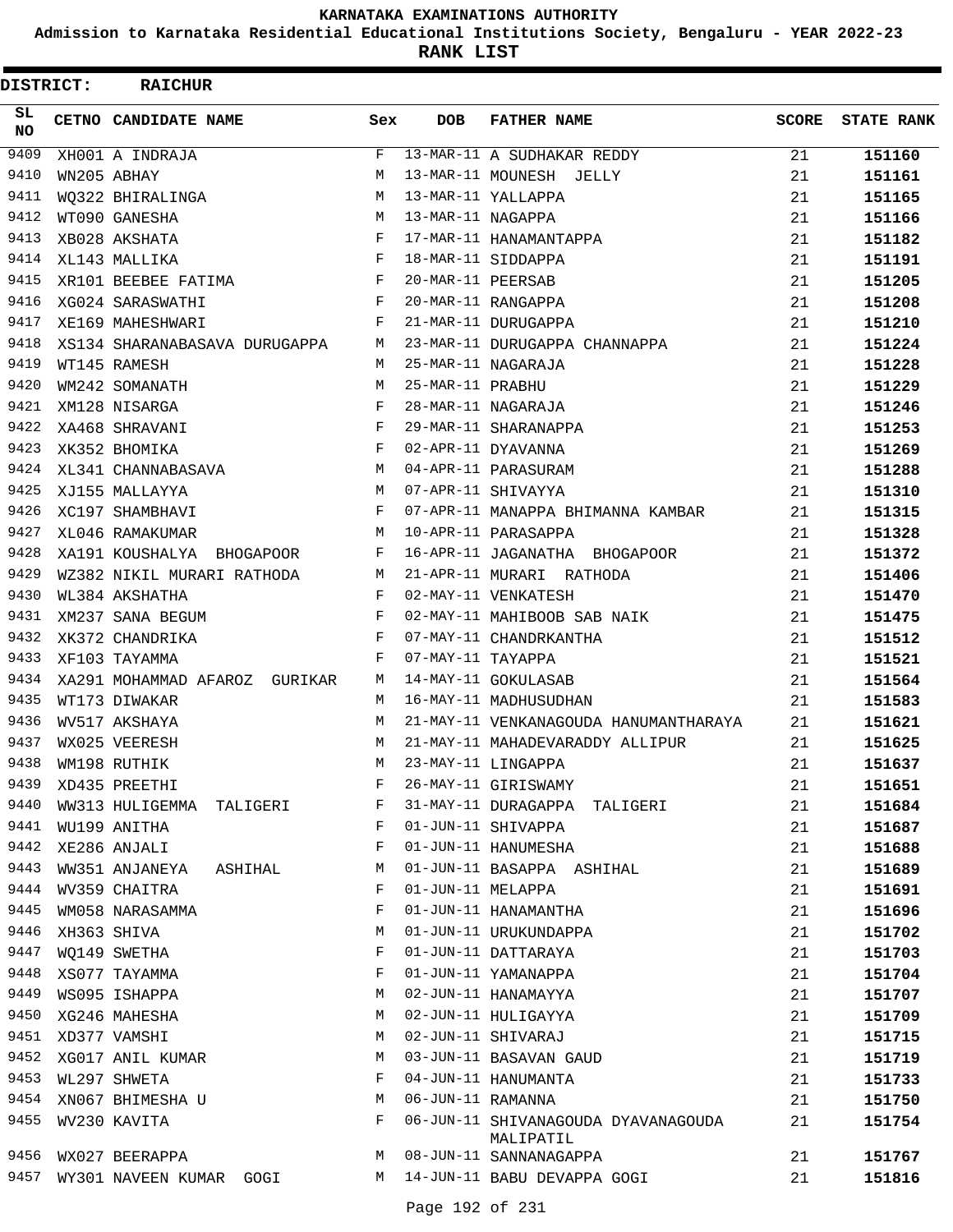**Admission to Karnataka Residential Educational Institutions Society, Bengaluru - YEAR 2022-23**

**RANK LIST**

| DISTRICT: | <b>RAICHUR</b>                |              |                   |                                                  |              |                   |
|-----------|-------------------------------|--------------|-------------------|--------------------------------------------------|--------------|-------------------|
| SL<br>NO. | CETNO CANDIDATE NAME          | Sex          | <b>DOB</b>        | <b>FATHER NAME</b>                               | <b>SCORE</b> | <b>STATE RANK</b> |
| 9409      | XH001 A INDRAJA               | F            |                   | 13-MAR-11 A SUDHAKAR REDDY                       | 21           | 151160            |
| 9410      | WN205 ABHAY                   | M            |                   | 13-MAR-11 MOUNESH JELLY                          | 21           | 151161            |
| 9411      | WO322 BHIRALINGA              | М            |                   | 13-MAR-11 YALLAPPA                               | 21           | 151165            |
| 9412      | WT090 GANESHA                 | M            | 13-MAR-11 NAGAPPA |                                                  | 21           | 151166            |
| 9413      | XB028 AKSHATA                 | F            |                   | 17-MAR-11 HANAMANTAPPA                           | 21           | 151182            |
| 9414      | $\mathbf{F}$<br>XL143 MALLIKA |              |                   | 18-MAR-11 SIDDAPPA                               | 21           | 151191            |
| 9415      | XR101 BEEBEE FATIMA           | $\mathbf F$  | 20-MAR-11 PEERSAB |                                                  | 21           | 151205            |
| 9416      | XG024 SARASWATHI              | $\mathbf{F}$ |                   | 20-MAR-11 RANGAPPA                               | 21           | 151208            |
| 9417      | XE169 MAHESHWARI              | F            |                   | 21-MAR-11 DURUGAPPA                              | 21           | 151210            |
| 9418      | XS134 SHARANABASAVA DURUGAPPA | M            |                   | 23-MAR-11 DURUGAPPA CHANNAPPA                    | 21           | 151224            |
| 9419      | WT145 RAMESH                  | M            |                   | 25-MAR-11 NAGARAJA                               | 21           | 151228            |
| 9420      | WM242 SOMANATH                | М            | 25-MAR-11 PRABHU  |                                                  | 21           | 151229            |
| 9421      | XM128 NISARGA                 | F            |                   | 28-MAR-11 NAGARAJA                               | 21           | 151246            |
| 9422      | XA468 SHRAVANI                | F            |                   | 29-MAR-11 SHARANAPPA                             | 21           | 151253            |
| 9423      | XK352 BHOMIKA                 | F            |                   | 02-APR-11 DYAVANNA                               | 21           | 151269            |
| 9424      | XL341 CHANNABASAVA            | М            |                   | 04-APR-11 PARASURAM                              | 21           | 151288            |
| 9425      | XJ155 MALLAYYA                | М            |                   | 07-APR-11 SHIVAYYA                               | 21           | 151310            |
| 9426      | XC197 SHAMBHAVI               | F            |                   | 07-APR-11 MANAPPA BHIMANNA KAMBAR                | 21           | 151315            |
| 9427      | XL046 RAMAKUMAR               | М            |                   | 10-APR-11 PARASAPPA                              | 21           | 151328            |
| 9428      | XA191 KOUSHALYA BHOGAPOOR     | F            |                   | 16-APR-11 JAGANATHA BHOGAPOOR                    | 21           | 151372            |
| 9429      | WZ382 NIKIL MURARI RATHODA    | M            |                   | 21-APR-11 MURARI RATHODA                         | 21           | 151406            |
| 9430      | WL384 AKSHATHA                | $\mathbf{F}$ |                   | 02-MAY-11 VENKATESH                              | 21           | 151470            |
| 9431      | XM237 SANA BEGUM              | $\mathbf{F}$ |                   | 02-MAY-11 MAHIBOOB SAB NAIK                      | 21           | 151475            |
| 9432      | XK372 CHANDRIKA               | F            |                   | 07-MAY-11 CHANDRKANTHA                           | 21           | 151512            |
| 9433      | XF103 TAYAMMA                 | F            | 07-MAY-11 TAYAPPA |                                                  | 21           | 151521            |
| 9434      | XA291 MOHAMMAD AFAROZ GURIKAR | М            |                   | 14-MAY-11 GOKULASAB                              | 21           | 151564            |
| 9435      | WT173 DIWAKAR                 | M            |                   | 16-MAY-11 MADHUSUDHAN                            | 21           | 151583            |
| 9436      | WV517 AKSHAYA                 | M            |                   | 21-MAY-11 VENKANAGOUDA HANUMANTHARAYA            | 21           | 151621            |
| 9437      | WX025 VEERESH                 | M            |                   | 21-MAY-11 MAHADEVARADDY ALLIPUR                  | 21           | 151625            |
| 9438      | WM198 RUTHIK                  | M            |                   | 23-MAY-11 LINGAPPA                               | 21           | 151637            |
| 9439      | XD435 PREETHI                 | F            |                   | 26-MAY-11 GIRISWAMY                              | 21           | 151651            |
| 9440      | WW313 HULIGEMMA TALIGERI      | F            |                   | 31-MAY-11 DURAGAPPA TALIGERI                     | 21           | 151684            |
| 9441      | WU199 ANITHA                  | F            |                   | 01-JUN-11 SHIVAPPA                               | 21           | 151687            |
| 9442      | XE286 ANJALI                  | F            |                   | 01-JUN-11 HANUMESHA                              | 21           | 151688            |
| 9443      | WW351 ANJANEYA ASHIHAL        | М            |                   | 01-JUN-11 BASAPPA ASHIHAL                        | 21           | 151689            |
| 9444      | WV359 CHAITRA                 | F            | 01-JUN-11 MELAPPA |                                                  | 21           | 151691            |
| 9445      | WM058 NARASAMMA               | F            |                   | 01-JUN-11 HANAMANTHA                             | 21           | 151696            |
| 9446      | XH363 SHIVA                   | М            |                   | 01-JUN-11 URUKUNDAPPA                            | 21           | 151702            |
| 9447      | WO149 SWETHA                  | F            |                   | 01-JUN-11 DATTARAYA                              | 21           | 151703            |
| 9448      | XS077 TAYAMMA                 | F            |                   | 01-JUN-11 YAMANAPPA                              | 21           | 151704            |
| 9449      | WS095 ISHAPPA                 | М            |                   | 02-JUN-11 HANAMAYYA                              | 21           | 151707            |
|           | 9450 XG246 MAHESHA            | М            |                   | 02-JUN-11 HULIGAYYA                              | 21           | 151709            |
|           | 9451 XD377 VAMSHI             | М            |                   | 02-JUN-11 SHIVARAJ                               | 21           | 151715            |
| 9452      | XG017 ANIL KUMAR              | М            |                   | 03-JUN-11 BASAVAN GAUD                           | 21           | 151719            |
| 9453      | WL297 SHWETA                  | F            |                   | 04-JUN-11 HANUMANTA                              | 21           | 151733            |
| 9454      | XN067 BHIMESHA U              | М            | 06-JUN-11 RAMANNA |                                                  | 21           | 151750            |
| 9455      | WV230 KAVITA                  | F            |                   | 06-JUN-11 SHIVANAGOUDA DYAVANAGOUDA<br>MALIPATIL | 21           | 151754            |
| 9456      | WX027 BEERAPPA                | М            |                   | 08-JUN-11 SANNANAGAPPA                           | 21           | 151767            |
| 9457      | WY301 NAVEEN KUMAR GOGI       |              |                   | M 14-JUN-11 BABU DEVAPPA GOGI                    | 21           | 151816            |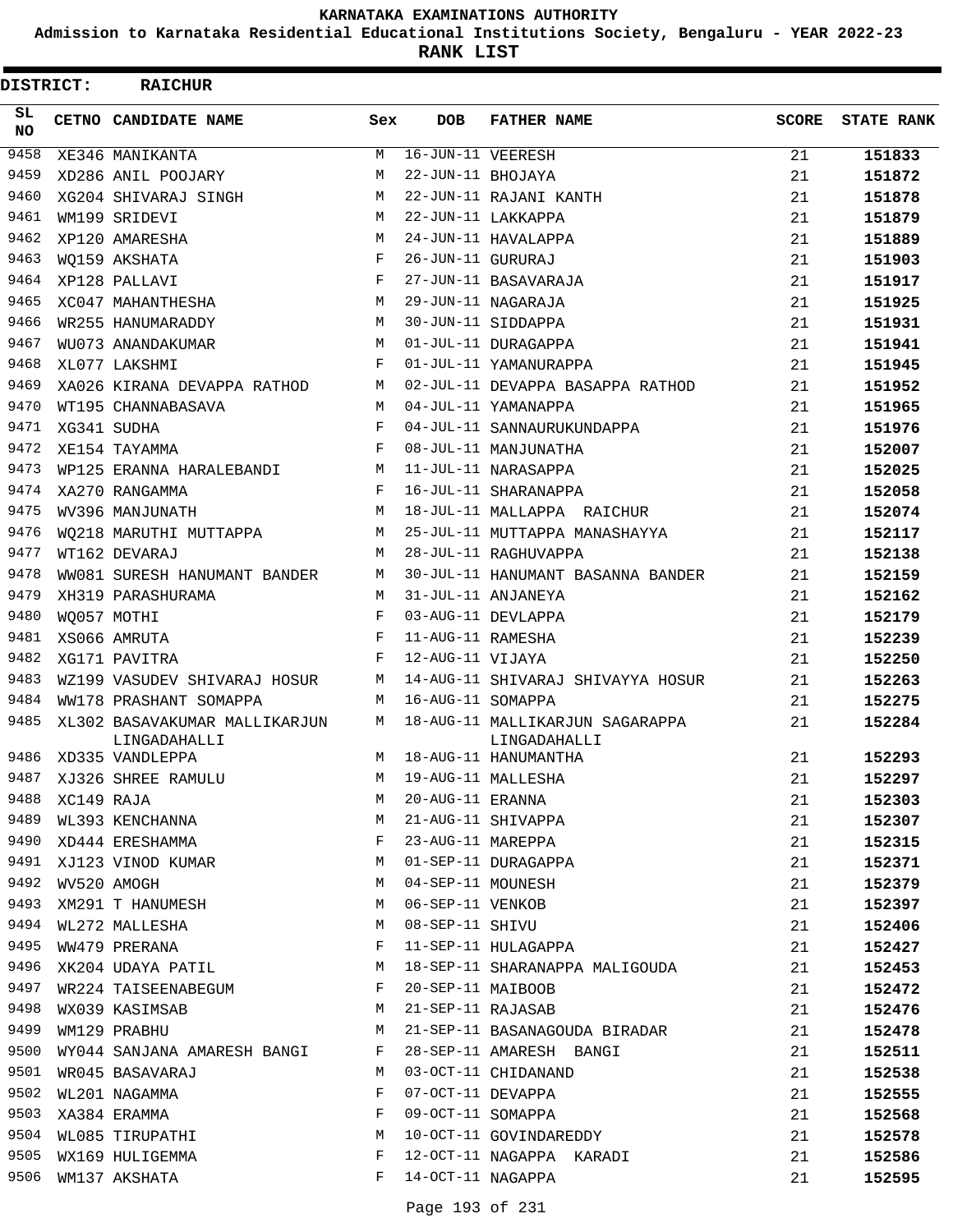**Admission to Karnataka Residential Educational Institutions Society, Bengaluru - YEAR 2022-23**

**RANK LIST**

| DISTRICT: |            | <b>RAICHUR</b>                |            |                   |                                                                  |              |                   |
|-----------|------------|-------------------------------|------------|-------------------|------------------------------------------------------------------|--------------|-------------------|
| SL<br>NO. |            | CETNO CANDIDATE NAME          | Sex        | <b>DOB</b>        | <b>FATHER NAME</b>                                               | <b>SCORE</b> | <b>STATE RANK</b> |
| 9458      |            | XE346 MANIKANTA               | М          | 16-JUN-11 VEERESH |                                                                  | 21           | 151833            |
| 9459      |            | XD286 ANIL POOJARY            | M          | 22-JUN-11 BHOJAYA |                                                                  | 21           | 151872            |
| 9460      |            | XG204 SHIVARAJ SINGH          | M          |                   | 22-JUN-11 RAJANI KANTH                                           | 21           | 151878            |
| 9461      |            | WM199 SRIDEVI                 | M          |                   | 22-JUN-11 LAKKAPPA                                               | 21           | 151879            |
| 9462      |            | XP120 AMARESHA                | M          |                   | 24-JUN-11 HAVALAPPA                                              | 21           | 151889            |
| 9463      |            | WO159 AKSHATA                 | F          | 26-JUN-11 GURURAJ |                                                                  | 21           | 151903            |
| 9464      |            | XP128 PALLAVI                 | $_{\rm F}$ |                   | 27-JUN-11 BASAVARAJA                                             | 21           | 151917            |
| 9465      |            | XC047 MAHANTHESHA             | M          |                   | 29-JUN-11 NAGARAJA                                               | 21           | 151925            |
| 9466      |            | WR255 HANUMARADDY             | М          |                   | 30-JUN-11 SIDDAPPA                                               | 21           | 151931            |
| 9467      |            | WU073 ANANDAKUMAR             | M          |                   | 01-JUL-11 DURAGAPPA                                              | 21           | 151941            |
| 9468      |            | XL077 LAKSHMI                 | $_{\rm F}$ |                   | 01-JUL-11 YAMANURAPPA                                            | 21           | 151945            |
| 9469      |            | XA026 KIRANA DEVAPPA RATHOD   | М          |                   | 02-JUL-11 DEVAPPA BASAPPA RATHOD                                 | 21           | 151952            |
| 9470      |            | WT195 CHANNABASAVA            | M          |                   | 04-JUL-11 YAMANAPPA                                              | 21           | 151965            |
| 9471      |            | XG341 SUDHA                   | F          |                   | 04-JUL-11 SANNAURUKUNDAPPA                                       | 21           | 151976            |
| 9472      |            | XE154 TAYAMMA                 | F          |                   | 08-JUL-11 MANJUNATHA                                             | 21           | 152007            |
| 9473      |            | WP125 ERANNA HARALEBANDI      | М          |                   | 11-JUL-11 NARASAPPA                                              | 21           | 152025            |
| 9474      |            | XA270 RANGAMMA                | $_{\rm F}$ |                   | 16-JUL-11 SHARANAPPA                                             | 21           | 152058            |
| 9475      |            | WV396 MANJUNATH               | M          |                   | 18-JUL-11 MALLAPPA RAICHUR                                       | 21           | 152074            |
| 9476      |            | WO218 MARUTHI MUTTAPPA        | M          |                   | 25-JUL-11 MUTTAPPA MANASHAYYA                                    | 21           | 152117            |
| 9477      |            | WT162 DEVARAJ                 | M          |                   | 28-JUL-11 RAGHUVAPPA                                             | 21           | 152138            |
| 9478      |            | WW081 SURESH HANUMANT BANDER  | М          |                   | 30-JUL-11 HANUMANT BASANNA BANDER                                | 21           | 152159            |
| 9479      |            | XH319 PARASHURAMA             | M          |                   | 31-JUL-11 ANJANEYA                                               | 21           | 152162            |
| 9480      |            | WO057 MOTHI                   | F          |                   | 03-AUG-11 DEVLAPPA                                               | 21           | 152179            |
| 9481      |            | XS066 AMRUTA                  | F          | 11-AUG-11 RAMESHA |                                                                  | 21           | 152239            |
| 9482      |            | XG171 PAVITRA                 | F          | 12-AUG-11 VIJAYA  |                                                                  | 21           | 152250            |
| 9483      |            | WZ199 VASUDEV SHIVARAJ HOSUR  | М          |                   | 14-AUG-11 SHIVARAJ SHIVAYYA HOSUR                                | 21           | 152263            |
| 9484      |            | WW178 PRASHANT SOMAPPA        | M          | 16-AUG-11 SOMAPPA |                                                                  | 21           | 152275            |
| 9485      |            | XL302 BASAVAKUMAR MALLIKARJUN | М          |                   | 18-AUG-11 MALLIKARJUN SAGARAPPA                                  | 21           | 152284            |
|           |            | LINGADAHALLI                  |            |                   | LINGADAHALLI                                                     |              |                   |
| 9486      |            | XD335 VANDLEPPA               | M          |                   | 18-AUG-11 HANUMANTHA                                             | 21           | 152293            |
| 9487      |            | XJ326 SHREE RAMULU            | М          |                   | 19-AUG-11 MALLESHA                                               | 21           | 152297            |
| 9488      | XC149 RAJA |                               | М          | 20-AUG-11 ERANNA  |                                                                  | 21           | 152303            |
| 9489      |            | WL393 KENCHANNA               | М          |                   | 21-AUG-11 SHIVAPPA                                               | 21           | 152307            |
| 9490      |            | XD444 ERESHAMMA               | F          | 23-AUG-11 MAREPPA |                                                                  | 21           | 152315            |
| 9491      |            | XJ123 VINOD KUMAR             | M          |                   | 01-SEP-11 DURAGAPPA                                              | 21           | 152371            |
| 9492      |            | WV520 AMOGH                   | M          | 04-SEP-11 MOUNESH |                                                                  | 21           | 152379            |
| 9493      |            | XM291 T HANUMESH              | M          |                   | 06-SEP-11 VENKOB<br>08-SEP-11 SHIVU<br>11-SEP-11 HULAGAPPA       | 21           | 152397            |
| 9494      |            | WL272 MALLESHA                | М          |                   |                                                                  | 21           | 152406            |
| 9495      |            | WW479 PRERANA                 | F          |                   |                                                                  | 21           | 152427            |
| 9496      |            | XK204 UDAYA PATIL             | M          |                   | 18-SEP-11 SHARANAPPA MALIGOUDA                                   | 21           | 152453            |
| 9497      |            | WR224 TAISEENABEGUM           | F          | 20-SEP-11 MAIBOOB |                                                                  | 21           | 152472            |
| 9498      |            | WX039 KASIMSAB                | M          | 21-SEP-11 RAJASAB |                                                                  | 21           | 152476            |
| 9499      |            | WM129 PRABHU                  | М          |                   | 21-SEP-11 BASANAGOUDA BIRADAR                                    | 21           | 152478            |
| 9500      |            | WY044 SANJANA AMARESH BANGI   | F          |                   | 28-SEP-11 AMARESH BANGI                                          | 21           | 152511            |
| 9501      |            | WR045 BASAVARAJ               | M          |                   | 03-OCT-11 CHIDANAND                                              | 21           | 152538            |
| 9502      |            | WL201 NAGAMMA                 | F          |                   |                                                                  | 21           | 152555            |
| 9503      |            | XA384 ERAMMA                  | F          |                   |                                                                  | 21           | 152568            |
| 9504      |            | WL085 TIRUPATHI               | М          |                   | 07-OCT-11 DEVAPPA<br>09-OCT-11 SOMAPPA<br>10-OCT-11 GOVINDAREDDY | 21           | 152578            |
| 9505      |            | WX169 HULIGEMMA               | F          |                   | 12-OCT-11 NAGAPPA KARADI                                         | 21           | 152586            |
| 9506      |            | WM137 AKSHATA                 | F          | 14-OCT-11 NAGAPPA |                                                                  | 21           | 152595            |
|           |            |                               |            |                   |                                                                  |              |                   |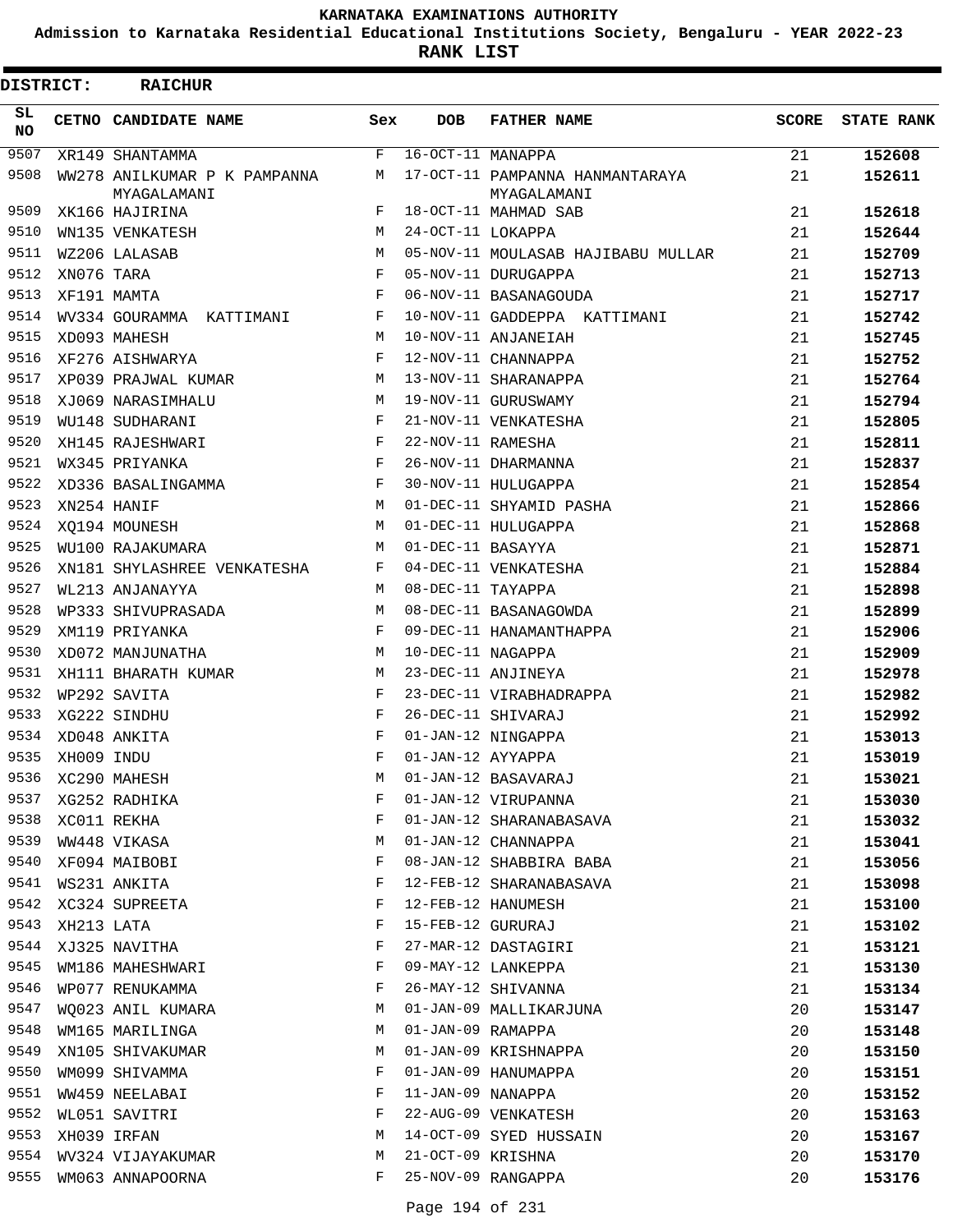**Admission to Karnataka Residential Educational Institutions Society, Bengaluru - YEAR 2022-23**

| DISTRICT: |            | <b>RAICHUR</b>                              |            |                   |                                                |              |                   |
|-----------|------------|---------------------------------------------|------------|-------------------|------------------------------------------------|--------------|-------------------|
| SL<br>NO. |            | CETNO CANDIDATE NAME                        | Sex        | <b>DOB</b>        | <b>FATHER NAME</b>                             | <b>SCORE</b> | <b>STATE RANK</b> |
| 9507      |            | XR149 SHANTAMMA                             | F          | 16-OCT-11 MANAPPA |                                                | 21           | 152608            |
| 9508      |            | WW278 ANILKUMAR P K PAMPANNA<br>MYAGALAMANI | М          |                   | 17-OCT-11 PAMPANNA HANMANTARAYA<br>MYAGALAMANI | 21           | 152611            |
| 9509      |            | XK166 HAJIRINA                              | F          |                   | 18-OCT-11 MAHMAD SAB                           | 21           | 152618            |
| 9510      |            | WN135 VENKATESH                             | M          | 24-OCT-11 LOKAPPA |                                                | 21           | 152644            |
| 9511      |            | WZ206 LALASAB                               | M          |                   | 05-NOV-11 MOULASAB HAJIBABU MULLAR             | 21           | 152709            |
| 9512      | XN076 TARA |                                             | F          |                   | 05-NOV-11 DURUGAPPA                            | 21           | 152713            |
| 9513      |            | XF191 MAMTA                                 | F          |                   | 06-NOV-11 BASANAGOUDA                          | 21           | 152717            |
| 9514      |            | WV334 GOURAMMA KATTIMANI                    | F          |                   | 10-NOV-11 GADDEPPA KATTIMANI                   | 21           | 152742            |
| 9515      |            | XD093 MAHESH                                | M          |                   | 10-NOV-11 ANJANEIAH                            | 21           | 152745            |
| 9516      |            | XF276 AISHWARYA                             | F          |                   | 12-NOV-11 CHANNAPPA                            | 21           | 152752            |
| 9517      |            | XP039 PRAJWAL KUMAR                         | M          |                   | 13-NOV-11 SHARANAPPA                           | 21           | 152764            |
| 9518      |            | XJ069 NARASIMHALU                           | M          |                   | 19-NOV-11 GURUSWAMY                            | 21           | 152794            |
| 9519      |            | WU148 SUDHARANI                             | F          |                   | 21-NOV-11 VENKATESHA                           | 21           | 152805            |
| 9520      |            | XH145 RAJESHWARI                            | F          | 22-NOV-11 RAMESHA |                                                | 21           | 152811            |
| 9521      |            | WX345 PRIYANKA                              | F          |                   | 26-NOV-11 DHARMANNA                            | 21           | 152837            |
| 9522      |            | XD336 BASALINGAMMA                          | F          |                   | 30-NOV-11 HULUGAPPA                            | 21           | 152854            |
| 9523      |            | XN254 HANIF                                 | M          |                   | 01-DEC-11 SHYAMID PASHA                        | 21           | 152866            |
| 9524      |            | XO194 MOUNESH                               | M          |                   | 01-DEC-11 HULUGAPPA                            | 21           | 152868            |
| 9525      |            | WU100 RAJAKUMARA                            | М          | 01-DEC-11 BASAYYA |                                                | 21           | 152871            |
| 9526      |            | XN181 SHYLASHREE VENKATESHA                 | F          |                   | 04-DEC-11 VENKATESHA                           | 21           | 152884            |
| 9527      |            | WL213 ANJANAYYA                             | M          | 08-DEC-11 TAYAPPA |                                                | 21           | 152898            |
| 9528      |            | WP333 SHIVUPRASADA                          | М          |                   | 08-DEC-11 BASANAGOWDA                          | 21           | 152899            |
| 9529      |            | XM119 PRIYANKA                              | F          |                   | 09-DEC-11 HANAMANTHAPPA                        | 21           | 152906            |
| 9530      |            | XD072 MANJUNATHA                            | M          | 10-DEC-11 NAGAPPA |                                                | 21           | 152909            |
| 9531      |            | XH111 BHARATH KUMAR                         | М          |                   | 23-DEC-11 ANJINEYA                             | 21           | 152978            |
| 9532      |            | WP292 SAVITA                                | F          |                   | 23-DEC-11 VIRABHADRAPPA                        | 21           | 152982            |
| 9533      |            | XG222 SINDHU                                | F          |                   | 26-DEC-11 SHIVARAJ                             | 21           | 152992            |
| 9534      |            | XD048 ANKITA                                | F          |                   | 01-JAN-12 NINGAPPA                             | 21           | 153013            |
| 9535      | XH009 INDU |                                             | $_{\rm F}$ | 01-JAN-12 AYYAPPA |                                                | 21           | 153019            |
| 9536      |            | XC290 MAHESH                                | М          |                   | 01-JAN-12 BASAVARAJ                            | 21           | 153021            |
| 9537      |            | XG252 RADHIKA                               | F          |                   | 01-JAN-12 VIRUPANNA                            | 21           | 153030            |
| 9538      |            | XC011 REKHA                                 | F          |                   | 01-JAN-12 SHARANABASAVA                        | 21           | 153032            |
| 9539      |            | WW448 VIKASA                                | М          |                   | 01-JAN-12 CHANNAPPA                            | 21           | 153041            |
| 9540      |            | XF094 MAIBOBI                               | F          |                   | 08-JAN-12 SHABBIRA BABA                        | 21           | 153056            |
| 9541      |            | WS231 ANKITA                                | F          |                   | 12-FEB-12 SHARANABASAVA                        | 21           | 153098            |
| 9542      |            | XC324 SUPREETA                              | F          |                   | 12-FEB-12 HANUMESH                             | 21           | 153100            |
| 9543      | XH213 LATA |                                             | F          | 15-FEB-12 GURURAJ |                                                | 21           | 153102            |
| 9544      |            | XJ325 NAVITHA                               | F          |                   | 27-MAR-12 DASTAGIRI                            | 21           | 153121            |
| 9545      |            | WM186 MAHESHWARI                            | F          |                   | 09-MAY-12 LANKEPPA                             | 21           | 153130            |
| 9546      |            | WP077 RENUKAMMA                             | F          |                   | 26-MAY-12 SHIVANNA                             | 21           | 153134            |
| 9547      |            | WQ023 ANIL KUMARA                           | M          |                   | 01-JAN-09 MALLIKARJUNA                         | 20           | 153147            |
| 9548      |            | WM165 MARILINGA                             | М          | 01-JAN-09 RAMAPPA |                                                | 20           | 153148            |
| 9549      |            | XN105 SHIVAKUMAR                            | М          |                   | 01-JAN-09 KRISHNAPPA                           | 20           | 153150            |
| 9550      |            | WM099 SHIVAMMA                              | F          |                   | 01-JAN-09 HANUMAPPA                            | 20           | 153151            |
| 9551      |            | WW459 NEELABAI                              | F          | 11-JAN-09 NANAPPA |                                                | 20           | 153152            |
| 9552      |            | WL051 SAVITRI                               | F          |                   | 22-AUG-09 VENKATESH                            | 20           | 153163            |
| 9553      |            | XH039 IRFAN                                 | М          |                   | 14-OCT-09 SYED HUSSAIN                         | 20           | 153167            |
| 9554      |            | WV324 VIJAYAKUMAR                           | М          | 21-OCT-09 KRISHNA |                                                | 20           | 153170            |
| 9555      |            | WM063 ANNAPOORNA                            | F          |                   | 25-NOV-09 RANGAPPA                             | 20           | 153176            |
|           |            |                                             |            |                   |                                                |              |                   |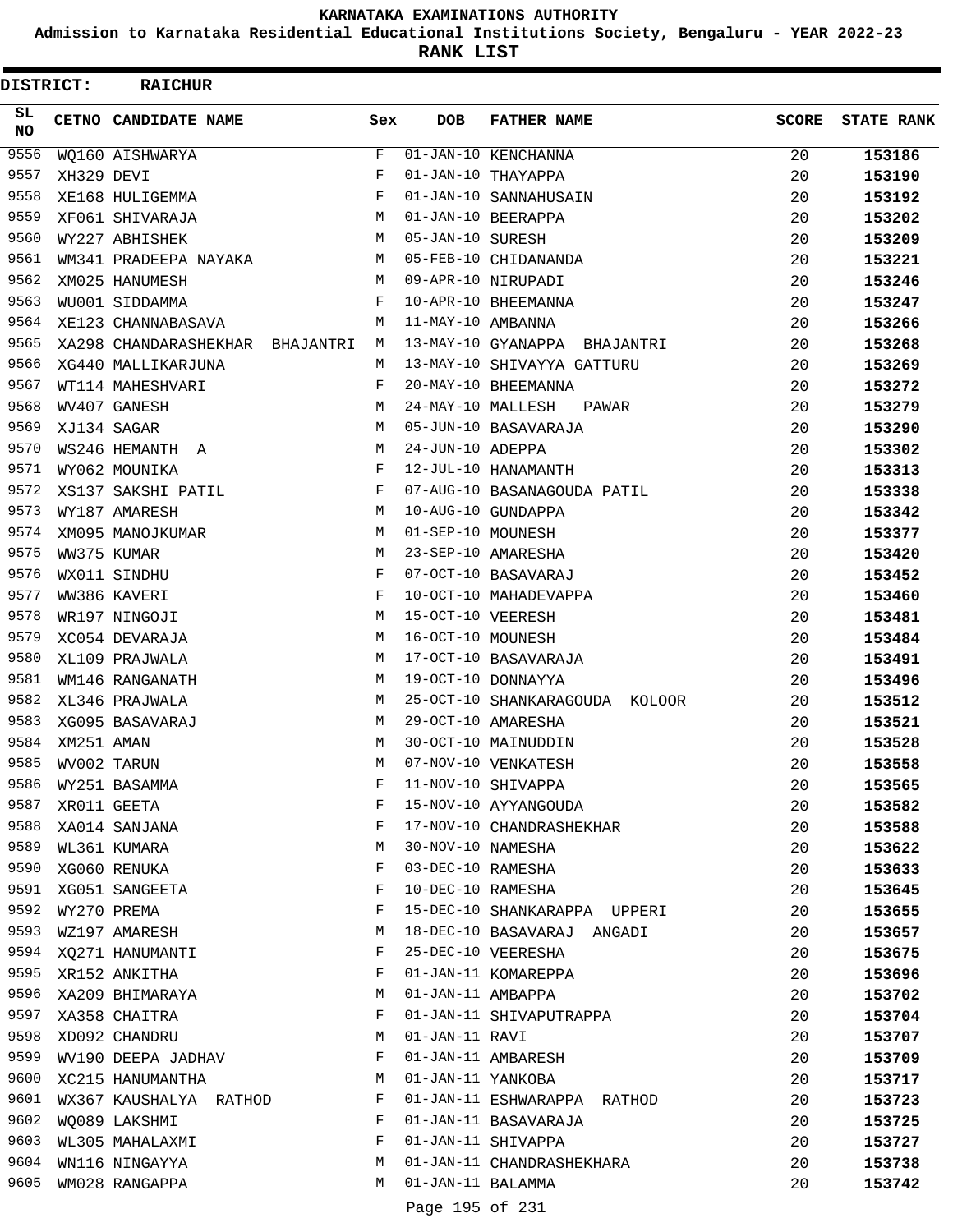**Admission to Karnataka Residential Educational Institutions Society, Bengaluru - YEAR 2022-23**

**RANK LIST**

| <b>DISTRICT:</b> |            | <b>RAICHUR</b>                  |     |                   |                                |              |                   |
|------------------|------------|---------------------------------|-----|-------------------|--------------------------------|--------------|-------------------|
| SL.<br><b>NO</b> |            | CETNO CANDIDATE NAME            | Sex | <b>DOB</b>        | <b>FATHER NAME</b>             | <b>SCORE</b> | <b>STATE RANK</b> |
| 9556             |            | WQ160 AISHWARYA                 | F   |                   | 01-JAN-10 KENCHANNA            | 20           | 153186            |
| 9557             | XH329 DEVI |                                 | F   |                   | 01-JAN-10 THAYAPPA             | 20           | 153190            |
| 9558             |            | XE168 HULIGEMMA                 | F   |                   | 01-JAN-10 SANNAHUSAIN          | 20           | 153192            |
| 9559             |            | XF061 SHIVARAJA                 | М   |                   | 01-JAN-10 BEERAPPA             | 20           | 153202            |
| 9560             |            | WY227 ABHISHEK                  | М   | 05-JAN-10 SURESH  |                                | 20           | 153209            |
| 9561             |            | WM341 PRADEEPA NAYAKA           | М   |                   | 05-FEB-10 CHIDANANDA           | 20           | 153221            |
| 9562             |            | XM025 HANUMESH                  | M   |                   | 09-APR-10 NIRUPADI             | 20           | 153246            |
| 9563             |            | WU001 SIDDAMMA                  | F   |                   | 10-APR-10 BHEEMANNA            | 20           | 153247            |
| 9564             |            | XE123 CHANNABASAVA              | M   | 11-MAY-10 AMBANNA |                                | 20           | 153266            |
| 9565             |            | XA298 CHANDARASHEKHAR BHAJANTRI | M   |                   | 13-MAY-10 GYANAPPA BHAJANTRI   | 20           | 153268            |
| 9566             |            | XG440 MALLIKARJUNA              | М   |                   | 13-MAY-10 SHIVAYYA GATTURU     | 20           | 153269            |
| 9567             |            | WT114 MAHESHVARI                | F   |                   | 20-MAY-10 BHEEMANNA            | 20           | 153272            |
| 9568             |            | WV407 GANESH                    | M   | 24-MAY-10 MALLESH | PAWAR                          | 20           | 153279            |
| 9569             |            | XJ134 SAGAR                     | М   |                   | 05-JUN-10 BASAVARAJA           | 20           | 153290            |
| 9570             |            | WS246 HEMANTH A                 | M   | 24-JUN-10 ADEPPA  |                                | 20           | 153302            |
| 9571             |            | WY062 MOUNIKA                   | F   |                   | 12-JUL-10 HANAMANTH            | 20           | 153313            |
| 9572             |            | XS137 SAKSHI PATIL              | F   |                   | 07-AUG-10 BASANAGOUDA PATIL    | 20           | 153338            |
| 9573             |            | WY187 AMARESH                   | М   |                   | 10-AUG-10 GUNDAPPA             | 20           | 153342            |
| 9574             |            | XM095 MANOJKUMAR                | М   | 01-SEP-10 MOUNESH |                                | 20           | 153377            |
| 9575             |            | WW375 KUMAR                     | М   |                   | 23-SEP-10 AMARESHA             | 20           | 153420            |
| 9576             |            | WX011 SINDHU                    | F   |                   | 07-OCT-10 BASAVARAJ            | 20           | 153452            |
| 9577             |            | WW386 KAVERI                    | F   |                   | 10-OCT-10 MAHADEVAPPA          | 20           | 153460            |
| 9578             |            | WR197 NINGOJI                   | M   | 15-OCT-10 VEERESH |                                | 20           | 153481            |
| 9579             |            | XC054 DEVARAJA                  | M   | 16-OCT-10 MOUNESH |                                | 20           | 153484            |
| 9580             |            | XL109 PRAJWALA                  | М   |                   | 17-OCT-10 BASAVARAJA           | 20           | 153491            |
| 9581             |            | WM146 RANGANATH                 | М   |                   | 19-OCT-10 DONNAYYA             | 20           | 153496            |
| 9582             |            | XL346 PRAJWALA                  | M   |                   | 25-OCT-10 SHANKARAGOUDA KOLOOR | 20           | 153512            |
| 9583             |            | XG095 BASAVARAJ                 | М   |                   | 29-OCT-10 AMARESHA             | 20           | 153521            |
| 9584             | XM251 AMAN |                                 | M   |                   | 30-OCT-10 MAINUDDIN            | 20           | 153528            |
| 9585             |            | WV002 TARUN                     | М   |                   | 07-NOV-10 VENKATESH            | 20           | 153558            |
| 9586             |            | WY251 BASAMMA                   | F   |                   | 11-NOV-10 SHIVAPPA             | 20           | 153565            |
| 9587             |            | XR011 GEETA                     | F   |                   | 15-NOV-10 AYYANGOUDA           | 20           | 153582            |
| 9588             |            | XA014 SANJANA                   | F   |                   | 17-NOV-10 CHANDRASHEKHAR       | 20           | 153588            |
| 9589             |            | WL361 KUMARA                    | М   | 30-NOV-10 NAMESHA |                                | 20           | 153622            |
| 9590             |            | XG060 RENUKA                    | F   | 03-DEC-10 RAMESHA |                                | 20           | 153633            |
| 9591             |            | XG051 SANGEETA                  | F   | 10-DEC-10 RAMESHA |                                | 20           | 153645            |
| 9592             |            | WY270 PREMA                     | F   |                   | 15-DEC-10 SHANKARAPPA UPPERI   | 20           | 153655            |
| 9593             |            | WZ197 AMARESH                   | М   |                   | 18-DEC-10 BASAVARAJ ANGADI     | 20           | 153657            |
| 9594             |            | XQ271 HANUMANTI                 | F   |                   | 25-DEC-10 VEERESHA             | 20           | 153675            |
| 9595             |            | XR152 ANKITHA                   | F   |                   | 01-JAN-11 KOMAREPPA            | 20           | 153696            |
| 9596             |            | XA209 BHIMARAYA                 | М   | 01-JAN-11 AMBAPPA |                                | 20           | 153702            |
| 9597             |            | XA358 CHAITRA                   | F   |                   | 01-JAN-11 SHIVAPUTRAPPA        | 20           | 153704            |
| 9598             |            | XD092 CHANDRU                   | М   | 01-JAN-11 RAVI    |                                | 20           | 153707            |
| 9599             |            | WV190 DEEPA JADHAV              | F   |                   | 01-JAN-11 AMBARESH             | 20           | 153709            |
| 9600             |            | XC215 HANUMANTHA                | М   |                   | 01-JAN-11 YANKOBA              | 20           | 153717            |
| 9601             |            | WX367 KAUSHALYA RATHOD          | F   |                   | 01-JAN-11 ESHWARAPPA RATHOD    | 20           | 153723            |
| 9602             |            | WQ089 LAKSHMI                   | F   |                   | 01-JAN-11 BASAVARAJA           | 20           | 153725            |
| 9603             |            | WL305 MAHALAXMI                 | F   |                   | 01-JAN-11 SHIVAPPA             | 20           | 153727            |
| 9604             |            | WN116 NINGAYYA                  | М   |                   | 01-JAN-11 CHANDRASHEKHARA      | 20           | 153738            |
| 9605             |            | WM028 RANGAPPA                  | М   | 01-JAN-11 BALAMMA |                                | 20           | 153742            |
|                  |            |                                 |     | Page 195 of 231   |                                |              |                   |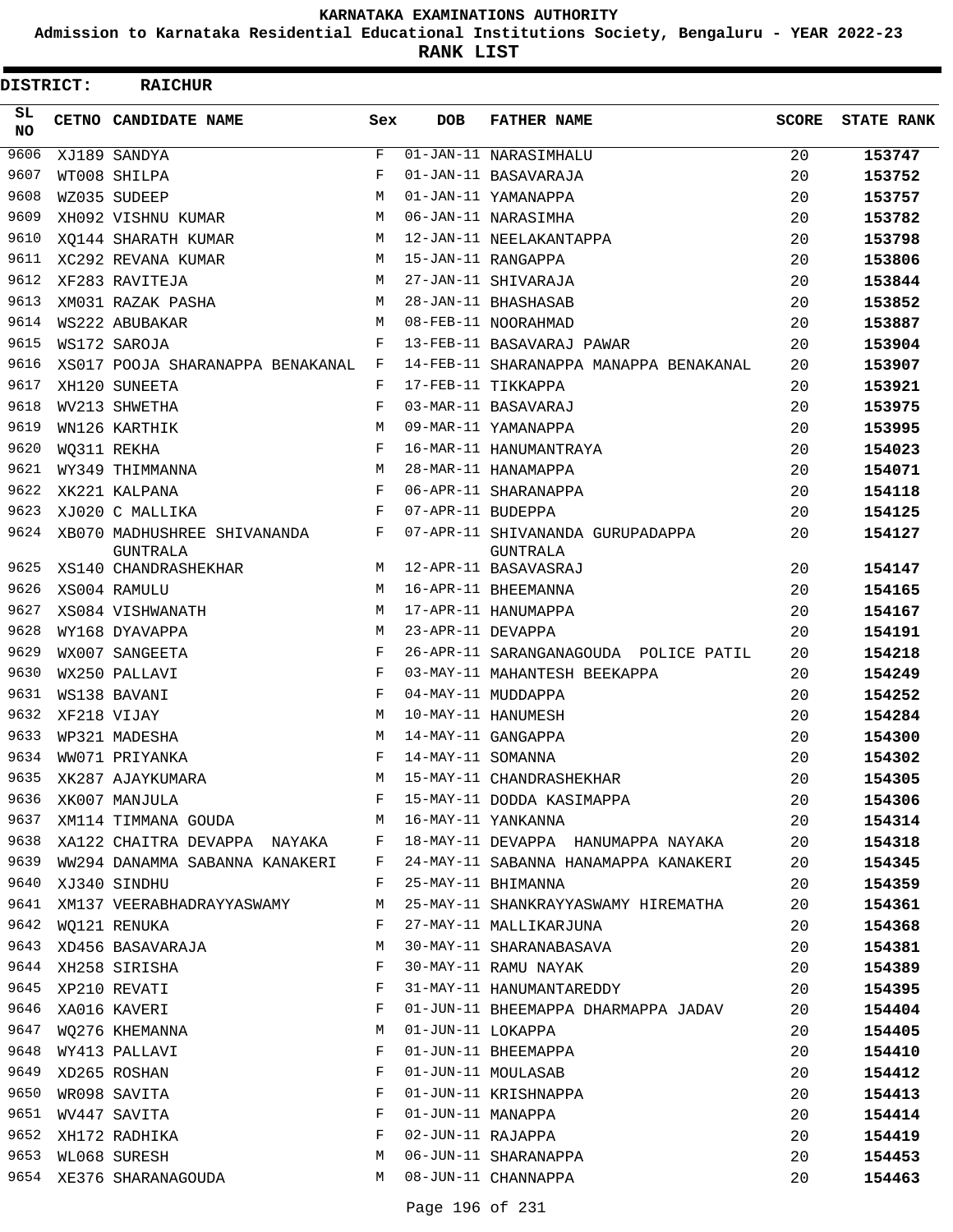**Admission to Karnataka Residential Educational Institutions Society, Bengaluru - YEAR 2022-23**

**RANK LIST**

| DISTRICT:  | <b>RAICHUR</b>                          |     |                   |                                                     |              |                   |
|------------|-----------------------------------------|-----|-------------------|-----------------------------------------------------|--------------|-------------------|
| SL.<br>NO. | CETNO CANDIDATE NAME                    | Sex | <b>DOB</b>        | <b>FATHER NAME</b>                                  | <b>SCORE</b> | <b>STATE RANK</b> |
| 9606       | XJ189 SANDYA                            | F   |                   | 01-JAN-11 NARASIMHALU                               | 20           | 153747            |
| 9607       | WT008 SHILPA                            | F   |                   | 01-JAN-11 BASAVARAJA                                | 20           | 153752            |
| 9608       | WZ035 SUDEEP                            | M   |                   | 01-JAN-11 YAMANAPPA                                 | 20           | 153757            |
| 9609       | XH092 VISHNU KUMAR                      | M   |                   | 06-JAN-11 NARASIMHA                                 | 20           | 153782            |
| 9610       | XO144 SHARATH KUMAR                     | М   |                   | 12-JAN-11 NEELAKANTAPPA                             | 20           | 153798            |
| 9611       | XC292 REVANA KUMAR                      | М   |                   | 15-JAN-11 RANGAPPA                                  | 20           | 153806            |
| 9612       | XF283 RAVITEJA                          | M   |                   | 27-JAN-11 SHIVARAJA                                 | 20           | 153844            |
| 9613       | XM031 RAZAK PASHA                       | М   |                   | 28-JAN-11 BHASHASAB                                 | 20           | 153852            |
| 9614       | WS222 ABUBAKAR                          | М   |                   | 08-FEB-11 NOORAHMAD                                 | 20           | 153887            |
| 9615       | WS172 SAROJA                            | F   |                   | 13-FEB-11 BASAVARAJ PAWAR                           | 20           | 153904            |
| 9616       | XS017 POOJA SHARANAPPA BENAKANAL        | F   |                   | 14-FEB-11 SHARANAPPA MANAPPA BENAKANAL              | 20           | 153907            |
| 9617       | XH120 SUNEETA                           | F   |                   | 17-FEB-11 TIKKAPPA                                  | 20           | 153921            |
| 9618       | WV213 SHWETHA                           | F   |                   | 03-MAR-11 BASAVARAJ                                 | 20           | 153975            |
| 9619       | WN126 KARTHIK                           | М   |                   | 09-MAR-11 YAMANAPPA                                 | 20           | 153995            |
| 9620       | WQ311 REKHA                             | F   |                   | 16-MAR-11 HANUMANTRAYA                              | 20           | 154023            |
| 9621       | WY349 THIMMANNA                         | М   |                   | 28-MAR-11 HANAMAPPA                                 | 20           | 154071            |
| 9622       | XK221 KALPANA                           | F   |                   | 06-APR-11 SHARANAPPA                                | 20           | 154118            |
| 9623       | XJ020 C MALLIKA                         | F   | 07-APR-11 BUDEPPA |                                                     | 20           | 154125            |
| 9624       | XB070 MADHUSHREE SHIVANANDA<br>GUNTRALA | F   |                   | 07-APR-11 SHIVANANDA GURUPADAPPA<br><b>GUNTRALA</b> | 20           | 154127            |
| 9625       | XS140 CHANDRASHEKHAR                    | М   |                   | 12-APR-11 BASAVASRAJ                                | 20           | 154147            |
| 9626       | XS004 RAMULU                            | M   |                   | 16-APR-11 BHEEMANNA                                 | 20           | 154165            |
| 9627       | XS084 VISHWANATH                        | M   |                   | 17-APR-11 HANUMAPPA                                 | 20           | 154167            |
| 9628       | WY168 DYAVAPPA                          | M   | 23-APR-11 DEVAPPA |                                                     | 20           | 154191            |
| 9629       | WX007 SANGEETA                          | F   |                   | 26-APR-11 SARANGANAGOUDA POLICE PATIL               | 20           | 154218            |
| 9630       | WX250 PALLAVI                           | F   |                   | 03-MAY-11 MAHANTESH BEEKAPPA                        | 20           | 154249            |
| 9631       | WS138 BAVANI                            | F   |                   | 04-MAY-11 MUDDAPPA                                  | 20           | 154252            |
| 9632       | XF218 VIJAY                             | М   |                   | 10-MAY-11 HANUMESH                                  | 20           | 154284            |
| 9633       | WP321 MADESHA                           | М   |                   | 14-MAY-11 GANGAPPA                                  | 20           | 154300            |
| 9634       | WW071 PRIYANKA                          | F   | 14-MAY-11 SOMANNA |                                                     | 20           | 154302            |
| 9635       | XK287 AJAYKUMARA                        | М   |                   | 15-MAY-11 CHANDRASHEKHAR                            | 20           | 154305            |
| 9636       | XK007 MANJULA                           | F   |                   | 15-MAY-11 DODDA KASIMAPPA                           | 20           | 154306            |
| 9637       | XM114 TIMMANA GOUDA M                   |     |                   | 16-MAY-11 YANKANNA                                  | 20           | 154314            |
| 9638       | XA122 CHAITRA DEVAPPA NAYAKA F          |     |                   | 18-MAY-11 DEVAPPA HANUMAPPA NAYAKA                  | 20           | 154318            |
| 9639       | WW294 DANAMMA SABANNA KANAKERI          | F   |                   | 24-MAY-11 SABANNA HANAMAPPA KANAKERI                | 20           | 154345            |
| 9640       | XJ340 SINDHU                            | F   |                   | 25-MAY-11 BHIMANNA                                  | 20           | 154359            |
|            | 9641 XM137 VEERABHADRAYYASWAMY          | M   |                   | 25-MAY-11 SHANKRAYYASWAMY HIREMATHA                 | 20           | 154361            |
| 9642       | WQ121 RENUKA                            | F   |                   | 27-MAY-11 MALLIKARJUNA                              | 20           | 154368            |
| 9643       | XD456 BASAVARAJA                        | М   |                   | 30-MAY-11 SHARANABASAVA                             | 20           | 154381            |
| 9644       | XH258 SIRISHA                           | F   |                   | 30-MAY-11 RAMU NAYAK                                | 20           | 154389            |
|            | 9645 XP210 REVATI                       | F   |                   | 31-MAY-11 HANUMANTAREDDY                            | 20           | 154395            |
| 9646       | XA016 KAVERI                            | F   |                   | 01-JUN-11 BHEEMAPPA DHARMAPPA JADAV                 | 20           | 154404            |
| 9647       | WQ276 KHEMANNA                          | М   | 01-JUN-11 LOKAPPA |                                                     | 20           | 154405            |
| 9648       | WY413 PALLAVI                           | F   |                   | 01-JUN-11 BHEEMAPPA                                 | 20           | 154410            |
| 9649       | XD265 ROSHAN                            | F   |                   | 01-JUN-11 MOULASAB                                  | 20           | 154412            |
| 9650       | WR098 SAVITA                            | F   |                   | 01-JUN-11 KRISHNAPPA                                | 20           | 154413            |
| 9651       | WV447 SAVITA                            | F   |                   | 01-JUN-11 MANAPPA                                   | 20           | 154414            |
| 9652       | XH172 RADHIKA                           | F   |                   | 02-JUN-11 RAJAPPA                                   | 20           | 154419            |
| 9653       | WL068 SURESH                            | М   |                   | 06-JUN-11 SHARANAPPA                                | 20           | 154453            |
|            | 9654 XE376 SHARANAGOUDA                 | M   |                   | 08-JUN-11 CHANNAPPA                                 | 20           | 154463            |
|            |                                         |     |                   |                                                     |              |                   |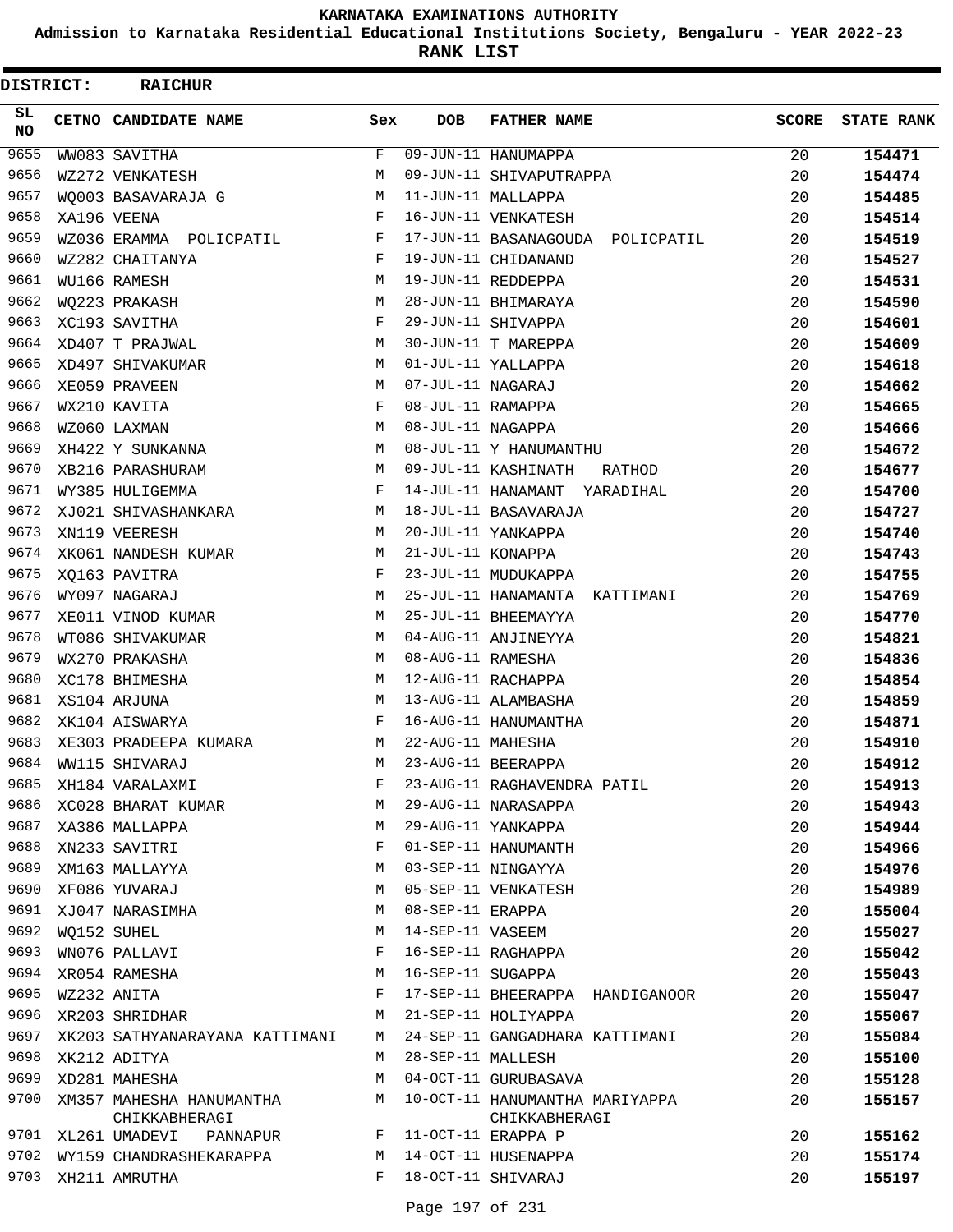**Admission to Karnataka Residential Educational Institutions Society, Bengaluru - YEAR 2022-23**

**RANK LIST**

| DISTRICT:        | <b>RAICHUR</b>                 |     |                   |                                  |              |                   |
|------------------|--------------------------------|-----|-------------------|----------------------------------|--------------|-------------------|
| SL.<br><b>NO</b> | CETNO CANDIDATE NAME           | Sex | <b>DOB</b>        | <b>FATHER NAME</b>               | <b>SCORE</b> | <b>STATE RANK</b> |
| 9655             | WW083 SAVITHA                  | F   |                   | 09-JUN-11 HANUMAPPA              | 20           | 154471            |
| 9656             | WZ272 VENKATESH                | М   |                   | 09-JUN-11 SHIVAPUTRAPPA          | 20           | 154474            |
| 9657             | WO003 BASAVARAJA G             | М   |                   | 11-JUN-11 MALLAPPA               | 20           | 154485            |
| 9658             | XA196 VEENA                    | F   |                   | 16-JUN-11 VENKATESH              | 20           | 154514            |
| 9659             | WZ036 ERAMMA POLICPATIL        | F   |                   | 17-JUN-11 BASANAGOUDA POLICPATIL | 20           | 154519            |
| 9660             | WZ282 CHAITANYA                | F   |                   | 19-JUN-11 CHIDANAND              | 20           | 154527            |
| 9661             | WU166 RAMESH                   | М   |                   | 19-JUN-11 REDDEPPA               | 20           | 154531            |
| 9662             | WQ223 PRAKASH                  | М   |                   | 28-JUN-11 BHIMARAYA              | 20           | 154590            |
| 9663             | XC193 SAVITHA                  | F   |                   | 29-JUN-11 SHIVAPPA               | 20           | 154601            |
| 9664             | XD407 T PRAJWAL                | М   |                   | 30-JUN-11 T MAREPPA              | 20           | 154609            |
| 9665             | XD497 SHIVAKUMAR               | М   |                   | 01-JUL-11 YALLAPPA               | 20           | 154618            |
| 9666             | XE059 PRAVEEN                  | М   | 07-JUL-11 NAGARAJ |                                  | 20           | 154662            |
| 9667             | WX210 KAVITA                   | F   | 08-JUL-11 RAMAPPA |                                  | 20           | 154665            |
| 9668             | WZ060 LAXMAN                   | М   | 08-JUL-11 NAGAPPA |                                  | 20           | 154666            |
| 9669             | XH422 Y SUNKANNA               | M   |                   | 08-JUL-11 Y HANUMANTHU           | 20           | 154672            |
| 9670             | XB216 PARASHURAM               | М   |                   | 09-JUL-11 KASHINATH<br>RATHOD    | 20           | 154677            |
| 9671             | WY385 HULIGEMMA                | F   |                   | 14-JUL-11 HANAMANT YARADIHAL     | 20           | 154700            |
| 9672             | XJ021 SHIVASHANKARA            | М   |                   | 18-JUL-11 BASAVARAJA             | 20           | 154727            |
| 9673             | XN119 VEERESH                  | М   |                   | 20-JUL-11 YANKAPPA               | 20           | 154740            |
| 9674             | XK061 NANDESH KUMAR            | М   | 21-JUL-11 KONAPPA |                                  | 20           | 154743            |
| 9675             | XQ163 PAVITRA                  | F   |                   | 23-JUL-11 MUDUKAPPA              | 20           | 154755            |
| 9676             | WY097 NAGARAJ                  | М   |                   | 25-JUL-11 HANAMANTA KATTIMANI    | 20           | 154769            |
| 9677             | XE011 VINOD KUMAR              | М   |                   | 25-JUL-11 BHEEMAYYA              | 20           | 154770            |
| 9678             | WT086 SHIVAKUMAR               | М   |                   | 04-AUG-11 ANJINEYYA              | 20           | 154821            |
| 9679             | WX270 PRAKASHA                 | М   | 08-AUG-11 RAMESHA |                                  | 20           | 154836            |
| 9680             | XC178 BHIMESHA                 | М   |                   | 12-AUG-11 RACHAPPA               | 20           | 154854            |
| 9681             | XS104 ARJUNA                   | М   |                   | 13-AUG-11 ALAMBASHA              | 20           | 154859            |
| 9682             | XK104 AISWARYA                 | F   |                   | 16-AUG-11 HANUMANTHA             | 20           | 154871            |
| 9683             | XE303 PRADEEPA KUMARA          | М   | 22-AUG-11 MAHESHA |                                  | 20           | 154910            |
| 9684             | WW115 SHIVARAJ                 | M   |                   | 23-AUG-11 BEERAPPA               | 20           | 154912            |
| 9685             | XH184 VARALAXMI                | F   |                   | 23-AUG-11 RAGHAVENDRA PATIL      | 20           | 154913            |
| 9686             | XC028 BHARAT KUMAR             | М   |                   | 29-AUG-11 NARASAPPA              | 20           | 154943            |
| 9687             | XA386 MALLAPPA                 | М   |                   | 29-AUG-11 YANKAPPA               | 20           | 154944            |
| 9688             | XN233 SAVITRI                  | F   |                   | 01-SEP-11 HANUMANTH              | 20           | 154966            |
| 9689             | XM163 MALLAYYA                 | М   |                   | 03-SEP-11 NINGAYYA               | 20           | 154976            |
| 9690             | XF086 YUVARAJ                  | М   |                   | 05-SEP-11 VENKATESH              | 20           | 154989            |
| 9691             | XJ047 NARASIMHA                | М   | 08-SEP-11 ERAPPA  |                                  | 20           | 155004            |
| 9692             | WO152 SUHEL                    | М   | 14-SEP-11 VASEEM  |                                  | 20           | 155027            |
| 9693             | WN076 PALLAVI                  | F   |                   | 16-SEP-11 RAGHAPPA               | 20           | 155042            |
| 9694             | XR054 RAMESHA                  | М   | 16-SEP-11 SUGAPPA |                                  | 20           | 155043            |
| 9695             | WZ232 ANITA                    | F   |                   | 17-SEP-11 BHEERAPPA HANDIGANOOR  | 20           | 155047            |
| 9696             | XR203 SHRIDHAR                 | М   |                   | 21-SEP-11 HOLIYAPPA              | 20           | 155067            |
| 9697             | XK203 SATHYANARAYANA KATTIMANI | М   |                   | 24-SEP-11 GANGADHARA KATTIMANI   | 20           | 155084            |
| 9698             | XK212 ADITYA                   | М   | 28-SEP-11 MALLESH |                                  | 20           | 155100            |
| 9699             | XD281 MAHESHA                  | М   |                   | 04-OCT-11 GURUBASAVA             | 20           | 155128            |
| 9700             | XM357 MAHESHA HANUMANTHA       | М   |                   | 10-OCT-11 HANUMANTHA MARIYAPPA   | 20           | 155157            |
|                  | CHIKKABHERAGI                  |     |                   | CHIKKABHERAGI                    |              |                   |
| 9701             | XL261 UMADEVI PANNAPUR         | F   |                   | 11-OCT-11 ERAPPA P               | 20           | 155162            |
| 9702             | WY159 CHANDRASHEKARAPPA        | М   |                   | 14-OCT-11 HUSENAPPA              | 20           | 155174            |
| 9703             | XH211 AMRUTHA                  | F   |                   | 18-OCT-11 SHIVARAJ               | 20           | 155197            |
|                  |                                |     |                   |                                  |              |                   |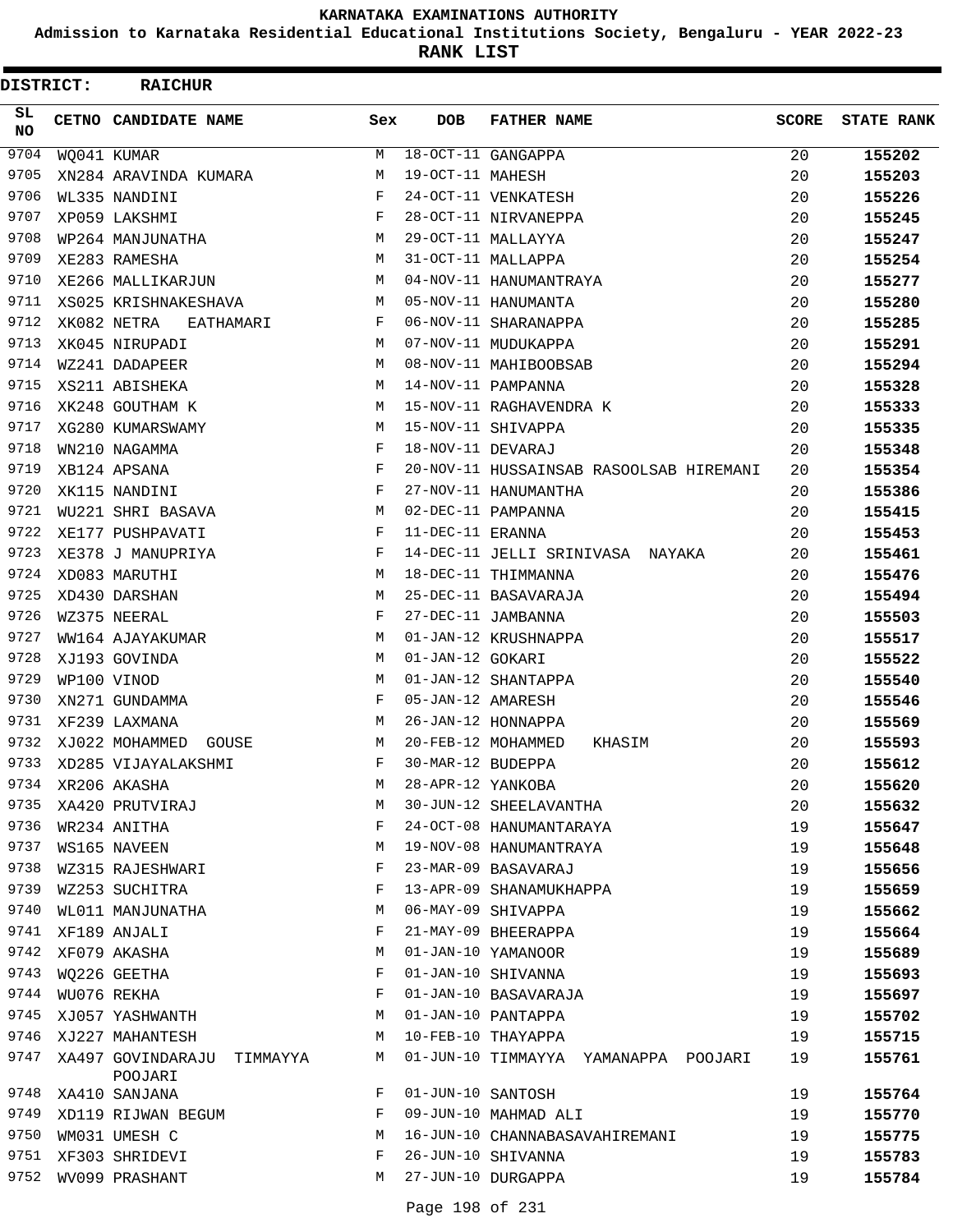**Admission to Karnataka Residential Educational Institutions Society, Bengaluru - YEAR 2022-23**

**RANK LIST**

| <b>DISTRICT:</b> | <b>RAICHUR</b>                        |     |                   |                                         |              |                   |
|------------------|---------------------------------------|-----|-------------------|-----------------------------------------|--------------|-------------------|
| SL.<br><b>NO</b> | CETNO CANDIDATE NAME                  | Sex | <b>DOB</b>        | <b>FATHER NAME</b>                      | <b>SCORE</b> | <b>STATE RANK</b> |
| 9704             | WQ041 KUMAR                           | М   |                   | 18-OCT-11 GANGAPPA                      | 20           | 155202            |
| 9705             | XN284 ARAVINDA KUMARA                 | M   | 19-OCT-11 MAHESH  |                                         | 20           | 155203            |
| 9706             | WL335 NANDINI                         | F   |                   | 24-OCT-11 VENKATESH                     | 20           | 155226            |
| 9707             | XP059 LAKSHMI                         | F   |                   | 28-OCT-11 NIRVANEPPA                    | 20           | 155245            |
| 9708             | WP264 MANJUNATHA                      | М   |                   | 29-OCT-11 MALLAYYA                      | 20           | 155247            |
| 9709             | XE283 RAMESHA                         | M   |                   | 31-OCT-11 MALLAPPA                      | 20           | 155254            |
| 9710             | XE266 MALLIKARJUN                     | M   |                   | 04-NOV-11 HANUMANTRAYA                  | 20           | 155277            |
| 9711             | XS025 KRISHNAKESHAVA                  | M   |                   | 05-NOV-11 HANUMANTA                     | 20           | 155280            |
| 9712             | XK082 NETRA<br>EATHAMARI              | F   |                   | 06-NOV-11 SHARANAPPA                    | 20           | 155285            |
| 9713             | XK045 NIRUPADI                        | M   |                   | 07-NOV-11 MUDUKAPPA                     | 20           | 155291            |
| 9714             | WZ241 DADAPEER                        | M   |                   | 08-NOV-11 MAHIBOOBSAB                   | 20           | 155294            |
| 9715             | XS211 ABISHEKA                        | M   |                   | 14-NOV-11 PAMPANNA                      | 20           | 155328            |
| 9716             | XK248 GOUTHAM K                       | М   |                   | 15-NOV-11 RAGHAVENDRA K                 | 20           | 155333            |
| 9717             | XG280 KUMARSWAMY                      | M   |                   | 15-NOV-11 SHIVAPPA                      | 20           | 155335            |
| 9718             | WN210 NAGAMMA                         | F   | 18-NOV-11 DEVARAJ |                                         | 20           | 155348            |
| 9719             | XB124 APSANA                          | F   |                   | 20-NOV-11 HUSSAINSAB RASOOLSAB HIREMANI | 20           | 155354            |
| 9720             | XK115 NANDINI                         | F   |                   | 27-NOV-11 HANUMANTHA                    | 20           | 155386            |
| 9721             | WU221 SHRI BASAVA                     | M   |                   | 02-DEC-11 PAMPANNA                      | 20           | 155415            |
| 9722             | XE177 PUSHPAVATI                      | F   | 11-DEC-11 ERANNA  |                                         | 20           | 155453            |
| 9723             | XE378 J MANUPRIYA                     | F   |                   | 14-DEC-11 JELLI SRINIVASA NAYAKA        | 20           | 155461            |
| 9724             | XD083 MARUTHI                         | M   |                   | 18-DEC-11 THIMMANNA                     | 20           | 155476            |
| 9725             | XD430 DARSHAN                         | M   |                   | 25-DEC-11 BASAVARAJA                    | 20           | 155494            |
| 9726             | WZ375 NEERAL                          | F   |                   | 27-DEC-11 JAMBANNA                      | 20           | 155503            |
| 9727             | WW164 AJAYAKUMAR                      | M   |                   | 01-JAN-12 KRUSHNAPPA                    | 20           | 155517            |
| 9728             | XJ193 GOVINDA                         | М   | 01-JAN-12 GOKARI  |                                         | 20           | 155522            |
| 9729             | WP100 VINOD                           | M   |                   | 01-JAN-12 SHANTAPPA                     | 20           | 155540            |
| 9730             | XN271 GUNDAMMA                        | F   | 05-JAN-12 AMARESH |                                         | 20           | 155546            |
| 9731             | XF239 LAXMANA                         | M   |                   | 26-JAN-12 HONNAPPA                      | 20           | 155569            |
| 9732             | XJ022 MOHAMMED<br>GOUSE               | М   |                   | 20-FEB-12 MOHAMMED<br>KHASIM            | 20           | 155593            |
| 9733             | XD285 VIJAYALAKSHMI                   | F   | 30-MAR-12 BUDEPPA |                                         | 20           | 155612            |
| 9734             | XR206 AKASHA                          | М   | 28-APR-12 YANKOBA |                                         | 20           | 155620            |
| 9735             | XA420 PRUTVIRAJ                       | M   |                   | 30-JUN-12 SHEELAVANTHA                  | 20           | 155632            |
| 9736             | WR234 ANITHA                          | F   |                   | 24-OCT-08 HANUMANTARAYA                 | 19           | 155647            |
| 9737             | WS165 NAVEEN                          | M   |                   | 19-NOV-08 HANUMANTRAYA                  | 19           | 155648            |
| 9738             | WZ315 RAJESHWARI                      | F   |                   | 23-MAR-09 BASAVARAJ                     | 19           | 155656            |
| 9739             | WZ253 SUCHITRA                        | F   |                   | 13-APR-09 SHANAMUKHAPPA                 | 19           | 155659            |
| 9740             | WL011 MANJUNATHA                      | М   |                   | 06-MAY-09 SHIVAPPA                      | 19           | 155662            |
| 9741             | XF189 ANJALI                          | F   |                   | 21-MAY-09 BHEERAPPA                     | 19           | 155664            |
| 9742             | XF079 AKASHA                          | М   |                   | 01-JAN-10 YAMANOOR                      | 19           | 155689            |
| 9743             | WO226 GEETHA                          | F   |                   | 01-JAN-10 SHIVANNA                      | 19           | 155693            |
| 9744             | WU076 REKHA                           | F   |                   | 01-JAN-10 BASAVARAJA                    | 19           | 155697            |
| 9745             | XJ057 YASHWANTH                       | M   |                   | 01-JAN-10 PANTAPPA                      | 19           | 155702            |
| 9746             | XJ227 MAHANTESH                       | М   |                   | 10-FEB-10 THAYAPPA                      | 19           | 155715            |
| 9747             | XA497 GOVINDARAJU TIMMAYYA<br>POOJARI | М   |                   | 01-JUN-10 TIMMAYYA YAMANAPPA POOJARI    | 19           | 155761            |
| 9748             | XA410 SANJANA                         | F   | 01-JUN-10 SANTOSH |                                         | 19           | 155764            |
| 9749             | XD119 RIJWAN BEGUM                    | F   |                   | 09-JUN-10 MAHMAD ALI                    | 19           | 155770            |
| 9750             | WM031 UMESH C                         | М   |                   | 16-JUN-10 CHANNABASAVAHIREMANI          | 19           | 155775            |
| 9751             | XF303 SHRIDEVI                        | F   |                   | 26-JUN-10 SHIVANNA                      | 19           | 155783            |
| 9752             | WV099 PRASHANT                        | М   |                   | 27-JUN-10 DURGAPPA                      | 19           | 155784            |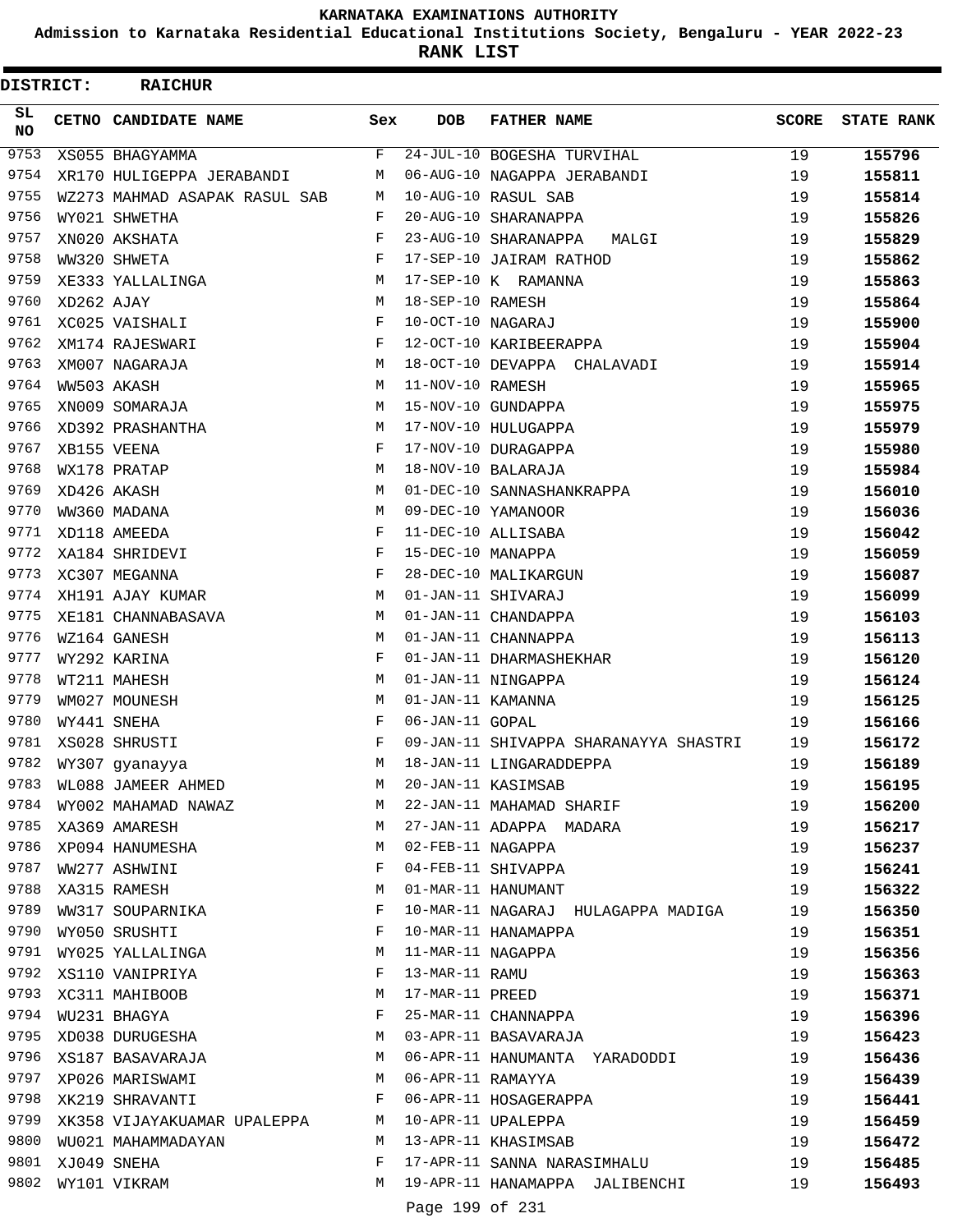**Admission to Karnataka Residential Educational Institutions Society, Bengaluru - YEAR 2022-23**

|                 | <b>DISTRICT:</b> | <b>RAICHUR</b>                |             |                   |                                       |       |                   |
|-----------------|------------------|-------------------------------|-------------|-------------------|---------------------------------------|-------|-------------------|
| SL<br><b>NO</b> |                  | CETNO CANDIDATE NAME          | Sex         | DOB               | <b>FATHER NAME</b>                    | SCORE | <b>STATE RANK</b> |
| 9753            |                  | XS055 BHAGYAMMA               | F           |                   | 24-JUL-10 BOGESHA TURVIHAL            | 19    | 155796            |
| 9754            |                  | XR170 HULIGEPPA JERABANDI     | М           |                   | 06-AUG-10 NAGAPPA JERABANDI           | 19    | 155811            |
| 9755            |                  | WZ273 MAHMAD ASAPAK RASUL SAB | М           |                   | 10-AUG-10 RASUL SAB                   | 19    | 155814            |
| 9756            |                  | WY021 SHWETHA                 | F           |                   | 20-AUG-10 SHARANAPPA                  | 19    | 155826            |
| 9757            |                  | XN020 AKSHATA                 | F           |                   | 23-AUG-10 SHARANAPPA<br>MALGI         | 19    | 155829            |
| 9758            |                  | WW320 SHWETA                  | F           |                   | 17-SEP-10 JAIRAM RATHOD               | 19    | 155862            |
| 9759            |                  | XE333 YALLALINGA              | М           |                   | 17-SEP-10 K RAMANNA                   | 19    | 155863            |
| 9760            | XD262 AJAY       |                               | М           | 18-SEP-10 RAMESH  |                                       | 19    | 155864            |
| 9761            |                  | XC025 VAISHALI                | F           | 10-OCT-10 NAGARAJ |                                       | 19    | 155900            |
| 9762            |                  | XM174 RAJESWARI               | F           |                   | 12-OCT-10 KARIBEERAPPA                | 19    | 155904            |
| 9763            |                  | XM007 NAGARAJA                | М           |                   | 18-OCT-10 DEVAPPA CHALAVADI           | 19    | 155914            |
| 9764            |                  | WW503 AKASH                   | М           | 11-NOV-10 RAMESH  |                                       | 19    | 155965            |
| 9765            |                  | XN009 SOMARAJA                | М           |                   | 15-NOV-10 GUNDAPPA                    | 19    | 155975            |
| 9766            |                  | XD392 PRASHANTHA              | М           |                   | 17-NOV-10 HULUGAPPA                   | 19    | 155979            |
| 9767            |                  | XB155 VEENA                   | F           |                   | 17-NOV-10 DURAGAPPA                   | 19    | 155980            |
| 9768            |                  | WX178 PRATAP                  | М           |                   | 18-NOV-10 BALARAJA                    | 19    | 155984            |
| 9769            |                  | XD426 AKASH                   | M           |                   | 01-DEC-10 SANNASHANKRAPPA             | 19    | 156010            |
| 9770            |                  | WW360 MADANA                  | М           |                   | 09-DEC-10 YAMANOOR                    | 19    | 156036            |
| 9771            |                  | XD118 AMEEDA                  | F           |                   | 11-DEC-10 ALLISABA                    | 19    | 156042            |
| 9772            |                  | XA184 SHRIDEVI                | F           | 15-DEC-10 MANAPPA |                                       | 19    | 156059            |
| 9773            |                  | XC307 MEGANNA                 | F           |                   | 28-DEC-10 MALIKARGUN                  | 19    | 156087            |
| 9774            |                  | XH191 AJAY KUMAR              | М           |                   | 01-JAN-11 SHIVARAJ                    | 19    | 156099            |
| 9775            |                  | XE181 CHANNABASAVA            | М           |                   | 01-JAN-11 CHANDAPPA                   | 19    | 156103            |
| 9776            |                  | WZ164 GANESH                  | M           |                   | 01-JAN-11 CHANNAPPA                   | 19    | 156113            |
| 9777            |                  | WY292 KARINA                  | F           |                   | 01-JAN-11 DHARMASHEKHAR               | 19    | 156120            |
| 9778            |                  | WT211 MAHESH                  | M           |                   | 01-JAN-11 NINGAPPA                    | 19    | 156124            |
| 9779            |                  | WM027 MOUNESH                 | М           | 01-JAN-11 KAMANNA |                                       | 19    | 156125            |
| 9780            |                  | WY441 SNEHA                   | F           | 06-JAN-11 GOPAL   |                                       | 19    | 156166            |
| 9781            |                  | XS028 SHRUSTI                 | $\mathbf F$ |                   | 09-JAN-11 SHIVAPPA SHARANAYYA SHASTRI | 19    | 156172            |
|                 |                  | 9782 WY307 gyanayya           | M           |                   | 18-JAN-11 LINGARADDEPPA               | 19    | 156189            |
| 9783            |                  | WL088 JAMEER AHMED            | М           |                   | 20-JAN-11 KASIMSAB                    | 19    | 156195            |
| 9784            |                  | WY002 MAHAMAD NAWAZ           | М           |                   | 22-JAN-11 MAHAMAD SHARIF              | 19    | 156200            |
| 9785            |                  | XA369 AMARESH                 | М           |                   | 27-JAN-11 ADAPPA MADARA               | 19    | 156217            |
| 9786            |                  | XP094 HANUMESHA               | М           | 02-FEB-11 NAGAPPA |                                       | 19    | 156237            |
| 9787            |                  | WW277 ASHWINI                 | F           |                   | 04-FEB-11 SHIVAPPA                    | 19    | 156241            |
| 9788            |                  | XA315 RAMESH                  | М           |                   | 01-MAR-11 HANUMANT                    | 19    | 156322            |
| 9789            |                  | WW317 SOUPARNIKA              | F           |                   | 10-MAR-11 NAGARAJ HULAGAPPA MADIGA    | 19    | 156350            |
| 9790            |                  | WY050 SRUSHTI                 | F           |                   | 10-MAR-11 HANAMAPPA                   | 19    | 156351            |
| 9791            |                  | WY025 YALLALINGA              | М           | 11-MAR-11 NAGAPPA |                                       | 19    | 156356            |
| 9792            |                  | XS110 VANIPRIYA               | F           | 13-MAR-11 RAMU    |                                       | 19    | 156363            |
| 9793            |                  | XC311 MAHIBOOB                | М           | 17-MAR-11 PREED   |                                       | 19    | 156371            |
| 9794            |                  | WU231 BHAGYA                  | F           |                   | 25-MAR-11 CHANNAPPA                   | 19    | 156396            |
| 9795            |                  | XD038 DURUGESHA               | М           |                   | 03-APR-11 BASAVARAJA                  | 19    | 156423            |
| 9796            |                  | XS187 BASAVARAJA              | М           |                   | 06-APR-11 HANUMANTA YARADODDI         | 19    | 156436            |
| 9797            |                  | XP026 MARISWAMI               | М           | 06-APR-11 RAMAYYA |                                       | 19    | 156439            |
| 9798            |                  | XK219 SHRAVANTI               | F           |                   | 06-APR-11 HOSAGERAPPA                 | 19    | 156441            |
| 9799            |                  | XK358 VIJAYAKUAMAR UPALEPPA   | М           |                   | 10-APR-11 UPALEPPA                    | 19    | 156459            |
| 9800            |                  | WU021 MAHAMMADAYAN            | М           |                   | 13-APR-11 KHASIMSAB                   | 19    | 156472            |
| 9801            |                  | XJ049 SNEHA                   | F           |                   | 17-APR-11 SANNA NARASIMHALU           | 19    | 156485            |
| 9802            |                  | WY101 VIKRAM                  | М           |                   | 19-APR-11 HANAMAPPA JALIBENCHI        | 19    | 156493            |
|                 |                  |                               |             | Page 199 of 231   |                                       |       |                   |
|                 |                  |                               |             |                   |                                       |       |                   |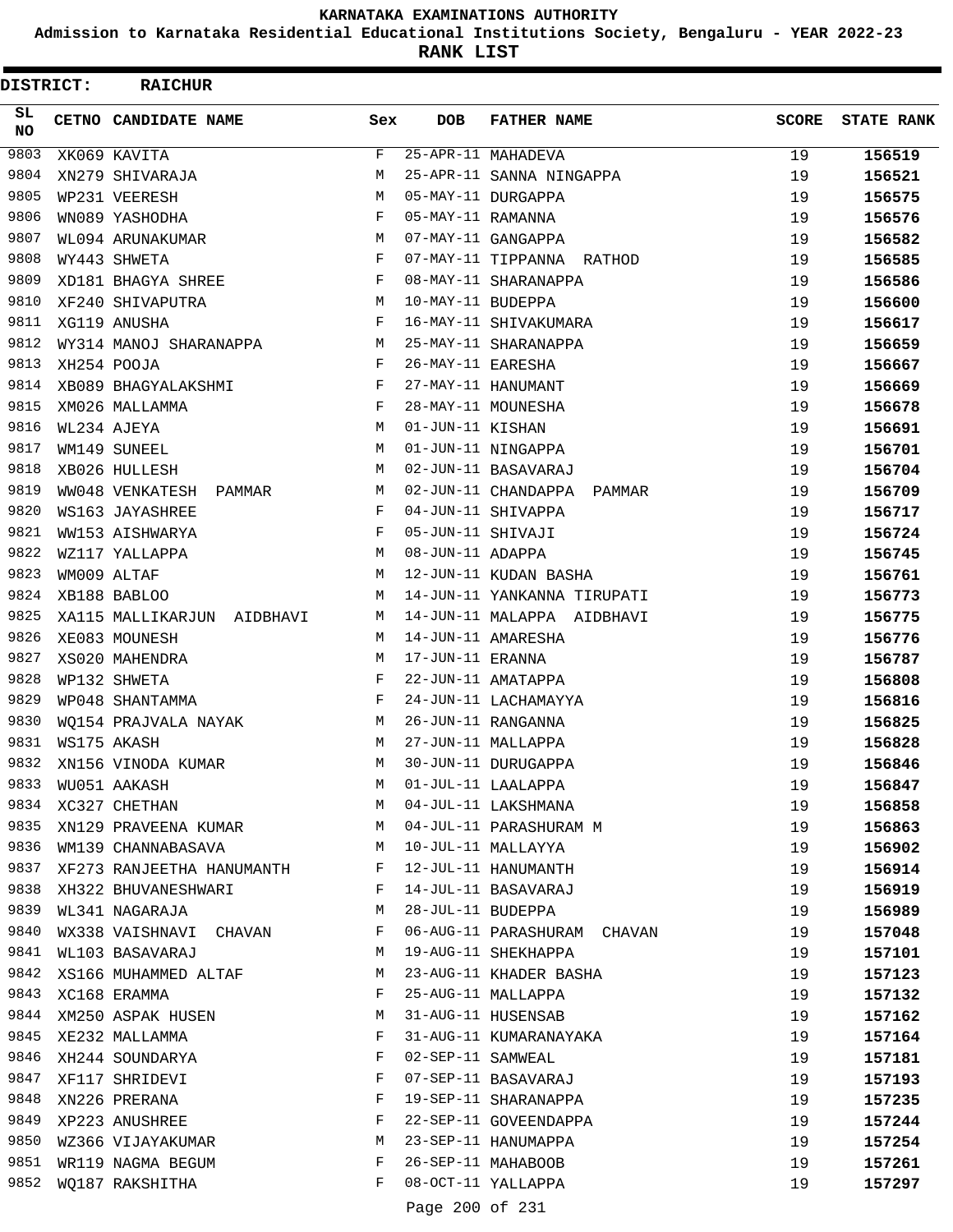**Admission to Karnataka Residential Educational Institutions Society, Bengaluru - YEAR 2022-23**

**RANK LIST**

| <b>DISTRICT:</b> | <b>RAICHUR</b>             |     |                   |                             |              |                   |
|------------------|----------------------------|-----|-------------------|-----------------------------|--------------|-------------------|
| SL.<br><b>NO</b> | CETNO CANDIDATE NAME       | Sex | <b>DOB</b>        | <b>FATHER NAME</b>          | <b>SCORE</b> | <b>STATE RANK</b> |
| 9803             | XK069 KAVITA               | F   |                   | 25-APR-11 MAHADEVA          | 19           | 156519            |
| 9804             | XN279 SHIVARAJA            | М   |                   | 25-APR-11 SANNA NINGAPPA    | 19           | 156521            |
| 9805             | WP231 VEERESH              | M   |                   | 05-MAY-11 DURGAPPA          | 19           | 156575            |
| 9806             | WN089 YASHODHA             | F   | 05-MAY-11 RAMANNA |                             | 19           | 156576            |
| 9807             | WL094 ARUNAKUMAR           | М   |                   | 07-MAY-11 GANGAPPA          | 19           | 156582            |
| 9808             | WY443 SHWETA               | F   |                   | 07-MAY-11 TIPPANNA RATHOD   | 19           | 156585            |
| 9809             | XD181 BHAGYA SHREE         | F   |                   | 08-MAY-11 SHARANAPPA        | 19           | 156586            |
| 9810             | XF240 SHIVAPUTRA           | М   | 10-MAY-11 BUDEPPA |                             | 19           | 156600            |
| 9811             | XG119 ANUSHA               | F   |                   | 16-MAY-11 SHIVAKUMARA       | 19           | 156617            |
| 9812             | WY314 MANOJ SHARANAPPA     | М   |                   | 25-MAY-11 SHARANAPPA        | 19           | 156659            |
| 9813             | XH254 POOJA                | F   | 26-MAY-11 EARESHA |                             | 19           | 156667            |
| 9814             | XB089 BHAGYALAKSHMI        | F   |                   | 27-MAY-11 HANUMANT          | 19           | 156669            |
| 9815             | XM026 MALLAMMA             | F   |                   | 28-MAY-11 MOUNESHA          | 19           | 156678            |
| 9816             | WL234 AJEYA                | М   | 01-JUN-11 KISHAN  |                             | 19           | 156691            |
| 9817             | WM149 SUNEEL               | M   |                   | 01-JUN-11 NINGAPPA          | 19           | 156701            |
| 9818             | XB026 HULLESH              | М   |                   | 02-JUN-11 BASAVARAJ         | 19           | 156704            |
| 9819             | WW048 VENKATESH PAMMAR     | М   |                   | 02-JUN-11 CHANDAPPA PAMMAR  | 19           | 156709            |
| 9820             | WS163 JAYASHREE            | F   |                   | 04-JUN-11 SHIVAPPA          | 19           | 156717            |
| 9821             | WW153 AISHWARYA            | F   | 05-JUN-11 SHIVAJI |                             | 19           | 156724            |
| 9822             | WZ117 YALLAPPA             | М   | 08-JUN-11 ADAPPA  |                             | 19           | 156745            |
| 9823             | WM009 ALTAF                | М   |                   | 12-JUN-11 KUDAN BASHA       | 19           | 156761            |
| 9824             | XB188 BABLOO               | М   |                   | 14-JUN-11 YANKANNA TIRUPATI | 19           | 156773            |
| 9825             | XA115 MALLIKARJUN AIDBHAVI | М   |                   | 14-JUN-11 MALAPPA AIDBHAVI  | 19           | 156775            |
| 9826             | XE083 MOUNESH              | M   |                   | 14-JUN-11 AMARESHA          | 19           | 156776            |
| 9827             | XS020 MAHENDRA             | М   | 17-JUN-11 ERANNA  |                             | 19           | 156787            |
| 9828             | WP132 SHWETA               | F   |                   | 22-JUN-11 AMATAPPA          | 19           | 156808            |
| 9829             | WP048 SHANTAMMA            | F   |                   | 24-JUN-11 LACHAMAYYA        | 19           | 156816            |
| 9830             | WQ154 PRAJVALA NAYAK       | M   |                   | 26-JUN-11 RANGANNA          | 19           | 156825            |
| 9831             | WS175 AKASH                | M   |                   | 27-JUN-11 MALLAPPA          | 19           | 156828            |
| 9832             | XN156 VINODA KUMAR         | M   |                   | 30-JUN-11 DURUGAPPA         | 19           | 156846            |
| 9833             | WU051 AAKASH               | М   |                   | 01-JUL-11 LAALAPPA          | 19           | 156847            |
| 9834             | XC327 CHETHAN              | М   |                   | 04-JUL-11 LAKSHMANA         | 19           | 156858            |
| 9835             | XN129 PRAVEENA KUMAR       | M   |                   | 04-JUL-11 PARASHURAM M      | 19           | 156863            |
| 9836             | WM139 CHANNABASAVA         | M   |                   | 10-JUL-11 MALLAYYA          | 19           | 156902            |
| 9837             | XF273 RANJEETHA HANUMANTH  | F   |                   | 12-JUL-11 HANUMANTH         | 19           | 156914            |
| 9838             | XH322 BHUVANESHWARI        | F   |                   | 14-JUL-11 BASAVARAJ         | 19           | 156919            |
| 9839             | WL341 NAGARAJA             | М   | 28-JUL-11 BUDEPPA |                             | 19           | 156989            |
| 9840             | WX338 VAISHNAVI CHAVAN     | F   |                   | 06-AUG-11 PARASHURAM CHAVAN | 19           | 157048            |
| 9841             | WL103 BASAVARAJ            | М   |                   | 19-AUG-11 SHEKHAPPA         | 19           | 157101            |
| 9842             | XS166 MUHAMMED ALTAF       | М   |                   | 23-AUG-11 KHADER BASHA      | 19           | 157123            |
| 9843             | XC168 ERAMMA               | F   |                   | 25-AUG-11 MALLAPPA          | 19           | 157132            |
|                  | 9844 XM250 ASPAK HUSEN     | М   |                   | 31-AUG-11 HUSENSAB          | 19           | 157162            |
| 9845             | XE232 MALLAMMA             | F   |                   | 31-AUG-11 KUMARANAYAKA      | 19           | 157164            |
| 9846             | XH244 SOUNDARYA            | F   | 02-SEP-11 SAMWEAL |                             | 19           | 157181            |
| 9847             | XF117 SHRIDEVI             | F   |                   | 07-SEP-11 BASAVARAJ         | 19           | 157193            |
| 9848             | XN226 PRERANA              | F   |                   | 19-SEP-11 SHARANAPPA        | 19           | 157235            |
| 9849             | XP223 ANUSHREE             | F   |                   | 22-SEP-11 GOVEENDAPPA       | 19           | 157244            |
| 9850<br>9851     | WZ366 VIJAYAKUMAR          | М   |                   | 23-SEP-11 HANUMAPPA         | 19           | 157254            |
| 9852             | WR119 NAGMA BEGUM          | F   |                   | 26-SEP-11 MAHABOOB          | 19           | 157261            |
|                  | WQ187 RAKSHITHA            | F   |                   | 08-OCT-11 YALLAPPA          | 19           | 157297            |
|                  |                            |     | Page 200 of 231   |                             |              |                   |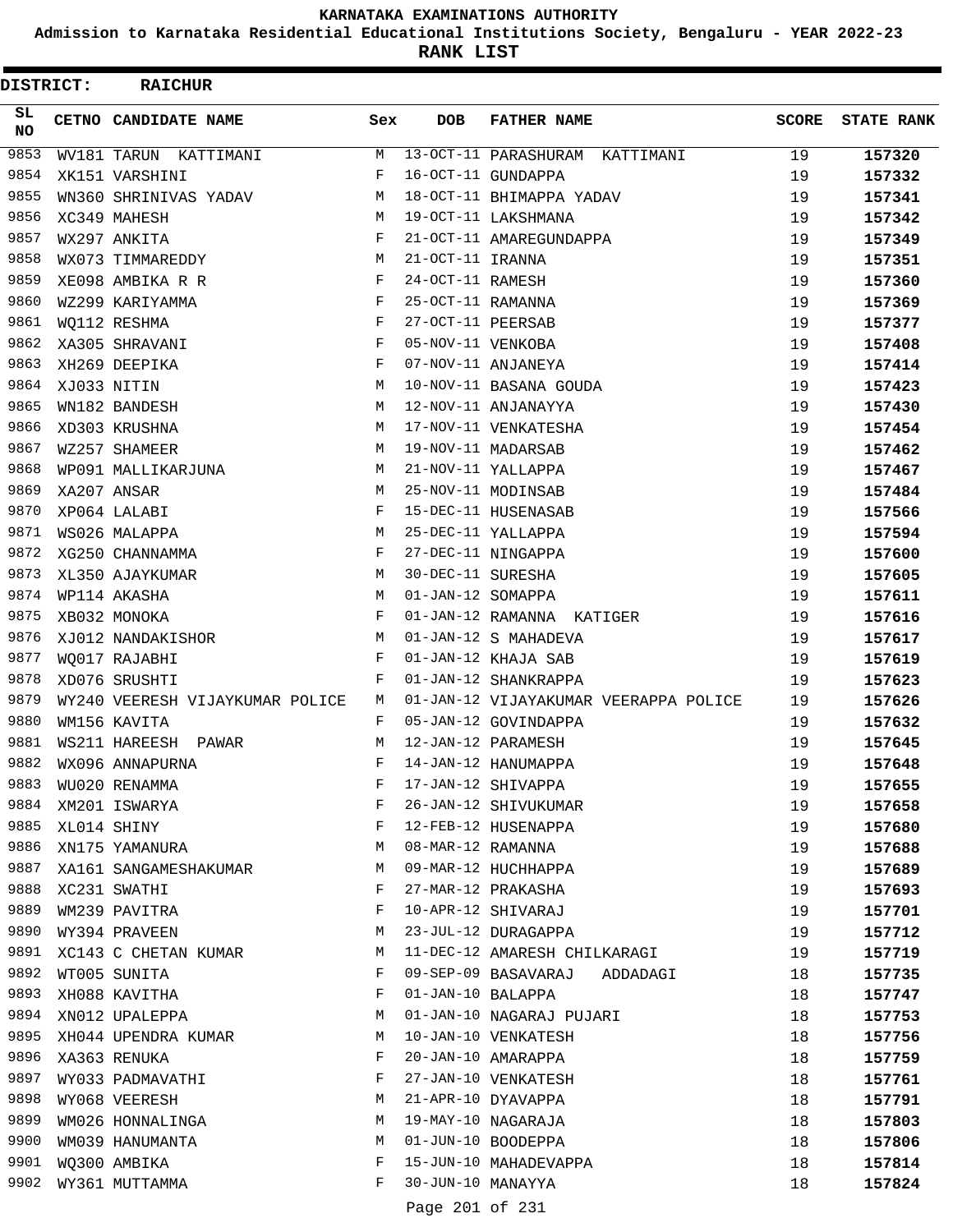**Admission to Karnataka Residential Educational Institutions Society, Bengaluru - YEAR 2022-23**

**RANK LIST**

| DISTRICT: | <b>RAICHUR</b>                  |        |                   |                                           |       |                   |
|-----------|---------------------------------|--------|-------------------|-------------------------------------------|-------|-------------------|
| SL<br>NO  | CETNO CANDIDATE NAME            | Sex    | <b>DOB</b>        | <b>FATHER NAME</b>                        | SCORE | <b>STATE RANK</b> |
| 9853      | WV181 TARUN KATTIMANI           | М      |                   | 13-OCT-11 PARASHURAM<br>KATTIMANI         | 19    | 157320            |
| 9854      | XK151 VARSHINI                  | F      |                   | 16-OCT-11 GUNDAPPA                        | 19    | 157332            |
| 9855      | WN360 SHRINIVAS YADAV           | М      |                   | 18-OCT-11 BHIMAPPA YADAV                  | 19    | 157341            |
| 9856      | XC349 MAHESH                    | М      |                   | 19-OCT-11 LAKSHMANA                       | 19    | 157342            |
| 9857      | WX297 ANKITA                    | F      |                   | 21-OCT-11 AMAREGUNDAPPA                   | 19    | 157349            |
| 9858      | WX073 TIMMAREDDY                | М      | 21-OCT-11 IRANNA  |                                           | 19    | 157351            |
| 9859      | XE098 AMBIKA R R                | F      | 24-OCT-11 RAMESH  |                                           | 19    | 157360            |
| 9860      | WZ299 KARIYAMMA                 | F      | 25-OCT-11 RAMANNA |                                           | 19    | 157369            |
| 9861      | WQ112 RESHMA                    | F      | 27-OCT-11 PEERSAB |                                           | 19    | 157377            |
| 9862      | XA305 SHRAVANI                  | F      | 05-NOV-11 VENKOBA |                                           | 19    | 157408            |
| 9863      | XH269 DEEPIKA                   | F      |                   | 07-NOV-11 ANJANEYA                        | 19    | 157414            |
| 9864      | XJ033 NITIN                     | M      |                   | 10-NOV-11 BASANA GOUDA                    | 19    | 157423            |
| 9865      | WN182 BANDESH                   | М      |                   | 12-NOV-11 ANJANAYYA                       | 19    | 157430            |
| 9866      | XD303 KRUSHNA                   | М      |                   | 17-NOV-11 VENKATESHA                      | 19    | 157454            |
| 9867      | WZ257 SHAMEER                   | M      |                   | 19-NOV-11 MADARSAB                        | 19    | 157462            |
| 9868      | WP091 MALLIKARJUNA              | М      |                   | 21-NOV-11 YALLAPPA                        | 19    | 157467            |
| 9869      | XA207 ANSAR                     | М      |                   | 25-NOV-11 MODINSAB                        | 19    | 157484            |
| 9870      | XP064 LALABI                    | F      |                   | 15-DEC-11 HUSENASAB                       | 19    | 157566            |
| 9871      | WS026 MALAPPA                   | M      |                   | 25-DEC-11 YALLAPPA                        | 19    | 157594            |
| 9872      | XG250 CHANNAMMA                 | F      |                   | 27-DEC-11 NINGAPPA                        | 19    | 157600            |
| 9873      | XL350 AJAYKUMAR                 | М      | 30-DEC-11 SURESHA |                                           | 19    | 157605            |
| 9874      | WP114 AKASHA                    | M      | 01-JAN-12 SOMAPPA |                                           | 19    | 157611            |
| 9875      | XB032 MONOKA                    | F      |                   | 01-JAN-12 RAMANNA KATIGER                 | 19    | 157616            |
| 9876      | XJ012 NANDAKISHOR               | М      |                   | 01-JAN-12 S MAHADEVA                      | 19    | 157617            |
| 9877      | WQ017 RAJABHI                   | F      |                   | 01-JAN-12 KHAJA SAB                       | 19    | 157619            |
| 9878      | XD076 SRUSHTI                   | F      |                   | 01-JAN-12 SHANKRAPPA                      | 19    | 157623            |
| 9879      | WY240 VEERESH VIJAYKUMAR POLICE | M      |                   | 01-JAN-12 VIJAYAKUMAR VEERAPPA POLICE     | 19    | 157626            |
| 9880      | WM156 KAVITA                    | F      |                   | 05-JAN-12 GOVINDAPPA                      | 19    | 157632            |
| 9881      | WS211 HAREESH PAWAR             | M      |                   | 12-JAN-12 PARAMESH                        | 19    | 157645            |
| 9882      | WX096 ANNAPURNA                 | F      |                   | 14-JAN-12 HANUMAPPA                       | 19    | 157648            |
| 9883      | WU020 RENAMMA                   | F      |                   | 17-JAN-12 SHIVAPPA                        | 19    | 157655            |
| 9884      | XM201 ISWARYA                   | F      |                   | 26-JAN-12 SHIVUKUMAR                      | 19    | 157658            |
| 9885      | XL014 SHINY                     | F      |                   | 12-FEB-12 HUSENAPPA                       | 19    | 157680            |
| 9886      | XN175 YAMANURA                  | М      | 08-MAR-12 RAMANNA |                                           | 19    | 157688            |
| 9887      | XA161 SANGAMESHAKUMAR           | М      |                   | 09-MAR-12 HUCHHAPPA                       | 19    | 157689            |
| 9888      | XC231 SWATHI                    | F      |                   | 27-MAR-12 PRAKASHA                        | 19    | 157693            |
| 9889      | WM239 PAVITRA                   | F      |                   | 10-APR-12 SHIVARAJ                        | 19    | 157701            |
| 9890      | WY394 PRAVEEN                   | М      |                   | 23-JUL-12 DURAGAPPA                       | 19    | 157712            |
| 9891      | XC143 C CHETAN KUMAR            | М      |                   | 11-DEC-12 AMARESH CHILKARAGI              | 19    | 157719            |
| 9892      | WT005 SUNITA                    | F      |                   | 09-SEP-09 BASAVARAJ                       | 18    | 157735            |
| 9893      |                                 | F      |                   | ADDADAGI<br>01-JAN-10 BALAPPA             | 18    |                   |
| 9894      | XH088 KAVITHA<br>XN012 UPALEPPA | М      |                   | 01-JAN-10 NAGARAJ PUJARI                  | 18    | 157747            |
| 9895      |                                 |        |                   |                                           |       | 157753            |
| 9896      | XH044 UPENDRA KUMAR             | М<br>F |                   | 10-JAN-10 VENKATESH<br>20-JAN-10 AMARAPPA | 18    | 157756            |
| 9897      | XA363 RENUKA                    |        |                   |                                           | 18    | 157759            |
|           | WY033 PADMAVATHI                | F      |                   | 27-JAN-10 VENKATESH                       | 18    | 157761            |
| 9898      | WY068 VEERESH                   | М      |                   | 21-APR-10 DYAVAPPA                        | 18    | 157791            |
| 9899      | WM026 HONNALINGA                | М      |                   | 19-MAY-10 NAGARAJA                        | 18    | 157803            |
| 9900      | WM039 HANUMANTA                 | М      |                   | 01-JUN-10 BOODEPPA                        | 18    | 157806            |
| 9901      | WQ300 AMBIKA                    | F      |                   | 15-JUN-10 MAHADEVAPPA                     | 18    | 157814            |
| 9902      | WY361 MUTTAMMA                  | F      | 30-JUN-10 MANAYYA |                                           | 18    | 157824            |
|           |                                 |        | Page 201 of 231   |                                           |       |                   |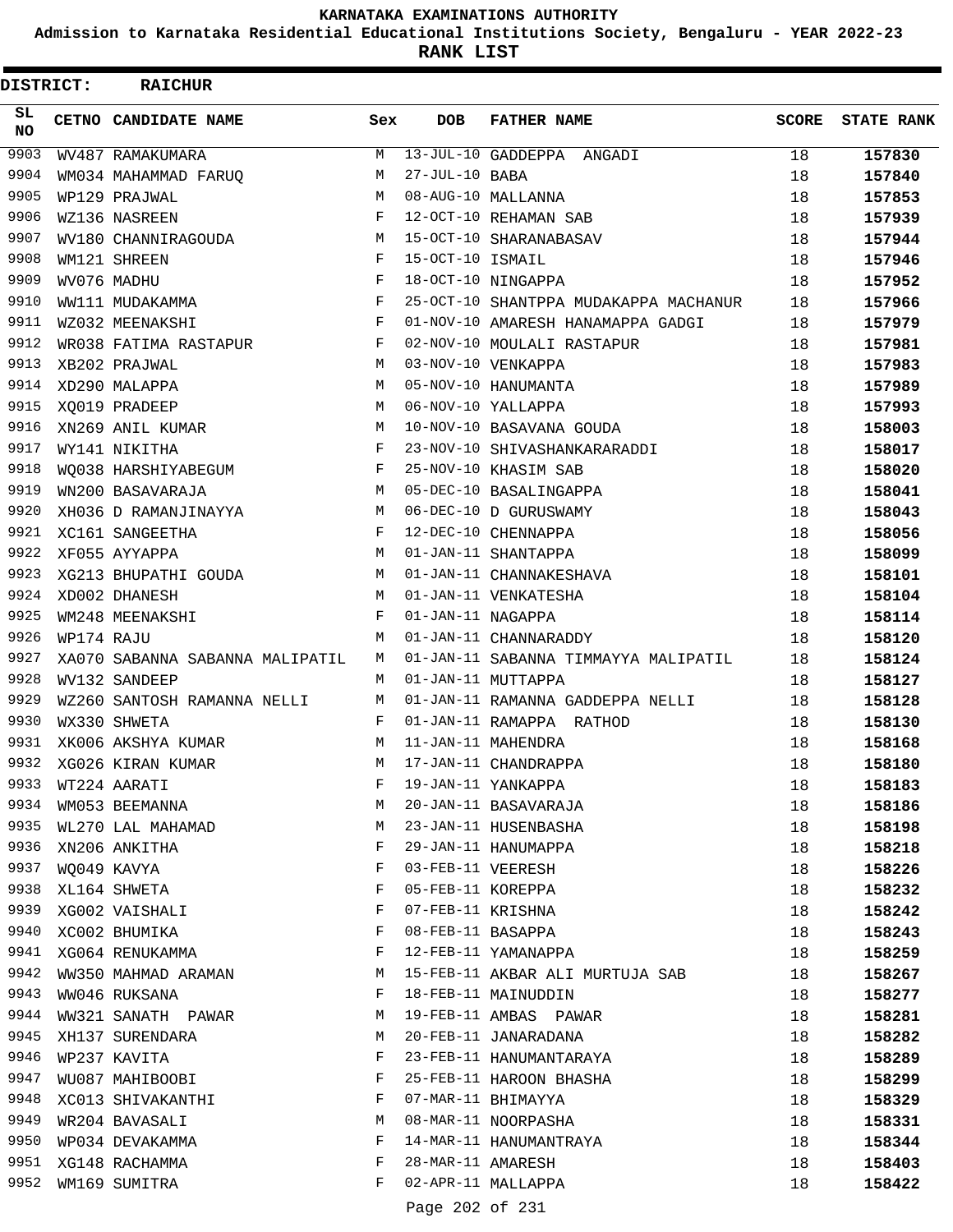**Admission to Karnataka Residential Educational Institutions Society, Bengaluru - YEAR 2022-23**

ı

**RANK LIST**

| DISTRICT:    |            | <b>RAICHUR</b>                   |        |                   |                                        |              |                   |
|--------------|------------|----------------------------------|--------|-------------------|----------------------------------------|--------------|-------------------|
| SL<br>NO.    |            | CETNO CANDIDATE NAME             | Sex    | <b>DOB</b>        | <b>FATHER NAME</b>                     | <b>SCORE</b> | <b>STATE RANK</b> |
| 9903         |            | WV487 RAMAKUMARA                 | M      |                   | 13-JUL-10 GADDEPPA ANGADI              | 18           | 157830            |
| 9904         |            | WM034 MAHAMMAD FARUO             | M      | 27-JUL-10 BABA    |                                        | 18           | 157840            |
| 9905         |            | WP129 PRAJWAL                    | M      |                   | 08-AUG-10 MALLANNA                     | 18           | 157853            |
| 9906         |            | WZ136 NASREEN                    | F      |                   | 12-OCT-10 REHAMAN SAB                  | 18           | 157939            |
| 9907         |            | WV180 CHANNIRAGOUDA              | M      |                   | 15-OCT-10 SHARANABASAV                 | 18           | 157944            |
| 9908         |            | WM121 SHREEN                     | F      | 15-OCT-10 ISMAIL  |                                        | 18           | 157946            |
| 9909         |            | WV076 MADHU                      | F      |                   | 18-OCT-10 NINGAPPA                     | 18           | 157952            |
| 9910         |            | WW111 MUDAKAMMA                  | F      |                   | 25-OCT-10 SHANTPPA MUDAKAPPA MACHANUR  | 18           | 157966            |
| 9911         |            | WZ032 MEENAKSHI                  | F      |                   | 01-NOV-10 AMARESH HANAMAPPA GADGI      | 18           | 157979            |
| 9912         |            | WR038 FATIMA RASTAPUR            | F      |                   | 02-NOV-10 MOULALI RASTAPUR             | 18           | 157981            |
| 9913         |            | XB202 PRAJWAL                    | M      |                   | 03-NOV-10 VENKAPPA                     | 18           | 157983            |
| 9914         |            | XD290 MALAPPA                    | M      |                   | 05-NOV-10 HANUMANTA                    | 18           | 157989            |
| 9915         |            | XQ019 PRADEEP                    | M      |                   | 06-NOV-10 YALLAPPA                     | 18           | 157993            |
| 9916         |            | XN269 ANIL KUMAR                 | M      |                   | 10-NOV-10 BASAVANA GOUDA               | 18           | 158003            |
| 9917         |            | WY141 NIKITHA                    | F      |                   | 23-NOV-10 SHIVASHANKARARADDI           | 18           | 158017            |
| 9918         |            | WQ038 HARSHIYABEGUM              | F      |                   | 25-NOV-10 KHASIM SAB                   | 18           | 158020            |
| 9919         |            | WN200 BASAVARAJA                 | М      |                   | 05-DEC-10 BASALINGAPPA                 | 18           | 158041            |
| 9920         |            | XH036 D RAMANJINAYYA             | M      |                   | 06-DEC-10 D GURUSWAMY                  | 18           | 158043            |
| 9921         |            | XC161 SANGEETHA                  | F      |                   | 12-DEC-10 CHENNAPPA                    | 18           | 158056            |
| 9922         |            | XF055 AYYAPPA                    | M      |                   | 01-JAN-11 SHANTAPPA                    | 18           | 158099            |
| 9923         |            | XG213 BHUPATHI GOUDA             | М      |                   | 01-JAN-11 CHANNAKESHAVA                | 18           | 158101            |
| 9924         |            | XD002 DHANESH                    | M      |                   | 01-JAN-11 VENKATESHA                   | 18           | 158104            |
| 9925         |            | WM248 MEENAKSHI                  | F      | 01-JAN-11 NAGAPPA |                                        | 18           | 158114            |
| 9926         | WP174 RAJU |                                  | M      |                   | 01-JAN-11 CHANNARADDY                  | 18           | 158120            |
| 9927         |            | XA070 SABANNA SABANNA MALIPATIL  | M      |                   | 01-JAN-11 SABANNA TIMMAYYA MALIPATIL   | 18           | 158124            |
| 9928         |            | WV132 SANDEEP                    | M      |                   | 01-JAN-11 MUTTAPPA                     | 18           | 158127            |
| 9929         |            | WZ260 SANTOSH RAMANNA NELLI      | M      |                   | 01-JAN-11 RAMANNA GADDEPPA NELLI       | 18           | 158128            |
| 9930         |            | WX330 SHWETA                     | F      |                   | 01-JAN-11 RAMAPPA RATHOD               | 18           | 158130            |
| 9931         |            | XK006 AKSHYA KUMAR               | M      |                   | 11-JAN-11 MAHENDRA                     | 18           | 158168            |
| 9932         |            | XG026 KIRAN KUMAR                | M      |                   | 17-JAN-11 CHANDRAPPA                   | 18           | 158180            |
| 9933         |            | WT224 AARATI                     | F      |                   | 19-JAN-11 YANKAPPA                     | 18           | 158183            |
| 9934         |            | WM053 BEEMANNA                   | М      |                   | 20-JAN-11 BASAVARAJA                   | 18           | 158186            |
| 9935<br>9936 |            | WL270 LAL MAHAMAD                | М      |                   | 23-JAN-11 HUSENBASHA                   | 18           | 158198            |
|              |            | XN206 ANKITHA                    | F      |                   | 29-JAN-11 HANUMAPPA                    | 18           | 158218            |
| 9937<br>9938 |            | WQ049 KAVYA                      | F<br>F | 03-FEB-11 VEERESH |                                        | 18           | 158226            |
| 9939         |            | XL164 SHWETA<br>XG002 VAISHALI   | F      |                   | 05-FEB-11 KOREPPA<br>07-FEB-11 KRISHNA | 18           | 158232            |
| 9940         |            |                                  | F      | 08-FEB-11 BASAPPA |                                        | 18           | 158242            |
| 9941         |            | XC002 BHUMIKA<br>XG064 RENUKAMMA | F      |                   | 12-FEB-11 YAMANAPPA                    | 18<br>18     | 158243            |
| 9942         |            | WW350 MAHMAD ARAMAN              | М      |                   | 15-FEB-11 AKBAR ALI MURTUJA SAB        | 18           | 158259<br>158267  |
| 9943         |            | WW046 RUKSANA                    | F      |                   | 18-FEB-11 MAINUDDIN                    | 18           | 158277            |
| 9944         |            |                                  | М      |                   | 19-FEB-11 AMBAS PAWAR                  | 18           |                   |
| 9945         |            | WW321 SANATH PAWAR               | М      |                   | 20-FEB-11 JANARADANA                   |              | 158281            |
| 9946         |            | XH137 SURENDARA<br>WP237 KAVITA  | F      |                   | 23-FEB-11 HANUMANTARAYA                | 18<br>18     | 158282<br>158289  |
| 9947         |            | WU087 MAHIBOOBI                  | F      |                   | 25-FEB-11 HAROON BHASHA                | 18           | 158299            |
| 9948         |            | XC013 SHIVAKANTHI                | F      |                   | 07-MAR-11 BHIMAYYA                     | 18           | 158329            |
| 9949         |            | WR204 BAVASALI                   | М      |                   | 08-MAR-11 NOORPASHA                    | 18           | 158331            |
| 9950         |            | WP034 DEVAKAMMA                  | F      |                   | 14-MAR-11 HANUMANTRAYA                 | 18           | 158344            |
| 9951         |            | XG148 RACHAMMA                   | F      | 28-MAR-11 AMARESH |                                        | 18           | 158403            |
| 9952         |            | WM169 SUMITRA                    | F      |                   | 02-APR-11 MALLAPPA                     | 18           | 158422            |
|              |            |                                  |        | Page 202 of 231   |                                        |              |                   |
|              |            |                                  |        |                   |                                        |              |                   |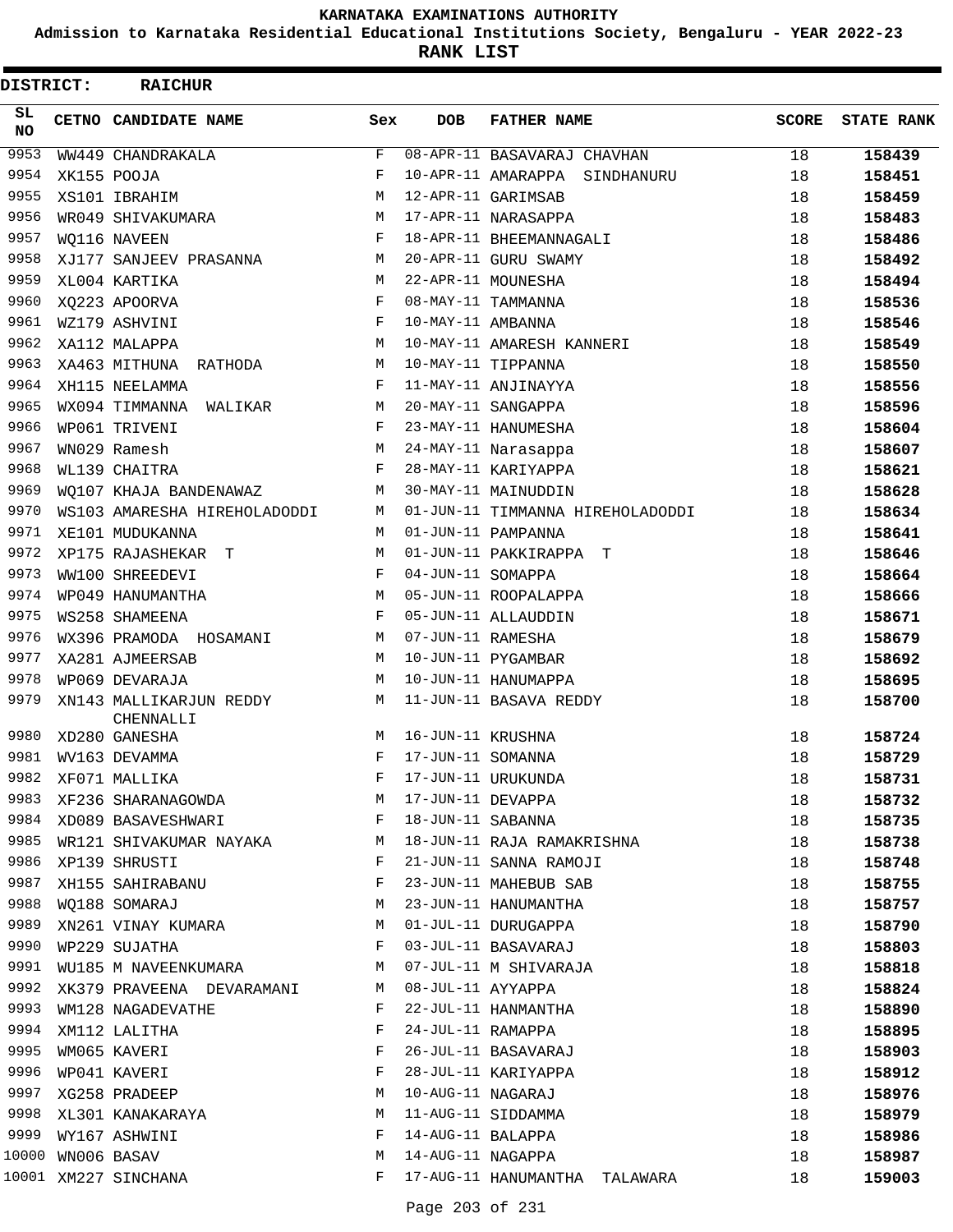**Admission to Karnataka Residential Educational Institutions Society, Bengaluru - YEAR 2022-23**

**RANK LIST**

| DISTRICT:        | <b>RAICHUR</b>                       |             |                   |                                  |              |                   |
|------------------|--------------------------------------|-------------|-------------------|----------------------------------|--------------|-------------------|
| SL.<br><b>NO</b> | CETNO CANDIDATE NAME                 | Sex         | <b>DOB</b>        | <b>FATHER NAME</b>               | <b>SCORE</b> | <b>STATE RANK</b> |
| 9953             | WW449 CHANDRAKALA                    | $\mathbf F$ |                   | 08-APR-11 BASAVARAJ CHAVHAN      | 18           | 158439            |
| 9954             | XK155 POOJA                          | F           |                   | 10-APR-11 AMARAPPA<br>SINDHANURU | 18           | 158451            |
| 9955             | XS101 IBRAHIM                        | М           |                   | 12-APR-11 GARIMSAB               | 18           | 158459            |
| 9956             | WR049 SHIVAKUMARA                    | М           |                   | 17-APR-11 NARASAPPA              | 18           | 158483            |
| 9957             | WO116 NAVEEN                         | F           |                   | 18-APR-11 BHEEMANNAGALI          | 18           | 158486            |
| 9958             | XJ177 SANJEEV PRASANNA               | М           |                   | 20-APR-11 GURU SWAMY             | 18           | 158492            |
| 9959             | XL004 KARTIKA                        | M           |                   | 22-APR-11 MOUNESHA               | 18           | 158494            |
| 9960             | XQ223 APOORVA                        | F           |                   | 08-MAY-11 TAMMANNA               | 18           | 158536            |
| 9961             | WZ179 ASHVINI                        | F           | 10-MAY-11 AMBANNA |                                  | 18           | 158546            |
| 9962             | XA112 MALAPPA                        | М           |                   | 10-MAY-11 AMARESH KANNERI        | 18           | 158549            |
| 9963             | XA463 MITHUNA<br>RATHODA             | М           |                   | 10-MAY-11 TIPPANNA               | 18           | 158550            |
| 9964             | XH115 NEELAMMA                       | F           |                   | 11-MAY-11 ANJINAYYA              | 18           | 158556            |
| 9965             | WX094 TIMMANNA<br>WALIKAR            | М           |                   | 20-MAY-11 SANGAPPA               | 18           | 158596            |
| 9966             | WP061 TRIVENI                        | F           |                   | 23-MAY-11 HANUMESHA              | 18           | 158604            |
| 9967             | WN029 Ramesh                         | M           |                   | 24-MAY-11 Narasappa              | 18           | 158607            |
| 9968             | WL139 CHAITRA                        | F           |                   | 28-MAY-11 KARIYAPPA              | 18           | 158621            |
| 9969             | WQ107 KHAJA BANDENAWAZ               | M           |                   | 30-MAY-11 MAINUDDIN              | 18           | 158628            |
| 9970             | WS103 AMARESHA HIREHOLADODDI         | М           |                   | 01-JUN-11 TIMMANNA HIREHOLADODDI | 18           | 158634            |
| 9971             | XE101 MUDUKANNA                      | М           |                   | 01-JUN-11 PAMPANNA               | 18           | 158641            |
| 9972             | XP175 RAJASHEKAR<br>т                | М           |                   | 01-JUN-11 PAKKIRAPPA<br>т        | 18           | 158646            |
| 9973             | WW100 SHREEDEVI                      | F           | 04-JUN-11 SOMAPPA |                                  | 18           | 158664            |
| 9974             | WP049 HANUMANTHA                     | М           |                   | 05-JUN-11 ROOPALAPPA             | 18           | 158666            |
| 9975             | <b>WS258 SHAMEENA</b>                | F           |                   | 05-JUN-11 ALLAUDDIN              | 18           | 158671            |
| 9976             | WX396 PRAMODA HOSAMANI               | М           | 07-JUN-11 RAMESHA |                                  | 18           | 158679            |
| 9977             | XA281 AJMEERSAB                      | М           |                   | 10-JUN-11 PYGAMBAR               | 18           | 158692            |
| 9978             | WP069 DEVARAJA                       | М           |                   | 10-JUN-11 HANUMAPPA              | 18           | 158695            |
| 9979             | XN143 MALLIKARJUN REDDY<br>CHENNALLI | М           |                   | 11-JUN-11 BASAVA REDDY           | 18           | 158700            |
| 9980             | XD280 GANESHA                        | М           | 16-JUN-11 KRUSHNA |                                  | 18           | 158724            |
| 9981             | WV163 DEVAMMA                        | F           | 17-JUN-11 SOMANNA |                                  | 18           | 158729            |
| 9982             | XF071 MALLIKA                        |             |                   | 17-JUN-11 URUKUNDA               | 18           | 158731            |
| 9983             | XF236 SHARANAGOWDA                   | М           | 17-JUN-11 DEVAPPA |                                  | 18           | 158732            |
| 9984             | XD089 BASAVESHWARI                   | F           | 18-JUN-11 SABANNA |                                  | 18           | 158735            |
| 9985             | WR121 SHIVAKUMAR NAYAKA              | M           |                   | 18-JUN-11 RAJA RAMAKRISHNA       | 18           | 158738            |
| 9986             | XP139 SHRUSTI                        | F           |                   | 21-JUN-11 SANNA RAMOJI           | 18           | 158748            |
| 9987             | XH155 SAHIRABANU                     | F           |                   | 23-JUN-11 MAHEBUB SAB            | 18           | 158755            |
| 9988             | WO188 SOMARAJ                        | М           |                   | 23-JUN-11 HANUMANTHA             | 18           | 158757            |
| 9989             | XN261 VINAY KUMARA                   | M           |                   | 01-JUL-11 DURUGAPPA              | 18           | 158790            |
| 9990             | WP229 SUJATHA                        | F           |                   | 03-JUL-11 BASAVARAJ              | 18           | 158803            |
| 9991             | WU185 M NAVEENKUMARA                 | М           |                   | 07-JUL-11 M SHIVARAJA            | 18           | 158818            |
| 9992             | XK379 PRAVEENA DEVARAMANI            | М           | 08-JUL-11 AYYAPPA |                                  | 18           | 158824            |
| 9993             | WM128 NAGADEVATHE                    | F           |                   | 22-JUL-11 HANMANTHA              | 18           | 158890            |
| 9994             | XM112 LALITHA                        | F           | 24-JUL-11 RAMAPPA |                                  | 18           | 158895            |
| 9995             | WM065 KAVERI                         | F           |                   | 26-JUL-11 BASAVARAJ              | 18           | 158903            |
| 9996             | WP041 KAVERI                         | F           |                   | 28-JUL-11 KARIYAPPA              | 18           | 158912            |
| 9997             | XG258 PRADEEP                        | М           | 10-AUG-11 NAGARAJ |                                  | 18           | 158976            |
| 9998             | XL301 KANAKARAYA                     | М           |                   | 11-AUG-11 SIDDAMMA               | 18           | 158979            |
| 9999             | WY167 ASHWINI                        | F           | 14-AUG-11 BALAPPA |                                  | 18           | 158986            |
| 10000            | WN006 BASAV                          | М           | 14-AUG-11 NAGAPPA |                                  | 18           | 158987            |
|                  | 10001 XM227 SINCHANA                 | F           |                   | 17-AUG-11 HANUMANTHA TALAWARA    | 18           | 159003            |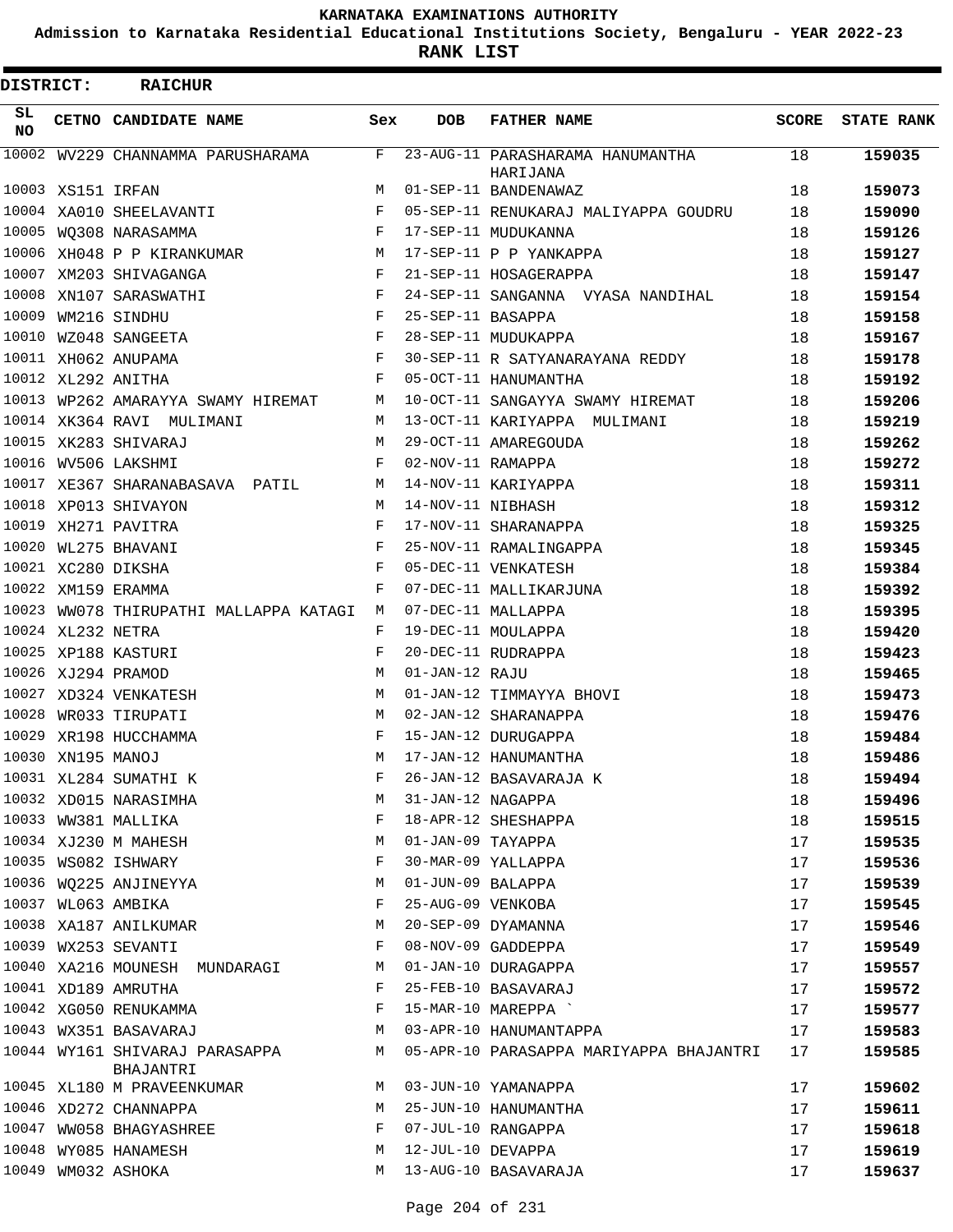**Admission to Karnataka Residential Educational Institutions Society, Bengaluru - YEAR 2022-23**

**RANK LIST**

| DISTRICT: |                   | <b>RAICHUR</b>                              |     |                   |                                              |              |                   |
|-----------|-------------------|---------------------------------------------|-----|-------------------|----------------------------------------------|--------------|-------------------|
| SL<br>NO. |                   | CETNO CANDIDATE NAME                        | Sex | <b>DOB</b>        | <b>FATHER NAME</b>                           | <b>SCORE</b> | <b>STATE RANK</b> |
| 10002     |                   | WV229 CHANNAMMA PARUSHARAMA                 | F   |                   | 23-AUG-11 PARASHARAMA HANUMANTHA<br>HARIJANA | 18           | 159035            |
|           | 10003 XS151 IRFAN |                                             | M   |                   | 01-SEP-11 BANDENAWAZ                         | 18           | 159073            |
|           |                   | 10004 XA010 SHEELAVANTI                     | F   |                   | 05-SEP-11 RENUKARAJ MALIYAPPA GOUDRU         | 18           | 159090            |
|           |                   | 10005 WQ308 NARASAMMA                       | F   |                   | 17-SEP-11 MUDUKANNA                          | 18           | 159126            |
|           |                   | 10006 XH048 P P KIRANKUMAR                  | M   |                   | 17-SEP-11 P P YANKAPPA                       | 18           | 159127            |
| 10007     |                   | XM203 SHIVAGANGA                            | F   |                   | 21-SEP-11 HOSAGERAPPA                        | 18           | 159147            |
| 10008     |                   | XN107 SARASWATHI                            | F   |                   | 24-SEP-11 SANGANNA VYASA NANDIHAL            | 18           | 159154            |
|           |                   | 10009 WM216 SINDHU                          | F   | 25-SEP-11 BASAPPA |                                              | 18           | 159158            |
|           |                   | 10010 WZ048 SANGEETA                        | F   |                   | 28-SEP-11 MUDUKAPPA                          | 18           | 159167            |
|           |                   | 10011 XH062 ANUPAMA                         | F   |                   | 30-SEP-11 R SATYANARAYANA REDDY              | 18           | 159178            |
|           |                   | 10012 XL292 ANITHA                          | F   |                   | 05-OCT-11 HANUMANTHA                         | 18           | 159192            |
|           |                   | 10013 WP262 AMARAYYA SWAMY HIREMAT          | М   |                   | 10-OCT-11 SANGAYYA SWAMY HIREMAT             | 18           | 159206            |
|           |                   | 10014 XK364 RAVI MULIMANI                   | М   |                   | 13-OCT-11 KARIYAPPA MULIMANI                 | 18           | 159219            |
|           |                   | 10015 XK283 SHIVARAJ                        | М   |                   | 29-OCT-11 AMAREGOUDA                         | 18           | 159262            |
|           |                   | 10016 WV506 LAKSHMI                         | F   | 02-NOV-11 RAMAPPA |                                              | 18           | 159272            |
|           |                   | 10017 XE367 SHARANABASAVA PATIL             | М   |                   | 14-NOV-11 KARIYAPPA                          | 18           | 159311            |
|           |                   | 10018 XP013 SHIVAYON                        | M   | 14-NOV-11 NIBHASH |                                              | 18           | 159312            |
| 10019     |                   | XH271 PAVITRA                               | F   |                   | 17-NOV-11 SHARANAPPA                         | 18           | 159325            |
| 10020     |                   | WL275 BHAVANI                               | F   |                   | 25-NOV-11 RAMALINGAPPA                       | 18           | 159345            |
|           |                   | 10021 XC280 DIKSHA                          | F   |                   | 05-DEC-11 VENKATESH                          | 18           | 159384            |
|           |                   | 10022 XM159 ERAMMA                          | F   |                   | 07-DEC-11 MALLIKARJUNA                       | 18           | 159392            |
| 10023     |                   | WW078 THIRUPATHI MALLAPPA KATAGI            | М   |                   | 07-DEC-11 MALLAPPA                           | 18           | 159395            |
|           | 10024 XL232 NETRA |                                             | F   |                   | 19-DEC-11 MOULAPPA                           | 18           | 159420            |
|           |                   | 10025 XP188 KASTURI                         | F   |                   | 20-DEC-11 RUDRAPPA                           | 18           | 159423            |
|           |                   | 10026 XJ294 PRAMOD                          | M   | 01-JAN-12 RAJU    |                                              | 18           | 159465            |
| 10027     |                   | XD324 VENKATESH                             | M   |                   | 01-JAN-12 TIMMAYYA BHOVI                     | 18           | 159473            |
| 10028     |                   | WR033 TIRUPATI                              | М   |                   | 02-JAN-12 SHARANAPPA                         | 18           | 159476            |
|           |                   | 10029 XR198 HUCCHAMMA                       | F   |                   | 15-JAN-12 DURUGAPPA                          | 18           | 159484            |
|           | 10030 XN195 MANOJ |                                             | М   |                   | 17-JAN-12 HANUMANTHA                         | 18           | 159486            |
|           |                   | 10031 XL284 SUMATHI K                       | F   |                   | 26-JAN-12 BASAVARAJA K                       | 18           | 159494            |
|           |                   | 10032 XD015 NARASIMHA                       | М   | 31-JAN-12 NAGAPPA |                                              | 18           | 159496            |
|           |                   | 10033 WW381 MALLIKA                         | F   |                   | 18-APR-12 SHESHAPPA                          | 18           | 159515            |
|           |                   | 10034 XJ230 M MAHESH                        | М   | 01-JAN-09 TAYAPPA |                                              | 17           | 159535            |
|           |                   | 10035 WS082 ISHWARY                         | F   |                   | 30-MAR-09 YALLAPPA                           | 17           | 159536            |
|           |                   | 10036 WQ225 ANJINEYYA                       | М   | 01-JUN-09 BALAPPA |                                              | 17           | 159539            |
|           |                   | 10037 WL063 AMBIKA                          | F   | 25-AUG-09 VENKOBA |                                              | 17           |                   |
|           |                   | 10038 XA187 ANILKUMAR                       | М   |                   | 20-SEP-09 DYAMANNA                           |              | 159545            |
|           |                   | 10039 WX253 SEVANTI                         | F   |                   | 08-NOV-09 GADDEPPA                           | 17           | 159546            |
|           |                   |                                             |     |                   |                                              | 17           | 159549            |
|           |                   | 10040 XA216 MOUNESH MUNDARAGI               | М   |                   | 01-JAN-10 DURAGAPPA                          | 17           | 159557            |
|           |                   | 10041 XD189 AMRUTHA                         | F   |                   | 25-FEB-10 BASAVARAJ                          | 17           | 159572            |
|           |                   | 10042 XG050 RENUKAMMA                       | F   |                   | 15-MAR-10 MAREPPA                            | 17           | 159577            |
|           |                   | 10043 WX351 BASAVARAJ                       | М   |                   | 03-APR-10 HANUMANTAPPA                       | 17           | 159583            |
|           |                   | 10044 WY161 SHIVARAJ PARASAPPA<br>BHAJANTRI | М   |                   | 05-APR-10 PARASAPPA MARIYAPPA BHAJANTRI      | 17           | 159585            |
|           |                   | 10045 XL180 M PRAVEENKUMAR                  | М   |                   | 03-JUN-10 YAMANAPPA                          | 17           | 159602            |
|           |                   | 10046 XD272 CHANNAPPA                       | M   |                   | 25-JUN-10 HANUMANTHA                         | 17           | 159611            |
|           |                   | 10047 WW058 BHAGYASHREE                     | F   |                   | 07-JUL-10 RANGAPPA                           | 17           | 159618            |
|           |                   | 10048 WY085 HANAMESH                        | M   | 12-JUL-10 DEVAPPA |                                              | 17           | 159619            |
|           |                   | 10049 WM032 ASHOKA                          | М   |                   | 13-AUG-10 BASAVARAJA                         | 17           | 159637            |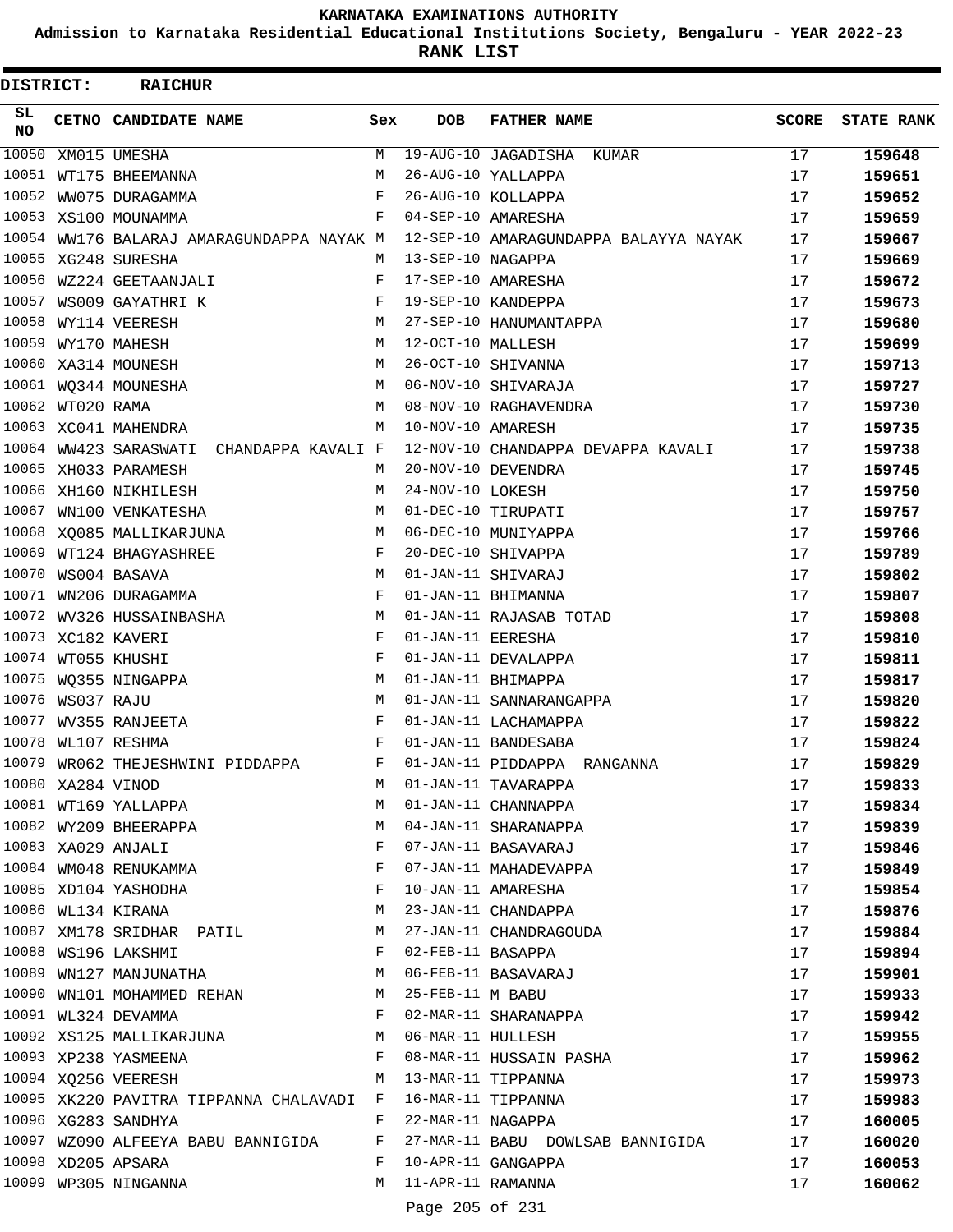**Admission to Karnataka Residential Educational Institutions Society, Bengaluru - YEAR 2022-23**

| SL<br>CETNO CANDIDATE NAME<br>DOB<br><b>FATHER NAME</b><br><b>SCORE</b><br>Sex<br><b>NO</b><br>10050<br>19-AUG-10 JAGADISHA KUMAR<br>17<br>159648<br>XM015 UMESHA<br>M<br>10051<br>26-AUG-10 YALLAPPA<br>WT175 BHEEMANNA<br>М<br>17<br>159651<br>10052<br>26-AUG-10 KOLLAPPA<br>WW075 DURAGAMMA<br>F<br>17<br>159652<br>10053<br>F<br>04-SEP-10 AMARESHA<br>17<br>XS100 MOUNAMMA<br>159659<br>10054 WW176 BALARAJ AMARAGUNDAPPA NAYAK M<br>12-SEP-10 AMARAGUNDAPPA BALAYYA NAYAK<br>17<br>159667<br>13-SEP-10 NAGAPPA<br>XG248 SURESHA<br>17<br>159669<br>М<br>10056<br>17-SEP-10 AMARESHA<br>WZ224 GEETAANJALI<br>F<br>17<br>159672<br>19-SEP-10 KANDEPPA<br>17<br>WS009 GAYATHRI K<br>F<br>159673<br>10058<br>27-SEP-10 HANUMANTAPPA<br>WY114 VEERESH<br>M<br>17<br>159680<br>10059<br>12-OCT-10 MALLESH<br>17<br>WY170 MAHESH<br>M<br>159699<br>10060 XA314 MOUNESH<br>26-OCT-10 SHIVANNA<br>17<br>М<br>159713<br>10061<br>06-NOV-10 SHIVARAJA<br>17<br>WO344 MOUNESHA<br>М<br>159727<br>10062 WT020 RAMA<br>08-NOV-10 RAGHAVENDRA<br>M<br>17<br>159730<br>10063 XC041 MAHENDRA<br>10-NOV-10 AMARESH<br>M<br>17<br>159735<br>10064<br>12-NOV-10 CHANDAPPA DEVAPPA KAVALI<br>WW423 SARASWATI CHANDAPPA KAVALI F<br>17<br>159738<br>10065 XH033 PARAMESH<br>20-NOV-10 DEVENDRA<br>17<br>159745<br>M<br>10066 XH160 NIKHILESH<br>24-NOV-10 LOKESH<br>17<br>М<br>159750<br>10067<br>01-DEC-10 TIRUPATI<br>17<br>WN100 VENKATESHA<br>159757<br>M<br>10068<br>06-DEC-10 MUNIYAPPA<br>17<br>XQ085 MALLIKARJUNA<br>М<br>159766<br>10069<br>F<br>20-DEC-10 SHIVAPPA<br>17<br>WT124 BHAGYASHREE<br>159789<br>10070<br>M<br>01-JAN-11 SHIVARAJ<br>WS004 BASAVA<br>17<br>159802<br>10071<br>F<br>01-JAN-11 BHIMANNA<br>WN206 DURAGAMMA<br>17<br>159807<br>10072<br>01-JAN-11 RAJASAB TOTAD<br>WV326 HUSSAINBASHA<br>М<br>17<br>159808<br>10073 XC182 KAVERI<br>F<br>01-JAN-11 EERESHA<br>17<br>159810<br>10074 WT055 KHUSHI<br>F<br>01-JAN-11 DEVALAPPA<br>17<br>159811<br>10075 WQ355 NINGAPPA<br>01-JAN-11 BHIMAPPA<br>М<br>17<br>159817<br>10076<br>WS037 RAJU<br>01-JAN-11 SANNARANGAPPA<br>М<br>17<br>159820<br>10077<br>F<br>01-JAN-11 LACHAMAPPA<br>WV355 RANJEETA<br>17<br>159822<br>10078 WL107 RESHMA<br>$\mathbf F$<br>01-JAN-11 BANDESABA<br>17<br>159824<br>10079 WR062 THEJESHWINI PIDDAPPA F<br>01-JAN-11 PIDDAPPA RANGANNA<br>17<br>159829<br>10080 XA284 VINOD<br>01-JAN-11 TAVARAPPA<br>17<br>159833<br>М<br>10081 WT169 YALLAPPA<br>01-JAN-11 CHANNAPPA<br>М<br>17<br>159834<br>10082 WY209 BHEERAPPA<br>04-JAN-11 SHARANAPPA<br>М<br>17<br>159839<br>10083 XA029 ANJALI<br>07-JAN-11 BASAVARAJ<br>F<br>17<br>159846<br>10084 WM048 RENUKAMMA<br>F<br>07-JAN-11 MAHADEVAPPA<br>17<br>159849<br>10085 XD104 YASHODHA<br>F<br>10-JAN-11 AMARESHA<br>17<br>159854<br>10086 WL134 KIRANA<br>23-JAN-11 CHANDAPPA<br>М<br>17<br>159876<br>10087 XM178 SRIDHAR PATIL<br>27-JAN-11 CHANDRAGOUDA<br>17<br>M<br>159884<br>10088 WS196 LAKSHMI<br>F<br>02-FEB-11 BASAPPA<br>17<br>159894<br>10089 WN127 MANJUNATHA<br>06-FEB-11 BASAVARAJ<br>М<br>17<br>159901<br>10090 WN101 MOHAMMED REHAN<br>25-FEB-11 M BABU<br>M<br>17<br>159933<br>10091 WL324 DEVAMMA<br>F<br>02-MAR-11 SHARANAPPA<br>17<br>159942<br>10092 XS125 MALLIKARJUNA<br>06-MAR-11 HULLESH<br>17<br>M<br>159955<br>10093 XP238 YASMEENA<br>F<br>08-MAR-11 HUSSAIN PASHA<br>17<br>159962<br>10094 XQ256 VEERESH<br>13-MAR-11 TIPPANNA<br>М<br>17<br>159973<br>10095 XK220 PAVITRA TIPPANNA CHALAVADI F 16-MAR-11 TIPPANNA<br>17<br>159983<br>10096 XG283 SANDHYA<br>F<br>22-MAR-11 NAGAPPA<br>17<br>160005<br>10097 WZ090 ALFEEYA BABU BANNIGIDA<br>27-MAR-11 BABU DOWLSAB BANNIGIDA<br>F<br>17<br>160020<br>10098 XD205 APSARA<br>10-APR-11 GANGAPPA<br>F<br>17<br>160053<br>10099 WP305 NINGANNA<br>11-APR-11 RAMANNA<br>M<br>17<br>160062<br>Page 205 of 231 | DISTRICT: | <b>RAICHUR</b> |  |  |                   |
|-------------------------------------------------------------------------------------------------------------------------------------------------------------------------------------------------------------------------------------------------------------------------------------------------------------------------------------------------------------------------------------------------------------------------------------------------------------------------------------------------------------------------------------------------------------------------------------------------------------------------------------------------------------------------------------------------------------------------------------------------------------------------------------------------------------------------------------------------------------------------------------------------------------------------------------------------------------------------------------------------------------------------------------------------------------------------------------------------------------------------------------------------------------------------------------------------------------------------------------------------------------------------------------------------------------------------------------------------------------------------------------------------------------------------------------------------------------------------------------------------------------------------------------------------------------------------------------------------------------------------------------------------------------------------------------------------------------------------------------------------------------------------------------------------------------------------------------------------------------------------------------------------------------------------------------------------------------------------------------------------------------------------------------------------------------------------------------------------------------------------------------------------------------------------------------------------------------------------------------------------------------------------------------------------------------------------------------------------------------------------------------------------------------------------------------------------------------------------------------------------------------------------------------------------------------------------------------------------------------------------------------------------------------------------------------------------------------------------------------------------------------------------------------------------------------------------------------------------------------------------------------------------------------------------------------------------------------------------------------------------------------------------------------------------------------------------------------------------------------------------------------------------------------------------------------------------------------------------------------------------------------------------------------------------------------------------------------------------------------------------------------------------------------------------------------------------------------------------------------------------------------------------------------------------------------------------------------------------------------------------------------------------------------------------------------------------------------------------------------------------------------------------------------------------------------------------------|-----------|----------------|--|--|-------------------|
|                                                                                                                                                                                                                                                                                                                                                                                                                                                                                                                                                                                                                                                                                                                                                                                                                                                                                                                                                                                                                                                                                                                                                                                                                                                                                                                                                                                                                                                                                                                                                                                                                                                                                                                                                                                                                                                                                                                                                                                                                                                                                                                                                                                                                                                                                                                                                                                                                                                                                                                                                                                                                                                                                                                                                                                                                                                                                                                                                                                                                                                                                                                                                                                                                                                                                                                                                                                                                                                                                                                                                                                                                                                                                                                                                                                                                               |           |                |  |  | <b>STATE RANK</b> |
|                                                                                                                                                                                                                                                                                                                                                                                                                                                                                                                                                                                                                                                                                                                                                                                                                                                                                                                                                                                                                                                                                                                                                                                                                                                                                                                                                                                                                                                                                                                                                                                                                                                                                                                                                                                                                                                                                                                                                                                                                                                                                                                                                                                                                                                                                                                                                                                                                                                                                                                                                                                                                                                                                                                                                                                                                                                                                                                                                                                                                                                                                                                                                                                                                                                                                                                                                                                                                                                                                                                                                                                                                                                                                                                                                                                                                               |           |                |  |  |                   |
|                                                                                                                                                                                                                                                                                                                                                                                                                                                                                                                                                                                                                                                                                                                                                                                                                                                                                                                                                                                                                                                                                                                                                                                                                                                                                                                                                                                                                                                                                                                                                                                                                                                                                                                                                                                                                                                                                                                                                                                                                                                                                                                                                                                                                                                                                                                                                                                                                                                                                                                                                                                                                                                                                                                                                                                                                                                                                                                                                                                                                                                                                                                                                                                                                                                                                                                                                                                                                                                                                                                                                                                                                                                                                                                                                                                                                               |           |                |  |  |                   |
|                                                                                                                                                                                                                                                                                                                                                                                                                                                                                                                                                                                                                                                                                                                                                                                                                                                                                                                                                                                                                                                                                                                                                                                                                                                                                                                                                                                                                                                                                                                                                                                                                                                                                                                                                                                                                                                                                                                                                                                                                                                                                                                                                                                                                                                                                                                                                                                                                                                                                                                                                                                                                                                                                                                                                                                                                                                                                                                                                                                                                                                                                                                                                                                                                                                                                                                                                                                                                                                                                                                                                                                                                                                                                                                                                                                                                               |           |                |  |  |                   |
|                                                                                                                                                                                                                                                                                                                                                                                                                                                                                                                                                                                                                                                                                                                                                                                                                                                                                                                                                                                                                                                                                                                                                                                                                                                                                                                                                                                                                                                                                                                                                                                                                                                                                                                                                                                                                                                                                                                                                                                                                                                                                                                                                                                                                                                                                                                                                                                                                                                                                                                                                                                                                                                                                                                                                                                                                                                                                                                                                                                                                                                                                                                                                                                                                                                                                                                                                                                                                                                                                                                                                                                                                                                                                                                                                                                                                               |           |                |  |  |                   |
|                                                                                                                                                                                                                                                                                                                                                                                                                                                                                                                                                                                                                                                                                                                                                                                                                                                                                                                                                                                                                                                                                                                                                                                                                                                                                                                                                                                                                                                                                                                                                                                                                                                                                                                                                                                                                                                                                                                                                                                                                                                                                                                                                                                                                                                                                                                                                                                                                                                                                                                                                                                                                                                                                                                                                                                                                                                                                                                                                                                                                                                                                                                                                                                                                                                                                                                                                                                                                                                                                                                                                                                                                                                                                                                                                                                                                               |           |                |  |  |                   |
|                                                                                                                                                                                                                                                                                                                                                                                                                                                                                                                                                                                                                                                                                                                                                                                                                                                                                                                                                                                                                                                                                                                                                                                                                                                                                                                                                                                                                                                                                                                                                                                                                                                                                                                                                                                                                                                                                                                                                                                                                                                                                                                                                                                                                                                                                                                                                                                                                                                                                                                                                                                                                                                                                                                                                                                                                                                                                                                                                                                                                                                                                                                                                                                                                                                                                                                                                                                                                                                                                                                                                                                                                                                                                                                                                                                                                               | 10055     |                |  |  |                   |
|                                                                                                                                                                                                                                                                                                                                                                                                                                                                                                                                                                                                                                                                                                                                                                                                                                                                                                                                                                                                                                                                                                                                                                                                                                                                                                                                                                                                                                                                                                                                                                                                                                                                                                                                                                                                                                                                                                                                                                                                                                                                                                                                                                                                                                                                                                                                                                                                                                                                                                                                                                                                                                                                                                                                                                                                                                                                                                                                                                                                                                                                                                                                                                                                                                                                                                                                                                                                                                                                                                                                                                                                                                                                                                                                                                                                                               |           |                |  |  |                   |
|                                                                                                                                                                                                                                                                                                                                                                                                                                                                                                                                                                                                                                                                                                                                                                                                                                                                                                                                                                                                                                                                                                                                                                                                                                                                                                                                                                                                                                                                                                                                                                                                                                                                                                                                                                                                                                                                                                                                                                                                                                                                                                                                                                                                                                                                                                                                                                                                                                                                                                                                                                                                                                                                                                                                                                                                                                                                                                                                                                                                                                                                                                                                                                                                                                                                                                                                                                                                                                                                                                                                                                                                                                                                                                                                                                                                                               | 10057     |                |  |  |                   |
|                                                                                                                                                                                                                                                                                                                                                                                                                                                                                                                                                                                                                                                                                                                                                                                                                                                                                                                                                                                                                                                                                                                                                                                                                                                                                                                                                                                                                                                                                                                                                                                                                                                                                                                                                                                                                                                                                                                                                                                                                                                                                                                                                                                                                                                                                                                                                                                                                                                                                                                                                                                                                                                                                                                                                                                                                                                                                                                                                                                                                                                                                                                                                                                                                                                                                                                                                                                                                                                                                                                                                                                                                                                                                                                                                                                                                               |           |                |  |  |                   |
|                                                                                                                                                                                                                                                                                                                                                                                                                                                                                                                                                                                                                                                                                                                                                                                                                                                                                                                                                                                                                                                                                                                                                                                                                                                                                                                                                                                                                                                                                                                                                                                                                                                                                                                                                                                                                                                                                                                                                                                                                                                                                                                                                                                                                                                                                                                                                                                                                                                                                                                                                                                                                                                                                                                                                                                                                                                                                                                                                                                                                                                                                                                                                                                                                                                                                                                                                                                                                                                                                                                                                                                                                                                                                                                                                                                                                               |           |                |  |  |                   |
|                                                                                                                                                                                                                                                                                                                                                                                                                                                                                                                                                                                                                                                                                                                                                                                                                                                                                                                                                                                                                                                                                                                                                                                                                                                                                                                                                                                                                                                                                                                                                                                                                                                                                                                                                                                                                                                                                                                                                                                                                                                                                                                                                                                                                                                                                                                                                                                                                                                                                                                                                                                                                                                                                                                                                                                                                                                                                                                                                                                                                                                                                                                                                                                                                                                                                                                                                                                                                                                                                                                                                                                                                                                                                                                                                                                                                               |           |                |  |  |                   |
|                                                                                                                                                                                                                                                                                                                                                                                                                                                                                                                                                                                                                                                                                                                                                                                                                                                                                                                                                                                                                                                                                                                                                                                                                                                                                                                                                                                                                                                                                                                                                                                                                                                                                                                                                                                                                                                                                                                                                                                                                                                                                                                                                                                                                                                                                                                                                                                                                                                                                                                                                                                                                                                                                                                                                                                                                                                                                                                                                                                                                                                                                                                                                                                                                                                                                                                                                                                                                                                                                                                                                                                                                                                                                                                                                                                                                               |           |                |  |  |                   |
|                                                                                                                                                                                                                                                                                                                                                                                                                                                                                                                                                                                                                                                                                                                                                                                                                                                                                                                                                                                                                                                                                                                                                                                                                                                                                                                                                                                                                                                                                                                                                                                                                                                                                                                                                                                                                                                                                                                                                                                                                                                                                                                                                                                                                                                                                                                                                                                                                                                                                                                                                                                                                                                                                                                                                                                                                                                                                                                                                                                                                                                                                                                                                                                                                                                                                                                                                                                                                                                                                                                                                                                                                                                                                                                                                                                                                               |           |                |  |  |                   |
|                                                                                                                                                                                                                                                                                                                                                                                                                                                                                                                                                                                                                                                                                                                                                                                                                                                                                                                                                                                                                                                                                                                                                                                                                                                                                                                                                                                                                                                                                                                                                                                                                                                                                                                                                                                                                                                                                                                                                                                                                                                                                                                                                                                                                                                                                                                                                                                                                                                                                                                                                                                                                                                                                                                                                                                                                                                                                                                                                                                                                                                                                                                                                                                                                                                                                                                                                                                                                                                                                                                                                                                                                                                                                                                                                                                                                               |           |                |  |  |                   |
|                                                                                                                                                                                                                                                                                                                                                                                                                                                                                                                                                                                                                                                                                                                                                                                                                                                                                                                                                                                                                                                                                                                                                                                                                                                                                                                                                                                                                                                                                                                                                                                                                                                                                                                                                                                                                                                                                                                                                                                                                                                                                                                                                                                                                                                                                                                                                                                                                                                                                                                                                                                                                                                                                                                                                                                                                                                                                                                                                                                                                                                                                                                                                                                                                                                                                                                                                                                                                                                                                                                                                                                                                                                                                                                                                                                                                               |           |                |  |  |                   |
|                                                                                                                                                                                                                                                                                                                                                                                                                                                                                                                                                                                                                                                                                                                                                                                                                                                                                                                                                                                                                                                                                                                                                                                                                                                                                                                                                                                                                                                                                                                                                                                                                                                                                                                                                                                                                                                                                                                                                                                                                                                                                                                                                                                                                                                                                                                                                                                                                                                                                                                                                                                                                                                                                                                                                                                                                                                                                                                                                                                                                                                                                                                                                                                                                                                                                                                                                                                                                                                                                                                                                                                                                                                                                                                                                                                                                               |           |                |  |  |                   |
|                                                                                                                                                                                                                                                                                                                                                                                                                                                                                                                                                                                                                                                                                                                                                                                                                                                                                                                                                                                                                                                                                                                                                                                                                                                                                                                                                                                                                                                                                                                                                                                                                                                                                                                                                                                                                                                                                                                                                                                                                                                                                                                                                                                                                                                                                                                                                                                                                                                                                                                                                                                                                                                                                                                                                                                                                                                                                                                                                                                                                                                                                                                                                                                                                                                                                                                                                                                                                                                                                                                                                                                                                                                                                                                                                                                                                               |           |                |  |  |                   |
|                                                                                                                                                                                                                                                                                                                                                                                                                                                                                                                                                                                                                                                                                                                                                                                                                                                                                                                                                                                                                                                                                                                                                                                                                                                                                                                                                                                                                                                                                                                                                                                                                                                                                                                                                                                                                                                                                                                                                                                                                                                                                                                                                                                                                                                                                                                                                                                                                                                                                                                                                                                                                                                                                                                                                                                                                                                                                                                                                                                                                                                                                                                                                                                                                                                                                                                                                                                                                                                                                                                                                                                                                                                                                                                                                                                                                               |           |                |  |  |                   |
|                                                                                                                                                                                                                                                                                                                                                                                                                                                                                                                                                                                                                                                                                                                                                                                                                                                                                                                                                                                                                                                                                                                                                                                                                                                                                                                                                                                                                                                                                                                                                                                                                                                                                                                                                                                                                                                                                                                                                                                                                                                                                                                                                                                                                                                                                                                                                                                                                                                                                                                                                                                                                                                                                                                                                                                                                                                                                                                                                                                                                                                                                                                                                                                                                                                                                                                                                                                                                                                                                                                                                                                                                                                                                                                                                                                                                               |           |                |  |  |                   |
|                                                                                                                                                                                                                                                                                                                                                                                                                                                                                                                                                                                                                                                                                                                                                                                                                                                                                                                                                                                                                                                                                                                                                                                                                                                                                                                                                                                                                                                                                                                                                                                                                                                                                                                                                                                                                                                                                                                                                                                                                                                                                                                                                                                                                                                                                                                                                                                                                                                                                                                                                                                                                                                                                                                                                                                                                                                                                                                                                                                                                                                                                                                                                                                                                                                                                                                                                                                                                                                                                                                                                                                                                                                                                                                                                                                                                               |           |                |  |  |                   |
|                                                                                                                                                                                                                                                                                                                                                                                                                                                                                                                                                                                                                                                                                                                                                                                                                                                                                                                                                                                                                                                                                                                                                                                                                                                                                                                                                                                                                                                                                                                                                                                                                                                                                                                                                                                                                                                                                                                                                                                                                                                                                                                                                                                                                                                                                                                                                                                                                                                                                                                                                                                                                                                                                                                                                                                                                                                                                                                                                                                                                                                                                                                                                                                                                                                                                                                                                                                                                                                                                                                                                                                                                                                                                                                                                                                                                               |           |                |  |  |                   |
|                                                                                                                                                                                                                                                                                                                                                                                                                                                                                                                                                                                                                                                                                                                                                                                                                                                                                                                                                                                                                                                                                                                                                                                                                                                                                                                                                                                                                                                                                                                                                                                                                                                                                                                                                                                                                                                                                                                                                                                                                                                                                                                                                                                                                                                                                                                                                                                                                                                                                                                                                                                                                                                                                                                                                                                                                                                                                                                                                                                                                                                                                                                                                                                                                                                                                                                                                                                                                                                                                                                                                                                                                                                                                                                                                                                                                               |           |                |  |  |                   |
|                                                                                                                                                                                                                                                                                                                                                                                                                                                                                                                                                                                                                                                                                                                                                                                                                                                                                                                                                                                                                                                                                                                                                                                                                                                                                                                                                                                                                                                                                                                                                                                                                                                                                                                                                                                                                                                                                                                                                                                                                                                                                                                                                                                                                                                                                                                                                                                                                                                                                                                                                                                                                                                                                                                                                                                                                                                                                                                                                                                                                                                                                                                                                                                                                                                                                                                                                                                                                                                                                                                                                                                                                                                                                                                                                                                                                               |           |                |  |  |                   |
|                                                                                                                                                                                                                                                                                                                                                                                                                                                                                                                                                                                                                                                                                                                                                                                                                                                                                                                                                                                                                                                                                                                                                                                                                                                                                                                                                                                                                                                                                                                                                                                                                                                                                                                                                                                                                                                                                                                                                                                                                                                                                                                                                                                                                                                                                                                                                                                                                                                                                                                                                                                                                                                                                                                                                                                                                                                                                                                                                                                                                                                                                                                                                                                                                                                                                                                                                                                                                                                                                                                                                                                                                                                                                                                                                                                                                               |           |                |  |  |                   |
|                                                                                                                                                                                                                                                                                                                                                                                                                                                                                                                                                                                                                                                                                                                                                                                                                                                                                                                                                                                                                                                                                                                                                                                                                                                                                                                                                                                                                                                                                                                                                                                                                                                                                                                                                                                                                                                                                                                                                                                                                                                                                                                                                                                                                                                                                                                                                                                                                                                                                                                                                                                                                                                                                                                                                                                                                                                                                                                                                                                                                                                                                                                                                                                                                                                                                                                                                                                                                                                                                                                                                                                                                                                                                                                                                                                                                               |           |                |  |  |                   |
|                                                                                                                                                                                                                                                                                                                                                                                                                                                                                                                                                                                                                                                                                                                                                                                                                                                                                                                                                                                                                                                                                                                                                                                                                                                                                                                                                                                                                                                                                                                                                                                                                                                                                                                                                                                                                                                                                                                                                                                                                                                                                                                                                                                                                                                                                                                                                                                                                                                                                                                                                                                                                                                                                                                                                                                                                                                                                                                                                                                                                                                                                                                                                                                                                                                                                                                                                                                                                                                                                                                                                                                                                                                                                                                                                                                                                               |           |                |  |  |                   |
|                                                                                                                                                                                                                                                                                                                                                                                                                                                                                                                                                                                                                                                                                                                                                                                                                                                                                                                                                                                                                                                                                                                                                                                                                                                                                                                                                                                                                                                                                                                                                                                                                                                                                                                                                                                                                                                                                                                                                                                                                                                                                                                                                                                                                                                                                                                                                                                                                                                                                                                                                                                                                                                                                                                                                                                                                                                                                                                                                                                                                                                                                                                                                                                                                                                                                                                                                                                                                                                                                                                                                                                                                                                                                                                                                                                                                               |           |                |  |  |                   |
|                                                                                                                                                                                                                                                                                                                                                                                                                                                                                                                                                                                                                                                                                                                                                                                                                                                                                                                                                                                                                                                                                                                                                                                                                                                                                                                                                                                                                                                                                                                                                                                                                                                                                                                                                                                                                                                                                                                                                                                                                                                                                                                                                                                                                                                                                                                                                                                                                                                                                                                                                                                                                                                                                                                                                                                                                                                                                                                                                                                                                                                                                                                                                                                                                                                                                                                                                                                                                                                                                                                                                                                                                                                                                                                                                                                                                               |           |                |  |  |                   |
|                                                                                                                                                                                                                                                                                                                                                                                                                                                                                                                                                                                                                                                                                                                                                                                                                                                                                                                                                                                                                                                                                                                                                                                                                                                                                                                                                                                                                                                                                                                                                                                                                                                                                                                                                                                                                                                                                                                                                                                                                                                                                                                                                                                                                                                                                                                                                                                                                                                                                                                                                                                                                                                                                                                                                                                                                                                                                                                                                                                                                                                                                                                                                                                                                                                                                                                                                                                                                                                                                                                                                                                                                                                                                                                                                                                                                               |           |                |  |  |                   |
|                                                                                                                                                                                                                                                                                                                                                                                                                                                                                                                                                                                                                                                                                                                                                                                                                                                                                                                                                                                                                                                                                                                                                                                                                                                                                                                                                                                                                                                                                                                                                                                                                                                                                                                                                                                                                                                                                                                                                                                                                                                                                                                                                                                                                                                                                                                                                                                                                                                                                                                                                                                                                                                                                                                                                                                                                                                                                                                                                                                                                                                                                                                                                                                                                                                                                                                                                                                                                                                                                                                                                                                                                                                                                                                                                                                                                               |           |                |  |  |                   |
|                                                                                                                                                                                                                                                                                                                                                                                                                                                                                                                                                                                                                                                                                                                                                                                                                                                                                                                                                                                                                                                                                                                                                                                                                                                                                                                                                                                                                                                                                                                                                                                                                                                                                                                                                                                                                                                                                                                                                                                                                                                                                                                                                                                                                                                                                                                                                                                                                                                                                                                                                                                                                                                                                                                                                                                                                                                                                                                                                                                                                                                                                                                                                                                                                                                                                                                                                                                                                                                                                                                                                                                                                                                                                                                                                                                                                               |           |                |  |  |                   |
|                                                                                                                                                                                                                                                                                                                                                                                                                                                                                                                                                                                                                                                                                                                                                                                                                                                                                                                                                                                                                                                                                                                                                                                                                                                                                                                                                                                                                                                                                                                                                                                                                                                                                                                                                                                                                                                                                                                                                                                                                                                                                                                                                                                                                                                                                                                                                                                                                                                                                                                                                                                                                                                                                                                                                                                                                                                                                                                                                                                                                                                                                                                                                                                                                                                                                                                                                                                                                                                                                                                                                                                                                                                                                                                                                                                                                               |           |                |  |  |                   |
|                                                                                                                                                                                                                                                                                                                                                                                                                                                                                                                                                                                                                                                                                                                                                                                                                                                                                                                                                                                                                                                                                                                                                                                                                                                                                                                                                                                                                                                                                                                                                                                                                                                                                                                                                                                                                                                                                                                                                                                                                                                                                                                                                                                                                                                                                                                                                                                                                                                                                                                                                                                                                                                                                                                                                                                                                                                                                                                                                                                                                                                                                                                                                                                                                                                                                                                                                                                                                                                                                                                                                                                                                                                                                                                                                                                                                               |           |                |  |  |                   |
|                                                                                                                                                                                                                                                                                                                                                                                                                                                                                                                                                                                                                                                                                                                                                                                                                                                                                                                                                                                                                                                                                                                                                                                                                                                                                                                                                                                                                                                                                                                                                                                                                                                                                                                                                                                                                                                                                                                                                                                                                                                                                                                                                                                                                                                                                                                                                                                                                                                                                                                                                                                                                                                                                                                                                                                                                                                                                                                                                                                                                                                                                                                                                                                                                                                                                                                                                                                                                                                                                                                                                                                                                                                                                                                                                                                                                               |           |                |  |  |                   |
|                                                                                                                                                                                                                                                                                                                                                                                                                                                                                                                                                                                                                                                                                                                                                                                                                                                                                                                                                                                                                                                                                                                                                                                                                                                                                                                                                                                                                                                                                                                                                                                                                                                                                                                                                                                                                                                                                                                                                                                                                                                                                                                                                                                                                                                                                                                                                                                                                                                                                                                                                                                                                                                                                                                                                                                                                                                                                                                                                                                                                                                                                                                                                                                                                                                                                                                                                                                                                                                                                                                                                                                                                                                                                                                                                                                                                               |           |                |  |  |                   |
|                                                                                                                                                                                                                                                                                                                                                                                                                                                                                                                                                                                                                                                                                                                                                                                                                                                                                                                                                                                                                                                                                                                                                                                                                                                                                                                                                                                                                                                                                                                                                                                                                                                                                                                                                                                                                                                                                                                                                                                                                                                                                                                                                                                                                                                                                                                                                                                                                                                                                                                                                                                                                                                                                                                                                                                                                                                                                                                                                                                                                                                                                                                                                                                                                                                                                                                                                                                                                                                                                                                                                                                                                                                                                                                                                                                                                               |           |                |  |  |                   |
|                                                                                                                                                                                                                                                                                                                                                                                                                                                                                                                                                                                                                                                                                                                                                                                                                                                                                                                                                                                                                                                                                                                                                                                                                                                                                                                                                                                                                                                                                                                                                                                                                                                                                                                                                                                                                                                                                                                                                                                                                                                                                                                                                                                                                                                                                                                                                                                                                                                                                                                                                                                                                                                                                                                                                                                                                                                                                                                                                                                                                                                                                                                                                                                                                                                                                                                                                                                                                                                                                                                                                                                                                                                                                                                                                                                                                               |           |                |  |  |                   |
|                                                                                                                                                                                                                                                                                                                                                                                                                                                                                                                                                                                                                                                                                                                                                                                                                                                                                                                                                                                                                                                                                                                                                                                                                                                                                                                                                                                                                                                                                                                                                                                                                                                                                                                                                                                                                                                                                                                                                                                                                                                                                                                                                                                                                                                                                                                                                                                                                                                                                                                                                                                                                                                                                                                                                                                                                                                                                                                                                                                                                                                                                                                                                                                                                                                                                                                                                                                                                                                                                                                                                                                                                                                                                                                                                                                                                               |           |                |  |  |                   |
|                                                                                                                                                                                                                                                                                                                                                                                                                                                                                                                                                                                                                                                                                                                                                                                                                                                                                                                                                                                                                                                                                                                                                                                                                                                                                                                                                                                                                                                                                                                                                                                                                                                                                                                                                                                                                                                                                                                                                                                                                                                                                                                                                                                                                                                                                                                                                                                                                                                                                                                                                                                                                                                                                                                                                                                                                                                                                                                                                                                                                                                                                                                                                                                                                                                                                                                                                                                                                                                                                                                                                                                                                                                                                                                                                                                                                               |           |                |  |  |                   |
|                                                                                                                                                                                                                                                                                                                                                                                                                                                                                                                                                                                                                                                                                                                                                                                                                                                                                                                                                                                                                                                                                                                                                                                                                                                                                                                                                                                                                                                                                                                                                                                                                                                                                                                                                                                                                                                                                                                                                                                                                                                                                                                                                                                                                                                                                                                                                                                                                                                                                                                                                                                                                                                                                                                                                                                                                                                                                                                                                                                                                                                                                                                                                                                                                                                                                                                                                                                                                                                                                                                                                                                                                                                                                                                                                                                                                               |           |                |  |  |                   |
|                                                                                                                                                                                                                                                                                                                                                                                                                                                                                                                                                                                                                                                                                                                                                                                                                                                                                                                                                                                                                                                                                                                                                                                                                                                                                                                                                                                                                                                                                                                                                                                                                                                                                                                                                                                                                                                                                                                                                                                                                                                                                                                                                                                                                                                                                                                                                                                                                                                                                                                                                                                                                                                                                                                                                                                                                                                                                                                                                                                                                                                                                                                                                                                                                                                                                                                                                                                                                                                                                                                                                                                                                                                                                                                                                                                                                               |           |                |  |  |                   |
|                                                                                                                                                                                                                                                                                                                                                                                                                                                                                                                                                                                                                                                                                                                                                                                                                                                                                                                                                                                                                                                                                                                                                                                                                                                                                                                                                                                                                                                                                                                                                                                                                                                                                                                                                                                                                                                                                                                                                                                                                                                                                                                                                                                                                                                                                                                                                                                                                                                                                                                                                                                                                                                                                                                                                                                                                                                                                                                                                                                                                                                                                                                                                                                                                                                                                                                                                                                                                                                                                                                                                                                                                                                                                                                                                                                                                               |           |                |  |  |                   |
|                                                                                                                                                                                                                                                                                                                                                                                                                                                                                                                                                                                                                                                                                                                                                                                                                                                                                                                                                                                                                                                                                                                                                                                                                                                                                                                                                                                                                                                                                                                                                                                                                                                                                                                                                                                                                                                                                                                                                                                                                                                                                                                                                                                                                                                                                                                                                                                                                                                                                                                                                                                                                                                                                                                                                                                                                                                                                                                                                                                                                                                                                                                                                                                                                                                                                                                                                                                                                                                                                                                                                                                                                                                                                                                                                                                                                               |           |                |  |  |                   |
|                                                                                                                                                                                                                                                                                                                                                                                                                                                                                                                                                                                                                                                                                                                                                                                                                                                                                                                                                                                                                                                                                                                                                                                                                                                                                                                                                                                                                                                                                                                                                                                                                                                                                                                                                                                                                                                                                                                                                                                                                                                                                                                                                                                                                                                                                                                                                                                                                                                                                                                                                                                                                                                                                                                                                                                                                                                                                                                                                                                                                                                                                                                                                                                                                                                                                                                                                                                                                                                                                                                                                                                                                                                                                                                                                                                                                               |           |                |  |  |                   |
|                                                                                                                                                                                                                                                                                                                                                                                                                                                                                                                                                                                                                                                                                                                                                                                                                                                                                                                                                                                                                                                                                                                                                                                                                                                                                                                                                                                                                                                                                                                                                                                                                                                                                                                                                                                                                                                                                                                                                                                                                                                                                                                                                                                                                                                                                                                                                                                                                                                                                                                                                                                                                                                                                                                                                                                                                                                                                                                                                                                                                                                                                                                                                                                                                                                                                                                                                                                                                                                                                                                                                                                                                                                                                                                                                                                                                               |           |                |  |  |                   |
|                                                                                                                                                                                                                                                                                                                                                                                                                                                                                                                                                                                                                                                                                                                                                                                                                                                                                                                                                                                                                                                                                                                                                                                                                                                                                                                                                                                                                                                                                                                                                                                                                                                                                                                                                                                                                                                                                                                                                                                                                                                                                                                                                                                                                                                                                                                                                                                                                                                                                                                                                                                                                                                                                                                                                                                                                                                                                                                                                                                                                                                                                                                                                                                                                                                                                                                                                                                                                                                                                                                                                                                                                                                                                                                                                                                                                               |           |                |  |  |                   |
|                                                                                                                                                                                                                                                                                                                                                                                                                                                                                                                                                                                                                                                                                                                                                                                                                                                                                                                                                                                                                                                                                                                                                                                                                                                                                                                                                                                                                                                                                                                                                                                                                                                                                                                                                                                                                                                                                                                                                                                                                                                                                                                                                                                                                                                                                                                                                                                                                                                                                                                                                                                                                                                                                                                                                                                                                                                                                                                                                                                                                                                                                                                                                                                                                                                                                                                                                                                                                                                                                                                                                                                                                                                                                                                                                                                                                               |           |                |  |  |                   |
|                                                                                                                                                                                                                                                                                                                                                                                                                                                                                                                                                                                                                                                                                                                                                                                                                                                                                                                                                                                                                                                                                                                                                                                                                                                                                                                                                                                                                                                                                                                                                                                                                                                                                                                                                                                                                                                                                                                                                                                                                                                                                                                                                                                                                                                                                                                                                                                                                                                                                                                                                                                                                                                                                                                                                                                                                                                                                                                                                                                                                                                                                                                                                                                                                                                                                                                                                                                                                                                                                                                                                                                                                                                                                                                                                                                                                               |           |                |  |  |                   |
|                                                                                                                                                                                                                                                                                                                                                                                                                                                                                                                                                                                                                                                                                                                                                                                                                                                                                                                                                                                                                                                                                                                                                                                                                                                                                                                                                                                                                                                                                                                                                                                                                                                                                                                                                                                                                                                                                                                                                                                                                                                                                                                                                                                                                                                                                                                                                                                                                                                                                                                                                                                                                                                                                                                                                                                                                                                                                                                                                                                                                                                                                                                                                                                                                                                                                                                                                                                                                                                                                                                                                                                                                                                                                                                                                                                                                               |           |                |  |  |                   |
|                                                                                                                                                                                                                                                                                                                                                                                                                                                                                                                                                                                                                                                                                                                                                                                                                                                                                                                                                                                                                                                                                                                                                                                                                                                                                                                                                                                                                                                                                                                                                                                                                                                                                                                                                                                                                                                                                                                                                                                                                                                                                                                                                                                                                                                                                                                                                                                                                                                                                                                                                                                                                                                                                                                                                                                                                                                                                                                                                                                                                                                                                                                                                                                                                                                                                                                                                                                                                                                                                                                                                                                                                                                                                                                                                                                                                               |           |                |  |  |                   |
|                                                                                                                                                                                                                                                                                                                                                                                                                                                                                                                                                                                                                                                                                                                                                                                                                                                                                                                                                                                                                                                                                                                                                                                                                                                                                                                                                                                                                                                                                                                                                                                                                                                                                                                                                                                                                                                                                                                                                                                                                                                                                                                                                                                                                                                                                                                                                                                                                                                                                                                                                                                                                                                                                                                                                                                                                                                                                                                                                                                                                                                                                                                                                                                                                                                                                                                                                                                                                                                                                                                                                                                                                                                                                                                                                                                                                               |           |                |  |  |                   |
|                                                                                                                                                                                                                                                                                                                                                                                                                                                                                                                                                                                                                                                                                                                                                                                                                                                                                                                                                                                                                                                                                                                                                                                                                                                                                                                                                                                                                                                                                                                                                                                                                                                                                                                                                                                                                                                                                                                                                                                                                                                                                                                                                                                                                                                                                                                                                                                                                                                                                                                                                                                                                                                                                                                                                                                                                                                                                                                                                                                                                                                                                                                                                                                                                                                                                                                                                                                                                                                                                                                                                                                                                                                                                                                                                                                                                               |           |                |  |  |                   |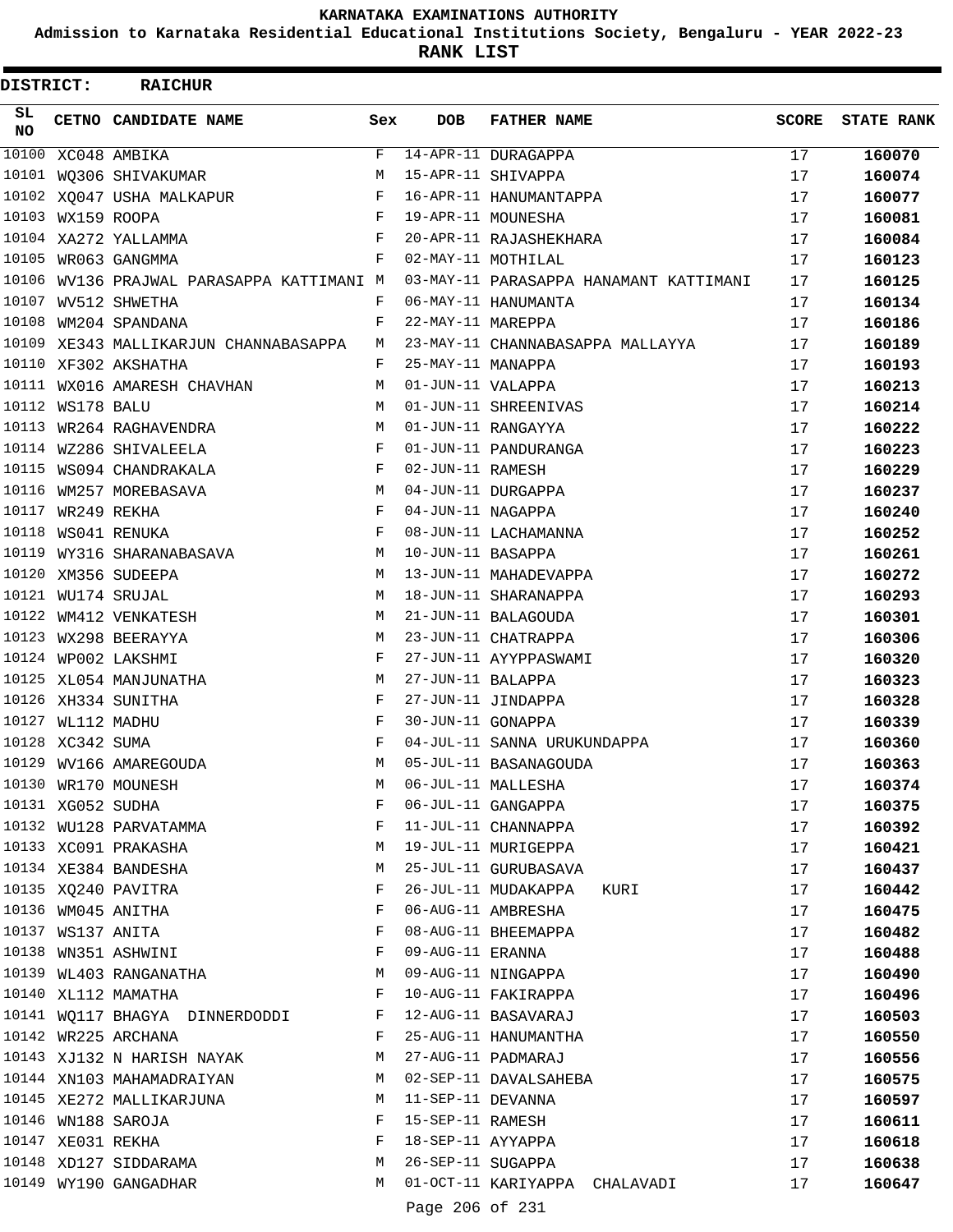**Admission to Karnataka Residential Educational Institutions Society, Bengaluru - YEAR 2022-23**

ı

**RANK LIST**

| DISTRICT:       |                   | <b>RAICHUR</b>                            |              |                   |                                        |              |                   |
|-----------------|-------------------|-------------------------------------------|--------------|-------------------|----------------------------------------|--------------|-------------------|
| SL<br><b>NO</b> |                   | CETNO CANDIDATE NAME                      | Sex          | <b>DOB</b>        | <b>FATHER NAME</b>                     | <b>SCORE</b> | <b>STATE RANK</b> |
| 10100           |                   | XC048 AMBIKA                              | F            |                   | 14-APR-11 DURAGAPPA                    | 17           | 160070            |
|                 |                   | 10101 WQ306 SHIVAKUMAR                    | M            |                   | 15-APR-11 SHIVAPPA                     | 17           | 160074            |
|                 |                   | 10102 XQ047 USHA MALKAPUR                 | F            |                   | 16-APR-11 HANUMANTAPPA                 | 17           | 160077            |
|                 | 10103 WX159 ROOPA |                                           | $\mathbf{F}$ |                   | 19-APR-11 MOUNESHA                     | 17           | 160081            |
|                 |                   | 10104 XA272 YALLAMMA                      | F            |                   | 20-APR-11 RAJASHEKHARA                 | 17           | 160084            |
|                 |                   | 10105 WR063 GANGMMA                       | F            |                   | 02-MAY-11 MOTHILAL                     | 17           | 160123            |
|                 |                   | 10106 WV136 PRAJWAL PARASAPPA KATTIMANI M |              |                   | 03-MAY-11 PARASAPPA HANAMANT KATTIMANI | 17           | 160125            |
| 10107           |                   | WV512 SHWETHA                             | F            |                   | 06-MAY-11 HANUMANTA                    | 17           | 160134            |
| 10108           |                   | WM204 SPANDANA                            | F            | 22-MAY-11 MAREPPA |                                        | 17           | 160186            |
|                 |                   | 10109 XE343 MALLIKARJUN CHANNABASAPPA     | M            |                   | 23-MAY-11 CHANNABASAPPA MALLAYYA       | 17           | 160189            |
|                 |                   | 10110 XF302 AKSHATHA                      | F            | 25-MAY-11 MANAPPA |                                        | 17           | 160193            |
|                 |                   | 10111 WX016 AMARESH CHAVHAN               | M            | 01-JUN-11 VALAPPA |                                        | 17           | 160213            |
|                 | 10112 WS178 BALU  |                                           | M            |                   | 01-JUN-11 SHREENIVAS                   | 17           | 160214            |
|                 |                   | 10113 WR264 RAGHAVENDRA                   | M            |                   | 01-JUN-11 RANGAYYA                     | 17           | 160222            |
|                 |                   | 10114 WZ286 SHIVALEELA                    | F            |                   | 01-JUN-11 PANDURANGA                   | 17           | 160223            |
|                 |                   | 10115 WS094 CHANDRAKALA                   | F            | 02-JUN-11 RAMESH  |                                        | 17           | 160229            |
| 10116           |                   | WM257 MOREBASAVA                          | М            |                   | 04-JUN-11 DURGAPPA                     | 17           | 160237            |
|                 | 10117 WR249 REKHA |                                           | F            | 04-JUN-11 NAGAPPA |                                        | 17           | 160240            |
| 10118           |                   | WS041 RENUKA                              | F            |                   | 08-JUN-11 LACHAMANNA                   | 17           | 160252            |
| 10119           |                   | WY316 SHARANABASAVA                       | М            | 10-JUN-11 BASAPPA |                                        | 17           | 160261            |
|                 |                   | 10120 XM356 SUDEEPA                       | M            |                   | 13-JUN-11 MAHADEVAPPA                  | 17           | 160272            |
|                 |                   | 10121 WU174 SRUJAL                        | M            |                   | 18-JUN-11 SHARANAPPA                   | 17           | 160293            |
|                 |                   | 10122 WM412 VENKATESH                     | M            |                   | 21-JUN-11 BALAGOUDA                    | 17           | 160301            |
| 10123           |                   | WX298 BEERAYYA                            | M            |                   | 23-JUN-11 CHATRAPPA                    | 17           | 160306            |
|                 |                   | 10124 WP002 LAKSHMI                       | F            |                   | 27-JUN-11 AYYPPASWAMI                  | 17           | 160320            |
|                 |                   | 10125 XL054 MANJUNATHA                    | M            | 27-JUN-11 BALAPPA |                                        | 17           | 160323            |
|                 |                   | 10126 XH334 SUNITHA                       | F            |                   | 27-JUN-11 JINDAPPA                     | 17           | 160328            |
|                 | 10127 WL112 MADHU |                                           | F            | 30-JUN-11 GONAPPA |                                        | 17           | 160339            |
|                 | 10128 XC342 SUMA  |                                           | F            |                   | 04-JUL-11 SANNA URUKUNDAPPA            | 17           | 160360            |
|                 |                   | 10129 WV166 AMAREGOUDA                    | M            |                   | 05-JUL-11 BASANAGOUDA                  | 17           | 160363            |
|                 |                   | 10130 WR170 MOUNESH                       | М            |                   | 06-JUL-11 MALLESHA                     | 17           | 160374            |
|                 | 10131 XG052 SUDHA |                                           | F            |                   | 06-JUL-11 GANGAPPA                     | 17           | 160375            |
|                 |                   | 10132 WU128 PARVATAMMA                    | F            |                   | 11-JUL-11 CHANNAPPA                    | 17           | 160392            |
|                 |                   | 10133 XC091 PRAKASHA                      | М            |                   | 19-JUL-11 MURIGEPPA                    | 17           | 160421            |
|                 |                   | 10134 XE384 BANDESHA                      | М            |                   | 25-JUL-11 GURUBASAVA                   | 17           | 160437            |
|                 |                   | 10135 XQ240 PAVITRA                       | F            |                   | 26-JUL-11 MUDAKAPPA<br>KURI            | 17           | 160442            |
|                 |                   | 10136 WM045 ANITHA                        | F            |                   | 06-AUG-11 AMBRESHA                     | 17           | 160475            |
|                 |                   | 10137 WS137 ANITA                         | F            |                   | 08-AUG-11 BHEEMAPPA                    | 17           | 160482            |
|                 |                   | 10138 WN351 ASHWINI                       | F            | 09-AUG-11 ERANNA  |                                        | 17           |                   |
|                 |                   | 10139 WL403 RANGANATHA                    | М            |                   | 09-AUG-11 NINGAPPA                     | 17           | 160488            |
|                 |                   | 10140 XL112 MAMATHA                       | F            |                   | 10-AUG-11 FAKIRAPPA                    | 17           | 160490            |
|                 |                   |                                           | F            |                   | 12-AUG-11 BASAVARAJ                    |              | 160496            |
|                 |                   | 10141 WQ117 BHAGYA DINNERDODDI            | F            |                   |                                        | 17           | 160503            |
|                 |                   | 10142 WR225 ARCHANA                       |              |                   | 25-AUG-11 HANUMANTHA                   | 17           | 160550            |
|                 |                   | 10143 XJ132 N HARISH NAYAK                | М            |                   | 27-AUG-11 PADMARAJ                     | 17           | 160556            |
|                 |                   | 10144 XN103 MAHAMADRAIYAN                 | М            |                   | 02-SEP-11 DAVALSAHEBA                  | 17           | 160575            |
|                 |                   | 10145 XE272 MALLIKARJUNA                  | М            | 11-SEP-11 DEVANNA |                                        | 17           | 160597            |
|                 |                   | 10146 WN188 SAROJA                        | F            | 15-SEP-11 RAMESH  |                                        | 17           | 160611            |
|                 | 10147 XE031 REKHA |                                           | F            | 18-SEP-11 AYYAPPA |                                        | 17           | 160618            |
|                 |                   | 10148 XD127 SIDDARAMA                     | М            | 26-SEP-11 SUGAPPA |                                        | 17           | 160638            |
|                 |                   | 10149 WY190 GANGADHAR                     | M            |                   | 01-OCT-11 KARIYAPPA CHALAVADI          | 17           | 160647            |
|                 |                   |                                           |              | Page 206 of 231   |                                        |              |                   |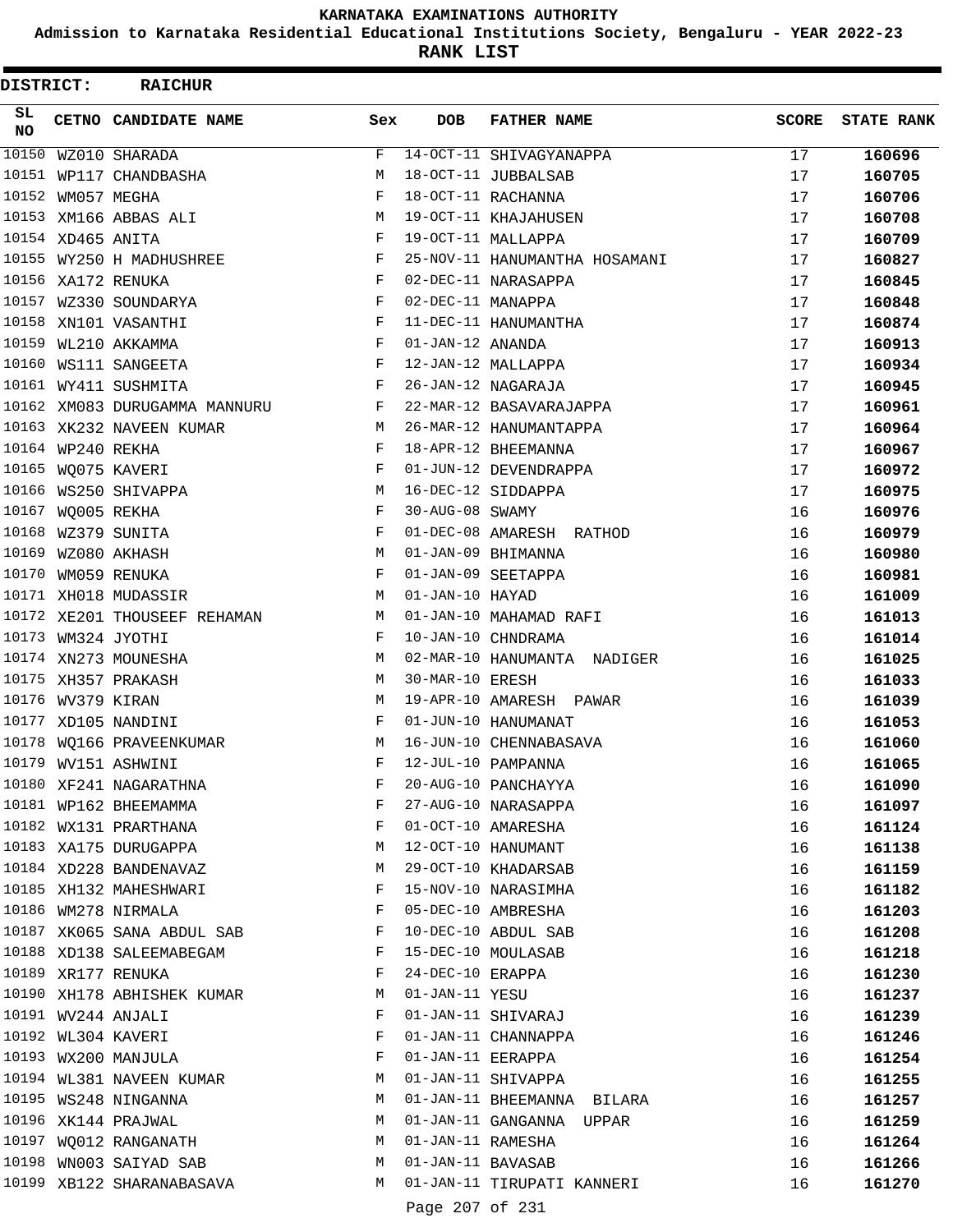**Admission to Karnataka Residential Educational Institutions Society, Bengaluru - YEAR 2022-23**

ı

**RANK LIST**

| DISTRICT:       |                   | <b>RAICHUR</b>                |             |                                        |                               |              |                   |
|-----------------|-------------------|-------------------------------|-------------|----------------------------------------|-------------------------------|--------------|-------------------|
| SL<br><b>NO</b> |                   | CETNO CANDIDATE NAME          | Sex         | <b>DOB</b>                             | <b>FATHER NAME</b>            | <b>SCORE</b> | <b>STATE RANK</b> |
| 10150           |                   | WZ010 SHARADA                 | F           |                                        | 14-OCT-11 SHIVAGYANAPPA       | 17           | 160696            |
| 10151           |                   | WP117 CHANDBASHA              | M           |                                        | 18-OCT-11 JUBBALSAB           | 17           | 160705            |
| 10152           |                   | WM057 MEGHA                   | F           |                                        | 18-OCT-11 RACHANNA            | 17           | 160706            |
|                 |                   | 10153 XM166 ABBAS ALI         | М           |                                        | 19-OCT-11 KHAJAHUSEN          | 17           | 160708            |
|                 | 10154 XD465 ANITA |                               | F           |                                        | 19-OCT-11 MALLAPPA            | 17           | 160709            |
|                 |                   | 10155 WY250 H MADHUSHREE      | F           |                                        | 25-NOV-11 HANUMANTHA HOSAMANI | 17           | 160827            |
|                 |                   | 10156 XA172 RENUKA            | F           |                                        | 02-DEC-11 NARASAPPA           | 17           | 160845            |
|                 |                   | 10157 WZ330 SOUNDARYA         | F           | 02-DEC-11 MANAPPA                      |                               | 17           | 160848            |
| 10158           |                   | XN101 VASANTHI                | F           |                                        | 11-DEC-11 HANUMANTHA          | 17           | 160874            |
| 10159           |                   | WL210 AKKAMMA                 | F           | 01-JAN-12 ANANDA                       |                               | 17           | 160913            |
| 10160           |                   | WS111 SANGEETA                | F           |                                        | 12-JAN-12 MALLAPPA            | 17           | 160934            |
|                 |                   | 10161 WY411 SUSHMITA          | F           |                                        | 26-JAN-12 NAGARAJA            | 17           | 160945            |
|                 |                   | 10162 XM083 DURUGAMMA MANNURU | F           |                                        | 22-MAR-12 BASAVARAJAPPA       | 17           | 160961            |
|                 |                   | 10163 XK232 NAVEEN KUMAR      | M           |                                        | 26-MAR-12 HANUMANTAPPA        | 17           | 160964            |
|                 | 10164 WP240 REKHA |                               | F           |                                        | 18-APR-12 BHEEMANNA           | 17           | 160967            |
| 10165           |                   | WQ075 KAVERI                  | F           |                                        | 01-JUN-12 DEVENDRAPPA         | 17           | 160972            |
| 10166           |                   | WS250 SHIVAPPA                | М           |                                        | 16-DEC-12 SIDDAPPA            | 17           | 160975            |
| 10167           |                   | WQ005 REKHA                   | F           | 30-AUG-08 SWAMY                        |                               | 16           | 160976            |
| 10168           |                   | WZ379 SUNITA                  | F           |                                        | 01-DEC-08 AMARESH RATHOD      | 16           | 160979            |
| 10169           |                   | WZ080 AKHASH                  | M           |                                        | 01-JAN-09 BHIMANNA            | 16           | 160980            |
| 10170           |                   | WM059 RENUKA                  | F           |                                        | 01-JAN-09 SEETAPPA            | 16           | 160981            |
|                 |                   | 10171 XH018 MUDASSIR          | M           | 01-JAN-10 HAYAD                        |                               | 16           | 161009            |
|                 |                   | 10172 XE201 THOUSEEF REHAMAN  | М           |                                        | 01-JAN-10 MAHAMAD RAFI        | 16           | 161013            |
| 10173           |                   | WM324 JYOTHI                  | F           |                                        | 10-JAN-10 CHNDRAMA            | 16           | 161014            |
|                 |                   | 10174 XN273 MOUNESHA          | М           |                                        | 02-MAR-10 HANUMANTA NADIGER   | 16           | 161025            |
|                 |                   | 10175 XH357 PRAKASH           | M           | 30-MAR-10 ERESH                        |                               | 16           | 161033            |
|                 | 10176 WV379 KIRAN |                               | М           |                                        | 19-APR-10 AMARESH PAWAR       | 16           | 161039            |
|                 |                   | 10177 XD105 NANDINI           | F           |                                        | 01-JUN-10 HANUMANAT           | 16           | 161053            |
| 10178           |                   | WO166 PRAVEENKUMAR            | M           |                                        | 16-JUN-10 CHENNABASAVA        | 16           | 161060            |
|                 |                   | 10179 WV151 ASHWINI           | $\mathbf F$ |                                        | 12-JUL-10 PAMPANNA            | 16           | 161065            |
|                 |                   | 10180 XF241 NAGARATHNA        | F           |                                        | 20-AUG-10 PANCHAYYA           | 16           | 161090            |
|                 |                   | 10181 WP162 BHEEMAMMA         | F           |                                        | 27-AUG-10 NARASAPPA           | 16           | 161097            |
|                 |                   | 10182 WX131 PRARTHANA         | F           |                                        | 01-OCT-10 AMARESHA            | 16           | 161124            |
|                 |                   | 10183 XA175 DURUGAPPA         | М           |                                        | 12-OCT-10 HANUMANT            | 16           | 161138            |
|                 |                   | 10184 XD228 BANDENAVAZ        | М           |                                        | 29-OCT-10 KHADARSAB           | 16           | 161159            |
|                 |                   | 10185 XH132 MAHESHWARI        | F           |                                        | 15-NOV-10 NARASIMHA           | 16           | 161182            |
|                 |                   | 10186 WM278 NIRMALA           | F           |                                        | 05-DEC-10 AMBRESHA            | 16           | 161203            |
|                 |                   | 10187 XK065 SANA ABDUL SAB    | F           |                                        | 10-DEC-10 ABDUL SAB           | 16           | 161208            |
|                 |                   | 10188 XD138 SALEEMABEGAM      | F           |                                        | 15-DEC-10 MOULASAB            | 16           | 161218            |
|                 |                   | 10189 XR177 RENUKA            | F           | 24-DEC-10 ERAPPA                       |                               | 16           | 161230            |
|                 |                   | 10190 XH178 ABHISHEK KUMAR    | M           | 01-JAN-11 YESU                         |                               | 16           | 161237            |
|                 |                   | 10191 WV244 ANJALI            | F           |                                        | 01-JAN-11 SHIVARAJ            | 16           | 161239            |
|                 |                   | 10192 WL304 KAVERI            | F           |                                        | 01-JAN-11 CHANNAPPA           | 16           | 161246            |
|                 |                   | 10193 WX200 MANJULA           | F           | 01-JAN-11 EERAPPA                      |                               | 16           | 161254            |
|                 |                   | 10194 WL381 NAVEEN KUMAR      | M           |                                        | 01-JAN-11 SHIVAPPA            | 16           | 161255            |
|                 |                   | 10195 WS248 NINGANNA          | M           |                                        | 01-JAN-11 BHEEMANNA BILARA    | 16           |                   |
|                 |                   |                               | M           |                                        | 01-JAN-11 GANGANNA UPPAR      |              | 161257            |
|                 |                   | 10196 XK144 PRAJWAL           |             |                                        |                               | 16           | 161259            |
|                 |                   | 10197 WQ012 RANGANATH         | M           | 01-JAN-11 RAMESHA<br>01-JAN-11 BAVASAB |                               | 16           | 161264            |
|                 |                   | 10198 WN003 SAIYAD SAB        | M           |                                        |                               | 16           | 161266            |
|                 |                   | 10199 XB122 SHARANABASAVA     | M           |                                        | 01-JAN-11 TIRUPATI KANNERI    | 16           | 161270            |
|                 |                   |                               |             | Page 207 of 231                        |                               |              |                   |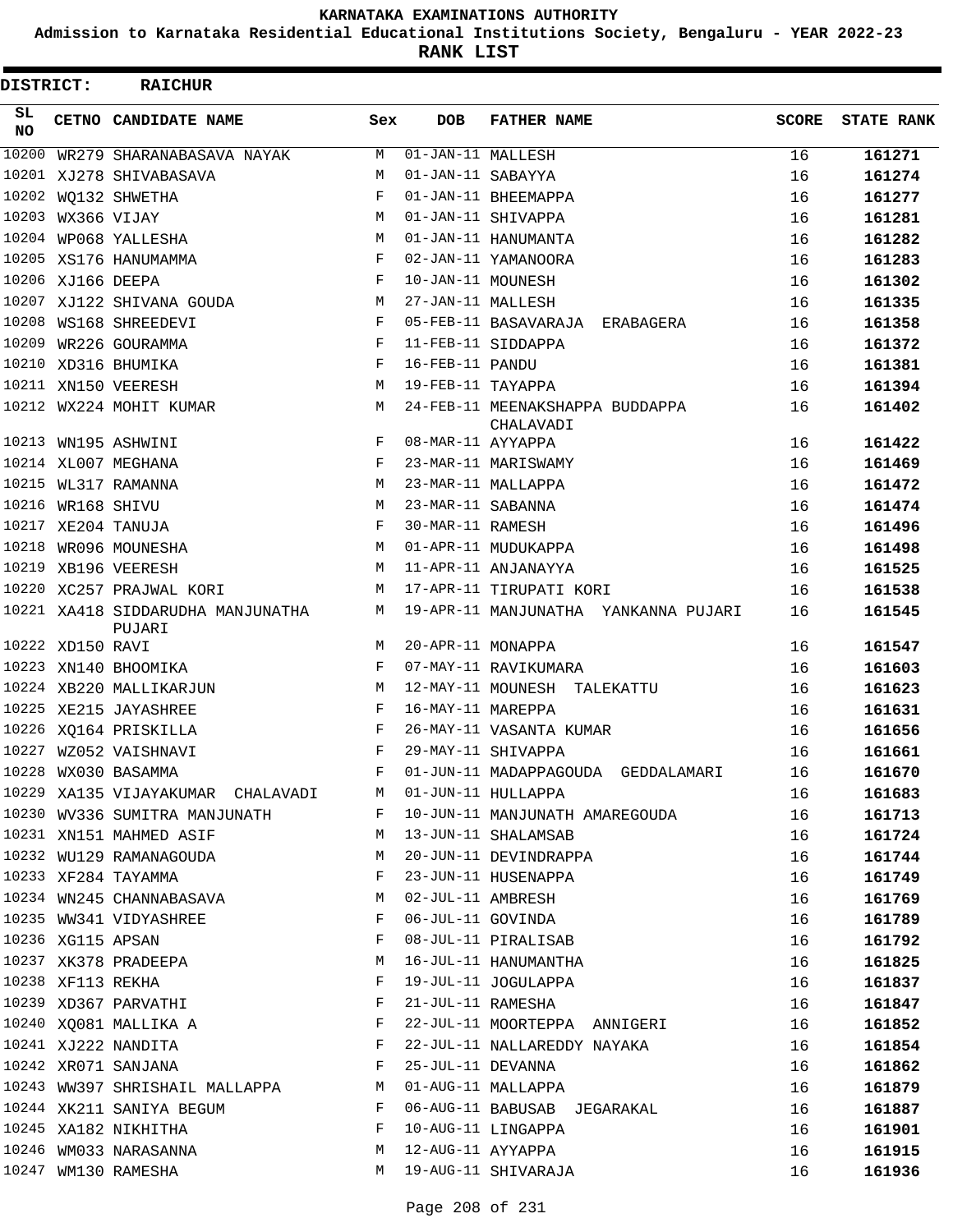**Admission to Karnataka Residential Educational Institutions Society, Bengaluru - YEAR 2022-23**

**RANK LIST**

| DISTRICT: |                   | <b>RAICHUR</b>                                                                                     |              |                                |                                              |              |                   |
|-----------|-------------------|----------------------------------------------------------------------------------------------------|--------------|--------------------------------|----------------------------------------------|--------------|-------------------|
| SL.<br>NO |                   | CETNO CANDIDATE NAME                                                                               | Sex          | <b>DOB</b>                     | <b>FATHER NAME</b>                           | <b>SCORE</b> | <b>STATE RANK</b> |
| 10200     |                   | WR279 SHARANABASAVA NAYAK                                                                          | M            | $\overline{01-JAN-11}$ MALLESH |                                              | 16           | 161271            |
|           |                   | 10201 XJ278 SHIVABASAVA                                                                            | М            | 01-JAN-11 SABAYYA              |                                              | 16           | 161274            |
|           |                   | 10202 WQ132 SHWETHA                                                                                | F            |                                | 01-JAN-11 BHEEMAPPA                          | 16           | 161277            |
|           | 10203 WX366 VIJAY |                                                                                                    | M            |                                | 01-JAN-11 SHIVAPPA                           | 16           | 161281            |
|           |                   | 10204 WP068 YALLESHA                                                                               | М            |                                | 01-JAN-11 HANUMANTA                          | 16           | 161282            |
|           |                   | 10205 XS176 HANUMAMMA                                                                              | F            |                                | 02-JAN-11 YAMANOORA                          | 16           | 161283            |
|           |                   | 10206 XJ166 DEEPA                                                                                  | F            | 10-JAN-11 MOUNESH              |                                              | 16           | 161302            |
|           |                   | 10207 XJ122 SHIVANA GOUDA                                                                          | М            | 27-JAN-11 MALLESH              |                                              | 16           | 161335            |
|           |                   | 10208 WS168 SHREEDEVI                                                                              | F            |                                | 05-FEB-11 BASAVARAJA ERABAGERA               | 16           | 161358            |
|           |                   | 10209 WR226 GOURAMMA                                                                               | F            |                                | 11-FEB-11 SIDDAPPA                           | 16           | 161372            |
|           |                   | 10210 XD316 BHUMIKA                                                                                | F            | 16-FEB-11 PANDU                |                                              | 16           | 161381            |
|           |                   | 10211 XN150 VEERESH                                                                                | M            | 19-FEB-11 TAYAPPA              |                                              | 16           | 161394            |
|           |                   | 10212 WX224 MOHIT KUMAR                                                                            | M            |                                | 24-FEB-11 MEENAKSHAPPA BUDDAPPA<br>CHALAVADI | 16           | 161402            |
|           |                   | 10213 WN195 ASHWINI                                                                                | $F -$        | 08-MAR-11 AYYAPPA              |                                              | 16           | 161422            |
|           |                   | 10214 XL007 MEGHANA                                                                                | F            |                                | 23-MAR-11 MARISWAMY                          | 16           | 161469            |
|           |                   | 10215 WL317 RAMANNA                                                                                | M            |                                | 23-MAR-11 MALLAPPA                           | 16           | 161472            |
|           |                   | 10216 WR168 SHIVU                                                                                  | M            | 23-MAR-11 SABANNA              |                                              | 16           | 161474            |
|           |                   | 10217 XE204 TANUJA                                                                                 | F            | 30-MAR-11 RAMESH               |                                              | 16           | 161496            |
|           |                   | 10218 WR096 MOUNESHA                                                                               | M            |                                | 01-APR-11 MUDUKAPPA                          | 16           | 161498            |
|           |                   | 10219 XB196 VEERESH                                                                                | M            |                                | 11-APR-11 ANJANAYYA                          | 16           | 161525            |
|           |                   | 10220 XC257 PRAJWAL KORI                                                                           |              |                                | M 17-APR-11 TIRUPATI KORI                    | 16           | 161538            |
|           |                   | 10221 XA418 SIDDARUDHA MANJUNATHA<br>PUJARI                                                        |              |                                | M 19-APR-11 MANJUNATHA YANKANNA PUJARI       | 16           | 161545            |
|           | 10222 XD150 RAVI  |                                                                                                    |              | M 20-APR-11 MONAPPA            |                                              | 16           | 161547            |
|           |                   | 10223 XN140 BHOOMIKA                                                                               | $\mathbf{F}$ |                                | 07-MAY-11 RAVIKUMARA                         | 16           | 161603            |
|           |                   | 10224 XB220 MALLIKARJUN                                                                            | M            |                                | 12-MAY-11 MOUNESH TALEKATTU                  | 16           | 161623            |
|           |                   | 10225 XE215 JAYASHREE                                                                              | $\mathbf{F}$ | 16-MAY-11 MAREPPA              |                                              | 16           | 161631            |
|           |                   | 10226 XQ164 PRISKILLA                                                                              | $\mathbf{F}$ |                                | 26-MAY-11 VASANTA KUMAR                      | 16           | 161656            |
|           |                   | 10227 WZ052 VAISHNAVI                                                                              | F            |                                | 29-MAY-11 SHIVAPPA                           | 16           | 161661            |
|           |                   | 10228 WX030 BASAMMA                                                                                |              |                                | F 01-JUN-11 MADAPPAGOUDA GEDDALAMARI         | 16           | 161670            |
|           |                   | 10229 XA135 VIJAYAKUMAR CHALAVADI M                                                                |              |                                | 01-JUN-11 HULLAPPA                           | 16           | 161683            |
|           |                   | 10230 WV336 SUMITRA MANJUNATH F                                                                    |              |                                | 10-JUN-11 MANJUNATH AMAREGOUDA               | 16           | 161713            |
|           |                   | 10231 XN151 MAHMED ASIF                                                                            | М            |                                | 13-JUN-11 SHALAMSAB                          | 16           | 161724            |
|           |                   | 10232 WU129 RAMANAGOUDA                                                                            | M            |                                | 20-JUN-11 DEVINDRAPPA                        | 16           | 161744            |
|           |                   | 10233 XF284 TAYAMMA                                                                                | F            |                                | 23-JUN-11 HUSENAPPA                          | 16           | 161749            |
|           |                   | 10234 WN245 CHANNABASAVA                                                                           | M            |                                | 02-JUL-11 AMBRESH                            | 16           | 161769            |
|           |                   | 10235 WW341 VIDYASHREE                                                                             | F            |                                | 06-JUL-11 GOVINDA                            | 16           | 161789            |
|           |                   | 10236 XG115 APSAN                                                                                  | F            |                                | 08-JUL-11 PIRALISAB                          | 16           | 161792            |
|           |                   | 10237 XK378 PRADEEPA                                                                               | М            |                                | 16-JUL-11 HANUMANTHA                         | 16           | 161825            |
|           |                   | 10238 XF113 REKHA                                                                                  | F            |                                | 19-JUL-11 JOGULAPPA                          | 16           | 161837            |
|           |                   | 10239 XD367 PARVATHI                                                                               | F            |                                | 21-JUL-11 RAMESHA                            | 16           | 161847            |
|           |                   | 10240 XQ081 MALLIKA A                                                                              | F            |                                | 22-JUL-11 MOORTEPPA ANNIGERI                 | 16           | 161852            |
|           |                   | 10241 XJ222 NANDITA                                                                                | F            |                                | 22-JUL-11 NALLAREDDY NAYAKA                  | 16           | 161854            |
|           |                   | 10242 XR071 SANJANA<br>$\mathbf{F}$ . The contract of the contract of the contract of $\mathbf{F}$ |              | 25-JUL-11 DEVANNA              |                                              | 16           | 161862            |
|           |                   | 10243 WW397 SHRISHAIL MALLAPPA M                                                                   |              |                                | 01-AUG-11 MALLAPPA                           | 16           | 161879            |
|           |                   | 10244 XK211 SANIYA BEGUM                                                                           | F            |                                | 06-AUG-11 BABUSAB JEGARAKAL                  | 16           | 161887            |
|           |                   | 10245 XA182 NIKHITHA                                                                               | F            |                                | 10-AUG-11 LINGAPPA                           | 16           | 161901            |
|           |                   | 10246 WM033 NARASANNA                                                                              | M            | 12-AUG-11 AYYAPPA              |                                              | 16           | 161915            |
|           |                   | 10247 WM130 RAMESHA                                                                                | M            |                                | 19-AUG-11 SHIVARAJA                          | 16           | 161936            |
|           |                   |                                                                                                    |              |                                |                                              |              |                   |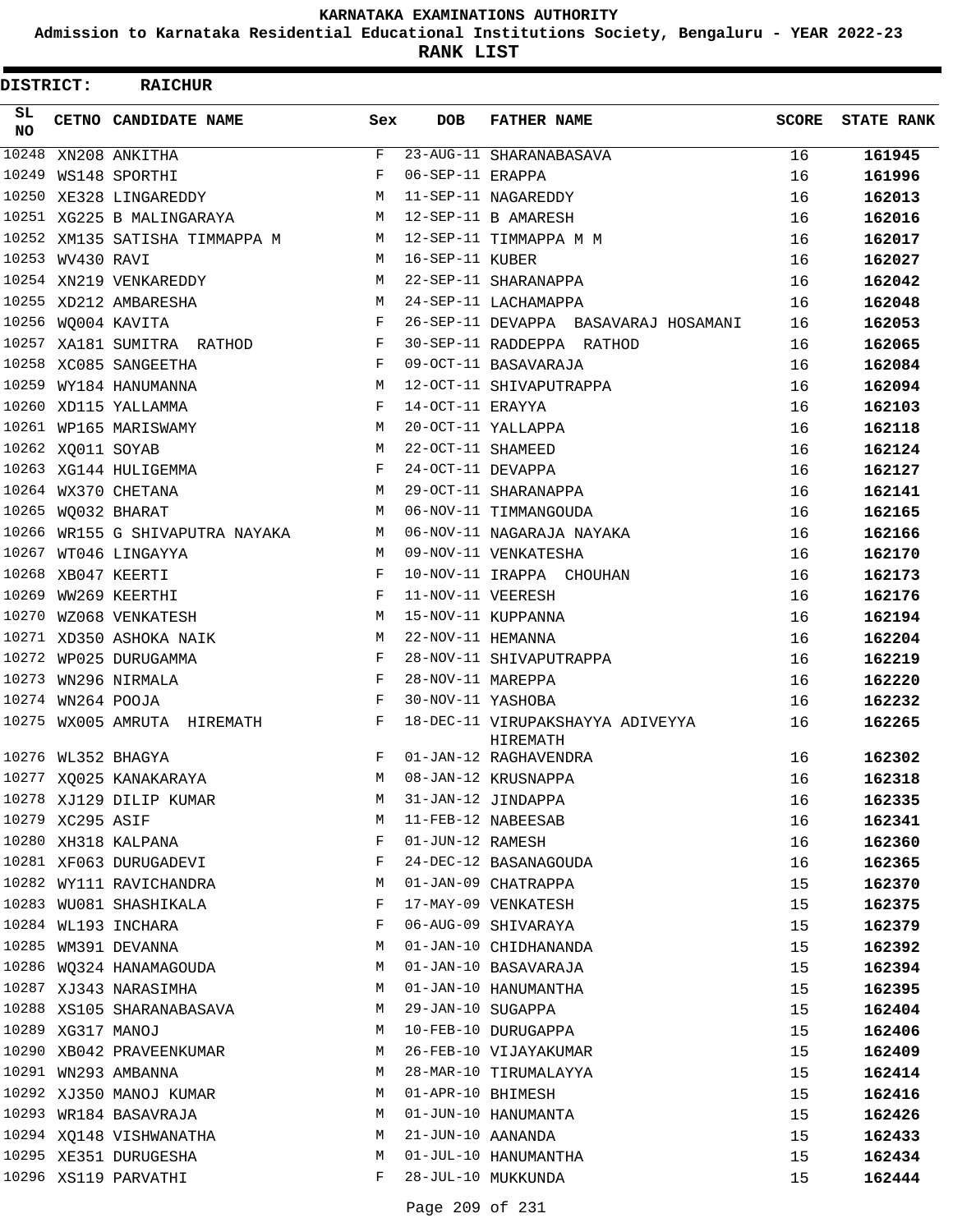**Admission to Karnataka Residential Educational Institutions Society, Bengaluru - YEAR 2022-23**

**RANK LIST**

| DISTRICT:       |                   | <b>RAICHUR</b>                  |            |                   |                                              |              |                   |
|-----------------|-------------------|---------------------------------|------------|-------------------|----------------------------------------------|--------------|-------------------|
| SL<br><b>NO</b> |                   | CETNO CANDIDATE NAME            | Sex        | <b>DOB</b>        | <b>FATHER NAME</b>                           | <b>SCORE</b> | <b>STATE RANK</b> |
| 10248           |                   | XN208 ANKITHA                   | F          |                   | 23-AUG-11 SHARANABASAVA                      | 16           | 161945            |
| 10249           |                   | WS148 SPORTHI                   | F          | 06-SEP-11 ERAPPA  |                                              | 16           | 161996            |
|                 |                   | 10250 XE328 LINGAREDDY          | M          |                   | 11-SEP-11 NAGAREDDY                          | 16           | 162013            |
|                 |                   | 10251 XG225 B MALINGARAYA       | М          |                   | 12-SEP-11 B AMARESH                          | 16           | 162016            |
|                 |                   | 10252 XM135 SATISHA TIMMAPPA M  | М          |                   | 12-SEP-11 TIMMAPPA M M                       | 16           | 162017            |
|                 | 10253 WV430 RAVI  |                                 | M          | 16-SEP-11 KUBER   |                                              | 16           | 162027            |
|                 |                   | 10254 XN219 VENKAREDDY          | М          |                   | 22-SEP-11 SHARANAPPA                         | 16           | 162042            |
|                 |                   | 10255 XD212 AMBARESHA           | М          |                   | 24-SEP-11 LACHAMAPPA                         | 16           | 162048            |
|                 |                   | 10256 WQ004 KAVITA              | F          |                   | 26-SEP-11 DEVAPPA BASAVARAJ HOSAMANI         | 16           | 162053            |
|                 |                   | 10257 XA181 SUMITRA RATHOD      | F          |                   | 30-SEP-11 RADDEPPA RATHOD                    | 16           | 162065            |
|                 |                   | 10258 XC085 SANGEETHA           | F          |                   | 09-OCT-11 BASAVARAJA                         | 16           | 162084            |
| 10259           |                   | WY184 HANUMANNA                 | М          |                   | 12-OCT-11 SHIVAPUTRAPPA                      | 16           | 162094            |
| 10260           |                   | XD115 YALLAMMA                  | F          | 14-OCT-11 ERAYYA  |                                              | 16           | 162103            |
|                 |                   | 10261 WP165 MARISWAMY           | М          |                   | 20-OCT-11 YALLAPPA                           | 16           | 162118            |
|                 | 10262 XQ011 SOYAB |                                 | M          | 22-OCT-11 SHAMEED |                                              | 16           | 162124            |
|                 |                   | 10263 XG144 HULIGEMMA           | F          | 24-OCT-11 DEVAPPA |                                              | 16           | 162127            |
|                 |                   | 10264 WX370 CHETANA             | М          |                   | 29-OCT-11 SHARANAPPA                         | 16           | 162141            |
|                 |                   | 10265 WO032 BHARAT              | М          |                   | 06-NOV-11 TIMMANGOUDA                        | 16           | 162165            |
|                 |                   | 10266 WR155 G SHIVAPUTRA NAYAKA | M          |                   | 06-NOV-11 NAGARAJA NAYAKA                    | 16           | 162166            |
| 10267           |                   | WT046 LINGAYYA                  | М          |                   | 09-NOV-11 VENKATESHA                         | 16           | 162170            |
| 10268           |                   | XB047 KEERTI                    | F          |                   | 10-NOV-11 IRAPPA CHOUHAN                     | 16           | 162173            |
| 10269           |                   | WW269 KEERTHI                   | F          | 11-NOV-11 VEERESH |                                              | 16           | 162176            |
| 10270           |                   | WZ068 VENKATESH                 | M          |                   | 15-NOV-11 KUPPANNA                           | 16           | 162194            |
| 10271           |                   | XD350 ASHOKA NAIK               | М          | 22-NOV-11 HEMANNA |                                              | 16           | 162204            |
| 10272           |                   | WP025 DURUGAMMA                 | F          |                   | 28-NOV-11 SHIVAPUTRAPPA                      | 16           | 162219            |
| 10273           |                   | WN296 NIRMALA                   | F          | 28-NOV-11 MAREPPA |                                              | 16           | 162220            |
|                 | 10274 WN264 POOJA |                                 | $_{\rm F}$ | 30-NOV-11 YASHOBA |                                              | 16           | 162232            |
|                 |                   | 10275 WX005 AMRUTA HIREMATH     | F          |                   | 18-DEC-11 VIRUPAKSHAYYA ADIVEYYA<br>HIREMATH | 16           | 162265            |
|                 |                   | 10276 WL352 BHAGYA              | F          |                   | 01-JAN-12 RAGHAVENDRA                        | 16           | 162302            |
|                 |                   | 10277 XQ025 KANAKARAYA          | M          |                   | 08-JAN-12 KRUSNAPPA                          | 16           | 162318            |
|                 |                   | 10278 XJ129 DILIP KUMAR         | М          |                   | 31-JAN-12 JINDAPPA                           | 16           | 162335            |
|                 | 10279 XC295 ASIF  |                                 | М          |                   | 11-FEB-12 NABEESAB                           | 16           | 162341            |
|                 |                   | 10280 XH318 KALPANA             | F          | 01-JUN-12 RAMESH  |                                              | 16           | 162360            |
|                 |                   | 10281 XF063 DURUGADEVI          | F          |                   | 24-DEC-12 BASANAGOUDA                        | 16           | 162365            |
|                 |                   | 10282 WY111 RAVICHANDRA         | M          |                   | 01-JAN-09 CHATRAPPA                          | 15           | 162370            |
|                 |                   | 10283 WU081 SHASHIKALA          | F          |                   | 17-MAY-09 VENKATESH                          | 15           | 162375            |
|                 |                   | 10284 WL193 INCHARA             | F          |                   | 06-AUG-09 SHIVARAYA                          | 15           | 162379            |
|                 |                   | 10285 WM391 DEVANNA             | М          |                   | 01-JAN-10 CHIDHANANDA                        | 15           | 162392            |
|                 |                   | 10286 WQ324 HANAMAGOUDA         | М          |                   | 01-JAN-10 BASAVARAJA                         | 15           | 162394            |
|                 |                   | 10287 XJ343 NARASIMHA           | М          |                   | 01-JAN-10 HANUMANTHA                         | 15           | 162395            |
|                 |                   | 10288 XS105 SHARANABASAVA       | M          | 29-JAN-10 SUGAPPA |                                              | 15           | 162404            |
|                 | 10289 XG317 MANOJ |                                 | М          |                   | 10-FEB-10 DURUGAPPA                          | 15           | 162406            |
|                 |                   | 10290 XB042 PRAVEENKUMAR        | M          |                   | 26-FEB-10 VIJAYAKUMAR                        | 15           | 162409            |
|                 |                   | 10291 WN293 AMBANNA             | М          |                   | 28-MAR-10 TIRUMALAYYA                        | 15           | 162414            |
|                 |                   | 10292 XJ350 MANOJ KUMAR         | М          | 01-APR-10 BHIMESH |                                              | 15           | 162416            |
|                 |                   | 10293 WR184 BASAVRAJA           | М          |                   | 01-JUN-10 HANUMANTA                          | 15           | 162426            |
|                 |                   | 10294 XQ148 VISHWANATHA         | М          | 21-JUN-10 AANANDA |                                              | 15           | 162433            |
|                 |                   | 10295 XE351 DURUGESHA           | М          |                   | 01-JUL-10 HANUMANTHA                         | 15           | 162434            |
|                 |                   | 10296 XS119 PARVATHI            | F          |                   | 28-JUL-10 MUKKUNDA                           | 15           | 162444            |
|                 |                   |                                 |            |                   |                                              |              |                   |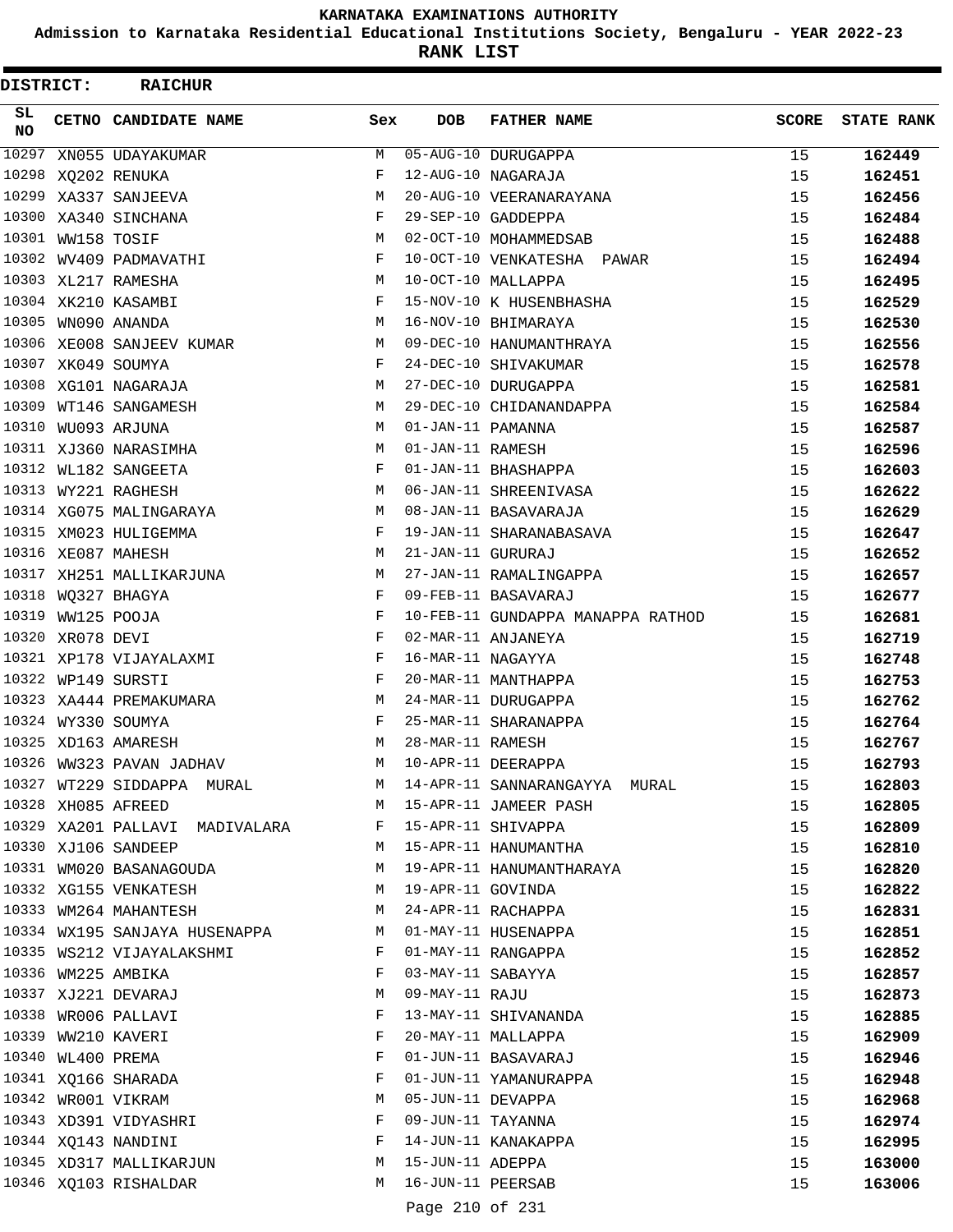**Admission to Karnataka Residential Educational Institutions Society, Bengaluru - YEAR 2022-23**

**RANK LIST**

| DISTRICT: |                   | <b>RAICHUR</b>                 |             |                   |                                   |              |                   |
|-----------|-------------------|--------------------------------|-------------|-------------------|-----------------------------------|--------------|-------------------|
| SL<br>NO. |                   | CETNO CANDIDATE NAME           | Sex         | <b>DOB</b>        | <b>FATHER NAME</b>                | <b>SCORE</b> | <b>STATE RANK</b> |
| 10297     |                   | XN055 UDAYAKUMAR               | М           |                   | 05-AUG-10 DURUGAPPA               | 15           | 162449            |
| 10298     |                   | XQ202 RENUKA                   | F           |                   | 12-AUG-10 NAGARAJA                | 15           | 162451            |
|           |                   | 10299 XA337 SANJEEVA           | M           |                   | 20-AUG-10 VEERANARAYANA           | 15           | 162456            |
|           |                   | 10300 XA340 SINCHANA           | F           |                   | 29-SEP-10 GADDEPPA                | 15           | 162484            |
|           | 10301 WW158 TOSIF |                                | М           |                   | 02-OCT-10 MOHAMMEDSAB             | 15           | 162488            |
|           |                   | 10302 WV409 PADMAVATHI         | F           |                   | 10-OCT-10 VENKATESHA PAWAR        | 15           | 162494            |
|           |                   | 10303 XL217 RAMESHA            | M           |                   | 10-OCT-10 MALLAPPA                | 15           | 162495            |
|           |                   | 10304 XK210 KASAMBI            | F           |                   | 15-NOV-10 K HUSENBHASHA           | 15           | 162529            |
|           |                   | 10305 WN090 ANANDA             | М           |                   | 16-NOV-10 BHIMARAYA               | 15           | 162530            |
|           |                   | 10306 XE008 SANJEEV KUMAR      | М           |                   | 09-DEC-10 HANUMANTHRAYA           | 15           | 162556            |
|           |                   | 10307 XK049 SOUMYA             | F           |                   | 24-DEC-10 SHIVAKUMAR              | 15           | 162578            |
|           |                   | 10308 XG101 NAGARAJA           | М           |                   | 27-DEC-10 DURUGAPPA               | 15           | 162581            |
|           |                   | 10309 WT146 SANGAMESH          | М           |                   | 29-DEC-10 CHIDANANDAPPA           | 15           | 162584            |
|           |                   | 10310 WU093 ARJUNA             | M           | 01-JAN-11 PAMANNA |                                   | 15           | 162587            |
|           |                   | 10311 XJ360 NARASIMHA          | M           | 01-JAN-11 RAMESH  |                                   | 15           | 162596            |
|           |                   | 10312 WL182 SANGEETA           | F           |                   | 01-JAN-11 BHASHAPPA               | 15           | 162603            |
|           |                   | 10313 WY221 RAGHESH            | М           |                   | 06-JAN-11 SHREENIVASA             | 15           | 162622            |
|           |                   | 10314 XG075 MALINGARAYA        | М           |                   | 08-JAN-11 BASAVARAJA              | 15           | 162629            |
|           |                   | 10315 XM023 HULIGEMMA          | F           |                   | 19-JAN-11 SHARANABASAVA           | 15           | 162647            |
|           |                   | 10316 XE087 MAHESH             | М           | 21-JAN-11 GURURAJ |                                   | 15           | 162652            |
|           |                   | 10317 XH251 MALLIKARJUNA       | М           |                   | 27-JAN-11 RAMALINGAPPA            | 15           | 162657            |
|           |                   | 10318 WQ327 BHAGYA             | F           |                   | 09-FEB-11 BASAVARAJ               | 15           | 162677            |
|           | 10319 WW125 POOJA |                                | F           |                   | 10-FEB-11 GUNDAPPA MANAPPA RATHOD | 15           | 162681            |
|           | 10320 XR078 DEVI  |                                | F           |                   | 02-MAR-11 ANJANEYA                | 15           | 162719            |
|           |                   | 10321 XP178 VIJAYALAXMI        | F           | 16-MAR-11 NAGAYYA |                                   | 15           | 162748            |
|           |                   | 10322 WP149 SURSTI             | F           |                   | 20-MAR-11 MANTHAPPA               | 15           | 162753            |
|           |                   | 10323 XA444 PREMAKUMARA        | М           |                   | 24-MAR-11 DURUGAPPA               | 15           | 162762            |
|           |                   | 10324 WY330 SOUMYA             | F           |                   | 25-MAR-11 SHARANAPPA              | 15           | 162764            |
|           |                   | 10325 XD163 AMARESH            | М           | 28-MAR-11 RAMESH  |                                   | 15           | 162767            |
|           |                   | 10326 WW323 PAVAN JADHAV       | M           |                   | 10-APR-11 DEERAPPA                | 15           | 162793            |
|           |                   | 10327 WT229 SIDDAPPA MURAL     |             |                   | M 14-APR-11 SANNARANGAYYA MURAL   | 15           | 162803            |
|           |                   | 10328 XH085 AFREED             |             |                   | M 15-APR-11 JAMEER PASH           | 15           | 162805            |
|           |                   | 10329 XA201 PALLAVI MADIVALARA | $F$ and $F$ |                   | 15-APR-11 SHIVAPPA                | 15           | 162809            |
|           |                   | 10330 XJ106 SANDEEP            |             |                   | M 15-APR-11 HANUMANTHA            | 15           |                   |
|           |                   |                                | M           |                   |                                   |              | 162810            |
|           |                   | 10331 WM020 BASANAGOUDA        |             |                   | 19-APR-11 HANUMANTHARAYA          | 15           | 162820            |
|           |                   | 10332 XG155 VENKATESH          |             |                   | M 19-APR-11 GOVINDA               | 15           | 162822            |
|           |                   | 10333 WM264 MAHANTESH          | M           |                   | 24-APR-11 RACHAPPA                | 15           | 162831            |
|           |                   | 10334 WX195 SANJAYA HUSENAPPA  | M           |                   | 01-MAY-11 HUSENAPPA               | 15           | 162851            |
|           |                   | 10335 WS212 VIJAYALAKSHMI      | F           |                   | 01-MAY-11 RANGAPPA                | 15           | 162852            |
|           |                   | 10336 WM225 AMBIKA             | F           | 03-MAY-11 SABAYYA |                                   | 15           | 162857            |
|           |                   | 10337 XJ221 DEVARAJ            | M           | 09-MAY-11 RAJU    |                                   | 15           | 162873            |
|           |                   | 10338 WR006 PALLAVI            | F           |                   | 13-MAY-11 SHIVANANDA              | 15           | 162885            |
|           |                   | 10339 WW210 KAVERI             | F           |                   | 20-MAY-11 MALLAPPA                | 15           | 162909            |
|           | 10340 WL400 PREMA |                                | F           |                   | 01-JUN-11 BASAVARAJ               | 15           | 162946            |
|           |                   | 10341 XQ166 SHARADA            | F           |                   | 01-JUN-11 YAMANURAPPA             | 15           | 162948            |
|           |                   | 10342 WR001 VIKRAM             | М           | 05-JUN-11 DEVAPPA |                                   | 15           | 162968            |
|           |                   | 10343 XD391 VIDYASHRI          | F           | 09-JUN-11 TAYANNA |                                   | 15           | 162974            |
|           |                   | 10344 XQ143 NANDINI            | F           |                   | 14-JUN-11 KANAKAPPA               | 15           | 162995            |
|           |                   | 10345 XD317 MALLIKARJUN        | M           | 15-JUN-11 ADEPPA  |                                   | 15           | 163000            |
|           |                   | 10346 XQ103 RISHALDAR          | М           | 16-JUN-11 PEERSAB |                                   | 15           | 163006            |
|           |                   |                                |             | Page 210 of 231   |                                   |              |                   |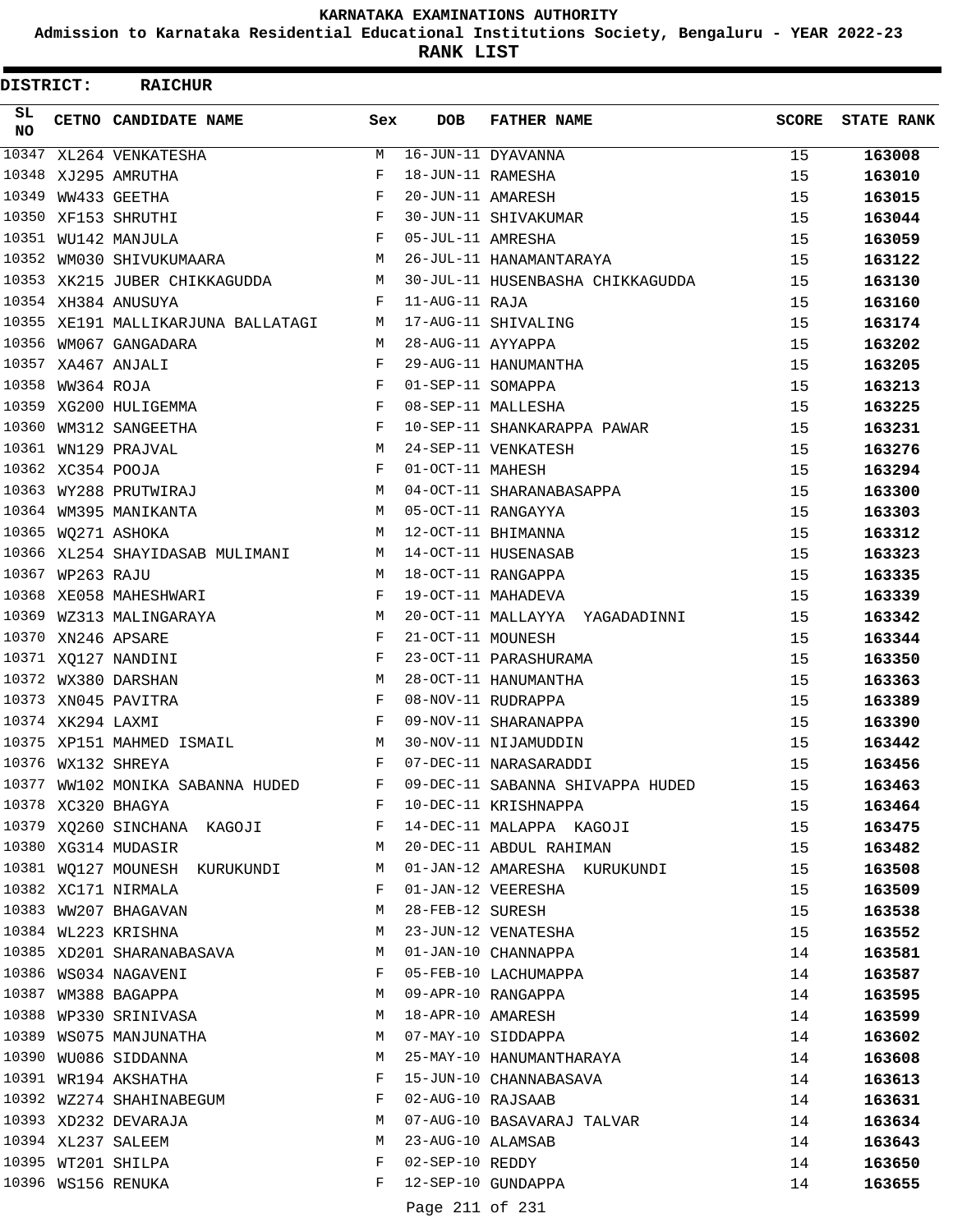**Admission to Karnataka Residential Educational Institutions Society, Bengaluru - YEAR 2022-23**

ı

**RANK LIST**

| DISTRICT:       |                   | <b>RAICHUR</b>                     |                                                |                   |                                  |       |                   |
|-----------------|-------------------|------------------------------------|------------------------------------------------|-------------------|----------------------------------|-------|-------------------|
| SL<br><b>NO</b> |                   | CETNO CANDIDATE NAME               | Sex                                            | <b>DOB</b>        | <b>FATHER NAME</b>               | SCORE | <b>STATE RANK</b> |
| 10347           |                   | XL264 VENKATESHA                   | М                                              |                   | $16$ -JUN-11 DYAVANNA            | 15    | 163008            |
|                 |                   | 10348 XJ295 AMRUTHA                | F                                              | 18-JUN-11 RAMESHA |                                  | 15    | 163010            |
| 10349           |                   | WW433 GEETHA                       | F                                              | 20-JUN-11 AMARESH |                                  | 15    | 163015            |
|                 |                   | 10350 XF153 SHRUTHI                | F                                              |                   | 30-JUN-11 SHIVAKUMAR             | 15    | 163044            |
|                 |                   | 10351 WU142 MANJULA                | F                                              | 05-JUL-11 AMRESHA |                                  | 15    | 163059            |
|                 |                   | 10352 WM030 SHIVUKUMAARA           | M                                              |                   | 26-JUL-11 HANAMANTARAYA          | 15    | 163122            |
|                 |                   | 10353 XK215 JUBER CHIKKAGUDDA      | M                                              |                   | 30-JUL-11 HUSENBASHA CHIKKAGUDDA | 15    | 163130            |
|                 |                   | 10354 XH384 ANUSUYA                | F                                              | 11-AUG-11 RAJA    |                                  | 15    | 163160            |
|                 |                   | 10355 XE191 MALLIKARJUNA BALLATAGI | M                                              |                   | 17-AUG-11 SHIVALING              | 15    | 163174            |
|                 |                   | 10356 WM067 GANGADARA              | M                                              | 28-AUG-11 AYYAPPA |                                  | 15    | 163202            |
|                 |                   | 10357 XA467 ANJALI                 | F                                              |                   | 29-AUG-11 HANUMANTHA             | 15    | 163205            |
| 10358           | WW364 ROJA        |                                    | F                                              | 01-SEP-11 SOMAPPA |                                  | 15    | 163213            |
|                 |                   | 10359 XG200 HULIGEMMA              | F                                              |                   | 08-SEP-11 MALLESHA               | 15    | 163225            |
|                 |                   | 10360 WM312 SANGEETHA              | F                                              |                   | 10-SEP-11 SHANKARAPPA PAWAR      | 15    | 163231            |
|                 |                   | 10361 WN129 PRAJVAL                | M                                              |                   | 24-SEP-11 VENKATESH              | 15    | 163276            |
|                 | 10362 XC354 POOJA |                                    | F                                              | 01-OCT-11 MAHESH  |                                  | 15    | 163294            |
|                 |                   | 10363 WY288 PRUTWIRAJ              | М                                              |                   | 04-OCT-11 SHARANABASAPPA         | 15    | 163300            |
|                 |                   | 10364 WM395 MANIKANTA              | M                                              |                   | 05-OCT-11 RANGAYYA               | 15    | 163303            |
|                 |                   | 10365 WQ271 ASHOKA                 | M                                              |                   | 12-OCT-11 BHIMANNA               | 15    | 163312            |
|                 |                   | 10366 XL254 SHAYIDASAB MULIMANI    | M                                              |                   | 14-OCT-11 HUSENASAB              | 15    | 163323            |
|                 | 10367 WP263 RAJU  |                                    | M                                              |                   | 18-OCT-11 RANGAPPA               | 15    | 163335            |
|                 |                   | 10368 XE058 MAHESHWARI             | F                                              |                   | 19-OCT-11 MAHADEVA               | 15    | 163339            |
|                 |                   | 10369 WZ313 MALINGARAYA            | M                                              |                   | 20-OCT-11 MALLAYYA YAGADADINNI   | 15    | 163342            |
| 10370           |                   | XN246 APSARE                       | F                                              | 21-OCT-11 MOUNESH |                                  | 15    | 163344            |
|                 |                   | 10371 XQ127 NANDINI                | F                                              |                   | 23-OCT-11 PARASHURAMA            | 15    | 163350            |
|                 |                   | 10372 WX380 DARSHAN                | M                                              |                   | 28-OCT-11 HANUMANTHA             | 15    | 163363            |
|                 |                   | 10373 XN045 PAVITRA                | F                                              |                   | 08-NOV-11 RUDRAPPA               | 15    | 163389            |
|                 | 10374 XK294 LAXMI |                                    | F                                              |                   | 09-NOV-11 SHARANAPPA             | 15    | 163390            |
|                 |                   | 10375 XP151 MAHMED ISMAIL          | М                                              |                   | 30-NOV-11 NIJAMUDDIN             | 15    | 163442            |
|                 |                   | 10376 WX132 SHREYA                 | $\mathbf F$                                    |                   | 07-DEC-11 NARASARADDI            | 15    | 163456            |
|                 |                   | 10377 WW102 MONIKA SABANNA HUDED   | F                                              |                   | 09-DEC-11 SABANNA SHIVAPPA HUDED | 15    | 163463            |
|                 |                   | 10378 XC320 BHAGYA                 | $\mathbf{F}$ and $\mathbf{F}$ and $\mathbf{F}$ |                   | 10-DEC-11 KRISHNAPPA             | 15    | 163464            |
|                 |                   | 10379 XQ260 SINCHANA KAGOJI F      |                                                |                   | 14-DEC-11 MALAPPA KAGOJI         | 15    |                   |
|                 |                   | 10380 XG314 MUDASIR                | М                                              |                   |                                  |       | 163475            |
|                 |                   |                                    |                                                |                   | 20-DEC-11 ABDUL RAHIMAN          | 15    | 163482            |
|                 |                   | 10381 WQ127 MOUNESH KURUKUNDI      | M<br>F                                         |                   | 01-JAN-12 AMARESHA KURUKUNDI     | 15    | 163508            |
|                 |                   | 10382 XC171 NIRMALA                |                                                |                   | 01-JAN-12 VEERESHA               | 15    | 163509            |
|                 |                   | 10383 WW207 BHAGAVAN               | М                                              | 28-FEB-12 SURESH  |                                  | 15    | 163538            |
|                 |                   | 10384 WL223 KRISHNA                | М                                              |                   | 23-JUN-12 VENATESHA              | 15    | 163552            |
|                 |                   | 10385 XD201 SHARANABASAVA          | M                                              |                   | 01-JAN-10 CHANNAPPA              | 14    | 163581            |
|                 |                   | 10386 WS034 NAGAVENI               | F                                              |                   | 05-FEB-10 LACHUMAPPA             | 14    | 163587            |
|                 |                   | 10387 WM388 BAGAPPA                | M                                              |                   | 09-APR-10 RANGAPPA               | 14    | 163595            |
|                 |                   | 10388 WP330 SRINIVASA              | M                                              |                   | 18-APR-10 AMARESH                | 14    | 163599            |
|                 |                   | 10389 WS075 MANJUNATHA             | M                                              |                   | 07-MAY-10 SIDDAPPA               | 14    | 163602            |
|                 |                   | 10390 WU086 SIDDANNA               | М                                              |                   | 25-MAY-10 HANUMANTHARAYA         | 14    | 163608            |
|                 |                   | 10391 WR194 AKSHATHA               | F                                              |                   | 15-JUN-10 CHANNABASAVA           | 14    | 163613            |
|                 |                   | 10392 WZ274 SHAHINABEGUM           | F                                              | 02-AUG-10 RAJSAAB |                                  | 14    | 163631            |
|                 |                   | 10393 XD232 DEVARAJA               | M                                              |                   | 07-AUG-10 BASAVARAJ TALVAR       | 14    | 163634            |
|                 |                   | 10394 XL237 SALEEM                 | M                                              | 23-AUG-10 ALAMSAB |                                  | 14    | 163643            |
|                 |                   | 10395 WT201 SHILPA                 | F                                              | 02-SEP-10 REDDY   |                                  | 14    | 163650            |
|                 |                   | 10396 WS156 RENUKA                 | F                                              |                   | 12-SEP-10 GUNDAPPA               | 14    | 163655            |
|                 |                   |                                    |                                                | Page 211 of 231   |                                  |       |                   |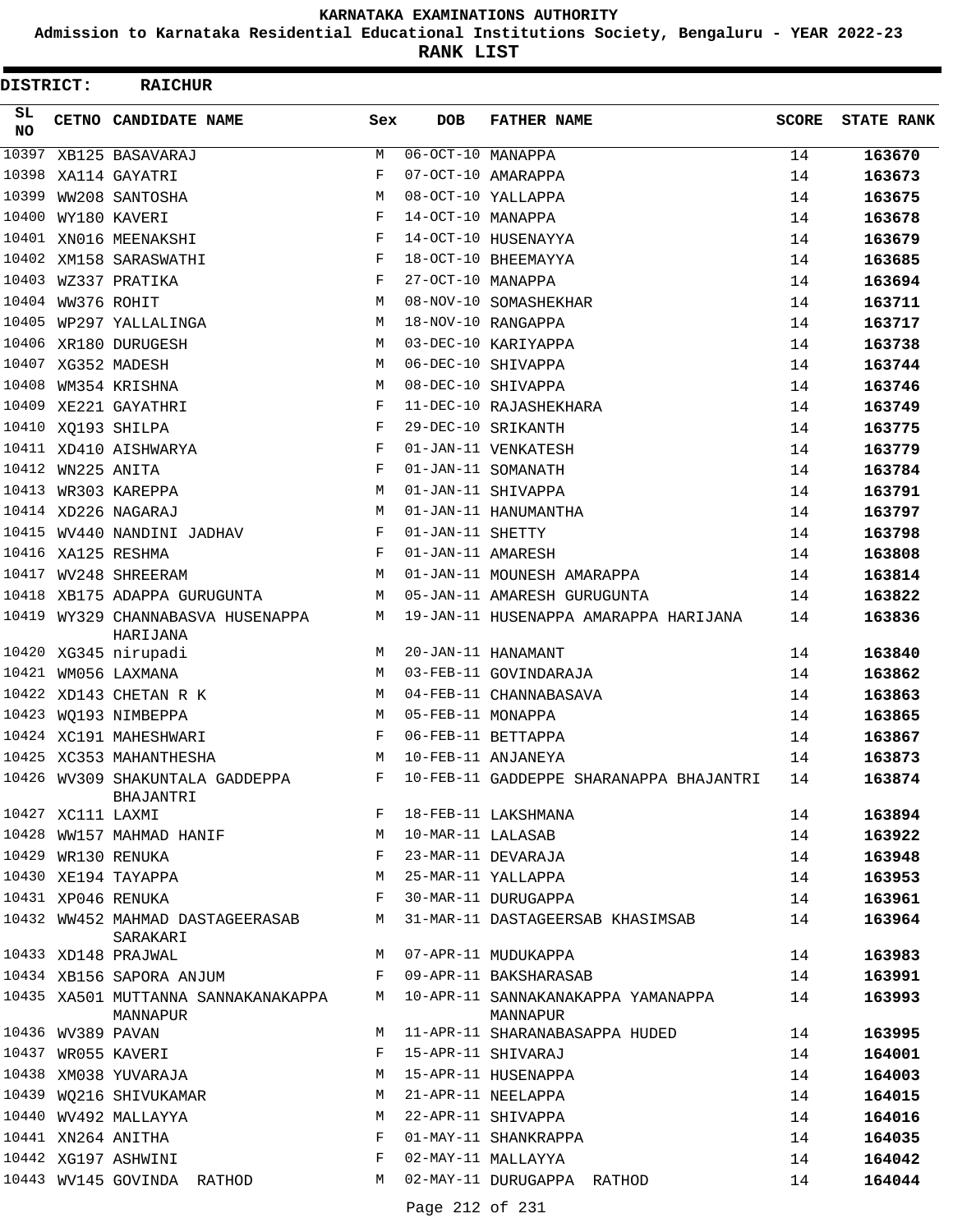**Admission to Karnataka Residential Educational Institutions Society, Bengaluru - YEAR 2022-23**

| DISTRICT: |                   | <b>RAICHUR</b>                                |              |                                |                                                                                      |              |                   |
|-----------|-------------------|-----------------------------------------------|--------------|--------------------------------|--------------------------------------------------------------------------------------|--------------|-------------------|
| SL<br>NO. |                   | CETNO CANDIDATE NAME                          | Sex          | <b>DOB</b>                     | <b>FATHER NAME</b>                                                                   | <b>SCORE</b> | <b>STATE RANK</b> |
| 10397     |                   | XB125 BASAVARAJ                               | М            | $\overline{06-OCT-10}$ MANAPPA |                                                                                      | 14           | 163670            |
| 10398     |                   | XA114 GAYATRI                                 | F            |                                | 07-OCT-10 AMARAPPA                                                                   | 14           | 163673            |
| 10399     |                   | WW208 SANTOSHA                                | M            |                                | 08-OCT-10 YALLAPPA                                                                   | 14           | 163675            |
| 10400     |                   | WY180 KAVERI                                  | F            | 14-OCT-10 MANAPPA              |                                                                                      | 14           | 163678            |
|           |                   | 10401 XN016 MEENAKSHI                         | F            |                                | 14-OCT-10 HUSENAYYA                                                                  | 14           | 163679            |
|           |                   | 10402 XM158 SARASWATHI                        | F            |                                | 18-OCT-10 BHEEMAYYA                                                                  | 14           | 163685            |
|           |                   | 10403 WZ337 PRATIKA                           | F            | 27-OCT-10 MANAPPA              |                                                                                      | 14           | 163694            |
|           | 10404 WW376 ROHIT |                                               | М            |                                | 08-NOV-10 SOMASHEKHAR                                                                | 14           | 163711            |
| 10405     |                   | WP297 YALLALINGA                              | М            |                                | 18-NOV-10 RANGAPPA                                                                   | 14           | 163717            |
|           |                   | 10406 XR180 DURUGESH                          | M            |                                | 03-DEC-10 KARIYAPPA                                                                  | 14           | 163738            |
|           |                   | 10407 XG352 MADESH                            | М            |                                | 06-DEC-10 SHIVAPPA                                                                   | 14           | 163744            |
| 10408     |                   | WM354 KRISHNA                                 | М            |                                | 08-DEC-10 SHIVAPPA                                                                   | 14           | 163746            |
|           |                   | 10409 XE221 GAYATHRI                          | F            |                                | 11-DEC-10 RAJASHEKHARA                                                               | 14           | 163749            |
|           |                   | 10410 XQ193 SHILPA                            | F            |                                | 29-DEC-10 SRIKANTH                                                                   | 14           | 163775            |
|           |                   | 10411 XD410 AISHWARYA                         | F            |                                | 01-JAN-11 VENKATESH                                                                  | 14           | 163779            |
|           | 10412 WN225 ANITA |                                               | F            |                                | 01-JAN-11 SOMANATH                                                                   | 14           | 163784            |
| 10413     |                   | WR303 KAREPPA                                 | М            |                                | 01-JAN-11 SHIVAPPA                                                                   | 14           | 163791            |
|           |                   | 10414 XD226 NAGARAJ                           | М            |                                | 01-JAN-11 HANUMANTHA                                                                 | 14           | 163797            |
|           |                   | 10415 WV440 NANDINI JADHAV                    | F            | 01-JAN-11 SHETTY               |                                                                                      | 14           | 163798            |
|           |                   | 10416 XA125 RESHMA                            | F            | 01-JAN-11 AMARESH              |                                                                                      | 14           | 163808            |
|           |                   | 10417 WV248 SHREERAM                          | М            |                                | 01-JAN-11 MOUNESH AMARAPPA                                                           | 14           | 163814            |
|           |                   | 10418 XB175 ADAPPA GURUGUNTA                  | М            |                                | 05-JAN-11 AMARESH GURUGUNTA                                                          | 14           | 163822            |
|           |                   | 10419 WY329 CHANNABASVA HUSENAPPA<br>HARIJANA | М            |                                | 19-JAN-11 HUSENAPPA AMARAPPA HARIJANA                                                | 14           | 163836            |
|           |                   | 10420 XG345 nirupadi                          | M            |                                | 20-JAN-11 HANAMANT                                                                   | 14           | 163840            |
|           |                   | 10421 WM056 LAXMANA                           | M            |                                | 03-FEB-11 GOVINDARAJA                                                                | 14           | 163862            |
| 10422     |                   | XD143 CHETAN R K                              | М            |                                | 04-FEB-11 CHANNABASAVA                                                               | 14           | 163863            |
|           |                   | 10423 WQ193 NIMBEPPA                          | М            | 05-FEB-11 MONAPPA              |                                                                                      | 14           | 163865            |
|           |                   | 10424 XC191 MAHESHWARI                        | F            |                                | 06-FEB-11 BETTAPPA                                                                   | 14           | 163867            |
|           |                   | 10425 XC353 MAHANTHESHA                       | М            |                                | 10-FEB-11 ANJANEYA                                                                   | 14           | 163873            |
|           |                   | 10426 WV309 SHAKUNTALA GADDEPPA<br>BHAJANTRI  | F            |                                | 10-FEB-11 GADDEPPE SHARANAPPA BHAJANTRI                                              | 14           | 163874            |
|           | 10427 XC111 LAXMI |                                               |              |                                | F 18-FEB-11 LAKSHMANA                                                                | 14           | 163894            |
|           |                   | 10428 WW157 MAHMAD HANIF                      | M            | 10-MAR-11 LALASAB              |                                                                                      | 14           | 163922            |
|           |                   | 10429 WR130 RENUKA                            | F            |                                | 23-MAR-11 DEVARAJA                                                                   | 14           | 163948            |
|           |                   | 10430 XE194 TAYAPPA                           | M            |                                | 25-MAR-11 YALLAPPA                                                                   | 14           | 163953            |
|           |                   | 10431 XP046 RENUKA                            | F            |                                | 30-MAR-11 DURUGAPPA                                                                  | 14           | 163961            |
|           |                   | 10432 WW452 MAHMAD DASTAGEERASAB<br>SARAKARI  |              |                                | M 31-MAR-11 DASTAGEERSAB KHASIMSAB                                                   | 14           | 163964            |
|           |                   | 10433 XD148 PRAJWAL                           |              |                                | M 07-APR-11 MUDUKAPPA                                                                | 14           | 163983            |
|           |                   | 10434 XB156 SAPORA ANJUM                      | $\mathbf{F}$ |                                | 09-APR-11 BAKSHARASAB                                                                | 14           | 163991            |
|           |                   | MANNAPUR                                      |              |                                | 10435 XA501 MUTTANNA SANNAKANAKAPPA M 10-APR-11 SANNAKANAKAPPA YAMANAPPA<br>MANNAPUR | 14           | 163993            |
|           |                   | 10436 WV389 PAVAN<br>10437 WR055 KAVERI       |              |                                | M 11-APR-11 SHARANABASAPPA HUDED                                                     | 14           | 163995            |
|           |                   |                                               | F            |                                | 15-APR-11 SHIVARAJ                                                                   | 14           | 164001            |
|           |                   | 10438 XM038 YUVARAJA                          | M            |                                | 15-APR-11 HUSENAPPA                                                                  | 14           | 164003            |
|           |                   | 10439 WQ216 SHIVUKAMAR                        | М            |                                | 21-APR-11 NEELAPPA                                                                   | 14           | 164015            |
|           |                   | 10440 WV492 MALLAYYA                          | М            |                                | 22-APR-11 SHIVAPPA                                                                   | 14           | 164016            |
|           |                   | 10441 XN264 ANITHA                            | F            |                                | 01-MAY-11 SHANKRAPPA                                                                 | 14           | 164035            |
|           |                   | 10442 XG197 ASHWINI                           | F            |                                | 02-MAY-11 MALLAYYA                                                                   | 14           | 164042            |
|           |                   | 10443 WV145 GOVINDA RATHOD                    |              |                                | M 02-MAY-11 DURUGAPPA RATHOD                                                         | 14           | 164044            |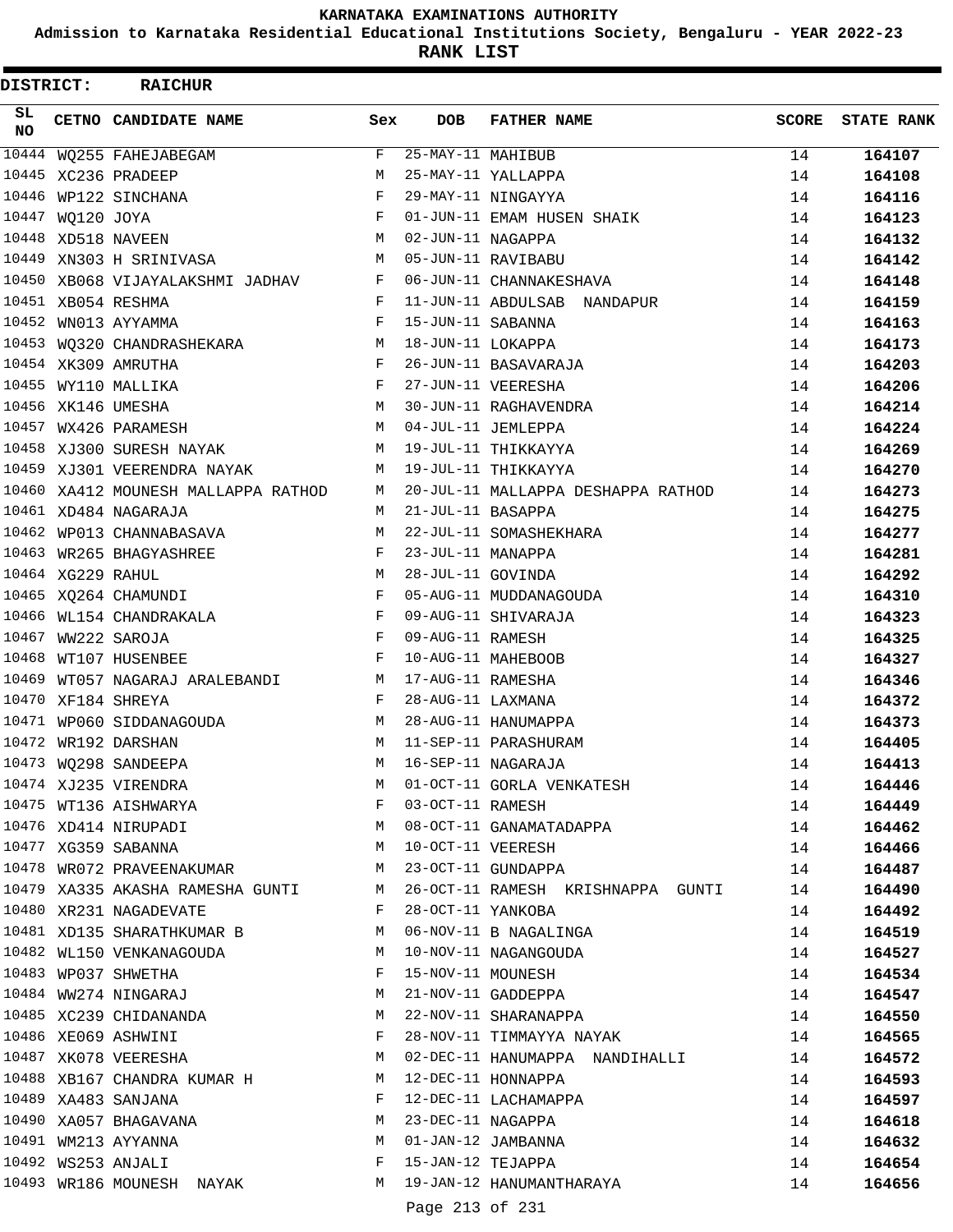**Admission to Karnataka Residential Educational Institutions Society, Bengaluru - YEAR 2022-23**

| <b>DISTRICT:</b> |                   | <b>RAICHUR</b>                                                       |              |                   |                                                                                                                                                                    |              |                   |
|------------------|-------------------|----------------------------------------------------------------------|--------------|-------------------|--------------------------------------------------------------------------------------------------------------------------------------------------------------------|--------------|-------------------|
| SL.<br><b>NO</b> |                   | CETNO CANDIDATE NAME                                                 | Sex          | <b>DOB</b>        | <b>FATHER NAME</b>                                                                                                                                                 | <b>SCORE</b> | <b>STATE RANK</b> |
|                  |                   | 10444 WQ255 FAHEJABEGAM                                              | F            | 25-MAY-11 MAHIBUB |                                                                                                                                                                    | 14           | 164107            |
|                  |                   | 10445 XC236 PRADEEP                                                  | M            |                   | 25-MAY-11 YALLAPPA                                                                                                                                                 | 14           | 164108            |
| 10446            |                   | WP122 SINCHANA                                                       | F            |                   | 29-MAY-11 NINGAYYA                                                                                                                                                 | 14           | 164116            |
| 10447            | WQ120 JOYA        |                                                                      | F            |                   | 01-JUN-11 EMAM HUSEN SHAIK                                                                                                                                         | 14           | 164123            |
|                  |                   | 10448 XD518 NAVEEN                                                   | M            | 02-JUN-11 NAGAPPA |                                                                                                                                                                    | 14           | 164132            |
| 10449            |                   | XN303 H SRINIVASA                                                    | М            |                   | 05-JUN-11 RAVIBABU                                                                                                                                                 | 14           | 164142            |
|                  |                   | 10450 XB068 VIJAYALAKSHMI JADHAV                                     | F            |                   | 06-JUN-11 CHANNAKESHAVA                                                                                                                                            | 14           | 164148            |
|                  |                   | 10451 XB054 RESHMA                                                   | F            |                   | 11-JUN-11 ABDULSAB NANDAPUR                                                                                                                                        | 14           | 164159            |
|                  |                   | 10452 WN013 AYYAMMA                                                  | F            | 15-JUN-11 SABANNA |                                                                                                                                                                    | 14           | 164163            |
|                  |                   | 10453 WQ320 CHANDRASHEKARA                                           | M            | 18-JUN-11 LOKAPPA |                                                                                                                                                                    | 14           | 164173            |
|                  |                   | 10454 XK309 AMRUTHA                                                  | F            |                   | 26-JUN-11 BASAVARAJA                                                                                                                                               | 14           | 164203            |
|                  |                   | 10455 WY110 MALLIKA                                                  | F            |                   | 27-JUN-11 VEERESHA                                                                                                                                                 | 14           | 164206            |
|                  |                   | 10456 XK146 UMESHA                                                   | M            |                   | 30-JUN-11 RAGHAVENDRA                                                                                                                                              | 14           | 164214            |
|                  |                   | 10457 WX426 PARAMESH                                                 | M            |                   | 04-JUL-11 JEMLEPPA                                                                                                                                                 | 14           | 164224            |
|                  |                   | 10458 XJ300 SURESH NAYAK                                             | M            |                   | 19-JUL-11 THIKKAYYA                                                                                                                                                | 14           | 164269            |
|                  |                   | 10459 XJ301 VEERENDRA NAYAK                                          | M            |                   | 19-JUL-11 THIKKAYYA                                                                                                                                                | 14           | 164270            |
|                  |                   | 10460 XA412 MOUNESH MALLAPPA RATHOD                                  | M            |                   | 20-JUL-11 MALLAPPA DESHAPPA RATHOD                                                                                                                                 | 14           | 164273            |
|                  |                   | 10461 XD484 NAGARAJA                                                 | M            | 21-JUL-11 BASAPPA |                                                                                                                                                                    | 14           | 164275            |
|                  |                   | 10462 WP013 CHANNABASAVA                                             | М            |                   | 22-JUL-11 SOMASHEKHARA                                                                                                                                             | 14           | 164277            |
|                  |                   | 10463 WR265 BHAGYASHREE                                              | F            | 23-JUL-11 MANAPPA |                                                                                                                                                                    | 14           | 164281            |
|                  | 10464 XG229 RAHUL |                                                                      | M            | 28-JUL-11 GOVINDA |                                                                                                                                                                    | 14           | 164292            |
|                  |                   | 10465 XQ264 CHAMUNDI                                                 | F            |                   | 05-AUG-11 MUDDANAGOUDA                                                                                                                                             | 14           | 164310            |
|                  |                   | 10466 WL154 CHANDRAKALA                                              | F            |                   | 09-AUG-11 SHIVARAJA                                                                                                                                                |              |                   |
|                  |                   | 10467 WW222 SAROJA                                                   | $\mathbf{F}$ | 09-AUG-11 RAMESH  |                                                                                                                                                                    | 14           | 164323            |
|                  |                   |                                                                      | F            |                   |                                                                                                                                                                    | 14           | 164325            |
|                  |                   | 10468 WT107 HUSENBEE                                                 |              |                   | 10-AUG-11 MAHEBOOB                                                                                                                                                 | 14           | 164327            |
| 10469            |                   | WT057 NAGARAJ ARALEBANDI                                             | M            | 17-AUG-11 RAMESHA |                                                                                                                                                                    | 14           | 164346            |
|                  |                   | 10470 XF184 SHREYA                                                   | F            | 28-AUG-11 LAXMANA |                                                                                                                                                                    | 14           | 164372            |
|                  |                   | 10471 WP060 SIDDANAGOUDA                                             | M            |                   | 28-AUG-11 HANUMAPPA                                                                                                                                                | 14           | 164373            |
|                  |                   | 10472 WR192 DARSHAN                                                  | M            |                   | 11-SEP-11 PARASHURAM                                                                                                                                               | 14           | 164405            |
|                  |                   | 10473 WQ298 SANDEEPA<br>10473 WQ298 SANDEEPA<br>10474 XJ235 VIRENDRA | М            |                   | 16-SEP-11 NAGARAJA                                                                                                                                                 | 14           | 164413            |
|                  |                   |                                                                      | M            |                   | 01-OCT-11 GORLA VENKATESH                                                                                                                                          | 14           | 164446            |
|                  |                   |                                                                      |              |                   |                                                                                                                                                                    | 14           | 164449            |
|                  |                   |                                                                      |              |                   | 10475 WT136 AISHWARYA<br>10476 XD414 NIRUPADI M 08-OCT-11 GANAMATADAPPA<br>10477 XG359 SABANNA M 10-OCT-11 VEERESH                                                 | 14           | 164462            |
|                  |                   |                                                                      |              |                   |                                                                                                                                                                    | 14           | 164466            |
|                  |                   | 10478 WR072 PRAVEENAKUMAR M 23-OCT-11 GUNDAPPA                       |              |                   |                                                                                                                                                                    | 14           | 164487            |
|                  |                   |                                                                      |              |                   | 10479 XA335 AKASHA RAMESHA GUNTI MAN 26-OCT-11 RAMESH KRISHNAPPA GUNTI                                                                                             | 14           | 164490            |
|                  |                   | 10480 XR231 NAGADEVATE                                               |              |                   | F 28-OCT-11 YANKOBA                                                                                                                                                | 14           | 164492            |
|                  |                   | 10481 XD135 SHARATHKUMAR B M 06-NOV-11 B NAGALINGA                   |              |                   |                                                                                                                                                                    | 14           | 164519            |
|                  |                   | 10482 WL150 VENKANAGOUDA M                                           |              |                   | 10-NOV-11 NAGANGOUDA                                                                                                                                               | 14           | 164527            |
|                  |                   |                                                                      |              |                   | 10483 WP037 SHWETHA<br>10484 WW274 NINGARAJ M 21-NOV-11 GADDEPPA<br>10485 XC239 CHIDANANDA M 22-NOV-11 SHARANAPPA<br>10485 YC239 CHIDANANDA M 22-NOV-11 SHARANAPPA | 14           | 164534            |
|                  |                   |                                                                      |              |                   |                                                                                                                                                                    | 14           | 164547            |
|                  |                   |                                                                      |              |                   |                                                                                                                                                                    | 14           | 164550            |
|                  |                   | 10486 XE069 ASHWINI                                                  |              |                   | F 28-NOV-11 TIMMAYYA NAYAK                                                                                                                                         | 14           | 164565            |
|                  |                   |                                                                      |              |                   | 10487 XK078 VEERESHA M 02-DEC-11 HANUMAPPA NANDIHALLI                                                                                                              | 14           | 164572            |
|                  |                   | 10488 XB167 CHANDRA KUMAR H M 12-DEC-11 HONNAPPA                     |              |                   |                                                                                                                                                                    | 14           | 164593            |
|                  |                   | 10489 XA483 SANJANA                                                  |              |                   | F 12-DEC-11 LACHAMAPPA                                                                                                                                             | 14           | 164597            |
|                  |                   |                                                                      |              |                   | 10490 XA057 BHAGAVANA<br>10491 WM213 AYYANNA M (1-JAN-12 JAMBANNA<br>10492 WS253 ANJALI M (F) TEJAPPA                                                              | 14           | 164618            |
|                  |                   |                                                                      |              |                   |                                                                                                                                                                    | 14           | 164632            |
|                  |                   |                                                                      |              |                   |                                                                                                                                                                    | 14           | 164654            |
|                  |                   |                                                                      |              |                   | 10493 WR186 MOUNESH NAYAK M 19-JAN-12 HANUMANTHARAYA                                                                                                               | 14           | 164656            |
|                  |                   |                                                                      |              | Page 213 of 231   |                                                                                                                                                                    |              |                   |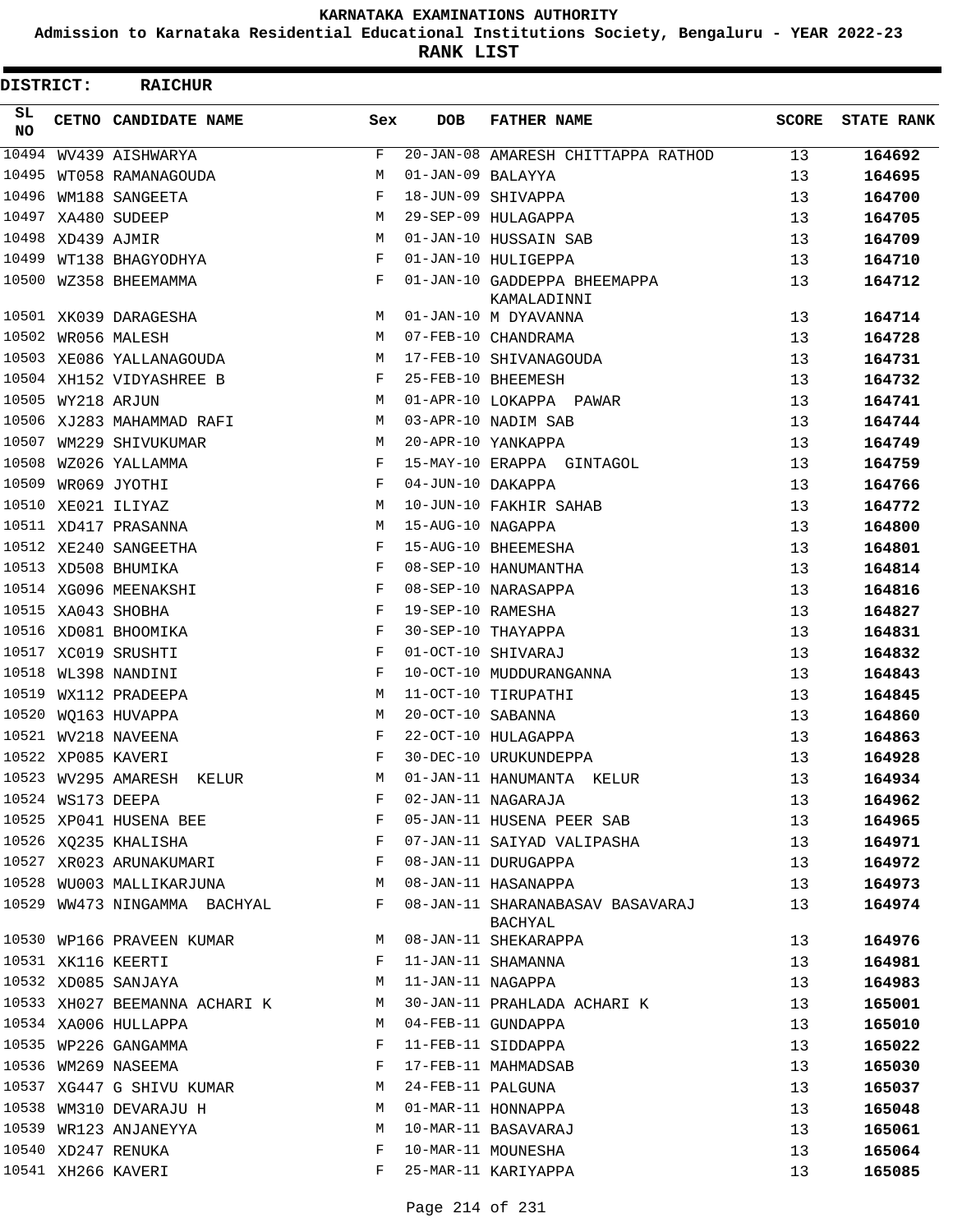**Admission to Karnataka Residential Educational Institutions Society, Bengaluru - YEAR 2022-23**

**RANK LIST**

| DISTRICT:  |                   | <b>RAICHUR</b>                |     |                   |                                             |       |                   |
|------------|-------------------|-------------------------------|-----|-------------------|---------------------------------------------|-------|-------------------|
| SL.<br>NO. |                   | CETNO CANDIDATE NAME          | Sex | <b>DOB</b>        | <b>FATHER NAME</b>                          | SCORE | <b>STATE RANK</b> |
| 10494      |                   | WV439 AISHWARYA               | F   |                   | 20-JAN-08 AMARESH CHITTAPPA RATHOD          | 13    | 164692            |
| 10495      |                   | WT058 RAMANAGOUDA             | М   | 01-JAN-09 BALAYYA |                                             | 13    | 164695            |
| 10496      |                   | WM188 SANGEETA                | F   |                   | 18-JUN-09 SHIVAPPA                          | 13    | 164700            |
|            |                   | 10497 XA480 SUDEEP            | М   |                   | 29-SEP-09 HULAGAPPA                         | 13    | 164705            |
|            | 10498 XD439 AJMIR |                               | M   |                   | 01-JAN-10 HUSSAIN SAB                       | 13    | 164709            |
|            |                   | 10499 WT138 BHAGYODHYA        | F   |                   | 01-JAN-10 HULIGEPPA                         | 13    | 164710            |
|            |                   | 10500 WZ358 BHEEMAMMA         | F   |                   | 01-JAN-10 GADDEPPA BHEEMAPPA<br>KAMALADINNI | 13    | 164712            |
|            |                   | 10501 XK039 DARAGESHA         | M   |                   | 01-JAN-10 M DYAVANNA                        | 13    | 164714            |
|            |                   | 10502 WR056 MALESH            | M   |                   | 07-FEB-10 CHANDRAMA                         | 13    | 164728            |
|            |                   | 10503 XE086 YALLANAGOUDA      | М   |                   | 17-FEB-10 SHIVANAGOUDA                      | 13    | 164731            |
|            |                   | 10504 XH152 VIDYASHREE B      | F   |                   | 25-FEB-10 BHEEMESH                          | 13    | 164732            |
|            | 10505 WY218 ARJUN |                               | М   |                   | 01-APR-10 LOKAPPA PAWAR                     | 13    | 164741            |
|            |                   | 10506 XJ283 MAHAMMAD RAFI     | М   |                   | 03-APR-10 NADIM SAB                         | 13    | 164744            |
| 10507      |                   | WM229 SHIVUKUMAR              | М   |                   | 20-APR-10 YANKAPPA                          | 13    | 164749            |
| 10508      |                   | WZ026 YALLAMMA                | F   |                   | 15-MAY-10 ERAPPA GINTAGOL                   | 13    | 164759            |
|            |                   | 10509 WR069 JYOTHI            | F   | 04-JUN-10 DAKAPPA |                                             | 13    | 164766            |
|            |                   | 10510 XE021 ILIYAZ            | M   |                   | 10-JUN-10 FAKHIR SAHAB                      | 13    | 164772            |
|            |                   | 10511 XD417 PRASANNA          | М   | 15-AUG-10 NAGAPPA |                                             | 13    | 164800            |
|            |                   | 10512 XE240 SANGEETHA         | F   |                   | 15-AUG-10 BHEEMESHA                         | 13    | 164801            |
|            |                   | 10513 XD508 BHUMIKA           | F   |                   | 08-SEP-10 HANUMANTHA                        | 13    | 164814            |
|            |                   | 10514 XG096 MEENAKSHI         | F   |                   | 08-SEP-10 NARASAPPA                         | 13    | 164816            |
|            |                   | 10515 XA043 SHOBHA            | F   | 19-SEP-10 RAMESHA |                                             | 13    | 164827            |
|            |                   | 10516 XD081 BHOOMIKA          | F   |                   | 30-SEP-10 THAYAPPA                          | 13    | 164831            |
|            |                   | 10517 XC019 SRUSHTI           | F   |                   | 01-OCT-10 SHIVARAJ                          | 13    | 164832            |
|            |                   | 10518 WL398 NANDINI           | F   |                   | 10-OCT-10 MUDDURANGANNA                     | 13    | 164843            |
| 10519      |                   | WX112 PRADEEPA                | М   |                   | 11-OCT-10 TIRUPATHI                         | 13    | 164845            |
|            |                   | 10520 WQ163 HUVAPPA           | М   | 20-OCT-10 SABANNA |                                             | 13    | 164860            |
|            |                   | 10521 WV218 NAVEENA           | F   |                   | 22-OCT-10 HULAGAPPA                         | 13    | 164863            |
|            |                   | 10522 XP085 KAVERI            | F   |                   | 30-DEC-10 URUKUNDEPPA                       | 13    | 164928            |
|            |                   | 10523 WV295 AMARESH KELUR     | М   |                   | 01-JAN-11 HANUMANTA KELUR                   | 13    | 164934            |
|            | 10524 WS173 DEEPA |                               | F   |                   | 02-JAN-11 NAGARAJA                          | 13    | 164962            |
|            |                   | 10525 XP041 HUSENA BEE        | F   |                   | 05-JAN-11 HUSENA PEER SAB                   | 13    | 164965            |
|            |                   | 10526 XQ235 KHALISHA          | F   |                   | 07-JAN-11 SAIYAD VALIPASHA                  | 13    | 164971            |
|            |                   | 10527 XR023 ARUNAKUMARI       | F   |                   | 08-JAN-11 DURUGAPPA                         | 13    | 164972            |
|            |                   | 10528 WU003 MALLIKARJUNA      | М   |                   | 08-JAN-11 HASANAPPA                         | 13    | 164973            |
|            |                   | 10529 WW473 NINGAMMA BACHYAL  | F   |                   | 08-JAN-11 SHARANABASAV BASAVARAJ<br>BACHYAL | 13    | 164974            |
|            |                   | 10530 WP166 PRAVEEN KUMAR     | М   |                   | 08-JAN-11 SHEKARAPPA                        | 13    | 164976            |
|            |                   | 10531 XK116 KEERTI            | F   |                   | 11-JAN-11 SHAMANNA                          | 13    | 164981            |
|            |                   | 10532 XD085 SANJAYA           | М   | 11-JAN-11 NAGAPPA |                                             | 13    | 164983            |
|            |                   | 10533 XH027 BEEMANNA ACHARI K | М   |                   | 30-JAN-11 PRAHLADA ACHARI K                 | 13    | 165001            |
|            |                   | 10534 XA006 HULLAPPA          | М   |                   | 04-FEB-11 GUNDAPPA                          | 13    | 165010            |
|            |                   | 10535 WP226 GANGAMMA          | F   |                   | 11-FEB-11 SIDDAPPA                          | 13    | 165022            |
|            |                   | 10536 WM269 NASEEMA           | F   |                   | 17-FEB-11 MAHMADSAB                         | 13    | 165030            |
|            |                   | 10537 XG447 G SHIVU KUMAR     | М   | 24-FEB-11 PALGUNA |                                             | 13    | 165037            |
|            |                   | 10538 WM310 DEVARAJU H        | М   |                   | 01-MAR-11 HONNAPPA                          | 13    | 165048            |
|            |                   | 10539 WR123 ANJANEYYA         | М   |                   | 10-MAR-11 BASAVARAJ                         | 13    | 165061            |
|            |                   | 10540 XD247 RENUKA            | F   |                   | 10-MAR-11 MOUNESHA                          | 13    | 165064            |
|            |                   | 10541 XH266 KAVERI            | F   |                   | 25-MAR-11 KARIYAPPA                         | 13    | 165085            |
|            |                   |                               |     |                   |                                             |       |                   |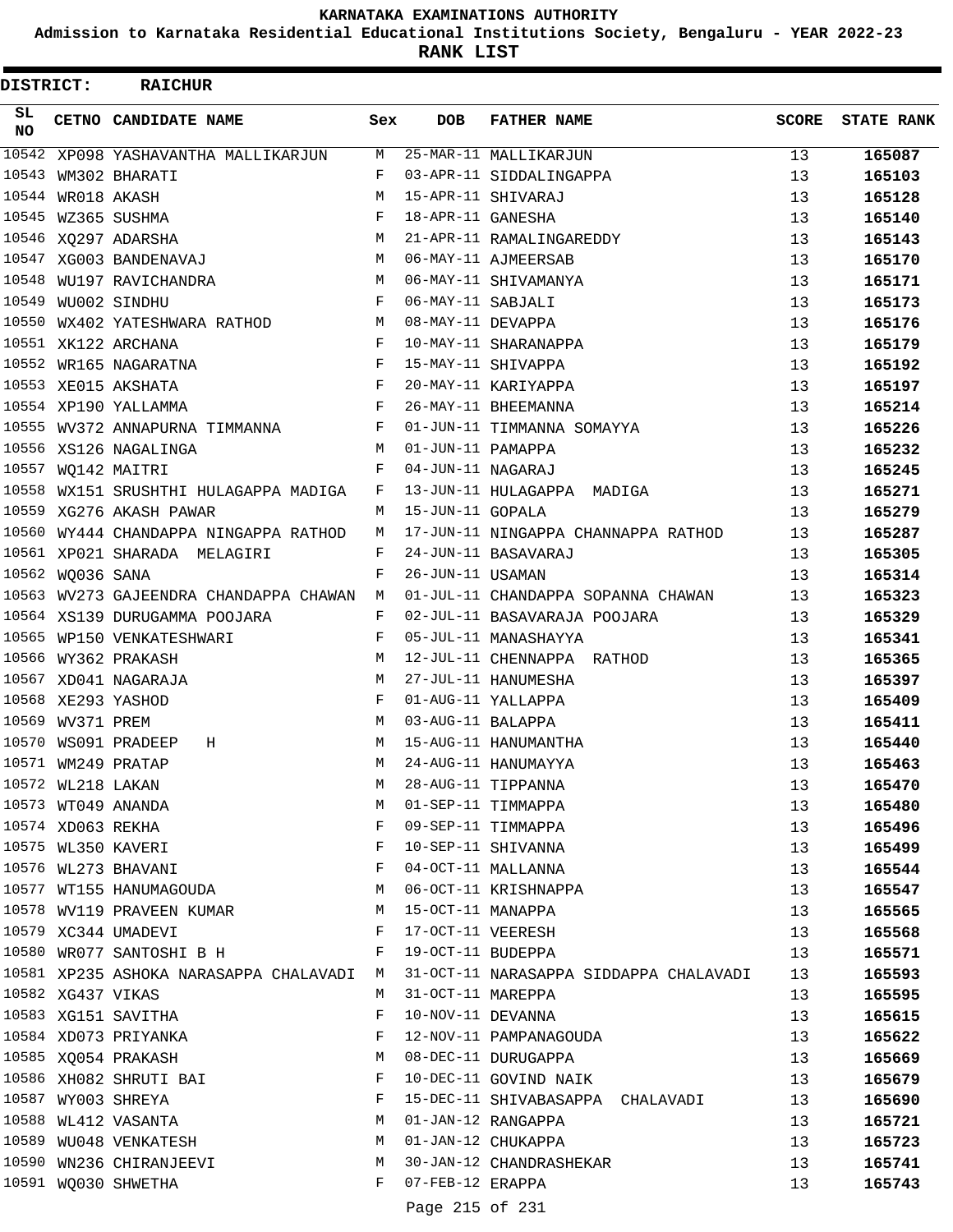**Admission to Karnataka Residential Educational Institutions Society, Bengaluru - YEAR 2022-23**

**RANK LIST**

| DISTRICT: |                   | <b>RAICHUR</b>                           |     |                   |                                                                                 |                 |                   |
|-----------|-------------------|------------------------------------------|-----|-------------------|---------------------------------------------------------------------------------|-----------------|-------------------|
| SL<br>NO. |                   | CETNO CANDIDATE NAME                     | Sex | <b>DOB</b>        | <b>FATHER NAME</b>                                                              | SCORE           | <b>STATE RANK</b> |
|           |                   | 10542 XP098 YASHAVANTHA MALLIKARJUN      | М   |                   | 25-MAR-11 MALLIKARJUN                                                           | 13              | 165087            |
|           |                   | 10543 WM302 BHARATI                      | F   |                   | 03-APR-11 SIDDALINGAPPA                                                         | 13              | 165103            |
|           | 10544 WR018 AKASH |                                          | М   |                   | 15-APR-11 SHIVARAJ                                                              | 13              | 165128            |
|           |                   | 10545 WZ365 SUSHMA                       | F   | 18-APR-11 GANESHA |                                                                                 | 13              | 165140            |
|           |                   | 10546 XQ297 ADARSHA                      | М   |                   | 21-APR-11 RAMALINGAREDDY                                                        | 13              | 165143            |
|           |                   | 10547 XG003 BANDENAVAJ                   | M   |                   | 06-MAY-11 AJMEERSAB                                                             | 13              | 165170            |
|           |                   | 10548 WU197 RAVICHANDRA                  | M   |                   | 06-MAY-11 SHIVAMANYA                                                            | 13              | 165171            |
|           |                   | 10549 WU002 SINDHU                       | F   | 06-MAY-11 SABJALI |                                                                                 | 13              | 165173            |
|           |                   | 10550 WX402 YATESHWARA RATHOD            | M   | 08-MAY-11 DEVAPPA |                                                                                 | 13              | 165176            |
|           |                   | 10551 XK122 ARCHANA                      | F   |                   | 10-MAY-11 SHARANAPPA                                                            | 13              | 165179            |
|           |                   | 10552 WR165 NAGARATNA                    | F   |                   | 15-MAY-11 SHIVAPPA                                                              | 13              | 165192            |
|           |                   | 10553 XE015 AKSHATA                      | F   |                   | 20-MAY-11 KARIYAPPA                                                             | 13              | 165197            |
|           |                   | 10554 XP190 YALLAMMA                     | F   |                   | 26-MAY-11 BHEEMANNA                                                             | 13              | 165214            |
|           |                   | 10555 WV372 ANNAPURNA TIMMANNA           | F   |                   | 01-JUN-11 TIMMANNA SOMAYYA                                                      | 13              | 165226            |
|           |                   | 10556 XS126 NAGALINGA                    | M   | 01-JUN-11 PAMAPPA |                                                                                 | 13              | 165232            |
|           |                   | 10557 WQ142 MAITRI                       | F   | 04-JUN-11 NAGARAJ |                                                                                 | 13              | 165245            |
|           |                   | 10558 WX151 SRUSHTHI HULAGAPPA MADIGA    | F   |                   | 13-JUN-11 HULAGAPPA MADIGA                                                      | 13              | 165271            |
|           |                   | 10559 XG276 AKASH PAWAR                  | M   | 15-JUN-11 GOPALA  |                                                                                 | 13              | 165279            |
|           |                   | 10560 WY444 CHANDAPPA NINGAPPA RATHOD    | М   |                   | 17-JUN-11 NINGAPPA CHANNAPPA RATHOD                                             | 13              | 165287            |
|           |                   | 10561 XP021 SHARADA MELAGIRI             | F   |                   | 24-JUN-11 BASAVARAJ                                                             | 13              | 165305            |
|           | 10562 WQ036 SANA  |                                          | F   | 26-JUN-11 USAMAN  |                                                                                 | 13              | 165314            |
|           |                   | 10563 WV273 GAJEENDRA CHANDAPPA CHAWAN M |     |                   | 01-JUL-11 CHANDAPPA SOPANNA CHAWAN                                              | 13              | 165323            |
|           |                   | 10564 XS139 DURUGAMMA POOJARA            | F   |                   | 02-JUL-11 BASAVARAJA POOJARA                                                    | 13              | 165329            |
|           |                   | 10565 WP150 VENKATESHWARI                | F   |                   | 05-JUL-11 MANASHAYYA                                                            | 13              | 165341            |
|           |                   | 10566 WY362 PRAKASH                      | М   |                   | 12-JUL-11 CHENNAPPA RATHOD                                                      | 13              | 165365            |
|           |                   | 10567 XD041 NAGARAJA                     | М   |                   | 27-JUL-11 HANUMESHA                                                             | 13              | 165397            |
|           |                   | 10568 XE293 YASHOD                       | F   |                   | 01-AUG-11 YALLAPPA                                                              | 13              | 165409            |
|           | 10569 WV371 PREM  |                                          | М   | 03-AUG-11 BALAPPA |                                                                                 | 13              | 165411            |
|           |                   | 10570 WS091 PRADEEP<br>Н                 | М   |                   | 15-AUG-11 HANUMANTHA                                                            | 13              | 165440            |
|           |                   | 10571 WM249 PRATAP                       | M   |                   | 24-AUG-11 HANUMAYYA                                                             | 13              | 165463            |
|           | 10572 WL218 LAKAN |                                          | М   |                   | 28-AUG-11 TIPPANNA                                                              | 13              | 165470            |
|           |                   | 10573 WT049 ANANDA                       | М   |                   | 01-SEP-11 TIMMAPPA                                                              | 13 <sup>°</sup> | 165480            |
|           |                   | 10574 XD063 REKHA                        | F   |                   | 09-SEP-11 TIMMAPPA                                                              | 13              |                   |
|           |                   | 10575 WL350 KAVERI                       | F   |                   | 10-SEP-11 SHIVANNA                                                              | 13 <sup>°</sup> | 165496            |
|           |                   |                                          | F   |                   | 04-OCT-11 MALLANNA                                                              |                 | 165499            |
|           |                   | 10576 WL273 BHAVANI                      |     |                   |                                                                                 | 13              | 165544            |
|           |                   | 10577 WT155 HANUMAGOUDA                  | M   |                   | 06-OCT-11 KRISHNAPPA                                                            | 13              | 165547            |
|           |                   | 10578 WV119 PRAVEEN KUMAR M              |     | 15-OCT-11 MANAPPA |                                                                                 | 13              | 165565            |
|           |                   | 10579 XC344 UMADEVI                      | F   |                   | 17-OCT-11 VEERESH                                                               | 13              | 165568            |
|           |                   | 10580 WR077 SANTOSHI B H                 | F   | 19-OCT-11 BUDEPPA |                                                                                 | 13              | 165571            |
|           |                   |                                          |     |                   | 10581 XP235 ASHOKA NARASAPPA CHALAVADI M 31-OCT-11 NARASAPPA SIDDAPPA CHALAVADI | 13              | 165593            |
|           | 10582 XG437 VIKAS |                                          | M   | 31-OCT-11 MAREPPA |                                                                                 | 13              | 165595            |
|           |                   | 10583 XG151 SAVITHA                      | F   |                   | 10-NOV-11 DEVANNA                                                               | 13              | 165615            |
|           |                   | 10584 XD073 PRIYANKA                     | F   |                   | 12-NOV-11 PAMPANAGOUDA                                                          | 13              | 165622            |
|           |                   | 10585 XQ054 PRAKASH                      | М   |                   | 08-DEC-11 DURUGAPPA                                                             | 13              | 165669            |
|           |                   | 10586 XH082 SHRUTI BAI                   | F   |                   | 10-DEC-11 GOVIND NAIK                                                           | 13              | 165679            |
|           |                   | 10587 WY003 SHREYA                       | F   |                   | 15-DEC-11 SHIVABASAPPA CHALAVADI                                                | 13              | 165690            |
|           |                   | 10588 WL412 VASANTA                      | М   |                   | 01-JAN-12 RANGAPPA                                                              | 13              | 165721            |
|           |                   | 10589 WU048 VENKATESH                    | М   |                   | 01-JAN-12 CHUKAPPA                                                              | 13              | 165723            |
|           |                   | 10590 WN236 CHIRANJEEVI                  | M   |                   | 30-JAN-12 CHANDRASHEKAR                                                         | 13              | 165741            |
|           |                   | 10591 WQ030 SHWETHA                      | F   | 07-FEB-12 ERAPPA  |                                                                                 | 13              | 165743            |
|           |                   |                                          |     | Page 215 of 231   |                                                                                 |                 |                   |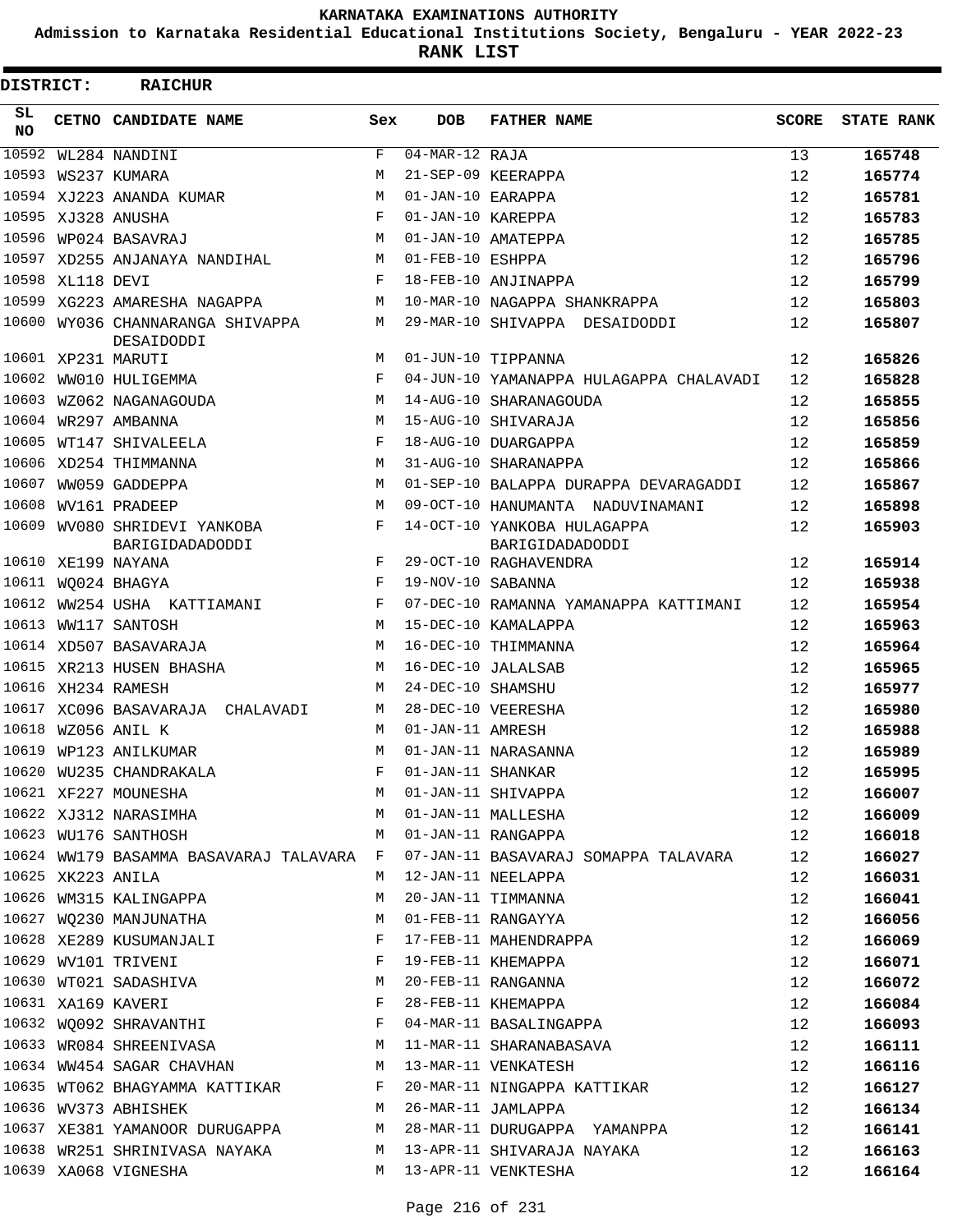**Admission to Karnataka Residential Educational Institutions Society, Bengaluru - YEAR 2022-23**

| DISTRICT:       |                  | <b>RAICHUR</b>                                        |              |                             |                                                                                                                                                                                         |              |                   |
|-----------------|------------------|-------------------------------------------------------|--------------|-----------------------------|-----------------------------------------------------------------------------------------------------------------------------------------------------------------------------------------|--------------|-------------------|
| SL<br><b>NO</b> |                  | CETNO CANDIDATE NAME                                  | Sex          | <b>DOB</b>                  | <b>FATHER NAME</b>                                                                                                                                                                      | <b>SCORE</b> | <b>STATE RANK</b> |
| 10592           |                  | WL284 NANDINI                                         | $\mathbf{F}$ | $\overline{04-MAR}-12$ RAJA |                                                                                                                                                                                         | 13           | 165748            |
| 10593           |                  | WS237 KUMARA                                          | M            |                             | 21-SEP-09 KEERAPPA                                                                                                                                                                      | 12           | 165774            |
|                 |                  | 10594 XJ223 ANANDA KUMAR                              | M            | 01-JAN-10 EARAPPA           |                                                                                                                                                                                         | 12           | 165781            |
|                 |                  | 10595 XJ328 ANUSHA                                    | F            | 01-JAN-10 KAREPPA           |                                                                                                                                                                                         | 12           | 165783            |
|                 |                  | 10596 WP024 BASAVRAJ                                  | М            |                             | 01-JAN-10 AMATEPPA                                                                                                                                                                      | 12           | 165785            |
|                 |                  | 10597 XD255 ANJANAYA NANDIHAL                         | М            | 01-FEB-10 ESHPPA            |                                                                                                                                                                                         | 12           | 165796            |
|                 | 10598 XL118 DEVI |                                                       | F            |                             | 18-FEB-10 ANJINAPPA                                                                                                                                                                     | 12           | 165799            |
|                 |                  | 10599 XG223 AMARESHA NAGAPPA                          | M            |                             | 10-MAR-10 NAGAPPA SHANKRAPPA                                                                                                                                                            | 12           | 165803            |
|                 |                  | 10600 WY036 CHANNARANGA SHIVAPPA<br>DESAIDODDI        | М            |                             | 29-MAR-10 SHIVAPPA DESAIDODDI                                                                                                                                                           | 12           | 165807            |
|                 |                  | 10601 XP231 MARUTI                                    | M            |                             | 01-JUN-10 TIPPANNA                                                                                                                                                                      | 12           | 165826            |
| 10602           |                  | WW010 HULIGEMMA                                       | F            |                             | 04-JUN-10 YAMANAPPA HULAGAPPA CHALAVADI                                                                                                                                                 | 12           | 165828            |
| 10603           |                  | WZ062 NAGANAGOUDA                                     | M            |                             | 14-AUG-10 SHARANAGOUDA                                                                                                                                                                  | 12           | 165855            |
|                 |                  | 10604 WR297 AMBANNA                                   | M            |                             | 15-AUG-10 SHIVARAJA                                                                                                                                                                     | 12           | 165856            |
|                 |                  | 10605 WT147 SHIVALEELA                                | F            |                             | 18-AUG-10 DUARGAPPA                                                                                                                                                                     | 12           | 165859            |
|                 |                  | 10606 XD254 THIMMANNA                                 | M            |                             | 31-AUG-10 SHARANAPPA                                                                                                                                                                    | 12           | 165866            |
| 10607           |                  | WW059 GADDEPPA                                        | M            |                             | 01-SEP-10 BALAPPA DURAPPA DEVARAGADDI                                                                                                                                                   | 12           | 165867            |
| 10608           |                  | WV161 PRADEEP                                         | M            |                             | 09-OCT-10 HANUMANTA NADUVINAMANI                                                                                                                                                        | 12           | 165898            |
|                 |                  | 10609 WV080 SHRIDEVI YANKOBA                          | F            |                             | 14-OCT-10 YANKOBA HULAGAPPA                                                                                                                                                             | 12           | 165903            |
|                 |                  | BARIGIDADADODDI                                       |              |                             | BARIGIDADADODDI                                                                                                                                                                         |              |                   |
|                 |                  | 10610 XE199 NAYANA                                    | F            |                             | 29-OCT-10 RAGHAVENDRA                                                                                                                                                                   | 12           | 165914            |
|                 |                  | 10611 WQ024 BHAGYA                                    | F            | 19-NOV-10 SABANNA           |                                                                                                                                                                                         | 12           | 165938            |
| 10612           |                  | WW254 USHA KATTIAMANI                                 | F            |                             | 07-DEC-10 RAMANNA YAMANAPPA KATTIMANI                                                                                                                                                   | 12           | 165954            |
| 10613           |                  | WW117 SANTOSH                                         | M            |                             | 15-DEC-10 KAMALAPPA                                                                                                                                                                     | 12           | 165963            |
|                 |                  | 10614 XD507 BASAVARAJA                                | M            |                             | 16-DEC-10 THIMMANNA                                                                                                                                                                     | 12           | 165964            |
|                 |                  | 10615 XR213 HUSEN BHASHA                              | M            |                             | 16-DEC-10 JALALSAB                                                                                                                                                                      | 12           | 165965            |
|                 |                  | 10616 XH234 RAMESH                                    | M            | 24-DEC-10 SHAMSHU           |                                                                                                                                                                                         | 12           | 165977            |
|                 |                  | 10617 XC096 BASAVARAJA CHALAVADI                      | М            |                             | 28-DEC-10 VEERESHA                                                                                                                                                                      | 12           | 165980            |
|                 |                  | 10618 WZ056 ANIL K                                    | M            | 01-JAN-11 AMRESH            |                                                                                                                                                                                         | 12           | 165988            |
|                 |                  | 10619 WP123 ANILKUMAR                                 | M            |                             | 01-JAN-11 NARASANNA                                                                                                                                                                     | 12           | 165989            |
|                 |                  | 10620 WU235 CHANDRAKALA                               | F            | 01-JAN-11 SHANKAR           |                                                                                                                                                                                         | 12           | 165995            |
|                 |                  |                                                       |              |                             | 10621 XF227 MOUNESHA<br>10622 XJ312 NARASIMHA M 01-JAN-11 SHIVAPPA                                                                                                                      | 12           | 166007            |
|                 |                  |                                                       |              |                             |                                                                                                                                                                                         | 12           | 166009            |
|                 |                  |                                                       |              |                             | 10623 WU176 SANTHOSH M 01-JAN-11 RANGAPPA 12                                                                                                                                            |              | 166018            |
|                 |                  |                                                       |              |                             | 10624 WW179 BASAMMA BASAVARAJ TALAVARA F 07-JAN-11 BASAVARAJ SOMAPPA TALAVARA 12                                                                                                        |              | 166027            |
|                 |                  | 10625 XK223 ANILA                                     |              |                             | M 12-JAN-11 NEELAPPA                                                                                                                                                                    | 12           | 166031            |
|                 |                  | 10626 WM315 KALINGAPPA                                |              |                             | M 20-JAN-11 TIMMANNA                                                                                                                                                                    | 12           | 166041            |
|                 |                  | 10627 WQ230 MANJUNATHA M M 01-FEB-11 RANGAYYA         |              |                             |                                                                                                                                                                                         | 12           | 166056            |
|                 |                  | 10628 XE289 KUSUMANJALI SARA SERI TERRETA MAHENDRAPPA |              |                             |                                                                                                                                                                                         | 12           | 166069            |
|                 |                  | 10629 WV101 TRIVENI                                   |              |                             | F 19-FEB-11 KHEMAPPA                                                                                                                                                                    | 12           | 166071            |
|                 |                  | 10630 WT021 SADASHIVA M 20-FEB-11 RANGANNA            |              |                             |                                                                                                                                                                                         | 12           | 166072            |
|                 |                  | 10631 XA169 KAVERI                                    |              |                             | F 28-FEB-11 KHEMAPPA                                                                                                                                                                    | 12           | 166084            |
|                 |                  |                                                       |              |                             | 10632 WQ092 SHRAVANTHI TARRED TEMPERATI BASALINGAPPA                                                                                                                                    | 12           | 166093            |
|                 |                  | 10633 WR084 SHREENIVASA M 11-MAR-11 SHARANABASAVA     |              |                             |                                                                                                                                                                                         | 12           | 166111            |
|                 |                  | 10634 WW454 SAGAR CHAVHAN M 13-MAR-11 VENKATESH       |              |                             |                                                                                                                                                                                         | 12           | 166116            |
|                 |                  |                                                       |              |                             | 10635 WT062 BHAGYAMMA KATTIKAR F 20-MAR-11 NINGAPPA KATTIKAR 12                                                                                                                         |              | 166127            |
|                 |                  | 10636 WV373 ABHISHEK M 26-MAR-11 JAMLAPPA             |              |                             |                                                                                                                                                                                         | 12           | 166134            |
|                 |                  |                                                       |              |                             |                                                                                                                                                                                         |              | 166141            |
|                 |                  |                                                       |              |                             | 10637 XE381 YAMANOOR DURUGAPPA           M   28-MAR-11 DURUGAPPA   YAMANPPA               12<br>10638 WR251 SHRINIVASA NAYAKA           M   13-APR-11 SHIVARAJA NAYAKA               12 |              | 166163            |
|                 |                  | 10639 XA068 VIGNESHA M 13-APR-11 VENKTESHA            |              |                             |                                                                                                                                                                                         | 12           | 166164            |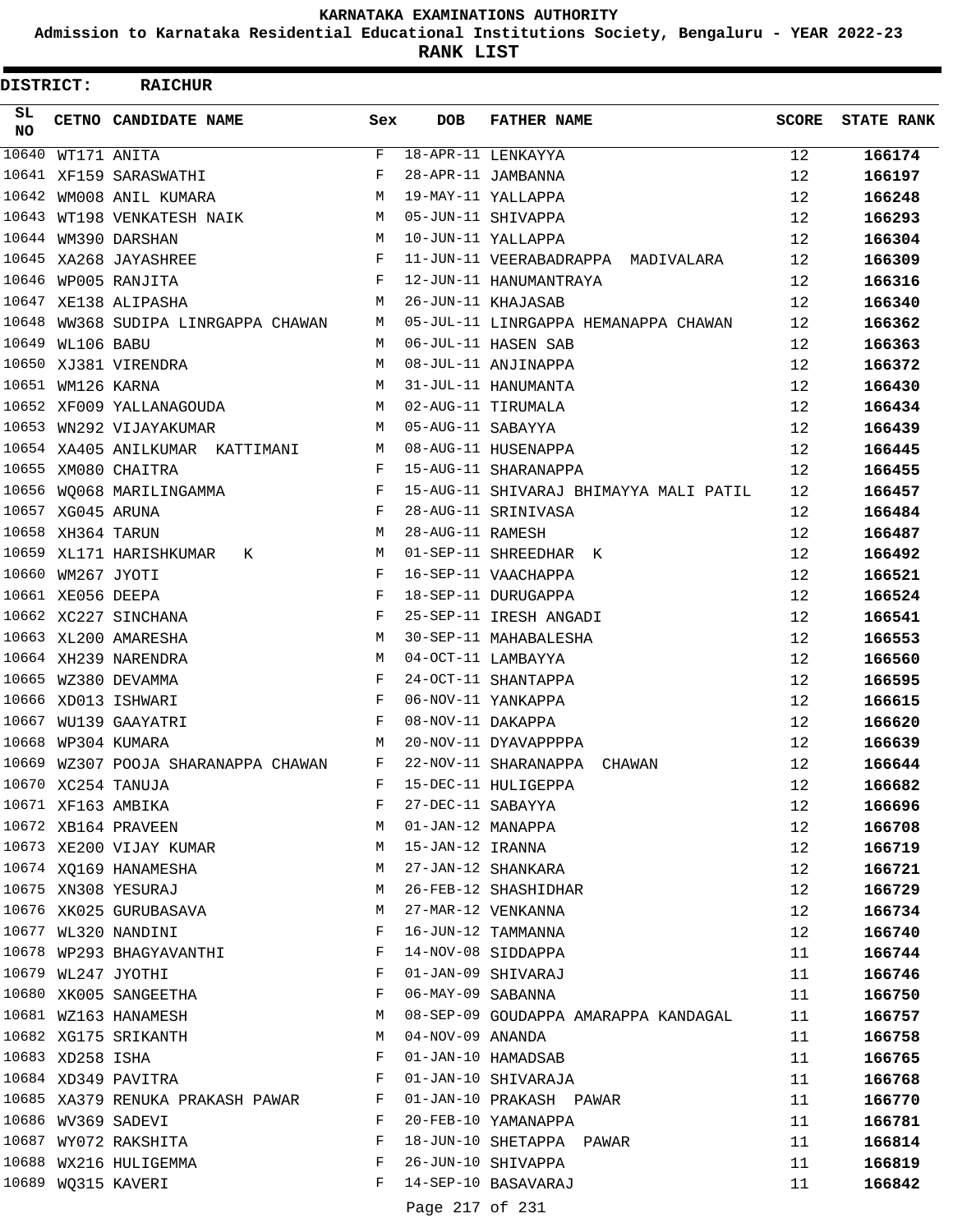**Admission to Karnataka Residential Educational Institutions Society, Bengaluru - YEAR 2022-23**

**RANK LIST**

| DISTRICT:  |                   | <b>RAICHUR</b>                                |        |                   |                                                |       |                   |
|------------|-------------------|-----------------------------------------------|--------|-------------------|------------------------------------------------|-------|-------------------|
| SL.<br>NO. |                   | CETNO CANDIDATE NAME                          | Sex    | <b>DOB</b>        | <b>FATHER NAME</b>                             | SCORE | <b>STATE RANK</b> |
| 10640      |                   | WT171 ANITA                                   | F      |                   | 18-APR-11 LENKAYYA                             | 12    | 166174            |
|            |                   | 10641 XF159 SARASWATHI                        | F      |                   | 28-APR-11 JAMBANNA                             | 12    | 166197            |
|            |                   | 10642 WM008 ANIL KUMARA                       | М      |                   | 19-MAY-11 YALLAPPA                             | 12    | 166248            |
| 10643      |                   | WT198 VENKATESH NAIK                          | M      |                   | 05-JUN-11 SHIVAPPA                             | 12    | 166293            |
|            |                   | 10644 WM390 DARSHAN                           | M      |                   | 10-JUN-11 YALLAPPA                             | 12    | 166304            |
|            |                   | 10645 XA268 JAYASHREE                         | F      |                   | 11-JUN-11 VEERABADRAPPA MADIVALARA             | 12    | 166309            |
|            |                   | 10646 WP005 RANJITA                           | F      |                   | 12-JUN-11 HANUMANTRAYA                         | 12    | 166316            |
|            |                   | 10647 XE138 ALIPASHA                          | M      |                   | 26-JUN-11 KHAJASAB                             | 12    | 166340            |
| 10648      |                   | WW368 SUDIPA LINRGAPPA CHAWAN                 | М      |                   | 05-JUL-11 LINRGAPPA HEMANAPPA CHAWAN           | 12    | 166362            |
|            | 10649 WL106 BABU  |                                               | M      |                   | 06-JUL-11 HASEN SAB                            | 12    | 166363            |
|            |                   | 10650 XJ381 VIRENDRA                          | M      |                   | 08-JUL-11 ANJINAPPA                            | 12    | 166372            |
|            | 10651 WM126 KARNA |                                               | М      |                   | 31-JUL-11 HANUMANTA                            | 12    | 166430            |
|            |                   | 10652 XF009 YALLANAGOUDA                      | M      |                   | 02-AUG-11 TIRUMALA                             | 12    | 166434            |
|            |                   | 10653 WN292 VIJAYAKUMAR                       | M      | 05-AUG-11 SABAYYA |                                                | 12    | 166439            |
|            |                   | 10654 XA405 ANILKUMAR KATTIMANI               | M      |                   | 08-AUG-11 HUSENAPPA                            | 12    | 166445            |
|            |                   | 10655 XM080 CHAITRA                           | F      |                   | 15-AUG-11 SHARANAPPA                           | 12    | 166455            |
|            |                   | 10656 WO068 MARILINGAMMA                      | F      |                   | 15-AUG-11 SHIVARAJ BHIMAYYA MALI PATIL         | 12    | 166457            |
|            | 10657 XG045 ARUNA |                                               | F      |                   | 28-AUG-11 SRINIVASA                            | 12    | 166484            |
|            | 10658 XH364 TARUN |                                               | М      | 28-AUG-11 RAMESH  |                                                | 12    | 166487            |
|            |                   | 10659 XL171 HARISHKUMAR<br>K                  | M      |                   | 01-SEP-11 SHREEDHAR K                          | 12    | 166492            |
|            | 10660 WM267 JYOTI |                                               | F      |                   | 16-SEP-11 VAACHAPPA                            | 12    | 166521            |
|            | 10661 XE056 DEEPA |                                               | F      |                   | 18-SEP-11 DURUGAPPA                            | 12    | 166524            |
|            |                   | 10662 XC227 SINCHANA                          | F      |                   | 25-SEP-11 IRESH ANGADI                         | 12    | 166541            |
|            |                   | 10663 XL200 AMARESHA                          | M      |                   | 30-SEP-11 MAHABALESHA                          | 12    | 166553            |
|            |                   | 10664 XH239 NARENDRA                          | М      |                   | 04-OCT-11 LAMBAYYA                             | 12    | 166560            |
|            |                   | 10665 WZ380 DEVAMMA                           | F      |                   | 24-OCT-11 SHANTAPPA                            | 12    | 166595            |
|            |                   | 10666 XD013 ISHWARI                           | F      |                   | 06-NOV-11 YANKAPPA                             | 12    | 166615            |
|            |                   | 10667 WU139 GAAYATRI                          | F      | 08-NOV-11 DAKAPPA |                                                | 12    | 166620            |
|            |                   | 10668 WP304 KUMARA                            | М      |                   | 20-NOV-11 DYAVAPPPPA                           | 12    | 166639            |
|            |                   | 10669 WZ307 POOJA SHARANAPPA CHAWAN           | F      |                   | 22-NOV-11 SHARANAPPA<br>CHAWAN                 | 12    | 166644            |
|            |                   | 10670 XC254 TANUJA                            | F      |                   | 15-DEC-11 HULIGEPPA                            | 12    | 166682            |
|            |                   | 10671 XF163 AMBIKA                            | F      | 27-DEC-11 SABAYYA |                                                | 12    | 166696            |
|            |                   | 10672 XB164 PRAVEEN                           | M      | 01-JAN-12 MANAPPA |                                                | 12    | 166708            |
|            |                   | 10673 XE200 VIJAY KUMAR                       | M      | 15-JAN-12 IRANNA  |                                                | 12    | 166719            |
|            |                   | 10674 XQ169 HANAMESHA                         | M      |                   | 27-JAN-12 SHANKARA                             | 12    | 166721            |
|            |                   | 10675 XN308 YESURAJ                           | M      |                   | 26-FEB-12 SHASHIDHAR                           | 12    | 166729            |
|            |                   | 10676 XK025 GURUBASAVA                        | M      |                   | 27-MAR-12 VENKANNA                             | 12    | 166734            |
|            |                   | 10677 WL320 NANDINI                           | F      |                   | 16-JUN-12 TAMMANNA                             | 12    | 166740            |
|            |                   | 10678 WP293 BHAGYAVANTHI                      | F      |                   | 14-NOV-08 SIDDAPPA                             | 11    | 166744            |
|            |                   | 10679 WL247 JYOTHI                            | F      |                   | 01-JAN-09 SHIVARAJ                             | 11    | 166746            |
|            |                   | 10680 XK005 SANGEETHA                         | F      | 06-MAY-09 SABANNA |                                                | 11    | 166750            |
|            |                   | 10681 WZ163 HANAMESH                          | M      |                   | 08-SEP-09 GOUDAPPA AMARAPPA KANDAGAL           | 11    | 166757            |
|            |                   | 10682 XG175 SRIKANTH                          | M      | 04-NOV-09 ANANDA  |                                                | 11    | 166758            |
|            | 10683 XD258 ISHA  |                                               | F      |                   | 01-JAN-10 HAMADSAB                             | 11    | 166765            |
|            |                   | 10684 XD349 PAVITRA                           | F      |                   | 01-JAN-10 SHIVARAJA                            | 11    | 166768            |
|            |                   | 10685 XA379 RENUKA PRAKASH PAWAR              | F<br>F |                   | 01-JAN-10 PRAKASH PAWAR                        | 11    | 166770            |
|            |                   | 10686 WV369 SADEVI                            |        |                   | 20-FEB-10 YAMANAPPA                            | 11    | 166781            |
|            |                   | 10687 WY072 RAKSHITA<br>10688 WX216 HULIGEMMA | F<br>F |                   | 18-JUN-10 SHETAPPA PAWAR<br>26-JUN-10 SHIVAPPA | 11    | 166814            |
|            |                   | 10689 WQ315 KAVERI                            | F      |                   | 14-SEP-10 BASAVARAJ                            | 11    | 166819            |
|            |                   |                                               |        |                   |                                                | 11    | 166842            |
|            |                   |                                               |        | Page 217 of 231   |                                                |       |                   |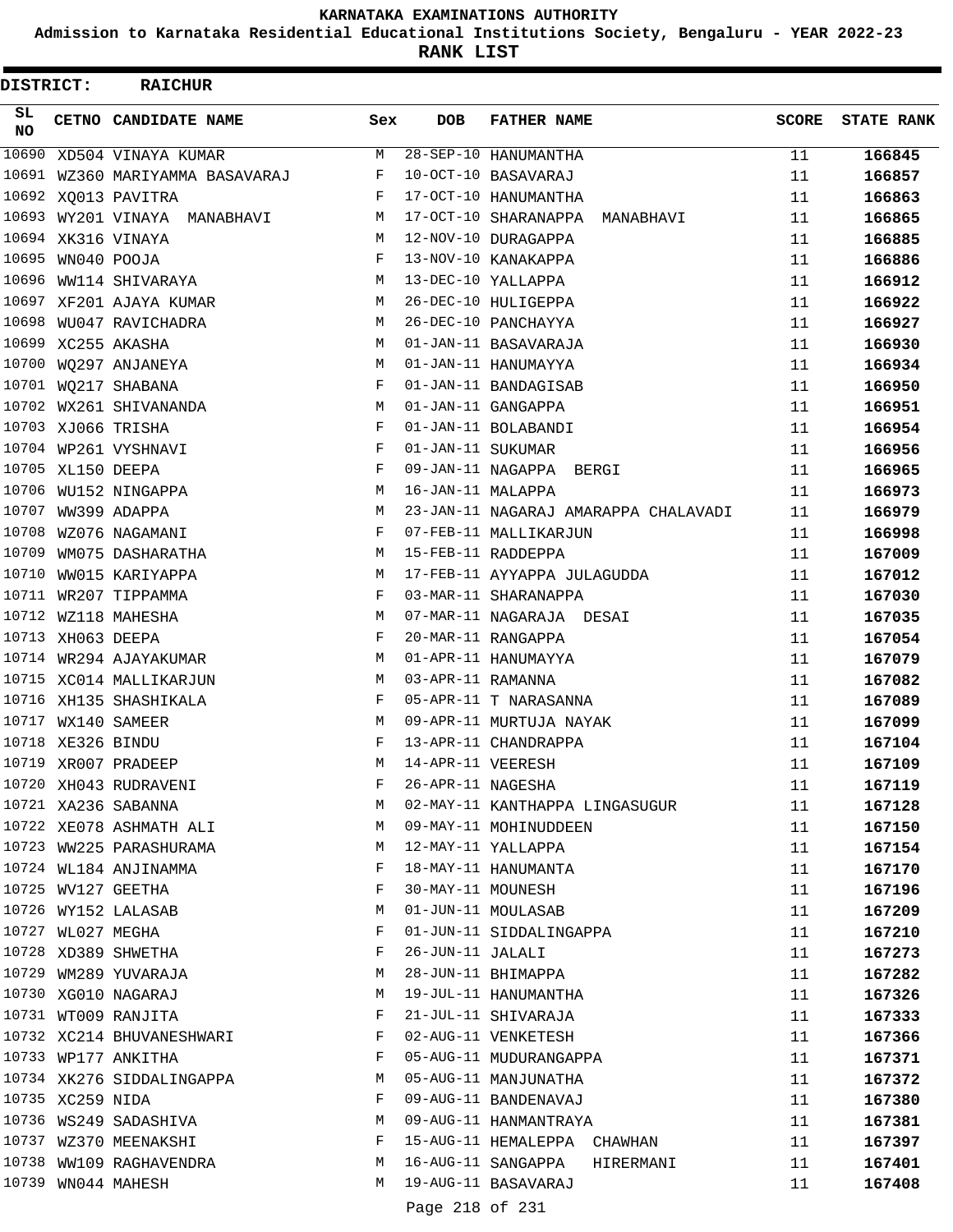**Admission to Karnataka Residential Educational Institutions Society, Bengaluru - YEAR 2022-23**

**RANK LIST**

| DISTRICT:       |                   | <b>RAICHUR</b>                  |     |                   |                                      |              |                   |
|-----------------|-------------------|---------------------------------|-----|-------------------|--------------------------------------|--------------|-------------------|
| SL<br><b>NO</b> |                   | CETNO CANDIDATE NAME            | Sex | <b>DOB</b>        | <b>FATHER NAME</b>                   | <b>SCORE</b> | <b>STATE RANK</b> |
| 10690           |                   | XD504 VINAYA KUMAR              | M   |                   | $28 - SEP - 10$ HANUMANTHA           | 11           | 166845            |
|                 |                   | 10691 WZ360 MARIYAMMA BASAVARAJ | F   |                   | 10-OCT-10 BASAVARAJ                  | 11           | 166857            |
|                 |                   | 10692 XQ013 PAVITRA             | F   |                   | 17-OCT-10 HANUMANTHA                 | 11           | 166863            |
|                 |                   | 10693 WY201 VINAYA MANABHAVI    | М   |                   | 17-OCT-10 SHARANAPPA<br>MANABHAVI    | 11           | 166865            |
|                 |                   | 10694 XK316 VINAYA              | М   |                   | 12-NOV-10 DURAGAPPA                  | 11           | 166885            |
|                 | 10695 WN040 POOJA |                                 | F   |                   | 13-NOV-10 KANAKAPPA                  | 11           | 166886            |
| 10696           |                   | WW114 SHIVARAYA                 | M   |                   | 13-DEC-10 YALLAPPA                   | 11           | 166912            |
| 10697           |                   | XF201 AJAYA KUMAR               | М   |                   | 26-DEC-10 HULIGEPPA                  | 11           | 166922            |
| 10698           |                   | WU047 RAVICHADRA                | М   |                   | 26-DEC-10 PANCHAYYA                  | 11           | 166927            |
|                 |                   | 10699 XC255 AKASHA              | M   |                   | 01-JAN-11 BASAVARAJA                 | 11           | 166930            |
| 10700           |                   | WQ297 ANJANEYA                  | М   |                   | 01-JAN-11 HANUMAYYA                  | 11           | 166934            |
| 10701           |                   | WQ217 SHABANA                   | F   |                   | 01-JAN-11 BANDAGISAB                 | 11           | 166950            |
|                 |                   | 10702 WX261 SHIVANANDA          | М   |                   | 01-JAN-11 GANGAPPA                   | 11           | 166951            |
|                 |                   | 10703 XJ066 TRISHA              | F   |                   | 01-JAN-11 BOLABANDI                  | 11           | 166954            |
|                 |                   | 10704 WP261 VYSHNAVI            | F   | 01-JAN-11 SUKUMAR |                                      | 11           | 166956            |
|                 | 10705 XL150 DEEPA |                                 | F   |                   | 09-JAN-11 NAGAPPA BERGI              | 11           | 166965            |
| 10706           |                   | WU152 NINGAPPA                  | М   | 16-JAN-11 MALAPPA |                                      | 11           | 166973            |
|                 |                   | 10707 WW399 ADAPPA              | M   |                   | 23-JAN-11 NAGARAJ AMARAPPA CHALAVADI | 11           | 166979            |
| 10708           |                   | WZ076 NAGAMANI                  | F   |                   | 07-FEB-11 MALLIKARJUN                | 11           | 166998            |
| 10709           |                   | WM075 DASHARATHA                | М   |                   | 15-FEB-11 RADDEPPA                   | 11           | 167009            |
| 10710           |                   | WW015 KARIYAPPA                 | M   |                   | 17-FEB-11 AYYAPPA JULAGUDDA          | 11           | 167012            |
|                 |                   | 10711 WR207 TIPPAMMA            | F   |                   | 03-MAR-11 SHARANAPPA                 | 11           | 167030            |
|                 |                   | 10712 WZ118 MAHESHA             | M   |                   | 07-MAR-11 NAGARAJA DESAI             | 11           | 167035            |
|                 | 10713 XH063 DEEPA |                                 | F   |                   | 20-MAR-11 RANGAPPA                   | 11           | 167054            |
| 10714           |                   | WR294 AJAYAKUMAR                | М   |                   | 01-APR-11 HANUMAYYA                  | 11           | 167079            |
|                 |                   | 10715 XC014 MALLIKARJUN         | М   | 03-APR-11 RAMANNA |                                      | 11           | 167082            |
|                 |                   | 10716 XH135 SHASHIKALA          | F   |                   | 05-APR-11 T NARASANNA                | 11           | 167089            |
|                 |                   | 10717 WX140 SAMEER              | M   |                   | 09-APR-11 MURTUJA NAYAK              | 11           | 167099            |
|                 | 10718 XE326 BINDU |                                 | F   |                   | 13-APR-11 CHANDRAPPA                 | 11           | 167104            |
|                 |                   | 10719 XR007 PRADEEP             | М   | 14-APR-11 VEERESH |                                      | 11           | 167109            |
|                 |                   | 10720 XH043 RUDRAVENI           | F   | 26-APR-11 NAGESHA |                                      | 11           | 167119            |
|                 |                   | 10721 XA236 SABANNA             | М   |                   | 02-MAY-11 KANTHAPPA LINGASUGUR       | 11           | 167128            |
|                 |                   | 10722 XE078 ASHMATH ALI         | М   |                   | 09-MAY-11 MOHINUDDEEN                | 11           | 167150            |
|                 |                   | 10723 WW225 PARASHURAMA         | М   |                   | 12-MAY-11 YALLAPPA                   | 11           | 167154            |
|                 |                   | 10724 WL184 ANJINAMMA           | F   |                   | 18-MAY-11 HANUMANTA                  | 11           | 167170            |
|                 |                   | 10725 WV127 GEETHA              | F   | 30-MAY-11 MOUNESH |                                      | 11           | 167196            |
|                 |                   | 10726 WY152 LALASAB             | М   |                   | 01-JUN-11 MOULASAB                   | 11           | 167209            |
|                 | 10727 WL027 MEGHA |                                 | F   |                   | 01-JUN-11 SIDDALINGAPPA              | 11           | 167210            |
|                 |                   | 10728 XD389 SHWETHA             | F   | 26-JUN-11 JALALI  |                                      | 11           | 167273            |
|                 |                   | 10729 WM289 YUVARAJA            | М   |                   | 28-JUN-11 BHIMAPPA                   | 11           | 167282            |
|                 |                   | 10730 XG010 NAGARAJ             | М   |                   | 19-JUL-11 HANUMANTHA                 | 11           | 167326            |
|                 |                   | 10731 WT009 RANJITA             | F   |                   | 21-JUL-11 SHIVARAJA                  | 11           | 167333            |
|                 |                   | 10732 XC214 BHUVANESHWARI       | F   |                   | 02-AUG-11 VENKETESH                  | 11           | 167366            |
|                 |                   | 10733 WP177 ANKITHA             | F   |                   | 05-AUG-11 MUDURANGAPPA               | 11           | 167371            |
|                 |                   | 10734 XK276 SIDDALINGAPPA       | М   |                   | 05-AUG-11 MANJUNATHA                 | 11           | 167372            |
|                 | 10735 XC259 NIDA  |                                 | F   |                   | 09-AUG-11 BANDENAVAJ                 | 11           | 167380            |
|                 |                   | 10736 WS249 SADASHIVA           | М   |                   | 09-AUG-11 HANMANTRAYA                | 11           | 167381            |
|                 |                   | 10737 WZ370 MEENAKSHI           | F   |                   | 15-AUG-11 HEMALEPPA CHAWHAN          | 11           | 167397            |
|                 |                   | 10738 WW109 RAGHAVENDRA         | М   |                   | 16-AUG-11 SANGAPPA<br>HIRERMANI      | 11           | 167401            |
|                 |                   | 10739 WN044 MAHESH              | М   |                   | 19-AUG-11 BASAVARAJ                  | 11           | 167408            |
|                 |                   |                                 |     | Page 218 of 231   |                                      |              |                   |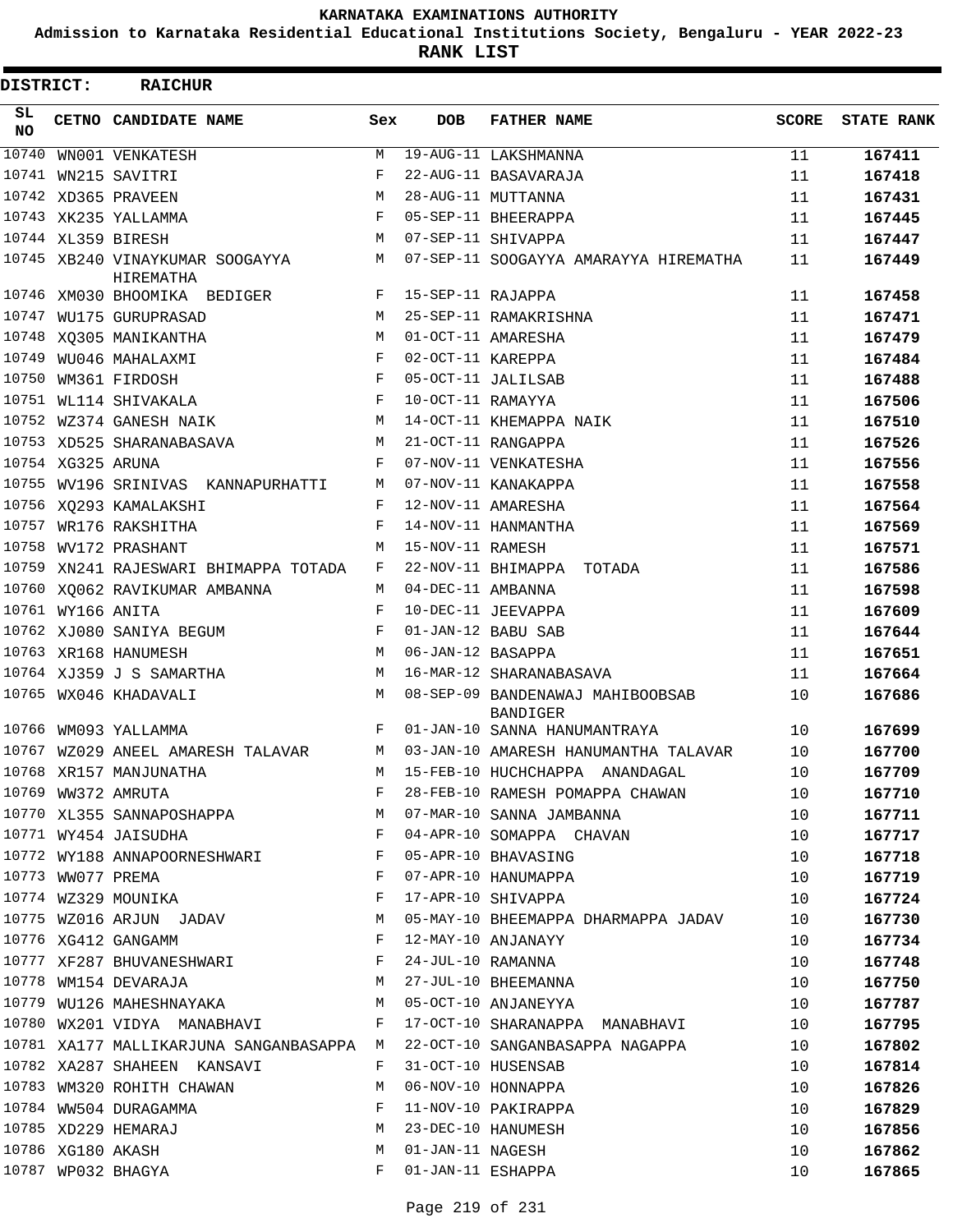**Admission to Karnataka Residential Educational Institutions Society, Bengaluru - YEAR 2022-23**

**RANK LIST**

| DISTRICT: |                   | <b>RAICHUR</b>                                   |         |                   |                                                                                                                                               |              |                   |
|-----------|-------------------|--------------------------------------------------|---------|-------------------|-----------------------------------------------------------------------------------------------------------------------------------------------|--------------|-------------------|
| SL<br>NO. |                   | CETNO CANDIDATE NAME                             | Sex     | <b>DOB</b>        | <b>FATHER NAME</b>                                                                                                                            | <b>SCORE</b> | <b>STATE RANK</b> |
| 10740     |                   | WN001 VENKATESH                                  | M       |                   | 19-AUG-11 LAKSHMANNA                                                                                                                          | 11           | 167411            |
| 10741     |                   | WN215 SAVITRI                                    | F       |                   | 22-AUG-11 BASAVARAJA                                                                                                                          | 11           | 167418            |
|           |                   | 10742 XD365 PRAVEEN                              | M       |                   | 28-AUG-11 MUTTANNA                                                                                                                            | 11           | 167431            |
|           |                   | 10743 XK235 YALLAMMA                             | F       |                   | 05-SEP-11 BHEERAPPA                                                                                                                           | 11           | 167445            |
|           |                   | 10744 XL359 BIRESH                               | M       |                   | 07-SEP-11 SHIVAPPA                                                                                                                            | 11           | 167447            |
|           |                   | 10745 XB240 VINAYKUMAR SOOGAYYA<br>HIREMATHA     | M       |                   | 07-SEP-11 SOOGAYYA AMARAYYA HIREMATHA                                                                                                         | 11           | 167449            |
|           |                   | 10746 XM030 BHOOMIKA BEDIGER                     | F       | 15-SEP-11 RAJAPPA |                                                                                                                                               | 11           | 167458            |
|           |                   | 10747 WU175 GURUPRASAD                           | M       |                   | 25-SEP-11 RAMAKRISHNA                                                                                                                         | 11           | 167471            |
|           |                   | 10748 XQ305 MANIKANTHA                           | м       |                   | 01-OCT-11 AMARESHA                                                                                                                            | 11           | 167479            |
| 10749     |                   | WU046 MAHALAXMI                                  | F       | 02-OCT-11 KAREPPA |                                                                                                                                               | 11           | 167484            |
| 10750     |                   | WM361 FIRDOSH                                    | F       |                   | 05-OCT-11 JALILSAB                                                                                                                            | 11           | 167488            |
|           |                   | 10751 WL114 SHIVAKALA                            | F       | 10-OCT-11 RAMAYYA |                                                                                                                                               | 11           | 167506            |
|           |                   | 10752 WZ374 GANESH NAIK                          | M       |                   | 14-OCT-11 KHEMAPPA NAIK                                                                                                                       | 11           | 167510            |
|           |                   | 10753 XD525 SHARANABASAVA                        | М       |                   | 21-OCT-11 RANGAPPA                                                                                                                            | 11           | 167526            |
|           | 10754 XG325 ARUNA |                                                  | F       |                   | 07-NOV-11 VENKATESHA                                                                                                                          | 11           | 167556            |
|           |                   | 10755 WV196 SRINIVAS KANNAPURHATTI               | М       |                   | 07-NOV-11 KANAKAPPA                                                                                                                           | 11           | 167558            |
|           |                   | 10756 XQ293 KAMALAKSHI                           | F       |                   | 12-NOV-11 AMARESHA                                                                                                                            | 11           | 167564            |
| 10757     |                   | WR176 RAKSHITHA                                  | F       |                   | 14-NOV-11 HANMANTHA                                                                                                                           | 11           | 167569            |
| 10758     |                   | WV172 PRASHANT                                   | М       | 15-NOV-11 RAMESH  |                                                                                                                                               | 11           | 167571            |
|           |                   | 10759 XN241 RAJESWARI BHIMAPPA TOTADA            | F       |                   | 22-NOV-11 BHIMAPPA TOTADA                                                                                                                     | 11           | 167586            |
|           |                   | 10760 XQ062 RAVIKUMAR AMBANNA                    | М       | 04-DEC-11 AMBANNA |                                                                                                                                               | 11           | 167598            |
|           | 10761 WY166 ANITA |                                                  | F       |                   | 10-DEC-11 JEEVAPPA                                                                                                                            | 11           | 167609            |
|           |                   | 10762 XJ080 SANIYA BEGUM                         | F       |                   | 01-JAN-12 BABU SAB                                                                                                                            | 11           | 167644            |
|           |                   | 10763 XR168 HANUMESH                             | M       | 06-JAN-12 BASAPPA |                                                                                                                                               | 11           | 167651            |
|           |                   | 10764 XJ359 J S SAMARTHA                         | М       |                   | 16-MAR-12 SHARANABASAVA                                                                                                                       | 11           | 167664            |
|           |                   | 10765 WX046 KHADAVALI                            | M       |                   | 08-SEP-09 BANDENAWAJ MAHIBOOBSAB<br>BANDIGER                                                                                                  | 10           | 167686            |
|           |                   | 10766 WM093 YALLAMMA                             | F       |                   | 01-JAN-10 SANNA HANUMANTRAYA                                                                                                                  | 10           | 167699            |
|           |                   | 10767 WZ029 ANEEL AMARESH TALAVAR                |         |                   | M 03-JAN-10 AMARESH HANUMANTHA TALAVAR                                                                                                        | 10           | 167700            |
|           |                   | 10768 XR157 MANJUNATHA                           |         |                   | M 15-FEB-10 HUCHCHAPPA ANANDAGAL                                                                                                              | 10           | 167709            |
|           |                   |                                                  |         |                   | 10768 XR157 MANJUNATHA 10<br>10769 WW372 AMRUTA 10<br>10770 XL355 SANNAPOSHAPPA 10<br>10770 XL355 SANNAPOSHAPPA 10 M 07-MAR-10 SANNA JAMBANNA |              | 167710            |
|           |                   |                                                  |         |                   |                                                                                                                                               |              | 167711            |
|           |                   | 10771 WY454 JAISUDHA F                           |         |                   | 04-APR-10 SOMAPPA CHAVAN 10                                                                                                                   |              | 167717            |
|           |                   | 10772 WY188 ANNAPOORNESHWARI F                   |         |                   | 05-APR-10 BHAVASING<br>07-APR-10 HANUMAPPA                                                                                                    | 10           | 167718            |
|           |                   |                                                  |         |                   |                                                                                                                                               | 10           | 167719            |
|           |                   |                                                  |         |                   | 17-APR-10 SHIVAPPA                                                                                                                            | 10           | 167724            |
|           |                   |                                                  |         |                   | 10775 WZ016 ARJUN JADAV 10 M 05-MAY-10 BHEEMAPPA DHARMAPPA JADAV 10                                                                           |              | 167730            |
|           |                   | $\mathbf{F}$<br>10776 XG412 GANGAMM              |         |                   | 12-MAY-10 ANJANAYY                                                                                                                            | 10           | 167734            |
|           |                   | 10777 XF287 BHUVANESHWARI F                      |         |                   | 24-JUL-10 RAMANNA                                                                                                                             | 10           | 167748            |
|           |                   | 10778 WM154 DEVARAJA (Martin 27-JUL-10 BHEEMANNA |         |                   |                                                                                                                                               | 10           | 167750            |
|           |                   | 10779 WU126 MAHESHNAYAKA M M 05-OCT-10 ANJANEYYA |         |                   |                                                                                                                                               | 10           | 167787            |
|           |                   | 10780 WX201 VIDYA MANABHAVI F                    |         |                   | 17-OCT-10 SHARANAPPA MANABHAVI 10                                                                                                             |              | 167795            |
|           |                   |                                                  |         |                   | 10781 XA177 MALLIKARJUNA SANGANBASAPPA M 22-OCT-10 SANGANBASAPPA NAGAPPA                                                                      | 10           | 167802            |
|           |                   | 10782 XA287 SHAHEEN KANSAVI                      | F       |                   | 31-OCT-10 HUSENSAB                                                                                                                            | 10           | 167814            |
|           |                   | 10783 WM320 ROHITH CHAWAN M                      |         |                   | 06-NOV-10 HONNAPPA                                                                                                                            | 10           | 167826            |
|           |                   | 10784 WW504 DURAGAMMA F                          |         |                   | 11-NOV-10 PAKIRAPPA                                                                                                                           | 10           | 167829            |
|           |                   |                                                  |         |                   |                                                                                                                                               | 10           | 167856            |
|           |                   |                                                  |         |                   |                                                                                                                                               | 10           | 167862            |
|           |                   | 10787 WP032 BHAGYA                               | $F$ and |                   | 01-JAN-11 ESHAPPA                                                                                                                             | 10           | 167865            |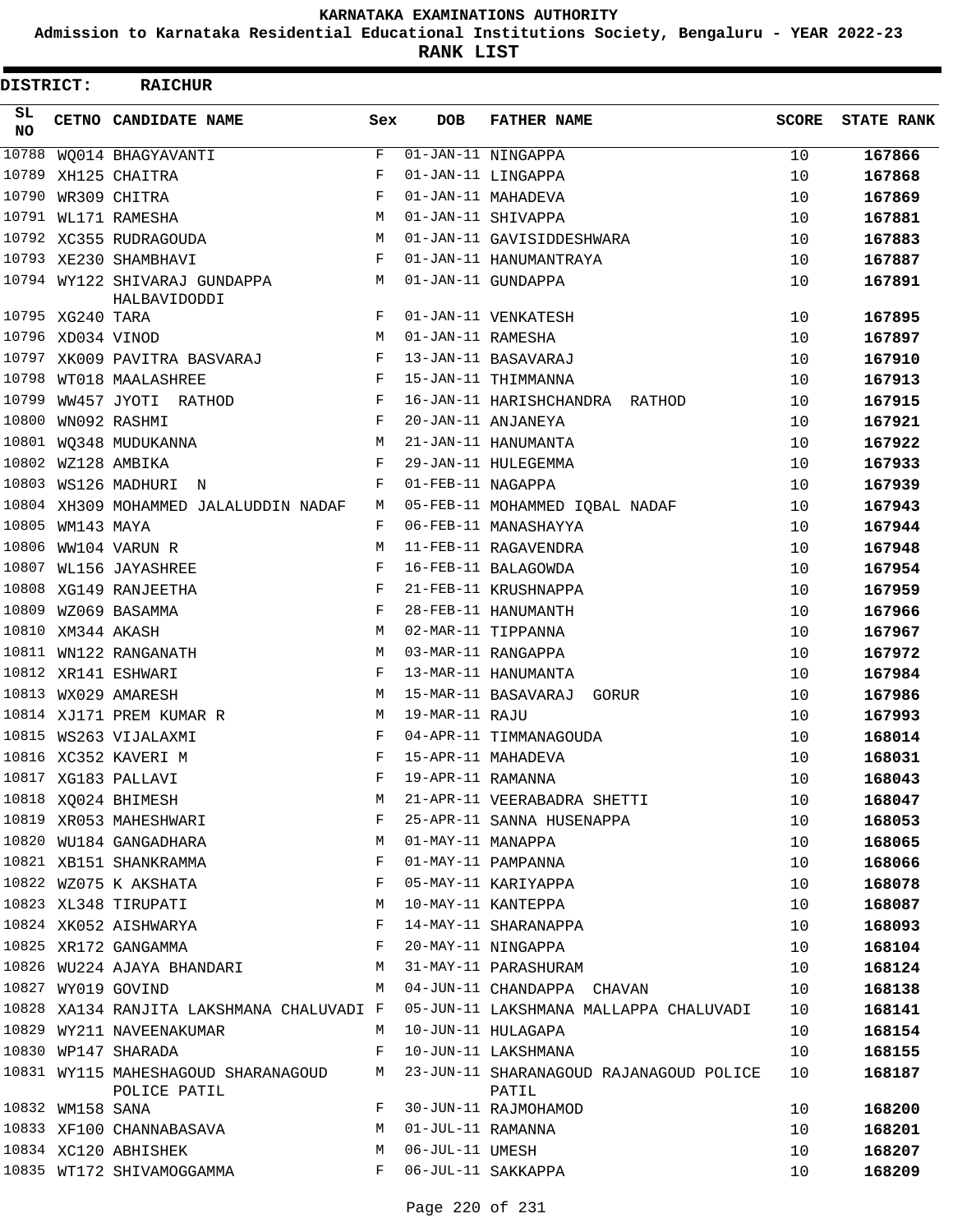**Admission to Karnataka Residential Educational Institutions Society, Bengaluru - YEAR 2022-23**

| DISTRICT:       |                   | <b>RAICHUR</b>                                      |     |                   |                                                  |              |                   |
|-----------------|-------------------|-----------------------------------------------------|-----|-------------------|--------------------------------------------------|--------------|-------------------|
| SL<br><b>NO</b> |                   | CETNO CANDIDATE NAME                                | Sex | <b>DOB</b>        | <b>FATHER NAME</b>                               | <b>SCORE</b> | <b>STATE RANK</b> |
| 10788           |                   | WQ014 BHAGYAVANTI                                   | F   |                   | $\overline{01}$ -JAN-11 NINGAPPA                 | 10           | 167866            |
| 10789           |                   | XH125 CHAITRA                                       | F   |                   | 01-JAN-11 LINGAPPA                               | 10           | 167868            |
| 10790           |                   | WR309 CHITRA                                        | F   |                   | 01-JAN-11 MAHADEVA                               | 10           | 167869            |
|                 |                   | 10791 WL171 RAMESHA                                 | M   |                   | 01-JAN-11 SHIVAPPA                               | 10           | 167881            |
|                 |                   | 10792 XC355 RUDRAGOUDA                              | M   |                   | 01-JAN-11 GAVISIDDESHWARA                        | 10           | 167883            |
|                 |                   | 10793 XE230 SHAMBHAVI                               | F   |                   | 01-JAN-11 HANUMANTRAYA                           | 10           | 167887            |
|                 |                   | 10794 WY122 SHIVARAJ GUNDAPPA<br>HALBAVIDODDI       | М   |                   | 01-JAN-11 GUNDAPPA                               | 10           | 167891            |
|                 | 10795 XG240 TARA  |                                                     | F   |                   | 01-JAN-11 VENKATESH                              | 10           | 167895            |
|                 | 10796 XD034 VINOD |                                                     | M   | 01-JAN-11 RAMESHA |                                                  | 10           | 167897            |
|                 |                   | 10797 XK009 PAVITRA BASVARAJ                        | F   |                   | 13-JAN-11 BASAVARAJ                              | 10           | 167910            |
| 10798           |                   | WT018 MAALASHREE                                    | F   |                   | 15-JAN-11 THIMMANNA                              | 10           | 167913            |
| 10799           |                   | WW457 JYOTI RATHOD                                  | F   |                   | 16-JAN-11 HARISHCHANDRA RATHOD                   | 10           | 167915            |
| 10800           |                   | WN092 RASHMI                                        | F   |                   | 20-JAN-11 ANJANEYA                               | 10           | 167921            |
|                 |                   | 10801 WQ348 MUDUKANNA                               | М   |                   | 21-JAN-11 HANUMANTA                              | 10           | 167922            |
|                 |                   | 10802 WZ128 AMBIKA                                  | F   |                   | 29-JAN-11 HULEGEMMA                              | 10           | 167933            |
|                 |                   | 10803 WS126 MADHURI N                               | F   | 01-FEB-11 NAGAPPA |                                                  | 10           | 167939            |
|                 |                   | 10804 XH309 MOHAMMED JALALUDDIN NADAF               | М   |                   | 05-FEB-11 MOHAMMED IQBAL NADAF                   | 10           | 167943            |
|                 | 10805 WM143 MAYA  |                                                     | F   |                   | 06-FEB-11 MANASHAYYA                             | 10           | 167944            |
| 10806           |                   | WW104 VARUN R                                       | M   |                   | 11-FEB-11 RAGAVENDRA                             | 10           | 167948            |
|                 |                   | 10807 WL156 JAYASHREE                               | F   |                   | 16-FEB-11 BALAGOWDA                              | 10           | 167954            |
|                 |                   | 10808 XG149 RANJEETHA                               | F   |                   | 21-FEB-11 KRUSHNAPPA                             | 10           | 167959            |
|                 |                   | 10809 WZ069 BASAMMA                                 | F   |                   | 28-FEB-11 HANUMANTH                              | 10           | 167966            |
|                 | 10810 XM344 AKASH |                                                     | M   |                   | 02-MAR-11 TIPPANNA                               | 10           | 167967            |
|                 |                   | 10811 WN122 RANGANATH                               | M   |                   | 03-MAR-11 RANGAPPA                               | 10           | 167972            |
|                 |                   | 10812 XR141 ESHWARI                                 | F   |                   | 13-MAR-11 HANUMANTA                              | 10           | 167984            |
|                 |                   | 10813 WX029 AMARESH                                 | М   |                   | 15-MAR-11 BASAVARAJ GORUR                        | 10           | 167986            |
|                 |                   | 10814 XJ171 PREM KUMAR R                            | М   | 19-MAR-11 RAJU    |                                                  | 10           | 167993            |
|                 |                   | 10815 WS263 VIJALAXMI                               | F   |                   | 04-APR-11 TIMMANAGOUDA                           | 10           | 168014            |
|                 |                   | 10816 XC352 KAVERI M                                | F   |                   | 15-APR-11 MAHADEVA                               | 10           | 168031            |
|                 |                   | 10817 XG183 PALLAVI                                 | F   | 19-APR-11 RAMANNA |                                                  | 10           | 168043            |
|                 |                   | 10818 XQ024 BHIMESH                                 | M   |                   | 21-APR-11 VEERABADRA SHETTI                      | 10           | 168047            |
|                 |                   | 10819 XR053 MAHESHWARI                              | F   |                   | 25-APR-11 SANNA HUSENAPPA                        | 10           | 168053            |
|                 |                   | 10820 WU184 GANGADHARA                              | M   | 01-MAY-11 MANAPPA |                                                  | 10           | 168065            |
|                 |                   | 10821 XB151 SHANKRAMMA                              | F   |                   | 01-MAY-11 PAMPANNA                               | 10           | 168066            |
|                 |                   | 10822 WZ075 K AKSHATA                               | F   |                   | 05-MAY-11 KARIYAPPA                              | 10           | 168078            |
|                 |                   | 10823 XL348 TIRUPATI                                | M   |                   | 10-MAY-11 KANTEPPA                               | 10           | 168087            |
|                 |                   | 10824 XK052 AISHWARYA                               | F   |                   | 14-MAY-11 SHARANAPPA                             | 10           | 168093            |
|                 |                   | 10825 XR172 GANGAMMA                                | F   |                   | 20-MAY-11 NINGAPPA                               | 10           | 168104            |
|                 |                   | 10826 WU224 AJAYA BHANDARI                          | M   |                   | 31-MAY-11 PARASHURAM                             | 10           | 168124            |
|                 |                   | 10827 WY019 GOVIND                                  | M   |                   | 04-JUN-11 CHANDAPPA CHAVAN                       | 10           | 168138            |
|                 |                   | 10828 XA134 RANJITA LAKSHMANA CHALUVADI F           |     |                   | 05-JUN-11 LAKSHMANA MALLAPPA CHALUVADI           | 10           | 168141            |
|                 |                   | 10829 WY211 NAVEENAKUMAR                            | М   |                   | 10-JUN-11 HULAGAPA                               | 10           | 168154            |
|                 |                   | 10830 WP147 SHARADA                                 | F   |                   | 10-JUN-11 LAKSHMANA                              | 10           | 168155            |
|                 |                   | 10831 WY115 MAHESHAGOUD SHARANAGOUD<br>POLICE PATIL | M   |                   | 23-JUN-11 SHARANAGOUD RAJANAGOUD POLICE<br>PATIL | 10           | 168187            |
|                 | 10832 WM158 SANA  |                                                     | F   |                   | 30-JUN-11 RAJMOHAMOD                             | 10           | 168200            |
|                 |                   | 10833 XF100 CHANNABASAVA                            | М   | 01-JUL-11 RAMANNA |                                                  | 10           | 168201            |
|                 |                   | 10834 XC120 ABHISHEK                                | M   | 06-JUL-11 UMESH   |                                                  | 10           | 168207            |
|                 |                   | 10835 WT172 SHIVAMOGGAMMA                           | F   |                   | 06-JUL-11 SAKKAPPA                               | 10           | 168209            |
|                 |                   |                                                     |     |                   |                                                  |              |                   |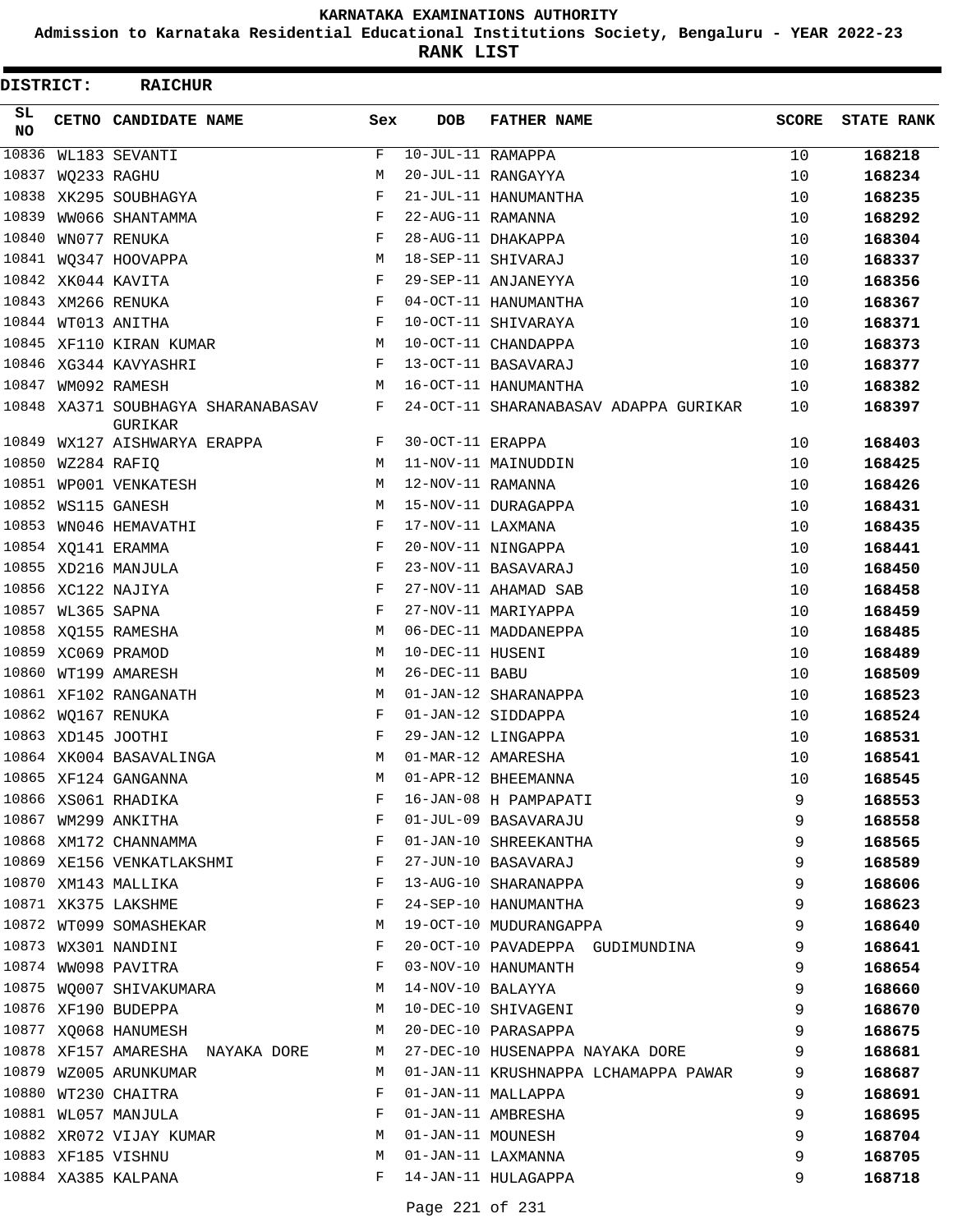**Admission to Karnataka Residential Educational Institutions Society, Bengaluru - YEAR 2022-23**

**RANK LIST**

| DISTRICT: |                   | <b>RAICHUR</b>                                |     |                   |                                       |              |                   |
|-----------|-------------------|-----------------------------------------------|-----|-------------------|---------------------------------------|--------------|-------------------|
| SL<br>NO. |                   | CETNO CANDIDATE NAME                          | Sex | <b>DOB</b>        | <b>FATHER NAME</b>                    | <b>SCORE</b> | <b>STATE RANK</b> |
| 10836     |                   | WL183 SEVANTI                                 | F   | 10-JUL-11 RAMAPPA |                                       | 10           | 168218            |
| 10837     |                   | WQ233 RAGHU                                   | М   |                   | 20-JUL-11 RANGAYYA                    | 10           | 168234            |
|           |                   | 10838 XK295 SOUBHAGYA                         | F   |                   | 21-JUL-11 HANUMANTHA                  | 10           | 168235            |
| 10839     |                   | WW066 SHANTAMMA                               | F   | 22-AUG-11 RAMANNA |                                       | 10           | 168292            |
| 10840     |                   | WN077 RENUKA                                  | F   |                   | 28-AUG-11 DHAKAPPA                    | 10           | 168304            |
|           |                   | 10841 WQ347 HOOVAPPA                          | М   |                   | 18-SEP-11 SHIVARAJ                    | 10           | 168337            |
|           |                   | 10842 XK044 KAVITA                            | F   |                   | 29-SEP-11 ANJANEYYA                   | 10           | 168356            |
|           |                   | 10843 XM266 RENUKA                            | F   |                   | 04-OCT-11 HANUMANTHA                  | 10           | 168367            |
|           |                   | 10844 WT013 ANITHA                            | F   |                   | 10-OCT-11 SHIVARAYA                   | 10           | 168371            |
|           |                   | 10845 XF110 KIRAN KUMAR                       | М   |                   | 10-OCT-11 CHANDAPPA                   | 10           | 168373            |
|           |                   | 10846 XG344 KAVYASHRI                         | F   |                   | 13-OCT-11 BASAVARAJ                   | 10           | 168377            |
| 10847     |                   | WM092 RAMESH                                  | М   |                   | 16-OCT-11 HANUMANTHA                  | 10           | 168382            |
|           |                   | 10848 XA371 SOUBHAGYA SHARANABASAV<br>GURIKAR | F   |                   | 24-OCT-11 SHARANABASAV ADAPPA GURIKAR | 10           | 168397            |
| 10849     |                   | WX127 AISHWARYA ERAPPA                        | F   | 30-OCT-11 ERAPPA  |                                       | 10           | 168403            |
| 10850     |                   | WZ284 RAFIQ                                   | М   |                   | 11-NOV-11 MAINUDDIN                   | 10           | 168425            |
|           |                   | 10851 WP001 VENKATESH                         | М   | 12-NOV-11 RAMANNA |                                       | 10           | 168426            |
|           |                   | 10852 WS115 GANESH                            | M   |                   | 15-NOV-11 DURAGAPPA                   | 10           | 168431            |
| 10853     |                   | WN046 HEMAVATHI                               | F   | 17-NOV-11 LAXMANA |                                       | 10           | 168435            |
|           |                   | 10854 XQ141 ERAMMA                            | F   |                   | 20-NOV-11 NINGAPPA                    | 10           | 168441            |
|           |                   | 10855 XD216 MANJULA                           | F   |                   | 23-NOV-11 BASAVARAJ                   | 10           | 168450            |
|           |                   | 10856 XC122 NAJIYA                            | F   |                   | 27-NOV-11 AHAMAD SAB                  | 10           | 168458            |
|           | 10857 WL365 SAPNA |                                               | F   |                   | 27-NOV-11 MARIYAPPA                   | 10           | 168459            |
|           |                   | 10858 XQ155 RAMESHA                           | М   |                   | 06-DEC-11 MADDANEPPA                  | 10           | 168485            |
|           |                   | 10859 XC069 PRAMOD                            | М   | 10-DEC-11 HUSENI  |                                       | 10           | 168489            |
|           |                   | 10860 WT199 AMARESH                           | М   | 26-DEC-11 BABU    |                                       | 10           | 168509            |
|           |                   | 10861 XF102 RANGANATH                         | М   |                   | 01-JAN-12 SHARANAPPA                  | 10           | 168523            |
|           |                   | 10862 WQ167 RENUKA                            | F   |                   | 01-JAN-12 SIDDAPPA                    | 10           | 168524            |
|           |                   | 10863 XD145 JOOTHI                            | F   |                   | 29-JAN-12 LINGAPPA                    | 10           | 168531            |
|           |                   | 10864 XK004 BASAVALINGA                       | М   |                   | 01-MAR-12 AMARESHA                    | 10           | 168541            |
|           |                   | 10865 XF124 GANGANNA                          | М   |                   | 01-APR-12 BHEEMANNA                   | 10           | 168545            |
|           |                   | 10866 XS061 RHADIKA                           | F   |                   | 16-JAN-08 H PAMPAPATI                 | 9            | 168553            |
|           |                   | 10867 WM299 ANKITHA                           | F   |                   | 01-JUL-09 BASAVARAJU                  | 9            | 168558            |
|           |                   | 10868 XM172 CHANNAMMA                         | F   |                   | 01-JAN-10 SHREEKANTHA                 | 9            | 168565            |
|           |                   | 10869 XE156 VENKATLAKSHMI                     | F   |                   | 27-JUN-10 BASAVARAJ                   | 9            | 168589            |
|           |                   | 10870 XM143 MALLIKA                           | F   |                   | 13-AUG-10 SHARANAPPA                  | 9            | 168606            |
|           |                   | 10871 XK375 LAKSHME                           | F   |                   | 24-SEP-10 HANUMANTHA                  | 9            | 168623            |
|           |                   | 10872 WT099 SOMASHEKAR                        | М   |                   | 19-OCT-10 MUDURANGAPPA                | 9            | 168640            |
|           |                   | 10873 WX301 NANDINI                           | F   |                   | 20-OCT-10 PAVADEPPA GUDIMUNDINA       | 9            | 168641            |
|           |                   | 10874 WW098 PAVITRA                           | F   |                   | 03-NOV-10 HANUMANTH                   | 9            | 168654            |
|           |                   | 10875 WO007 SHIVAKUMARA                       | M   | 14-NOV-10 BALAYYA |                                       | 9            | 168660            |
|           |                   | 10876 XF190 BUDEPPA                           | M   |                   | 10-DEC-10 SHIVAGENI                   | 9            | 168670            |
|           |                   | 10877 XQ068 HANUMESH                          | М   |                   | 20-DEC-10 PARASAPPA                   | 9            | 168675            |
|           |                   | 10878 XF157 AMARESHA NAYAKA DORE              | M   |                   | 27-DEC-10 HUSENAPPA NAYAKA DORE       | 9            | 168681            |
|           |                   | 10879 WZ005 ARUNKUMAR                         | M   |                   | 01-JAN-11 KRUSHNAPPA LCHAMAPPA PAWAR  | 9            | 168687            |
|           |                   | 10880 WT230 CHAITRA                           | F   |                   | 01-JAN-11 MALLAPPA                    | 9            | 168691            |
|           |                   | 10881 WL057 MANJULA                           | F   |                   | 01-JAN-11 AMBRESHA                    | 9            | 168695            |
|           |                   | 10882 XR072 VIJAY KUMAR                       | М   |                   | 01-JAN-11 MOUNESH                     | 9            | 168704            |
|           |                   | 10883 XF185 VISHNU                            | М   |                   | 01-JAN-11 LAXMANNA                    | 9            | 168705            |
|           |                   | 10884 XA385 KALPANA                           | F   |                   | 14-JAN-11 HULAGAPPA                   | 9            | 168718            |
|           |                   |                                               |     |                   |                                       |              |                   |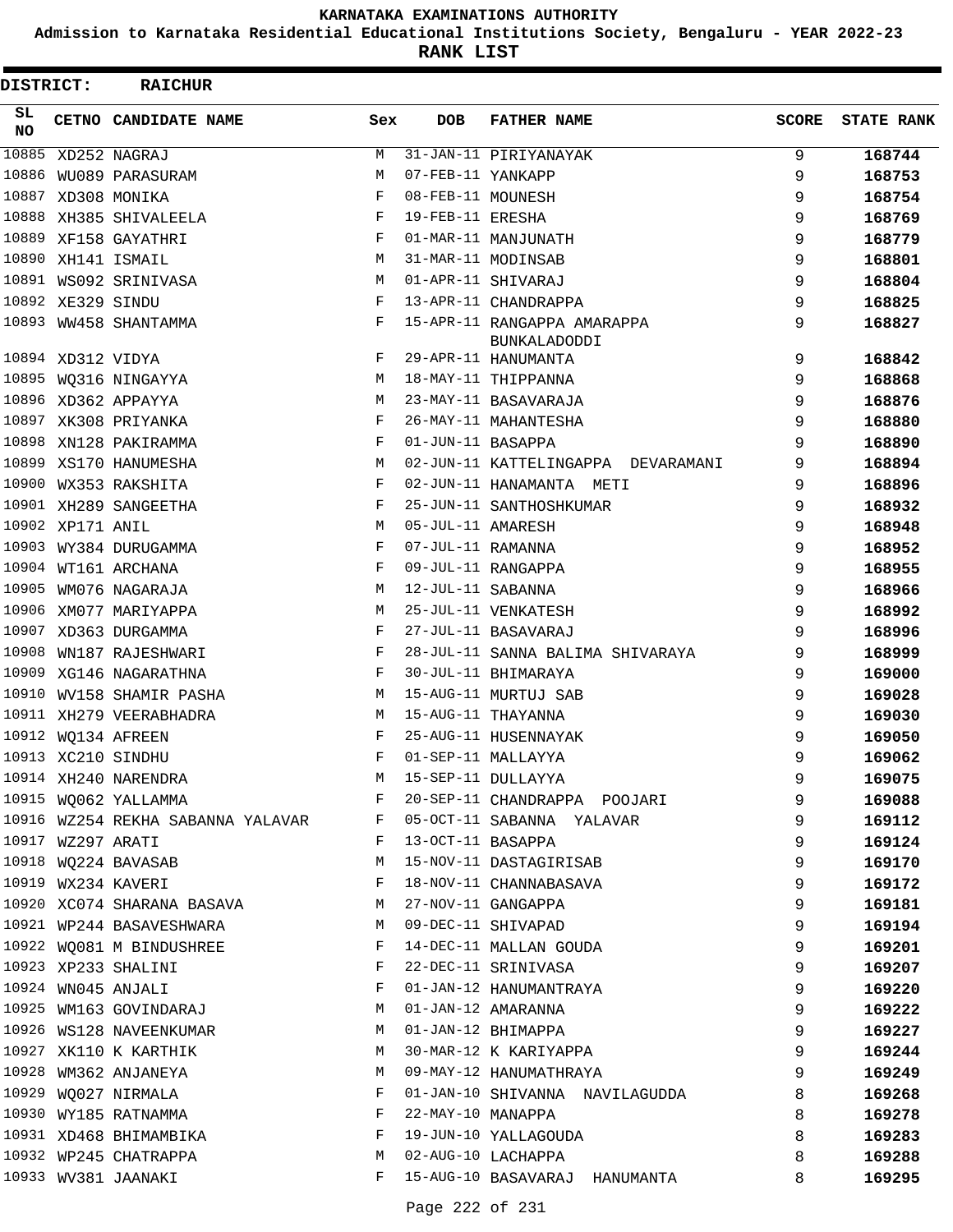**Admission to Karnataka Residential Educational Institutions Society, Bengaluru - YEAR 2022-23**

**RANK LIST**

| DISTRICT:  |                   | <b>RAICHUR</b>                    |     |                   |                                             |              |                   |
|------------|-------------------|-----------------------------------|-----|-------------------|---------------------------------------------|--------------|-------------------|
| SL.<br>NO. |                   | CETNO CANDIDATE NAME              | Sex | <b>DOB</b>        | <b>FATHER NAME</b>                          | <b>SCORE</b> | <b>STATE RANK</b> |
| 10885      |                   | XD252 NAGRAJ                      | М   |                   | 31-JAN-11 PIRIYANAYAK                       | 9            | 168744            |
| 10886      |                   | WU089 PARASURAM                   | M   | 07-FEB-11 YANKAPP |                                             | 9            | 168753            |
|            |                   | 10887 XD308 MONIKA                | F   | 08-FEB-11 MOUNESH |                                             | 9            | 168754            |
|            |                   | 10888 XH385 SHIVALEELA            | F   | 19-FEB-11 ERESHA  |                                             | 9            | 168769            |
|            |                   | 10889 XF158 GAYATHRI              | F   |                   | 01-MAR-11 MANJUNATH                         | 9            | 168779            |
| 10890      |                   | XH141 ISMAIL                      | M   |                   | 31-MAR-11 MODINSAB                          | 9            | 168801            |
|            |                   | 10891 WS092 SRINIVASA             | M   |                   | 01-APR-11 SHIVARAJ                          | 9            | 168804            |
|            | 10892 XE329 SINDU |                                   | F   |                   | 13-APR-11 CHANDRAPPA                        | 9            | 168825            |
|            |                   | 10893 WW458 SHANTAMMA             | F   |                   | 15-APR-11 RANGAPPA AMARAPPA<br>BUNKALADODDI | 9            | 168827            |
|            | 10894 XD312 VIDYA |                                   | F   |                   | 29-APR-11 HANUMANTA                         | 9            | 168842            |
| 10895      |                   | WO316 NINGAYYA                    | М   |                   | 18-MAY-11 THIPPANNA                         | 9            | 168868            |
|            |                   | 10896 XD362 APPAYYA               | M   |                   | 23-MAY-11 BASAVARAJA                        | 9            | 168876            |
|            |                   | 10897 XK308 PRIYANKA              | F   |                   | 26-MAY-11 MAHANTESHA                        | 9            | 168880            |
| 10898      |                   | XN128 PAKIRAMMA                   | F   | 01-JUN-11 BASAPPA |                                             | 9            | 168890            |
| 10899      |                   | XS170 HANUMESHA                   | M   |                   | 02-JUN-11 KATTELINGAPPA DEVARAMANI          | 9            | 168894            |
|            |                   | 10900 WX353 RAKSHITA              | F   |                   | 02-JUN-11 HANAMANTA METI                    | 9            | 168896            |
|            |                   | 10901 XH289 SANGEETHA             | F   |                   | 25-JUN-11 SANTHOSHKUMAR                     | 9            | 168932            |
|            | 10902 XP171 ANIL  |                                   | M   | 05-JUL-11 AMARESH |                                             | 9            | 168948            |
| 10903      |                   | WY384 DURUGAMMA                   | F   | 07-JUL-11 RAMANNA |                                             | 9            | 168952            |
|            |                   | 10904 WT161 ARCHANA               | F   |                   | 09-JUL-11 RANGAPPA                          | 9            | 168955            |
| 10905      |                   | WM076 NAGARAJA                    | М   | 12-JUL-11 SABANNA |                                             | 9            | 168966            |
| 10906      |                   | XM077 MARIYAPPA                   | M   |                   | 25-JUL-11 VENKATESH                         | 9            | 168992            |
| 10907      |                   | XD363 DURGAMMA                    | F   |                   | 27-JUL-11 BASAVARAJ                         | 9            | 168996            |
| 10908      |                   | WN187 RAJESHWARI                  | F   |                   | 28-JUL-11 SANNA BALIMA SHIVARAYA            | 9            | 168999            |
| 10909      |                   | XG146 NAGARATHNA                  | F   |                   | 30-JUL-11 BHIMARAYA                         | 9            | 169000            |
| 10910      |                   | WV158 SHAMIR PASHA                | М   |                   | 15-AUG-11 MURTUJ SAB                        | 9            | 169028            |
|            |                   | 10911 XH279 VEERABHADRA           | М   |                   | 15-AUG-11 THAYANNA                          | 9            | 169030            |
|            |                   | 10912 WQ134 AFREEN                | F   |                   | 25-AUG-11 HUSENNAYAK                        | 9            | 169050            |
|            |                   | 10913 XC210 SINDHU                | F   |                   | 01-SEP-11 MALLAYYA                          | 9            | 169062            |
|            |                   | 10914 XH240 NARENDRA              | М   |                   | 15-SEP-11 DULLAYYA                          | 9            | 169075            |
|            |                   | 10915 WQ062 YALLAMMA              | F   |                   | 20-SEP-11 CHANDRAPPA POOJARI                | 9            | 169088            |
|            |                   | 10916 WZ254 REKHA SABANNA YALAVAR | F   |                   | 05-OCT-11 SABANNA YALAVAR                   | 9            | 169112            |
|            | 10917 WZ297 ARATI |                                   | F   | 13-OCT-11 BASAPPA |                                             | 9            | 169124            |
|            |                   | 10918 WQ224 BAVASAB               | М   |                   | 15-NOV-11 DASTAGIRISAB                      | 9            | 169170            |
|            |                   | 10919 WX234 KAVERI                | F   |                   | 18-NOV-11 CHANNABASAVA                      | 9            | 169172            |
|            |                   | 10920 XC074 SHARANA BASAVA        | M   |                   | 27-NOV-11 GANGAPPA                          | 9            | 169181            |
|            |                   | 10921 WP244 BASAVESHWARA          | M   |                   | 09-DEC-11 SHIVAPAD                          | 9            | 169194            |
|            |                   | 10922 WQ081 M BINDUSHREE          | F   |                   | 14-DEC-11 MALLAN GOUDA                      | 9            | 169201            |
|            |                   | 10923 XP233 SHALINI               | F   |                   | 22-DEC-11 SRINIVASA                         | 9            | 169207            |
|            |                   | 10924 WN045 ANJALI                | F   |                   | 01-JAN-12 HANUMANTRAYA                      | 9            | 169220            |
|            |                   | 10925 WM163 GOVINDARAJ            | M   |                   | 01-JAN-12 AMARANNA                          | 9            | 169222            |
|            |                   | 10926 WS128 NAVEENKUMAR           | M   |                   | 01-JAN-12 BHIMAPPA                          | 9            | 169227            |
|            |                   | 10927 XK110 K KARTHIK             | M   |                   | 30-MAR-12 K KARIYAPPA                       | 9            | 169244            |
|            |                   | 10928 WM362 ANJANEYA              | M   |                   | 09-MAY-12 HANUMATHRAYA                      | 9            | 169249            |
|            |                   | 10929 WQ027 NIRMALA               | F   |                   | 01-JAN-10 SHIVANNA NAVILAGUDDA              | 8            | 169268            |
|            |                   | 10930 WY185 RATNAMMA              | F   | 22-MAY-10 MANAPPA |                                             | 8            | 169278            |
|            |                   | 10931 XD468 BHIMAMBIKA            | F   |                   | 19-JUN-10 YALLAGOUDA                        | 8            | 169283            |
|            |                   | 10932 WP245 CHATRAPPA             | М   |                   | 02-AUG-10 LACHAPPA                          | 8            | 169288            |
|            |                   | 10933 WV381 JAANAKI               | F   |                   | 15-AUG-10 BASAVARAJ HANUMANTA               | 8            | 169295            |
|            |                   |                                   |     |                   |                                             |              |                   |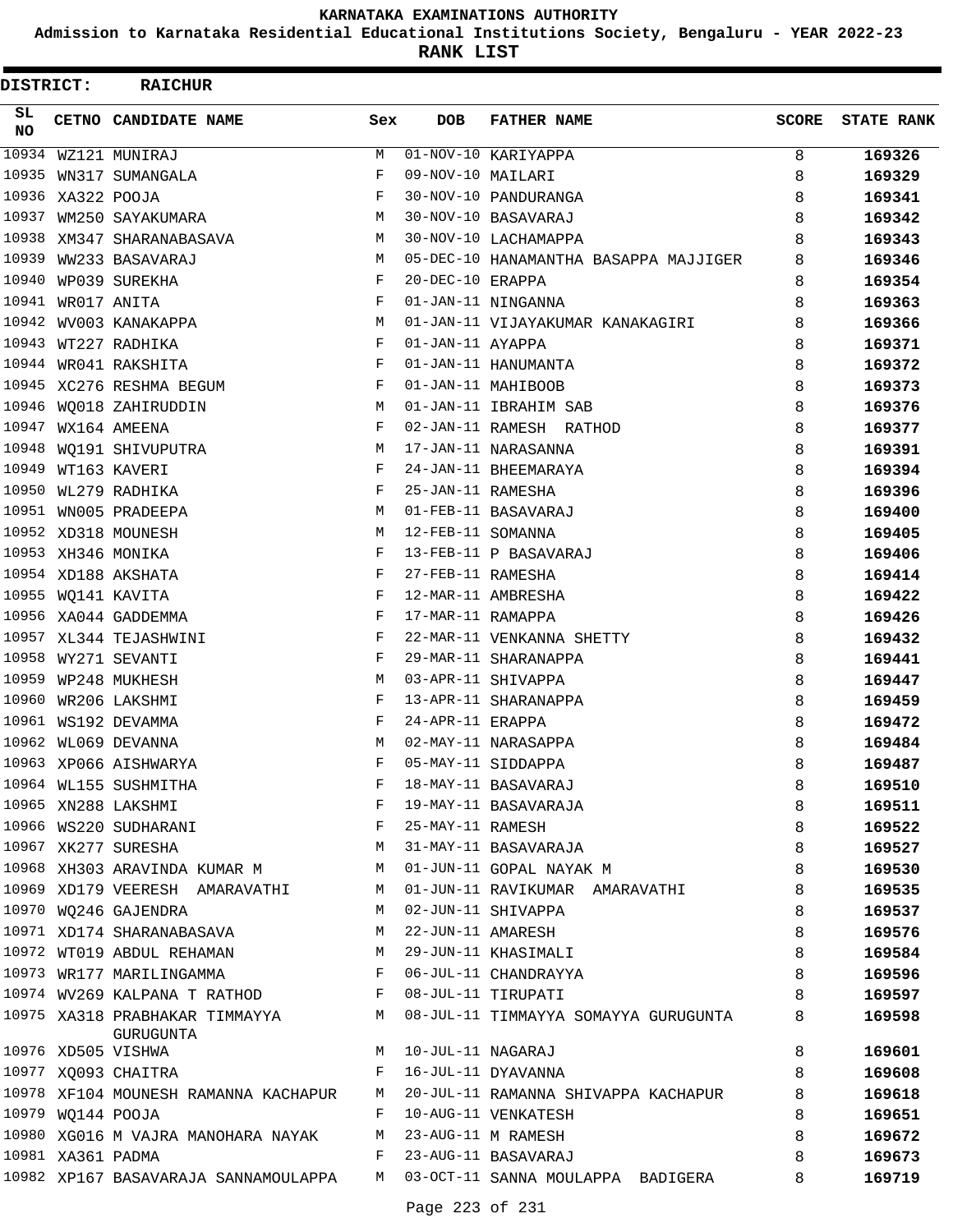**Admission to Karnataka Residential Educational Institutions Society, Bengaluru - YEAR 2022-23**

**RANK LIST**

| DISTRICT: |                   | <b>RAICHUR</b>                                           |              |                     |                                                                                 |       |                   |
|-----------|-------------------|----------------------------------------------------------|--------------|---------------------|---------------------------------------------------------------------------------|-------|-------------------|
| SL<br>NO. |                   | CETNO CANDIDATE NAME                                     | Sex          | <b>DOB</b>          | <b>FATHER NAME</b>                                                              | SCORE | <b>STATE RANK</b> |
| 10934     |                   | WZ121 MUNIRAJ                                            | М            |                     | 01-NOV-10 KARIYAPPA                                                             | 8     | 169326            |
| 10935     |                   | WN317 SUMANGALA                                          | F            | 09-NOV-10 MAILARI   |                                                                                 | 8     | 169329            |
|           | 10936 XA322 POOJA |                                                          | $_{\rm F}$   |                     | 30-NOV-10 PANDURANGA                                                            | 8     | 169341            |
| 10937     |                   | WM250 SAYAKUMARA                                         | М            |                     | 30-NOV-10 BASAVARAJ                                                             | 8     | 169342            |
| 10938     |                   | XM347 SHARANABASAVA                                      | M            |                     | 30-NOV-10 LACHAMAPPA                                                            | 8     | 169343            |
| 10939     |                   | WW233 BASAVARAJ                                          | M            |                     | 05-DEC-10 HANAMANTHA BASAPPA MAJJIGER                                           | 8     | 169346            |
| 10940     |                   | WP039 SUREKHA                                            | $\mathbf{F}$ | 20-DEC-10 ERAPPA    |                                                                                 | 8     | 169354            |
| 10941     |                   | WR017 ANITA                                              | F            |                     | 01-JAN-11 NINGANNA                                                              | 8     | 169363            |
| 10942     |                   | WV003 KANAKAPPA                                          | M            |                     | 01-JAN-11 VIJAYAKUMAR KANAKAGIRI                                                | 8     | 169366            |
|           |                   | 10943 WT227 RADHIKA                                      | F            | 01-JAN-11 AYAPPA    |                                                                                 | 8     | 169371            |
|           |                   | 10944 WR041 RAKSHITA                                     | F            |                     | 01-JAN-11 HANUMANTA                                                             | 8     | 169372            |
|           |                   | 10945 XC276 RESHMA BEGUM                                 | F            |                     | 01-JAN-11 MAHIBOOB                                                              | 8     | 169373            |
| 10946     |                   | WQ018 ZAHIRUDDIN                                         | M            |                     | 01-JAN-11 IBRAHIM SAB                                                           | 8     | 169376            |
|           |                   | 10947 WX164 AMEENA                                       | F            |                     | 02-JAN-11 RAMESH RATHOD                                                         | 8     | 169377            |
|           |                   | 10948 WQ191 SHIVUPUTRA                                   | M            |                     | 17-JAN-11 NARASANNA                                                             | 8     | 169391            |
| 10949     |                   | WT163 KAVERI                                             | F            |                     | 24-JAN-11 BHEEMARAYA                                                            | 8     | 169394            |
| 10950     |                   | WL279 RADHIKA                                            | F            | 25-JAN-11 RAMESHA   |                                                                                 | 8     | 169396            |
|           |                   | 10951 WN005 PRADEEPA                                     | M            |                     | 01-FEB-11 BASAVARAJ                                                             | 8     | 169400            |
|           |                   | 10952 XD318 MOUNESH                                      | M            | 12-FEB-11 SOMANNA   |                                                                                 | 8     | 169405            |
|           |                   | 10953 XH346 MONIKA                                       | F            |                     | 13-FEB-11 P BASAVARAJ                                                           | 8     | 169406            |
|           |                   | 10954 XD188 AKSHATA                                      | F            | 27-FEB-11 RAMESHA   |                                                                                 | 8     | 169414            |
|           |                   | 10955 WQ141 KAVITA                                       | F            |                     | 12-MAR-11 AMBRESHA                                                              | 8     | 169422            |
|           |                   | 10956 XA044 GADDEMMA                                     | F            | 17-MAR-11 RAMAPPA   |                                                                                 | 8     | 169426            |
|           |                   | 10957 XL344 TEJASHWINI                                   | F            |                     | 22-MAR-11 VENKANNA SHETTY                                                       | 8     | 169432            |
|           |                   | 10958 WY271 SEVANTI                                      | F            |                     | 29-MAR-11 SHARANAPPA                                                            | 8     | 169441            |
|           |                   | 10959 WP248 MUKHESH                                      | M            |                     | 03-APR-11 SHIVAPPA                                                              | 8     | 169447            |
|           |                   | 10960 WR206 LAKSHMI                                      | F            |                     | 13-APR-11 SHARANAPPA                                                            | 8     | 169459            |
|           |                   | 10961 WS192 DEVAMMA                                      | F            | 24-APR-11 ERAPPA    |                                                                                 | 8     | 169472            |
|           |                   | 10962 WL069 DEVANNA                                      | M            |                     | 02-MAY-11 NARASAPPA                                                             | 8     | 169484            |
|           |                   | 10963 XP066 AISHWARYA                                    | F            |                     | 05-MAY-11 SIDDAPPA                                                              | 8     | 169487            |
|           |                   | 10964 WL155 SUSHMITHA                                    | F            |                     | 18-MAY-11 BASAVARAJ                                                             | 8     | 169510            |
|           |                   | 10965 XN288 LAKSHMI                                      | F            |                     | 19-MAY-11 BASAVARAJA                                                            | 8     | 169511            |
|           |                   | 10966 WS220 SUDHARANI TANG TELL THE 25-MAY-11 RAMESH     |              |                     |                                                                                 | 8     | 169522            |
|           |                   | 10967 XK277 SURESHA                                      |              |                     | M 31-MAY-11 BASAVARAJA                                                          | 8     | 169527            |
|           |                   | 10968 XH303 ARAVINDA KUMAR M M M 01-JUN-11 GOPAL NAYAK M |              |                     |                                                                                 | 8     | 169530            |
|           |                   | 10969 XD179 VEERESH AMARAVATHI                           |              |                     | M 01-JUN-11 RAVIKUMAR AMARAVATHI                                                | 8     | 169535            |
|           |                   | 10970 WQ246 GAJENDRA                                     | M            |                     | 02-JUN-11 SHIVAPPA                                                              | 8     | 169537            |
|           |                   | 10971 XD174 SHARANABASAVA<br>$M_{\rm H}$                 |              |                     | 22-JUN-11 AMARESH                                                               | 8     | 169576            |
|           |                   | 10972 WT019 ABDUL REHAMAN M M 29-JUN-11 KHASIMALI        |              |                     |                                                                                 | 8     | 169584            |
|           |                   | 10973 WR177 MARILINGAMMA F 06-JUL-11 CHANDRAYYA          |              |                     |                                                                                 | 8     | 169596            |
|           |                   | 10974 WV269 KALPANA T RATHOD F 08-JUL-11 TIRUPATI        |              |                     |                                                                                 | 8     | 169597            |
|           |                   | GURUGUNTA                                                |              |                     | 10975 XA318 PRABHAKAR TIMMAYYA M 08-JUL-11 TIMMAYYA SOMAYYA GURUGUNTA           | 8     | 169598            |
|           |                   | 10976 XD505 VISHWA                                       |              | M 10-JUL-11 NAGARAJ |                                                                                 | 8     | 169601            |
|           |                   | 10977 XQ093 CHAITRA                                      | F            |                     | 16-JUL-11 DYAVANNA                                                              | 8     | 169608            |
|           |                   |                                                          |              |                     | 10978 XF104 MOUNESH RAMANNA KACHAPUR M 20-JUL-11 RAMANNA SHIVAPPA KACHAPUR      | 8     | 169618            |
|           |                   | 10979 WQ144 POOJA                                        |              |                     | F 10-AUG-11 VENKATESH                                                           | 8     | 169651            |
|           |                   | 10980 XG016 M VAJRA MANOHARA NAYAK M 23-AUG-11 M RAMESH  |              |                     |                                                                                 | 8     | 169672            |
|           | 10981 XA361 PADMA |                                                          |              |                     | F 23-AUG-11 BASAVARAJ                                                           | 8     | 169673            |
|           |                   |                                                          |              |                     | 10982 XP167 BASAVARAJA SANNAMOULAPPA     M   03-OCT-11 SANNA MOULAPPA  BADIGERA | 8     | 169719            |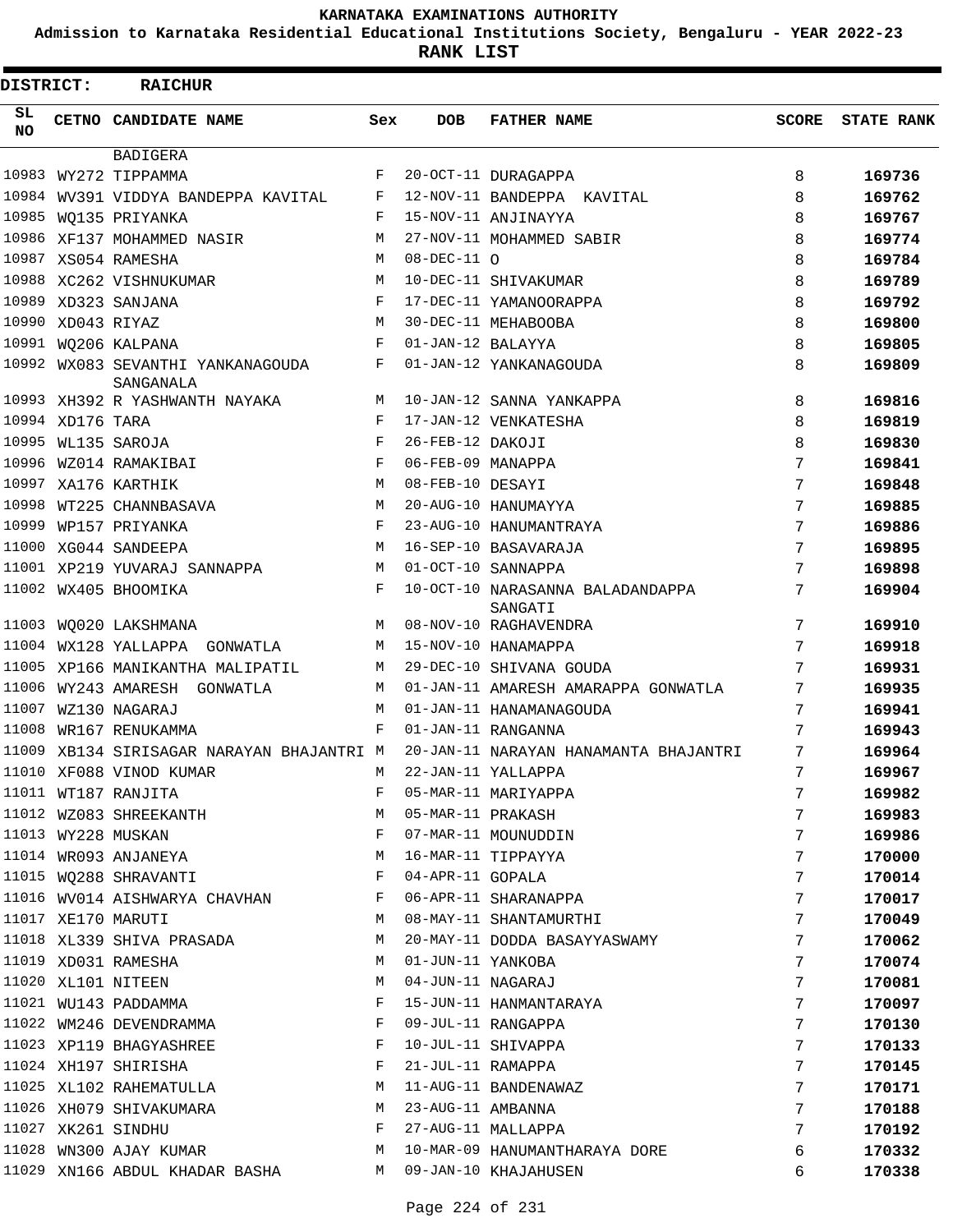**Admission to Karnataka Residential Educational Institutions Society, Bengaluru - YEAR 2022-23**

| <b>DISTRICT:</b> |                   | <b>RAICHUR</b>                                 |              |                   |                                             |       |                   |
|------------------|-------------------|------------------------------------------------|--------------|-------------------|---------------------------------------------|-------|-------------------|
| SL<br><b>NO</b>  |                   | CETNO CANDIDATE NAME                           | Sex          | <b>DOB</b>        | <b>FATHER NAME</b>                          | SCORE | <b>STATE RANK</b> |
|                  |                   | <b>BADIGERA</b>                                |              |                   |                                             |       |                   |
| 10983            |                   | WY272 TIPPAMMA                                 | F            |                   | 20-OCT-11 DURAGAPPA                         | 8     | 169736            |
| 10984            |                   | WV391 VIDDYA BANDEPPA KAVITAL                  | F            |                   | 12-NOV-11 BANDEPPA KAVITAL                  | 8     | 169762            |
|                  |                   | 10985 WO135 PRIYANKA                           | F            |                   | 15-NOV-11 ANJINAYYA                         | 8     | 169767            |
|                  |                   | 10986 XF137 MOHAMMED NASIR                     | М            |                   | 27-NOV-11 MOHAMMED SABIR                    | 8     | 169774            |
|                  |                   | 10987 XS054 RAMESHA                            | M            | $08-DEC-11$ O     |                                             | 8     | 169784            |
|                  |                   | 10988 XC262 VISHNUKUMAR                        | M            |                   | 10-DEC-11 SHIVAKUMAR                        | 8     | 169789            |
|                  |                   | 10989 XD323 SANJANA                            | $_{\rm F}$   |                   | 17-DEC-11 YAMANOORAPPA                      | 8     | 169792            |
|                  | 10990 XD043 RIYAZ |                                                | M            |                   | 30-DEC-11 MEHABOOBA                         | 8     | 169800            |
|                  |                   | 10991 WQ206 KALPANA                            | F            | 01-JAN-12 BALAYYA |                                             | 8     | 169805            |
|                  |                   | 10992 WX083 SEVANTHI YANKANAGOUDA<br>SANGANALA | F            |                   | 01-JAN-12 YANKANAGOUDA                      | 8     | 169809            |
|                  |                   | 10993 XH392 R YASHWANTH NAYAKA                 | М            |                   | 10-JAN-12 SANNA YANKAPPA                    | 8     | 169816            |
|                  | 10994 XD176 TARA  |                                                | $_{\rm F}$   |                   | 17-JAN-12 VENKATESHA                        | 8     | 169819            |
|                  |                   | 10995 WL135 SAROJA                             | F            | 26-FEB-12 DAKOJI  |                                             | 8     | 169830            |
| 10996            |                   | WZ014 RAMAKIBAI                                | F            | 06-FEB-09 MANAPPA |                                             | 7     | 169841            |
| 10997            |                   | XA176 KARTHIK                                  | M            | 08-FEB-10 DESAYI  |                                             | 7     | 169848            |
|                  |                   | 10998 WT225 CHANNBASAVA                        | М            |                   | 20-AUG-10 HANUMAYYA                         | 7     | 169885            |
|                  |                   | 10999 WP157 PRIYANKA                           | F            |                   | 23-AUG-10 HANUMANTRAYA                      | 7     | 169886            |
|                  |                   | 11000 XG044 SANDEEPA                           | M            |                   | 16-SEP-10 BASAVARAJA                        | 7     | 169895            |
|                  |                   | 11001 XP219 YUVARAJ SANNAPPA                   | M            |                   | 01-OCT-10 SANNAPPA                          | 7     | 169898            |
|                  |                   | 11002 WX405 BHOOMIKA                           | F            |                   | 10-OCT-10 NARASANNA BALADANDAPPA<br>SANGATI | 7     | 169904            |
|                  |                   | 11003 WQ020 LAKSHMANA                          | M            |                   | 08-NOV-10 RAGHAVENDRA                       | 7     | 169910            |
|                  |                   | 11004 WX128 YALLAPPA GONWATLA                  | M            |                   | 15-NOV-10 HANAMAPPA                         | 7     | 169918            |
|                  |                   | 11005 XP166 MANIKANTHA MALIPATIL               | M            |                   | 29-DEC-10 SHIVANA GOUDA                     | 7     | 169931            |
|                  |                   | 11006 WY243 AMARESH GONWATLA                   | М            |                   | 01-JAN-11 AMARESH AMARAPPA GONWATLA         | 7     | 169935            |
| 11007            |                   | WZ130 NAGARAJ                                  | M            |                   | 01-JAN-11 HANAMANAGOUDA                     | 7     | 169941            |
|                  |                   | 11008 WR167 RENUKAMMA                          | F            |                   | 01-JAN-11 RANGANNA                          | 7     | 169943            |
|                  |                   | 11009 XB134 SIRISAGAR NARAYAN BHAJANTRI M      |              |                   | 20-JAN-11 NARAYAN HANAMANTA BHAJANTRI       | 7     | 169964            |
|                  |                   | 11010 XF088 VINOD KUMAR                        | М            |                   | 22-JAN-11 YALLAPPA                          | 7     | 169967            |
|                  |                   | 11011 WT187 RANJITA                            | F            |                   | 05-MAR-11 MARIYAPPA                         | 7     | 169982            |
|                  |                   | 11012 WZ083 SHREEKANTH                         | M            | 05-MAR-11 PRAKASH |                                             | 7     | 169983            |
|                  |                   | 11013 WY228 MUSKAN                             | F            |                   | 07-MAR-11 MOUNUDDIN                         | 7     | 169986            |
|                  |                   | 11014 WR093 ANJANEYA                           | М            |                   | 16-MAR-11 TIPPAYYA                          | 7     | 170000            |
|                  |                   | 11015 WQ288 SHRAVANTI                          | F            | 04-APR-11 GOPALA  |                                             | 7     | 170014            |
|                  |                   | 11016 WV014 AISHWARYA CHAVHAN                  | $\mathbf{F}$ |                   | 06-APR-11 SHARANAPPA                        | 7     | 170017            |
|                  |                   | 11017 XE170 MARUTI                             | M            |                   | 08-MAY-11 SHANTAMURTHI                      | 7     | 170049            |
|                  |                   | 11018 XL339 SHIVA PRASADA                      | M            |                   | 20-MAY-11 DODDA BASAYYASWAMY                | 7     | 170062            |
|                  |                   | 11019 XD031 RAMESHA                            | M            | 01-JUN-11 YANKOBA |                                             | 7     | 170074            |
|                  |                   | 11020 XL101 NITEEN                             | M            | 04-JUN-11 NAGARAJ |                                             | 7     | 170081            |
|                  |                   | 11021 WU143 PADDAMMA                           | F            |                   | 15-JUN-11 HANMANTARAYA                      | 7     | 170097            |
|                  |                   | 11022 WM246 DEVENDRAMMA                        | F            |                   | 09-JUL-11 RANGAPPA                          | 7     | 170130            |
|                  |                   | 11023 XP119 BHAGYASHREE                        | F            |                   | 10-JUL-11 SHIVAPPA                          | 7     | 170133            |
|                  |                   | 11024 XH197 SHIRISHA                           | F            | 21-JUL-11 RAMAPPA |                                             | 7     | 170145            |
|                  |                   | 11025 XL102 RAHEMATULLA                        | М            |                   | 11-AUG-11 BANDENAWAZ                        | 7     | 170171            |
|                  |                   | 11026 XH079 SHIVAKUMARA                        | M            | 23-AUG-11 AMBANNA |                                             | 7     | 170188            |
|                  |                   | 11027 XK261 SINDHU                             | F            |                   | 27-AUG-11 MALLAPPA                          | 7     | 170192            |
|                  |                   | 11028 WN300 AJAY KUMAR                         | М            |                   | 10-MAR-09 HANUMANTHARAYA DORE               | 6     | 170332            |
|                  |                   | 11029 XN166 ABDUL KHADAR BASHA                 | M            |                   | 09-JAN-10 KHAJAHUSEN                        | 6     | 170338            |
|                  |                   |                                                |              |                   |                                             |       |                   |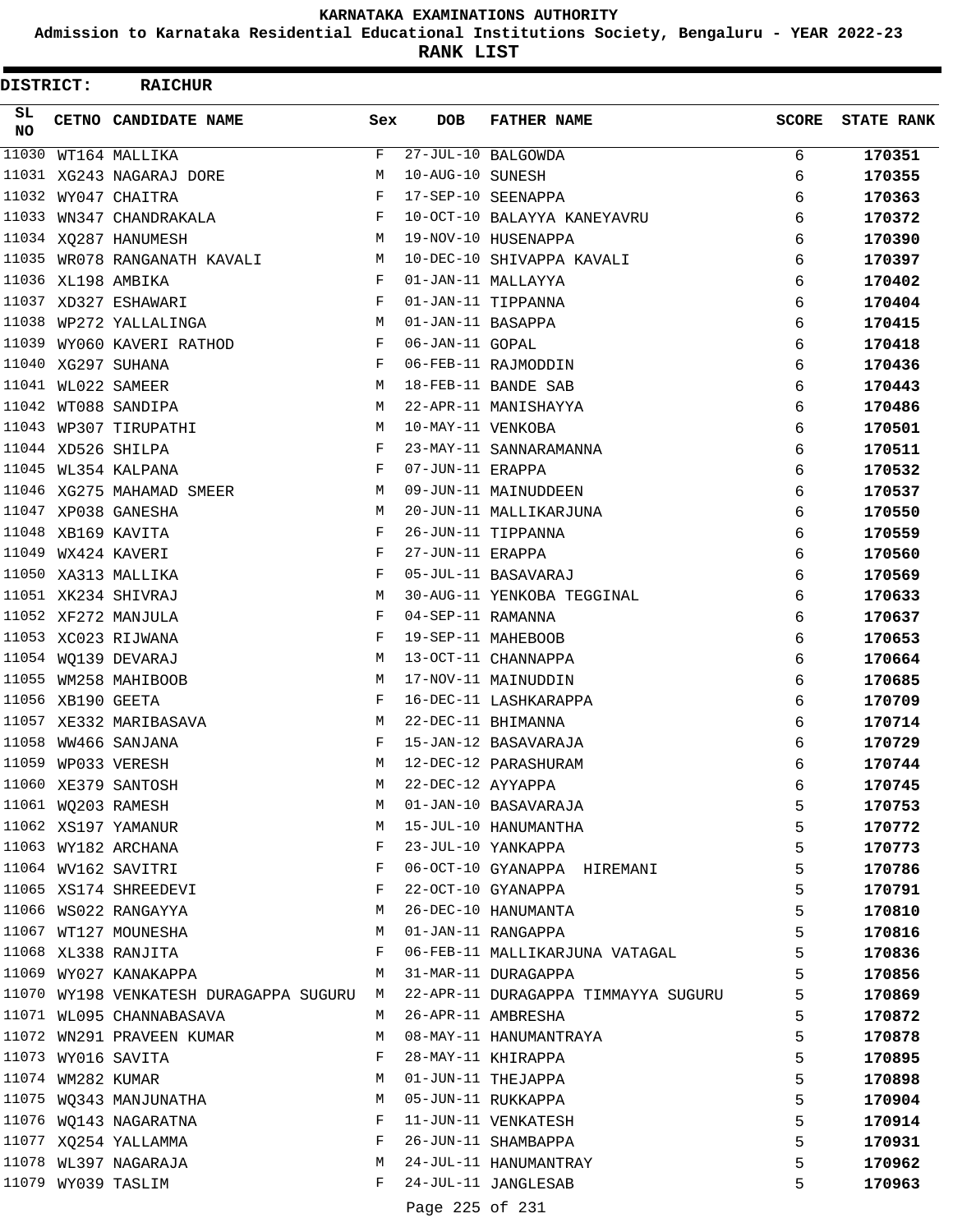**Admission to Karnataka Residential Educational Institutions Society, Bengaluru - YEAR 2022-23**

**RANK LIST**

 $\blacksquare$ 

| DISTRICT:       |                   | <b>RAICHUR</b>                           |            |                   |                                     |              |                   |
|-----------------|-------------------|------------------------------------------|------------|-------------------|-------------------------------------|--------------|-------------------|
| SL<br><b>NO</b> |                   | CETNO CANDIDATE NAME                     | Sex        | <b>DOB</b>        | <b>FATHER NAME</b>                  | <b>SCORE</b> | <b>STATE RANK</b> |
| 11030           |                   | WT164 MALLIKA                            | F          |                   | 27-JUL-10 BALGOWDA                  | 6            | 170351            |
|                 |                   | 11031 XG243 NAGARAJ DORE                 | M          | 10-AUG-10 SUNESH  |                                     | 6            | 170355            |
|                 |                   | 11032 WY047 CHAITRA                      | $_{\rm F}$ |                   | 17-SEP-10 SEENAPPA                  | 6            | 170363            |
| 11033           |                   | WN347 CHANDRAKALA                        | F          |                   | 10-OCT-10 BALAYYA KANEYAVRU         | 6            | 170372            |
|                 |                   | 11034 XQ287 HANUMESH                     | M          |                   | 19-NOV-10 HUSENAPPA                 | 6            | 170390            |
|                 |                   | 11035 WR078 RANGANATH KAVALI             | М          |                   | 10-DEC-10 SHIVAPPA KAVALI           | 6            | 170397            |
|                 |                   | 11036 XL198 AMBIKA                       | F          |                   | 01-JAN-11 MALLAYYA                  | 6            | 170402            |
|                 |                   | 11037 XD327 ESHAWARI                     | F          |                   | 01-JAN-11 TIPPANNA                  | 6            | 170404            |
| 11038           |                   | WP272 YALLALINGA                         | М          | 01-JAN-11 BASAPPA |                                     | 6            | 170415            |
| 11039           |                   | WY060 KAVERI RATHOD                      | F          | 06-JAN-11 GOPAL   |                                     | 6            | 170418            |
|                 |                   | 11040 XG297 SUHANA                       | $_{\rm F}$ |                   | 06-FEB-11 RAJMODDIN                 | 6            | 170436            |
|                 |                   | 11041 WL022 SAMEER                       | М          |                   | 18-FEB-11 BANDE SAB                 | 6            | 170443            |
|                 |                   | 11042 WT088 SANDIPA                      | M          |                   | 22-APR-11 MANISHAYYA                | 6            | 170486            |
|                 |                   | 11043 WP307 TIRUPATHI                    | М          | 10-MAY-11 VENKOBA |                                     | 6            | 170501            |
|                 |                   | 11044 XD526 SHILPA                       | F          |                   | 23-MAY-11 SANNARAMANNA              | 6            | 170511            |
|                 |                   | 11045 WL354 KALPANA                      | F          | 07-JUN-11 ERAPPA  |                                     | 6            | 170532            |
|                 |                   | 11046 XG275 MAHAMAD SMEER                | М          |                   | 09-JUN-11 MAINUDDEEN                | 6            | 170537            |
|                 |                   | 11047 XP038 GANESHA                      | М          |                   | 20-JUN-11 MALLIKARJUNA              | 6            | 170550            |
|                 |                   | 11048 XB169 KAVITA                       | F          |                   | 26-JUN-11 TIPPANNA                  | 6            | 170559            |
|                 |                   | 11049 WX424 KAVERI                       | F          | 27-JUN-11 ERAPPA  |                                     | 6            | 170560            |
|                 |                   | 11050 XA313 MALLIKA                      | F          |                   | 05-JUL-11 BASAVARAJ                 | 6            | 170569            |
|                 |                   | 11051 XK234 SHIVRAJ                      | M          |                   | 30-AUG-11 YENKOBA TEGGINAL          | 6            | 170633            |
|                 |                   | 11052 XF272 MANJULA                      | F          | 04-SEP-11 RAMANNA |                                     | 6            | 170637            |
|                 |                   | 11053 XC023 RIJWANA                      | F          |                   | 19-SEP-11 MAHEBOOB                  | 6            | 170653            |
|                 |                   | 11054 WO139 DEVARAJ                      | M          |                   | 13-OCT-11 CHANNAPPA                 | 6            | 170664            |
|                 |                   | 11055 WM258 MAHIBOOB                     | М          |                   | 17-NOV-11 MAINUDDIN                 | 6            | 170685            |
|                 | 11056 XB190 GEETA |                                          | F          |                   | 16-DEC-11 LASHKARAPPA               | 6            | 170709            |
|                 |                   | 11057 XE332 MARIBASAVA                   | М          |                   | 22-DEC-11 BHIMANNA                  | 6            | 170714            |
|                 |                   | 11058 WW466 SANJANA                      | F          |                   | 15-JAN-12 BASAVARAJA                | 6            | 170729            |
|                 |                   | 11059 WP033 VERESH                       | М          |                   | 12-DEC-12 PARASHURAM                | 6            | 170744            |
|                 |                   | 11060 XE379 SANTOSH                      | M          | 22-DEC-12 AYYAPPA |                                     | 6            | 170745            |
|                 |                   | 11061 WQ203 RAMESH                       | М          |                   | 01-JAN-10 BASAVARAJA                | 5            | 170753            |
|                 |                   | 11062 XS197 YAMANUR                      | М          |                   | 15-JUL-10 HANUMANTHA                | 5            | 170772            |
|                 |                   | 11063 WY182 ARCHANA                      | F          |                   | 23-JUL-10 YANKAPPA                  | 5            | 170773            |
|                 |                   | 11064 WV162 SAVITRI                      | F          |                   | 06-OCT-10 GYANAPPA HIREMANI         | 5            | 170786            |
|                 |                   | 11065 XS174 SHREEDEVI                    | F          |                   | 22-OCT-10 GYANAPPA                  | 5            | 170791            |
|                 |                   | 11066 WS022 RANGAYYA                     | М          |                   | 26-DEC-10 HANUMANTA                 | 5            | 170810            |
|                 |                   | 11067 WT127 MOUNESHA                     | М          |                   | 01-JAN-11 RANGAPPA                  | 5            | 170816            |
|                 |                   | 11068 XL338 RANJITA                      | F          |                   | 06-FEB-11 MALLIKARJUNA VATAGAL      | 5            | 170836            |
|                 |                   | 11069 WY027 KANAKAPPA                    | M          |                   | 31-MAR-11 DURAGAPPA                 | 5            | 170856            |
|                 |                   | 11070 WY198 VENKATESH DURAGAPPA SUGURU M |            |                   | 22-APR-11 DURAGAPPA TIMMAYYA SUGURU | 5            | 170869            |
|                 |                   | 11071 WL095 CHANNABASAVA                 | M          |                   | 26-APR-11 AMBRESHA                  | 5            | 170872            |
|                 |                   | 11072 WN291 PRAVEEN KUMAR                | M          |                   | 08-MAY-11 HANUMANTRAYA              | 5            | 170878            |
|                 |                   | 11073 WY016 SAVITA                       | F          |                   | 28-MAY-11 KHIRAPPA                  | 5            | 170895            |
|                 |                   | 11074 WM282 KUMAR                        | М          |                   | 01-JUN-11 THEJAPPA                  | 5            | 170898            |
|                 |                   | 11075 WQ343 MANJUNATHA                   | М          |                   | 05-JUN-11 RUKKAPPA                  | 5            | 170904            |
|                 |                   | 11076 WQ143 NAGARATNA                    | F          |                   | 11-JUN-11 VENKATESH                 | 5            | 170914            |
|                 |                   | 11077 XQ254 YALLAMMA                     | F          |                   | 26-JUN-11 SHAMBAPPA                 | 5            | 170931            |
|                 |                   | 11078 WL397 NAGARAJA                     | М          |                   | 24-JUL-11 HANUMANTRAY               | 5            | 170962            |
|                 |                   | 11079 WY039 TASLIM                       | F          |                   | 24-JUL-11 JANGLESAB                 | 5            | 170963            |
|                 |                   |                                          |            |                   |                                     |              |                   |

Page 225 of 231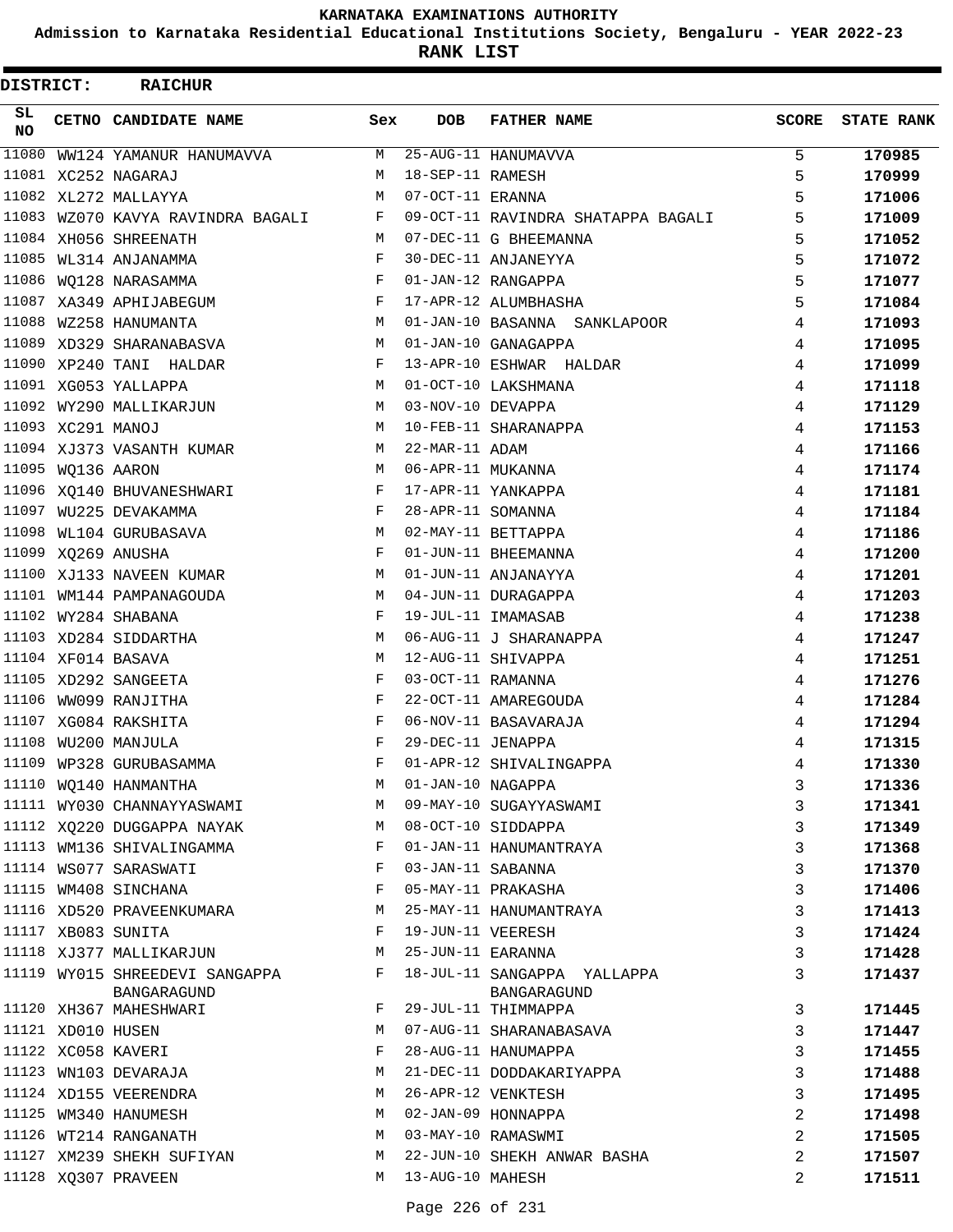**Admission to Karnataka Residential Educational Institutions Society, Bengaluru - YEAR 2022-23**

**RANK LIST**

| DISTRICT:       |                   | <b>RAICHUR</b>                    |              |                   |                                    |              |                   |
|-----------------|-------------------|-----------------------------------|--------------|-------------------|------------------------------------|--------------|-------------------|
| SL<br><b>NO</b> |                   | CETNO CANDIDATE NAME              | Sex          | <b>DOB</b>        | <b>FATHER NAME</b>                 | <b>SCORE</b> | <b>STATE RANK</b> |
| 11080           |                   | WW124 YAMANUR HANUMAVVA           | М            |                   | 25-AUG-11 HANUMAVVA                | 5            | 170985            |
|                 |                   | 11081 XC252 NAGARAJ               | M            | 18-SEP-11 RAMESH  |                                    | 5            | 170999            |
|                 |                   | 11082 XL272 MALLAYYA              | M            | 07-OCT-11 ERANNA  |                                    | 5            | 171006            |
|                 |                   | 11083 WZ070 KAVYA RAVINDRA BAGALI | F            |                   | 09-OCT-11 RAVINDRA SHATAPPA BAGALI | 5            | 171009            |
|                 |                   | 11084 XH056 SHREENATH             | M            |                   | 07-DEC-11 G BHEEMANNA              | 5            | 171052            |
|                 |                   | 11085 WL314 ANJANAMMA             | F            |                   | 30-DEC-11 ANJANEYYA                | 5            | 171072            |
|                 |                   | 11086 WQ128 NARASAMMA             | F            |                   | 01-JAN-12 RANGAPPA                 | 5            | 171077            |
|                 |                   | 11087 XA349 APHIJABEGUM           | $\mathbf{F}$ |                   | 17-APR-12 ALUMBHASHA               | 5            | 171084            |
|                 |                   | 11088 WZ258 HANUMANTA             | M            |                   | 01-JAN-10 BASANNA SANKLAPOOR       | 4            | 171093            |
|                 |                   | 11089 XD329 SHARANABASVA          | M            |                   | 01-JAN-10 GANAGAPPA                | 4            | 171095            |
|                 |                   | 11090 XP240 TANI HALDAR           | F            |                   | 13-APR-10 ESHWAR HALDAR            | 4            | 171099            |
|                 |                   | 11091 XG053 YALLAPPA              | M            |                   | 01-OCT-10 LAKSHMANA                | 4            | 171118            |
|                 |                   | 11092 WY290 MALLIKARJUN           | M            | 03-NOV-10 DEVAPPA |                                    | 4            | 171129            |
|                 | 11093 XC291 MANOJ |                                   | M            |                   | 10-FEB-11 SHARANAPPA               | 4            | 171153            |
|                 |                   | 11094 XJ373 VASANTH KUMAR         | M            | 22-MAR-11 ADAM    |                                    | 4            | 171166            |
|                 | 11095 WQ136 AARON |                                   | М            | 06-APR-11 MUKANNA |                                    | 4            | 171174            |
|                 |                   | 11096 XQ140 BHUVANESHWARI         | F            |                   | 17-APR-11 YANKAPPA                 | 4            | 171181            |
|                 |                   | 11097 WU225 DEVAKAMMA             | F            | 28-APR-11 SOMANNA |                                    | 4            | 171184            |
|                 |                   | 11098 WL104 GURUBASAVA            | M            |                   | 02-MAY-11 BETTAPPA                 | 4            | 171186            |
|                 |                   | 11099 XQ269 ANUSHA                | F            |                   | 01-JUN-11 BHEEMANNA                | 4            | 171200            |
|                 |                   | 11100 XJ133 NAVEEN KUMAR          | M            |                   | 01-JUN-11 ANJANAYYA                | 4            | 171201            |
|                 |                   | 11101 WM144 PAMPANAGOUDA          | M            |                   | 04-JUN-11 DURAGAPPA                | 4            | 171203            |
|                 |                   | 11102 WY284 SHABANA               | $_{\rm F}$   |                   | 19-JUL-11 IMAMASAB                 | 4            | 171238            |
|                 |                   | 11103 XD284 SIDDARTHA             | М            |                   | 06-AUG-11 J SHARANAPPA             | 4            | 171247            |
|                 |                   | 11104 XF014 BASAVA                | М            |                   | 12-AUG-11 SHIVAPPA                 | 4            | 171251            |
|                 |                   | 11105 XD292 SANGEETA              | F            | 03-OCT-11 RAMANNA |                                    | 4            | 171276            |
|                 |                   | 11106 WW099 RANJITHA              | $_{\rm F}$   |                   | 22-OCT-11 AMAREGOUDA               | 4            | 171284            |
|                 |                   | 11107 XG084 RAKSHITA              | F            |                   | 06-NOV-11 BASAVARAJA               | 4            | 171294            |
|                 |                   | 11108 WU200 MANJULA               | F            | 29-DEC-11 JENAPPA |                                    | 4            | 171315            |
|                 |                   | 11109 WP328 GURUBASAMMA           | $_{\rm F}$   |                   | 01-APR-12 SHIVALINGAPPA            | 4            | 171330            |
|                 |                   | 11110 WQ140 HANMANTHA             | M            | 01-JAN-10 NAGAPPA |                                    | 3            | 171336            |
|                 |                   | 11111 WY030 CHANNAYYASWAMI        | M            |                   | 09-MAY-10 SUGAYYASWAMI             | 3            | 171341            |
|                 |                   | 11112 XQ220 DUGGAPPA NAYAK        | M            |                   | 08-OCT-10 SIDDAPPA                 | 3            | 171349            |
|                 |                   | 11113 WM136 SHIVALINGAMMA         | $\mathbf{F}$ |                   | 01-JAN-11 HANUMANTRAYA             | 3            | 171368            |
|                 |                   | 11114 WS077 SARASWATI             | F            | 03-JAN-11 SABANNA |                                    | 3            | 171370            |
|                 |                   | 11115 WM408 SINCHANA              | F            |                   | 05-MAY-11 PRAKASHA                 | 3            | 171406            |
|                 |                   | 11116 XD520 PRAVEENKUMARA         | M            |                   | 25-MAY-11 HANUMANTRAYA             | 3            | 171413            |
|                 |                   | 11117 XB083 SUNITA                | F            | 19-JUN-11 VEERESH |                                    | 3            | 171424            |
|                 |                   | 11118 XJ377 MALLIKARJUN           | M            | 25-JUN-11 EARANNA |                                    | 3            | 171428            |
|                 |                   | 11119 WY015 SHREEDEVI SANGAPPA    | $\mathbf{F}$ |                   | 18-JUL-11 SANGAPPA YALLAPPA        | 3            | 171437            |
|                 |                   | BANGARAGUND                       |              |                   | BANGARAGUND                        |              |                   |
|                 |                   | 11120 XH367 MAHESHWARI            | $\mathbf{F}$ |                   | 29-JUL-11 THIMMAPPA                | 3            | 171445            |
|                 | 11121 XD010 HUSEN |                                   | М            |                   | 07-AUG-11 SHARANABASAVA            | 3            | 171447            |
|                 |                   | 11122 XC058 KAVERI                | F            |                   | 28-AUG-11 HANUMAPPA                | 3            | 171455            |
|                 |                   | 11123 WN103 DEVARAJA              | М            |                   | 21-DEC-11 DODDAKARIYAPPA           | 3            | 171488            |
|                 |                   | 11124 XD155 VEERENDRA             | M            |                   | 26-APR-12 VENKTESH                 | 3            | 171495            |
|                 |                   | 11125 WM340 HANUMESH              | M            |                   | 02-JAN-09 HONNAPPA                 | 2            | 171498            |
|                 |                   | 11126 WT214 RANGANATH             | M            |                   | 03-MAY-10 RAMASWMI                 | 2            | 171505            |
|                 |                   | 11127 XM239 SHEKH SUFIYAN         | М            |                   | 22-JUN-10 SHEKH ANWAR BASHA        | 2            | 171507            |
|                 |                   | 11128 XQ307 PRAVEEN               | M            | 13-AUG-10 MAHESH  |                                    | 2            | 171511            |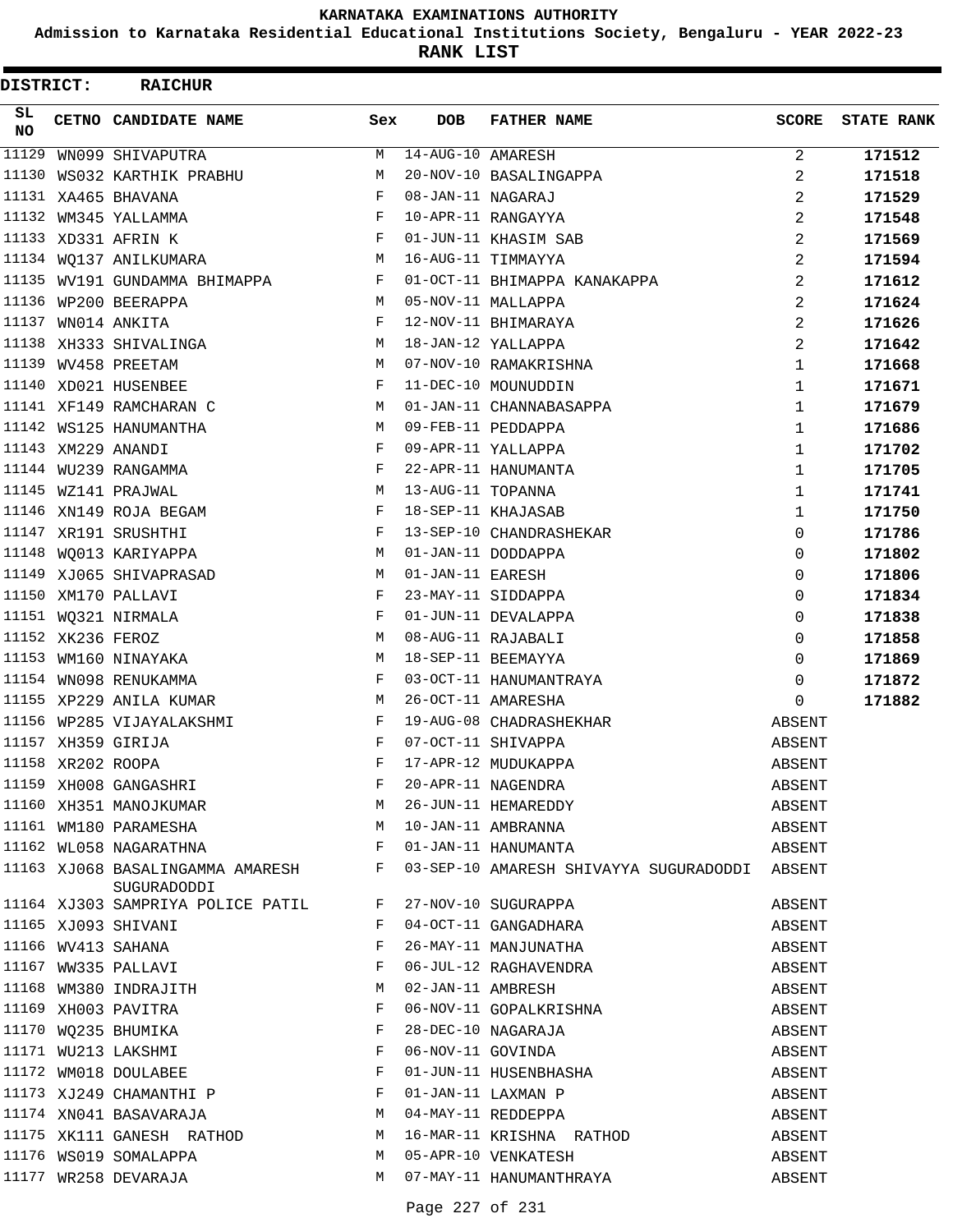**Admission to Karnataka Residential Educational Institutions Society, Bengaluru - YEAR 2022-23**

| DISTRICT:        |                   | <b>RAICHUR</b>                                                                 |            |                   |                                                                 |              |                   |
|------------------|-------------------|--------------------------------------------------------------------------------|------------|-------------------|-----------------------------------------------------------------|--------------|-------------------|
| SL.<br><b>NO</b> |                   | CETNO CANDIDATE NAME                                                           | Sex        | <b>DOB</b>        | <b>FATHER NAME</b>                                              | <b>SCORE</b> | <b>STATE RANK</b> |
| 11129            |                   | WN099 SHIVAPUTRA                                                               | M          | 14-AUG-10 AMARESH |                                                                 | 2            | 171512            |
| 11130            |                   | WS032 KARTHIK PRABHU                                                           | М          |                   | 20-NOV-10 BASALINGAPPA                                          | 2            | 171518            |
|                  |                   | 11131 XA465 BHAVANA                                                            | $_{\rm F}$ | 08-JAN-11 NAGARAJ |                                                                 | 2            | 171529            |
|                  |                   | 11132 WM345 YALLAMMA                                                           | $_{\rm F}$ |                   | 10-APR-11 RANGAYYA                                              | 2            | 171548            |
|                  |                   | 11133 XD331 AFRIN K                                                            | $_{\rm F}$ |                   | 01-JUN-11 KHASIM SAB                                            | 2            | 171569            |
|                  |                   | 11134 WO137 ANILKUMARA                                                         | M          |                   | 16-AUG-11 TIMMAYYA                                              | 2            | 171594            |
|                  |                   | 11135 WV191 GUNDAMMA BHIMAPPA                                                  | F          |                   | 01-OCT-11 BHIMAPPA KANAKAPPA                                    | 2            | 171612            |
|                  |                   | 11136 WP200 BEERAPPA                                                           | M          |                   | 05-NOV-11 MALLAPPA                                              | 2            | 171624            |
| 11137            |                   | WN014 ANKITA                                                                   | $_{\rm F}$ |                   | 12-NOV-11 BHIMARAYA                                             | 2            | 171626            |
|                  |                   | 11138 XH333 SHIVALINGA                                                         | M          |                   | 18-JAN-12 YALLAPPA                                              | 2            | 171642            |
|                  |                   | 11139 WV458 PREETAM                                                            | М          |                   | 07-NOV-10 RAMAKRISHNA                                           | $\mathbf 1$  | 171668            |
|                  |                   | 11140 XD021 HUSENBEE                                                           | $_{\rm F}$ |                   | 11-DEC-10 MOUNUDDIN                                             | 1            | 171671            |
|                  |                   | 11141 XF149 RAMCHARAN C                                                        | М          |                   | 01-JAN-11 CHANNABASAPPA                                         | $\mathbf{1}$ | 171679            |
|                  |                   | 11142 WS125 HANUMANTHA                                                         | M          |                   | 09-FEB-11 PEDDAPPA                                              | 1            | 171686            |
|                  |                   | 11143 XM229 ANANDI                                                             | F          |                   | 09-APR-11 YALLAPPA                                              | $\mathbf 1$  | 171702            |
|                  |                   | 11144 WU239 RANGAMMA                                                           | $_{\rm F}$ |                   | 22-APR-11 HANUMANTA                                             | 1            | 171705            |
|                  |                   | 11145 WZ141 PRAJWAL                                                            | М          | 13-AUG-11 TOPANNA |                                                                 | $\mathbf 1$  | 171741            |
|                  |                   | 11146 XN149 ROJA BEGAM                                                         | F          |                   | 18-SEP-11 KHAJASAB                                              | 1            | 171750            |
|                  |                   | 11147 XR191 SRUSHTHI                                                           | F          |                   | 13-SEP-10 CHANDRASHEKAR                                         | $\Omega$     | 171786            |
|                  |                   | 11148 WQ013 KARIYAPPA                                                          | M          |                   | 01-JAN-11 DODDAPPA                                              | $\Omega$     | 171802            |
|                  |                   | 11149 XJ065 SHIVAPRASAD                                                        | M          | 01-JAN-11 EARESH  |                                                                 | $\Omega$     | 171806            |
|                  |                   | 11150 XM170 PALLAVI                                                            | F          |                   | 23-MAY-11 SIDDAPPA                                              | $\Omega$     | 171834            |
|                  |                   | 11151 WQ321 NIRMALA                                                            | F          |                   | 01-JUN-11 DEVALAPPA                                             | 0            | 171838            |
|                  | 11152 XK236 FEROZ |                                                                                | M          |                   | 08-AUG-11 RAJABALI                                              | 0            | 171858            |
|                  |                   | 11153 WM160 NINAYAKA                                                           | М          |                   | 18-SEP-11 BEEMAYYA                                              | $\Omega$     | 171869            |
|                  |                   | 11154 WN098 RENUKAMMA                                                          | $_{\rm F}$ |                   | 03-OCT-11 HANUMANTRAYA                                          | $\Omega$     | 171872            |
|                  |                   | 11155 XP229 ANILA KUMAR                                                        | M          |                   | 26-OCT-11 AMARESHA                                              | 0            | 171882            |
|                  |                   | 11156 WP285 VIJAYALAKSHMI                                                      | F          |                   | 19-AUG-08 CHADRASHEKHAR                                         | ABSENT       |                   |
|                  |                   | 11157 XH359 GIRIJA                                                             | $_{\rm F}$ |                   | 07-OCT-11 SHIVAPPA                                              | ABSENT       |                   |
|                  | 11158 XR202 ROOPA |                                                                                | F          |                   | 17-APR-12 MUDUKAPPA                                             | ABSENT       |                   |
|                  |                   |                                                                                |            |                   |                                                                 | ABSENT       |                   |
|                  |                   | 11159 XH008 GANGASHRI F<br>11160 XH351 MANOJKUMAR M<br>11161 WM180 PARAMESHA M |            |                   | 20-APR-11 NAGENDRA<br>26-JUN-11 HEMAREDDY<br>10-JAN-11 AMBRANNA | ABSENT       |                   |
|                  |                   |                                                                                |            |                   |                                                                 | ABSENT       |                   |
|                  |                   | $\mathbf{F}$ and $\mathbf{F}$ and $\mathbf{F}$<br>11162 WL058 NAGARATHNA       |            |                   | 01-JAN-11 HANUMANTA                                             | ABSENT       |                   |
|                  |                   | 11163 XJ068 BASALINGAMMA AMARESH F<br>SUGURADODDI                              |            |                   | 03-SEP-10 AMARESH SHIVAYYA SUGURADODDI ABSENT                   |              |                   |
|                  |                   | 11164 XJ303 SAMPRIYA POLICE PATIL                                              | F          |                   | 27-NOV-10 SUGURAPPA                                             | ABSENT       |                   |
|                  |                   | 11165 XJ093 SHIVANI                                                            | F          |                   | 04-OCT-11 GANGADHARA                                            | ABSENT       |                   |
|                  |                   | 11166 WV413 SAHANA                                                             | F          |                   | 26-MAY-11 MANJUNATHA                                            | ABSENT       |                   |
|                  |                   | 11167 WW335 PALLAVI                                                            | F          |                   | 06-JUL-12 RAGHAVENDRA                                           | ABSENT       |                   |
|                  |                   | 11168 WM380 INDRAJITH                                                          | М          |                   | 02-JAN-11 AMBRESH                                               | ABSENT       |                   |
|                  |                   | 11169 XH003 PAVITRA                                                            | F          |                   | 06-NOV-11 GOPALKRISHNA                                          | ABSENT       |                   |
|                  |                   | 11170 WQ235 BHUMIKA                                                            | F          |                   | 28-DEC-10 NAGARAJA                                              | ABSENT       |                   |
|                  |                   | 11171 WU213 LAKSHMI                                                            | F          |                   | 06-NOV-11 GOVINDA                                               | ABSENT       |                   |
|                  |                   | 11172 WM018 DOULABEE                                                           | F          |                   | 01-JUN-11 HUSENBHASHA                                           | ABSENT       |                   |
|                  |                   | 11173 XJ249 CHAMANTHI P                                                        | F          |                   | 01-JAN-11 LAXMAN P                                              | ABSENT       |                   |
|                  |                   | 11174 XN041 BASAVARAJA                                                         | M          |                   | 04-MAY-11 REDDEPPA                                              | ABSENT       |                   |
|                  |                   | 11175 XK111 GANESH RATHOD                                                      | М          |                   | 16-MAR-11 KRISHNA RATHOD                                        | ABSENT       |                   |
|                  |                   | 11176 WS019 SOMALAPPA                                                          | M          |                   | 05-APR-10 VENKATESH                                             | ABSENT       |                   |
|                  |                   | 11177 WR258 DEVARAJA                                                           | M          |                   | 07-MAY-11 HANUMANTHRAYA                                         | ABSENT       |                   |
|                  |                   |                                                                                |            |                   |                                                                 |              |                   |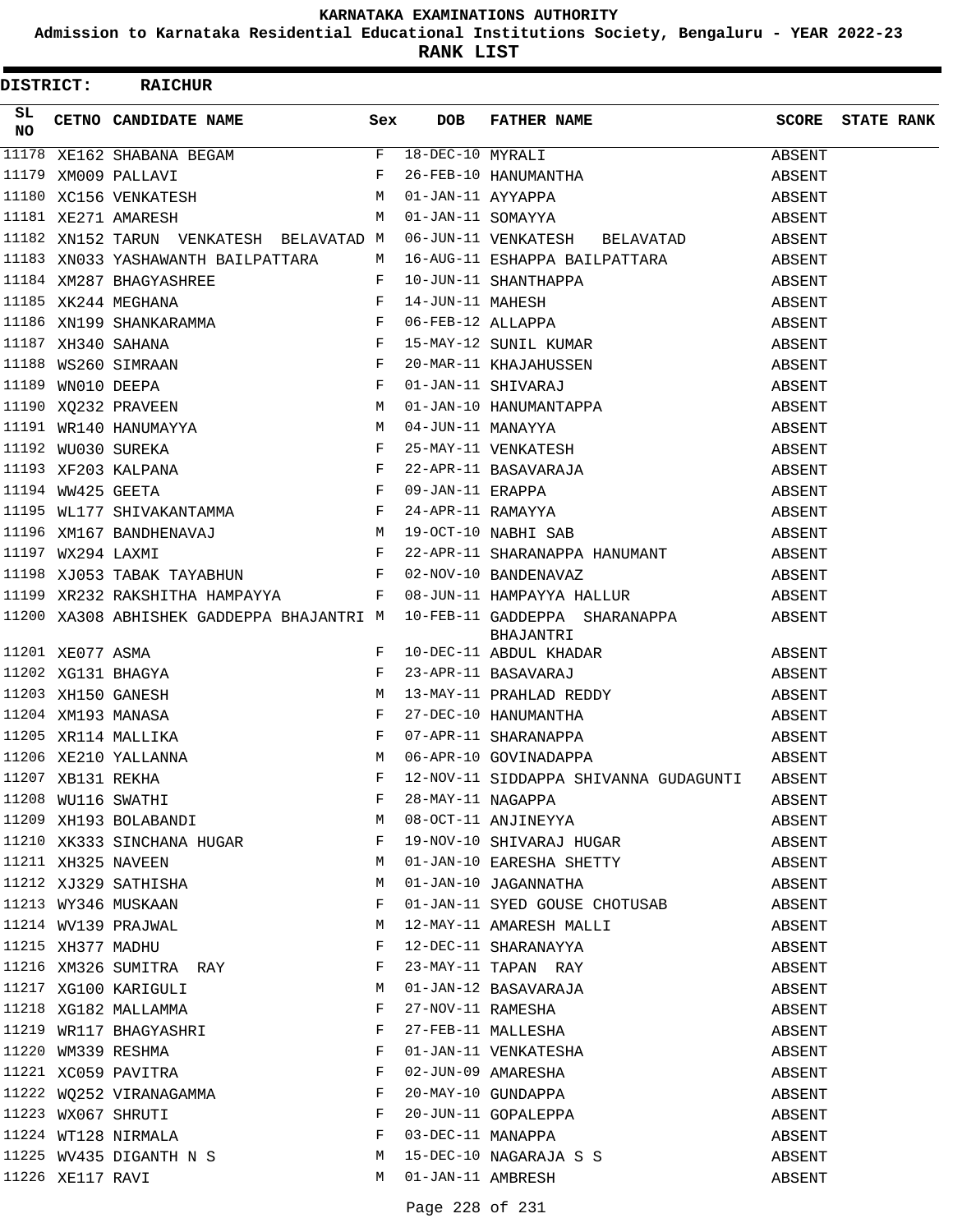**Admission to Karnataka Residential Educational Institutions Society, Bengaluru - YEAR 2022-23**

| DISTRICT: |                  | <b>RAICHUR</b>                                                                                  |     |                     |                                                                                                                                                                                                                                                         |        |                         |
|-----------|------------------|-------------------------------------------------------------------------------------------------|-----|---------------------|---------------------------------------------------------------------------------------------------------------------------------------------------------------------------------------------------------------------------------------------------------|--------|-------------------------|
| SL.<br>NO |                  | CETNO CANDIDATE NAME                                                                            | Sex | <b>DOB</b>          | FATHER NAME                                                                                                                                                                                                                                             |        | <b>SCORE</b> STATE RANK |
|           |                  |                                                                                                 |     |                     | 11178 XE162 SHABANA BEGAM<br>11179 XM009 PALLAVI<br>11179 XM009 PALLAVI<br>11180 XC156 VENKATESH M 01-JAN-11 AYYAPPA<br>11181 XE271 AMARESH M 01-JAN-11 SOMAYYA                                                                                         | ABSENT |                         |
|           |                  |                                                                                                 |     |                     |                                                                                                                                                                                                                                                         | ABSENT |                         |
|           |                  |                                                                                                 |     |                     |                                                                                                                                                                                                                                                         | ABSENT |                         |
|           |                  |                                                                                                 |     |                     |                                                                                                                                                                                                                                                         | ABSENT |                         |
|           |                  | 11182 XN152 TARUN VENKATESH BELAVATAD M                                                         |     |                     | 06-JUN-11 VENKATESH BELAVATAD                                                                                                                                                                                                                           | ABSENT |                         |
|           |                  | 11183 XN033 YASHAWANTH BAILPATTARA                                                              | M   |                     | 16-AUG-11 ESHAPPA BAILPATTARA                                                                                                                                                                                                                           | ABSENT |                         |
|           |                  |                                                                                                 |     |                     | $F = 10-JUN-11 SHANTHAPPA$ 11184 XM287 BHAGYASHREE<br>11185 XK244 MEGHANA<br>11186 XN199 SHANKARAMMA<br>11186 XN199 SHANKARAMMA<br>11187 XH340 SAHANA<br>11187 XH340 SAHANA<br>11187 XH340 SAHANA<br>11188 WS260 SIMRAAN<br>11188 WS260 SIMRAAN<br>1118 | ABSENT |                         |
|           |                  |                                                                                                 |     |                     |                                                                                                                                                                                                                                                         | ABSENT |                         |
|           |                  |                                                                                                 |     |                     |                                                                                                                                                                                                                                                         | ABSENT |                         |
|           |                  |                                                                                                 |     |                     |                                                                                                                                                                                                                                                         | ABSENT |                         |
|           |                  |                                                                                                 |     |                     |                                                                                                                                                                                                                                                         | ABSENT |                         |
|           |                  |                                                                                                 |     |                     |                                                                                                                                                                                                                                                         | ABSENT |                         |
|           |                  |                                                                                                 |     |                     |                                                                                                                                                                                                                                                         | ABSENT |                         |
|           |                  |                                                                                                 |     |                     |                                                                                                                                                                                                                                                         | ABSENT |                         |
|           |                  | 11191 WR140 HANUMAYYA M<br>11192 WU030 SUREKA F<br>11193 XF203 KALPANA F<br>11194 WW425 GEETA F |     |                     | 04-JUN-11 MANAYYA<br>25-MAY-11 VENKATESH<br>22-APR-11 BASAVARAJA<br>09-JAN 11 TRAFIC                                                                                                                                                                    | ABSENT |                         |
|           |                  |                                                                                                 |     |                     |                                                                                                                                                                                                                                                         | ABSENT |                         |
|           |                  |                                                                                                 |     |                     |                                                                                                                                                                                                                                                         | ABSENT |                         |
|           |                  |                                                                                                 |     |                     |                                                                                                                                                                                                                                                         | ABSENT |                         |
|           |                  |                                                                                                 |     |                     |                                                                                                                                                                                                                                                         | ABSENT |                         |
|           |                  |                                                                                                 |     |                     | 11194 WW425 GEETA $F$ 09-JAN-11 ERAPPA<br>11195 WL177 SHIVAKANTAMMA $F$ 24-APR-11 RAMAYYA<br>11196 XM167 BANDHENAVAJ M 19-OCT-10 NABHI SAB<br>11197 WX294 LAXMI F 22-APR-11 SHARANAPPA HANUMANT                                                         | ABSENT |                         |
|           |                  | 11198 XJ053 TABAK TAYABHUN F                                                                    |     |                     | 02-NOV-10 BANDENAVAZ                                                                                                                                                                                                                                    | ABSENT |                         |
|           |                  | 11199 XR232 RAKSHITHA HAMPAYYA F                                                                |     |                     | 08-JUN-11 HAMPAYYA HALLUR                                                                                                                                                                                                                               | ABSENT |                         |
|           |                  | 11200 XA308 ABHISHEK GADDEPPA BHAJANTRI M                                                       |     |                     | 10-FEB-11 GADDEPPA SHARANAPPA ABSENT<br>BHAJANTRI<br>11201 XEO77 ASMA<br>11202 XG131 BHAGYA<br>11202 XG131 BHAGYA<br>11203 XH150 GANESH<br>11204 XM193 MANASA<br>11204 XM193 MANASA<br>F 27-DEC-10 HANUMANTHA<br>F 27-DEC-10 HANUMANTHA                 |        |                         |
|           |                  |                                                                                                 |     |                     |                                                                                                                                                                                                                                                         | ABSENT |                         |
|           |                  |                                                                                                 |     |                     |                                                                                                                                                                                                                                                         | ABSENT |                         |
|           |                  |                                                                                                 |     |                     |                                                                                                                                                                                                                                                         | ABSENT |                         |
|           |                  |                                                                                                 |     |                     |                                                                                                                                                                                                                                                         | ABSENT |                         |
|           |                  |                                                                                                 |     |                     |                                                                                                                                                                                                                                                         | ABSENT |                         |
|           |                  |                                                                                                 |     |                     | 07-APR-11 SHARANAPPA<br>06-APR-10 GOVINADAPPA                                                                                                                                                                                                           | ABSENT |                         |
|           |                  |                                                                                                 |     |                     |                                                                                                                                                                                                                                                         | ABSENT |                         |
|           |                  |                                                                                                 |     |                     |                                                                                                                                                                                                                                                         | ABSENT |                         |
|           |                  | 11209 XH193 BOLABANDI M                                                                         |     |                     | 08-OCT-11 ANJINEYYA                                                                                                                                                                                                                                     | ABSENT |                         |
|           |                  |                                                                                                 |     |                     | 11210 XK333 SINCHANA HUGAR F 19-NOV-10 SHIVARAJ HUGAR                                                                                                                                                                                                   | ABSENT |                         |
|           |                  | <b>M</b><br>11211 XH325 NAVEEN                                                                  |     |                     | 01-JAN-10 EARESHA SHETTY                                                                                                                                                                                                                                | ABSENT |                         |
|           |                  | 11212 XJ329 SATHISHA                                                                            | M   |                     | 01-JAN-10 JAGANNATHA                                                                                                                                                                                                                                    | ABSENT |                         |
|           |                  | 11213 WY346 MUSKAAN                                                                             | F   |                     | 01-JAN-11 SYED GOUSE CHOTUSAB                                                                                                                                                                                                                           | ABSENT |                         |
|           |                  | 11214 WV139 PRAJWAL                                                                             | M   |                     | 12-MAY-11 AMARESH MALLI                                                                                                                                                                                                                                 | ABSENT |                         |
|           |                  | 11215 XH377 MADHU                                                                               | F   |                     | 12-DEC-11 SHARANAYYA                                                                                                                                                                                                                                    | ABSENT |                         |
|           |                  | 11216 XM326 SUMITRA RAY F                                                                       |     |                     | 23-MAY-11 TAPAN RAY                                                                                                                                                                                                                                     | ABSENT |                         |
|           |                  | 11217 XG100 KARIGULI                                                                            | M   |                     | 01-JAN-12 BASAVARAJA                                                                                                                                                                                                                                    | ABSENT |                         |
|           |                  | 11218 XG182 MALLAMMA                                                                            | F   |                     | 27-NOV-11 RAMESHA                                                                                                                                                                                                                                       | ABSENT |                         |
|           |                  | 11219 WR117 BHAGYASHRI F                                                                        |     |                     | 27-FEB-11 MALLESHA                                                                                                                                                                                                                                      | ABSENT |                         |
|           |                  | $\mathbf{F}^{\mathbf{r}}$<br>11220 WM339 RESHMA                                                 |     |                     | 01-JAN-11 VENKATESHA                                                                                                                                                                                                                                    | ABSENT |                         |
|           |                  | 11220 WISSON DELIVERED<br>11221 XC059 PAVITRA<br>11222 WQ252 VIRANAGAMMA                        | F   |                     | 02-JUN-09 AMARESHA<br>20-MAY-10 GUNDAPPA                                                                                                                                                                                                                | ABSENT |                         |
|           |                  |                                                                                                 | F   |                     |                                                                                                                                                                                                                                                         | ABSENT |                         |
|           |                  | 11223 WX067 SHRUTI F                                                                            |     |                     | 20-JUN-11 GOPALEPPA                                                                                                                                                                                                                                     | ABSENT |                         |
|           |                  | 11224 WT128 NIRMALA F                                                                           |     |                     | 03-DEC-11 MANAPPA                                                                                                                                                                                                                                       | ABSENT |                         |
|           |                  | 11225 WV435 DIGANTH N S $M$                                                                     |     |                     | 15-DEC-10 NAGARAJA S S                                                                                                                                                                                                                                  | ABSENT |                         |
|           | 11226 XE117 RAVI |                                                                                                 |     | M 01-JAN-11 AMBRESH |                                                                                                                                                                                                                                                         | ABSENT |                         |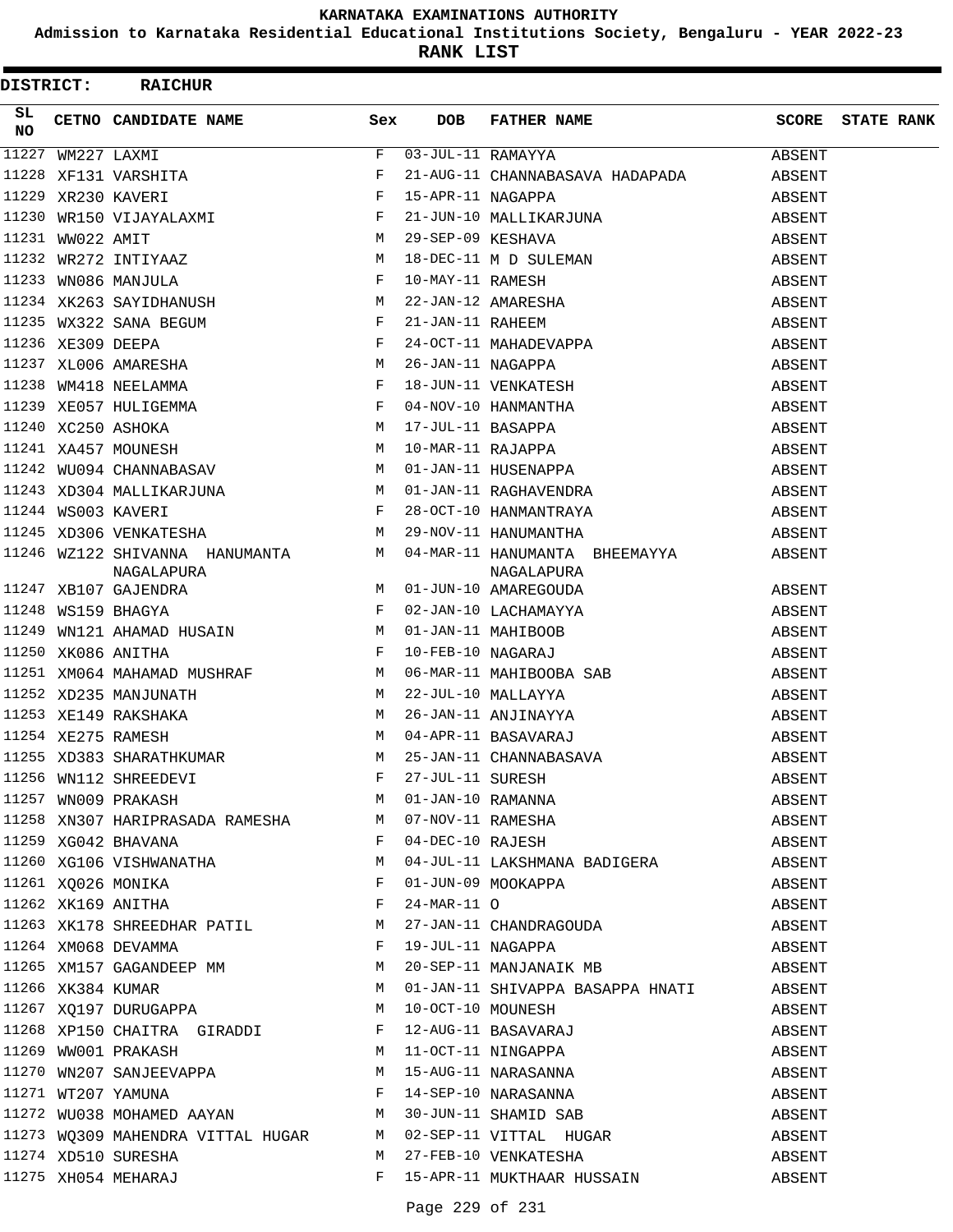**Admission to Karnataka Residential Educational Institutions Society, Bengaluru - YEAR 2022-23**

| <b>DISTRICT:</b> |                   | <b>RAICHUR</b>                                                                                                                                                                                                                                                                                                                     |                   |                                                                                                                                                                                                                                       |        |                         |
|------------------|-------------------|------------------------------------------------------------------------------------------------------------------------------------------------------------------------------------------------------------------------------------------------------------------------------------------------------------------------------------|-------------------|---------------------------------------------------------------------------------------------------------------------------------------------------------------------------------------------------------------------------------------|--------|-------------------------|
| SL.<br><b>NO</b> |                   | CETNO CANDIDATE NAME Sex                                                                                                                                                                                                                                                                                                           | <b>DOB</b>        | FATHER NAME                                                                                                                                                                                                                           |        | <b>SCORE</b> STATE RANK |
|                  | 11227 WM227 LAXMI | 11227 WM227 LAXMI<br>11228 XF131 VARSHITA<br>11229 XR230 KAVERI<br>11230 WR150 VIJAYALAXMI F<br>11231 WW022 AMIT M<br>11232 WR272 INTIYAAZ M<br>11233 WN086 MANJULA F<br>11234 XK263 SAYIDHANUSH M<br>11234 XK263 SAYIDHANUSH M<br>11235 MY322 S                                                                                   |                   | $03-JUL-11$ RAMAYYA                                                                                                                                                                                                                   | ABSENT |                         |
|                  |                   |                                                                                                                                                                                                                                                                                                                                    |                   | 21-AUG-11 CHANNABASAVA HADAPADA                                                                                                                                                                                                       | ABSENT |                         |
|                  |                   |                                                                                                                                                                                                                                                                                                                                    | 15-APR-11 NAGAPPA |                                                                                                                                                                                                                                       | ABSENT |                         |
|                  |                   |                                                                                                                                                                                                                                                                                                                                    |                   | 21-JUN-10 MALLIKARJUNA                                                                                                                                                                                                                | ABSENT |                         |
|                  |                   |                                                                                                                                                                                                                                                                                                                                    |                   |                                                                                                                                                                                                                                       | ABSENT |                         |
|                  |                   |                                                                                                                                                                                                                                                                                                                                    |                   |                                                                                                                                                                                                                                       | ABSENT |                         |
|                  |                   |                                                                                                                                                                                                                                                                                                                                    |                   |                                                                                                                                                                                                                                       | ABSENT |                         |
|                  |                   |                                                                                                                                                                                                                                                                                                                                    |                   |                                                                                                                                                                                                                                       | ABSENT |                         |
|                  |                   | 11235 WX322 SANA BEGUM F                                                                                                                                                                                                                                                                                                           |                   | 21-JUN-10 MALLIKARJUNA<br>29-SEP-09 KESHAVA<br>18-DEC-11 M D SULEMAN<br>10-MAY-11 RAMESH<br>22-JAN-12 AMARESHA<br>21-JAN-11 RAHEEM<br>24-OCT-11 MAHADEVAPPA<br>26-JAN-11 NAGAPPA<br>18-JUN-11 VENKATESH<br>04-NOV-10 HANMANTHA        | ABSENT |                         |
|                  |                   |                                                                                                                                                                                                                                                                                                                                    |                   |                                                                                                                                                                                                                                       | ABSENT |                         |
|                  |                   | $\begin{tabular}{lllllll} 11236 & XE309 DEEPA & & & & & & & \textit{F} \\ 11237 & XL006 AMARESHA & & & & M \\ 11238 WM418 NEELAMMA & & & & \textit{F} \\ 11239 XE057 HULIGEMMA & & & & \textit{F} \\ \end{tabular}$                                                                                                                |                   |                                                                                                                                                                                                                                       | ABSENT |                         |
|                  |                   |                                                                                                                                                                                                                                                                                                                                    |                   |                                                                                                                                                                                                                                       | ABSENT |                         |
|                  |                   |                                                                                                                                                                                                                                                                                                                                    |                   |                                                                                                                                                                                                                                       | ABSENT |                         |
|                  |                   |                                                                                                                                                                                                                                                                                                                                    |                   | 17-JUL-11 BASAPPA                                                                                                                                                                                                                     | ABSENT |                         |
|                  |                   | $\begin{tabular}{lllllllll} 11240&\verb XC250 ASHOKA &\verb M11241 XA457 MOUNESH &\verb M11242 WU094 CHANNABASAV &\verb M11242 WU094 CHANNABASAV &\verb M11242 WU094 &\verb M11242 WU094 &\verb M11242 WU094 &\verb M11242 WU094 &\verb M11242 WU094 &\verb M11242 WU094 &\verb M11242 WU094 &\verb M11242 WU094 &\verb M11242 WU$ |                   | 10-MAR-11 RAJAPPA<br>01-JAN-11 HUSENAPPA<br>01-JAN-11 RAGHAVENDRA                                                                                                                                                                     | ABSENT |                         |
|                  |                   |                                                                                                                                                                                                                                                                                                                                    |                   |                                                                                                                                                                                                                                       | ABSENT |                         |
|                  |                   | 11243 XD304 MALLIKARJUNA M                                                                                                                                                                                                                                                                                                         |                   |                                                                                                                                                                                                                                       | ABSENT |                         |
|                  |                   | $\mathbf{F} = \mathbf{F} \times \mathbf{F}$<br>11244 WS003 KAVERI                                                                                                                                                                                                                                                                  |                   |                                                                                                                                                                                                                                       | ABSENT |                         |
|                  |                   | 11245 XD306 VENKATESHA M                                                                                                                                                                                                                                                                                                           |                   | 28-OCT-10 HANMANTRAYA<br>29-NOV-11 HANUMANTHA                                                                                                                                                                                         | ABSENT |                         |
|                  |                   | NAGALAPURA                                                                                                                                                                                                                                                                                                                         |                   | 11246 WZ122 SHIVANNA HANUMANTA M 04-MAR-11 HANUMANTA BHEEMAYYA ABSENT<br>NAGALAPURA                                                                                                                                                   |        |                         |
|                  |                   |                                                                                                                                                                                                                                                                                                                                    |                   | 01-JUN-10 AMAREGOUDA                                                                                                                                                                                                                  | ABSENT |                         |
|                  |                   | $\begin{aligned} \mathbf{M} \\ \mathbf{F} \end{aligned}$<br>11247 XB107 GAJENDRA<br>11248 WS159 BHAGYA                                                                                                                                                                                                                             |                   |                                                                                                                                                                                                                                       | ABSENT |                         |
| 11249            |                   | WN121 AHAMAD HUSAIN M                                                                                                                                                                                                                                                                                                              |                   |                                                                                                                                                                                                                                       | ABSENT |                         |
|                  |                   | $\mathbf{F}$<br>11250 XK086 ANITHA                                                                                                                                                                                                                                                                                                 |                   | 02-JAN-10 LACHAMAYYA<br>01-JAN-11 MAHIBOOB<br>10-FEB-10 NAGARAJ                                                                                                                                                                       | ABSENT |                         |
|                  |                   |                                                                                                                                                                                                                                                                                                                                    |                   | 11251 XM064 MAHAMAD MUSHRAF M M 06-MAR-11 MAHIBOOBA SAB                                                                                                                                                                               | ABSENT |                         |
|                  |                   | 11252 XD235 MANJUNATH M 22-JUL-10 MALLAYYA                                                                                                                                                                                                                                                                                         |                   |                                                                                                                                                                                                                                       | ABSENT |                         |
|                  |                   | 11253 XE149 RAKSHAKA M                                                                                                                                                                                                                                                                                                             |                   | 26-JAN-11 ANJINAYYA                                                                                                                                                                                                                   | ABSENT |                         |
|                  |                   | <b>M</b><br>11254 XE275 RAMESH                                                                                                                                                                                                                                                                                                     |                   | 04-APR-11 BASAVARAJ                                                                                                                                                                                                                   | ABSENT |                         |
|                  |                   |                                                                                                                                                                                                                                                                                                                                    |                   | 11255 XD383 SHARATHKUMAR M 25-JAN-11 CHANNABASAVA<br>11256 WN112 SHREEDEVI F 27-JUL-11 SURESH<br>11257 WN009 PRAKASH M 01-JAN-10 RAMANNA<br>11258 XN307 HARIPRASADA RAMESHA M 07-NOV-11 RAMESHA<br>11259 XG042 BHAVANA F 04-DEC-10 RA | ABSENT |                         |
|                  |                   |                                                                                                                                                                                                                                                                                                                                    |                   |                                                                                                                                                                                                                                       | ABSENT |                         |
|                  |                   |                                                                                                                                                                                                                                                                                                                                    |                   |                                                                                                                                                                                                                                       | ABSENT |                         |
|                  |                   |                                                                                                                                                                                                                                                                                                                                    |                   |                                                                                                                                                                                                                                       | ABSENT |                         |
|                  |                   |                                                                                                                                                                                                                                                                                                                                    |                   |                                                                                                                                                                                                                                       | ABSENT |                         |
|                  |                   |                                                                                                                                                                                                                                                                                                                                    |                   | 11260 XG106 VISHWANATHA M 04-JUL-11 LAKSHMANA BADIGERA ABSENT                                                                                                                                                                         |        |                         |
|                  |                   |                                                                                                                                                                                                                                                                                                                                    |                   | 11261 XQ026 MONIKA<br>11262 XK169 ANITHA F 24-MAR-11 O<br>11263 XK178 SHREEDHAR PATIL M 27-JAN-11 CHANDRAGOUDA                                                                                                                        | ABSENT |                         |
|                  |                   | 11261 XQ026 MONIKA F<br>11262 XK169 ANITHA F                                                                                                                                                                                                                                                                                       |                   |                                                                                                                                                                                                                                       | ABSENT |                         |
|                  |                   |                                                                                                                                                                                                                                                                                                                                    |                   |                                                                                                                                                                                                                                       | ABSENT |                         |
|                  |                   |                                                                                                                                                                                                                                                                                                                                    |                   |                                                                                                                                                                                                                                       |        |                         |
|                  |                   |                                                                                                                                                                                                                                                                                                                                    |                   |                                                                                                                                                                                                                                       |        |                         |
|                  |                   |                                                                                                                                                                                                                                                                                                                                    |                   |                                                                                                                                                                                                                                       |        |                         |
|                  |                   |                                                                                                                                                                                                                                                                                                                                    |                   |                                                                                                                                                                                                                                       |        |                         |
|                  |                   |                                                                                                                                                                                                                                                                                                                                    |                   |                                                                                                                                                                                                                                       | ABSENT |                         |
|                  |                   |                                                                                                                                                                                                                                                                                                                                    |                   | 11268 XP150 CHAITRA GIRADDI F 12-AUG-11 BASAVARAJ<br>11269 WW001 PRAKASH M 11-OCT-11 NINGAPPA<br>11270 WN207 SANJEEVAPPA M 15-AUG-11 NARASANNA<br>11271 WT207 YAMUNA F 14-SEP-10 NARASANNA<br>11272 WU038 MOHAMED AAYAN M 30-JUN-11 S | ABSENT |                         |
|                  |                   |                                                                                                                                                                                                                                                                                                                                    |                   |                                                                                                                                                                                                                                       | ABSENT |                         |
|                  |                   |                                                                                                                                                                                                                                                                                                                                    |                   |                                                                                                                                                                                                                                       | ABSENT |                         |
|                  |                   |                                                                                                                                                                                                                                                                                                                                    |                   |                                                                                                                                                                                                                                       | ABSENT |                         |
|                  |                   |                                                                                                                                                                                                                                                                                                                                    |                   | 11273 WQ309 MAHENDRA VITTAL HUGAR M 02-SEP-11 VITTAL HUGAR                                                                                                                                                                            | ABSENT |                         |
|                  |                   |                                                                                                                                                                                                                                                                                                                                    |                   | M 27-FEB-10 VENKATESHA                                                                                                                                                                                                                | ABSENT |                         |
|                  |                   | 11274 XD510 SURESHA<br>11275 YHO54 MEHARAJ<br>11275 XH054 MEHARAJ                                                                                                                                                                                                                                                                  |                   | F 15-APR-11 MUKTHAAR HUSSAIN                                                                                                                                                                                                          | ABSENT |                         |
|                  |                   |                                                                                                                                                                                                                                                                                                                                    |                   |                                                                                                                                                                                                                                       |        |                         |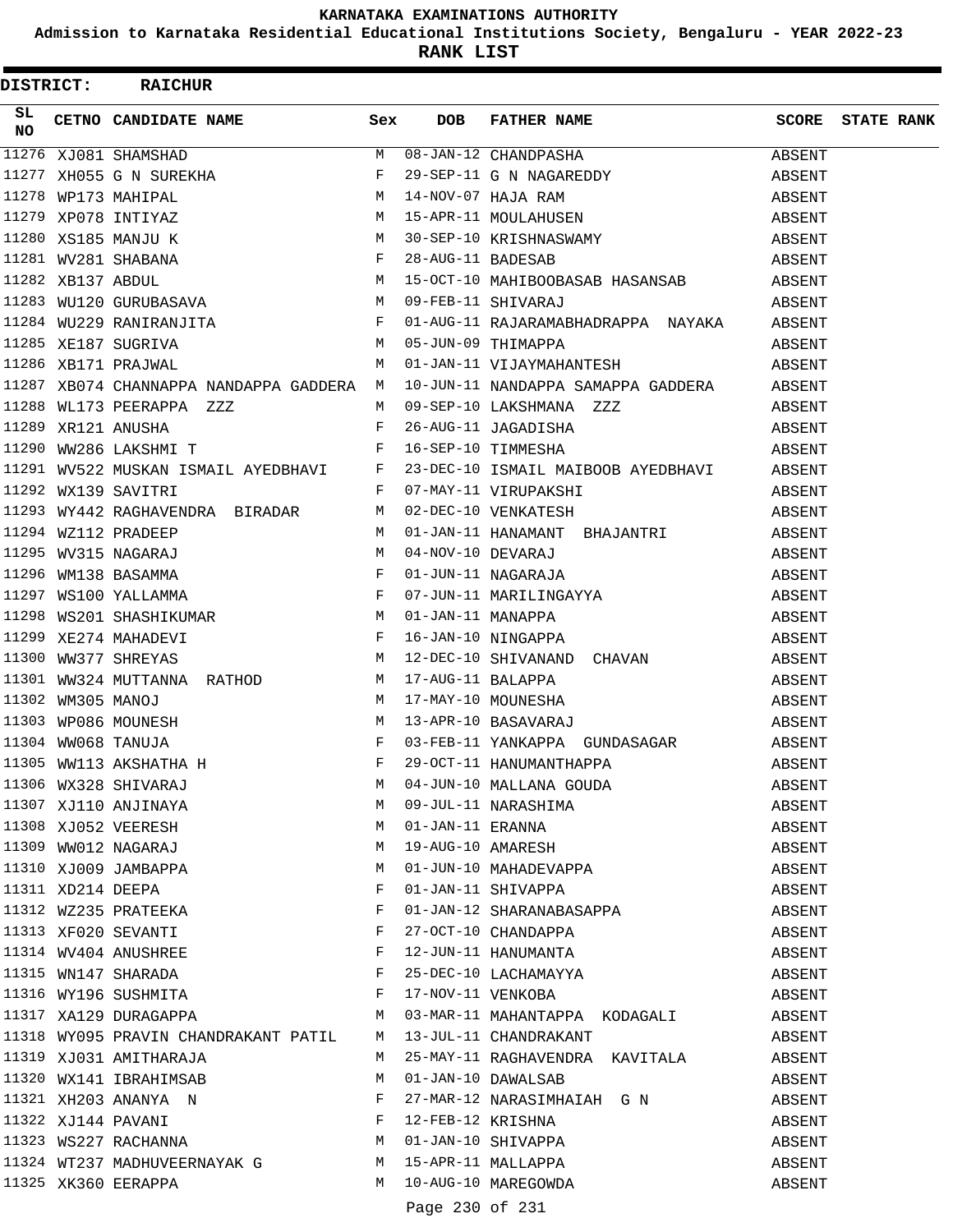**Admission to Karnataka Residential Educational Institutions Society, Bengaluru - YEAR 2022-23**

| <b>DISTRICT:</b> |  | <b>RAICHUR</b>                                                         |   |                 |                                                                                                                                                                                                                               |                         |  |
|------------------|--|------------------------------------------------------------------------|---|-----------------|-------------------------------------------------------------------------------------------------------------------------------------------------------------------------------------------------------------------------------|-------------------------|--|
| SL<br>NO         |  | CETNO CANDIDATE NAME Sex                                               |   | DOB             | FATHER NAME                                                                                                                                                                                                                   | <b>SCORE STATE RANK</b> |  |
|                  |  |                                                                        |   |                 |                                                                                                                                                                                                                               |                         |  |
|                  |  |                                                                        |   |                 |                                                                                                                                                                                                                               |                         |  |
|                  |  |                                                                        |   |                 |                                                                                                                                                                                                                               |                         |  |
|                  |  |                                                                        |   |                 |                                                                                                                                                                                                                               |                         |  |
|                  |  |                                                                        |   |                 |                                                                                                                                                                                                                               |                         |  |
|                  |  |                                                                        |   |                 |                                                                                                                                                                                                                               |                         |  |
|                  |  |                                                                        |   |                 |                                                                                                                                                                                                                               |                         |  |
|                  |  |                                                                        |   |                 |                                                                                                                                                                                                                               |                         |  |
|                  |  |                                                                        |   |                 |                                                                                                                                                                                                                               |                         |  |
|                  |  | 11285 XE187 SUGRIVA<br>11286 XB171 PRAJWAL 11286 XB171 PRAJWAL         |   |                 | 05-JUN-09 THIMAPPA                                                                                                                                                                                                            | ABSENT                  |  |
|                  |  |                                                                        |   |                 | 01-JAN-11 VIJAYMAHANTESH                                                                                                                                                                                                      | ABSENT                  |  |
|                  |  |                                                                        |   |                 | 11287 XB074 CHANNAPPA NANDAPPA GADDERA M 10-JUN-11 NANDAPPA SAMAPPA GADDERA ABSENT                                                                                                                                            |                         |  |
|                  |  | 11288 WL173 PEERAPPA ZZZ                                               |   |                 |                                                                                                                                                                                                                               |                         |  |
|                  |  | $\mathbf{F}$<br>11289 XR121 ANUSHA                                     |   |                 | 26-AUG-11 JAGADISHA                                                                                                                                                                                                           | ABSENT                  |  |
|                  |  | 11290 WW286 LAKSHMI T                                                  |   |                 | F 16-SEP-10 TIMMESHA                                                                                                                                                                                                          | ABSENT                  |  |
|                  |  |                                                                        |   |                 | 11291 WV522 MUSKAN ISMAIL AYEDBHAVI F 23-DEC-10 ISMAIL MAIBOOB AYEDBHAVI ABSENT                                                                                                                                               |                         |  |
|                  |  | 11292 WX139 SAVITRI                                                    |   |                 | F 07-MAY-11 VIRUPAKSHI                                                                                                                                                                                                        | ABSENT                  |  |
|                  |  | 11293 WY442 RAGHAVENDRA BIRADAR M                                      |   |                 | 02-DEC-10 VENKATESH                                                                                                                                                                                                           | ABSENT                  |  |
|                  |  |                                                                        |   |                 |                                                                                                                                                                                                                               |                         |  |
|                  |  |                                                                        |   |                 |                                                                                                                                                                                                                               |                         |  |
|                  |  |                                                                        |   |                 |                                                                                                                                                                                                                               |                         |  |
|                  |  |                                                                        |   |                 |                                                                                                                                                                                                                               |                         |  |
|                  |  |                                                                        |   |                 |                                                                                                                                                                                                                               |                         |  |
|                  |  |                                                                        |   |                 |                                                                                                                                                                                                                               |                         |  |
|                  |  |                                                                        |   |                 | 11293 WY442 RAGHAVENDRA BIRADAR M 02-DEC-10 VENKATESH ABSENT (1294 W2112 PRADEEP M 01-JAN-11 HANAMANT BHAJANTRI ABSENT (1295 WV315 NAGARAJ M 04-NOV-10 DEVARAJ M ABSENT (1296 WM138 BASAMMA F 01-JUN-11 NAGARAJA ABSENT (1297 |                         |  |
|                  |  |                                                                        |   |                 |                                                                                                                                                                                                                               |                         |  |
|                  |  |                                                                        |   |                 |                                                                                                                                                                                                                               |                         |  |
|                  |  |                                                                        |   |                 |                                                                                                                                                                                                                               |                         |  |
|                  |  |                                                                        |   |                 |                                                                                                                                                                                                                               |                         |  |
|                  |  |                                                                        |   |                 |                                                                                                                                                                                                                               |                         |  |
|                  |  |                                                                        | M |                 | 04-JUN-10 MALLANA GOUDA                                                                                                                                                                                                       | ABSENT                  |  |
|                  |  | 11306 WX328 SHIVARAJ<br>11307 XJ110 ANJINAYA<br>11308 XJ052 VEERESH    | M |                 |                                                                                                                                                                                                                               | ABSENT                  |  |
|                  |  |                                                                        | M |                 | 09-JUL-11 NARASHIMA                                                                                                                                                                                                           | ABSENT                  |  |
|                  |  | 11309 WW012 NAGARAJ                                                    | M |                 |                                                                                                                                                                                                                               | ABSENT                  |  |
|                  |  | 11310 XJ009 JAMBAPPA                                                   | M |                 | 01-JAN-11 ERANNA<br>19-AUG-10 AMARESH<br>01-JUN-10 MAHADEVAPPA                                                                                                                                                                | ABSENT                  |  |
|                  |  | 11311 XD214 DEEPA                                                      | F |                 | 01-JAN-11 SHIVAPPA                                                                                                                                                                                                            | ABSENT                  |  |
|                  |  | 11312 WZ235 PRATEEKA                                                   | F |                 | 01-JAN-12 SHARANABASAPPA                                                                                                                                                                                                      | ABSENT                  |  |
|                  |  | 11313 XF020 SEVANTI                                                    | F |                 |                                                                                                                                                                                                                               |                         |  |
|                  |  |                                                                        | F |                 | 27-OCT-10 CHANDAPPA<br>12-JUN-11 HANUMANTA                                                                                                                                                                                    | ABSENT<br>ABSENT        |  |
|                  |  | 11314 WV404 ANUSHREE<br>11315 WN147 SHARADA                            | F |                 |                                                                                                                                                                                                                               |                         |  |
|                  |  |                                                                        | F |                 | 25-DEC-10 LACHAMAYYA                                                                                                                                                                                                          | ABSENT                  |  |
|                  |  | 11316 WY196 SUSHMITA<br>11317 XA129 DURAGAPPA M                        |   |                 | 17-NOV-11 VENKOBA                                                                                                                                                                                                             | ABSENT                  |  |
|                  |  |                                                                        |   |                 | 03-MAR-11 MAHANTAPPA KODAGALI                                                                                                                                                                                                 | ABSENT                  |  |
|                  |  | 11318 WY095 PRAVIN CHANDRAKANT PATIL M 13-JUL-11 CHANDRAKANT           |   |                 |                                                                                                                                                                                                                               | ABSENT                  |  |
|                  |  | 11319 XJ031 AMITHARAJA                                                 | M |                 | 25-MAY-11 RAGHAVENDRA KAVITALA                                                                                                                                                                                                | ABSENT                  |  |
|                  |  | 11320 WX141 IBRAHIMSAB                                                 | M |                 | 01-JAN-10 DAWALSAB                                                                                                                                                                                                            | ABSENT                  |  |
|                  |  |                                                                        |   |                 | 27-MAR-12 NARASIMHAIAH G N                                                                                                                                                                                                    | ABSENT                  |  |
|                  |  | 11321 XH203 ANANYA N<br>11322 XJ144 PAVANI F<br>11323 WS227 RACHANNA M |   |                 | 12-FEB-12 KRISHNA                                                                                                                                                                                                             | ABSENT                  |  |
|                  |  |                                                                        |   |                 | 01-JAN-10 SHIVAPPA                                                                                                                                                                                                            | ABSENT                  |  |
|                  |  | 11324 WT237 MADHUVEERNAYAK G M                                         |   |                 | 15-APR-11 MALLAPPA                                                                                                                                                                                                            | ABSENT                  |  |
|                  |  | 11325 XK360 EERAPPA                                                    | M |                 | 10-AUG-10 MAREGOWDA                                                                                                                                                                                                           | ABSENT                  |  |
|                  |  |                                                                        |   | Page 230 of 231 |                                                                                                                                                                                                                               |                         |  |